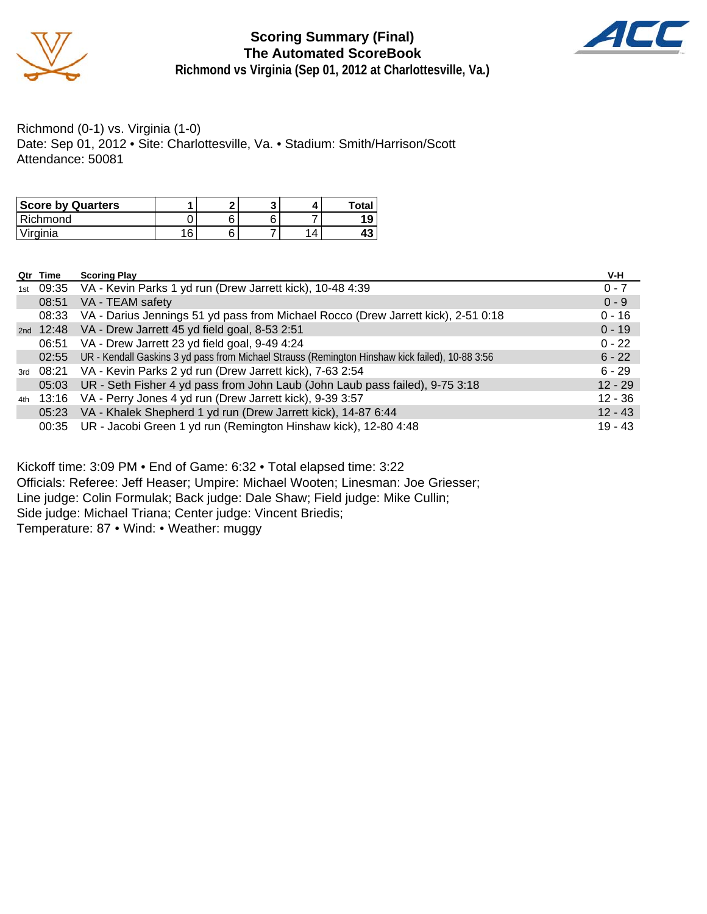

**Scoring Summary (Final) The Automated ScoreBook Richmond vs Virginia (Sep 01, 2012 at Charlottesville, Va.)**



Richmond (0-1) vs. Virginia (1-0) Date: Sep 01, 2012 • Site: Charlottesville, Va. • Stadium: Smith/Harrison/Scott Attendance: 50081

| <b>Score by Quarters</b> |    |   |          | <b>Total</b> |
|--------------------------|----|---|----------|--------------|
| l Richmond               |    | c |          |              |
| Virginia                 | 16 | c | $\Delta$ |              |

|     | Qtr Time | <b>Scoring Play</b>                                                                             | V-H       |
|-----|----------|-------------------------------------------------------------------------------------------------|-----------|
| 1st |          | 09:35 VA - Kevin Parks 1 yd run (Drew Jarrett kick), 10-48 4:39                                 | $0 - 7$   |
|     | 08:51    | VA - TEAM safety                                                                                | $0 - 9$   |
|     | 08:33    | VA - Darius Jennings 51 yd pass from Michael Rocco (Drew Jarrett kick), 2-51 0:18               | $0 - 16$  |
|     |          | 2nd 12:48 VA - Drew Jarrett 45 yd field goal, 8-53 2:51                                         | $0 - 19$  |
|     | 06:51    | VA - Drew Jarrett 23 yd field goal, 9-49 4:24                                                   | $0 - 22$  |
|     | 02:55    | UR - Kendall Gaskins 3 yd pass from Michael Strauss (Remington Hinshaw kick failed), 10-88 3:56 | $6 - 22$  |
|     |          | 3rd 08:21 VA - Kevin Parks 2 yd run (Drew Jarrett kick), 7-63 2:54                              | $6 - 29$  |
|     |          | 05:03 UR - Seth Fisher 4 yd pass from John Laub (John Laub pass failed), 9-75 3:18              | $12 - 29$ |
| 4th |          | 13:16 VA - Perry Jones 4 yd run (Drew Jarrett kick), 9-39 3:57                                  | $12 - 36$ |
|     |          | 05:23 VA - Khalek Shepherd 1 yd run (Drew Jarrett kick), 14-87 6:44                             | $12 - 43$ |
|     |          | 00:35 UR - Jacobi Green 1 yd run (Remington Hinshaw kick), 12-80 4:48                           | $19 - 43$ |

Kickoff time: 3:09 PM • End of Game: 6:32 • Total elapsed time: 3:22 Officials: Referee: Jeff Heaser; Umpire: Michael Wooten; Linesman: Joe Griesser; Line judge: Colin Formulak; Back judge: Dale Shaw; Field judge: Mike Cullin; Side judge: Michael Triana; Center judge: Vincent Briedis; Temperature: 87 • Wind: • Weather: muggy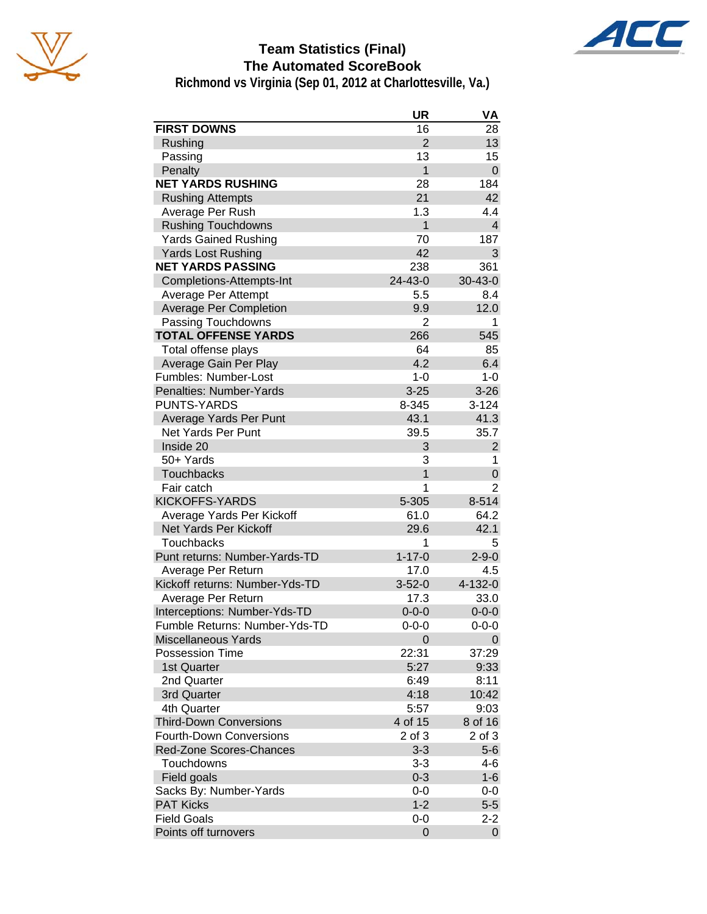



# **Team Statistics (Final) The Automated ScoreBook**

**Richmond vs Virginia (Sep 01, 2012 at Charlottesville, Va.)**

|                                | UR             | VA             |
|--------------------------------|----------------|----------------|
| <b>FIRST DOWNS</b>             | 16             | 28             |
| Rushing                        | $\overline{2}$ | 13             |
| Passing                        | 13             | 15             |
| Penalty                        | $\mathbf{1}$   | $\mathbf 0$    |
| <b>NET YARDS RUSHING</b>       | 28             | 184            |
| <b>Rushing Attempts</b>        | 21             | 42             |
| Average Per Rush               | 1.3            | 4.4            |
| <b>Rushing Touchdowns</b>      | $\mathbf{1}$   | $\overline{4}$ |
| <b>Yards Gained Rushing</b>    | 70             | 187            |
| <b>Yards Lost Rushing</b>      | 42             | 3              |
| <b>NET YARDS PASSING</b>       | 238            | 361            |
| Completions-Attempts-Int       | 24-43-0        | $30 - 43 - 0$  |
| Average Per Attempt            | 5.5            | 8.4            |
| <b>Average Per Completion</b>  | 9.9            | 12.0           |
| Passing Touchdowns             | 2              | 1              |
| <b>TOTAL OFFENSE YARDS</b>     | 266            | 545            |
| Total offense plays            | 64             | 85             |
| Average Gain Per Play          | 4.2            | 6.4            |
| Fumbles: Number-Lost           | $1 - 0$        | $1 - 0$        |
| Penalties: Number-Yards        | $3 - 25$       | $3 - 26$       |
| <b>PUNTS-YARDS</b>             | 8-345          | $3 - 124$      |
| Average Yards Per Punt         | 43.1           | 41.3           |
| Net Yards Per Punt             | 39.5           | 35.7           |
| Inside 20                      | 3              | $\overline{2}$ |
| 50+ Yards                      | 3              | 1              |
| <b>Touchbacks</b>              | $\mathbf{1}$   | 0              |
| Fair catch                     | 1              | 2              |
| <b>KICKOFFS-YARDS</b>          | 5-305          | 8-514          |
| Average Yards Per Kickoff      | 61.0           | 64.2           |
| Net Yards Per Kickoff          | 29.6           | 42.1           |
| <b>Touchbacks</b>              | 1              | 5              |
| Punt returns: Number-Yards-TD  | $1 - 17 - 0$   | $2 - 9 - 0$    |
| Average Per Return             | 17.0           | 4.5            |
| Kickoff returns: Number-Yds-TD | $3 - 52 - 0$   | 4-132-0        |
| Average Per Return             | 17.3           | 33.0           |
| Interceptions: Number-Yds-TD   | $0 - 0 - 0$    | $0 - 0 - 0$    |
| Fumble Returns: Number-Yds-TD  | $0 - 0 - 0$    | 0-0-0          |
| Miscellaneous Yards            | 0              | 0              |
| <b>Possession Time</b>         | 22:31          | 37:29          |
| 1st Quarter                    | 5:27           | 9:33           |
| 2nd Quarter                    | 6:49           | 8:11           |
| 3rd Quarter                    | 4:18           | 10:42          |
| 4th Quarter                    | 5:57           | 9:03           |
| <b>Third-Down Conversions</b>  | 4 of 15        | 8 of 16        |
| <b>Fourth-Down Conversions</b> | 2 of 3         | 2 of 3         |
| Red-Zone Scores-Chances        | $3 - 3$        | $5-6$          |
| Touchdowns                     | $3 - 3$        | 4-6            |
| Field goals                    | $0 - 3$        | $1 - 6$        |
| Sacks By: Number-Yards         | $0-0$          | 0-0            |
| <b>PAT Kicks</b>               | $1 - 2$        | $5-5$          |
| <b>Field Goals</b>             | 0-0            | $2 - 2$        |
| Points off turnovers           | 0              | $\mathbf 0$    |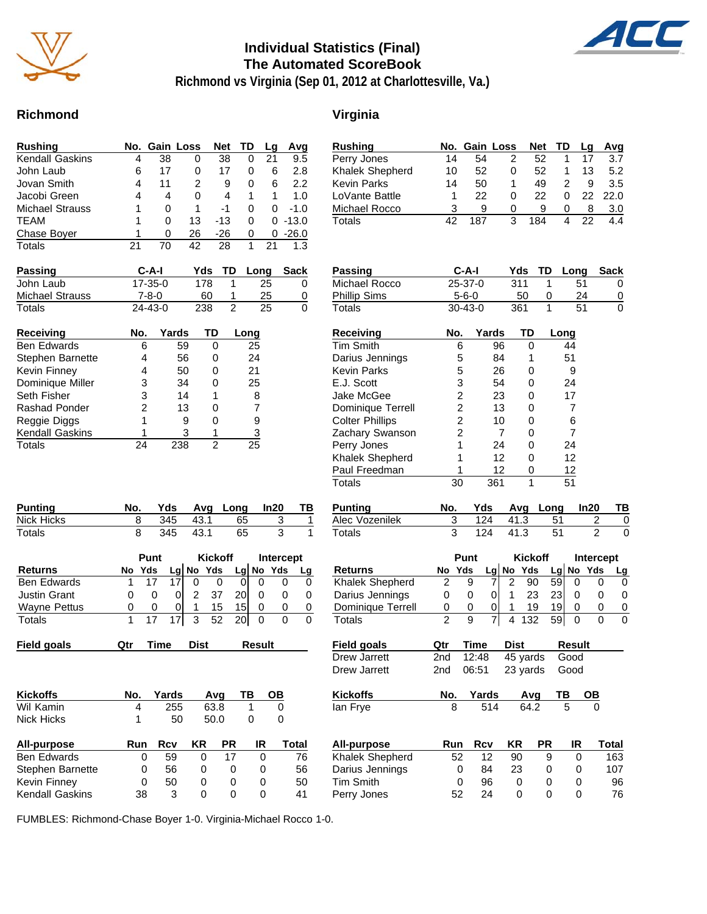

### **Individual Statistics (Final) The Automated ScoreBook**



**Richmond vs Virginia (Sep 01, 2012 at Charlottesville, Va.)**

### **Richmond Virginia**

| Rushing         |    | No. Gain Loss |    | <b>Net</b> | TD | Lq | Avg         |
|-----------------|----|---------------|----|------------|----|----|-------------|
| Kendall Gaskins | 4  | 38            | 0  | 38         | 0  | 21 | 9.5         |
| John Laub       | 6  | 17            | 0  | 17         | 0  | 6  | 2.8         |
| Jovan Smith     | 4  | 11            | 2  | 9          | 0  | 6  | 2.2         |
| Jacobi Green    | 4  | 4             | 0  | 4          |    |    | 1. $\Omega$ |
| Michael Strauss |    | 0             |    | -1         | 0  | 0  | $-1.0$      |
| TEAM            | 1  | 0             | 13 | $-13$      | 0  | 0  | $-13.0$     |
| Chase Boyer     |    | 0             | 26 | -26        | 0  | 0  | $-26.0$     |
| Totals          | 21 | 70            | 42 | 28         |    |    | 1.3         |

| <b>Passing</b>  | C-A-I         |     | Yds TD Long Sack |          |
|-----------------|---------------|-----|------------------|----------|
| John Laub       | $17 - 35 - 0$ | 178 | 25               | $\Omega$ |
| Michael Strauss | 7-8-0         | 60  | 25               | 0        |
| Totals          | $24 - 43 - 0$ | 238 | 25               | 0        |

| <b>Receiving</b>       | No. | Yards | TD | Long           |
|------------------------|-----|-------|----|----------------|
| <b>Ben Edwards</b>     | 6   | 59    |    | 25             |
| Stephen Barnette       | 4   | 56    |    | 24             |
| Kevin Finney           | 4   | 50    |    | 21             |
| Dominique Miller       | з   | 34    |    | 25             |
| Seth Fisher            | 3   | 14    |    | 8              |
| Rashad Ponder          | 2   | 13    |    | $\overline{7}$ |
| Reggie Diggs           |     | 9     | 0  | 9              |
| <b>Kendall Gaskins</b> |     | 3     |    | 3              |
| Totals                 | 24  | 238   | 2  | 25             |

| <b>Punting</b> | No. |     |          | Yds Avg Long In20 |  |
|----------------|-----|-----|----------|-------------------|--|
| Nick Hicks     |     |     | 345 43.1 | 65                |  |
| Totals         |     | 345 | - 43.1   | 65                |  |

|                     |   | Punt   |                 |   | <b>Kickoff</b> |                 | Intercept |             |    |
|---------------------|---|--------|-----------------|---|----------------|-----------------|-----------|-------------|----|
| <b>Returns</b>      |   | No Yds |                 |   | $Lg$ No Yds    |                 |           | $Lg$ No Yds | Lg |
| <b>Ben Edwards</b>  |   |        |                 |   |                |                 |           |             |    |
| <b>Justin Grant</b> |   |        |                 | 2 | 37             | 20I             |           |             |    |
| <b>Wayne Pettus</b> | O | O      |                 |   | 15             | 15 <sup>1</sup> |           |             |    |
| Totals              |   |        | 17 <sup>1</sup> |   | 3 52           | -20 l           |           |             |    |

|  | <b>Field goals</b> | Qtr | ïme | Dist | Result | Field goals | Qtr | <b>Time</b> | Dist | Result |
|--|--------------------|-----|-----|------|--------|-------------|-----|-------------|------|--------|
|--|--------------------|-----|-----|------|--------|-------------|-----|-------------|------|--------|

| <b>Kickoffs</b>        | No. | Yards |    | Avq  | ТВ | OВ    |
|------------------------|-----|-------|----|------|----|-------|
| Wil Kamin              | 4   | 255   |    | 63.8 | 1  |       |
| <b>Nick Hicks</b>      |     | 50    |    | 50.0 |    | 0     |
| All-purpose            | Run | Rcv   | ΚR | PR.  | IR | Total |
| <b>Ben Edwards</b>     | 0   | 59    | 0  | 17   | 0  | 76    |
| Stephen Barnette       | 0   | 56    | 0  | 0    | 0  | 56    |
| <b>Kevin Finney</b>    | Ω   | 50    | 0  | 0    | 0  | 50    |
| <b>Kendall Gaskins</b> | 38  | 3     | 0  | O    |    | 41    |

| <b>Rushing</b>         | No. | Gain Loss               |                |                | <b>Net</b>     | TD     |        | Lg             | Avg            |
|------------------------|-----|-------------------------|----------------|----------------|----------------|--------|--------|----------------|----------------|
| Perry Jones            | 14  | 54                      |                | 2              | 52             |        | 1      | 17             | 3.7            |
| Khalek Shepherd        | 10  | 52                      |                | 0              | 52             |        | 1      | 13             | 5.2            |
| <b>Kevin Parks</b>     | 14  | 50                      |                | 1              | 49             |        | 2      | 9              | 3.5            |
| LoVante Battle         | 1   | 22                      |                | 0              | 22             |        | 0      | 22             | 22.0           |
| Michael Rocco          | 3   | 9                       |                | 0              | 9              |        | 0      | 8              | 3.0            |
| <b>Totals</b>          | 42  | 187                     |                | 3              | 184            |        | 4      | 22             | 4.4            |
|                        |     |                         |                |                |                |        |        |                |                |
| <b>Passing</b>         |     | C-A-I                   |                | Yds            | TD             |        | Long   |                | Sack           |
| Michael Rocco          |     | 25-37-0                 |                | 311            |                | 1      | 51     |                | 0              |
| <b>Phillip Sims</b>    |     | $5 - 6 - 0$             |                |                | 50             | 0      | 24     |                | $\overline{0}$ |
| <b>Totals</b>          |     | 30-43-0                 |                | 361            |                | 1      | 51     |                | 0              |
|                        |     |                         |                |                |                |        |        |                |                |
| <b>Receiving</b>       | No. |                         | Yards          |                | TD             | Long   |        |                |                |
| Tim Smith              |     | 6                       | 96             |                | 0              |        | 44     |                |                |
| Darius Jennings        |     | 5                       | 84             |                | 1              |        | 51     |                |                |
| <b>Kevin Parks</b>     |     | 5                       | 26             |                | 0              |        | 9      |                |                |
| E.J. Scott             |     | 3                       | 54             |                | 0              |        | 24     |                |                |
| Jake McGee             |     | $\overline{c}$          | 23             |                | 0              |        | 17     |                |                |
| Dominique Terrell      |     | $\overline{\mathbf{c}}$ | 13             |                | 0              |        | 7      |                |                |
| <b>Colter Phillips</b> |     | 2                       | 10             |                | 0              |        | 6      |                |                |
| Zachary Swanson        |     | $\overline{c}$          | $\overline{7}$ |                | 0              |        | 7      |                |                |
| Perry Jones            |     | 1                       | 24             |                | 0              |        | 24     |                |                |
| Khalek Shepherd        |     | 1                       | 12             |                | 0              |        | 12     |                |                |
| Paul Freedman          |     | 1                       | 12             |                | 0              |        | 12     |                |                |
| <b>Totals</b>          | 30  |                         | 361            |                | 1              |        | 51     |                |                |
| <b>Punting</b>         | No. | Yds                     |                | Avg            |                | Long   |        | In20           | TB             |
| Alec Vozenilek         | 3   | 124                     |                | 41.3           |                | 51     |        | 2              | 0              |
| Totals                 | 3   | 124                     |                | 41.3           |                | 51     |        | $\overline{2}$ | 0              |
|                        |     | Punt                    |                |                | <b>Kickoff</b> |        |        | Intercept      |                |
| Returns                | No  | Yds                     | Lg No Yds      |                |                | Lg  No |        | Yds            | Lg             |
| Khalek Shepherd        | 2   | 9                       | 7              | $\overline{2}$ | 90             | 59     | 0      | 0              | 0              |
| Darius Jennings        | 0   | 0                       | 0              | 1              | 23             | 23     | 0      | 0              | 0              |
| Dominique Terrell      | 0   | 0                       | 0              | 1              | 19             | 19     | 0      | 0              | 0              |
| <b>Totals</b>          | 2   | 9                       | 7              | 4              | 132            | 59     | 0      | 0              | 0              |
| <b>Field goals</b>     | Qtr | Time                    |                | Dist           |                |        | Result |                |                |
| Drew Jarrett           | 2nd | 12:48                   |                |                | 45 yards       |        | Good   |                |                |
| Drew Jarrett           | 2nd | 06:51                   |                |                | 23 yards       |        | Good   |                |                |
| <b>Kickoffs</b>        | No. | Yards                   |                |                | Avg            | ΤВ     |        | ΟВ             |                |
| lan Frye               | 8   |                         | 514            |                | 64.2           |        | 5      | 0              |                |
|                        |     |                         |                |                |                |        |        |                |                |
| <b>All-purpose</b>     | Run | Rcv                     |                | ΚR             | PR             |        | IR     |                | Total          |
| Khalek Shepherd        | 52  |                         | 12             | 90             |                | 9      | 0      |                | 163            |
| Darius Jennings        |     | 0                       | 84             | 23             |                | 0      | 0      |                | 107            |
| <b>Tim Smith</b>       |     | 0                       | 96             | 0              |                | 0      | 0      |                | 96             |
| Perry Jones            | 52  |                         | 24             | 0              |                | 0      | 0      |                | 76             |

FUMBLES: Richmond-Chase Boyer 1-0. Virginia-Michael Rocco 1-0.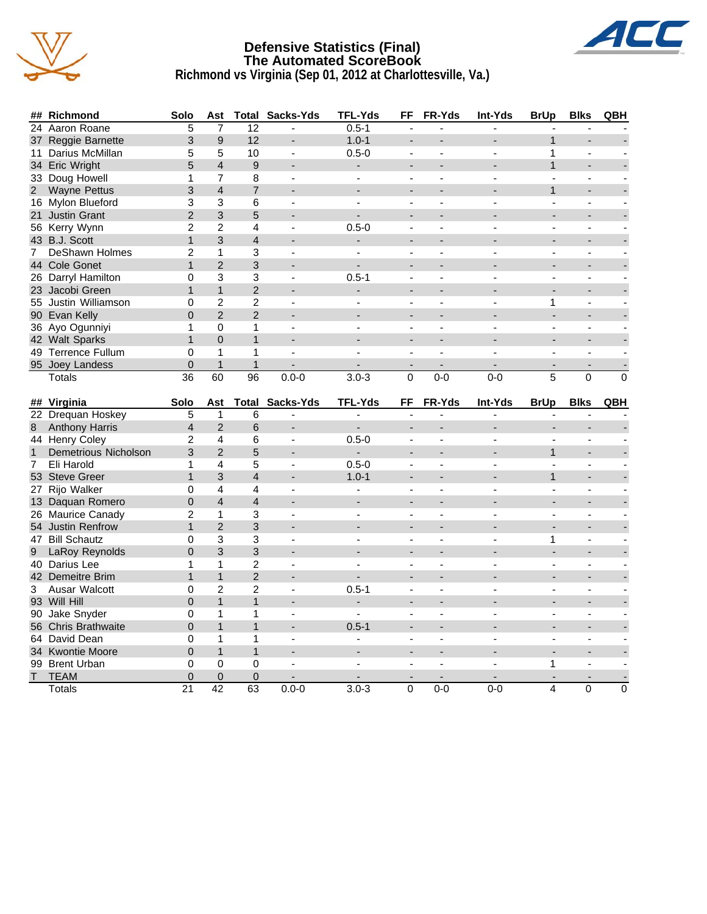

### **Defensive Statistics (Final) The Automated ScoreBook Richmond vs Virginia (Sep 01, 2012 at Charlottesville, Va.)**



|                | ## Richmond                  | Solo                     | Ast                      |                         | <b>Total Sacks-Yds</b>   | TFL-Yds                  | FF                       | FR-Yds                    | Int-Yds        | <b>BrUp</b>              | <b>Blks</b>              | QBH      |
|----------------|------------------------------|--------------------------|--------------------------|-------------------------|--------------------------|--------------------------|--------------------------|---------------------------|----------------|--------------------------|--------------------------|----------|
|                | 24 Aaron Roane               | 5                        | 7                        | 12                      | $\overline{a}$           | $0.5 - 1$                |                          |                           | ÷,             |                          |                          |          |
|                | 37 Reggie Barnette           | 3                        | 9                        | 12                      |                          | $1.0 - 1$                |                          |                           |                | $\mathbf{1}$             |                          |          |
|                | 11 Darius McMillan           | 5                        | 5                        | 10                      | $\overline{a}$           | $0.5 - 0$                | $\overline{\phantom{a}}$ | $\blacksquare$            | ÷,             | 1                        | $\overline{a}$           |          |
|                | 34 Eric Wright               | 5                        | $\overline{4}$           | 9                       |                          | ٠                        |                          |                           |                | $\mathbf{1}$             |                          |          |
|                | 33 Doug Howell               | 1                        | 7                        | 8                       | $\overline{\phantom{a}}$ | $\overline{a}$           | $\blacksquare$           | $\blacksquare$            | $\overline{a}$ | $\overline{a}$           | $\blacksquare$           |          |
| $\overline{2}$ | <b>Wayne Pettus</b>          | 3                        | $\overline{4}$           | $\overline{7}$          |                          |                          |                          |                           |                | $\mathbf{1}$             |                          |          |
|                | 16 Mylon Blueford            | 3                        | 3                        | 6                       | $\blacksquare$           | $\blacksquare$           | $\blacksquare$           | ÷,                        |                |                          | $\blacksquare$           |          |
|                | 21 Justin Grant              | $\overline{2}$           | 3                        | 5                       |                          |                          |                          |                           |                |                          |                          |          |
|                | 56 Kerry Wynn                | $\overline{2}$           | $\overline{2}$           | 4                       |                          | $0.5 - 0$                | $\blacksquare$           |                           |                |                          | $\blacksquare$           |          |
|                | 43 B.J. Scott                | $\mathbf{1}$             | 3                        | 4                       |                          |                          |                          |                           |                |                          |                          |          |
| $\mathbf{7}$   | DeShawn Holmes               | 2                        | $\mathbf{1}$             | 3                       | $\overline{\phantom{a}}$ | $\overline{a}$           | $\overline{\phantom{a}}$ | $\overline{a}$            | $\overline{a}$ | ÷                        | $\overline{\phantom{a}}$ |          |
|                | 44 Cole Gonet                | $\mathbf{1}$             | $\overline{2}$           | 3                       |                          |                          |                          |                           |                |                          |                          |          |
|                | 26 Darryl Hamilton           | 0                        | 3                        | 3                       |                          | $0.5 - 1$                | $\overline{a}$           | $\overline{a}$            |                |                          | $\overline{a}$           |          |
|                | 23 Jacobi Green              | $\mathbf{1}$             | $\mathbf{1}$             | $\overline{2}$          |                          | $\overline{a}$           |                          |                           |                |                          |                          |          |
|                | 55 Justin Williamson         | $\Omega$                 | $\overline{c}$           | $\overline{\mathbf{c}}$ |                          |                          | $\blacksquare$           | $\blacksquare$            |                | 1                        | $\blacksquare$           |          |
|                | 90 Evan Kelly                | 0                        | $\overline{2}$           | $\overline{2}$          |                          |                          |                          |                           |                |                          |                          |          |
|                | 36 Ayo Ogunniyi              | 1                        | 0                        | 1                       | $\blacksquare$           | $\overline{a}$           | $\blacksquare$           | $\overline{a}$            | $\overline{a}$ | $\sim$                   | $\blacksquare$           |          |
|                | 42 Walt Sparks               | $\mathbf{1}$             | $\Omega$                 | $\overline{1}$          |                          |                          |                          |                           |                |                          |                          |          |
|                | 49 Terrence Fullum           | 0                        | 1                        | 1                       | $\overline{a}$           |                          |                          | L.                        |                |                          |                          |          |
|                | 95 Joey Landess              | $\mathbf 0$              | $\mathbf{1}$             | $\mathbf{1}$            |                          |                          |                          |                           |                |                          |                          |          |
|                | Totals                       | 36                       | 60                       | 96                      | $0.0 - 0$                | $3.0 - 3$                | $\mathbf 0$              | $0 - 0$                   | $0 - 0$        | $\overline{5}$           | 0                        | $\Omega$ |
|                |                              |                          |                          |                         |                          |                          |                          |                           |                |                          |                          |          |
|                | ## Virginia                  | Solo                     | Ast                      |                         | <b>Total Sacks-Yds</b>   | <b>TFL-Yds</b>           | FF                       | FR-Yds                    | Int-Yds        | <b>BrUp</b>              | <b>Blks</b>              | QBH      |
|                | 22 Drequan Hoskey            | 5                        | 1                        | 6                       | L.                       |                          |                          | L.                        | L.             |                          |                          |          |
|                |                              |                          |                          |                         |                          |                          |                          |                           |                |                          |                          |          |
|                |                              |                          |                          |                         |                          | $\overline{a}$           |                          |                           |                |                          |                          |          |
| 8              | <b>Anthony Harris</b>        | $\overline{\mathcal{L}}$ | $\overline{2}$           | 6                       |                          |                          |                          |                           |                |                          |                          |          |
|                | 44 Henry Coley               | $\overline{2}$           | 4                        | 6                       | $\blacksquare$           | $0.5 - 0$                | $\blacksquare$           | $\blacksquare$            |                |                          | $\blacksquare$           |          |
| $\mathbf{1}$   | Demetrious Nicholson         | 3                        | $\overline{2}$           | 5                       |                          |                          |                          |                           |                | 1                        |                          |          |
| $\overline{7}$ | Eli Harold                   | 1                        | 4                        | 5                       | $\blacksquare$           | $0.5 - 0$                | $\overline{\phantom{0}}$ | $\blacksquare$            | $\blacksquare$ | $\overline{\phantom{a}}$ | $\blacksquare$           |          |
|                | 53 Steve Greer               | $\mathbf{1}$             | 3                        | 4                       |                          | $1.0 - 1$                |                          |                           |                | 1                        |                          |          |
|                | 27 Rijo Walker               | 0                        | 4                        | $\overline{4}$          |                          | $\blacksquare$           | $\overline{a}$           |                           |                |                          | $\overline{a}$           |          |
|                | 13 Daquan Romero             | 0                        | $\overline{\mathcal{L}}$ | $\overline{4}$          |                          |                          | $\overline{\phantom{a}}$ |                           |                |                          |                          |          |
|                | 26 Maurice Canady            | $\overline{2}$           | 1                        | 3                       | $\blacksquare$           | $\blacksquare$           | $\blacksquare$           | $\blacksquare$            |                | $\blacksquare$           | $\blacksquare$           |          |
|                | 54 Justin Renfrow            | $\mathbf{1}$             | $\overline{2}$           | 3                       |                          |                          |                          |                           |                |                          |                          |          |
|                | 47 Bill Schautz              | $\Omega$                 | 3                        | 3                       | $\overline{\phantom{a}}$ | $\sim$                   | $\blacksquare$           | $\blacksquare$            | $\overline{a}$ | 1                        | $\blacksquare$           |          |
| 9              | LaRoy Reynolds               | $\overline{0}$           | 3                        | 3                       |                          |                          |                          |                           |                |                          |                          |          |
|                | 40 Darius Lee                | 1                        | 1                        | $\overline{c}$          |                          |                          | $\overline{a}$           |                           |                |                          |                          |          |
|                | 42 Demeitre Brim             | $\mathbf{1}$             | $\mathbf 1$              | $\overline{2}$          |                          |                          |                          |                           |                |                          |                          |          |
| 3              | Ausar Walcott                | 0                        | $\overline{2}$           | $\overline{c}$          | $\overline{\phantom{a}}$ | $0.5 - 1$                | $\blacksquare$           | $\overline{a}$            |                | $\overline{\phantom{a}}$ | $\blacksquare$           |          |
|                | 93 Will Hill                 | $\overline{0}$           | $\mathbf{1}$             | $\mathbf{1}$            |                          |                          |                          |                           |                |                          |                          |          |
|                | 90 Jake Snyder               | 0                        | 1                        | 1                       | $\overline{\phantom{a}}$ | $\blacksquare$           |                          |                           |                |                          | $\overline{\phantom{a}}$ |          |
|                | 56 Chris Brathwaite          | 0                        | $\mathbf{1}$             | $\mathbf{1}$            |                          | $0.5 - 1$                |                          |                           |                |                          |                          |          |
|                | 64 David Dean                | 0                        | 1                        | 1                       | $\blacksquare$           | $\overline{\phantom{a}}$ | $\blacksquare$           | $\blacksquare$            | ÷,             | $\sim$                   | $\blacksquare$           |          |
|                | 34 Kwontie Moore             | 0                        | $\mathbf{1}$             | $\mathbf{1}$            |                          |                          |                          |                           |                |                          |                          |          |
|                | 99 Brent Urban               | $\Omega$                 | 0                        | $\mathbf 0$             | $\overline{a}$           | $\overline{a}$           | $\blacksquare$           | ÷,                        |                | 1                        | $\blacksquare$           |          |
| T.             | <b>TEAM</b><br><b>Totals</b> | $\boldsymbol{0}$<br>21   | 0<br>42                  | $\boldsymbol{0}$<br>63  | $0.0 - 0$                | $3.0 - 3$                | $\blacksquare$<br>0      | $\blacksquare$<br>$0 - 0$ | $0-0$          | 4                        | $\blacksquare$<br>0      | 0        |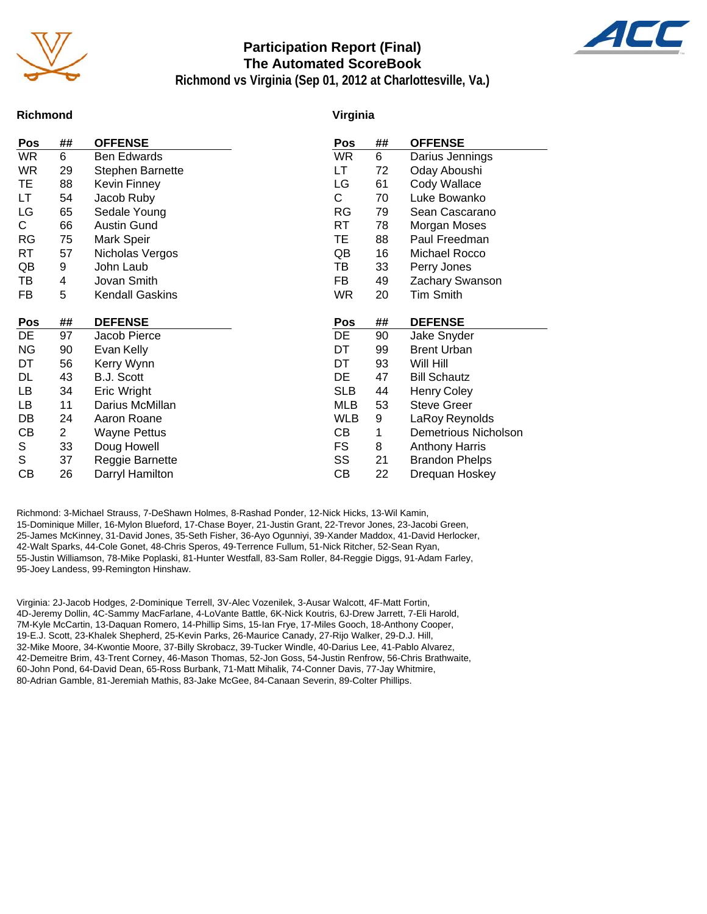

### **Participation Report (Final) The Automated ScoreBook**



**Richmond vs Virginia (Sep 01, 2012 at Charlottesville, Va.)**

### **Richmond**

#### **Virginia**

| Pos        | ##             | <b>OFFENSE</b>          | Pos        | ## | <b>OFFENSE</b>              |
|------------|----------------|-------------------------|------------|----|-----------------------------|
| WR         | 6              | Ben Edwards             | <b>WR</b>  | 6  | Darius Jennings             |
| <b>WR</b>  | 29             | <b>Stephen Barnette</b> | LТ         | 72 | Oday Aboushi                |
| ТE         | 88             | <b>Kevin Finney</b>     | LG         | 61 | Cody Wallace                |
| LT         | 54             | Jacob Ruby              | C.         | 70 | Luke Bowanko                |
| LG         | 65             | Sedale Young            | <b>RG</b>  | 79 | Sean Cascarano              |
| C.         | 66             | <b>Austin Gund</b>      | RT         | 78 | Morgan Moses                |
| <b>RG</b>  | 75             | Mark Speir              | ТE         | 88 | Paul Freedman               |
| RT         | 57             | Nicholas Vergos         | QB         | 16 | Michael Rocco               |
| QB         | 9              | John Laub               | TВ         | 33 | Perry Jones                 |
| TB         | 4              | Jovan Smith             | FB         | 49 | Zachary Swanson             |
| FB         | 5              | <b>Kendall Gaskins</b>  | <b>WR</b>  | 20 | Tim Smith                   |
|            |                |                         |            |    |                             |
|            |                |                         |            |    |                             |
| <b>Pos</b> | ##             | <b>DEFENSE</b>          | <b>Pos</b> | ## | <b>DEFENSE</b>              |
| DE         | 97             | Jacob Pierce            | DE         | 90 | Jake Snyder                 |
| <b>NG</b>  | 90             | Evan Kelly              | DT         | 99 | <b>Brent Urban</b>          |
| DT         | 56             | Kerry Wynn              | DT         | 93 | Will Hill                   |
| DL         | 43             | B.J. Scott              | DE         | 47 | <b>Bill Schautz</b>         |
| LB         | 34             | Eric Wright             | <b>SLB</b> | 44 | <b>Henry Coley</b>          |
| LB         | 11             | Darius McMillan         | <b>MLB</b> | 53 | <b>Steve Greer</b>          |
| DB         | 24             | Aaron Roane             | <b>WLB</b> | 9  | LaRoy Reynolds              |
| CВ         | $\overline{2}$ | <b>Wayne Pettus</b>     | CВ         | 1  | <b>Demetrious Nicholson</b> |
| S          | 33             | Doug Howell             | FS         | 8  | <b>Anthony Harris</b>       |
| S          | 37             | Reggie Barnette         | SS         | 21 | <b>Brandon Phelps</b>       |

Richmond: 3-Michael Strauss, 7-DeShawn Holmes, 8-Rashad Ponder, 12-Nick Hicks, 13-Wil Kamin, 15-Dominique Miller, 16-Mylon Blueford, 17-Chase Boyer, 21-Justin Grant, 22-Trevor Jones, 23-Jacobi Green, 25-James McKinney, 31-David Jones, 35-Seth Fisher, 36-Ayo Ogunniyi, 39-Xander Maddox, 41-David Herlocker, 42-Walt Sparks, 44-Cole Gonet, 48-Chris Speros, 49-Terrence Fullum, 51-Nick Ritcher, 52-Sean Ryan, 55-Justin Williamson, 78-Mike Poplaski, 81-Hunter Westfall, 83-Sam Roller, 84-Reggie Diggs, 91-Adam Farley, 95-Joey Landess, 99-Remington Hinshaw.

Virginia: 2J-Jacob Hodges, 2-Dominique Terrell, 3V-Alec Vozenilek, 3-Ausar Walcott, 4F-Matt Fortin, 4D-Jeremy Dollin, 4C-Sammy MacFarlane, 4-LoVante Battle, 6K-Nick Koutris, 6J-Drew Jarrett, 7-Eli Harold, 7M-Kyle McCartin, 13-Daquan Romero, 14-Phillip Sims, 15-Ian Frye, 17-Miles Gooch, 18-Anthony Cooper, 19-E.J. Scott, 23-Khalek Shepherd, 25-Kevin Parks, 26-Maurice Canady, 27-Rijo Walker, 29-D.J. Hill, 32-Mike Moore, 34-Kwontie Moore, 37-Billy Skrobacz, 39-Tucker Windle, 40-Darius Lee, 41-Pablo Alvarez, 42-Demeitre Brim, 43-Trent Corney, 46-Mason Thomas, 52-Jon Goss, 54-Justin Renfrow, 56-Chris Brathwaite, 60-John Pond, 64-David Dean, 65-Ross Burbank, 71-Matt Mihalik, 74-Conner Davis, 77-Jay Whitmire, 80-Adrian Gamble, 81-Jeremiah Mathis, 83-Jake McGee, 84-Canaan Severin, 89-Colter Phillips.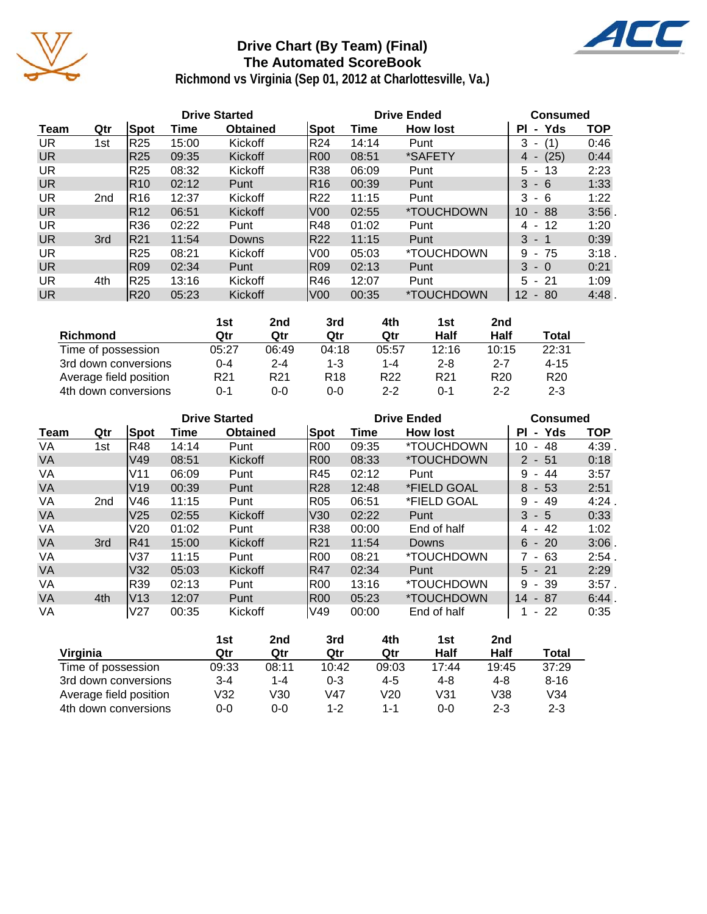

## **Drive Chart (By Team) (Final) The Automated ScoreBook**



**Richmond vs Virginia (Sep 01, 2012 at Charlottesville, Va.)**

|           |                 |                 |       | <b>Drive Started</b> |                 |       | <b>Drive Ended</b>       | <b>Consumed</b> |            |
|-----------|-----------------|-----------------|-------|----------------------|-----------------|-------|--------------------------|-----------------|------------|
| Team      | Qtr             | Spot            | Time  | <b>Obtained</b>      | Spot            | Time  | <b>How lost</b>          | - Yds<br>ΡI     | <b>TOP</b> |
| UR.       | 1st             | R25             | 15:00 | Kickoff              | R <sub>24</sub> | 14:14 | Punt                     | 3<br>(1)        | 0:46       |
| <b>UR</b> |                 | R25             | 09:35 | Kickoff              | IR00            | 08:51 | *SAFETY                  | (25)<br>4 -     | 0:44       |
| <b>UR</b> |                 | R25             | 08:32 | Kickoff              | R38             | 06:09 | Punt                     | $5 - 13$        | 2:23       |
| <b>UR</b> |                 | R <sub>10</sub> | 02:12 | Punt                 | R16             | 00:39 | Punt                     | $3 - 6$         | 1:33       |
| UR.       | 2 <sub>nd</sub> | IR16            | 12:37 | Kickoff              | R22             | 11:15 | Punt                     | 3<br>- 6        | 1:22       |
| <b>UR</b> |                 | R <sub>12</sub> | 06:51 | <b>Kickoff</b>       | V <sub>00</sub> | 02:55 | *TOUCHDOWN               | 10<br>- 88      | 3:56       |
| <b>UR</b> |                 | R36             | 02:22 | Punt                 | R48             | 01:02 | Punt                     | 12<br>4 -       | 1:20       |
| <b>UR</b> | 3rd             | <b>IR21</b>     | 11:54 | <b>Downs</b>         | R22             | 11:15 | Punt                     | $3 - 1$         | 0:39       |
| UR.       |                 | R25             | 08:21 | Kickoff              | IV00            | 05:03 | <i><b>*TOUCHDOWN</b></i> | - 75<br>9       | 3:18       |
| <b>UR</b> |                 | <b>R09</b>      | 02:34 | Punt                 | <b>R09</b>      | 02:13 | Punt                     | $3 - 0$         | 0:21       |
| UR.       | 4th             | R25             | 13:16 | Kickoff              | R46             | 12:07 | Punt                     | $5 - 21$        | 1:09       |
| <b>UR</b> |                 | R20             | 05:23 | Kickoff              | V <sub>00</sub> | 00:35 | <i><b>*TOUCHDOWN</b></i> | $12 - 80$       | 4:48       |

|                        | 1st             | 2nd             | 3rd             | 4th             | 1st             | 2nd             |                 |
|------------------------|-----------------|-----------------|-----------------|-----------------|-----------------|-----------------|-----------------|
| Richmond               | Qtr             | Qtr             | Qtr             | Qtr             | Half            | Half            | Total           |
| Time of possession     | 05:27           | 06:49           | 04:18           | 05:57           | 12:16           | 10:15           | 22:31           |
| 3rd down conversions   | $0 - 4$         | $2 - 4$         | 1-3             | 1-4             | $2 - 8$         | $2 - 7$         | $4 - 15$        |
| Average field position | R <sub>21</sub> | R <sub>21</sub> | R <sub>18</sub> | R <sub>22</sub> | R <sub>21</sub> | R <sub>20</sub> | R <sub>20</sub> |
| 4th down conversions   | 0-1             | 0-0             | $0 - 0$         | $2 - 2$         | ი-1             | $2 - 2$         | $2 - 3$         |

|           |                 |                 |       | <b>Drive Started</b> |            |       | <b>Drive Ended</b>       | <b>Consumed</b>                      |            |
|-----------|-----------------|-----------------|-------|----------------------|------------|-------|--------------------------|--------------------------------------|------------|
| Team      | Qtr             | Spot            | Time  | <b>Obtained</b>      | Spot       | Time  | <b>How lost</b>          | Yds<br>ΡI<br>$\blacksquare$          | <b>TOP</b> |
| VA        | 1st             | R48             | 14:14 | Punt                 | R00        | 09:35 | <i><b>*TOUCHDOWN</b></i> | 10<br>48<br>$\blacksquare$           | 4:39       |
| <b>VA</b> |                 | V49             | 08:51 | Kickoff              | <b>R00</b> | 08:33 | <i><b>*TOUCHDOWN</b></i> | $2 - 51$                             | 0:18       |
| VA        |                 | V11             | 06:09 | Punt                 | IR45       | 02:12 | Punt                     | 9<br>-44<br>$\overline{\phantom{a}}$ | 3:57       |
| <b>VA</b> |                 | V <sub>19</sub> | 00:39 | Punt                 | <b>R28</b> | 12:48 | *FIELD GOAL              | 8<br>$-53$                           | 2:51       |
| VA        | 2 <sub>nd</sub> | V46             | 11:15 | Punt                 | R05        | 06:51 | *FIELD GOAL              | 9<br>-49<br>$\blacksquare$           | 4:24       |
| <b>VA</b> |                 | V <sub>25</sub> | 02:55 | Kickoff              | V30        | 02:22 | Punt                     | 3<br>$-5$                            | 0:33       |
| VA        |                 | V <sub>20</sub> | 01:02 | Punt                 | R38        | 00:00 | End of half              | 42<br>4 -                            | 1:02       |
| <b>VA</b> | 3rd             | R41             | 15:00 | Kickoff              | R21        | 11:54 | <b>Downs</b>             | $6 - 20$                             | 3:06       |
| VA        |                 | V37             | 11:15 | Punt                 | R00        | 08:21 | <i><b>*TOUCHDOWN</b></i> | 7 - 63                               | 2:54       |
| <b>VA</b> |                 | V32             | 05:03 | Kickoff              | IR47       | 02:34 | Punt                     | $5 - 21$                             | 2:29       |
| VA        |                 | R39             | 02:13 | Punt                 | IR00       | 13:16 | <i><b>*TOUCHDOWN</b></i> | 9<br>- 39                            | $3:57$ .   |
| <b>VA</b> | 4th             | lV13            | 12:07 | Punt                 | IR00       | 05:23 | <i><b>*TOUCHDOWN</b></i> | 14<br>- 87                           | 6:44.      |
| VA        |                 | V27             | 00:35 | Kickoff              | V49        | 00:00 | End of half              | - 22<br>$\blacksquare$               | 0:35       |

|                        | 1st     | 2nd   | 3rd     | 4th   | 1st     | 2nd     |          |
|------------------------|---------|-------|---------|-------|---------|---------|----------|
| Virginia               | Qtr     | Qtr   | Qtr     | Qtr   | Half    | Half    | Total    |
| Time of possession     | 09:33   | 08:11 | 10:42   | 09:03 | 17:44   | 19:45   | 37:29    |
| 3rd down conversions   | $3 - 4$ | 1-4   | $0 - 3$ | 4-5   | 4-8     | $4 - 8$ | $8 - 16$ |
| Average field position | V32     | V30   | V47     | V20   | V31     | V38     | V34      |
| 4th down conversions   | 0-0     | 0-0   | 1-2     | 1-1   | $0 - 0$ | $2 - 3$ | $2 - 3$  |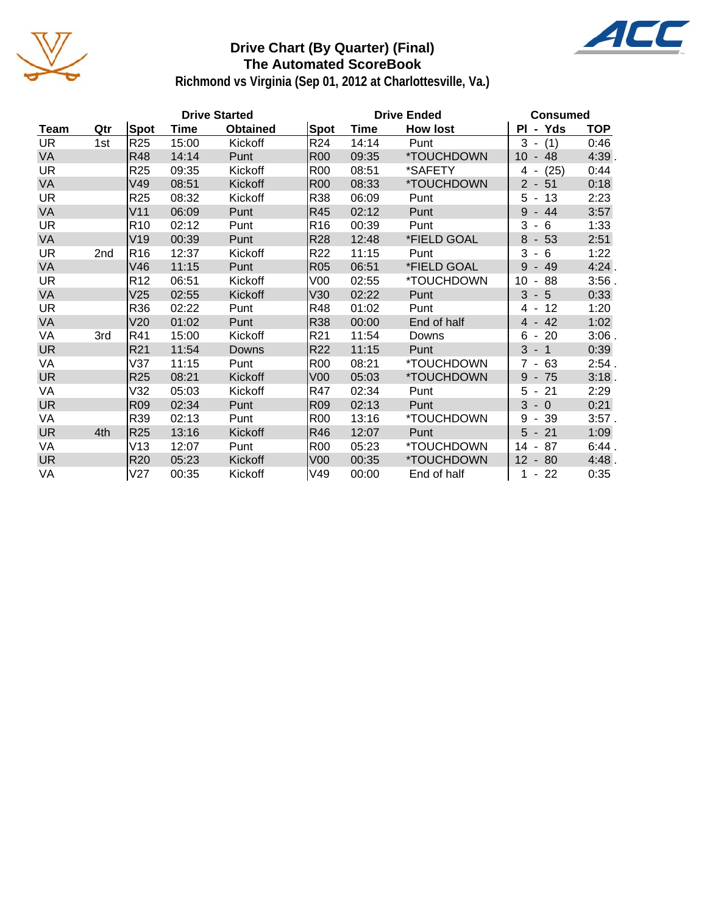

### **Drive Chart (By Quarter) (Final) The Automated ScoreBook**



**Richmond vs Virginia (Sep 01, 2012 at Charlottesville, Va.)**

|           |                 |                 |             | <b>Drive Started</b> |                 |       | <b>Drive Ended</b> | <b>Consumed</b>                      |            |
|-----------|-----------------|-----------------|-------------|----------------------|-----------------|-------|--------------------|--------------------------------------|------------|
| Team      | Qtr             | Spot            | <b>Time</b> | <b>Obtained</b>      | Spot            | Time  | <b>How lost</b>    | PI - Yds                             | <b>TOP</b> |
| <b>UR</b> | 1st             | R <sub>25</sub> | 15:00       | Kickoff              | R <sub>24</sub> | 14:14 | Punt               | $3 -$<br>(1)                         | 0:46       |
| <b>VA</b> |                 | R48             | 14:14       | Punt                 | <b>R00</b>      | 09:35 | *TOUCHDOWN         | 10<br>$-48$                          | 4:39.      |
| <b>UR</b> |                 | R <sub>25</sub> | 09:35       | Kickoff              | <b>R00</b>      | 08:51 | *SAFETY            | $4 - (25)$                           | 0:44       |
| VA        |                 | V49             | 08:51       | Kickoff              | <b>R00</b>      | 08:33 | *TOUCHDOWN         | $2 - 51$                             | 0:18       |
| <b>UR</b> |                 | R <sub>25</sub> | 08:32       | Kickoff              | R38             | 06:09 | Punt               | $5 - 13$                             | 2:23       |
| VA        |                 | V11             | 06:09       | Punt                 | R45             | 02:12 | Punt               | 9<br>$-44$                           | 3:57       |
| UR.       |                 | R <sub>10</sub> | 02:12       | Punt                 | R <sub>16</sub> | 00:39 | Punt               | 3<br>- 6<br>$\sim$                   | 1:33       |
| VA        |                 | V19             | 00:39       | Punt                 | <b>R28</b>      | 12:48 | *FIELD GOAL        | $8 - 53$                             | 2:51       |
| UR.       | 2 <sub>nd</sub> | R16             | 12:37       | <b>Kickoff</b>       | R <sub>22</sub> | 11:15 | Punt               | 3<br>-6<br>$\blacksquare$            | 1:22       |
| VA        |                 | V46             | 11:15       | Punt                 | <b>R05</b>      | 06:51 | *FIELD GOAL        | 9<br>$-49$                           | 4:24       |
| <b>UR</b> |                 | R <sub>12</sub> | 06:51       | Kickoff              | V <sub>00</sub> | 02:55 | *TOUCHDOWN         | 10<br>88<br>$\blacksquare$           | $3:56$ .   |
| <b>VA</b> |                 | V25             | 02:55       | Kickoff              | V30             | 02:22 | Punt               | $3 - 5$                              | 0:33       |
| UR.       |                 | R36             | 02:22       | Punt                 | R48             | 01:02 | Punt               | 4 - 12                               | 1:20       |
| <b>VA</b> |                 | V20             | 01:02       | Punt                 | <b>R38</b>      | 00:00 | End of half        | $-42$<br>4                           | 1:02       |
| VA        | 3rd             | R41             | 15:00       | Kickoff              | R <sub>21</sub> | 11:54 | Downs              | $6 - 20$                             | $3:06$ .   |
| <b>UR</b> |                 | R21             | 11:54       | Downs                | R <sub>22</sub> | 11:15 | Punt               | 3<br>$-1$                            | 0:39       |
| VA        |                 | V37             | 11:15       | Punt                 | <b>R00</b>      | 08:21 | *TOUCHDOWN         | - 63<br>$7^{\circ}$                  | 2:54.      |
| <b>UR</b> |                 | R <sub>25</sub> | 08:21       | Kickoff              | V <sub>00</sub> | 05:03 | *TOUCHDOWN         | $9 - 75$                             | 3:18.      |
| VA        |                 | V32             | 05:03       | Kickoff              | R47             | 02:34 | Punt               | $-21$<br>5                           | 2:29       |
| <b>UR</b> |                 | R <sub>09</sub> | 02:34       | Punt                 | R <sub>09</sub> | 02:13 | Punt               | $3 - 0$                              | 0:21       |
| VA        |                 | R39             | 02:13       | Punt                 | <b>R00</b>      | 13:16 | *TOUCHDOWN         | 9<br>-39<br>$\sim$                   | $3:57$ .   |
| <b>UR</b> | 4th             | R <sub>25</sub> | 13:16       | Kickoff              | R46             | 12:07 | Punt               | $5 - 21$                             | 1:09       |
| VA        |                 | V13             | 12:07       | Punt                 | <b>R00</b>      | 05:23 | *TOUCHDOWN         | 87<br>14<br>$\overline{\phantom{a}}$ | 6:44.      |
| <b>UR</b> |                 | R <sub>20</sub> | 05:23       | Kickoff              | V <sub>00</sub> | 00:35 | *TOUCHDOWN         | 12<br>$-80$                          | 4:48.      |
| VA        |                 | V27             | 00:35       | Kickoff              | V49             | 00:00 | End of half        | $-22$<br>1                           | 0:35       |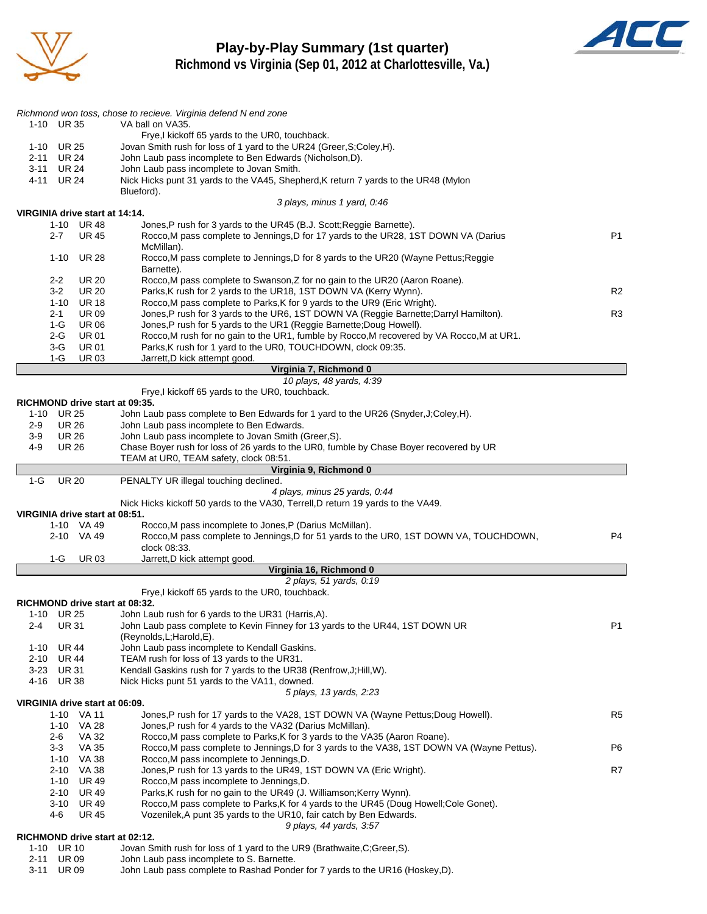

### **Play-by-Play Summary (1st quarter) Richmond vs Virginia (Sep 01, 2012 at Charlottesville, Va.)**



|              |                              |                                              | Richmond won toss, chose to recieve. Virginia defend N end zone                                                                                                   |                |
|--------------|------------------------------|----------------------------------------------|-------------------------------------------------------------------------------------------------------------------------------------------------------------------|----------------|
|              | 1-10 UR 35                   |                                              | VA ball on VA35.                                                                                                                                                  |                |
| 1-10         | <b>UR 25</b>                 |                                              | Frye, I kickoff 65 yards to the UR0, touchback.<br>Jovan Smith rush for loss of 1 yard to the UR24 (Greer, S; Coley, H).                                          |                |
| 2-11         | UR 24                        |                                              | John Laub pass incomplete to Ben Edwards (Nicholson, D).                                                                                                          |                |
| 3-11         | UR 24                        |                                              | John Laub pass incomplete to Jovan Smith.                                                                                                                         |                |
| 4-11         | <b>UR 24</b>                 |                                              | Nick Hicks punt 31 yards to the VA45, Shepherd, K return 7 yards to the UR48 (Mylon                                                                               |                |
|              |                              |                                              | Blueford).                                                                                                                                                        |                |
|              |                              | VIRGINIA drive start at 14:14.               | 3 plays, minus 1 yard, 0:46                                                                                                                                       |                |
|              |                              | 1-10 UR48                                    | Jones, P rush for 3 yards to the UR45 (B.J. Scott; Reggie Barnette).                                                                                              |                |
|              | $2 - 7$                      | <b>UR 45</b>                                 | Rocco, M pass complete to Jennings, D for 17 yards to the UR28, 1ST DOWN VA (Darius                                                                               | P <sub>1</sub> |
|              |                              |                                              | McMillan).                                                                                                                                                        |                |
|              | $1 - 10$                     | <b>UR 28</b>                                 | Rocco, M pass complete to Jennings, D for 8 yards to the UR20 (Wayne Pettus; Reggie<br>Barnette).                                                                 |                |
|              | $2 - 2$                      | <b>UR 20</b>                                 | Rocco, M pass complete to Swanson, Z for no gain to the UR20 (Aaron Roane).                                                                                       |                |
|              | $3-2$                        | <b>UR 20</b>                                 | Parks, K rush for 2 yards to the UR18, 1ST DOWN VA (Kerry Wynn).                                                                                                  | R <sub>2</sub> |
|              | $1 - 10$                     | <b>UR 18</b>                                 | Rocco, M pass complete to Parks, K for 9 yards to the UR9 (Eric Wright).                                                                                          |                |
|              | $2 - 1$<br>$1-G$             | <b>UR09</b>                                  | Jones, P rush for 3 yards to the UR6, 1ST DOWN VA (Reggie Barnette; Darryl Hamilton).                                                                             | R3             |
|              | 2-G                          | <b>UR 06</b><br><b>UR 01</b>                 | Jones, P rush for 5 yards to the UR1 (Reggie Barnette; Doug Howell).<br>Rocco, M rush for no gain to the UR1, fumble by Rocco, M recovered by VA Rocco, M at UR1. |                |
|              | $3-G$                        | <b>UR 01</b>                                 | Parks, K rush for 1 yard to the UR0, TOUCHDOWN, clock 09:35.                                                                                                      |                |
|              | 1-G                          | <b>UR03</b>                                  | Jarrett, D kick attempt good.                                                                                                                                     |                |
|              |                              |                                              | Virginia 7, Richmond 0                                                                                                                                            |                |
|              |                              |                                              | 10 plays, 48 yards, 4:39<br>Frye,I kickoff 65 yards to the UR0, touchback.                                                                                        |                |
|              |                              |                                              | RICHMOND drive start at 09:35.                                                                                                                                    |                |
|              | 1-10 UR 25                   |                                              | John Laub pass complete to Ben Edwards for 1 yard to the UR26 (Snyder, J:Coley, H).                                                                               |                |
| $2-9$        | <b>UR 26</b>                 |                                              | John Laub pass incomplete to Ben Edwards.                                                                                                                         |                |
| $3-9$        | <b>UR 26</b>                 |                                              | John Laub pass incomplete to Jovan Smith (Greer, S).                                                                                                              |                |
| 4-9          | <b>UR 26</b>                 |                                              | Chase Boyer rush for loss of 26 yards to the UR0, fumble by Chase Boyer recovered by UR<br>TEAM at UR0, TEAM safety, clock 08:51.                                 |                |
|              |                              |                                              |                                                                                                                                                                   |                |
|              |                              |                                              | Virginia 9, Richmond 0                                                                                                                                            |                |
| $1-G$        | <b>UR 20</b>                 |                                              | PENALTY UR illegal touching declined.                                                                                                                             |                |
|              |                              |                                              | 4 plays, minus 25 yards, 0:44                                                                                                                                     |                |
|              |                              |                                              | Nick Hicks kickoff 50 yards to the VA30, Terrell, D return 19 yards to the VA49.                                                                                  |                |
|              |                              | VIRGINIA drive start at 08:51.<br>1-10 VA 49 | Rocco, M pass incomplete to Jones, P (Darius McMillan).                                                                                                           |                |
|              |                              | 2-10 VA 49                                   | Rocco, M pass complete to Jennings, D for 51 yards to the UR0, 1ST DOWN VA, TOUCHDOWN,                                                                            | P4             |
|              |                              |                                              | clock 08:33.                                                                                                                                                      |                |
|              | 1-G                          | <b>UR03</b>                                  | Jarrett, D kick attempt good.                                                                                                                                     |                |
|              |                              |                                              | Virginia 16, Richmond 0                                                                                                                                           |                |
|              |                              |                                              | 2 plays, 51 yards, 0:19<br>Frye, kickoff 65 yards to the UR0, touchback.                                                                                          |                |
|              |                              |                                              | RICHMOND drive start at 08:32.                                                                                                                                    |                |
| $1 - 10$     | <b>UR 25</b>                 |                                              | John Laub rush for 6 yards to the UR31 (Harris, A).                                                                                                               |                |
| 2-4          | <b>UR31</b>                  |                                              | John Laub pass complete to Kevin Finney for 13 yards to the UR44, 1ST DOWN UR                                                                                     | P <sub>1</sub> |
|              |                              |                                              | (Reynolds, L; Harold, E).                                                                                                                                         |                |
| 1-10<br>2-10 | <b>UR 44</b><br><b>UR 44</b> |                                              | John Laub pass incomplete to Kendall Gaskins.<br>TEAM rush for loss of 13 yards to the UR31.                                                                      |                |
|              | 3-23 UR 31                   |                                              | Kendall Gaskins rush for 7 yards to the UR38 (Renfrow, J; Hill, W).                                                                                               |                |
|              | 4-16 UR 38                   |                                              | Nick Hicks punt 51 yards to the VA11, downed.                                                                                                                     |                |
|              |                              |                                              | 5 plays, 13 yards, 2:23                                                                                                                                           |                |
|              |                              | VIRGINIA drive start at 06:09.<br>1-10 VA 11 | Jones, P rush for 17 yards to the VA28, 1ST DOWN VA (Wayne Pettus; Doug Howell).                                                                                  | R <sub>5</sub> |
|              |                              | 1-10 VA 28                                   | Jones, P rush for 4 yards to the VA32 (Darius McMillan).                                                                                                          |                |
|              | 2-6                          | <b>VA 32</b>                                 | Rocco, M pass complete to Parks, K for 3 yards to the VA35 (Aaron Roane).                                                                                         |                |
|              | $3 - 3$                      | VA 35                                        | Rocco, M pass complete to Jennings, D for 3 yards to the VA38, 1ST DOWN VA (Wayne Pettus).                                                                        | P6             |
|              |                              | 1-10 VA 38                                   | Rocco, M pass incomplete to Jennings, D.                                                                                                                          |                |
|              |                              | 2-10 VA 38<br>1-10 UR 49                     | Jones,P rush for 13 yards to the UR49, 1ST DOWN VA (Eric Wright).<br>Rocco, M pass incomplete to Jennings, D.                                                     | R7             |
|              | 2-10                         | UR 49                                        | Parks, K rush for no gain to the UR49 (J. Williamson; Kerry Wynn).                                                                                                |                |
|              |                              | 3-10 UR 49                                   | Rocco, M pass complete to Parks, K for 4 yards to the UR45 (Doug Howell; Cole Gonet).                                                                             |                |
|              | 4-6                          | <b>UR 45</b>                                 | Vozenilek, A punt 35 yards to the UR10, fair catch by Ben Edwards.                                                                                                |                |
|              |                              |                                              | 9 plays, 44 yards, 3:57<br>RICHMOND drive start at 02:12.                                                                                                         |                |

1-10 UR 10 Jovan Smith rush for loss of 1 yard to the UR9 (Brathwaite, C; Greer, S).<br>2-11 UR 09 John Laub pass incomplete to S. Barnette. John Laub pass incomplete to S. Barnette.

3-11 UR 09 John Laub pass complete to Rashad Ponder for 7 yards to the UR16 (Hoskey,D).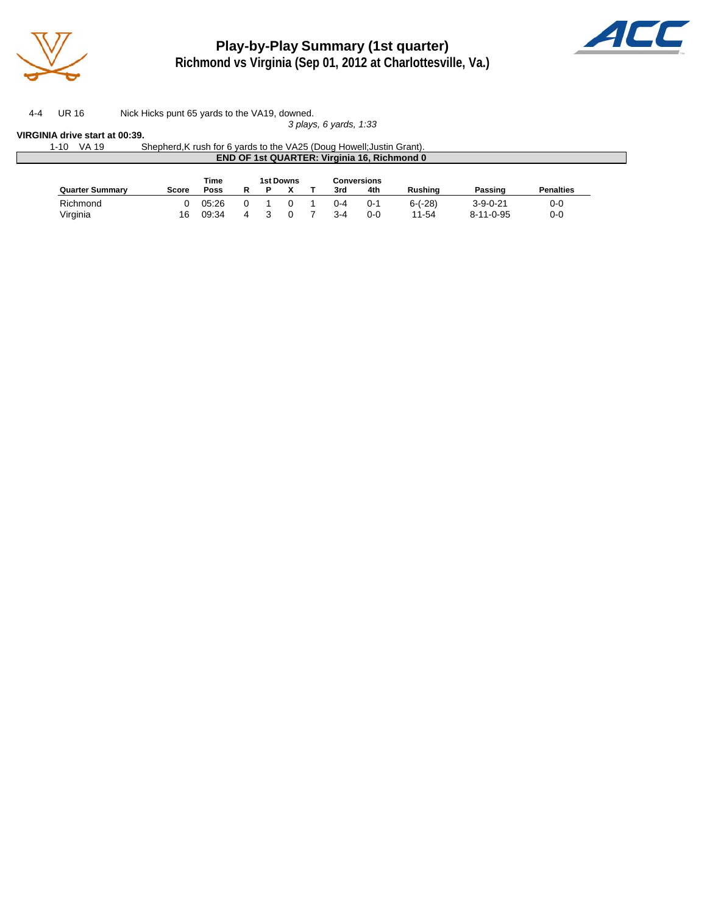

**Play-by-Play Summary (1st quarter)**



**Richmond vs Virginia (Sep 01, 2012 at Charlottesville, Va.)**

4-4 UR 16 Nick Hicks punt 65 yards to the VA19, downed. *3 plays, 6 yards, 1:33*

**VIRGINIA drive start at 00:39.**

|                        | Shepherd, K rush for 6 yards to the VA25 (Doug Howell; Justin Grant). |      |           |  |     | <b>END OF 1st QUARTER: Virginia 16, Richmond 0</b> |         |         |                  |
|------------------------|-----------------------------------------------------------------------|------|-----------|--|-----|----------------------------------------------------|---------|---------|------------------|
|                        |                                                                       | Time | 1st Downs |  |     | Conversions                                        |         |         |                  |
|                        |                                                                       |      |           |  |     |                                                    |         |         |                  |
| <b>Quarter Summary</b> | <b>Score</b>                                                          | Poss |           |  | 3rd | 4th                                                | Rushina | Passing | <b>Penalties</b> |

Virginia 16 09:34 4 3 0 7 3-4 0-0 11-54 8-11-0-95 0-0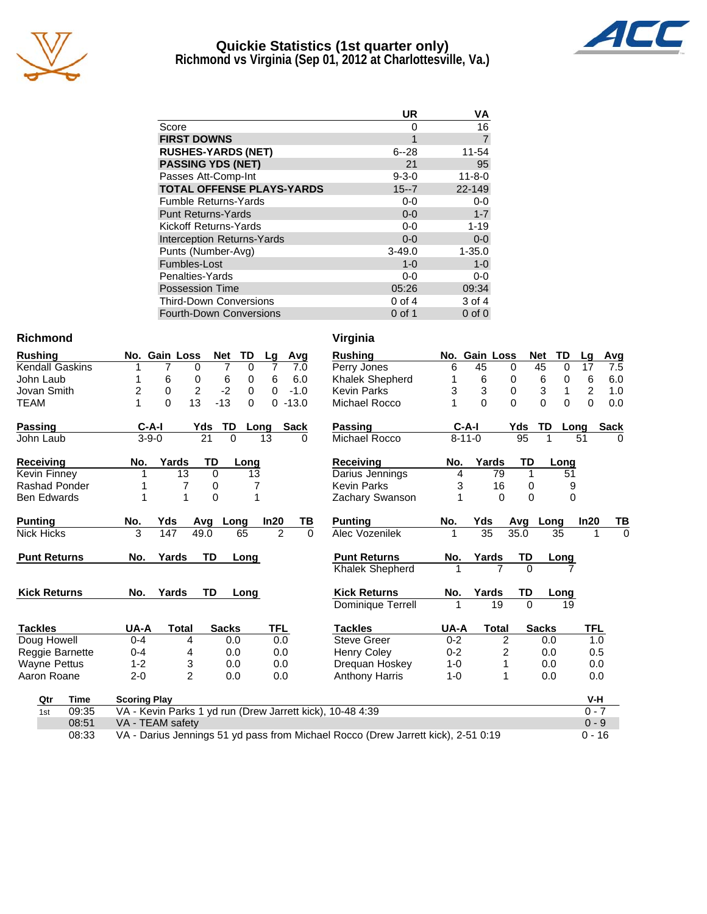

### **Quickie Statistics (1st quarter only) Richmond vs Virginia (Sep 01, 2012 at Charlottesville, Va.)**



|                                   | UR          | ٧A             |
|-----------------------------------|-------------|----------------|
| Score                             | Ω           | 16             |
| <b>FIRST DOWNS</b>                | 1           | $\overline{7}$ |
| <b>RUSHES-YARDS (NET)</b>         | $6 - 28$    | 11-54          |
| <b>PASSING YDS (NET)</b>          | 21          | 95             |
| Passes Att-Comp-Int               | $9 - 3 - 0$ | $11 - 8 - 0$   |
| <b>TOTAL OFFENSE PLAYS-YARDS</b>  | $15 - 7$    | 22-149         |
| <b>Fumble Returns-Yards</b>       | $0-0$       | $0-0$          |
| <b>Punt Returns-Yards</b>         | $0 - 0$     | $1 - 7$        |
| Kickoff Returns-Yards             | $0-0$       | $1 - 19$       |
| <b>Interception Returns-Yards</b> | $0 - 0$     | $0 - 0$        |
| Punts (Number-Avg)                | $3 - 49.0$  | $1 - 35.0$     |
| Fumbles-Lost                      | $1 - 0$     | $1 - 0$        |
| Penalties-Yards                   | $0-0$       | 0-0            |
| <b>Possession Time</b>            | 05:26       | 09:34          |
| <b>Third-Down Conversions</b>     | $0$ of 4    | 3 of 4         |
| <b>Fourth-Down Conversions</b>    | $0$ of 1    | $0$ of $0$     |

### **Richmond Virginia**

| <b>Rushing</b>         | No. Gain Loss       |                     | <b>TD</b><br><b>Net</b> | Lg             | Avg         | <b>Rushing</b>                                                                    |         | No. Gain Loss |              | <b>Net</b>   | TD             | Lg             | <u>Avg</u>  |
|------------------------|---------------------|---------------------|-------------------------|----------------|-------------|-----------------------------------------------------------------------------------|---------|---------------|--------------|--------------|----------------|----------------|-------------|
| <b>Kendall Gaskins</b> |                     | 0                   | 0                       | 7              | 7.0         | Perry Jones                                                                       | 6       | 45            | $\Omega$     | 45           | 0              | 17             | 7.5         |
| John Laub              |                     | 6<br>0              | 6<br>0                  | 6              | 6.0         | Khalek Shepherd                                                                   |         | 6             | 0            | 6            | 0              | 6              | 6.0         |
| Jovan Smith            | $\overline{c}$      | $\overline{2}$<br>0 | $-2$<br>0               | 0              | $-1.0$      | <b>Kevin Parks</b>                                                                | 3       | 3             | $\mathbf 0$  | 3            | 1              | $\overline{c}$ | 1.0         |
| <b>TEAM</b>            |                     | 13<br>$\mathbf{0}$  | $-13$<br>$\Omega$       | 0              | $-13.0$     | Michael Rocco                                                                     |         | $\Omega$      | $\Omega$     | 0            | $\overline{0}$ | $\overline{0}$ | 0.0         |
| Passing                | $C-A-I$             | Yds                 | TD                      | Long           | <b>Sack</b> | <b>Passing</b>                                                                    |         | $C-A-I$       | Yds          |              | TD             | Long           | <b>Sack</b> |
| John Laub              | $3 - 9 - 0$         | $\overline{21}$     | $\Omega$                | 13             | $\Omega$    | Michael Rocco                                                                     |         | $8 - 11 - 0$  |              | 95           |                | 51             | $\Omega$    |
| Receiving              | No.                 | Yards               | TD<br>Long              |                |             | Receiving                                                                         | No.     | Yards         |              | TD           | Long           |                |             |
| Kevin Finney           |                     | 13                  | $\Omega$                | 13             |             | Darius Jennings                                                                   | 4       |               | 79           | $\mathbf{1}$ | 51             |                |             |
| Rashad Ponder          |                     | 7                   | 0                       | 7              |             | <b>Kevin Parks</b>                                                                | 3       |               | 16           | $\Omega$     | 9              |                |             |
| <b>Ben Edwards</b>     |                     | 1                   | $\overline{0}$          |                |             | Zachary Swanson                                                                   |         |               | $\Omega$     | $\Omega$     | $\Omega$       |                |             |
| <b>Punting</b>         | No.                 | Yds<br>Avg          | Long                    | In20           | TВ          | <b>Punting</b>                                                                    | No.     | Yds           | Avg          |              | Long           | In20           | TB          |
| <b>Nick Hicks</b>      | 3                   | 49.0<br>147         | 65                      | $\overline{2}$ | $\Omega$    | Alec Vozenilek                                                                    |         | 35            | 35.0         |              | 35             |                | $\Omega$    |
| <b>Punt Returns</b>    | No.                 | Yards               | <b>TD</b><br>Long       |                |             | <b>Punt Returns</b>                                                               | No.     | Yards         |              | TD           | Long           |                |             |
|                        |                     |                     |                         |                |             | <b>Khalek Shepherd</b>                                                            |         |               |              | $\Omega$     |                |                |             |
| <b>Kick Returns</b>    | No.                 | Yards               | <b>TD</b><br>Long       |                |             | <b>Kick Returns</b>                                                               | No.     | Yards         |              | TD           | Long           |                |             |
|                        |                     |                     |                         |                |             | Dominique Terrell                                                                 |         |               | 19           | $\Omega$     | 19             |                |             |
| <b>Tackles</b>         | UA-A                | Total               | <b>Sacks</b>            | <b>TFL</b>     |             | <b>Tackles</b>                                                                    | UA-A    |               | <b>Total</b> | <b>Sacks</b> |                | <b>TFL</b>     |             |
| Doug Howell            | $0 - 4$             | 4                   | 0.0                     | 0.0            |             | <b>Steve Greer</b>                                                                | $0 - 2$ |               | 2            |              | 0.0            | 1.0            |             |
| Reggie Barnette        | $0 - 4$             | 4                   | 0.0                     | 0.0            |             | <b>Henry Coley</b>                                                                | $0 - 2$ |               | 2            |              | 0.0            | 0.5            |             |
| <b>Wayne Pettus</b>    | $1 - 2$             | 3                   | 0.0                     | 0.0            |             | Drequan Hoskey                                                                    | $1 - 0$ |               |              |              | 0.0            | 0.0            |             |
| Aaron Roane            | $2 - 0$             | $\overline{2}$      | 0.0                     | 0.0            |             | <b>Anthony Harris</b>                                                             | $1 - 0$ |               | 1            |              | 0.0            | 0.0            |             |
| Qtr<br>Time            | <b>Scoring Play</b> |                     |                         |                |             |                                                                                   |         |               |              |              |                | V-H            |             |
| 09:35<br>1st           |                     |                     |                         |                |             | VA - Kevin Parks 1 yd run (Drew Jarrett kick), 10-48 4:39                         |         |               |              |              |                | $0 - 7$        |             |
| 08:51                  | VA - TEAM safety    |                     |                         |                |             |                                                                                   |         |               |              |              |                | $0 - 9$        |             |
| 08:33                  |                     |                     |                         |                |             | VA - Darius Jennings 51 yd pass from Michael Rocco (Drew Jarrett kick), 2-51 0:19 |         |               |              |              |                | $0 - 16$       |             |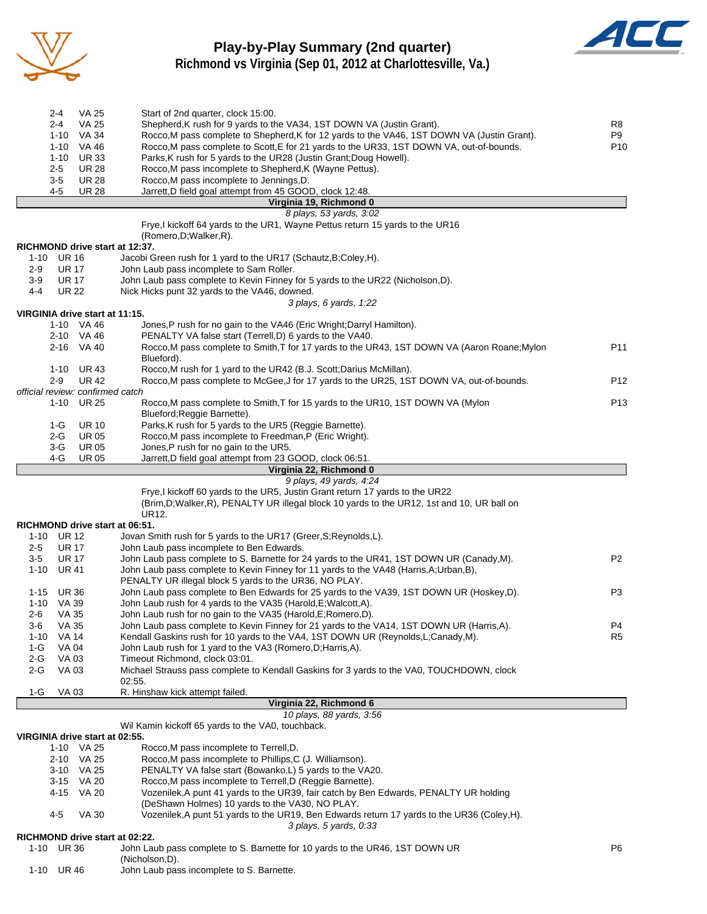

### **Play-by-Play Summary (2nd quarter) Richmond vs Virginia (Sep 01, 2012 at Charlottesville, Va.)**



|          | 2-4<br>2-4                 | <b>VA 25</b><br>VA 25            | Start of 2nd quarter, clock 15:00.<br>Shepherd, K rush for 9 yards to the VA34, 1ST DOWN VA (Justin Grant).    | R <sub>8</sub>  |
|----------|----------------------------|----------------------------------|----------------------------------------------------------------------------------------------------------------|-----------------|
|          | 1-10                       | VA 34                            | Rocco, M pass complete to Shepherd, K for 12 yards to the VA46, 1ST DOWN VA (Justin Grant).                    | P9              |
|          | $1 - 10$                   | VA 46                            | Rocco, M pass complete to Scott, E for 21 yards to the UR33, 1ST DOWN VA, out-of-bounds.                       | P <sub>10</sub> |
|          | $1 - 10$                   | <b>UR33</b>                      | Parks, K rush for 5 yards to the UR28 (Justin Grant; Doug Howell).                                             |                 |
|          | 2-5                        | <b>UR 28</b>                     | Rocco, M pass incomplete to Shepherd, K (Wayne Pettus).                                                        |                 |
|          | $3-5$                      | <b>UR 28</b>                     | Rocco, M pass incomplete to Jennings, D.                                                                       |                 |
|          | 4-5                        | <b>UR 28</b>                     | Jarrett,D field goal attempt from 45 GOOD, clock 12:48.                                                        |                 |
|          |                            |                                  | Virginia 19, Richmond 0                                                                                        |                 |
|          |                            |                                  | 8 plays, 53 yards, 3:02                                                                                        |                 |
|          |                            |                                  | Frye, I kickoff 64 yards to the UR1, Wayne Pettus return 15 yards to the UR16                                  |                 |
|          |                            |                                  | (Romero, D; Walker, R).                                                                                        |                 |
|          | 1-10 UR 16                 |                                  | RICHMOND drive start at 12:37.                                                                                 |                 |
| $2-9$    | <b>UR 17</b>               |                                  | Jacobi Green rush for 1 yard to the UR17 (Schautz, B; Coley, H).<br>John Laub pass incomplete to Sam Roller.   |                 |
| $3-9$    | <b>UR 17</b>               |                                  | John Laub pass complete to Kevin Finney for 5 yards to the UR22 (Nicholson, D).                                |                 |
| $4 - 4$  | <b>UR 22</b>               |                                  | Nick Hicks punt 32 yards to the VA46, downed.                                                                  |                 |
|          |                            |                                  | 3 plays, 6 yards, 1:22                                                                                         |                 |
|          |                            | VIRGINIA drive start at 11:15.   |                                                                                                                |                 |
|          |                            | 1-10 VA 46                       | Jones, P rush for no gain to the VA46 (Eric Wright; Darryl Hamilton).                                          |                 |
|          |                            | 2-10 VA 46                       | PENALTY VA false start (Terrell, D) 6 yards to the VA40.                                                       |                 |
|          |                            | 2-16 VA 40                       | Rocco, M pass complete to Smith, T for 17 yards to the UR43, 1ST DOWN VA (Aaron Roane; Mylon                   | P11             |
|          |                            |                                  | Blueford).                                                                                                     |                 |
|          | $1 - 10$                   | UR 43                            | Rocco, M rush for 1 yard to the UR42 (B.J. Scott; Darius McMillan).                                            |                 |
|          | $2 - 9$                    | <b>UR42</b>                      | Rocco, M pass complete to McGee, J for 17 yards to the UR25, 1ST DOWN VA, out-of-bounds.                       | P <sub>12</sub> |
|          |                            | official review: confirmed catch |                                                                                                                |                 |
|          | $1 - 10$                   | <b>UR 25</b>                     | Rocco, M pass complete to Smith, T for 15 yards to the UR10, 1ST DOWN VA (Mylon<br>Blueford; Reggie Barnette). | P <sub>13</sub> |
|          | 1-G                        | <b>UR 10</b>                     | Parks, K rush for 5 yards to the UR5 (Reggie Barnette).                                                        |                 |
|          | 2-G                        | <b>UR 05</b>                     | Rocco, M pass incomplete to Freedman, P (Eric Wright).                                                         |                 |
|          | 3-G                        | <b>UR 05</b>                     | Jones, P rush for no gain to the UR5.                                                                          |                 |
|          | 4-G                        | <b>UR 05</b>                     | Jarrett, D field goal attempt from 23 GOOD, clock 06:51.                                                       |                 |
|          |                            |                                  | Virginia 22, Richmond 0                                                                                        |                 |
|          |                            |                                  | 9 plays, 49 yards, 4:24                                                                                        |                 |
|          |                            |                                  | Frye, I kickoff 60 yards to the UR5, Justin Grant return 17 yards to the UR22                                  |                 |
|          |                            |                                  | (Brim, D; Walker, R), PENALTY UR illegal block 10 yards to the UR12, 1st and 10, UR ball on                    |                 |
|          |                            |                                  | UR12.                                                                                                          |                 |
|          |                            |                                  | RICHMOND drive start at 06:51.                                                                                 |                 |
| $2 - 5$  | 1-10 UR 12<br><b>UR 17</b> |                                  | Jovan Smith rush for 5 yards to the UR17 (Greer, S; Reynolds, L).<br>John Laub pass incomplete to Ben Edwards. |                 |
| $3-5$    | <b>UR 17</b>               |                                  | John Laub pass complete to S. Barnette for 24 yards to the UR41, 1ST DOWN UR (Canady, M).                      | P <sub>2</sub>  |
|          | 1-10 UR 41                 |                                  | John Laub pass complete to Kevin Finney for 11 yards to the VA48 (Harris, A; Urban, B),                        |                 |
|          |                            |                                  | PENALTY UR illegal block 5 yards to the UR36, NO PLAY.                                                         |                 |
| 1-15     | UR 36                      |                                  | John Laub pass complete to Ben Edwards for 25 yards to the VA39, 1ST DOWN UR (Hoskey,D).                       | P <sub>3</sub>  |
| 1-10     | VA 39                      |                                  | John Laub rush for 4 yards to the VA35 (Harold, E; Walcott, A).                                                |                 |
| 2-6      | VA 35                      |                                  | John Laub rush for no gain to the VA35 (Harold, E; Romero, D).                                                 |                 |
| 3-6      | <b>VA 35</b>               |                                  | John Laub pass complete to Kevin Finney for 21 yards to the VA14, 1ST DOWN UR (Harris, A).                     | P4              |
| $1 - 10$ | <b>VA 14</b>               |                                  | Kendall Gaskins rush for 10 yards to the VA4, 1ST DOWN UR (Reynolds, L;Canady, M).                             | R5              |
| 1-G      | VA 04                      |                                  | John Laub rush for 1 yard to the VA3 (Romero, D; Harris, A).                                                   |                 |
| $2-G$    | VA 03                      |                                  | Timeout Richmond, clock 03:01.                                                                                 |                 |
| $2-G$    | VA 03                      |                                  | Michael Strauss pass complete to Kendall Gaskins for 3 yards to the VA0, TOUCHDOWN, clock                      |                 |
|          |                            |                                  | 02:55.                                                                                                         |                 |
| 1-G      | VA 03                      |                                  | R. Hinshaw kick attempt failed.<br>Virginia 22, Richmond 6                                                     |                 |
|          |                            |                                  | 10 plays, 88 yards, 3:56                                                                                       |                 |
|          |                            |                                  | Wil Kamin kickoff 65 yards to the VA0, touchback.                                                              |                 |
|          |                            | VIRGINIA drive start at 02:55.   |                                                                                                                |                 |
|          |                            | 1-10 VA 25                       | Rocco, M pass incomplete to Terrell, D.                                                                        |                 |
|          |                            | 2-10 VA 25                       | Rocco, M pass incomplete to Phillips, C (J. Williamson).                                                       |                 |
|          |                            | 3-10 VA 25                       | PENALTY VA false start (Bowanko,L) 5 yards to the VA20.                                                        |                 |
|          |                            | 3-15 VA 20                       | Rocco, M pass incomplete to Terrell, D (Reggie Barnette).                                                      |                 |
|          | 4-15                       | <b>VA 20</b>                     | Vozenilek, A punt 41 yards to the UR39, fair catch by Ben Edwards, PENALTY UR holding                          |                 |
|          |                            |                                  | (DeShawn Holmes) 10 yards to the VA30, NO PLAY.                                                                |                 |
|          | 4-5                        | VA 30                            | Vozenilek, A punt 51 yards to the UR19, Ben Edwards return 17 yards to the UR36 (Coley, H).                    |                 |
|          |                            |                                  | 3 plays, 5 yards, 0:33                                                                                         |                 |
|          | 1-10 UR 36                 |                                  | RICHMOND drive start at 02:22.<br>John Laub pass complete to S. Barnette for 10 yards to the UR46, 1ST DOWN UR | P6              |
|          |                            |                                  | (Nicholson,D).                                                                                                 |                 |

1-10 UR 46 John Laub pass incomplete to S. Barnette.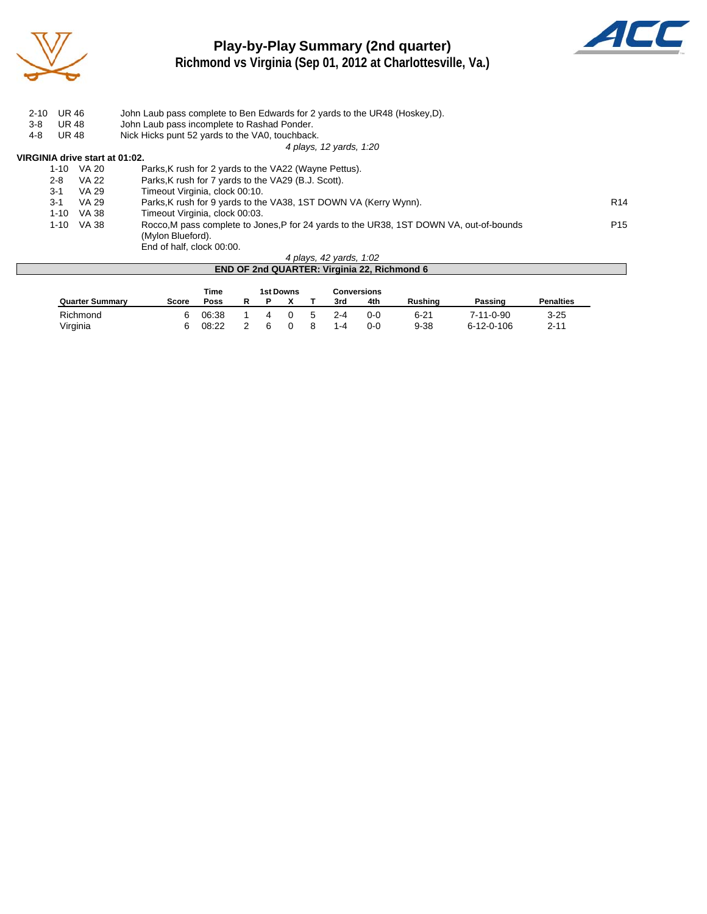

### **Play-by-Play Summary (2nd quarter) Richmond vs Virginia (Sep 01, 2012 at Charlottesville, Va.)**



2-10 UR 46 John Laub pass complete to Ben Edwards for 2 yards to the UR48 (Hoskey, D). 3-8 UR 48 John Laub pass incomplete to Rashad Ponder.<br>4-8 UR 48 Nick Hicks punt 52 yards to the VA0, touchback Nick Hicks punt 52 yards to the VA0, touchback. *4 plays, 12 yards, 1:20* **VIRGINIA drive start at 01:02.**<br>1-10 VA 20 F 1-10 VA 20 Parks, K rush for 2 yards to the VA22 (Wayne Pettus).<br>2-8 VA 22 Parks. K rush for 7 vards to the VA29 (B.J. Scott). VA 22 Parks, K rush for 7 yards to the VA29 (B.J. Scott).<br>VA 29 Timeout Virginia, clock 00:10. 3-1 VA 29 Timeout Virginia, clock 00:10. 3-1 VA 29 Parks, K rush for 9 yards to the VA38, 1ST DOWN VA (Kerry Wynn). 1-10 VA 38 Timeout Virginia, clock 00:03.<br>1-10 VA 38 Rocco, M pass complete to Jor Rocco,M pass complete to Jones,P for 24 yards to the UR38, 1ST DOWN VA, out-of-bounds P15 (Mylon Blueford). End of half, clock 00:00.

#### *4 plays, 42 yards, 1:02* **END OF 2nd QUARTER: Virginia 22, Richmond 6**

|                        |       | Time  |   | 1st Downs |    | <b>Conversions</b> |         |                |                    |                  |
|------------------------|-------|-------|---|-----------|----|--------------------|---------|----------------|--------------------|------------------|
| <b>Quarter Summary</b> | Score | Poss  | R |           |    | 3rd                | 4th     | <b>Rushing</b> | Passing            | <b>Penalties</b> |
| Richmond               | 6     | 06:38 |   |           | 5. | $2 - 4$            | $0 - 0$ | $6 - 21$       | $7 - 11 - 0 - 90$  | $3 - 25$         |
| Virginia               | 6     | 08:22 |   |           |    | 1-4                | $0 - 0$ | $9 - 38$       | $6 - 12 - 0 - 106$ | $2 - 11$         |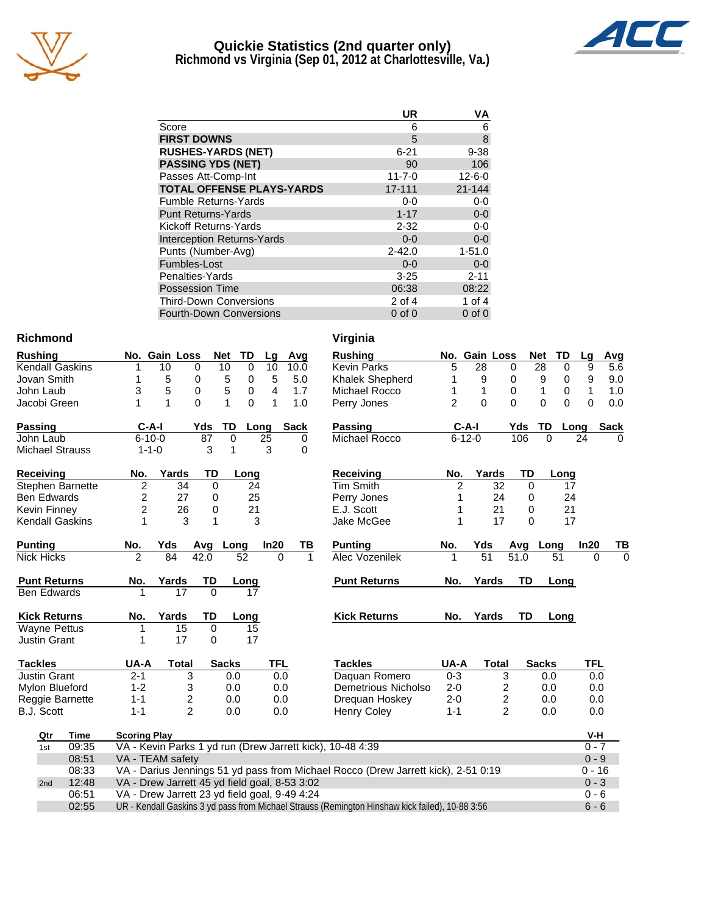

### **Quickie Statistics (2nd quarter only) Richmond vs Virginia (Sep 01, 2012 at Charlottesville, Va.)**



|                                   | UR           | ٧A           |
|-----------------------------------|--------------|--------------|
| Score                             | 6            | 6            |
| <b>FIRST DOWNS</b>                | 5            | 8            |
| <b>RUSHES-YARDS (NET)</b>         | $6 - 21$     | $9 - 38$     |
| <b>PASSING YDS (NET)</b>          | 90           | 106          |
| Passes Att-Comp-Int               | $11 - 7 - 0$ | $12 - 6 - 0$ |
| <b>TOTAL OFFENSE PLAYS-YARDS</b>  | 17-111       | 21-144       |
| <b>Fumble Returns-Yards</b>       | $0 - 0$      | 0-0          |
| <b>Punt Returns-Yards</b>         | $1 - 17$     | $0-0$        |
| Kickoff Returns-Yards             | $2 - 32$     | $0-0$        |
| <b>Interception Returns-Yards</b> | $0 - 0$      | $0-0$        |
| Punts (Number-Avg)                | $2 - 42.0$   | $1 - 51.0$   |
| Fumbles-Lost                      | $0 - 0$      | $0-0$        |
| Penalties-Yards                   | $3 - 25$     | $2 - 11$     |
| <b>Possession Time</b>            | 06:38        | 08:22        |
| <b>Third-Down Conversions</b>     | $2$ of 4     | 1 of $4$     |
| <b>Fourth-Down Conversions</b>    | $0$ of $0$   | $0$ of $0$   |

#### **Richmond Virginia**

| <b>Rushing</b>                                                                                           |             |                                               | No. Gain Loss                                 |                         |             | <b>Net</b>   | <b>TD</b>   | Lg         | Avg         |             | <b>Rushing</b>                                                                    |                | No. Gain Loss   |                         |                   | <b>Net</b>   | TD       | Lg         | Avg         |
|----------------------------------------------------------------------------------------------------------|-------------|-----------------------------------------------|-----------------------------------------------|-------------------------|-------------|--------------|-------------|------------|-------------|-------------|-----------------------------------------------------------------------------------|----------------|-----------------|-------------------------|-------------------|--------------|----------|------------|-------------|
| <b>Kendall Gaskins</b>                                                                                   |             |                                               | 10                                            | 0                       |             | 10           | $\mathbf 0$ | 10         | 10.0        |             | <b>Kevin Parks</b>                                                                | 5              | 28              |                         | 0                 | 28           | 0        | 9          | 5.6         |
| Jovan Smith                                                                                              |             |                                               | 5                                             | 0                       |             | 5            | 0           | 5          | 5.0         |             | Khalek Shepherd                                                                   |                | 9               |                         | 0                 | 9            | 0        | 9          | 9.0         |
| John Laub                                                                                                |             | 3                                             | 5                                             | 0                       |             | 5            | 0           | 4          | 1.7         |             | Michael Rocco                                                                     | 1              | 1               |                         | 0                 | 1            | 0        | 1          | 1.0         |
| Jacobi Green                                                                                             |             | 1                                             | 1                                             | $\Omega$                |             | 1            | $\Omega$    | 1          | 1.0         |             | Perry Jones                                                                       | $\overline{2}$ | $\mathbf{0}$    |                         | 0                 | 0            | $\Omega$ | $\Omega$   | 0.0         |
| <b>Passing</b>                                                                                           |             |                                               | $C-A-I$                                       |                         | Yds         | TD           | Long        |            | <b>Sack</b> |             | <b>Passing</b>                                                                    |                | $C-A-I$         |                         | Yds               | TD           | Long     |            | <b>Sack</b> |
| John Laub                                                                                                |             |                                               | $6 - 10 - 0$                                  |                         | 87          | $\Omega$     |             | 25         |             | 0           | Michael Rocco                                                                     |                | $6 - 12 - 0$    |                         | 106               | $\Omega$     |          | 24         | 0           |
| <b>Michael Strauss</b>                                                                                   |             |                                               | $1 - 1 - 0$                                   |                         | 3           | 1            |             | 3          |             | 0           |                                                                                   |                |                 |                         |                   |              |          |            |             |
| Receiving                                                                                                |             | No.                                           |                                               | Yards                   | TD          |              | Long        |            |             |             | <b>Receiving</b>                                                                  | No.            |                 | Yards                   | TD                |              | Long     |            |             |
| Stephen Barnette                                                                                         |             | $\overline{\mathbf{c}}$                       |                                               | 34                      | $\mathbf 0$ |              | 24          |            |             |             | Tim Smith                                                                         | $\overline{2}$ |                 | 32                      | $\mathbf 0$       |              | 17       |            |             |
| <b>Ben Edwards</b>                                                                                       |             | $\overline{c}$                                |                                               | 27                      | 0           |              | 25          |            |             |             | Perry Jones                                                                       | 1              |                 | 24                      | 0                 |              | 24       |            |             |
| <b>Kevin Finney</b>                                                                                      |             | $\overline{c}$                                |                                               | 26                      | 0           |              | 21          |            |             |             | E.J. Scott                                                                        | 1              |                 | 21                      | 0                 |              | 21       |            |             |
| <b>Kendall Gaskins</b>                                                                                   |             | 1                                             |                                               | 3                       | 1           |              | 3           |            |             |             | Jake McGee                                                                        | 1              |                 | 17                      | $\Omega$          |              | 17       |            |             |
| <b>Punting</b>                                                                                           |             | No.                                           | Yds                                           |                         | Avg         | Long         |             | In20       |             | ΤВ          | <b>Punting</b>                                                                    | No.            | Yds             |                         | Avg               | Long         |          | In20       | TВ          |
| <b>Nick Hicks</b>                                                                                        |             | $\overline{2}$                                | 84                                            |                         | 42.0        |              | 52          |            | $\Omega$    | $\mathbf 1$ | Alec Vozenilek                                                                    | 1              | $\overline{51}$ |                         | $\overline{51.0}$ |              | 51       | $\Omega$   | $\Omega$    |
| <b>Punt Returns</b>                                                                                      |             | No.                                           | Yards                                         |                         | TD          |              | Long        |            |             |             | <b>Punt Returns</b>                                                               | No.            |                 | Yards                   | <b>TD</b>         |              | Long     |            |             |
| <b>Ben Edwards</b>                                                                                       |             |                                               |                                               | 17                      | $\Omega$    |              | 17          |            |             |             |                                                                                   |                |                 |                         |                   |              |          |            |             |
| <b>Kick Returns</b>                                                                                      |             | No.                                           | Yards                                         |                         | TD          |              | Long        |            |             |             | <b>Kick Returns</b>                                                               | No.            |                 | Yards                   | TD                |              | Long     |            |             |
| <b>Wayne Pettus</b>                                                                                      |             | 1                                             |                                               | 15                      | 0           |              | 15          |            |             |             |                                                                                   |                |                 |                         |                   |              |          |            |             |
| <b>Justin Grant</b>                                                                                      |             | 1                                             |                                               | 17                      | 0           |              | 17          |            |             |             |                                                                                   |                |                 |                         |                   |              |          |            |             |
| <b>Tackles</b>                                                                                           |             | UA-A                                          |                                               | Total                   |             | <b>Sacks</b> |             | <b>TFL</b> |             |             | <b>Tackles</b>                                                                    | UA-A           |                 | <b>Total</b>            |                   | <b>Sacks</b> |          | <b>TFL</b> |             |
| <b>Justin Grant</b>                                                                                      |             | $2 - 1$                                       |                                               | 3                       |             | 0.0          |             |            | 0.0         |             | Daquan Romero                                                                     | $0 - 3$        |                 | 3                       |                   | 0.0          |          | 0.0        |             |
| Mylon Blueford                                                                                           |             | $1 - 2$                                       |                                               | 3                       |             | 0.0          |             |            | 0.0         |             | Demetrious Nicholso                                                               | $2 - 0$        |                 | 2                       |                   | 0.0          |          | 0.0        |             |
| Reggie Barnette                                                                                          |             | $1 - 1$                                       |                                               | $\overline{\mathbf{c}}$ |             | 0.0          |             |            | 0.0         |             | Drequan Hoskey                                                                    | $2 - 0$        |                 | $\overline{\mathbf{c}}$ |                   | 0.0          |          | 0.0        |             |
| <b>B.J. Scott</b>                                                                                        |             | $1 - 1$                                       |                                               | $\overline{2}$          |             | 0.0          |             |            | 0.0         |             | <b>Henry Coley</b>                                                                | $1 - 1$        |                 | $\overline{c}$          |                   | 0.0          |          | 0.0        |             |
| Qtr                                                                                                      | <b>Time</b> | <b>Scoring Play</b>                           |                                               |                         |             |              |             |            |             |             |                                                                                   |                |                 |                         |                   |              |          | V-H        |             |
| 1st                                                                                                      | 09:35       |                                               |                                               |                         |             |              |             |            |             |             | VA - Kevin Parks 1 yd run (Drew Jarrett kick), 10-48 4:39                         |                |                 |                         |                   |              |          | $0 - 7$    |             |
|                                                                                                          | 08:51       | VA - TEAM safety                              |                                               |                         |             |              |             |            |             |             |                                                                                   |                |                 |                         |                   |              |          | $0 - 9$    |             |
|                                                                                                          | 08:33       |                                               |                                               |                         |             |              |             |            |             |             | VA - Darius Jennings 51 yd pass from Michael Rocco (Drew Jarrett kick), 2-51 0:19 |                |                 |                         |                   |              |          | $0 - 16$   |             |
| 2nd                                                                                                      | 12:48       |                                               | VA - Drew Jarrett 45 yd field goal, 8-53 3:02 |                         |             |              |             |            |             |             |                                                                                   |                |                 |                         |                   |              |          | $0 - 3$    |             |
| 06:51                                                                                                    |             | VA - Drew Jarrett 23 yd field goal, 9-49 4:24 |                                               |                         |             |              |             |            |             |             |                                                                                   |                |                 |                         |                   |              |          | $0 - 6$    |             |
| 02:55<br>UR - Kendall Gaskins 3 yd pass from Michael Strauss (Remington Hinshaw kick failed), 10-88 3:56 |             |                                               |                                               |                         |             |              |             |            |             |             |                                                                                   |                |                 |                         |                   |              | $6 - 6$  |            |             |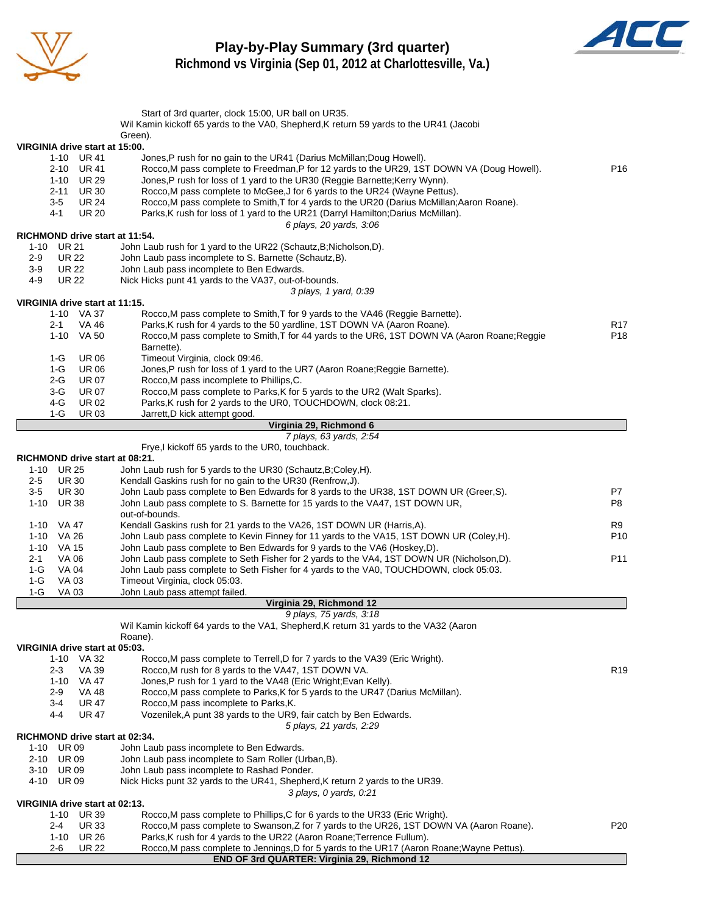

### **Play-by-Play Summary (3rd quarter) Richmond vs Virginia (Sep 01, 2012 at Charlottesville, Va.)**



Start of 3rd quarter, clock 15:00, UR ball on UR35. Wil Kamin kickoff 65 yards to the VA0, Shepherd, K return 59 yards to the UR41 (Jacobi Green). **VIRGINIA drive start at 15:00.** 1-10 UR 41 Jones,P rush for no gain to the UR41 (Darius McMillan;Doug Howell). 2-10 UR 41 Rocco,M pass complete to Freedman,P for 12 yards to the UR29, 1ST DOWN VA (Doug Howell). P16 1-10 UR 29 Jones,P rush for loss of 1 yard to the UR30 (Reggie Barnette;Kerry Wynn). 2-11 UR 30 Rocco,M pass complete to McGee,J for 6 yards to the UR24 (Wayne Pettus). 3-5 UR 24 Rocco,M pass complete to Smith,T for 4 yards to the UR20 (Darius McMillan;Aaron Roane). 4-1 UR 20 Parks,K rush for loss of 1 yard to the UR21 (Darryl Hamilton;Darius McMillan). *6 plays, 20 yards, 3:06* **RICHMOND drive start at 11:54.** 1-10 UR 21 John Laub rush for 1 yard to the UR22 (Schautz,B;Nicholson,D). 2-9 UR 22 John Laub pass incomplete to S. Barnette (Schautz,B). 3-9 UR 22 John Laub pass incomplete to Ben Edwards. 4-9 UR 22 Nick Hicks punt 41 yards to the VA37, out-of-bounds. *3 plays, 1 yard, 0:39* **VIRGINIA drive start at 11:15.** 1-10 VA 37 Rocco,M pass complete to Smith,T for 9 yards to the VA46 (Reggie Barnette). 2-1 VA 46 Parks,K rush for 4 yards to the 50 yardline, 1ST DOWN VA (Aaron Roane).<br>1-10 VA 50 Rocco.M pass complete to Smith.T for 44 vards to the UR6. 1ST DOWN VA (Aaron Roane:Reggie P18 Rocco,M pass complete to Smith,T for 44 yards to the UR6, 1ST DOWN VA (Aaron Roane;Reggie Barnette). 1-G UR 06 Timeout Virginia, clock 09:46. 1-G UR 06 Jones, P rush for loss of 1 yard to the UR7 (Aaron Roane; Reggie Barnette). 2-G UR 07 Rocco,M pass incomplete to Phillips,C. 3-G UR 07 Rocco,M pass complete to Parks,K for 5 yards to the UR2 (Walt Sparks). 4-G UR 02 Parks, K rush for 2 yards to the UR0, TOUCHDOWN, clock 08:21. 1-G UR 03 Jarrett,D kick attempt good. **Virginia 29, Richmond 6** *7 plays, 63 yards, 2:54* Frye,I kickoff 65 yards to the UR0, touchback. **RICHMOND drive start at 08:21.** 1-10 UR 25 John Laub rush for 5 yards to the UR30 (Schautz,B;Coley,H). 2-5 UR 30 Kendall Gaskins rush for no gain to the UR30 (Renfrow, J). 3-5 UR 30 John Laub pass complete to Ben Edwards for 8 yards to the UR38, 1ST DOWN UR (Greer,S). P7 1-10 UR 38 John Laub pass complete to S. Barnette for 15 yards to the VA47, 1ST DOWN UR, out-of-bounds. 1-10 VA 47 Kendall Gaskins rush for 21 yards to the VA26, 1ST DOWN UR (Harris, A). R9 1-10 VA 26 John Laub pass complete to Kevin Finney for 11 yards to the VA15, 1ST DOWN UR (Coley,H). P10 1-10 VA 15 John Laub pass complete to Ben Edwards for 9 yards to the VA6 (Hoskey, D).<br>2-1 VA 06 John Laub pass complete to Seth Fisher for 2 vards to the VA4. 1ST DOWN 2-1 VA 06 John Laub pass complete to Seth Fisher for 2 yards to the VA4, 1ST DOWN UR (Nicholson,D). P11<br>1-G VA 04 John Laub pass complete to Seth Fisher for 4 yards to the VA0, TOUCHDOWN, clock 05:03. 1-G VA 04 John Laub pass complete to Seth Fisher for 4 yards to the VA0, TOUCHDOWN, clock 05:03. 1-G VA 03 Timeout Virginia, clock 05:03. 1-G VA 03 John Laub pass attempt failed. **Virginia 29, Richmond 12** *9 plays, 75 yards, 3:18* Wil Kamin kickoff 64 yards to the VA1, Shepherd, K return 31 yards to the VA32 (Aaron Roane). **VIRGINIA drive start at 05:03.** Rocco,M pass complete to Terrell,D for 7 yards to the VA39 (Eric Wright). 2-3 VA 39 Rocco,M rush for 8 yards to the VA47, 1ST DOWN VA. 1-10 VA 47 Jones,P rush for 1 yard to the VA48 (Eric Wright;Evan Kelly). 2-9 VA 48 Rocco,M pass complete to Parks,K for 5 yards to the UR47 (Darius McMillan). 3-4 UR 47 Rocco,M pass incomplete to Parks,K. 4-4 UR 47 Vozenilek,A punt 38 yards to the UR9, fair catch by Ben Edwards. *5 plays, 21 yards, 2:29* **RICHMOND drive start at 02:34.** 1-10 UR 09 John Laub pass incomplete to Ben Edwards. 2-10 UR 09 John Laub pass incomplete to Sam Roller (Urban,B). 3-10 UR 09 John Laub pass incomplete to Rashad Ponder. 4-10 UR 09 Nick Hicks punt 32 yards to the UR41, Shepherd,K return 2 yards to the UR39. *3 plays, 0 yards, 0:21* **VIRGINIA drive start at 02:13.** 1-10 UR 39 Rocco,M pass complete to Phillips,C for 6 yards to the UR33 (Eric Wright). 2-4 UR 33 Rocco,M pass complete to Swanson,Z for 7 yards to the UR26, 1ST DOWN VA (Aaron Roane). P20 1-10 UR 26 Parks,K rush for 4 yards to the UR22 (Aaron Roane;Terrence Fullum). 2-6 UR 22 Rocco,M pass complete to Jennings,D for 5 yards to the UR17 (Aaron Roane;Wayne Pettus). **END OF 3rd QUARTER: Virginia 29, Richmond 12**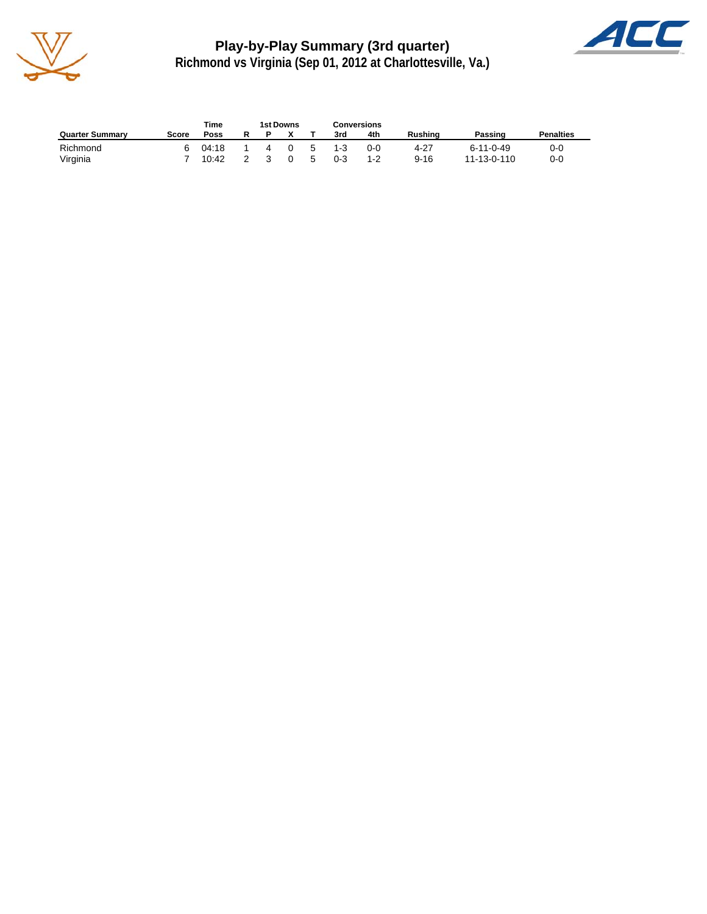

**Play-by-Play Summary (3rd quarter) Richmond vs Virginia (Sep 01, 2012 at Charlottesville, Va.)**



|                        |       | Time  |   | 1st Downs |    |         | Conversions |                |                   |                  |
|------------------------|-------|-------|---|-----------|----|---------|-------------|----------------|-------------------|------------------|
| <b>Quarter Summary</b> | Score | Poss  |   |           |    | 3rd     | 4th         | <b>Rushing</b> | Passing           | <b>Penalties</b> |
| Richmond               |       | 04:18 | 4 | - 0       | -5 | $1 - 3$ | ი-ი         | 4-27           | $6 - 11 - 0 - 49$ | 0-0              |
| Virginia               |       | 10:42 |   | $\Omega$  | 5  | $0 - 3$ | $1 - 2$     | $9 - 16$       | 11-13-0-110       | 0-0              |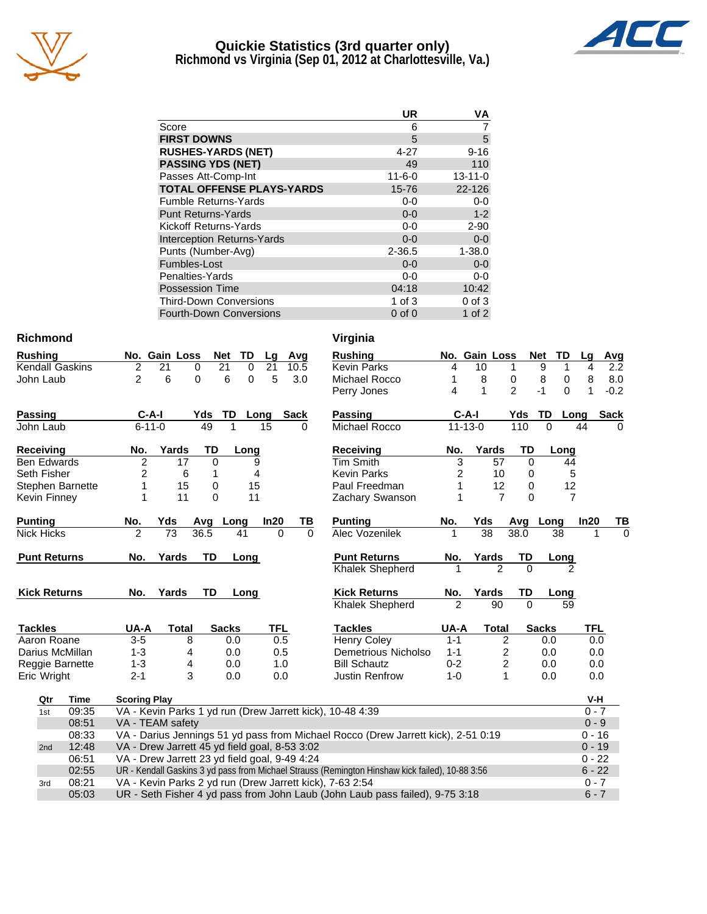

### **Quickie Statistics (3rd quarter only) Richmond vs Virginia (Sep 01, 2012 at Charlottesville, Va.)**



|                                   | UR           | ٧A            |
|-----------------------------------|--------------|---------------|
| Score                             | 6            |               |
| <b>FIRST DOWNS</b>                | 5            | 5             |
| <b>RUSHES-YARDS (NET)</b>         | $4 - 27$     | $9 - 16$      |
| <b>PASSING YDS (NET)</b>          | 49           | 110           |
| Passes Att-Comp-Int               | $11 - 6 - 0$ | $13 - 11 - 0$ |
| <b>TOTAL OFFENSE PLAYS-YARDS</b>  | 15-76        | 22-126        |
| <b>Fumble Returns-Yards</b>       | $0-0$        | $0-0$         |
| <b>Punt Returns-Yards</b>         | $0 - 0$      | $1 - 2$       |
| Kickoff Returns-Yards             | $0 - 0$      | $2 - 90$      |
| <b>Interception Returns-Yards</b> | $0 - 0$      | $0 - 0$       |
| Punts (Number-Avg)                | $2 - 36.5$   | $1 - 38.0$    |
| Fumbles-Lost                      | $0 - 0$      | $0-0$         |
| Penalties-Yards                   | $0-0$        | $0-0$         |
| <b>Possession Time</b>            | 04:18        | 10:42         |
| <b>Third-Down Conversions</b>     | 1 of $3$     | $0$ of $3$    |
| <b>Fourth-Down Conversions</b>    | $0$ of $0$   | $1$ of $2$    |

### **Richmond Virginia**

| <b>Rushing</b>         |       |                                               | No. Gain Loss   |              |             | <b>Net</b>   | TD          | Lg         |             | Avg      | <b>Rushing</b>                                                                    |                | No. Gain Loss |                         |                | <b>Net</b>   | TD             | Lg       | <b>Avg</b>  |
|------------------------|-------|-----------------------------------------------|-----------------|--------------|-------------|--------------|-------------|------------|-------------|----------|-----------------------------------------------------------------------------------|----------------|---------------|-------------------------|----------------|--------------|----------------|----------|-------------|
| <b>Kendall Gaskins</b> |       | 2                                             | 21              |              | 0           | 21           | $\mathbf 0$ | 21         |             | 10.5     | <b>Kevin Parks</b>                                                                | 4              | 10            |                         | 1              | 9            |                | 4        | 2.2         |
| John Laub              |       | $\overline{2}$                                | 6               |              | $\Omega$    | 6            | $\Omega$    | 5          |             | 3.0      | Michael Rocco                                                                     |                | 8             |                         | 0              | 8            | 0              | 8        | 8.0         |
|                        |       |                                               |                 |              |             |              |             |            |             |          | Perry Jones                                                                       | 4              | 1             |                         | $\overline{2}$ | $-1$         | $\Omega$       | 1        | $-0.2$      |
| <b>Passing</b>         |       |                                               | $C-A-I$         |              | Yds         | TD           | Long        |            | <b>Sack</b> |          | <b>Passing</b>                                                                    |                | $C-A-I$       |                         | Yds            | TD           | Long           |          | <b>Sack</b> |
| John Laub              |       |                                               | $6 - 11 - 0$    |              | 49          |              |             | 15         |             | 0        | Michael Rocco                                                                     |                | $11 - 13 - 0$ |                         | 110            | $\Omega$     |                | 44       | 0           |
| <b>Receiving</b>       |       | No.                                           |                 | Yards        | TD          |              | Long        |            |             |          | Receiving                                                                         | No.            |               | Yards                   | TD             |              | Long           |          |             |
| <b>Ben Edwards</b>     |       | $\overline{2}$                                |                 | 17           | $\Omega$    |              | 9           |            |             |          | <b>Tim Smith</b>                                                                  | 3              |               | 57                      | $\Omega$       |              | 44             |          |             |
| Seth Fisher            |       | 2                                             |                 | 6            | 1           |              | 4           |            |             |          | <b>Kevin Parks</b>                                                                | 2              |               | 10                      | 0              |              | 5              |          |             |
| Stephen Barnette       |       |                                               |                 | 15           | $\mathbf 0$ |              | 15          |            |             |          | Paul Freedman                                                                     |                |               | 12                      | 0              |              | 12             |          |             |
| Kevin Finney           |       |                                               |                 | 11           | $\Omega$    |              | 11          |            |             |          | Zachary Swanson                                                                   |                |               | $\overline{7}$          | $\Omega$       |              | $\overline{7}$ |          |             |
| <b>Punting</b>         |       | No.                                           | Yds             |              | Avg         | Long         |             | In20       |             | TВ       | <b>Punting</b>                                                                    | No.            | Yds           |                         | Avg            | Long         |                | ln20     | ΤI          |
| <b>Nick Hicks</b>      |       | $\mathfrak{p}$                                | $\overline{73}$ |              | 36.5        |              | 41          |            | $\Omega$    | $\Omega$ | Alec Vozenilek                                                                    |                |               | $\overline{38}$         | 38.0           |              | 38             |          |             |
| <b>Punt Returns</b>    |       | No.                                           |                 | Yards        | TD          |              | Long        |            |             |          | <b>Punt Returns</b>                                                               | No.            |               | Yards                   | TD             |              | Long           |          |             |
|                        |       |                                               |                 |              |             |              |             |            |             |          | Khalek Shepherd                                                                   |                |               | 2                       | $\Omega$       |              |                |          |             |
| <b>Kick Returns</b>    |       | No.                                           |                 | Yards        | TD          |              | Long        |            |             |          | <b>Kick Returns</b>                                                               | No.            |               | Yards                   | TD             |              | Long           |          |             |
|                        |       |                                               |                 |              |             |              |             |            |             |          | <b>Khalek Shepherd</b>                                                            | $\mathfrak{p}$ |               | 90                      | $\Omega$       |              | 59             |          |             |
| <b>Tackles</b>         |       | UA-A                                          |                 | <b>Total</b> |             | <b>Sacks</b> |             | <b>TFL</b> |             |          | <b>Tackles</b>                                                                    | UA-A           |               | <b>Total</b>            |                | <b>Sacks</b> |                | TFL      |             |
| Aaron Roane            |       | $3-5$                                         |                 | 8            |             | 0.0          |             |            | 0.5         |          | <b>Henry Coley</b>                                                                | $1 - 1$        |               | $\overline{\mathbf{c}}$ |                | 0.0          |                | 0.0      |             |
| Darius McMillan        |       | $1 - 3$                                       |                 | 4            |             | 0.0          |             |            | 0.5         |          | Demetrious Nicholso                                                               | $1 - 1$        |               | $\overline{\mathbf{c}}$ |                | 0.0          |                | 0.0      |             |
| Reggie Barnette        |       | $1 - 3$                                       |                 | 4            |             | 0.0          |             |            | 1.0         |          | <b>Bill Schautz</b>                                                               | $0 - 2$        |               | 2                       |                | 0.0          |                | 0.0      |             |
| Eric Wright            |       | $2 - 1$                                       |                 | 3            |             | 0.0          |             |            | 0.0         |          | <b>Justin Renfrow</b>                                                             | $1 - 0$        |               | 1                       |                | 0.0          |                | 0.0      |             |
| <b>Time</b><br>Qtr     |       | <b>Scoring Play</b>                           |                 |              |             |              |             |            |             |          |                                                                                   |                |               |                         |                |              |                | V-H      |             |
| 1st                    | 09:35 |                                               |                 |              |             |              |             |            |             |          | VA - Kevin Parks 1 yd run (Drew Jarrett kick), 10-48 4:39                         |                |               |                         |                |              |                | $0 - 7$  |             |
|                        | 08:51 | VA - TEAM safety                              |                 |              |             |              |             |            |             |          |                                                                                   |                |               |                         |                |              |                | $0 - 9$  |             |
|                        | 08:33 |                                               |                 |              |             |              |             |            |             |          | VA - Darius Jennings 51 yd pass from Michael Rocco (Drew Jarrett kick), 2-51 0:19 |                |               |                         |                |              |                | $0 - 16$ |             |
| 2nd                    | 12:48 | VA - Drew Jarrett 45 yd field goal, 8-53 3:02 |                 |              |             |              |             |            |             |          |                                                                                   |                |               |                         |                |              |                | $0 - 19$ |             |
|                        | 06:51 | VA - Drew Jarrett 23 yd field goal, 9-49 4:24 |                 |              |             |              |             |            |             |          |                                                                                   |                |               |                         |                |              |                | $0 - 22$ |             |
|                        |       |                                               |                 |              |             |              |             |            |             |          |                                                                                   |                |               |                         |                |              |                |          |             |

| Receiving             | No.     | Yards | TD   | Long          |      |    |
|-----------------------|---------|-------|------|---------------|------|----|
| <b>Tim Smith</b>      | 3       | 57    | 0    | 44            |      |    |
| Kevin Parks           | 2       | 10    | 0    | 5             |      |    |
| Paul Freedman         | 1       | 12    | 0    | 12            |      |    |
| Zachary Swanson       | 1       | 7     | 0    | 7             |      |    |
| Punting               | No.     | Yds   | Avq  | Long          | In20 | ΤВ |
| Alec Vozenilek        | 1       | 38    | 38.0 | 38            | 1    | 0  |
| <b>Punt Returns</b>   | No.     | Yards | TD   | Long          |      |    |
| Khalek Shepherd       | 1       | 2     | 0    | $\mathcal{P}$ |      |    |
| <b>Kick Returns</b>   | No.     | Yards | TD   | Long          |      |    |
| Khalek Shepherd       | 2       | 90    | 0    | 59            |      |    |
| <b>Tackles</b>        | UA-A    | Total |      | Sacks         | TFL  |    |
| <b>Henry Coley</b>    | $1 - 1$ |       | 2    | 0.0           | 0.0  |    |
| Demetrious Nicholso   | 1-1     |       | 2    | 0.0           | 0.0  |    |
| <b>Bill Schautz</b>   | $0 - 2$ |       | 2    | 0.0           | 0.0  |    |
| <b>Justin Renfrow</b> | 1-0     |       | 1    | 0.0           | 0.0  |    |

| Qtr | Time  | <b>Scoring Play</b>                                                                             | V-H      |
|-----|-------|-------------------------------------------------------------------------------------------------|----------|
| 1st | 09:35 | VA - Kevin Parks 1 yd run (Drew Jarrett kick), 10-48 4:39                                       | $0 - 7$  |
|     | 08:51 | VA - TEAM safety                                                                                | $0 - 9$  |
|     | 08:33 | VA - Darius Jennings 51 yd pass from Michael Rocco (Drew Jarrett kick), 2-51 0:19               | $0 - 16$ |
| 2nd | 12:48 | VA - Drew Jarrett 45 yd field goal, 8-53 3:02                                                   | $0 - 19$ |
|     | 06:51 | VA - Drew Jarrett 23 yd field goal, 9-49 4:24                                                   | $0 - 22$ |
|     | 02:55 | UR - Kendall Gaskins 3 yd pass from Michael Strauss (Remington Hinshaw kick failed), 10-88 3:56 | $6 - 22$ |
| 3rd | 08:21 | VA - Kevin Parks 2 yd run (Drew Jarrett kick), 7-63 2:54                                        | $0 - 7$  |
|     | 05:03 | UR - Seth Fisher 4 yd pass from John Laub (John Laub pass failed), 9-75 3:18                    | $6 - 7$  |
|     |       |                                                                                                 |          |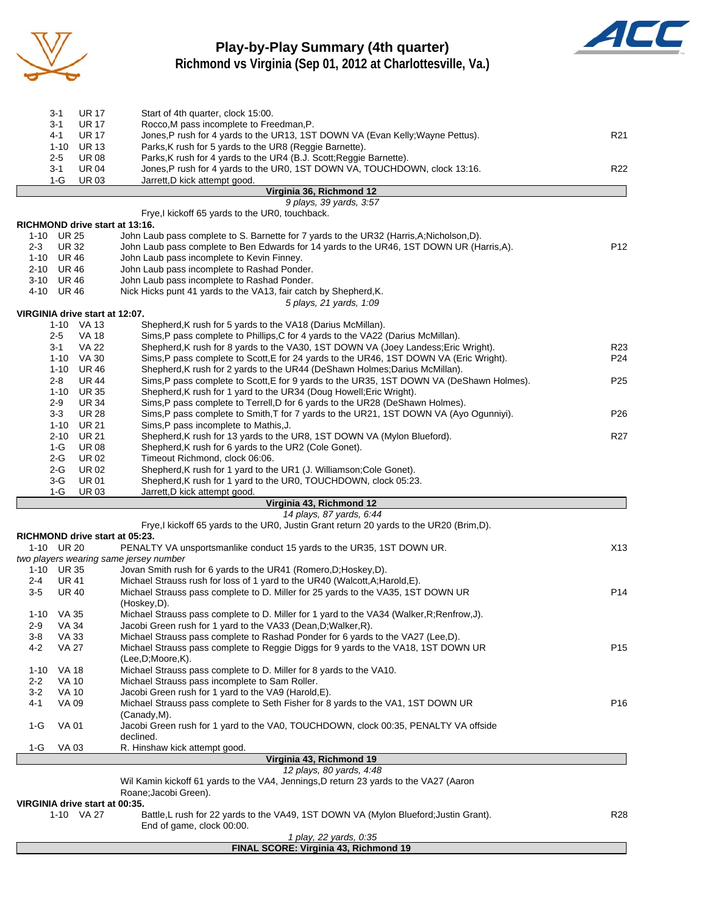

### **Play-by-Play Summary (4th quarter) Richmond vs Virginia (Sep 01, 2012 at Charlottesville, Va.)**



|          |              | Virginia 36, Richmond 12                                                       |                 |
|----------|--------------|--------------------------------------------------------------------------------|-----------------|
| 1-G      | <b>UR03</b>  | Jarrett, D kick attempt good.                                                  |                 |
| $3 - 1$  | <b>UR 04</b> | Jones, P rush for 4 yards to the UR0, 1ST DOWN VA, TOUCHDOWN, clock 13:16.     | R <sub>22</sub> |
| $2-5$    | UR 08        | Parks, K rush for 4 yards to the UR4 (B.J. Scott; Reggie Barnette).            |                 |
| $1 - 10$ | <b>UR 13</b> | Parks, K rush for 5 yards to the UR8 (Reggie Barnette).                        |                 |
| $4 - 1$  | <b>UR 17</b> | Jones, P rush for 4 yards to the UR13, 1ST DOWN VA (Evan Kelly; Wayne Pettus). | R <sub>21</sub> |
| $3 - 1$  | <b>UR 17</b> | Rocco, M pass incomplete to Freedman, P.                                       |                 |
| 3-1      | UR 17        | Start of 4th quarter, clock 15:00.                                             |                 |

|          |              |                                | 9 plays, 39 yards, 3:57                                                                   |                 |
|----------|--------------|--------------------------------|-------------------------------------------------------------------------------------------|-----------------|
|          |              |                                | Frye, I kickoff 65 yards to the UR0, touchback.                                           |                 |
|          |              | RICHMOND drive start at 13:16. |                                                                                           |                 |
|          | 1-10 UR 25   |                                | John Laub pass complete to S. Barnette for 7 yards to the UR32 (Harris, A; Nicholson, D). |                 |
| $2 - 3$  | UR 32        |                                | John Laub pass complete to Ben Edwards for 14 yards to the UR46, 1ST DOWN UR (Harris, A). | P <sub>12</sub> |
| $1 - 10$ | <b>UR 46</b> |                                | John Laub pass incomplete to Kevin Finney.                                                |                 |
| $2 - 10$ | UR 46        |                                | John Laub pass incomplete to Rashad Ponder.                                               |                 |
| $3 - 10$ | UR 46        |                                | John Laub pass incomplete to Rashad Ponder.                                               |                 |
| 4-10     | UR 46        |                                | Nick Hicks punt 41 yards to the VA13, fair catch by Shepherd, K.                          |                 |
|          |              |                                | 5 plays, 21 yards, 1:09                                                                   |                 |
|          |              | VIRGINIA drive start at 12:07. |                                                                                           |                 |
|          |              | 1-10 VA 13                     | Shepherd, K rush for 5 yards to the VA18 (Darius McMillan).                               |                 |
|          | $2 - 5$      | VA 18                          | Sims, P pass complete to Phillips, C for 4 yards to the VA22 (Darius McMillan).           |                 |
|          | $3-1$        | VA 22                          | Shepherd, K rush for 8 yards to the VA30, 1ST DOWN VA (Joey Landess; Eric Wright).        | R <sub>23</sub> |
|          | $1 - 10$     | VA 30                          | Sims, P pass complete to Scott, E for 24 yards to the UR46, 1ST DOWN VA (Eric Wright).    | P <sub>24</sub> |
|          | $1 - 10$     | UR 46                          | Shepherd, K rush for 2 yards to the UR44 (DeShawn Holmes; Darius McMillan).               |                 |
|          | $2 - 8$      | <b>UR 44</b>                   | Sims, P pass complete to Scott, E for 9 yards to the UR35, 1ST DOWN VA (DeShawn Holmes).  | P <sub>25</sub> |
|          | $1 - 10$     | <b>UR 35</b>                   | Shepherd, K rush for 1 yard to the UR34 (Doug Howell; Eric Wright).                       |                 |
|          | $2 - 9$      | <b>UR 34</b>                   | Sims, P pass complete to Terrell, D for 6 yards to the UR28 (DeShawn Holmes).             |                 |
|          | $3 - 3$      | <b>UR 28</b>                   | Sims, P pass complete to Smith, T for 7 yards to the UR21, 1ST DOWN VA (Ayo Ogunniyi).    | P <sub>26</sub> |
|          | $1 - 10$     | <b>UR 21</b>                   | Sims, P pass incomplete to Mathis, J.                                                     |                 |
|          | $2 - 10$     | <b>UR 21</b>                   | Shepherd, K rush for 13 yards to the UR8, 1ST DOWN VA (Mylon Blueford).                   | R <sub>27</sub> |
|          | $1-G$        | <b>UR 08</b>                   | Shepherd, K rush for 6 yards to the UR2 (Cole Gonet).                                     |                 |
|          | $2 - G$      | <b>UR02</b>                    | Timeout Richmond, clock 06:06.                                                            |                 |
|          | $2-G$        | <b>UR02</b>                    | Shepherd, K rush for 1 yard to the UR1 (J. Williamson; Cole Gonet).                       |                 |
|          | 3-G          | <b>UR 01</b>                   | Shepherd, K rush for 1 yard to the UR0, TOUCHDOWN, clock 05:23.                           |                 |
|          | $1-G$        | <b>UR03</b>                    | Jarrett, D kick attempt good.                                                             |                 |
|          |              |                                | Virginia 43, Richmond 12                                                                  |                 |

|          |                                | 14 plays, 87 yards, 6:44                                                                   |                 |
|----------|--------------------------------|--------------------------------------------------------------------------------------------|-----------------|
|          |                                | Frye, I kickoff 65 yards to the UR0, Justin Grant return 20 yards to the UR20 (Brim, D).   |                 |
|          |                                | RICHMOND drive start at 05:23.                                                             |                 |
|          | 1-10 UR 20                     | PENALTY VA unsportsmanlike conduct 15 yards to the UR35, 1ST DOWN UR.                      | X <sub>13</sub> |
|          |                                | two players wearing same jersey number                                                     |                 |
| $1 - 10$ | UR 35                          | Jovan Smith rush for 6 yards to the UR41 (Romero, D; Hoskey, D).                           |                 |
| $2 - 4$  | <b>UR 41</b>                   | Michael Strauss rush for loss of 1 yard to the UR40 (Walcott, A; Harold, E).               |                 |
| $3-5$    | <b>UR 40</b>                   | Michael Strauss pass complete to D. Miller for 25 yards to the VA35, 1ST DOWN UR           | P <sub>14</sub> |
|          |                                | (Hoskey,D).                                                                                |                 |
| $1 - 10$ | VA 35                          | Michael Strauss pass complete to D. Miller for 1 yard to the VA34 (Walker, R; Renfrow, J). |                 |
| $2-9$    | <b>VA 34</b>                   | Jacobi Green rush for 1 yard to the VA33 (Dean, D; Walker, R).                             |                 |
| $3 - 8$  | VA 33                          | Michael Strauss pass complete to Rashad Ponder for 6 yards to the VA27 (Lee, D).           |                 |
| $4 - 2$  | <b>VA 27</b>                   | Michael Strauss pass complete to Reggie Diggs for 9 yards to the VA18, 1ST DOWN UR         | P <sub>15</sub> |
|          |                                | (Lee, D; Moore, K).                                                                        |                 |
| $1 - 10$ | <b>VA 18</b>                   | Michael Strauss pass complete to D. Miller for 8 yards to the VA10.                        |                 |
| $2 - 2$  | <b>VA 10</b>                   | Michael Strauss pass incomplete to Sam Roller.                                             |                 |
| $3-2$    | <b>VA 10</b>                   | Jacobi Green rush for 1 yard to the VA9 (Harold, E).                                       |                 |
| $4 - 1$  | VA 09                          | Michael Strauss pass complete to Seth Fisher for 8 yards to the VA1, 1ST DOWN UR           | P <sub>16</sub> |
|          |                                | (Canady, M).                                                                               |                 |
| $1-G$    | <b>VA 01</b>                   | Jacobi Green rush for 1 yard to the VA0, TOUCHDOWN, clock 00:35, PENALTY VA offside        |                 |
|          |                                | declined.                                                                                  |                 |
| 1-G      | VA 03                          | R. Hinshaw kick attempt good.                                                              |                 |
|          |                                | Virginia 43, Richmond 19                                                                   |                 |
|          |                                | 12 plays, 80 yards, 4:48                                                                   |                 |
|          |                                | Wil Kamin kickoff 61 yards to the VA4, Jennings, D return 23 yards to the VA27 (Aaron      |                 |
|          |                                | Roane; Jacobi Green).                                                                      |                 |
|          | VIRGINIA drive start at 00:35. |                                                                                            |                 |
|          | 1-10 VA 27                     | Battle, L rush for 22 yards to the VA49, 1ST DOWN VA (Mylon Blueford; Justin Grant).       | R <sub>28</sub> |

End of game, clock 00:00.

#### *1 play, 22 yards, 0:35* **FINAL SCORE: Virginia 43, Richmond 19**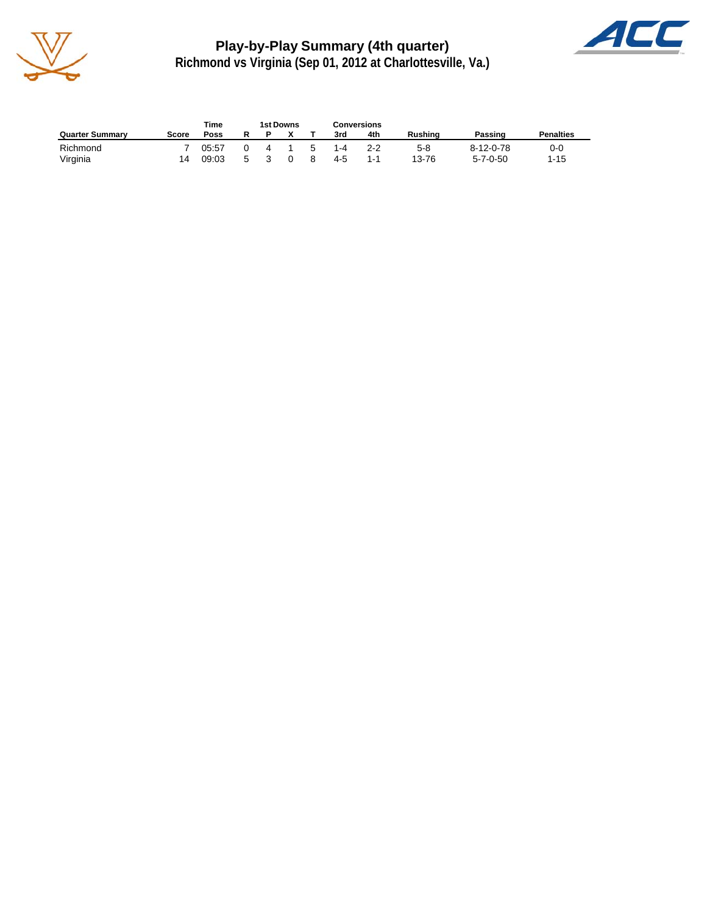

**Play-by-Play Summary (4th quarter) Richmond vs Virginia (Sep 01, 2012 at Charlottesville, Va.)**



|                        |       | Time  | 1st Downs |    | Conversions |     |                |                  |                  |
|------------------------|-------|-------|-----------|----|-------------|-----|----------------|------------------|------------------|
| <b>Quarter Summary</b> | Score | Poss  |           |    | 3rd         | 4th | <b>Rushing</b> | Passing          | <b>Penalties</b> |
| Richmond               |       | 05:57 | 4         | -5 | $1 - 4$     | 2-2 | 5-8            | 8-12-0-78        | 0-0              |
| Virginia               | 14    | 09:03 |           |    | 4-5         | 1-1 | 13-76          | $5 - 7 - 0 - 50$ | 1-15             |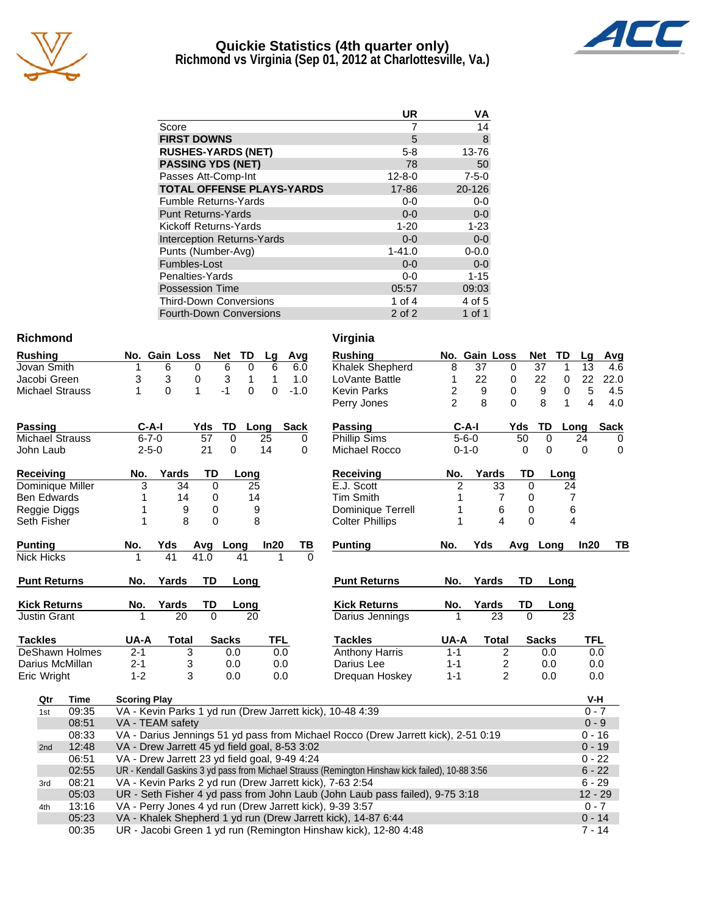

### **Quickie Statistics (4th quarter only) Richmond vs Virginia (Sep 01, 2012 at Charlottesville, Va.)**



|                                   | UR           | ٧A          |
|-----------------------------------|--------------|-------------|
| Score                             |              | 14          |
| <b>FIRST DOWNS</b>                | 5            | 8           |
| <b>RUSHES-YARDS (NET)</b>         | $5 - 8$      | 13-76       |
| <b>PASSING YDS (NET)</b>          | 78           | 50          |
| Passes Att-Comp-Int               | $12 - 8 - 0$ | $7 - 5 - 0$ |
| <b>TOTAL OFFENSE PLAYS-YARDS</b>  | 17-86        | 20-126      |
| <b>Fumble Returns-Yards</b>       | $0-0$        | $0-0$       |
| <b>Punt Returns-Yards</b>         | $0 - 0$      | $0-0$       |
| Kickoff Returns-Yards             | $1 - 20$     | $1 - 23$    |
| <b>Interception Returns-Yards</b> | $0 - 0$      | $0 - 0$     |
| Punts (Number-Avg)                | $1 - 41.0$   | $0 - 0.0$   |
| Fumbles-Lost                      | $0 - 0$      | $0-0$       |
| Penalties-Yards                   | $0-0$        | $1 - 15$    |
| <b>Possession Time</b>            | 05:57        | 09:03       |
| <b>Third-Down Conversions</b>     | 1 of $4$     | 4 of 5      |
| <b>Fourth-Down Conversions</b>    | 2 of 2       | 1 of 1      |

#### **Richmond**

| <b>Rushing</b>         |             | No. Gain Loss | <b>Net</b>   | TD               | Lg         | Avg         | <b>Rushing</b>         |                | No. Gain Loss |                |              | <b>Net</b><br>TD                     |
|------------------------|-------------|---------------|--------------|------------------|------------|-------------|------------------------|----------------|---------------|----------------|--------------|--------------------------------------|
| Jovan Smith            |             | 6             | $\Omega$     | 6<br>$\Omega$    | 6          | 6.0         | Khalek Shepherd        | 8              | 37            | $\Omega$       |              | $\overline{37}$<br>1                 |
| Jacobi Green           | 3           | 3             | 0            | 3<br>1           | 1          | 1.0         | LoVante Battle         |                | 22            | 0              |              | 22<br>0                              |
| <b>Michael Strauss</b> |             | $\Omega$      | 1            | $-1$<br>$\Omega$ | $\Omega$   | $-1.0$      | <b>Kevin Parks</b>     | 2              | 9             | 0              |              | $\boldsymbol{9}$<br>$\boldsymbol{0}$ |
|                        |             |               |              |                  |            |             | Perry Jones            | 2              | 8             | $\Omega$       |              | 8<br>1                               |
| <b>Passing</b>         | $C-A-I$     |               | Yds          | TD               | Long       | <b>Sack</b> | Passing                |                | $C-A-I$       |                | Yds          | TD<br>Lo                             |
| <b>Michael Strauss</b> | $6 - 7 - 0$ |               | 57           | $\Omega$         | 25         | 0           | Phillip Sims           |                | $5 - 6 - 0$   |                | 50           | $\mathbf 0$                          |
| John Laub              | $2 - 5 - 0$ |               | 21           | $\Omega$         | 14         | $\Omega$    | Michael Rocco          |                | $0 - 1 - 0$   |                | 0            | $\Omega$                             |
| <b>Receiving</b>       | No.         | Yards         | TD           | Long             |            |             | Receiving              | No.            | Yards         |                | TD           | Long                                 |
| Dominique Miller       | 3           | 34            | $\Omega$     | 25               |            |             | E.J. Scott             | $\overline{c}$ |               | 33             | $\mathbf{0}$ | $2\prime$                            |
| <b>Ben Edwards</b>     |             | 14            | 0            | 14               |            |             | Tim Smith              |                |               | 7              | 0            |                                      |
| Reggie Diggs           |             | 9             | $\mathbf 0$  |                  | 9          |             | Dominique Terrell      |                |               | 6              | 0            | 6                                    |
| Seth Fisher            |             | 8             | 0            |                  | 8          |             | <b>Colter Phillips</b> |                |               | 4              | $\mathbf{0}$ |                                      |
| <b>Punting</b>         | No.         | Yds           | Avg          | Long             | In20       | TВ          | <b>Punting</b>         | No.            | Yds           |                | Avg          | Long                                 |
| <b>Nick Hicks</b>      |             | 41            | 41.0         | 41               |            | $\Omega$    |                        |                |               |                |              |                                      |
| <b>Punt Returns</b>    | No.         | Yards         | <b>TD</b>    | Long             |            |             | <b>Punt Returns</b>    | No.            | Yards         |                | TD           | Long                                 |
| <b>Kick Returns</b>    | No.         | Yards         | TD           | Long             |            |             | <b>Kick Returns</b>    | No.            | Yards         |                | TD           | Long                                 |
| <b>Justin Grant</b>    | 1           | 20            | $\mathbf{0}$ | 20               |            |             | Darius Jennings        |                |               | 23             | $\Omega$     | 23                                   |
| <b>Tackles</b>         | UA-A        | Total         |              | <b>Sacks</b>     | <b>TFL</b> |             | <b>Tackles</b>         | UA-A           |               | Total          |              | <b>Sacks</b>                         |
| DeShawn Holmes         | $2 - 1$     | 3             |              | 0.0              | 0.0        |             | Anthony Harris         | $1 - 1$        |               | 2              |              | 0.0                                  |
| Darius McMillan        | $2 - 1$     | 3             |              | 0.0              | 0.0        |             | Darius Lee             | $1 - 1$        |               | 2              |              | 0.0                                  |
| Eric Wright            | $1 - 2$     | 3             |              | 0.0              | 0.0        |             | Dreguan Hoskey         | $1 - 1$        |               | $\overline{2}$ |              | 0.0                                  |
|                        |             |               |              |                  |            |             |                        |                |               |                |              |                                      |

| Virginia               |                |             |                         |          |              |      |            |             |
|------------------------|----------------|-------------|-------------------------|----------|--------------|------|------------|-------------|
| <b>Rushing</b>         | No.            | Gain Loss   |                         |          | <b>Net</b>   | TD   | Lq         | Avg         |
| Khalek Shepherd        | 8              | 37          |                         | 0        | 37           | 1    | 13         | 4.6         |
| LoVante Battle         | 1              | 22          |                         | 0        | 22           | 0    | 22         | 22.0        |
| <b>Kevin Parks</b>     | $\overline{c}$ | 9           |                         | 0        | 9            | 0    | 5          | 4.5         |
| Perry Jones            | $\overline{2}$ | 8           |                         | $\Omega$ | 8            | 1    | 4          | 4.0         |
| <b>Passing</b>         |                | $C-A-I$     |                         | Yds      | TD           | Long |            | <b>Sack</b> |
| Phillip Sims           |                | $5 - 6 - 0$ |                         | 50       | 0            |      | 24         | 0           |
| Michael Rocco          |                | $0 - 1 - 0$ |                         | 0        | 0            |      | 0          | 0           |
| Receiving              | No.            |             | Yards                   | TD       |              | Long |            |             |
| E.J. Scott             | 2              |             | 33                      | 0        |              | 24   |            |             |
| <b>Tim Smith</b>       | 1              |             | 7                       | 0        |              | 7    |            |             |
| Dominique Terrell      | 1              |             | 6                       | 0        |              | 6    |            |             |
| <b>Colter Phillips</b> | 1              |             | 4                       | 0        |              | 4    |            |             |
| <b>Punting</b>         | No.            | Yds         |                         | Avq      | Long         |      | In20       | ΤВ          |
|                        |                |             |                         |          |              |      |            |             |
| <b>Punt Returns</b>    | No.            | Yards       |                         | TD       |              | Long |            |             |
| <b>Kick Returns</b>    | No.            | Yards       |                         | TD       |              | Long |            |             |
| Darius Jennings        | 1              |             | 23                      | 0        |              | 23   |            |             |
| <b>Tackles</b>         | UA-A           |             | Total                   |          | <b>Sacks</b> |      | <b>TFL</b> |             |
| <b>Anthony Harris</b>  | $1 - 1$        |             | $\overline{c}$          |          | 0.0          |      | 0.0        |             |
| Darius Lee             | $1 - 1$        |             | $\overline{\mathbf{c}}$ |          | 0.0          |      | 0.0        |             |
| Drequan Hoskey         | $1 - 1$        |             | $\overline{2}$          |          | 0.0          |      | 0.0        |             |
|                        |                |             |                         |          |              |      | V-H        |             |
| 10-48 4:39             |                |             |                         |          |              |      | $0 - 7$    |             |
|                        |                |             |                         |          |              |      | $0 - 9$    |             |
|                        |                |             |                         |          |              |      |            |             |

| Qtr | Time  | <b>Scoring Play</b>                                                                             | V-H       |
|-----|-------|-------------------------------------------------------------------------------------------------|-----------|
| 1st | 09:35 | VA - Kevin Parks 1 yd run (Drew Jarrett kick), 10-48 4:39                                       | $0 - 7$   |
|     | 08:51 | VA - TEAM safety                                                                                | $0 - 9$   |
|     | 08:33 | VA - Darius Jennings 51 yd pass from Michael Rocco (Drew Jarrett kick), 2-51 0:19               | $0 - 16$  |
| 2nd | 12:48 | VA - Drew Jarrett 45 yd field goal, 8-53 3:02                                                   | $0 - 19$  |
|     | 06:51 | VA - Drew Jarrett 23 yd field goal, 9-49 4:24                                                   | $0 - 22$  |
|     | 02:55 | UR - Kendall Gaskins 3 yd pass from Michael Strauss (Remington Hinshaw kick failed), 10-88 3:56 | $6 - 22$  |
| 3rd | 08:21 | VA - Kevin Parks 2 yd run (Drew Jarrett kick), 7-63 2:54                                        | $6 - 29$  |
|     | 05:03 | UR - Seth Fisher 4 yd pass from John Laub (John Laub pass failed), 9-75 3:18                    | $12 - 29$ |
| 4th | 13:16 | VA - Perry Jones 4 yd run (Drew Jarrett kick), 9-39 3:57                                        | $0 - 7$   |
|     | 05:23 | VA - Khalek Shepherd 1 yd run (Drew Jarrett kick), 14-87 6:44                                   | $0 - 14$  |
|     | 00:35 | UR - Jacobi Green 1 yd run (Remington Hinshaw kick), 12-80 4:48                                 | $7 - 14$  |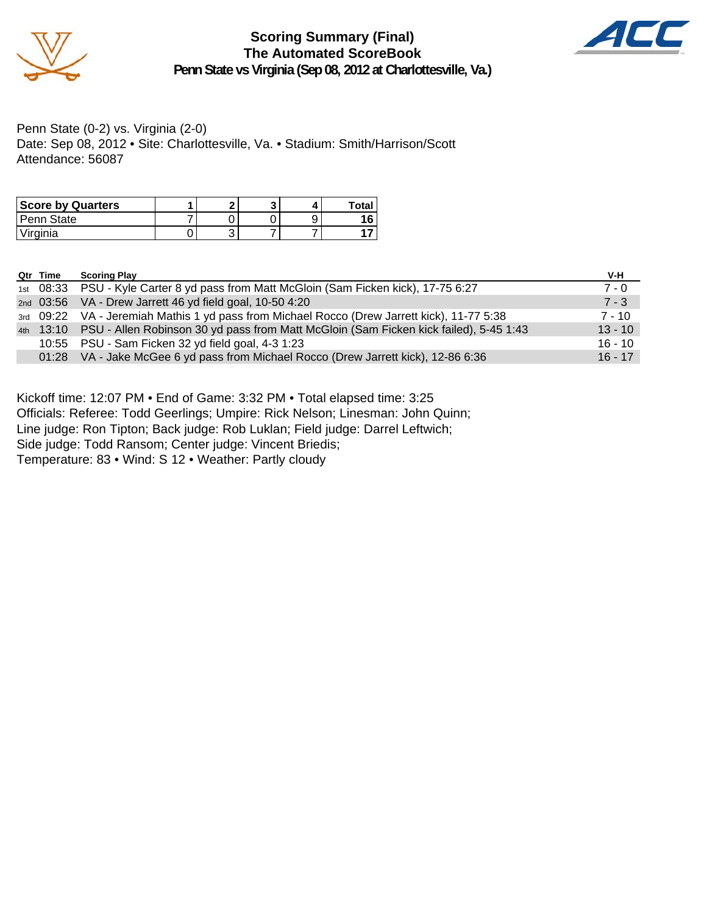

**Scoring Summary (Final) The Automated ScoreBook Penn State vs Virginia (Sep 08, 2012 at Charlottesville, Va.)**



Penn State (0-2) vs. Virginia (2-0) Date: Sep 08, 2012 • Site: Charlottesville, Va. • Stadium: Smith/Harrison/Scott Attendance: 56087

| <b>Score by Quarters</b> |   |  | Total |
|--------------------------|---|--|-------|
| l Penn State             |   |  |       |
| 'Virginia                | ີ |  |       |

| Qtr Time | <b>Scoring Play</b>                                                                             | V-H       |
|----------|-------------------------------------------------------------------------------------------------|-----------|
|          | 1st 08:33 PSU - Kyle Carter 8 yd pass from Matt McGloin (Sam Ficken kick), 17-75 6:27           | $7 - 0$   |
|          | 2nd 03:56 VA - Drew Jarrett 46 yd field goal, 10-50 4:20                                        | $7 - 3$   |
|          | 3rd 09:22 VA - Jeremiah Mathis 1 yd pass from Michael Rocco (Drew Jarrett kick), 11-77 5:38     | 7 - 10    |
|          | 4th 13:10 PSU - Allen Robinson 30 yd pass from Matt McGloin (Sam Ficken kick failed), 5-45 1:43 | $13 - 10$ |
|          | 10:55 PSU - Sam Ficken 32 yd field goal, 4-3 1:23                                               | $16 - 10$ |
|          | 01:28 VA - Jake McGee 6 yd pass from Michael Rocco (Drew Jarrett kick), 12-86 6:36              | $16 - 17$ |

Kickoff time: 12:07 PM • End of Game: 3:32 PM • Total elapsed time: 3:25

Officials: Referee: Todd Geerlings; Umpire: Rick Nelson; Linesman: John Quinn;

Line judge: Ron Tipton; Back judge: Rob Luklan; Field judge: Darrel Leftwich;

Side judge: Todd Ransom; Center judge: Vincent Briedis;

Temperature: 83 • Wind: S 12 • Weather: Partly cloudy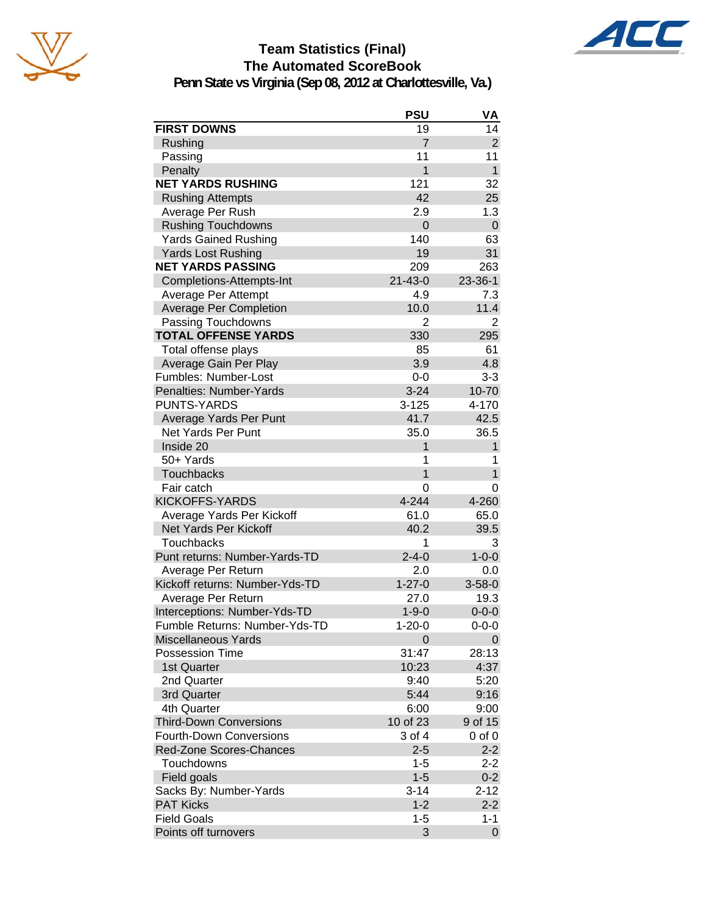



## **Team Statistics (Final) The Automated ScoreBook**

**Penn State vs Virginia (Sep 08, 2012 at Charlottesville, Va.)**

|                                | <b>PSU</b>     | VA             |
|--------------------------------|----------------|----------------|
| <b>FIRST DOWNS</b>             | 19             | 14             |
| Rushing                        | $\overline{7}$ | $\overline{2}$ |
| Passing                        | 11             | 11             |
| Penalty                        | 1              | $\mathbf{1}$   |
| <b>NET YARDS RUSHING</b>       | 121            | 32             |
| <b>Rushing Attempts</b>        | 42             | 25             |
| Average Per Rush               | 2.9            | 1.3            |
| <b>Rushing Touchdowns</b>      | 0              | $\pmb{0}$      |
| <b>Yards Gained Rushing</b>    | 140            | 63             |
| <b>Yards Lost Rushing</b>      | 19             | 31             |
| <b>NET YARDS PASSING</b>       | 209            | 263            |
| Completions-Attempts-Int       | $21 - 43 - 0$  | 23-36-1        |
| Average Per Attempt            | 4.9            | 7.3            |
| <b>Average Per Completion</b>  | 10.0           | 11.4           |
| Passing Touchdowns             | $\overline{2}$ | $\overline{2}$ |
| <b>TOTAL OFFENSE YARDS</b>     | 330            | 295            |
| Total offense plays            | 85             | 61             |
| Average Gain Per Play          | 3.9            | 4.8            |
| Fumbles: Number-Lost           | $0-0$          | $3 - 3$        |
| Penalties: Number-Yards        | $3 - 24$       | $10 - 70$      |
| <b>PUNTS-YARDS</b>             | $3 - 125$      | 4-170          |
| Average Yards Per Punt         | 41.7           | 42.5           |
| <b>Net Yards Per Punt</b>      | 35.0           | 36.5           |
| Inside 20                      | 1              | $\mathbf{1}$   |
| 50+ Yards                      | 1              | 1              |
| <b>Touchbacks</b>              | 1              | $\mathbf{1}$   |
| Fair catch                     | 0              | 0              |
| <b>KICKOFFS-YARDS</b>          | 4-244          | 4-260          |
| Average Yards Per Kickoff      | 61.0           | 65.0           |
| <b>Net Yards Per Kickoff</b>   | 40.2           | 39.5           |
| <b>Touchbacks</b>              | 1              | 3              |
| Punt returns: Number-Yards-TD  | $2 - 4 - 0$    | $1 - 0 - 0$    |
| Average Per Return             | 2.0            | 0.0            |
| Kickoff returns: Number-Yds-TD | $1 - 27 - 0$   | $3 - 58 - 0$   |
| Average Per Return             | 27.0           | 19.3           |
| Interceptions: Number-Yds-TD   | $1 - 9 - 0$    | $0 - 0 - 0$    |
| Fumble Returns: Number-Yds-TD  | $1 - 20 - 0$   | $0 - 0 - 0$    |
| <b>Miscellaneous Yards</b>     | 0              | 0              |
| Possession Time                | 31:47          | 28:13          |
| 1st Quarter                    | 10:23          | 4:37           |
| 2nd Quarter                    | 9:40           | 5:20           |
| 3rd Quarter                    | 5:44           | 9:16           |
| 4th Quarter                    | 6:00           | 9:00           |
| <b>Third-Down Conversions</b>  | 10 of 23       | 9 of 15        |
| <b>Fourth-Down Conversions</b> | 3 of 4         | $0$ of $0$     |
| Red-Zone Scores-Chances        | $2 - 5$        | $2 - 2$        |
| Touchdowns                     | $1 - 5$        | $2 - 2$        |
| Field goals                    | $1 - 5$        | $0 - 2$        |
| Sacks By: Number-Yards         | $3 - 14$       | $2 - 12$       |
| <b>PAT Kicks</b>               | $1 - 2$        | $2 - 2$        |
| <b>Field Goals</b>             | $1 - 5$        | $1 - 1$        |
| Points off turnovers           | 3              | $\mathbf 0$    |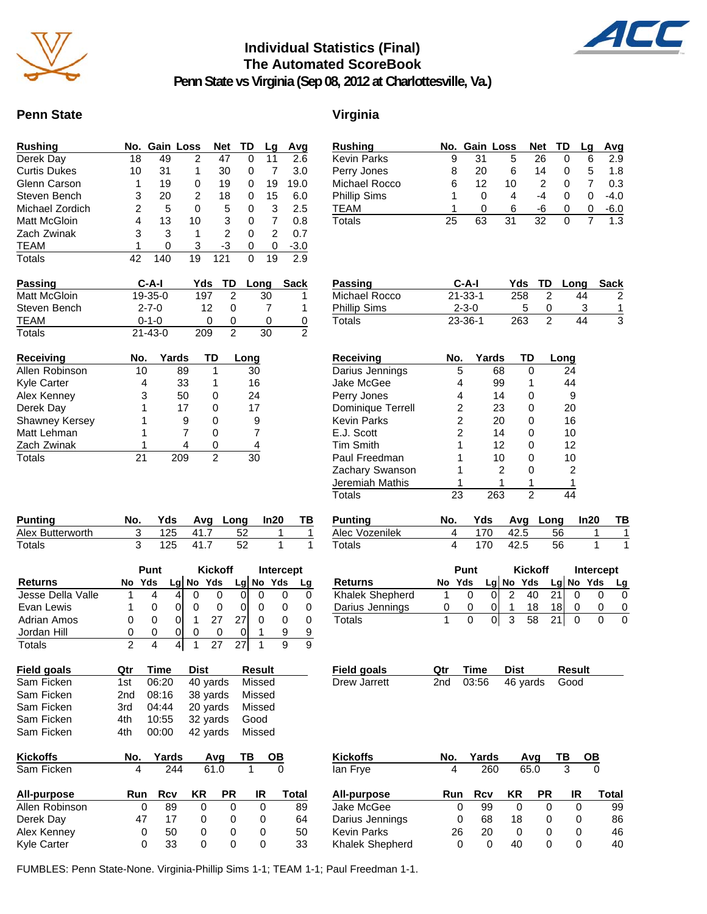

### **Individual Statistics (Final) The Automated ScoreBook**



**Penn State vs Virginia (Sep 08, 2012 at Charlottesville, Va.)**

### Penn State Virginia

|    |     |    | <b>Net</b>    | TD | Lq | Avg    |
|----|-----|----|---------------|----|----|--------|
| 18 | 49  | 2  | 47            | 0  | 11 | 2.6    |
| 10 | 31  | 1  | 30            | 0  |    | 3.0    |
| 1  | 19  | 0  | 19            | 0  | 19 | 19.0   |
| 3  | 20  | 2  | 18            | 0  | 15 | 6.0    |
| 2  | 5   | 0  | 5             | 0  | 3  | 2.5    |
| 4  | 13  | 10 | 3             | 0  |    | 0.8    |
| 3  | 3   | 1  | 2             | 0  | 2  | 0.7    |
|    | 0   | 3  | -3            | 0  | 0  | $-3.0$ |
| 42 | 140 | 19 | 121           | ი  | 19 | 2.9    |
|    |     |    | No. Gain Loss |    |    |        |

| Rushing       |    |          | No. Gain Loss | Net TD |   | Lq | Avg    |
|---------------|----|----------|---------------|--------|---|----|--------|
| Kevin Parks   | 9  | 31       | 5             | 26     |   | 6  | 2.9    |
| Perry Jones   | 8  | 20       | 6             | 14     |   | 5  | 1.8    |
| Michael Rocco | 6  | 12       | 10            | 2      |   |    | 0.3    |
| Phillip Sims  |    | O        | 4             | -4     |   | O  | $-4.0$ |
| TEAM          |    | $^{(1)}$ | 6             | -6     | 0 | 0  | -6.0   |
| Totals        | 25 | 63       | 31            | 32     |   |    | 1.3    |

| Passing      | $C-A-I$       | Yds TD       |   | Long | Sack         |
|--------------|---------------|--------------|---|------|--------------|
| Matt McGloin | $19 - 35 - 0$ | 197          |   | 30   |              |
| Steven Bench | $2 - 7 - 0$   | 12           | O |      |              |
| TEAM         | $0 - 1 - 0$   | $\mathbf{0}$ | 0 |      | $\mathbf{U}$ |
| Totals       | $21 - 43 - 0$ | 209          |   | 30   | 2            |

| Receiving             | No. | Yards | TD | ong |
|-----------------------|-----|-------|----|-----|
| Allen Robinson        | 10  | 89    |    | 30  |
| Kyle Carter           |     | 33    |    | 16  |
| Alex Kenney           | 3   | 50    | O  | 24  |
| Derek Day             |     | 17    |    | 17  |
| <b>Shawney Kersey</b> |     | 9     | ი  | 9   |
| Matt Lehman           |     |       | 0  | 7   |
| Zach Zwinak           |     |       |    | 4   |
| Totals                | 21  |       | 2  |     |

| <b>Punting</b>   | No. |          | Yds Avg Long In20 | <b>TB</b> |
|------------------|-----|----------|-------------------|-----------|
| Alex Butterworth |     | 125 41.7 | - 52              |           |
| Totals           |     | 125 41.7 |                   |           |

|                    |     | Punt |   | <b>Kickoff</b> |              |    | Intercept     |              |   |
|--------------------|-----|------|---|----------------|--------------|----|---------------|--------------|---|
| <b>Returns</b>     | No  | Yds  |   |                | $Lq$ No Yds  |    |               | $Lg$ No Yds  |   |
| Jesse Della Valle  |     | 4    | 4 |                |              |    | O             | $\mathbf{0}$ |   |
| Evan Lewis         |     | 0    | 0 |                |              |    | Ω             | $\mathbf{0}$ | 0 |
| <b>Adrian Amos</b> | 0   | 0    | 0 |                | 27           | 27 |               | Ω            | 0 |
| Jordan Hill        | 0   | 0    |   |                | $\mathbf{I}$ |    | 1             | 9            | 9 |
| Totals             | 2   | 4    | 4 |                | 27           | 27 |               | 9            | 9 |
| Field goals        | Qtr | Time |   | Dist           |              |    | <b>Result</b> |              |   |

| Sam Ficken      | 1st             | 06:20 | 40 yards        | Missed   |  |  |
|-----------------|-----------------|-------|-----------------|----------|--|--|
| Sam Ficken      | 2 <sub>nd</sub> | 08:16 | 38 yards        | Missed   |  |  |
| Sam Ficken      | 3rd             | 04:44 | 20 yards        | Missed   |  |  |
| Sam Ficken      | 4th             | 10:55 | 32 yards        | Good     |  |  |
| Sam Ficken      | 4th             | 00:00 | 42 yards Missed |          |  |  |
| <b>Kickoffs</b> | No.             | Yards | Avq             | OВ<br>ΤВ |  |  |
| Sam Ficken      |                 | 244   | 61.0            |          |  |  |

| Sam Ficken         |                   | 244 |    | 61.0 |    |       |  |
|--------------------|-------------------|-----|----|------|----|-------|--|
| All-purpose        | Run               | Rcv | KR | РR   | IR | Total |  |
| Allen Robinson     | $\mathbf{0}$      | 89  | 0  |      |    | 89    |  |
| Derek Day          | 47                | 17  | O  | 0    | O) | 64    |  |
| Alex Kenney        | $\Omega$          | 50  | 0  | 0    | O) | 50    |  |
| <b>Kyle Carter</b> | $\mathbf{\Omega}$ | 33  | O  |      | O  | 33    |  |

| Passing             | $C-A-I$       |     | Yds TD Long | Sack |
|---------------------|---------------|-----|-------------|------|
| Michael Rocco       | $21 - 33 - 1$ | 258 | 44          | 2    |
| <b>Phillip Sims</b> | $2 - 3 - 0$   |     |             |      |
| Totals              | $23 - 36 - 1$ | 263 | 44          |      |

| Receiving          | No. | Yards | TD | Long |
|--------------------|-----|-------|----|------|
| Darius Jennings    | 5   | 68    |    | 24   |
| Jake McGee         | 4   | 99    |    | 44   |
| Perry Jones        | 4   | 14    |    | 9    |
| Dominique Terrell  | 2   | 23    | O) | 20   |
| <b>Kevin Parks</b> | 2   | 20    | O  | 16   |
| E.J. Scott         | 2   | 14    | O  | 10   |
| <b>Tim Smith</b>   |     | 12    | O  | 12   |
| Paul Freedman      |     | 10    | O  | 10   |
| Zachary Swanson    |     | 2     | O  | 2    |
| Jeremiah Mathis    |     |       |    |      |
| Totals             | 23  | 263   | 2  | 14   |

| Punting        |     |      | No. Yds Avg Long In20 | TB |
|----------------|-----|------|-----------------------|----|
| Alec Vozenilek |     |      | 170 42.5 56           |    |
| Totals         | 170 | 42.5 | -56                   |    |

|                 | Punt |        |  | <b>Kickoff</b> |           |    | Intercept |           |    |
|-----------------|------|--------|--|----------------|-----------|----|-----------|-----------|----|
| Returns         |      | No Yds |  |                | Lg No Yds |    |           | Lg No Yds | La |
| Khalek Shepherd |      |        |  |                | 40        | 21 |           |           |    |
| Darius Jennings | O    |        |  |                | 18        |    |           |           |    |
| Totals          |      |        |  | ີ              | 58        |    |           |           |    |

| Field goals  | <b>Qtr Time Dist</b> |                         | Result |
|--------------|----------------------|-------------------------|--------|
| Drew Jarrett |                      | 2nd 03:56 46 yards Good |        |

| Kickoffs        | No. | Yards |    | Avq       |    | ОВ    |  |
|-----------------|-----|-------|----|-----------|----|-------|--|
| lan Frye        | 4   | 260   |    | 65.0      | 3  |       |  |
| All-purpose     | Run | Rcv   | ΚR | <b>PR</b> | IR | Total |  |
| Jake McGee      | 0   | 99    | 0  |           | 0  | 99    |  |
| Darius Jennings | 0   | 68    | 18 | Ω         | 0  | 86    |  |
| Kevin Parks     | 26  | 20    | O  |           | O  | 46    |  |
| Khalek Shepherd | 0   | 0     | 40 |           | 0  | 40    |  |
|                 |     |       |    |           |    |       |  |

FUMBLES: Penn State-None. Virginia-Phillip Sims 1-1; TEAM 1-1; Paul Freedman 1-1.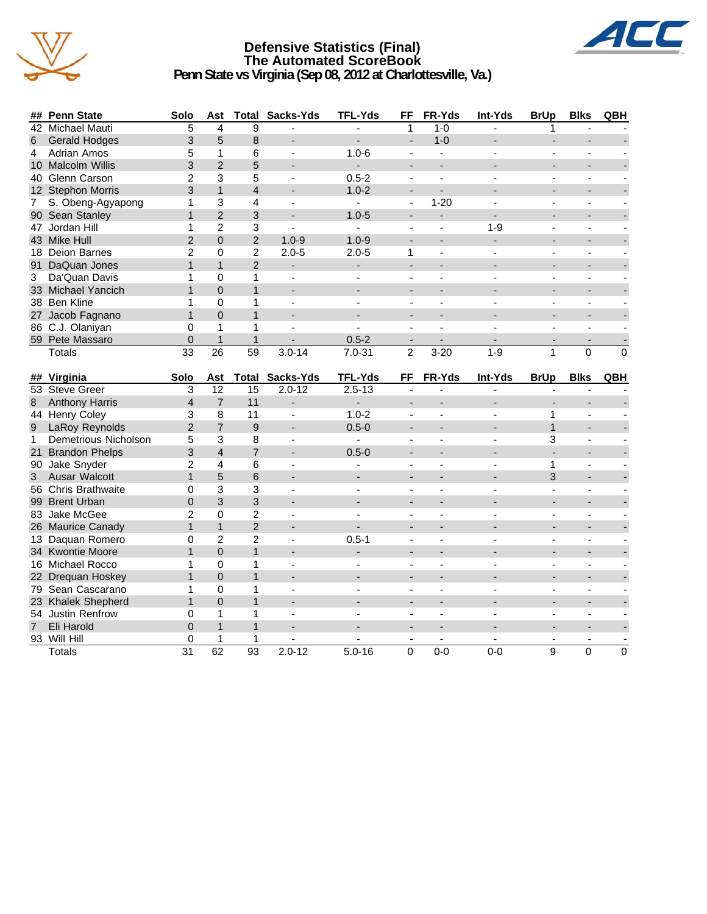

### **Defensive Statistics (Final) The Automated ScoreBook Penn State vs Virginia (Sep 08, 2012 at Charlottesville, Va.)**



|                | ## Penn State         | Solo           | Ast             | Total             | Sacks-Yds                | <b>TFL-Yds</b>           | FF                           | FR-Yds         | Int-Yds        | <b>BrUp</b>    | <b>Blks</b>              | QBH      |
|----------------|-----------------------|----------------|-----------------|-------------------|--------------------------|--------------------------|------------------------------|----------------|----------------|----------------|--------------------------|----------|
|                | 42 Michael Mauti      | 5              | 4               | 9                 |                          |                          | 1                            | $1 - 0$        |                |                |                          |          |
| 6              | <b>Gerald Hodges</b>  | 3              | 5               | 8                 |                          |                          | $\overline{\phantom{a}}$     | $1 - 0$        |                |                |                          |          |
| 4              | <b>Adrian Amos</b>    | 5              | $\mathbf 1$     | 6                 | $\blacksquare$           | $1.0 - 6$                | $\sim$                       | $\mathbf{r}$   | $\blacksquare$ | $\blacksquare$ | $\blacksquare$           |          |
|                | 10 Malcolm Willis     | 3              | $\overline{2}$  | 5                 | $\blacksquare$           | $\overline{a}$           | $\blacksquare$               |                |                | ÷.             | $\overline{a}$           |          |
|                | 40 Glenn Carson       | $\overline{c}$ | 3               | 5                 | $\blacksquare$           | $0.5 - 2$                | $\blacksquare$               | $\blacksquare$ | $\overline{a}$ | $\blacksquare$ | ÷,                       |          |
|                | 12 Stephon Morris     | 3              | $\mathbf{1}$    | 4                 |                          | $1.0 - 2$                | $\qquad \qquad \blacksquare$ |                |                |                | $\overline{\phantom{a}}$ |          |
| 7              | S. Obeng-Agyapong     | 1              | 3               | 4                 | $\blacksquare$           | $\sim$                   | $\overline{\phantom{a}}$     | $1 - 20$       |                | $\blacksquare$ | ÷,                       |          |
| 90             | Sean Stanley          | $\mathbf{1}$   | $\overline{2}$  | 3                 |                          | $1.0 - 5$                | $\overline{a}$               | $\overline{a}$ |                |                |                          |          |
|                | 47 Jordan Hill        | 1              | $\overline{2}$  | 3                 | L.                       | L.                       |                              |                | $1 - 9$        |                |                          |          |
|                | 43 Mike Hull          | $\overline{2}$ | $\mathbf 0$     | $\overline{2}$    | $1.0 - 9$                | $1.0 - 9$                |                              |                | ÷,             |                |                          |          |
|                | 18 Deion Barnes       | $\overline{2}$ | $\Omega$        | $\overline{c}$    | $2.0 - 5$                | $2.0 - 5$                | 1                            |                |                |                |                          |          |
|                | 91 DaQuan Jones       | $\mathbf{1}$   | $\mathbf{1}$    | $\overline{2}$    | $\blacksquare$           | $\overline{a}$           | $\overline{a}$               | $\sim$         |                | ÷.             | $\overline{a}$           |          |
| 3              | Da'Quan Davis         | 1              | $\Omega$        | 1                 | ä,                       |                          |                              |                |                |                |                          |          |
|                | 33 Michael Yancich    | $\mathbf{1}$   | $\Omega$        | $\mathbf{1}$      |                          |                          |                              |                |                |                |                          |          |
|                | 38 Ben Kline          | 1              | $\Omega$        | 1                 | $\blacksquare$           | $\sim$                   | $\sim$                       | $\sim$         | ٠              | $\blacksquare$ | $\overline{\phantom{a}}$ |          |
|                | 27 Jacob Fagnano      | $\mathbf{1}$   | $\overline{0}$  | $\mathbf{1}$      |                          |                          | $\overline{a}$               |                |                |                | L.                       |          |
|                | 86 C.J. Olaniyan      | 0              | 1               | 1                 | $\blacksquare$           |                          | $\mathbf{r}$                 | $\sim$         | ٠              | $\blacksquare$ | $\blacksquare$           |          |
|                | 59 Pete Massaro       | 0              | $\mathbf{1}$    | $\mathbf{1}$      |                          | $0.5 - 2$                | $\overline{\phantom{a}}$     |                |                |                |                          |          |
|                | <b>Totals</b>         | 33             | $\overline{26}$ | $\overline{59}$   | $3.0 - 14$               | $7.0 - 31$               | $\overline{2}$               | $3 - 20$       | $1 - 9$        | $\mathbf{1}$   | 0                        | $\Omega$ |
|                |                       |                |                 |                   |                          |                          |                              |                |                |                |                          |          |
|                |                       |                |                 |                   |                          |                          |                              |                |                |                |                          |          |
|                | ## Virginia           | Solo           | Ast             | Total             | Sacks-Yds                | <b>TFL-Yds</b>           | FF                           | FR-Yds         | Int-Yds        | <b>BrUp</b>    | <b>Blks</b>              | QBH      |
|                | 53 Steve Greer        | 3              | $\overline{12}$ | $\overline{15}$   | $2.0 - 12$               | $2.5 - 13$               |                              |                |                |                |                          |          |
| 8              | <b>Anthony Harris</b> | $\overline{4}$ | $\overline{7}$  | 11                | $\overline{a}$           | $\overline{\phantom{0}}$ | $\overline{\phantom{a}}$     |                |                | $\blacksquare$ | $\overline{a}$           |          |
|                | 44 Henry Coley        | 3              | 8               | 11                | $\blacksquare$           | $1.0 - 2$                | $\blacksquare$               | $\blacksquare$ | ٠              | $\mathbf{1}$   | $\blacksquare$           |          |
| 9              | LaRoy Reynolds        | $\overline{2}$ | $\overline{7}$  | 9                 |                          | $0.5 - 0$                | $\overline{\phantom{a}}$     |                |                | $\mathbf{1}$   | ÷,                       |          |
| $\mathbf{1}$   | Demetrious Nicholson  | 5              | 3               | 8                 | $\blacksquare$           | $\mathbf{r}$             | ÷,                           | $\blacksquare$ | $\overline{a}$ | 3              | ä,                       |          |
|                | 21 Brandon Phelps     | 3              | $\overline{4}$  | $\overline{7}$    |                          | $0.5 - 0$                |                              |                |                | $\blacksquare$ |                          |          |
|                | 90 Jake Snyder        | $\overline{2}$ | 4               | 6                 |                          |                          | $\overline{a}$               |                |                | 1              |                          |          |
| 3 <sup>1</sup> | Ausar Walcott         | $\mathbf{1}$   | 5               | 6                 |                          |                          | $\overline{a}$               |                |                | 3              |                          |          |
|                | 56 Chris Brathwaite   | 0              | 3               | 3                 |                          |                          | $\blacksquare$               |                |                |                |                          |          |
|                | 99 Brent Urban        | $\overline{0}$ | 3               | 3                 | $\overline{a}$           | $\overline{a}$           | $\overline{a}$               | $\blacksquare$ |                | $\blacksquare$ | $\overline{a}$           |          |
|                | 83 Jake McGee         | $\overline{2}$ | $\Omega$        | $\overline{2}$    |                          |                          |                              |                |                |                |                          |          |
|                | 26 Maurice Canady     | $\mathbf{1}$   | $\mathbf{1}$    | $\overline{2}$    |                          |                          |                              |                |                |                |                          |          |
|                | 13 Daquan Romero      | 0              | $\overline{c}$  | 2                 | $\blacksquare$           | $0.5 - 1$                | $\blacksquare$               | $\blacksquare$ |                | $\blacksquare$ | $\overline{\phantom{m}}$ |          |
|                | 34 Kwontie Moore      | $\mathbf{1}$   | $\Omega$        | $\mathbf{1}$      |                          |                          | $\overline{a}$               |                |                |                | L.                       |          |
|                | 16 Michael Rocco      | 1              | $\Omega$        | 1                 | $\blacksquare$           |                          | $\mathbf{r}$                 | $\sim$         | ٠              | $\blacksquare$ | ä,                       |          |
|                | 22 Drequan Hoskey     | $\mathbf{1}$   | $\overline{0}$  | $\mathbf{1}$      | $\overline{\phantom{a}}$ |                          | $\overline{\phantom{a}}$     |                |                |                | $\overline{\phantom{a}}$ |          |
|                | 79 Sean Cascarano     | 1              | 0               | 1                 | $\blacksquare$           | $\overline{a}$           | $\blacksquare$               | $\blacksquare$ | ٠              | $\blacksquare$ | ÷,                       |          |
|                | 23 Khalek Shepherd    | $\mathbf{1}$   | $\Omega$        | $\mathbf{1}$      |                          |                          |                              |                |                |                |                          |          |
|                | 54 Justin Renfrow     | 0              | 1               | 1<br>$\mathbf{1}$ |                          |                          |                              |                |                |                | ÷,                       |          |

7 Eli Harold 0 1 1 - - - - - - - - 93 Will Hill 0 1 1 - - - - - - - - Totals 31 62 93 2.0-12 5.0-16 0 0-0 0-0 9 0 0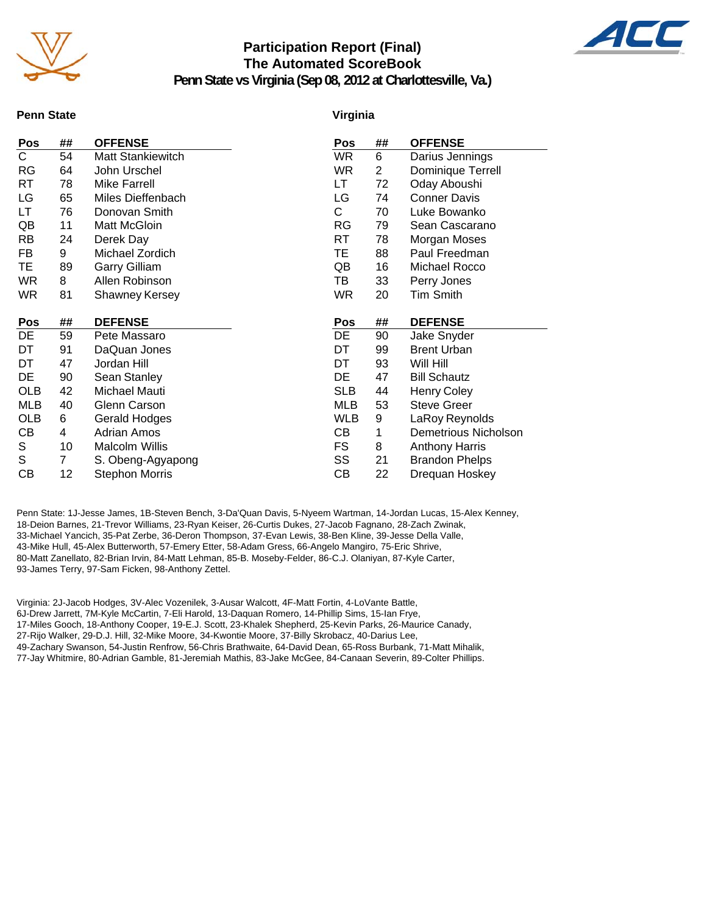

### **Participation Report (Final) The Automated ScoreBook**



**Penn State vs Virginia (Sep 08, 2012 at Charlottesville, Va.)**

#### **Penn State**

#### **Virginia**

| Pos                     | ##             | <b>OFFENSE</b>        | Pos        | ## | <b>OFFENSE</b>        |
|-------------------------|----------------|-----------------------|------------|----|-----------------------|
| $\overline{\mathsf{C}}$ | 54             | Matt Stankiewitch     | <b>WR</b>  | 6  | Darius Jennings       |
| <b>RG</b>               | 64             | John Urschel          | <b>WR</b>  | 2  | Dominique Terrell     |
| RT                      | 78             | <b>Mike Farrell</b>   | LT         | 72 | Oday Aboushi          |
| LG                      | 65             | Miles Dieffenbach     | LG         | 74 | <b>Conner Davis</b>   |
| LT                      | 76             | Donovan Smith         | C          | 70 | Luke Bowanko          |
| QB                      | 11             | Matt McGloin          | RG         | 79 | Sean Cascarano        |
| <b>RB</b>               | 24             | Derek Day             | RT         | 78 | Morgan Moses          |
| FB                      | 9              | Michael Zordich       | TE         | 88 | Paul Freedman         |
| TE.                     | 89             | <b>Garry Gilliam</b>  | QB         | 16 | Michael Rocco         |
| <b>WR</b>               | 8              | Allen Robinson        | TB         | 33 | Perry Jones           |
| <b>WR</b>               | 81             | Shawney Kersey        | <b>WR</b>  | 20 | Tim Smith             |
|                         |                |                       |            |    |                       |
|                         |                |                       |            |    |                       |
| Pos                     | ##             | <b>DEFENSE</b>        | Pos        | ## | <b>DEFENSE</b>        |
| DE                      | 59             | Pete Massaro          | DE         | 90 | Jake Snyder           |
| DT                      | 91             | DaQuan Jones          | DT         | 99 | <b>Brent Urban</b>    |
| DT                      | 47             | Jordan Hill           | DT         | 93 | Will Hill             |
| DE                      | 90             | Sean Stanley          | DE         | 47 | <b>Bill Schautz</b>   |
| <b>OLB</b>              | 42             | Michael Mauti         | <b>SLB</b> | 44 | <b>Henry Coley</b>    |
| MLB                     | 40             | Glenn Carson          | MLB        | 53 | <b>Steve Greer</b>    |
| <b>OLB</b>              | 6              | Gerald Hodges         | <b>WLB</b> | 9  | LaRoy Reynolds        |
| СB                      | 4              | <b>Adrian Amos</b>    | CВ         | 1  | Demetrious Nicholson  |
| S                       | 10             | <b>Malcolm Willis</b> | FS         | 8  | <b>Anthony Harris</b> |
| S                       | $\overline{7}$ | S. Obeng-Agyapong     | SS         | 21 | <b>Brandon Phelps</b> |
| СB                      | 12             | Stephon Morris        | CВ         | 22 | Drequan Hoskey        |

Penn State: 1J-Jesse James, 1B-Steven Bench, 3-Da'Quan Davis, 5-Nyeem Wartman, 14-Jordan Lucas, 15-Alex Kenney, 18-Deion Barnes, 21-Trevor Williams, 23-Ryan Keiser, 26-Curtis Dukes, 27-Jacob Fagnano, 28-Zach Zwinak, 33-Michael Yancich, 35-Pat Zerbe, 36-Deron Thompson, 37-Evan Lewis, 38-Ben Kline, 39-Jesse Della Valle, 43-Mike Hull, 45-Alex Butterworth, 57-Emery Etter, 58-Adam Gress, 66-Angelo Mangiro, 75-Eric Shrive, 80-Matt Zanellato, 82-Brian Irvin, 84-Matt Lehman, 85-B. Moseby-Felder, 86-C.J. Olaniyan, 87-Kyle Carter, 93-James Terry, 97-Sam Ficken, 98-Anthony Zettel.

Virginia: 2J-Jacob Hodges, 3V-Alec Vozenilek, 3-Ausar Walcott, 4F-Matt Fortin, 4-LoVante Battle, 6J-Drew Jarrett, 7M-Kyle McCartin, 7-Eli Harold, 13-Daquan Romero, 14-Phillip Sims, 15-Ian Frye, 17-Miles Gooch, 18-Anthony Cooper, 19-E.J. Scott, 23-Khalek Shepherd, 25-Kevin Parks, 26-Maurice Canady, 27-Rijo Walker, 29-D.J. Hill, 32-Mike Moore, 34-Kwontie Moore, 37-Billy Skrobacz, 40-Darius Lee,

49-Zachary Swanson, 54-Justin Renfrow, 56-Chris Brathwaite, 64-David Dean, 65-Ross Burbank, 71-Matt Mihalik, 77-Jay Whitmire, 80-Adrian Gamble, 81-Jeremiah Mathis, 83-Jake McGee, 84-Canaan Severin, 89-Colter Phillips.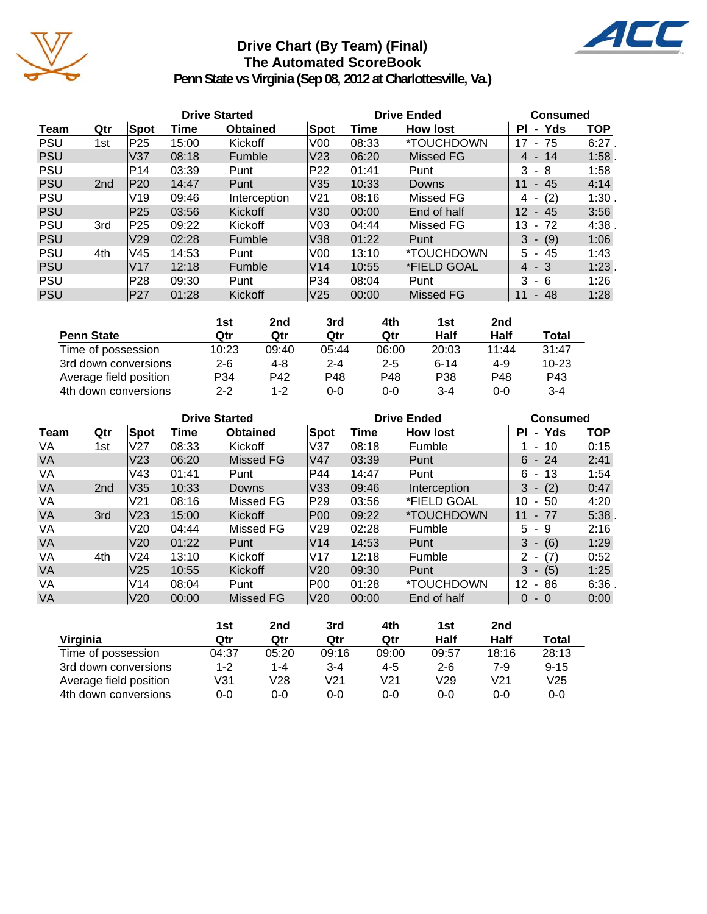

### **Drive Chart (By Team) (Final) The Automated ScoreBook**



**Penn State vs Virginia (Sep 08, 2012 at Charlottesville, Va.)**

|            |                 |                 | <b>Drive Started</b> |                 |                 | <b>Drive Ended</b> | <b>Consumed</b>  |                             |            |
|------------|-----------------|-----------------|----------------------|-----------------|-----------------|--------------------|------------------|-----------------------------|------------|
| Team       | Qtr             | Spot            | Time                 | <b>Obtained</b> | <b>Spot</b>     | Time               | <b>How lost</b>  | - Yds<br>PI.                | <b>TOP</b> |
| <b>PSU</b> | 1st             | P <sub>25</sub> | 15:00                | Kickoff         | V00             | 08:33              | *TOUCHDOWN       | - 75<br>17                  | $6:27$ .   |
| <b>PSU</b> |                 | V <sub>37</sub> | 08:18                | Fumble          | V <sub>23</sub> | 06:20              | Missed FG        | 4 - 14                      | 1:58.      |
| <b>PSU</b> |                 | P <sub>14</sub> | 03:39                | Punt            | P <sub>22</sub> | 01:41              | Punt             | 3<br>- 8                    | 1:58       |
| <b>PSU</b> | 2 <sub>nd</sub> | P20             | 14:47                | Punt            | V35             | 10:33              | Downs            | $-45$<br>11                 | 4:14       |
| <b>PSU</b> |                 | V <sub>19</sub> | 09:46                | Interception    | V21             | 08:16              | Missed FG        | (2)<br>4<br>۰               | 1:30       |
| <b>PSU</b> |                 | P25             | 03:56                | <b>Kickoff</b>  | V30             | 00:00              | End of half      | 12<br>- 45                  | 3:56       |
| <b>PSU</b> | 3rd             | P25             | 09:22                | Kickoff         | V <sub>03</sub> | 04:44              | Missed FG        | 13<br>-72<br>$\blacksquare$ | 4:38       |
| <b>PSU</b> |                 | V29             | 02:28                | Fumble          | V38             | 01:22              | Punt             | $3 - (9)$                   | 1:06       |
| <b>PSU</b> | 4th             | V45             | 14:53                | Punt            | V00             | 13:10              | *TOUCHDOWN       | $5 - 45$                    | 1:43       |
| <b>PSU</b> |                 | V17             | 12:18                | Fumble          | V14             | 10:55              | *FIELD GOAL      | $4 - 3$                     | 1:23       |
| <b>PSU</b> |                 | P28             | 09:30                | Punt            | P34             | 08:04              | Punt             | 3<br>- 6                    | 1:26       |
| <b>PSU</b> |                 | IP27            | 01:28                | Kickoff         | V <sub>25</sub> | 00:00              | <b>Missed FG</b> | $-48$<br>11                 | 1:28       |

|                        | 1st     | 2nd     | 3rd     | 4th     | 1st      | 2nd   |           |
|------------------------|---------|---------|---------|---------|----------|-------|-----------|
| <b>Penn State</b>      | Qtr     | Qtr     | Qtr     | Qtr     | Half     | Half  | Total     |
| Time of possession     | 10:23   | 09:40   | 05:44   | 06:00   | 20:03    | 11:44 | 31:47     |
| 3rd down conversions   | $2 - 6$ | $4 - 8$ | $2 - 4$ | $2 - 5$ | $6 - 14$ | 4-9   | $10 - 23$ |
| Average field position | P34     | P42     | P48     | P48     | P38      | P48   | P43       |
| 4th down conversions   | $2 - 2$ | $1 - 2$ | 0-0     | $0 - 0$ | 3-4      | 0-0   | $3 - 4$   |

|           |                 |                 |       | <b>Drive Started</b> |                 | <b>Drive Ended</b> | <b>Consumed</b>          |                            |            |
|-----------|-----------------|-----------------|-------|----------------------|-----------------|--------------------|--------------------------|----------------------------|------------|
| Team      | Qtr             | Spot            | Time  | <b>Obtained</b>      | Spot            | Time               | <b>How lost</b>          | ΡI<br>- Yds                | <b>TOP</b> |
| VA        | 1st             | V <sub>27</sub> | 08:33 | Kickoff              | V37             | 08:18              | Fumble                   | -10<br>$\sim$              | 0:15       |
| <b>VA</b> |                 | V <sub>23</sub> | 06:20 | Missed FG            | lV47            | 03:39              | Punt                     | $6 - 24$                   | 2:41       |
| VA        |                 | V43             | 01:41 | Punt                 | P44             | 14:47              | Punt                     | 6.<br>- 13                 | 1:54       |
| <b>VA</b> | 2 <sub>nd</sub> | V35             | 10:33 | Downs                | V33             | 09:46              | Interception             | (2)<br>3<br>$\blacksquare$ | 0:47       |
| VA        |                 | V <sub>21</sub> | 08:16 | Missed FG            | P29             | 03:56              | *FIELD GOAL              | 10<br>50<br>$\blacksquare$ | 4:20       |
| <b>VA</b> | 3rd             | V <sub>23</sub> | 15:00 | Kickoff              | P <sub>00</sub> | 09:22              | <i><b>*TOUCHDOWN</b></i> | $-77$<br>11                | 5:38       |
| VA        |                 | V20             | 04:44 | Missed FG            | V29             | 02:28              | Fumble                   | 5.<br>-9                   | 2:16       |
| <b>VA</b> |                 | V <sub>20</sub> | 01:22 | Punt                 | V14             | 14:53              | Punt                     | 3<br>(6)<br>$\blacksquare$ | 1:29       |
| VA        | 4th             | <b>V24</b>      | 13:10 | Kickoff              | <b>V17</b>      | 12:18              | Fumble                   | (7)<br>2<br>$\blacksquare$ | 0:52       |
| <b>VA</b> |                 | V <sub>25</sub> | 10:55 | Kickoff              | V20             | 09:30              | Punt                     | (5)<br>3<br>$\sim$         | 1:25       |
| VA        |                 | V14             | 08:04 | Punt                 | <b>P00</b>      | 01:28              | *TOUCHDOWN               | 12<br>86<br>$\blacksquare$ | 6:36       |
| <b>VA</b> |                 | V20             | 00:00 | Missed FG            | V20             | 00:00              | End of half              | 0<br>$-0$                  | 0:00       |

|                        | 1st   | 2nd   | 3rd     | 4th     | 1st     | 2nd     |          |
|------------------------|-------|-------|---------|---------|---------|---------|----------|
| Virginia               | Qtr   | Qtr   | Qtr     | Qtr     | Half    | Half    | Total    |
| Time of possession     | 04:37 | 05:20 | 09:16   | 09:00   | 09:57   | 18:16   | 28:13    |
| 3rd down conversions   | 1-2   | 1-4   | $3 - 4$ | $4 - 5$ | $2 - 6$ | 7-9     | $9 - 15$ |
| Average field position | V31   | V28   | V21     | V21     | V29     | V21     | V25      |
| 4th down conversions   | 0-0   | 0-0   | 0-0     | $0 - 0$ | $0 - 0$ | $0 - 0$ | $0 - 0$  |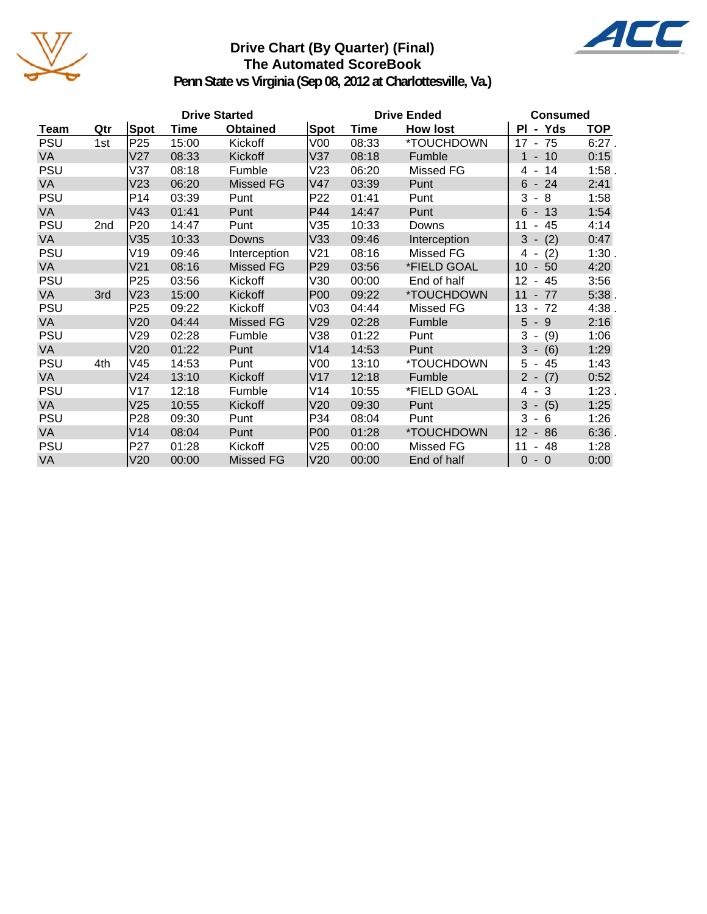

### **Drive Chart (By Quarter) (Final) The Automated ScoreBook**



**Penn State vs Virginia (Sep 08, 2012 at Charlottesville, Va.)**

|            |     |                 |       | <b>Drive Started</b> |                 | <b>Drive Ended</b> | <b>Consumed</b> |                            |            |
|------------|-----|-----------------|-------|----------------------|-----------------|--------------------|-----------------|----------------------------|------------|
| Team       | Qtr | Spot            | Time  | <b>Obtained</b>      | <b>Spot</b>     | Time               | <b>How lost</b> | - Yds<br>PI                | <b>TOP</b> |
| <b>PSU</b> | 1st | P <sub>25</sub> | 15:00 | Kickoff              | V <sub>00</sub> | 08:33              | *TOUCHDOWN      | $17 - 75$                  | $6:27$ .   |
| VA         |     | V27             | 08:33 | Kickoff              | V37             | 08:18              | Fumble          | $-10$<br>$\mathbf{1}$      | 0:15       |
| <b>PSU</b> |     | V37             | 08:18 | Fumble               | V23             | 06:20              | Missed FG       | 14<br>4 -                  | 1:58.      |
| <b>VA</b>  |     | V23             | 06:20 | Missed FG            | V47             | 03:39              | Punt            | $6 - 24$                   | 2:41       |
| <b>PSU</b> |     | P14             | 03:39 | Punt                 | P <sub>22</sub> | 01:41              | Punt            | 3<br>8<br>$\sim$           | 1:58       |
| VA         |     | V43             | 01:41 | Punt                 | P44             | 14:47              | Punt            | $6 - 13$                   | 1:54       |
| <b>PSU</b> | 2nd | P <sub>20</sub> | 14:47 | Punt                 | V35             | 10:33              | Downs           | 45<br>11<br>$\blacksquare$ | 4:14       |
| VA         |     | V35             | 10:33 | Downs                | V33             | 09:46              | Interception    | $3 - (2)$                  | 0:47       |
| <b>PSU</b> |     | V19             | 09:46 | Interception         | V <sub>21</sub> | 08:16              | Missed FG       | (2)<br>4 -                 | 1:30.      |
| VA         |     | V <sub>21</sub> | 08:16 | <b>Missed FG</b>     | P <sub>29</sub> | 03:56              | *FIELD GOAL     | 10<br>$-50$                | 4:20       |
| <b>PSU</b> |     | P <sub>25</sub> | 03:56 | Kickoff              | V30             | 00:00              | End of half     | 12<br>$-45$                | 3:56       |
| VA         | 3rd | V23             | 15:00 | Kickoff              | <b>P00</b>      | 09:22              | *TOUCHDOWN      | $-77$<br>11                | $5:38$ .   |
| <b>PSU</b> |     | P <sub>25</sub> | 09:22 | Kickoff              | V <sub>03</sub> | 04:44              | Missed FG       | 13<br>$-72$                | 4:38.      |
| <b>VA</b>  |     | V20             | 04:44 | <b>Missed FG</b>     | V29             | 02:28              | Fumble          | 5<br>$-9$                  | 2:16       |
| <b>PSU</b> |     | V29             | 02:28 | Fumble               | V38             | 01:22              | Punt            | 3<br>(9)<br>$\sim$         | 1:06       |
| <b>VA</b>  |     | V20             | 01:22 | Punt                 | V14             | 14:53              | Punt            | $3 -$<br>(6)               | 1:29       |
| <b>PSU</b> | 4th | V45             | 14:53 | Punt                 | V <sub>00</sub> | 13:10              | *TOUCHDOWN      | 5<br>$-45$                 | 1:43       |
| <b>VA</b>  |     | V <sub>24</sub> | 13:10 | Kickoff              | V17             | 12:18              | Fumble          | $2 - (7)$                  | 0:52       |
| <b>PSU</b> |     | V17             | 12:18 | Fumble               | V14             | 10:55              | *FIELD GOAL     | $4 - 3$                    | 1:23.      |
| <b>VA</b>  |     | V25             | 10:55 | Kickoff              | V20             | 09:30              | Punt            | $3 - (5)$                  | 1:25       |
| <b>PSU</b> |     | P <sub>28</sub> | 09:30 | Punt                 | P34             | 08:04              | Punt            | 3<br>6<br>$\blacksquare$   | 1:26       |
| <b>VA</b>  |     | V14             | 08:04 | Punt                 | <b>P00</b>      | 01:28              | *TOUCHDOWN      | 12<br>$-86$                | 6:36       |
| <b>PSU</b> |     | P <sub>27</sub> | 01:28 | Kickoff              | V25             | 00:00              | Missed FG       | 11<br>48                   | 1:28       |
| <b>VA</b>  |     | V20             | 00:00 | <b>Missed FG</b>     | V20             | 00:00              | End of half     | $\Omega$<br>$-0$           | 0:00       |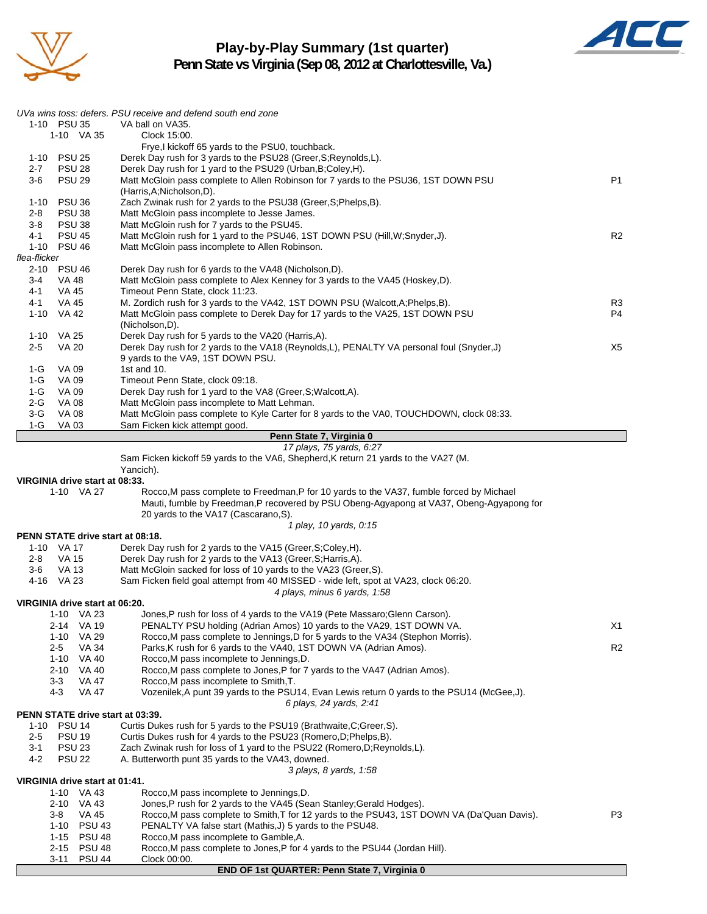

3-11 PSU 44 Clock 00:00.

### **Play-by-Play Summary (1st quarter) Penn State vs Virginia (Sep 08, 2012 at Charlottesville, Va.)**



|              |                                         | UVa wins toss: defers. PSU receive and defend south end zone                                                         |                |
|--------------|-----------------------------------------|----------------------------------------------------------------------------------------------------------------------|----------------|
|              | 1-10 PSU 35                             | VA ball on VA35.                                                                                                     |                |
|              | 1-10 VA 35                              | Clock 15:00.                                                                                                         |                |
|              |                                         | Frye, I kickoff 65 yards to the PSU0, touchback.                                                                     |                |
| 1-10         | <b>PSU 25</b>                           | Derek Day rush for 3 yards to the PSU28 (Greer, S; Reynolds, L).                                                     |                |
| 2-7          | <b>PSU 28</b>                           | Derek Day rush for 1 yard to the PSU29 (Urban, B; Coley, H).                                                         |                |
| $3-6$        | <b>PSU 29</b>                           | Matt McGloin pass complete to Allen Robinson for 7 yards to the PSU36, 1ST DOWN PSU                                  | P1             |
|              |                                         | (Harris, A; Nicholson, D).                                                                                           |                |
| 1-10         | <b>PSU 36</b>                           | Zach Zwinak rush for 2 yards to the PSU38 (Greer, S; Phelps, B).                                                     |                |
| 2-8          | <b>PSU 38</b>                           | Matt McGloin pass incomplete to Jesse James.                                                                         |                |
| $3-8$        | <b>PSU 38</b>                           | Matt McGloin rush for 7 yards to the PSU45.                                                                          |                |
| 4-1          | <b>PSU 45</b>                           | Matt McGloin rush for 1 yard to the PSU46, 1ST DOWN PSU (Hill, W; Snyder, J).                                        | R <sub>2</sub> |
|              | 1-10 PSU 46                             | Matt McGloin pass incomplete to Allen Robinson.                                                                      |                |
| flea-flicker |                                         |                                                                                                                      |                |
|              |                                         |                                                                                                                      |                |
| 2-10         | <b>PSU 46</b>                           | Derek Day rush for 6 yards to the VA48 (Nicholson, D).                                                               |                |
| 3-4          | VA 48                                   | Matt McGloin pass complete to Alex Kenney for 3 yards to the VA45 (Hoskey,D).                                        |                |
| 4-1          | VA 45                                   | Timeout Penn State, clock 11:23.                                                                                     |                |
| 4-1          | VA 45                                   | M. Zordich rush for 3 yards to the VA42, 1ST DOWN PSU (Walcott, A; Phelps, B).                                       | R <sub>3</sub> |
| $1 - 10$     | VA 42                                   | Matt McGloin pass complete to Derek Day for 17 yards to the VA25, 1ST DOWN PSU                                       | P4             |
|              |                                         | (Nicholson,D).                                                                                                       |                |
| 1-10         | VA 25                                   | Derek Day rush for 5 yards to the VA20 (Harris, A).                                                                  |                |
| 2-5          | <b>VA 20</b>                            | Derek Day rush for 2 yards to the VA18 (Reynolds, L), PENALTY VA personal foul (Snyder, J)                           | X5             |
|              |                                         | 9 yards to the VA9, 1ST DOWN PSU.                                                                                    |                |
| 1-G          | <b>VA 09</b>                            | 1st and 10.                                                                                                          |                |
| 1-G          | VA 09                                   | Timeout Penn State, clock 09:18.                                                                                     |                |
| $1-G$        | VA 09                                   | Derek Day rush for 1 yard to the VA8 (Greer, S; Walcott, A).                                                         |                |
| 2-G          | VA 08                                   | Matt McGloin pass incomplete to Matt Lehman.                                                                         |                |
| 3-G          | <b>VA 08</b>                            | Matt McGloin pass complete to Kyle Carter for 8 yards to the VA0, TOUCHDOWN, clock 08:33.                            |                |
| $1-G$        | <b>VA03</b>                             | Sam Ficken kick attempt good.                                                                                        |                |
|              |                                         | Penn State 7, Virginia 0                                                                                             |                |
|              |                                         | 17 plays, 75 yards, 6:27                                                                                             |                |
|              |                                         | Sam Ficken kickoff 59 yards to the VA6, Shepherd, K return 21 yards to the VA27 (M.                                  |                |
|              |                                         | Yancich).                                                                                                            |                |
|              |                                         |                                                                                                                      |                |
|              | VIRGINIA drive start at 08:33.          |                                                                                                                      |                |
|              | 1-10 VA 27                              | Rocco, M pass complete to Freedman, P for 10 yards to the VA37, fumble forced by Michael                             |                |
|              |                                         | Mauti, fumble by Freedman, P recovered by PSU Obeng-Agyapong at VA37, Obeng-Agyapong for                             |                |
|              |                                         | 20 yards to the VA17 (Cascarano, S).                                                                                 |                |
|              |                                         | 1 play, 10 yards, 0:15                                                                                               |                |
|              | <b>PENN STATE drive start at 08:18.</b> |                                                                                                                      |                |
|              | 1-10 VA 17                              | Derek Day rush for 2 yards to the VA15 (Greer, S; Coley, H).                                                         |                |
| 2-8          | VA 15                                   | Derek Day rush for 2 yards to the VA13 (Greer, S; Harris, A).                                                        |                |
| 3-6          | VA 13                                   | Matt McGloin sacked for loss of 10 yards to the VA23 (Greer, S).                                                     |                |
|              | 4-16 VA 23                              | Sam Ficken field goal attempt from 40 MISSED - wide left, spot at VA23, clock 06:20.                                 |                |
|              |                                         | 4 plays, minus 6 yards, 1:58                                                                                         |                |
|              | VIRGINIA drive start at 06:20.          |                                                                                                                      |                |
|              | 1-10 VA 23                              | Jones, P rush for loss of 4 yards to the VA19 (Pete Massaro; Glenn Carson).                                          |                |
|              | 2-14 VA 19                              | PENALTY PSU holding (Adrian Amos) 10 yards to the VA29, 1ST DOWN VA.                                                 | X1             |
|              | 1-10 VA 29                              | Rocco, M pass complete to Jennings, D for 5 yards to the VA34 (Stephon Morris).                                      |                |
|              | <b>VA 34</b><br>2-5                     | Parks, K rush for 6 yards to the VA40, 1ST DOWN VA (Adrian Amos).                                                    | R <sub>2</sub> |
|              | 1-10 VA 40                              | Rocco, M pass incomplete to Jennings, D.                                                                             |                |
|              | 2-10 VA 40                              | Rocco, M pass complete to Jones, P for 7 yards to the VA47 (Adrian Amos).                                            |                |
|              | 3-3<br>VA 47                            | Rocco, M pass incomplete to Smith, T.                                                                                |                |
|              | 4-3<br>VA 47                            | Vozenilek, A punt 39 yards to the PSU14, Evan Lewis return 0 yards to the PSU14 (McGee, J).                          |                |
|              |                                         | 6 plays, 24 yards, 2:41                                                                                              |                |
|              | PENN STATE drive start at 03:39.        |                                                                                                                      |                |
|              | 1-10 PSU 14                             | Curtis Dukes rush for 5 yards to the PSU19 (Brathwaite, C; Greer, S).                                                |                |
| 2-5          | <b>PSU 19</b>                           | Curtis Dukes rush for 4 yards to the PSU23 (Romero, D; Phelps, B).                                                   |                |
| $3 - 1$      | <b>PSU 23</b>                           | Zach Zwinak rush for loss of 1 yard to the PSU22 (Romero, D; Reynolds, L).                                           |                |
| 4-2          | <b>PSU 22</b>                           | A. Butterworth punt 35 yards to the VA43, downed.                                                                    |                |
|              |                                         | 3 plays, 8 yards, 1:58                                                                                               |                |
|              | VIRGINIA drive start at 01:41.          |                                                                                                                      |                |
|              | 1-10 VA 43                              | Rocco, M pass incomplete to Jennings, D.                                                                             |                |
|              | 2-10 VA 43                              | Jones, P rush for 2 yards to the VA45 (Sean Stanley; Gerald Hodges).                                                 |                |
|              | 3-8<br>VA 45                            | Rocco, M pass complete to Smith, T for 12 yards to the PSU43, 1ST DOWN VA (Da'Quan Davis).                           | P3             |
|              | 1-10 PSU 43                             | PENALTY VA false start (Mathis, J) 5 yards to the PSU48.                                                             |                |
|              | 1-15 PSU 48<br>2-15 PSU 48              | Rocco, M pass incomplete to Gamble, A.<br>Rocco, M pass complete to Jones, P for 4 yards to the PSU44 (Jordan Hill). |                |

**END OF 1st QUARTER: Penn State 7, Virginia 0**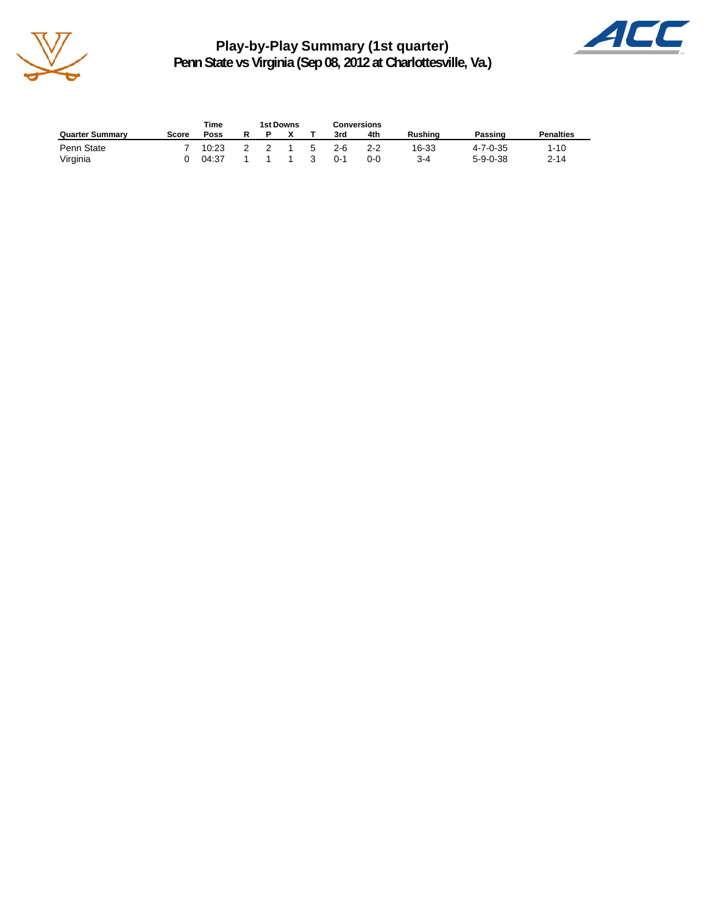

**Play-by-Play Summary (1st quarter) Penn State vs Virginia (Sep 08, 2012 at Charlottesville, Va.)**



|                        |       | Time  | <b>1st Downs</b> |    |         | Conversions |         |                  |                  |
|------------------------|-------|-------|------------------|----|---------|-------------|---------|------------------|------------------|
| <b>Quarter Summary</b> | Score | Poss  |                  |    | 3rd     | 4th         | Rushina | Passing          | <b>Penalties</b> |
| Penn State             |       | 10:23 |                  | -5 | $2 - 6$ | $2 - 2$     | 16-33   | $4 - 7 - 0 - 35$ | $1 - 10$         |
| Virginia               |       | 04:37 |                  | -3 | $0 - 1$ | 0-0         | ′-4     | $5 - 9 - 0 - 38$ | $2 - 14$         |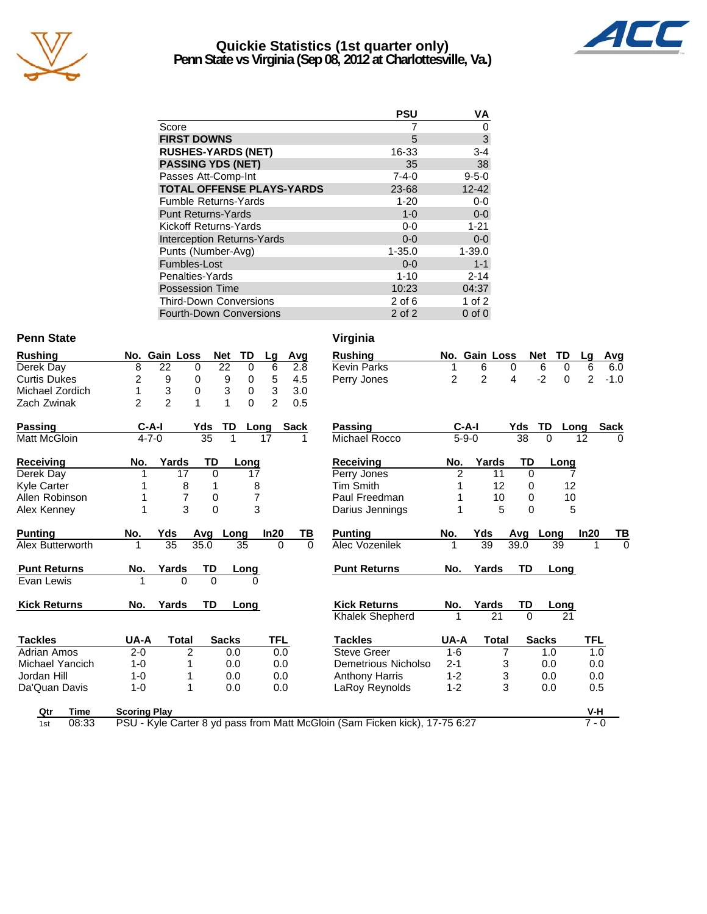

### **Quickie Statistics (1st quarter only) Penn State vs Virginia (Sep 08, 2012 at Charlottesville, Va.)**



|                                   | <b>PSU</b>  | VA          |
|-----------------------------------|-------------|-------------|
| Score                             |             | 0           |
| <b>FIRST DOWNS</b>                | 5           | 3           |
| <b>RUSHES-YARDS (NET)</b>         | 16-33       | $3 - 4$     |
| <b>PASSING YDS (NET)</b>          | 35          | 38          |
| Passes Att-Comp-Int               | $7 - 4 - 0$ | $9 - 5 - 0$ |
| <b>TOTAL OFFENSE PLAYS-YARDS</b>  | 23-68       | $12 - 42$   |
| <b>Fumble Returns-Yards</b>       | $1 - 20$    | $0-0$       |
| <b>Punt Returns-Yards</b>         | $1 - 0$     | $0-0$       |
| Kickoff Returns-Yards             | $0-0$       | $1 - 21$    |
| <b>Interception Returns-Yards</b> | $0 - 0$     | $0-0$       |
| Punts (Number-Avg)                | $1 - 35.0$  | $1 - 39.0$  |
| Fumbles-Lost                      | $0 - 0$     | $1 - 1$     |
| Penalties-Yards                   | $1 - 10$    | $2 - 14$    |
| <b>Possession Time</b>            | 10:23       | 04:37       |
| <b>Third-Down Conversions</b>     | $2$ of 6    | 1 of $2$    |
| Fourth-Down Conversions           | $2$ of $2$  | $0$ of $0$  |

### Penn State Virginia

| <b>Rushing</b>      |                     | No. Gain Loss  | <b>Net</b>    | TD       | Lg             | Avg         | <b>Rushing</b>                                                              |                | No. Gain Loss  |           | <b>Net</b><br><b>TD</b> | Lg             | Avg         |
|---------------------|---------------------|----------------|---------------|----------|----------------|-------------|-----------------------------------------------------------------------------|----------------|----------------|-----------|-------------------------|----------------|-------------|
| Derek Day           | 8                   | 22             | 22<br>0       | 0        | 6              | 2.8         | <b>Kevin Parks</b>                                                          | 1              | 6              | $\Omega$  | 6<br>0                  | 6              | 6.0         |
| <b>Curtis Dukes</b> | $\overline{2}$      | 9              | 9<br>0        | 0        | 5              | 4.5         | Perry Jones                                                                 | $\overline{c}$ | $\overline{c}$ | 4         | $-2$<br>0               | $\overline{c}$ | $-1.0$      |
| Michael Zordich     | 1                   | $\sqrt{3}$     | 3<br>$\Omega$ | 0        | 3              | 3.0         |                                                                             |                |                |           |                         |                |             |
| Zach Zwinak         | $\overline{2}$      | $\overline{2}$ | 1<br>1        | $\Omega$ | $\overline{2}$ | 0.5         |                                                                             |                |                |           |                         |                |             |
| <b>Passing</b>      | $C-A-I$             |                | Yds<br>TD.    | Long     |                | <b>Sack</b> | <b>Passing</b>                                                              | $C-A-I$        |                | Yds       | TD                      | Long           | <b>Sack</b> |
| <b>Matt McGloin</b> | $4 - 7 - 0$         |                | 35            |          | 17             |             | Michael Rocco                                                               | $5 - 9 - 0$    |                | 38        | 0                       | 12             | $\Omega$    |
| <b>Receiving</b>    | No.                 | Yards          | TD            | Long     |                |             | <b>Receiving</b>                                                            | No.            | Yards          | TD        | Long                    |                |             |
| Derek Day           |                     | 17             | $\Omega$      | 17       |                |             | Perry Jones                                                                 | $\overline{2}$ | 11             | $\Omega$  |                         |                |             |
| <b>Kyle Carter</b>  |                     | 8              | 1             | 8        |                |             | <b>Tim Smith</b>                                                            |                | 12             | 0         | 12                      |                |             |
| Allen Robinson      |                     | 7              | 0             | 7        |                |             | Paul Freedman                                                               |                | 10             | $\Omega$  | 10                      |                |             |
| Alex Kenney         |                     | 3              | $\mathbf 0$   | 3        |                |             | Darius Jennings                                                             |                | 5              | $\Omega$  | 5                       |                |             |
| <b>Punting</b>      | No.                 | Yds            | Avq           | Long     | In20           | TВ          | <b>Punting</b>                                                              | No.            | Yds            | Avq       | Long                    | In20           | TВ          |
| Alex Butterworth    | 1                   | 35             | 35.0          | 35       | $\Omega$       | $\Omega$    | Alec Vozenilek                                                              | 1              | 39             | 39.0      | 39                      |                | $\Omega$    |
| <b>Punt Returns</b> | No.                 | Yards          | <b>TD</b>     | Long     |                |             | <b>Punt Returns</b>                                                         | No.            | Yards          | <b>TD</b> | Long                    |                |             |
| Evan Lewis          |                     | 0              | $\Omega$      | $\Omega$ |                |             |                                                                             |                |                |           |                         |                |             |
| <b>Kick Returns</b> | No.                 | Yards          | <b>TD</b>     | Long     |                |             | <b>Kick Returns</b>                                                         | No.            | Yards          | TD        | Long                    |                |             |
|                     |                     |                |               |          |                |             | Khalek Shepherd                                                             | 1              | 21             | $\Omega$  | 21                      |                |             |
| <b>Tackles</b>      | UA-A                | <b>Total</b>   | <b>Sacks</b>  |          | <b>TFL</b>     |             | <b>Tackles</b>                                                              | UA-A           | <b>Total</b>   |           | <b>Sacks</b>            | TFL            |             |
| Adrian Amos         | $2 - 0$             | 2              |               | 0.0      | 0.0            |             | <b>Steve Greer</b>                                                          | $1 - 6$        |                | 7         | 1.0                     | 1.0            |             |
| Michael Yancich     | $1 - 0$             |                |               | 0.0      | 0.0            |             | Demetrious Nicholso                                                         | $2 - 1$        |                | 3         | 0.0                     | 0.0            |             |
| Jordan Hill         | $1 - 0$             |                |               | 0.0      | 0.0            |             | <b>Anthony Harris</b>                                                       | $1 - 2$        |                | 3         | 0.0                     | 0.0            |             |
| Da'Quan Davis       | $1 - 0$             |                |               | 0.0      | 0.0            |             | LaRoy Reynolds                                                              | $1 - 2$        |                | 3         | 0.0                     | 0.5            |             |
| Qtr<br>Time         | <b>Scoring Play</b> |                |               |          |                |             |                                                                             |                |                |           |                         | V-H            |             |
| 08:33<br>1st        |                     |                |               |          |                |             | PSU - Kyle Carter 8 yd pass from Matt McGloin (Sam Ficken kick), 17-75 6:27 |                |                |           |                         | $7 - 0$        |             |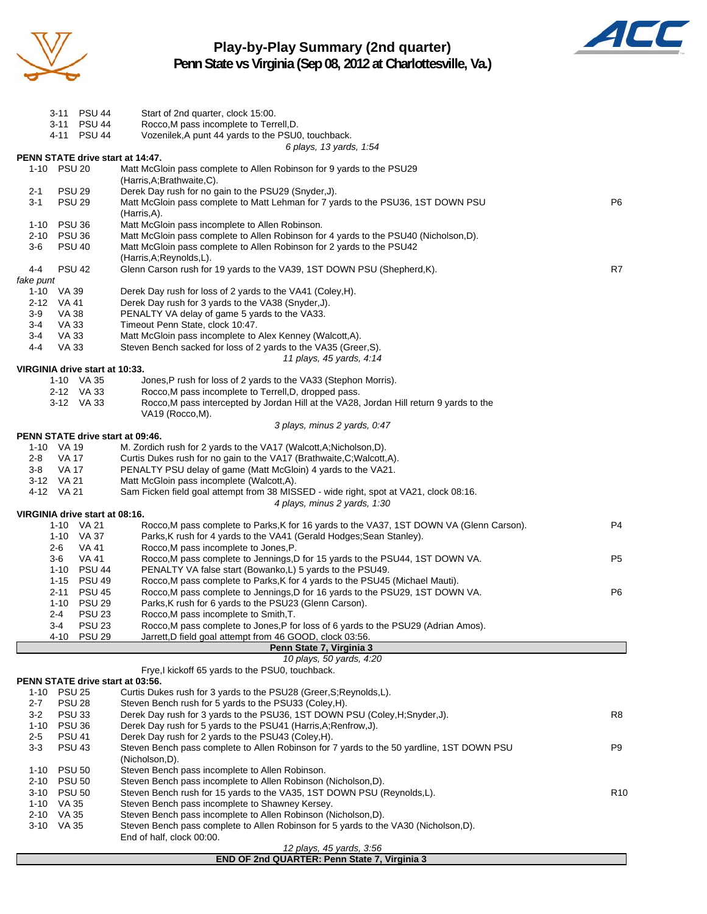

### **Play-by-Play Summary (2nd quarter) Penn State vs Virginia (Sep 08, 2012 at Charlottesville, Va.)**



|                          | 3-11 PSU 44                      | Start of 2nd quarter, clock 15:00.                                                                                                                               |                 |
|--------------------------|----------------------------------|------------------------------------------------------------------------------------------------------------------------------------------------------------------|-----------------|
|                          | 3-11 PSU 44                      | Rocco, M pass incomplete to Terrell, D.                                                                                                                          |                 |
|                          | 4-11 PSU 44                      | Vozenilek, A punt 44 yards to the PSU0, touchback.                                                                                                               |                 |
|                          | PENN STATE drive start at 14:47. | 6 plays, 13 yards, 1:54                                                                                                                                          |                 |
|                          | 1-10 PSU 20                      | Matt McGloin pass complete to Allen Robinson for 9 yards to the PSU29                                                                                            |                 |
|                          |                                  | (Harris, A; Brathwaite, C).                                                                                                                                      |                 |
| $2 - 1$                  | <b>PSU 29</b>                    | Derek Day rush for no gain to the PSU29 (Snyder, J).                                                                                                             |                 |
| $3 - 1$                  | <b>PSU 29</b>                    | Matt McGloin pass complete to Matt Lehman for 7 yards to the PSU36, 1ST DOWN PSU                                                                                 | P6              |
|                          |                                  | (Harris,A).                                                                                                                                                      |                 |
| 1-10                     | <b>PSU 36</b>                    | Matt McGloin pass incomplete to Allen Robinson.                                                                                                                  |                 |
|                          | 2-10 PSU 36                      | Matt McGloin pass complete to Allen Robinson for 4 yards to the PSU40 (Nicholson,D).                                                                             |                 |
| 3-6                      | <b>PSU 40</b>                    | Matt McGloin pass complete to Allen Robinson for 2 yards to the PSU42                                                                                            |                 |
|                          |                                  | (Harris, A; Reynolds, L).                                                                                                                                        |                 |
| 4-4<br>fake punt         | <b>PSU 42</b>                    | Glenn Carson rush for 19 yards to the VA39, 1ST DOWN PSU (Shepherd, K).                                                                                          | R7              |
| 1-10 VA 39               |                                  | Derek Day rush for loss of 2 yards to the VA41 (Coley, H).                                                                                                       |                 |
| 2-12 VA 41               |                                  | Derek Day rush for 3 yards to the VA38 (Snyder, J).                                                                                                              |                 |
| $3-9$                    | VA 38                            | PENALTY VA delay of game 5 yards to the VA33.                                                                                                                    |                 |
| 3-4                      | VA 33                            | Timeout Penn State, clock 10:47.                                                                                                                                 |                 |
| 3-4                      | VA 33                            | Matt McGloin pass incomplete to Alex Kenney (Walcott,A).                                                                                                         |                 |
| $4 - 4$                  | VA 33                            | Steven Bench sacked for loss of 2 yards to the VA35 (Greer, S).                                                                                                  |                 |
|                          |                                  | 11 plays, 45 yards, 4:14                                                                                                                                         |                 |
|                          | VIRGINIA drive start at 10:33.   |                                                                                                                                                                  |                 |
|                          | 1-10 VA 35                       | Jones, P rush for loss of 2 yards to the VA33 (Stephon Morris).                                                                                                  |                 |
|                          | 2-12 VA 33<br>3-12 VA 33         | Rocco, M pass incomplete to Terrell, D, dropped pass.<br>Rocco, M pass intercepted by Jordan Hill at the VA28, Jordan Hill return 9 yards to the                 |                 |
|                          |                                  | VA19 (Rocco, M).                                                                                                                                                 |                 |
|                          |                                  | 3 plays, minus 2 yards, 0:47                                                                                                                                     |                 |
|                          | PENN STATE drive start at 09:46. |                                                                                                                                                                  |                 |
| 1-10 VA 19               |                                  | M. Zordich rush for 2 yards to the VA17 (Walcott, A; Nicholson, D).                                                                                              |                 |
| 2-8                      | VA 17                            | Curtis Dukes rush for no gain to the VA17 (Brathwaite, C; Walcott, A).                                                                                           |                 |
| 3-8                      | VA 17                            | PENALTY PSU delay of game (Matt McGloin) 4 yards to the VA21.                                                                                                    |                 |
| 3-12 VA 21               |                                  | Matt McGloin pass incomplete (Walcott,A).                                                                                                                        |                 |
| 4-12 VA 21               |                                  | Sam Ficken field goal attempt from 38 MISSED - wide right, spot at VA21, clock 08:16.                                                                            |                 |
|                          |                                  | 4 plays, minus 2 yards, 1:30                                                                                                                                     |                 |
|                          | VIRGINIA drive start at 08:16.   |                                                                                                                                                                  | P4              |
|                          | 1-10 VA 21<br>1-10 VA 37         | Rocco, M pass complete to Parks, K for 16 yards to the VA37, 1ST DOWN VA (Glenn Carson).<br>Parks, K rush for 4 yards to the VA41 (Gerald Hodges; Sean Stanley). |                 |
| $2 - 6$                  | VA 41                            | Rocco, M pass incomplete to Jones, P.                                                                                                                            |                 |
| 3-6                      | VA 41                            | Rocco, M pass complete to Jennings, D for 15 yards to the PSU44, 1ST DOWN VA.                                                                                    | P <sub>5</sub>  |
|                          | 1-10 PSU 44                      | PENALTY VA false start (Bowanko,L) 5 yards to the PSU49.                                                                                                         |                 |
|                          | 1-15 PSU 49                      | Rocco, M pass complete to Parks, K for 4 yards to the PSU45 (Michael Mauti).                                                                                     |                 |
|                          | 2-11 PSU 45                      | Rocco, M pass complete to Jennings, D for 16 yards to the PSU29, 1ST DOWN VA.                                                                                    | P6              |
|                          | 1-10 PSU 29                      | Parks, K rush for 6 yards to the PSU23 (Glenn Carson).                                                                                                           |                 |
| 2-4                      | <b>PSU 23</b>                    | Rocco, M pass incomplete to Smith, T.                                                                                                                            |                 |
| 3-4                      | <b>PSU 23</b>                    | Rocco, M pass complete to Jones, P for loss of 6 yards to the PSU29 (Adrian Amos).                                                                               |                 |
|                          | <b>PSU 29</b><br>4-10            | Jarrett, D field goal attempt from 46 GOOD, clock 03:56.                                                                                                         |                 |
|                          |                                  | Penn State 7, Virginia 3                                                                                                                                         |                 |
|                          |                                  | 10 plays, 50 yards, 4:20<br>Frye, kickoff 65 yards to the PSU0, touchback.                                                                                       |                 |
|                          | PENN STATE drive start at 03:56. |                                                                                                                                                                  |                 |
| 1-10                     | <b>PSU 25</b>                    | Curtis Dukes rush for 3 yards to the PSU28 (Greer, S; Reynolds, L).                                                                                              |                 |
| $2 - 7$                  | <b>PSU 28</b>                    | Steven Bench rush for 5 yards to the PSU33 (Coley, H).                                                                                                           |                 |
| 3-2                      | <b>PSU 33</b>                    | Derek Day rush for 3 yards to the PSU36, 1ST DOWN PSU (Coley, H; Snyder, J).                                                                                     | R8              |
| $1 - 10$                 | <b>PSU 36</b>                    | Derek Day rush for 5 yards to the PSU41 (Harris, A; Renfrow, J).                                                                                                 |                 |
| $2 - 5$                  | <b>PSU 41</b>                    | Derek Day rush for 2 yards to the PSU43 (Coley, H).                                                                                                              |                 |
| $3-3$                    | <b>PSU 43</b>                    | Steven Bench pass complete to Allen Robinson for 7 yards to the 50 yardline, 1ST DOWN PSU                                                                        | P9              |
|                          |                                  | (Nicholson,D).                                                                                                                                                   |                 |
| 1-10                     | <b>PSU 50</b>                    | Steven Bench pass incomplete to Allen Robinson.                                                                                                                  |                 |
|                          | 2-10 PSU 50                      | Steven Bench pass incomplete to Allen Robinson (Nicholson,D).                                                                                                    |                 |
| 3-10                     | <b>PSU 50</b>                    | Steven Bench rush for 15 yards to the VA35, 1ST DOWN PSU (Reynolds, L).<br>Steven Bench pass incomplete to Shawney Kersey.                                       | R <sub>10</sub> |
| 1-10 VA 35<br>2-10 VA 35 |                                  | Steven Bench pass incomplete to Allen Robinson (Nicholson,D).                                                                                                    |                 |
| 3-10 VA 35               |                                  | Steven Bench pass complete to Allen Robinson for 5 yards to the VA30 (Nicholson,D).                                                                              |                 |
|                          |                                  | End of half, clock 00:00.                                                                                                                                        |                 |
|                          |                                  | 12 plays, 45 yards, 3:56                                                                                                                                         |                 |

**END OF 2nd QUARTER: Penn State 7, Virginia 3**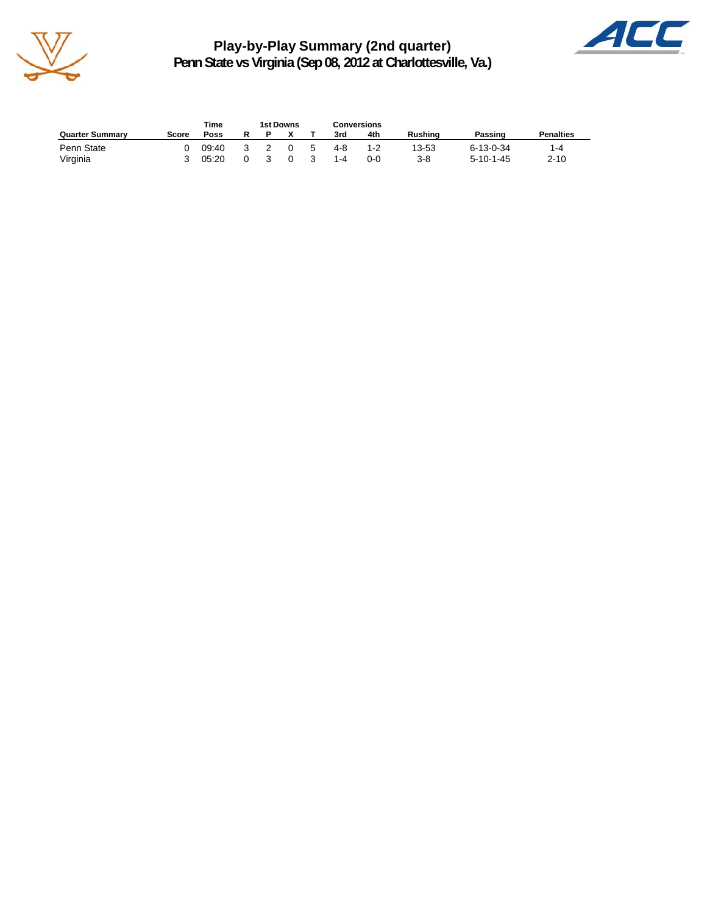

**Play-by-Play Summary (2nd quarter) Penn State vs Virginia (Sep 08, 2012 at Charlottesville, Va.)**



|                        |       | Time  | 1st Downs |          |    |         | Conversions |                |                   |                  |
|------------------------|-------|-------|-----------|----------|----|---------|-------------|----------------|-------------------|------------------|
| <b>Quarter Summary</b> | Score | Poss  |           |          |    | 3rd     | 4th         | <b>Rushing</b> | Passing           | <b>Penalties</b> |
| Penn State             |       | 09:40 |           | $\Omega$ | -5 | 4-8     | 1-2         | 13-53          | $6 - 13 - 0 - 34$ | 1-4              |
| Virginia               |       | 05:20 |           | 0        |    | $1 - 4$ | $0 - 0$     | $3 - 8$        | $5 - 10 - 1 - 45$ | $2 - 10$         |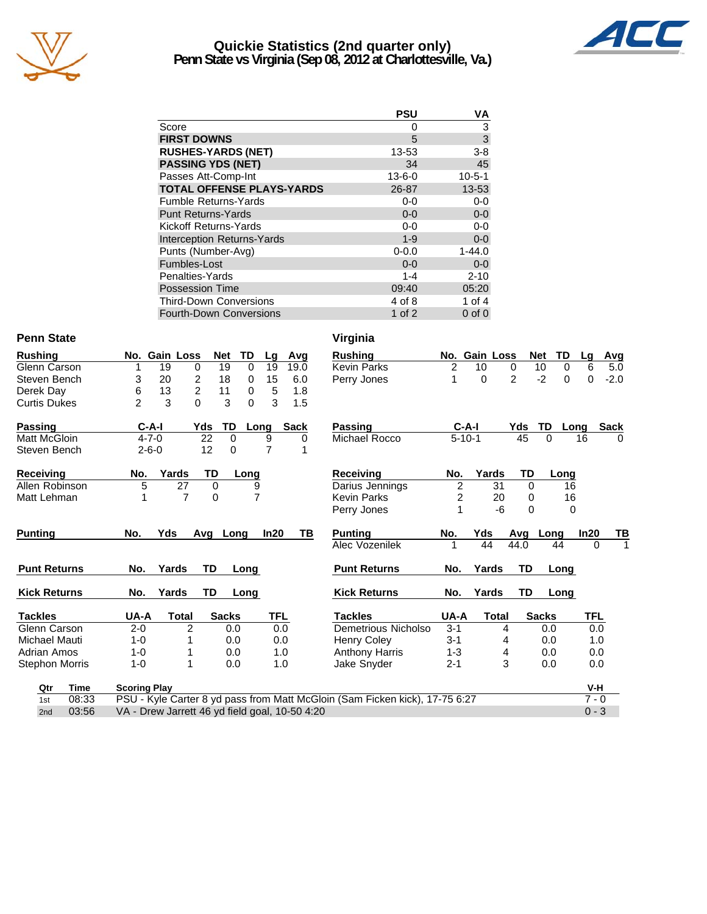

# **Quickie Statistics (2nd quarter only)**



**Penn State vs Virginia (Sep 08, 2012 at Charlottesville, Va.)**

|                                   | <b>PSU</b>   | VA            |
|-----------------------------------|--------------|---------------|
| Score                             | 0            |               |
| <b>FIRST DOWNS</b>                | 5            | $\frac{3}{3}$ |
| <b>RUSHES-YARDS (NET)</b>         | 13-53        | $3 - 8$       |
| <b>PASSING YDS (NET)</b>          | 34           | 45            |
| Passes Att-Comp-Int               | $13 - 6 - 0$ | $10 - 5 - 1$  |
| <b>TOTAL OFFENSE PLAYS-YARDS</b>  | 26-87        | 13-53         |
| <b>Fumble Returns-Yards</b>       | 0-0          | $0-0$         |
| <b>Punt Returns-Yards</b>         | $0 - 0$      | $0 - 0$       |
| Kickoff Returns-Yards             | $0 - 0$      | $0-0$         |
| <b>Interception Returns-Yards</b> | $1 - 9$      | $0-0$         |
| Punts (Number-Avg)                | $0 - 0.0$    | $1 - 44.0$    |
| Fumbles-Lost                      | $0 - 0$      | $0 - 0$       |
| Penalties-Yards                   | $1 - 4$      | $2 - 10$      |
| <b>Possession Time</b>            | 09:40        | 05:20         |
| <b>Third-Down Conversions</b>     | 4 of 8       | 1 of $4$      |
| <b>Fourth-Down Conversions</b>    | 1 of 2       | $0$ of $0$    |

### Penn State Virginia

| <b>Rushing</b>          | No.                 | <b>Gain Loss</b>     | <b>Net</b>     | TD<br>Lg          | Avg         | <b>Rushing</b>                                                                    |                | No. Gain Loss |                | <b>Net</b><br>TD | Lg       | <b>Avg</b>  |
|-------------------------|---------------------|----------------------|----------------|-------------------|-------------|-----------------------------------------------------------------------------------|----------------|---------------|----------------|------------------|----------|-------------|
| Glenn Carson            |                     | 19<br>0              | 19             | $\Omega$<br>19    | 19.0        | <b>Kevin Parks</b>                                                                | $\overline{2}$ | 10            | 0              | 10<br>$\Omega$   | 6        | 5.0         |
| Steven Bench            | 3                   | 2<br>20              | 18             | 15<br>$\mathbf 0$ | 6.0         | Perry Jones                                                                       | 1              | $\Omega$      | $\overline{2}$ | $-2$<br>$\Omega$ | 0        | $-2.0$      |
| Derek Day               | 6                   | $\overline{c}$<br>13 | 11             | 0<br>5            | 1.8         |                                                                                   |                |               |                |                  |          |             |
| <b>Curtis Dukes</b>     | $\overline{2}$      | 3<br>0               | 3              | 3<br>$\Omega$     | 1.5         |                                                                                   |                |               |                |                  |          |             |
| <b>Passing</b>          | $C-A-I$             |                      | TD<br>Yds      | Long              | <b>Sack</b> | Passing                                                                           |                | $C-A-I$       | Yds            | TD               | Long     | <b>Sack</b> |
| <b>Matt McGloin</b>     | $4 - 7 - 0$         |                      | 22<br>$\Omega$ | 9                 | 0           | Michael Rocco                                                                     |                | $5 - 10 - 1$  | 45             | $\Omega$         | 16       | $\Omega$    |
| Steven Bench            | $2 - 6 - 0$         |                      | 12<br>0        | 7                 |             |                                                                                   |                |               |                |                  |          |             |
| <b>Receiving</b>        | No.                 | Yards                | TD             | Long              |             | <b>Receiving</b>                                                                  | No.            | Yards         | TD             | Long             |          |             |
| Allen Robinson          | 5                   | 27                   | 0              | 9                 |             | Darius Jennings                                                                   | $\overline{2}$ | 31            | $\Omega$       | 16               |          |             |
| Matt Lehman             | 1                   | 7                    | 0              | $\overline{7}$    |             | <b>Kevin Parks</b>                                                                | 2              | 20            | 0              | 16               |          |             |
|                         |                     |                      |                |                   |             | Perry Jones                                                                       | 1              | -6            | 0              | $\Omega$         |          |             |
| <b>Punting</b>          | No.                 | Yds                  | Avg Long       | In20              | TВ          | <b>Punting</b>                                                                    | No.            | Yds           | Avg            | Long             | In20     | TB          |
|                         |                     |                      |                |                   |             | Alec Vozenilek                                                                    |                | 44            | 44.0           | 44               | $\Omega$ | 1           |
| <b>Punt Returns</b>     | No.                 | Yards                | TD             | Long              |             | <b>Punt Returns</b>                                                               | No.            | Yards         | TD             | Long             |          |             |
| <b>Kick Returns</b>     | No.                 | Yards                | TD             | Long              |             | <b>Kick Returns</b>                                                               | No.            | Yards         | TD             | Long             |          |             |
| <b>Tackles</b>          | UA-A                | <b>Total</b>         | <b>Sacks</b>   | TFL               |             | <b>Tackles</b>                                                                    | UA-A           | <b>Total</b>  |                | <b>Sacks</b>     | TFL      |             |
| Glenn Carson            | $2 - 0$             | $\overline{2}$       | 0.0            | 0.0               |             | Demetrious Nicholso                                                               | $3 - 1$        |               | 4              | 0.0              | 0.0      |             |
| Michael Mauti           | $1 - 0$             |                      | 0.0            | 0.0               |             | Henry Coley                                                                       | $3 - 1$        |               | 4              | 0.0              | 1.0      |             |
| Adrian Amos             | $1 - 0$             |                      | 0.0            | 1.0               |             | <b>Anthony Harris</b>                                                             | 1-3            |               | 4              | 0.0              | 0.0      |             |
| <b>Stephon Morris</b>   | $1 - 0$             | 1                    | 0.0            | 1.0               |             | Jake Snyder                                                                       | $2 - 1$        |               | 3              | 0.0              | 0.0      |             |
| <b>Time</b><br>Qtr      | <b>Scoring Play</b> |                      |                |                   |             |                                                                                   |                |               |                |                  | $V-H$    |             |
| U8.33<br>1 <sub>0</sub> |                     |                      |                |                   |             | <b>PSIL, Kyle Carter 8 vd pass from Matt McGloin (Sam Ficken kick) 17-75 6:27</b> |                |               |                |                  | 7.0      |             |

| hing               | TD<br>No. Gain Loss<br><b>Net</b><br>Avg<br>Lg                              | <b>Rushing</b>        | No. Gain Loss        | <b>Net</b>             | TD<br>Avg<br>Lq                |
|--------------------|-----------------------------------------------------------------------------|-----------------------|----------------------|------------------------|--------------------------------|
| n Carson           | 19<br>19<br>0<br>19<br>0<br>19.0                                            | <b>Kevin Parks</b>    | 2<br>10              | 10<br>0                | 0<br>6<br>5.0                  |
| en Bench           | 20<br>2<br>15<br>3<br>18<br>6.0<br>0                                        | Perry Jones           | 1<br>0               | $\overline{2}$<br>$-2$ | $-2.0$<br>$\Omega$<br>$\Omega$ |
| k Dav              | $\overline{2}$<br>13<br>6<br>11<br>5<br>1.8<br>0                            |                       |                      |                        |                                |
| s Dukes            | $\overline{2}$<br>3<br>$\Omega$<br>3<br>$\Omega$<br>3<br>1.5                |                       |                      |                        |                                |
| ina                | $C-A-I$<br>Yds<br>TD<br><b>Sack</b><br>Long                                 | Passing               | $C-A-I$              | <b>TD</b><br>Yds       | <b>Sack</b><br>Long            |
| McGloin            | $4 - 7 - 0$<br>22<br>$\Omega$<br>9<br>0                                     | Michael Rocco         | $5 - 10 - 1$         | 45<br>$\Omega$         | 16<br>$\Omega$                 |
| en Bench           | 12<br>7<br>$2 - 6 - 0$<br>0<br>1                                            |                       |                      |                        |                                |
| eiving             | TD<br>Yards<br>No.<br>Long                                                  | <b>Receiving</b>      | Yards<br>No.         | TD                     | Long                           |
| Robinson           | 5<br>27<br>0<br>9                                                           | Darius Jennings       | $\overline{c}$       | 31<br>0                | 16                             |
| Lehman             | 7<br>$\Omega$<br>$\overline{7}$                                             | <b>Kevin Parks</b>    | $\overline{c}$       | 20<br>0                | 16                             |
|                    |                                                                             | Perry Jones           |                      | -6<br>$\Omega$         | 0                              |
| inq                | Yds<br>No.<br>In20<br>TВ<br>Avg<br>Long                                     | <b>Punting</b>        | Yds<br>No.           | Avq<br>Long            | In20<br>ΤВ                     |
|                    |                                                                             | Alec Vozenilek        | 1<br>44              | 44.0<br>44             | 0                              |
| : Returns          | TD<br>Yards<br>No.<br>Long                                                  | <b>Punt Returns</b>   | Yards<br>No.         | TD                     | Long                           |
| Returns            | TD<br>No.<br>Yards<br>Long                                                  | <b>Kick Returns</b>   | Yards<br>No.         | TD                     | Long                           |
| des                | TFL<br>UA-A<br><b>Sacks</b><br><b>Total</b>                                 | <b>Tackles</b>        | UA-A<br><b>Total</b> | <b>Sacks</b>           | TFL                            |
| n Carson           | 2<br>$2 - 0$<br>0.0<br>0.0                                                  | Demetrious Nicholso   | $3 - 1$              | 0.0<br>4               | 0.0                            |
| ael Mauti          | 0.0<br>$1 - 0$<br>0.0                                                       | <b>Henry Coley</b>    | $3 - 1$              | 0.0<br>4               | 1.0                            |
| an Amos            | $1 - 0$<br>0.0<br>1.0                                                       | <b>Anthony Harris</b> | $1 - 3$              | 0.0<br>4               | 0.0                            |
| hon Morris         | $1 - 0$<br>0.0<br>1.0                                                       | Jake Snyder           | $2 - 1$              | 3<br>0.0               | 0.0                            |
| Qtr<br><b>Time</b> | <b>Scoring Play</b>                                                         |                       |                      |                        | $V-H$                          |
| 08:33<br>1st       | PSU - Kyle Carter 8 yd pass from Matt McGloin (Sam Ficken kick), 17-75 6:27 |                       |                      |                        | $7 - 0$                        |
| 03:56<br>2nd       | VA - Drew Jarrett 46 yd field goal, 10-50 4:20                              |                       |                      |                        | $0 - 3$                        |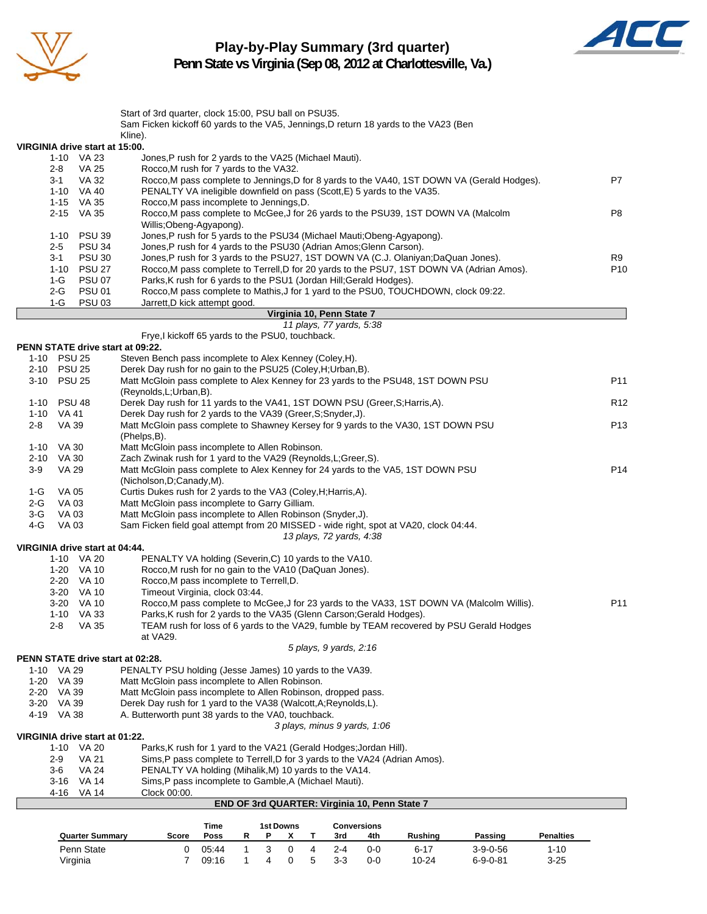

# **Play-by-Play Summary (3rd quarter)**



**Penn State vs Virginia (Sep 08, 2012 at Charlottesville, Va.)**

|                          |                                              | Start of 3rd quarter, clock 15:00, PSU ball on PSU35.<br>Sam Ficken kickoff 60 yards to the VA5, Jennings, D return 18 yards to the VA23 (Ben                    |                 |
|--------------------------|----------------------------------------------|------------------------------------------------------------------------------------------------------------------------------------------------------------------|-----------------|
|                          |                                              | Kline).                                                                                                                                                          |                 |
|                          | VIRGINIA drive start at 15:00.               |                                                                                                                                                                  |                 |
|                          | 1-10 VA 23                                   | Jones, P rush for 2 yards to the VA25 (Michael Mauti).                                                                                                           |                 |
| 2-8                      | <b>VA 25</b>                                 | Rocco, M rush for 7 yards to the VA32.                                                                                                                           |                 |
| $3 - 1$                  | VA 32                                        | Rocco, M pass complete to Jennings, D for 8 yards to the VA40, 1ST DOWN VA (Gerald Hodges).                                                                      | P7              |
|                          | 1-10 VA 40<br>1-15 VA 35                     | PENALTY VA ineligible downfield on pass (Scott, E) 5 yards to the VA35.<br>Rocco, M pass incomplete to Jennings, D.                                              |                 |
|                          | 2-15 VA 35                                   | Rocco, M pass complete to McGee, J for 26 yards to the PSU39, 1ST DOWN VA (Malcolm                                                                               | P8              |
|                          |                                              | Willis:Obeng-Agyapong).                                                                                                                                          |                 |
| $1 - 10$                 | <b>PSU 39</b>                                | Jones, P rush for 5 yards to the PSU34 (Michael Mauti; Obeng-Agyapong).                                                                                          |                 |
| $2 - 5$                  | <b>PSU 34</b>                                | Jones, P rush for 4 yards to the PSU30 (Adrian Amos; Glenn Carson).                                                                                              |                 |
| $3 - 1$                  | <b>PSU 30</b>                                | Jones, P rush for 3 yards to the PSU27, 1ST DOWN VA (C.J. Olaniyan; DaQuan Jones).                                                                               | R9              |
| 1-10<br>$1-G$            | <b>PSU 27</b><br><b>PSU 07</b>               | Rocco, M pass complete to Terrell, D for 20 yards to the PSU7, 1ST DOWN VA (Adrian Amos).<br>Parks, K rush for 6 yards to the PSU1 (Jordan Hill; Gerald Hodges). | P <sub>10</sub> |
| 2-G                      | <b>PSU 01</b>                                | Rocco, M pass complete to Mathis, J for 1 yard to the PSU0, TOUCHDOWN, clock 09:22.                                                                              |                 |
| $1-G$                    | <b>PSU 03</b>                                | Jarrett, D kick attempt good.                                                                                                                                    |                 |
|                          |                                              | Virginia 10, Penn State 7                                                                                                                                        |                 |
|                          |                                              | 11 plays, 77 yards, 5:38                                                                                                                                         |                 |
|                          | PENN STATE drive start at 09:22.             | Frye,I kickoff 65 yards to the PSU0, touchback.                                                                                                                  |                 |
| 1-10 PSU 25              |                                              | Steven Bench pass incomplete to Alex Kenney (Coley, H).                                                                                                          |                 |
| 2-10 PSU 25              |                                              | Derek Day rush for no gain to the PSU25 (Coley, H; Urban, B).                                                                                                    |                 |
| 3-10 PSU 25              |                                              | Matt McGloin pass complete to Alex Kenney for 23 yards to the PSU48, 1ST DOWN PSU                                                                                | P11             |
|                          |                                              | (Reynolds, L; Urban, B).                                                                                                                                         |                 |
| 1-10 PSU 48              |                                              | Derek Day rush for 11 yards to the VA41, 1ST DOWN PSU (Greer, S; Harris, A).                                                                                     | R <sub>12</sub> |
| 1-10 VA 41<br>2-8        | VA 39                                        | Derek Day rush for 2 yards to the VA39 (Greer, S; Snyder, J).<br>Matt McGloin pass complete to Shawney Kersey for 9 yards to the VA30, 1ST DOWN PSU              | P <sub>13</sub> |
|                          |                                              | (Phelps,B).                                                                                                                                                      |                 |
| 1-10 VA 30               |                                              | Matt McGloin pass incomplete to Allen Robinson.                                                                                                                  |                 |
| 2-10 VA 30               |                                              | Zach Zwinak rush for 1 yard to the VA29 (Reynolds, L; Greer, S).                                                                                                 |                 |
| 3-9                      | <b>VA 29</b>                                 | Matt McGloin pass complete to Alex Kenney for 24 yards to the VA5, 1ST DOWN PSU                                                                                  | P14             |
| 1-G                      | VA 05                                        | (Nicholson, D; Canady, M).<br>Curtis Dukes rush for 2 yards to the VA3 (Coley, H; Harris, A).                                                                    |                 |
| 2-G                      | VA 03                                        | Matt McGloin pass incomplete to Garry Gilliam.                                                                                                                   |                 |
| $3-G$                    | <b>VA03</b>                                  | Matt McGloin pass incomplete to Allen Robinson (Snyder, J).                                                                                                      |                 |
| 4-G                      | VA 03                                        | Sam Ficken field goal attempt from 20 MISSED - wide right, spot at VA20, clock 04:44.                                                                            |                 |
|                          |                                              | 13 plays, 72 yards, 4:38                                                                                                                                         |                 |
|                          | VIRGINIA drive start at 04:44.<br>1-10 VA 20 | PENALTY VA holding (Severin, C) 10 yards to the VA10.                                                                                                            |                 |
|                          | 1-20 VA 10                                   | Rocco, M rush for no gain to the VA10 (DaQuan Jones).                                                                                                            |                 |
|                          | 2-20 VA 10                                   | Rocco, M pass incomplete to Terrell, D.                                                                                                                          |                 |
|                          | 3-20 VA 10                                   | Timeout Virginia, clock 03:44.                                                                                                                                   |                 |
|                          | 3-20 VA 10                                   | Rocco, M pass complete to McGee, J for 23 yards to the VA33, 1ST DOWN VA (Malcolm Willis).                                                                       | P11             |
|                          | 1-10 VA 33                                   | Parks, K rush for 2 yards to the VA35 (Glenn Carson; Gerald Hodges).                                                                                             |                 |
| 2-8                      | VA 35                                        | TEAM rush for loss of 6 yards to the VA29, fumble by TEAM recovered by PSU Gerald Hodges<br>at VA29.                                                             |                 |
|                          |                                              | 5 plays, 9 yards, 2:16                                                                                                                                           |                 |
|                          | PENN STATE drive start at 02:28.             |                                                                                                                                                                  |                 |
| 1-10                     | VA 29                                        | PENALTY PSU holding (Jesse James) 10 yards to the VA39.                                                                                                          |                 |
| 1-20 VA 39               |                                              | Matt McGloin pass incomplete to Allen Robinson.                                                                                                                  |                 |
| 2-20 VA 39               |                                              | Matt McGloin pass incomplete to Allen Robinson, dropped pass.                                                                                                    |                 |
| 3-20 VA 39<br>4-19 VA 38 |                                              | Derek Day rush for 1 yard to the VA38 (Walcott, A; Reynolds, L).<br>A. Butterworth punt 38 yards to the VA0, touchback.                                          |                 |
|                          |                                              | 3 plays, minus 9 yards, 1:06                                                                                                                                     |                 |
|                          | VIRGINIA drive start at 01:22.               |                                                                                                                                                                  |                 |
| 1-10                     | VA 20                                        | Parks, K rush for 1 yard to the VA21 (Gerald Hodges; Jordan Hill).                                                                                               |                 |
| $2-9$                    | VA 21                                        | Sims, P pass complete to Terrell, D for 3 yards to the VA24 (Adrian Amos).                                                                                       |                 |
| 3-6<br>3-16              | VA 24<br>VA 14                               | PENALTY VA holding (Mihalik, M) 10 yards to the VA14.<br>Sims, P pass incomplete to Gamble, A (Michael Mauti).                                                   |                 |
|                          | 4-16 VA 14                                   | Clock 00:00.                                                                                                                                                     |                 |
|                          |                                              | END OF 3rd QUARTER: Virginia 10, Penn State 7                                                                                                                    |                 |

|                        | Time<br>1st Downs |       |  |   |  | Conversions  |     |     |                |                  |                  |
|------------------------|-------------------|-------|--|---|--|--------------|-----|-----|----------------|------------------|------------------|
| <b>Quarter Summary</b> | Score             | Poss  |  |   |  |              | 3rd | 4th | <b>Rushing</b> | Passing          | <b>Penalties</b> |
| Penn State             |                   | 05:44 |  |   |  |              | 2-4 | 0-0 | $6 - 17$       | $3 - 9 - 0 - 56$ | 1-10             |
| Virginia               |                   | 09:16 |  | 4 |  | $\mathbf{b}$ | 3-3 | 0-0 | 10-24          | $6 - 9 - 0 - 81$ | $3 - 25$         |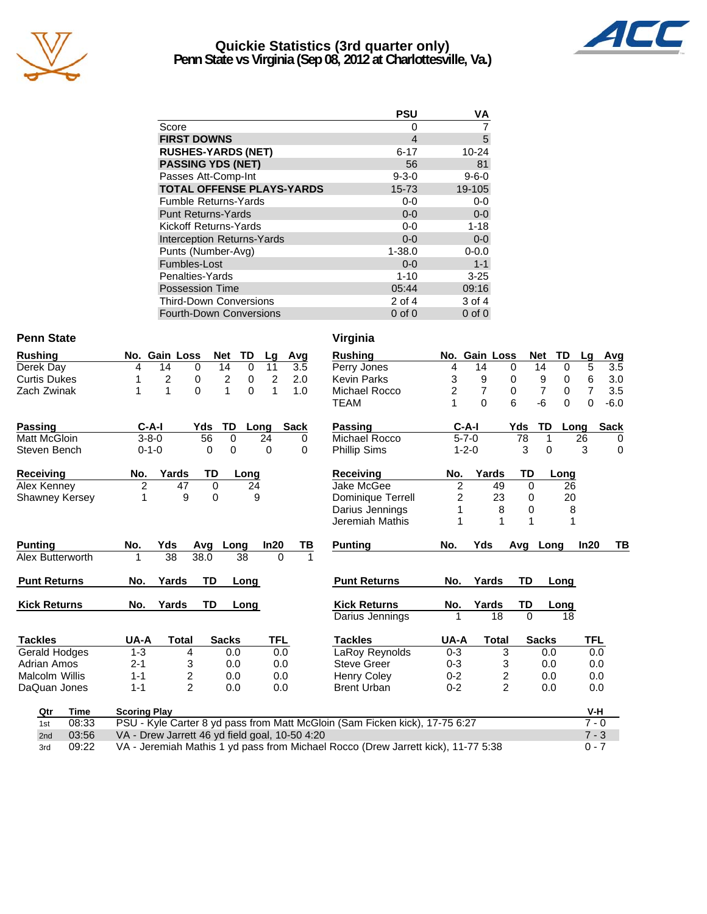

### **Quickie Statistics (3rd quarter only) Penn State vs Virginia (Sep 08, 2012 at Charlottesville, Va.)**



|                                   | <b>PSU</b>     | VA          |
|-----------------------------------|----------------|-------------|
| Score                             | 0              |             |
| <b>FIRST DOWNS</b>                | $\overline{4}$ | 5           |
| <b>RUSHES-YARDS (NET)</b>         | $6 - 17$       | $10 - 24$   |
| <b>PASSING YDS (NET)</b>          | 56             | 81          |
| Passes Att-Comp-Int               | $9 - 3 - 0$    | $9 - 6 - 0$ |
| <b>TOTAL OFFENSE PLAYS-YARDS</b>  | $15 - 73$      | 19-105      |
| <b>Fumble Returns-Yards</b>       | 0-0            | $0 - 0$     |
| <b>Punt Returns-Yards</b>         | $0 - 0$        | $0-0$       |
| Kickoff Returns-Yards             | $0 - 0$        | $1 - 18$    |
| <b>Interception Returns-Yards</b> | $0 - 0$        | $0 - 0$     |
| Punts (Number-Avg)                | $1 - 38.0$     | $0 - 0.0$   |
| Fumbles-Lost                      | $0 - 0$        | $1 - 1$     |
| Penalties-Yards                   | $1 - 10$       | $3 - 25$    |
| <b>Possession Time</b>            | 05:44          | 09:16       |
| <b>Third-Down Conversions</b>     | 2 of 4         | 3 of 4      |
| <b>Fourth-Down Conversions</b>    | $0$ of $0$     | $0$ of $0$  |

#### **Penn State**

| <b>Rushing</b>        |     | No. Gain Loss |      | <b>Net</b>     | TD   | Lg   | Avg         |
|-----------------------|-----|---------------|------|----------------|------|------|-------------|
| Derek Day             | 4   | 14            | 0    | 14             | 0    | 11   | 3.5         |
| <b>Curtis Dukes</b>   | 1   | 2             | 0    | $\overline{2}$ | 0    | 2    | 2.0         |
| Zach Zwinak           | 1   | 1             | 0    | 1              | 0    | 1    | 1.0         |
| Passing               |     | C-A-I         | Yds  | TD             | Long |      | <b>Sack</b> |
| Matt McGloin          |     | $3 - 8 - 0$   | 56   | 0              |      | 24   | 0           |
| Steven Bench          |     | $0 - 1 - 0$   | 0    | 0              |      | 0    | 0           |
| Receiving             | No. | Yards         | TD   |                | Long |      |             |
| Alex Kenney           | 2   | 47            | 0    |                | 24   |      |             |
| <b>Shawney Kersey</b> | 1   | 9             | 0    |                | 9    |      |             |
|                       |     |               |      |                |      |      |             |
| <b>Punting</b>        | No. | Yds           | Avg  | Long           |      | In20 | ΤВ          |
| Alex Butterworth      | 1   | 38            | 38.0 | 38             |      | 0    | 1           |
| <b>Punt Returns</b>   | No. | Yards         | TD   |                | Long |      |             |

Kick Returns **No. Yards TD** Long

**Tackles UA-A Total Sacks TFL** Gerald Hodges 1-3 4 0.0 0.0 Adrian Amos 2-1 3 0.0 0.0 Malcolm Willis 1-1 2 0.0 0.0 DaQuan Jones 1-1 2 0.0 0.0

| n State            |                                                                                                                                     |                    |                |                   |             | Virginia                                                                    |                         |                |                |                |             |            |             |
|--------------------|-------------------------------------------------------------------------------------------------------------------------------------|--------------------|----------------|-------------------|-------------|-----------------------------------------------------------------------------|-------------------------|----------------|----------------|----------------|-------------|------------|-------------|
| hing               | No. Gain Loss                                                                                                                       |                    | <b>Net</b>     | TD<br>Lq          | Avg         | <b>Rushing</b>                                                              |                         | No. Gain Loss  |                | <b>Net</b>     | TD          | Lg         | Avg         |
| ek Day             | 14<br>4                                                                                                                             | 0                  | 14             | $\mathbf 0$<br>11 | 3.5         | Perry Jones                                                                 | 4                       | 14             | $\mathbf 0$    | 14             | $\mathbf 0$ | 5          | 3.5         |
| is Dukes           | $\overline{c}$<br>1                                                                                                                 | 0                  | $\overline{c}$ | $\mathbf 0$<br>2  | 2.0         | <b>Kevin Parks</b>                                                          | 3                       | 9              | 0              | 9              | 0           | 6          | 3.0         |
| า Zwinak           | $\mathbf{1}$<br>1                                                                                                                   | $\Omega$           | 1              | $\Omega$<br>1     | 1.0         | Michael Rocco                                                               | $\overline{\mathbf{c}}$ | $\overline{7}$ | $\Omega$       | $\overline{7}$ | 0           | 7          | 3.5         |
|                    |                                                                                                                                     |                    |                |                   |             | <b>TEAM</b>                                                                 | 1                       | $\Omega$       | 6              | -6             | $\Omega$    | 0          | $-6.0$      |
| sina               | $C-A-I$                                                                                                                             | Yds                | TD             | Long              | <b>Sack</b> | <b>Passing</b>                                                              |                         | $C-A-I$        | Yds            | TD             | Long        |            | <b>Sack</b> |
| McGloin            | $3 - 8 - 0$                                                                                                                         | 56                 | $\Omega$       | 24                | 0           | Michael Rocco                                                               |                         | $5 - 7 - 0$    |                | 78             | 1           | 26         | 0           |
| en Bench           | $0 - 1 - 0$                                                                                                                         | 0                  | 0              | 0                 | 0           | <b>Phillip Sims</b>                                                         |                         | $1 - 2 - 0$    |                | 3              | 0           | 3          | $\mathbf 0$ |
| eiving             | No.                                                                                                                                 | Yards<br>TD        |                | Long              |             | <b>Receiving</b>                                                            | No.                     | Yards          |                | TD             | Long        |            |             |
| Kenney             | 2                                                                                                                                   | 47                 | $\mathbf 0$    | 24                |             | Jake McGee                                                                  | 2                       |                | 49             | $\mathbf 0$    | 26          |            |             |
| wney Kersey        |                                                                                                                                     | 9                  | $\Omega$       | 9                 |             | Dominique Terrell                                                           | 2                       |                | 23             | 0              | 20          |            |             |
|                    |                                                                                                                                     |                    |                |                   |             | Darius Jennings                                                             |                         |                | 8              | 0              | 8           |            |             |
|                    |                                                                                                                                     |                    |                |                   |             | Jeremiah Mathis                                                             |                         |                | 1              | 1              | 1           |            |             |
| ting               | No.<br>Yds                                                                                                                          | Avq                | Long           | In20              | ΤВ          | <b>Punting</b>                                                              | No.                     | Yds            |                | Avg            | Long        | In20       | TВ          |
| <b>Butterworth</b> | 38<br>1                                                                                                                             | 38.0               | 38             |                   | 0           |                                                                             |                         |                |                |                |             |            |             |
| ıt Returns         | No.                                                                                                                                 | <b>TD</b><br>Yards |                | Long              |             | <b>Punt Returns</b>                                                         | No.                     | Yards          |                | TD             | Long        |            |             |
| k Returns          | No.                                                                                                                                 | <b>TD</b><br>Yards |                | Long              |             | <b>Kick Returns</b>                                                         | No.                     | Yards          |                | TD             | Long        |            |             |
|                    |                                                                                                                                     |                    |                |                   |             | Darius Jennings                                                             | 1                       |                | 18             | $\Omega$       | 18          |            |             |
| kles               | UA-A                                                                                                                                | <b>Total</b>       | <b>Sacks</b>   |                   | <b>TFL</b>  | <b>Tackles</b>                                                              | UA-A                    |                | <b>Total</b>   | <b>Sacks</b>   |             | <b>TFL</b> |             |
| ald Hodges         | $1 - 3$                                                                                                                             | 4                  | 0.0            |                   | 0.0         | LaRoy Reynolds                                                              | $0 - 3$                 |                | 3              |                | 0.0         | 0.0        |             |
| an Amos            | $2 - 1$                                                                                                                             | 3                  | 0.0            |                   | 0.0         | <b>Steve Greer</b>                                                          | $0 - 3$                 |                | 3              |                | 0.0         | 0.0        |             |
| colm Willis        | $1 - 1$                                                                                                                             | 2                  | 0.0            |                   | 0.0         | <b>Henry Coley</b>                                                          | $0 - 2$                 |                | 2              |                | 0.0         | 0.0        |             |
| luan Jones         | $1 - 1$                                                                                                                             | $\mathfrak{p}$     | 0.0            |                   | 0.0         | <b>Brent Urban</b>                                                          | $0 - 2$                 |                | $\overline{2}$ |                | 0.0         | 0.0        |             |
| <b>Time</b><br>Qtr | <b>Scoring Play</b>                                                                                                                 |                    |                |                   |             |                                                                             |                         |                |                |                |             | $V-H$      |             |
| 08:33<br>1st       |                                                                                                                                     |                    |                |                   |             | PSU - Kyle Carter 8 yd pass from Matt McGloin (Sam Ficken kick), 17-75 6:27 |                         |                |                |                |             | $7 - 0$    |             |
| 03:56<br>2nd       |                                                                                                                                     |                    |                |                   |             |                                                                             |                         |                |                |                |             | $7 - 3$    |             |
| 09:22<br>3rd       | VA - Drew Jarrett 46 yd field goal, 10-50 4:20<br>VA - Jeremiah Mathis 1 yd pass from Michael Rocco (Drew Jarrett kick), 11-77 5:38 |                    |                |                   |             |                                                                             |                         |                |                |                |             | $0 - 7$    |             |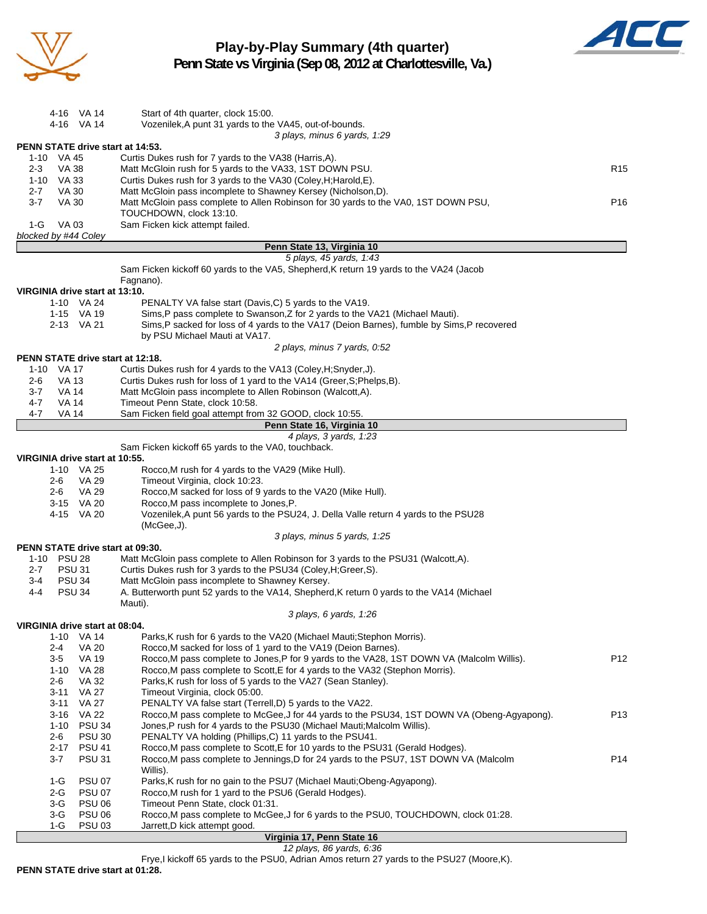

**Play-by-Play Summary (4th quarter) Penn State vs Virginia (Sep 08, 2012 at Charlottesville, Va.)**



4-16 VA 14 Start of 4th quarter, clock 15:00. 4-16 VA 14 Vozenilek,A punt 31 yards to the VA45, out-of-bounds. *3 plays, minus 6 yards, 1:29* **PENN STATE drive start at 14:53.** 1-10 VA 45 Curtis Dukes rush for 7 yards to the VA38 (Harris,A). 2-3 VA 38 Matt McGloin rush for 5 yards to the VA33, 1ST DOWN PSU. CONSERVING THE R15 1-10 VA 33 Curtis Dukes rush for 3 yards to the VA30 (Coley,H;Harold,E). 2-7 VA 30 Matt McGloin pass incomplete to Shawney Kersey (Nicholson,D). 3-7 VA 30 Matt McGloin pass complete to Allen Robinson for 30 yards to the VA0, 1ST DOWN PSU, P16 TOUCHDOWN, clock 13:10. 1-G VA 03 Sam Ficken kick attempt failed. *blocked by #44 Coley* **Penn State 13, Virginia 10** *5 plays, 45 yards, 1:43* Sam Ficken kickoff 60 yards to the VA5, Shepherd,K return 19 yards to the VA24 (Jacob Fagnano). **VIRGINIA drive start at 13:10.** 1-10 VA 24 PENALTY VA false start (Davis,C) 5 yards to the VA19. 1-15 VA 19 Sims,P pass complete to Swanson,Z for 2 yards to the VA21 (Michael Mauti). 2-13 VA 21 Sims,P sacked for loss of 4 yards to the VA17 (Deion Barnes), fumble by Sims,P recovered by PSU Michael Mauti at VA17. *2 plays, minus 7 yards, 0:52* **PENN STATE drive start at 12:18.** 1-10 VA 17 Curtis Dukes rush for 4 yards to the VA13 (Coley,H;Snyder,J). 2-6 VA 13 Curtis Dukes rush for loss of 1 yard to the VA14 (Greer,S;Phelps,B). 3-7 VA 14 Matt McGloin pass incomplete to Allen Robinson (Walcott,A). 4-7 VA 14 Timeout Penn State, clock 10:58. 4-7 VA 14 Sam Ficken field goal attempt from 32 GOOD, clock 10:55. **Penn State 16, Virginia 10** *4 plays, 3 yards, 1:23* Sam Ficken kickoff 65 yards to the VA0, touchback. **VIRGINIA drive start at 10:55.** 1-10 VA 25 Rocco,M rush for 4 yards to the VA29 (Mike Hull). 2-6 VA 29 Timeout Virginia, clock 10:23. 2-6 VA 29 Rocco,M sacked for loss of 9 yards to the VA20 (Mike Hull). 3-15 VA 20 Rocco,M pass incomplete to Jones,P. 4-15 VA 20 Vozenilek,A punt 56 yards to the PSU24, J. Della Valle return 4 yards to the PSU28 (McGee,J). *3 plays, minus 5 yards, 1:25* **PENN STATE drive start at 09:30.** Matt McGloin pass complete to Allen Robinson for 3 yards to the PSU31 (Walcott,A). 2-7 PSU 31 Curtis Dukes rush for 3 yards to the PSU34 (Coley,H;Greer,S). 3-4 PSU 34 Matt McGloin pass incomplete to Shawney Kersey. 4-4 PSU 34 A. Butterworth punt 52 yards to the VA14, Shepherd,K return 0 yards to the VA14 (Michael Mauti). *3 plays, 6 yards, 1:26* **VIRGINIA drive start at 08:04.** 1-10 VA 14 Parks,K rush for 6 yards to the VA20 (Michael Mauti;Stephon Morris). 2-4 VA 20 Rocco, M sacked for loss of 1 yard to the VA19 (Deion Barnes).<br>2-5 VA 19 Rocco. M pass complete to Jones. P for 9 vards to the VA28. 1S Rocco,M pass complete to Jones,P for 9 yards to the VA28, 1ST DOWN VA (Malcolm Willis). P12 1-10 VA 28 Rocco,M pass complete to Scott,E for 4 yards to the VA32 (Stephon Morris). 2-6 VA 32 Parks,K rush for loss of 5 yards to the VA27 (Sean Stanley). 3-11 VA 27 Timeout Virginia, clock 05:00. 3-11 VA 27 PENALTY VA false start (Terrell,D) 5 yards to the VA22. 3-16 VA 22 Rocco,M pass complete to McGee,J for 44 yards to the PSU34, 1ST DOWN VA (Obeng-Agyapong). P13 1-10 PSU 34 Jones,P rush for 4 yards to the PSU30 (Michael Mauti;Malcolm Willis). 2-6 PSU 30 PENALTY VA holding (Phillips,C) 11 yards to the PSU41.<br>2-17 PSU 41 Rocco, M pass complete to Scott, E for 10 yards to the PS PSU 41 Rocco, M pass complete to Scott, E for 10 yards to the PSU31 (Gerald Hodges). 3-7 PSU 31 Rocco,M pass complete to Jennings,D for 24 yards to the PSU7, 1ST DOWN VA (Malcolm P14 Willis). 1-G PSU 07 Parks,K rush for no gain to the PSU7 (Michael Mauti;Obeng-Agyapong). 2-G PSU 07 Rocco, M rush for 1 yard to the PSU6 (Gerald Hodges). 3-G PSU 06 Timeout Penn State, clock 01:31. 3-G PSU 06 Rocco,M pass complete to McGee,J for 6 yards to the PSU0, TOUCHDOWN, clock 01:28. 1-G PSU 03 Jarrett,D kick attempt good.

| Virginia 17, Penn State 16 |  |                          |  |
|----------------------------|--|--------------------------|--|
|                            |  | 12 plays, 86 yards, 6:36 |  |

Frye,I kickoff 65 yards to the PSU0, Adrian Amos return 27 yards to the PSU27 (Moore,K).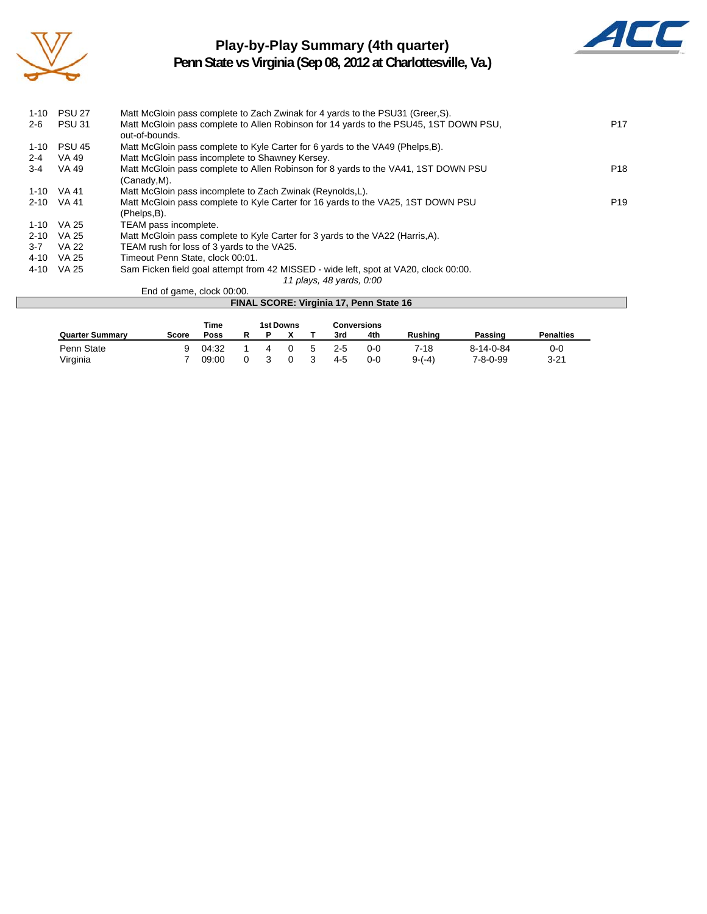

### **Play-by-Play Summary (4th quarter)**



**Penn State vs Virginia (Sep 08, 2012 at Charlottesville, Va.)**

| $1 - 10$ | <b>PSU 27</b> | Matt McGloin pass complete to Zach Zwinak for 4 yards to the PSU31 (Greer, S).        |                 |
|----------|---------------|---------------------------------------------------------------------------------------|-----------------|
| $2 - 6$  | <b>PSU 31</b> | Matt McGloin pass complete to Allen Robinson for 14 yards to the PSU45, 1ST DOWN PSU, | P <sub>17</sub> |
|          |               | out-of-bounds.                                                                        |                 |
| $1 - 10$ | <b>PSU 45</b> | Matt McGloin pass complete to Kyle Carter for 6 yards to the VA49 (Phelps, B).        |                 |
| $2 - 4$  | VA 49         | Matt McGloin pass incomplete to Shawney Kersey.                                       |                 |
| 3-4      | VA 49         | Matt McGloin pass complete to Allen Robinson for 8 yards to the VA41, 1ST DOWN PSU    | P <sub>18</sub> |
|          |               | (Canady, M).                                                                          |                 |
|          | 1-10 VA 41    | Matt McGloin pass incomplete to Zach Zwinak (Reynolds, L).                            |                 |
|          | 2-10 VA 41    | Matt McGloin pass complete to Kyle Carter for 16 yards to the VA25, 1ST DOWN PSU      | P <sub>19</sub> |
|          |               | (Phelps,B).                                                                           |                 |
|          | 1-10 VA 25    | TEAM pass incomplete.                                                                 |                 |
| $2 - 10$ | VA 25         | Matt McGloin pass complete to Kyle Carter for 3 yards to the VA22 (Harris, A).        |                 |
| $3-7$    | <b>VA 22</b>  | TEAM rush for loss of 3 yards to the VA25.                                            |                 |
| 4-10     | VA 25         | Timeout Penn State, clock 00:01.                                                      |                 |
| 4-10     | VA 25         | Sam Ficken field goal attempt from 42 MISSED - wide left, spot at VA20, clock 00:00.  |                 |
|          |               | 11 plays, 48 yards, 0:00                                                              |                 |
|          |               | End of game, clock 00:00.                                                             |                 |
|          |               | FINAL SCORE: Virginia 17, Penn State 16                                               |                 |

|                        |       | Time  |   |   | 1st Downs |             |         | <b>Conversions</b> |                |                   |                  |
|------------------------|-------|-------|---|---|-----------|-------------|---------|--------------------|----------------|-------------------|------------------|
| <b>Quarter Summary</b> | Score | Poss  | R | P |           |             | 3rd     | 4th                | <b>Rushing</b> | Passing           | <b>Penalties</b> |
| Penn State             | a     | 04:32 |   | 4 |           | $5^{\circ}$ | $2 - 5$ | $0 - 0$            | 7-18           | $8 - 14 - 0 - 84$ | 0-0              |
| Virginia               |       | 09:00 |   |   | 0         |             | 4-5     | $0-0$              | $9-(-4)$       | $7 - 8 - 0 - 99$  | $3 - 21$         |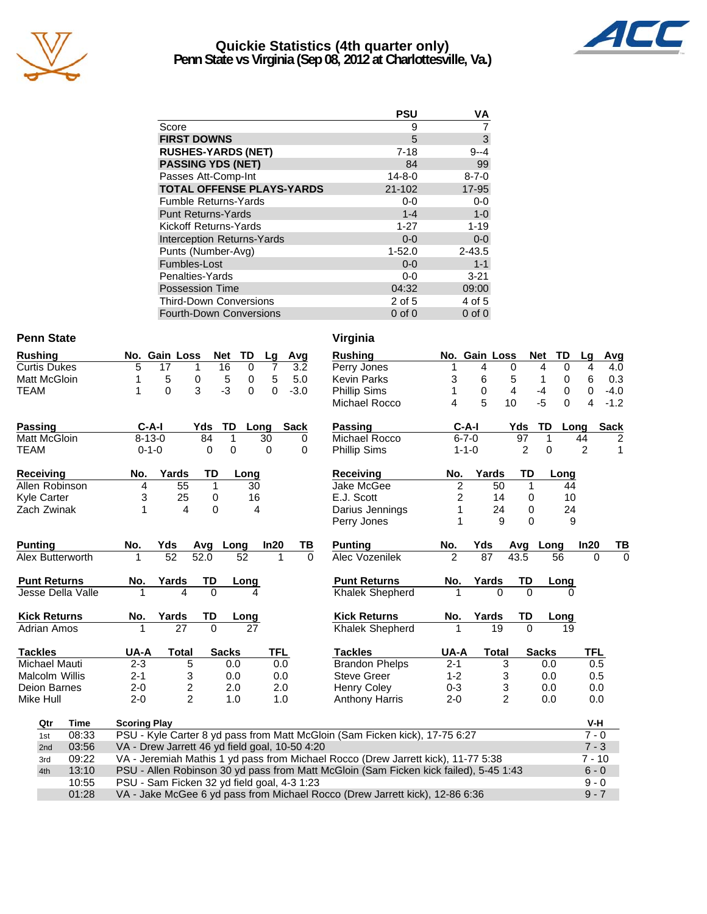

### **Quickie Statistics (4th quarter only) Penn State vs Virginia (Sep 08, 2012 at Charlottesville, Va.)**



|                                   | <b>PSU</b>   | VA          |
|-----------------------------------|--------------|-------------|
| Score                             | 9            |             |
| <b>FIRST DOWNS</b>                | 5            | 3           |
| <b>RUSHES-YARDS (NET)</b>         | $7 - 18$     | $9 - 4$     |
| <b>PASSING YDS (NET)</b>          | 84           | 99          |
| Passes Att-Comp-Int               | $14 - 8 - 0$ | $8 - 7 - 0$ |
| <b>TOTAL OFFENSE PLAYS-YARDS</b>  | 21-102       | 17-95       |
| <b>Fumble Returns-Yards</b>       | $0-0$        | $0 - 0$     |
| <b>Punt Returns-Yards</b>         | $1 - 4$      | $1-0$       |
| Kickoff Returns-Yards             | $1 - 27$     | $1 - 19$    |
| <b>Interception Returns-Yards</b> | $0 - 0$      | $0-0$       |
| Punts (Number-Avg)                | $1 - 52.0$   | $2 - 43.5$  |
| Fumbles-Lost                      | $0 - 0$      | $1 - 1$     |
| Penalties-Yards                   | $0-0$        | $3 - 21$    |
| <b>Possession Time</b>            | 04:32        | 09:00       |
| <b>Third-Down Conversions</b>     | 2 of 5       | 4 of 5      |
| <b>Fourth-Down Conversions</b>    | $0$ of $0$   | $0$ of $0$  |

10:55 PSU - Sam Ficken 32 yd field goal, 4-3 1:23<br>10:55 PSU - Sam Ficken 32 yd field goal, 4-3 1:23<br>19 - 7 9 - 9 - 9 - 9 - 9 - 12 9 - 12 9 - 12 9 - 12 9 - 12 9 - 12 9 - 12 9 - 12 9 - 12 9 - 12 9 - 12 9 - 12 9 - 1

012 VA - Jake McGee 6 yd pass from Michael Rocco (Drew Jarrett kick), 12-86 6:36

#### **Penn State** Virginia

| <b>Rushing</b>        |                     | No. Gain Loss                                  |          | <b>TD</b><br><b>Net</b> | Lg                         |            | Avg         | <b>Rushing</b>                                                                        |                | No. Gain Loss |                |                | <b>Net</b><br><b>TD</b> | Lg         |
|-----------------------|---------------------|------------------------------------------------|----------|-------------------------|----------------------------|------------|-------------|---------------------------------------------------------------------------------------|----------------|---------------|----------------|----------------|-------------------------|------------|
| <b>Curtis Dukes</b>   | 5                   | 17                                             | 1        | 16                      | $\Omega$<br>$\overline{7}$ |            | 3.2         | Perry Jones                                                                           | 1              | 4             |                | 0              | 0<br>4                  | 4          |
| Matt McGloin          | 1                   | 5                                              | 0        | 5                       | $\mathbf 0$<br>5           |            | 5.0         | <b>Kevin Parks</b>                                                                    | 3              | 6             |                | 5              | 0<br>1                  | 6          |
| <b>TEAM</b>           | 1                   | $\Omega$                                       | 3        | $-3$                    | $\Omega$<br>$\Omega$       |            | $-3.0$      | <b>Phillip Sims</b>                                                                   | 1              | 0             |                | 4              | 0<br>$-4$               | 0          |
|                       |                     |                                                |          |                         |                            |            |             | Michael Rocco                                                                         | 4              | 5             | 10             |                | $-5$<br>0               | 4          |
| <b>Passing</b>        | $C-A-I$             |                                                | Yds      | TD                      | Long                       |            | <b>Sack</b> | <b>Passing</b>                                                                        |                | $C-A-I$       |                | Yds            | TD                      | S<br>Long  |
| <b>Matt McGloin</b>   | $8 - 13 - 0$        |                                                | 84       | $\mathbf{1}$            | 30                         |            | $\Omega$    | Michael Rocco                                                                         |                | $6 - 7 - 0$   |                | 97             | 1                       | 44         |
| <b>TEAM</b>           | $0 - 1 - 0$         |                                                | $\Omega$ | $\mathbf 0$             | 0                          |            | $\Omega$    | <b>Phillip Sims</b>                                                                   |                | $1 - 1 - 0$   |                | $\overline{2}$ | 0                       | 2          |
| <b>Receiving</b>      | No.                 | Yards                                          | TD       | Long                    |                            |            |             | <b>Receiving</b>                                                                      | No.            |               | Yards          | TD             | Long                    |            |
| Allen Robinson        | 4                   | 55                                             | 1        |                         | 30                         |            |             | Jake McGee                                                                            | 2              |               | 50             | 1              | 44                      |            |
| Kyle Carter           | 3                   | 25                                             | 0        |                         | 16                         |            |             | E.J. Scott                                                                            | 2              |               | 14             | $\Omega$       | 10                      |            |
| Zach Zwinak           | 1                   | $\overline{\mathbf{4}}$                        | $\Omega$ |                         | $\overline{4}$             |            |             | Darius Jennings                                                                       | 1              |               | 24             | $\Omega$       | 24                      |            |
|                       |                     |                                                |          |                         |                            |            |             | Perry Jones                                                                           |                |               | 9              | $\Omega$       | 9                       |            |
| <b>Punting</b>        | No.                 | Yds                                            |          | Avg Long                | In20                       |            | ΤВ          | <b>Punting</b>                                                                        | No.            | Yds           |                |                | Avg Long                | In20       |
| Alex Butterworth      |                     | 52                                             | 52.0     | 52                      |                            |            | $\Omega$    | Alec Vozenilek                                                                        | $\overline{2}$ | 87            |                | 43.5           | 56                      | $\Omega$   |
| <b>Punt Returns</b>   | No.                 | Yards                                          | TD       | Long                    |                            |            |             | <b>Punt Returns</b>                                                                   | No.            |               | Yards          | TD             | Long                    |            |
| Jesse Della Valle     |                     | 4                                              | 0        |                         |                            |            |             | <b>Khalek Shepherd</b>                                                                |                |               | $\Omega$       | $\Omega$       | 0                       |            |
| <b>Kick Returns</b>   | No.                 | Yards                                          | TD       | Long                    |                            |            |             | <b>Kick Returns</b>                                                                   | No.            |               | Yards          | TD             | Long                    |            |
| <b>Adrian Amos</b>    |                     | 27                                             | $\Omega$ |                         | 27                         |            |             | <b>Khalek Shepherd</b>                                                                | 1              |               | 19             | $\Omega$       | 19                      |            |
| <b>Tackles</b>        | UA-A                | <b>Total</b>                                   |          | <b>Sacks</b>            |                            | <b>TFL</b> |             | <b>Tackles</b>                                                                        | UA-A           |               | <b>Total</b>   |                | <b>Sacks</b>            | <b>TFL</b> |
| Michael Mauti         | $2 - 3$             | 5                                              |          | 0.0                     |                            | 0.0        |             | <b>Brandon Phelps</b>                                                                 | $2 - 1$        |               | $\overline{3}$ |                | 0.0                     | 0.5        |
| <b>Malcolm Willis</b> | $2 - 1$             | 3                                              |          | 0.0                     |                            | 0.0        |             | Steve Greer                                                                           | $1 - 2$        |               | 3              |                | 0.0                     | 0.5        |
| Deion Barnes          | $2 - 0$             | 2                                              |          | 2.0                     |                            | 2.0        |             | <b>Henry Coley</b>                                                                    | $0 - 3$        |               | 3              |                | 0.0                     | 0.0        |
| Mike Hull             | $2 - 0$             | $\overline{2}$                                 |          | 1.0                     |                            | 1.0        |             | <b>Anthony Harris</b>                                                                 | $2 - 0$        |               | $\overline{c}$ |                | 0.0                     | 0.0        |
| <b>Time</b><br>Qtr    | <b>Scoring Play</b> |                                                |          |                         |                            |            |             |                                                                                       |                |               |                |                |                         | V-H        |
| 08:33<br>1st          |                     |                                                |          |                         |                            |            |             | PSU - Kyle Carter 8 yd pass from Matt McGloin (Sam Ficken kick), 17-75 6:27           |                |               |                |                |                         | $7 - 0$    |
| 03:56<br>2nd          |                     | VA - Drew Jarrett 46 yd field goal, 10-50 4:20 |          |                         |                            |            |             |                                                                                       |                |               |                |                |                         | $7 - 3$    |
| 09:22<br>3rd          |                     |                                                |          |                         |                            |            |             | VA - Jeremiah Mathis 1 yd pass from Michael Rocco (Drew Jarrett kick), 11-77 5:38     |                |               |                |                |                         | $7 - 10$   |
| 13:10<br>4th          |                     |                                                |          |                         |                            |            |             | PSU - Allen Robinson 30 yd pass from Matt McGloin (Sam Ficken kick failed), 5-45 1:43 |                |               |                |                |                         | $6 - 0$    |
| 10:55                 |                     | PSU - Sam Ficken 32 vd field goal, 4-3 1:23    |          |                         |                            |            |             |                                                                                       |                |               |                |                |                         | $9 - 0$    |

| v 11 yılıla                                 |                |              |                |              |          |                |        |
|---------------------------------------------|----------------|--------------|----------------|--------------|----------|----------------|--------|
| <b>Rushing</b>                              | No.            | Gain Loss    |                | <b>Net</b>   | TD       | Lg             | Avg    |
| Perry Jones                                 | 1              | 4            | 0              | 4            | 0        | 4              | 4.0    |
| <b>Kevin Parks</b>                          | 3              | 6            | 5              | 1            | 0        | 6              | 0.3    |
| Phillip Sims                                | 1              | 0            | 4              | -4           | 0        | 0              | $-4.0$ |
| Michael Rocco                               | 4              | 5            | 10             | -5           | $\Omega$ | 4              | $-1.2$ |
| <b>Passing</b>                              | $C-A-I$        |              | Yds            | TD           | Long     |                | Sack   |
| Michael Rocco                               | $6 - 7 - 0$    |              | 97             | 1            |          | 44             | 2      |
| Phillip Sims                                | $1 - 1 - 0$    |              |                | 0<br>2       |          | $\overline{c}$ | 1      |
| Receiving                                   | No.            | Yards        |                | <b>TD</b>    | Long     |                |        |
| Jake McGee                                  | $\overline{2}$ | 50           |                | 1            | 44       |                |        |
| E.J. Scott                                  | $\frac{2}{1}$  | 14           |                | 0            | 10       |                |        |
| Darius Jennings                             |                | 24           |                | 0            | 24       |                |        |
| Perry Jones                                 | 1              |              | 9              | $\Omega$     | 9        |                |        |
| <b>Punting</b>                              | No.            | Yds          |                | Avg Long     |          | ln20           | ΤВ     |
| Alec Vozenilek                              |                | 87           | 43.5           |              | 56       | 0              | 0      |
| <b>Punt Returns</b>                         | No.            | Yards        |                | TD           | Long     |                |        |
| Khalek Shepherd                             |                |              |                | 0            | 0        |                |        |
| <b>Kick Returns</b>                         | No.            | Yards        |                | TD           | Long     |                |        |
| Khalek Shepherd                             |                | 19           |                | $\Omega$     | 19       |                |        |
| <b>Tackles</b>                              | UA-A           | <b>Total</b> |                | <b>Sacks</b> |          | TFL            |        |
| <b>Brandon Phelps</b>                       | $2 - 1$        |              | 3              | 0.0          |          | 0.5            |        |
| <b>Steve Greer</b>                          | $1 - 2$        |              | 3              | 0.0          |          | 0.5            |        |
| <b>Henry Coley</b>                          | $0 - 3$        |              | 3              | 0.0          |          | 0.0            |        |
| Anthony Harris                              | $2 - 0$        |              | $\overline{2}$ | 0.0          |          | 0.0            |        |
|                                             |                |              |                |              |          | V-H            |        |
| vin (Sam Ficken kick), 17-75 6:27           |                |              |                |              |          | $7 - 0$        |        |
|                                             |                |              |                |              |          | $7 - 3$        |        |
| Rocco (Drew Jarrett kick), 11-77 5:38       |                |              |                |              |          | 7 - 10         |        |
| AcGloin (Sam Ficken kick failed), 5-45 1:43 |                |              |                |              |          | $6 - 0$        |        |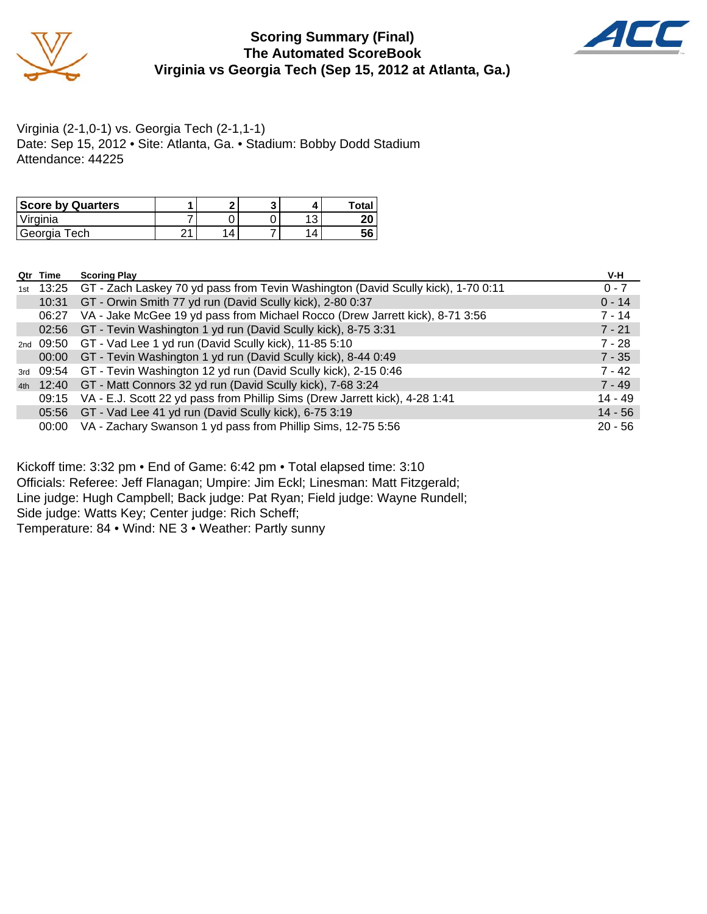

#### **Scoring Summary (Final) The Automated ScoreBook Virginia vs Georgia Tech (Sep 15, 2012 at Atlanta, Ga.)**



Virginia (2-1,0-1) vs. Georgia Tech (2-1,1-1) Date: Sep 15, 2012 • Site: Atlanta, Ga. • Stadium: Bobby Dodd Stadium Attendance: 44225

| <b>Score by Quarters</b> |      |   |  | Total    |
|--------------------------|------|---|--|----------|
| Virginia                 |      |   |  | חר<br>ΔU |
| Georgia Tech             | ົາ 1 | 4 |  | 56       |

|     | Qtr Time  | <b>Scoring Play</b>                                                                    | V-H       |
|-----|-----------|----------------------------------------------------------------------------------------|-----------|
| 1st |           | 13:25 GT - Zach Laskey 70 yd pass from Tevin Washington (David Scully kick), 1-70 0:11 | $0 - 7$   |
|     | 10:31     | GT - Orwin Smith 77 yd run (David Scully kick), 2-80 0:37                              | $0 - 14$  |
|     | 06:27     | VA - Jake McGee 19 yd pass from Michael Rocco (Drew Jarrett kick), 8-71 3:56           | $7 - 14$  |
|     |           | 02:56 GT - Tevin Washington 1 yd run (David Scully kick), 8-75 3:31                    | $7 - 21$  |
|     | 2nd 09:50 | GT - Vad Lee 1 yd run (David Scully kick), 11-85 5:10                                  | $7 - 28$  |
|     | 00:00     | GT - Tevin Washington 1 yd run (David Scully kick), 8-44 0:49                          | $7 - 35$  |
| 3rd |           | 09:54 GT - Tevin Washington 12 yd run (David Scully kick), 2-15 0:46                   | $7 - 42$  |
| 4th |           | 12:40 GT - Matt Connors 32 yd run (David Scully kick), 7-68 3:24                       | $7 - 49$  |
|     | 09:15     | VA - E.J. Scott 22 yd pass from Phillip Sims (Drew Jarrett kick), 4-28 1:41            | $14 - 49$ |
|     |           | 05:56 GT - Vad Lee 41 yd run (David Scully kick), 6-75 3:19                            | $14 - 56$ |
|     | 00:00     | VA - Zachary Swanson 1 yd pass from Phillip Sims, 12-75 5:56                           | $20 - 56$ |

Kickoff time: 3:32 pm • End of Game: 6:42 pm • Total elapsed time: 3:10 Officials: Referee: Jeff Flanagan; Umpire: Jim Eckl; Linesman: Matt Fitzgerald; Line judge: Hugh Campbell; Back judge: Pat Ryan; Field judge: Wayne Rundell; Side judge: Watts Key; Center judge: Rich Scheff; Temperature: 84 • Wind: NE 3 • Weather: Partly sunny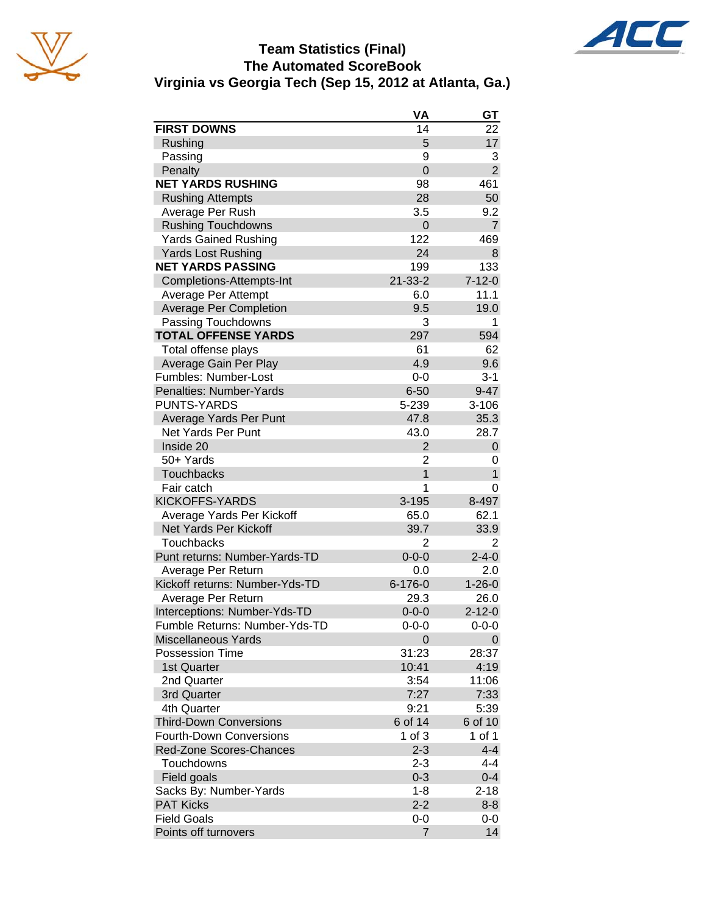





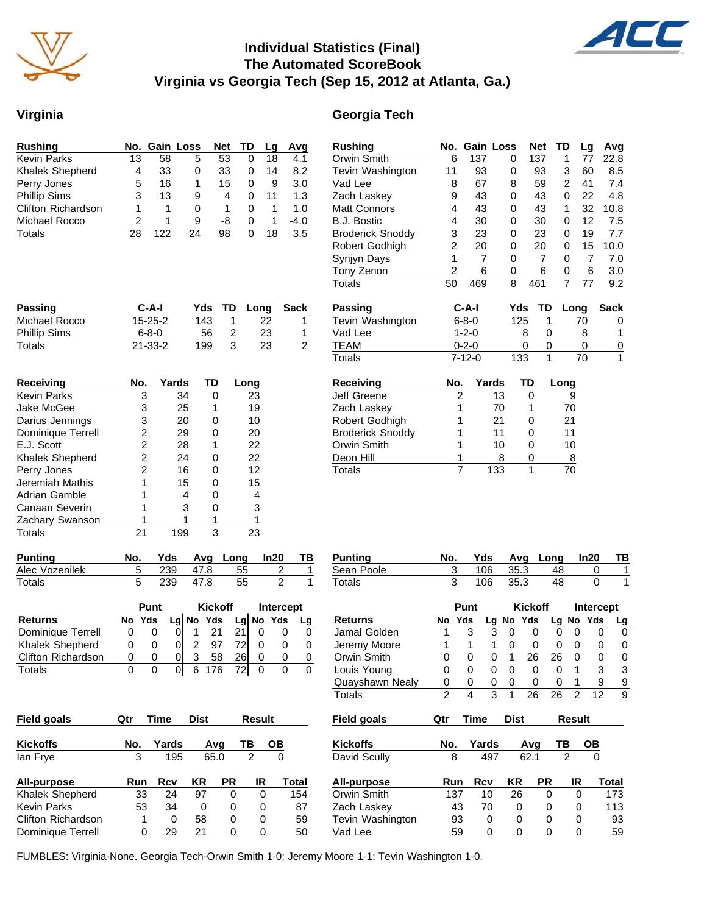

## **Individual Statistics (Final) The Automated ScoreBook Virginia vs Georgia Tech (Sep 15, 2012 at Atlanta, Ga.)**

#### **Virginia Georgia Tech**

| <b>Rushing</b>            |    | No. Gain Loss |    | <b>Net</b> | TD | La | Avq    |
|---------------------------|----|---------------|----|------------|----|----|--------|
| <b>Kevin Parks</b>        | 13 | 58            | 5  | 53         |    | 18 | 4.1    |
| Khalek Shepherd           | 4  | 33            | 0  | 33         | 0  | 14 | 8.2    |
| Perry Jones               | 5  | 16            | 1  | 15         | 0  | 9  | 3.0    |
| <b>Phillip Sims</b>       | 3  | 13            | 9  | 4          | 0  | 11 | 1.3    |
| <b>Clifton Richardson</b> |    |               | 0  |            | 0  |    | 1.0    |
| Michael Rocco             |    |               | я  | -8         | O  | 1  | $-4.0$ |
| Totals                    | 28 | 122           | 24 | 98         |    | 18 | 3.5    |

| Passing             | $C-A-I$       | Yds |    | TD Long | Sack |
|---------------------|---------------|-----|----|---------|------|
| Michael Rocco       | $15 - 25 - 2$ | 143 |    | つつ      |      |
| <b>Phillip Sims</b> | 6-8-0         | 56  |    | 23      |      |
| Totals              | $21 - 33 - 2$ | 199 | ิว | 23      |      |

| Receiving          | No. | Yards | TD | Long |
|--------------------|-----|-------|----|------|
| <b>Kevin Parks</b> | 3   | 34    | U  | 23   |
| Jake McGee         | 3   | 25    |    | 19   |
| Darius Jennings    | 3   | 20    | n  | 10   |
| Dominique Terrell  | 2   | 29    | O  | 20   |
| E.J. Scott         | 2   | 28    |    | 22   |
| Khalek Shepherd    | 2   | 24    |    | 22   |
| Perry Jones        | 2   | 16    |    | 12   |
| Jeremiah Mathis    |     | 15    |    | 15   |
| Adrian Gamble      |     | 4     | n  | 4    |
| Canaan Severin     |     | 3     | n  | 3    |
| Zachary Swanson    |     |       |    |      |
| Totals             | 21  | 199   | 3  | 23   |

| <b>Punting</b> | No. |          | Yds Avg Long In20 TB |  |
|----------------|-----|----------|----------------------|--|
| Alec Vozenilek |     | 239 47.8 | - 55                 |  |
| Totals         |     | 239 47.8 | -55                  |  |

| Punt                      |      |     |  | <b>Kickoff</b> |     | Intercept |             |  |
|---------------------------|------|-----|--|----------------|-----|-----------|-------------|--|
| <b>Returns</b>            | No l | Yds |  | $Lg$ No Yds    |     |           | $Lg$ No Yds |  |
| Dominique Terrell         |      |     |  |                | 21  |           |             |  |
| Khalek Shepherd           |      |     |  | 97             | 721 |           |             |  |
| <b>Clifton Richardson</b> | O    |     |  | 58             | 261 | Ω         |             |  |
| Totals                    |      |     |  |                |     |           |             |  |

| <b>Field goals</b>        | Qtr | ∎ıme  | Dist |     | Result |       |
|---------------------------|-----|-------|------|-----|--------|-------|
| <b>Kickoffs</b>           | No. | Yards |      | Avq | ΤВ     | OВ    |
| lan Frye                  | 3   | 195   | 65.0 |     | 2      | 0     |
| All-purpose               | Run | Rcv   | ΚR   | PR  | IR     | Total |
| Khalek Shepherd           | 33  | 24    | 97   | 0   | 0      | 154   |
| <b>Kevin Parks</b>        | 53  | 34    | 0    | 0   | 0      | 87    |
| <b>Clifton Richardson</b> | 1   | 0     | 58   | 0   | Ω      | 59    |
| Dominique Terrell         | 0   | 29    | 21   | 0   | 0      | 50    |

| <b>Rushing</b>          | No.            | Gain Loss      |       |     |    | <b>Net</b>     | TD             | <u>Lg</u> | Avg            |
|-------------------------|----------------|----------------|-------|-----|----|----------------|----------------|-----------|----------------|
| Orwin Smith             | 6              | 137            |       | 0   |    | 137            | 1              | 77        | 22.8           |
| Tevin Washington        | 11             | 93             |       | 0   |    | 93             | 3              | 60        | 8.5            |
| Vad Lee                 | 8              | 67             |       | 8   |    | 59             | 2              | 41        | 7.4            |
| Zach Laskey             | 9              | 43             |       | 0   |    | 43             | 0              | 22        | 4.8            |
| <b>Matt Connors</b>     | 4              | 43             |       | 0   |    | 43             | 1              | 32        | 10.8           |
| <b>B.J. Bostic</b>      | 4              | 30             |       | 0   |    | 30             | 0              | 12        | 7.5            |
| <b>Broderick Snoddy</b> | 3              | 23             |       | 0   |    | 23             | 0              | 19        | 7.7            |
| Robert Godhigh          | $\overline{c}$ | 20             |       | 0   |    | 20             | 0              | 15        | 10.0           |
| Synjyn Days             | 1              | 7              |       | 0   |    | $\overline{7}$ | 0              | 7         | 7.0            |
| Tony Zenon              | $\overline{c}$ | 6              |       | 0   |    | 6              | 0              | 6         | 3.0            |
| <b>Totals</b>           | 50             | 469            |       | 8   |    | 461            | $\overline{7}$ | 77        | 9.2            |
| <b>Passing</b>          |                | C-A-I          |       | Yds |    | TD             | Long           |           | <b>Sack</b>    |
| Tevin Washington        |                | $6 - 8 - 0$    |       | 125 |    | 1              |                | 70        | 0              |
| Vad Lee                 |                | $1 - 2 - 0$    |       |     | 8  | 0              |                | 8         | 1              |
| <b>TEAM</b>             |                | $0 - 2 - 0$    |       |     | 0  | 0              |                | 0         | $\overline{0}$ |
| <b>Totals</b>           |                | 7-12-0         |       | 133 |    | 1              |                | 70        | $\overline{1}$ |
| <b>Receiving</b>        | No.            |                | Yards |     | TD |                | Long           |           |                |
| Jeff Greene             |                | 2              | 13    |     | 0  |                | 9              |           |                |
| Zach Laskey             |                | 1              | 70    |     | 1  |                | 70             |           |                |
| Robert Godhigh          |                | 1              | 21    |     | 0  |                | 21             |           |                |
| <b>Broderick Snoddy</b> |                | 1              | 11    |     | 0  |                | 11             |           |                |
| Orwin Smith             |                | 1              | 10    |     | 0  |                | 10             |           |                |
| Deon Hill               |                | 1              | 8     |     | 0  |                | 8              |           |                |
| <b>Totals</b>           |                | $\overline{7}$ | 133   |     | 1  |                | 70             |           |                |
|                         |                |                |       |     |    |                |                |           |                |
|                         |                |                |       |     |    |                |                |           |                |
|                         |                |                |       |     |    |                |                |           |                |

| Punting    | No. |          | Yds Avg Long In20 | <b>TB</b> |
|------------|-----|----------|-------------------|-----------|
| Sean Poole |     | 106 35.3 | 48                |           |
| Totals     |     | 106 35.3 | 48                |           |

|                           |              | Punt |            |             | <b>Kickoff</b> |    |                | <b>Intercept</b> |              |                    |     | <b>Punt</b> |            |             | <b>Kickoff</b> |           |                | Intercept |       |
|---------------------------|--------------|------|------------|-------------|----------------|----|----------------|------------------|--------------|--------------------|-----|-------------|------------|-------------|----------------|-----------|----------------|-----------|-------|
| <b>Returns</b>            | No           | Yds  | Lgl        | No          | Yds            | Lg | No             | Yds              | Lg           | <b>Returns</b>     | No  | Yds         |            | Lg No       | Yds            | Lg        | <b>No</b>      | Yds       | Lg    |
| Dominique Terrell         | $\mathbf{0}$ | 0    | 01         |             | 21             | 21 | 0              | 0                | 0            | Jamal Golden       |     | 3           | 3          | 0           | 0              | 0         | 0              | 0         | 0     |
| Khalek Shepherd           | 0            | 0    | 0          |             | 97             | 72 | 0              | 0                | 0            | Jeremy Moore       |     |             |            | 0           | $\Omega$       | 0         | 0              | $\Omega$  | 0     |
| <b>Clifton Richardson</b> | 0            | 0    | 0          | 3           | 58             | 26 | 0              | 0                | 0            | Orwin Smith        | 0   | $\Omega$    | 0          |             | 26             | 26        | 0              | 0         | 0     |
| <b>Totals</b>             | $\mathbf{0}$ | 0    | 0l         | 6           | 176            | 72 | $\Omega$       | $\Omega$         | $\Omega$     | Louis Young        | 0   | $\Omega$    | 0          | 0           | 0              | 0         |                | 3         | 3     |
|                           |              |      |            |             |                |    |                |                  |              | Quayshawn Nealy    | 0   | 0           | 0          | 0           | 0              | 0         |                | 9         | 9     |
|                           |              |      |            |             |                |    |                |                  |              | Totals             | 2   | 4           | 3          |             | 26             | 26        | 2              | 12        | 9     |
| <b>Field goals</b>        | Qtr          | Time |            | <b>Dist</b> |                |    | <b>Result</b>  |                  |              | <b>Field goals</b> | Qtr | Time        |            | <b>Dist</b> |                |           | <b>Result</b>  |           |       |
| <b>Kickoffs</b>           | No.          |      | Yards      |             | Avg            | ΤВ |                | OВ               |              | <b>Kickoffs</b>    | No. |             | Yards      |             | Avg            | ΤВ        |                | OВ        |       |
| lan Frye                  |              | 3    | 195        |             | 65.0           |    | $\overline{2}$ | 0                |              | David Scully       |     | 8           | 497        |             | 62.1           |           | $\overline{2}$ | $\Omega$  |       |
| All-purpose               |              | Run  | <b>Rcv</b> | <b>KR</b>   | <b>PR</b>      |    | IR             |                  | <b>Total</b> | All-purpose        |     | Run         | <b>Rcv</b> | <b>KR</b>   |                | <b>PR</b> | IR             |           | Total |
| Khalek Shepherd           |              | 33   | 24         | 97          |                | 0  | 0              |                  | 154          | Orwin Smith        |     | 137         | 10         | 26          |                | 0         | 0              |           | 173   |
| Kevin Parks               |              | 53   | 34         |             | 0              | 0  | 0              |                  | 87           | Zach Laskey        |     | 43          | 70         |             | 0              | 0         | 0              |           | 113   |
| Clifton Richardson        |              |      | 0          | 58          |                | 0  | 0              |                  | 59           | Tevin Washington   |     | 93          | 0          |             | 0              | 0         | 0              |           | 93    |
| Dominique Terrell         |              | 0    | 29         | 21          |                | 0  | 0              |                  | 50           | Vad Lee            |     | 59          | 0          |             | 0              | 0         | 0              |           | 59    |

FUMBLES: Virginia-None. Georgia Tech-Orwin Smith 1-0; Jeremy Moore 1-1; Tevin Washington 1-0.

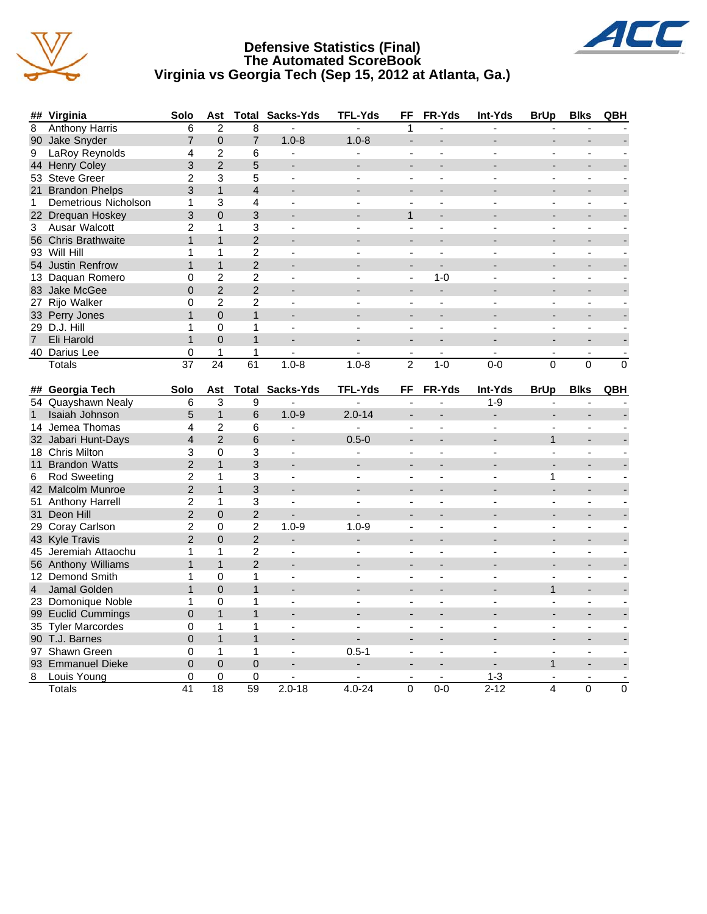





| ##             | Virginia                              | Solo                 | Ast                            | <b>Total</b>   | Sacks-Yds                | TFL-Yds        | FF                       | FR-Yds                    | Int-Yds                  | <b>BrUp</b>              | <b>Blks</b>         | QBH            |
|----------------|---------------------------------------|----------------------|--------------------------------|----------------|--------------------------|----------------|--------------------------|---------------------------|--------------------------|--------------------------|---------------------|----------------|
| 8              | <b>Anthony Harris</b>                 | 6                    | $\overline{2}$                 | 8              | L.                       |                | 1                        |                           | ÷.                       |                          |                     |                |
| 90             | Jake Snyder                           | $\overline{7}$       | $\mathbf 0$                    | $\overline{7}$ | $1.0 - 8$                | $1.0 - 8$      | ÷.                       |                           |                          |                          |                     |                |
| 9              | LaRoy Reynolds                        | 4                    | $\overline{2}$                 | 6              | $\blacksquare$           |                | $\sim$                   | $\overline{a}$            |                          | $\blacksquare$           | $\blacksquare$      |                |
|                | 44 Henry Coley                        | 3                    | $\overline{2}$                 | 5              |                          |                |                          |                           |                          |                          | $\overline{a}$      |                |
|                | 53 Steve Greer                        | $\overline{2}$       | 3                              | 5              | $\overline{a}$           | $\overline{a}$ | $\blacksquare$           | ä,                        | ÷.                       | $\blacksquare$           | ÷,                  |                |
|                | 21 Brandon Phelps                     | 3                    | $\mathbf{1}$                   | $\overline{4}$ |                          |                | $\overline{a}$           |                           |                          |                          |                     |                |
| $\mathbf{1}$   | Demetrious Nicholson                  | 1                    | 3                              | 4              | $\blacksquare$           |                | $\bar{\phantom{a}}$      | $\mathbf{r}$              |                          | $\overline{a}$           | ÷,                  |                |
|                | 22 Drequan Hoskey                     | 3                    | $\Omega$                       | 3              |                          |                | $\mathbf{1}$             |                           |                          |                          |                     |                |
| 3              | Ausar Walcott                         | $\overline{c}$       | $\mathbf{1}$                   | 3              | $\blacksquare$           |                | $\overline{\phantom{a}}$ |                           |                          | ÷,                       | ÷,                  |                |
|                | 56 Chris Brathwaite                   | $\mathbf{1}$         | $\mathbf{1}$                   | $\overline{2}$ |                          |                |                          |                           |                          |                          |                     |                |
|                | 93 Will Hill                          | 1                    | $\mathbf{1}$                   | $\overline{2}$ | $\blacksquare$           | $\sim$         | $\blacksquare$           | $\overline{a}$            | $\overline{\phantom{a}}$ | $\blacksquare$           | ÷,                  |                |
|                | 54 Justin Renfrow                     | $\mathbf{1}$         | $\mathbf{1}$                   | $\overline{2}$ |                          |                | $\overline{a}$           |                           |                          |                          | ÷                   |                |
|                | 13 Daquan Romero                      | 0                    | $\overline{c}$                 | $\overline{c}$ | ä,                       |                | $\blacksquare$           | $1 - 0$                   |                          | ÷,                       | L,                  |                |
|                | 83 Jake McGee                         | $\overline{0}$       | $\overline{2}$                 | $\overline{2}$ |                          |                | $\overline{a}$           | $\blacksquare$            |                          |                          |                     |                |
|                | 27 Rijo Walker                        | 0                    | $\overline{2}$                 | $\overline{2}$ | $\blacksquare$           |                | $\overline{a}$           |                           |                          | $\overline{a}$           | Ĭ.                  |                |
|                | 33 Perry Jones                        | $\mathbf{1}$         | $\mathbf{0}$                   | $\mathbf{1}$   | ÷                        |                | ÷,                       |                           |                          |                          |                     |                |
|                | 29 D.J. Hill                          | 1                    | 0                              | $\mathbf{1}$   | $\overline{a}$           | $\overline{a}$ | $\mathbf{r}$             | $\sim$                    | ٠                        | $\blacksquare$           | $\overline{a}$      |                |
| $\overline{7}$ | Eli Harold                            | $\mathbf{1}$         | $\Omega$                       | $\mathbf{1}$   |                          |                | ÷,                       |                           |                          | $\overline{a}$           | ÷,                  |                |
|                | 40 Darius Lee                         | $\mathbf 0$          | $\mathbf{1}$                   | $\mathbf{1}$   |                          |                | $\blacksquare$           | $\mathbf{r}$              |                          | $\blacksquare$           | $\blacksquare$      |                |
|                | Totals                                | 37                   | 24                             | 61             | $1.0 - 8$                | $1.0 - 8$      | $\overline{2}$           | $1 - 0$                   | $0 - 0$                  | $\overline{0}$           | $\mathbf 0$         | $\overline{0}$ |
|                |                                       |                      |                                |                |                          |                |                          |                           |                          |                          |                     |                |
|                | ## Georgia Tech<br>54 Quayshawn Nealy | Solo<br>6            | Ast<br>3                       | 9              | <b>Total Sacks-Yds</b>   | TFL-Yds        | FF                       | <b>FR-Yds</b>             | Int-Yds<br>$1 - 9$       | <b>BrUp</b>              | <b>Blks</b>         | QBH            |
|                |                                       |                      |                                |                |                          |                |                          |                           |                          | $\overline{\phantom{a}}$ |                     |                |
|                |                                       |                      |                                |                |                          |                |                          |                           |                          |                          |                     |                |
| $\mathbf{1}$   | Isaiah Johnson                        | 5                    | $\mathbf{1}$                   | 6              | $1.0 - 9$                | $2.0 - 14$     |                          |                           |                          |                          |                     |                |
|                | 14 Jemea Thomas                       | 4                    | $\overline{2}$                 | 6              |                          | $\mathbf{r}$   | $\overline{a}$           |                           |                          |                          | ÷.                  |                |
|                | 32 Jabari Hunt-Days                   | $\overline{4}$       | $\overline{2}$                 | 6              | $\overline{a}$           | $0.5 - 0$      | $\overline{a}$           |                           |                          | $\mathbf{1}$             | $\overline{a}$      |                |
|                | 18 Chris Milton                       | 3                    | 0                              | 3              | $\overline{\phantom{a}}$ | $\mathbf{r}$   | $\overline{\phantom{a}}$ | $\sim$                    |                          | $\blacksquare$           | $\blacksquare$      |                |
|                | 11 Brandon Watts                      | $\overline{2}$       | $\mathbf{1}$                   | 3              |                          |                |                          |                           |                          |                          |                     |                |
| 6              | Rod Sweeting                          | $\overline{c}$       | $\mathbf{1}$                   | 3              | $\overline{a}$           | ÷.             | $\blacksquare$           | $\overline{a}$            |                          | 1                        | ÷,                  |                |
|                | 42 Malcolm Munroe                     | $\overline{2}$       | $\mathbf{1}$                   | 3              |                          |                |                          |                           |                          |                          |                     |                |
|                | 51 Anthony Harrell                    | $\overline{c}$       | $\mathbf 1$                    | 3              | ä,                       |                | $\overline{a}$           |                           |                          |                          | ä,                  |                |
| 31             | Deon Hill                             | $\overline{2}$       | $\mathbf 0$                    | $\overline{2}$ |                          |                | $\overline{a}$           |                           |                          | ÷                        | $\overline{a}$      |                |
|                | 29 Coray Carlson                      | $\overline{2}$       | $\mathbf 0$                    | $\overline{c}$ | $1.0 - 9$                | $1.0 - 9$      | $\blacksquare$           |                           |                          | $\blacksquare$           | $\blacksquare$      |                |
|                | 43 Kyle Travis                        | $\overline{2}$       | $\mathbf 0$                    | $\overline{2}$ | ÷                        |                |                          |                           |                          |                          |                     |                |
|                | 45 Jeremiah Attaochu                  | 1                    | 1                              | $\overline{2}$ | $\blacksquare$           |                | $\overline{a}$           | $\overline{a}$            |                          | ÷,                       | ÷,                  |                |
|                | 56 Anthony Williams                   | $\mathbf{1}$         | $\mathbf{1}$                   | $\overline{2}$ |                          |                |                          |                           |                          |                          |                     |                |
|                | 12 Demond Smith                       | 1                    | $\mathbf 0$                    | $\mathbf{1}$   | $\overline{a}$           |                | $\sim$                   | L.                        |                          | $\blacksquare$           | $\overline{a}$      |                |
| $\overline{4}$ | Jamal Golden                          | $\mathbf{1}$         | $\overline{0}$                 | $\mathbf{1}$   |                          |                |                          |                           |                          | $\mathbf{1}$             |                     |                |
|                | 23 Domonique Noble                    | 1                    | 0                              | $\mathbf{1}$   | $\blacksquare$           | $\overline{a}$ | $\blacksquare$           | ä,                        |                          | $\overline{a}$           | ä,                  |                |
|                | 99 Euclid Cummings                    | $\overline{0}$       | $\mathbf{1}$                   | $\mathbf{1}$   | $\overline{a}$           |                | $\overline{a}$           |                           |                          |                          | $\overline{a}$      |                |
|                | 35 Tyler Marcordes                    | 0                    | $\mathbf{1}$                   | $\mathbf{1}$   | $\blacksquare$           | $\overline{a}$ | $\blacksquare$           | $\overline{a}$            | ٠                        | $\overline{a}$           | ÷,                  |                |
|                | 90 T.J. Barnes                        | $\overline{0}$       | $\mathbf{1}$                   | $\mathbf{1}$   |                          |                |                          |                           |                          |                          |                     |                |
|                | 97 Shawn Green                        | $\Omega$             | $\mathbf{1}$                   | $\mathbf{1}$   | $\blacksquare$           | $0.5 - 1$      | $\blacksquare$           |                           |                          | ÷,                       | ä,                  |                |
|                | 93 Emmanuel Dieke                     | 0                    | $\mathbf 0$                    | $\mathbf 0$    | $\overline{\phantom{0}}$ | $\blacksquare$ |                          |                           |                          | $\mathbf{1}$             |                     |                |
| 8              | Louis Young<br>Totals                 | 0<br>$\overline{41}$ | $\mathbf 0$<br>$\overline{18}$ | 0<br>59        | $2.0 - 18$               | $4.0 - 24$     | $\blacksquare$<br>0      | $\blacksquare$<br>$0 - 0$ | $1 - 3$<br>$2 - 12$      | $\blacksquare$<br>4      | $\blacksquare$<br>0 | $\overline{0}$ |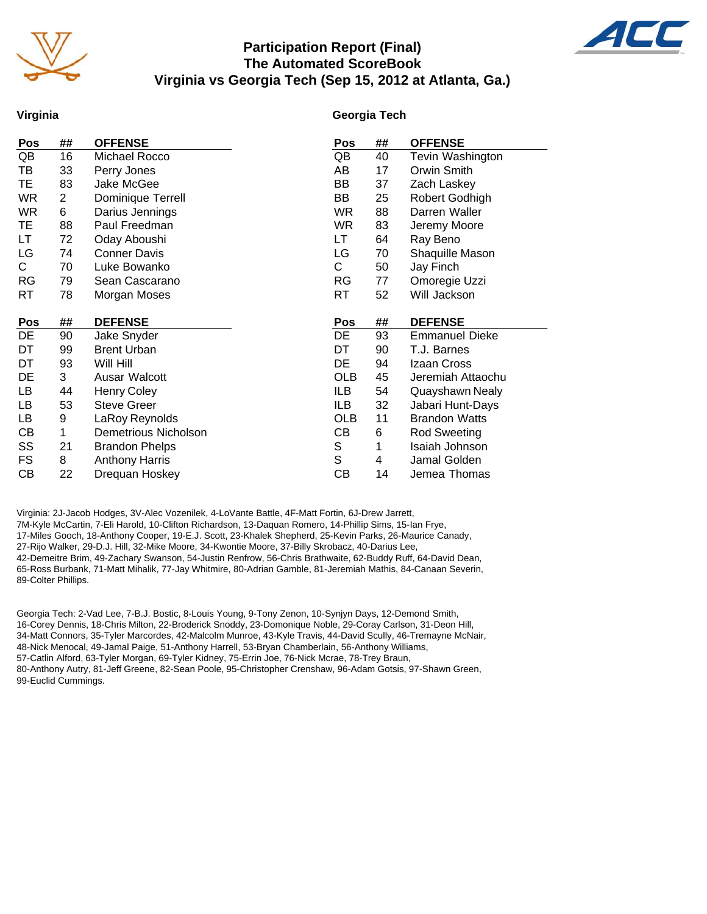

## **Participation Report (Final) The Automated ScoreBook Virginia vs Georgia Tech (Sep 15, 2012 at Atlanta, Ga.)**



#### **Virginia**

#### **Georgia Tech**

| Pos        | ##             | <b>OFFENSE</b>        | Pos         | ## | <b>OFFENSE</b>        |
|------------|----------------|-----------------------|-------------|----|-----------------------|
| QB         | 16             | Michael Rocco         | QB          | 40 | Tevin Washington      |
| TВ         | 33             | Perry Jones           | AB          | 17 | Orwin Smith           |
| TE         | 83             | Jake McGee            | BB          | 37 | Zach Laskey           |
| WR         | $\overline{2}$ | Dominique Terrell     | BB          | 25 | Robert Godhigh        |
| <b>WR</b>  | 6              | Darius Jennings       | <b>WR</b>   | 88 | Darren Waller         |
| ТE         | 88             | Paul Freedman         | <b>WR</b>   | 83 | Jeremy Moore          |
| LT         | 72             | Oday Aboushi          | LT          | 64 | Ray Beno              |
| LG         | 74             | <b>Conner Davis</b>   | LG          | 70 | Shaquille Mason       |
| С          | 70             | Luke Bowanko          | С           | 50 | Jay Finch             |
| <b>RG</b>  | 79             | Sean Cascarano        | RG          | 77 | Omoregie Uzzi         |
| RT         | 78             | Morgan Moses          | RT          | 52 | Will Jackson          |
|            |                |                       |             |    |                       |
|            |                |                       |             |    |                       |
| <b>Pos</b> | ##             | <b>DEFENSE</b>        | Pos         | ## | <b>DEFENSE</b>        |
| DE         | 90             | Jake Snyder           | DE          | 93 | <b>Emmanuel Dieke</b> |
| DT         | 99             | <b>Brent Urban</b>    | DT          | 90 | T.J. Barnes           |
| DT         | 93             | Will Hill             | DE          | 94 | Izaan Cross           |
| DE         | 3              | Ausar Walcott         | <b>OLB</b>  | 45 | Jeremiah Attaochu     |
| LB         | 44             | <b>Henry Coley</b>    | ILB         | 54 | Quayshawn Nealy       |
| LB         | 53             | <b>Steve Greer</b>    | ILB         | 32 | Jabari Hunt-Days      |
| LB         | 9              | LaRoy Reynolds        | <b>OLB</b>  | 11 | <b>Brandon Watts</b>  |
| CВ         | 1              | Demetrious Nicholson  | CВ          | 6  | <b>Rod Sweeting</b>   |
| SS         | 21             | <b>Brandon Phelps</b> | S           | 1  | Isaiah Johnson        |
| FS         | 8              | <b>Anthony Harris</b> | $\mathbb S$ | 4  | Jamal Golden          |

Virginia: 2J-Jacob Hodges, 3V-Alec Vozenilek, 4-LoVante Battle, 4F-Matt Fortin, 6J-Drew Jarrett, 7M-Kyle McCartin, 7-Eli Harold, 10-Clifton Richardson, 13-Daquan Romero, 14-Phillip Sims, 15-Ian Frye, 17-Miles Gooch, 18-Anthony Cooper, 19-E.J. Scott, 23-Khalek Shepherd, 25-Kevin Parks, 26-Maurice Canady, 27-Rijo Walker, 29-D.J. Hill, 32-Mike Moore, 34-Kwontie Moore, 37-Billy Skrobacz, 40-Darius Lee, 42-Demeitre Brim, 49-Zachary Swanson, 54-Justin Renfrow, 56-Chris Brathwaite, 62-Buddy Ruff, 64-David Dean, 65-Ross Burbank, 71-Matt Mihalik, 77-Jay Whitmire, 80-Adrian Gamble, 81-Jeremiah Mathis, 84-Canaan Severin, 89-Colter Phillips.

Georgia Tech: 2-Vad Lee, 7-B.J. Bostic, 8-Louis Young, 9-Tony Zenon, 10-Synjyn Days, 12-Demond Smith, 16-Corey Dennis, 18-Chris Milton, 22-Broderick Snoddy, 23-Domonique Noble, 29-Coray Carlson, 31-Deon Hill, 34-Matt Connors, 35-Tyler Marcordes, 42-Malcolm Munroe, 43-Kyle Travis, 44-David Scully, 46-Tremayne McNair, 48-Nick Menocal, 49-Jamal Paige, 51-Anthony Harrell, 53-Bryan Chamberlain, 56-Anthony Williams, 57-Catlin Alford, 63-Tyler Morgan, 69-Tyler Kidney, 75-Errin Joe, 76-Nick Mcrae, 78-Trey Braun, 80-Anthony Autry, 81-Jeff Greene, 82-Sean Poole, 95-Christopher Crenshaw, 96-Adam Gotsis, 97-Shawn Green, 99-Euclid Cummings.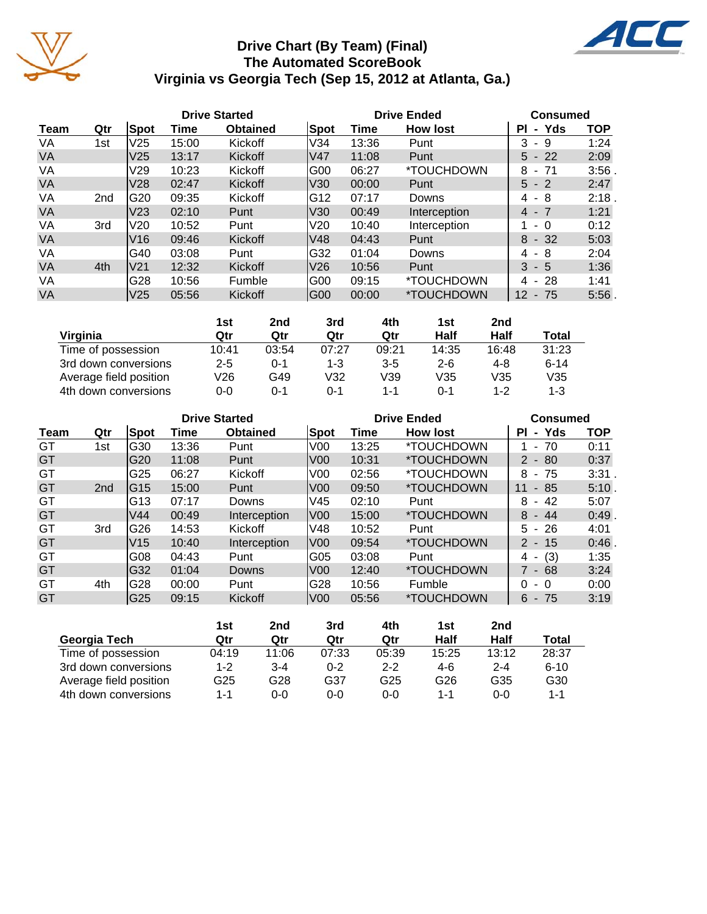



4C



|                        | 1st     | 2nd   | 3rd     | 4th     | 1st     | 2nd     |          |
|------------------------|---------|-------|---------|---------|---------|---------|----------|
| Virginia               | Qtr     | Qtr   | Qtr     | Qtr     | Half    | Half    | Total    |
| Time of possession     | 10:41   | 03:54 | 07:27   | 09:21   | 14:35   | 16:48   | 31:23    |
| 3rd down conversions   | $2 - 5$ | 0-1   | $1 - 3$ | $3 - 5$ | $2 - 6$ | $4 - 8$ | $6 - 14$ |
| Average field position | V26     | G49   | V32     | V39     | V35     | V35     | V35      |
| 4th down conversions   | 0-0     | 0-1   | 0-1     | 1-1     | ი-1     | $1 - 2$ | 1-3      |

|           |                 |                 |       | <b>Drive Started</b> |                 |       | <b>Drive Ended</b>       | <b>Consumed</b>                      |            |  |  |
|-----------|-----------------|-----------------|-------|----------------------|-----------------|-------|--------------------------|--------------------------------------|------------|--|--|
| Team      | Qtr             | Spot            | Time  | <b>Obtained</b>      | Spot            | Time  | <b>How lost</b>          | Yds<br>ΡI<br>$\blacksquare$          | <b>TOP</b> |  |  |
| GT        | 1st             | G30             | 13:36 | Punt                 | V <sub>00</sub> | 13:25 | <i><b>*TOUCHDOWN</b></i> | 70<br>$\blacksquare$                 | 0:11       |  |  |
| GT        |                 | G20             | 11:08 | Punt                 | <b>V00</b>      | 10:31 | <i><b>*TOUCHDOWN</b></i> | $2 - 80$                             | 0:37       |  |  |
| GT        |                 | G25             | 06:27 | Kickoff              | V00             | 02:56 | <i><b>*TOUCHDOWN</b></i> | 8<br>- 75                            | 3:31       |  |  |
| GT        | 2 <sub>nd</sub> | IG15            | 15:00 | Punt                 | V <sub>00</sub> | 09:50 | <i><b>*TOUCHDOWN</b></i> | 11<br>85<br>$\sim$                   | 5:10.      |  |  |
| GT        |                 | G13             | 07:17 | Downs                | V45             | 02:10 | Punt                     | 8<br>42<br>$\sim$                    | 5:07       |  |  |
| <b>GT</b> |                 | V <sub>44</sub> | 00:49 | Interception         | lV00            | 15:00 | <i><b>*TOUCHDOWN</b></i> | $8 - 44$                             | 0:49       |  |  |
| GT        | 3rd             | G26             | 14:53 | Kickoff              | V48             | 10:52 | Punt                     | $-26$<br>5.                          | 4:01       |  |  |
| GT        |                 | V <sub>15</sub> | 10:40 | Interception         | V <sub>00</sub> | 09:54 | <i><b>*TOUCHDOWN</b></i> | $2 - 15$                             | 0:46       |  |  |
| GT        |                 | G08             | 04:43 | Punt                 | G05             | 03:08 | Punt                     | (3)<br>4<br>$\overline{\phantom{a}}$ | 1:35       |  |  |
| GT        |                 | G32             | 01:04 | <b>Downs</b>         | V <sub>00</sub> | 12:40 | <i><b>*TOUCHDOWN</b></i> | 7 - 68                               | 3:24       |  |  |
| GT        | 4th             | G28             | 00:00 | Punt                 | G28             | 10:56 | Fumble                   | 0<br>- 0                             | 0:00       |  |  |
| <b>GT</b> |                 | G25             | 09:15 | Kickoff              | <b>V00</b>      | 05:56 | *TOUCHDOWN               | $-75$<br>6                           | 3:19       |  |  |

|                        | 1st   | 2nd   | 3rd     | 4th             | 1st   | 2nd     |          |
|------------------------|-------|-------|---------|-----------------|-------|---------|----------|
| Georgia Tech           | Qtr   | Qtr   | Qtr     | Qtr             | Half  | Half    | Total    |
| Time of possession     | 04:19 | 11:06 | 07:33   | 05:39           | 15:25 | 13:12   | 28:37    |
| 3rd down conversions   | 1-2   | $3-4$ | $0 - 2$ | $2 - 2$         | 4-6   | $2 - 4$ | $6 - 10$ |
| Average field position | G25   | G28   | G37     | G <sub>25</sub> | G26   | G35     | G30      |
| 4th down conversions   | 1-1   | 0-0   | $0 - 0$ | $0 - 0$         | 1-1   | 0-0     | 1-1      |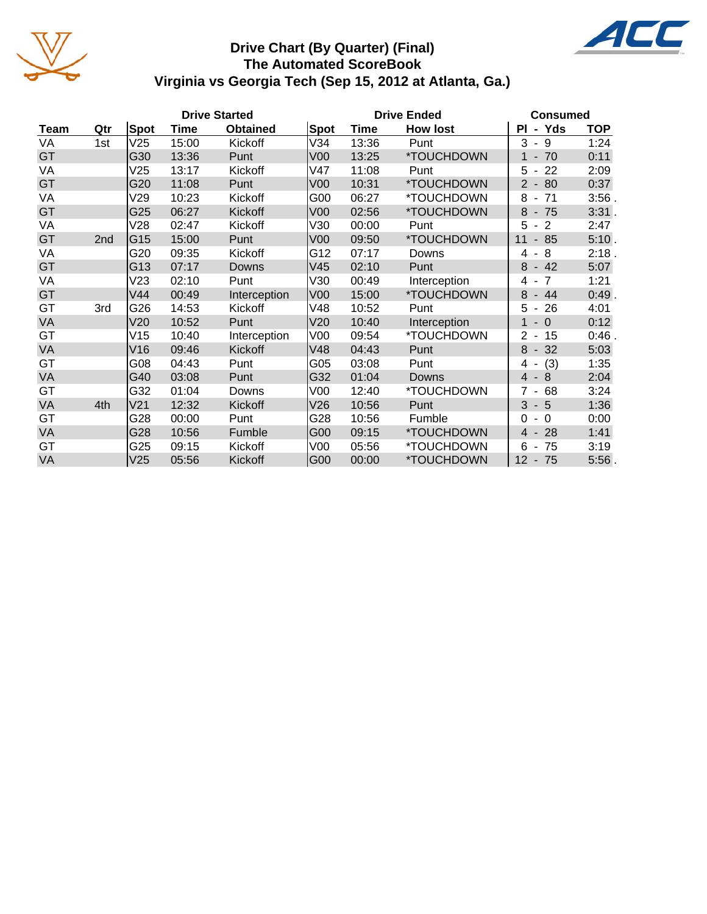

# **Drive Chart (By Quarter) (Final) The Automated ScoreBook Virginia vs Georgia Tech (Sep 15, 2012 at Atlanta, Ga.)**



|             | <b>Drive Started</b> |                 |       |                 |                 |             | <b>Drive Ended</b> | <b>Consumed</b>                                  |            |  |  |
|-------------|----------------------|-----------------|-------|-----------------|-----------------|-------------|--------------------|--------------------------------------------------|------------|--|--|
| <b>Team</b> | Qtr                  | <b>Spot</b>     | Time  | <b>Obtained</b> | Spot            | <b>Time</b> | <b>How lost</b>    | - Yds<br>ΡI                                      | <b>TOP</b> |  |  |
| VA          | 1st                  | V25             | 15:00 | Kickoff         | V34             | 13:36       | Punt               | 3<br>- 9                                         | 1:24       |  |  |
| GT          |                      | G30             | 13:36 | Punt            | V <sub>00</sub> | 13:25       | *TOUCHDOWN         | $-70$                                            | 0:11       |  |  |
| VA          |                      | V25             | 13:17 | Kickoff         | V47             | 11:08       | Punt               | 5<br>22<br>$\qquad \qquad \blacksquare$          | 2:09       |  |  |
| GT          |                      | G20             | 11:08 | Punt            | V <sub>00</sub> | 10:31       | *TOUCHDOWN         | 80<br>$2 -$                                      | 0:37       |  |  |
| VA          |                      | V29             | 10:23 | Kickoff         | G00             | 06:27       | *TOUCHDOWN         | 8<br>71<br>$\blacksquare$                        | 3:56       |  |  |
| GT          |                      | G25             | 06:27 | Kickoff         | V <sub>00</sub> | 02:56       | *TOUCHDOWN         | 8<br>$-75$                                       | 3:31.      |  |  |
| VA          |                      | V28             | 02:47 | Kickoff         | V30             | 00:00       | Punt               | 5<br>$\overline{2}$<br>$\blacksquare$            | 2:47       |  |  |
| GT          | 2nd                  | G15             | 15:00 | Punt            | V <sub>00</sub> | 09:50       | *TOUCHDOWN         | 85<br>11<br>$\overline{\phantom{a}}$             | 5:10.      |  |  |
| VA          |                      | G20             | 09:35 | Kickoff         | G12             | 07:17       | Downs              | 8<br>4                                           | 2:18.      |  |  |
| GT          |                      | G13             | 07:17 | Downs           | V45             | 02:10       | Punt               | 8<br>$-42$                                       | 5:07       |  |  |
| VA          |                      | V23             | 02:10 | Punt            | V30             | 00:49       | Interception       | $\overline{7}$<br>4<br>$\overline{\phantom{a}}$  | 1:21       |  |  |
| GT          |                      | V44             | 00:49 | Interception    | V <sub>00</sub> | 15:00       | *TOUCHDOWN         | 8<br>44<br>$\blacksquare$                        | 0:49       |  |  |
| GT          | 3rd                  | G26             | 14:53 | Kickoff         | V48             | 10:52       | Punt               | 5<br>26<br>$\overline{\phantom{a}}$              | 4:01       |  |  |
| VA          |                      | V20             | 10:52 | Punt            | V20             | 10:40       | Interception       | $-0$<br>1                                        | 0:12       |  |  |
| GT          |                      | V15             | 10:40 | Interception    | V <sub>00</sub> | 09:54       | *TOUCHDOWN         | 15<br>$\overline{2}$<br>$\overline{\phantom{a}}$ | 0:46       |  |  |
| VA          |                      | V16             | 09:46 | Kickoff         | V48             | 04:43       | Punt               | 8<br>32<br>$\blacksquare$                        | 5:03       |  |  |
| GT          |                      | G08             | 04:43 | Punt            | G05             | 03:08       | Punt               | (3)<br>4                                         | 1:35       |  |  |
| VA          |                      | G40             | 03:08 | Punt            | G32             | 01:04       | <b>Downs</b>       | 8<br>$\overline{4}$<br>$\sim$                    | 2:04       |  |  |
| GT          |                      | G32             | 01:04 | Downs           | V <sub>00</sub> | 12:40       | *TOUCHDOWN         | 68                                               | 3:24       |  |  |
| VA          | 4th                  | V <sub>21</sub> | 12:32 | Kickoff         | V26             | 10:56       | Punt               | 3<br>$-5$                                        | 1:36       |  |  |
| GT          |                      | G28             | 00:00 | Punt            | G28             | 10:56       | Fumble             | $\Omega$<br>$\Omega$<br>$\blacksquare$           | 0:00       |  |  |
| VA          |                      | G28             | 10:56 | Fumble          | G00             | 09:15       | *TOUCHDOWN         | 28<br>4 -                                        | 1:41       |  |  |
| GT          |                      | G25             | 09:15 | Kickoff         | V <sub>00</sub> | 05:56       | *TOUCHDOWN         | 6<br>75<br>$\overline{\phantom{a}}$              | 3:19       |  |  |
| VA          |                      | V25             | 05:56 | Kickoff         | G00             | 00:00       | *TOUCHDOWN         | 12<br>$-75$                                      | 5:56       |  |  |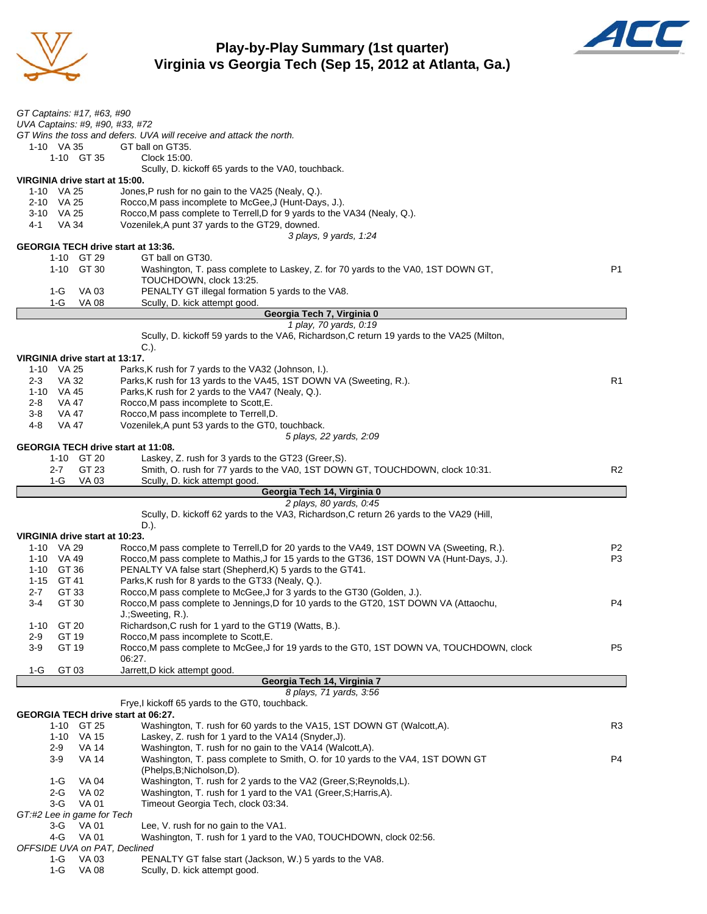

## **Play-by-Play Summary (1st quarter) Virginia vs Georgia Tech (Sep 15, 2012 at Atlanta, Ga.)**



| GT Captains: #17, #63, #90                |                                                                                            |                |
|-------------------------------------------|--------------------------------------------------------------------------------------------|----------------|
| UVA Captains: #9, #90, #33, #72           |                                                                                            |                |
|                                           | GT Wins the toss and defers. UVA will receive and attack the north.                        |                |
| 1-10 VA 35                                | GT ball on GT35.                                                                           |                |
| 1-10 GT 35                                | Clock 15:00.                                                                               |                |
|                                           |                                                                                            |                |
| VIRGINIA drive start at 15:00.            | Scully, D. kickoff 65 yards to the VA0, touchback.                                         |                |
|                                           |                                                                                            |                |
| 1-10 VA 25                                | Jones, P rush for no gain to the VA25 (Nealy, Q.).                                         |                |
| 2-10 VA 25                                | Rocco, M pass incomplete to McGee, J (Hunt-Days, J.).                                      |                |
| 3-10 VA 25                                | Rocco.M pass complete to Terrell, D for 9 yards to the VA34 (Nealy, Q.).                   |                |
| VA 34<br>4-1                              | Vozenilek, A punt 37 yards to the GT29, downed.                                            |                |
|                                           | 3 plays, 9 yards, 1:24                                                                     |                |
| <b>GEORGIA TECH drive start at 13:36.</b> |                                                                                            |                |
| 1-10 GT 29                                | GT ball on GT30.                                                                           |                |
| 1-10 GT 30                                | Washington, T. pass complete to Laskey, Z. for 70 yards to the VA0, 1ST DOWN GT,           | P <sub>1</sub> |
|                                           | TOUCHDOWN, clock 13:25.                                                                    |                |
| 1-G<br>VA 03                              | PENALTY GT illegal formation 5 yards to the VA8.                                           |                |
| $1-G$<br><b>VA 08</b>                     | Scully, D. kick attempt good.                                                              |                |
|                                           | Georgia Tech 7, Virginia 0                                                                 |                |
|                                           | 1 play, 70 yards, 0:19                                                                     |                |
|                                           | Scully, D. kickoff 59 yards to the VA6, Richardson, C return 19 yards to the VA25 (Milton, |                |
|                                           | $C.$ ).                                                                                    |                |
| VIRGINIA drive start at 13:17.            |                                                                                            |                |
| 1-10 VA 25                                | Parks, K rush for 7 yards to the VA32 (Johnson, I.).                                       |                |
|                                           | Parks, K rush for 13 yards to the VA45, 1ST DOWN VA (Sweeting, R.).                        | R1             |
| $2 - 3$<br>VA 32                          |                                                                                            |                |
| 1-10 VA 45                                | Parks, K rush for 2 yards to the VA47 (Nealy, Q.).                                         |                |
| VA 47<br>2-8                              | Rocco, M pass incomplete to Scott, E.                                                      |                |
| VA 47<br>3-8                              | Rocco, M pass incomplete to Terrell, D.                                                    |                |
| $4 - 8$<br>VA 47                          | Vozenilek, A punt 53 yards to the GT0, touchback.                                          |                |
|                                           | 5 plays, 22 yards, 2:09                                                                    |                |
| GEORGIA TECH drive start at 11:08.        |                                                                                            |                |
| 1-10 GT 20                                | Laskey, Z. rush for 3 yards to the GT23 (Greer, S).                                        |                |
| GT 23<br>$2 - 7$                          | Smith, O. rush for 77 yards to the VA0, 1ST DOWN GT, TOUCHDOWN, clock 10:31.               | R2             |
| $1-G$<br>VA 03                            | Scully, D. kick attempt good.                                                              |                |
|                                           |                                                                                            |                |
|                                           | Georgia Tech 14, Virginia 0                                                                |                |
|                                           | 2 plays, 80 yards, 0:45                                                                    |                |
|                                           |                                                                                            |                |
|                                           | Scully, D. kickoff 62 yards to the VA3, Richardson, C return 26 yards to the VA29 (Hill,   |                |
|                                           | D.).                                                                                       |                |
| VIRGINIA drive start at 10:23.            |                                                                                            |                |
| 1-10 VA 29                                | Rocco, M pass complete to Terrell, D for 20 yards to the VA49, 1ST DOWN VA (Sweeting, R.). | P2             |
| 1-10 VA 49                                | Rocco, M pass complete to Mathis, J for 15 yards to the GT36, 1ST DOWN VA (Hunt-Days, J.). | P3             |
| 1-10 GT 36                                | PENALTY VA false start (Shepherd, K) 5 yards to the GT41.                                  |                |
| 1-15 GT 41                                | Parks, K rush for 8 yards to the GT33 (Nealy, Q.).                                         |                |
| GT 33<br>2-7                              | Rocco, M pass complete to McGee, J for 3 yards to the GT30 (Golden, J.).                   |                |
| $3-4$<br>GT 30                            | Rocco, M pass complete to Jennings, D for 10 yards to the GT20, 1ST DOWN VA (Attaochu,     | P4             |
|                                           | J.; Sweeting, R.).                                                                         |                |
| GT 20<br>$1 - 10$                         | Richardson, C rush for 1 yard to the GT19 (Watts, B.).                                     |                |
| GT 19<br>$2-9$                            | Rocco, M pass incomplete to Scott, E.                                                      |                |
| GT 19<br>3-9                              | Rocco, M pass complete to McGee, J for 19 yards to the GT0, 1ST DOWN VA, TOUCHDOWN, clock  | P5             |
|                                           | 06:27.                                                                                     |                |
| GT 03<br>1-G                              | Jarrett, D kick attempt good.                                                              |                |
|                                           | Georgia Tech 14, Virginia 7                                                                |                |
|                                           | 8 plays, 71 yards, 3:56                                                                    |                |
|                                           | Frye, I kickoff 65 yards to the GT0, touchback.                                            |                |
| GEORGIA TECH drive start at 06:27.        |                                                                                            |                |
| 1-10 GT 25                                | Washington, T. rush for 60 yards to the VA15, 1ST DOWN GT (Walcott, A).                    | R3             |
| 1-10 VA 15                                | Laskey, Z. rush for 1 yard to the VA14 (Snyder, J).                                        |                |
| <b>VA 14</b><br>$2-9$                     | Washington, T. rush for no gain to the VA14 (Walcott,A).                                   |                |
| <b>VA 14</b><br>$3-9$                     | Washington, T. pass complete to Smith, O. for 10 yards to the VA4, 1ST DOWN GT             | P4             |
|                                           |                                                                                            |                |
|                                           | (Phelps, B; Nicholson, D).                                                                 |                |
| 1-G<br>VA 04                              | Washington, T. rush for 2 yards to the VA2 (Greer, S; Reynolds, L).                        |                |
| $2-G$<br>VA 02                            | Washington, T. rush for 1 yard to the VA1 (Greer, S; Harris, A).                           |                |
| 3-G<br><b>VA01</b>                        | Timeout Georgia Tech, clock 03:34.                                                         |                |
| GT:#2 Lee in game for Tech                |                                                                                            |                |
| <b>VA01</b><br>3-G                        | Lee, V. rush for no gain to the VA1.                                                       |                |
| 4-G<br><b>VA01</b>                        | Washington, T. rush for 1 yard to the VA0, TOUCHDOWN, clock 02:56.                         |                |
| OFFSIDE UVA on PAT, Declined              |                                                                                            |                |
| VA 03<br>1-G<br>$1-G$<br><b>VA 08</b>     | PENALTY GT false start (Jackson, W.) 5 yards to the VA8.<br>Scully, D. kick attempt good.  |                |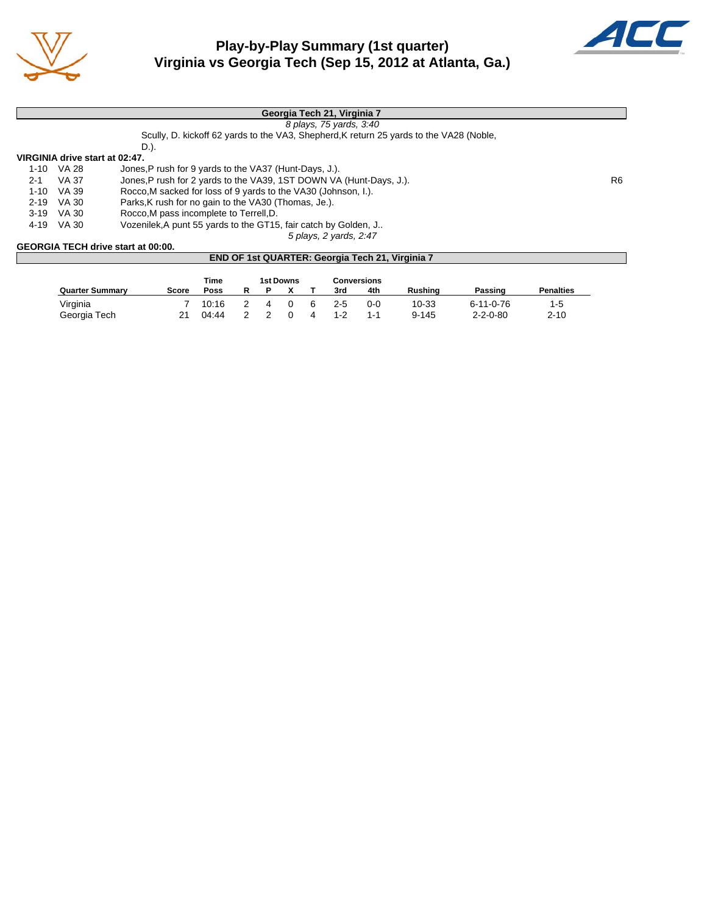

# **Play-by-Play Summary (1st quarter) Virginia vs Georgia Tech (Sep 15, 2012 at Atlanta, Ga.)**



|          |                                           | Georgia Tech 21, Virginia 7                                                             |     |  |  |  |  |
|----------|-------------------------------------------|-----------------------------------------------------------------------------------------|-----|--|--|--|--|
|          |                                           | 8 plays, 75 yards, 3:40                                                                 |     |  |  |  |  |
|          |                                           | Scully, D. kickoff 62 yards to the VA3, Shepherd, K return 25 yards to the VA28 (Noble, |     |  |  |  |  |
|          |                                           | D.).                                                                                    |     |  |  |  |  |
|          |                                           | VIRGINIA drive start at 02:47.                                                          |     |  |  |  |  |
| 1-10     | VA 28                                     | Jones, P rush for 9 yards to the VA37 (Hunt-Days, J.).                                  |     |  |  |  |  |
| $2 - 1$  | VA 37                                     | Jones, P rush for 2 yards to the VA39, 1ST DOWN VA (Hunt-Days, J.).                     | R6. |  |  |  |  |
| 1-10     | VA 39                                     | Rocco.M sacked for loss of 9 yards to the VA30 (Johnson, I.).                           |     |  |  |  |  |
| $2 - 19$ | VA 30                                     | Parks, K rush for no gain to the VA30 (Thomas, Je.).                                    |     |  |  |  |  |
|          | 3-19 VA 30                                | Rocco, M pass incomplete to Terrell, D.                                                 |     |  |  |  |  |
| 4-19     | VA 30                                     | Vozenilek, A punt 55 yards to the GT15, fair catch by Golden, J                         |     |  |  |  |  |
|          |                                           | 5 plays, 2 yards, 2:47                                                                  |     |  |  |  |  |
|          | <b>GEORGIA TECH drive start at 00:00.</b> |                                                                                         |     |  |  |  |  |
|          |                                           | END OF 1st QUARTER: Georgia Tech 21, Virginia 7                                         |     |  |  |  |  |

|                        |       | Time  |  | <b>1st Downs</b> | Conversions |         |                |                  |                  |
|------------------------|-------|-------|--|------------------|-------------|---------|----------------|------------------|------------------|
| <b>Quarter Summary</b> | Score | Poss  |  |                  | 3rd         | 4th     | <b>Rushing</b> | Passing          | <b>Penalties</b> |
| Virginia               |       | 10:16 |  |                  | $2-5$       | $0 - 0$ | 10-33          | 6-11-0-76        | $1 - 5$          |
| Georgia Tech           | 21    | 04:44 |  |                  | $1 - 2$     | $1 - 1$ | $9 - 145$      | $2 - 2 - 0 - 80$ | $2 - 10$         |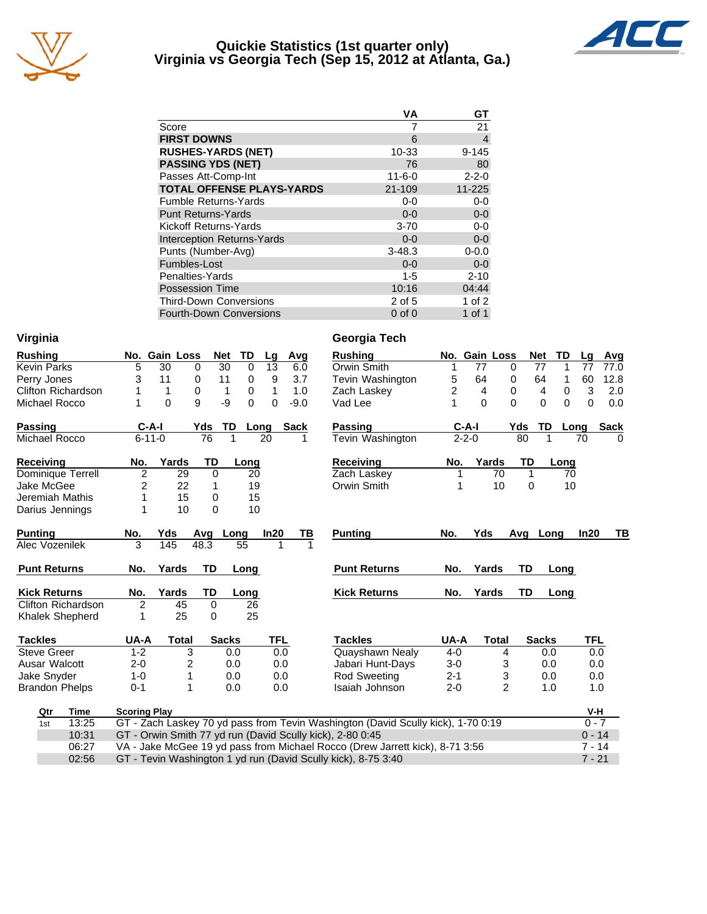

#### **Quickie Statistics (1st quarter only) Virginia vs Georgia Tech (Sep 15, 2012 at Atlanta, Ga.)**



|                                   | VA           | GТ          |
|-----------------------------------|--------------|-------------|
| Score                             |              | 21          |
| <b>FIRST DOWNS</b>                | 6            | 4           |
| <b>RUSHES-YARDS (NET)</b>         | 10-33        | $9 - 145$   |
| <b>PASSING YDS (NET)</b>          | 76           | 80          |
| Passes Att-Comp-Int               | $11 - 6 - 0$ | $2 - 2 - 0$ |
| <b>TOTAL OFFENSE PLAYS-YARDS</b>  | 21-109       | 11-225      |
| <b>Fumble Returns-Yards</b>       | $0-0$        | $0-0$       |
| <b>Punt Returns-Yards</b>         | $0 - 0$      | $0-0$       |
| Kickoff Returns-Yards             | $3 - 70$     | $0 - 0$     |
| <b>Interception Returns-Yards</b> | $0 - 0$      | $0-0$       |
| Punts (Number-Avg)                | $3 - 48.3$   | $0 - 0.0$   |
| Fumbles-Lost                      | $0 - 0$      | $0-0$       |
| Penalties-Yards                   | $1 - 5$      | $2 - 10$    |
| <b>Possession Time</b>            | 10:16        | 04:44       |
| <b>Third-Down Conversions</b>     | 2 of 5       | 1 of 2      |
| <b>Fourth-Down Conversions</b>    | $0$ of $0$   | 1 of 1      |

| Virginia                                                               |                     |               |               |             |      |             |    | Georgia Tech                                                                     |                |               |                |              |          |            |              |
|------------------------------------------------------------------------|---------------------|---------------|---------------|-------------|------|-------------|----|----------------------------------------------------------------------------------|----------------|---------------|----------------|--------------|----------|------------|--------------|
| <b>Rushing</b>                                                         |                     | No. Gain Loss | Net           | TD          | Lg   | Avg         |    | <b>Rushing</b>                                                                   |                | No. Gain Loss |                | Net          | TD       | Lg         | Avg          |
| <b>Kevin Parks</b>                                                     | 5                   | 30            | 30<br>0       | $\mathbf 0$ | 13   | 6.0         |    | Orwin Smith                                                                      | 1              | 77            | 0              | 77           | 1        | 77         | 77.0         |
| Perry Jones                                                            | 3                   | 11            | 0<br>11       | 0           | 9    | 3.7         |    | Tevin Washington                                                                 | 5              | 64            | 0              | 64           | 1        | 60         | 12.8         |
| <b>Clifton Richardson</b>                                              |                     | $\mathbf{1}$  | $\Omega$<br>1 | 0           | 1    | 1.0         |    | Zach Laskey                                                                      | $\overline{c}$ | 4             | 0              | 4            | 0        | 3          | 2.0          |
| Michael Rocco                                                          | 1                   | $\mathbf{0}$  | 9<br>-9       | 0           | 0    | $-9.0$      |    | Vad Lee                                                                          | 1              | $\Omega$      | $\Omega$       | $\Omega$     | $\Omega$ | 0          | 0.0          |
| <b>Passing</b>                                                         | $C-A-I$             |               | TD<br>Yds     |             | Long | <b>Sack</b> |    | <b>Passing</b>                                                                   |                | $C-A-I$       | Yds            | TD           | Long     |            | <b>Sack</b>  |
| Michael Rocco                                                          | $6 - 11 - 0$        |               | 76            | 1           | 20   | 1           |    | Tevin Washington                                                                 |                | $2 - 2 - 0$   |                | 80           | 1        | 70         | <sup>0</sup> |
| <b>Receiving</b>                                                       | No.                 | Yards         | TD            | Long        |      |             |    | Receiving                                                                        | No.            | Yards         |                | TD           | Long     |            |              |
| Dominique Terrell                                                      | $\overline{2}$      | 29            | $\mathbf 0$   | 20          |      |             |    | Zach Laskey                                                                      |                |               | 70             | $\mathbf{1}$ | 70       |            |              |
| Jake McGee                                                             | 2                   | 22            | 1             | 19          |      |             |    | Orwin Smith                                                                      |                |               | 10             | $\Omega$     | 10       |            |              |
| Jeremiah Mathis                                                        | 1                   | 15            | 0             | 15          |      |             |    |                                                                                  |                |               |                |              |          |            |              |
| Darius Jennings                                                        | 1                   | 10            | 0             | 10          |      |             |    |                                                                                  |                |               |                |              |          |            |              |
| <b>Punting</b>                                                         | No.                 | Yds           | Avg           | Long        | In20 |             | TВ | <b>Punting</b>                                                                   | No.            | Yds           | Avg            |              | Long     | In20       | TВ           |
| Alec Vozenilek                                                         | 3                   | 145           | 48.3          | 55          |      |             |    |                                                                                  |                |               |                |              |          |            |              |
| <b>Punt Returns</b>                                                    | No.                 | Yards         | TD            | Long        |      |             |    | <b>Punt Returns</b>                                                              | No.            | Yards         |                | TD           | Long     |            |              |
| <b>Kick Returns</b>                                                    | No.                 | Yards         | TD            | Long        |      |             |    | <b>Kick Returns</b>                                                              | No.            | Yards         |                | <b>TD</b>    | Long     |            |              |
| <b>Clifton Richardson</b>                                              | $\overline{2}$      | 45            | $\mathbf 0$   | 26          |      |             |    |                                                                                  |                |               |                |              |          |            |              |
| Khalek Shepherd                                                        | 1                   | 25            | $\Omega$      | 25          |      |             |    |                                                                                  |                |               |                |              |          |            |              |
| <b>Tackles</b>                                                         | UA-A                | Total         | <b>Sacks</b>  |             | TFL  |             |    | <b>Tackles</b>                                                                   | UA-A           |               | <b>Total</b>   | <b>Sacks</b> |          | <b>TFL</b> |              |
| <b>Steve Greer</b>                                                     | $1 - 2$             | 3             |               | 0.0         | 0.0  |             |    | Quayshawn Nealy                                                                  | $4 - 0$        |               | 4              |              | 0.0      | 0.0        |              |
| Ausar Walcott                                                          | $2 - 0$             | 2             |               | 0.0         | 0.0  |             |    | Jabari Hunt-Days                                                                 | $3-0$          |               | 3              |              | 0.0      | 0.0        |              |
| Jake Snyder                                                            | $1 - 0$             | 1             |               | 0.0         | 0.0  |             |    | <b>Rod Sweeting</b>                                                              | $2 - 1$        |               | 3              |              | 0.0      | 0.0        |              |
| <b>Brandon Phelps</b>                                                  | $0 - 1$             | 1             |               | 0.0         | 0.0  |             |    | Isaiah Johnson                                                                   | $2 - 0$        |               | $\overline{2}$ |              | 1.0      | 1.0        |              |
| <b>Time</b><br>Qtr                                                     | <b>Scoring Play</b> |               |               |             |      |             |    |                                                                                  |                |               |                |              |          | V-H        |              |
| 13:25<br>1st                                                           |                     |               |               |             |      |             |    | GT - Zach Laskey 70 yd pass from Tevin Washington (David Scully kick), 1-70 0:19 |                |               |                |              |          | $0 - 7$    |              |
| 10:31                                                                  |                     |               |               |             |      |             |    | GT - Orwin Smith 77 yd run (David Scully kick), 2-80 0:45                        |                |               |                |              |          | $0 - 14$   |              |
| 06:27                                                                  |                     |               |               |             |      |             |    | VA - Jake McGee 19 yd pass from Michael Rocco (Drew Jarrett kick), 8-71 3:56     |                |               |                |              |          | $7 - 14$   |              |
| 02:56<br>GT - Tevin Washington 1 yd run (David Scully kick), 8-75 3:40 |                     |               |               |             |      |             |    |                                                                                  | $7 - 21$       |               |                |              |          |            |              |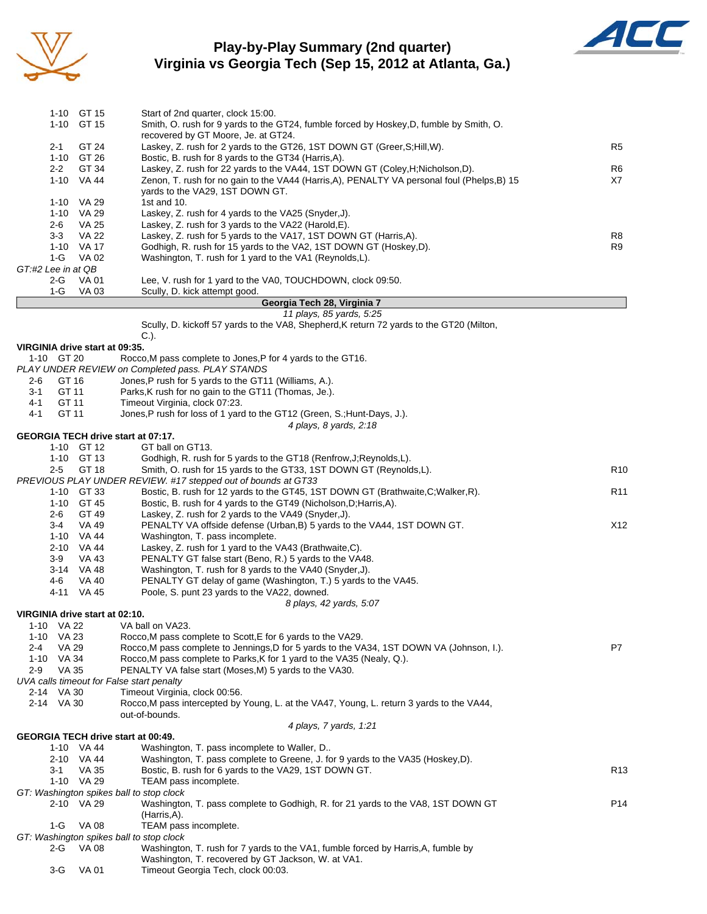

## **Play-by-Play Summary (2nd quarter) Virginia vs Georgia Tech (Sep 15, 2012 at Atlanta, Ga.)**



|                                | 1-10 GT 15                                                         | Start of 2nd quarter, clock 15:00.                                                                                                                                             |                 |  |  |  |  |  |  |
|--------------------------------|--------------------------------------------------------------------|--------------------------------------------------------------------------------------------------------------------------------------------------------------------------------|-----------------|--|--|--|--|--|--|
|                                | 1-10 GT 15                                                         | Smith, O. rush for 9 yards to the GT24, fumble forced by Hoskey, D, fumble by Smith, O.                                                                                        |                 |  |  |  |  |  |  |
|                                |                                                                    | recovered by GT Moore, Je. at GT24.                                                                                                                                            |                 |  |  |  |  |  |  |
| 2-1                            | GT 24                                                              | Laskey, Z. rush for 2 yards to the GT26, 1ST DOWN GT (Greer, S; Hill, W).                                                                                                      | R5              |  |  |  |  |  |  |
|                                | 1-10 GT 26<br>Bostic, B. rush for 8 yards to the GT34 (Harris, A). |                                                                                                                                                                                |                 |  |  |  |  |  |  |
| $2 - 2$                        | GT 34<br>1-10 VA 44                                                | Laskey, Z. rush for 22 yards to the VA44, 1ST DOWN GT (Coley, H; Nicholson, D).<br>Zenon, T. rush for no gain to the VA44 (Harris, A), PENALTY VA personal foul (Phelps, B) 15 | R6<br>X7        |  |  |  |  |  |  |
|                                |                                                                    | yards to the VA29, 1ST DOWN GT.                                                                                                                                                |                 |  |  |  |  |  |  |
|                                | 1-10 VA 29                                                         | 1st and 10.                                                                                                                                                                    |                 |  |  |  |  |  |  |
|                                | 1-10 VA 29                                                         | Laskey, Z. rush for 4 yards to the VA25 (Snyder, J).                                                                                                                           |                 |  |  |  |  |  |  |
| 2-6                            | VA 25                                                              | Laskey, Z. rush for 3 yards to the VA22 (Harold, E).                                                                                                                           |                 |  |  |  |  |  |  |
| $3 - 3$                        | VA 22                                                              | Laskey, Z. rush for 5 yards to the VA17, 1ST DOWN GT (Harris, A).                                                                                                              | R8              |  |  |  |  |  |  |
| 1-G                            | 1-10 VA 17<br>VA 02                                                | Godhigh, R. rush for 15 yards to the VA2, 1ST DOWN GT (Hoskey,D).<br>Washington, T. rush for 1 yard to the VA1 (Reynolds,L).                                                   | R9              |  |  |  |  |  |  |
| GT:#2 Lee in at QB             |                                                                    |                                                                                                                                                                                |                 |  |  |  |  |  |  |
| 2-G                            | VA 01                                                              | Lee, V. rush for 1 yard to the VA0, TOUCHDOWN, clock 09:50.                                                                                                                    |                 |  |  |  |  |  |  |
| $1-G$                          | VA 03                                                              | Scully, D. kick attempt good.                                                                                                                                                  |                 |  |  |  |  |  |  |
|                                |                                                                    | Georgia Tech 28, Virginia 7                                                                                                                                                    |                 |  |  |  |  |  |  |
|                                |                                                                    | 11 plays, 85 yards, 5:25<br>Scully, D. kickoff 57 yards to the VA8, Shepherd, K return 72 yards to the GT20 (Milton,                                                           |                 |  |  |  |  |  |  |
|                                |                                                                    | $C.$ ).                                                                                                                                                                        |                 |  |  |  |  |  |  |
| VIRGINIA drive start at 09:35. |                                                                    |                                                                                                                                                                                |                 |  |  |  |  |  |  |
| 1-10 GT 20                     |                                                                    | Rocco, M pass complete to Jones, P for 4 yards to the GT16.                                                                                                                    |                 |  |  |  |  |  |  |
|                                |                                                                    | PLAY UNDER REVIEW on Completed pass. PLAY STANDS                                                                                                                               |                 |  |  |  |  |  |  |
| 2-6                            | GT 16                                                              | Jones, P rush for 5 yards to the GT11 (Williams, A.).                                                                                                                          |                 |  |  |  |  |  |  |
| $3 - 1$                        | GT 11                                                              | Parks, K rush for no gain to the GT11 (Thomas, Je.).                                                                                                                           |                 |  |  |  |  |  |  |
| 4-1<br>4-1                     | GT 11<br>GT 11                                                     | Timeout Virginia, clock 07:23.<br>Jones, P rush for loss of 1 yard to the GT12 (Green, S.; Hunt-Days, J.).                                                                     |                 |  |  |  |  |  |  |
|                                |                                                                    | 4 plays, 8 yards, 2:18                                                                                                                                                         |                 |  |  |  |  |  |  |
|                                |                                                                    | <b>GEORGIA TECH drive start at 07:17.</b>                                                                                                                                      |                 |  |  |  |  |  |  |
|                                | 1-10 GT 12                                                         | GT ball on GT13.                                                                                                                                                               |                 |  |  |  |  |  |  |
|                                | 1-10 GT 13                                                         | Godhigh, R. rush for 5 yards to the GT18 (Renfrow, J; Reynolds, L).                                                                                                            |                 |  |  |  |  |  |  |
| $2 - 5$                        | GT 18                                                              | Smith, O. rush for 15 yards to the GT33, 1ST DOWN GT (Reynolds, L).                                                                                                            | R <sub>10</sub> |  |  |  |  |  |  |
|                                | 1-10 GT 33                                                         | PREVIOUS PLAY UNDER REVIEW. #17 stepped out of bounds at GT33<br>Bostic, B. rush for 12 yards to the GT45, 1ST DOWN GT (Brathwaite, C; Walker, R).                             | R <sub>11</sub> |  |  |  |  |  |  |
|                                | 1-10 GT 45                                                         | Bostic, B. rush for 4 yards to the GT49 (Nicholson, D; Harris, A).                                                                                                             |                 |  |  |  |  |  |  |
| 2-6                            | GT 49                                                              | Laskey, Z. rush for 2 yards to the VA49 (Snyder, J).                                                                                                                           |                 |  |  |  |  |  |  |
| $3 - 4$                        | VA 49                                                              | PENALTY VA offside defense (Urban, B) 5 yards to the VA44, 1ST DOWN GT.                                                                                                        | X12             |  |  |  |  |  |  |
|                                | 1-10 VA 44                                                         | Washington, T. pass incomplete.                                                                                                                                                |                 |  |  |  |  |  |  |
|                                | 2-10 VA 44                                                         | Laskey, Z. rush for 1 yard to the VA43 (Brathwaite, C).                                                                                                                        |                 |  |  |  |  |  |  |
| 3-9                            | VA 43<br>3-14 VA 48                                                | PENALTY GT false start (Beno, R.) 5 yards to the VA48.<br>Washington, T. rush for 8 yards to the VA40 (Snyder, J).                                                             |                 |  |  |  |  |  |  |
| 4-6                            | VA 40                                                              | PENALTY GT delay of game (Washington, T.) 5 yards to the VA45.                                                                                                                 |                 |  |  |  |  |  |  |
|                                | 4-11 VA 45                                                         | Poole, S. punt 23 yards to the VA22, downed.                                                                                                                                   |                 |  |  |  |  |  |  |
|                                |                                                                    | 8 plays, 42 yards, 5:07                                                                                                                                                        |                 |  |  |  |  |  |  |
| VIRGINIA drive start at 02:10. |                                                                    |                                                                                                                                                                                |                 |  |  |  |  |  |  |
| 1-10 VA 22                     |                                                                    | VA ball on VA23.                                                                                                                                                               |                 |  |  |  |  |  |  |
| 1-10 VA 23<br>2-4              | <b>VA 29</b>                                                       | Rocco, M pass complete to Scott, E for 6 yards to the VA29.<br>Rocco, M pass complete to Jennings, D for 5 yards to the VA34, 1ST DOWN VA (Johnson, I.).                       | P7              |  |  |  |  |  |  |
| 1-10 VA 34                     |                                                                    | Rocco, M pass complete to Parks, K for 1 yard to the VA35 (Nealy, Q.).                                                                                                         |                 |  |  |  |  |  |  |
| $2-9$                          | VA 35                                                              | PENALTY VA false start (Moses, M) 5 yards to the VA30.                                                                                                                         |                 |  |  |  |  |  |  |
|                                |                                                                    | UVA calls timeout for False start penalty                                                                                                                                      |                 |  |  |  |  |  |  |
| 2-14 VA 30                     |                                                                    | Timeout Virginia, clock 00:56.                                                                                                                                                 |                 |  |  |  |  |  |  |
| 2-14 VA 30                     |                                                                    | Rocco, M pass intercepted by Young, L. at the VA47, Young, L. return 3 yards to the VA44,                                                                                      |                 |  |  |  |  |  |  |
|                                |                                                                    | out-of-bounds.                                                                                                                                                                 |                 |  |  |  |  |  |  |
|                                |                                                                    | 4 plays, 7 yards, 1:21                                                                                                                                                         |                 |  |  |  |  |  |  |

#### **GEORGIA TECH drive start at 00:49.**

| 1-10     | VA 44                                    | Washington, T. pass incomplete to Waller, D                                       |                 |
|----------|------------------------------------------|-----------------------------------------------------------------------------------|-----------------|
| $2 - 10$ | VA 44                                    | Washington, T. pass complete to Greene, J. for 9 yards to the VA35 (Hoskey, D).   |                 |
| 3-1      | VA 35                                    | Bostic, B. rush for 6 yards to the VA29, 1ST DOWN GT.                             | R <sub>13</sub> |
| 1-10     | VA 29                                    | TEAM pass incomplete.                                                             |                 |
|          | GT: Washington spikes ball to stop clock |                                                                                   |                 |
|          | 2-10 VA 29                               | Washington, T. pass complete to Godhigh, R. for 21 yards to the VA8, 1ST DOWN GT  | P <sub>14</sub> |
|          |                                          | (Harris.A).                                                                       |                 |
| 1-G      | VA 08                                    | TEAM pass incomplete.                                                             |                 |
|          | GT: Washington spikes ball to stop clock |                                                                                   |                 |
| 2-G      | VA 08                                    | Washington, T. rush for 7 yards to the VA1, fumble forced by Harris, A, fumble by |                 |
|          |                                          | Washington, T. recovered by GT Jackson, W. at VA1.                                |                 |

3-G VA 01 Timeout Georgia Tech, clock 00:03.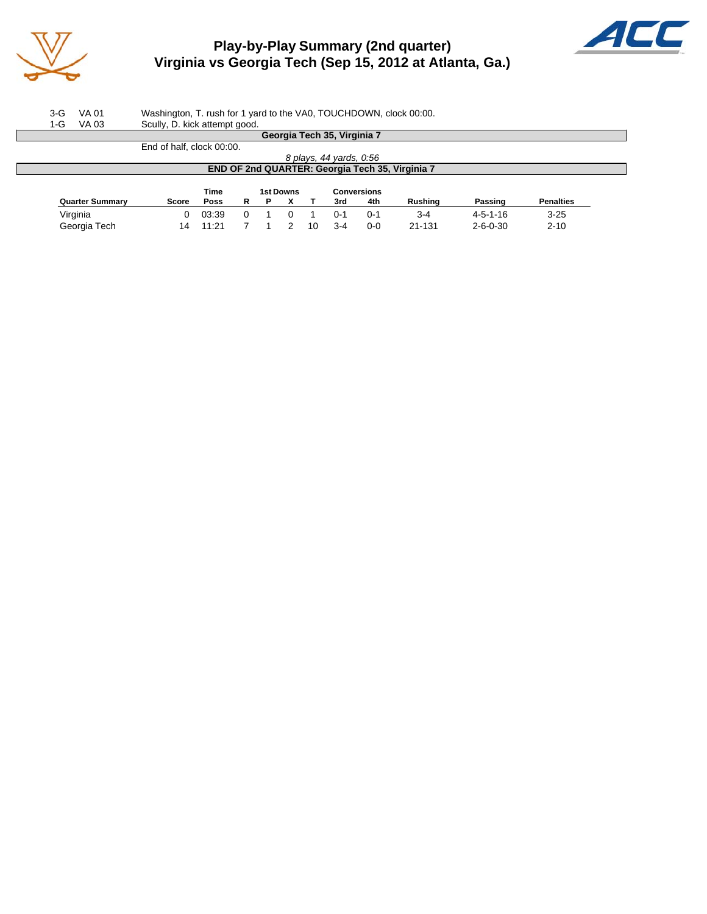

# **Play-by-Play Summary (2nd quarter) Virginia vs Georgia Tech (Sep 15, 2012 at Atlanta, Ga.)**



3-G VA 01 Washington, T. rush for 1 yard to the VA0, TOUCHDOWN, clock 00:00.

| Georgia Tech 35, Virginia 7                     |  |  |  |  |  |  |  |  |  |  |
|-------------------------------------------------|--|--|--|--|--|--|--|--|--|--|
|                                                 |  |  |  |  |  |  |  |  |  |  |
| 8 plays, 44 yards, 0:56                         |  |  |  |  |  |  |  |  |  |  |
| END OF 2nd QUARTER: Georgia Tech 35, Virginia 7 |  |  |  |  |  |  |  |  |  |  |
|                                                 |  |  |  |  |  |  |  |  |  |  |
|                                                 |  |  |  |  |  |  |  |  |  |  |
| <b>Penalties</b>                                |  |  |  |  |  |  |  |  |  |  |
| $3 - 25$                                        |  |  |  |  |  |  |  |  |  |  |
|                                                 |  |  |  |  |  |  |  |  |  |  |
| $2 - 10$                                        |  |  |  |  |  |  |  |  |  |  |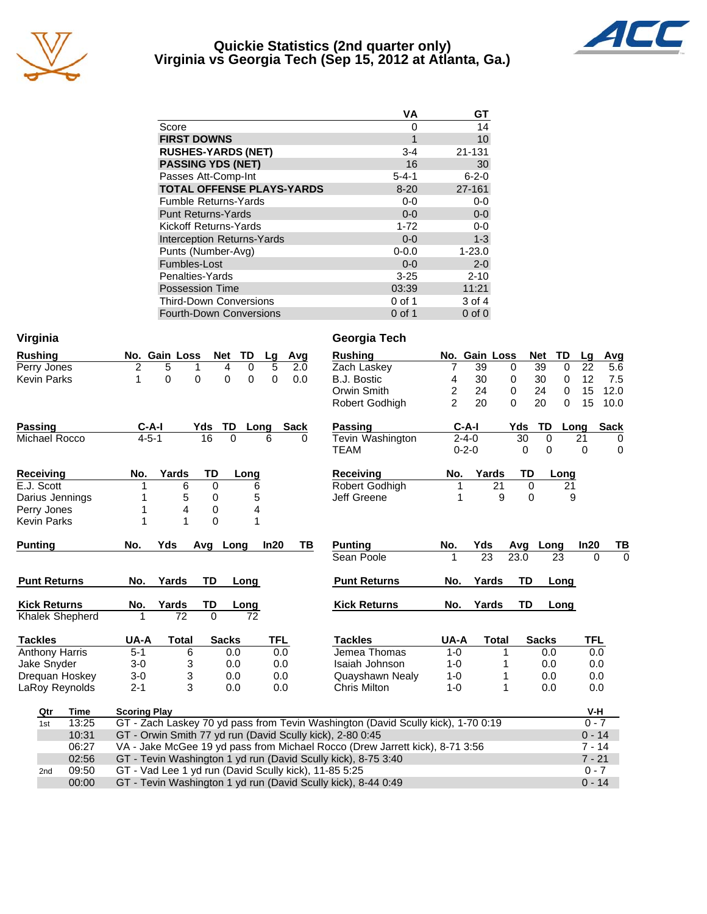

#### **Quickie Statistics (2nd quarter only) Virginia vs Georgia Tech (Sep 15, 2012 at Atlanta, Ga.)**



|                                   | <b>VA</b>   | GT          |
|-----------------------------------|-------------|-------------|
| Score                             | 0           | 14          |
| <b>FIRST DOWNS</b>                | 1           | 10          |
| <b>RUSHES-YARDS (NET)</b>         | $3 - 4$     | 21-131      |
| <b>PASSING YDS (NET)</b>          | 16          | 30          |
| Passes Att-Comp-Int               | $5 - 4 - 1$ | $6 - 2 - 0$ |
| <b>TOTAL OFFENSE PLAYS-YARDS</b>  | $8 - 20$    | 27-161      |
| Fumble Returns-Yards              | $0-0$       | $0-0$       |
| <b>Punt Returns-Yards</b>         | $0 - 0$     | $0-0$       |
| Kickoff Returns-Yards             | $1 - 72$    | $0 - 0$     |
| <b>Interception Returns-Yards</b> | $0 - 0$     | $1 - 3$     |
| Punts (Number-Avg)                | $0 - 0.0$   | $1 - 23.0$  |
| Fumbles-Lost                      | $0 - 0$     | $2 - 0$     |
| Penalties-Yards                   | $3 - 25$    | $2 - 10$    |
| <b>Possession Time</b>            | 03:39       | 11:21       |
| Third-Down Conversions            | 0 of 1      | 3 of 4      |
| <b>Fourth-Down Conversions</b>    | $0$ of 1    | $0$ of $0$  |

| Virginia                                                                                         |             |                     |               |              |                 |          |             | Georgia Tech                                                                 |                |               |              |                      |          |            |             |
|--------------------------------------------------------------------------------------------------|-------------|---------------------|---------------|--------------|-----------------|----------|-------------|------------------------------------------------------------------------------|----------------|---------------|--------------|----------------------|----------|------------|-------------|
| <b>Rushing</b>                                                                                   |             |                     | No. Gain Loss | Net          | TD              | Lg       | Avg         | <b>Rushing</b>                                                               |                | No. Gain Loss |              | Net                  | TD       | Lg         | Avg         |
| Perry Jones                                                                                      |             | $\overline{2}$      | 5             | 1            | 4<br>0          | 5        | 2.0         | Zach Laskey                                                                  | 7              | 39            | $\mathbf 0$  | 39                   | $\Omega$ | 22         | 5.6         |
| <b>Kevin Parks</b>                                                                               |             | 1                   | $\mathbf 0$   | 0            | 0<br>0          | 0        | 0.0         | <b>B.J. Bostic</b>                                                           | 4              | 30            | 0            | 30                   | 0        | 12         | 7.5         |
|                                                                                                  |             |                     |               |              |                 |          |             | Orwin Smith                                                                  | $\overline{2}$ | 24            | 0            | 24                   | 0        | 15         | 12.0        |
|                                                                                                  |             |                     |               |              |                 |          |             | Robert Godhigh                                                               | $\mathcal{P}$  | 20            | $\Omega$     | 20                   | 0        | 15         | 10.0        |
| <b>Passing</b>                                                                                   |             | $C-A-I$             |               | Yds          | TD              | Long     | <b>Sack</b> | <b>Passing</b>                                                               |                | $C-A-I$       | Yds          | TD                   | Long     |            | <b>Sack</b> |
| $4 - 5 - 1$<br>16<br>$\Omega$<br>Michael Rocco<br>6<br>0                                         |             | Tevin Washington    |               | $2 - 4 - 0$  | $\overline{30}$ | $\Omega$ |             | 21                                                                           | 0              |               |              |                      |          |            |             |
|                                                                                                  |             |                     |               |              |                 |          |             | TEAM                                                                         |                | $0 - 2 - 0$   |              | $\Omega$<br>$\Omega$ |          | 0          | $\mathbf 0$ |
| <b>Receiving</b>                                                                                 |             | No.                 | Yards         | TD           | Long            |          |             | Receiving                                                                    | No.            | Yards         |              | <b>TD</b>            | Long     |            |             |
| E.J. Scott                                                                                       |             | 1                   | 6             | 0            | 6               |          |             | Robert Godhigh                                                               |                |               | 21           | $\mathbf 0$          | 21       |            |             |
| Darius Jennings                                                                                  |             |                     | 5             | 0            | 5               |          |             | Jeff Greene                                                                  | 1              |               | 9            | $\Omega$             | 9        |            |             |
| Perry Jones                                                                                      |             | 1                   | 4             | 0            | 4               |          |             |                                                                              |                |               |              |                      |          |            |             |
| <b>Kevin Parks</b>                                                                               |             | 1                   | 1             | $\mathbf{0}$ | 1               |          |             |                                                                              |                |               |              |                      |          |            |             |
| <b>Punting</b>                                                                                   |             | No.                 | Yds           | Avq          | Long            | In20     | TВ          | <b>Punting</b>                                                               | No.            | Yds           | Avg          | Long                 |          | In20       | TВ          |
|                                                                                                  |             |                     |               |              |                 |          |             | Sean Poole                                                                   |                | 23            | 23.0         |                      | 23       | $\Omega$   | $\Omega$    |
| <b>Punt Returns</b>                                                                              |             | No.                 | Yards         | TD           | Long            |          |             | <b>Punt Returns</b>                                                          | No.            | Yards         |              | TD                   | Long     |            |             |
| <b>Kick Returns</b>                                                                              |             | No.                 | Yards         | TD           | Long            |          |             | <b>Kick Returns</b>                                                          | No.            | Yards         |              | TD                   | Long     |            |             |
| Khalek Shepherd                                                                                  |             | 1                   | 72            | $\Omega$     | 72              |          |             |                                                                              |                |               |              |                      |          |            |             |
| <b>Tackles</b>                                                                                   |             | UA-A                | <b>Total</b>  |              | <b>Sacks</b>    | TFL      |             | <b>Tackles</b>                                                               | UA-A           |               | <b>Total</b> | <b>Sacks</b>         |          | <b>TFL</b> |             |
| <b>Anthony Harris</b>                                                                            |             | $5 - 1$             | 6             |              | 0.0             | 0.0      |             | Jemea Thomas                                                                 | $1 - 0$        |               | 1            | 0.0                  |          | 0.0        |             |
| Jake Snyder                                                                                      |             | $3 - 0$             | 3             |              | 0.0             | 0.0      |             | Isaiah Johnson                                                               | $1 - 0$        |               | 1            | 0.0                  |          | 0.0        |             |
| Dreguan Hoskey                                                                                   |             | $3 - 0$             | 3             |              | 0.0             | 0.0      |             | Quayshawn Nealy                                                              | $1 - 0$        |               | 1            | 0.0                  |          | 0.0        |             |
| LaRoy Reynolds                                                                                   |             | $2 - 1$             | 3             |              | 0.0             | 0.0      |             | Chris Milton                                                                 | $1 - 0$        |               | 1            | 0.0                  |          | 0.0        |             |
| Qtr                                                                                              | <b>Time</b> | <b>Scoring Play</b> |               |              |                 |          |             |                                                                              |                |               |              |                      |          | V-H        |             |
| GT - Zach Laskey 70 yd pass from Tevin Washington (David Scully kick), 1-70 0:19<br>13:25<br>1st |             |                     |               |              |                 |          |             |                                                                              | $0 - 7$        |               |              |                      |          |            |             |
| 10:31<br>GT - Orwin Smith 77 yd run (David Scully kick), 2-80 0:45                               |             |                     |               |              |                 |          |             |                                                                              |                | $0 - 14$      |              |                      |          |            |             |
|                                                                                                  | 06:27       |                     |               |              |                 |          |             | VA - Jake McGee 19 yd pass from Michael Rocco (Drew Jarrett kick), 8-71 3:56 |                |               |              |                      |          | $7 - 14$   |             |
|                                                                                                  | 02:56       |                     |               |              |                 |          |             | GT - Tevin Washington 1 yd run (David Scully kick), 8-75 3:40                |                |               |              |                      |          | $7 - 21$   |             |
| 2nd                                                                                              | 09:50       |                     |               |              |                 |          |             | GT - Vad Lee 1 yd run (David Scully kick), 11-85 5:25                        |                |               |              |                      |          | $0 - 7$    |             |
| 00:00<br>GT - Tevin Washington 1 yd run (David Scully kick), 8-44 0:49                           |             |                     |               |              |                 |          |             |                                                                              |                |               | $0 - 14$     |                      |          |            |             |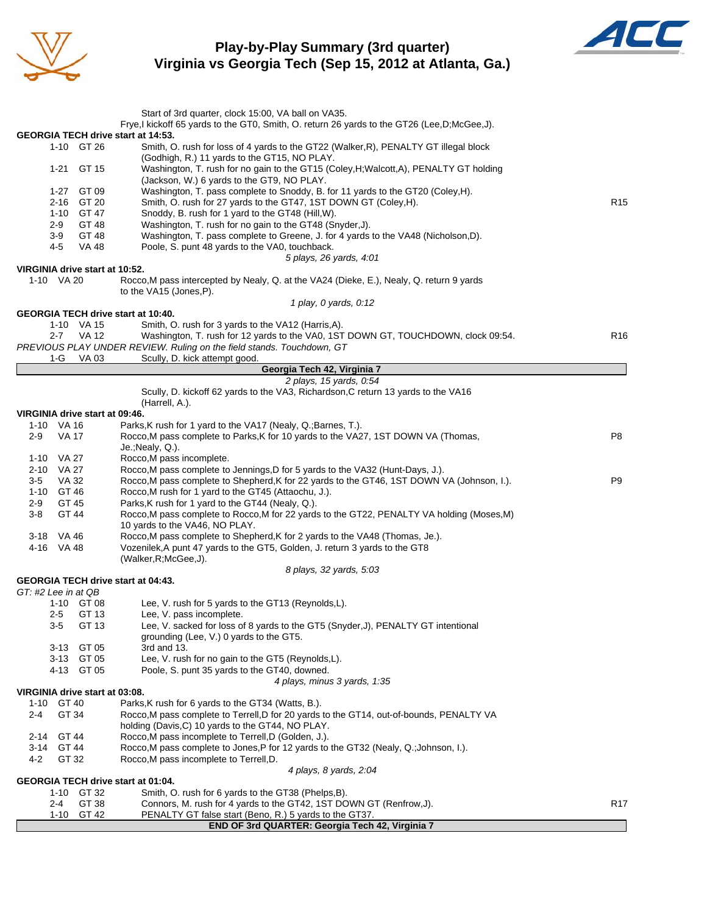

### **Play-by-Play Summary (3rd quarter) Virginia vs Georgia Tech (Sep 15, 2012 at Atlanta, Ga.)**



| Start of 3rd quarter, clock 15:00, VA ball on VA35.<br>Frye, I kickoff 65 yards to the GT0, Smith, O. return 26 yards to the GT26 (Lee, D; McGee, J).<br>GEORGIA TECH drive start at 14:53.<br>1-10 GT 26<br>Smith, O. rush for loss of 4 yards to the GT22 (Walker, R), PENALTY GT illegal block<br>(Godhigh, R.) 11 yards to the GT15, NO PLAY.<br>1-21 GT 15<br>Washington, T. rush for no gain to the GT15 (Coley, H; Walcott, A), PENALTY GT holding<br>(Jackson, W.) 6 yards to the GT9, NO PLAY.<br>Washington, T. pass complete to Snoddy, B. for 11 yards to the GT20 (Coley, H).<br>1-27<br>GT 09<br>2-16 GT 20<br>Smith, O. rush for 27 yards to the GT47, 1ST DOWN GT (Coley, H).<br>R <sub>15</sub><br>1-10 GT 47<br>Snoddy, B. rush for 1 yard to the GT48 (Hill, W).<br>$2-9$<br>GT 48<br>Washington, T. rush for no gain to the GT48 (Snyder, J).<br>GT 48<br>Washington, T. pass complete to Greene, J. for 4 yards to the VA48 (Nicholson, D).<br>3-9<br>Poole, S. punt 48 yards to the VA0, touchback.<br>4-5<br>VA 48<br>5 plays, 26 yards, 4:01<br>VIRGINIA drive start at 10:52.<br>1-10 VA 20<br>Rocco, M pass intercepted by Nealy, Q. at the VA24 (Dieke, E.), Nealy, Q. return 9 yards<br>to the VA15 (Jones, P).<br>1 play, 0 yards, 0:12<br><b>GEORGIA TECH drive start at 10:40.</b><br>1-10 VA 15<br>Smith, O. rush for 3 yards to the VA12 (Harris, A).<br>VA 12<br>Washington, T. rush for 12 yards to the VA0, 1ST DOWN GT, TOUCHDOWN, clock 09:54.<br>R <sub>16</sub><br>$2 - 7$<br>PREVIOUS PLAY UNDER REVIEW. Ruling on the field stands. Touchdown, GT<br>VA 03<br>Scully, D. kick attempt good.<br>1-G<br>Georgia Tech 42, Virginia 7<br>2 plays, 15 yards, 0:54<br>Scully, D. kickoff 62 yards to the VA3, Richardson, C return 13 yards to the VA16<br>(Harrell, A.).<br>VIRGINIA drive start at 09:46.<br>1-10 VA 16<br>Parks, K rush for 1 yard to the VA17 (Nealy, Q.; Barnes, T.).<br>$2-9$<br><b>VA 17</b><br>Rocco, M pass complete to Parks, K for 10 yards to the VA27, 1ST DOWN VA (Thomas,<br>P8<br>Je.; Nealy, Q.).<br>1-10 VA 27<br>Rocco, M pass incomplete.<br>2-10 VA 27<br>Rocco, M pass complete to Jennings, D for 5 yards to the VA32 (Hunt-Days, J.).<br>Rocco, M pass complete to Shepherd, K for 22 yards to the GT46, 1ST DOWN VA (Johnson, I.).<br>VA 32<br>P <sub>9</sub><br>$3-5$<br>1-10 GT 46<br>Rocco, M rush for 1 yard to the GT45 (Attaochu, J.).<br>GT 45<br>Parks, K rush for 1 yard to the GT44 (Nealy, Q.).<br>2-9<br>$3 - 8$<br>GT 44<br>Rocco, M pass complete to Rocco, M for 22 yards to the GT22, PENALTY VA holding (Moses, M)<br>10 yards to the VA46, NO PLAY.<br>3-18 VA 46<br>Rocco, M pass complete to Shepherd, K for 2 yards to the VA48 (Thomas, Je.).<br>Vozenilek, A punt 47 yards to the GT5, Golden, J. return 3 yards to the GT8<br>4-16 VA 48<br>(Walker, R; McGee, J).<br>8 plays, 32 yards, 5:03<br><b>GEORGIA TECH drive start at 04:43.</b><br>GT: #2 Lee in at QB<br>Lee, V. rush for 5 yards to the GT13 (Reynolds,L).<br>1-10 GT 08<br>GT 13<br>Lee, V. pass incomplete.<br>2-5<br>$3-5$<br>GT 13<br>Lee, V. sacked for loss of 8 yards to the GT5 (Snyder, J), PENALTY GT intentional<br>grounding (Lee, V.) 0 yards to the GT5.<br>GT 05<br>3-13<br>3rd and 13.<br>3-13 GT 05<br>Lee, V. rush for no gain to the GT5 (Reynolds, L).<br>4-13 GT 05<br>Poole, S. punt 35 yards to the GT40, downed.<br>4 plays, minus 3 yards, 1:35<br>VIRGINIA drive start at 03:08.<br>GT 40<br>Parks, K rush for 6 yards to the GT34 (Watts, B.).<br>1-10<br>GT 34<br>Rocco, M pass complete to Terrell, D for 20 yards to the GT14, out-of-bounds, PENALTY VA<br>2-4<br>holding (Davis, C) 10 yards to the GT44, NO PLAY.<br>GT 44<br>Rocco, M pass incomplete to Terrell, D (Golden, J.).<br>2-14<br>GT 44<br>Rocco, M pass complete to Jones, P for 12 yards to the GT32 (Nealy, Q.; Johnson, I.).<br>3-14<br>4-2<br>GT 32<br>Rocco, M pass incomplete to Terrell, D.<br>4 plays, 8 yards, 2:04<br>GEORGIA TECH drive start at 01:04.<br>1-10 GT 32<br>Smith, O. rush for 6 yards to the GT38 (Phelps, B).<br>GT 38<br>Connors, M. rush for 4 yards to the GT42, 1ST DOWN GT (Renfrow, J).<br>2-4<br>R17<br>GT 42<br>$1 - 10$<br>PENALTY GT false start (Beno, R.) 5 yards to the GT37.<br>END OF 3rd QUARTER: Georgia Tech 42, Virginia 7 |  |  |  |  |  |  |  |  |  |  |
|-----------------------------------------------------------------------------------------------------------------------------------------------------------------------------------------------------------------------------------------------------------------------------------------------------------------------------------------------------------------------------------------------------------------------------------------------------------------------------------------------------------------------------------------------------------------------------------------------------------------------------------------------------------------------------------------------------------------------------------------------------------------------------------------------------------------------------------------------------------------------------------------------------------------------------------------------------------------------------------------------------------------------------------------------------------------------------------------------------------------------------------------------------------------------------------------------------------------------------------------------------------------------------------------------------------------------------------------------------------------------------------------------------------------------------------------------------------------------------------------------------------------------------------------------------------------------------------------------------------------------------------------------------------------------------------------------------------------------------------------------------------------------------------------------------------------------------------------------------------------------------------------------------------------------------------------------------------------------------------------------------------------------------------------------------------------------------------------------------------------------------------------------------------------------------------------------------------------------------------------------------------------------------------------------------------------------------------------------------------------------------------------------------------------------------------------------------------------------------------------------------------------------------------------------------------------------------------------------------------------------------------------------------------------------------------------------------------------------------------------------------------------------------------------------------------------------------------------------------------------------------------------------------------------------------------------------------------------------------------------------------------------------------------------------------------------------------------------------------------------------------------------------------------------------------------------------------------------------------------------------------------------------------------------------------------------------------------------------------------------------------------------------------------------------------------------------------------------------------------------------------------------------------------------------------------------------------------------------------------------------------------------------------------------------------------------------------------------------------------------------------------------------------------------------------------------------------------------------------------------------------------------------------------------------------------------------------------------------------------------------------------------------------------------------------------------------------------------------------------------------------------------------------------------------------------------------------------------------------------------------------------------------------------------------------------------------------------------|--|--|--|--|--|--|--|--|--|--|
|                                                                                                                                                                                                                                                                                                                                                                                                                                                                                                                                                                                                                                                                                                                                                                                                                                                                                                                                                                                                                                                                                                                                                                                                                                                                                                                                                                                                                                                                                                                                                                                                                                                                                                                                                                                                                                                                                                                                                                                                                                                                                                                                                                                                                                                                                                                                                                                                                                                                                                                                                                                                                                                                                                                                                                                                                                                                                                                                                                                                                                                                                                                                                                                                                                                                                                                                                                                                                                                                                                                                                                                                                                                                                                                                                                                                                                                                                                                                                                                                                                                                                                                                                                                                                                                                                                                                         |  |  |  |  |  |  |  |  |  |  |
|                                                                                                                                                                                                                                                                                                                                                                                                                                                                                                                                                                                                                                                                                                                                                                                                                                                                                                                                                                                                                                                                                                                                                                                                                                                                                                                                                                                                                                                                                                                                                                                                                                                                                                                                                                                                                                                                                                                                                                                                                                                                                                                                                                                                                                                                                                                                                                                                                                                                                                                                                                                                                                                                                                                                                                                                                                                                                                                                                                                                                                                                                                                                                                                                                                                                                                                                                                                                                                                                                                                                                                                                                                                                                                                                                                                                                                                                                                                                                                                                                                                                                                                                                                                                                                                                                                                                         |  |  |  |  |  |  |  |  |  |  |
|                                                                                                                                                                                                                                                                                                                                                                                                                                                                                                                                                                                                                                                                                                                                                                                                                                                                                                                                                                                                                                                                                                                                                                                                                                                                                                                                                                                                                                                                                                                                                                                                                                                                                                                                                                                                                                                                                                                                                                                                                                                                                                                                                                                                                                                                                                                                                                                                                                                                                                                                                                                                                                                                                                                                                                                                                                                                                                                                                                                                                                                                                                                                                                                                                                                                                                                                                                                                                                                                                                                                                                                                                                                                                                                                                                                                                                                                                                                                                                                                                                                                                                                                                                                                                                                                                                                                         |  |  |  |  |  |  |  |  |  |  |
|                                                                                                                                                                                                                                                                                                                                                                                                                                                                                                                                                                                                                                                                                                                                                                                                                                                                                                                                                                                                                                                                                                                                                                                                                                                                                                                                                                                                                                                                                                                                                                                                                                                                                                                                                                                                                                                                                                                                                                                                                                                                                                                                                                                                                                                                                                                                                                                                                                                                                                                                                                                                                                                                                                                                                                                                                                                                                                                                                                                                                                                                                                                                                                                                                                                                                                                                                                                                                                                                                                                                                                                                                                                                                                                                                                                                                                                                                                                                                                                                                                                                                                                                                                                                                                                                                                                                         |  |  |  |  |  |  |  |  |  |  |
|                                                                                                                                                                                                                                                                                                                                                                                                                                                                                                                                                                                                                                                                                                                                                                                                                                                                                                                                                                                                                                                                                                                                                                                                                                                                                                                                                                                                                                                                                                                                                                                                                                                                                                                                                                                                                                                                                                                                                                                                                                                                                                                                                                                                                                                                                                                                                                                                                                                                                                                                                                                                                                                                                                                                                                                                                                                                                                                                                                                                                                                                                                                                                                                                                                                                                                                                                                                                                                                                                                                                                                                                                                                                                                                                                                                                                                                                                                                                                                                                                                                                                                                                                                                                                                                                                                                                         |  |  |  |  |  |  |  |  |  |  |
|                                                                                                                                                                                                                                                                                                                                                                                                                                                                                                                                                                                                                                                                                                                                                                                                                                                                                                                                                                                                                                                                                                                                                                                                                                                                                                                                                                                                                                                                                                                                                                                                                                                                                                                                                                                                                                                                                                                                                                                                                                                                                                                                                                                                                                                                                                                                                                                                                                                                                                                                                                                                                                                                                                                                                                                                                                                                                                                                                                                                                                                                                                                                                                                                                                                                                                                                                                                                                                                                                                                                                                                                                                                                                                                                                                                                                                                                                                                                                                                                                                                                                                                                                                                                                                                                                                                                         |  |  |  |  |  |  |  |  |  |  |
|                                                                                                                                                                                                                                                                                                                                                                                                                                                                                                                                                                                                                                                                                                                                                                                                                                                                                                                                                                                                                                                                                                                                                                                                                                                                                                                                                                                                                                                                                                                                                                                                                                                                                                                                                                                                                                                                                                                                                                                                                                                                                                                                                                                                                                                                                                                                                                                                                                                                                                                                                                                                                                                                                                                                                                                                                                                                                                                                                                                                                                                                                                                                                                                                                                                                                                                                                                                                                                                                                                                                                                                                                                                                                                                                                                                                                                                                                                                                                                                                                                                                                                                                                                                                                                                                                                                                         |  |  |  |  |  |  |  |  |  |  |
|                                                                                                                                                                                                                                                                                                                                                                                                                                                                                                                                                                                                                                                                                                                                                                                                                                                                                                                                                                                                                                                                                                                                                                                                                                                                                                                                                                                                                                                                                                                                                                                                                                                                                                                                                                                                                                                                                                                                                                                                                                                                                                                                                                                                                                                                                                                                                                                                                                                                                                                                                                                                                                                                                                                                                                                                                                                                                                                                                                                                                                                                                                                                                                                                                                                                                                                                                                                                                                                                                                                                                                                                                                                                                                                                                                                                                                                                                                                                                                                                                                                                                                                                                                                                                                                                                                                                         |  |  |  |  |  |  |  |  |  |  |
|                                                                                                                                                                                                                                                                                                                                                                                                                                                                                                                                                                                                                                                                                                                                                                                                                                                                                                                                                                                                                                                                                                                                                                                                                                                                                                                                                                                                                                                                                                                                                                                                                                                                                                                                                                                                                                                                                                                                                                                                                                                                                                                                                                                                                                                                                                                                                                                                                                                                                                                                                                                                                                                                                                                                                                                                                                                                                                                                                                                                                                                                                                                                                                                                                                                                                                                                                                                                                                                                                                                                                                                                                                                                                                                                                                                                                                                                                                                                                                                                                                                                                                                                                                                                                                                                                                                                         |  |  |  |  |  |  |  |  |  |  |
|                                                                                                                                                                                                                                                                                                                                                                                                                                                                                                                                                                                                                                                                                                                                                                                                                                                                                                                                                                                                                                                                                                                                                                                                                                                                                                                                                                                                                                                                                                                                                                                                                                                                                                                                                                                                                                                                                                                                                                                                                                                                                                                                                                                                                                                                                                                                                                                                                                                                                                                                                                                                                                                                                                                                                                                                                                                                                                                                                                                                                                                                                                                                                                                                                                                                                                                                                                                                                                                                                                                                                                                                                                                                                                                                                                                                                                                                                                                                                                                                                                                                                                                                                                                                                                                                                                                                         |  |  |  |  |  |  |  |  |  |  |
|                                                                                                                                                                                                                                                                                                                                                                                                                                                                                                                                                                                                                                                                                                                                                                                                                                                                                                                                                                                                                                                                                                                                                                                                                                                                                                                                                                                                                                                                                                                                                                                                                                                                                                                                                                                                                                                                                                                                                                                                                                                                                                                                                                                                                                                                                                                                                                                                                                                                                                                                                                                                                                                                                                                                                                                                                                                                                                                                                                                                                                                                                                                                                                                                                                                                                                                                                                                                                                                                                                                                                                                                                                                                                                                                                                                                                                                                                                                                                                                                                                                                                                                                                                                                                                                                                                                                         |  |  |  |  |  |  |  |  |  |  |
|                                                                                                                                                                                                                                                                                                                                                                                                                                                                                                                                                                                                                                                                                                                                                                                                                                                                                                                                                                                                                                                                                                                                                                                                                                                                                                                                                                                                                                                                                                                                                                                                                                                                                                                                                                                                                                                                                                                                                                                                                                                                                                                                                                                                                                                                                                                                                                                                                                                                                                                                                                                                                                                                                                                                                                                                                                                                                                                                                                                                                                                                                                                                                                                                                                                                                                                                                                                                                                                                                                                                                                                                                                                                                                                                                                                                                                                                                                                                                                                                                                                                                                                                                                                                                                                                                                                                         |  |  |  |  |  |  |  |  |  |  |
|                                                                                                                                                                                                                                                                                                                                                                                                                                                                                                                                                                                                                                                                                                                                                                                                                                                                                                                                                                                                                                                                                                                                                                                                                                                                                                                                                                                                                                                                                                                                                                                                                                                                                                                                                                                                                                                                                                                                                                                                                                                                                                                                                                                                                                                                                                                                                                                                                                                                                                                                                                                                                                                                                                                                                                                                                                                                                                                                                                                                                                                                                                                                                                                                                                                                                                                                                                                                                                                                                                                                                                                                                                                                                                                                                                                                                                                                                                                                                                                                                                                                                                                                                                                                                                                                                                                                         |  |  |  |  |  |  |  |  |  |  |
|                                                                                                                                                                                                                                                                                                                                                                                                                                                                                                                                                                                                                                                                                                                                                                                                                                                                                                                                                                                                                                                                                                                                                                                                                                                                                                                                                                                                                                                                                                                                                                                                                                                                                                                                                                                                                                                                                                                                                                                                                                                                                                                                                                                                                                                                                                                                                                                                                                                                                                                                                                                                                                                                                                                                                                                                                                                                                                                                                                                                                                                                                                                                                                                                                                                                                                                                                                                                                                                                                                                                                                                                                                                                                                                                                                                                                                                                                                                                                                                                                                                                                                                                                                                                                                                                                                                                         |  |  |  |  |  |  |  |  |  |  |
|                                                                                                                                                                                                                                                                                                                                                                                                                                                                                                                                                                                                                                                                                                                                                                                                                                                                                                                                                                                                                                                                                                                                                                                                                                                                                                                                                                                                                                                                                                                                                                                                                                                                                                                                                                                                                                                                                                                                                                                                                                                                                                                                                                                                                                                                                                                                                                                                                                                                                                                                                                                                                                                                                                                                                                                                                                                                                                                                                                                                                                                                                                                                                                                                                                                                                                                                                                                                                                                                                                                                                                                                                                                                                                                                                                                                                                                                                                                                                                                                                                                                                                                                                                                                                                                                                                                                         |  |  |  |  |  |  |  |  |  |  |
|                                                                                                                                                                                                                                                                                                                                                                                                                                                                                                                                                                                                                                                                                                                                                                                                                                                                                                                                                                                                                                                                                                                                                                                                                                                                                                                                                                                                                                                                                                                                                                                                                                                                                                                                                                                                                                                                                                                                                                                                                                                                                                                                                                                                                                                                                                                                                                                                                                                                                                                                                                                                                                                                                                                                                                                                                                                                                                                                                                                                                                                                                                                                                                                                                                                                                                                                                                                                                                                                                                                                                                                                                                                                                                                                                                                                                                                                                                                                                                                                                                                                                                                                                                                                                                                                                                                                         |  |  |  |  |  |  |  |  |  |  |
|                                                                                                                                                                                                                                                                                                                                                                                                                                                                                                                                                                                                                                                                                                                                                                                                                                                                                                                                                                                                                                                                                                                                                                                                                                                                                                                                                                                                                                                                                                                                                                                                                                                                                                                                                                                                                                                                                                                                                                                                                                                                                                                                                                                                                                                                                                                                                                                                                                                                                                                                                                                                                                                                                                                                                                                                                                                                                                                                                                                                                                                                                                                                                                                                                                                                                                                                                                                                                                                                                                                                                                                                                                                                                                                                                                                                                                                                                                                                                                                                                                                                                                                                                                                                                                                                                                                                         |  |  |  |  |  |  |  |  |  |  |
|                                                                                                                                                                                                                                                                                                                                                                                                                                                                                                                                                                                                                                                                                                                                                                                                                                                                                                                                                                                                                                                                                                                                                                                                                                                                                                                                                                                                                                                                                                                                                                                                                                                                                                                                                                                                                                                                                                                                                                                                                                                                                                                                                                                                                                                                                                                                                                                                                                                                                                                                                                                                                                                                                                                                                                                                                                                                                                                                                                                                                                                                                                                                                                                                                                                                                                                                                                                                                                                                                                                                                                                                                                                                                                                                                                                                                                                                                                                                                                                                                                                                                                                                                                                                                                                                                                                                         |  |  |  |  |  |  |  |  |  |  |
|                                                                                                                                                                                                                                                                                                                                                                                                                                                                                                                                                                                                                                                                                                                                                                                                                                                                                                                                                                                                                                                                                                                                                                                                                                                                                                                                                                                                                                                                                                                                                                                                                                                                                                                                                                                                                                                                                                                                                                                                                                                                                                                                                                                                                                                                                                                                                                                                                                                                                                                                                                                                                                                                                                                                                                                                                                                                                                                                                                                                                                                                                                                                                                                                                                                                                                                                                                                                                                                                                                                                                                                                                                                                                                                                                                                                                                                                                                                                                                                                                                                                                                                                                                                                                                                                                                                                         |  |  |  |  |  |  |  |  |  |  |
|                                                                                                                                                                                                                                                                                                                                                                                                                                                                                                                                                                                                                                                                                                                                                                                                                                                                                                                                                                                                                                                                                                                                                                                                                                                                                                                                                                                                                                                                                                                                                                                                                                                                                                                                                                                                                                                                                                                                                                                                                                                                                                                                                                                                                                                                                                                                                                                                                                                                                                                                                                                                                                                                                                                                                                                                                                                                                                                                                                                                                                                                                                                                                                                                                                                                                                                                                                                                                                                                                                                                                                                                                                                                                                                                                                                                                                                                                                                                                                                                                                                                                                                                                                                                                                                                                                                                         |  |  |  |  |  |  |  |  |  |  |
|                                                                                                                                                                                                                                                                                                                                                                                                                                                                                                                                                                                                                                                                                                                                                                                                                                                                                                                                                                                                                                                                                                                                                                                                                                                                                                                                                                                                                                                                                                                                                                                                                                                                                                                                                                                                                                                                                                                                                                                                                                                                                                                                                                                                                                                                                                                                                                                                                                                                                                                                                                                                                                                                                                                                                                                                                                                                                                                                                                                                                                                                                                                                                                                                                                                                                                                                                                                                                                                                                                                                                                                                                                                                                                                                                                                                                                                                                                                                                                                                                                                                                                                                                                                                                                                                                                                                         |  |  |  |  |  |  |  |  |  |  |
|                                                                                                                                                                                                                                                                                                                                                                                                                                                                                                                                                                                                                                                                                                                                                                                                                                                                                                                                                                                                                                                                                                                                                                                                                                                                                                                                                                                                                                                                                                                                                                                                                                                                                                                                                                                                                                                                                                                                                                                                                                                                                                                                                                                                                                                                                                                                                                                                                                                                                                                                                                                                                                                                                                                                                                                                                                                                                                                                                                                                                                                                                                                                                                                                                                                                                                                                                                                                                                                                                                                                                                                                                                                                                                                                                                                                                                                                                                                                                                                                                                                                                                                                                                                                                                                                                                                                         |  |  |  |  |  |  |  |  |  |  |
|                                                                                                                                                                                                                                                                                                                                                                                                                                                                                                                                                                                                                                                                                                                                                                                                                                                                                                                                                                                                                                                                                                                                                                                                                                                                                                                                                                                                                                                                                                                                                                                                                                                                                                                                                                                                                                                                                                                                                                                                                                                                                                                                                                                                                                                                                                                                                                                                                                                                                                                                                                                                                                                                                                                                                                                                                                                                                                                                                                                                                                                                                                                                                                                                                                                                                                                                                                                                                                                                                                                                                                                                                                                                                                                                                                                                                                                                                                                                                                                                                                                                                                                                                                                                                                                                                                                                         |  |  |  |  |  |  |  |  |  |  |
|                                                                                                                                                                                                                                                                                                                                                                                                                                                                                                                                                                                                                                                                                                                                                                                                                                                                                                                                                                                                                                                                                                                                                                                                                                                                                                                                                                                                                                                                                                                                                                                                                                                                                                                                                                                                                                                                                                                                                                                                                                                                                                                                                                                                                                                                                                                                                                                                                                                                                                                                                                                                                                                                                                                                                                                                                                                                                                                                                                                                                                                                                                                                                                                                                                                                                                                                                                                                                                                                                                                                                                                                                                                                                                                                                                                                                                                                                                                                                                                                                                                                                                                                                                                                                                                                                                                                         |  |  |  |  |  |  |  |  |  |  |
|                                                                                                                                                                                                                                                                                                                                                                                                                                                                                                                                                                                                                                                                                                                                                                                                                                                                                                                                                                                                                                                                                                                                                                                                                                                                                                                                                                                                                                                                                                                                                                                                                                                                                                                                                                                                                                                                                                                                                                                                                                                                                                                                                                                                                                                                                                                                                                                                                                                                                                                                                                                                                                                                                                                                                                                                                                                                                                                                                                                                                                                                                                                                                                                                                                                                                                                                                                                                                                                                                                                                                                                                                                                                                                                                                                                                                                                                                                                                                                                                                                                                                                                                                                                                                                                                                                                                         |  |  |  |  |  |  |  |  |  |  |
|                                                                                                                                                                                                                                                                                                                                                                                                                                                                                                                                                                                                                                                                                                                                                                                                                                                                                                                                                                                                                                                                                                                                                                                                                                                                                                                                                                                                                                                                                                                                                                                                                                                                                                                                                                                                                                                                                                                                                                                                                                                                                                                                                                                                                                                                                                                                                                                                                                                                                                                                                                                                                                                                                                                                                                                                                                                                                                                                                                                                                                                                                                                                                                                                                                                                                                                                                                                                                                                                                                                                                                                                                                                                                                                                                                                                                                                                                                                                                                                                                                                                                                                                                                                                                                                                                                                                         |  |  |  |  |  |  |  |  |  |  |
|                                                                                                                                                                                                                                                                                                                                                                                                                                                                                                                                                                                                                                                                                                                                                                                                                                                                                                                                                                                                                                                                                                                                                                                                                                                                                                                                                                                                                                                                                                                                                                                                                                                                                                                                                                                                                                                                                                                                                                                                                                                                                                                                                                                                                                                                                                                                                                                                                                                                                                                                                                                                                                                                                                                                                                                                                                                                                                                                                                                                                                                                                                                                                                                                                                                                                                                                                                                                                                                                                                                                                                                                                                                                                                                                                                                                                                                                                                                                                                                                                                                                                                                                                                                                                                                                                                                                         |  |  |  |  |  |  |  |  |  |  |
|                                                                                                                                                                                                                                                                                                                                                                                                                                                                                                                                                                                                                                                                                                                                                                                                                                                                                                                                                                                                                                                                                                                                                                                                                                                                                                                                                                                                                                                                                                                                                                                                                                                                                                                                                                                                                                                                                                                                                                                                                                                                                                                                                                                                                                                                                                                                                                                                                                                                                                                                                                                                                                                                                                                                                                                                                                                                                                                                                                                                                                                                                                                                                                                                                                                                                                                                                                                                                                                                                                                                                                                                                                                                                                                                                                                                                                                                                                                                                                                                                                                                                                                                                                                                                                                                                                                                         |  |  |  |  |  |  |  |  |  |  |
|                                                                                                                                                                                                                                                                                                                                                                                                                                                                                                                                                                                                                                                                                                                                                                                                                                                                                                                                                                                                                                                                                                                                                                                                                                                                                                                                                                                                                                                                                                                                                                                                                                                                                                                                                                                                                                                                                                                                                                                                                                                                                                                                                                                                                                                                                                                                                                                                                                                                                                                                                                                                                                                                                                                                                                                                                                                                                                                                                                                                                                                                                                                                                                                                                                                                                                                                                                                                                                                                                                                                                                                                                                                                                                                                                                                                                                                                                                                                                                                                                                                                                                                                                                                                                                                                                                                                         |  |  |  |  |  |  |  |  |  |  |
|                                                                                                                                                                                                                                                                                                                                                                                                                                                                                                                                                                                                                                                                                                                                                                                                                                                                                                                                                                                                                                                                                                                                                                                                                                                                                                                                                                                                                                                                                                                                                                                                                                                                                                                                                                                                                                                                                                                                                                                                                                                                                                                                                                                                                                                                                                                                                                                                                                                                                                                                                                                                                                                                                                                                                                                                                                                                                                                                                                                                                                                                                                                                                                                                                                                                                                                                                                                                                                                                                                                                                                                                                                                                                                                                                                                                                                                                                                                                                                                                                                                                                                                                                                                                                                                                                                                                         |  |  |  |  |  |  |  |  |  |  |
|                                                                                                                                                                                                                                                                                                                                                                                                                                                                                                                                                                                                                                                                                                                                                                                                                                                                                                                                                                                                                                                                                                                                                                                                                                                                                                                                                                                                                                                                                                                                                                                                                                                                                                                                                                                                                                                                                                                                                                                                                                                                                                                                                                                                                                                                                                                                                                                                                                                                                                                                                                                                                                                                                                                                                                                                                                                                                                                                                                                                                                                                                                                                                                                                                                                                                                                                                                                                                                                                                                                                                                                                                                                                                                                                                                                                                                                                                                                                                                                                                                                                                                                                                                                                                                                                                                                                         |  |  |  |  |  |  |  |  |  |  |
|                                                                                                                                                                                                                                                                                                                                                                                                                                                                                                                                                                                                                                                                                                                                                                                                                                                                                                                                                                                                                                                                                                                                                                                                                                                                                                                                                                                                                                                                                                                                                                                                                                                                                                                                                                                                                                                                                                                                                                                                                                                                                                                                                                                                                                                                                                                                                                                                                                                                                                                                                                                                                                                                                                                                                                                                                                                                                                                                                                                                                                                                                                                                                                                                                                                                                                                                                                                                                                                                                                                                                                                                                                                                                                                                                                                                                                                                                                                                                                                                                                                                                                                                                                                                                                                                                                                                         |  |  |  |  |  |  |  |  |  |  |
|                                                                                                                                                                                                                                                                                                                                                                                                                                                                                                                                                                                                                                                                                                                                                                                                                                                                                                                                                                                                                                                                                                                                                                                                                                                                                                                                                                                                                                                                                                                                                                                                                                                                                                                                                                                                                                                                                                                                                                                                                                                                                                                                                                                                                                                                                                                                                                                                                                                                                                                                                                                                                                                                                                                                                                                                                                                                                                                                                                                                                                                                                                                                                                                                                                                                                                                                                                                                                                                                                                                                                                                                                                                                                                                                                                                                                                                                                                                                                                                                                                                                                                                                                                                                                                                                                                                                         |  |  |  |  |  |  |  |  |  |  |
|                                                                                                                                                                                                                                                                                                                                                                                                                                                                                                                                                                                                                                                                                                                                                                                                                                                                                                                                                                                                                                                                                                                                                                                                                                                                                                                                                                                                                                                                                                                                                                                                                                                                                                                                                                                                                                                                                                                                                                                                                                                                                                                                                                                                                                                                                                                                                                                                                                                                                                                                                                                                                                                                                                                                                                                                                                                                                                                                                                                                                                                                                                                                                                                                                                                                                                                                                                                                                                                                                                                                                                                                                                                                                                                                                                                                                                                                                                                                                                                                                                                                                                                                                                                                                                                                                                                                         |  |  |  |  |  |  |  |  |  |  |
|                                                                                                                                                                                                                                                                                                                                                                                                                                                                                                                                                                                                                                                                                                                                                                                                                                                                                                                                                                                                                                                                                                                                                                                                                                                                                                                                                                                                                                                                                                                                                                                                                                                                                                                                                                                                                                                                                                                                                                                                                                                                                                                                                                                                                                                                                                                                                                                                                                                                                                                                                                                                                                                                                                                                                                                                                                                                                                                                                                                                                                                                                                                                                                                                                                                                                                                                                                                                                                                                                                                                                                                                                                                                                                                                                                                                                                                                                                                                                                                                                                                                                                                                                                                                                                                                                                                                         |  |  |  |  |  |  |  |  |  |  |
|                                                                                                                                                                                                                                                                                                                                                                                                                                                                                                                                                                                                                                                                                                                                                                                                                                                                                                                                                                                                                                                                                                                                                                                                                                                                                                                                                                                                                                                                                                                                                                                                                                                                                                                                                                                                                                                                                                                                                                                                                                                                                                                                                                                                                                                                                                                                                                                                                                                                                                                                                                                                                                                                                                                                                                                                                                                                                                                                                                                                                                                                                                                                                                                                                                                                                                                                                                                                                                                                                                                                                                                                                                                                                                                                                                                                                                                                                                                                                                                                                                                                                                                                                                                                                                                                                                                                         |  |  |  |  |  |  |  |  |  |  |
|                                                                                                                                                                                                                                                                                                                                                                                                                                                                                                                                                                                                                                                                                                                                                                                                                                                                                                                                                                                                                                                                                                                                                                                                                                                                                                                                                                                                                                                                                                                                                                                                                                                                                                                                                                                                                                                                                                                                                                                                                                                                                                                                                                                                                                                                                                                                                                                                                                                                                                                                                                                                                                                                                                                                                                                                                                                                                                                                                                                                                                                                                                                                                                                                                                                                                                                                                                                                                                                                                                                                                                                                                                                                                                                                                                                                                                                                                                                                                                                                                                                                                                                                                                                                                                                                                                                                         |  |  |  |  |  |  |  |  |  |  |
|                                                                                                                                                                                                                                                                                                                                                                                                                                                                                                                                                                                                                                                                                                                                                                                                                                                                                                                                                                                                                                                                                                                                                                                                                                                                                                                                                                                                                                                                                                                                                                                                                                                                                                                                                                                                                                                                                                                                                                                                                                                                                                                                                                                                                                                                                                                                                                                                                                                                                                                                                                                                                                                                                                                                                                                                                                                                                                                                                                                                                                                                                                                                                                                                                                                                                                                                                                                                                                                                                                                                                                                                                                                                                                                                                                                                                                                                                                                                                                                                                                                                                                                                                                                                                                                                                                                                         |  |  |  |  |  |  |  |  |  |  |
|                                                                                                                                                                                                                                                                                                                                                                                                                                                                                                                                                                                                                                                                                                                                                                                                                                                                                                                                                                                                                                                                                                                                                                                                                                                                                                                                                                                                                                                                                                                                                                                                                                                                                                                                                                                                                                                                                                                                                                                                                                                                                                                                                                                                                                                                                                                                                                                                                                                                                                                                                                                                                                                                                                                                                                                                                                                                                                                                                                                                                                                                                                                                                                                                                                                                                                                                                                                                                                                                                                                                                                                                                                                                                                                                                                                                                                                                                                                                                                                                                                                                                                                                                                                                                                                                                                                                         |  |  |  |  |  |  |  |  |  |  |
|                                                                                                                                                                                                                                                                                                                                                                                                                                                                                                                                                                                                                                                                                                                                                                                                                                                                                                                                                                                                                                                                                                                                                                                                                                                                                                                                                                                                                                                                                                                                                                                                                                                                                                                                                                                                                                                                                                                                                                                                                                                                                                                                                                                                                                                                                                                                                                                                                                                                                                                                                                                                                                                                                                                                                                                                                                                                                                                                                                                                                                                                                                                                                                                                                                                                                                                                                                                                                                                                                                                                                                                                                                                                                                                                                                                                                                                                                                                                                                                                                                                                                                                                                                                                                                                                                                                                         |  |  |  |  |  |  |  |  |  |  |
|                                                                                                                                                                                                                                                                                                                                                                                                                                                                                                                                                                                                                                                                                                                                                                                                                                                                                                                                                                                                                                                                                                                                                                                                                                                                                                                                                                                                                                                                                                                                                                                                                                                                                                                                                                                                                                                                                                                                                                                                                                                                                                                                                                                                                                                                                                                                                                                                                                                                                                                                                                                                                                                                                                                                                                                                                                                                                                                                                                                                                                                                                                                                                                                                                                                                                                                                                                                                                                                                                                                                                                                                                                                                                                                                                                                                                                                                                                                                                                                                                                                                                                                                                                                                                                                                                                                                         |  |  |  |  |  |  |  |  |  |  |
|                                                                                                                                                                                                                                                                                                                                                                                                                                                                                                                                                                                                                                                                                                                                                                                                                                                                                                                                                                                                                                                                                                                                                                                                                                                                                                                                                                                                                                                                                                                                                                                                                                                                                                                                                                                                                                                                                                                                                                                                                                                                                                                                                                                                                                                                                                                                                                                                                                                                                                                                                                                                                                                                                                                                                                                                                                                                                                                                                                                                                                                                                                                                                                                                                                                                                                                                                                                                                                                                                                                                                                                                                                                                                                                                                                                                                                                                                                                                                                                                                                                                                                                                                                                                                                                                                                                                         |  |  |  |  |  |  |  |  |  |  |
|                                                                                                                                                                                                                                                                                                                                                                                                                                                                                                                                                                                                                                                                                                                                                                                                                                                                                                                                                                                                                                                                                                                                                                                                                                                                                                                                                                                                                                                                                                                                                                                                                                                                                                                                                                                                                                                                                                                                                                                                                                                                                                                                                                                                                                                                                                                                                                                                                                                                                                                                                                                                                                                                                                                                                                                                                                                                                                                                                                                                                                                                                                                                                                                                                                                                                                                                                                                                                                                                                                                                                                                                                                                                                                                                                                                                                                                                                                                                                                                                                                                                                                                                                                                                                                                                                                                                         |  |  |  |  |  |  |  |  |  |  |
|                                                                                                                                                                                                                                                                                                                                                                                                                                                                                                                                                                                                                                                                                                                                                                                                                                                                                                                                                                                                                                                                                                                                                                                                                                                                                                                                                                                                                                                                                                                                                                                                                                                                                                                                                                                                                                                                                                                                                                                                                                                                                                                                                                                                                                                                                                                                                                                                                                                                                                                                                                                                                                                                                                                                                                                                                                                                                                                                                                                                                                                                                                                                                                                                                                                                                                                                                                                                                                                                                                                                                                                                                                                                                                                                                                                                                                                                                                                                                                                                                                                                                                                                                                                                                                                                                                                                         |  |  |  |  |  |  |  |  |  |  |
|                                                                                                                                                                                                                                                                                                                                                                                                                                                                                                                                                                                                                                                                                                                                                                                                                                                                                                                                                                                                                                                                                                                                                                                                                                                                                                                                                                                                                                                                                                                                                                                                                                                                                                                                                                                                                                                                                                                                                                                                                                                                                                                                                                                                                                                                                                                                                                                                                                                                                                                                                                                                                                                                                                                                                                                                                                                                                                                                                                                                                                                                                                                                                                                                                                                                                                                                                                                                                                                                                                                                                                                                                                                                                                                                                                                                                                                                                                                                                                                                                                                                                                                                                                                                                                                                                                                                         |  |  |  |  |  |  |  |  |  |  |
|                                                                                                                                                                                                                                                                                                                                                                                                                                                                                                                                                                                                                                                                                                                                                                                                                                                                                                                                                                                                                                                                                                                                                                                                                                                                                                                                                                                                                                                                                                                                                                                                                                                                                                                                                                                                                                                                                                                                                                                                                                                                                                                                                                                                                                                                                                                                                                                                                                                                                                                                                                                                                                                                                                                                                                                                                                                                                                                                                                                                                                                                                                                                                                                                                                                                                                                                                                                                                                                                                                                                                                                                                                                                                                                                                                                                                                                                                                                                                                                                                                                                                                                                                                                                                                                                                                                                         |  |  |  |  |  |  |  |  |  |  |
|                                                                                                                                                                                                                                                                                                                                                                                                                                                                                                                                                                                                                                                                                                                                                                                                                                                                                                                                                                                                                                                                                                                                                                                                                                                                                                                                                                                                                                                                                                                                                                                                                                                                                                                                                                                                                                                                                                                                                                                                                                                                                                                                                                                                                                                                                                                                                                                                                                                                                                                                                                                                                                                                                                                                                                                                                                                                                                                                                                                                                                                                                                                                                                                                                                                                                                                                                                                                                                                                                                                                                                                                                                                                                                                                                                                                                                                                                                                                                                                                                                                                                                                                                                                                                                                                                                                                         |  |  |  |  |  |  |  |  |  |  |
|                                                                                                                                                                                                                                                                                                                                                                                                                                                                                                                                                                                                                                                                                                                                                                                                                                                                                                                                                                                                                                                                                                                                                                                                                                                                                                                                                                                                                                                                                                                                                                                                                                                                                                                                                                                                                                                                                                                                                                                                                                                                                                                                                                                                                                                                                                                                                                                                                                                                                                                                                                                                                                                                                                                                                                                                                                                                                                                                                                                                                                                                                                                                                                                                                                                                                                                                                                                                                                                                                                                                                                                                                                                                                                                                                                                                                                                                                                                                                                                                                                                                                                                                                                                                                                                                                                                                         |  |  |  |  |  |  |  |  |  |  |
|                                                                                                                                                                                                                                                                                                                                                                                                                                                                                                                                                                                                                                                                                                                                                                                                                                                                                                                                                                                                                                                                                                                                                                                                                                                                                                                                                                                                                                                                                                                                                                                                                                                                                                                                                                                                                                                                                                                                                                                                                                                                                                                                                                                                                                                                                                                                                                                                                                                                                                                                                                                                                                                                                                                                                                                                                                                                                                                                                                                                                                                                                                                                                                                                                                                                                                                                                                                                                                                                                                                                                                                                                                                                                                                                                                                                                                                                                                                                                                                                                                                                                                                                                                                                                                                                                                                                         |  |  |  |  |  |  |  |  |  |  |
|                                                                                                                                                                                                                                                                                                                                                                                                                                                                                                                                                                                                                                                                                                                                                                                                                                                                                                                                                                                                                                                                                                                                                                                                                                                                                                                                                                                                                                                                                                                                                                                                                                                                                                                                                                                                                                                                                                                                                                                                                                                                                                                                                                                                                                                                                                                                                                                                                                                                                                                                                                                                                                                                                                                                                                                                                                                                                                                                                                                                                                                                                                                                                                                                                                                                                                                                                                                                                                                                                                                                                                                                                                                                                                                                                                                                                                                                                                                                                                                                                                                                                                                                                                                                                                                                                                                                         |  |  |  |  |  |  |  |  |  |  |
|                                                                                                                                                                                                                                                                                                                                                                                                                                                                                                                                                                                                                                                                                                                                                                                                                                                                                                                                                                                                                                                                                                                                                                                                                                                                                                                                                                                                                                                                                                                                                                                                                                                                                                                                                                                                                                                                                                                                                                                                                                                                                                                                                                                                                                                                                                                                                                                                                                                                                                                                                                                                                                                                                                                                                                                                                                                                                                                                                                                                                                                                                                                                                                                                                                                                                                                                                                                                                                                                                                                                                                                                                                                                                                                                                                                                                                                                                                                                                                                                                                                                                                                                                                                                                                                                                                                                         |  |  |  |  |  |  |  |  |  |  |
|                                                                                                                                                                                                                                                                                                                                                                                                                                                                                                                                                                                                                                                                                                                                                                                                                                                                                                                                                                                                                                                                                                                                                                                                                                                                                                                                                                                                                                                                                                                                                                                                                                                                                                                                                                                                                                                                                                                                                                                                                                                                                                                                                                                                                                                                                                                                                                                                                                                                                                                                                                                                                                                                                                                                                                                                                                                                                                                                                                                                                                                                                                                                                                                                                                                                                                                                                                                                                                                                                                                                                                                                                                                                                                                                                                                                                                                                                                                                                                                                                                                                                                                                                                                                                                                                                                                                         |  |  |  |  |  |  |  |  |  |  |
|                                                                                                                                                                                                                                                                                                                                                                                                                                                                                                                                                                                                                                                                                                                                                                                                                                                                                                                                                                                                                                                                                                                                                                                                                                                                                                                                                                                                                                                                                                                                                                                                                                                                                                                                                                                                                                                                                                                                                                                                                                                                                                                                                                                                                                                                                                                                                                                                                                                                                                                                                                                                                                                                                                                                                                                                                                                                                                                                                                                                                                                                                                                                                                                                                                                                                                                                                                                                                                                                                                                                                                                                                                                                                                                                                                                                                                                                                                                                                                                                                                                                                                                                                                                                                                                                                                                                         |  |  |  |  |  |  |  |  |  |  |
|                                                                                                                                                                                                                                                                                                                                                                                                                                                                                                                                                                                                                                                                                                                                                                                                                                                                                                                                                                                                                                                                                                                                                                                                                                                                                                                                                                                                                                                                                                                                                                                                                                                                                                                                                                                                                                                                                                                                                                                                                                                                                                                                                                                                                                                                                                                                                                                                                                                                                                                                                                                                                                                                                                                                                                                                                                                                                                                                                                                                                                                                                                                                                                                                                                                                                                                                                                                                                                                                                                                                                                                                                                                                                                                                                                                                                                                                                                                                                                                                                                                                                                                                                                                                                                                                                                                                         |  |  |  |  |  |  |  |  |  |  |
|                                                                                                                                                                                                                                                                                                                                                                                                                                                                                                                                                                                                                                                                                                                                                                                                                                                                                                                                                                                                                                                                                                                                                                                                                                                                                                                                                                                                                                                                                                                                                                                                                                                                                                                                                                                                                                                                                                                                                                                                                                                                                                                                                                                                                                                                                                                                                                                                                                                                                                                                                                                                                                                                                                                                                                                                                                                                                                                                                                                                                                                                                                                                                                                                                                                                                                                                                                                                                                                                                                                                                                                                                                                                                                                                                                                                                                                                                                                                                                                                                                                                                                                                                                                                                                                                                                                                         |  |  |  |  |  |  |  |  |  |  |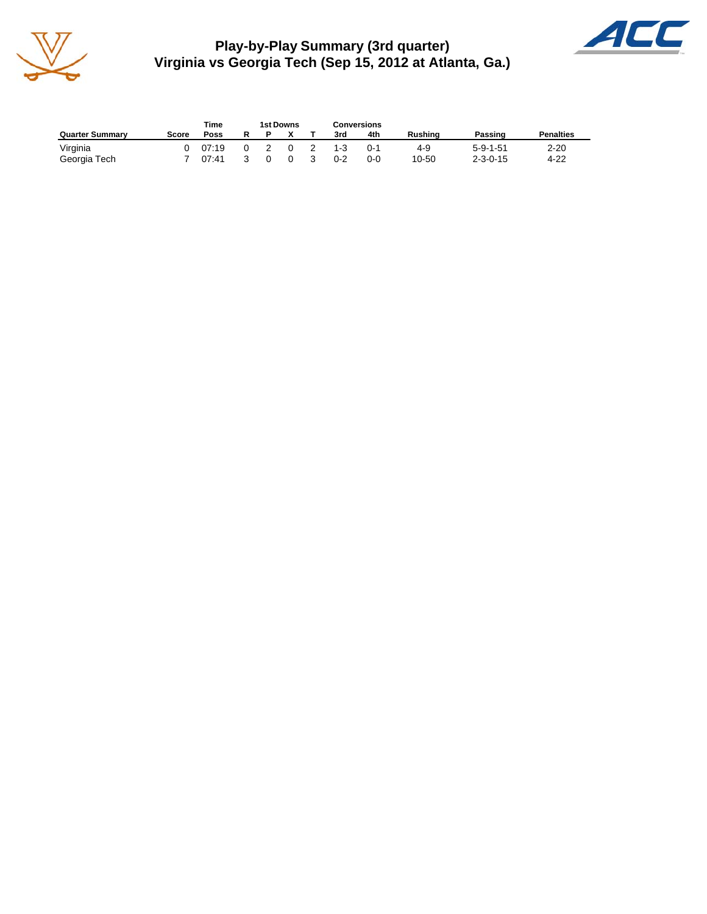

**Play-by-Play Summary (3rd quarter) Virginia vs Georgia Tech (Sep 15, 2012 at Atlanta, Ga.)**



|                        |       | Time  |   | 1st Downs |          |    | <b>Conversions</b> |         |         |                  |                  |
|------------------------|-------|-------|---|-----------|----------|----|--------------------|---------|---------|------------------|------------------|
| <b>Quarter Summary</b> | Score | Poss  | R |           |          |    | 3rd                | 4th     | Rushina | Passing          | <b>Penalties</b> |
| Virginia               |       | 07:19 |   |           | $\Omega$ |    | $1 - 3$            | $0 - 1$ | 4-9     | $5 - 9 - 1 - 51$ | $2 - 20$         |
| Georgia Tech           |       | 07:41 |   |           | $\Omega$ | -3 | $0 - 2$            | $0 - 0$ | 10-50   | $2 - 3 - 0 - 15$ | $4 - 22$         |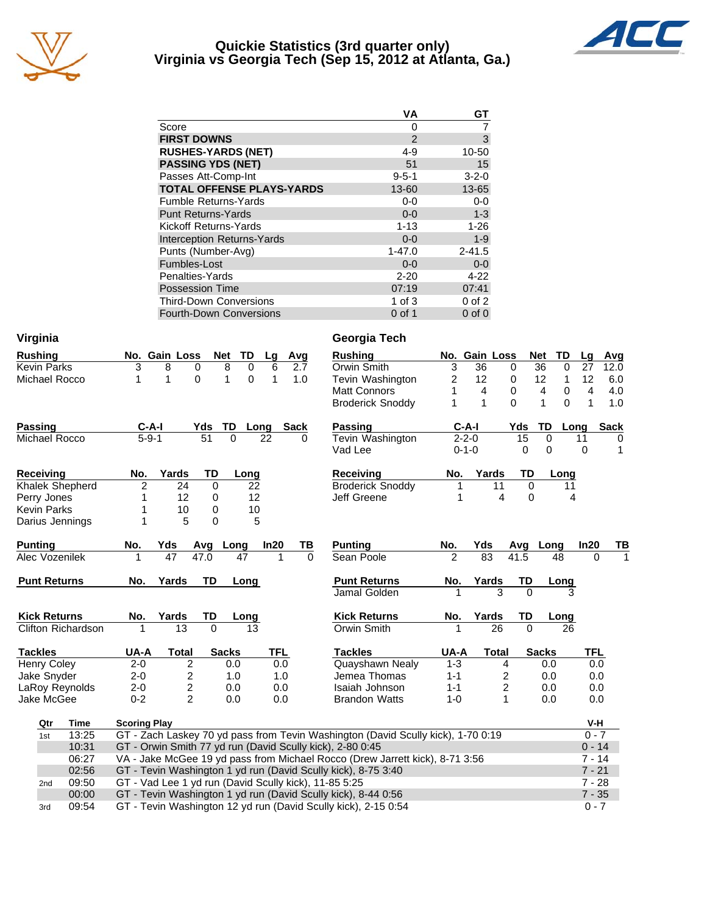

#### **Quickie Statistics (3rd quarter only) Virginia vs Georgia Tech (Sep 15, 2012 at Atlanta, Ga.)**



|                                   | VA          | GТ          |
|-----------------------------------|-------------|-------------|
| Score                             | 0           |             |
| <b>FIRST DOWNS</b>                | 2           | 3           |
| <b>RUSHES-YARDS (NET)</b>         | $4 - 9$     | 10-50       |
| <b>PASSING YDS (NET)</b>          | 51          | 15          |
| Passes Att-Comp-Int               | $9 - 5 - 1$ | $3 - 2 - 0$ |
| <b>TOTAL OFFENSE PLAYS-YARDS</b>  | 13-60       | 13-65       |
| <b>Fumble Returns-Yards</b>       | $0-0$       | $0-0$       |
| <b>Punt Returns-Yards</b>         | $0 - 0$     | $1 - 3$     |
| Kickoff Returns-Yards             | $1 - 13$    | $1 - 26$    |
| <b>Interception Returns-Yards</b> | $0 - 0$     | $1 - 9$     |
| Punts (Number-Avg)                | $1 - 47.0$  | $2 - 41.5$  |
| Fumbles-Lost                      | $0 - 0$     | $0-0$       |
| Penalties-Yards                   | $2 - 20$    | $4 - 22$    |
| <b>Possession Time</b>            | 07:19       | 07:41       |
| <b>Third-Down Conversions</b>     | 1 of $3$    | $0$ of $2$  |
| <b>Fourth-Down Conversions</b>    | $0$ of 1    | $0$ of $0$  |

| Virginia                                                               |                |                     |                                                       |              |             |                 |             | Georgia Tech                                                                                                                    |                |                 |                         |          |                  |                     |             |
|------------------------------------------------------------------------|----------------|---------------------|-------------------------------------------------------|--------------|-------------|-----------------|-------------|---------------------------------------------------------------------------------------------------------------------------------|----------------|-----------------|-------------------------|----------|------------------|---------------------|-------------|
| <b>Rushing</b>                                                         |                |                     | No. Gain Loss                                         | Net          | TD          | Lg              | Avg         | <b>Rushing</b>                                                                                                                  |                | No. Gain Loss   |                         |          | <b>Net</b><br>TD | Lg                  | Avg         |
| <b>Kevin Parks</b>                                                     |                | 3                   | 8<br>$\mathbf 0$                                      | 8            | $\Omega$    | 6               | 2.7         | Orwin Smith                                                                                                                     | 3              | 36              | $\mathbf 0$             |          | 36<br>$\Omega$   | 27                  | 12.0        |
| Michael Rocco                                                          |                | 1                   | 0<br>1                                                | 1            | $\mathbf 0$ | 1               | 1.0         | Tevin Washington                                                                                                                | 2              | 12              |                         | 0        | 12<br>1          | 12                  | 6.0         |
|                                                                        |                |                     |                                                       |              |             |                 |             | <b>Matt Connors</b>                                                                                                             | 1              | 4               |                         | 0        | 4<br>0           | 4                   | 4.0         |
|                                                                        |                |                     |                                                       |              |             |                 |             | <b>Broderick Snoddy</b>                                                                                                         | 1              | $\mathbf 1$     |                         | $\Omega$ | 1<br>$\Omega$    | $\mathbf{1}$        | 1.0         |
| <b>Passing</b>                                                         |                | C-A-I               |                                                       | TD<br>Yds    |             | Long            | <b>Sack</b> | <b>Passing</b>                                                                                                                  |                | $C-A-I$         |                         | Yds      | TD               | Long                | <b>Sack</b> |
| $5 - 9 - 1$<br>51<br>$\overline{0}$<br>22<br>Michael Rocco<br>$\Omega$ |                | Tevin Washington    |                                                       | $2 - 2 - 0$  |             | $\overline{15}$ | 0           | 11                                                                                                                              | 0              |                 |                         |          |                  |                     |             |
|                                                                        |                |                     |                                                       |              |             |                 |             | Vad Lee                                                                                                                         |                | $0 - 1 - 0$     |                         | 0        | 0                | 0                   | 1           |
| <b>Receiving</b>                                                       |                | No.                 | Yards                                                 | TD           | Long        |                 |             | <b>Receiving</b>                                                                                                                | No.            |                 | Yards                   | TD       | Long             |                     |             |
| Khalek Shepherd                                                        |                | 2                   | 24                                                    | 0            | 22          |                 |             | <b>Broderick Snoddy</b>                                                                                                         |                |                 | 11                      | 0        | 11               |                     |             |
| Perry Jones                                                            |                | 1                   | 12                                                    | 0            | 12          |                 |             | Jeff Greene                                                                                                                     |                |                 | 4                       | 0        |                  | 4                   |             |
| <b>Kevin Parks</b>                                                     |                | 1                   | 10                                                    | 0            | 10          |                 |             |                                                                                                                                 |                |                 |                         |          |                  |                     |             |
| Darius Jennings                                                        |                | 1                   | 5                                                     | $\Omega$     | 5           |                 |             |                                                                                                                                 |                |                 |                         |          |                  |                     |             |
| <b>Punting</b>                                                         |                | No.                 | Yds                                                   | Avg Long     |             | In20            | ΤВ          | <b>Punting</b>                                                                                                                  | No.            | Yds             |                         |          | Avg Long         | In20                | TВ          |
| Alec Vozenilek                                                         |                |                     | 47                                                    | 47.0         | 47          |                 | $\Omega$    | Sean Poole                                                                                                                      | $\mathfrak{p}$ | $\overline{83}$ |                         | 41.5     | 48               | 0                   |             |
| <b>Punt Returns</b>                                                    |                | No.                 | Yards                                                 | <b>TD</b>    | Long        |                 |             | <b>Punt Returns</b>                                                                                                             | No.            | Yards           |                         | TD       | Long             |                     |             |
|                                                                        |                |                     |                                                       |              |             |                 |             | Jamal Golden                                                                                                                    |                |                 | 3                       | $\Omega$ |                  |                     |             |
| <b>Kick Returns</b>                                                    |                | No.                 | Yards                                                 | TD           | Long        |                 |             | <b>Kick Returns</b>                                                                                                             | No.            |                 | Yards                   | TD       | Long             |                     |             |
| <b>Clifton Richardson</b>                                              |                |                     | 13                                                    | $\Omega$     | 13          |                 |             | Orwin Smith                                                                                                                     |                |                 | 26                      | $\Omega$ | 26               |                     |             |
| <b>Tackles</b>                                                         |                | UA-A                | <b>Total</b>                                          | <b>Sacks</b> |             | TFL             |             | <b>Tackles</b>                                                                                                                  | UA-A           |                 | <b>Total</b>            |          | <b>Sacks</b>     | TFL                 |             |
| <b>Henry Coley</b>                                                     |                | $2 - 0$             | 2                                                     |              | 0.0         | 0.0             |             | Quayshawn Nealy                                                                                                                 | $1 - 3$        |                 | 4                       |          | 0.0              | 0.0                 |             |
| Jake Snyder                                                            |                | $2 - 0$             | 2                                                     |              | 1.0         | 1.0             |             | Jemea Thomas                                                                                                                    | $1 - 1$        |                 | 2                       |          | 0.0              | 0.0                 |             |
| LaRoy Reynolds                                                         |                | $2 - 0$             | $\overline{c}$                                        |              | 0.0         | 0.0             |             | Isaiah Johnson                                                                                                                  | $1 - 1$        |                 | $\overline{\mathbf{c}}$ |          | 0.0              | 0.0                 |             |
| Jake McGee                                                             |                | $0 - 2$             | $\overline{2}$                                        |              | 0.0         | 0.0             |             | <b>Brandon Watts</b>                                                                                                            | $1 - 0$        |                 | 1                       |          | 0.0              | 0.0                 |             |
| Qtr                                                                    | <b>Time</b>    | <b>Scoring Play</b> |                                                       |              |             |                 |             |                                                                                                                                 |                |                 |                         |          |                  | V-H                 |             |
| 1st                                                                    | 13:25          |                     |                                                       |              |             |                 |             | GT - Zach Laskey 70 yd pass from Tevin Washington (David Scully kick), 1-70 0:19                                                |                |                 |                         |          |                  | $0 - 7$             |             |
| 10:31<br>GT - Orwin Smith 77 yd run (David Scully kick), 2-80 0:45     |                |                     |                                                       |              |             |                 |             |                                                                                                                                 |                |                 |                         |          | $0 - 14$         |                     |             |
|                                                                        | 06:27          |                     |                                                       |              |             |                 |             | VA - Jake McGee 19 yd pass from Michael Rocco (Drew Jarrett kick), 8-71 3:56                                                    |                |                 |                         |          |                  | $7 - 14$            |             |
|                                                                        | 02:56          |                     |                                                       |              |             |                 |             | GT - Tevin Washington 1 yd run (David Scully kick), 8-75 3:40                                                                   |                |                 |                         |          |                  | $7 - 21$            |             |
| 2 <sub>nd</sub>                                                        | 09:50          |                     | GT - Vad Lee 1 yd run (David Scully kick), 11-85 5:25 |              |             |                 |             |                                                                                                                                 |                |                 |                         |          |                  | $7 - 28$            |             |
|                                                                        |                |                     |                                                       |              |             |                 |             |                                                                                                                                 |                |                 |                         |          |                  |                     |             |
|                                                                        | 00:00<br>09:54 |                     |                                                       |              |             |                 |             | GT - Tevin Washington 1 yd run (David Scully kick), 8-44 0:56<br>GT - Tevin Washington 12 yd run (David Scully kick), 2-15 0:54 |                |                 |                         |          |                  | $7 - 35$<br>$0 - 7$ |             |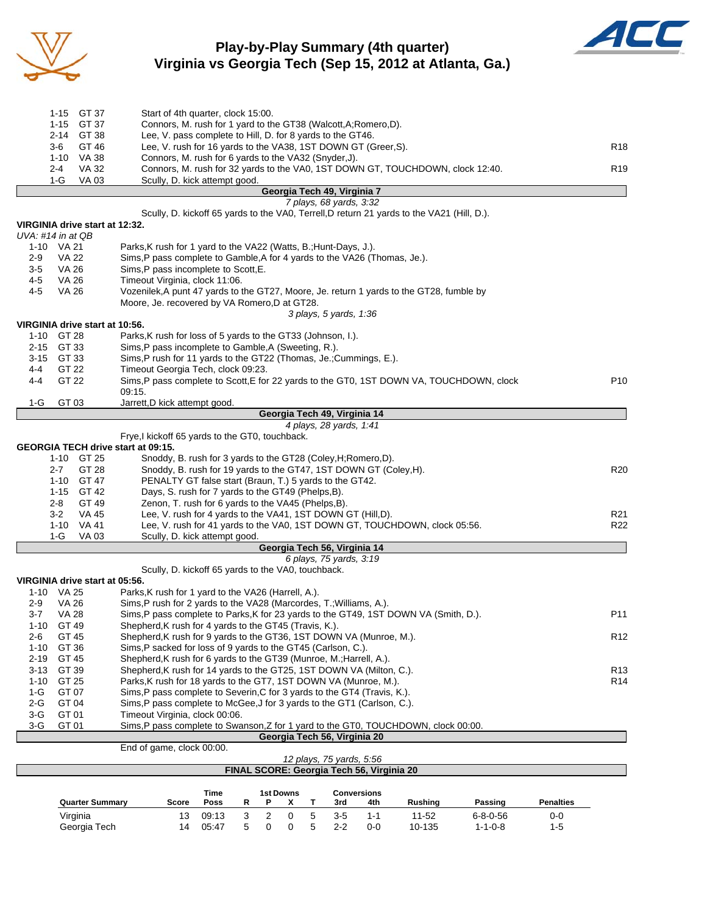

# **Play-by-Play Summary (4th quarter) Virginia vs Georgia Tech (Sep 15, 2012 at Atlanta, Ga.)**



|                       |                | <b>Quarter Summary</b>         | R<br>Rushing<br>Score<br>Poss<br>P<br>x<br>т<br>3rd<br>4th<br>Passing                                                                          | <b>Penalties</b> |
|-----------------------|----------------|--------------------------------|------------------------------------------------------------------------------------------------------------------------------------------------|------------------|
|                       |                |                                | Time<br><b>1st Downs</b><br><b>Conversions</b>                                                                                                 |                  |
|                       |                |                                | FINAL SCORE: Georgia Tech 56, Virginia 20                                                                                                      |                  |
|                       |                |                                | End of game, clock 00:00.<br>12 plays, 75 yards, 5:56                                                                                          |                  |
|                       |                |                                | Georgia Tech 56, Virginia 20                                                                                                                   |                  |
| $3-G$<br>$3-G$        | GT 01<br>GT 01 |                                | Timeout Virginia, clock 00:06.<br>Sims, P pass complete to Swanson, Z for 1 yard to the GT0, TOUCHDOWN, clock 00:00.                           |                  |
| $2-G$                 | GT 04          |                                | Sims, P pass complete to McGee, J for 3 yards to the GT1 (Carlson, C.).                                                                        |                  |
| 1-G                   | GT 07          |                                | Sims, P pass complete to Severin, C for 3 yards to the GT4 (Travis, K.).                                                                       |                  |
| $1 - 10$              | GT 25          |                                | Parks, K rush for 18 yards to the GT7, 1ST DOWN VA (Munroe, M.).                                                                               | R <sub>14</sub>  |
| $3 - 13$              | GT 39          |                                | Shepherd, K rush for 14 yards to the GT25, 1ST DOWN VA (Milton, C.).                                                                           | R <sub>13</sub>  |
| $2 - 19$              | GT 45          |                                | Shepherd, K rush for 6 yards to the GT39 (Munroe, M.; Harrell, A.).                                                                            |                  |
| $1 - 10$              | GT 36          |                                | Sims, P sacked for loss of 9 yards to the GT45 (Carlson, C.).                                                                                  |                  |
| 2-6                   | GT 45          |                                | Shepherd, K rush for 9 yards to the GT36, 1ST DOWN VA (Munroe, M.).                                                                            | R <sub>12</sub>  |
| 3-7<br>$1 - 10$       | VA 28<br>GT 49 |                                | Sims, P pass complete to Parks, K for 23 yards to the GT49, 1ST DOWN VA (Smith, D.).<br>Shepherd, K rush for 4 yards to the GT45 (Travis, K.). | P <sub>11</sub>  |
| 2-9                   | VA 26          |                                | Sims,P rush for 2 yards to the VA28 (Marcordes, T.; Williams, A.).                                                                             |                  |
|                       | 1-10 VA 25     |                                | Parks, K rush for 1 yard to the VA26 (Harrell, A.).                                                                                            |                  |
|                       |                | VIRGINIA drive start at 05:56. |                                                                                                                                                |                  |
|                       |                |                                | Scully, D. kickoff 65 yards to the VA0, touchback.                                                                                             |                  |
|                       |                |                                | 6 plays, 75 yards, 3:19                                                                                                                        |                  |
|                       |                |                                | Georgia Tech 56, Virginia 14                                                                                                                   |                  |
|                       | 1-G            | VA 03                          | Scully, D. kick attempt good.                                                                                                                  |                  |
|                       | 3-2<br>1-10    | VA 45<br>VA 41                 | Lee, V. rush for 4 yards to the VA41, 1ST DOWN GT (Hill, D).<br>Lee, V. rush for 41 yards to the VA0, 1ST DOWN GT, TOUCHDOWN, clock 05:56.     | R21<br>R22       |
|                       | 2-8            | GT 49                          | Zenon, T. rush for 6 yards to the VA45 (Phelps, B).                                                                                            |                  |
|                       | 1-15           | GT 42                          | Days, S. rush for 7 yards to the GT49 (Phelps, B).                                                                                             |                  |
|                       | $1 - 10$       | GT 47                          | PENALTY GT false start (Braun, T.) 5 yards to the GT42.                                                                                        |                  |
|                       | 2-7            | GT 28                          | Snoddy, B. rush for 19 yards to the GT47, 1ST DOWN GT (Coley, H).                                                                              | R20              |
|                       |                | 1-10 GT 25                     | Snoddy, B. rush for 3 yards to the GT28 (Coley, H; Romero, D).                                                                                 |                  |
|                       |                |                                | GEORGIA TECH drive start at 09:15.                                                                                                             |                  |
|                       |                |                                | 4 plays, 28 yards, 1:41<br>Frye, I kickoff 65 yards to the GT0, touchback.                                                                     |                  |
|                       |                |                                | Georgia Tech 49, Virginia 14                                                                                                                   |                  |
| 1-G                   | GT 03          |                                | Jarrett,D kick attempt good                                                                                                                    |                  |
|                       |                |                                | 09:15.                                                                                                                                         |                  |
| 4-4                   | GT 22          |                                | Sims, P pass complete to Scott, E for 22 yards to the GT0, 1ST DOWN VA, TOUCHDOWN, clock                                                       | P <sub>10</sub>  |
| 4-4                   | GT 22          |                                | Timeout Georgia Tech, clock 09:23.                                                                                                             |                  |
| 3-15                  | GT 33          |                                | Sims, P rush for 11 yards to the GT22 (Thomas, Je.; Cummings, E.).                                                                             |                  |
| $2 - 15$              | GT 33          |                                | Sims, P pass incomplete to Gamble, A (Sweeting, R.).                                                                                           |                  |
|                       | 1-10 GT 28     | VIRGINIA drive start at 10:56. | Parks, K rush for loss of 5 yards to the GT33 (Johnson, I.).                                                                                   |                  |
|                       |                |                                | 3 plays, 5 yards, 1:36                                                                                                                         |                  |
|                       |                |                                | Moore, Je. recovered by VA Romero, D at GT28.                                                                                                  |                  |
| $4 - 5$               | VA 26          |                                | Vozenilek, A punt 47 yards to the GT27, Moore, Je. return 1 yards to the GT28, fumble by                                                       |                  |
| $4 - 5$               | VA 26          |                                | Timeout Virginia, clock 11:06.                                                                                                                 |                  |
| $3-5$                 | VA 26          |                                | Sims, P pass incomplete to Scott, E.                                                                                                           |                  |
| 2-9                   | <b>VA 22</b>   |                                | Sims,P pass complete to Gamble,A for 4 yards to the VA26 (Thomas, Je.).                                                                        |                  |
|                       | 1-10 VA 21     |                                | Parks, K rush for 1 yard to the VA22 (Watts, B.; Hunt-Days, J.).                                                                               |                  |
| $UVA: #14$ in at $QB$ |                | VIRGINIA drive start at 12:32. |                                                                                                                                                |                  |
|                       |                |                                | Scully, D. kickoff 65 yards to the VA0, Terrell, D return 21 yards to the VA21 (Hill, D.).                                                     |                  |
|                       |                |                                | 7 plays, 68 yards, 3:32                                                                                                                        |                  |
|                       |                |                                | Georgia Tech 49, Virginia 7                                                                                                                    |                  |
|                       | 2-4<br>$1-G$   | VA 32<br><b>VA 03</b>          | Connors, M. rush for 32 yards to the VA0, 1ST DOWN GT, TOUCHDOWN, clock 12:40.<br>Scully, D. kick attempt good.                                | R <sub>19</sub>  |
|                       | $1 - 10$       | VA 38                          | Connors, M. rush for 6 yards to the VA32 (Snyder, J).                                                                                          |                  |
|                       | 3-6            | GT 46                          | Lee, V. rush for 16 yards to the VA38, 1ST DOWN GT (Greer, S).                                                                                 | R <sub>18</sub>  |
|                       | 2-14           | GT 38                          | Lee, V. pass complete to Hill, D. for 8 yards to the GT46.                                                                                     |                  |
|                       | $1 - 15$       | GT 37                          | Connors, M. rush for 1 yard to the GT38 (Walcott, A; Romero, D).                                                                               |                  |
|                       |                | 1-15 GT 37                     | Start of 4th quarter, clock 15:00.                                                                                                             |                  |

Virginia 13 09:13 3 2 0 5 3-5 1-1 11-52 6-8-0-56 0-0 Georgia Tech 14 05:47 5 0 0 5 2-2 0-0 10-135 1-1-0-8 1-5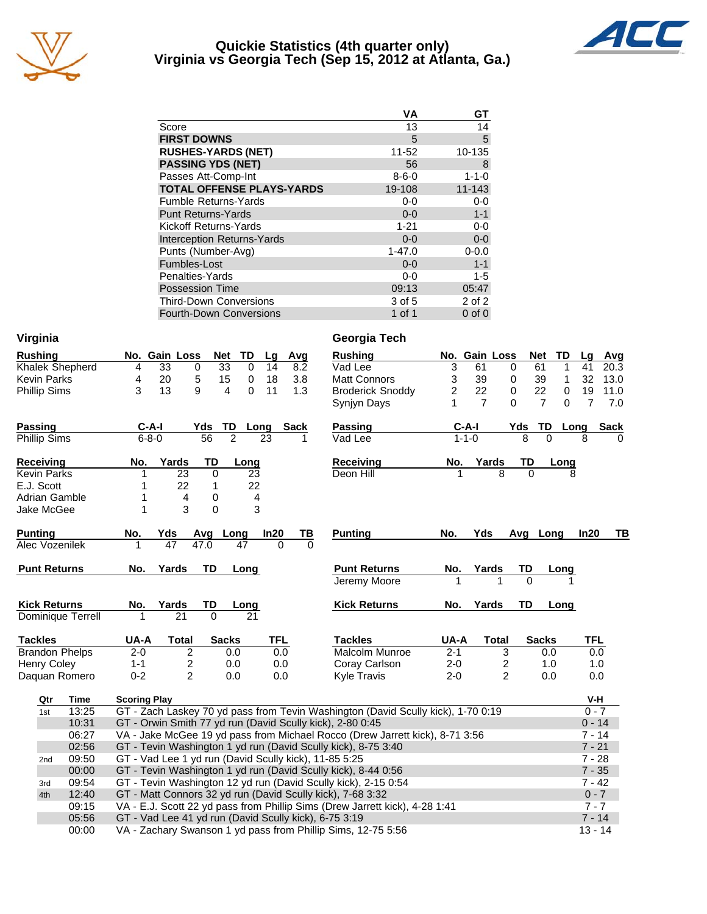

#### **Quickie Statistics (4th quarter only) Virginia vs Georgia Tech (Sep 15, 2012 at Atlanta, Ga.)**



|                                   | VA          | GТ          |
|-----------------------------------|-------------|-------------|
| Score                             | 13          | 14          |
| <b>FIRST DOWNS</b>                | 5           | 5           |
| <b>RUSHES-YARDS (NET)</b>         | 11-52       | 10-135      |
| <b>PASSING YDS (NET)</b>          | 56          | 8           |
| Passes Att-Comp-Int               | $8 - 6 - 0$ | $1 - 1 - 0$ |
| <b>TOTAL OFFENSE PLAYS-YARDS</b>  | 19-108      | 11-143      |
| <b>Fumble Returns-Yards</b>       | $0-0$       | $0-0$       |
| <b>Punt Returns-Yards</b>         | $0 - 0$     | $1 - 1$     |
| Kickoff Returns-Yards             | $1 - 21$    | $0-0$       |
| <b>Interception Returns-Yards</b> | $0 - 0$     | $0-0$       |
| Punts (Number-Avg)                | $1 - 47.0$  | $0 - 0.0$   |
| Fumbles-Lost                      | $0 - 0$     | $1 - 1$     |
| Penalties-Yards                   | $0-0$       | $1 - 5$     |
| <b>Possession Time</b>            | 09:13       | 05:47       |
| <b>Third-Down Conversions</b>     | 3 of 5      | 2 of 2      |
| <b>Fourth-Down Conversions</b>    | 1 of 1      | $0$ of $0$  |

| Virginia            |                       |                     |                                                       |                 |                   |      |             |     | Georgia Tech                                                                     |                |                         |                         |                            |                |             |
|---------------------|-----------------------|---------------------|-------------------------------------------------------|-----------------|-------------------|------|-------------|-----|----------------------------------------------------------------------------------|----------------|-------------------------|-------------------------|----------------------------|----------------|-------------|
| <b>Rushing</b>      |                       |                     | No. Gain Loss                                         | <b>Net</b>      | TD                | Lg   |             | Avg | <b>Rushing</b>                                                                   |                | No. Gain Loss           |                         | <b>Net</b><br>TD           | Lg             | Avg         |
|                     | Khalek Shepherd       | 4                   | 33                                                    | 0               | 33<br>$\mathbf 0$ | 14   |             | 8.2 | Vad Lee                                                                          | 3              | 61                      | 0                       | 61<br>1                    | 41             | 20.3        |
| <b>Kevin Parks</b>  |                       | 4                   | 20                                                    | 5               | 15<br>$\mathbf 0$ | 18   |             | 3.8 | <b>Matt Connors</b>                                                              | 3              | 39                      | $\mathbf 0$             | 39<br>1                    | 32             | 13.0        |
| <b>Phillip Sims</b> |                       | 3                   | 13                                                    | 9               | $\Omega$<br>4     | 11   |             | 1.3 | <b>Broderick Snoddy</b>                                                          | $\overline{c}$ | 22                      | $\pmb{0}$               | 22<br>$\mathbf 0$          | 19             | 11.0        |
|                     |                       |                     |                                                       |                 |                   |      |             |     | Synjyn Days                                                                      | 1              | $\overline{7}$          | 0                       | $\overline{7}$<br>$\Omega$ | $\overline{7}$ | 7.0         |
| <b>Passing</b>      |                       | $C-A-I$             |                                                       | Yds             | TD Long           |      | <b>Sack</b> |     | <b>Passing</b>                                                                   |                | $C-A-I$                 | Yds TD                  | Long                       |                | <b>Sack</b> |
| Phillip Sims        |                       | $6 - 8 - 0$         |                                                       | $\overline{56}$ | $\overline{2}$    | 23   |             | 1   | Vad Lee                                                                          | $1 - 1 - 0$    |                         | 8                       | $\Omega$                   | 8              | 0           |
| <b>Receiving</b>    |                       | No.                 | Yards                                                 | <b>TD</b>       | Long              |      |             |     | Receiving                                                                        | No.            | Yards                   | TD                      | Long                       |                |             |
| <b>Kevin Parks</b>  |                       | 1                   | 23                                                    | $\mathbf 0$     |                   | 23   |             |     | Deon Hill                                                                        |                | $\overline{\mathsf{R}}$ | $\Omega$                | 8                          |                |             |
| E.J. Scott          |                       | 1                   | 22                                                    | 1               |                   | 22   |             |     |                                                                                  |                |                         |                         |                            |                |             |
| Adrian Gamble       |                       | 1                   | 4                                                     | 0               |                   | 4    |             |     |                                                                                  |                |                         |                         |                            |                |             |
| Jake McGee          |                       | $\mathbf{1}$        | 3                                                     | $\mathbf 0$     |                   | 3    |             |     |                                                                                  |                |                         |                         |                            |                |             |
| <b>Punting</b>      |                       | No.                 | Yds                                                   | Avg             | Long              | In20 |             | TВ  | <b>Punting</b>                                                                   | No.            | Yds                     |                         | Avg Long                   | In20           | TВ          |
| Alec Vozenilek      |                       |                     | 47                                                    | 47.0            | 47                |      |             |     |                                                                                  |                |                         |                         |                            |                |             |
| <b>Punt Returns</b> |                       | No.                 | Yards                                                 | TD              | Long              |      |             |     | <b>Punt Returns</b>                                                              | No.            | Yards                   | TD                      | Long                       |                |             |
|                     |                       |                     |                                                       |                 |                   |      |             |     | Jeremy Moore                                                                     |                | 1                       | $\Omega$                |                            |                |             |
|                     |                       |                     |                                                       |                 |                   |      |             |     |                                                                                  |                |                         |                         |                            |                |             |
| <b>Kick Returns</b> |                       | No.                 | Yards                                                 | TD              | Long              |      |             |     | <b>Kick Returns</b>                                                              | No.            | Yards                   | TD                      | Long                       |                |             |
|                     | Dominique Terrell     | 1                   | 21                                                    | 0               | 21                |      |             |     |                                                                                  |                |                         |                         |                            |                |             |
| <b>Tackles</b>      |                       | UA-A                | <b>Total</b>                                          |                 | <b>Sacks</b>      |      | <b>TFL</b>  |     | <b>Tackles</b>                                                                   | UA-A           | <b>Total</b>            |                         | <b>Sacks</b>               | <b>TFL</b>     |             |
|                     | <b>Brandon Phelps</b> | $2 - 0$             | $\overline{c}$                                        |                 | 0.0               |      | 0.0         |     | Malcolm Munroe                                                                   | $2 - 1$        |                         | 3                       | 0.0                        | 0.0            |             |
| <b>Henry Coley</b>  |                       | $1 - 1$             | $\overline{c}$                                        |                 | 0.0               |      | 0.0         |     | Coray Carlson                                                                    | $2 - 0$        |                         | $\overline{\mathbf{c}}$ | 1.0                        | 1.0            |             |
|                     | Daquan Romero         | $0 - 2$             | $\overline{2}$                                        |                 | 0.0               |      | 0.0         |     | <b>Kyle Travis</b>                                                               | $2 - 0$        |                         | $\overline{2}$          | 0.0                        | 0.0            |             |
| Qtr                 | Time                  | <b>Scoring Play</b> |                                                       |                 |                   |      |             |     |                                                                                  |                |                         |                         |                            | V-H            |             |
| 1st                 | 13:25                 |                     |                                                       |                 |                   |      |             |     | GT - Zach Laskey 70 yd pass from Tevin Washington (David Scully kick), 1-70 0:19 |                |                         |                         |                            | $0 - 7$        |             |
|                     | 10:31                 |                     |                                                       |                 |                   |      |             |     | GT - Orwin Smith 77 yd run (David Scully kick), 2-80 0:45                        |                |                         |                         |                            | $0 - 14$       |             |
|                     | 06:27                 |                     |                                                       |                 |                   |      |             |     | VA - Jake McGee 19 yd pass from Michael Rocco (Drew Jarrett kick), 8-71 3:56     |                |                         |                         |                            | $7 - 14$       |             |
|                     | 02:56                 |                     |                                                       |                 |                   |      |             |     | GT - Tevin Washington 1 yd run (David Scully kick), 8-75 3:40                    |                |                         |                         |                            | $7 - 21$       |             |
| 2 <sub>nd</sub>     | 09:50                 |                     | GT - Vad Lee 1 yd run (David Scully kick), 11-85 5:25 |                 |                   |      |             |     |                                                                                  |                |                         |                         |                            | $7 - 28$       |             |
|                     | 00:00                 |                     |                                                       |                 |                   |      |             |     | GT - Tevin Washington 1 yd run (David Scully kick), 8-44 0:56                    |                |                         |                         |                            | $7 - 35$       |             |
| 3rd                 | 09:54                 |                     |                                                       |                 |                   |      |             |     | GT - Tevin Washington 12 yd run (David Scully kick), 2-15 0:54                   |                |                         |                         |                            | $7 - 42$       |             |
| 4th                 | 12:40                 |                     |                                                       |                 |                   |      |             |     | GT - Matt Connors 32 yd run (David Scully kick), 7-68 3:32                       |                |                         |                         |                            | $0 - 7$        |             |
|                     | 09:15                 |                     |                                                       |                 |                   |      |             |     | VA - E.J. Scott 22 yd pass from Phillip Sims (Drew Jarrett kick), 4-28 1:41      |                |                         |                         |                            | $7 - 7$        |             |
|                     | 05:56                 |                     | GT - Vad Lee 41 yd run (David Scully kick), 6-75 3:19 |                 |                   |      |             |     |                                                                                  |                |                         |                         |                            | $7 - 14$       |             |
|                     | 00:00                 |                     |                                                       |                 |                   |      |             |     | VA - Zachary Swanson 1 yd pass from Phillip Sims, 12-75 5:56                     |                |                         |                         |                            | $13 - 14$      |             |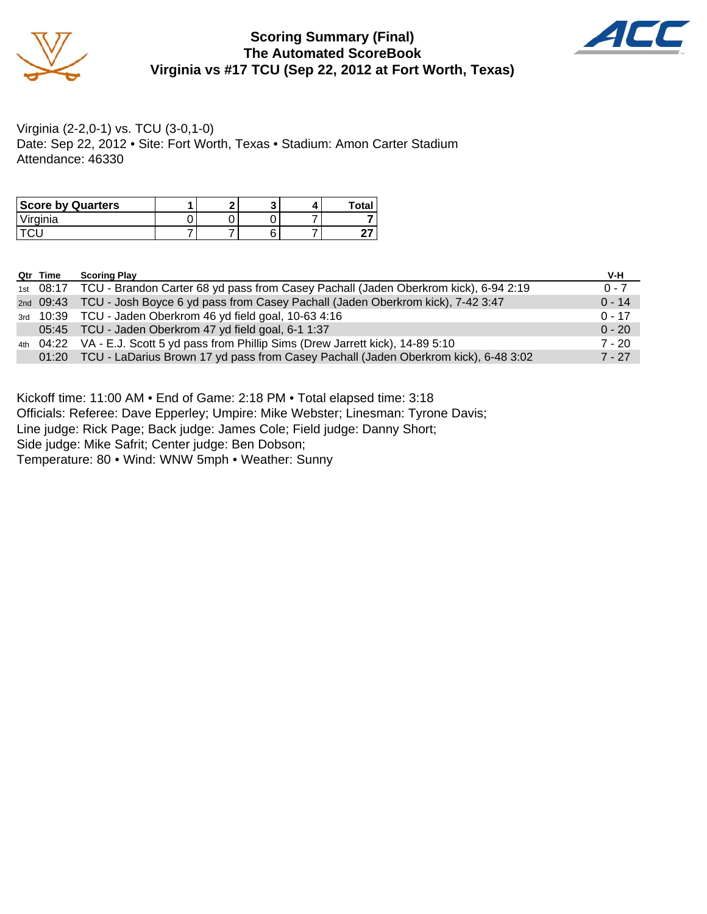

### **Scoring Summary (Final) The Automated ScoreBook Virginia vs #17 TCU (Sep 22, 2012 at Fort Worth, Texas)**



Virginia (2-2,0-1) vs. TCU (3-0,1-0) Date: Sep 22, 2012 • Site: Fort Worth, Texas • Stadium: Amon Carter Stadium Attendance: 46330

| <b>Score by Quarters</b> |  |  | Tota |
|--------------------------|--|--|------|
| <i>Virginia</i>          |  |  |      |
|                          |  |  |      |

| Qtr Time | <b>Scoring Play</b>                                                                           | V-H      |
|----------|-----------------------------------------------------------------------------------------------|----------|
|          | 1st 08:17 TCU - Brandon Carter 68 yd pass from Casey Pachall (Jaden Oberkrom kick), 6-94 2:19 | $0 - 7$  |
|          | 2nd 09:43 TCU - Josh Boyce 6 yd pass from Casey Pachall (Jaden Oberkrom kick), 7-42 3:47      | $0 - 14$ |
|          | 3rd 10:39 TCU - Jaden Oberkrom 46 yd field goal, 10-63 4:16                                   | $0 - 17$ |
|          | 05:45 TCU - Jaden Oberkrom 47 yd field goal, 6-1 1:37                                         | $0 - 20$ |
|          | 4th 04:22 VA - E.J. Scott 5 yd pass from Phillip Sims (Drew Jarrett kick), 14-89 5:10         | $7 - 20$ |
|          | 01:20 TCU - LaDarius Brown 17 yd pass from Casey Pachall (Jaden Oberkrom kick), 6-48 3:02     | $7 - 27$ |

Kickoff time: 11:00 AM • End of Game: 2:18 PM • Total elapsed time: 3:18

Officials: Referee: Dave Epperley; Umpire: Mike Webster; Linesman: Tyrone Davis;

Line judge: Rick Page; Back judge: James Cole; Field judge: Danny Short;

Side judge: Mike Safrit; Center judge: Ben Dobson;

Temperature: 80 • Wind: WNW 5mph • Weather: Sunny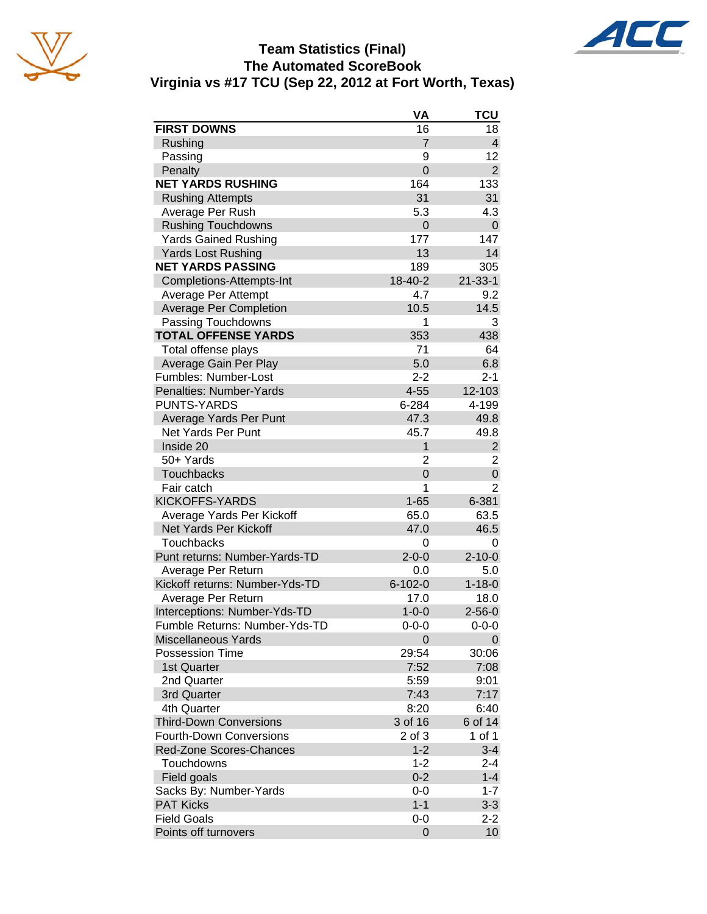





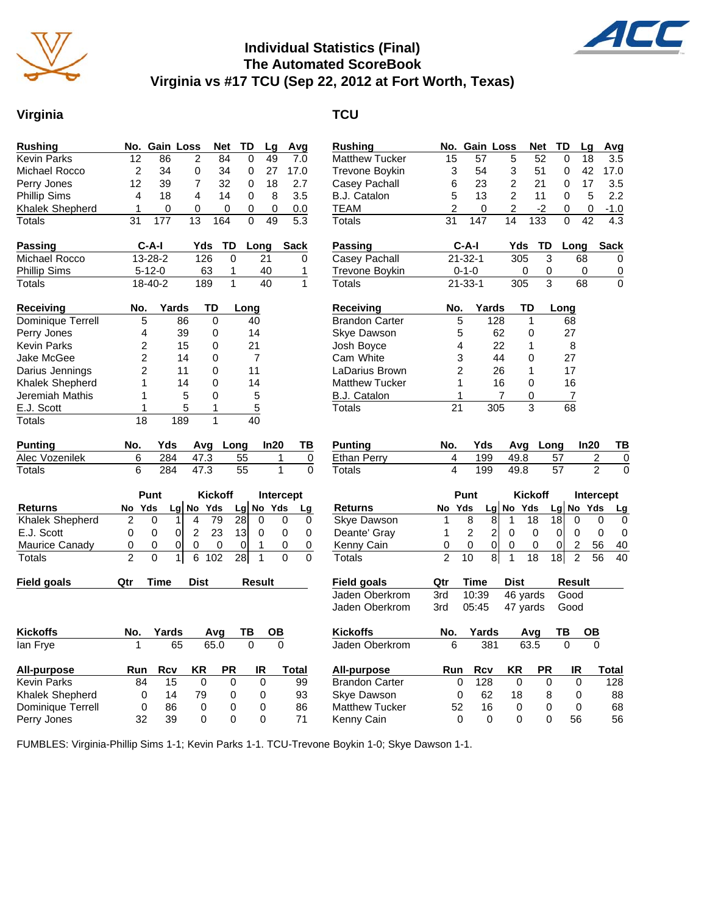

## **Individual Statistics (Final) The Automated ScoreBook Virginia vs #17 TCU (Sep 22, 2012 at Fort Worth, Texas)**

# **Virginia TCU**

| Rushing                |                 | No. Gain Loss                 |                         | <b>Net</b>     | TD              | Lg              | Avg                      | Rushing               | No.            | <b>Gain Loss</b>     |                | Net             | TD              | L)             |
|------------------------|-----------------|-------------------------------|-------------------------|----------------|-----------------|-----------------|--------------------------|-----------------------|----------------|----------------------|----------------|-----------------|-----------------|----------------|
| <b>Kevin Parks</b>     | $\overline{12}$ | 86                            | $\overline{c}$          | 84             | $\mathbf 0$     | 49              | $\overline{7.0}$         | <b>Matthew Tucker</b> | 15             | 57                   | 5              | 52              | 0               | $\ddagger$     |
| Michael Rocco          | $\overline{c}$  | 34                            | 0                       | 34             | 0               | 27              | 17.0                     | <b>Trevone Boykin</b> | 3              | 54                   | 3              | 51              | 0               | $\overline{4}$ |
| Perry Jones            | 12              | 39                            | 7                       | 32             | 0               | 18              | 2.7                      | Casey Pachall         | 6              | 23                   | $\overline{c}$ | 21              | 0               | $1^{\circ}$    |
| <b>Phillip Sims</b>    | $\overline{4}$  | 18                            | $\overline{\mathbf{A}}$ | 14             | $\Omega$        | 8               | 3.5                      | B.J. Catalon          | 5              | 13                   | $\overline{c}$ | 11              | 0               |                |
| Khalek Shepherd        | 1               | 0                             | 0                       | 0              | 0               | 0               | 0.0                      | <b>TEAM</b>           | 2              | 0                    | $\overline{c}$ | $-2$            | 0               |                |
| Totals                 | 31              | 177                           | 13                      | 164            | $\Omega$        | 49              | 5.3                      | <b>Totals</b>         | 31             | 147                  | 14             | 133             | 0               | $\overline{4}$ |
| Passing                |                 | $C-A-I$                       | Yds                     | TD             |                 | Long            | <b>Sack</b>              | <b>Passing</b>        |                | $C-A-I$              | Yds            | TD              |                 | Long           |
| Michael Rocco          |                 | 13-28-2                       | 126                     | $\mathbf 0$    |                 | 21              | 0                        | <b>Casey Pachall</b>  |                | $21 - 32 - 1$        | 305            | 3               |                 | 68             |
| <b>Phillip Sims</b>    |                 | $5 - 12 - 0$                  | 63                      | 1              |                 | 40              | 1                        | Trevone Boykin        |                | $0 - 1 - 0$          | 0              | 0               |                 | 0              |
| Totals                 |                 | $18 - 40 - 2$                 | 189                     | $\overline{1}$ |                 | $\overline{40}$ | 1                        | Totals                |                | $21 - 33 - 1$        | 305            | $\overline{3}$  |                 | 68             |
| Receiving              | No.             | Yards                         | TD                      |                | Long            |                 |                          | <b>Receiving</b>      | No.            | Yards                | TD             |                 | Long            |                |
| Dominique Terrell      | 5               | 86                            |                         | $\Omega$       | 40              |                 |                          | <b>Brandon Carter</b> |                | 5<br>128             |                | $\mathbf{1}$    | 68              |                |
| Perry Jones            | 4               | 39                            |                         | 0              | 14              |                 |                          | Skye Dawson           |                | 5                    | 62             | 0               | 27              |                |
| <b>Kevin Parks</b>     | $\overline{2}$  | 15                            |                         | 0              | 21              |                 |                          | Josh Boyce            |                | 4                    | 22             | 1               | 8               |                |
| Jake McGee             | $\overline{2}$  | 14                            |                         | 0              | $\overline{7}$  |                 |                          | Cam White             |                | 3                    | 44             | 0               | 27              |                |
| Darius Jennings        | $\overline{c}$  | 11                            |                         | $\Omega$       | 11              |                 |                          | LaDarius Brown        |                | 2                    | 26             | 1               | 17              |                |
| <b>Khalek Shepherd</b> | 1               | 14                            |                         | 0              | 14              |                 |                          | <b>Matthew Tucker</b> |                | 1                    | 16             | 0               | 16              |                |
| Jeremiah Mathis        | 1               |                               | 5                       | 0              | 5               |                 |                          | <b>B.J. Catalon</b>   |                | 1                    | 7              | 0               | $\overline{7}$  |                |
| E.J. Scott             | 1               |                               | 5                       | 1              | 5               |                 |                          | <b>Totals</b>         | 21             | 305                  |                | $\overline{3}$  | $\overline{68}$ |                |
| Totals                 | $\overline{18}$ | 189                           |                         | $\mathbf{1}$   | 40              |                 |                          |                       |                |                      |                |                 |                 |                |
| <b>Punting</b>         | No.             | Yds                           |                         | Avg Long       |                 | In20            | ΤВ                       | <b>Punting</b>        | No.            | Yds                  | Avq            | Long            |                 | In:            |
| Alec Vozenilek         | 6               | 284                           | 47.3                    |                | 55              |                 | $\,0\,$<br>1             | <b>Ethan Perry</b>    | 4              | 199                  | 49.8           |                 | 57              |                |
| Totals                 | 6               | 284                           | 47.3                    |                | $\overline{55}$ |                 | $\mathbf{1}$<br>$\Omega$ | <b>Totals</b>         | 4              | 199                  | 49.8           |                 | 57              |                |
|                        |                 | Punt                          |                         | <b>Kickoff</b> |                 |                 | Intercept                |                       |                | Punt                 |                | <b>Kickoff</b>  |                 | <b>Int</b>     |
| <b>Returns</b>         | No Yds          |                               | Lg No Yds               |                | $Lg$ No Yds     |                 | Lg                       | <b>Returns</b>        | No Yds         |                      | Lg No Yds      |                 | $Lg$ No         |                |
| <b>Khalek Shepherd</b> | $\overline{c}$  | 0<br>$\mathbf{1}$             | $\overline{4}$          | 79             | $\overline{28}$ | $\mathbf 0$     | 0<br>0                   | <b>Skye Dawson</b>    | $\mathbf{1}$   | 8<br>8               | $\mathbf{1}$   | $\overline{18}$ | 18              | $\mathbf 0$    |
| E.J. Scott             | 0               | $\mathbf 0$<br>$\overline{0}$ | $\overline{2}$          | 23             | 13              | 0               | $\mathbf 0$<br>0         | Deante' Gray          | 1              | $\overline{2}$<br>2  | $\mathbf 0$    | $\mathbf 0$     | $\mathbf 0$     | 0              |
| Maurice Canady         | 0               | $\overline{0}$<br>0           | 0                       | 0              | $\mathbf 0$     | $\mathbf{1}$    | $\Omega$<br>$\mathbf 0$  | Kenny Cain            | 0              | $\mathbf 0$<br>0     | $\mathbf 0$    | $\Omega$        | $\mathbf 0$     | $\overline{c}$ |
| <b>Totals</b>          | $\overline{2}$  | $\overline{1}$<br>0           | $\sqrt{6}$              | 102            | 28              | $\mathbf{1}$    | $\Omega$<br>$\Omega$     | Totals                | $\overline{2}$ | $\overline{8}$<br>10 | $\overline{1}$ | 18              | 18              | $\overline{2}$ |
| <b>Field goals</b>     | Qtr             | <b>Time</b>                   | <b>Dist</b>             |                |                 | Result          |                          | Field goals           | Qtr            | Time                 | <b>Dist</b>    |                 | <b>Result</b>   |                |
|                        |                 |                               |                         |                |                 |                 |                          | Jaden Oberkrom        | 3rd            | 10:39                | 46 yards       |                 | Good            |                |
|                        |                 |                               |                         |                |                 |                 |                          | Jaden Oberkrom        | 3rd            | 05:45                | 47 yards       |                 | Good            |                |
| <b>Kickoffs</b>        | No.             | Yards                         |                         | Avg            | ΤВ              | OВ              |                          | <b>Kickoffs</b>       | No.            | Yards                |                | Avq             | ΤВ              | C              |
| lan Frye               | 1               | 65                            |                         | 65.0           | $\overline{0}$  |                 | $\Omega$                 | Jaden Oberkrom        | 6              | 381                  |                | 63.5            | $\Omega$        |                |
| All-purpose            | Run             | <b>Rcv</b>                    | KR                      | PR             |                 | IR              | <b>Total</b>             | All-purpose           | Run            | <b>Rcv</b>           | ΚR             | <b>PR</b>       |                 | IR             |
| <b>Kevin Parks</b>     | 84              | 15                            | $\Omega$                | $\Omega$       |                 | $\Omega$        | 99                       | <b>Brandon Carter</b> |                | 128<br>0             | $\Omega$       | $\Omega$        |                 | $\Omega$       |
| Khalek Shepherd        | 0               | 14                            | 79                      | 0              |                 | 0               | 93                       | <b>Skye Dawson</b>    |                | 62<br>0              | 18             | 8               |                 | 0              |
| Dominique Terrell      | 0               | 86                            | 0                       | 0              |                 | 0               | 86                       | <b>Matthew Tucker</b> | 52             | 16                   | 0              | 0               |                 | 0              |
| Perry Jones            | 32              | 39                            | $\Omega$                | 0              |                 | 0               | 71                       | Kenny Cain            |                | $\Omega$<br>$\Omega$ | $\Omega$       | $\Omega$        |                 | 56             |

| <b>Rushing</b>                       | No.             | <b>Gain Loss</b> |                | Net                  | TD          |                                  | Lg                               | Avg            |
|--------------------------------------|-----------------|------------------|----------------|----------------------|-------------|----------------------------------|----------------------------------|----------------|
| <b>Matthew Tucker</b>                | 15              | 57               | 5              | 52                   | 0           |                                  | 18                               | 3.5            |
| Trevone Boykin                       | 3               | 54               | 3              | 51                   | 0           |                                  | 42                               | 17.0           |
| Casey Pachall                        | 6               | 23               | 2              | 21                   | 0           |                                  | 17                               | 3.5            |
| <b>B.J. Catalon</b>                  | 5               | 13               | $\overline{2}$ | 11                   | 0           |                                  | 5                                | 2.2            |
| TEAM                                 | $\overline{2}$  | 0                | 2              | -2                   | 0           |                                  | 0                                | $-1.0$         |
| Totals                               | $\overline{31}$ | 147              | 14             | 133                  | 0           |                                  | 42                               | 4.3            |
| Passing                              |                 | C-A-I            | Yds            | TD                   |             | Long                             |                                  | Sack           |
| Casey Pachall                        |                 | $21 - 32 - 1$    | 305            |                      | 3           | 68                               |                                  | 0              |
| Trevone Boykin                       |                 | $0 - 1 - 0$      |                | 0                    | 0           | 0                                |                                  | 0              |
| <b>Totals</b>                        |                 | $21 - 33 - 1$    | 305            |                      | 3           | 68                               |                                  | 0              |
| Receiving                            | No.             | Yards            |                | TD                   | <b>Long</b> |                                  |                                  |                |
| <b>Brandon Carter</b>                | 5               |                  | 128            | 1                    |             | 68                               |                                  |                |
| Skye Dawson                          | 5               |                  | 62             | 0                    |             | 27                               |                                  |                |
| Josh Boyce                           | 4               |                  | 22             | 1                    |             | 8                                |                                  |                |
| Cam White                            | 3               |                  | 44             | 0                    |             | 27                               |                                  |                |
| LaDarius Brown                       | $\overline{2}$  |                  | 26             | 1                    |             | 17                               |                                  |                |
| <b>Matthew Tucker</b>                | 1               |                  | 16             | 0                    |             | 16                               |                                  |                |
| <b>B.J. Catalon</b>                  | 1               |                  | 7              | 0                    |             | 7                                |                                  |                |
| <b>Totals</b>                        | $\overline{21}$ |                  | 305            | $\overline{3}$       |             | 68                               |                                  |                |
|                                      |                 |                  |                |                      |             |                                  |                                  |                |
|                                      |                 |                  |                |                      |             |                                  |                                  |                |
| Punting                              | No.<br>4        | Yds              | Avg            |                      | Long        |                                  | In20                             | ΤВ             |
| <b>Ethan Perry</b><br>Totals         | 4               | 199<br>199       | 49.8<br>49.8   |                      | 57<br>57    |                                  | $\overline{c}$<br>$\overline{2}$ | 0<br>0         |
|                                      |                 |                  |                |                      |             |                                  |                                  |                |
|                                      |                 | Punt             |                | <b>Kickoff</b>       |             |                                  | <b>Intercept</b>                 |                |
| Returns                              | No<br>1         | Yds<br>8         | No<br>Lg<br>1  | Yds<br>18            | Lg No<br>18 | 0                                | Yds<br>0                         | <u>Lg</u><br>0 |
| Skye Dawson                          | 1               | 2                | 8<br>2<br>0    | 0                    | 0           | 0                                | 0                                | 0              |
| Deante' Gray                         | 0               | 0                | 0<br>0         |                      |             |                                  | 56                               | 40             |
| Kenny Cain<br>Totals                 | $\overline{2}$  | 10               | 1<br>8         | 0<br>18              | 0<br>18     | $\overline{c}$<br>$\overline{c}$ | 56                               | 40             |
|                                      | Qtr             | <b>Time</b>      | <b>Dist</b>    |                      |             | <b>Result</b>                    |                                  |                |
| <b>Field goals</b><br>Jaden Oberkrom | 3rd             | 10:39            |                |                      |             | Good                             |                                  |                |
| Jaden Oberkrom                       | 3rd             | 05:45            |                | 46 yards<br>47 yards |             | Good                             |                                  |                |
| Kickoffs                             | No.             | Yards            |                | Avg                  | ТВ          |                                  | OΒ                               |                |
| Jaden Oberkrom                       | 6               | 381              |                | 63.5                 | 0           |                                  | 0                                |                |
| All-purpose                          | Run             | Rcv              | ΚR             | PR                   |             | IR                               |                                  | Total          |
| <b>Brandon Carter</b>                | 0               | 128              | 0              |                      | 0           | 0                                |                                  | 128            |
| Skye Dawson                          | 0               | 62               | 18             |                      | 8           | 0                                |                                  | 88             |
| <b>Matthew Tucker</b><br>Kenny Cain  | 52              | 16               | 0              |                      | 0           | 0                                |                                  | 68             |

FUMBLES: Virginia-Phillip Sims 1-1; Kevin Parks 1-1. TCU-Trevone Boykin 1-0; Skye Dawson 1-1.

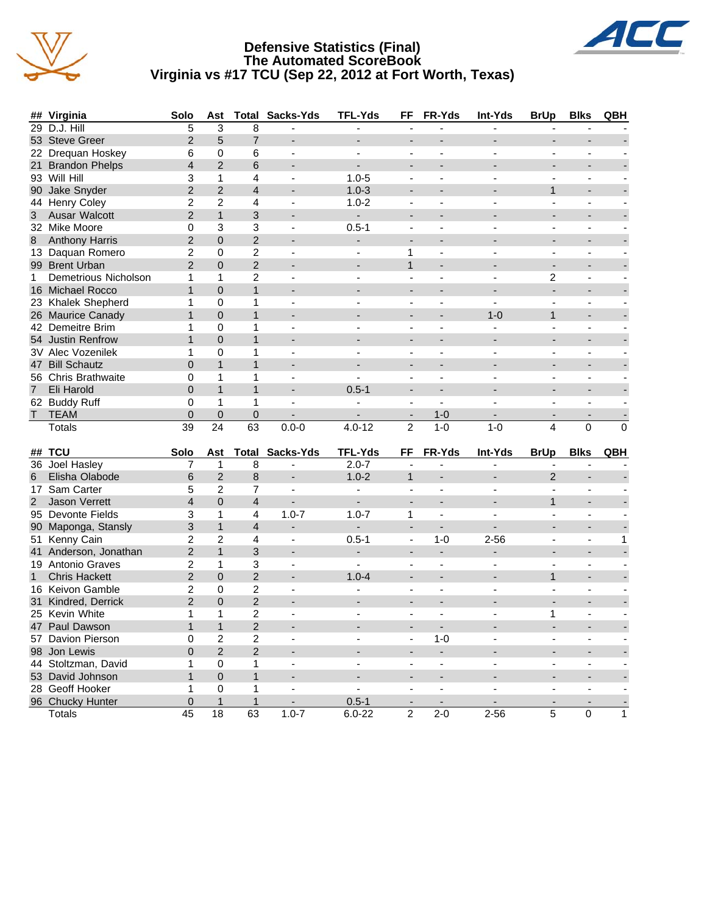





|                | ## Virginia              | Solo                     | Ast            |                | <b>Total Sacks-Yds</b>   | <b>TFL-Yds</b> | FF                       | FR-Yds                   | Int-Yds                  | <b>BrUp</b>              | <b>Blks</b>              | QBH      |
|----------------|--------------------------|--------------------------|----------------|----------------|--------------------------|----------------|--------------------------|--------------------------|--------------------------|--------------------------|--------------------------|----------|
| 29             | D.J. Hill                | 5                        | 3              | 8              |                          |                |                          |                          |                          |                          |                          |          |
|                | 53 Steve Greer           | $\overline{2}$           | 5              | $\overline{7}$ | $\overline{\phantom{a}}$ |                | $\blacksquare$           |                          |                          |                          |                          |          |
|                | 22 Drequan Hoskey        | 6                        | $\mathbf 0$    | 6              | $\overline{\phantom{a}}$ |                |                          |                          |                          |                          |                          |          |
| 21             | <b>Brandon Phelps</b>    | $\overline{\mathcal{L}}$ | $\overline{2}$ | 6              | $\overline{\phantom{a}}$ |                |                          |                          |                          |                          |                          |          |
|                | 93 Will Hill             | 3                        | $\mathbf{1}$   | 4              | $\overline{\phantom{a}}$ | $1.0 - 5$      | $\blacksquare$           |                          |                          |                          | ÷,                       |          |
| 90             | Jake Snyder              | $\overline{2}$           | $\overline{2}$ | $\overline{4}$ | $\overline{\phantom{a}}$ | $1.0 - 3$      |                          |                          |                          | $\mathbf{1}$             | $\overline{a}$           |          |
|                | 44 Henry Coley           | $\overline{c}$           | $\overline{2}$ | 4              | $\overline{\phantom{a}}$ | $1.0 - 2$      | $\blacksquare$           |                          |                          |                          | $\blacksquare$           |          |
| 3              | Ausar Walcott            | $\overline{2}$           | $\mathbf{1}$   | 3              | $\overline{\phantom{0}}$ | ۰              | $\blacksquare$           |                          |                          |                          | $\overline{\phantom{a}}$ |          |
|                | 32 Mike Moore            | 0                        | 3              | 3              | $\overline{\phantom{a}}$ | $0.5 - 1$      | $\blacksquare$           |                          |                          |                          | ä,                       |          |
| 8              | <b>Anthony Harris</b>    | $\overline{2}$           | $\mathbf 0$    | $\overline{2}$ | ٠                        |                |                          |                          |                          |                          | ÷,                       |          |
|                | 13 Daquan Romero         | $\overline{c}$           | $\Omega$       | $\overline{2}$ | $\overline{\phantom{a}}$ |                | 1                        | L.                       |                          |                          | L.                       |          |
|                | 99 Brent Urban           | $\overline{2}$           | $\overline{0}$ | $\overline{2}$ |                          |                | $\mathbf{1}$             |                          |                          |                          |                          |          |
| 1              | Demetrious Nicholson     | 1                        | $\mathbf{1}$   | $\overline{c}$ | $\blacksquare$           |                |                          |                          |                          | $\overline{c}$           | L.                       |          |
|                | 16 Michael Rocco         | $\mathbf{1}$             | $\Omega$       | $\mathbf{1}$   |                          |                |                          |                          |                          |                          |                          |          |
|                | 23 Khalek Shepherd       | 1                        | $\mathbf 0$    | 1              | $\overline{\phantom{a}}$ |                | $\overline{\phantom{a}}$ |                          |                          |                          | $\overline{\phantom{a}}$ |          |
|                | 26 Maurice Canady        | $\mathbf{1}$             | $\Omega$       | $\mathbf{1}$   |                          |                |                          |                          | $1 - 0$                  | $\mathbf{1}$             |                          |          |
|                | 42 Demeitre Brim         | 1                        | $\Omega$       | 1              | $\overline{\phantom{a}}$ |                | $\overline{\phantom{a}}$ | $\blacksquare$           | $\overline{\phantom{a}}$ | ٠                        | $\overline{\phantom{a}}$ |          |
|                | 54 Justin Renfrow        | $\mathbf{1}$             | $\Omega$       | $\mathbf{1}$   | $\overline{\phantom{0}}$ |                |                          |                          | $\overline{\phantom{0}}$ |                          |                          |          |
|                | <b>3V Alec Vozenilek</b> | 1                        | $\Omega$       | 1              | $\overline{\phantom{a}}$ |                |                          |                          |                          |                          | $\overline{a}$           |          |
| 47             | <b>Bill Schautz</b>      | $\overline{0}$           | $\mathbf{1}$   | $\mathbf{1}$   | $\overline{\phantom{a}}$ |                |                          |                          |                          |                          | $\overline{\phantom{0}}$ |          |
|                | 56 Chris Brathwaite      | 0                        | 1              | 1              | ٠                        |                |                          | L.                       |                          |                          | ä,                       |          |
| $\overline{7}$ | Eli Harold               | $\overline{0}$           | $\mathbf{1}$   | $\mathbf{1}$   | ÷                        | $0.5 - 1$      | $\overline{\phantom{a}}$ | $\overline{\phantom{a}}$ |                          | $\blacksquare$           | $\overline{\phantom{0}}$ |          |
|                | 62 Buddy Ruff            | 0                        | $\mathbf{1}$   | 1              |                          |                |                          | L.                       |                          |                          |                          |          |
| T.             | <b>TEAM</b>              | $\Omega$                 | $\Omega$       | 0              |                          |                | $\overline{\phantom{a}}$ | $1 - 0$                  |                          |                          |                          |          |
|                | Totals                   | 39                       | 24             | 63             | $0.0 - 0$                | $4.0 - 12$     | $\overline{2}$           | $1 - 0$                  | $1 - 0$                  | 4                        | $\Omega$                 | $\Omega$ |
|                | ## TCU                   | Solo                     | Ast            | Total          | Sacks-Yds                | <b>TFL-Yds</b> | FF                       | FR-Yds                   | Int-Yds                  | <b>BrUp</b>              | <b>Blks</b>              | QBH      |
|                | 36 Joel Hasley           | 7                        | $\mathbf 1$    | 8              | $\overline{\phantom{a}}$ | $2.0 - 7$      |                          |                          | $\overline{\phantom{0}}$ |                          | $\overline{\phantom{a}}$ |          |
| 6              | Elisha Olabode           | 6                        | $\overline{2}$ | 8              | $\blacksquare$           | $1.0 - 2$      | $\mathbf{1}$             |                          | $\blacksquare$           | $\overline{2}$           | ÷                        |          |
| 17             | Sam Carter               | 5                        | $\overline{2}$ | 7              | $\blacksquare$           |                |                          |                          |                          |                          |                          |          |
| $\overline{2}$ | <b>Jason Verrett</b>     | $\overline{4}$           | $\Omega$       | $\overline{4}$ | $\blacksquare$           | $\blacksquare$ | $\blacksquare$           | $\blacksquare$           | $\overline{\phantom{0}}$ | $\mathbf{1}$             | $\blacksquare$           |          |
|                | 95 Devonte Fields        | 3                        | 1              | 4              | $1.0 - 7$                | $1.0 - 7$      | 1                        | Ĭ.                       |                          |                          | ä,                       |          |
| 90             | Maponga, Stansly         | 3                        | $\mathbf{1}$   | $\overline{4}$ | ÷                        | $\blacksquare$ | $\blacksquare$           | $\blacksquare$           | $\blacksquare$           | $\blacksquare$           | $\overline{\phantom{0}}$ |          |
| 51             | Kenny Cain               | 2                        | $\overline{2}$ | 4              | $\overline{\phantom{a}}$ | $0.5 - 1$      | $\overline{\phantom{a}}$ | $1 - 0$                  | $2 - 56$                 |                          | L,                       | 1        |
| 41             | Anderson, Jonathan       | $\overline{2}$           | $\mathbf{1}$   | 3              | $\overline{\phantom{0}}$ |                | $\overline{\phantom{a}}$ |                          |                          | $\overline{\phantom{a}}$ | $\overline{a}$           |          |
|                | 19 Antonio Graves        | $\overline{2}$           | 1              | 3              |                          |                |                          |                          |                          |                          | ÷                        |          |

1 Chris Hackett 2 0 2 - 1.0-4 - - - 1 - -16 Keivon Gamble 2 0 2 - - - - - - - - - - - - - -<br>31 Kindred, Derrick 2 0 2 - - - - - - - - - - - - - - -31 Kindred, Derrick 2 0 2 - - - - - - - - 25 Kevin White 1 1 2 - - - - - 1 - - 47 Paul Dawson 1 1 2 - - - - - - - - 57 Davion Pierson 0 2 2 - - - 1-0 - - - - 98 Jon Lewis 0 2 2 - - - - - - - -

44 Stoltzman, David 1 0 1 - - - - - - - - - - - - -<br>53 David Johnson 1 0 1 - - - - - - - - - - - - - - -53 David Johnson 1 0 1 - - - - - - - - 28 Geoff Hooker 1 0 1 - - - - - - - - - - - - - -96 Chucky Hunter 0 1 1 - 0.5-1 - - - - - - Totals 45 18 63 1.0-7 6.0-22 2 2-0 2-56 5 0 1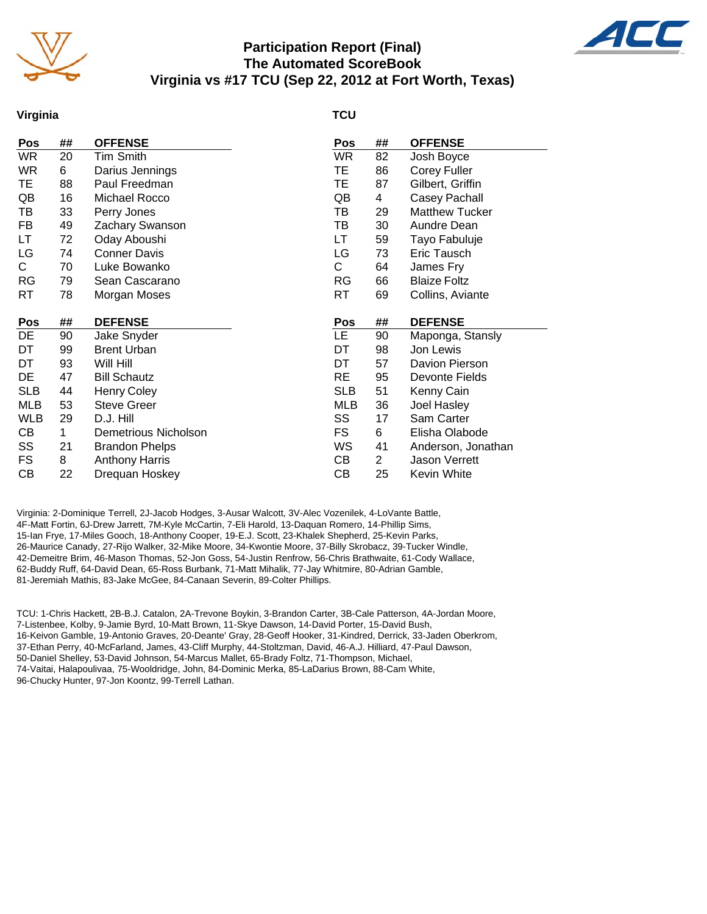

## **Participation Report (Final) The Automated ScoreBook Virginia vs #17 TCU (Sep 22, 2012 at Fort Worth, Texas)**



#### **Virginia**

#### **TCU**

| Pos        | ## | <b>OFFENSE</b>        | Pos        | ##             | <b>OFFENSE</b>        |
|------------|----|-----------------------|------------|----------------|-----------------------|
| WR         | 20 | Tim Smith             | <b>WR</b>  | 82             | Josh Boyce            |
| WR         | 6  | Darius Jennings       | TE         | 86             | <b>Corey Fuller</b>   |
| TE         | 88 | Paul Freedman         | TE         | 87             | Gilbert, Griffin      |
| QB         | 16 | Michael Rocco         | QB         | 4              | Casey Pachall         |
| TВ         | 33 | Perry Jones           | TВ         | 29             | <b>Matthew Tucker</b> |
| FB         | 49 | Zachary Swanson       | TВ         | 30             | Aundre Dean           |
| LT         | 72 | Oday Aboushi          | LT         | 59             | Tayo Fabuluje         |
| LG         | 74 | <b>Conner Davis</b>   | LG         | 73             | Eric Tausch           |
| С          | 70 | Luke Bowanko          | C          | 64             | James Fry             |
| RG         | 79 | Sean Cascarano        | RG         | 66             | <b>Blaize Foltz</b>   |
| RT         | 78 | Morgan Moses          | RT         | 69             | Collins, Aviante      |
|            |    |                       |            |                |                       |
|            |    |                       |            |                |                       |
| Pos        | ## | <b>DEFENSE</b>        | <b>Pos</b> | ##             | <b>DEFENSE</b>        |
| DE         | 90 | Jake Snyder           | LE.        | 90             | Maponga, Stansly      |
| DT         | 99 | <b>Brent Urban</b>    | DT         | 98             | Jon Lewis             |
| DT         | 93 | Will Hill             | DT         | 57             | Davion Pierson        |
| DE         | 47 | <b>Bill Schautz</b>   | <b>RE</b>  | 95             | Devonte Fields        |
| <b>SLB</b> | 44 | <b>Henry Coley</b>    | <b>SLB</b> | 51             | Kenny Cain            |
| MLB        | 53 | <b>Steve Greer</b>    | MLB        | 36             | Joel Hasley           |
| <b>WLB</b> | 29 | D.J. Hill             | SS         | 17             | Sam Carter            |
| CВ         | 1  | Demetrious Nicholson  | <b>FS</b>  | 6              | Elisha Olabode        |
| SS         | 21 | <b>Brandon Phelps</b> | WS         | 41             | Anderson, Jonathan    |
| FS         | 8  | <b>Anthony Harris</b> | CВ         | $\overline{2}$ | <b>Jason Verrett</b>  |
| СB         | 22 | Drequan Hoskey        | СB         | 25             | Kevin White           |

Virginia: 2-Dominique Terrell, 2J-Jacob Hodges, 3-Ausar Walcott, 3V-Alec Vozenilek, 4-LoVante Battle, 4F-Matt Fortin, 6J-Drew Jarrett, 7M-Kyle McCartin, 7-Eli Harold, 13-Daquan Romero, 14-Phillip Sims, 15-Ian Frye, 17-Miles Gooch, 18-Anthony Cooper, 19-E.J. Scott, 23-Khalek Shepherd, 25-Kevin Parks, 26-Maurice Canady, 27-Rijo Walker, 32-Mike Moore, 34-Kwontie Moore, 37-Billy Skrobacz, 39-Tucker Windle, 42-Demeitre Brim, 46-Mason Thomas, 52-Jon Goss, 54-Justin Renfrow, 56-Chris Brathwaite, 61-Cody Wallace, 62-Buddy Ruff, 64-David Dean, 65-Ross Burbank, 71-Matt Mihalik, 77-Jay Whitmire, 80-Adrian Gamble, 81-Jeremiah Mathis, 83-Jake McGee, 84-Canaan Severin, 89-Colter Phillips.

TCU: 1-Chris Hackett, 2B-B.J. Catalon, 2A-Trevone Boykin, 3-Brandon Carter, 3B-Cale Patterson, 4A-Jordan Moore, 7-Listenbee, Kolby, 9-Jamie Byrd, 10-Matt Brown, 11-Skye Dawson, 14-David Porter, 15-David Bush, 16-Keivon Gamble, 19-Antonio Graves, 20-Deante' Gray, 28-Geoff Hooker, 31-Kindred, Derrick, 33-Jaden Oberkrom, 37-Ethan Perry, 40-McFarland, James, 43-Cliff Murphy, 44-Stoltzman, David, 46-A.J. Hilliard, 47-Paul Dawson, 50-Daniel Shelley, 53-David Johnson, 54-Marcus Mallet, 65-Brady Foltz, 71-Thompson, Michael, 74-Vaitai, Halapoulivaa, 75-Wooldridge, John, 84-Dominic Merka, 85-LaDarius Brown, 88-Cam White, 96-Chucky Hunter, 97-Jon Koontz, 99-Terrell Lathan.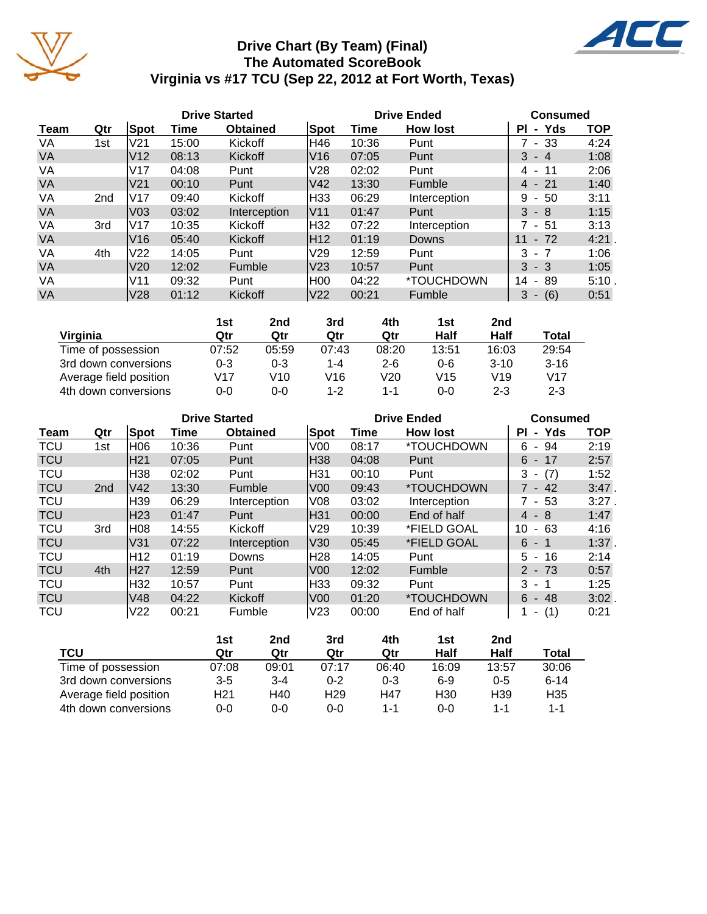

# **Drive Chart (By Team) (Final) The Automated ScoreBook Virginia vs #17 TCU (Sep 22, 2012 at Fort Worth, Texas)**

ACC

|           |     |                 |       | <b>Drive Started</b> |                 |       | <b>Drive Ended</b> |                                      | <b>Consumed</b> |  |  |
|-----------|-----|-----------------|-------|----------------------|-----------------|-------|--------------------|--------------------------------------|-----------------|--|--|
| Team      | Qtr | Spot            | Time  | <b>Obtained</b>      | Spot            | Time  | <b>How lost</b>    | PI<br>Yds<br>$\blacksquare$          | <b>TOP</b>      |  |  |
| VA        | 1st | V <sub>21</sub> | 15:00 | Kickoff              | H46             | 10:36 | Punt               | $7 - 33$                             | 4:24            |  |  |
| <b>VA</b> |     | V <sub>12</sub> | 08:13 | Kickoff              | IV16            | 07:05 | Punt               | 3<br>$-4$                            | 1:08            |  |  |
| VA        |     | V17             | 04:08 | Punt                 | V28             | 02:02 | Punt               | -11<br>4 -                           | 2:06            |  |  |
| <b>VA</b> |     | V <sub>21</sub> | 00:10 | Punt                 | V42             | 13:30 | <b>Fumble</b>      | $4 - 21$                             | 1:40            |  |  |
| VA        | 2nd | lV17            | 09:40 | Kickoff              | H33             | 06:29 | Interception       | 50<br>9<br>$\sim$                    | 3:11            |  |  |
| <b>VA</b> |     | V <sub>03</sub> | 03:02 | Interception         | <b>V11</b>      | 01:47 | Punt               | $3 - 8$                              | 1:15            |  |  |
| VA        | 3rd | V <sub>17</sub> | 10:35 | Kickoff              | H32             | 07:22 | Interception       | 7 - 51                               | 3:13            |  |  |
| <b>VA</b> |     | V16             | 05:40 | Kickoff              | IH12            | 01:19 | Downs              | 11<br>$-72$                          | 4:21.           |  |  |
| VA        | 4th | V <sub>22</sub> | 14:05 | Punt                 | V <sub>29</sub> | 12:59 | Punt               | $3 - 7$                              | 1:06            |  |  |
| <b>VA</b> |     | V <sub>20</sub> | 12:02 | Fumble               | lV23            | 10:57 | Punt               | $3 - 3$                              | 1:05            |  |  |
| VA        |     | V <sub>11</sub> | 09:32 | Punt                 | H00             | 04:22 | *TOUCHDOWN         | 14<br>89<br>$\blacksquare$           | 5:10            |  |  |
| <b>VA</b> |     | V28             | 01:12 | Kickoff              | V22             | 00:21 | Fumble             | (6)<br>3<br>$\overline{\phantom{a}}$ | 0:51            |  |  |

|                        | 1st     | 2nd   | 3rd     | 4th     | 1st             | 2nd     |                 |
|------------------------|---------|-------|---------|---------|-----------------|---------|-----------------|
| Virginia               | Qtr     | Qtr   | Qtr     | Qtr     | Half            | Half    | Total           |
| Time of possession     | 07:52   | 05:59 | 07:43   | 08:20   | 13:51           | 16:03   | 29:54           |
| 3rd down conversions   | $0 - 3$ | 0-3   | 1-4     | $2 - 6$ | $0 - 6$         | $3-10$  | $3 - 16$        |
| Average field position | V17     | V10   | V16     | V20     | V <sub>15</sub> | V19     | V <sub>17</sub> |
| 4th down conversions   | 0-0     | 0-0   | $1 - 2$ | 1-1     | $0 - 0$         | $2 - 3$ | $2 - 3$         |

|            |                 |                 |       | <b>Drive Started</b> |                 |       | <b>Drive Ended</b>       | <b>Consumed</b> |            |  |
|------------|-----------------|-----------------|-------|----------------------|-----------------|-------|--------------------------|-----------------|------------|--|
| Team       | Qtr             | Spot            | Time  | <b>Obtained</b>      | Spot            | Time  | <b>How lost</b>          | - Yds<br>ΡI     | <b>TOP</b> |  |
| <b>TCU</b> | 1st             | H06             | 10:36 | Punt                 | V <sub>00</sub> | 08:17 | *TOUCHDOWN               | - 94<br>6       | 2:19       |  |
| <b>TCU</b> |                 | H <sub>21</sub> | 07:05 | Punt                 | H38             | 04:08 | Punt                     | $6 - 17$        | 2:57       |  |
| <b>TCU</b> |                 | H38             | 02:02 | Punt                 | H31             | 00:10 | Punt                     | $-(7)$<br>3     | 1:52       |  |
| <b>TCU</b> | 2 <sub>nd</sub> | V42             | 13:30 | <b>Fumble</b>        | V <sub>00</sub> | 09:43 | *TOUCHDOWN               | $7 - 42$        | $3:47$ .   |  |
| <b>TCU</b> |                 | H <sub>39</sub> | 06:29 | Interception         | V08             | 03:02 | Interception             | 7 - 53          | $3:27$ .   |  |
| <b>TCU</b> |                 | H <sub>23</sub> | 01:47 | Punt                 | H31             | 00:00 | End of half              | $4 - 8$         | 1:47       |  |
| <b>TCU</b> | 3rd             | H08             | 14:55 | Kickoff              | V <sub>29</sub> | 10:39 | *FIELD GOAL              | 10<br>$-63$     | 4:16       |  |
| <b>TCU</b> |                 | V31             | 07:22 | Interception         | V30             | 05:45 | *FIELD GOAL              | $6 - 1$         | $1:37$ .   |  |
| <b>TCU</b> |                 | H <sub>12</sub> | 01:19 | Downs                | H28             | 14:05 | Punt                     | 5<br>- 16       | 2:14       |  |
| <b>TCU</b> | 4th             | <b>H27</b>      | 12:59 | Punt                 | V <sub>00</sub> | 12:02 | <b>Fumble</b>            | $2 - 73$        | 0:57       |  |
| <b>TCU</b> |                 | H32             | 10:57 | Punt                 | H33             | 09:32 | Punt                     | $3 - 1$         | 1:25       |  |
| <b>TCU</b> |                 | V48             | 04:22 | Kickoff              | V <sub>00</sub> | 01:20 | <i><b>*TOUCHDOWN</b></i> | 6<br>- 48       | $3:02$ .   |  |
| <b>TCU</b> |                 | V <sub>22</sub> | 00:21 | Fumble               | V <sub>23</sub> | 00:00 | End of half              | (1)<br>۰.       | 0:21       |  |

|                        | 1st     | 2nd     | 3rd             | 4th     | 1st             | 2nd             |                 |
|------------------------|---------|---------|-----------------|---------|-----------------|-----------------|-----------------|
| TCU                    | Qtr     | Qtr     | Qtr             | Qtr     | Half            | Half            | Total           |
| Time of possession     | 07:08   | 09:01   | 07:17           | 06:40   | 16:09           | 13:57           | 30:06           |
| 3rd down conversions   | $3 - 5$ | $3 - 4$ | $0 - 2$         | $0 - 3$ | $6-9$           | $0 - 5$         | $6 - 14$        |
| Average field position | H21     | H40     | H <sub>29</sub> | H47     | H <sub>30</sub> | H <sub>39</sub> | H <sub>35</sub> |
| 4th down conversions   | 0-0     | 0-0     | 0-0             | 1-1     | ი-ი             | 1-1             | 1-1             |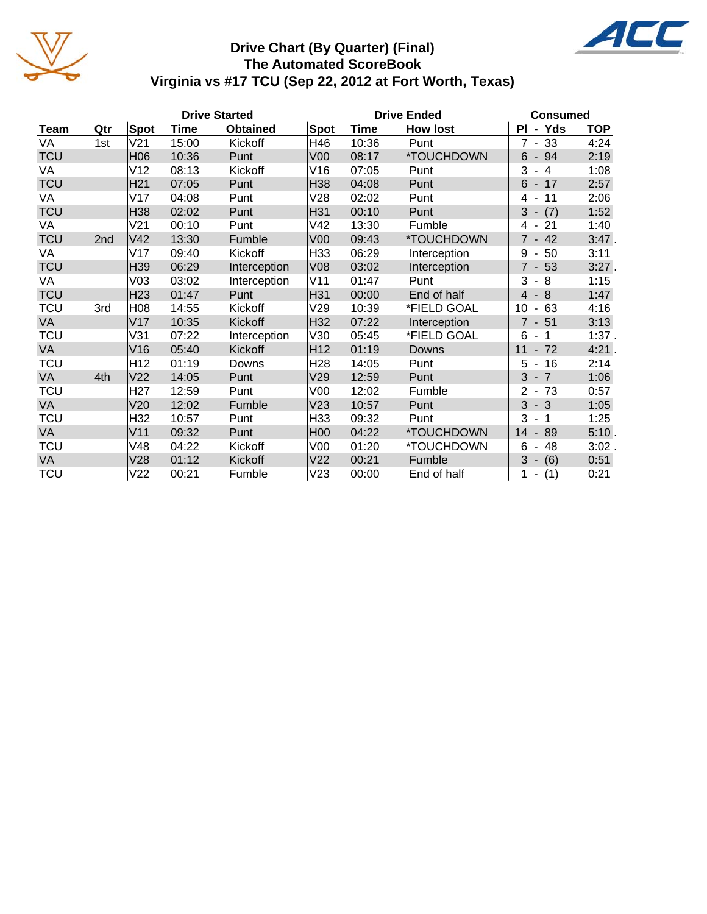

# **Drive Chart (By Quarter) (Final) The Automated ScoreBook Virginia vs #17 TCU (Sep 22, 2012 at Fort Worth, Texas)**

|            |                 |                 |       | <b>Drive Started</b> |                 | <b>Drive Ended</b> | <b>Consumed</b> |                                       |            |
|------------|-----------------|-----------------|-------|----------------------|-----------------|--------------------|-----------------|---------------------------------------|------------|
| Team       | Qtr             | <b>Spot</b>     | Time  | <b>Obtained</b>      | Spot            | Time               | <b>How lost</b> | PI - Yds                              | <b>TOP</b> |
| VA         | 1st             | V <sub>21</sub> | 15:00 | Kickoff              | H46             | 10:36              | Punt            | $7 - 33$                              | 4:24       |
| <b>TCU</b> |                 | H <sub>06</sub> | 10:36 | Punt                 | V00             | 08:17              | *TOUCHDOWN      | $6 - 94$                              | 2:19       |
| VA         |                 | V12             | 08:13 | Kickoff              | V16             | 07:05              | Punt            | 3<br>$\overline{4}$<br>$\blacksquare$ | 1:08       |
| <b>TCU</b> |                 | H <sub>21</sub> | 07:05 | Punt                 | H38             | 04:08              | Punt            | $-17$<br>6                            | 2:57       |
| VA         |                 | V17             | 04:08 | Punt                 | V28             | 02:02              | Punt            | 11<br>4                               | 2:06       |
| <b>TCU</b> |                 | H38             | 02:02 | Punt                 | H31             | 00:10              | Punt            | 3<br>(7)<br>$\overline{\phantom{a}}$  | 1:52       |
| VA         |                 | V <sub>21</sub> | 00:10 | Punt                 | V42             | 13:30              | Fumble          | 21<br>4 -                             | 1:40       |
| <b>TCU</b> | 2 <sub>nd</sub> | V <sub>42</sub> | 13:30 | Fumble               | V <sub>00</sub> | 09:43              | *TOUCHDOWN      | $7 - 42$                              | $3:47$ .   |
| VA         |                 | V17             | 09:40 | Kickoff              | H33             | 06:29              | Interception    | 50<br>9<br>$\blacksquare$             | 3:11       |
| <b>TCU</b> |                 | H39             | 06:29 | Interception         | V <sub>08</sub> | 03:02              | Interception    | $7 - 53$                              | $3:27$ .   |
| VA         |                 | V <sub>03</sub> | 03:02 | Interception         | V11             | 01:47              | Punt            | 3<br>8<br>$\overline{\phantom{a}}$    | 1:15       |
| <b>TCU</b> |                 | H <sub>23</sub> | 01:47 | Punt                 | H31             | 00:00              | End of half     | $-8$<br>4                             | 1:47       |
| <b>TCU</b> | 3rd             | H08             | 14:55 | Kickoff              | V29             | 10:39              | *FIELD GOAL     | 10<br>63<br>$\overline{\phantom{a}}$  | 4:16       |
| <b>VA</b>  |                 | V17             | 10:35 | Kickoff              | H32             | 07:22              | Interception    | $7 - 51$                              | 3:13       |
| <b>TCU</b> |                 | V31             | 07:22 | Interception         | V30             | 05:45              | *FIELD GOAL     | 6<br>$\overline{1}$<br>$\blacksquare$ | 1:37.      |
| <b>VA</b>  |                 | V16             | 05:40 | Kickoff              | H <sub>12</sub> | 01:19              | <b>Downs</b>    | $-72$<br>11                           | 4:21.      |
| TCU        |                 | H <sub>12</sub> | 01:19 | Downs                | H <sub>28</sub> | 14:05              | Punt            | 16<br>5<br>$\blacksquare$             | 2:14       |
| <b>VA</b>  | 4th             | V <sub>22</sub> | 14:05 | Punt                 | V29             | 12:59              | Punt            | 3<br>$-7$                             | 1:06       |
| TCU        |                 | H <sub>27</sub> | 12:59 | Punt                 | V <sub>00</sub> | 12:02              | Fumble          | $\overline{2}$<br>$-73$               | 0:57       |
| <b>VA</b>  |                 | V20             | 12:02 | Fumble               | V23             | 10:57              | Punt            | $-3$<br>3                             | 1:05       |
| <b>TCU</b> |                 | H32             | 10:57 | Punt                 | H33             | 09:32              | Punt            | 3<br>$-1$                             | 1:25       |
| VA         |                 | V11             | 09:32 | Punt                 | <b>H00</b>      | 04:22              | *TOUCHDOWN      | 89<br>14<br>$\overline{\phantom{a}}$  | 5:10.      |
| <b>TCU</b> |                 | V48             | 04:22 | Kickoff              | V <sub>00</sub> | 01:20              | *TOUCHDOWN      | 6<br>48                               | $3:02$ .   |
| <b>VA</b>  |                 | V28             | 01:12 | Kickoff              | V <sub>22</sub> | 00:21              | Fumble          | 3<br>$-(6)$                           | 0:51       |
| <b>TCU</b> |                 | V <sub>22</sub> | 00:21 | Fumble               | V23             | 00:00              | End of half     | (1)                                   | 0:21       |

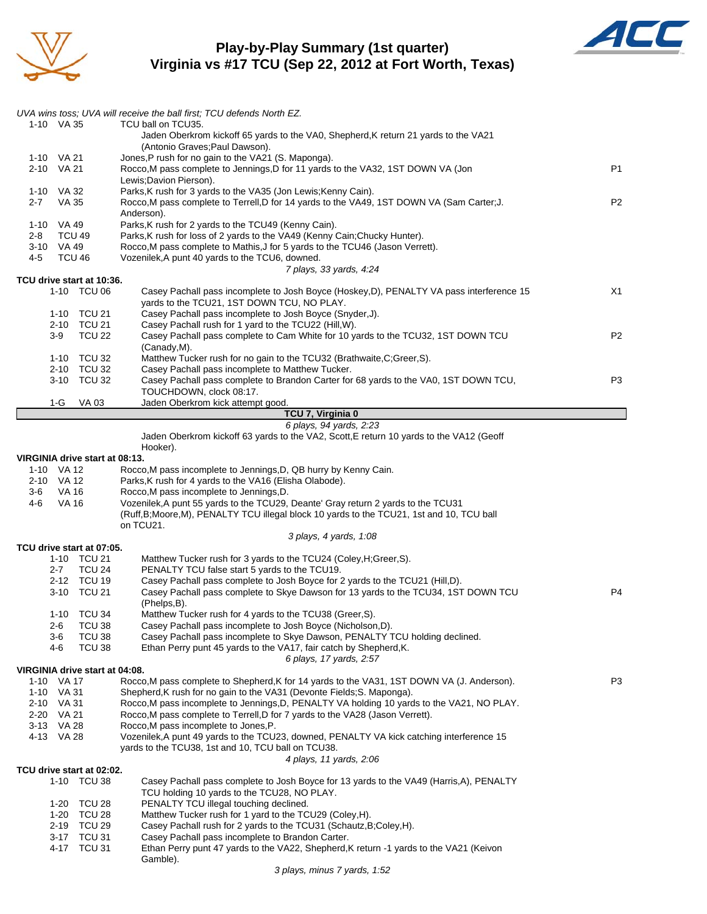

### **Play-by-Play Summary (1st quarter) Virginia vs #17 TCU (Sep 22, 2012 at Fort Worth, Texas)**



|                          |                       |                                          | UVA wins toss; UVA will receive the ball first; TCU defends North EZ.                                                                                              |                |
|--------------------------|-----------------------|------------------------------------------|--------------------------------------------------------------------------------------------------------------------------------------------------------------------|----------------|
| 1-10 VA 35               |                       |                                          | TCU ball on TCU35.<br>Jaden Oberkrom kickoff 65 yards to the VA0, Shepherd, K return 21 yards to the VA21                                                          |                |
| 1-10 VA 21               |                       |                                          | (Antonio Graves; Paul Dawson).<br>Jones, P rush for no gain to the VA21 (S. Maponga).                                                                              |                |
| 2-10 VA 21               |                       |                                          | Rocco, M pass complete to Jennings, D for 11 yards to the VA32, 1ST DOWN VA (Jon                                                                                   | P <sub>1</sub> |
| 1-10 VA 32               |                       |                                          | Lewis; Davion Pierson).<br>Parks, K rush for 3 yards to the VA35 (Jon Lewis; Kenny Cain).                                                                          |                |
| $2 - 7$                  | VA 35                 |                                          | Rocco, M pass complete to Terrell, D for 14 yards to the VA49, 1ST DOWN VA (Sam Carter; J.                                                                         | P <sub>2</sub> |
|                          |                       |                                          | Anderson).                                                                                                                                                         |                |
| 1-10 VA 49<br>2-8        | <b>TCU 49</b>         |                                          | Parks, K rush for 2 yards to the TCU49 (Kenny Cain).<br>Parks, K rush for loss of 2 yards to the VA49 (Kenny Cain; Chucky Hunter).                                 |                |
| 3-10 VA 49               |                       |                                          | Rocco, M pass complete to Mathis, J for 5 yards to the TCU46 (Jason Verrett).                                                                                      |                |
| 4-5                      | TCU 46                |                                          | Vozenilek, A punt 40 yards to the TCU6, downed.                                                                                                                    |                |
|                          |                       | TCU drive start at 10:36.                | 7 plays, 33 yards, 4:24                                                                                                                                            |                |
|                          |                       | 1-10 TCU 06                              | Casey Pachall pass incomplete to Josh Boyce (Hoskey, D), PENALTY VA pass interference 15                                                                           | X1             |
|                          |                       |                                          | yards to the TCU21, 1ST DOWN TCU, NO PLAY.                                                                                                                         |                |
|                          |                       | 1-10 TCU 21<br>2-10 TCU 21               | Casey Pachall pass incomplete to Josh Boyce (Snyder, J).<br>Casey Pachall rush for 1 yard to the TCU22 (Hill, W).                                                  |                |
|                          | $3-9$                 | <b>TCU 22</b>                            | Casey Pachall pass complete to Cam White for 10 yards to the TCU32, 1ST DOWN TCU                                                                                   | P2             |
|                          |                       |                                          | (Canady,M).                                                                                                                                                        |                |
|                          |                       | 1-10 TCU 32<br>2-10 TCU 32               | Matthew Tucker rush for no gain to the TCU32 (Brathwaite, C; Greer, S).<br>Casey Pachall pass incomplete to Matthew Tucker.                                        |                |
|                          | $3 - 10$              | <b>TCU 32</b>                            | Casey Pachall pass complete to Brandon Carter for 68 yards to the VA0, 1ST DOWN TCU,                                                                               | P <sub>3</sub> |
|                          |                       |                                          | TOUCHDOWN, clock 08:17.                                                                                                                                            |                |
|                          | 1-G                   | VA 03                                    | Jaden Oberkrom kick attempt good.<br>TCU 7, Virginia 0                                                                                                             |                |
|                          |                       |                                          | 6 plays, 94 yards, 2:23                                                                                                                                            |                |
|                          |                       |                                          | Jaden Oberkrom kickoff 63 yards to the VA2, Scott, E return 10 yards to the VA12 (Geoff                                                                            |                |
|                          |                       | VIRGINIA drive start at 08:13.           | Hooker).                                                                                                                                                           |                |
| 1-10 VA 12               |                       |                                          | Rocco, M pass incomplete to Jennings, D, QB hurry by Kenny Cain.                                                                                                   |                |
| 2-10 VA 12               |                       |                                          | Parks, K rush for 4 yards to the VA16 (Elisha Olabode).                                                                                                            |                |
| 3-6<br>4-6               | VA 16<br><b>VA 16</b> |                                          | Rocco, M pass incomplete to Jennings, D.<br>Vozenilek, A punt 55 yards to the TCU29, Deante' Gray return 2 yards to the TCU31                                      |                |
|                          |                       |                                          | (Ruff, B; Moore, M), PENALTY TCU illegal block 10 yards to the TCU21, 1st and 10, TCU ball                                                                         |                |
|                          |                       |                                          | on TCU21.                                                                                                                                                          |                |
|                          |                       | TCU drive start at 07:05.                | 3 plays, 4 yards, 1:08                                                                                                                                             |                |
|                          |                       | 1-10 TCU 21                              | Matthew Tucker rush for 3 yards to the TCU24 (Coley, H; Greer, S).                                                                                                 |                |
|                          | $2 - 7$               | <b>TCU 24</b>                            | PENALTY TCU false start 5 yards to the TCU19.                                                                                                                      |                |
|                          |                       | 2-12 TCU 19<br>3-10 TCU 21               | Casey Pachall pass complete to Josh Boyce for 2 yards to the TCU21 (Hill,D).<br>Casey Pachall pass complete to Skye Dawson for 13 yards to the TCU34, 1ST DOWN TCU | P <sub>4</sub> |
|                          |                       |                                          | (Phelps,B).                                                                                                                                                        |                |
|                          | $1 - 10$              | TCU 34                                   | Matthew Tucker rush for 4 yards to the TCU38 (Greer, S).                                                                                                           |                |
|                          | 2-6<br>3-6            | TCU 38<br><b>TCU 38</b>                  | Casey Pachall pass incomplete to Josh Boyce (Nicholson, D).<br>Casey Pachall pass incomplete to Skye Dawson, PENALTY TCU holding declined.                         |                |
|                          | 4-6                   | TCU 38                                   | Ethan Perry punt 45 yards to the VA17, fair catch by Shepherd, K.                                                                                                  |                |
|                          |                       |                                          | 6 plays, 17 yards, 2:57                                                                                                                                            |                |
| 1-10 VA 17               |                       | VIRGINIA drive start at 04:08.           | Rocco.M pass complete to Shepherd.K for 14 yards to the VA31, 1ST DOWN VA (J. Anderson).                                                                           | P <sub>3</sub> |
| 1-10 VA 31               |                       |                                          | Shepherd, K rush for no gain to the VA31 (Devonte Fields; S. Maponga).                                                                                             |                |
| 2-10 VA 31               |                       |                                          | Rocco, M pass incomplete to Jennings, D, PENALTY VA holding 10 yards to the VA21, NO PLAY.                                                                         |                |
| 2-20 VA 21<br>3-13 VA 28 |                       |                                          | Rocco, M pass complete to Terrell, D for 7 yards to the VA28 (Jason Verrett).<br>Rocco, M pass incomplete to Jones, P.                                             |                |
| 4-13 VA 28               |                       |                                          | Vozenilek, A punt 49 yards to the TCU23, downed, PENALTY VA kick catching interference 15                                                                          |                |
|                          |                       |                                          | yards to the TCU38, 1st and 10, TCU ball on TCU38.                                                                                                                 |                |
|                          |                       |                                          | 4 plays, 11 yards, 2:06                                                                                                                                            |                |
|                          |                       | TCU drive start at 02:02.<br>1-10 TCU 38 | Casey Pachall pass complete to Josh Boyce for 13 yards to the VA49 (Harris, A), PENALTY                                                                            |                |
|                          |                       |                                          | TCU holding 10 yards to the TCU28, NO PLAY.                                                                                                                        |                |
|                          | $1 - 20$              | 1-20 TCU 28<br>TCU 28                    | PENALTY TCU illegal touching declined.                                                                                                                             |                |
|                          | 2-19                  | TCU 29                                   | Matthew Tucker rush for 1 yard to the TCU29 (Coley, H).<br>Casey Pachall rush for 2 yards to the TCU31 (Schautz, B; Coley, H).                                     |                |
|                          | 3-17                  | TCU 31                                   | Casey Pachall pass incomplete to Brandon Carter.                                                                                                                   |                |
|                          |                       | 4-17 TCU 31                              | Ethan Perry punt 47 yards to the VA22, Shepherd, K return -1 yards to the VA21 (Keivon<br>Gamble).                                                                 |                |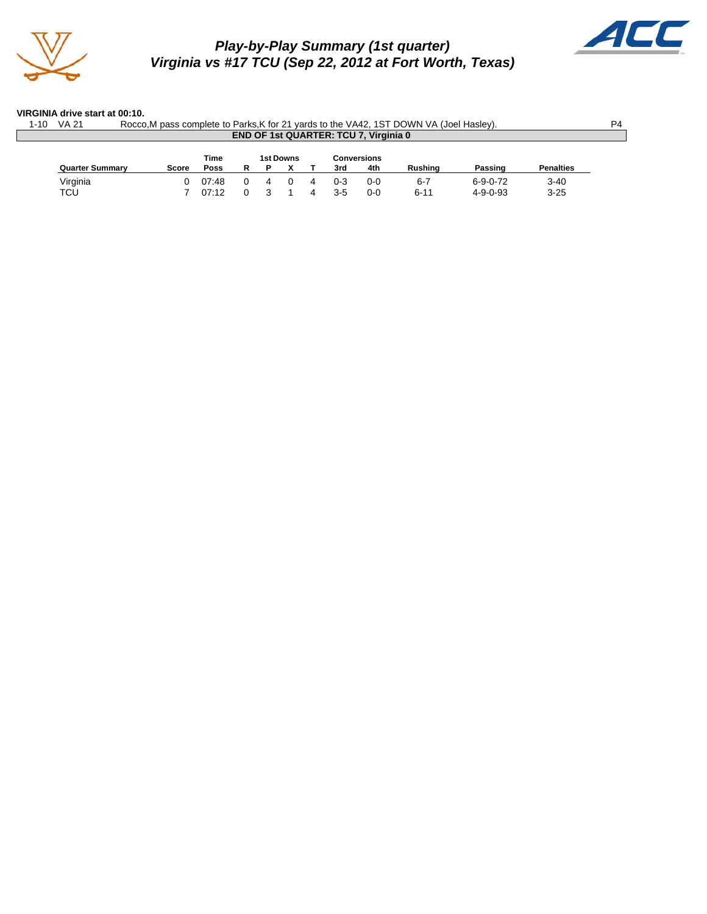

# *Play-by-Play Summary (1st quarter) Virginia vs #17 TCU (Sep 22, 2012 at Fort Worth, Texas)*



#### **VIRGINIA drive start at 00:10.**

| <b>VA 21</b><br>Rocco, M pass complete to Parks, K for 21 yards to the VA42, 1ST DOWN VA (Joel Hasley).<br>1-10<br><b>END OF 1st QUARTER: TCU 7, Virginia 0</b> |              |       |  |  |                  |  |       |             |                |                  |                  |  |  |
|-----------------------------------------------------------------------------------------------------------------------------------------------------------------|--------------|-------|--|--|------------------|--|-------|-------------|----------------|------------------|------------------|--|--|
|                                                                                                                                                                 |              | Time  |  |  | <b>1st Downs</b> |  |       | Conversions | <b>Rushing</b> |                  | <b>Penalties</b> |  |  |
| <b>Quarter Summary</b>                                                                                                                                          | <b>Score</b> | Poss  |  |  |                  |  | 3rd   | 4th         |                | Passing          |                  |  |  |
| Virginia                                                                                                                                                        |              | 07:48 |  |  |                  |  | ი-ვ   | 0-0         | 6-7            | $6 - 9 - 0 - 72$ | $3 - 40$         |  |  |
| TCU                                                                                                                                                             |              | 07:12 |  |  |                  |  | $3-5$ | $0 - 0$     | $6 - 11$       | $4 - 9 - 0 - 93$ | $3 - 25$         |  |  |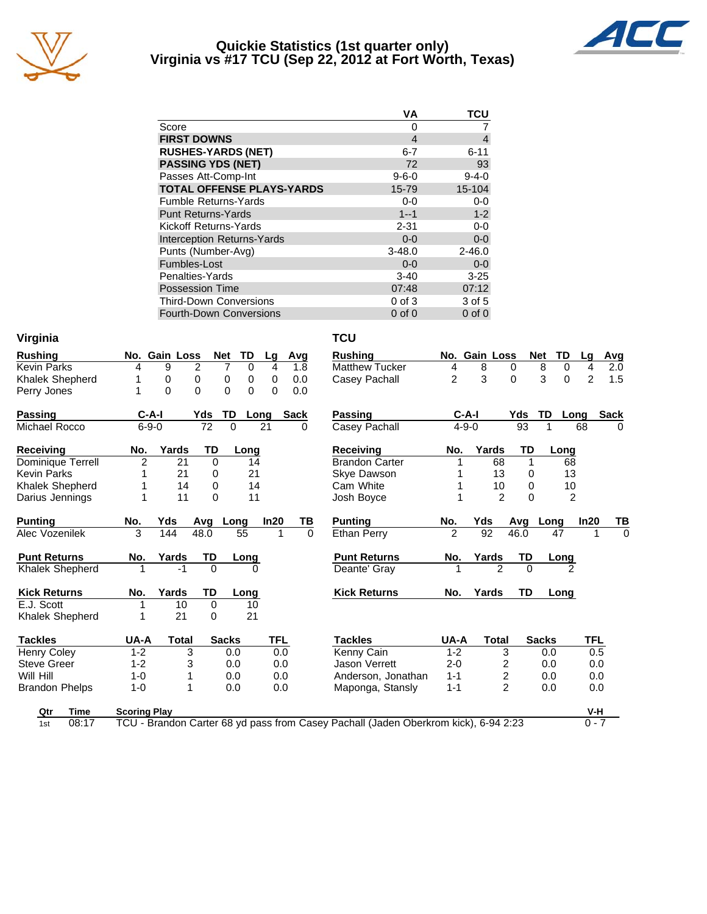

#### **Quickie Statistics (1st quarter only) Virginia vs #17 TCU (Sep 22, 2012 at Fort Worth, Texas)**



|                                   | VA             | TCU         |
|-----------------------------------|----------------|-------------|
| Score                             | 0              |             |
| <b>FIRST DOWNS</b>                | $\overline{4}$ | 4           |
| <b>RUSHES-YARDS (NET)</b>         | $6 - 7$        | $6 - 11$    |
| <b>PASSING YDS (NET)</b>          | 72             | 93          |
| Passes Att-Comp-Int               | $9 - 6 - 0$    | $9 - 4 - 0$ |
| <b>TOTAL OFFENSE PLAYS-YARDS</b>  | 15-79          | 15-104      |
| <b>Fumble Returns-Yards</b>       | $0-0$          | $0-0$       |
| <b>Punt Returns-Yards</b>         | $1 - 1$        | $1 - 2$     |
| Kickoff Returns-Yards             | $2 - 31$       | $0-0$       |
| <b>Interception Returns-Yards</b> | $0 - 0$        | $0-0$       |
| Punts (Number-Avg)                | $3 - 48.0$     | $2 - 46.0$  |
| Fumbles-Lost                      | $0 - 0$        | $0 - 0$     |
| Penalties-Yards                   | $3-40$         | $3 - 25$    |
| <b>Possession Time</b>            | 07:48          | 07:12       |
| <b>Third-Down Conversions</b>     | $0$ of $3$     | 3 of 5      |
| <b>Fourth-Down Conversions</b>    | $0$ of $0$     | $0$ of $0$  |

| Virginia               |                     |               |                 |                      |          |             | <b>TCU</b>                                                                          |                |                |           |                         |                |             |
|------------------------|---------------------|---------------|-----------------|----------------------|----------|-------------|-------------------------------------------------------------------------------------|----------------|----------------|-----------|-------------------------|----------------|-------------|
| <b>Rushing</b>         |                     | No. Gain Loss |                 | TD<br><b>Net</b>     | Lq       | Avg         | <b>Rushing</b>                                                                      |                | No. Gain Loss  |           | <b>TD</b><br><b>Net</b> | Lq             | Avg         |
| <b>Kevin Parks</b>     | 4                   | 9             | 2               | 7<br>$\Omega$        | 4        | 1.8         | <b>Matthew Tucker</b>                                                               | 4              | 8              | $\Omega$  | 8<br>$\Omega$           | 4              | 2.0         |
| <b>Khalek Shepherd</b> | 1                   | 0             | 0               | 0<br>0               | 0        | 0.0         | Casey Pachall                                                                       | $\overline{c}$ | 3              | $\Omega$  | 3<br>$\Omega$           | $\overline{2}$ | 1.5         |
| Perry Jones            | 1                   | $\Omega$      | $\Omega$        | $\Omega$<br>$\Omega$ | $\Omega$ | 0.0         |                                                                                     |                |                |           |                         |                |             |
| <b>Passing</b>         | $C-A-I$             |               | Yds             | TD                   | Long     | <b>Sack</b> | <b>Passing</b>                                                                      | $C-A-I$        |                | Yds       | TD                      | Long           | <b>Sack</b> |
| Michael Rocco          | $6 - 9 - 0$         |               | $\overline{72}$ | $\Omega$             | 21       | 0           | Casey Pachall                                                                       | $4 - 9 - 0$    |                | 93        |                         | 68             | 0           |
| <b>Receiving</b>       | No.                 | Yards         | TD              | Long                 |          |             | <b>Receiving</b>                                                                    | No.            | Yards          | TD        | Long                    |                |             |
| Dominique Terrell      | 2                   | 21            | 0               | 14                   |          |             | <b>Brandon Carter</b>                                                               |                | 68             | 1         | 68                      |                |             |
| Kevin Parks            | 1                   | 21            | 0               | 21                   |          |             | Skye Dawson                                                                         |                | 13             | 0         | 13                      |                |             |
| <b>Khalek Shepherd</b> | 1                   | 14            | 0               | 14                   |          |             | Cam White                                                                           |                | 10             | 0         | 10                      |                |             |
| Darius Jennings        | 1                   | 11            | $\Omega$        | 11                   |          |             | Josh Boyce                                                                          |                | $\overline{2}$ | $\Omega$  | $\overline{2}$          |                |             |
| <b>Punting</b>         | No.                 | Yds           | Avg             | Long                 | In20     | ΤВ          | <b>Punting</b>                                                                      | No.            | Yds            | Avg       | Long                    | In20           | ΤВ          |
| Alec Vozenilek         | 3                   | 144           | 48.0            | $\overline{55}$      | 1        | $\Omega$    | Ethan Perry                                                                         | $\overline{2}$ | 92             | 46.0      | 47                      |                | $\Omega$    |
| <b>Punt Returns</b>    | No.                 | Yards         | TD              | <u>Long</u>          |          |             | <b>Punt Returns</b>                                                                 | No.            | Yards          | TD        | Long                    |                |             |
| Khalek Shepherd        |                     | $-1$          | $\Omega$        | <sup>0</sup>         |          |             | Deante' Grav                                                                        | 1              | $\mathfrak{p}$ | $\Omega$  |                         |                |             |
| <b>Kick Returns</b>    | No.                 | Yards         | TD              | Long                 |          |             | <b>Kick Returns</b>                                                                 | No.            | Yards          | <b>TD</b> | Long                    |                |             |
| E.J. Scott             |                     | 10            | $\Omega$        | 10                   |          |             |                                                                                     |                |                |           |                         |                |             |
| Khalek Shepherd        |                     | 21            | 0               | 21                   |          |             |                                                                                     |                |                |           |                         |                |             |
| <b>Tackles</b>         | UA-A                | Total         |                 | <b>Sacks</b>         | TFL      |             | <b>Tackles</b>                                                                      | UA-A           | Total          |           | <b>Sacks</b>            | TFL            |             |
| <b>Henry Coley</b>     | $1 - 2$             | 3             |                 | 0.0                  | 0.0      |             | Kenny Cain                                                                          | $1 - 2$        | 3              |           | 0.0                     | 0.5            |             |
| <b>Steve Greer</b>     | $1 - 2$             | 3             |                 | 0.0                  | 0.0      |             | Jason Verrett                                                                       | $2 - 0$        | 2              |           | 0.0                     | 0.0            |             |
| Will Hill              | $1 - 0$             | 1             |                 | 0.0                  | 0.0      |             | Anderson, Jonathan                                                                  | $1 - 1$        | 2              |           | 0.0                     | 0.0            |             |
| <b>Brandon Phelps</b>  | $1 - 0$             | 1             |                 | 0.0                  | 0.0      |             | Maponga, Stansly                                                                    | $1 - 1$        | $\overline{2}$ |           | 0.0                     | 0.0            |             |
| Qtr<br><b>Time</b>     | <b>Scoring Play</b> |               |                 |                      |          |             |                                                                                     |                |                |           |                         | V-H            |             |
| 08:17<br>1st           |                     |               |                 |                      |          |             | TCU - Brandon Carter 68 yd pass from Casey Pachall (Jaden Oberkrom kick), 6-94 2:23 |                |                |           |                         | $0 - 7$        |             |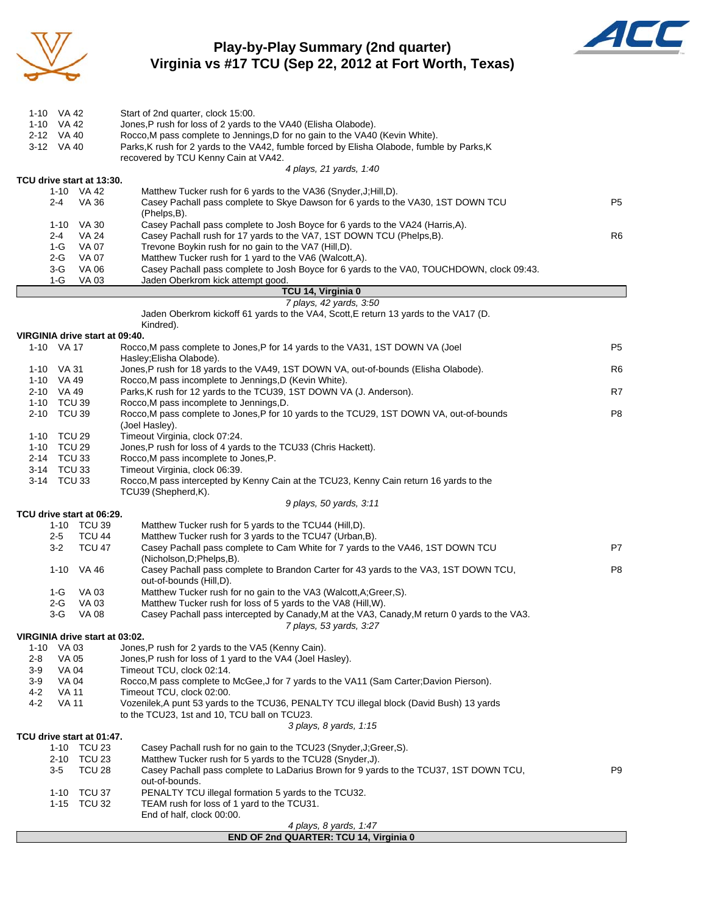

### **Play-by-Play Summary (2nd quarter) Virginia vs #17 TCU (Sep 22, 2012 at Fort Worth, Texas)**



| 1-10 VA 42                                   | Start of 2nd quarter, clock 15:00.                                                                                                                                           |                |
|----------------------------------------------|------------------------------------------------------------------------------------------------------------------------------------------------------------------------------|----------------|
| 1-10 VA 42                                   | Jones, P rush for loss of 2 yards to the VA40 (Elisha Olabode).                                                                                                              |                |
| 2-12 VA 40                                   | Rocco, M pass complete to Jennings, D for no gain to the VA40 (Kevin White).                                                                                                 |                |
| 3-12 VA 40                                   | Parks, K rush for 2 yards to the VA42, fumble forced by Elisha Olabode, fumble by Parks, K<br>recovered by TCU Kenny Cain at VA42.                                           |                |
|                                              | 4 plays, 21 yards, 1:40                                                                                                                                                      |                |
| TCU drive start at 13:30.                    |                                                                                                                                                                              |                |
| 1-10 VA 42                                   | Matthew Tucker rush for 6 yards to the VA36 (Snyder, J; Hill, D).                                                                                                            |                |
| 2-4                                          | VA 36<br>Casey Pachall pass complete to Skye Dawson for 6 yards to the VA30, 1ST DOWN TCU<br>(Phelps,B).                                                                     | P <sub>5</sub> |
| 1-10 VA 30                                   | Casey Pachall pass complete to Josh Boyce for 6 yards to the VA24 (Harris,A).                                                                                                |                |
| 2-4                                          | Casey Pachall rush for 17 yards to the VA7, 1ST DOWN TCU (Phelps, B).<br><b>VA 24</b>                                                                                        | R6             |
| 1-G                                          | VA 07<br>Trevone Boykin rush for no gain to the VA7 (Hill,D).                                                                                                                |                |
| 2-G                                          | <b>VA 07</b><br>Matthew Tucker rush for 1 yard to the VA6 (Walcott,A).                                                                                                       |                |
| 3-G<br>1-G                                   | VA 06<br>Casey Pachall pass complete to Josh Boyce for 6 yards to the VA0, TOUCHDOWN, clock 09:43.<br>VA 03<br>Jaden Oberkrom kick attempt good.                             |                |
|                                              | TCU 14, Virginia 0                                                                                                                                                           |                |
|                                              | 7 plays, 42 yards, 3:50                                                                                                                                                      |                |
|                                              | Jaden Oberkrom kickoff 61 yards to the VA4, Scott, E return 13 yards to the VA17 (D.<br>Kindred).                                                                            |                |
| VIRGINIA drive start at 09:40.               |                                                                                                                                                                              |                |
| 1-10 VA 17                                   | Rocco, M pass complete to Jones, P for 14 yards to the VA31, 1ST DOWN VA (Joel                                                                                               | P <sub>5</sub> |
|                                              | Hasley; Elisha Olabode).                                                                                                                                                     |                |
| 1-10 VA 31                                   | Jones,P rush for 18 yards to the VA49, 1ST DOWN VA, out-of-bounds (Elisha Olabode).<br>Rocco, M pass incomplete to Jennings, D (Kevin White).                                | R6             |
| 1-10 VA 49<br>2-10 VA 49                     | Parks, K rush for 12 yards to the TCU39, 1ST DOWN VA (J. Anderson).                                                                                                          | R7             |
| 1-10 TCU 39                                  | Rocco, M pass incomplete to Jennings, D.                                                                                                                                     |                |
| 2-10 TCU 39                                  | Rocco, M pass complete to Jones, P for 10 yards to the TCU29, 1ST DOWN VA, out-of-bounds                                                                                     | P8             |
|                                              | (Joel Hasley).                                                                                                                                                               |                |
| 1-10 TCU 29                                  | Timeout Virginia, clock 07:24.                                                                                                                                               |                |
| 1-10 TCU 29                                  | Jones, P rush for loss of 4 yards to the TCU33 (Chris Hackett).                                                                                                              |                |
| 2-14 TCU 33                                  | Rocco, M pass incomplete to Jones, P.                                                                                                                                        |                |
| 3-14 TCU 33<br>3-14 TCU 33                   | Timeout Virginia, clock 06:39.<br>Rocco, M pass intercepted by Kenny Cain at the TCU23, Kenny Cain return 16 yards to the                                                    |                |
|                                              | TCU39 (Shepherd,K).                                                                                                                                                          |                |
|                                              | 9 plays, 50 yards, 3:11                                                                                                                                                      |                |
| TCU drive start at 06:29.                    |                                                                                                                                                                              |                |
| 1-10 TCU 39                                  | Matthew Tucker rush for 5 yards to the TCU44 (Hill, D).                                                                                                                      |                |
| 2-5<br>$3-2$                                 | <b>TCU 44</b><br>Matthew Tucker rush for 3 yards to the TCU47 (Urban, B).<br><b>TCU 47</b><br>Casey Pachall pass complete to Cam White for 7 yards to the VA46, 1ST DOWN TCU | P7             |
|                                              | (Nicholson, D; Phelps, B).                                                                                                                                                   |                |
| 1-10 VA 46                                   | Casey Pachall pass complete to Brandon Carter for 43 yards to the VA3, 1ST DOWN TCU,                                                                                         | P <sub>8</sub> |
|                                              | out-of-bounds (Hill,D).                                                                                                                                                      |                |
| 1-G                                          | Matthew Tucker rush for no gain to the VA3 (Walcott, A; Greer, S).<br>VA 03                                                                                                  |                |
| 2-G                                          | VA 03<br>Matthew Tucker rush for loss of 5 yards to the VA8 (Hill, W).                                                                                                       |                |
| 3-G                                          | VA 08<br>Casey Pachall pass intercepted by Canady, M at the VA3, Canady, M return 0 yards to the VA3.                                                                        |                |
|                                              | 7 plays, 53 yards, 3:27                                                                                                                                                      |                |
| VIRGINIA drive start at 03:02.<br>1-10 VA 03 | Jones, P rush for 2 yards to the VA5 (Kenny Cain).                                                                                                                           |                |
| VA 05<br>2-8                                 | Jones, P rush for loss of 1 yard to the VA4 (Joel Hasley).                                                                                                                   |                |
| VA 04<br>3-9                                 | Timeout TCU, clock 02:14.                                                                                                                                                    |                |
| $3-9$<br>VA 04                               | Rocco, M pass complete to McGee, J for 7 yards to the VA11 (Sam Carter; Davion Pierson).                                                                                     |                |
| 4-2<br><b>VA 11</b>                          | Timeout TCU, clock 02:00.                                                                                                                                                    |                |
| $4 - 2$<br><b>VA 11</b>                      | Vozenilek, A punt 53 yards to the TCU36, PENALTY TCU illegal block (David Bush) 13 yards                                                                                     |                |
|                                              | to the TCU23, 1st and 10, TCU ball on TCU23.                                                                                                                                 |                |
| TCU drive start at 01:47.                    | 3 plays, 8 yards, 1:15                                                                                                                                                       |                |
| 1-10 TCU 23                                  | Casey Pachall rush for no gain to the TCU23 (Snyder, J; Greer, S).                                                                                                           |                |
| 2-10 TCU 23                                  | Matthew Tucker rush for 5 yards to the TCU28 (Snyder, J).                                                                                                                    |                |
| $3-5$                                        | <b>TCU 28</b><br>Casey Pachall pass complete to LaDarius Brown for 9 yards to the TCU37, 1ST DOWN TCU,                                                                       | P <sub>9</sub> |
|                                              | out-of-bounds.                                                                                                                                                               |                |
| 1-10 TCU 37                                  | PENALTY TCU illegal formation 5 yards to the TCU32.                                                                                                                          |                |
| 1-15 TCU 32                                  | TEAM rush for loss of 1 yard to the TCU31.<br>End of half, clock 00:00.                                                                                                      |                |
|                                              | 4 plays, 8 yards, 1:47                                                                                                                                                       |                |
|                                              | END OF 2nd QUARTER: TCU 14, Virginia 0                                                                                                                                       |                |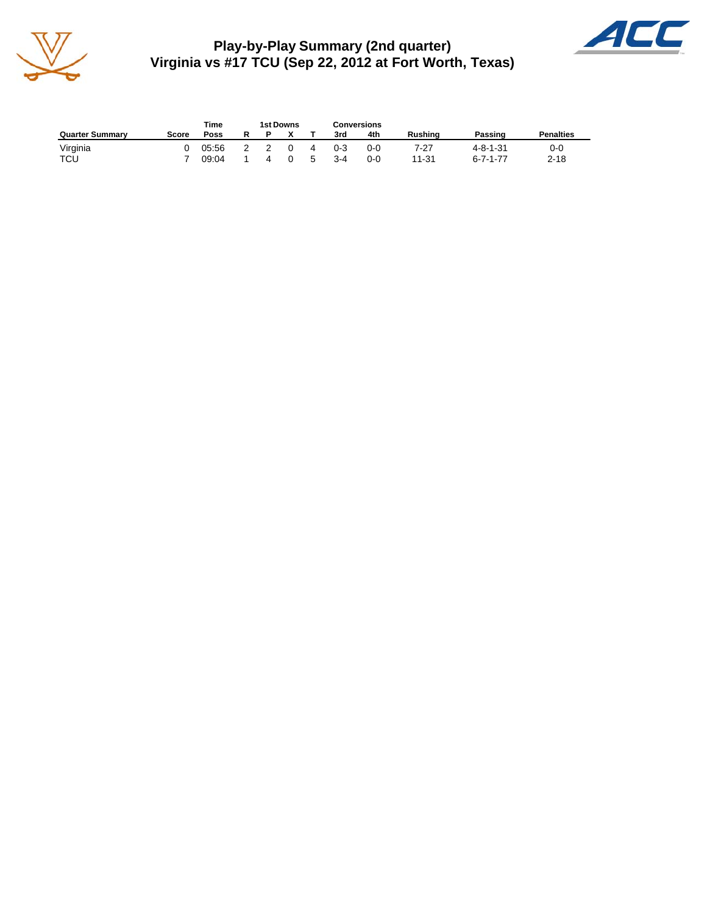

**Play-by-Play Summary (2nd quarter) Virginia vs #17 TCU (Sep 22, 2012 at Fort Worth, Texas)**



|                        | Time<br>1st Downs |       |   |                |          | Conversions |         |         |                |                  |                  |
|------------------------|-------------------|-------|---|----------------|----------|-------------|---------|---------|----------------|------------------|------------------|
| <b>Quarter Summary</b> | Score             | Poss  |   |                |          |             | 3rd     | 4th     | <b>Rushing</b> | Passing          | <b>Penalties</b> |
| Virginia               |                   | 05:56 | 2 | $\overline{2}$ | $\Omega$ | 4           | $0 - 3$ | $0 - 0$ | 7-27           | $4 - 8 - 1 - 31$ | 0-0              |
| TCU                    |                   | 09:04 |   | 4              | $\Omega$ | $5^{\circ}$ | $3 - 4$ | 0-0     | 11-31          | $6 - 7 - 1 - 77$ | $2 - 18$         |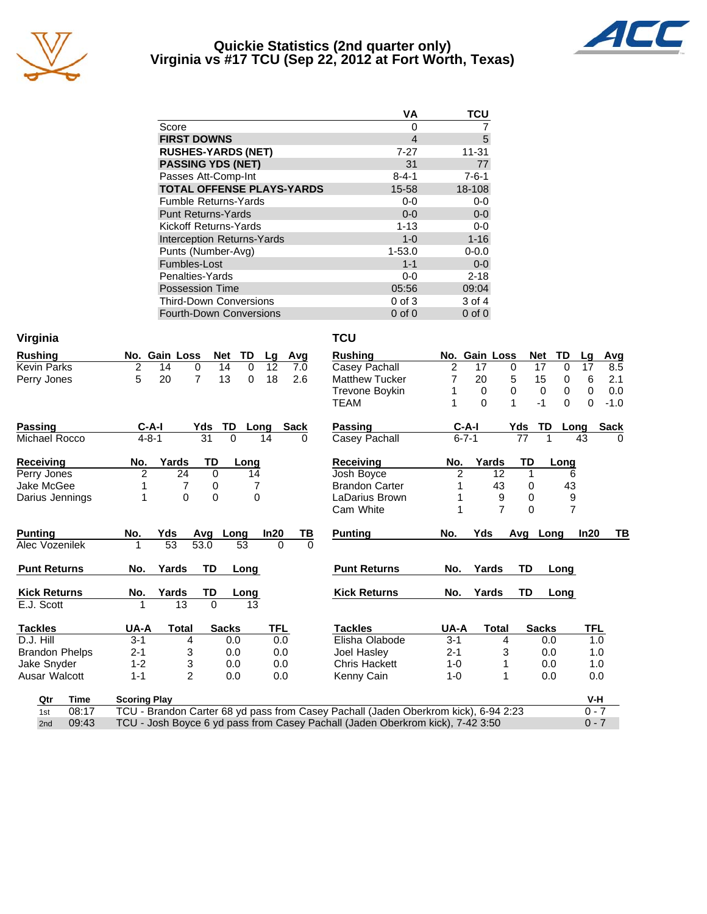

#### **Quickie Statistics (2nd quarter only) Virginia vs #17 TCU (Sep 22, 2012 at Fort Worth, Texas)**



|                                   | VА               | TCU         |
|-----------------------------------|------------------|-------------|
| Score                             | Ω                |             |
| <b>FIRST DOWNS</b>                | $\boldsymbol{4}$ | 5           |
| <b>RUSHES-YARDS (NET)</b>         | 7-27             | $11 - 31$   |
| <b>PASSING YDS (NET)</b>          | 31               | 77          |
| Passes Att-Comp-Int               | $8 - 4 - 1$      | $7 - 6 - 1$ |
| <b>TOTAL OFFENSE PLAYS-YARDS</b>  | 15-58            | 18-108      |
| <b>Fumble Returns-Yards</b>       | $0-0$            | $0-0$       |
| <b>Punt Returns-Yards</b>         | $0 - 0$          | $0-0$       |
| Kickoff Returns-Yards             | $1 - 13$         | $0-0$       |
| <b>Interception Returns-Yards</b> | $1 - 0$          | $1 - 16$    |
| Punts (Number-Avg)                | $1 - 53.0$       | $0 - 0.0$   |
| Fumbles-Lost                      | $1 - 1$          | $0 - 0$     |
| Penalties-Yards                   | 0-0              | $2 - 18$    |
| <b>Possession Time</b>            | 05:56            | 09:04       |
| <b>Third-Down Conversions</b>     | $0$ of $3$       | 3 of 4      |
| Fourth-Down Conversions           | $0$ of $0$       | $0$ of $0$  |

| Virginia              |                                                                                           | <b>TCU</b>                  |                |               |              |                |                    |  |  |  |
|-----------------------|-------------------------------------------------------------------------------------------|-----------------------------|----------------|---------------|--------------|----------------|--------------------|--|--|--|
| <b>Rushing</b>        | TD<br>No. Gain Loss<br><b>Net</b><br>Lg<br>Avg                                            | <b>Rushing</b>              |                | No. Gain Loss | <b>Net</b>   | TD             | Lg<br>Avg          |  |  |  |
| <b>Kevin Parks</b>    | 2<br>14<br>0<br>14<br>$\Omega$<br>12<br>7.0                                               | Casey Pachall               | $\overline{2}$ | 17            | 0<br>17      | 0              | 8.5<br>17          |  |  |  |
| Perry Jones           | 5<br>20<br>13<br>18<br>2.6<br>$\overline{7}$<br>$\Omega$                                  | <b>Matthew Tucker</b>       | 7              | 20            | 5<br>15      | 0              | 2.1<br>6           |  |  |  |
|                       |                                                                                           | <b>Trevone Boykin</b>       | 1              | 0             | 0<br>0       | 0              | $\Omega$<br>0.0    |  |  |  |
|                       |                                                                                           | <b>TEAM</b>                 |                | $\Omega$      | 1<br>$-1$    | 0              | $\Omega$<br>$-1.0$ |  |  |  |
| <b>Passing</b>        | $C-A-I$<br>Yds<br>TD.<br>Sack<br>Long                                                     | <b>Passing</b>              | $C-A-I$        |               | TD<br>Yds    | Long           | <b>Sack</b>        |  |  |  |
| Michael Rocco         | 31<br>$4 - 8 - 1$<br>$\Omega$<br>14<br>$\Omega$                                           | Casey Pachall               | $6 - 7 - 1$    |               | 77           | 1              | 43<br>$\Omega$     |  |  |  |
| Receiving             | Yards<br>No.<br>TD<br>Long                                                                | <b>Receiving</b>            | No.            | Yards         | TD           | Long           |                    |  |  |  |
| Perry Jones           | 24<br>2<br>$\Omega$<br>14                                                                 | Josh Boyce                  | 2              | 12            | $\mathbf 1$  | 6              |                    |  |  |  |
| Jake McGee            | 7<br>7<br>0                                                                               | <b>Brandon Carter</b>       | 1              | 43            | 0            | 43             |                    |  |  |  |
| Darius Jennings       | $\Omega$<br>$\Omega$<br>1<br>$\Omega$                                                     | LaDarius Brown              | 1              | 9             | 0            | 9              |                    |  |  |  |
|                       |                                                                                           | Cam White                   | 1              | 7             | $\Omega$     | $\overline{7}$ |                    |  |  |  |
| <b>Punting</b>        | In20<br>No.<br>Yds<br>Long<br>Avg                                                         | <u>ТВ</u><br><b>Punting</b> | No.            | Yds           | Avg          | Long           | In20<br>TВ         |  |  |  |
| Alec Vozenilek        | $\overline{53}$<br>53.0<br>53<br>1<br>$\Omega$                                            | $\Omega$                    |                |               |              |                |                    |  |  |  |
| <b>Punt Returns</b>   | No.<br>Yards<br><b>TD</b><br>Long                                                         | <b>Punt Returns</b>         | No.            | Yards         | TD           | Long           |                    |  |  |  |
| <b>Kick Returns</b>   | TD<br>Yards<br>No.<br>Long                                                                | <b>Kick Returns</b>         | No.            | Yards         | TD           | Long           |                    |  |  |  |
| E.J. Scott            | $\Omega$<br>13<br>1<br>13                                                                 |                             |                |               |              |                |                    |  |  |  |
| <b>Tackles</b>        | UA-A<br><b>Sacks</b><br><b>TFL</b><br>Total                                               | <b>Tackles</b>              | UA-A           | <b>Total</b>  | <b>Sacks</b> |                | TFL                |  |  |  |
| D.J. Hill             | $3 - 1$<br>0.0<br>0.0<br>4                                                                | Elisha Olabode              | $3 - 1$        | 4             |              | 0.0            | 1.0                |  |  |  |
| <b>Brandon Phelps</b> | $2 - 1$<br>3<br>0.0<br>0.0                                                                | Joel Hasley                 | $2 - 1$        | 3             |              | 0.0            | 1.0                |  |  |  |
| Jake Snyder           | 3<br>$1 - 2$<br>0.0<br>0.0                                                                | <b>Chris Hackett</b>        | $1 - 0$        | 1             |              | 0.0            | 1.0                |  |  |  |
| Ausar Walcott         | $\mathfrak{p}$<br>$1 - 1$<br>0.0<br>0.0                                                   | Kenny Cain                  | $1 - 0$        | 1             |              | 0.0            | 0.0                |  |  |  |
| Qtr<br>Time           | <b>Scoring Play</b>                                                                       |                             |                |               |              |                | V-H                |  |  |  |
| 08:17<br>1st          | TCU - Brandon Carter 68 yd pass from Casey Pachall (Jaden Oberkrom kick), 6-94 2:23       |                             |                |               |              |                | $0 - 7$            |  |  |  |
| 09:43<br>2nd          | $0 - 7$<br>TCU - Josh Boyce 6 yd pass from Casey Pachall (Jaden Oberkrom kick), 7-42 3:50 |                             |                |               |              |                |                    |  |  |  |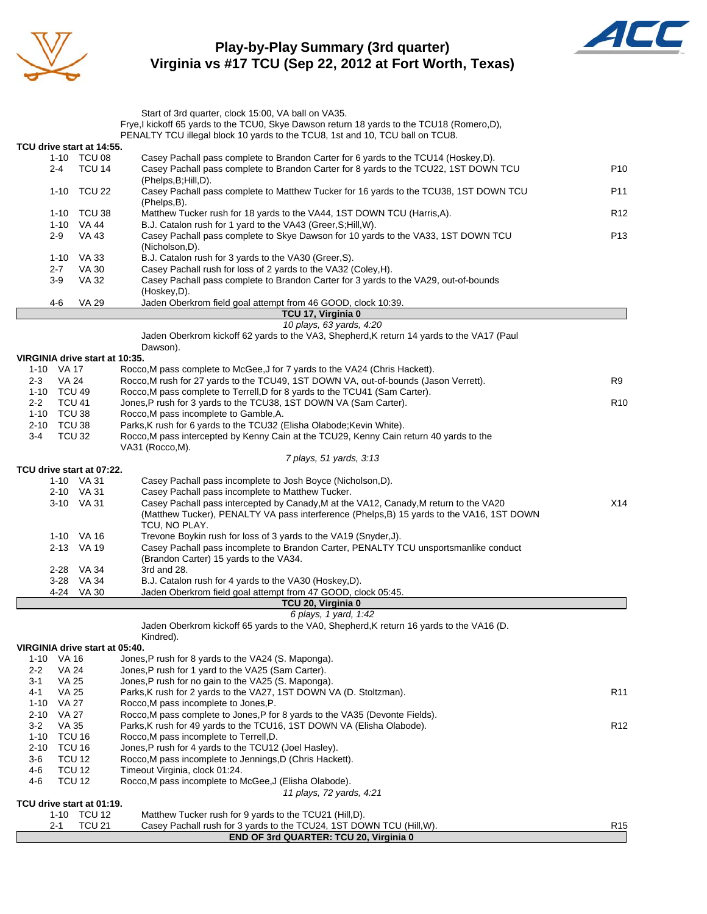

### **Play-by-Play Summary (3rd quarter) Virginia vs #17 TCU (Sep 22, 2012 at Fort Worth, Texas)**



|                                |                                    |               | Start of 3rd quarter, clock 15:00, VA ball on VA35.<br>Frye, I kickoff 65 yards to the TCU0, Skye Dawson return 18 yards to the TCU18 (Romero,D), |                 |
|--------------------------------|------------------------------------|---------------|---------------------------------------------------------------------------------------------------------------------------------------------------|-----------------|
|                                |                                    |               | PENALTY TCU illegal block 10 yards to the TCU8, 1st and 10, TCU ball on TCU8.                                                                     |                 |
| TCU drive start at 14:55.      |                                    |               |                                                                                                                                                   |                 |
|                                |                                    | 1-10 TCU 08   | Casey Pachall pass complete to Brandon Carter for 6 yards to the TCU14 (Hoskey,D).                                                                |                 |
|                                | $2 - 4$                            | <b>TCU 14</b> | Casey Pachall pass complete to Brandon Carter for 8 yards to the TCU22, 1ST DOWN TCU                                                              | P <sub>10</sub> |
|                                |                                    |               | (Phelps, B; Hill, D).                                                                                                                             |                 |
|                                |                                    | 1-10 TCU 22   | Casey Pachall pass complete to Matthew Tucker for 16 yards to the TCU38, 1ST DOWN TCU<br>(Phelps,B).                                              | P11             |
|                                |                                    | 1-10 TCU 38   | Matthew Tucker rush for 18 yards to the VA44, 1ST DOWN TCU (Harris, A).                                                                           | R <sub>12</sub> |
|                                | 1-10 VA 44                         |               | B.J. Catalon rush for 1 yard to the VA43 (Greer, S; Hill, W).                                                                                     |                 |
|                                | $2-9$                              | VA 43         | Casey Pachall pass complete to Skye Dawson for 10 yards to the VA33, 1ST DOWN TCU                                                                 | P <sub>13</sub> |
|                                |                                    |               | (Nicholson,D).                                                                                                                                    |                 |
|                                | 1-10                               | VA 33         | B.J. Catalon rush for 3 yards to the VA30 (Greer, S).                                                                                             |                 |
|                                | $2 - 7$                            | VA 30         | Casey Pachall rush for loss of 2 yards to the VA32 (Coley, H).                                                                                    |                 |
|                                | $3-9$                              | VA 32         | Casey Pachall pass complete to Brandon Carter for 3 yards to the VA29, out-of-bounds                                                              |                 |
|                                | 4-6                                | VA 29         | (Hoskey,D).<br>Jaden Oberkrom field goal attempt from 46 GOOD, clock 10:39.                                                                       |                 |
|                                |                                    |               | TCU 17, Virginia 0                                                                                                                                |                 |
|                                |                                    |               | 10 plays, 63 yards, 4:20                                                                                                                          |                 |
|                                |                                    |               | Jaden Oberkrom kickoff 62 yards to the VA3, Shepherd, K return 14 yards to the VA17 (Paul                                                         |                 |
|                                |                                    |               | Dawson).                                                                                                                                          |                 |
| VIRGINIA drive start at 10:35. |                                    |               |                                                                                                                                                   |                 |
| 1-10 VA 17                     |                                    |               | Rocco, M pass complete to McGee, J for 7 yards to the VA24 (Chris Hackett).                                                                       |                 |
| $2 - 3$                        | VA 24                              |               | Rocco, M rush for 27 yards to the TCU49, 1ST DOWN VA, out-of-bounds (Jason Verrett).                                                              | R9              |
| 1-10 TCU 49                    |                                    |               | Rocco, M pass complete to Terrell, D for 8 yards to the TCU41 (Sam Carter).                                                                       |                 |
| $2 - 2$                        | <b>TCU 41</b>                      |               | Jones, P rush for 3 yards to the TCU38, 1ST DOWN VA (Sam Carter).                                                                                 | R <sub>10</sub> |
| 1-10 TCU 38                    |                                    |               | Rocco, M pass incomplete to Gamble, A.                                                                                                            |                 |
| 2-10 TCU 38                    |                                    |               | Parks, K rush for 6 yards to the TCU32 (Elisha Olabode; Kevin White).                                                                             |                 |
| $3 - 4$                        | <b>TCU 32</b>                      |               | Rocco, M pass intercepted by Kenny Cain at the TCU29, Kenny Cain return 40 yards to the<br>VA31 (Rocco, M).                                       |                 |
|                                |                                    |               | 7 plays, 51 yards, 3:13                                                                                                                           |                 |
| TCU drive start at 07:22.      |                                    |               |                                                                                                                                                   |                 |
|                                | 1-10 VA 31                         |               | Casey Pachall pass incomplete to Josh Boyce (Nicholson, D).                                                                                       |                 |
|                                | 2-10 VA 31                         |               | Casey Pachall pass incomplete to Matthew Tucker.                                                                                                  |                 |
|                                | 3-10 VA 31                         |               | Casey Pachall pass intercepted by Canady, M at the VA12, Canady, M return to the VA20                                                             | X14             |
|                                |                                    |               | (Matthew Tucker), PENALTY VA pass interference (Phelps, B) 15 yards to the VA16, 1ST DOWN                                                         |                 |
|                                |                                    |               | TCU, NO PLAY.                                                                                                                                     |                 |
|                                | 1-10 VA 16                         |               | Trevone Boykin rush for loss of 3 yards to the VA19 (Snyder,J).                                                                                   |                 |
|                                | 2-13 VA 19                         |               | Casey Pachall pass incomplete to Brandon Carter, PENALTY TCU unsportsmanlike conduct                                                              |                 |
|                                |                                    |               | (Brandon Carter) 15 yards to the VA34.                                                                                                            |                 |
|                                | 2-28 VA 34                         |               | 3rd and 28.                                                                                                                                       |                 |
|                                | $3 - 28$                           | <b>VA 34</b>  | B.J. Catalon rush for 4 yards to the VA30 (Hoskey,D).                                                                                             |                 |
|                                | 4-24                               | VA 30         | Jaden Oberkrom field goal attempt from 47 GOOD, clock 05:45.                                                                                      |                 |
|                                |                                    |               | TCU 20, Virginia 0<br>6 plays, 1 yard, 1:42                                                                                                       |                 |
|                                |                                    |               | Jaden Oberkrom kickoff 65 yards to the VA0, Shepherd, K return 16 yards to the VA16 (D.                                                           |                 |
|                                |                                    |               | Kindred).                                                                                                                                         |                 |
| VIRGINIA drive start at 05:40. |                                    |               |                                                                                                                                                   |                 |
| 1-10                           | VA 16                              |               | Jones, P rush for 8 yards to the VA24 (S. Maponga).                                                                                               |                 |
| $2 - 2$                        | VA 24                              |               | Jones, P rush for 1 yard to the VA25 (Sam Carter).                                                                                                |                 |
| 3-1                            | <b>VA 25</b>                       |               | Jones, P rush for no gain to the VA25 (S. Maponga).                                                                                               |                 |
| 4-1                            | <b>VA 25</b>                       |               | Parks, K rush for 2 yards to the VA27, 1ST DOWN VA (D. Stoltzman).                                                                                | R <sub>11</sub> |
| $1 - 10$                       | VA 27                              |               | Rocco, M pass incomplete to Jones, P.                                                                                                             |                 |
| $2 - 10$                       | <b>VA 27</b>                       |               | Rocco, M pass complete to Jones, P for 8 yards to the VA35 (Devonte Fields).                                                                      |                 |
| $3-2$                          | VA 35                              |               | Parks, K rush for 49 yards to the TCU16, 1ST DOWN VA (Elisha Olabode).                                                                            | R <sub>12</sub> |
| $1 - 10$                       | TCU 16                             |               | Rocco, M pass incomplete to Terrell, D.                                                                                                           |                 |
| $2 - 10$                       | TCU <sub>16</sub><br><b>TCU 12</b> |               | Jones, P rush for 4 yards to the TCU12 (Joel Hasley).<br>Rocco, M pass incomplete to Jennings, D (Chris Hackett).                                 |                 |
| 3-6<br>$4 - 6$                 | <b>TCU 12</b>                      |               | Timeout Virginia, clock 01:24.                                                                                                                    |                 |
| 4-6                            | <b>TCU 12</b>                      |               | Rocco, M pass incomplete to McGee, J (Elisha Olabode).                                                                                            |                 |
|                                |                                    |               | 11 plays, 72 yards, 4:21                                                                                                                          |                 |
| TCU drive start at 01:19.      |                                    |               |                                                                                                                                                   |                 |
|                                |                                    | 1-10 TCU 12   | Matthew Tucker rush for 9 yards to the TCU21 (Hill, D).                                                                                           |                 |
|                                | 2-1                                | <b>TCU 21</b> | Casey Pachall rush for 3 yards to the TCU24, 1ST DOWN TCU (Hill, W).                                                                              | R <sub>15</sub> |
|                                |                                    |               | END OF 3rd QUARTER: TCU 20, Virginia 0                                                                                                            |                 |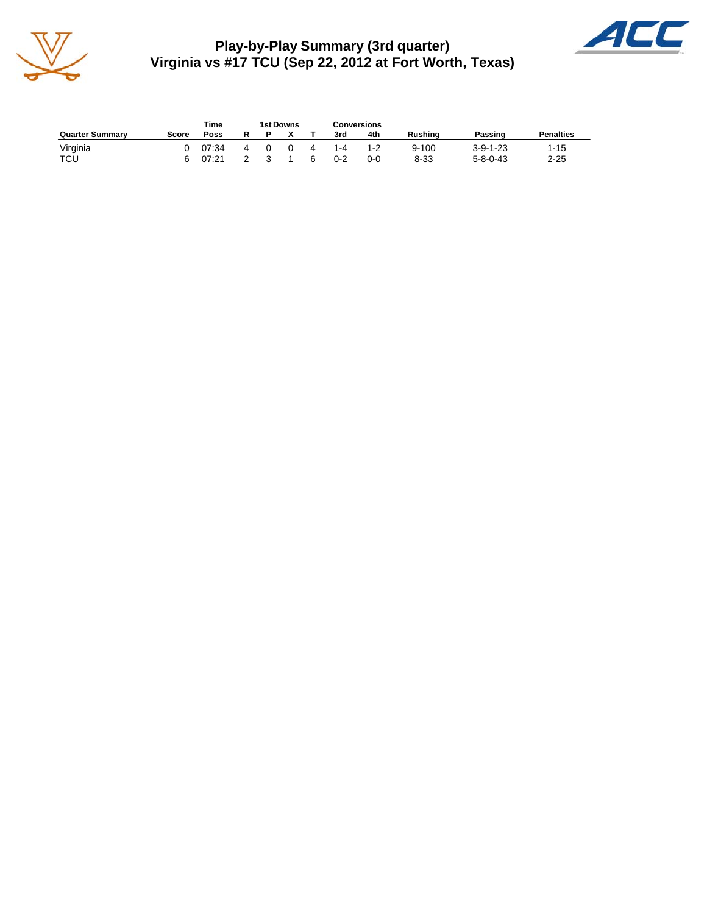

**Play-by-Play Summary (3rd quarter) Virginia vs #17 TCU (Sep 22, 2012 at Fort Worth, Texas)**



|                        |       | Time  |   |          | 1st Downs |    | <b>Conversions</b> |         |                |                  |                  |  |
|------------------------|-------|-------|---|----------|-----------|----|--------------------|---------|----------------|------------------|------------------|--|
| <b>Quarter Summary</b> | Score | Poss  | R |          |           |    | 3rd                | 4th     | <b>Rushing</b> | Passing          | <b>Penalties</b> |  |
| Virginia               |       | 07:34 | 4 | $\Omega$ | $\Omega$  | 4  | 1-4                | $1 - 2$ | $9 - 100$      | $3 - 9 - 1 - 23$ | $1 - 15$         |  |
| TCU                    |       | 07:21 |   |          |           | 6. | $0 - 2$            | $0 - 0$ | $8 - 33$       | $5 - 8 - 0 - 43$ | $2 - 25$         |  |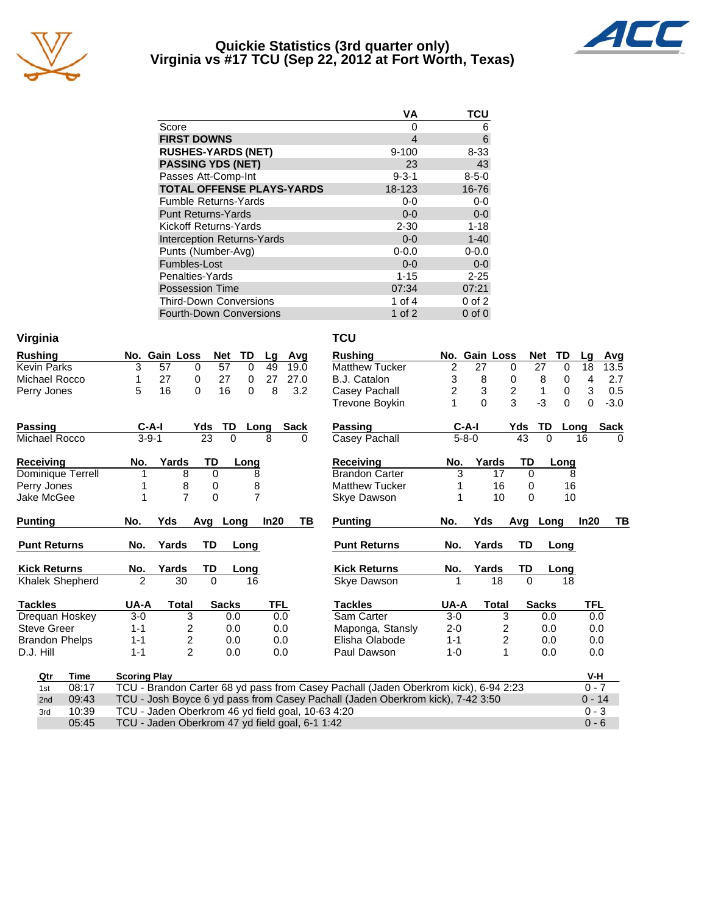

#### **Quickie Statistics (3rd quarter only) Virginia vs #17 TCU (Sep 22, 2012 at Fort Worth, Texas)**



|                                   | VА               | TCU         |
|-----------------------------------|------------------|-------------|
| Score                             | 0                | 6           |
| <b>FIRST DOWNS</b>                | $\boldsymbol{4}$ | 6           |
| <b>RUSHES-YARDS (NET)</b>         | $9 - 100$        | $8 - 33$    |
| <b>PASSING YDS (NET)</b>          | 23               | 43          |
| Passes Att-Comp-Int               | $9 - 3 - 1$      | $8 - 5 - 0$ |
| <b>TOTAL OFFENSE PLAYS-YARDS</b>  | 18-123           | 16-76       |
| <b>Fumble Returns-Yards</b>       | $0-0$            | $0-0$       |
| <b>Punt Returns-Yards</b>         | $0 - 0$          | $0-0$       |
| Kickoff Returns-Yards             | $2 - 30$         | $1 - 18$    |
| <b>Interception Returns-Yards</b> | $0 - 0$          | $1 - 40$    |
| Punts (Number-Avg)                | $0 - 0.0$        | $0 - 0.0$   |
| Fumbles-Lost                      | $0 - 0$          | $0 - 0$     |
| Penalties-Yards                   | $1 - 15$         | $2 - 25$    |
| <b>Possession Time</b>            | 07:34            | 07:21       |
| <b>Third-Down Conversions</b>     | 1 of 4           | $0$ of $2$  |
| <b>Fourth-Down Conversions</b>    | 1 of $2$         | $0$ of $0$  |

| Virginia               |                                                   |                     |                  |            |             | <b>TCU</b>                                                                          |                |               |                         |                  |               |             |
|------------------------|---------------------------------------------------|---------------------|------------------|------------|-------------|-------------------------------------------------------------------------------------|----------------|---------------|-------------------------|------------------|---------------|-------------|
| <b>Rushing</b>         | No. Gain Loss                                     |                     | <b>Net</b><br>TD | Lg         | Avg         | <b>Rushing</b>                                                                      |                | No. Gain Loss |                         | <b>Net</b><br>TD | Lg            | Avg         |
| <b>Kevin Parks</b>     | 3<br>57                                           | 0                   | 57<br>$\Omega$   | 49         | 19.0        | <b>Matthew Tucker</b>                                                               | $\overline{c}$ | 27            | 0                       | 27               | 18<br>0       | 13.5        |
| Michael Rocco          | 27<br>1                                           | 0                   | 27<br>0          | 27         | 27.0        | B.J. Catalon                                                                        | 3              | 8             | 0                       | 8                | 4<br>0        | 2.7         |
| 5<br>16<br>Perry Jones |                                                   | $\Omega$            | 16<br>0          | 8          | 3.2         | Casey Pachall                                                                       | $\overline{c}$ | 3             | $\overline{\mathbf{c}}$ | 1                | 3<br>$\Omega$ | 0.5         |
|                        |                                                   |                     |                  |            |             | <b>Trevone Boykin</b>                                                               | 1              | $\Omega$      | 3                       | $-3$             | $\Omega$<br>0 | $-3.0$      |
| <b>Passing</b>         | $C-A-I$                                           | Yds                 | TD               | Long       | <b>Sack</b> | Passing                                                                             |                | $C-A-I$       | Yds                     | TD               | Long          | <b>Sack</b> |
| Michael Rocco          | $3 - 9 - 1$                                       | 23                  | $\Omega$         | 8          | 0           | Casey Pachall                                                                       |                | $5 - 8 - 0$   | 43                      | $\Omega$         | 16            | $\Omega$    |
| <b>Receiving</b>       | No.<br>Yards                                      | TD                  | Long             |            |             | Receiving                                                                           | No.            | Yards         | <b>TD</b>               | Long             |               |             |
| Dominique Terrell      |                                                   | 8<br>$\mathbf 0$    | 8                |            |             | <b>Brandon Carter</b>                                                               | 3              |               | 17<br>$\Omega$          |                  | 8             |             |
| Perry Jones            |                                                   | 8<br>0              | 8                |            |             | <b>Matthew Tucker</b>                                                               |                |               | 16                      | $\Omega$         | 16            |             |
| Jake McGee             | 1                                                 | $\overline{7}$<br>0 | $\overline{7}$   |            |             | Skye Dawson                                                                         |                |               | 10<br>$\Omega$          |                  | 10            |             |
| <b>Punting</b>         | No.<br>Yds                                        | Avg Long            |                  | In20       | ΤВ          | <b>Punting</b>                                                                      | No.            | Yds           |                         | Avg Long         | In20          | TВ          |
| <b>Punt Returns</b>    | No.<br>Yards                                      | <b>TD</b>           | Long             |            |             | <b>Punt Returns</b>                                                                 | No.            | Yards         | <b>TD</b>               | Long             |               |             |
| <b>Kick Returns</b>    | No.<br>Yards                                      | TD                  | Long             |            |             | <b>Kick Returns</b>                                                                 | No.            | Yards         | TD                      | Long             |               |             |
| Khalek Shepherd        | 2                                                 | $\Omega$<br>30      | 16               |            |             | Skye Dawson                                                                         | 1              |               | 18<br>$\Omega$          |                  | 18            |             |
| <b>Tackles</b>         | UA-A                                              | <b>Total</b>        | <b>Sacks</b>     | <b>TFL</b> |             | <b>Tackles</b>                                                                      | UA-A           | <b>Total</b>  |                         | <b>Sacks</b>     | <b>TFL</b>    |             |
| Drequan Hoskey         | $3-0$                                             | 3                   | 0.0              | 0.0        |             | Sam Carter                                                                          | $3-0$          |               | 3                       | 0.0              |               | 0.0         |
| <b>Steve Greer</b>     | $1 - 1$                                           | $\overline{c}$      | 0.0              | 0.0        |             | Maponga, Stansly                                                                    | $2 - 0$        |               | $\overline{c}$          | 0.0              |               | 0.0         |
| <b>Brandon Phelps</b>  | $1 - 1$                                           | $\overline{c}$      | 0.0              | 0.0        |             | Elisha Olabode                                                                      | $1 - 1$        |               | 2                       | 0.0              |               | 0.0         |
| D.J. Hill              | $1 - 1$                                           | $\overline{2}$      | 0.0              | 0.0        |             | Paul Dawson                                                                         | $1 - 0$        |               | $\mathbf{1}$            | 0.0              |               | 0.0         |
| Qtr<br><b>Time</b>     | <b>Scoring Play</b>                               |                     |                  |            |             |                                                                                     |                |               |                         |                  |               | V-H         |
| 08:17<br>1st           |                                                   |                     |                  |            |             | TCU - Brandon Carter 68 yd pass from Casey Pachall (Jaden Oberkrom kick), 6-94 2:23 |                |               |                         |                  |               | $0 - 7$     |
| 09:43<br>2nd           |                                                   |                     |                  |            |             | TCU - Josh Boyce 6 yd pass from Casey Pachall (Jaden Oberkrom kick), 7-42 3:50      |                |               |                         |                  |               | $0 - 14$    |
| 10:39<br>3rd           |                                                   |                     |                  |            |             |                                                                                     |                |               |                         |                  |               |             |
|                        | TCU - Jaden Oberkrom 46 yd field goal, 10-63 4:20 |                     |                  |            |             |                                                                                     |                |               |                         |                  | $0 - 3$       |             |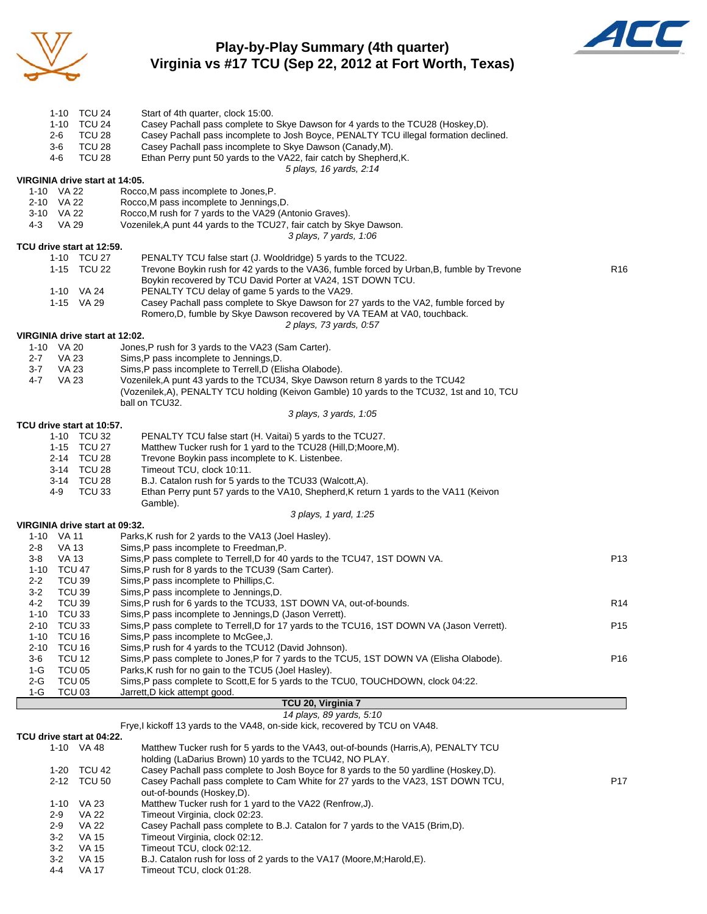

## **Play-by-Play Summary (4th quarter) Virginia vs #17 TCU (Sep 22, 2012 at Fort Worth, Texas)**



|             | 2-6                     | 1-10 TCU 24<br>1-10 TCU 24<br>TCU <sub>28</sub> | Start of 4th quarter, clock 15:00.<br>Casey Pachall pass complete to Skye Dawson for 4 yards to the TCU28 (Hoskey,D).<br>Casey Pachall pass incomplete to Josh Boyce, PENALTY TCU illegal formation declined. |                 |
|-------------|-------------------------|-------------------------------------------------|---------------------------------------------------------------------------------------------------------------------------------------------------------------------------------------------------------------|-----------------|
|             | $3-6$<br>4-6            | TCU <sub>28</sub><br><b>TCU 28</b>              | Casey Pachall pass incomplete to Skye Dawson (Canady, M).<br>Ethan Perry punt 50 yards to the VA22, fair catch by Shepherd, K.<br>5 plays, 16 yards, 2:14                                                     |                 |
|             |                         | VIRGINIA drive start at 14:05.                  |                                                                                                                                                                                                               |                 |
|             | 1-10 VA 22              |                                                 | Rocco, M pass incomplete to Jones, P.                                                                                                                                                                         |                 |
|             | 2-10 VA 22              |                                                 | Rocco, M pass incomplete to Jennings, D.                                                                                                                                                                      |                 |
| 3-10 VA 22  |                         |                                                 | Rocco, M rush for 7 yards to the VA29 (Antonio Graves).                                                                                                                                                       |                 |
| 4-3         | VA 29                   |                                                 | Vozenilek, A punt 44 yards to the TCU27, fair catch by Skye Dawson.                                                                                                                                           |                 |
|             |                         | TCU drive start at 12:59.                       | 3 plays, 7 yards, 1:06                                                                                                                                                                                        |                 |
| 1-10 TCU 27 |                         |                                                 | PENALTY TCU false start (J. Wooldridge) 5 yards to the TCU22.                                                                                                                                                 |                 |
|             |                         | 1-15 TCU 22                                     | Trevone Boykin rush for 42 yards to the VA36, fumble forced by Urban, B, fumble by Trevone                                                                                                                    | R <sub>16</sub> |
|             |                         |                                                 | Boykin recovered by TCU David Porter at VA24, 1ST DOWN TCU.                                                                                                                                                   |                 |
|             |                         | 1-10 VA 24                                      | PENALTY TCU delay of game 5 yards to the VA29.                                                                                                                                                                |                 |
|             |                         | 1-15 VA 29                                      | Casey Pachall pass complete to Skye Dawson for 27 yards to the VA2, fumble forced by                                                                                                                          |                 |
|             |                         |                                                 | Romero, D, fumble by Skye Dawson recovered by VA TEAM at VA0, touchback.                                                                                                                                      |                 |
|             |                         | VIRGINIA drive start at 12:02.                  | 2 plays, 73 yards, 0:57                                                                                                                                                                                       |                 |
|             | 1-10 VA 20              |                                                 | Jones, P rush for 3 yards to the VA23 (Sam Carter).                                                                                                                                                           |                 |
| 2-7         | <b>VA 23</b>            |                                                 | Sims, P pass incomplete to Jennings, D.                                                                                                                                                                       |                 |
| 3-7         | VA 23                   |                                                 | Sims, P pass incomplete to Terrell, D (Elisha Olabode).                                                                                                                                                       |                 |
| 4-7         | <b>VA 23</b>            |                                                 | Vozenilek, A punt 43 yards to the TCU34, Skye Dawson return 8 yards to the TCU42                                                                                                                              |                 |
|             |                         |                                                 | (Vozenilek, A), PENALTY TCU holding (Keivon Gamble) 10 yards to the TCU32, 1st and 10, TCU                                                                                                                    |                 |
|             |                         |                                                 | ball on TCU32.                                                                                                                                                                                                |                 |
|             |                         |                                                 | 3 plays, 3 yards, 1:05                                                                                                                                                                                        |                 |
|             |                         | TCU drive start at 10:57.<br>1-10 TCU 32        |                                                                                                                                                                                                               |                 |
|             |                         | 1-15 TCU 27                                     | PENALTY TCU false start (H. Vaitai) 5 yards to the TCU27.<br>Matthew Tucker rush for 1 yard to the TCU28 (Hill, D; Moore, M).                                                                                 |                 |
|             |                         | 2-14 TCU 28                                     | Trevone Boykin pass incomplete to K. Listenbee.                                                                                                                                                               |                 |
|             |                         | 3-14 TCU 28                                     | Timeout TCU, clock 10:11.                                                                                                                                                                                     |                 |
|             |                         | 3-14 TCU 28                                     | B.J. Catalon rush for 5 yards to the TCU33 (Walcott,A).                                                                                                                                                       |                 |
|             | 4-9                     | <b>TCU 33</b>                                   | Ethan Perry punt 57 yards to the VA10, Shepherd, K return 1 yards to the VA11 (Keivon                                                                                                                         |                 |
|             |                         |                                                 | Gamble).                                                                                                                                                                                                      |                 |
|             |                         | VIRGINIA drive start at 09:32.                  | 3 plays, 1 yard, 1:25                                                                                                                                                                                         |                 |
|             | 1-10 VA 11              |                                                 | Parks, K rush for 2 yards to the VA13 (Joel Hasley).                                                                                                                                                          |                 |
| 2-8         | VA 13                   |                                                 | Sims, P pass incomplete to Freedman, P.                                                                                                                                                                       |                 |
| $3-8$       | <b>VA 13</b>            |                                                 | Sims, P pass complete to Terrell, D for 40 yards to the TCU47, 1ST DOWN VA.                                                                                                                                   | P <sub>13</sub> |
|             | 1-10 TCU 47             |                                                 | Sims, P rush for 8 yards to the TCU39 (Sam Carter).                                                                                                                                                           |                 |
| 2-2         | <b>TCU 39</b>           |                                                 | Sims, P pass incomplete to Phillips, C.                                                                                                                                                                       |                 |
| $3 - 2$     | <b>TCU 39</b>           |                                                 | Sims, P pass incomplete to Jennings, D.                                                                                                                                                                       |                 |
| 1-10        | 4-2<br>TCU 39<br>TCU 33 |                                                 | Sims, P rush for 6 yards to the TCU33, 1ST DOWN VA, out-of-bounds.<br>Sims, P pass incomplete to Jennings, D (Jason Verrett).                                                                                 | R14             |
| 2-10        | TCU 33                  |                                                 | Sims, P pass complete to Terrell, D for 17 yards to the TCU16, 1ST DOWN VA (Jason Verrett).                                                                                                                   | P <sub>15</sub> |
| $1 - 10$    | <b>TCU 16</b>           |                                                 | Sims, P pass incomplete to McGee, J.                                                                                                                                                                          |                 |
| $2 - 10$    | TCU 16                  |                                                 | Sims, P rush for 4 yards to the TCU12 (David Johnson).                                                                                                                                                        |                 |
| 3-6         | <b>TCU 12</b>           |                                                 | Sims, P pass complete to Jones, P for 7 yards to the TCU5, 1ST DOWN VA (Elisha Olabode).                                                                                                                      | P16             |
| $1-G$       | TCU <sub>05</sub>       |                                                 | Parks, K rush for no gain to the TCU5 (Joel Hasley).                                                                                                                                                          |                 |
| 2-G         | <b>TCU 05</b>           |                                                 | Sims, P pass complete to Scott, E for 5 yards to the TCU0, TOUCHDOWN, clock 04:22.                                                                                                                            |                 |
| $1-G$       | <b>TCU 03</b>           |                                                 | Jarrett, D kick attempt good.<br>TCU 20, Virginia 7                                                                                                                                                           |                 |
|             |                         |                                                 | 14 plays, 89 yards, 5:10                                                                                                                                                                                      |                 |
|             |                         |                                                 | Frye, I kickoff 13 yards to the VA48, on-side kick, recovered by TCU on VA48.                                                                                                                                 |                 |
|             |                         | TCU drive start at 04:22.                       |                                                                                                                                                                                                               |                 |
|             |                         | 1-10 VA 48                                      | Matthew Tucker rush for 5 yards to the VA43, out-of-bounds (Harris, A), PENALTY TCU                                                                                                                           |                 |
|             |                         |                                                 | holding (LaDarius Brown) 10 yards to the TCU42, NO PLAY.                                                                                                                                                      |                 |
|             | 1-20                    | TCU 42                                          | Casey Pachall pass complete to Josh Boyce for 8 yards to the 50 yardline (Hoskey,D).                                                                                                                          | P17             |
|             | $2 - 12$                | <b>TCU 50</b>                                   | Casey Pachall pass complete to Cam White for 27 yards to the VA23, 1ST DOWN TCU,<br>out-of-bounds (Hoskey,D).                                                                                                 |                 |
|             | $1 - 10$                | VA 23                                           | Matthew Tucker rush for 1 yard to the VA22 (Renfrow, J).                                                                                                                                                      |                 |
|             | 2-9                     | VA 22                                           | Timeout Virginia, clock 02:23.                                                                                                                                                                                |                 |
|             | $2 - 9$                 | <b>VA 22</b>                                    | Casey Pachall pass complete to B.J. Catalon for 7 yards to the VA15 (Brim, D).                                                                                                                                |                 |
|             | $3-2$                   | <b>VA 15</b>                                    | Timeout Virginia, clock 02:12.                                                                                                                                                                                |                 |
|             | $3-2$                   | VA 15                                           | Timeout TCU, clock 02:12.                                                                                                                                                                                     |                 |
|             | $3-2$                   | VA 15                                           | B.J. Catalon rush for loss of 2 yards to the VA17 (Moore, M; Harold, E).                                                                                                                                      |                 |
|             | 4-4                     | VA 17                                           | Timeout TCU, clock 01:28.                                                                                                                                                                                     |                 |

Fig. Conditions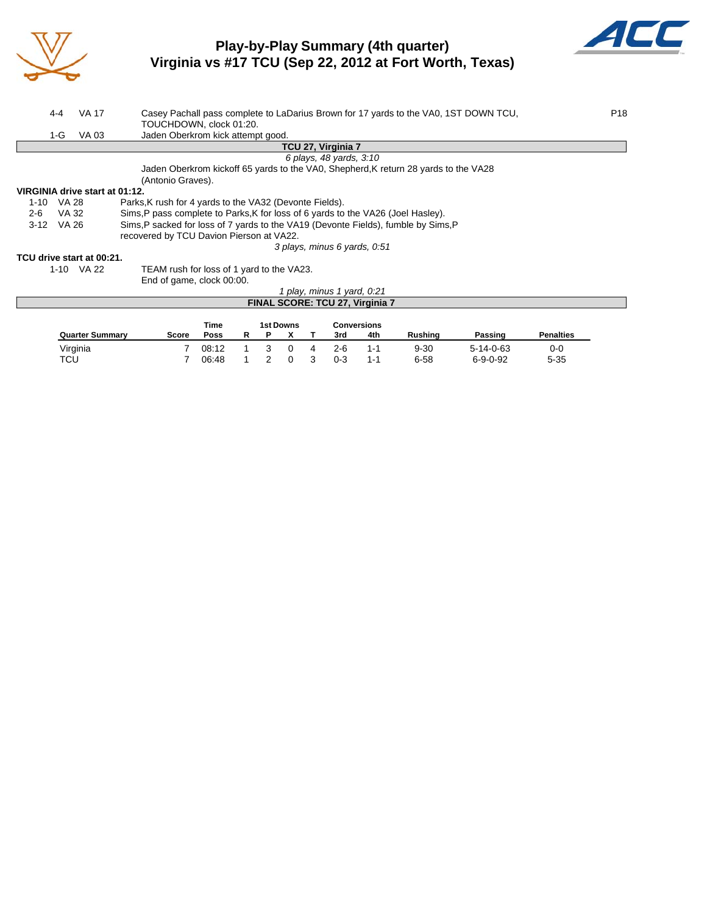

### **Play-by-Play Summary (4th quarter) Virginia vs #17 TCU (Sep 22, 2012 at Fort Worth, Texas)**



| 4-4                            | VA 17                                                                                       |                                                         |             |   |                                        |   |  |  |                              |     | Casey Pachall pass complete to LaDarius Brown for 17 yards to the VA0, 1ST DOWN TCU, |         | P <sub>18</sub>  |
|--------------------------------|---------------------------------------------------------------------------------------------|---------------------------------------------------------|-------------|---|----------------------------------------|---|--|--|------------------------------|-----|--------------------------------------------------------------------------------------|---------|------------------|
|                                |                                                                                             | TOUCHDOWN, clock 01:20.                                 |             |   |                                        |   |  |  |                              |     |                                                                                      |         |                  |
| 1-G                            | VA 03                                                                                       | Jaden Oberkrom kick attempt good.                       |             |   |                                        |   |  |  |                              |     |                                                                                      |         |                  |
|                                |                                                                                             |                                                         |             |   |                                        |   |  |  | TCU 27, Virginia 7           |     |                                                                                      |         |                  |
|                                |                                                                                             |                                                         |             |   |                                        |   |  |  | 6 plays, 48 yards, 3:10      |     |                                                                                      |         |                  |
|                                |                                                                                             |                                                         |             |   |                                        |   |  |  |                              |     | Jaden Oberkrom kickoff 65 yards to the VA0, Shepherd, K return 28 yards to the VA28  |         |                  |
|                                |                                                                                             | (Antonio Graves).                                       |             |   |                                        |   |  |  |                              |     |                                                                                      |         |                  |
| VIRGINIA drive start at 01:12. |                                                                                             |                                                         |             |   |                                        |   |  |  |                              |     |                                                                                      |         |                  |
| 1-10                           | VA 28                                                                                       | Parks, K rush for 4 yards to the VA32 (Devonte Fields). |             |   |                                        |   |  |  |                              |     |                                                                                      |         |                  |
| $2 - 6$                        | VA 32<br>Sims, P pass complete to Parks, K for loss of 6 yards to the VA26 (Joel Hasley).   |                                                         |             |   |                                        |   |  |  |                              |     |                                                                                      |         |                  |
| $3-12$                         | Sims, P sacked for loss of 7 yards to the VA19 (Devonte Fields), fumble by Sims, P<br>VA 26 |                                                         |             |   |                                        |   |  |  |                              |     |                                                                                      |         |                  |
|                                | recovered by TCU Davion Pierson at VA22.                                                    |                                                         |             |   |                                        |   |  |  |                              |     |                                                                                      |         |                  |
|                                |                                                                                             |                                                         |             |   |                                        |   |  |  | 3 plays, minus 6 yards, 0.51 |     |                                                                                      |         |                  |
| TCU drive start at 00:21.      |                                                                                             |                                                         |             |   |                                        |   |  |  |                              |     |                                                                                      |         |                  |
|                                | 1-10 VA 22                                                                                  | TEAM rush for loss of 1 yard to the VA23.               |             |   |                                        |   |  |  |                              |     |                                                                                      |         |                  |
|                                |                                                                                             | End of game, clock 00:00.                               |             |   |                                        |   |  |  |                              |     |                                                                                      |         |                  |
|                                |                                                                                             |                                                         |             |   |                                        |   |  |  | 1 play, minus 1 yard, 0:21   |     |                                                                                      |         |                  |
|                                |                                                                                             |                                                         |             |   | <b>FINAL SCORE: TCU 27, Virginia 7</b> |   |  |  |                              |     |                                                                                      |         |                  |
|                                |                                                                                             |                                                         |             |   |                                        |   |  |  |                              |     |                                                                                      |         |                  |
|                                |                                                                                             |                                                         | Time        |   | 1st Downs                              |   |  |  | <b>Conversions</b>           |     |                                                                                      |         |                  |
|                                | <b>Quarter Summary</b>                                                                      | <b>Score</b>                                            | <b>Poss</b> | R | Р                                      | х |  |  | 3rd                          | 4th | Rushing                                                                              | Passing | <b>Penalties</b> |

Virginia 7 08:12 1 3 0 4 2-6 1-1 9-30 5-14-0-63 0-0 TCU 7 06:48 1 2 0 3 0-3 1-1 6-58 6-9-0-92 5-35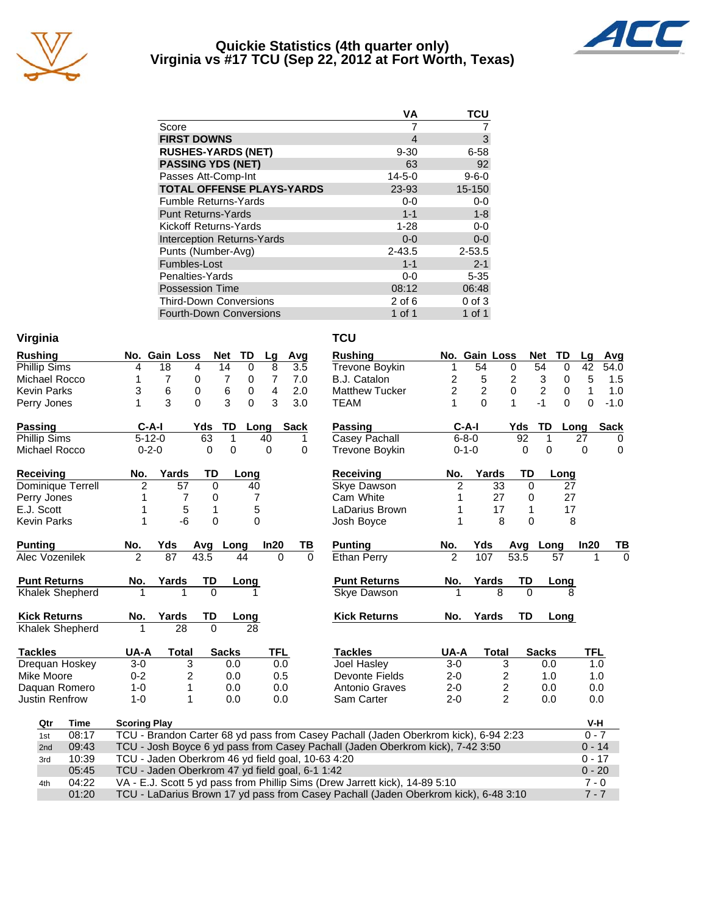

### **Quickie Statistics (4th quarter only) Virginia vs #17 TCU (Sep 22, 2012 at Fort Worth, Texas)**



|                                   | VA           | TCU         |
|-----------------------------------|--------------|-------------|
| Score                             |              |             |
| <b>FIRST DOWNS</b>                | 4            | 3           |
| <b>RUSHES-YARDS (NET)</b>         | $9 - 30$     | $6 - 58$    |
| <b>PASSING YDS (NET)</b>          | 63           | 92          |
| Passes Att-Comp-Int               | $14 - 5 - 0$ | $9 - 6 - 0$ |
| <b>TOTAL OFFENSE PLAYS-YARDS</b>  | 23-93        | 15-150      |
| <b>Fumble Returns-Yards</b>       | $0-0$        | $0-0$       |
| <b>Punt Returns-Yards</b>         | $1 - 1$      | $1 - 8$     |
| Kickoff Returns-Yards             | $1 - 28$     | $0-0$       |
| <b>Interception Returns-Yards</b> | $0 - 0$      | $0-0$       |
| Punts (Number-Avg)                | $2 - 43.5$   | 2-53.5      |
| Fumbles-Lost                      | $1 - 1$      | $2 - 1$     |
| Penalties-Yards                   | $0-0$        | $5 - 35$    |
| <b>Possession Time</b>            | 08:12        | 06:48       |
| <b>Third-Down Conversions</b>     | $2$ of 6     | $0$ of $3$  |
| <b>Fourth-Down Conversions</b>    | 1 of 1       | 1 of 1      |

| Virginia | TCU |
|----------|-----|
|          |     |

| <b>Rushing</b>         |                     | No. Gain Loss                                                                              |              | <b>TD</b><br><b>Net</b> | Lg             |          | Avg         | <b>Rushing</b>                                                                      |                | No. Gain Loss  |                |              | <b>Net</b><br>TD              | Lg           | Avg         |
|------------------------|---------------------|--------------------------------------------------------------------------------------------|--------------|-------------------------|----------------|----------|-------------|-------------------------------------------------------------------------------------|----------------|----------------|----------------|--------------|-------------------------------|--------------|-------------|
| <b>Phillip Sims</b>    | 4                   | 18                                                                                         | 4            | 14<br>0                 | 8              |          | 3.5         | <b>Trevone Boykin</b>                                                               | 1              | 54             |                | 0            | 54<br>0                       | 42           | 54.0        |
| Michael Rocco          | 1                   | $\overline{7}$                                                                             | 0            | 7<br>0                  | $\overline{7}$ |          | 7.0         | B.J. Catalon                                                                        | 2              | 5              |                | 2            | 3<br>$\mathbf 0$              | 5            | 1.5         |
| <b>Kevin Parks</b>     | 3                   | 6                                                                                          | $\mathbf 0$  | 6<br>$\pmb{0}$          | 4              |          | 2.0         | <b>Matthew Tucker</b>                                                               | $\overline{2}$ | $\overline{2}$ |                | $\mathbf 0$  | $\overline{c}$<br>$\mathbf 0$ | $\mathbf{1}$ | 1.0         |
| Perry Jones            | 1                   | 3                                                                                          | $\Omega$     | 3<br>$\Omega$           | 3              |          | 3.0         | <b>TEAM</b>                                                                         | 1              | $\Omega$       |                | $\mathbf{1}$ | $-1$<br>$\Omega$              | 0            | $-1.0$      |
| <b>Passing</b>         | $C-A-I$             |                                                                                            | Yds          | TD                      | Long           |          | <b>Sack</b> | <b>Passing</b>                                                                      |                | $C-A-I$        |                | Yds          | TD                            | Long         | <b>Sack</b> |
| Phillip Sims           | $5 - 12 - 0$        |                                                                                            | 63           | 1                       | 40             |          | 1.          | Casey Pachall                                                                       |                | $6 - 8 - 0$    |                | 92           | 1                             | 27           | $\Omega$    |
| Michael Rocco          | $0 - 2 - 0$         |                                                                                            | 0            | 0                       | $\mathbf 0$    |          | 0           | Trevone Boykin                                                                      |                | $0 - 1 - 0$    |                | 0            | 0                             | $\mathbf 0$  | 0           |
| Receiving              | No.                 | Yards                                                                                      | TD           | Long                    |                |          |             | Receiving                                                                           | No.            | Yards          |                | TD           | Long                          |              |             |
| Dominique Terrell      | 2                   | 57                                                                                         | $\mathbf 0$  |                         | 40             |          |             | Skye Dawson                                                                         | 2              |                | 33             | $\Omega$     | 27                            |              |             |
| Perry Jones            |                     | 7                                                                                          | 0            |                         | 7              |          |             | Cam White                                                                           | 1              |                | 27             | 0            | 27                            |              |             |
| E.J. Scott             |                     | 5                                                                                          | $\mathbf{1}$ |                         | 5              |          |             | LaDarius Brown                                                                      | 1              |                | 17             | 1            | 17                            |              |             |
| <b>Kevin Parks</b>     | 1                   | -6                                                                                         | 0            |                         | 0              |          |             | Josh Boyce                                                                          | 1              |                | 8              | $\Omega$     | 8                             |              |             |
| <b>Punting</b>         | No.                 | Yds                                                                                        | Avg          | Long                    | In20           |          | TВ          | <b>Punting</b>                                                                      | No.            | Yds            |                | Avg          | Long                          | In20         | TВ          |
| Alec Vozenilek         | $\overline{2}$      | 87                                                                                         | 43.5         | 44                      |                | $\Omega$ | $\Omega$    | <b>Ethan Perry</b>                                                                  | $\overline{2}$ | 107            |                | 53.5         | 57                            | 1            | $\Omega$    |
| <b>Punt Returns</b>    | No.                 | Yards                                                                                      | TD           | Long                    |                |          |             | <b>Punt Returns</b>                                                                 | No.            | Yards          |                | TD           | Long                          |              |             |
| <b>Khalek Shepherd</b> |                     |                                                                                            | $\Omega$     |                         |                |          |             | <b>Skye Dawson</b>                                                                  |                |                | 8              | $\Omega$     | 8                             |              |             |
| <b>Kick Returns</b>    | No.                 | Yards                                                                                      | TD           | Long                    |                |          |             | <b>Kick Returns</b>                                                                 | No.            | Yards          |                | TD           | Long                          |              |             |
| Khalek Shepherd        | 1                   | 28                                                                                         | $\Omega$     |                         | 28             |          |             |                                                                                     |                |                |                |              |                               |              |             |
| <b>Tackles</b>         | UA-A                | <b>Total</b>                                                                               |              | <b>Sacks</b>            | <b>TFL</b>     |          |             | <b>Tackles</b>                                                                      | UA-A           |                | <b>Total</b>   |              | <b>Sacks</b>                  | TFL          |             |
| Drequan Hoskey         | $3-0$               | 3                                                                                          |              | 0.0                     |                | 0.0      |             | Joel Hasley                                                                         | $3-0$          |                | 3              |              | 0.0                           | 1.0          |             |
| Mike Moore             | $0 - 2$             | 2                                                                                          |              | 0.0                     |                | 0.5      |             | Devonte Fields                                                                      | $2 - 0$        |                | 2              |              | 1.0                           | 1.0          |             |
| Daquan Romero          | $1 - 0$             | 1                                                                                          |              | 0.0                     |                | 0.0      |             | Antonio Graves                                                                      | $2 - 0$        |                | $\overline{c}$ |              | 0.0                           | 0.0          |             |
| <b>Justin Renfrow</b>  | $1 - 0$             | 1                                                                                          |              | 0.0                     |                | 0.0      |             | Sam Carter                                                                          | $2 - 0$        |                | $\overline{2}$ |              | 0.0                           | 0.0          |             |
| Qtr<br><b>Time</b>     | <b>Scoring Play</b> |                                                                                            |              |                         |                |          |             |                                                                                     |                |                |                |              |                               | V-H          |             |
| 08:17<br>1st           |                     |                                                                                            |              |                         |                |          |             | TCU - Brandon Carter 68 yd pass from Casey Pachall (Jaden Oberkrom kick), 6-94 2:23 |                |                |                |              |                               | $0 - 7$      |             |
| 09:43<br>2nd           |                     | TCU - Josh Boyce 6 yd pass from Casey Pachall (Jaden Oberkrom kick), 7-42 3:50<br>$0 - 14$ |              |                         |                |          |             |                                                                                     |                |                |                |              |                               |              |             |
| 10:39<br>3rd           |                     | TCU - Jaden Oberkrom 46 yd field goal, 10-63 4:20                                          |              |                         |                |          |             |                                                                                     |                |                |                |              |                               | $0 - 17$     |             |
| 05:45                  |                     | TCU - Jaden Oberkrom 47 yd field goal, 6-1 1:42                                            |              |                         |                |          |             |                                                                                     |                |                |                |              |                               | $0 - 20$     |             |
| 04:22<br>4th           |                     |                                                                                            |              |                         |                |          |             | VA - E.J. Scott 5 yd pass from Phillip Sims (Drew Jarrett kick), 14-89 5:10         |                |                |                |              |                               | $7 - 0$      |             |
| 01:20                  |                     |                                                                                            |              |                         |                |          |             | TCU - LaDarius Brown 17 yd pass from Casey Pachall (Jaden Oberkrom kick), 6-48 3:10 |                |                |                |              |                               | $7 - 7$      |             |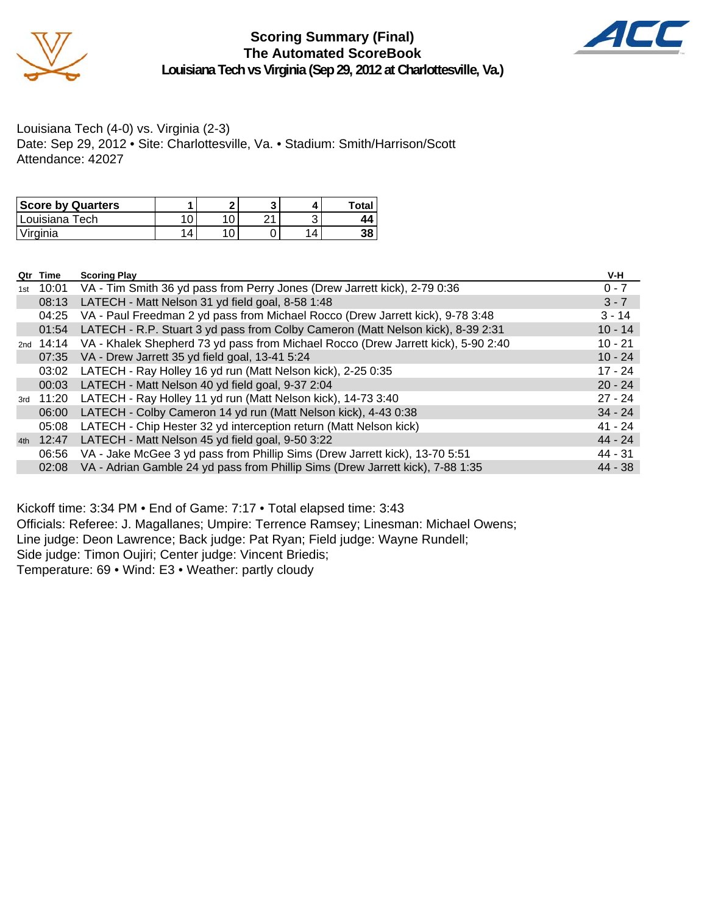

### **Scoring Summary (Final) The Automated ScoreBook Louisiana Tech vs Virginia (Sep 29, 2012 at Charlottesville, Va.)**



Louisiana Tech (4-0) vs. Virginia (2-3) Date: Sep 29, 2012 • Site: Charlottesville, Va. • Stadium: Smith/Harrison/Scott Attendance: 42027

| <b>Score by Quarters</b> |    |   |   | <b>Total</b> |
|--------------------------|----|---|---|--------------|
| ' Louisiana Tech         |    | ົ |   | 44           |
| 'Virginia                | 14 |   | Δ | 38           |

|     | Qtr Time  | <b>Scoring Play</b>                                                                         | V-H       |
|-----|-----------|---------------------------------------------------------------------------------------------|-----------|
| 1st | 10:01     | VA - Tim Smith 36 yd pass from Perry Jones (Drew Jarrett kick), 2-79 0:36                   | $0 - 7$   |
|     | 08:13     | LATECH - Matt Nelson 31 yd field goal, 8-58 1:48                                            | $3 - 7$   |
|     | 04:25     | VA - Paul Freedman 2 yd pass from Michael Rocco (Drew Jarrett kick), 9-78 3:48              | $3 - 14$  |
|     | 01:54     | LATECH - R.P. Stuart 3 yd pass from Colby Cameron (Matt Nelson kick), 8-39 2:31             | $10 - 14$ |
|     |           | 2nd 14:14 VA - Khalek Shepherd 73 yd pass from Michael Rocco (Drew Jarrett kick), 5-90 2:40 | $10 - 21$ |
|     | 07:35     | VA - Drew Jarrett 35 yd field goal, 13-41 5:24                                              | $10 - 24$ |
|     | 03:02     | LATECH - Ray Holley 16 yd run (Matt Nelson kick), 2-25 0:35                                 | $17 - 24$ |
|     | 00:03     | LATECH - Matt Nelson 40 yd field goal, 9-37 2:04                                            | $20 - 24$ |
|     | 3rd 11:20 | LATECH - Ray Holley 11 yd run (Matt Nelson kick), 14-73 3:40                                | $27 - 24$ |
|     | 06:00     | LATECH - Colby Cameron 14 yd run (Matt Nelson kick), 4-43 0:38                              | $34 - 24$ |
|     | 05:08     | LATECH - Chip Hester 32 yd interception return (Matt Nelson kick)                           | $41 - 24$ |
|     | 4th 12:47 | LATECH - Matt Nelson 45 yd field goal, 9-50 3:22                                            | $44 - 24$ |
|     | 06:56     | VA - Jake McGee 3 yd pass from Phillip Sims (Drew Jarrett kick), 13-70 5:51                 | 44 - 31   |
|     | 02:08     | VA - Adrian Gamble 24 yd pass from Phillip Sims (Drew Jarrett kick), 7-88 1:35              | $44 - 38$ |

Kickoff time: 3:34 PM • End of Game: 7:17 • Total elapsed time: 3:43

Officials: Referee: J. Magallanes; Umpire: Terrence Ramsey; Linesman: Michael Owens; Line judge: Deon Lawrence; Back judge: Pat Ryan; Field judge: Wayne Rundell; Side judge: Timon Oujiri; Center judge: Vincent Briedis; Temperature: 69 • Wind: E3 • Weather: partly cloudy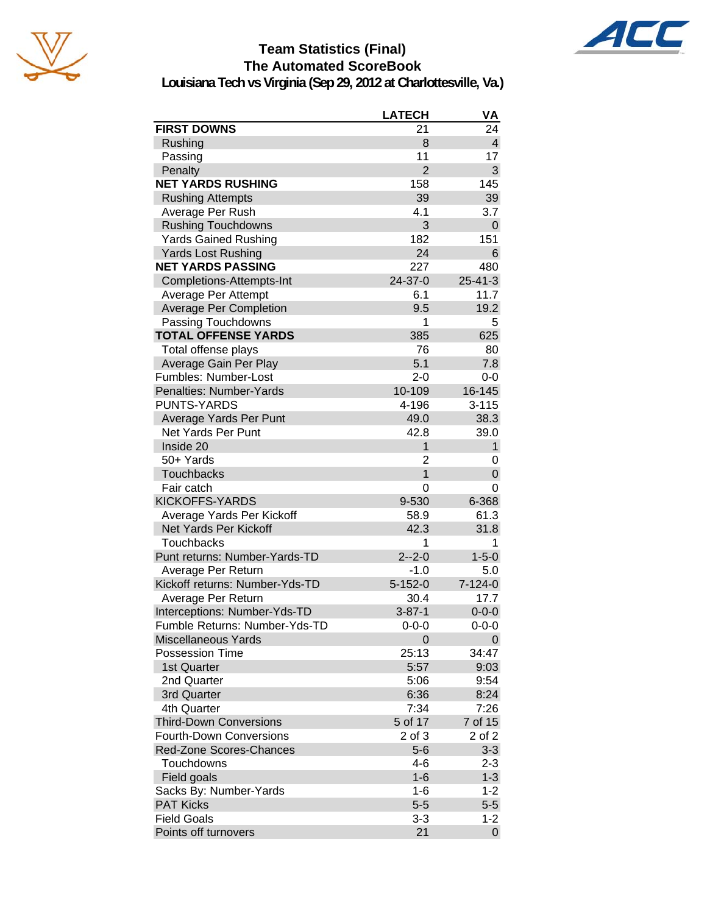



## **Team Statistics (Final) The Automated ScoreBook**

**Louisiana Tech vs Virginia (Sep 29, 2012 at Charlottesville, Va.)**

|                                | <b>LATECH</b>  | VA                      |
|--------------------------------|----------------|-------------------------|
| <b>FIRST DOWNS</b>             | 21             | 24                      |
| Rushing                        | 8              | $\overline{\mathbf{4}}$ |
| Passing                        | 11             | 17                      |
| Penalty                        | $\overline{2}$ | 3                       |
| <b>NET YARDS RUSHING</b>       | 158            | 145                     |
| <b>Rushing Attempts</b>        | 39             | 39                      |
| Average Per Rush               | 4.1            | 3.7                     |
| <b>Rushing Touchdowns</b>      | 3              | 0                       |
| <b>Yards Gained Rushing</b>    | 182            | 151                     |
| <b>Yards Lost Rushing</b>      | 24             | 6                       |
| <b>NET YARDS PASSING</b>       | 227            | 480                     |
| Completions-Attempts-Int       | 24-37-0        | $25 - 41 - 3$           |
| Average Per Attempt            | 6.1            | 11.7                    |
| <b>Average Per Completion</b>  | 9.5            | 19.2                    |
| Passing Touchdowns             | 1              | 5                       |
| <b>TOTAL OFFENSE YARDS</b>     | 385            | 625                     |
| Total offense plays            | 76             | 80                      |
| Average Gain Per Play          | 5.1            | 7.8                     |
| Fumbles: Number-Lost           | $2 - 0$        | $0-0$                   |
| Penalties: Number-Yards        | 10-109         | 16-145                  |
| <b>PUNTS-YARDS</b>             | 4-196          | $3 - 115$               |
| Average Yards Per Punt         | 49.0           | 38.3                    |
| Net Yards Per Punt             | 42.8           | 39.0                    |
| Inside 20                      | 1              | $\mathbf{1}$            |
| 50+ Yards                      | $\overline{2}$ | 0                       |
| Touchbacks                     | $\mathbf{1}$   | 0                       |
| Fair catch                     | 0              | 0                       |
| <b>KICKOFFS-YARDS</b>          | 9-530          | 6-368                   |
| Average Yards Per Kickoff      | 58.9           | 61.3                    |
| Net Yards Per Kickoff          | 42.3           | 31.8                    |
| <b>Touchbacks</b>              | 1              | 1                       |
| Punt returns: Number-Yards-TD  | $2 - 2 - 0$    | $1 - 5 - 0$             |
| Average Per Return             | $-1.0$         | 5.0                     |
| Kickoff returns: Number-Yds-TD | $5 - 152 - 0$  | $7 - 124 - 0$           |
| Average Per Return             | 30.4           | 17.7                    |
| Interceptions: Number-Yds-TD   | $3 - 87 - 1$   | $0 - 0 - 0$             |
| Fumble Returns: Number-Yds-TD  | $0 - 0 - 0$    | $0 - 0 - 0$             |
| <b>Miscellaneous Yards</b>     | 0              | 0                       |
| <b>Possession Time</b>         | 25:13          | 34:47                   |
| 1st Quarter                    | 5:57           | 9:03                    |
| 2nd Quarter                    | 5:06           | 9:54                    |
| 3rd Quarter                    | 6:36           | 8:24                    |
| 4th Quarter                    | 7:34           | 7:26                    |
| <b>Third-Down Conversions</b>  | 5 of 17        | 7 of 15                 |
| <b>Fourth-Down Conversions</b> | 2 of 3         | 2 of 2                  |
| Red-Zone Scores-Chances        | $5-6$          | $3 - 3$                 |
| Touchdowns                     | 4-6            | $2 - 3$                 |
| Field goals                    | $1 - 6$        | $1 - 3$                 |
| Sacks By: Number-Yards         | 1-6            | $1 - 2$                 |
| <b>PAT Kicks</b>               | $5-5$          | $5-5$                   |
| <b>Field Goals</b>             | $3 - 3$        | $1 - 2$                 |
| Points off turnovers           | 21             | 0                       |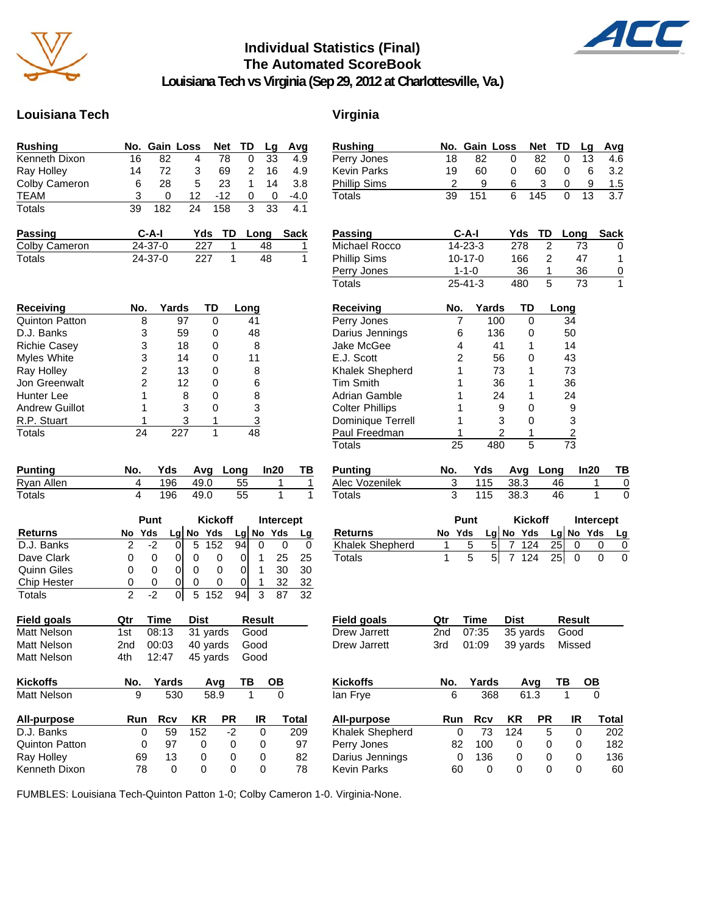

### **Individual Statistics (Final) The Automated ScoreBook**



**Louisiana Tech vs Virginia (Sep 29, 2012 at Charlottesville, Va.)**

### **Louisiana Tech Virginia**

| <b>Rushing</b> |    |              | No. Gain Loss Net TD Lg Avg |       |               |          |        |
|----------------|----|--------------|-----------------------------|-------|---------------|----------|--------|
| Kenneth Dixon  | 16 | 82           |                             | 78    | 0             | 33       | 4.9    |
| Ray Holley     | 14 | 72           | 3                           | 69    | $\mathcal{P}$ | 16       | 4.9    |
| Colby Cameron  | 6  | 28           | 5                           | 23    | 1             | 14       | 3.8    |
| <b>TEAM</b>    | 3  | $\mathbf{0}$ | 12.                         | $-12$ | 0             | $\Omega$ | $-4.0$ |
| Totals         | 39 | 182          | 24                          | 158   | 3             | 33       | 4.1    |

| <b>Passing</b> | C-A-I         |     | Yds TD Long Sack |  |
|----------------|---------------|-----|------------------|--|
| Colby Cameron  | $24 - 37 - 0$ | 227 | 48               |  |
| Totals         | $24 - 37 - 0$ | 227 | 48               |  |

| Receiving             | No. | Yards | TD | Long |
|-----------------------|-----|-------|----|------|
| <b>Quinton Patton</b> | 8   | 97    |    | 41   |
| D.J. Banks            | 3   | 59    |    | 48   |
| <b>Richie Casey</b>   | 3   | 18    |    | 8    |
| Myles White           | 3   | 14    |    | 11   |
| Ray Holley            | 2   | 13    | ი  | 8    |
| Jon Greenwalt         | 2   | 12    |    | 6    |
| Hunter Lee            |     | 8     |    | 8    |
| <b>Andrew Guillot</b> |     | 3     |    | 3    |
| R.P. Stuart           |     | 3     |    | 3    |
| Totals                |     |       |    | 18   |

| Punting    | No. |     |          | Yds Avg Long In20 | TB. |
|------------|-----|-----|----------|-------------------|-----|
| Ryan Allen |     |     | 196 49.0 | 55                |     |
| Totals     |     | 196 | $-49.0$  | -55               |     |

|                    |          | Punt |   |   |              | <b>Kickoff</b>  |   |           | <b>Intercept</b> |
|--------------------|----------|------|---|---|--------------|-----------------|---|-----------|------------------|
| <b>Returns</b>     | No       | Yds  |   |   | $Lq$ No Yds  |                 |   | Lg No Yds | Lg               |
| D.J. Banks         |          |      |   | 5 | 152          | 94 <sub>1</sub> |   |           |                  |
| Dave Clark         | O        |      |   |   | O            |                 |   | 25        | 25               |
| <b>Quinn Giles</b> | $\Omega$ | O)   | O | 0 | $\mathbf{0}$ |                 |   | 30        | 30               |
| Chip Hester        | O        | O    | O | 0 | O            | 0               |   | 32        | 32               |
| Totals             |          |      |   |   |              |                 | ว |           | 32               |

| <b>Field goals</b> | Otr   | Time      | Dist                    | Result |
|--------------------|-------|-----------|-------------------------|--------|
| Matt Nelson        | 1st l |           | 08:13 31 yards Good     |        |
| Matt Nelson        |       | 2nd 00:03 | 40 yards Good           |        |
| Matt Nelson        |       |           | 4th 12:47 45 yards Good |        |

| <b>Kickoffs</b>       | No. | Yards |     | Ava  | ΤВ | OВ    |
|-----------------------|-----|-------|-----|------|----|-------|
| <b>Matt Nelson</b>    | 9   | 530   |     | 58.9 |    |       |
| <b>All-purpose</b>    | Run | Rcv   | ΚR  | РR   | IR | Total |
| D.J. Banks            |     | 59    | 152 | -2   | 0  | 209   |
| <b>Quinton Patton</b> | 0   | 97    | 0   | 0    | 0  | 97    |
| Ray Holley            | 69  | 13    | 0   | 0    | O  | 82    |
| Kenneth Dixon         | 78  | O     | 0   | O    | O  | 78    |

| <b>Rushing</b>         | No.            | Gain Loss     |                     | <b>Net</b>     | TD             | Lg        | Avg            |
|------------------------|----------------|---------------|---------------------|----------------|----------------|-----------|----------------|
| Perry Jones            | 18             | 82            | 0                   | 82             | 0              | 13        | 4.6            |
| <b>Kevin Parks</b>     | 19             | 60            | 0                   | 60             | 0              | 6         | 3.2            |
| <b>Phillip Sims</b>    | 2              | 9             | 6                   | 3              | 0              | 9         | 1.5            |
| <b>Totals</b>          | 39             | 151           | 6                   | 145            | 0              | 13        | 3.7            |
| <b>Passing</b>         |                | C-A-I         | Yds                 |                | TD             | Long      | <b>Sack</b>    |
| Michael Rocco          |                | 14-23-3       | 278                 |                | 2              | 73        | 0              |
| Phillip Sims           |                | $10 - 17 - 0$ | 166                 |                | $\overline{2}$ | 47        | 1              |
| Perry Jones            |                | $1 - 1 - 0$   |                     | 36             | 1              | 36        | $\overline{0}$ |
| <b>Totals</b>          |                | $25 - 41 - 3$ | 480                 |                | 5              | 73        | 1              |
| Receiving              | No.            | Yards         |                     | TD             | Long           |           |                |
| Perry Jones            | 7              |               | 100                 | 0              | 34             |           |                |
| Darius Jennings        | 6              |               | 136                 | 0              | 50             |           |                |
| Jake McGee             | 4              |               | 41                  | 1              | 14             |           |                |
| E.J. Scott             | $\overline{2}$ |               | 56                  | 0              | 43             |           |                |
| Khalek Shepherd        | 1              |               | 73                  | 1              | 73             |           |                |
| <b>Tim Smith</b>       | 1              |               | 36                  | 1              | 36             |           |                |
| Adrian Gamble          | 1              |               | 24                  | 1              | 24             |           |                |
| <b>Colter Phillips</b> | 1              |               | 9                   | 0              |                | 9         |                |
| Dominique Terrell      | 1              |               | 3                   | 0              |                | 3         |                |
| Paul Freedman          | 1              |               | 2                   | 1              | $\frac{2}{73}$ |           |                |
| <b>Totals</b>          | 25             |               | 480                 | 5              |                |           |                |
| <b>Punting</b>         | No.            | Yds           | Avg                 |                | Long           | In20      | ΤВ             |
| Alec Vozenilek         | 3              | 115           | 38.3                |                | 46             | 1         | 0              |
| <b>Totals</b>          | 3              | 115           | 38.3                |                | 46             | 1         | 0              |
|                        |                | Punt          |                     | <b>Kickoff</b> |                | Intercept |                |
| <b>Returns</b>         | No             | Yds           | Lg No Yds           |                |                | Lg No Yds | Lg             |
| Khalek Shepherd        | 1              | 5             | 5<br>7              | 124            | 25             | 0         | 0<br>0         |
| <b>Totals</b>          | 1              | 5             | 5 <sup>1</sup><br>7 | 124            | 25             | 0         | 0<br>0         |
| <b>Field goals</b>     | Qtr            | Time          | <b>Dist</b>         |                |                | Result    |                |
| Drew Jarrett           | 2nd            | 07:35         |                     | 35 yards       |                | Good      |                |
| Drew Jarrett           | 3rd            | 01:09         |                     | 39 yards       |                | Missed    |                |
| <b>Kickoffs</b>        | No.            | Yards         |                     | Avq            | ΤВ             | OВ        |                |
| lan Frye               | 6              | 368           |                     | 61.3           |                |           |                |
|                        |                |               |                     |                |                |           |                |
| All-purpose            | Run            | <b>Rcv</b>    | <b>KR</b>           | <b>PR</b>      |                | IR        | Total          |
| Khalek Shepherd        | 0              | 73            | 124                 |                | 5              | 0         | 202            |
| Perry Jones            | 82             | 100           | 0                   |                | 0              | 0         | 182            |
| Darius Jennings        | 0              | 136           | 0                   |                | 0              | 0         | 136            |
| Kevin Parks            | 60             | 0             | 0                   |                | 0              | 0         | 60             |

FUMBLES: Louisiana Tech-Quinton Patton 1-0; Colby Cameron 1-0. Virginia-None.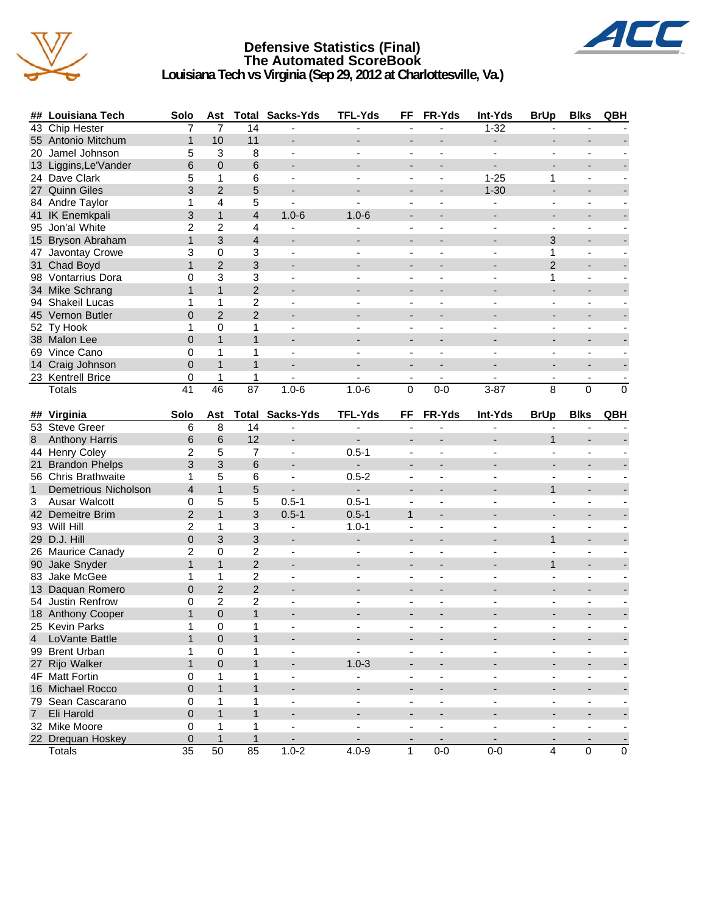

### **Defensive Statistics (Final) The Automated ScoreBook Louisiana Tech vs Virginia (Sep 29, 2012 at Charlottesville, Va.)**



|              | ## Louisiana Tech                   | Solo           |                 |                   | Ast Total Sacks-Yds      | <b>TFL-Yds</b>                        | FF                       | FR-Yds                   | Int-Yds                  | <b>BrUp</b>              | <b>Blks</b>              | QBH                      |
|--------------|-------------------------------------|----------------|-----------------|-------------------|--------------------------|---------------------------------------|--------------------------|--------------------------|--------------------------|--------------------------|--------------------------|--------------------------|
|              | 43 Chip Hester                      | 7              | $\overline{7}$  | 14                |                          | ٠                                     |                          |                          | $1 - 32$                 |                          |                          |                          |
|              | 55 Antonio Mitchum                  | $\mathbf{1}$   | 10              | 11                | ٠                        |                                       | $\overline{\phantom{a}}$ |                          | $\overline{\phantom{a}}$ | $\overline{\phantom{0}}$ | $\overline{\phantom{a}}$ |                          |
|              | 20 Jamel Johnson                    | 5              | 3               | 8                 | ä,                       |                                       | $\blacksquare$           |                          |                          | ÷,                       | $\overline{a}$           |                          |
|              | 13 Liggins, Le'Vander               | 6              | 0               | 6                 | $\blacksquare$           |                                       |                          |                          |                          |                          |                          |                          |
|              | 24 Dave Clark                       | 5              | 1               | 6                 | $\overline{a}$           |                                       |                          | ÷,                       | $1 - 25$                 | 1                        | $\blacksquare$           |                          |
|              | 27 Quinn Giles                      | 3              | $\overline{2}$  | 5                 | $\overline{a}$           |                                       |                          | $\overline{a}$           | $1 - 30$                 | ÷,                       | $\overline{a}$           |                          |
|              | 84 Andre Taylor                     | 1              | 4               | 5                 | ÷,                       |                                       |                          |                          |                          |                          |                          |                          |
|              | 41 IK Enemkpali                     | 3              | $\mathbf{1}$    | $\overline{4}$    | $1.0 - 6$                | $1.0 - 6$                             |                          |                          |                          |                          |                          |                          |
|              | 95 Jon'al White                     | 2              | $\overline{c}$  | 4                 | $\overline{\phantom{a}}$ | $\blacksquare$                        | $\overline{\phantom{a}}$ | $\blacksquare$           | $\blacksquare$           | $\blacksquare$           | $\overline{\phantom{a}}$ |                          |
|              | 15 Bryson Abraham                   | $\mathbf{1}$   | 3               | $\overline{4}$    | $\overline{\phantom{a}}$ |                                       | $\blacksquare$           |                          | $\blacksquare$           | 3                        | $\overline{\phantom{a}}$ |                          |
|              | 47 Javontay Crowe                   | 3              | $\mathbf 0$     | 3                 | $\overline{\phantom{a}}$ | $\overline{\phantom{a}}$              | $\frac{1}{2}$            | ä,                       | $\sim$                   | 1                        | $\blacksquare$           |                          |
|              | 31 Chad Boyd                        | $\mathbf{1}$   | $\overline{2}$  | 3                 |                          |                                       | $\overline{\phantom{a}}$ |                          |                          | $\overline{2}$           | $\overline{\phantom{a}}$ |                          |
|              | 98 Vontarrius Dora                  | 0              | 3               | 3                 | ÷,                       |                                       | $\blacksquare$           |                          |                          | 1                        | ä,                       |                          |
|              | 34 Mike Schrang                     | $\mathbf{1}$   | $\mathbf{1}$    | $\overline{2}$    | $\overline{\phantom{0}}$ |                                       |                          |                          |                          |                          |                          |                          |
|              | 94 Shakeil Lucas                    | 1              | 1               | $\overline{c}$    |                          |                                       |                          |                          |                          |                          |                          |                          |
|              | 45 Vernon Butler                    | $\overline{0}$ | $\overline{2}$  | $\overline{2}$    | $\overline{\phantom{a}}$ |                                       |                          | $\overline{a}$           | $\overline{a}$           | $\overline{a}$           | $\overline{a}$           |                          |
|              | 52 Ty Hook                          | 1              | 0               | 1                 |                          |                                       |                          |                          |                          |                          |                          |                          |
|              | 38 Malon Lee                        | $\overline{0}$ | $\mathbf{1}$    | $\mathbf{1}$      |                          |                                       |                          |                          |                          |                          |                          |                          |
|              | 69 Vince Cano                       | 0              | 1               | 1                 | $\blacksquare$           | $\blacksquare$                        | $\overline{\phantom{a}}$ | $\blacksquare$           | $\blacksquare$           | $\blacksquare$           | $\overline{\phantom{a}}$ |                          |
|              | 14 Craig Johnson                    | $\overline{0}$ | $\mathbf{1}$    | $\mathbf{1}$      |                          |                                       | $\overline{\phantom{0}}$ | $\overline{\phantom{a}}$ |                          | $\overline{\phantom{0}}$ | $\overline{\phantom{a}}$ |                          |
|              | 23 Kentrell Brice                   | 0              | $\mathbf{1}$    | 1                 | $\blacksquare$           | $\overline{\phantom{0}}$              | $\blacksquare$           | $\blacksquare$           | $\sim$                   | $\overline{\phantom{a}}$ | $\overline{\phantom{a}}$ |                          |
|              | Totals                              | 41             | $\overline{46}$ | 87                | $1.0 - 6$                | $1.0 - 6$                             | 0                        | $0-0$                    | $3 - 87$                 | 8                        | $\Omega$                 | $\Omega$                 |
|              |                                     |                |                 |                   |                          |                                       |                          |                          |                          |                          |                          |                          |
|              | ## Virginia                         | Solo           | Ast             |                   | <b>Total Sacks-Yds</b>   | <b>TFL-Yds</b>                        | FF                       | FR-Yds                   | Int-Yds                  | <b>BrUp</b>              | <b>Blks</b>              | QBH                      |
|              | 53 Steve Greer                      | 6              | 8               | 14                | $\blacksquare$           | $\sim$                                |                          |                          |                          |                          |                          |                          |
|              |                                     |                |                 |                   |                          |                                       |                          |                          |                          |                          |                          |                          |
| 8            | <b>Anthony Harris</b>               | 6              | 6               | 12                | $\overline{\phantom{a}}$ | $\overline{\phantom{a}}$              | $\blacksquare$           | L.                       | $\overline{a}$           | $\mathbf{1}$             | $\overline{a}$           |                          |
|              | 44 Henry Coley                      | 2              | 5               | $\overline{7}$    | $\overline{a}$           | $0.5 - 1$                             | ÷,                       |                          |                          |                          |                          |                          |
|              | 21 Brandon Phelps                   | 3              | 3               | 6                 |                          | $\sim$                                |                          |                          |                          |                          |                          |                          |
|              | 56 Chris Brathwaite                 | 1              | 5               | 6                 | $\overline{\phantom{a}}$ | $0.5 - 2$                             | $\overline{\phantom{a}}$ | $\blacksquare$           | $\blacksquare$           | $\blacksquare$           | $\overline{\phantom{a}}$ |                          |
| $\mathbf{1}$ | <b>Demetrious Nicholson</b>         | $\overline{4}$ | $\mathbf{1}$    | 5                 | $\overline{a}$           | $\overline{\phantom{a}}$              | $\blacksquare$           |                          | $\overline{\phantom{a}}$ | $\mathbf{1}$             | $\overline{\phantom{a}}$ |                          |
| 3            | Ausar Walcott                       | 0              | 5               | 5                 | $0.5 - 1$                | $0.5 - 1$                             | ٠                        | ä,                       | $\sim$                   | $\sim$                   | $\blacksquare$           |                          |
|              | 42 Demeitre Brim                    | $\overline{2}$ | $\mathbf{1}$    | 3                 | $0.5 - 1$                | $0.5 - 1$                             | $\mathbf{1}$             | $\overline{\phantom{a}}$ |                          | $\overline{\phantom{a}}$ |                          |                          |
|              | 93 Will Hill                        | $\overline{2}$ | 1               | 3                 | $\blacksquare$           | $1.0 - 1$                             | L.                       |                          | $\blacksquare$           | ä,                       | ÷,                       |                          |
|              | 29 D.J. Hill                        | 0              | 3               | 3                 | $\overline{\phantom{a}}$ | $\overline{\phantom{a}}$              |                          |                          |                          | $\mathbf 1$              |                          |                          |
|              |                                     | $\overline{2}$ | $\mathbf 0$     | $\overline{c}$    | ÷,                       |                                       |                          |                          |                          |                          | $\overline{\phantom{a}}$ |                          |
|              | 26 Maurice Canady<br>90 Jake Snyder | $\mathbf{1}$   | $\mathbf{1}$    | $\overline{2}$    | $\overline{a}$           | $\overline{a}$                        |                          | L.                       | $\overline{a}$           | $\mathbf{1}$             | $\blacksquare$           |                          |
|              | 83 Jake McGee                       | 1              | 1               | $\overline{c}$    |                          |                                       |                          |                          |                          |                          | $\overline{\phantom{a}}$ |                          |
|              | 13 Daquan Romero                    | 0              | $\overline{2}$  | $\overline{2}$    |                          |                                       |                          |                          |                          |                          |                          |                          |
|              | 54 Justin Renfrow                   | 0              | 2               | 2                 | $\overline{\phantom{a}}$ | $\blacksquare$                        | $\blacksquare$           | $\blacksquare$           | $\blacksquare$           | $\blacksquare$           | $\overline{\phantom{a}}$ |                          |
|              |                                     | $\mathbf{1}$   | $\overline{0}$  | $\mathbf{1}$      |                          |                                       |                          |                          |                          |                          | $\blacksquare$           |                          |
|              | 18 Anthony Cooper                   | 1              | $\pmb{0}$       | 1                 |                          |                                       |                          |                          |                          |                          |                          |                          |
| 4            | 25 Kevin Parks                      | $\mathbf{1}$   | $\mathbf 0$     | $\mathbf{1}$      | -                        | $\overline{\phantom{a}}$              |                          |                          |                          |                          |                          |                          |
|              | LoVante Battle                      | 1              | 0               | 1                 | $\blacksquare$           | $\blacksquare$                        | $\blacksquare$           | ä,                       | $\overline{\phantom{a}}$ | ä,                       | $\blacksquare$           |                          |
|              | 99 Brent Urban                      | $\mathbf{1}$   | 0               | $\mathbf{1}$      |                          |                                       |                          |                          |                          |                          | $\overline{\phantom{a}}$ |                          |
|              | 27 Rijo Walker                      | 0              | 1               | 1                 | $\overline{\phantom{a}}$ | $1.0 - 3$<br>$\overline{\phantom{a}}$ | $\blacksquare$           | ä,                       |                          | $\overline{\phantom{a}}$ | $\blacksquare$           |                          |
|              | 4F Matt Fortin                      |                | $\mathbf{1}$    | $\mathbf{1}$      |                          |                                       |                          |                          |                          |                          |                          |                          |
|              | 16 Michael Rocco                    | 0<br>0         | 1               | 1                 |                          |                                       |                          |                          |                          |                          |                          |                          |
|              | 79 Sean Cascarano                   | $\overline{0}$ | $\mathbf{1}$    | $\mathbf{1}$      |                          |                                       |                          |                          |                          |                          |                          |                          |
|              | 7 Eli Harold                        |                |                 |                   | $\overline{\phantom{a}}$ | $\blacksquare$                        | -                        | $\blacksquare$           | $\blacksquare$           | $\overline{\phantom{a}}$ | $\overline{\phantom{a}}$ | $\overline{\phantom{a}}$ |
|              | 32 Mike Moore<br>22 Drequan Hoskey  | 0<br>$\pmb{0}$ | 1<br>1          | 1<br>$\mathbf{1}$ |                          |                                       |                          |                          |                          |                          | $\overline{\phantom{a}}$ |                          |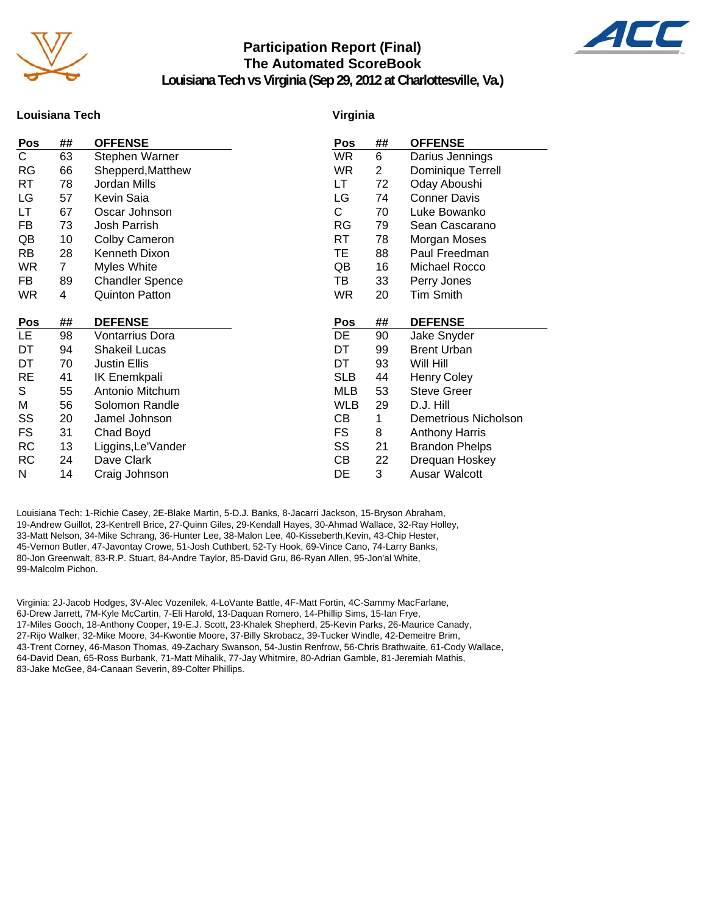

### **Participation Report (Final) The Automated ScoreBook**



**Louisiana Tech vs Virginia (Sep 29, 2012 at Charlottesville, Va.)**

### **Louisiana Tech**

#### **Virginia**

| Pos                     | ##             | <b>OFFENSE</b>              | Pos        | ##             | <b>OFFENSE</b>        |
|-------------------------|----------------|-----------------------------|------------|----------------|-----------------------|
| $\overline{\mathsf{C}}$ | 63             | Stephen Warner              | <b>WR</b>  | 6              | Darius Jennings       |
| RG                      | 66             | Shepperd, Matthew           | <b>WR</b>  | $\overline{2}$ | Dominique Terrell     |
| RT                      | 78             | Jordan Mills                | LT         | 72             | Oday Aboushi          |
| LG                      | 57             | Kevin Saia                  | LG         | 74             | <b>Conner Davis</b>   |
| LT                      | 67             | Oscar Johnson               | C          | 70             | Luke Bowanko          |
| FB                      | 73             | Josh Parrish                | <b>RG</b>  | 79             | Sean Cascarano        |
| QB                      | 10             | Colby Cameron               | RT         | 78             | Morgan Moses          |
| RB.                     | 28             | <b>Kenneth Dixon</b>        | TE         | 88             | Paul Freedman         |
| WR                      | $\overline{7}$ | Myles White                 | QB         | 16             | Michael Rocco         |
| FB                      | 89             | <b>Chandler Spence</b>      | TB         | 33             | Perry Jones           |
| <b>WR</b>               | 4              | <b>Quinton Patton</b>       | <b>WR</b>  | 20             | <b>Tim Smith</b>      |
|                         |                |                             |            |                |                       |
|                         |                |                             |            |                |                       |
| Pos                     | ##             | <b>DEFENSE</b>              | Pos        | ##             | <b>DEFENSE</b>        |
| LE.                     | 98             | Vontarrius Dora             | DE         | 90             | Jake Snyder           |
| DT                      | 94             | <b>Shakeil Lucas</b>        | DT         | 99             | <b>Brent Urban</b>    |
| DT                      | 70             | <b>Justin Ellis</b>         | DT         | 93             | Will Hill             |
| RE                      | 41             | <b>IK Enemkpali</b>         | <b>SLB</b> | 44             | <b>Henry Coley</b>    |
| S                       | 55             | Antonio Mitchum             | <b>MLB</b> | 53             | <b>Steve Greer</b>    |
| Μ                       | 56             | Solomon Randle              | <b>WLB</b> | 29             | D.J. Hill             |
| SS                      | 20             | Jamel Johnson               | CВ         | 1              | Demetrious Nicholson  |
| FS                      | 31             | Chad Boyd                   | FS         | 8              | <b>Anthony Harris</b> |
| RC                      | 13             | Liggins, Le'Vander          | SS         | 21             | <b>Brandon Phelps</b> |
| RC                      | 24<br>14       | Dave Clark<br>Craig Johnson | CВ         | 22<br>3        | Drequan Hoskey        |

Louisiana Tech: 1-Richie Casey, 2E-Blake Martin, 5-D.J. Banks, 8-Jacarri Jackson, 15-Bryson Abraham, 19-Andrew Guillot, 23-Kentrell Brice, 27-Quinn Giles, 29-Kendall Hayes, 30-Ahmad Wallace, 32-Ray Holley, 33-Matt Nelson, 34-Mike Schrang, 36-Hunter Lee, 38-Malon Lee, 40-Kisseberth,Kevin, 43-Chip Hester, 45-Vernon Butler, 47-Javontay Crowe, 51-Josh Cuthbert, 52-Ty Hook, 69-Vince Cano, 74-Larry Banks, 80-Jon Greenwalt, 83-R.P. Stuart, 84-Andre Taylor, 85-David Gru, 86-Ryan Allen, 95-Jon'al White, 99-Malcolm Pichon.

Virginia: 2J-Jacob Hodges, 3V-Alec Vozenilek, 4-LoVante Battle, 4F-Matt Fortin, 4C-Sammy MacFarlane, 6J-Drew Jarrett, 7M-Kyle McCartin, 7-Eli Harold, 13-Daquan Romero, 14-Phillip Sims, 15-Ian Frye, 17-Miles Gooch, 18-Anthony Cooper, 19-E.J. Scott, 23-Khalek Shepherd, 25-Kevin Parks, 26-Maurice Canady, 27-Rijo Walker, 32-Mike Moore, 34-Kwontie Moore, 37-Billy Skrobacz, 39-Tucker Windle, 42-Demeitre Brim, 43-Trent Corney, 46-Mason Thomas, 49-Zachary Swanson, 54-Justin Renfrow, 56-Chris Brathwaite, 61-Cody Wallace, 64-David Dean, 65-Ross Burbank, 71-Matt Mihalik, 77-Jay Whitmire, 80-Adrian Gamble, 81-Jeremiah Mathis, 83-Jake McGee, 84-Canaan Severin, 89-Colter Phillips.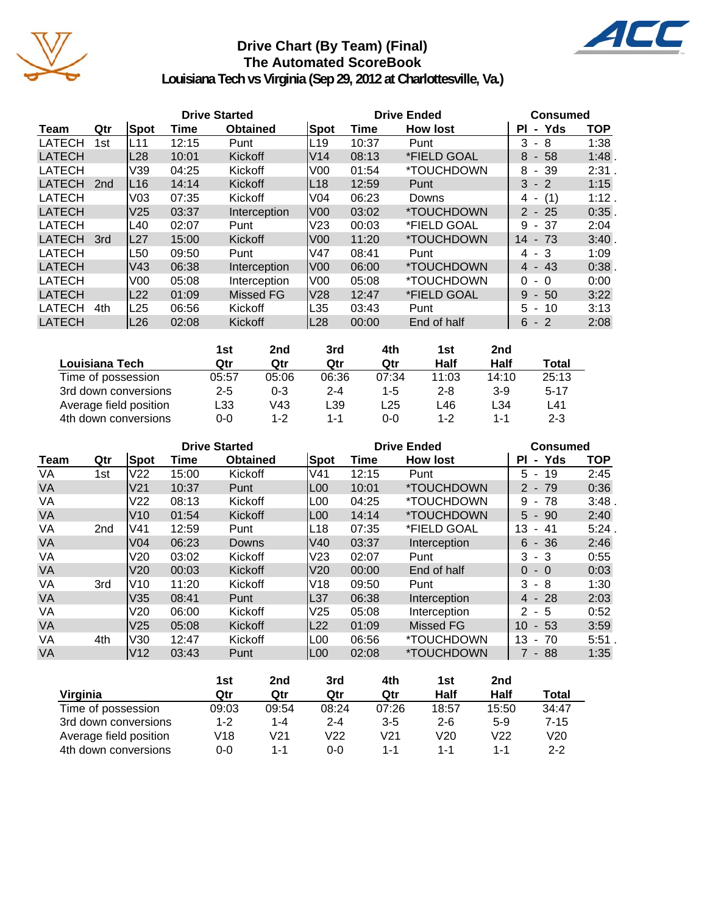

### **Drive Chart (By Team) (Final) The Automated ScoreBook**



**Louisiana Tech vs Virginia (Sep 29, 2012 at Charlottesville, Va.)**

|               |     |                 | <b>Drive Started</b> |                  |                 |       | <b>Drive Ended</b>       | <b>Consumed</b> |            |
|---------------|-----|-----------------|----------------------|------------------|-----------------|-------|--------------------------|-----------------|------------|
| Team          | Qtr | Spot            | Time                 | <b>Obtained</b>  | Spot            | Time  | <b>How lost</b>          | - Yds<br>ΡI     | <b>TOP</b> |
| <b>LATECH</b> | 1st | L11             | 12:15                | Punt             | L19             | 10:37 | Punt                     | 3<br>- 8        | 1:38       |
| <b>LATECH</b> |     | L28             | 10:01                | Kickoff          | V14             | 08:13 | *FIELD GOAL              | $-58$<br>8      | 1:48       |
| <b>LATECH</b> |     | V39             | 04:25                | Kickoff          | V <sub>00</sub> | 01:54 | *TOUCHDOWN               | - 39<br>8       | 2:31.      |
| <b>LATECH</b> | 2nd | L16             | 14:14                | Kickoff          | L <sub>18</sub> | 12:59 | Punt                     | $3 - 2$         | 1:15       |
| <b>LATECH</b> |     | V <sub>03</sub> | 07:35                | Kickoff          | V <sub>04</sub> | 06:23 | Downs                    | (1)<br>4 -      | 1:12.      |
| <b>LATECH</b> |     | V <sub>25</sub> | 03:37                | Interception     | lV00            | 03:02 | <i><b>*TOUCHDOWN</b></i> | $2 - 25$        | 0:35       |
| <b>LATECH</b> |     | L40             | 02:07                | Punt             | V <sub>23</sub> | 00:03 | *FIELD GOAL              | - 37<br>9       | 2:04       |
| <b>LATECH</b> | 3rd | L27             | 15:00                | Kickoff          | lV00            | 11:20 | <i><b>*TOUCHDOWN</b></i> | 14<br>- 73      | 3:40       |
| LATECH        |     | L50             | 09:50                | Punt             | V47             | 08:41 | Punt                     | $4 - 3$         | 1:09       |
| <b>LATECH</b> |     | V <sub>43</sub> | 06:38                | Interception     | V00             | 06:00 | <i><b>*TOUCHDOWN</b></i> | $4 - 43$        | 0:38       |
| <b>LATECH</b> |     | V <sub>00</sub> | 05:08                | Interception     | V00             | 05:08 | *TOUCHDOWN               | 0<br>- 0        | 0:00       |
| <b>LATECH</b> |     | L22             | 01:09                | <b>Missed FG</b> | V28             | 12:47 | *FIELD GOAL              | 9<br>$-50$      | 3:22       |
| <b>LATECH</b> | 4th | L25             | 06:56                | Kickoff          | L35             | 03:43 | Punt                     | $5 - 10$        | 3:13       |
| <b>LATECH</b> |     | L <sub>26</sub> | 02:08                | Kickoff          | L <sub>28</sub> | 00:00 | End of half              | $6 - 2$         | 2:08       |

|                        | 1st     | 2nd     | 3rd     | 4th     | 1st     | 2nd   |          |
|------------------------|---------|---------|---------|---------|---------|-------|----------|
| Louisiana Tech         | Qtr     | Qtr     | Qtr     | Qtr     | Half    | Half  | Total    |
| Time of possession     | 05:57   | 05:06   | 06:36   | 07:34   | 11:03   | 14:10 | 25:13    |
| 3rd down conversions   | $2 - 5$ | $0 - 3$ | $2 - 4$ | $1 - 5$ | $2 - 8$ | $3-9$ | $5 - 17$ |
| Average field position | L33     | V43     | L39     | ∟25     | L46     | L34   | L41      |
| 4th down conversions   | $0 - 0$ | $1 - 2$ | 1-1     | 0-0     | $1 - 2$ | 1-1   | $2 - 3$  |

|             |                 |                 |       | <b>Drive Started</b> |                  |       | <b>Drive Ended</b>       | <b>Consumed</b>             |            |
|-------------|-----------------|-----------------|-------|----------------------|------------------|-------|--------------------------|-----------------------------|------------|
| <b>Team</b> | Qtr             | Spot            | Time  | <b>Obtained</b>      | Spot             | Time  | <b>How lost</b>          | - Yds<br>ΡI                 | <b>TOP</b> |
| VA          | 1st             | V <sub>22</sub> | 15:00 | Kickoff              | V <sub>41</sub>  | 12:15 | Punt                     | 5 -<br>19                   | 2:45       |
| <b>VA</b>   |                 | V <sub>21</sub> | 10:37 | Punt                 | L <sub>00</sub>  | 10:01 | *TOUCHDOWN               | $2 - 79$                    | 0:36       |
| VA          |                 | V22             | 08:13 | Kickoff              | L <sub>0</sub> 0 | 04:25 | *TOUCHDOWN               | 78<br>9<br>$\sim$           | 3:48       |
| <b>VA</b>   |                 | V10             | 01:54 | Kickoff              | L <sub>0</sub> 0 | 14:14 | <i><b>*TOUCHDOWN</b></i> | $5 - 90$                    | 2:40       |
| VA          | 2 <sub>nd</sub> | V41             | 12:59 | Punt                 | L18              | 07:35 | *FIELD GOAL              | 13<br>-41<br>$\sim$         | $5:24$ .   |
| <b>VA</b>   |                 | V <sub>04</sub> | 06:23 | Downs                | lV40             | 03:37 | Interception             | $6 - 36$                    | 2:46       |
| VA          |                 | V20             | 03:02 | Kickoff              | V <sub>23</sub>  | 02:07 | Punt                     | 3<br>- 3                    | 0:55       |
| <b>VA</b>   |                 | V20             | 00:03 | Kickoff              | <b>V20</b>       | 00:00 | End of half              | $\Omega$<br>$-0$            | 0:03       |
| VA          | 3rd             | V <sub>10</sub> | 11:20 | Kickoff              | V18              | 09:50 | Punt                     | 3<br>- 8                    | 1:30       |
| <b>VA</b>   |                 | V35             | 08:41 | Punt                 | L37              | 06:38 | Interception             | $4 - 28$                    | 2:03       |
| VA          |                 | V20             | 06:00 | Kickoff              | V <sub>25</sub>  | 05:08 | Interception             | 2<br>- 5                    | 0:52       |
| <b>VA</b>   |                 | V <sub>25</sub> | 05:08 | Kickoff              | L <sub>22</sub>  | 01:09 | Missed FG                | 10<br>$-53$                 | 3:59       |
| VA          | 4th             | V30             | 12:47 | Kickoff              | L <sub>00</sub>  | 06:56 | *TOUCHDOWN               | 13<br>-70<br>$\blacksquare$ | 5:51.      |
| <b>VA</b>   |                 | V <sub>12</sub> | 03:43 | Punt                 | L <sub>00</sub>  | 02:08 | *TOUCHDOWN               | $7 - 88$                    | 1:35       |

|                        | 1st   | 2nd     | 3rd     | 4th     | 1st   | 2nd   |         |
|------------------------|-------|---------|---------|---------|-------|-------|---------|
| Virginia               | Qtr   | Qtr     | Qtr     | Qtr     | Half  | Half  | Total   |
| Time of possession     | 09:03 | 09:54   | 08:24   | 07:26   | 18:57 | 15:50 | 34:47   |
| 3rd down conversions   | 1-2   | $1 - 4$ | $2 - 4$ | $3 - 5$ | $2-6$ | $5-9$ | 7-15    |
| Average field position | V18   | V21     | V22     | V21     | V20   | V22   | V20     |
| 4th down conversions   | 0-0   | 1-1     | ი-ი     | 1-1     | 1-1   | 1-1   | $2 - 2$ |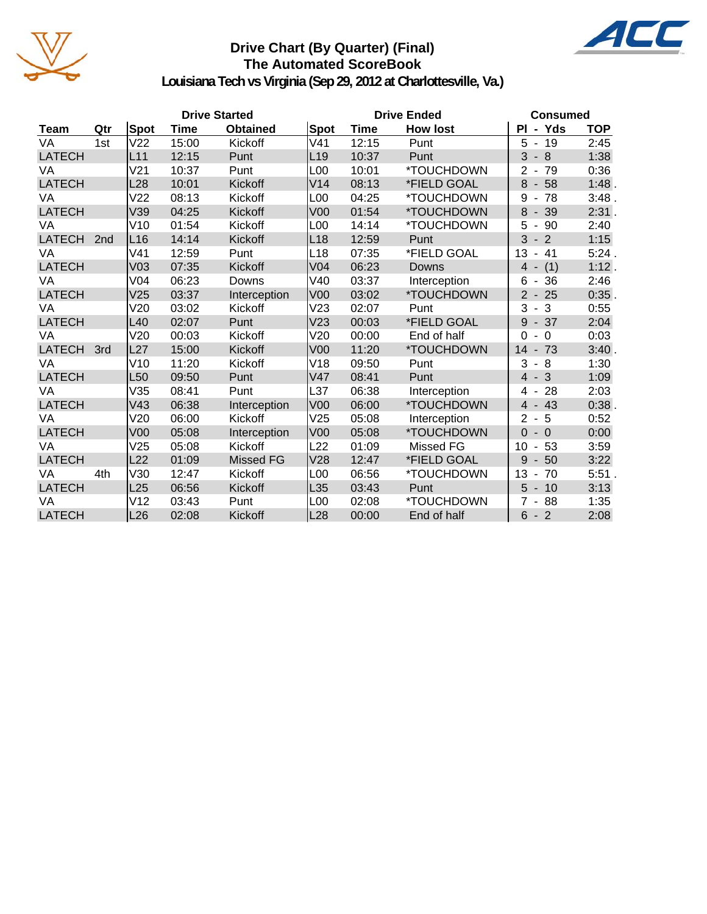

### **Drive Chart (By Quarter) (Final) The Automated ScoreBook**



**Louisiana Tech vs Virginia (Sep 29, 2012 at Charlottesville, Va.)**

|               |                 |                 | <b>Drive Started</b> |                  |                 |       | <b>Drive Ended</b>       | <b>Consumed</b>                         |            |
|---------------|-----------------|-----------------|----------------------|------------------|-----------------|-------|--------------------------|-----------------------------------------|------------|
| Team          | Qtr             | Spot            | <b>Time</b>          | <b>Obtained</b>  | <b>Spot</b>     | Time  | <b>How lost</b>          | PI - Yds                                | <b>TOP</b> |
| VA            | 1st             | V <sub>22</sub> | 15:00                | Kickoff          | V <sub>41</sub> | 12:15 | Punt                     | 5<br>19<br>$\blacksquare$               | 2:45       |
| <b>LATECH</b> |                 | L11             | 12:15                | Punt             | L <sub>19</sub> | 10:37 | Punt                     | 3<br>8<br>$\overline{\phantom{a}}$      | 1:38       |
| VA            |                 | V <sub>21</sub> | 10:37                | Punt             | L00             | 10:01 | *TOUCHDOWN               | 2<br>79<br>$\overline{\phantom{a}}$     | 0:36       |
| <b>LATECH</b> |                 | L <sub>28</sub> | 10:01                | Kickoff          | V14             | 08:13 | *FIELD GOAL              | 8<br>58<br>$\overline{\phantom{a}}$     | 1:48.      |
| VA            |                 | V <sub>22</sub> | 08:13                | Kickoff          | L00             | 04:25 | *TOUCHDOWN               | 9<br>78<br>$\qquad \qquad \blacksquare$ | 3:48.      |
| <b>LATECH</b> |                 | V39             | 04:25                | Kickoff          | V <sub>00</sub> | 01:54 | *TOUCHDOWN               | 8<br>39                                 | 2:31.      |
| VA            |                 | V10             | 01:54                | Kickoff          | L00             | 14:14 | *TOUCHDOWN               | $\sqrt{5}$<br>90                        | 2:40       |
| <b>LATECH</b> | 2 <sub>nd</sub> | L16             | 14:14                | Kickoff          | L <sub>18</sub> | 12:59 | Punt                     | 3<br>$-2$                               | 1:15       |
| VA            |                 | V <sub>41</sub> | 12:59                | Punt             | L18             | 07:35 | *FIELD GOAL              | 13<br>$-41$                             | 5:24.      |
| <b>LATECH</b> |                 | V <sub>03</sub> | 07:35                | Kickoff          | V <sub>04</sub> | 06:23 | Downs                    | (1)<br>$\overline{4}$                   | 1:12.      |
| VA            |                 | V <sub>04</sub> | 06:23                | Downs            | V40             | 03:37 | Interception             | 36<br>6<br>$\overline{\phantom{a}}$     | 2:46       |
| <b>LATECH</b> |                 | V <sub>25</sub> | 03:37                | Interception     | V <sub>00</sub> | 03:02 | *TOUCHDOWN               | 25<br>$\mathbf{2}$<br>$\blacksquare$    | 0:35.      |
| VA            |                 | V20             | 03:02                | Kickoff          | V23             | 02:07 | Punt                     | 3<br>-3<br>$\blacksquare$               | 0:55       |
| <b>LATECH</b> |                 | L40             | 02:07                | Punt             | V <sub>23</sub> | 00:03 | *FIELD GOAL              | $-37$<br>9                              | 2:04       |
| VA            |                 | V20             | 00:03                | Kickoff          | V20             | 00:00 | End of half              | $\Omega$<br>$\Omega$                    | 0:03       |
| <b>LATECH</b> | 3rd             | L27             | 15:00                | Kickoff          | V <sub>00</sub> | 11:20 | *TOUCHDOWN               | 14<br>$-73$                             | 3:40.      |
| VA            |                 | V10             | 11:20                | Kickoff          | V18             | 09:50 | Punt                     | 3<br>8<br>$\blacksquare$                | 1:30       |
| <b>LATECH</b> |                 | L <sub>50</sub> | 09:50                | Punt             | V47             | 08:41 | Punt                     | $-3$<br>$\overline{4}$                  | 1:09       |
| VA            |                 | V35             | 08:41                | Punt             | L37             | 06:38 | Interception             | 28<br>4<br>$\overline{\phantom{a}}$     | 2:03       |
| <b>LATECH</b> |                 | V43             | 06:38                | Interception     | V <sub>00</sub> | 06:00 | *TOUCHDOWN               | 43<br>$\overline{4}$                    | 0:38.      |
| VA            |                 | V20             | 06:00                | Kickoff          | V25             | 05:08 | Interception             | $\overline{2}$<br>5<br>$\blacksquare$   | 0:52       |
| <b>LATECH</b> |                 | V <sub>00</sub> | 05:08                | Interception     | V <sub>00</sub> | 05:08 | *TOUCHDOWN               | $\overline{0}$<br>$-0$                  | 0:00       |
| VA            |                 | V25             | 05:08                | Kickoff          | L <sub>22</sub> | 01:09 | Missed FG                | 10<br>53<br>$\overline{\phantom{a}}$    | 3:59       |
| <b>LATECH</b> |                 | L22             | 01:09                | <b>Missed FG</b> | V28             | 12:47 | *FIELD GOAL              | 9<br>50                                 | 3:22       |
| VA            | 4th             | V30             | 12:47                | Kickoff          | L00             | 06:56 | *TOUCHDOWN               | 13<br>70<br>$\overline{\phantom{a}}$    | 5:51.      |
| <b>LATECH</b> |                 | L25             | 06:56                | Kickoff          | L35             | 03:43 | Punt                     | 5<br>$-10$                              | 3:13       |
| VA            |                 | V12             | 03:43                | Punt             | L00             | 02:08 | <i><b>*TOUCHDOWN</b></i> | 88<br>7                                 | 1:35       |
| <b>LATECH</b> |                 | L26             | 02:08                | Kickoff          | L28             | 00:00 | End of half              | $6 - 2$                                 | 2:08       |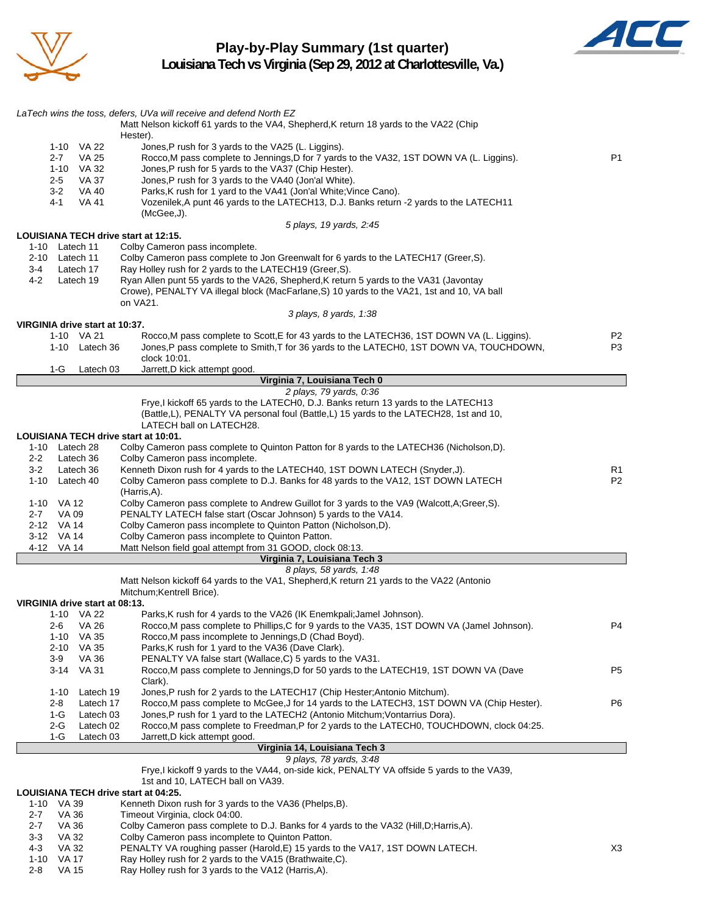

### **Play-by-Play Summary (1st quarter) Louisiana Tech vs Virginia (Sep 29, 2012 at Charlottesville, Va.)**



|         |                 |                                | LaTech wins the toss, defers, UVa will receive and defend North EZ                                                                                                       |                |
|---------|-----------------|--------------------------------|--------------------------------------------------------------------------------------------------------------------------------------------------------------------------|----------------|
|         |                 |                                | Matt Nelson kickoff 61 yards to the VA4, Shepherd, K return 18 yards to the VA22 (Chip                                                                                   |                |
|         |                 |                                | Hester).                                                                                                                                                                 |                |
|         |                 | 1-10 VA 22                     | Jones, P rush for 3 yards to the VA25 (L. Liggins).                                                                                                                      |                |
|         | $2 - 7$<br>1-10 | VA 25<br>VA 32                 | Rocco, M pass complete to Jennings, D for 7 yards to the VA32, 1ST DOWN VA (L. Liggins).<br>Jones, P rush for 5 yards to the VA37 (Chip Hester).                         | P <sub>1</sub> |
|         | $2 - 5$         | <b>VA 37</b>                   | Jones, P rush for 3 yards to the VA40 (Jon'al White).                                                                                                                    |                |
|         | $3-2$           | VA 40                          | Parks, K rush for 1 yard to the VA41 (Jon'al White; Vince Cano).                                                                                                         |                |
|         | 4-1             | VA 41                          | Vozenilek, A punt 46 yards to the LATECH13, D.J. Banks return -2 yards to the LATECH11                                                                                   |                |
|         |                 |                                | (McGee, J).                                                                                                                                                              |                |
|         |                 |                                | 5 plays, 19 yards, 2:45<br>LOUISIANA TECH drive start at 12:15.                                                                                                          |                |
|         | 1-10 Latech 11  |                                | Colby Cameron pass incomplete.                                                                                                                                           |                |
| 2-10    | Latech 11       |                                | Colby Cameron pass complete to Jon Greenwalt for 6 yards to the LATECH17 (Greer, S).                                                                                     |                |
| 3-4     |                 | Latech 17                      | Ray Holley rush for 2 yards to the LATECH19 (Greer, S).                                                                                                                  |                |
| 4-2     | Latech 19       |                                | Ryan Allen punt 55 yards to the VA26, Shepherd, K return 5 yards to the VA31 (Javontay                                                                                   |                |
|         |                 |                                | Crowe), PENALTY VA illegal block (MacFarlane, S) 10 yards to the VA21, 1st and 10, VA ball<br>on VA21.                                                                   |                |
|         |                 |                                | 3 plays, 8 yards, 1:38                                                                                                                                                   |                |
|         |                 | VIRGINIA drive start at 10:37. |                                                                                                                                                                          |                |
|         |                 | 1-10 VA 21                     | Rocco, M pass complete to Scott, E for 43 yards to the LATECH36, 1ST DOWN VA (L. Liggins).                                                                               | P2             |
|         |                 | 1-10 Latech 36                 | Jones, P pass complete to Smith, T for 36 yards to the LATECH0, 1ST DOWN VA, TOUCHDOWN,                                                                                  | P3             |
|         |                 |                                | clock 10:01.                                                                                                                                                             |                |
|         | 1-G             | Latech 03                      | Jarrett, D kick attempt good.<br>Virginia 7, Louisiana Tech 0                                                                                                            |                |
|         |                 |                                | 2 plays, 79 yards, 0:36                                                                                                                                                  |                |
|         |                 |                                | Frye, I kickoff 65 yards to the LATECH0, D.J. Banks return 13 yards to the LATECH13                                                                                      |                |
|         |                 |                                | (Battle,L), PENALTY VA personal foul (Battle,L) 15 yards to the LATECH28, 1st and 10,                                                                                    |                |
|         |                 |                                | LATECH ball on LATECH28.                                                                                                                                                 |                |
|         |                 |                                | LOUISIANA TECH drive start at 10:01.                                                                                                                                     |                |
| $2 - 2$ | 1-10 Latech 28  | Latech 36                      | Colby Cameron pass complete to Quinton Patton for 8 yards to the LATECH36 (Nicholson, D).<br>Colby Cameron pass incomplete.                                              |                |
| $3 - 2$ | Latech 36       |                                | Kenneth Dixon rush for 4 yards to the LATECH40, 1ST DOWN LATECH (Snyder, J).                                                                                             | R1             |
|         | 1-10 Latech 40  |                                | Colby Cameron pass complete to D.J. Banks for 48 yards to the VA12, 1ST DOWN LATECH                                                                                      | P <sub>2</sub> |
|         |                 |                                | (Harris, A).                                                                                                                                                             |                |
|         | 1-10 VA 12      |                                | Colby Cameron pass complete to Andrew Guillot for 3 yards to the VA9 (Walcott, A; Greer, S).                                                                             |                |
| $2 - 7$ | VA 09           |                                | PENALTY LATECH false start (Oscar Johnson) 5 yards to the VA14.                                                                                                          |                |
|         | 2-12 VA 14      |                                | Colby Cameron pass incomplete to Quinton Patton (Nicholson,D).                                                                                                           |                |
|         | 3-12 VA 14      |                                | Colby Cameron pass incomplete to Quinton Patton.<br>Matt Nelson field goal attempt from 31 GOOD, clock 08:13.                                                            |                |
|         | 4-12 VA 14      |                                | Virginia 7, Louisiana Tech 3                                                                                                                                             |                |
|         |                 |                                | 8 plays, 58 yards, 1:48                                                                                                                                                  |                |
|         |                 |                                | Matt Nelson kickoff 64 yards to the VA1, Shepherd, K return 21 yards to the VA22 (Antonio                                                                                |                |
|         |                 |                                | Mitchum; Kentrell Brice).                                                                                                                                                |                |
|         |                 | VIRGINIA drive start at 08:13. |                                                                                                                                                                          |                |
|         | $1 - 10$        | VA 22                          | Parks, K rush for 4 yards to the VA26 (IK Enemkpali; Jamel Johnson).                                                                                                     |                |
|         | 2-6<br>$1 - 10$ | <b>VA 26</b><br>VA 35          | Rocco, M pass complete to Phillips, C for 9 yards to the VA35, 1ST DOWN VA (Jamel Johnson).<br>Rocco, M pass incomplete to Jennings, D (Chad Boyd).                      | P4             |
|         | $2 - 10$        | VA 35                          | Parks, K rush for 1 yard to the VA36 (Dave Clark).                                                                                                                       |                |
|         | 3-9             | VA 36                          | PENALTY VA false start (Wallace, C) 5 yards to the VA31.                                                                                                                 |                |
|         |                 | 3-14 VA 31                     | Rocco, M pass complete to Jennings, D for 50 yards to the LATECH19, 1ST DOWN VA (Dave                                                                                    | P <sub>5</sub> |
|         |                 |                                | Clark).                                                                                                                                                                  |                |
|         | $1 - 10$        | Latech 19                      | Jones, P rush for 2 yards to the LATECH17 (Chip Hester; Antonio Mitchum).                                                                                                |                |
|         | 2-8             | Latech 17                      | Rocco, M pass complete to McGee, J for 14 yards to the LATECH3, 1ST DOWN VA (Chip Hester).                                                                               | P6             |
|         | 1-G<br>2-G      | Latech 03<br>Latech 02         | Jones, P rush for 1 yard to the LATECH2 (Antonio Mitchum; Vontarrius Dora).<br>Rocco, M pass complete to Freedman, P for 2 yards to the LATECH0, TOUCHDOWN, clock 04:25. |                |
|         | 1-G             | Latech 03                      | Jarrett, D kick attempt good.                                                                                                                                            |                |
|         |                 |                                | Virginia 14, Louisiana Tech 3                                                                                                                                            |                |
|         |                 |                                | 9 plays, 78 yards, 3:48                                                                                                                                                  |                |
|         |                 |                                | Frye, I kickoff 9 yards to the VA44, on-side kick, PENALTY VA offside 5 yards to the VA39,                                                                               |                |
|         |                 |                                | 1st and 10, LATECH ball on VA39.                                                                                                                                         |                |
|         | 1-10 VA 39      |                                | LOUISIANA TECH drive start at 04:25.<br>Kenneth Dixon rush for 3 yards to the VA36 (Phelps, B).                                                                          |                |
| $2 - 7$ | VA 36           |                                | Timeout Virginia, clock 04:00.                                                                                                                                           |                |
| $2 - 7$ | VA 36           |                                | Colby Cameron pass complete to D.J. Banks for 4 yards to the VA32 (Hill, D; Harris, A).                                                                                  |                |
| $3-3$   | VA 32           |                                | Colby Cameron pass incomplete to Quinton Patton.                                                                                                                         |                |

- 4-3 VA 32 PENALTY VA roughing passer (Harold, E) 15 yards to the VA17, 1ST DOWN LATECH.
- 1-10 VA 17 Ray Holley rush for 2 yards to the VA15 (Brathwaite,C).
- 2-8 VA 15 Ray Holley rush for 3 yards to the VA12 (Harris,A).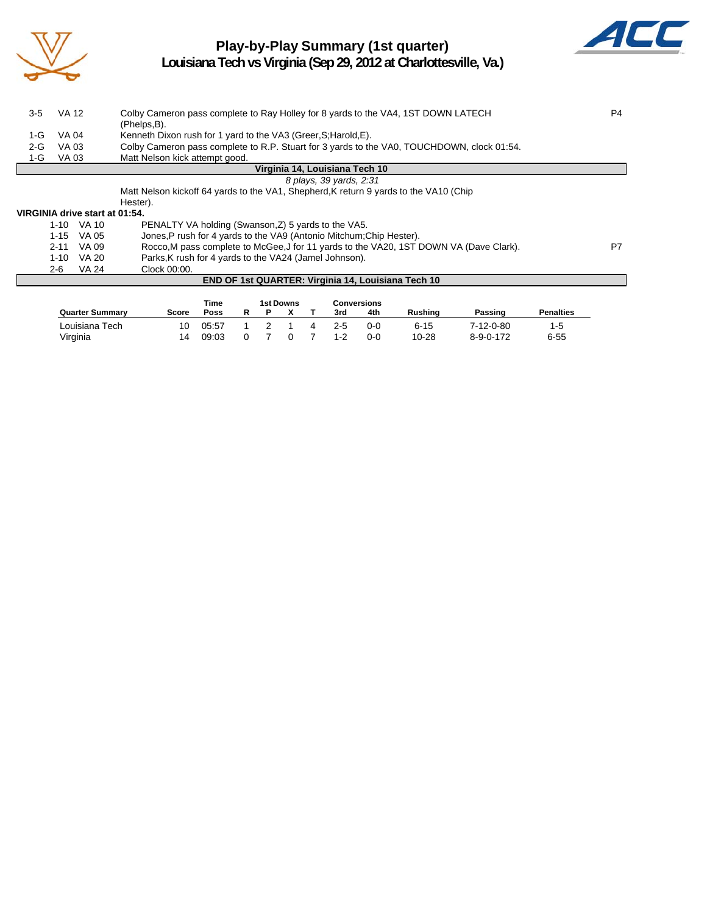

## **Play-by-Play Summary (1st quarter)**



**Louisiana Tech vs Virginia (Sep 29, 2012 at Charlottesville, Va.)**

| $3-5$   | <b>VA 12</b> |                                | Colby Cameron pass complete to Ray Holley for 8 yards to the VA4, 1ST DOWN LATECH                           | P4 |
|---------|--------------|--------------------------------|-------------------------------------------------------------------------------------------------------------|----|
|         |              |                                | (Phelps,B).                                                                                                 |    |
| $1-G$   | VA 04        |                                | Kenneth Dixon rush for 1 yard to the VA3 (Greer, S; Harold, E).                                             |    |
| $2 - G$ | VA 03        |                                | Colby Cameron pass complete to R.P. Stuart for 3 yards to the VA0, TOUCHDOWN, clock 01:54.                  |    |
| 1-G     | VA 03        |                                | Matt Nelson kick attempt good.                                                                              |    |
|         |              |                                | Virginia 14, Louisiana Tech 10                                                                              |    |
|         |              |                                | 8 plays, 39 yards, 2:31                                                                                     |    |
|         |              |                                | Matt Nelson kickoff 64 yards to the VA1, Shepherd, K return 9 yards to the VA10 (Chip                       |    |
|         |              |                                | Hester).                                                                                                    |    |
|         |              | VIRGINIA drive start at 01:54. |                                                                                                             |    |
|         | $1-10$ VA 10 |                                | PENALTY VA holding (Swanson, Z) 5 yards to the VA5.                                                         |    |
|         | 1-15         | VA 05                          | Jones, P rush for 4 yards to the VA9 (Antonio Mitchum; Chip Hester).                                        |    |
|         | 2-11         | VA 09                          | Rocco, M pass complete to McGee, J for 11 yards to the VA20, 1ST DOWN VA (Dave Clark).                      | P7 |
|         | 1-10         | VA 20                          | Parks, K rush for 4 yards to the VA24 (Jamel Johnson).                                                      |    |
|         | 2-6          | VA 24                          | Clock 00:00.                                                                                                |    |
|         |              |                                | END OF 1st QUARTER: Virginia 14, Louisiana Tech 10                                                          |    |
|         |              |                                |                                                                                                             |    |
|         |              |                                | <b>1st Downs</b><br><b>Conversions</b><br>Time                                                              |    |
|         |              | Ouartor Cummons                | <b>Donaltico</b><br><b>Duching</b><br><b>Doocing</b><br><b>Caara</b><br>D<br><b>D</b> V<br>14. امرو<br>Daaa |    |

|                 |       | ,,,,,, |  | בוואיטש ופו |                | <b>GUIRE SIURS</b> |            |           |                   |                  |
|-----------------|-------|--------|--|-------------|----------------|--------------------|------------|-----------|-------------------|------------------|
| Quarter Summarv | Score | Poss   |  |             |                | 3rd                | 4th        | Rushing   | Passing           | <b>Penalties</b> |
| Louisiana Tech  | 10    | 05:57  |  |             | $\overline{4}$ | 2-5                | <u>ດ-ດ</u> | $6 - 15$  | 7-12-0-80         | 1-5              |
| Virginia        | 14    | 09:03  |  | $\Omega$    |                | $1 - 2$            | $0 - 0$    | $10 - 28$ | $8 - 9 - 0 - 172$ | $6 - 55$         |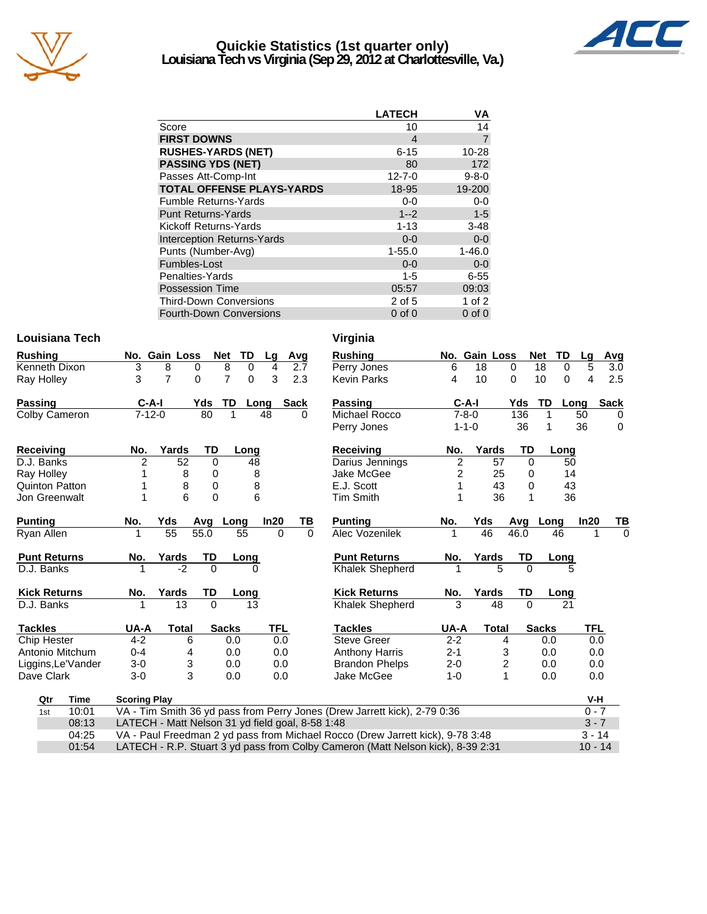

### **Quickie Statistics (1st quarter only) Louisiana Tech vs Virginia (Sep 29, 2012 at Charlottesville, Va.)**



|                                   | <b>LATECH</b> | ٧A             |
|-----------------------------------|---------------|----------------|
| Score                             | 10            | 14             |
| <b>FIRST DOWNS</b>                | 4             | $\overline{7}$ |
| <b>RUSHES-YARDS (NET)</b>         | $6 - 15$      | 10-28          |
| <b>PASSING YDS (NET)</b>          | 80            | 172            |
| Passes Att-Comp-Int               | $12 - 7 - 0$  | $9 - 8 - 0$    |
| <b>TOTAL OFFENSE PLAYS-YARDS</b>  | 18-95         | 19-200         |
| <b>Fumble Returns-Yards</b>       | $0-0$         | $0-0$          |
| <b>Punt Returns-Yards</b>         | $1 - 2$       | $1 - 5$        |
| Kickoff Returns-Yards             | $1 - 13$      | $3 - 48$       |
| <b>Interception Returns-Yards</b> | $0 - 0$       | $0 - 0$        |
| Punts (Number-Avg)                | $1 - 55.0$    | $1 - 46.0$     |
| Fumbles-Lost                      | $0 - 0$       | $0 - 0$        |
| Penalties-Yards                   | $1 - 5$       | $6 - 55$       |
| <b>Possession Time</b>            | 05:57         | 09:03          |
| <b>Third-Down Conversions</b>     | 2 of 5        | $1$ of $2$     |
| <b>Fourth-Down Conversions</b>    | $0$ of $0$    | $0$ of $0$     |

### **Louisiana Tech Virginia**

| <b>Rushing</b>   |                       |                     | No. Gain Loss                                    |           | <b>Net</b>     | TD       | Lg         | Avg         |          | <b>Rushing</b>                                                                  |                | No. Gain Loss |                | <b>Net</b>   | TD       | Lq         | Avg          |
|------------------|-----------------------|---------------------|--------------------------------------------------|-----------|----------------|----------|------------|-------------|----------|---------------------------------------------------------------------------------|----------------|---------------|----------------|--------------|----------|------------|--------------|
|                  | Kenneth Dixon         | 3                   | 8                                                | 0         | 8              | 0        | 4          |             | 2.7      | Perry Jones                                                                     | 6              | 18            | $\Omega$       | 18           | $\Omega$ | 5          | 3.0          |
| Ray Holley       |                       | 3                   | $\overline{7}$                                   | $\Omega$  | $\overline{7}$ | $\Omega$ | 3          |             | 2.3      | <b>Kevin Parks</b>                                                              | 4              | 10            | $\Omega$       | 10           | 0        | 4          | 2.5          |
| <b>Passing</b>   |                       | $C-A-I$             |                                                  | Yds       | TD             | Long     |            | <b>Sack</b> |          | <b>Passing</b>                                                                  |                | $C-A-I$       | Yds            | TD           | Long     |            | <b>Sack</b>  |
|                  | Colby Cameron         | $7 - 12 - 0$        |                                                  | 80        | 1              |          | 48         |             | 0        | Michael Rocco                                                                   |                | $7 - 8 - 0$   | 136            | 1            |          | 50         | $\Omega$     |
|                  |                       |                     |                                                  |           |                |          |            |             |          | Perry Jones                                                                     |                | $1 - 1 - 0$   | 36             | 1            |          | 36         | $\mathbf{0}$ |
| <b>Receiving</b> |                       | No.                 | Yards                                            | TD        |                | Long     |            |             |          | <b>Receiving</b>                                                                | No.            | Yards         | TD             |              | Long     |            |              |
| D.J. Banks       |                       | $\overline{2}$      | 52                                               | $\Omega$  |                | 48       |            |             |          | Darius Jennings                                                                 | 2              | 57            |                | $\Omega$     | 50       |            |              |
| Ray Holley       |                       |                     | 8                                                | 0         |                | 8        |            |             |          | Jake McGee                                                                      | $\overline{2}$ | 25            |                | 0            | 14       |            |              |
|                  | <b>Quinton Patton</b> |                     | 8                                                | $\pmb{0}$ |                | 8        |            |             |          | E.J. Scott                                                                      | 1              | 43            |                | 0            | 43       |            |              |
|                  | Jon Greenwalt         | 1                   | 6                                                | $\Omega$  |                | 6        |            |             |          | <b>Tim Smith</b>                                                                | 1              | 36            |                |              | 36       |            |              |
| <b>Punting</b>   |                       | No.                 | Yds                                              | Avg       | Long           |          | In20       |             | ΤВ       | <b>Punting</b>                                                                  | No.            | Yds           | Avg            | Long         |          | In20       | TВ           |
| Ryan Allen       |                       |                     | 55                                               | 55.0      |                | 55       | $\Omega$   |             | $\Omega$ | Alec Vozenilek                                                                  |                | 46            | 46.0           |              | 46       | 1          | $\Omega$     |
|                  | <b>Punt Returns</b>   | No.                 | Yards                                            | TD        |                | Long     |            |             |          | <b>Punt Returns</b>                                                             | No.            | Yards         | TD             |              | Long     |            |              |
| D.J. Banks       |                       |                     | $-2$                                             | $\Omega$  |                |          |            |             |          | Khalek Shepherd                                                                 |                |               | 5<br>$\Omega$  |              | 5        |            |              |
|                  | <b>Kick Returns</b>   | No.                 | Yards                                            | TD        |                | Long     |            |             |          | <b>Kick Returns</b>                                                             | No.            | Yards         | TD             |              | Long     |            |              |
| D.J. Banks       |                       |                     | 13                                               | $\Omega$  |                | 13       |            |             |          | <b>Khalek Shepherd</b>                                                          | 3              | 48            | $\Omega$       |              | 21       |            |              |
| <b>Tackles</b>   |                       | UA-A                | <b>Total</b>                                     |           | <b>Sacks</b>   |          | <b>TFL</b> |             |          | <b>Tackles</b>                                                                  | UA-A           | <b>Total</b>  |                | <b>Sacks</b> |          | <b>TFL</b> |              |
| Chip Hester      |                       | $4 - 2$             | 6                                                |           | 0.0            |          | 0.0        |             |          | <b>Steve Greer</b>                                                              | $2 - 2$        |               | $\overline{4}$ | 0.0          |          | 0.0        |              |
|                  | Antonio Mitchum       | $0 - 4$             | 4                                                |           | 0.0            |          | 0.0        |             |          | <b>Anthony Harris</b>                                                           | $2 - 1$        |               | 3              | 0.0          |          | 0.0        |              |
|                  | Liggins, Le'Vander    | $3-0$               | 3                                                |           | 0.0            |          | 0.0        |             |          | <b>Brandon Phelps</b>                                                           | $2 - 0$        |               | 2              | 0.0          |          | 0.0        |              |
| Dave Clark       |                       | $3-0$               | 3                                                |           | 0.0            |          | 0.0        |             |          | Jake McGee                                                                      | $1 - 0$        |               | 1              | 0.0          |          | 0.0        |              |
| Qtr              | <b>Time</b>           | <b>Scoring Play</b> |                                                  |           |                |          |            |             |          |                                                                                 |                |               |                |              |          | V-H        |              |
| 1st              | 10:01                 |                     |                                                  |           |                |          |            |             |          | VA - Tim Smith 36 yd pass from Perry Jones (Drew Jarrett kick), 2-79 0:36       |                |               |                |              |          | $0 - 7$    |              |
|                  | 08:13                 |                     | LATECH - Matt Nelson 31 yd field goal, 8-58 1:48 |           |                |          |            |             |          |                                                                                 |                |               |                |              |          | $3 - 7$    |              |
|                  | 04:25                 |                     |                                                  |           |                |          |            |             |          | VA - Paul Freedman 2 yd pass from Michael Rocco (Drew Jarrett kick), 9-78 3:48  |                |               |                |              |          | $3 - 14$   |              |
| 01:54            |                       |                     |                                                  |           |                |          |            |             |          | LATECH - R.P. Stuart 3 yd pass from Colby Cameron (Matt Nelson kick), 8-39 2:31 |                |               |                |              |          | $10 - 14$  |              |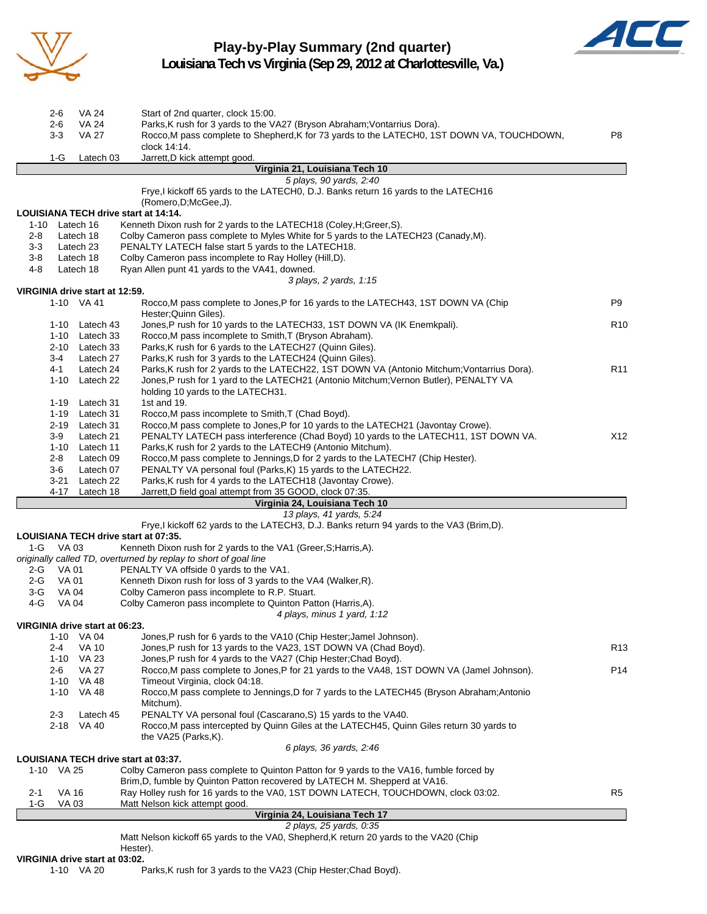

## **Play-by-Play Summary (2nd quarter)**



**Louisiana Tech vs Virginia (Sep 29, 2012 at Charlottesville, Va.)**

| 2-1<br>$1-G$ | 1-10 VA 25<br><b>VA 16</b><br><b>VA03</b> |                                              | 6 plays, 36 yards, 2:46<br>LOUISIANA TECH drive start at 03:37.<br>Colby Cameron pass complete to Quinton Patton for 9 yards to the VA16, fumble forced by<br>Brim, D, fumble by Quinton Patton recovered by LATECH M. Shepperd at VA16.<br>Ray Holley rush for 16 yards to the VA0, 1ST DOWN LATECH, TOUCHDOWN, clock 03:02.<br>Matt Nelson kick attempt good.<br>Virginia 24, Louisiana Tech 17<br>2 plays, 25 yards, 0:35<br>Matt Nelson kickoff 65 yards to the VA0, Shepherd, K return 20 yards to the VA20 (Chip | R5              |
|--------------|-------------------------------------------|----------------------------------------------|------------------------------------------------------------------------------------------------------------------------------------------------------------------------------------------------------------------------------------------------------------------------------------------------------------------------------------------------------------------------------------------------------------------------------------------------------------------------------------------------------------------------|-----------------|
|              |                                           |                                              |                                                                                                                                                                                                                                                                                                                                                                                                                                                                                                                        |                 |
|              |                                           |                                              |                                                                                                                                                                                                                                                                                                                                                                                                                                                                                                                        |                 |
|              |                                           |                                              |                                                                                                                                                                                                                                                                                                                                                                                                                                                                                                                        |                 |
|              |                                           |                                              |                                                                                                                                                                                                                                                                                                                                                                                                                                                                                                                        |                 |
|              |                                           |                                              |                                                                                                                                                                                                                                                                                                                                                                                                                                                                                                                        |                 |
|              |                                           |                                              |                                                                                                                                                                                                                                                                                                                                                                                                                                                                                                                        |                 |
|              |                                           |                                              | the VA25 (Parks, K).                                                                                                                                                                                                                                                                                                                                                                                                                                                                                                   |                 |
|              | 2-3<br>2-18                               | Latech 45<br>VA 40                           | PENALTY VA personal foul (Cascarano, S) 15 yards to the VA40.<br>Rocco, M pass intercepted by Quinn Giles at the LATECH45, Quinn Giles return 30 yards to                                                                                                                                                                                                                                                                                                                                                              |                 |
|              |                                           |                                              | Mitchum).                                                                                                                                                                                                                                                                                                                                                                                                                                                                                                              |                 |
|              |                                           | 1-10 VA 48                                   | Rocco.M pass complete to Jennings, D for 7 yards to the LATECH45 (Bryson Abraham: Antonio                                                                                                                                                                                                                                                                                                                                                                                                                              |                 |
|              | 2-6                                       | VA 27<br>1-10 VA 48                          | Rocco, M pass complete to Jones, P for 21 yards to the VA48, 1ST DOWN VA (Jamel Johnson).<br>Timeout Virginia, clock 04:18.                                                                                                                                                                                                                                                                                                                                                                                            | P14             |
|              |                                           | 1-10 VA 23                                   | Jones, P rush for 4 yards to the VA27 (Chip Hester; Chad Boyd).                                                                                                                                                                                                                                                                                                                                                                                                                                                        |                 |
|              | $2 - 4$                                   | <b>VA 10</b>                                 | Jones, P rush for 13 yards to the VA23, 1ST DOWN VA (Chad Boyd).                                                                                                                                                                                                                                                                                                                                                                                                                                                       | R13             |
|              |                                           | VIRGINIA drive start at 06:23.<br>1-10 VA 04 | Jones, P rush for 6 yards to the VA10 (Chip Hester; Jamel Johnson).                                                                                                                                                                                                                                                                                                                                                                                                                                                    |                 |
|              |                                           |                                              | 4 plays, minus 1 yard, 1:12                                                                                                                                                                                                                                                                                                                                                                                                                                                                                            |                 |
| 4-G          | VA 04                                     |                                              | Colby Cameron pass incomplete to Quinton Patton (Harris,A).                                                                                                                                                                                                                                                                                                                                                                                                                                                            |                 |
| 3-G          | VA 04                                     |                                              | Colby Cameron pass incomplete to R.P. Stuart.                                                                                                                                                                                                                                                                                                                                                                                                                                                                          |                 |
| 2-G<br>2-G   | VA 01<br><b>VA01</b>                      |                                              | PENALTY VA offside 0 yards to the VA1.<br>Kenneth Dixon rush for loss of 3 yards to the VA4 (Walker, R).                                                                                                                                                                                                                                                                                                                                                                                                               |                 |
|              |                                           |                                              | originally called TD, overturned by replay to short of goal line                                                                                                                                                                                                                                                                                                                                                                                                                                                       |                 |
| 1-G          | VA 03                                     |                                              | Kenneth Dixon rush for 2 yards to the VA1 (Greer, S; Harris, A).                                                                                                                                                                                                                                                                                                                                                                                                                                                       |                 |
|              |                                           |                                              | Frye, I kickoff 62 yards to the LATECH3, D.J. Banks return 94 yards to the VA3 (Brim, D).<br>LOUISIANA TECH drive start at 07:35.                                                                                                                                                                                                                                                                                                                                                                                      |                 |
|              |                                           |                                              | 13 plays, 41 yards, 5:24                                                                                                                                                                                                                                                                                                                                                                                                                                                                                               |                 |
|              |                                           |                                              | Virginia 24, Louisiana Tech 10                                                                                                                                                                                                                                                                                                                                                                                                                                                                                         |                 |
|              | 4-17                                      | Latech 18                                    | Jarrett, D field goal attempt from 35 GOOD, clock 07:35.                                                                                                                                                                                                                                                                                                                                                                                                                                                               |                 |
|              | $3-6$                                     | Latech 07<br>3-21 Latech 22                  | PENALTY VA personal foul (Parks, K) 15 yards to the LATECH22.<br>Parks, K rush for 4 yards to the LATECH18 (Javontay Crowe).                                                                                                                                                                                                                                                                                                                                                                                           |                 |
|              | 2-8                                       | Latech 09                                    | Rocco, M pass complete to Jennings, D for 2 yards to the LATECH7 (Chip Hester).                                                                                                                                                                                                                                                                                                                                                                                                                                        |                 |
|              |                                           | 1-10 Latech 11                               | Parks, K rush for 2 yards to the LATECH9 (Antonio Mitchum).                                                                                                                                                                                                                                                                                                                                                                                                                                                            |                 |
|              | 3-9                                       | Latech 21                                    | PENALTY LATECH pass interference (Chad Boyd) 10 yards to the LATECH11, 1ST DOWN VA.                                                                                                                                                                                                                                                                                                                                                                                                                                    | X12             |
|              |                                           | 1-19 Latech 31<br>2-19 Latech 31             | Rocco, M pass incomplete to Smith, T (Chad Boyd).<br>Rocco, M pass complete to Jones, P for 10 yards to the LATECH21 (Javontay Crowe).                                                                                                                                                                                                                                                                                                                                                                                 |                 |
|              |                                           | 1-19 Latech 31                               | 1st and 19.                                                                                                                                                                                                                                                                                                                                                                                                                                                                                                            |                 |
|              |                                           |                                              | holding 10 yards to the LATECH31.                                                                                                                                                                                                                                                                                                                                                                                                                                                                                      |                 |
|              | $1 - 10$                                  | Latech 22                                    | Jones,P rush for 1 yard to the LATECH21 (Antonio Mitchum;Vernon Butler), PENALTY VA                                                                                                                                                                                                                                                                                                                                                                                                                                    |                 |
|              | $3-4$<br>4-1                              | Latech 27<br>Latech 24                       | Parks, K rush for 3 yards to the LATECH24 (Quinn Giles).<br>Parks, K rush for 2 yards to the LATECH22, 1ST DOWN VA (Antonio Mitchum; Vontarrius Dora).                                                                                                                                                                                                                                                                                                                                                                 | R <sub>11</sub> |
|              |                                           | 2-10 Latech 33                               | Parks, K rush for 6 yards to the LATECH27 (Quinn Giles).                                                                                                                                                                                                                                                                                                                                                                                                                                                               |                 |
|              |                                           | 1-10 Latech 33                               | Rocco, M pass incomplete to Smith, T (Bryson Abraham).                                                                                                                                                                                                                                                                                                                                                                                                                                                                 |                 |
|              |                                           | 1-10 Latech 43                               | Jones, P rush for 10 yards to the LATECH33, 1ST DOWN VA (IK Enemkpali).                                                                                                                                                                                                                                                                                                                                                                                                                                                | R <sub>10</sub> |
|              |                                           | 1-10 VA 41                                   | Rocco, M pass complete to Jones, P for 16 yards to the LATECH43, 1ST DOWN VA (Chip<br>Hester; Quinn Giles).                                                                                                                                                                                                                                                                                                                                                                                                            |                 |
|              |                                           | VIRGINIA drive start at 12:59.               |                                                                                                                                                                                                                                                                                                                                                                                                                                                                                                                        | P <sub>9</sub>  |
|              |                                           |                                              | 3 plays, 2 yards, 1:15                                                                                                                                                                                                                                                                                                                                                                                                                                                                                                 |                 |
| 4-8          |                                           | Latech 18                                    | Ryan Allen punt 41 yards to the VA41, downed.                                                                                                                                                                                                                                                                                                                                                                                                                                                                          |                 |
| $3-8$        |                                           | Latech 18                                    | Colby Cameron pass incomplete to Ray Holley (Hill,D).                                                                                                                                                                                                                                                                                                                                                                                                                                                                  |                 |
| 2-8<br>3-3   |                                           | Latech 18<br>Latech 23                       | Colby Cameron pass complete to Myles White for 5 yards to the LATECH23 (Canady,M).<br>PENALTY LATECH false start 5 yards to the LATECH18.                                                                                                                                                                                                                                                                                                                                                                              |                 |
| $1 - 10$     |                                           | Latech 16                                    | Kenneth Dixon rush for 2 yards to the LATECH18 (Coley, H; Greer, S).                                                                                                                                                                                                                                                                                                                                                                                                                                                   |                 |
|              |                                           |                                              | LOUISIANA TECH drive start at 14:14.                                                                                                                                                                                                                                                                                                                                                                                                                                                                                   |                 |
|              |                                           |                                              | Frye, I kickoff 65 yards to the LATECH0, D.J. Banks return 16 yards to the LATECH16<br>(Romero, D; McGee, J).                                                                                                                                                                                                                                                                                                                                                                                                          |                 |
|              |                                           |                                              | 5 plays, 90 yards, 2:40                                                                                                                                                                                                                                                                                                                                                                                                                                                                                                |                 |
|              |                                           |                                              | Virginia 21, Louisiana Tech 10                                                                                                                                                                                                                                                                                                                                                                                                                                                                                         |                 |
|              | $1-G$                                     | Latech 03                                    | Jarrett, D kick attempt good.                                                                                                                                                                                                                                                                                                                                                                                                                                                                                          |                 |
|              | 3-3                                       | <b>VA 27</b>                                 | Rocco, M pass complete to Shepherd, K for 73 yards to the LATECH0, 1ST DOWN VA, TOUCHDOWN,<br>clock 14:14.                                                                                                                                                                                                                                                                                                                                                                                                             | P8              |
|              | $2 - 6$                                   | <b>VA 24</b>                                 | Parks, K rush for 3 yards to the VA27 (Bryson Abraham; Vontarrius Dora).                                                                                                                                                                                                                                                                                                                                                                                                                                               |                 |
|              | 2-6                                       | VA 24                                        | Start of 2nd quarter, clock 15:00.                                                                                                                                                                                                                                                                                                                                                                                                                                                                                     |                 |

1-10 VA 20 Parks,K rush for 3 yards to the VA23 (Chip Hester;Chad Boyd).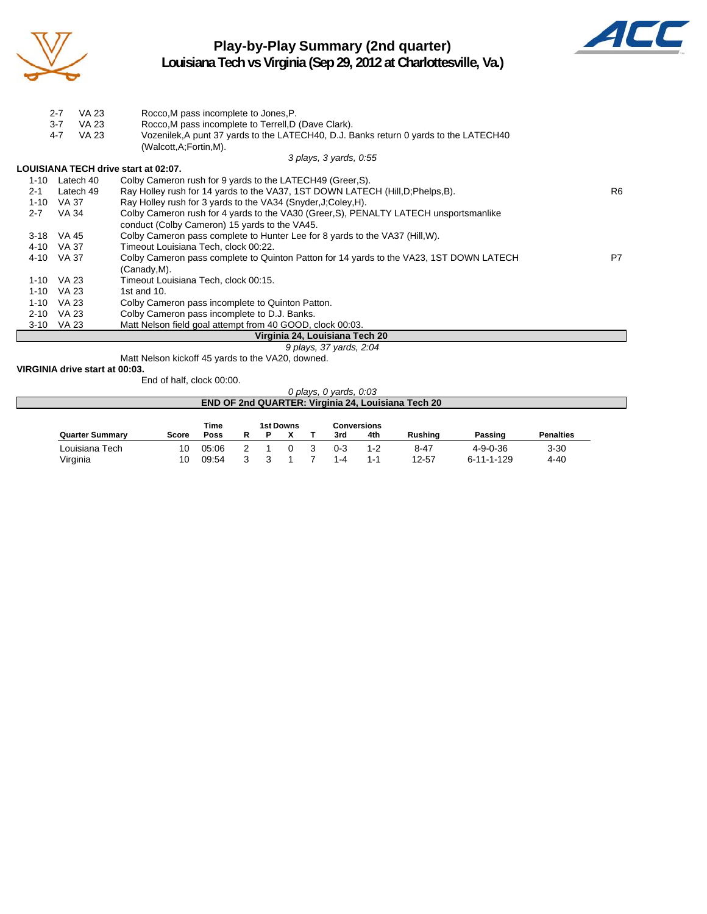

# **Play-by-Play Summary (2nd quarter)**



**Louisiana Tech vs Virginia (Sep 29, 2012 at Charlottesville, Va.)**

|          | $2 - 7$<br><b>VA 23</b> | Rocco, M pass incomplete to Jones, P.                                                   |                |
|----------|-------------------------|-----------------------------------------------------------------------------------------|----------------|
|          | $3 - 7$<br><b>VA 23</b> | Rocco, M pass incomplete to Terrell, D (Dave Clark).                                    |                |
|          | <b>VA 23</b><br>$4 - 7$ | Vozenilek, A punt 37 yards to the LATECH40, D.J. Banks return 0 yards to the LATECH40   |                |
|          |                         | (Walcott,A;Fortin,M).                                                                   |                |
|          |                         | 3 plays, 3 yards, 0:55                                                                  |                |
|          |                         | LOUISIANA TECH drive start at 02:07.                                                    |                |
|          | 1-10 Latech 40          | Colby Cameron rush for 9 yards to the LATECH49 (Greer, S).                              |                |
| $2 - 1$  | Latech 49               | Ray Holley rush for 14 yards to the VA37, 1ST DOWN LATECH (Hill, D; Phelps, B).         | R <sub>6</sub> |
| 1-10     | VA 37                   | Ray Holley rush for 3 yards to the VA34 (Snyder, J; Coley, H).                          |                |
| $2 - 7$  | VA 34                   | Colby Cameron rush for 4 yards to the VA30 (Greer, S), PENALTY LATECH unsportsmanlike   |                |
|          |                         | conduct (Colby Cameron) 15 yards to the VA45.                                           |                |
|          | 3-18 VA 45              | Colby Cameron pass complete to Hunter Lee for 8 yards to the VA37 (Hill, W).            |                |
| 4-10     | VA 37                   | Timeout Louisiana Tech, clock 00:22.                                                    |                |
| 4-10     | VA 37                   | Colby Cameron pass complete to Quinton Patton for 14 yards to the VA23, 1ST DOWN LATECH | P7             |
|          |                         | (Canady,M).                                                                             |                |
| 1-10     | VA 23                   | Timeout Louisiana Tech, clock 00:15.                                                    |                |
| $1 - 10$ | VA 23                   | 1st and $10$ .                                                                          |                |
| $1 - 10$ | VA 23                   | Colby Cameron pass incomplete to Quinton Patton.                                        |                |
| $2 - 10$ | VA 23                   | Colby Cameron pass incomplete to D.J. Banks.                                            |                |
|          | 3-10 VA 23              | Matt Nelson field goal attempt from 40 GOOD, clock 00:03.                               |                |
|          |                         | Virginia 24, Louisiana Tech 20                                                          |                |
|          |                         | 9 plays, 37 yards, 2:04                                                                 |                |
|          |                         | Matt Nelson kickoff 45 yards to the VA20, downed.                                       |                |

**VIRGINIA drive start at 00:03.**

End of half, clock 00:00.

#### *0 plays, 0 yards, 0:03*

|                        |       |       |  |           |         |                    | <b>END OF 2nd QUARTER: Virginia 24, Louisiana Tech 20</b> |                    |                  |
|------------------------|-------|-------|--|-----------|---------|--------------------|-----------------------------------------------------------|--------------------|------------------|
|                        |       | Time  |  | 1st Downs |         | <b>Conversions</b> |                                                           |                    |                  |
| <b>Quarter Summary</b> | Score | Poss  |  |           | 3rd     | 4th                | Rushina                                                   | Passing            | <b>Penalties</b> |
| Louisiana Tech         | 10    | 05:06 |  |           | $0 - 3$ | 1-2                | $8 - 47$                                                  | $4 - 9 - 0 - 36$   | $3 - 30$         |
| Virginia               | 10    | 09:54 |  |           | 1-4     | $1 - 1$            | 12-57                                                     | $6 - 11 - 1 - 129$ | $4 - 40$         |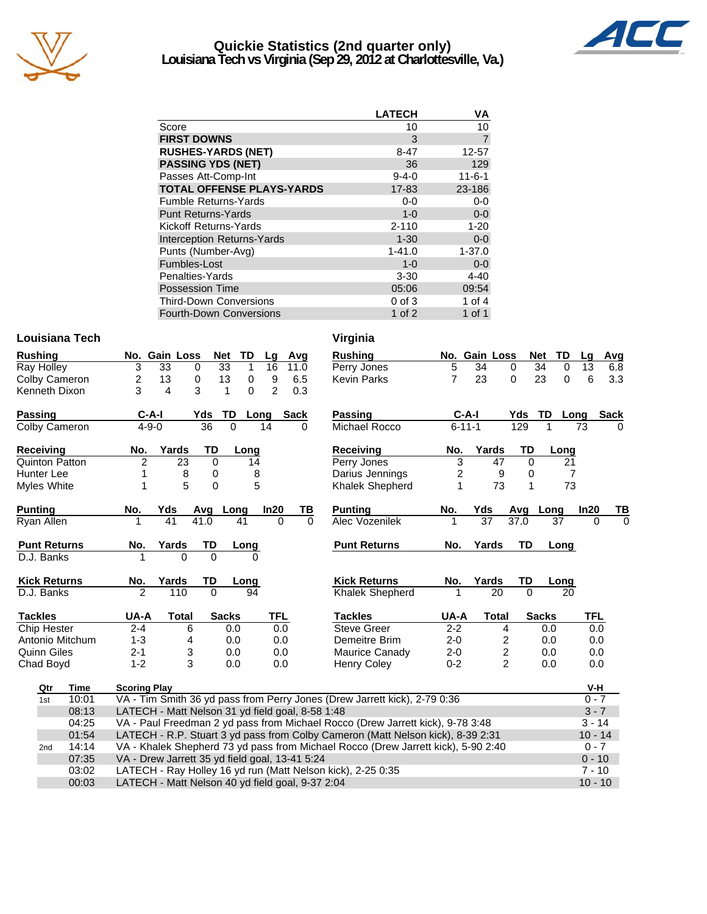

### **Quickie Statistics (2nd quarter only) Louisiana Tech vs Virginia (Sep 29, 2012 at Charlottesville, Va.)**



|                                   | <b>LATECH</b> | VA             |
|-----------------------------------|---------------|----------------|
| Score                             | 10            | 10             |
| <b>FIRST DOWNS</b>                | 3             | $\overline{7}$ |
| <b>RUSHES-YARDS (NET)</b>         | $8 - 47$      | 12-57          |
| <b>PASSING YDS (NET)</b>          | 36            | 129            |
| Passes Att-Comp-Int               | $9 - 4 - 0$   | $11 - 6 - 1$   |
| <b>TOTAL OFFENSE PLAYS-YARDS</b>  | 17-83         | 23-186         |
| <b>Fumble Returns-Yards</b>       | $0-0$         | $0-0$          |
| <b>Punt Returns-Yards</b>         | $1 - 0$       | $0-0$          |
| Kickoff Returns-Yards             | $2 - 110$     | $1 - 20$       |
| <b>Interception Returns-Yards</b> | $1 - 30$      | $0 - 0$        |
| Punts (Number-Avg)                | $1 - 41.0$    | $1 - 37.0$     |
| Fumbles-Lost                      | $1 - 0$       | $0-0$          |
| Penalties-Yards                   | $3 - 30$      | $4 - 40$       |
| <b>Possession Time</b>            | 05:06         | 09:54          |
| <b>Third-Down Conversions</b>     | $0$ of $3$    | 1 of $4$       |
| <b>Fourth-Down Conversions</b>    | 1 of $2$      | 1 of 1         |

### **Louisiana Tech Virginia**

| <b>Rushing</b>        |       |                                                  | No. Gain Loss   |              | Net          | TD       | Lg             | Avg         |          | <b>Rushing</b>                                                                    |         | No. Gain Loss   |                |          | Net<br>TD      | Lg         | Avg         |
|-----------------------|-------|--------------------------------------------------|-----------------|--------------|--------------|----------|----------------|-------------|----------|-----------------------------------------------------------------------------------|---------|-----------------|----------------|----------|----------------|------------|-------------|
| Ray Holley            |       | 3                                                | $\overline{33}$ | 0            | 33           | 1        | 16             | 11.0        |          | Perry Jones                                                                       | 5       | $\overline{34}$ | 0              |          | 34<br>$\Omega$ | 13         | 6.8         |
| Colby Cameron         |       | 2                                                | 13              | 0            | 13           | 0        | 9              | 6.5         |          | <b>Kevin Parks</b>                                                                | 7       | 23              | 0              |          | 23<br>0        | 6          | 3.3         |
| Kenneth Dixon         |       | 3                                                | 4               | 3            | 1            | $\Omega$ | $\overline{2}$ | 0.3         |          |                                                                                   |         |                 |                |          |                |            |             |
| <b>Passing</b>        |       |                                                  | $C-A-I$         |              | TD<br>Yds    |          | Long           | <b>Sack</b> |          | <b>Passing</b>                                                                    |         | $C-A-I$         |                | Yds TD   |                | Long       | <b>Sack</b> |
| Colby Cameron         |       |                                                  | $4 - 9 - 0$     |              | 36           | $\Omega$ | 14             |             | $\Omega$ | Michael Rocco                                                                     |         | $6 - 11 - 1$    |                | 129      |                | 73         | $\Omega$    |
| Receiving             |       | No.                                              | Yards           |              | TD           | Long     |                |             |          | <b>Receiving</b>                                                                  | No.     | Yards           |                | TD       | Long           |            |             |
| <b>Quinton Patton</b> |       | $\overline{2}$                                   |                 | 23           | $\Omega$     | 14       |                |             |          | Perry Jones                                                                       | 3       |                 | 47             | $\Omega$ | 21             |            |             |
| Hunter Lee            |       |                                                  |                 | 8            | 0            | 8        |                |             |          | Darius Jennings                                                                   | 2       |                 | 9              | 0        | 7              |            |             |
| Myles White           |       |                                                  |                 | 5            | $\mathbf 0$  | 5        |                |             |          | <b>Khalek Shepherd</b>                                                            | 1       |                 | 73             | 1        | 73             |            |             |
| <b>Punting</b>        |       | No.                                              | Yds             |              | Avg Long     |          | In20           |             | TВ       | <b>Punting</b>                                                                    | No.     | Yds             |                | Avg      | Long           | In20       | ΤВ          |
| Ryan Allen            |       |                                                  | 41              |              | 41.0         | 41       |                | $\Omega$    | $\Omega$ | Alec Vozenilek                                                                    | 1       | $\overline{37}$ |                | 37.0     | 37             | 0          | $\Omega$    |
| <b>Punt Returns</b>   |       | No.                                              | Yards           |              | TD           | Long     |                |             |          | <b>Punt Returns</b>                                                               | No.     | Yards           |                | TD       | Long           |            |             |
| D.J. Banks            |       |                                                  |                 | $\Omega$     | $\Omega$     | $\Omega$ |                |             |          |                                                                                   |         |                 |                |          |                |            |             |
| <b>Kick Returns</b>   |       | No.                                              | Yards           |              | TD           | Long     |                |             |          | <b>Kick Returns</b>                                                               | No.     | Yards           |                | TD       | Long           |            |             |
| D.J. Banks            |       | 2                                                |                 | 110          | $\Omega$     | 94       |                |             |          | Khalek Shepherd                                                                   | 1       |                 | 20             | $\Omega$ | 20             |            |             |
| <b>Tackles</b>        |       | UA-A                                             |                 | <b>Total</b> | <b>Sacks</b> |          | TFL            |             |          | <b>Tackles</b>                                                                    | UA-A    |                 | <b>Total</b>   |          | <b>Sacks</b>   | <b>TFL</b> |             |
| Chip Hester           |       | $2 - 4$                                          |                 | 6            |              | 0.0      |                | 0.0         |          | <b>Steve Greer</b>                                                                | $2 - 2$ |                 | 4              |          | 0.0            | 0.0        |             |
| Antonio Mitchum       |       | $1 - 3$                                          |                 | 4            |              | 0.0      |                | 0.0         |          | Demeitre Brim                                                                     | $2 - 0$ |                 | 2              |          | 0.0            | 0.0        |             |
| <b>Quinn Giles</b>    |       | $2 - 1$                                          |                 | 3            |              | 0.0      |                | 0.0         |          | Maurice Canady                                                                    | $2 - 0$ |                 | 2              |          | 0.0            | 0.0        |             |
| Chad Boyd             |       | $1 - 2$                                          |                 | 3            |              | 0.0      |                | 0.0         |          | <b>Henry Coley</b>                                                                | $0 - 2$ |                 | $\overline{2}$ |          | 0.0            | 0.0        |             |
| Qtr                   | Time  | <b>Scoring Play</b>                              |                 |              |              |          |                |             |          |                                                                                   |         |                 |                |          |                | V-H        |             |
| 1st                   | 10:01 |                                                  |                 |              |              |          |                |             |          | VA - Tim Smith 36 yd pass from Perry Jones (Drew Jarrett kick), 2-79 0:36         |         |                 |                |          |                | $0 - 7$    |             |
|                       | 08:13 | LATECH - Matt Nelson 31 yd field goal, 8-58 1:48 |                 |              |              |          |                |             |          |                                                                                   |         |                 |                |          |                | $3 - 7$    |             |
|                       | 04:25 |                                                  |                 |              |              |          |                |             |          | VA - Paul Freedman 2 yd pass from Michael Rocco (Drew Jarrett kick), 9-78 3:48    |         |                 |                |          |                | $3 - 14$   |             |
|                       | 01:54 |                                                  |                 |              |              |          |                |             |          | LATECH - R.P. Stuart 3 yd pass from Colby Cameron (Matt Nelson kick), 8-39 2:31   |         |                 |                |          |                | $10 - 14$  |             |
| 2 <sub>nd</sub>       | 14:14 |                                                  |                 |              |              |          |                |             |          | VA - Khalek Shepherd 73 yd pass from Michael Rocco (Drew Jarrett kick), 5-90 2:40 |         |                 |                |          |                | $0 - 7$    |             |
|                       | 07:35 | VA - Drew Jarrett 35 yd field goal, 13-41 5:24   |                 |              |              |          |                |             |          |                                                                                   |         |                 |                |          |                | $0 - 10$   |             |
|                       | 03:02 |                                                  |                 |              |              |          |                |             |          | LATECH - Ray Holley 16 yd run (Matt Nelson kick), 2-25 0:35                       |         |                 |                |          |                | $7 - 10$   |             |
| 00:03                 |       | LATECH - Matt Nelson 40 yd field goal, 9-37 2:04 |                 |              |              |          |                |             |          |                                                                                   |         |                 |                |          |                | $10 - 10$  |             |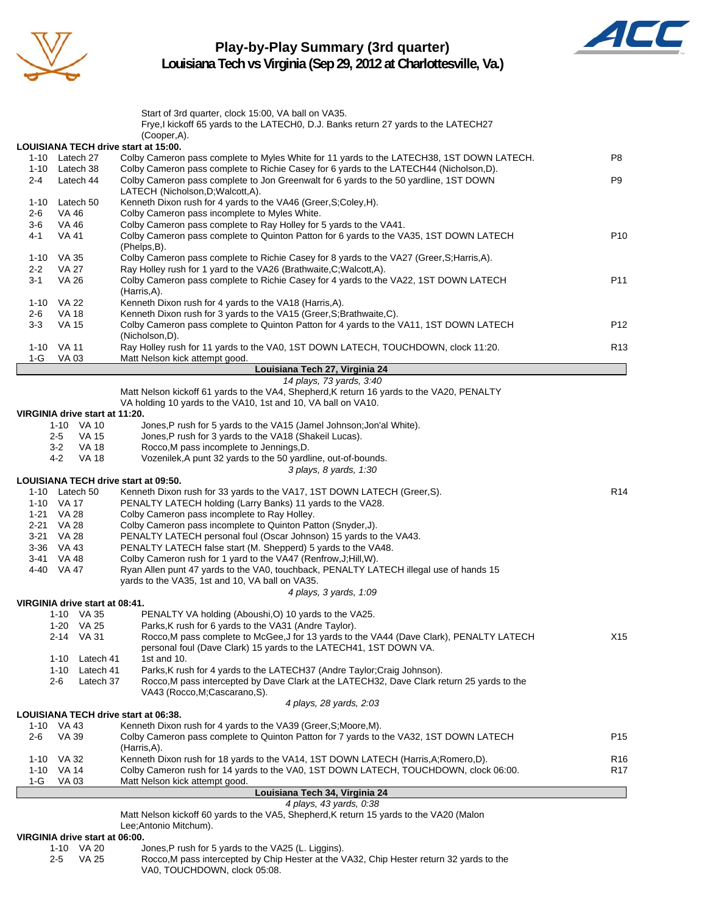

### **Play-by-Play Summary (3rd quarter) Louisiana Tech vs Virginia (Sep 29, 2012 at Charlottesville, Va.)**



|                  |                                   | VIRGINIA drive start at 06:00.<br>1-10 VA 20 | Jones, P rush for 5 yards to the VA25 (L. Liggins).                                                                                                                                                            |                                    |
|------------------|-----------------------------------|----------------------------------------------|----------------------------------------------------------------------------------------------------------------------------------------------------------------------------------------------------------------|------------------------------------|
|                  |                                   |                                              | Matt Nelson kickoff 60 yards to the VA5, Shepherd, K return 15 yards to the VA20 (Malon<br>Lee; Antonio Mitchum).                                                                                              |                                    |
|                  |                                   |                                              | 4 plays, 43 yards, 0:38                                                                                                                                                                                        |                                    |
|                  |                                   |                                              | Louisiana Tech 34, Virginia 24                                                                                                                                                                                 |                                    |
| 1-G              | 1-10 VA 32<br>1-10 VA 14<br>VA 03 |                                              | Kenneth Dixon rush for 18 yards to the VA14, 1ST DOWN LATECH (Harris, A; Romero, D).<br>Colby Cameron rush for 14 yards to the VA0, 1ST DOWN LATECH, TOUCHDOWN, clock 06:00.<br>Matt Nelson kick attempt good. | R <sub>16</sub><br>R <sub>17</sub> |
| 2-6              | <b>VA 39</b>                      |                                              | Colby Cameron pass complete to Quinton Patton for 7 yards to the VA32, 1ST DOWN LATECH<br>(Harris,A).                                                                                                          | P <sub>15</sub>                    |
|                  | 1-10 VA 43                        |                                              | LOUISIANA TECH drive start at 06:38.<br>Kenneth Dixon rush for 4 yards to the VA39 (Greer, S; Moore, M).                                                                                                       |                                    |
|                  |                                   |                                              | 4 plays, 28 yards, 2:03                                                                                                                                                                                        |                                    |
|                  | 1-10<br>2-6                       | Latech 41<br>Latech 37                       | Parks, K rush for 4 yards to the LATECH37 (Andre Taylor; Craig Johnson).<br>Rocco, M pass intercepted by Dave Clark at the LATECH32, Dave Clark return 25 yards to the<br>VA43 (Rocco, M; Cascarano, S).       |                                    |
|                  | 1-10                              | Latech 41                                    | personal foul (Dave Clark) 15 yards to the LATECH41, 1ST DOWN VA.<br>1st and $10$ .                                                                                                                            |                                    |
|                  | 2-14                              | 1-20 VA 25<br>VA 31                          | Parks, K rush for 6 yards to the VA31 (Andre Taylor).<br>Rocco.M pass complete to McGee.J for 13 yards to the VA44 (Dave Clark), PENALTY LATECH                                                                | X15                                |
|                  |                                   | 1-10 VA 35                                   | PENALTY VA holding (Aboushi,O) 10 yards to the VA25                                                                                                                                                            |                                    |
|                  |                                   | VIRGINIA drive start at 08:41.               |                                                                                                                                                                                                                |                                    |
|                  |                                   |                                              | yards to the VA35, 1st and 10, VA ball on VA35.<br>4 plays, 3 yards, 1:09                                                                                                                                      |                                    |
|                  | 4-40 VA 47                        |                                              | Ryan Allen punt 47 yards to the VA0, touchback, PENALTY LATECH illegal use of hands 15                                                                                                                         |                                    |
|                  | 3-41 VA 48                        |                                              | Colby Cameron rush for 1 yard to the VA47 (Renfrow, J; Hill, W).                                                                                                                                               |                                    |
|                  | 3-21 VA 28<br>3-36 VA 43          |                                              | PENALTY LATECH personal foul (Oscar Johnson) 15 yards to the VA43.<br>PENALTY LATECH false start (M. Shepperd) 5 yards to the VA48.                                                                            |                                    |
| 2-21 VA 28       |                                   |                                              | Colby Cameron pass incomplete to Quinton Patton (Snyder,J).                                                                                                                                                    |                                    |
|                  | 1-21 VA 28                        |                                              | Colby Cameron pass incomplete to Ray Holley.                                                                                                                                                                   |                                    |
| 1-10 VA 17       |                                   |                                              | PENALTY LATECH holding (Larry Banks) 11 yards to the VA28.                                                                                                                                                     |                                    |
|                  |                                   | 1-10 Latech 50                               | LOUISIANA TECH drive start at 09:50.<br>Kenneth Dixon rush for 33 yards to the VA17, 1ST DOWN LATECH (Greer, S).                                                                                               | R <sub>14</sub>                    |
|                  |                                   |                                              | 3 plays, 8 yards, 1:30                                                                                                                                                                                         |                                    |
|                  | 4-2                               | <b>VA 18</b>                                 | Vozenilek, A punt 32 yards to the 50 yardline, out-of-bounds.                                                                                                                                                  |                                    |
|                  | 3-2                               | VA 18                                        | Rocco, M pass incomplete to Jennings, D.                                                                                                                                                                       |                                    |
|                  | 2-5                               | 1-10 VA 10<br>VA 15                          | Jones, P rush for 5 yards to the VA15 (Jamel Johnson; Jon'al White).<br>Jones, P rush for 3 yards to the VA18 (Shakeil Lucas).                                                                                 |                                    |
|                  |                                   | VIRGINIA drive start at 11:20.               |                                                                                                                                                                                                                |                                    |
|                  |                                   |                                              | VA holding 10 yards to the VA10, 1st and 10, VA ball on VA10.                                                                                                                                                  |                                    |
|                  |                                   |                                              | 14 plays, 73 yards, 3:40<br>Matt Nelson kickoff 61 yards to the VA4, Shepherd, K return 16 yards to the VA20, PENALTY                                                                                          |                                    |
|                  |                                   |                                              | Louisiana Tech 27, Virginia 24                                                                                                                                                                                 |                                    |
| 1-G              | VA 03                             |                                              | Matt Nelson kick attempt good.                                                                                                                                                                                 |                                    |
|                  | 1-10 VA 11                        |                                              | (Nicholson,D).<br>Ray Holley rush for 11 yards to the VA0, 1ST DOWN LATECH, TOUCHDOWN, clock 11:20.                                                                                                            | R <sub>13</sub>                    |
| $3 - 3$          | <b>VA 15</b>                      |                                              | Colby Cameron pass complete to Quinton Patton for 4 yards to the VA11, 1ST DOWN LATECH                                                                                                                         | P <sub>12</sub>                    |
| 2-6              | VA 18                             |                                              | Kenneth Dixon rush for 3 yards to the VA15 (Greer, S; Brathwaite, C).                                                                                                                                          |                                    |
|                  | 1-10 VA 22                        |                                              | (Harris, A).<br>Kenneth Dixon rush for 4 yards to the VA18 (Harris, A).                                                                                                                                        |                                    |
| 3-1              | <b>VA 26</b>                      |                                              | Colby Cameron pass complete to Richie Casey for 4 yards to the VA22, 1ST DOWN LATECH                                                                                                                           | P11                                |
| $2 - 2$          | VA 27                             |                                              | Ray Holley rush for 1 yard to the VA26 (Brathwaite, C; Walcott, A).                                                                                                                                            |                                    |
|                  | 1-10 VA 35                        |                                              | (Phelps,B).<br>Colby Cameron pass complete to Richie Casey for 8 yards to the VA27 (Greer, S; Harris, A).                                                                                                      |                                    |
| 4-1              | VA 41                             |                                              | Colby Cameron pass complete to Quinton Patton for 6 yards to the VA35, 1ST DOWN LATECH                                                                                                                         | P <sub>10</sub>                    |
| $2 - 6$<br>$3-6$ | VA 46<br>VA 46                    |                                              | Colby Cameron pass incomplete to Myles White.<br>Colby Cameron pass complete to Ray Holley for 5 yards to the VA41.                                                                                            |                                    |
|                  |                                   | 1-10 Latech 50                               | Kenneth Dixon rush for 4 yards to the VA46 (Greer, S; Coley, H).                                                                                                                                               |                                    |
|                  |                                   |                                              | LATECH (Nicholson, D; Walcott, A).                                                                                                                                                                             |                                    |
| 2-4              |                                   | 1-10 Latech 38<br>Latech 44                  | Colby Cameron pass complete to Richie Casey for 6 yards to the LATECH44 (Nicholson,D).<br>Colby Cameron pass complete to Jon Greenwalt for 6 yards to the 50 yardline, 1ST DOWN                                | P9                                 |
|                  |                                   | 1-10 Latech 27                               | Colby Cameron pass complete to Myles White for 11 yards to the LATECH38, 1ST DOWN LATECH.                                                                                                                      | P8                                 |
|                  |                                   |                                              | (Cooper,A).<br>LOUISIANA TECH drive start at 15:00.                                                                                                                                                            |                                    |
|                  |                                   |                                              | Frye, I kickoff 65 yards to the LATECH0, D.J. Banks return 27 yards to the LATECH27                                                                                                                            |                                    |
|                  |                                   |                                              | Start of 3rd quarter, clock 15:00, VA ball on VA35.                                                                                                                                                            |                                    |
|                  |                                   |                                              |                                                                                                                                                                                                                |                                    |

VA0, TOUCHDOWN, clock 05:08.

2-5 VA 25 Rocco,M pass intercepted by Chip Hester at the VA32, Chip Hester return 32 yards to the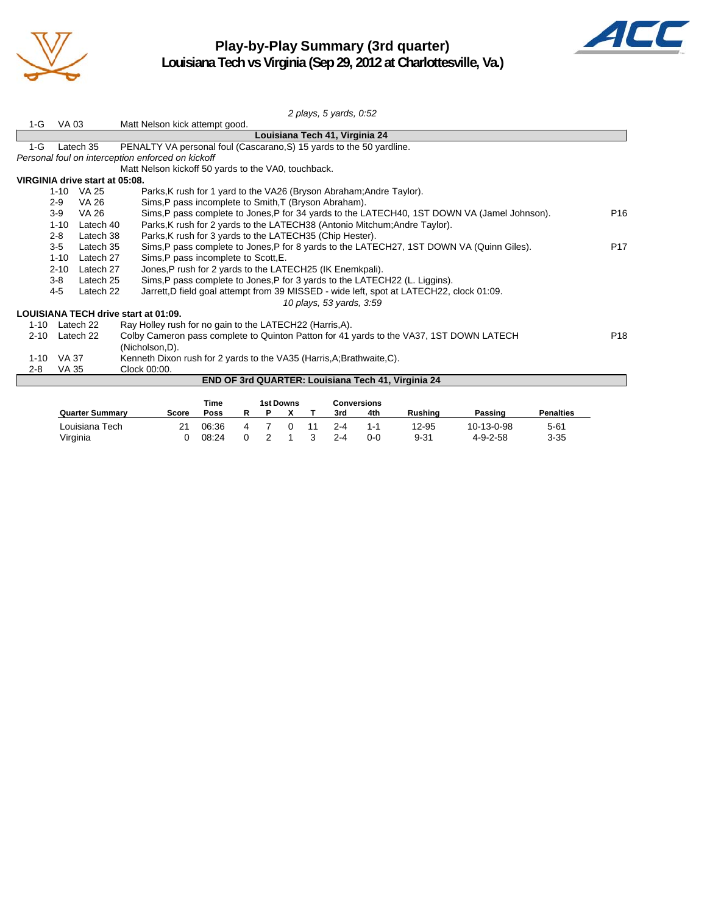

### **Play-by-Play Summary (3rd quarter) Louisiana Tech vs Virginia (Sep 29, 2012 at Charlottesville, Va.)**



|          |          |                                | 2 plays, 5 yards, 0:52                                                                       |                 |
|----------|----------|--------------------------------|----------------------------------------------------------------------------------------------|-----------------|
| $1-G$    | VA 03    |                                | Matt Nelson kick attempt good.                                                               |                 |
|          |          |                                | Louisiana Tech 41, Virginia 24                                                               |                 |
| $1-G$    |          | Latech 35                      | PENALTY VA personal foul (Cascarano, S) 15 yards to the 50 yardline.                         |                 |
|          |          |                                | Personal foul on interception enforced on kickoff                                            |                 |
|          |          |                                | Matt Nelson kickoff 50 yards to the VA0, touchback.                                          |                 |
|          |          | VIRGINIA drive start at 05:08. |                                                                                              |                 |
|          |          | 1-10 VA 25                     | Parks, K rush for 1 yard to the VA26 (Bryson Abraham; Andre Taylor).                         |                 |
|          | $2-9$    | <b>VA 26</b>                   | Sims, P pass incomplete to Smith, T (Bryson Abraham).                                        |                 |
|          | $3-9$    | <b>VA 26</b>                   | Sims, P pass complete to Jones, P for 34 yards to the LATECH40, 1ST DOWN VA (Jamel Johnson). | P <sub>16</sub> |
|          | $1 - 10$ | Latech 40                      | Parks, K rush for 2 yards to the LATECH38 (Antonio Mitchum; Andre Taylor).                   |                 |
|          | $2 - 8$  | Latech 38                      | Parks, K rush for 3 yards to the LATECH35 (Chip Hester).                                     |                 |
|          | $3-5$    | Latech 35                      | Sims, P pass complete to Jones, P for 8 yards to the LATECH27, 1ST DOWN VA (Quinn Giles).    | P <sub>17</sub> |
|          | $1 - 10$ | Latech 27                      | Sims, P pass incomplete to Scott, E.                                                         |                 |
|          | $2 - 10$ | Latech 27                      | Jones, P rush for 2 yards to the LATECH25 (IK Enemkpali).                                    |                 |
|          | $3-8$    | Latech 25                      | Sims, P pass complete to Jones, P for 3 yards to the LATECH22 (L. Liggins).                  |                 |
|          | $4-5$    | Latech 22                      | Jarrett, D field goal attempt from 39 MISSED - wide left, spot at LATECH22, clock 01:09.     |                 |
|          |          |                                | 10 plays, 53 yards, 3:59                                                                     |                 |
|          |          |                                | <b>LOUISIANA TECH drive start at 01:09.</b>                                                  |                 |
| 1-10     |          | Latech 22                      | Ray Holley rush for no gain to the LATECH22 (Harris, A).                                     |                 |
| $2 - 10$ |          | Latech 22                      | Colby Cameron pass complete to Quinton Patton for 41 yards to the VA37, 1ST DOWN LATECH      | P <sub>18</sub> |
|          |          |                                | (Nicholson, D).                                                                              |                 |
| $1 - 10$ | VA 37    |                                | Kenneth Dixon rush for 2 yards to the VA35 (Harris, A; Brathwaite, C).                       |                 |
| $2 - 8$  | VA 35    |                                | Clock 00:00.                                                                                 |                 |
|          |          |                                | END OF 3rd QUARTER: Louisiana Tech 41, Virginia 24                                           |                 |
|          |          |                                |                                                                                              |                 |
|          |          |                                | <b>1st Downs</b><br><b>Time</b><br><b>Conversions</b>                                        |                 |

|                        |       | Time  |  | 1st Downs |         | <b>Conversions</b> |         |                  |                  |
|------------------------|-------|-------|--|-----------|---------|--------------------|---------|------------------|------------------|
| <b>Quarter Summary</b> | Score | Poss  |  |           | 3rd     | 4th                | Rushina | Passing          | <b>Penalties</b> |
| Louisiana Tech         |       | 06:36 |  |           | $2 - 4$ | 1-1                | 12-95   | 10-13-0-98       | 5-61             |
| Virginia               |       | 08:24 |  |           | $2 - 4$ | ი-ი                | 9-31    | $4 - 9 - 2 - 58$ | $3 - 35$         |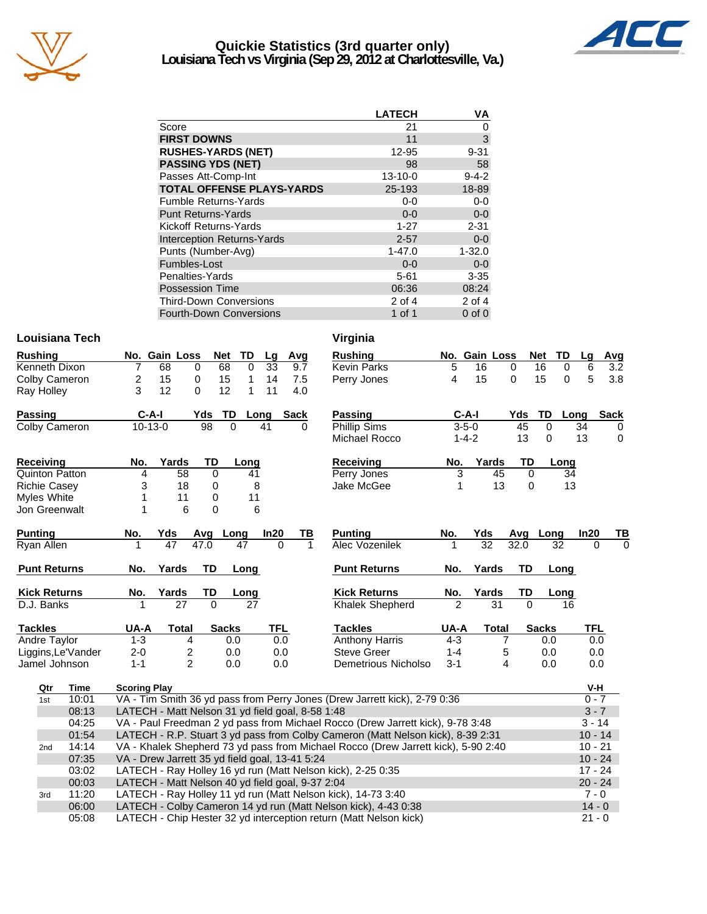

### **Quickie Statistics (3rd quarter only) Louisiana Tech vs Virginia (Sep 29, 2012 at Charlottesville, Va.)**



|                                   | <b>LATECH</b> | VA          |
|-----------------------------------|---------------|-------------|
| Score                             | 21            | 0           |
| <b>FIRST DOWNS</b>                | 11            | 3           |
| <b>RUSHES-YARDS (NET)</b>         | 12-95         | $9 - 31$    |
| <b>PASSING YDS (NET)</b>          | 98            | 58          |
| Passes Att-Comp-Int               | $13 - 10 - 0$ | $9 - 4 - 2$ |
| <b>TOTAL OFFENSE PLAYS-YARDS</b>  | 25-193        | 18-89       |
| <b>Fumble Returns-Yards</b>       | $0-0$         | $0 - 0$     |
| <b>Punt Returns-Yards</b>         | $0 - 0$       | $0-0$       |
| Kickoff Returns-Yards             | $1 - 27$      | $2 - 31$    |
| <b>Interception Returns-Yards</b> | $2 - 57$      | $0 - 0$     |
| Punts (Number-Avg)                | $1 - 47.0$    | $1 - 32.0$  |
| Fumbles-Lost                      | $0 - 0$       | $0 - 0$     |
| Penalties-Yards                   | $5 - 61$      | $3 - 35$    |
| <b>Possession Time</b>            | 06:36         | 08:24       |
| <b>Third-Down Conversions</b>     | 2 of 4        | 2 of 4      |
| <b>Fourth-Down Conversions</b>    | 1 of 1        | $0$ of $0$  |

### **Louisiana Tech Virginia**

| <b>Rushing</b> |   |           | No. Gain Loss | Net  | TD   | La | Avq  |
|----------------|---|-----------|---------------|------|------|----|------|
| Kenneth Dixon  |   | 68        | 0             | 68   | 0    | 33 | 9.7  |
| Colby Cameron  | 2 | 15        | 0             | 15   | 1    | 14 | 7.5  |
| Ray Holley     | 3 | 12        | 0             | 12   | 1    | 11 | 4.0  |
| Passing        |   | C-A-I     | Yds           | - TD | Long |    | Sack |
| Colby Cameron  |   | $10-13-0$ | 98            | 0    |      | 41 |      |
|                |   |           |               |      |      |    |      |

| <b>Receiving</b>      | No. | Yards | TD. | Long |
|-----------------------|-----|-------|-----|------|
| <b>Quinton Patton</b> |     | 58    |     | 41   |
| <b>Richie Casey</b>   | 3   | 18    |     | 8    |
| Myles White           |     | 11    |     | 11   |
| Jon Greenwalt         |     |       |     | 6    |

| <b>Punting</b>      | No.     | Yds   | Avq  | Long         | In20       | ΤВ | <b>Punting</b>         | No.     | Yds   | Ava      | Lona         |
|---------------------|---------|-------|------|--------------|------------|----|------------------------|---------|-------|----------|--------------|
| Ryan Allen          |         | 47    | 47.0 | 47           | 0          |    | Alec Vozenilek         |         | 32    | 32.0     | 32           |
| <b>Punt Returns</b> | No.     | Yards | TD   | Long         |            |    | <b>Punt Returns</b>    | No.     | Yards | TD       | Long         |
| <b>Kick Returns</b> | No.     | Yards | TD   | Long         |            |    | <b>Kick Returns</b>    | No.     | Yards | TD       | Long         |
| D.J. Banks          |         | 27    | 0    | 27           |            |    | <b>Khalek Shepherd</b> | 2       | 31    | $\Omega$ | 16           |
| <b>Tackles</b>      | UA-A    | Total |      | <b>Sacks</b> | <b>TFL</b> |    | Tackles                | UA-A    | Total |          | <b>Sacks</b> |
| Andre Taylor        | 1-3     |       | 4    | 0.0          | 0.0        |    | <b>Anthony Harris</b>  | $4 - 3$ |       |          | 0.0          |
| Liggins, Le'Vander  | $2 - 0$ |       | 2    | 0.0          | 0.0        |    | Steve Greer            | $1 - 4$ |       | 5        | 0.0          |
| Jamel Johnson       | 1-1     |       | 2    | 0.0          | 0.0        |    | Demetrious Nicholso    | $3-1$   |       | 4        | 0.0          |

| <b>Rushing</b>      |   | No. Gain Loss |     | Net TD |      | Lq | Avg  |
|---------------------|---|---------------|-----|--------|------|----|------|
| <b>Kevin Parks</b>  | 5 | 16            | 0   | 16     | 0    | 6  | 3.2  |
| Perry Jones         | 4 | 15            | 0   | 15     | 0    | 5  | 3.8  |
| Passing             |   | C-A-I         | Yds | - TD   | Long |    | Sack |
| <b>Phillip Sims</b> |   | $3 - 5 - 0$   | 45  | 0      |      | 34 | 0    |
| Michael Rocco       |   | $1 - 4 - 2$   | 13  | 0      |      | 13 | 0    |

| Receiving   | No. | Yards | TD. | Long |
|-------------|-----|-------|-----|------|
| Perry Jones |     | 45    |     | 34   |
| Jake McGee  |     | 13    |     | 13   |

| TВ | <b>Punting</b>        | No.     | Yds   | Avq  | Long         | In20 | ΤВ |
|----|-----------------------|---------|-------|------|--------------|------|----|
| 1  | Alec Vozenilek        | 1       | 32    | 32.0 | 32           | Ω    | 0  |
|    | <b>Punt Returns</b>   | No.     | Yards | TD   | Long         |      |    |
|    | <b>Kick Returns</b>   | No.     | Yards | TD   | <b>Long</b>  |      |    |
|    | Khalek Shepherd       | 2       | 31    | Ω    | 16           |      |    |
|    | <b>Tackles</b>        | UA-A    | Total |      | <b>Sacks</b> | TFL  |    |
|    | <b>Anthony Harris</b> | $4 - 3$ |       |      | 0.0          | 0.0  |    |
|    | <b>Steve Greer</b>    | $1 - 4$ |       | 5    | 0.0          | 0.0  |    |
|    | Demetrious Nicholso   | $3 - 1$ | 4     |      | 0.0          | 0.0  |    |

| Qtr | Time  | <b>Scoring Play</b>                                                               | V-H       |
|-----|-------|-----------------------------------------------------------------------------------|-----------|
| 1st | 10:01 | VA - Tim Smith 36 yd pass from Perry Jones (Drew Jarrett kick), 2-79 0:36         | $0 - 7$   |
|     | 08:13 | LATECH - Matt Nelson 31 yd field goal, 8-58 1:48                                  | $3 - 7$   |
|     | 04:25 | VA - Paul Freedman 2 yd pass from Michael Rocco (Drew Jarrett kick), 9-78 3:48    | $3 - 14$  |
|     | 01:54 | LATECH - R.P. Stuart 3 yd pass from Colby Cameron (Matt Nelson kick), 8-39 2:31   | $10 - 14$ |
| 2nd | 14:14 | VA - Khalek Shepherd 73 yd pass from Michael Rocco (Drew Jarrett kick), 5-90 2:40 | $10 - 21$ |
|     | 07:35 | VA - Drew Jarrett 35 yd field goal, 13-41 5:24                                    | $10 - 24$ |
|     | 03:02 | LATECH - Ray Holley 16 yd run (Matt Nelson kick), 2-25 0:35                       | $17 - 24$ |
|     | 00:03 | LATECH - Matt Nelson 40 yd field goal, 9-37 2:04                                  | $20 - 24$ |
| 3rd | 11:20 | LATECH - Ray Holley 11 yd run (Matt Nelson kick), 14-73 3:40                      | $7 - 0$   |
|     | 06:00 | LATECH - Colby Cameron 14 yd run (Matt Nelson kick), 4-43 0:38                    | $14 - 0$  |
|     | 05:08 | LATECH - Chip Hester 32 yd interception return (Matt Nelson kick)                 | $21 - 0$  |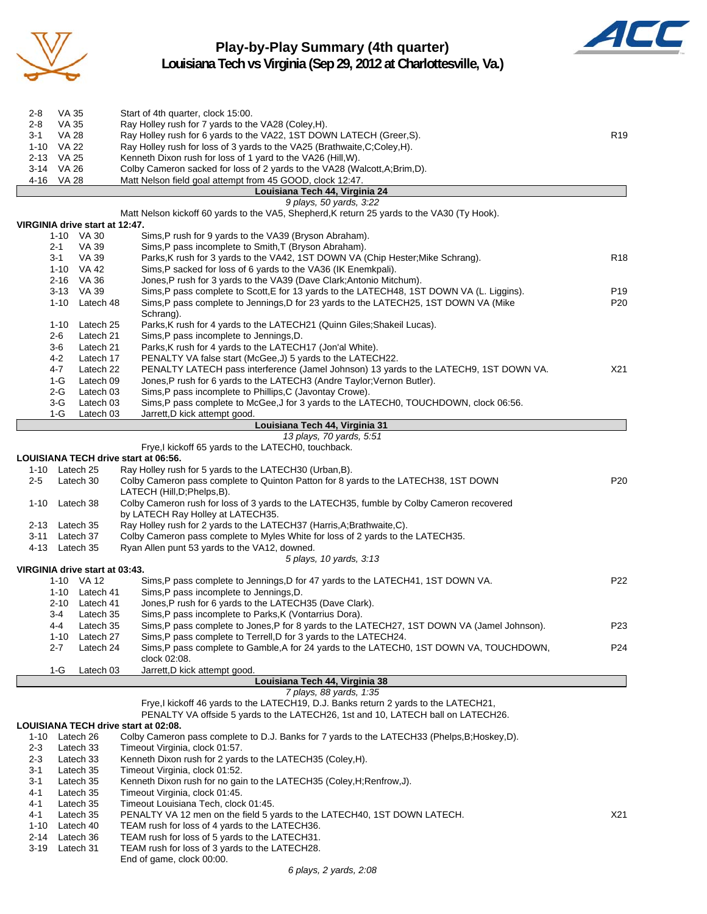

### **Play-by-Play Summary (4th quarter) Louisiana Tech vs Virginia (Sep 29, 2012 at Charlottesville, Va.)**



| 2-8      | VA 35 | Start of 4th quarter, clock 15:00.                                          |                 |
|----------|-------|-----------------------------------------------------------------------------|-----------------|
| $2 - 8$  | VA 35 | Ray Holley rush for 7 yards to the VA28 (Coley, H).                         |                 |
| 3-1      | VA 28 | Ray Holley rush for 6 yards to the VA22, 1ST DOWN LATECH (Greer, S).        | R <sub>19</sub> |
| 1-10     | VA 22 | Ray Holley rush for loss of 3 yards to the VA25 (Brathwaite, C; Coley, H).  |                 |
| $2 - 13$ | VA 25 | Kenneth Dixon rush for loss of 1 yard to the VA26 (Hill, W).                |                 |
| 3-14     | VA 26 | Colby Cameron sacked for loss of 2 yards to the VA28 (Walcott, A; Brim, D). |                 |
| 4-16     | VA 28 | Matt Nelson field goal attempt from 45 GOOD, clock 12:47.                   |                 |
|          |       | Louisiana Tech 44, Virginia 24                                              |                 |

### *9 plays, 50 yards, 3:22* Matt Nelson kickoff 60 yards to the VA5, Shepherd,K return 25 yards to the VA30 (Ty Hook). **VIRGINIA drive start at 12:47.**

| 1-10     | VA 30     | Sims, P rush for 9 yards to the VA39 (Bryson Abraham).                                    |                 |
|----------|-----------|-------------------------------------------------------------------------------------------|-----------------|
| $2 - 1$  | VA 39     | Sims, P pass incomplete to Smith, T (Bryson Abraham).                                     |                 |
| $3-1$    | VA 39     | Parks, K rush for 3 yards to the VA42, 1ST DOWN VA (Chip Hester; Mike Schrang).           | <b>R18</b>      |
| 1-10     | VA 42     | Sims, P sacked for loss of 6 yards to the VA36 (IK Enemkpali).                            |                 |
| $2 - 16$ | VA 36     | Jones, P rush for 3 yards to the VA39 (Dave Clark; Antonio Mitchum).                      |                 |
| $3 - 13$ | VA 39     | Sims, P pass complete to Scott, E for 13 yards to the LATECH48, 1ST DOWN VA (L. Liggins). | P <sub>19</sub> |
| 1-10     | Latech 48 | Sims, P pass complete to Jennings, D for 23 yards to the LATECH25, 1ST DOWN VA (Mike      | P <sub>20</sub> |
|          |           | Schrang).                                                                                 |                 |
| $1 - 10$ | Latech 25 | Parks, K rush for 4 yards to the LATECH21 (Quinn Giles; Shakeil Lucas).                   |                 |
| $2 - 6$  | Latech 21 | Sims, P pass incomplete to Jennings, D.                                                   |                 |
| 3-6      | Latech 21 | Parks, K rush for 4 yards to the LATECH17 (Jon'al White).                                 |                 |
| $4 - 2$  | Latech 17 | PENALTY VA false start (McGee, J) 5 yards to the LATECH22.                                |                 |
| 4-7      | Latech 22 | PENALTY LATECH pass interference (Jamel Johnson) 13 yards to the LATECH9, 1ST DOWN VA.    | X21             |
| $1-G$    | Latech 09 | Jones, P rush for 6 yards to the LATECH3 (Andre Taylor; Vernon Butler).                   |                 |
| 2-G      | Latech 03 | Sims, P pass incomplete to Phillips, C (Javontay Crowe).                                  |                 |
| 3-G      | Latech 03 | Sims, P pass complete to McGee, J for 3 yards to the LATECH0, TOUCHDOWN, clock 06:56.     |                 |
| 1-G      | Latech 03 | Jarrett.D kick attempt good.                                                              |                 |

#### **Louisiana Tech 44, Virginia 31**

#### *13 plays, 70 yards, 5:51*

Frye,I kickoff 65 yards to the LATECH0, touchback.

#### **LOUISIANA TECH drive start at 06:56.**

| $1 - 10$ |          | Latech 25                      | Ray Holley rush for 5 yards to the LATECH30 (Urban, B).                                                                        |                 |
|----------|----------|--------------------------------|--------------------------------------------------------------------------------------------------------------------------------|-----------------|
| $2 - 5$  |          | Latech 30                      | Colby Cameron pass complete to Quinton Patton for 8 yards to the LATECH38, 1ST DOWN<br>LATECH (Hill, D; Phelps, B).            | P <sub>20</sub> |
| $1 - 10$ |          | Latech 38                      | Colby Cameron rush for loss of 3 yards to the LATECH35, fumble by Colby Cameron recovered<br>by LATECH Ray Holley at LATECH35. |                 |
| $2 - 13$ |          | Latech 35                      | Ray Holley rush for 2 yards to the LATECH37 (Harris, A; Brathwaite, C).                                                        |                 |
| $3 - 11$ |          | Latech 37                      | Colby Cameron pass complete to Myles White for loss of 2 yards to the LATECH35.                                                |                 |
| 4-13     |          | Latech 35                      | Ryan Allen punt 53 yards to the VA12, downed.                                                                                  |                 |
|          |          |                                | 5 plays, 10 yards, 3:13                                                                                                        |                 |
|          |          | VIRGINIA drive start at 03:43. |                                                                                                                                |                 |
|          |          | 1-10 VA 12                     | Sims, P pass complete to Jennings, D for 47 yards to the LATECH41, 1ST DOWN VA.                                                | P <sub>22</sub> |
|          |          | 1-10 Latech 41                 | Sims, P pass incomplete to Jennings, D.                                                                                        |                 |
|          | $2 - 10$ | Latech 41                      | Jones, P rush for 6 yards to the LATECH35 (Dave Clark).                                                                        |                 |
|          | 3-4      | Latech 35                      | Sims, P pass incomplete to Parks, K (Vontarrius Dora).                                                                         |                 |
|          | $4 - 4$  | Latech 35                      | Sims, P pass complete to Jones, P for 8 yards to the LATECH27, 1ST DOWN VA (Jamel Johnson).                                    | P <sub>23</sub> |
|          | 1-10     | Latech 27                      | Sims, P pass complete to Terrell, D for 3 yards to the LATECH24.                                                               |                 |
|          | $2 - 7$  | Latech 24                      | Sims,P pass complete to Gamble,A for 24 yards to the LATECH0, 1ST DOWN VA, TOUCHDOWN,                                          | P <sub>24</sub> |
|          |          |                                | clock 02:08.                                                                                                                   |                 |
|          | 1-G      | Latech 03                      | Jarrett, D kick attempt good.                                                                                                  |                 |

**Louisiana Tech 44, Virginia 38**

### *7 plays, 88 yards, 1:35*

Frye,I kickoff 46 yards to the LATECH19, D.J. Banks return 2 yards to the LATECH21,

PENALTY VA offside 5 yards to the LATECH26, 1st and 10, LATECH ball on LATECH26.

#### **LOUISIANA TECH drive start at 02:08.**

| $1 - 10$ | Latech 26 | Colby Cameron pass complete to D.J. Banks for 7 yards to the LATECH33 (Phelps, B; Hoskey, D). |                 |
|----------|-----------|-----------------------------------------------------------------------------------------------|-----------------|
| $2 - 3$  | Latech 33 | Timeout Virginia, clock 01:57.                                                                |                 |
| $2 - 3$  | Latech 33 | Kenneth Dixon rush for 2 yards to the LATECH35 (Coley, H).                                    |                 |
| $3-1$    | Latech 35 | Timeout Virginia, clock 01:52.                                                                |                 |
| $3-1$    | Latech 35 | Kenneth Dixon rush for no gain to the LATECH35 (Coley, H; Renfrow, J).                        |                 |
| $4 - 1$  | Latech 35 | Timeout Virginia, clock 01:45.                                                                |                 |
| $4 - 1$  | Latech 35 | Timeout Louisiana Tech. clock 01:45.                                                          |                 |
| $4 - 1$  | Latech 35 | PENALTY VA 12 men on the field 5 yards to the LATECH40, 1ST DOWN LATECH.                      | X <sub>21</sub> |
| $1 - 10$ | Latech 40 | TEAM rush for loss of 4 yards to the LATECH36.                                                |                 |
| $2 - 14$ | Latech 36 | TEAM rush for loss of 5 yards to the LATECH31.                                                |                 |
| $3 - 19$ | Latech 31 | TEAM rush for loss of 3 yards to the LATECH28.                                                |                 |
|          |           |                                                                                               |                 |

End of game, clock 00:00.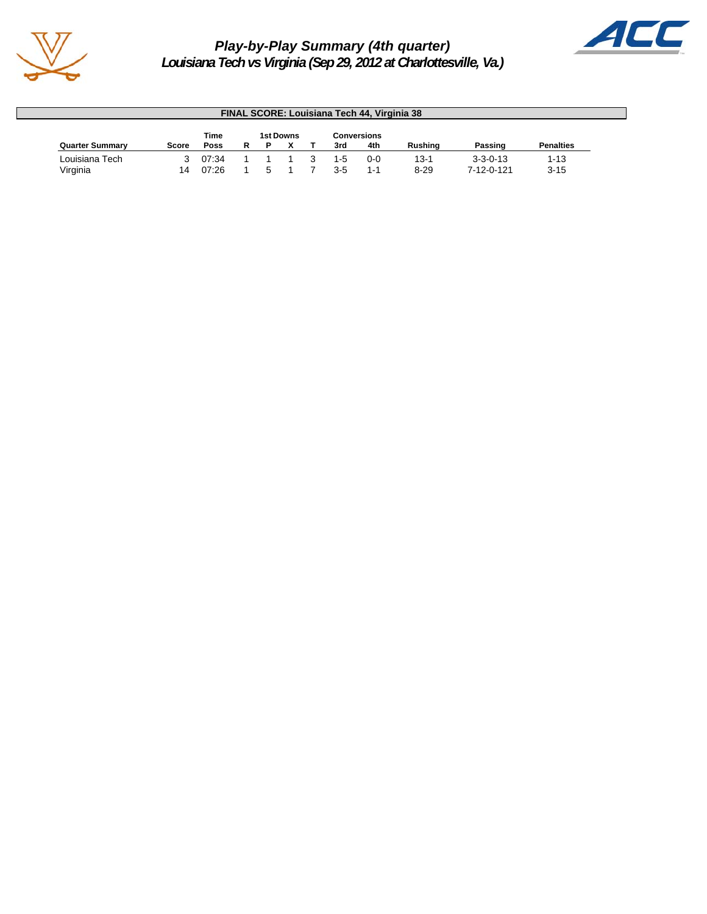

# *Play-by-Play Summary (4th quarter)*



*Louisiana Tech vs Virginia (Sep 29, 2012 at Charlottesville, Va.)*

| <b>FINAL SCORE: Louisiana Tech 44, Virginia 38</b> |              |       |  |  |  |                    |         |         |                |                  |                  |  |
|----------------------------------------------------|--------------|-------|--|--|--|--------------------|---------|---------|----------------|------------------|------------------|--|
| Time<br>1st Downs                                  |              |       |  |  |  | <b>Conversions</b> |         |         |                |                  |                  |  |
| <b>Quarter Summary</b>                             | <b>Score</b> | Poss  |  |  |  |                    | 3rd     | 4th     | <b>Rushing</b> | Passing          | <b>Penalties</b> |  |
| Louisiana Tech                                     |              | 07:34 |  |  |  |                    | $1 - 5$ | $0 - 0$ | $13-1$         | $3 - 3 - 0 - 13$ | 1-13             |  |
| Virginia                                           | 14           | 07:26 |  |  |  |                    | $3 - 5$ | 1-1     | $8 - 29$       | 7-12-0-121       | $3 - 15$         |  |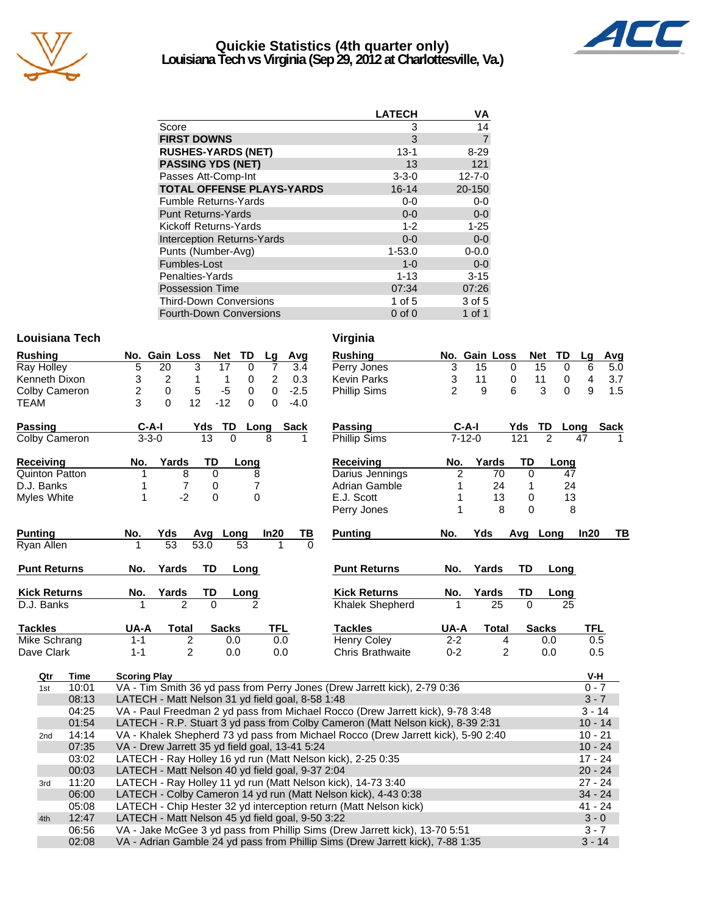

### **Quickie Statistics (4th quarter only) Louisiana Tech vs Virginia (Sep 29, 2012 at Charlottesville, Va.)**



|                                   | <b>LATECH</b> | ٧Α             |
|-----------------------------------|---------------|----------------|
| Score                             | 3             | 14             |
| <b>FIRST DOWNS</b>                | 3             | $\overline{7}$ |
| <b>RUSHES-YARDS (NET)</b>         | $13 - 1$      | $8 - 29$       |
| <b>PASSING YDS (NET)</b>          | 13            | 121            |
| Passes Att-Comp-Int               | $3 - 3 - 0$   | $12 - 7 - 0$   |
| <b>TOTAL OFFENSE PLAYS-YARDS</b>  | $16 - 14$     | 20-150         |
| <b>Fumble Returns-Yards</b>       | $0-0$         | $0-0$          |
| <b>Punt Returns-Yards</b>         | $0 - 0$       | $0-0$          |
| Kickoff Returns-Yards             | $1 - 2$       | $1 - 25$       |
| <b>Interception Returns-Yards</b> | $0 - 0$       | $0-0$          |
| Punts (Number-Avg)                | $1 - 53.0$    | $0 - 0.0$      |
| Fumbles-Lost                      | $1 - 0$       | $0-0$          |
| Penalties-Yards                   | $1 - 13$      | $3 - 15$       |
| <b>Possession Time</b>            | 07:34         | 07:26          |
| <b>Third-Down Conversions</b>     | 1 of 5        | 3 of 5         |
| <b>Fourth-Down Conversions</b>    | $0$ of $0$    | 1 of 1         |

### **Louisiana Tech Virginia**

| <b>Rushing</b>      |       | No. Gain Loss<br>Avg<br><b>Rushing</b><br>Net<br>TD<br>Lg                              |                | No. Gain Loss  |             | <b>Net</b><br>TD  | Lg<br>Avg             |
|---------------------|-------|----------------------------------------------------------------------------------------|----------------|----------------|-------------|-------------------|-----------------------|
| Ray Holley          |       | 5<br>$\overline{20}$<br>3<br>17<br>$\mathbf 0$<br>$\overline{7}$<br>3.4<br>Perry Jones | $\overline{3}$ | 15             | $\mathbf 0$ | $\mathbf 0$<br>15 | $\overline{5.0}$<br>6 |
| Kenneth Dixon       |       | 3<br>$\overline{c}$<br>2<br>0.3<br><b>Kevin Parks</b><br>1<br>0<br>1                   | 3              | 11             | 0           | 11<br>0           | 4<br>3.7              |
| Colby Cameron       |       | 5<br>2<br>$-5$<br>$\mathbf 0$<br>$\Omega$<br>$-2.5$<br>0<br><b>Phillip Sims</b>        | $\mathcal{P}$  | 9              | 6           | 3<br>$\Omega$     | 9<br>1.5              |
| TEAM                |       | 3<br>12<br>$\Omega$<br>$-12$<br>$\mathbf 0$<br>$\Omega$<br>$-4.0$                      |                |                |             |                   |                       |
| Passing             |       | <b>Passing</b><br>$C-A-I$<br>TD<br>Sack<br>Yds<br>Long                                 |                | $C-A-I$        | Yds         | TD                | Long<br>Sack          |
| Colby Cameron       |       | $3 - 3 - 0$<br>13<br>$\Omega$<br>Phillip Sims<br>8                                     |                | $7 - 12 - 0$   | 121         | $\overline{2}$    | 47                    |
| Receiving           |       | Yards<br>TD<br>Long<br><b>Receiving</b><br>No.                                         | No.            | Yards          | TD          | Long              |                       |
| Quinton Patton      |       | Darius Jennings<br>8<br>0<br>8<br>1                                                    | 2              | 70             | $\mathbf 0$ | 47                |                       |
| D.J. Banks          |       | 7<br>7<br>0<br>Adrian Gamble<br>1                                                      | 1              | 24             | 1           | 24                |                       |
| Myles White         |       | $-2$<br>0<br>$\Omega$<br>E.J. Scott<br>1                                               | 1              | 13             | 0           | 13                |                       |
|                     |       | Perry Jones                                                                            | 1              | 8              | 0           | 8                 |                       |
| <b>Punting</b>      |       | In20<br><b>Punting</b><br>No.<br>Yds<br>Long<br>ТВ<br>Avg                              | No.            | Yds            |             | Avg Long          | In20<br>TВ            |
| Ryan Allen          |       | 53<br>53.0<br>$\overline{53}$<br>$\Omega$                                              |                |                |             |                   |                       |
| <b>Punt Returns</b> |       | TD<br><b>Punt Returns</b><br>Yards<br>Long<br>No.                                      | No.            | Yards          | <b>TD</b>   | Long              |                       |
| <b>Kick Returns</b> |       | <b>Kick Returns</b><br><b>Yards</b><br>TD<br><u>No.</u><br><u>Long</u>                 | No.            | Yards          | TD          | Long              |                       |
| D.J. Banks          |       | <b>Khalek Shepherd</b><br>$\Omega$                                                     |                | 25             | $\Omega$    | 25                |                       |
|                     |       |                                                                                        |                |                |             |                   |                       |
| <b>Tackles</b>      |       | TFL<br><b>Tackles</b><br>UA-A<br><b>Total</b><br><b>Sacks</b>                          | UA-A           | <b>Total</b>   |             | <b>Sacks</b>      | <b>TFL</b>            |
| Mike Schrang        |       | $\overline{c}$<br><b>Henry Coley</b><br>$1 - 1$<br>0.0<br>0.0                          | $2 - 2$        | 4              |             | 0.0               | 0.5                   |
| Dave Clark          |       | $\overline{2}$<br>$1 - 1$<br>0.0<br>0.0<br><b>Chris Brathwaite</b>                     | $0 - 2$        | $\overline{2}$ |             | 0.0               | 0.5                   |
| Qtr                 | Time  | <b>Scoring Play</b>                                                                    |                |                |             |                   | V-H                   |
| 1st                 | 10:01 | VA - Tim Smith 36 yd pass from Perry Jones (Drew Jarrett kick), 2-79 0:36              |                |                |             |                   | $0 - 7$               |
|                     | 08:13 | LATECH - Matt Nelson 31 yd field goal, 8-58 1:48                                       |                |                |             |                   | $3 - 7$               |
|                     | 04:25 | VA - Paul Freedman 2 yd pass from Michael Rocco (Drew Jarrett kick), 9-78 3:48         |                |                |             |                   | $3 - 14$              |
|                     | 01:54 | LATECH - R.P. Stuart 3 yd pass from Colby Cameron (Matt Nelson kick), 8-39 2:31        |                |                |             |                   | $10 - 14$             |
| 2nd                 | 14:14 | VA - Khalek Shepherd 73 yd pass from Michael Rocco (Drew Jarrett kick), 5-90 2:40      |                |                |             |                   | $10 - 21$             |
|                     | 07:35 | VA - Drew Jarrett 35 yd field goal, 13-41 5:24                                         |                |                |             |                   | $10 - 24$             |
|                     | 03:02 | LATECH - Ray Holley 16 yd run (Matt Nelson kick), 2-25 0:35                            |                |                |             |                   | $17 - 24$             |
|                     | 00:03 | LATECH - Matt Nelson 40 yd field goal, 9-37 2:04                                       |                |                |             |                   | $20 - 24$             |
| 3rd                 | 11:20 | LATECH - Ray Holley 11 yd run (Matt Nelson kick), 14-73 3:40                           |                |                |             |                   | $27 - 24$             |
|                     | 06:00 | LATECH - Colby Cameron 14 yd run (Matt Nelson kick), 4-43 0:38                         |                |                |             |                   | $34 - 24$             |
|                     | 05:08 | LATECH - Chip Hester 32 yd interception return (Matt Nelson kick)                      |                |                |             |                   | $41 - 24$             |
| 4th                 | 12:47 | LATECH - Matt Nelson 45 yd field goal, 9-50 3:22                                       |                |                |             |                   | $3 - 0$               |
|                     | 06:56 | VA - Jake McGee 3 yd pass from Phillip Sims (Drew Jarrett kick), 13-70 5:51            |                |                |             |                   | $3 - 7$               |

02:08 VA - Adrian Gamble 24 yd pass from Phillip Sims (Drew Jarrett kick), 7-88 1:35 3 - 14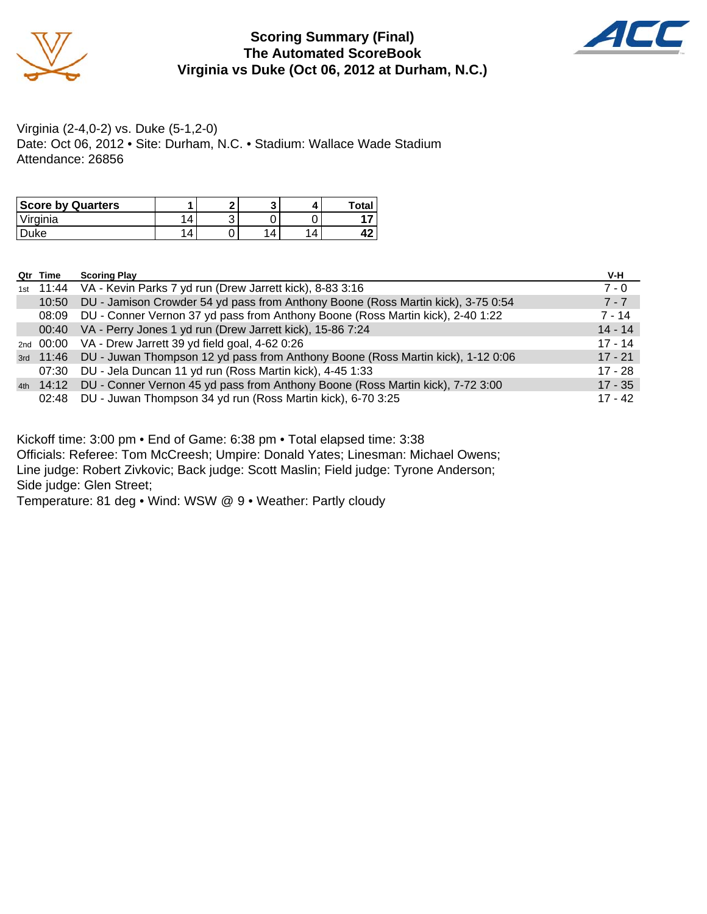

### **Scoring Summary (Final) The Automated ScoreBook Virginia vs Duke (Oct 06, 2012 at Durham, N.C.)**



Virginia (2-4,0-2) vs. Duke (5-1,2-0) Date: Oct 06, 2012 • Site: Durham, N.C. • Stadium: Wallace Wade Stadium Attendance: 26856

| <b>Score by Quarters</b> |   | c |  | Total |
|--------------------------|---|---|--|-------|
| Virginia                 | Δ | u |  |       |
| <b>uke</b>               | 4 |   |  |       |

| Qtr Time  | <b>Scoring Play</b>                                                                      | V-H       |
|-----------|------------------------------------------------------------------------------------------|-----------|
|           | 1st 11:44 VA - Kevin Parks 7 yd run (Drew Jarrett kick), 8-83 3:16                       | $7 - 0$   |
| 10:50     | DU - Jamison Crowder 54 yd pass from Anthony Boone (Ross Martin kick), 3-75 0:54         | $7 - 7$   |
| 08:09     | DU - Conner Vernon 37 yd pass from Anthony Boone (Ross Martin kick), 2-40 1:22           | $7 - 14$  |
| 00:40     | VA - Perry Jones 1 yd run (Drew Jarrett kick), 15-86 7:24                                | $14 - 14$ |
|           | 2nd 00:00 VA - Drew Jarrett 39 yd field goal, 4-62 0:26                                  | $17 - 14$ |
| 3rd 11:46 | DU - Juwan Thompson 12 yd pass from Anthony Boone (Ross Martin kick), 1-12 0:06          | $17 - 21$ |
| 07:30     | DU - Jela Duncan 11 yd run (Ross Martin kick), 4-45 1:33                                 | $17 - 28$ |
|           | 4th 14:12 DU - Conner Vernon 45 yd pass from Anthony Boone (Ross Martin kick), 7-72 3:00 | $17 - 35$ |
| 02:48     | DU - Juwan Thompson 34 yd run (Ross Martin kick), 6-70 3:25                              | $17 - 42$ |

Kickoff time: 3:00 pm • End of Game: 6:38 pm • Total elapsed time: 3:38

Officials: Referee: Tom McCreesh; Umpire: Donald Yates; Linesman: Michael Owens; Line judge: Robert Zivkovic; Back judge: Scott Maslin; Field judge: Tyrone Anderson; Side judge: Glen Street;

Temperature: 81 deg • Wind: WSW @ 9 • Weather: Partly cloudy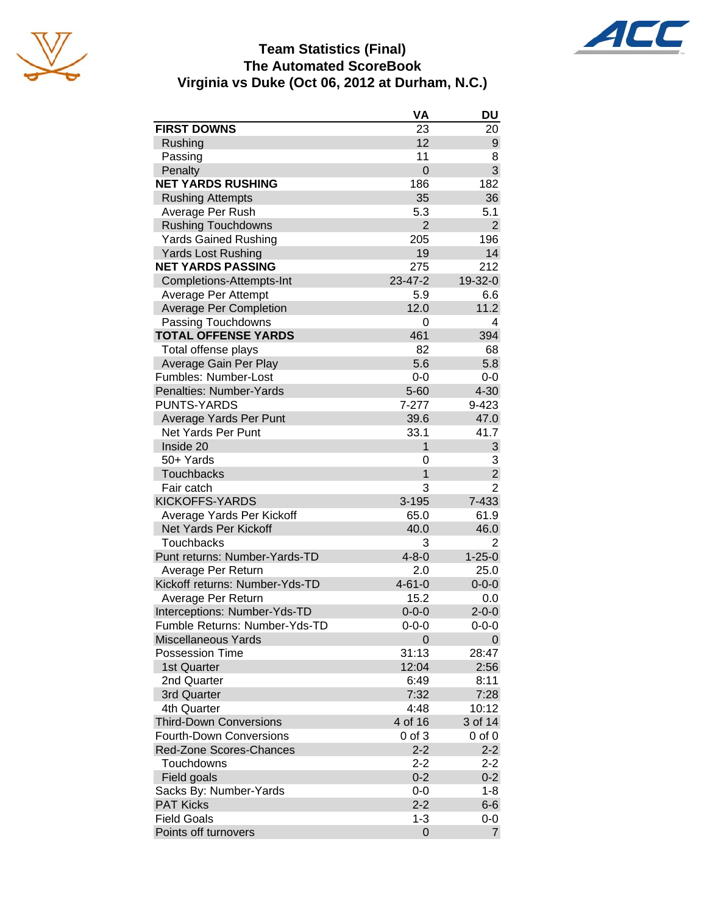





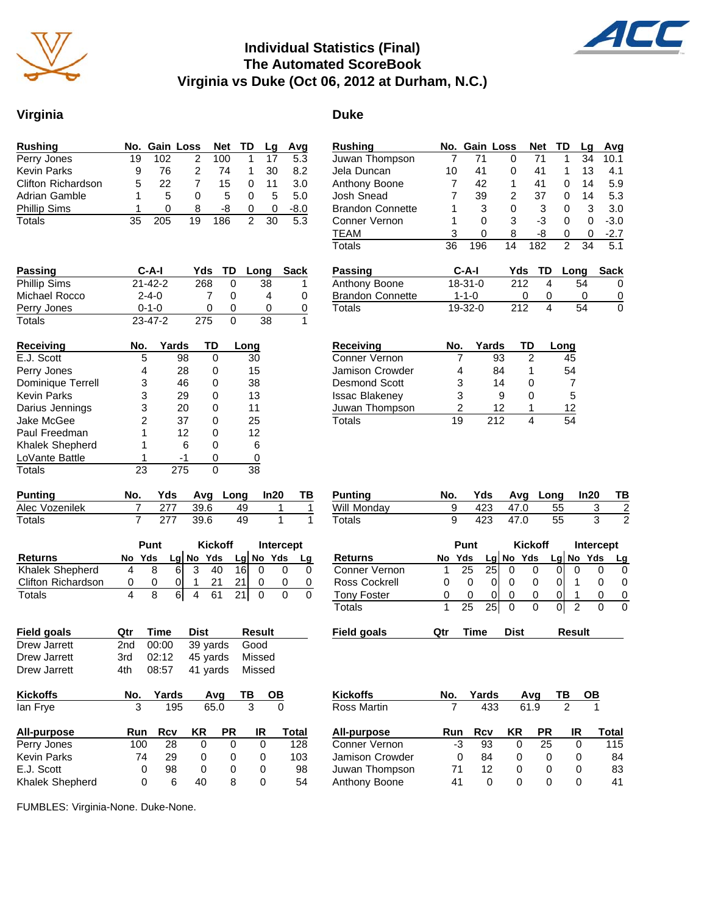

### **Individual Statistics (Final) The Automated ScoreBook Virginia vs Duke (Oct 06, 2012 at Durham, N.C.)**



| <b>Rushing</b>            |    |              | No. Gain Loss Net TD |     |   | La | Avg  |
|---------------------------|----|--------------|----------------------|-----|---|----|------|
| Perry Jones               | 19 | 102          |                      | 100 |   |    | 5.3  |
| <b>Kevin Parks</b>        | 9  | 76           | 2                    | 74  |   | 30 | 8.2  |
| <b>Clifton Richardson</b> | 5  | 22           |                      | 15  |   |    | 3.0  |
| Adrian Gamble             |    | 5            | $\mathbf{0}$         | 5   | Ω | 5  | 5.0  |
| <b>Phillip Sims</b>       |    | $\mathbf{I}$ | 8                    | -8  | 0 | 0  | -8.0 |
| Totals                    |    | 05           | 19                   | 186 |   | 30 | 5.3  |

| <b>Passing</b>      | $C-A-I$       |               | Yds | TD | Long | <b>Sack</b> |
|---------------------|---------------|---------------|-----|----|------|-------------|
| <b>Phillip Sims</b> |               | $21 - 42 - 2$ |     | 0  | 38   | 1           |
| Michael Rocco       | $2 - 4 - 0$   |               |     | 0  | 4    | 0           |
| Perry Jones         | $0 - 1 - 0$   |               |     | 0  |      | 0           |
| Totals              | $23 - 47 - 2$ |               | 275 | 0  | 38   | 1           |
| <b>Receiving</b>    | No.           | Yards         | TD  |    | Long |             |
| E.J. Scott          | 5             | 98            | 0   |    | 30   |             |
| Perry Jones         | 4             | 28            | 0   |    | 15   |             |
| Dominique Terrell   | 3             | 46            |     |    | 38   |             |
|                     |               |               |     |    |      |             |

Darius Jennings 3 20 0 11 Jake McGee 2 37 0 25 Paul Freedman 1 12 0 12 Khalek Shepherd 1 6 0 6<br>
LoVante Battle 1 -1 0 0 LoVante Battle 1 -1 0 0<br>Totals 23 275 0 38 Totals 23 275 0

| <b>Phillip Sims</b> | $21 - 42 - 2$ |             | 268 | 0 | 38   |  |
|---------------------|---------------|-------------|-----|---|------|--|
| Michael Rocco       | $2 - 4 - 0$   |             |     | 0 | 4    |  |
| Perry Jones         |               | $0 - 1 - 0$ |     | 0 |      |  |
| Totals              | $23 - 47 - 2$ |             | 275 | 0 | 38   |  |
| <b>Receiving</b>    | No.           | Yards       | TD  |   | Long |  |
| E.J. Scott          | 5             | 98          | 0   |   | 30   |  |
| Perry Jones         | 4             | 28          | 0   |   | 15   |  |
| Dominique Terrell   | 3             | 46          | 0   |   | 38   |  |
| <b>Kevin Parks</b>  |               |             |     |   | 13   |  |

| <b>Brandon Connette</b> |     | 3           | 0   | 3      | 0              | 3  | 3.0    |
|-------------------------|-----|-------------|-----|--------|----------------|----|--------|
| Conner Vernon           | 1   | 0           | 3   | -3     | 0              | 0  | $-3.0$ |
| <b>TEAM</b>             | 3   | 0           | 8   | -8     | 0              | 0  | $-2.7$ |
| Totals                  | 36  | 196         | 14  | 182    | $\overline{c}$ | 34 | 5.1    |
| <b>Passing</b>          |     | C-A-I       | Yds | TD     | Long           |    | Sack   |
| Anthony Boone           |     | $18-31-0$   | 212 | 4      |                | 54 | 0      |
| <b>Brandon Connette</b> |     | $1 - 1 - 0$ |     | Ω<br>0 |                | 0  | 0      |
| Totals                  |     | 19-32-0     | 212 | 4      |                | 54 | 0      |
|                         |     |             |     |        |                |    |        |
| Receiving               | No. | Yards       |     | TD     | Lona           |    |        |

**Rushing No. Gain Loss Net TD Lg Avg** Juwan Thompson 7 71 0 71 1 34 10.1 Jela Duncan 10 41 0 41 1 13 4.1

Josh Snead 7 39 2 37 0 14 5.3

Anthony Boone 7 42 1

| RECEIVING             | NU. | i di US | '''    | Luny |
|-----------------------|-----|---------|--------|------|
| Conner Vernon         |     | 93      | 2      | 45   |
| Jamison Crowder       |     | 84      |        | 54   |
| <b>Desmond Scott</b>  | 3   | 14      |        |      |
| <b>Issac Blakeney</b> | 3   |         | $\Box$ | 5    |
| Juwan Thompson        | 2   | 12      |        | 12   |
| Totals                | 19  | 212     |        | 54   |
|                       |     |         |        |      |

| <b>Punting</b> | No. | Yds   |         | Avg Long | In20      | ΤВ |
|----------------|-----|-------|---------|----------|-----------|----|
| Alec Vozenilek |     | 277   | 39.6    | 49       |           |    |
| Totals         |     | 277   | 39.6    | 49       |           |    |
|                |     | Dunt. | Kirkoff |          | Intercent |    |

|                           | гин    | NIUNUII |                |             | ilitei cent |  |             |  |
|---------------------------|--------|---------|----------------|-------------|-------------|--|-------------|--|
| <b>Returns</b>            | No Yds |         |                | $Lg$ No Yds |             |  | $Lg$ No Yds |  |
| Khalek Shepherd           |        | 61      | 3              | 40          | 16I         |  |             |  |
| <b>Clifton Richardson</b> |        |         |                |             |             |  |             |  |
| Totals                    |        | 61      | $\overline{4}$ | 61          | 211         |  |             |  |

| Field goals  | Qtr   | Time      | Dist                  | Result |
|--------------|-------|-----------|-----------------------|--------|
| Drew Jarrett |       | 2nd 00:00 | 39 yards Good         |        |
| Drew Jarrett | 3rd   | 02:12     | 45 yards Missed       |        |
| Drew Jarrett | 4th - |           | 08:57 41 yards Missed |        |

| <b>Kickoffs</b>    | No. | Yards |    | Ava<br>65.0 |          | OΒ    |
|--------------------|-----|-------|----|-------------|----------|-------|
| lan Frye           |     | 195   |    |             |          |       |
| All-purpose        | Run | Rcv   | KR | PR.         | IR       | Total |
| Perry Jones        | 100 | 28    | 0  | O           | O        | 128   |
| <b>Kevin Parks</b> | 74  | 29    | 0  | 0           | $\Omega$ | 103   |
| E.J. Scott         | 0   | 98    | 0  | 0           | 0        | 98    |
| Khalek Shepherd    | Ω   | 6     | 40 | 8           |          | 54    |

| <b>Punting</b> | No. |     |      | Yds Avg Long | In20 | TВ |
|----------------|-----|-----|------|--------------|------|----|
| Will Monday    |     | 423 | 47.0 | 55           |      |    |
| Totals         |     | 423 | 47.0 | 55           |      |    |

|                    |     | <b>Punt</b>       |           |             | <b>Kickoff</b> |               | Intercept |              |
|--------------------|-----|-------------------|-----------|-------------|----------------|---------------|-----------|--------------|
| <b>Returns</b>     |     | No Yds            |           |             | Lg No Yds      |               | Lg No Yds | Lq           |
| Conner Vernon      |     | 25                | 25        |             |                |               | O         | 0            |
| Ross Cockrell      |     | 0                 |           |             |                |               |           | 0            |
| <b>Tony Foster</b> |     | $\mathbf{\Omega}$ |           | O           |                | 1             |           | O            |
| Totals             |     | 25                | <b>25</b> | 0           |                | 2             | 0         | <sup>0</sup> |
| Field goals        | Qtr | Time              |           | <b>Dist</b> |                | <b>Result</b> |           |              |

| No. | Yards |      |  | тв  | OΒ                              |
|-----|-------|------|--|-----|---------------------------------|
|     | 433   | 61.9 |  |     |                                 |
| Run | Rcv   | ΚR   |  | IR  | Total                           |
| -3  | 93    | 0    |  |     | 115                             |
| 0   | 84    | 0    |  |     | 84                              |
| 71  | 12    | 0    |  |     | 83                              |
| 41  | O     |      |  |     | 41                              |
|     |       |      |  | Ava | <b>PR</b><br>25<br>$\mathbf{0}$ |

FUMBLES: Virginia-None. Duke-None.

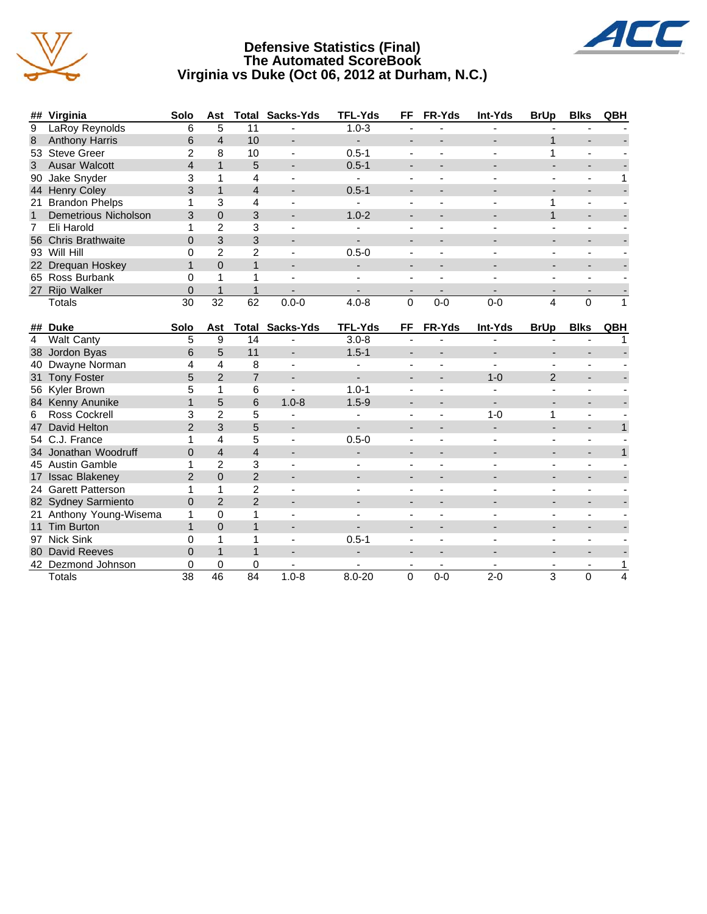

### **Defensive Statistics (Final) The Automated ScoreBook Virginia vs Duke (Oct 06, 2012 at Durham, N.C.)**



|                | ## Virginia                 | Solo            | Ast             |                 | <b>Total Sacks-Yds</b>   | <b>TFL-Yds</b>           | FF                           | FR-Yds                   | Int-Yds                  | <b>BrUp</b>              | <b>Blks</b>              | QBH          |
|----------------|-----------------------------|-----------------|-----------------|-----------------|--------------------------|--------------------------|------------------------------|--------------------------|--------------------------|--------------------------|--------------------------|--------------|
| $\overline{9}$ | LaRoy Reynolds              | 6               | 5               | 11              |                          | $1.0 - 3$                |                              |                          |                          |                          |                          |              |
| 8              | <b>Anthony Harris</b>       | 6               | $\overline{4}$  | 10              | $\overline{\phantom{a}}$ | $\overline{\phantom{0}}$ | $\overline{\phantom{a}}$     |                          |                          | $\mathbf{1}$             |                          |              |
| 53             | <b>Steve Greer</b>          | $\overline{2}$  | 8               | 10              | $\blacksquare$           | $0.5 - 1$                | $\blacksquare$               | ÷,                       |                          | 1                        | ÷,                       |              |
| 3              | Ausar Walcott               | $\overline{4}$  | $\mathbf{1}$    | 5               | $\blacksquare$           | $0.5 - 1$                | $\overline{\phantom{a}}$     |                          |                          |                          | $\overline{\phantom{a}}$ |              |
| 90             | Jake Snyder                 | 3               | 1               | 4               |                          | $\blacksquare$           | $\blacksquare$               | ä,                       |                          |                          | ä,                       | 1            |
| 44             | <b>Henry Coley</b>          | 3               | $\mathbf{1}$    | 4               | $\overline{\phantom{a}}$ | $0.5 - 1$                | $\overline{a}$               |                          |                          |                          | $\overline{\phantom{a}}$ |              |
| 21             | <b>Brandon Phelps</b>       | 1               | 3               | 4               |                          |                          | $\blacksquare$               | L.                       |                          | 1                        | $\blacksquare$           |              |
| $\mathbf{1}$   | <b>Demetrious Nicholson</b> | 3               | $\Omega$        | 3               |                          | $1.0 - 2$                | $\overline{\phantom{a}}$     |                          |                          | 1                        | $\overline{\phantom{a}}$ |              |
| 7              | Eli Harold                  | 1               | $\overline{2}$  | 3               |                          |                          | $\overline{\phantom{a}}$     |                          |                          |                          | $\overline{\phantom{m}}$ |              |
| 56             | <b>Chris Brathwaite</b>     | $\overline{0}$  | 3               | 3               |                          |                          | $\overline{\phantom{a}}$     |                          |                          |                          | -                        |              |
|                | 93 Will Hill                | 0               | $\overline{2}$  | $\overline{2}$  |                          | $0.5 - 0$                | $\blacksquare$               |                          |                          |                          | ÷,                       |              |
| 22             | Drequan Hoskey              | $\mathbf{1}$    | $\mathbf 0$     | $\mathbf{1}$    | $\overline{\phantom{a}}$ |                          | $\qquad \qquad \blacksquare$ | $\overline{\phantom{0}}$ |                          | $\overline{\phantom{a}}$ | $\overline{\phantom{0}}$ |              |
|                | 65 Ross Burbank             | 0               | 1               | 1               |                          |                          | $\blacksquare$               |                          |                          |                          | ÷,                       |              |
| 27             | Rijo Walker                 | $\overline{0}$  | $\mathbf{1}$    | $\mathbf{1}$    |                          |                          | $\blacksquare$               |                          |                          |                          |                          |              |
|                | <b>Totals</b>               | 30              | $\overline{32}$ | 62              | $0.0 - 0$                | $4.0 - 8$                | 0                            | $0-0$                    | $0-0$                    | 4                        | 0                        | $\mathbf{1}$ |
|                |                             |                 |                 |                 |                          |                          |                              |                          |                          |                          |                          |              |
|                | ## Duke                     | Solo            | Ast             | <b>Total</b>    | Sacks-Yds                | <b>TFL-Yds</b>           | FF                           | FR-Yds                   | Int-Yds                  | <b>BrUp</b>              | <b>Blks</b>              | QBH          |
| $\overline{4}$ | <b>Walt Canty</b>           | 5               | 9               | 14              |                          | $3.0 - 8$                | $\blacksquare$               |                          |                          | $\overline{\phantom{a}}$ | ÷,                       | 1            |
| 38             | Jordon Byas                 | 6               | 5               | 11              | $\blacksquare$           | $1.5 - 1$                | $\blacksquare$               | $\overline{a}$           | $\overline{\phantom{a}}$ | $\blacksquare$           | $\overline{\phantom{0}}$ |              |
| 40             | Dwayne Norman               | 4               | 4               | 8               | $\blacksquare$           |                          | $\sim$                       | ä,                       |                          |                          | ä,                       |              |
| 31             | <b>Tony Foster</b>          | 5               | $\overline{2}$  | $\overline{7}$  | $\blacksquare$           | $\blacksquare$           | $\blacksquare$               | $\blacksquare$           | $1 - 0$                  | $\overline{2}$           | $\overline{\phantom{a}}$ |              |
|                | 56 Kyler Brown              | 5               | 1               | 6               |                          | $1.0 - 1$                | $\blacksquare$               | ÷,                       |                          | $\blacksquare$           | $\blacksquare$           |              |
| 84             | Kenny Anunike               | $\mathbf{1}$    | 5               | 6               | $1.0 - 8$                | $1.5 - 9$                | $\blacksquare$               | $\overline{a}$           |                          |                          | $\blacksquare$           |              |
| 6              | <b>Ross Cockrell</b>        | 3               | $\overline{2}$  | 5               |                          |                          | $\overline{\phantom{a}}$     | ä,                       | $1 - 0$                  | 1                        | $\overline{\phantom{a}}$ |              |
| 47             | David Helton                | $\overline{2}$  | 3               | 5               |                          |                          | $\overline{\phantom{a}}$     |                          |                          | $\blacksquare$           | ÷,                       | $\mathbf{1}$ |
|                | 54 C.J. France              | 1               | 4               | 5               |                          | $0.5 - 0$                |                              |                          |                          |                          | ÷,                       |              |
|                | 34 Jonathan Woodruff        | $\overline{0}$  | $\overline{4}$  | $\overline{4}$  | $\overline{\phantom{a}}$ | $\overline{\phantom{a}}$ | $\overline{\phantom{a}}$     |                          |                          | $\overline{\phantom{a}}$ | $\blacksquare$           | $\mathbf{1}$ |
|                | 45 Austin Gamble            | 1               | $\overline{2}$  | 3               |                          |                          |                              |                          |                          |                          |                          |              |
| 17             | <b>Issac Blakeney</b>       | $\overline{2}$  | $\overline{0}$  | $\overline{2}$  | $\blacksquare$           | $\blacksquare$           | $\overline{\phantom{a}}$     | $\overline{a}$           |                          | $\blacksquare$           | ÷,                       |              |
|                | 24 Garett Patterson         | 1               | 1               | $\overline{2}$  |                          |                          |                              |                          |                          |                          |                          |              |
|                | 82 Sydney Sarmiento         | $\overline{0}$  | 2               | $\overline{2}$  | $\blacksquare$           |                          | $\overline{\phantom{a}}$     |                          |                          | $\overline{\phantom{a}}$ | ÷,                       |              |
| 21             | Anthony Young-Wisema        | 1               | $\Omega$        | 1               | ٠                        |                          | $\overline{a}$               | $\overline{a}$           |                          | $\blacksquare$           |                          |              |
| 11             | <b>Tim Burton</b>           | $\mathbf{1}$    | $\Omega$        | $\mathbf{1}$    | $\overline{\phantom{a}}$ | $\blacksquare$           | $\overline{\phantom{a}}$     |                          |                          | $\overline{\phantom{a}}$ | $\overline{\phantom{0}}$ |              |
| 97             | <b>Nick Sink</b>            | 0               | 1               | 1               | $\blacksquare$           | $0.5 - 1$                | $\blacksquare$               | $\blacksquare$           |                          | $\blacksquare$           | ä,                       |              |
| 80             | David Reeves                | $\overline{0}$  | $\mathbf{1}$    | $\mathbf{1}$    | $\blacksquare$           | $\blacksquare$           | $\overline{\phantom{a}}$     | $\overline{a}$           |                          | $\blacksquare$           | ÷,                       |              |
|                | 42 Dezmond Johnson          | 0               | $\Omega$        | 0               | $\overline{\phantom{a}}$ | $\blacksquare$           | $\overline{\phantom{a}}$     | $\overline{\phantom{a}}$ | $\blacksquare$           | $\overline{\phantom{a}}$ | ۰                        | 1            |
|                | <b>Totals</b>               | $\overline{38}$ | $\overline{46}$ | $\overline{84}$ | $1.0 - 8$                | $8.0 - 20$               | $\Omega$                     | $0-0$                    | $2 - 0$                  | 3                        | 0                        | 4            |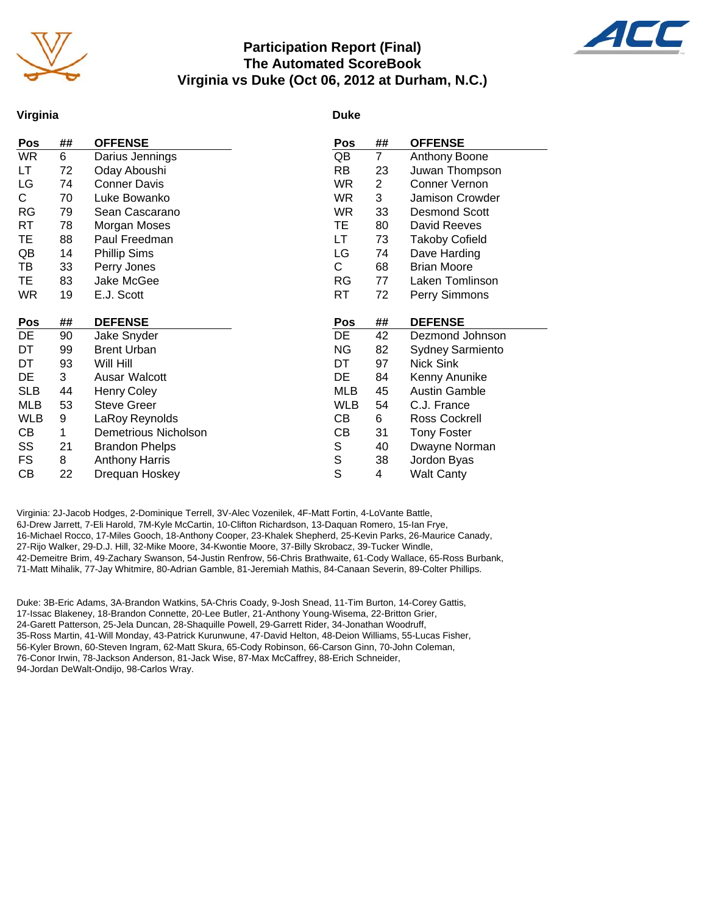

### **Participation Report (Final) The Automated ScoreBook Virginia vs Duke (Oct 06, 2012 at Durham, N.C.)**



#### **Virginia**

#### **Duke**

| Pos        | ## | <b>OFFENSE</b>              | Pos        | ##             | <b>OFFENSE</b>          |
|------------|----|-----------------------------|------------|----------------|-------------------------|
| <b>WR</b>  | 6  | Darius Jennings             | QB         | $\overline{7}$ | Anthony Boone           |
| LТ         | 72 | Oday Aboushi                | <b>RB</b>  | 23             | Juwan Thompson          |
| LG         | 74 | <b>Conner Davis</b>         | WR.        | $\overline{c}$ | Conner Vernon           |
| C.         | 70 | Luke Bowanko                | <b>WR</b>  | 3              | Jamison Crowder         |
| <b>RG</b>  | 79 | Sean Cascarano              | <b>WR</b>  | 33             | <b>Desmond Scott</b>    |
| RT         | 78 | Morgan Moses                | TE         | 80             | David Reeves            |
| TE         | 88 | Paul Freedman               | LT         | 73             | <b>Takoby Cofield</b>   |
| QB         | 14 | <b>Phillip Sims</b>         | LG         | 74             | Dave Harding            |
| TВ         | 33 | Perry Jones                 | C          | 68             | <b>Brian Moore</b>      |
| TE         | 83 | Jake McGee                  | <b>RG</b>  | 77             | Laken Tomlinson         |
| <b>WR</b>  | 19 | E.J. Scott                  | RT.        | 72             | Perry Simmons           |
|            |    |                             |            |                |                         |
|            |    |                             |            |                |                         |
| Pos        | ## | <b>DEFENSE</b>              | <b>Pos</b> | ##             | <b>DEFENSE</b>          |
| DE         | 90 | Jake Snyder                 | DE         | 42             | Dezmond Johnson         |
| DT         | 99 | <b>Brent Urban</b>          | <b>NG</b>  | 82             | <b>Sydney Sarmiento</b> |
| DT         | 93 | Will Hill                   | DT         | 97             | Nick Sink               |
| DE         | 3  | Ausar Walcott               | DE         | 84             | Kenny Anunike           |
| <b>SLB</b> | 44 | <b>Henry Coley</b>          | <b>MLB</b> | 45             | <b>Austin Gamble</b>    |
| MLB        | 53 | <b>Steve Greer</b>          | <b>WLB</b> | 54             | C.J. France             |
| <b>WLB</b> | 9  | LaRoy Reynolds              | CВ         | 6              | Ross Cockrell           |
| CВ         | 1  | <b>Demetrious Nicholson</b> | CВ         | 31             | <b>Tony Foster</b>      |
| SS         | 21 | <b>Brandon Phelps</b>       | S          | 40             | Dwayne Norman           |
| <b>FS</b>  | 8  | <b>Anthony Harris</b>       | S          | 38             | Jordon Byas             |
| CB         | 22 | Drequan Hoskey              | S          | 4              | <b>Walt Canty</b>       |

Virginia: 2J-Jacob Hodges, 2-Dominique Terrell, 3V-Alec Vozenilek, 4F-Matt Fortin, 4-LoVante Battle, 6J-Drew Jarrett, 7-Eli Harold, 7M-Kyle McCartin, 10-Clifton Richardson, 13-Daquan Romero, 15-Ian Frye, 16-Michael Rocco, 17-Miles Gooch, 18-Anthony Cooper, 23-Khalek Shepherd, 25-Kevin Parks, 26-Maurice Canady, 27-Rijo Walker, 29-D.J. Hill, 32-Mike Moore, 34-Kwontie Moore, 37-Billy Skrobacz, 39-Tucker Windle, 42-Demeitre Brim, 49-Zachary Swanson, 54-Justin Renfrow, 56-Chris Brathwaite, 61-Cody Wallace, 65-Ross Burbank, 71-Matt Mihalik, 77-Jay Whitmire, 80-Adrian Gamble, 81-Jeremiah Mathis, 84-Canaan Severin, 89-Colter Phillips.

Duke: 3B-Eric Adams, 3A-Brandon Watkins, 5A-Chris Coady, 9-Josh Snead, 11-Tim Burton, 14-Corey Gattis, 17-Issac Blakeney, 18-Brandon Connette, 20-Lee Butler, 21-Anthony Young-Wisema, 22-Britton Grier, 24-Garett Patterson, 25-Jela Duncan, 28-Shaquille Powell, 29-Garrett Rider, 34-Jonathan Woodruff, 35-Ross Martin, 41-Will Monday, 43-Patrick Kurunwune, 47-David Helton, 48-Deion Williams, 55-Lucas Fisher, 56-Kyler Brown, 60-Steven Ingram, 62-Matt Skura, 65-Cody Robinson, 66-Carson Ginn, 70-John Coleman, 76-Conor Irwin, 78-Jackson Anderson, 81-Jack Wise, 87-Max McCaffrey, 88-Erich Schneider, 94-Jordan DeWalt-Ondijo, 98-Carlos Wray.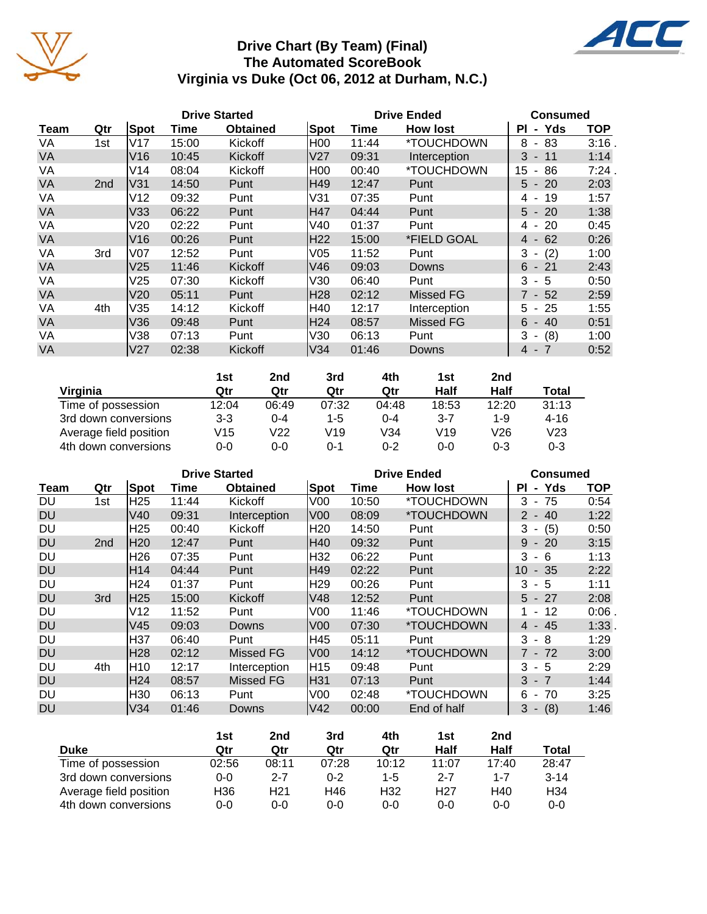

### **Drive Chart (By Team) (Final) The Automated ScoreBook Virginia vs Duke (Oct 06, 2012 at Durham, N.C.)**

4C



|                        | 1st     | 2nd     | 3rd     | 4th   | 1st     | 2 <sub>nd</sub> |                 |
|------------------------|---------|---------|---------|-------|---------|-----------------|-----------------|
| Virginia               | Qtr     | Qtr     | Qtr     | Qtr   | Half    | Half            | Total           |
| Time of possession     | 12:04   | 06:49   | 07:32   | 04:48 | 18:53   | 12:20           | 31:13           |
| 3rd down conversions   | $3 - 3$ | $0 - 4$ | $1 - 5$ | 0-4   | $3 - 7$ | 1-9             | $4 - 16$        |
| Average field position | V15     | V22     | V19     | V34   | V19     | V26             | V <sub>23</sub> |
| 4th down conversions   | 0-0     | 0-0     | ი-1     | 0-2   | $0 - 0$ | $0 - 3$         | 0-3             |

|           |     |                 | <b>Drive Started</b> |                 | <b>Drive Ended</b> |       |                 |                                      | <b>Consumed</b> |
|-----------|-----|-----------------|----------------------|-----------------|--------------------|-------|-----------------|--------------------------------------|-----------------|
| Team      | Qtr | Spot            | Time                 | <b>Obtained</b> | Spot               | Time  | <b>How lost</b> | - Yds<br>ΡI                          | <b>TOP</b>      |
| DU        | 1st | H <sub>25</sub> | 11:44                | Kickoff         | V <sub>00</sub>    | 10:50 | *TOUCHDOWN      | - 75<br>3                            | 0:54            |
| <b>DU</b> |     | V40             | 09:31                | Interception    | V <sub>00</sub>    | 08:09 | *TOUCHDOWN      | 40<br>$2 -$                          | 1:22            |
| DU        |     | H <sub>25</sub> | 00:40                | Kickoff         | H <sub>20</sub>    | 14:50 | Punt            | (5)<br>3<br>$\overline{\phantom{a}}$ | 0:50            |
| <b>DU</b> | 2nd | H20             | 12:47                | Punt            | H40                | 09:32 | Punt            | $9 - 20$                             | 3:15            |
| DU        |     | H <sub>26</sub> | 07:35                | Punt            | H32                | 06:22 | Punt            | 3<br>-6                              | 1:13            |
| <b>DU</b> |     | H <sub>14</sub> | 04:44                | Punt            | H49                | 02:22 | Punt            | $-35$<br>10                          | 2:22            |
| DU        |     | H <sub>24</sub> | 01:37                | Punt            | H29                | 00:26 | Punt            | 3<br>- 5                             | 1:11            |
| <b>DU</b> | 3rd | H25             | 15:00                | Kickoff         | V48                | 12:52 | Punt            | $5 - 27$                             | 2:08            |
| DU        |     | V12             | 11:52                | Punt            | V <sub>00</sub>    | 11:46 | *TOUCHDOWN      | -12<br>$\sim$                        | 0:06            |
| <b>DU</b> |     | V45             | 09:03                | Downs           | V <sub>00</sub>    | 07:30 | *TOUCHDOWN      | 4 - 45                               | 1:33            |
| DU        |     | H37             | 06:40                | Punt            | H45                | 05:11 | Punt            | $3 - 8$                              | 1:29            |
| <b>DU</b> |     | H28             | 02:12                | Missed FG       | V <sub>00</sub>    | 14:12 | *TOUCHDOWN      | 7 - 72                               | 3:00            |
| DU        | 4th | H10             | 12:17                | Interception    | H15                | 09:48 | Punt            | - 5<br>3                             | 2:29            |
| <b>DU</b> |     | H <sub>24</sub> | 08:57                | Missed FG       | H31                | 07:13 | Punt            | $3 - 7$                              | 1:44            |
| DU        |     | H30             | 06:13                | Punt            | V <sub>00</sub>    | 02:48 | *TOUCHDOWN      | 6<br>70<br>$\overline{\phantom{a}}$  | 3:25            |
| <b>DU</b> |     | V34             | 01:46                | Downs           | V42                | 00:00 | End of half     | (8)<br>$3 -$                         | 1:46            |

|                        | 1st     | 2nd             | 3rd     | 4th             | 1st             | 2nd     |                 |
|------------------------|---------|-----------------|---------|-----------------|-----------------|---------|-----------------|
| <b>Duke</b>            | Qtr     | Qtr             | Qtr     | Qtr             | Half            | Half    | Total           |
| Time of possession     | 02:56   | 08:11           | 07:28   | 10:12           | 11:07           | 17:40   | 28:47           |
| 3rd down conversions   | $0 - 0$ | $2 - 7$         | $0 - 2$ | $1-5$           | 2-7             | 1-7     | $3 - 14$        |
| Average field position | H36     | H <sub>21</sub> | H46     | H <sub>32</sub> | H <sub>27</sub> | H40     | H <sub>34</sub> |
| 4th down conversions   | 0-0     | 0-0             | 0-0     | $0 - 0$         | $0 - 0$         | $0 - 0$ | $0 - 0$         |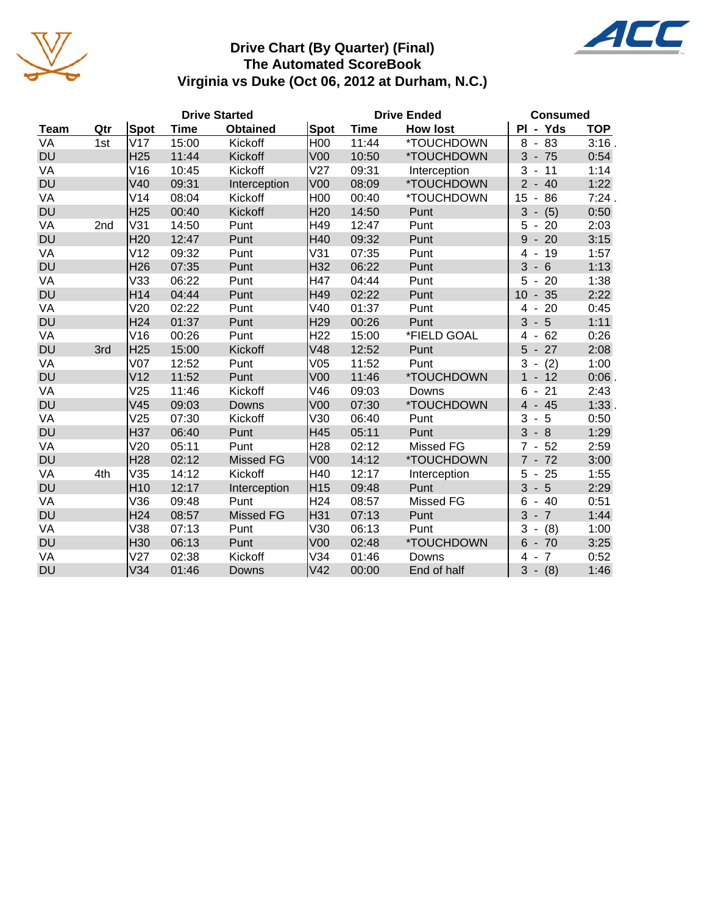

### **Drive Chart (By Quarter) (Final) The Automated ScoreBook Virginia vs Duke (Oct 06, 2012 at Durham, N.C.)**

|             |                 |                 |       | <b>Drive Started</b> | <b>Drive Ended</b> |       |                  | <b>Consumed</b>                          |            |  |  |
|-------------|-----------------|-----------------|-------|----------------------|--------------------|-------|------------------|------------------------------------------|------------|--|--|
| <b>Team</b> | Qtr             | Spot            | Time  | <b>Obtained</b>      | Spot               | Time  | <b>How lost</b>  | PI - Yds                                 | <b>TOP</b> |  |  |
| VA          | 1st             | V17             | 15:00 | Kickoff              | H <sub>00</sub>    | 11:44 | *TOUCHDOWN       | 8<br>83<br>$\blacksquare$                | $3:16$ .   |  |  |
| <b>DU</b>   |                 | H <sub>25</sub> | 11:44 | Kickoff              | <b>V00</b>         | 10:50 | *TOUCHDOWN       | $3 - 75$                                 | 0:54       |  |  |
| VA          |                 | V16             | 10:45 | Kickoff              | V27                | 09:31 | Interception     | 3<br>$-11$                               | 1:14       |  |  |
| <b>DU</b>   |                 | V40             | 09:31 | Interception         | <b>V00</b>         | 08:09 | *TOUCHDOWN       | $\overline{2}$<br>$-40$                  | 1:22       |  |  |
| VA          |                 | V14             | 08:04 | Kickoff              | <b>H00</b>         | 00:40 | *TOUCHDOWN       | 15<br>86<br>$\qquad \qquad \blacksquare$ | 7:24.      |  |  |
| <b>DU</b>   |                 | H <sub>25</sub> | 00:40 | Kickoff              | H <sub>20</sub>    | 14:50 | Punt             | 3<br>(5)                                 | 0:50       |  |  |
| VA          | 2 <sub>nd</sub> | V31             | 14:50 | Punt                 | H49                | 12:47 | Punt             | 20<br>5<br>$\blacksquare$                | 2:03       |  |  |
| <b>DU</b>   |                 | H <sub>20</sub> | 12:47 | Punt                 | H40                | 09:32 | Punt             | 9<br>$-20$                               | 3:15       |  |  |
| VA          |                 | V <sub>12</sub> | 09:32 | Punt                 | V31                | 07:35 | Punt             | 19<br>4                                  | 1:57       |  |  |
| <b>DU</b>   |                 | H <sub>26</sub> | 07:35 | Punt                 | H32                | 06:22 | Punt             | 3<br>6<br>$\overline{\phantom{a}}$       | 1:13       |  |  |
| VA          |                 | V33             | 06:22 | Punt                 | H47                | 04:44 | Punt             | 5<br>$-20$                               | 1:38       |  |  |
| <b>DU</b>   |                 | H14             | 04:44 | Punt                 | H49                | 02:22 | Punt             | $-35$<br>10                              | 2:22       |  |  |
| VA          |                 | V20             | 02:22 | Punt                 | V40                | 01:37 | Punt             | 20<br>$\overline{4}$<br>$\blacksquare$   | 0:45       |  |  |
| <b>DU</b>   |                 | H <sub>24</sub> | 01:37 | Punt                 | H <sub>29</sub>    | 00:26 | Punt             | 5<br>3<br>$\blacksquare$                 | 1:11       |  |  |
| VA          |                 | V16             | 00:26 | Punt                 | H <sub>22</sub>    | 15:00 | *FIELD GOAL      | 62<br>4                                  | 0:26       |  |  |
| <b>DU</b>   | 3rd             | H <sub>25</sub> | 15:00 | Kickoff              | V48                | 12:52 | Punt             | 27<br>5                                  | 2:08       |  |  |
| VA          |                 | V <sub>07</sub> | 12:52 | Punt                 | V05                | 11:52 | Punt             | 3<br>(2)<br>$\overline{\phantom{a}}$     | 1:00       |  |  |
| <b>DU</b>   |                 | V <sub>12</sub> | 11:52 | Punt                 | V <sub>00</sub>    | 11:46 | *TOUCHDOWN       | $-12$<br>$\mathbf{1}$                    | 0:06       |  |  |
| VA          |                 | V25             | 11:46 | Kickoff              | V46                | 09:03 | Downs            | 21<br>6<br>$\overline{\phantom{a}}$      | 2:43       |  |  |
| <b>DU</b>   |                 | V45             | 09:03 | Downs                | V <sub>00</sub>    | 07:30 | *TOUCHDOWN       | $4 - 45$                                 | 1:33.      |  |  |
| VA          |                 | V25             | 07:30 | Kickoff              | V30                | 06:40 | Punt             | 3<br>5<br>$\overline{\phantom{a}}$       | 0:50       |  |  |
| <b>DU</b>   |                 | H37             | 06:40 | Punt                 | H45                | 05:11 | Punt             | $3 - 8$                                  | 1:29       |  |  |
| VA          |                 | V20             | 05:11 | Punt                 | H <sub>28</sub>    | 02:12 | <b>Missed FG</b> | 52<br>$\overline{7}$<br>$\blacksquare$   | 2:59       |  |  |
| <b>DU</b>   |                 | H <sub>28</sub> | 02:12 | <b>Missed FG</b>     | <b>V00</b>         | 14:12 | *TOUCHDOWN       | $7 - 72$                                 | 3:00       |  |  |
| VA          | 4th             | V35             | 14:12 | Kickoff              | H40                | 12:17 | Interception     | 5<br>$-25$                               | 1:55       |  |  |
| <b>DU</b>   |                 | H <sub>10</sub> | 12:17 | Interception         | H15                | 09:48 | Punt             | 3<br>$-5$                                | 2:29       |  |  |
| VA          |                 | V36             | 09:48 | Punt                 | H <sub>24</sub>    | 08:57 | Missed FG        | 6<br>$-40$                               | 0:51       |  |  |
| <b>DU</b>   |                 | H <sub>24</sub> | 08:57 | <b>Missed FG</b>     | H31                | 07:13 | Punt             | 3<br>$-7$                                | 1:44       |  |  |
| VA          |                 | V38             | 07:13 | Punt                 | V30                | 06:13 | Punt             | 3<br>(8)                                 | 1:00       |  |  |
| <b>DU</b>   |                 | H30             | 06:13 | Punt                 | V <sub>00</sub>    | 02:48 | *TOUCHDOWN       | $6 - 70$                                 | 3:25       |  |  |
| VA          |                 | V <sub>27</sub> | 02:38 | Kickoff              | V34                | 01:46 | Downs            | $\overline{7}$<br>4                      | 0:52       |  |  |
| <b>DU</b>   |                 | V34             | 01:46 | <b>Downs</b>         | V42                | 00:00 | End of half      | 3<br>$- (8)$                             | 1:46       |  |  |

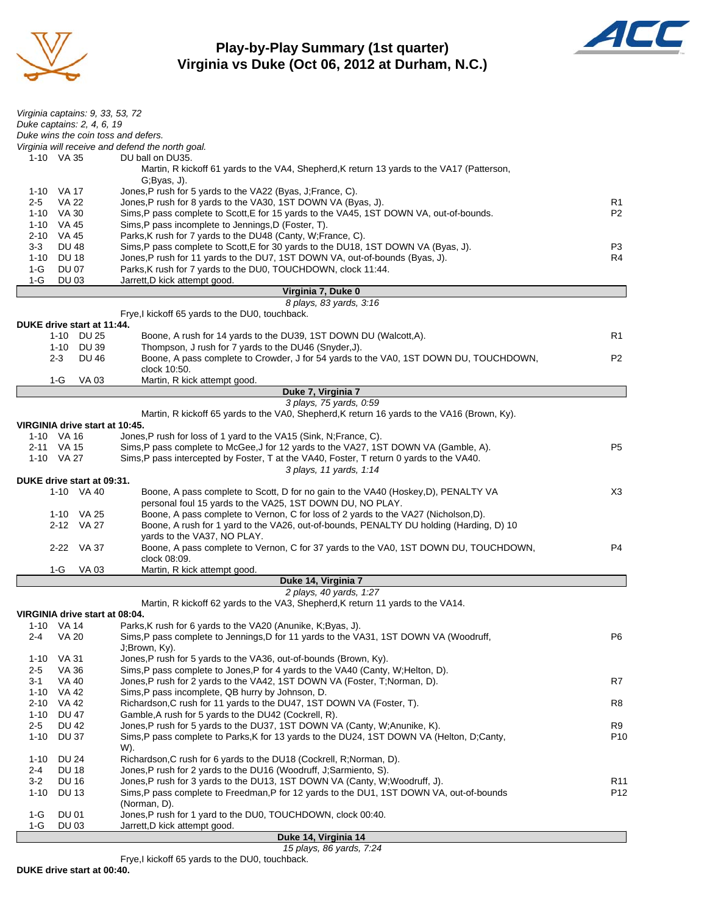

### **Play-by-Play Summary (1st quarter) Virginia vs Duke (Oct 06, 2012 at Durham, N.C.)**



| Duke wins the coin toss and defers.<br>Virginia will receive and defend the north goal.<br>1-10 VA 35<br>DU ball on DU35.<br>Martin, R kickoff 61 yards to the VA4, Shepherd, K return 13 yards to the VA17 (Patterson,<br>$G$ ; Byas, $J$ ).<br>Jones, P rush for 5 yards to the VA22 (Byas, J; France, C).<br>1-10 VA 17<br>Jones,P rush for 8 yards to the VA30, 1ST DOWN VA (Byas, J).<br><b>VA 22</b><br>R1<br>2-5<br>P <sub>2</sub><br>1-10 VA 30<br>Sims, P pass complete to Scott, E for 15 yards to the VA45, 1ST DOWN VA, out-of-bounds.<br>Sims, P pass incomplete to Jennings, D (Foster, T).<br>1-10 VA 45<br>Parks, K rush for 7 yards to the DU48 (Canty, W; France, C).<br>2-10 VA 45<br><b>DU 48</b><br>Sims, P pass complete to Scott, E for 30 yards to the DU18, 1ST DOWN VA (Byas, J).<br>P <sub>3</sub><br>$3 - 3$<br><b>DU 18</b><br>Jones, P rush for 11 yards to the DU7, 1ST DOWN VA, out-of-bounds (Byas, J).<br>R4<br>1-10<br>Parks, K rush for 7 yards to the DU0, TOUCHDOWN, clock 11:44.<br>1-G<br>DU 07<br>1-G<br><b>DU 03</b><br>Jarrett, D kick attempt good.<br>Virginia 7, Duke 0<br>8 plays, 83 yards, 3:16<br>Frye, kickoff 65 yards to the DU0, touchback.<br>DUKE drive start at 11:44.<br>1-10 DU 25<br>Boone, A rush for 14 yards to the DU39, 1ST DOWN DU (Walcott, A).<br>R1<br>1-10 DU 39<br>Thompson, J rush for 7 yards to the DU46 (Snyder, J).<br>$2 - 3$<br>DU 46<br>Boone, A pass complete to Crowder, J for 54 yards to the VA0, 1ST DOWN DU, TOUCHDOWN,<br>P <sub>2</sub><br>clock 10:50.<br>Martin, R kick attempt good.<br>VA 03<br>1-G<br>Duke 7, Virginia 7<br>3 plays, 75 yards, 0:59<br>Martin, R kickoff 65 yards to the VA0, Shepherd, K return 16 yards to the VA16 (Brown, Ky).<br>VIRGINIA drive start at 10:45.<br>1-10 VA 16<br>Jones, P rush for loss of 1 yard to the VA15 (Sink, N; France, C).<br>2-11 VA 15<br>Sims, P pass complete to McGee, J for 12 yards to the VA27, 1ST DOWN VA (Gamble, A).<br>P <sub>5</sub><br>1-10 VA 27<br>Sims, P pass intercepted by Foster, T at the VA40, Foster, T return 0 yards to the VA40.<br>3 plays, 11 yards, 1:14<br>DUKE drive start at 09:31.<br>1-10 VA 40<br>Boone, A pass complete to Scott, D for no gain to the VA40 (Hoskey, D), PENALTY VA<br>X3<br>personal foul 15 yards to the VA25, 1ST DOWN DU, NO PLAY.<br>Boone, A pass complete to Vernon, C for loss of 2 yards to the VA27 (Nicholson, D).<br>1-10 VA 25<br>2-12 VA 27<br>Boone, A rush for 1 yard to the VA26, out-of-bounds, PENALTY DU holding (Harding, D) 10<br>yards to the VA37, NO PLAY.<br>Boone, A pass complete to Vernon, C for 37 yards to the VA0, 1ST DOWN DU, TOUCHDOWN,<br>P4<br>2-22 VA 37<br>clock 08:09.<br>1-G<br>VA 03<br>Martin, R kick attempt good.<br>Duke 14, Virginia 7<br>2 plays, 40 yards, 1:27<br>Martin, R kickoff 62 yards to the VA3, Shepherd, K return 11 yards to the VA14.<br>VIRGINIA drive start at 08:04.<br>1-10 VA 14<br>Parks, K rush for 6 yards to the VA20 (Anunike, K; Byas, J).<br>$2 - 4$<br><b>VA 20</b><br>Sims, P pass complete to Jennings, D for 11 yards to the VA31, 1ST DOWN VA (Woodruff,<br>P6<br>J;Brown, Ky).<br>Jones, P rush for 5 yards to the VA36, out-of-bounds (Brown, Ky).<br>$1 - 10$<br>VA 31<br>Sims,P pass complete to Jones,P for 4 yards to the VA40 (Canty, W;Helton, D).<br>$2 - 5$<br>VA 36<br>3-1<br><b>VA 40</b><br>Jones, P rush for 2 yards to the VA42, 1ST DOWN VA (Foster, T; Norman, D).<br>R7<br>1-10 VA 42<br>Sims, P pass incomplete, QB hurry by Johnson, D.<br>Richardson, C rush for 11 yards to the DU47, 1ST DOWN VA (Foster, T).<br>2-10<br>VA 42<br>R8<br>$1 - 10$<br><b>DU 47</b><br>Gamble, A rush for 5 yards to the DU42 (Cockrell, R).<br>Jones, P rush for 5 yards to the DU37, 1ST DOWN VA (Canty, W; Anunike, K).<br>$2 - 5$<br><b>DU 42</b><br>R9<br>P <sub>10</sub><br><b>DU 37</b><br>Sims, P pass complete to Parks, K for 13 yards to the DU24, 1ST DOWN VA (Helton, D;Canty,<br>$1 - 10$<br>W).<br>Richardson, C rush for 6 yards to the DU18 (Cockrell, R; Norman, D).<br>$1 - 10$<br>DU 24<br>2-4<br><b>DU 18</b><br>Jones, P rush for 2 yards to the DU16 (Woodruff, J;Sarmiento, S).<br>Jones, P rush for 3 yards to the DU13, 1ST DOWN VA (Canty, W; Woodruff, J).<br>$3-2$<br><b>DU 16</b><br>R <sub>11</sub><br><b>DU 13</b><br>Sims, P pass complete to Freedman, P for 12 yards to the DU1, 1ST DOWN VA, out-of-bounds<br>$1 - 10$<br>(Norman, D).<br>Jones, P rush for 1 yard to the DU0, TOUCHDOWN, clock 00:40.<br>1-G<br>DU 01<br>DU 03<br>Jarrett, D kick attempt good.<br>1-G<br>Duke 14, Virginia 14 | Virginia captains: 9, 33, 53, 72<br>Duke captains: 2, 4, 6, 19 |  |
|-------------------------------------------------------------------------------------------------------------------------------------------------------------------------------------------------------------------------------------------------------------------------------------------------------------------------------------------------------------------------------------------------------------------------------------------------------------------------------------------------------------------------------------------------------------------------------------------------------------------------------------------------------------------------------------------------------------------------------------------------------------------------------------------------------------------------------------------------------------------------------------------------------------------------------------------------------------------------------------------------------------------------------------------------------------------------------------------------------------------------------------------------------------------------------------------------------------------------------------------------------------------------------------------------------------------------------------------------------------------------------------------------------------------------------------------------------------------------------------------------------------------------------------------------------------------------------------------------------------------------------------------------------------------------------------------------------------------------------------------------------------------------------------------------------------------------------------------------------------------------------------------------------------------------------------------------------------------------------------------------------------------------------------------------------------------------------------------------------------------------------------------------------------------------------------------------------------------------------------------------------------------------------------------------------------------------------------------------------------------------------------------------------------------------------------------------------------------------------------------------------------------------------------------------------------------------------------------------------------------------------------------------------------------------------------------------------------------------------------------------------------------------------------------------------------------------------------------------------------------------------------------------------------------------------------------------------------------------------------------------------------------------------------------------------------------------------------------------------------------------------------------------------------------------------------------------------------------------------------------------------------------------------------------------------------------------------------------------------------------------------------------------------------------------------------------------------------------------------------------------------------------------------------------------------------------------------------------------------------------------------------------------------------------------------------------------------------------------------------------------------------------------------------------------------------------------------------------------------------------------------------------------------------------------------------------------------------------------------------------------------------------------------------------------------------------------------------------------------------------------------------------------------------------------------------------------------------------------------------------------------------------------------------------------------------------------------------------------------------------------------------------------------------------------------------------------------------------------------------------------------------------------------------------------------------------------------------------------------------------------|----------------------------------------------------------------|--|
| P12                                                                                                                                                                                                                                                                                                                                                                                                                                                                                                                                                                                                                                                                                                                                                                                                                                                                                                                                                                                                                                                                                                                                                                                                                                                                                                                                                                                                                                                                                                                                                                                                                                                                                                                                                                                                                                                                                                                                                                                                                                                                                                                                                                                                                                                                                                                                                                                                                                                                                                                                                                                                                                                                                                                                                                                                                                                                                                                                                                                                                                                                                                                                                                                                                                                                                                                                                                                                                                                                                                                                                                                                                                                                                                                                                                                                                                                                                                                                                                                                                                                                                                                                                                                                                                                                                                                                                                                                                                                                                                                                                                                                                     |                                                                |  |
|                                                                                                                                                                                                                                                                                                                                                                                                                                                                                                                                                                                                                                                                                                                                                                                                                                                                                                                                                                                                                                                                                                                                                                                                                                                                                                                                                                                                                                                                                                                                                                                                                                                                                                                                                                                                                                                                                                                                                                                                                                                                                                                                                                                                                                                                                                                                                                                                                                                                                                                                                                                                                                                                                                                                                                                                                                                                                                                                                                                                                                                                                                                                                                                                                                                                                                                                                                                                                                                                                                                                                                                                                                                                                                                                                                                                                                                                                                                                                                                                                                                                                                                                                                                                                                                                                                                                                                                                                                                                                                                                                                                                                         |                                                                |  |
|                                                                                                                                                                                                                                                                                                                                                                                                                                                                                                                                                                                                                                                                                                                                                                                                                                                                                                                                                                                                                                                                                                                                                                                                                                                                                                                                                                                                                                                                                                                                                                                                                                                                                                                                                                                                                                                                                                                                                                                                                                                                                                                                                                                                                                                                                                                                                                                                                                                                                                                                                                                                                                                                                                                                                                                                                                                                                                                                                                                                                                                                                                                                                                                                                                                                                                                                                                                                                                                                                                                                                                                                                                                                                                                                                                                                                                                                                                                                                                                                                                                                                                                                                                                                                                                                                                                                                                                                                                                                                                                                                                                                                         |                                                                |  |
|                                                                                                                                                                                                                                                                                                                                                                                                                                                                                                                                                                                                                                                                                                                                                                                                                                                                                                                                                                                                                                                                                                                                                                                                                                                                                                                                                                                                                                                                                                                                                                                                                                                                                                                                                                                                                                                                                                                                                                                                                                                                                                                                                                                                                                                                                                                                                                                                                                                                                                                                                                                                                                                                                                                                                                                                                                                                                                                                                                                                                                                                                                                                                                                                                                                                                                                                                                                                                                                                                                                                                                                                                                                                                                                                                                                                                                                                                                                                                                                                                                                                                                                                                                                                                                                                                                                                                                                                                                                                                                                                                                                                                         |                                                                |  |
|                                                                                                                                                                                                                                                                                                                                                                                                                                                                                                                                                                                                                                                                                                                                                                                                                                                                                                                                                                                                                                                                                                                                                                                                                                                                                                                                                                                                                                                                                                                                                                                                                                                                                                                                                                                                                                                                                                                                                                                                                                                                                                                                                                                                                                                                                                                                                                                                                                                                                                                                                                                                                                                                                                                                                                                                                                                                                                                                                                                                                                                                                                                                                                                                                                                                                                                                                                                                                                                                                                                                                                                                                                                                                                                                                                                                                                                                                                                                                                                                                                                                                                                                                                                                                                                                                                                                                                                                                                                                                                                                                                                                                         |                                                                |  |
|                                                                                                                                                                                                                                                                                                                                                                                                                                                                                                                                                                                                                                                                                                                                                                                                                                                                                                                                                                                                                                                                                                                                                                                                                                                                                                                                                                                                                                                                                                                                                                                                                                                                                                                                                                                                                                                                                                                                                                                                                                                                                                                                                                                                                                                                                                                                                                                                                                                                                                                                                                                                                                                                                                                                                                                                                                                                                                                                                                                                                                                                                                                                                                                                                                                                                                                                                                                                                                                                                                                                                                                                                                                                                                                                                                                                                                                                                                                                                                                                                                                                                                                                                                                                                                                                                                                                                                                                                                                                                                                                                                                                                         |                                                                |  |
|                                                                                                                                                                                                                                                                                                                                                                                                                                                                                                                                                                                                                                                                                                                                                                                                                                                                                                                                                                                                                                                                                                                                                                                                                                                                                                                                                                                                                                                                                                                                                                                                                                                                                                                                                                                                                                                                                                                                                                                                                                                                                                                                                                                                                                                                                                                                                                                                                                                                                                                                                                                                                                                                                                                                                                                                                                                                                                                                                                                                                                                                                                                                                                                                                                                                                                                                                                                                                                                                                                                                                                                                                                                                                                                                                                                                                                                                                                                                                                                                                                                                                                                                                                                                                                                                                                                                                                                                                                                                                                                                                                                                                         |                                                                |  |
|                                                                                                                                                                                                                                                                                                                                                                                                                                                                                                                                                                                                                                                                                                                                                                                                                                                                                                                                                                                                                                                                                                                                                                                                                                                                                                                                                                                                                                                                                                                                                                                                                                                                                                                                                                                                                                                                                                                                                                                                                                                                                                                                                                                                                                                                                                                                                                                                                                                                                                                                                                                                                                                                                                                                                                                                                                                                                                                                                                                                                                                                                                                                                                                                                                                                                                                                                                                                                                                                                                                                                                                                                                                                                                                                                                                                                                                                                                                                                                                                                                                                                                                                                                                                                                                                                                                                                                                                                                                                                                                                                                                                                         |                                                                |  |
|                                                                                                                                                                                                                                                                                                                                                                                                                                                                                                                                                                                                                                                                                                                                                                                                                                                                                                                                                                                                                                                                                                                                                                                                                                                                                                                                                                                                                                                                                                                                                                                                                                                                                                                                                                                                                                                                                                                                                                                                                                                                                                                                                                                                                                                                                                                                                                                                                                                                                                                                                                                                                                                                                                                                                                                                                                                                                                                                                                                                                                                                                                                                                                                                                                                                                                                                                                                                                                                                                                                                                                                                                                                                                                                                                                                                                                                                                                                                                                                                                                                                                                                                                                                                                                                                                                                                                                                                                                                                                                                                                                                                                         |                                                                |  |
|                                                                                                                                                                                                                                                                                                                                                                                                                                                                                                                                                                                                                                                                                                                                                                                                                                                                                                                                                                                                                                                                                                                                                                                                                                                                                                                                                                                                                                                                                                                                                                                                                                                                                                                                                                                                                                                                                                                                                                                                                                                                                                                                                                                                                                                                                                                                                                                                                                                                                                                                                                                                                                                                                                                                                                                                                                                                                                                                                                                                                                                                                                                                                                                                                                                                                                                                                                                                                                                                                                                                                                                                                                                                                                                                                                                                                                                                                                                                                                                                                                                                                                                                                                                                                                                                                                                                                                                                                                                                                                                                                                                                                         |                                                                |  |
|                                                                                                                                                                                                                                                                                                                                                                                                                                                                                                                                                                                                                                                                                                                                                                                                                                                                                                                                                                                                                                                                                                                                                                                                                                                                                                                                                                                                                                                                                                                                                                                                                                                                                                                                                                                                                                                                                                                                                                                                                                                                                                                                                                                                                                                                                                                                                                                                                                                                                                                                                                                                                                                                                                                                                                                                                                                                                                                                                                                                                                                                                                                                                                                                                                                                                                                                                                                                                                                                                                                                                                                                                                                                                                                                                                                                                                                                                                                                                                                                                                                                                                                                                                                                                                                                                                                                                                                                                                                                                                                                                                                                                         |                                                                |  |
|                                                                                                                                                                                                                                                                                                                                                                                                                                                                                                                                                                                                                                                                                                                                                                                                                                                                                                                                                                                                                                                                                                                                                                                                                                                                                                                                                                                                                                                                                                                                                                                                                                                                                                                                                                                                                                                                                                                                                                                                                                                                                                                                                                                                                                                                                                                                                                                                                                                                                                                                                                                                                                                                                                                                                                                                                                                                                                                                                                                                                                                                                                                                                                                                                                                                                                                                                                                                                                                                                                                                                                                                                                                                                                                                                                                                                                                                                                                                                                                                                                                                                                                                                                                                                                                                                                                                                                                                                                                                                                                                                                                                                         |                                                                |  |
|                                                                                                                                                                                                                                                                                                                                                                                                                                                                                                                                                                                                                                                                                                                                                                                                                                                                                                                                                                                                                                                                                                                                                                                                                                                                                                                                                                                                                                                                                                                                                                                                                                                                                                                                                                                                                                                                                                                                                                                                                                                                                                                                                                                                                                                                                                                                                                                                                                                                                                                                                                                                                                                                                                                                                                                                                                                                                                                                                                                                                                                                                                                                                                                                                                                                                                                                                                                                                                                                                                                                                                                                                                                                                                                                                                                                                                                                                                                                                                                                                                                                                                                                                                                                                                                                                                                                                                                                                                                                                                                                                                                                                         |                                                                |  |
|                                                                                                                                                                                                                                                                                                                                                                                                                                                                                                                                                                                                                                                                                                                                                                                                                                                                                                                                                                                                                                                                                                                                                                                                                                                                                                                                                                                                                                                                                                                                                                                                                                                                                                                                                                                                                                                                                                                                                                                                                                                                                                                                                                                                                                                                                                                                                                                                                                                                                                                                                                                                                                                                                                                                                                                                                                                                                                                                                                                                                                                                                                                                                                                                                                                                                                                                                                                                                                                                                                                                                                                                                                                                                                                                                                                                                                                                                                                                                                                                                                                                                                                                                                                                                                                                                                                                                                                                                                                                                                                                                                                                                         |                                                                |  |
|                                                                                                                                                                                                                                                                                                                                                                                                                                                                                                                                                                                                                                                                                                                                                                                                                                                                                                                                                                                                                                                                                                                                                                                                                                                                                                                                                                                                                                                                                                                                                                                                                                                                                                                                                                                                                                                                                                                                                                                                                                                                                                                                                                                                                                                                                                                                                                                                                                                                                                                                                                                                                                                                                                                                                                                                                                                                                                                                                                                                                                                                                                                                                                                                                                                                                                                                                                                                                                                                                                                                                                                                                                                                                                                                                                                                                                                                                                                                                                                                                                                                                                                                                                                                                                                                                                                                                                                                                                                                                                                                                                                                                         |                                                                |  |
|                                                                                                                                                                                                                                                                                                                                                                                                                                                                                                                                                                                                                                                                                                                                                                                                                                                                                                                                                                                                                                                                                                                                                                                                                                                                                                                                                                                                                                                                                                                                                                                                                                                                                                                                                                                                                                                                                                                                                                                                                                                                                                                                                                                                                                                                                                                                                                                                                                                                                                                                                                                                                                                                                                                                                                                                                                                                                                                                                                                                                                                                                                                                                                                                                                                                                                                                                                                                                                                                                                                                                                                                                                                                                                                                                                                                                                                                                                                                                                                                                                                                                                                                                                                                                                                                                                                                                                                                                                                                                                                                                                                                                         |                                                                |  |
|                                                                                                                                                                                                                                                                                                                                                                                                                                                                                                                                                                                                                                                                                                                                                                                                                                                                                                                                                                                                                                                                                                                                                                                                                                                                                                                                                                                                                                                                                                                                                                                                                                                                                                                                                                                                                                                                                                                                                                                                                                                                                                                                                                                                                                                                                                                                                                                                                                                                                                                                                                                                                                                                                                                                                                                                                                                                                                                                                                                                                                                                                                                                                                                                                                                                                                                                                                                                                                                                                                                                                                                                                                                                                                                                                                                                                                                                                                                                                                                                                                                                                                                                                                                                                                                                                                                                                                                                                                                                                                                                                                                                                         |                                                                |  |
|                                                                                                                                                                                                                                                                                                                                                                                                                                                                                                                                                                                                                                                                                                                                                                                                                                                                                                                                                                                                                                                                                                                                                                                                                                                                                                                                                                                                                                                                                                                                                                                                                                                                                                                                                                                                                                                                                                                                                                                                                                                                                                                                                                                                                                                                                                                                                                                                                                                                                                                                                                                                                                                                                                                                                                                                                                                                                                                                                                                                                                                                                                                                                                                                                                                                                                                                                                                                                                                                                                                                                                                                                                                                                                                                                                                                                                                                                                                                                                                                                                                                                                                                                                                                                                                                                                                                                                                                                                                                                                                                                                                                                         |                                                                |  |
|                                                                                                                                                                                                                                                                                                                                                                                                                                                                                                                                                                                                                                                                                                                                                                                                                                                                                                                                                                                                                                                                                                                                                                                                                                                                                                                                                                                                                                                                                                                                                                                                                                                                                                                                                                                                                                                                                                                                                                                                                                                                                                                                                                                                                                                                                                                                                                                                                                                                                                                                                                                                                                                                                                                                                                                                                                                                                                                                                                                                                                                                                                                                                                                                                                                                                                                                                                                                                                                                                                                                                                                                                                                                                                                                                                                                                                                                                                                                                                                                                                                                                                                                                                                                                                                                                                                                                                                                                                                                                                                                                                                                                         |                                                                |  |
|                                                                                                                                                                                                                                                                                                                                                                                                                                                                                                                                                                                                                                                                                                                                                                                                                                                                                                                                                                                                                                                                                                                                                                                                                                                                                                                                                                                                                                                                                                                                                                                                                                                                                                                                                                                                                                                                                                                                                                                                                                                                                                                                                                                                                                                                                                                                                                                                                                                                                                                                                                                                                                                                                                                                                                                                                                                                                                                                                                                                                                                                                                                                                                                                                                                                                                                                                                                                                                                                                                                                                                                                                                                                                                                                                                                                                                                                                                                                                                                                                                                                                                                                                                                                                                                                                                                                                                                                                                                                                                                                                                                                                         |                                                                |  |
|                                                                                                                                                                                                                                                                                                                                                                                                                                                                                                                                                                                                                                                                                                                                                                                                                                                                                                                                                                                                                                                                                                                                                                                                                                                                                                                                                                                                                                                                                                                                                                                                                                                                                                                                                                                                                                                                                                                                                                                                                                                                                                                                                                                                                                                                                                                                                                                                                                                                                                                                                                                                                                                                                                                                                                                                                                                                                                                                                                                                                                                                                                                                                                                                                                                                                                                                                                                                                                                                                                                                                                                                                                                                                                                                                                                                                                                                                                                                                                                                                                                                                                                                                                                                                                                                                                                                                                                                                                                                                                                                                                                                                         |                                                                |  |
|                                                                                                                                                                                                                                                                                                                                                                                                                                                                                                                                                                                                                                                                                                                                                                                                                                                                                                                                                                                                                                                                                                                                                                                                                                                                                                                                                                                                                                                                                                                                                                                                                                                                                                                                                                                                                                                                                                                                                                                                                                                                                                                                                                                                                                                                                                                                                                                                                                                                                                                                                                                                                                                                                                                                                                                                                                                                                                                                                                                                                                                                                                                                                                                                                                                                                                                                                                                                                                                                                                                                                                                                                                                                                                                                                                                                                                                                                                                                                                                                                                                                                                                                                                                                                                                                                                                                                                                                                                                                                                                                                                                                                         |                                                                |  |
|                                                                                                                                                                                                                                                                                                                                                                                                                                                                                                                                                                                                                                                                                                                                                                                                                                                                                                                                                                                                                                                                                                                                                                                                                                                                                                                                                                                                                                                                                                                                                                                                                                                                                                                                                                                                                                                                                                                                                                                                                                                                                                                                                                                                                                                                                                                                                                                                                                                                                                                                                                                                                                                                                                                                                                                                                                                                                                                                                                                                                                                                                                                                                                                                                                                                                                                                                                                                                                                                                                                                                                                                                                                                                                                                                                                                                                                                                                                                                                                                                                                                                                                                                                                                                                                                                                                                                                                                                                                                                                                                                                                                                         |                                                                |  |
|                                                                                                                                                                                                                                                                                                                                                                                                                                                                                                                                                                                                                                                                                                                                                                                                                                                                                                                                                                                                                                                                                                                                                                                                                                                                                                                                                                                                                                                                                                                                                                                                                                                                                                                                                                                                                                                                                                                                                                                                                                                                                                                                                                                                                                                                                                                                                                                                                                                                                                                                                                                                                                                                                                                                                                                                                                                                                                                                                                                                                                                                                                                                                                                                                                                                                                                                                                                                                                                                                                                                                                                                                                                                                                                                                                                                                                                                                                                                                                                                                                                                                                                                                                                                                                                                                                                                                                                                                                                                                                                                                                                                                         |                                                                |  |
|                                                                                                                                                                                                                                                                                                                                                                                                                                                                                                                                                                                                                                                                                                                                                                                                                                                                                                                                                                                                                                                                                                                                                                                                                                                                                                                                                                                                                                                                                                                                                                                                                                                                                                                                                                                                                                                                                                                                                                                                                                                                                                                                                                                                                                                                                                                                                                                                                                                                                                                                                                                                                                                                                                                                                                                                                                                                                                                                                                                                                                                                                                                                                                                                                                                                                                                                                                                                                                                                                                                                                                                                                                                                                                                                                                                                                                                                                                                                                                                                                                                                                                                                                                                                                                                                                                                                                                                                                                                                                                                                                                                                                         |                                                                |  |
|                                                                                                                                                                                                                                                                                                                                                                                                                                                                                                                                                                                                                                                                                                                                                                                                                                                                                                                                                                                                                                                                                                                                                                                                                                                                                                                                                                                                                                                                                                                                                                                                                                                                                                                                                                                                                                                                                                                                                                                                                                                                                                                                                                                                                                                                                                                                                                                                                                                                                                                                                                                                                                                                                                                                                                                                                                                                                                                                                                                                                                                                                                                                                                                                                                                                                                                                                                                                                                                                                                                                                                                                                                                                                                                                                                                                                                                                                                                                                                                                                                                                                                                                                                                                                                                                                                                                                                                                                                                                                                                                                                                                                         |                                                                |  |
|                                                                                                                                                                                                                                                                                                                                                                                                                                                                                                                                                                                                                                                                                                                                                                                                                                                                                                                                                                                                                                                                                                                                                                                                                                                                                                                                                                                                                                                                                                                                                                                                                                                                                                                                                                                                                                                                                                                                                                                                                                                                                                                                                                                                                                                                                                                                                                                                                                                                                                                                                                                                                                                                                                                                                                                                                                                                                                                                                                                                                                                                                                                                                                                                                                                                                                                                                                                                                                                                                                                                                                                                                                                                                                                                                                                                                                                                                                                                                                                                                                                                                                                                                                                                                                                                                                                                                                                                                                                                                                                                                                                                                         |                                                                |  |
|                                                                                                                                                                                                                                                                                                                                                                                                                                                                                                                                                                                                                                                                                                                                                                                                                                                                                                                                                                                                                                                                                                                                                                                                                                                                                                                                                                                                                                                                                                                                                                                                                                                                                                                                                                                                                                                                                                                                                                                                                                                                                                                                                                                                                                                                                                                                                                                                                                                                                                                                                                                                                                                                                                                                                                                                                                                                                                                                                                                                                                                                                                                                                                                                                                                                                                                                                                                                                                                                                                                                                                                                                                                                                                                                                                                                                                                                                                                                                                                                                                                                                                                                                                                                                                                                                                                                                                                                                                                                                                                                                                                                                         |                                                                |  |
|                                                                                                                                                                                                                                                                                                                                                                                                                                                                                                                                                                                                                                                                                                                                                                                                                                                                                                                                                                                                                                                                                                                                                                                                                                                                                                                                                                                                                                                                                                                                                                                                                                                                                                                                                                                                                                                                                                                                                                                                                                                                                                                                                                                                                                                                                                                                                                                                                                                                                                                                                                                                                                                                                                                                                                                                                                                                                                                                                                                                                                                                                                                                                                                                                                                                                                                                                                                                                                                                                                                                                                                                                                                                                                                                                                                                                                                                                                                                                                                                                                                                                                                                                                                                                                                                                                                                                                                                                                                                                                                                                                                                                         |                                                                |  |
|                                                                                                                                                                                                                                                                                                                                                                                                                                                                                                                                                                                                                                                                                                                                                                                                                                                                                                                                                                                                                                                                                                                                                                                                                                                                                                                                                                                                                                                                                                                                                                                                                                                                                                                                                                                                                                                                                                                                                                                                                                                                                                                                                                                                                                                                                                                                                                                                                                                                                                                                                                                                                                                                                                                                                                                                                                                                                                                                                                                                                                                                                                                                                                                                                                                                                                                                                                                                                                                                                                                                                                                                                                                                                                                                                                                                                                                                                                                                                                                                                                                                                                                                                                                                                                                                                                                                                                                                                                                                                                                                                                                                                         |                                                                |  |
|                                                                                                                                                                                                                                                                                                                                                                                                                                                                                                                                                                                                                                                                                                                                                                                                                                                                                                                                                                                                                                                                                                                                                                                                                                                                                                                                                                                                                                                                                                                                                                                                                                                                                                                                                                                                                                                                                                                                                                                                                                                                                                                                                                                                                                                                                                                                                                                                                                                                                                                                                                                                                                                                                                                                                                                                                                                                                                                                                                                                                                                                                                                                                                                                                                                                                                                                                                                                                                                                                                                                                                                                                                                                                                                                                                                                                                                                                                                                                                                                                                                                                                                                                                                                                                                                                                                                                                                                                                                                                                                                                                                                                         |                                                                |  |
|                                                                                                                                                                                                                                                                                                                                                                                                                                                                                                                                                                                                                                                                                                                                                                                                                                                                                                                                                                                                                                                                                                                                                                                                                                                                                                                                                                                                                                                                                                                                                                                                                                                                                                                                                                                                                                                                                                                                                                                                                                                                                                                                                                                                                                                                                                                                                                                                                                                                                                                                                                                                                                                                                                                                                                                                                                                                                                                                                                                                                                                                                                                                                                                                                                                                                                                                                                                                                                                                                                                                                                                                                                                                                                                                                                                                                                                                                                                                                                                                                                                                                                                                                                                                                                                                                                                                                                                                                                                                                                                                                                                                                         |                                                                |  |
|                                                                                                                                                                                                                                                                                                                                                                                                                                                                                                                                                                                                                                                                                                                                                                                                                                                                                                                                                                                                                                                                                                                                                                                                                                                                                                                                                                                                                                                                                                                                                                                                                                                                                                                                                                                                                                                                                                                                                                                                                                                                                                                                                                                                                                                                                                                                                                                                                                                                                                                                                                                                                                                                                                                                                                                                                                                                                                                                                                                                                                                                                                                                                                                                                                                                                                                                                                                                                                                                                                                                                                                                                                                                                                                                                                                                                                                                                                                                                                                                                                                                                                                                                                                                                                                                                                                                                                                                                                                                                                                                                                                                                         |                                                                |  |
|                                                                                                                                                                                                                                                                                                                                                                                                                                                                                                                                                                                                                                                                                                                                                                                                                                                                                                                                                                                                                                                                                                                                                                                                                                                                                                                                                                                                                                                                                                                                                                                                                                                                                                                                                                                                                                                                                                                                                                                                                                                                                                                                                                                                                                                                                                                                                                                                                                                                                                                                                                                                                                                                                                                                                                                                                                                                                                                                                                                                                                                                                                                                                                                                                                                                                                                                                                                                                                                                                                                                                                                                                                                                                                                                                                                                                                                                                                                                                                                                                                                                                                                                                                                                                                                                                                                                                                                                                                                                                                                                                                                                                         |                                                                |  |
|                                                                                                                                                                                                                                                                                                                                                                                                                                                                                                                                                                                                                                                                                                                                                                                                                                                                                                                                                                                                                                                                                                                                                                                                                                                                                                                                                                                                                                                                                                                                                                                                                                                                                                                                                                                                                                                                                                                                                                                                                                                                                                                                                                                                                                                                                                                                                                                                                                                                                                                                                                                                                                                                                                                                                                                                                                                                                                                                                                                                                                                                                                                                                                                                                                                                                                                                                                                                                                                                                                                                                                                                                                                                                                                                                                                                                                                                                                                                                                                                                                                                                                                                                                                                                                                                                                                                                                                                                                                                                                                                                                                                                         |                                                                |  |
|                                                                                                                                                                                                                                                                                                                                                                                                                                                                                                                                                                                                                                                                                                                                                                                                                                                                                                                                                                                                                                                                                                                                                                                                                                                                                                                                                                                                                                                                                                                                                                                                                                                                                                                                                                                                                                                                                                                                                                                                                                                                                                                                                                                                                                                                                                                                                                                                                                                                                                                                                                                                                                                                                                                                                                                                                                                                                                                                                                                                                                                                                                                                                                                                                                                                                                                                                                                                                                                                                                                                                                                                                                                                                                                                                                                                                                                                                                                                                                                                                                                                                                                                                                                                                                                                                                                                                                                                                                                                                                                                                                                                                         |                                                                |  |
|                                                                                                                                                                                                                                                                                                                                                                                                                                                                                                                                                                                                                                                                                                                                                                                                                                                                                                                                                                                                                                                                                                                                                                                                                                                                                                                                                                                                                                                                                                                                                                                                                                                                                                                                                                                                                                                                                                                                                                                                                                                                                                                                                                                                                                                                                                                                                                                                                                                                                                                                                                                                                                                                                                                                                                                                                                                                                                                                                                                                                                                                                                                                                                                                                                                                                                                                                                                                                                                                                                                                                                                                                                                                                                                                                                                                                                                                                                                                                                                                                                                                                                                                                                                                                                                                                                                                                                                                                                                                                                                                                                                                                         |                                                                |  |
|                                                                                                                                                                                                                                                                                                                                                                                                                                                                                                                                                                                                                                                                                                                                                                                                                                                                                                                                                                                                                                                                                                                                                                                                                                                                                                                                                                                                                                                                                                                                                                                                                                                                                                                                                                                                                                                                                                                                                                                                                                                                                                                                                                                                                                                                                                                                                                                                                                                                                                                                                                                                                                                                                                                                                                                                                                                                                                                                                                                                                                                                                                                                                                                                                                                                                                                                                                                                                                                                                                                                                                                                                                                                                                                                                                                                                                                                                                                                                                                                                                                                                                                                                                                                                                                                                                                                                                                                                                                                                                                                                                                                                         |                                                                |  |
|                                                                                                                                                                                                                                                                                                                                                                                                                                                                                                                                                                                                                                                                                                                                                                                                                                                                                                                                                                                                                                                                                                                                                                                                                                                                                                                                                                                                                                                                                                                                                                                                                                                                                                                                                                                                                                                                                                                                                                                                                                                                                                                                                                                                                                                                                                                                                                                                                                                                                                                                                                                                                                                                                                                                                                                                                                                                                                                                                                                                                                                                                                                                                                                                                                                                                                                                                                                                                                                                                                                                                                                                                                                                                                                                                                                                                                                                                                                                                                                                                                                                                                                                                                                                                                                                                                                                                                                                                                                                                                                                                                                                                         |                                                                |  |
|                                                                                                                                                                                                                                                                                                                                                                                                                                                                                                                                                                                                                                                                                                                                                                                                                                                                                                                                                                                                                                                                                                                                                                                                                                                                                                                                                                                                                                                                                                                                                                                                                                                                                                                                                                                                                                                                                                                                                                                                                                                                                                                                                                                                                                                                                                                                                                                                                                                                                                                                                                                                                                                                                                                                                                                                                                                                                                                                                                                                                                                                                                                                                                                                                                                                                                                                                                                                                                                                                                                                                                                                                                                                                                                                                                                                                                                                                                                                                                                                                                                                                                                                                                                                                                                                                                                                                                                                                                                                                                                                                                                                                         |                                                                |  |
|                                                                                                                                                                                                                                                                                                                                                                                                                                                                                                                                                                                                                                                                                                                                                                                                                                                                                                                                                                                                                                                                                                                                                                                                                                                                                                                                                                                                                                                                                                                                                                                                                                                                                                                                                                                                                                                                                                                                                                                                                                                                                                                                                                                                                                                                                                                                                                                                                                                                                                                                                                                                                                                                                                                                                                                                                                                                                                                                                                                                                                                                                                                                                                                                                                                                                                                                                                                                                                                                                                                                                                                                                                                                                                                                                                                                                                                                                                                                                                                                                                                                                                                                                                                                                                                                                                                                                                                                                                                                                                                                                                                                                         |                                                                |  |
|                                                                                                                                                                                                                                                                                                                                                                                                                                                                                                                                                                                                                                                                                                                                                                                                                                                                                                                                                                                                                                                                                                                                                                                                                                                                                                                                                                                                                                                                                                                                                                                                                                                                                                                                                                                                                                                                                                                                                                                                                                                                                                                                                                                                                                                                                                                                                                                                                                                                                                                                                                                                                                                                                                                                                                                                                                                                                                                                                                                                                                                                                                                                                                                                                                                                                                                                                                                                                                                                                                                                                                                                                                                                                                                                                                                                                                                                                                                                                                                                                                                                                                                                                                                                                                                                                                                                                                                                                                                                                                                                                                                                                         |                                                                |  |
|                                                                                                                                                                                                                                                                                                                                                                                                                                                                                                                                                                                                                                                                                                                                                                                                                                                                                                                                                                                                                                                                                                                                                                                                                                                                                                                                                                                                                                                                                                                                                                                                                                                                                                                                                                                                                                                                                                                                                                                                                                                                                                                                                                                                                                                                                                                                                                                                                                                                                                                                                                                                                                                                                                                                                                                                                                                                                                                                                                                                                                                                                                                                                                                                                                                                                                                                                                                                                                                                                                                                                                                                                                                                                                                                                                                                                                                                                                                                                                                                                                                                                                                                                                                                                                                                                                                                                                                                                                                                                                                                                                                                                         |                                                                |  |
|                                                                                                                                                                                                                                                                                                                                                                                                                                                                                                                                                                                                                                                                                                                                                                                                                                                                                                                                                                                                                                                                                                                                                                                                                                                                                                                                                                                                                                                                                                                                                                                                                                                                                                                                                                                                                                                                                                                                                                                                                                                                                                                                                                                                                                                                                                                                                                                                                                                                                                                                                                                                                                                                                                                                                                                                                                                                                                                                                                                                                                                                                                                                                                                                                                                                                                                                                                                                                                                                                                                                                                                                                                                                                                                                                                                                                                                                                                                                                                                                                                                                                                                                                                                                                                                                                                                                                                                                                                                                                                                                                                                                                         |                                                                |  |
|                                                                                                                                                                                                                                                                                                                                                                                                                                                                                                                                                                                                                                                                                                                                                                                                                                                                                                                                                                                                                                                                                                                                                                                                                                                                                                                                                                                                                                                                                                                                                                                                                                                                                                                                                                                                                                                                                                                                                                                                                                                                                                                                                                                                                                                                                                                                                                                                                                                                                                                                                                                                                                                                                                                                                                                                                                                                                                                                                                                                                                                                                                                                                                                                                                                                                                                                                                                                                                                                                                                                                                                                                                                                                                                                                                                                                                                                                                                                                                                                                                                                                                                                                                                                                                                                                                                                                                                                                                                                                                                                                                                                                         |                                                                |  |
|                                                                                                                                                                                                                                                                                                                                                                                                                                                                                                                                                                                                                                                                                                                                                                                                                                                                                                                                                                                                                                                                                                                                                                                                                                                                                                                                                                                                                                                                                                                                                                                                                                                                                                                                                                                                                                                                                                                                                                                                                                                                                                                                                                                                                                                                                                                                                                                                                                                                                                                                                                                                                                                                                                                                                                                                                                                                                                                                                                                                                                                                                                                                                                                                                                                                                                                                                                                                                                                                                                                                                                                                                                                                                                                                                                                                                                                                                                                                                                                                                                                                                                                                                                                                                                                                                                                                                                                                                                                                                                                                                                                                                         |                                                                |  |
|                                                                                                                                                                                                                                                                                                                                                                                                                                                                                                                                                                                                                                                                                                                                                                                                                                                                                                                                                                                                                                                                                                                                                                                                                                                                                                                                                                                                                                                                                                                                                                                                                                                                                                                                                                                                                                                                                                                                                                                                                                                                                                                                                                                                                                                                                                                                                                                                                                                                                                                                                                                                                                                                                                                                                                                                                                                                                                                                                                                                                                                                                                                                                                                                                                                                                                                                                                                                                                                                                                                                                                                                                                                                                                                                                                                                                                                                                                                                                                                                                                                                                                                                                                                                                                                                                                                                                                                                                                                                                                                                                                                                                         |                                                                |  |

**Duke 14, Virginia 14** *15 plays, 86 yards, 7:24*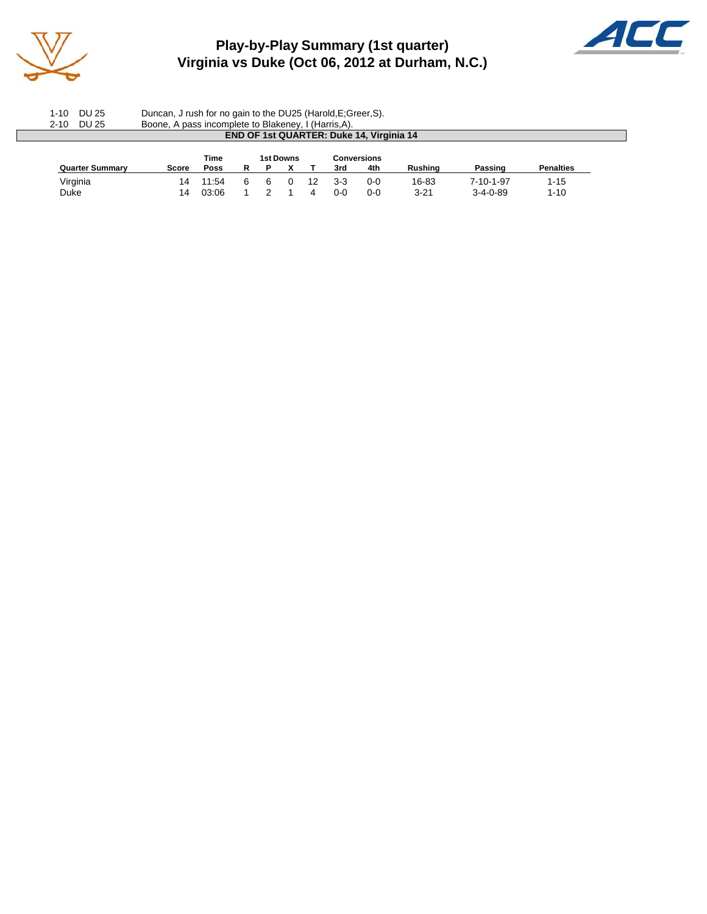

### **Play-by-Play Summary (1st quarter) Virginia vs Duke (Oct 06, 2012 at Durham, N.C.)**



1-10 DU 25 Duncan, J rush for no gain to the DU25 (Harold,E;Greer,S). 2-10 DU 25 Boone, A pass incomplete to Blakeney, I (Harris,A). **END OF 1st QUARTER: Duke 14, Virginia 14 Time 1st Downs Conversions**<br> **POSS** R P X T 3rd 4th **Quarter Summary Score Poss R P X T 3rd 4th Rushing Passing Penalties** Virginia 14 11:54 6 6 0 12 3-3 0-0 16-83 7-10-1-97 1-15 Duke 14 03:06 1 2 1 4 0-0 0-0 3-21 3-4-0-89 1-10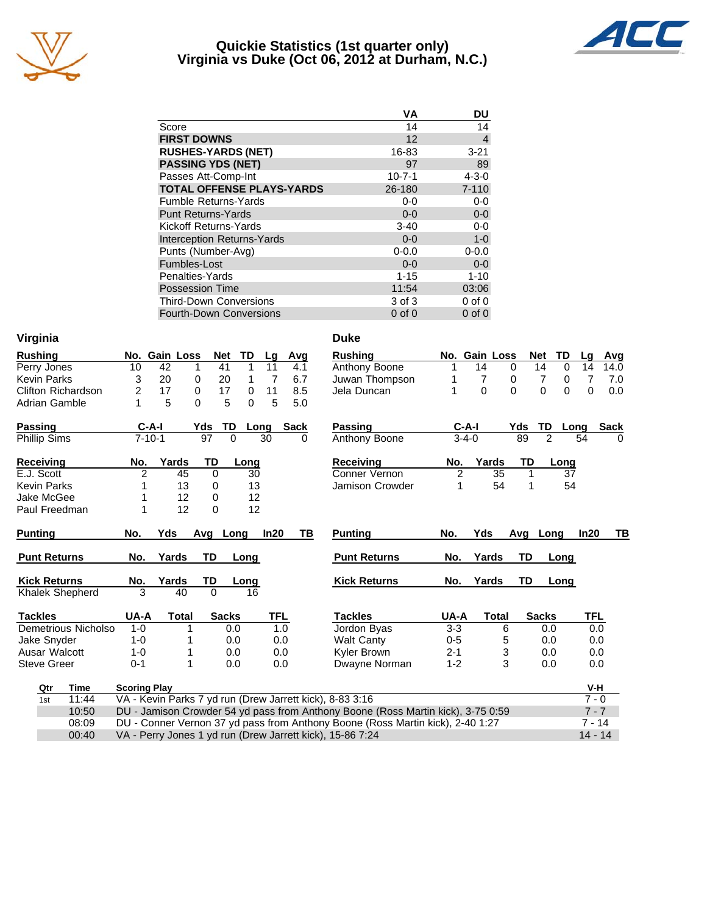

### **Quickie Statistics (1st quarter only) Virginia vs Duke (Oct 06, 2012 at Durham, N.C.)**



| VА           | DU          |
|--------------|-------------|
| 14           | 14          |
| 12           | 4           |
| 16-83        | $3 - 21$    |
| 97           | 89          |
| $10 - 7 - 1$ | $4 - 3 - 0$ |
| 26-180       | $7 - 110$   |
| $0 - 0$      | $0-0$       |
| $0 - 0$      | $0-0$       |
| $3-40$       | $0-0$       |
| $0 - 0$      | $1-0$       |
| $0 - 0.0$    | $0 - 0.0$   |
| $0 - 0$      | $0-0$       |
| $1 - 15$     | $1 - 10$    |
| 11:54        | 03:06       |
| 3 of 3       | $0$ of $0$  |
| $0$ of $0$   | $0$ of $0$  |
|              |             |

| Virginia            |                     |               |                 |              |            |      | <b>Duke</b>                                                                      |                |                  |                 |             |                |                      |             |
|---------------------|---------------------|---------------|-----------------|--------------|------------|------|----------------------------------------------------------------------------------|----------------|------------------|-----------------|-------------|----------------|----------------------|-------------|
| <b>Rushing</b>      |                     | No. Gain Loss | Net             | TD           | Lg         | Avg  | <b>Rushing</b>                                                                   | No.            | <b>Gain Loss</b> |                 |             | TD<br>Net      | La                   | Avg         |
| Perry Jones         | 10                  | 42            | 41<br>1         | $\mathbf{1}$ | 11         | 4.1  | Anthony Boone                                                                    | 1              | 14               | $\Omega$        |             | 14             | $\Omega$<br>14       | 14.0        |
| <b>Kevin Parks</b>  | 3                   | 20            | 20<br>0         | 1            | 7          | 6.7  | Juwan Thompson                                                                   |                | 7                | 0               |             | 7              | 7<br>0               | 7.0         |
| Clifton Richardson  | 2                   | 17            | 0<br>17         | 0            | 11         | 8.5  | Jela Duncan                                                                      | 1              | $\Omega$         | $\mathbf{0}$    |             | $\overline{0}$ | $\Omega$<br>$\Omega$ | 0.0         |
| Adrian Gamble       | 1                   | 5             | $\Omega$<br>5   | $\Omega$     | 5          | 5.0  |                                                                                  |                |                  |                 |             |                |                      |             |
| <b>Passing</b>      | $C-A-I$             |               | Yds             | TD           | Long       | Sack | Passing                                                                          |                | $C-A-I$          |                 | Yds         | <b>TD</b>      | Long                 | <b>Sack</b> |
| Phillip Sims        | $7 - 10 - 1$        |               | $\overline{97}$ | $\Omega$     | 30         | 0    | Anthony Boone                                                                    |                | $3 - 4 - 0$      |                 | 89          | $\overline{2}$ | 54                   |             |
| <b>Receiving</b>    | No.                 | Yards         | TD              | Long         |            |      | <b>Receiving</b>                                                                 | No.            | Yards            |                 | TD          | Long           |                      |             |
| E.J. Scott          | $\overline{2}$      | 45            | $\mathbf 0$     |              | 30         |      | Conner Vernon                                                                    | $\overline{2}$ |                  | $\overline{35}$ | $\mathbf 1$ |                | 37                   |             |
| <b>Kevin Parks</b>  |                     | 13            | 0               |              | 13         |      | Jamison Crowder                                                                  | 1              |                  | 54              | 1           |                | 54                   |             |
| Jake McGee          |                     | 12            | 0               |              | 12         |      |                                                                                  |                |                  |                 |             |                |                      |             |
| Paul Freedman       | 1                   | 12            | $\Omega$        |              | 12         |      |                                                                                  |                |                  |                 |             |                |                      |             |
| <b>Punting</b>      | No.                 | Yds           | Avg             | Long         | In20       | ΤВ   | <b>Punting</b>                                                                   | No.            | Yds              |                 |             | Avg Long       | In20                 | TВ          |
| <b>Punt Returns</b> | No.                 | Yards         | TD              | Long         |            |      | <b>Punt Returns</b>                                                              | No.            | Yards            |                 | TD          | Long           |                      |             |
| <b>Kick Returns</b> | No.                 | Yards         | TD              | Long         |            |      | <b>Kick Returns</b>                                                              | No.            | Yards            |                 | <b>TD</b>   | Long           |                      |             |
| Khalek Shepherd     | 3                   | 40            | $\Omega$        | 16           |            |      |                                                                                  |                |                  |                 |             |                |                      |             |
| <b>Tackles</b>      | UA-A                | <b>Total</b>  | <b>Sacks</b>    |              | <b>TFL</b> |      | <b>Tackles</b>                                                                   | UA-A           |                  | <b>Total</b>    |             | <b>Sacks</b>   | TFL                  |             |
| Demetrious Nicholso | $1 - 0$             |               |                 | 0.0          | 1.0        |      | Jordon Byas                                                                      | $3-3$          |                  | 6               |             | 0.0            |                      | 0.0         |
| Jake Snyder         | $1 - 0$             |               |                 | 0.0          | 0.0        |      | <b>Walt Canty</b>                                                                | $0-5$          |                  | 5               |             | 0.0            |                      | 0.0         |
| Ausar Walcott       | $1 - 0$             |               |                 | 0.0          | 0.0        |      | Kyler Brown                                                                      | $2 - 1$        |                  | 3               |             | 0.0            |                      | 0.0         |
| <b>Steve Greer</b>  | $0 - 1$             | 1             |                 | 0.0          | 0.0        |      | Dwayne Norman                                                                    | $1 - 2$        |                  | 3               |             | 0.0            |                      | 0.0         |
| <b>Time</b><br>Qtr  | <b>Scoring Play</b> |               |                 |              |            |      |                                                                                  |                |                  |                 |             |                |                      | V-H         |
| 11:44<br>1st        |                     |               |                 |              |            |      | VA - Kevin Parks 7 yd run (Drew Jarrett kick), 8-83 3:16                         |                |                  |                 |             |                |                      | $7 - 0$     |
| 10:50               |                     |               |                 |              |            |      | DU - Jamison Crowder 54 yd pass from Anthony Boone (Ross Martin kick), 3-75 0:59 |                |                  |                 |             |                |                      | $7 - 7$     |
| 08:09               |                     |               |                 |              |            |      | DU - Conner Vernon 37 yd pass from Anthony Boone (Ross Martin kick), 2-40 1:27   |                |                  |                 |             |                |                      | $7 - 14$    |
| 00:40               |                     |               |                 |              |            |      | VA - Perry Jones 1 yd run (Drew Jarrett kick), 15-86 7:24                        |                |                  |                 |             |                |                      | $14 - 14$   |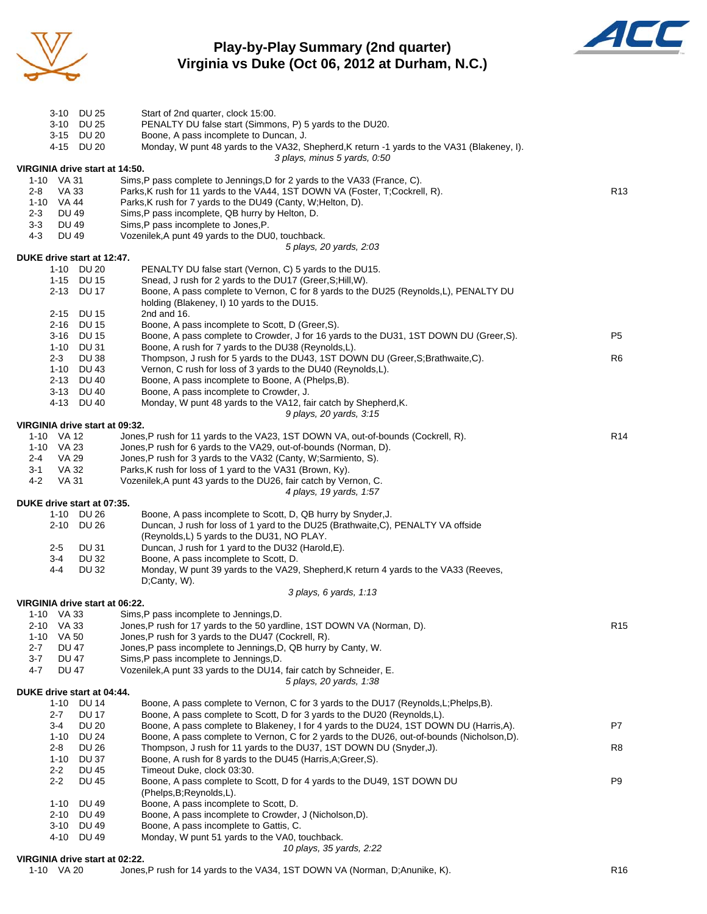

### **Play-by-Play Summary (2nd quarter) Virginia vs Duke (Oct 06, 2012 at Durham, N.C.)**



|         |                          | 3-10 DU 25                               | Start of 2nd quarter, clock 15:00.                                                                                                                               |                 |
|---------|--------------------------|------------------------------------------|------------------------------------------------------------------------------------------------------------------------------------------------------------------|-----------------|
|         |                          | 3-10 DU 25                               | PENALTY DU false start (Simmons, P) 5 yards to the DU20.                                                                                                         |                 |
|         |                          | 3-15 DU 20<br>4-15 DU 20                 | Boone, A pass incomplete to Duncan, J.<br>Monday, W punt 48 yards to the VA32, Shepherd, K return -1 yards to the VA31 (Blakeney, I).                            |                 |
|         |                          |                                          | 3 plays, minus 5 yards, 0:50                                                                                                                                     |                 |
|         |                          | VIRGINIA drive start at 14:50.           |                                                                                                                                                                  |                 |
|         | 1-10 VA 31               |                                          | Sims, P pass complete to Jennings, D for 2 yards to the VA33 (France, C).                                                                                        |                 |
| $2 - 8$ | VA 33                    |                                          | Parks, K rush for 11 yards to the VA44, 1ST DOWN VA (Foster, T;Cockrell, R).                                                                                     | R <sub>13</sub> |
|         | 1-10 VA 44               |                                          | Parks, K rush for 7 yards to the DU49 (Canty, W; Helton, D).                                                                                                     |                 |
| $2 - 3$ | <b>DU 49</b>             |                                          | Sims, P pass incomplete, QB hurry by Helton, D.                                                                                                                  |                 |
| $3 - 3$ | DU 49                    |                                          | Sims, P pass incomplete to Jones, P.                                                                                                                             |                 |
| 4-3     | <b>DU 49</b>             |                                          | Vozenilek, A punt 49 yards to the DU0, touchback.<br>5 plays, 20 yards, 2:03                                                                                     |                 |
|         |                          | DUKE drive start at 12:47.               |                                                                                                                                                                  |                 |
|         |                          | 1-10 DU 20                               | PENALTY DU false start (Vernon, C) 5 yards to the DU15.                                                                                                          |                 |
|         |                          | 1-15 DU 15                               | Snead, J rush for 2 yards to the DU17 (Greer, S; Hill, W).                                                                                                       |                 |
|         |                          | 2-13 DU 17                               | Boone, A pass complete to Vernon, C for 8 yards to the DU25 (Reynolds, L), PENALTY DU                                                                            |                 |
|         |                          |                                          | holding (Blakeney, I) 10 yards to the DU15.                                                                                                                      |                 |
|         |                          | 2-15 DU 15                               | 2nd and 16.                                                                                                                                                      |                 |
|         |                          | 2-16 DU 15                               | Boone, A pass incomplete to Scott, D (Greer, S).                                                                                                                 |                 |
|         |                          | 3-16 DU 15                               | Boone, A pass complete to Crowder, J for 16 yards to the DU31, 1ST DOWN DU (Greer, S).                                                                           | P5              |
|         |                          | 1-10 DU 31                               | Boone, A rush for 7 yards to the DU38 (Reynolds, L).                                                                                                             |                 |
|         | 2-3                      | <b>DU 38</b>                             | Thompson, J rush for 5 yards to the DU43, 1ST DOWN DU (Greer, S; Brathwaite, C).                                                                                 | R <sub>6</sub>  |
|         |                          | 1-10 DU 43<br>2-13 DU 40                 | Vernon, C rush for loss of 3 yards to the DU40 (Reynolds,L).<br>Boone, A pass incomplete to Boone, A (Phelps, B).                                                |                 |
|         |                          | 3-13 DU 40                               | Boone, A pass incomplete to Crowder, J.                                                                                                                          |                 |
|         |                          | 4-13 DU 40                               | Monday, W punt 48 yards to the VA12, fair catch by Shepherd, K.                                                                                                  |                 |
|         |                          |                                          | 9 plays, 20 yards, 3:15                                                                                                                                          |                 |
|         |                          | VIRGINIA drive start at 09:32.           |                                                                                                                                                                  |                 |
|         | 1-10 VA 12               |                                          | Jones, P rush for 11 yards to the VA23, 1ST DOWN VA, out-of-bounds (Cockrell, R).                                                                                | R <sub>14</sub> |
|         | 1-10 VA 23               |                                          | Jones, P rush for 6 yards to the VA29, out-of-bounds (Norman, D).                                                                                                |                 |
| $2 - 4$ | VA 29                    |                                          | Jones, P rush for 3 yards to the VA32 (Canty, W; Sarmiento, S).                                                                                                  |                 |
| $3 - 1$ | VA 32                    |                                          | Parks, K rush for loss of 1 yard to the VA31 (Brown, Ky).                                                                                                        |                 |
| 4-2     | VA 31                    |                                          | Vozenilek, A punt 43 yards to the DU26, fair catch by Vernon, C.                                                                                                 |                 |
|         |                          |                                          | 4 plays, 19 yards, 1:57                                                                                                                                          |                 |
|         |                          | DUKE drive start at 07:35.<br>1-10 DU 26 | Boone, A pass incomplete to Scott, D, QB hurry by Snyder, J.                                                                                                     |                 |
|         |                          | 2-10 DU 26                               | Duncan, J rush for loss of 1 yard to the DU25 (Brathwaite, C), PENALTY VA offside                                                                                |                 |
|         |                          |                                          | (Reynolds, L) 5 yards to the DU31, NO PLAY.                                                                                                                      |                 |
|         | $2 - 5$                  | DU 31                                    | Duncan, J rush for 1 yard to the DU32 (Harold, E).                                                                                                               |                 |
|         | 3-4                      | <b>DU 32</b>                             | Boone, A pass incomplete to Scott, D.                                                                                                                            |                 |
|         | 4-4                      | DU 32                                    | Monday, W punt 39 yards to the VA29, Shepherd, K return 4 yards to the VA33 (Reeves,                                                                             |                 |
|         |                          |                                          | D;Canty, W).                                                                                                                                                     |                 |
|         |                          |                                          | 3 plays, 6 yards, 1:13                                                                                                                                           |                 |
|         |                          | VIRGINIA drive start at 06:22.           |                                                                                                                                                                  |                 |
|         | 1-10 VA 33<br>2-10 VA 33 |                                          | Sims,P pass incomplete to Jennings,D.<br>Jones, P rush for 17 yards to the 50 yardline, 1ST DOWN VA (Norman, D).                                                 | R <sub>15</sub> |
|         | 1-10 VA 50               |                                          | Jones, P rush for 3 yards to the DU47 (Cockrell, R).                                                                                                             |                 |
| $2 - 7$ | <b>DU 47</b>             |                                          | Jones, P pass incomplete to Jennings, D, QB hurry by Canty, W.                                                                                                   |                 |
| $3 - 7$ | <b>DU 47</b>             |                                          | Sims, P pass incomplete to Jennings, D.                                                                                                                          |                 |
| 4-7     | DU 47                    |                                          | Vozenilek, A punt 33 yards to the DU14, fair catch by Schneider, E.                                                                                              |                 |
|         |                          |                                          | 5 plays, 20 yards, 1:38                                                                                                                                          |                 |
|         |                          | DUKE drive start at 04:44.               |                                                                                                                                                                  |                 |
|         |                          | 1-10 DU 14                               | Boone, A pass complete to Vernon, C for 3 yards to the DU17 (Reynolds, L; Phelps, B).                                                                            |                 |
|         | 2-7                      | <b>DU 17</b>                             | Boone, A pass complete to Scott, D for 3 yards to the DU20 (Reynolds, L).                                                                                        |                 |
|         | 3-4                      | <b>DU 20</b>                             | Boone, A pass complete to Blakeney, I for 4 yards to the DU24, 1ST DOWN DU (Harris, A).                                                                          | P7              |
|         | 2-8                      | 1-10 DU 24<br><b>DU 26</b>               | Boone, A pass complete to Vernon, C for 2 yards to the DU26, out-of-bounds (Nicholson,D).<br>Thompson, J rush for 11 yards to the DU37, 1ST DOWN DU (Snyder, J). | R8              |
|         | 1-10                     | <b>DU 37</b>                             | Boone, A rush for 8 yards to the DU45 (Harris, A; Greer, S).                                                                                                     |                 |
|         | $2 - 2$                  | <b>DU 45</b>                             | Timeout Duke, clock 03:30.                                                                                                                                       |                 |
|         | $2 - 2$                  | <b>DU 45</b>                             | Boone, A pass complete to Scott, D for 4 yards to the DU49, 1ST DOWN DU                                                                                          | P <sub>9</sub>  |
|         |                          |                                          | (Phelps, B; Reynolds, L).                                                                                                                                        |                 |
|         | 1-10                     | DU 49                                    | Boone, A pass incomplete to Scott, D.                                                                                                                            |                 |
|         | 2-10                     | DU 49                                    | Boone, A pass incomplete to Crowder, J (Nicholson,D).                                                                                                            |                 |
|         | 3-10                     | DU 49                                    | Boone, A pass incomplete to Gattis, C.                                                                                                                           |                 |
|         |                          | 4-10 DU 49                               | Monday, W punt 51 yards to the VA0, touchback.                                                                                                                   |                 |
|         |                          |                                          | 10 plays, 35 yards, 2:22                                                                                                                                         |                 |

#### **VIRGINIA drive start at 02:22.**

1-10 VA 20 Jones,P rush for 14 yards to the VA34, 1ST DOWN VA (Norman, D;Anunike, K).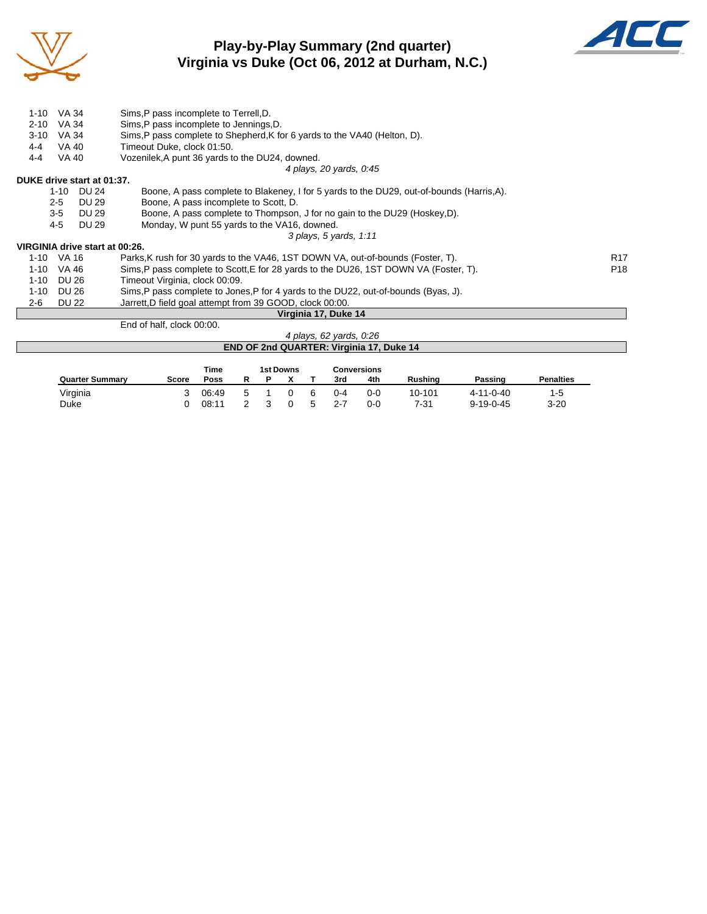

### **Play-by-Play Summary (2nd quarter) Virginia vs Duke (Oct 06, 2012 at Durham, N.C.)**



| 1-10     | VA 34                          | Sims, P pass incomplete to Terrell, D.                                                    |                 |
|----------|--------------------------------|-------------------------------------------------------------------------------------------|-----------------|
| $2 - 10$ | VA 34                          | Sims, P pass incomplete to Jennings, D.                                                   |                 |
| $3 - 10$ | VA 34                          | Sims, P pass complete to Shepherd, K for 6 yards to the VA40 (Helton, D).                 |                 |
| $4 - 4$  | <b>VA 40</b>                   | Timeout Duke, clock 01:50.                                                                |                 |
| $4 - 4$  | VA 40                          | Vozenilek, A punt 36 yards to the DU24, downed.                                           |                 |
|          |                                | 4 plays, 20 yards, 0:45                                                                   |                 |
|          | DUKE drive start at 01:37.     |                                                                                           |                 |
|          | 1-10 DU 24                     | Boone, A pass complete to Blakeney, I for 5 yards to the DU29, out-of-bounds (Harris, A). |                 |
|          | $2 - 5$<br>DU 29               | Boone, A pass incomplete to Scott, D.                                                     |                 |
|          | $3 - 5$<br>DU 29               | Boone, A pass complete to Thompson, J for no gain to the DU29 (Hoskey, D).                |                 |
|          | 4-5<br><b>DU 29</b>            | Monday, W punt 55 yards to the VA16, downed.                                              |                 |
|          |                                | 3 plays, 5 yards, 1:11                                                                    |                 |
|          | VIRGINIA drive start at 00:26. |                                                                                           |                 |
|          | 1-10 VA 16                     | Parks, K rush for 30 yards to the VA46, 1ST DOWN VA, out-of-bounds (Foster, T).           | <b>R17</b>      |
| 1-10     | VA 46                          | Sims, P pass complete to Scott, E for 28 yards to the DU26, 1ST DOWN VA (Foster, T).      | P <sub>18</sub> |
| 1-10     | DU 26                          | Timeout Virginia, clock 00:09.                                                            |                 |
| 1-10     | DU 26                          | Sims, P pass complete to Jones, P for 4 yards to the DU22, out-of-bounds (Byas, J).       |                 |
| 2-6      | DU 22                          | Jarrett, D field goal attempt from 39 GOOD, clock 00:00.                                  |                 |
|          |                                | Virginia 17, Duke 14                                                                      |                 |
|          |                                | End of half, clock 00:00.                                                                 |                 |
|          |                                | 4 plays, 62 yards, 0.26                                                                   |                 |

| 4 plays, 62 yards, 0:26                         |
|-------------------------------------------------|
| <b>END OF 2nd QUARTER: Virginia 17, Duke 14</b> |
|                                                 |

|                        |       | Time  |  | 1st Downs |                |         | <b>Conversions</b> |                |                   |                  |
|------------------------|-------|-------|--|-----------|----------------|---------|--------------------|----------------|-------------------|------------------|
| <b>Quarter Summary</b> | Score | Poss  |  |           |                | 3rd     | 4th                | <b>Rushing</b> | Passing           | <b>Penalties</b> |
| Virginia               |       | 06:49 |  |           |                | $0 - 4$ | $0 - 0$            | 10-101         | $4 - 11 - 0 - 40$ | 1-5              |
| Duke                   |       | 08:11 |  |           | $\overline{ }$ | 2-7     | 0-0                | 7-31           | $9 - 19 - 0 - 45$ | $3 - 20$         |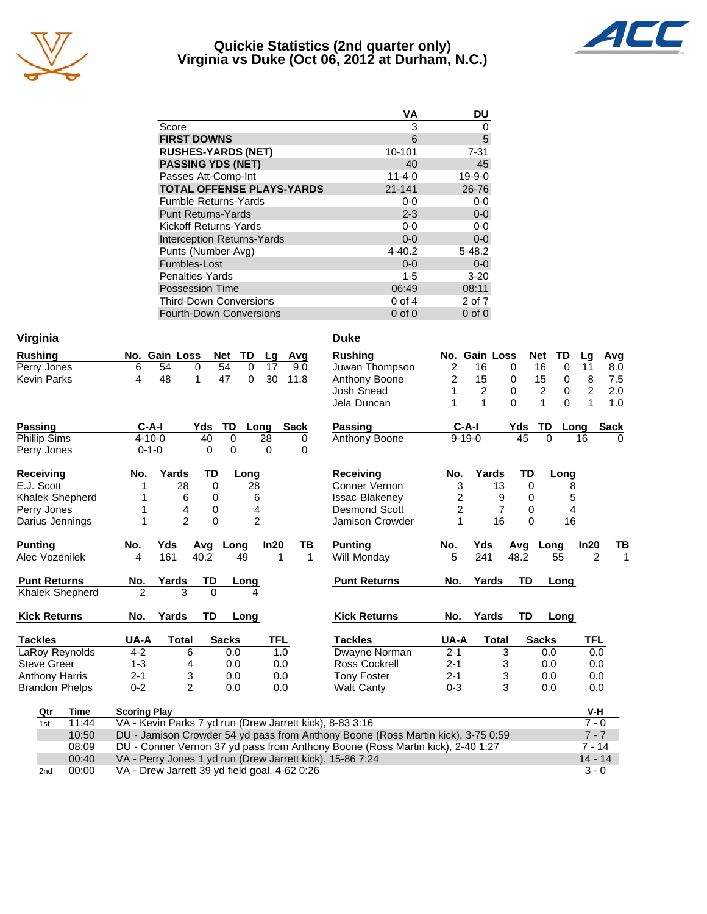

### **Quickie Statistics (2nd quarter only) Virginia vs Duke (Oct 06, 2012 at Durham, N.C.)**



|                                   | <b>VA</b>    | DU           |
|-----------------------------------|--------------|--------------|
| Score                             | 3            | 0            |
| <b>FIRST DOWNS</b>                | 6            | 5            |
| <b>RUSHES-YARDS (NET)</b>         | 10-101       | $7 - 31$     |
| <b>PASSING YDS (NET)</b>          | 40           | 45           |
| Passes Att-Comp-Int               | $11 - 4 - 0$ | $19 - 9 - 0$ |
| <b>TOTAL OFFENSE PLAYS-YARDS</b>  | 21-141       | 26-76        |
| <b>Fumble Returns-Yards</b>       | $0 - 0$      | $0-0$        |
| <b>Punt Returns-Yards</b>         | $2 - 3$      | $0-0$        |
| Kickoff Returns-Yards             | $0-0$        | $0 - 0$      |
| <b>Interception Returns-Yards</b> | $0 - 0$      | $0-0$        |
| Punts (Number-Avg)                | $4 - 40.2$   | $5 - 48.2$   |
| Fumbles-Lost                      | $0 - 0$      | $0-0$        |
| Penalties-Yards                   | $1 - 5$      | $3 - 20$     |
| <b>Possession Time</b>            | 06:49        | 08:11        |
| <b>Third-Down Conversions</b>     | $0$ of 4     | 2 of 7       |
| <b>Fourth-Down Conversions</b>    | $0$ of $0$   | $0$ of $0$   |

| Virginia               |                     |                |                                                          |                |             |             | <b>Duke</b>                                                                      |                |                |                |             |                               |                |              |
|------------------------|---------------------|----------------|----------------------------------------------------------|----------------|-------------|-------------|----------------------------------------------------------------------------------|----------------|----------------|----------------|-------------|-------------------------------|----------------|--------------|
| <b>Rushing</b>         | No. Gain Loss       |                | Net                                                      | TD             | Lg          | Avg         | <b>Rushing</b>                                                                   |                | No. Gain Loss  |                |             | <b>Net</b><br>TD              | Lg             | Avg          |
| Perry Jones            | 6                   | 54             | $\mathbf 0$<br>54                                        | 0              | 17          | 9.0         | Juwan Thompson                                                                   | $\overline{2}$ | 16             | $\mathbf 0$    |             | 16<br>0                       | 11             | 8.0          |
| <b>Kevin Parks</b>     | 4                   | 48             | 1<br>47                                                  | $\mathbf 0$    | 30          | 11.8        | Anthony Boone                                                                    | $\overline{c}$ | 15             | 0              |             | 15<br>0                       | 8              | 7.5          |
|                        |                     |                |                                                          |                |             |             | <b>Josh Snead</b>                                                                | 1              | $\overline{c}$ | $\pmb{0}$      |             | $\overline{c}$<br>$\mathbf 0$ | $\overline{c}$ | 2.0          |
|                        |                     |                |                                                          |                |             |             | Jela Duncan                                                                      | 1              | $\mathbf{1}$   | $\Omega$       |             | $\Omega$<br>1                 | $\mathbf{1}$   | 1.0          |
| Passing                | $C-A-I$             |                | Yds                                                      | TD             | Long        | <b>Sack</b> | <b>Passing</b>                                                                   |                | $C-A-I$        |                | Yds         | <b>TD</b>                     | Lona           | <b>Sack</b>  |
| <b>Phillip Sims</b>    | $4 - 10 - 0$        |                | 40                                                       | $\mathbf 0$    | 28          | 0           | Anthony Boone                                                                    |                | $9 - 19 - 0$   |                | 45          | $\Omega$                      | 16             | $\Omega$     |
| Perry Jones            | $0 - 1 - 0$         |                | 0                                                        | $\mathbf 0$    | $\mathbf 0$ | 0           |                                                                                  |                |                |                |             |                               |                |              |
| <b>Receiving</b>       | No.                 | Yards          | TD                                                       | Long           |             |             | <b>Receiving</b>                                                                 | No.            | Yards          |                | TD          | Long                          |                |              |
| E.J. Scott             | 1                   | 28             | 0                                                        | 28             |             |             | Conner Vernon                                                                    | $\overline{3}$ |                | 13             | 0           |                               | 8              |              |
| Khalek Shepherd        |                     | 6              | 0                                                        | 6              |             |             | <b>Issac Blakeney</b>                                                            | 2              |                | 9              | 0           |                               | 5              |              |
| Perry Jones            | 1                   | 4              | 0                                                        | 4              |             |             | <b>Desmond Scott</b>                                                             | 2              |                | $\overline{7}$ | $\mathbf 0$ |                               | 4              |              |
| Darius Jennings        | 1                   | $\overline{2}$ | 0                                                        | $\overline{2}$ |             |             | Jamison Crowder                                                                  | 1              |                | 16             | $\Omega$    | 16                            |                |              |
| <b>Punting</b>         | No.                 | Yds            | Avg Long                                                 |                | In20        | TВ          | <b>Punting</b>                                                                   | No.            | Yds            |                |             | Avg Long                      | In20           | <u>ТВ</u>    |
| Alec Vozenilek         | 4                   | 161            | 40.2                                                     | 49             | 1           |             | 1<br>Will Monday                                                                 | 5              | 241            |                | 48.2        | 55                            | $\overline{2}$ | $\mathbf{1}$ |
| <b>Punt Returns</b>    | No.                 | Yards          | TD                                                       | Long           |             |             | <b>Punt Returns</b>                                                              | No.            | Yards          |                | TD          | Long                          |                |              |
| <b>Khalek Shepherd</b> | $\overline{2}$      | 3              | $\Omega$                                                 | 4              |             |             |                                                                                  |                |                |                |             |                               |                |              |
| <b>Kick Returns</b>    | No.                 | Yards          | <b>TD</b>                                                | Long           |             |             | <b>Kick Returns</b>                                                              | No.            | Yards          |                | <b>TD</b>   | Long                          |                |              |
| <b>Tackles</b>         | UA-A                | <b>Total</b>   | <b>Sacks</b>                                             |                | TFL         |             | <b>Tackles</b>                                                                   | UA-A           |                | <b>Total</b>   |             | <b>Sacks</b>                  | TFL            |              |
| LaRoy Reynolds         | $4 - 2$             | 6              |                                                          | 0.0            | 1.0         |             | Dwayne Norman                                                                    | $2 - 1$        |                | 3              |             | 0.0                           | 0.0            |              |
| <b>Steve Greer</b>     | $1 - 3$             | 4              |                                                          | 0.0            | 0.0         |             | Ross Cockrell                                                                    | $2 - 1$        |                | 3              |             | 0.0                           | 0.0            |              |
| <b>Anthony Harris</b>  | $2 - 1$             | 3              |                                                          | 0.0            | 0.0         |             | <b>Tony Foster</b>                                                               | $2 - 1$        |                | 3              |             | 0.0                           | 0.0            |              |
| <b>Brandon Phelps</b>  | $0 - 2$             | $\overline{2}$ |                                                          | 0.0            | 0.0         |             | <b>Walt Canty</b>                                                                | $0 - 3$        |                | 3              |             | 0.0                           | 0.0            |              |
| Qtr<br>Time            | <b>Scoring Play</b> |                |                                                          |                |             |             |                                                                                  |                |                |                |             |                               | V-H            |              |
| 11:44<br>1st           |                     |                |                                                          |                |             |             | VA - Kevin Parks 7 yd run (Drew Jarrett kick), 8-83 3:16                         |                |                |                |             |                               | $7 - 0$        |              |
| 10:50                  |                     |                |                                                          |                |             |             | DU - Jamison Crowder 54 yd pass from Anthony Boone (Ross Martin kick), 3-75 0:59 |                |                |                |             |                               | $7 - 7$        |              |
| 08:09                  |                     |                |                                                          |                |             |             | DU - Conner Vernon 37 yd pass from Anthony Boone (Ross Martin kick), 2-40 1:27   |                |                |                |             |                               | $7 - 14$       |              |
| 00:40                  |                     |                |                                                          |                |             |             | VA - Perry Jones 1 yd run (Drew Jarrett kick), 15-86 7:24                        |                |                |                |             |                               | $14 - 14$      |              |
| 00:00<br>2nd           |                     |                | VA - Drew Jarrett 39 yd field goal, 4-62 0:26<br>$3 - 0$ |                |             |             |                                                                                  |                |                |                |             |                               |                |              |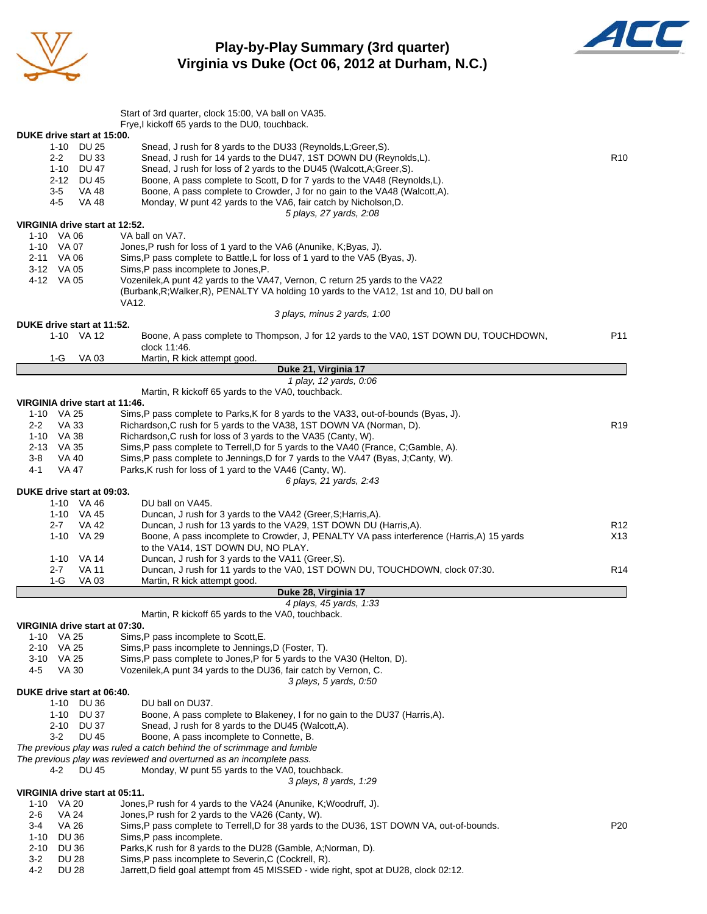

### **Play-by-Play Summary (3rd quarter) Virginia vs Duke (Oct 06, 2012 at Durham, N.C.)**



|                                              | Start of 3rd quarter, clock 15:00, VA ball on VA35.                                                                                                         |                 |
|----------------------------------------------|-------------------------------------------------------------------------------------------------------------------------------------------------------------|-----------------|
|                                              | Frye, I kickoff 65 yards to the DU0, touchback.                                                                                                             |                 |
| DUKE drive start at 15:00.                   |                                                                                                                                                             |                 |
| 1-10 DU 25<br><b>DU33</b><br>$2 - 2$         | Snead, J rush for 8 yards to the DU33 (Reynolds, L; Greer, S).<br>Snead, J rush for 14 yards to the DU47, 1ST DOWN DU (Reynolds, L).                        | R <sub>10</sub> |
| 1-10 DU 47                                   | Snead, J rush for loss of 2 yards to the DU45 (Walcott, A; Greer, S).                                                                                       |                 |
| 2-12 DU 45                                   | Boone, A pass complete to Scott, D for 7 yards to the VA48 (Reynolds, L).                                                                                   |                 |
| 3-5<br>VA 48                                 | Boone, A pass complete to Crowder, J for no gain to the VA48 (Walcott, A).                                                                                  |                 |
| 4-5<br>VA 48                                 | Monday, W punt 42 yards to the VA6, fair catch by Nicholson, D.                                                                                             |                 |
|                                              | 5 plays, 27 yards, 2:08                                                                                                                                     |                 |
| VIRGINIA drive start at 12:52.<br>1-10 VA 06 | VA ball on VA7.                                                                                                                                             |                 |
| 1-10 VA 07                                   | Jones, P rush for loss of 1 yard to the VA6 (Anunike, K; Byas, J).                                                                                          |                 |
| 2-11 VA 06                                   | Sims, P pass complete to Battle, L for loss of 1 yard to the VA5 (Byas, J).                                                                                 |                 |
| 3-12 VA 05                                   | Sims, P pass incomplete to Jones, P.                                                                                                                        |                 |
| 4-12 VA 05                                   | Vozenilek, A punt 42 yards to the VA47, Vernon, C return 25 yards to the VA22                                                                               |                 |
|                                              | (Burbank, R; Walker, R), PENALTY VA holding 10 yards to the VA12, 1st and 10, DU ball on                                                                    |                 |
|                                              | VA12.                                                                                                                                                       |                 |
| DUKE drive start at 11:52.                   | 3 plays, minus 2 yards, 1:00                                                                                                                                |                 |
| 1-10 VA 12                                   | Boone, A pass complete to Thompson, J for 12 yards to the VA0, 1ST DOWN DU, TOUCHDOWN,                                                                      | P <sub>11</sub> |
|                                              | clock 11:46.                                                                                                                                                |                 |
| VA 03<br>1-G                                 | Martin, R kick attempt good.                                                                                                                                |                 |
|                                              | Duke 21, Virginia 17                                                                                                                                        |                 |
|                                              | 1 play, 12 yards, 0:06                                                                                                                                      |                 |
|                                              | Martin, R kickoff 65 yards to the VA0, touchback.                                                                                                           |                 |
| VIRGINIA drive start at 11:46.               |                                                                                                                                                             |                 |
| 1-10 VA 25<br>$2 - 2$<br>VA 33               | Sims, P pass complete to Parks, K for 8 yards to the VA33, out-of-bounds (Byas, J).<br>Richardson, C rush for 5 yards to the VA38, 1ST DOWN VA (Norman, D). | R <sub>19</sub> |
| 1-10 VA 38                                   | Richardson, C rush for loss of 3 yards to the VA35 (Canty, W).                                                                                              |                 |
| 2-13 VA 35                                   | Sims, P pass complete to Terrell, D for 5 yards to the VA40 (France, C; Gamble, A).                                                                         |                 |
| VA 40<br>3-8                                 | Sims, P pass complete to Jennings, D for 7 yards to the VA47 (Byas, J;Canty, W).                                                                            |                 |
| 4-1<br><b>VA 47</b>                          | Parks, K rush for loss of 1 yard to the VA46 (Canty, W).                                                                                                    |                 |
|                                              | 6 plays, 21 yards, 2:43                                                                                                                                     |                 |
| DUKE drive start at 09:03.                   |                                                                                                                                                             |                 |
| 1-10 VA 46<br>1-10 VA 45                     | DU ball on VA45.<br>Duncan, J rush for 3 yards to the VA42 (Greer, S; Harris, A).                                                                           |                 |
| $2 - 7$<br>VA 42                             | Duncan, J rush for 13 yards to the VA29, 1ST DOWN DU (Harris,A).                                                                                            | R <sub>12</sub> |
| 1-10 VA 29                                   | Boone, A pass incomplete to Crowder, J, PENALTY VA pass interference (Harris,A) 15 yards                                                                    | X13             |
|                                              | to the VA14, 1ST DOWN DU, NO PLAY.                                                                                                                          |                 |
| 1-10 VA 14                                   | Duncan, J rush for 3 yards to the VA11 (Greer, S).                                                                                                          |                 |
| <b>VA 11</b><br>$2 - 7$                      | Duncan, J rush for 11 yards to the VA0, 1ST DOWN DU, TOUCHDOWN, clock 07:30.                                                                                | R <sub>14</sub> |
| $1-G$<br>VA 03                               | Martin, R kick attempt good.                                                                                                                                |                 |
|                                              | Duke 28, Virginia 17<br>4 plays, 45 yards, 1:33                                                                                                             |                 |
|                                              | Martin, R kickoff 65 yards to the VA0, touchback.                                                                                                           |                 |
| VIRGINIA drive start at 07:30.               |                                                                                                                                                             |                 |
| 1-10 VA 25                                   | Sims, P pass incomplete to Scott, E.                                                                                                                        |                 |
| 2-10 VA 25                                   | Sims, P pass incomplete to Jennings, D (Foster, T).                                                                                                         |                 |
| 3-10 VA 25                                   | Sims, P pass complete to Jones, P for 5 yards to the VA30 (Helton, D).                                                                                      |                 |
| <b>VA 30</b><br>4-5                          | Vozenilek, A punt 34 yards to the DU36, fair catch by Vernon, C.                                                                                            |                 |
|                                              | 3 plays, 5 yards, 0.50                                                                                                                                      |                 |
| DUKE drive start at 06:40.<br>1-10 DU 36     | DU ball on DU37.                                                                                                                                            |                 |
| 1-10 DU 37                                   | Boone, A pass complete to Blakeney, I for no gain to the DU37 (Harris, A).                                                                                  |                 |
| 2-10 DU 37                                   | Snead, J rush for 8 yards to the DU45 (Walcott, A).                                                                                                         |                 |
| $3-2$<br><b>DU 45</b>                        | Boone, A pass incomplete to Connette, B.                                                                                                                    |                 |
|                                              | The previous play was ruled a catch behind the of scrimmage and fumble                                                                                      |                 |
|                                              | The previous play was reviewed and overturned as an incomplete pass.                                                                                        |                 |
| <b>DU 45</b><br>4-2                          | Monday, W punt 55 yards to the VA0, touchback.                                                                                                              |                 |
| VIRGINIA drive start at 05:11.               | 3 plays, 8 yards, 1:29                                                                                                                                      |                 |
| 1-10 VA 20                                   | Jones, P rush for 4 yards to the VA24 (Anunike, K; Woodruff, J).                                                                                            |                 |
| <b>VA 24</b><br>2-6                          | Jones, P rush for 2 yards to the VA26 (Canty, W).                                                                                                           |                 |
| 3-4<br>VA 26                                 | Sims, P pass complete to Terrell, D for 38 yards to the DU36, 1ST DOWN VA, out-of-bounds.                                                                   | P <sub>20</sub> |
| <b>DU 36</b><br>1-10                         | Sims, P pass incomplete.                                                                                                                                    |                 |
| 2-10<br><b>DU 36</b>                         | Parks, K rush for 8 yards to the DU28 (Gamble, A; Norman, D).                                                                                               |                 |
| $3-2$<br>DU 28                               | Sims, P pass incomplete to Severin, C (Cockrell, R).                                                                                                        |                 |
| 4-2<br><b>DU 28</b>                          | Jarrett, D field goal attempt from 45 MISSED - wide right, spot at DU28, clock 02:12.                                                                       |                 |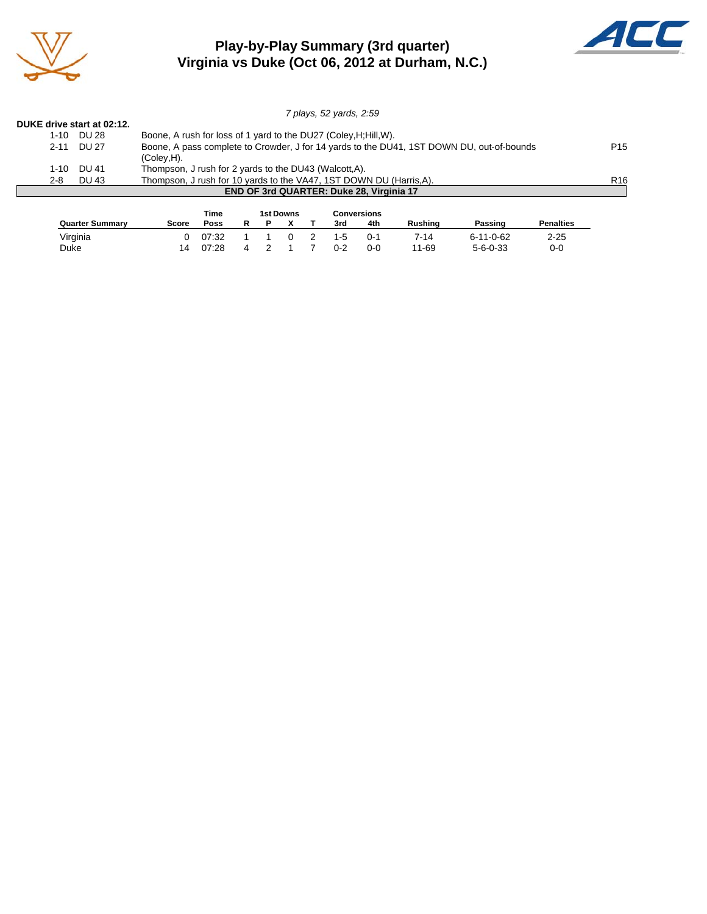

### **Play-by-Play Summary (3rd quarter) Virginia vs Duke (Oct 06, 2012 at Durham, N.C.)**



|                                                                                                                |                                          | 7 plays, 52 yards, 2:59                                             |                 |  |  |  |  |  |  |  |
|----------------------------------------------------------------------------------------------------------------|------------------------------------------|---------------------------------------------------------------------|-----------------|--|--|--|--|--|--|--|
| DUKE drive start at 02:12.                                                                                     |                                          |                                                                     |                 |  |  |  |  |  |  |  |
| 1-10                                                                                                           | DU 28                                    | Boone, A rush for loss of 1 yard to the DU27 (Coley, H; Hill, W).   |                 |  |  |  |  |  |  |  |
| Boone, A pass complete to Crowder, J for 14 yards to the DU41, 1ST DOWN DU, out-of-bounds<br>DU 27<br>$2 - 11$ |                                          |                                                                     |                 |  |  |  |  |  |  |  |
|                                                                                                                |                                          | (Coley, H).                                                         |                 |  |  |  |  |  |  |  |
| $1 - 10$                                                                                                       | DU 41                                    | Thompson, J rush for 2 yards to the DU43 (Walcott, A).              |                 |  |  |  |  |  |  |  |
| $2 - 8$                                                                                                        | DU 43                                    | Thompson, J rush for 10 yards to the VA47, 1ST DOWN DU (Harris, A). | R <sub>16</sub> |  |  |  |  |  |  |  |
|                                                                                                                | END OF 3rd QUARTER: Duke 28, Virginia 17 |                                                                     |                 |  |  |  |  |  |  |  |

|                        |       | Time  |  | <b>1st Downs</b> |     | Conversions |         |                   |                  |
|------------------------|-------|-------|--|------------------|-----|-------------|---------|-------------------|------------------|
| <b>Quarter Summary</b> | Score | Poss  |  |                  | 3rd | 4th         | Rushina | Passing           | <b>Penalties</b> |
| Virginia               |       | 07:32 |  |                  | 1-5 | $0 - 1$     | 7-14    | $6 - 11 - 0 - 62$ | $2 - 25$         |
| Duke                   |       | 07:28 |  |                  | በ-2 | $0 - 0$     | 11-69   | $5 - 6 - 0 - 33$  | 0-0              |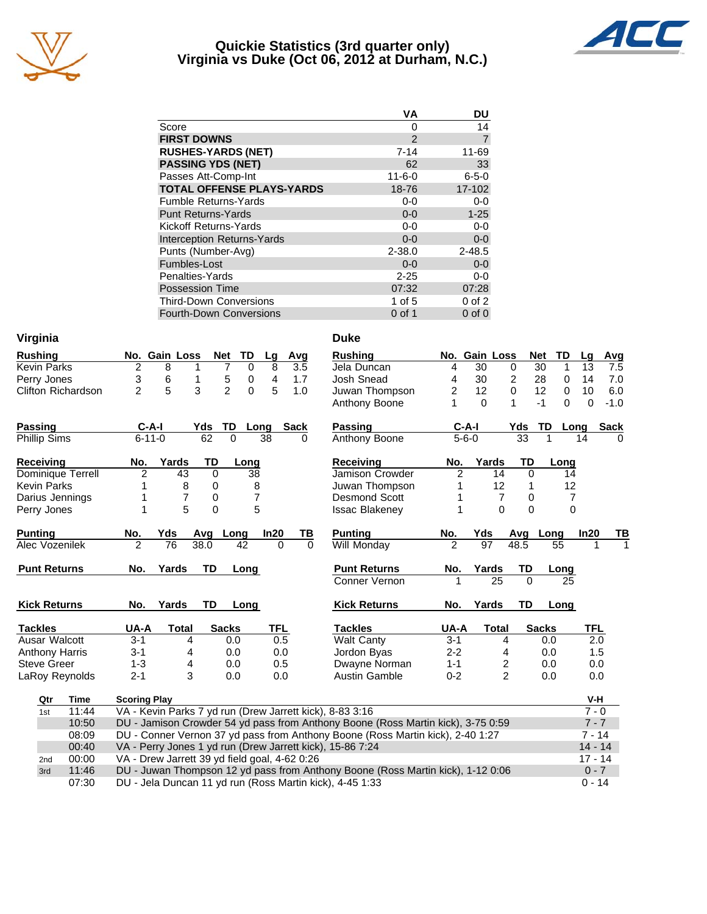

## **Quickie Statistics (3rd quarter only) Virginia vs Duke (Oct 06, 2012 at Durham, N.C.)**



| <b>VA</b>     | DU          |
|---------------|-------------|
| 0             | 14          |
| $\mathcal{P}$ | 7           |
| $7 - 14$      | 11-69       |
| 62            | 33          |
| $11 - 6 - 0$  | $6 - 5 - 0$ |
| 18-76         | 17-102      |
| $0-0$         | $0-0$       |
| $0 - 0$       | $1 - 25$    |
| $0 - 0$       | $0 - 0$     |
| $0 - 0$       | $0-0$       |
| $2 - 38.0$    | $2 - 48.5$  |
| $0 - 0$       | $0-0$       |
| $2 - 25$      | $0-0$       |
| 07:32         | 07:28       |
| 1 of $5$      | $0$ of $2$  |
| $0$ of 1      | $0$ of $0$  |
|               |             |

| Virginia                  |                                                                                                                                             |                      | <b>Duke</b>           |                |                 |                |                  |                       |
|---------------------------|---------------------------------------------------------------------------------------------------------------------------------------------|----------------------|-----------------------|----------------|-----------------|----------------|------------------|-----------------------|
| <b>Rushing</b>            | TD<br>No. Gain Loss<br><b>Net</b>                                                                                                           | Avg<br>Lg            | <b>Rushing</b>        |                | No. Gain Loss   |                | <b>Net</b><br>TD | Lg<br>Avg             |
| <b>Kevin Parks</b>        | $\overline{c}$<br>$\overline{7}$<br>8<br>0<br>1                                                                                             | 8<br>3.5             | Jela Duncan           | 4              | $\overline{30}$ | $\mathbf 0$    | 30<br>1          | 13<br>7.5             |
| Perry Jones               | 3<br>6<br>5<br>1<br>0                                                                                                                       | 4<br>1.7             | Josh Snead            | 4              | 30              | $\overline{c}$ | 28<br>0          | 14<br>7.0             |
| <b>Clifton Richardson</b> | $\overline{2}$<br>5<br>3<br>$\mathfrak{p}$<br>$\Omega$                                                                                      | 5<br>1.0             | Juwan Thompson        | $\overline{c}$ | 12              | $\mathbf 0$    | 12<br>0          | 10<br>6.0             |
|                           |                                                                                                                                             |                      | Anthony Boone         | 1              | $\Omega$        | 1              | $\Omega$<br>$-1$ | $\mathbf 0$<br>$-1.0$ |
| Passing                   | TD<br>$C-A-I$<br>Yds                                                                                                                        | Sack<br>Long         | Passing               |                | $C-A-I$         | Yds            | TD<br>Long       | <b>Sack</b>           |
| <b>Phillip Sims</b>       | $\overline{62}$<br>$6 - 11 - 0$<br>$\overline{0}$                                                                                           | 38<br>0              | Anthony Boone         |                | $5 - 6 - 0$     | 33             | 1                | 14<br>0               |
| <b>Receiving</b>          | Yards<br>TD<br>No.<br>Long                                                                                                                  |                      | <b>Receiving</b>      | No.            | Yards           | TD             | Long             |                       |
| Dominique Terrell         | $\overline{2}$<br>43<br>$\Omega$<br>38                                                                                                      |                      | Jamison Crowder       | $\overline{2}$ | 14              | $\Omega$       | 14               |                       |
| <b>Kevin Parks</b>        | 8<br>0<br>8                                                                                                                                 |                      | Juwan Thompson        | 1              | 12              | 1              | 12               |                       |
| Darius Jennings           | $\overline{7}$<br>7<br>0                                                                                                                    |                      | <b>Desmond Scott</b>  | 1              | $\overline{7}$  | 0              | 7                |                       |
| Perry Jones               | 5<br>5<br>$\Omega$<br>1                                                                                                                     |                      | <b>Issac Blakeney</b> | 1              | $\Omega$        | $\Omega$       | $\Omega$         |                       |
| <b>Punting</b>            | No.<br>Yds<br>Avg<br>Long                                                                                                                   | In20<br><u>ТВ</u>    | <b>Punting</b>        | No.            | Yds             | Avg Long       |                  | In20<br>ΤВ            |
| Alec Vozenilek            | $\mathfrak{p}$<br>$\overline{76}$<br>38.0<br>42                                                                                             | $\Omega$<br>$\Omega$ | <b>Will Monday</b>    |                | 97              | 48.5           | 55               |                       |
|                           |                                                                                                                                             |                      |                       |                |                 |                |                  |                       |
| <b>Punt Returns</b>       | Yards<br>TD<br>No.<br>Long                                                                                                                  |                      | <b>Punt Returns</b>   | No.            | Yards           | TD             | Long             |                       |
|                           |                                                                                                                                             |                      | Conner Vernon         | 1              | 25              | $\Omega$       | 25               |                       |
| <b>Kick Returns</b>       | Yards<br>TD<br>No.<br>Long                                                                                                                  |                      | <b>Kick Returns</b>   | No.            | Yards           | <b>TD</b>      | Long             |                       |
| <b>Tackles</b>            | UA-A<br><b>Total</b><br><b>Sacks</b>                                                                                                        | <b>TFL</b>           | <b>Tackles</b>        | UA-A           | <b>Total</b>    |                | <b>Sacks</b>     | <b>TFL</b>            |
| Ausar Walcott             | $3 - 1$<br>4<br>0.0                                                                                                                         | 0.5                  | <b>Walt Canty</b>     | $3 - 1$        | 4               |                | 0.0              | 2.0                   |
| <b>Anthony Harris</b>     | $3 - 1$<br>0.0<br>4                                                                                                                         | 0.0                  | Jordon Byas           | $2 - 2$        | 4               |                | 0.0              | 1.5                   |
| <b>Steve Greer</b>        | $1 - 3$<br>4<br>0.0                                                                                                                         | 0.5                  | Dwayne Norman         | $1 - 1$        | 2               |                | 0.0              | 0.0                   |
| LaRoy Reynolds            | 3<br>$2 - 1$<br>0.0                                                                                                                         | 0.0                  | <b>Austin Gamble</b>  | $0 - 2$        | $\overline{2}$  |                | 0.0              | 0.0                   |
| Qtr<br>Time               | <b>Scoring Play</b>                                                                                                                         |                      |                       |                |                 |                |                  | V-H                   |
| 11:44<br>1st              | VA - Kevin Parks 7 yd run (Drew Jarrett kick), 8-83 3:16                                                                                    |                      |                       |                |                 |                |                  | $7 - 0$               |
| 10:50                     | DU - Jamison Crowder 54 yd pass from Anthony Boone (Ross Martin kick), 3-75 0:59                                                            |                      |                       |                |                 |                |                  | $7 - 7$               |
| 08:09                     | DU - Conner Vernon 37 yd pass from Anthony Boone (Ross Martin kick), 2-40 1:27                                                              |                      |                       |                |                 |                |                  | $7 - 14$              |
| 00:40                     | VA - Perry Jones 1 yd run (Drew Jarrett kick), 15-86 7:24                                                                                   |                      |                       |                |                 |                |                  | $14 - 14$             |
| 00:00<br>2 <sub>nd</sub>  | VA - Drew Jarrett 39 yd field goal, 4-62 0:26                                                                                               |                      |                       |                |                 |                |                  | $17 - 14$             |
| 11:46<br>3rd<br>07:30     | DU - Juwan Thompson 12 yd pass from Anthony Boone (Ross Martin kick), 1-12 0:06<br>DU - Jela Duncan 11 yd run (Ross Martin kick), 4-45 1:33 |                      |                       |                |                 |                |                  | $0 - 7$<br>$0 - 14$   |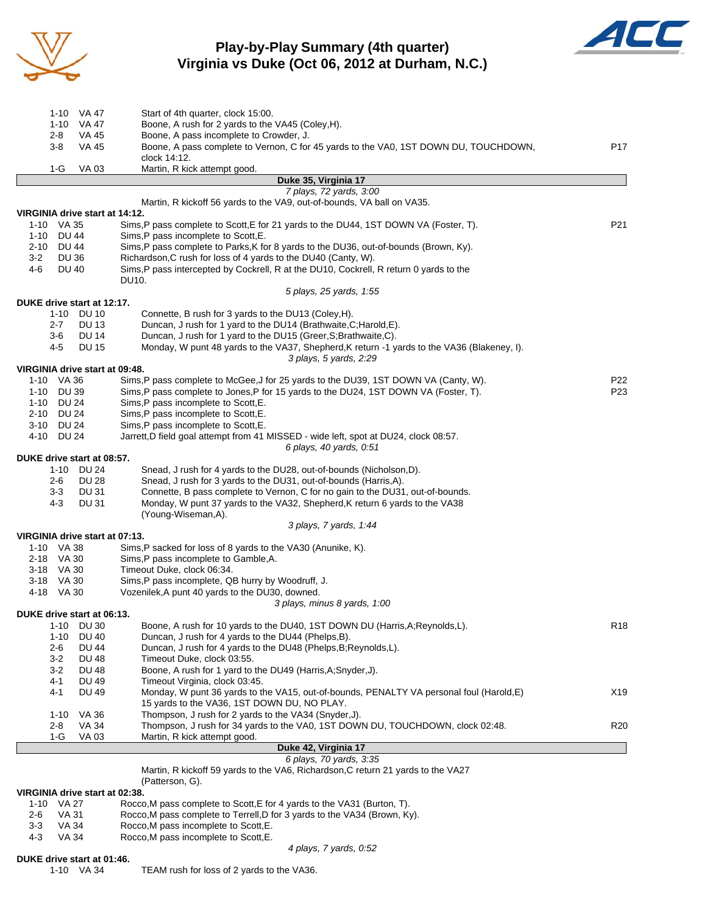

# **Play-by-Play Summary (4th quarter) Virginia vs Duke (Oct 06, 2012 at Durham, N.C.)**



| 1-10 VA 47                                             | Start of 4th quarter, clock 15:00.                                                                                           |                 |
|--------------------------------------------------------|------------------------------------------------------------------------------------------------------------------------------|-----------------|
| VA 47<br>$1 - 10$                                      | Boone, A rush for 2 yards to the VA45 (Coley, H).                                                                            |                 |
| 2-8<br>VA 45                                           | Boone, A pass incomplete to Crowder, J.                                                                                      |                 |
| $3-8$<br><b>VA 45</b>                                  | Boone, A pass complete to Vernon, C for 45 yards to the VA0, 1ST DOWN DU, TOUCHDOWN,                                         | P17             |
|                                                        | clock 14:12.                                                                                                                 |                 |
| <b>VA03</b><br>1-G                                     | Martin, R kick attempt good.                                                                                                 |                 |
|                                                        | Duke 35, Virginia 17                                                                                                         |                 |
|                                                        | 7 plays, 72 yards, 3:00<br>Martin, R kickoff 56 yards to the VA9, out-of-bounds, VA ball on VA35.                            |                 |
| VIRGINIA drive start at 14:12.                         |                                                                                                                              |                 |
| 1-10 VA 35                                             | Sims, P pass complete to Scott, E for 21 yards to the DU44, 1ST DOWN VA (Foster, T).                                         | P21             |
| DU 44<br>1-10                                          | Sims, P pass incomplete to Scott, E.                                                                                         |                 |
| <b>DU 44</b><br>2-10                                   | Sims, P pass complete to Parks, K for 8 yards to the DU36, out-of-bounds (Brown, Ky).                                        |                 |
| $3-2$<br><b>DU 36</b>                                  | Richardson, C rush for loss of 4 yards to the DU40 (Canty, W).                                                               |                 |
| 4-6<br><b>DU 40</b>                                    | Sims, P pass intercepted by Cockrell, R at the DU10, Cockrell, R return 0 yards to the                                       |                 |
|                                                        | DU10.                                                                                                                        |                 |
|                                                        | 5 plays, 25 yards, 1:55                                                                                                      |                 |
| DUKE drive start at 12:17.                             |                                                                                                                              |                 |
| 1-10 DU 10                                             | Connette, B rush for 3 yards to the DU13 (Coley, H).                                                                         |                 |
| <b>DU 13</b><br>$2 - 7$                                | Duncan, J rush for 1 yard to the DU14 (Brathwaite, C; Harold, E).                                                            |                 |
| <b>DU 14</b><br>3-6                                    | Duncan, J rush for 1 yard to the DU15 (Greer, S; Brathwaite, C).                                                             |                 |
| 4-5<br><b>DU 15</b>                                    | Monday, W punt 48 yards to the VA37, Shepherd, K return -1 yards to the VA36 (Blakeney, I).                                  |                 |
|                                                        | 3 plays, 5 yards, 2:29                                                                                                       |                 |
| VIRGINIA drive start at 09:48.                         |                                                                                                                              |                 |
| 1-10 VA 36                                             | Sims, P pass complete to McGee, J for 25 yards to the DU39, 1ST DOWN VA (Canty, W).                                          | P <sub>22</sub> |
| 1-10 DU 39                                             | Sims, P pass complete to Jones, P for 15 yards to the DU24, 1ST DOWN VA (Foster, T).                                         | P <sub>23</sub> |
| 1-10 DU 24                                             | Sims, P pass incomplete to Scott, E.                                                                                         |                 |
| 2-10 DU 24                                             | Sims, P pass incomplete to Scott, E.                                                                                         |                 |
| 3-10 DU 24<br>4-10 DU 24                               | Sims, P pass incomplete to Scott, E.<br>Jarrett, D field goal attempt from 41 MISSED - wide left, spot at DU24, clock 08:57. |                 |
|                                                        | 6 plays, 40 yards, 0:51                                                                                                      |                 |
| DUKE drive start at 08:57.                             |                                                                                                                              |                 |
| 1-10 DU 24                                             | Snead, J rush for 4 yards to the DU28, out-of-bounds (Nicholson, D).                                                         |                 |
| <b>DU 28</b><br>2-6                                    | Snead, J rush for 3 yards to the DU31, out-of-bounds (Harris, A).                                                            |                 |
| $3-3$<br>DU 31                                         | Connette, B pass complete to Vernon, C for no gain to the DU31, out-of-bounds.                                               |                 |
| 4-3<br>DU 31                                           | Monday, W punt 37 yards to the VA32, Shepherd, K return 6 yards to the VA38                                                  |                 |
|                                                        | (Young-Wiseman,A).                                                                                                           |                 |
|                                                        | 3 plays, 7 yards, 1:44                                                                                                       |                 |
| VIRGINIA drive start at 07:13.                         |                                                                                                                              |                 |
| 1-10 VA 38                                             | Sims, P sacked for loss of 8 yards to the VA30 (Anunike, K).                                                                 |                 |
| 2-18 VA 30                                             | Sims, P pass incomplete to Gamble, A.                                                                                        |                 |
| 3-18 VA 30                                             | Timeout Duke, clock 06:34.                                                                                                   |                 |
| 3-18 VA 30                                             | Sims, P pass incomplete, QB hurry by Woodruff, J.                                                                            |                 |
| 4-18 VA 30                                             | Vozenilek, A punt 40 yards to the DU30, downed.                                                                              |                 |
|                                                        | 3 plays, minus 8 yards, 1:00                                                                                                 |                 |
| DUKE drive start at 06:13.<br><b>DU 30</b><br>$1 - 10$ | Boone, A rush for 10 yards to the DU40, 1ST DOWN DU (Harris, A; Reynolds, L).                                                | R <sub>18</sub> |
| <b>DU 40</b><br>$1 - 10$                               | Duncan, J rush for 4 yards to the DU44 (Phelps, B).                                                                          |                 |
| 2-6<br>DU 44                                           | Duncan, J rush for 4 yards to the DU48 (Phelps, B; Reynolds, L).                                                             |                 |
| $3 - 2$<br><b>DU 48</b>                                | Timeout Duke, clock 03:55.                                                                                                   |                 |
| $3-2$<br>DU 48                                         | Boone, A rush for 1 yard to the DU49 (Harris, A; Snyder, J).                                                                 |                 |
| 4-1<br><b>DU 49</b>                                    | Timeout Virginia, clock 03:45.                                                                                               |                 |
| $4 - 1$<br><b>DU 49</b>                                | Monday, W punt 36 yards to the VA15, out-of-bounds, PENALTY VA personal foul (Harold, E)                                     | X19             |
|                                                        | 15 yards to the VA36, 1ST DOWN DU, NO PLAY.                                                                                  |                 |
| VA 36<br>$1 - 10$                                      | Thompson, J rush for 2 yards to the VA34 (Snyder, J).                                                                        |                 |
| 2-8<br>VA 34                                           | Thompson, J rush for 34 yards to the VA0, 1ST DOWN DU, TOUCHDOWN, clock 02:48.                                               | R20             |
| 1-G<br>VA 03                                           | Martin, R kick attempt good.                                                                                                 |                 |
|                                                        | Duke 42, Virginia 17                                                                                                         |                 |
|                                                        | 6 plays, 70 yards, 3:35                                                                                                      |                 |
|                                                        | Martin, R kickoff 59 yards to the VA6, Richardson, C return 21 yards to the VA27                                             |                 |
|                                                        | (Patterson, G).                                                                                                              |                 |
| VIRGINIA drive start at 02:38.<br>$1 - 10$<br>VA 27    | Rocco, M pass complete to Scott, E for 4 yards to the VA31 (Burton, T).                                                      |                 |
| <b>VA 31</b><br>2-6                                    | Rocco, M pass complete to Terrell, D for 3 yards to the VA34 (Brown, Ky).                                                    |                 |
| $3 - 3$<br>VA 34                                       | Rocco, M pass incomplete to Scott, E.                                                                                        |                 |
| 4-3<br><b>VA 34</b>                                    | Rocco, M pass incomplete to Scott, E.                                                                                        |                 |
|                                                        | 4 plays, 7 yards, 0:52                                                                                                       |                 |

### **DUKE drive start at 01:46.**

1-10 VA 34 TEAM rush for loss of 2 yards to the VA36.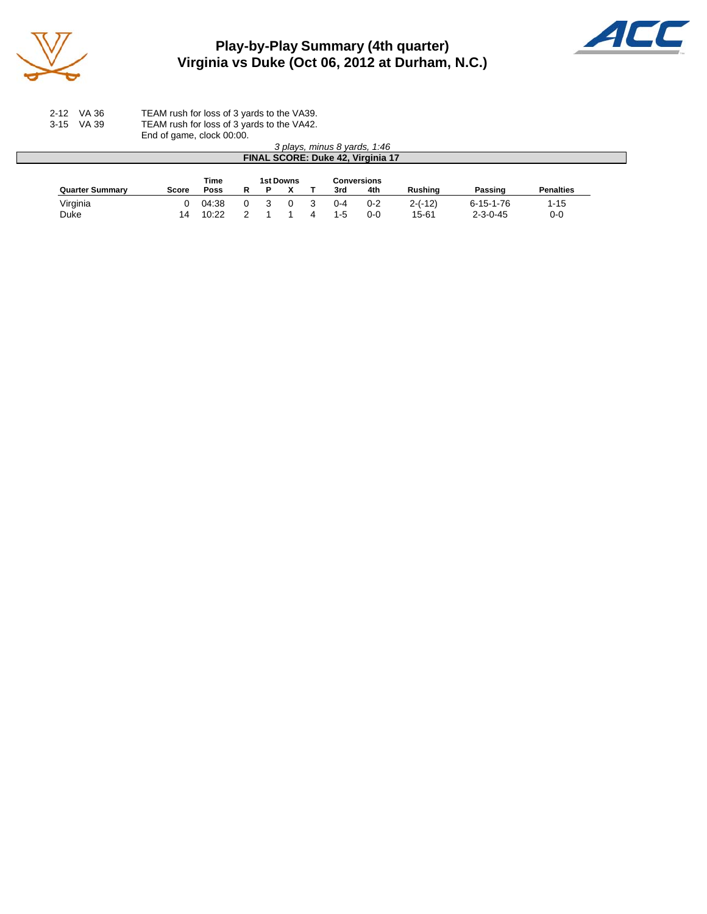

# **Play-by-Play Summary (4th quarter) Virginia vs Duke (Oct 06, 2012 at Durham, N.C.)**



2-12 VA 36 TEAM rush for loss of 3 yards to the VA39. 3-15 VA 39 TEAM rush for loss of 3 yards to the VA42. End of game, clock 00:00.

|                        |       |       |   |           |         | 3 plays, minus 8 yards, 1:46<br>FINAL SCORE: Duke 42, Virginia 17 |           |                   |                  |
|------------------------|-------|-------|---|-----------|---------|-------------------------------------------------------------------|-----------|-------------------|------------------|
|                        |       | Time  |   | 1st Downs |         | <b>Conversions</b>                                                |           |                   |                  |
| <b>Quarter Summary</b> | Score | Poss  | R |           | 3rd     | 4th                                                               | Rushina   | Passing           | <b>Penalties</b> |
| Virginia               |       | 04:38 |   |           | $0 - 4$ | $0 - 2$                                                           | $2-(-12)$ | $6 - 15 - 1 - 76$ | 1-15             |
| Duke                   | 14    | 10:22 |   |           | $1 - 5$ | $0 - 0$                                                           | 15-61     | $2 - 3 - 0 - 45$  | $0-0$            |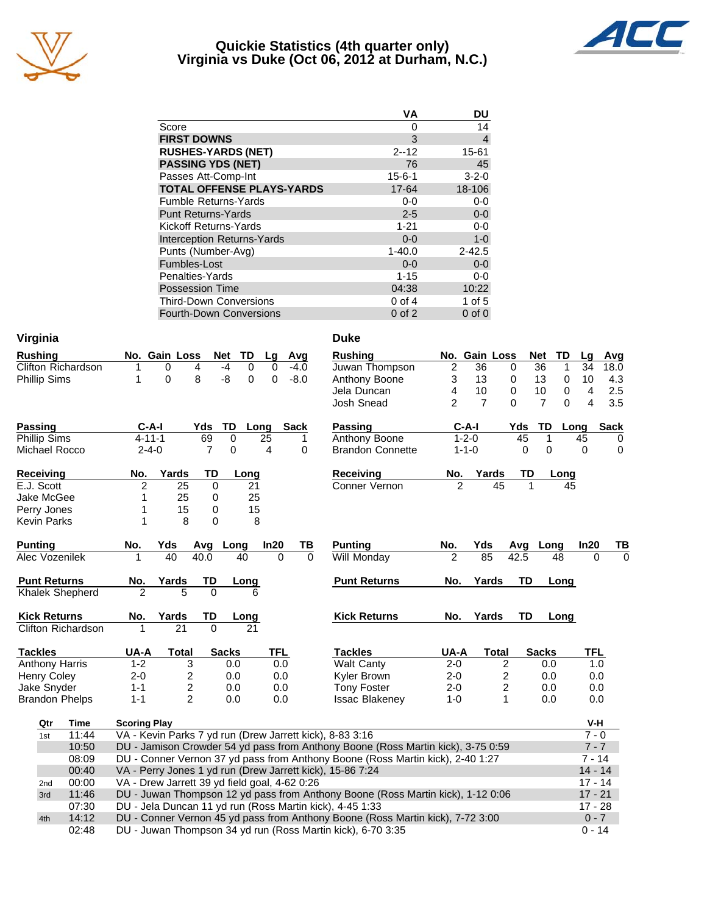

## **Quickie Statistics (4th quarter only) Virginia vs Duke (Oct 06, 2012 at Durham, N.C.)**



| <b>VA</b>    | DU          |
|--------------|-------------|
| 0            | 14          |
| 3            | 4           |
| $2 - 12$     | 15-61       |
| 76           | 45          |
| $15 - 6 - 1$ | $3 - 2 - 0$ |
| 17-64        | 18-106      |
| $0 - 0$      | $0-0$       |
| $2 - 5$      | $0-0$       |
| $1 - 21$     | $0 - 0$     |
| $0 - 0$      | $1-0$       |
| $1 - 40.0$   | $2 - 42.5$  |
| $0 - 0$      | $0-0$       |
| $1 - 15$     | $0 - 0$     |
| 04:38        | 10:22       |
| $0$ of 4     | $1$ of $5$  |
| $0$ of $2$   | $0$ of $0$  |
|              |             |

| Virginia                  |                           |                                               |               |                |                   |                 |             | <b>Duke</b>                                                                      |                |                |                         |                     |            |             |
|---------------------------|---------------------------|-----------------------------------------------|---------------|----------------|-------------------|-----------------|-------------|----------------------------------------------------------------------------------|----------------|----------------|-------------------------|---------------------|------------|-------------|
| <b>Rushing</b>            |                           |                                               | No. Gain Loss |                | <b>Net</b><br>TD  | Lg              | Avg         | <b>Rushing</b>                                                                   |                | No. Gain Loss  |                         | Net<br>TD           | Lg         | Avg         |
| <b>Clifton Richardson</b> |                           |                                               | 0             | 4              | $-4$<br>0         | 0               | -4.0        | Juwan Thompson                                                                   | 2              | 36             | 0                       | 36<br>1             | 34         | 18.0        |
| <b>Phillip Sims</b>       |                           | 1                                             | $\mathbf 0$   | 8              | -8<br>$\mathbf 0$ | $\mathbf 0$     | $-8.0$      | Anthony Boone                                                                    | 3              | 13             | 0                       | 13<br>$\mathbf 0$   | 10         | 4.3         |
|                           |                           |                                               |               |                |                   |                 |             | Jela Duncan                                                                      | 4              | 10             | $\Omega$                | 10<br>0             | 4          | 2.5         |
|                           |                           |                                               |               |                |                   |                 |             | <b>Josh Snead</b>                                                                | $\overline{2}$ | $\overline{7}$ | 0                       | $\overline{7}$<br>0 | 4          | 3.5         |
| <b>Passing</b>            |                           | $C-A-I$                                       |               | Yds:           | TD                | Long            | <b>Sack</b> | <b>Passing</b>                                                                   | $C-A-I$        |                | Yds                     | TD                  | Long       | Sack        |
| Phillip Sims              |                           | $4 - 11 - 1$                                  |               | 69             | 0                 | $\overline{25}$ | 1           | <b>Anthony Boone</b>                                                             | $1 - 2 - 0$    |                | 45                      | 1                   | 45         | 0           |
| Michael Rocco             |                           | $2 - 4 - 0$                                   |               | $\overline{7}$ | 0                 | 4               | $\Omega$    | <b>Brandon Connette</b>                                                          | $1 - 1 - 0$    |                | 0                       | 0                   | 0          | $\mathbf 0$ |
| Receiving                 |                           | No.                                           | Yards         | TD             | Long              |                 |             | <b>Receiving</b>                                                                 | No.            | Yards          | TD                      | Long                |            |             |
| E.J. Scott                |                           | 2                                             | 25            | $\Omega$       | 21                |                 |             | Conner Vernon                                                                    | $\mathfrak{p}$ | 45             | 1                       |                     | 45         |             |
| Jake McGee                |                           | 1                                             | 25            | 0              | 25                |                 |             |                                                                                  |                |                |                         |                     |            |             |
| Perry Jones               |                           |                                               | 15            | 0              | 15                |                 |             |                                                                                  |                |                |                         |                     |            |             |
| <b>Kevin Parks</b>        |                           | 1                                             | 8             | 0              | 8                 |                 |             |                                                                                  |                |                |                         |                     |            |             |
| <b>Punting</b>            |                           | No.                                           | Yds           | Avg Long       |                   | In20            | TВ          | <b>Punting</b>                                                                   | No.            | Yds            | Avq                     | Long                | In20       | <u>ТВ</u>   |
| Alec Vozenilek            |                           | 1                                             | 40            | 40.0           | 40                | $\Omega$        | $\Omega$    | Will Monday                                                                      | 2              | 85             | 42.5                    | 48                  | 0          | $\Omega$    |
| <b>Punt Returns</b>       |                           | No.                                           | Yards         | TD             | Long              |                 |             | <b>Punt Returns</b>                                                              | No.            | Yards          | TD                      | Long                |            |             |
| <b>Khalek Shepherd</b>    |                           | 2                                             | 5             | $\Omega$       | 6                 |                 |             |                                                                                  |                |                |                         |                     |            |             |
| <b>Kick Returns</b>       |                           | No.                                           | Yards         | TD             | Long              |                 |             | <b>Kick Returns</b>                                                              | No.            | Yards          | TD                      | Long                |            |             |
|                           | <b>Clifton Richardson</b> |                                               | 21            | $\Omega$       | 21                |                 |             |                                                                                  |                |                |                         |                     |            |             |
| <b>Tackles</b>            |                           | UA-A                                          | <b>Total</b>  |                | <b>Sacks</b>      | <b>TFL</b>      |             | <b>Tackles</b>                                                                   | UA-A           | <b>Total</b>   |                         | <b>Sacks</b>        | <b>TFL</b> |             |
| <b>Anthony Harris</b>     |                           | $1 - 2$                                       |               | 3              | 0.0               | 0.0             |             | <b>Walt Canty</b>                                                                | $2 - 0$        |                | 2                       | 0.0                 | 1.0        |             |
| <b>Henry Coley</b>        |                           | $2 - 0$                                       |               | 2              | 0.0               | 0.0             |             | Kyler Brown                                                                      | $2 - 0$        |                | $\overline{\mathbf{c}}$ | 0.0                 | 0.0        |             |
| Jake Snyder               |                           | $1 - 1$                                       |               | $\overline{c}$ | 0.0               | 0.0             |             | <b>Tony Foster</b>                                                               | $2 - 0$        |                | $\overline{c}$          | 0.0                 | 0.0        |             |
| <b>Brandon Phelps</b>     |                           | $1 - 1$                                       |               | $\overline{2}$ | 0.0               | 0.0             |             | <b>Issac Blakenev</b>                                                            | $1 - 0$        |                | $\mathbf{1}$            | 0.0                 | 0.0        |             |
| Qtr                       | Time                      | <b>Scoring Play</b>                           |               |                |                   |                 |             |                                                                                  |                |                |                         |                     | V-H        |             |
| 1st                       | 11:44                     |                                               |               |                |                   |                 |             | VA - Kevin Parks 7 yd run (Drew Jarrett kick), 8-83 3:16                         |                |                |                         |                     | $7 - 0$    |             |
|                           | 10:50                     |                                               |               |                |                   |                 |             | DU - Jamison Crowder 54 yd pass from Anthony Boone (Ross Martin kick), 3-75 0:59 |                |                |                         |                     | $7 - 7$    |             |
|                           | 08:09                     |                                               |               |                |                   |                 |             | DU - Conner Vernon 37 yd pass from Anthony Boone (Ross Martin kick), 2-40 1:27   |                |                |                         |                     | $7 - 14$   |             |
|                           | 00:40                     |                                               |               |                |                   |                 |             | VA - Perry Jones 1 yd run (Drew Jarrett kick), 15-86 7:24                        |                |                |                         |                     | $14 - 14$  |             |
| 2nd                       | 00:00                     | VA - Drew Jarrett 39 yd field goal, 4-62 0:26 |               |                |                   |                 |             |                                                                                  |                |                |                         |                     | $17 - 14$  |             |
| 3rd                       | 11:46                     |                                               |               |                |                   |                 |             | DU - Juwan Thompson 12 yd pass from Anthony Boone (Ross Martin kick), 1-12 0:06  |                |                |                         |                     | $17 - 21$  |             |
|                           | 07:30                     |                                               |               |                |                   |                 |             | DU - Jela Duncan 11 yd run (Ross Martin kick), 4-45 1:33                         |                |                |                         |                     | $17 - 28$  |             |
| 4th                       | 14:12                     |                                               |               |                |                   |                 |             | DU - Conner Vernon 45 yd pass from Anthony Boone (Ross Martin kick), 7-72 3:00   |                |                |                         |                     | $0 - 7$    |             |
|                           | 02:48                     |                                               |               |                |                   |                 |             | DU - Juwan Thompson 34 yd run (Ross Martin kick), 6-70 3:35                      |                |                |                         |                     | $0 - 14$   |             |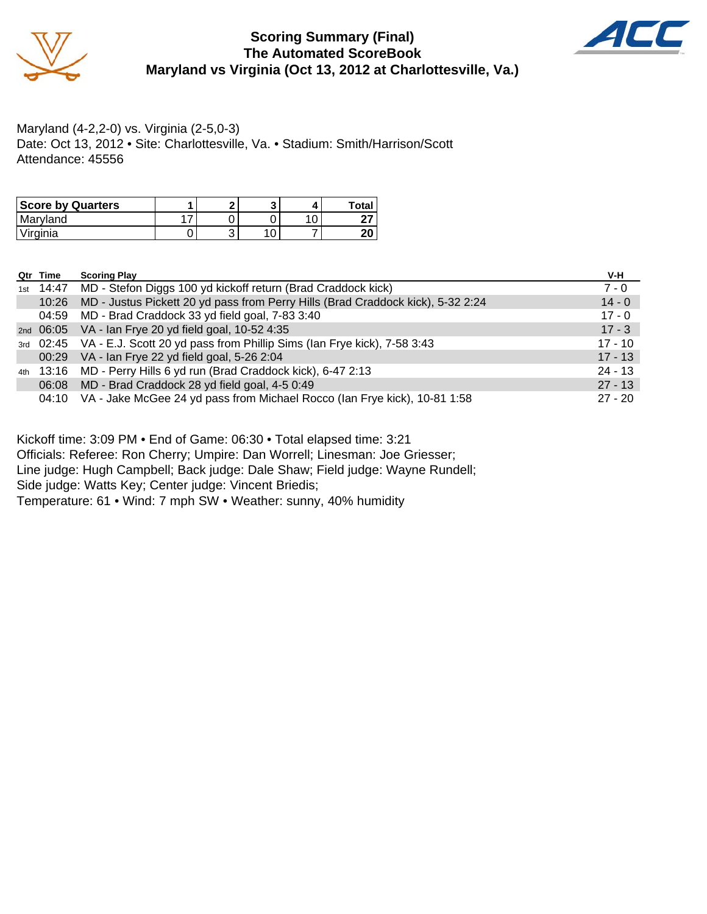

## **Scoring Summary (Final) The Automated ScoreBook Maryland vs Virginia (Oct 13, 2012 at Charlottesville, Va.)**



Maryland (4-2,2-0) vs. Virginia (2-5,0-3) Date: Oct 13, 2012 • Site: Charlottesville, Va. • Stadium: Smith/Harrison/Scott Attendance: 45556

| <b>Score by Quarters</b> | e |  | <b>Total</b> |
|--------------------------|---|--|--------------|
| Maryland                 |   |  |              |
| 'Virginia                | ື |  | חר<br>ZU     |

| Qtr Time | <b>Scoring Play</b>                                                               | V-H       |
|----------|-----------------------------------------------------------------------------------|-----------|
|          | 1st 14:47 MD - Stefon Diggs 100 yd kickoff return (Brad Craddock kick)            | $7 - 0$   |
| 10:26    | MD - Justus Pickett 20 yd pass from Perry Hills (Brad Craddock kick), 5-32 2:24   | $14 - 0$  |
|          | 04:59 MD - Brad Craddock 33 yd field goal, 7-83 3:40                              | $17 - 0$  |
|          | 2nd 06:05 VA - Ian Frye 20 yd field goal, 10-52 4:35                              | $17 - 3$  |
|          | 3rd 02:45 VA - E.J. Scott 20 yd pass from Phillip Sims (Ian Frye kick), 7-58 3:43 | $17 - 10$ |
|          | 00:29 VA - Ian Frye 22 yd field goal, 5-26 2:04                                   | $17 - 13$ |
|          | 4th 13:16 MD - Perry Hills 6 yd run (Brad Craddock kick), 6-47 2:13               | $24 - 13$ |
| 06:08    | MD - Brad Craddock 28 yd field goal, 4-5 0:49                                     | $27 - 13$ |
|          | 04:10 VA - Jake McGee 24 yd pass from Michael Rocco (Ian Frye kick), 10-81 1:58   | $27 - 20$ |

Kickoff time: 3:09 PM • End of Game: 06:30 • Total elapsed time: 3:21

Officials: Referee: Ron Cherry; Umpire: Dan Worrell; Linesman: Joe Griesser;

Line judge: Hugh Campbell; Back judge: Dale Shaw; Field judge: Wayne Rundell;

Side judge: Watts Key; Center judge: Vincent Briedis;

Temperature: 61 • Wind: 7 mph SW • Weather: sunny, 40% humidity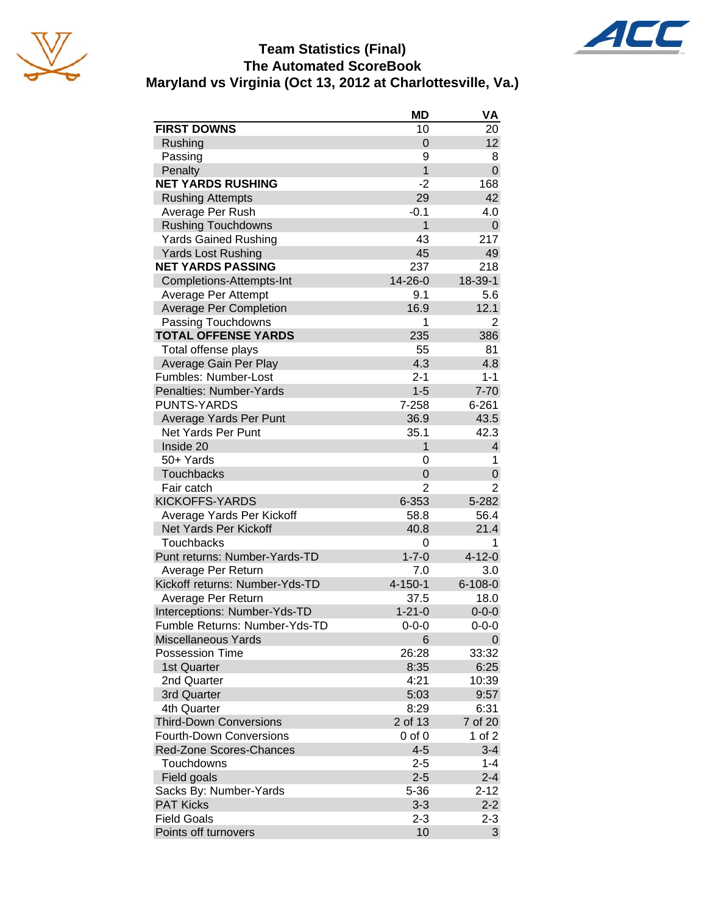





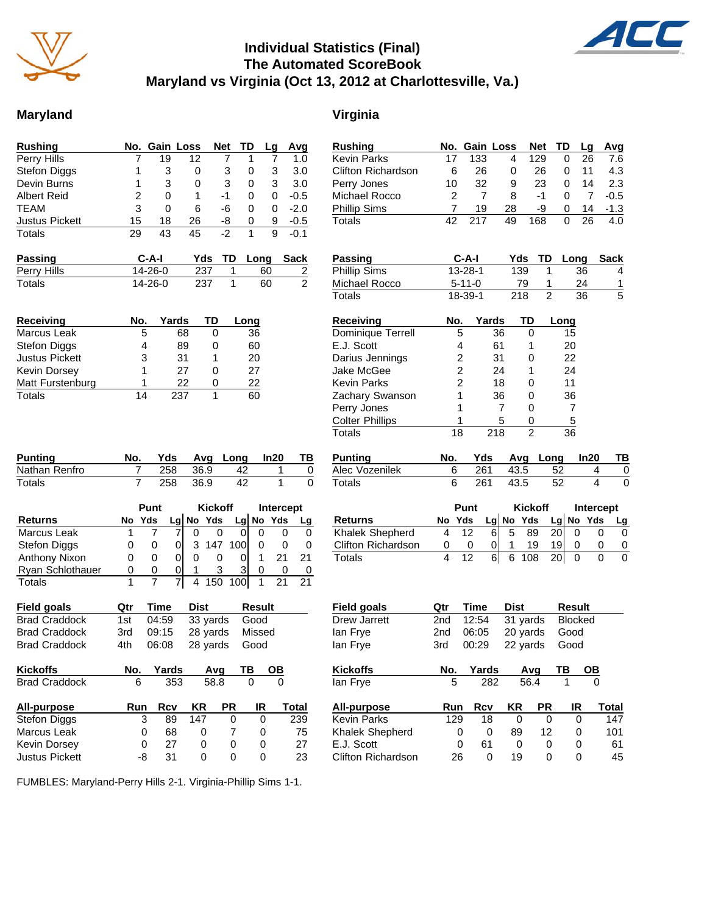

## **Individual Statistics (Final) The Automated ScoreBook Maryland vs Virginia (Oct 13, 2012 at Charlottesville, Va.)**

## **Maryland Virginia**

| <b>Rushing</b>                                   | No.            | Gain              | Loss                | <b>Net</b>     | TD               | Lg             | Avg           |
|--------------------------------------------------|----------------|-------------------|---------------------|----------------|------------------|----------------|---------------|
| Perry Hills                                      | 7              | 19                | 12                  | 7              | 1                | 7              | 1.0           |
| <b>Stefon Diggs</b>                              | 1              | 3                 | 0                   | 3              | 0                | 3              | 3.0           |
| Devin Burns                                      | 1              | 3                 | 0                   | 3              | 0                | 3              | 3.0           |
| <b>Albert Reid</b>                               | $\overline{2}$ | 0                 | 1                   | $-1$           | 0                | 0              | $-0.5$        |
| TEAM                                             | 3              | 0                 | 6                   | -6             | 0                | 0              | $-2.0$        |
| <b>Justus Pickett</b>                            | 15             | 18                | 26                  | -8             | 0                | 9              | $-0.5$        |
| <b>Totals</b>                                    | 29             | 43                | 45                  | $-2$           | 1                | 9              | -0.1          |
| Passing                                          |                | C-A-I             | Yds                 | TD             | Long             |                | <b>Sack</b>   |
| Perry Hills                                      |                | 14-26-0           |                     | 237            | 1                | 60             |               |
| Totals                                           |                | 14-26-0           |                     | 237            | 1                | 60             | $\frac{2}{2}$ |
| <b>Receiving</b>                                 | No.            |                   | Yards               | TD             | Long             |                |               |
| Marcus Leak                                      |                | 5                 | 68                  | 0              | 36               |                |               |
| <b>Stefon Diggs</b>                              |                | 4                 | 89                  | 0              | 60               |                |               |
| <b>Justus Pickett</b>                            |                | 3                 | 31                  | 1              | 20               |                |               |
| Kevin Dorsey                                     |                | 1                 | 27                  | 0              | 27               |                |               |
| Matt Furstenburg                                 |                | 1                 | 22                  | 0              | <u>22</u>        |                |               |
| <b>Totals</b>                                    | 14             |                   | 237                 | 1              | 60               |                |               |
| <b>Punting</b><br>Nathan Renfro<br><b>Totals</b> | No.<br>7<br>7  | Yds<br>258<br>258 | Avg<br>36.9<br>36.9 |                | Long<br>42<br>42 | In20<br>1<br>1 | ТВ<br>0<br>0  |
|                                                  |                | Punt              |                     | <b>Kickoff</b> |                  | Intercept      |               |
| <b>Returns</b>                                   | No             | Yds               | $Lg$ No             | Yds            | $Lg$ No          | Yds            | Lg            |
| Marcus Leak                                      | 1              | 7                 | 0<br>7              | 0              | 0                | 0              | 0<br>0        |
| <b>Stefon Diggs</b>                              | 0              | 0                 | 3<br>0              | 147            | 100              | 0              | 0<br>0        |
| Anthony Nixon                                    | 0              | 0                 | 0<br>0              | 0              | 0                | 1<br>21        | 21            |
| Ryan Schlothauer                                 | 0              | 0                 | 0<br>1              | 3              | 3                | 0              | 0<br>0        |
| Totals                                           | 1              | 7                 | 7<br>4              | 150            | 100              | 1<br>21        | 21            |
| <b>Field goals</b>                               | Qtr            | <b>Time</b>       | <b>Dist</b>         |                | Result           |                |               |
| <b>Brad Craddock</b>                             | 1st            | 04:59             |                     | 33 yards       | Good             |                |               |
| <b>Brad Craddock</b>                             | 3rd            | 09:15             |                     | 28 yards       | Missed           |                |               |
| <b>Brad Craddock</b>                             | 4th            | 06:08             |                     | 28 yards       | Good             |                |               |
| <b>Kickoffs</b>                                  | No.            | Yards             |                     | Avg            | TВ               | OВ             |               |
| <b>Brad Craddock</b>                             | 6              |                   | 353                 | 58.8           | 0                | 0              |               |
| All-purpose                                      |                |                   |                     |                |                  | IR             | <b>Total</b>  |
|                                                  | Run            | Rcv               | ΚR                  | PR             |                  |                |               |
| <b>Stefon Diggs</b>                              |                | 3<br>89           | 147                 |                | 0                | 0              | 239           |
| Marcus Leak                                      |                | 68<br>0           | 0                   |                | 7                | 0              | 75            |
| Kevin Dorsey<br>Justus Pickett                   | -8             | 27<br>0<br>31     | 0<br>0              |                | 0<br>0           | 0<br>0         | 27<br>23      |

| <b>Rushing</b>            | No. |                | Gain Loss |                | Net            | TD             | Lg   | Avg           |
|---------------------------|-----|----------------|-----------|----------------|----------------|----------------|------|---------------|
| <b>Kevin Parks</b>        | 17  | 133            | 4         |                | 129            | 0              | 26   | 7.6           |
| <b>Clifton Richardson</b> | 6   | 26             | 0         |                | 26             | 0              | 11   | 4.3           |
| Perry Jones               | 10  | 32             | 9         |                | 23             | 0              | 14   | 2.3           |
| Michael Rocco             | 2   | 7              | 8         |                | -1             | 0              | 7    | $-0.5$        |
| <b>Phillip Sims</b>       | 7   | 19             | 28        |                | -9             | 0              | 14   | $-1.3$        |
| Totals                    | 42  | 217            | 49        |                | 168            | 0              | 26   | 4.0           |
|                           |     |                |           |                |                |                |      |               |
| Passing                   |     | $C-A-I$        |           | Yds            | TD             | Long           |      | <b>Sack</b>   |
| Phillip Sims              |     | 13-28-1        |           | 139            | 1              |                | 36   | 4             |
| Michael Rocco             |     | $5 - 11 - 0$   |           | 79             | 1              |                | 24   |               |
| <b>Totals</b>             |     | 18-39-1        |           | 218            | $\overline{2}$ |                | 36   | $\frac{1}{5}$ |
|                           |     |                |           |                |                |                |      |               |
| <b>Receiving</b>          | No. |                | Yards     | TD             |                | Long           |      |               |
| Dominique Terrell         |     | 5              | 36        | 0              |                | 15             |      |               |
| E.J. Scott                |     | 4              | 61        | 1              |                | 20             |      |               |
| Darius Jennings           |     | 2              | 31        | 0              |                | 22             |      |               |
| Jake McGee                |     | 2              | 24        | 1              |                | 24             |      |               |
| <b>Kevin Parks</b>        |     | $\overline{2}$ | 18        | 0              |                | 11             |      |               |
| Zachary Swanson           |     | 1              | 36        | 0              |                | 36             |      |               |
| Perry Jones               |     | 1              | 7         | 0              |                | $\overline{7}$ |      |               |
| <b>Colter Phillips</b>    |     | 1              | 5         | 0              |                | 5              |      |               |
| Totals                    | 18  |                | 218       | 2              |                | 36             |      |               |
|                           |     |                |           |                |                |                |      |               |
| <b>Punting</b>            | No. | Yds            |           | Avg            | Long           |                | In20 | TB            |
| Alec Vozenilek            | 6   | 261            |           | 43.5           |                | 52             | 4    | 0             |
| <b>Totals</b>             | 6   | 261            |           | 43.5           |                | 52             | 4    | 0             |
|                           |     |                |           |                |                |                |      |               |
|                           |     | Punt           |           | <b>Kickoff</b> |                |                |      | Intercept     |
| Returns                   | No  | Yds            | Lg No Yds |                |                | Lg No          | Yds  | Lg            |
| Khalek Shepherd           | 4   | 12             | 5<br>6    | 89             |                | 0<br>20        |      | 0<br>0        |
| Clifton Richardson        | 0   | 0              | 1<br>0    | 19             |                | 19<br>0        |      | 0<br>0        |
| <b>Totals</b>             | 4   | 12             | 6<br>61   | 108            |                | 20<br>0        |      | 0<br>0        |
|                           |     |                |           |                |                |                |      |               |
| <b>Field goals</b>        | Qtr | Time           |           | <b>Dist</b>    |                | <b>Result</b>  |      |               |
| Drew Jarrett              | 2nd | 12:54          |           | 31 yards       |                | <b>Blocked</b> |      |               |
| lan Frye                  | 2nd | 06:05          |           | 20 yards       |                | Good           |      |               |
| lan Frye                  | 3rd | 00:29          |           | 22 yards       |                | Good           |      |               |
| <b>Kickoffs</b>           | No. | Yards          |           | Ava            |                | ΤВ             | OВ   |               |
| lan Frye                  | 5   |                | 282       | 56.4           |                | 1              | 0    |               |
| <b>All-purpose</b>        | Run | Rcv            |           | <b>KR</b>      | PR             | IR             |      | <b>Total</b>  |
| Kevin Parks               | 129 | 18             |           | 0              | 0              |                | 0    | 147           |
| Khalek Shepherd           |     | 0              | 0         | 89             | 12             |                | 0    | 101           |
| E.J. Scott                |     | 61<br>0        |           | 0              | 0              |                | 0    | 61            |

FUMBLES: Maryland-Perry Hills 2-1. Virginia-Phillip Sims 1-1.

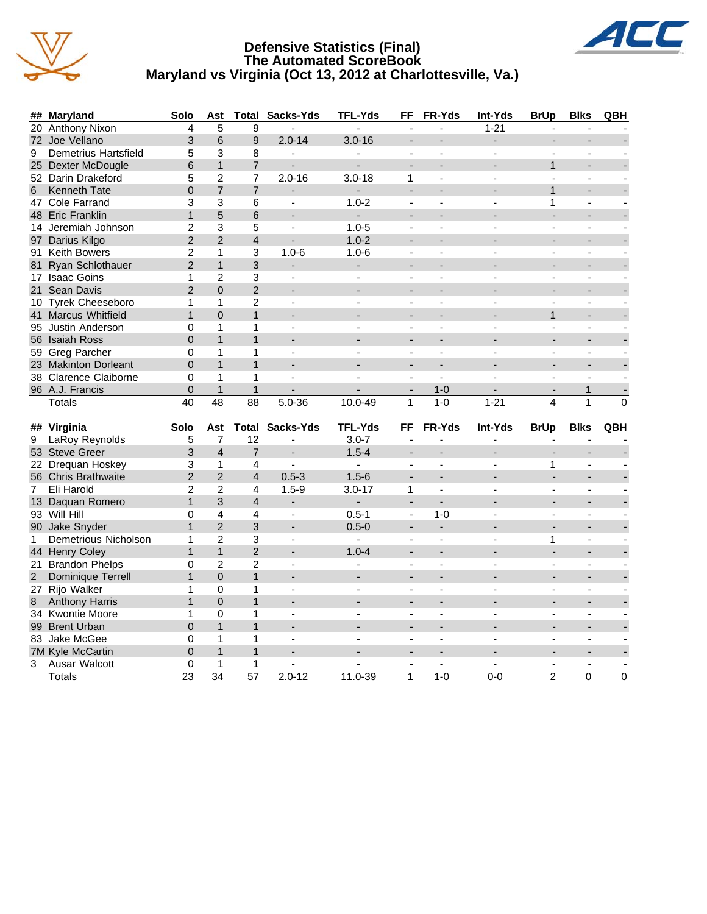

## **Defensive Statistics (Final) The Automated ScoreBook Maryland vs Virginia (Oct 13, 2012 at Charlottesville, Va.)**



|                | ## Maryland                    | Solo                    | Ast                  | <b>Total</b>         | Sacks-Yds                | TFL-Yds                  | FF                       | FR-Yds                    | Int-Yds                  | <b>BrUp</b>              | <b>Blks</b>                  | QBH            |
|----------------|--------------------------------|-------------------------|----------------------|----------------------|--------------------------|--------------------------|--------------------------|---------------------------|--------------------------|--------------------------|------------------------------|----------------|
| 20             | <b>Anthony Nixon</b>           | 4                       | 5                    | 9                    |                          |                          |                          |                           | $1 - 21$                 |                          |                              |                |
|                | 72 Joe Vellano                 | 3                       | 6                    | 9                    | $2.0 - 14$               | $3.0 - 16$               | ÷.                       | $\overline{\phantom{0}}$  | $\overline{\phantom{a}}$ | $\overline{a}$           | ÷,                           |                |
| 9              | Demetrius Hartsfield           | 5                       | 3                    | 8                    | $\overline{a}$           |                          | $\overline{a}$           | $\blacksquare$            | ÷,                       | ÷,                       | $\blacksquare$               |                |
|                | 25 Dexter McDougle             | 6                       | $\mathbf{1}$         | $\overline{7}$       | $\overline{a}$           | $\overline{a}$           |                          | ٠                         |                          | $\mathbf{1}$             | $\overline{a}$               |                |
|                | 52 Darin Drakeford             | 5                       | $\overline{2}$       | $\overline{7}$       | $2.0 - 16$               | $3.0 - 18$               | $\mathbf{1}$             | L.                        | $\overline{a}$           |                          | ÷.                           |                |
| 6              | <b>Kenneth Tate</b>            | $\Omega$                | $\overline{7}$       | $\overline{7}$       | $\blacksquare$           | ÷.                       | ÷.                       | $\overline{\phantom{a}}$  | $\overline{a}$           | $\mathbf{1}$             | $\overline{a}$               |                |
|                | 47 Cole Farrand                | 3                       | 3                    | 6                    | $\overline{\phantom{a}}$ | $1.0 - 2$                | $\overline{a}$           | ÷,                        |                          | 1                        | $\overline{a}$               |                |
|                | 48 Eric Franklin               | $\mathbf{1}$            | 5                    | 6                    | $\overline{a}$           |                          |                          |                           |                          |                          |                              |                |
|                | 14 Jeremiah Johnson            | $\overline{\mathbf{c}}$ | 3                    | 5                    | $\mathbf{r}$             | $1.0 - 5$                | $\blacksquare$           | $\blacksquare$            |                          |                          | $\overline{a}$               |                |
|                | 97 Darius Kilgo                | $\overline{2}$          | $\overline{2}$       | $\overline{4}$       | $\blacksquare$           | $1.0 - 2$                |                          | $\overline{\phantom{0}}$  |                          |                          | ÷,                           |                |
|                | 91 Keith Bowers                | 2                       | $\mathbf{1}$         | 3                    | $1.0 - 6$                | $1.0 - 6$                | $\overline{\phantom{a}}$ | $\blacksquare$            |                          | ä,                       | $\overline{\phantom{a}}$     |                |
|                | 81 Ryan Schlothauer            | $\overline{2}$          | $\mathbf{1}$         | 3                    |                          |                          |                          |                           |                          |                          | ۰                            |                |
|                | 17 Isaac Goins                 | $\mathbf{1}$            | $\overline{c}$       | 3                    | $\blacksquare$           | $\blacksquare$           | $\overline{a}$           | $\overline{a}$            |                          |                          | $\overline{a}$               |                |
|                | 21 Sean Davis                  | $\overline{2}$          | $\Omega$             | $\overline{2}$       | $\blacksquare$           |                          | $\overline{a}$           |                           |                          |                          |                              |                |
|                | 10 Tyrek Cheeseboro            | $\mathbf{1}$            | $\mathbf{1}$         | $\overline{2}$       | $\blacksquare$           | $\overline{\phantom{a}}$ | $\blacksquare$           | $\overline{a}$            | ÷,                       | $\overline{a}$           | $\blacksquare$               |                |
|                | 41 Marcus Whitfield            | 1                       | $\Omega$             | $\mathbf{1}$         |                          |                          |                          |                           |                          | $\mathbf{1}$             |                              |                |
|                | 95 Justin Anderson             | 0                       | $\mathbf{1}$         | $\mathbf{1}$         | $\overline{a}$           |                          |                          |                           |                          |                          | $\overline{a}$               |                |
|                | 56 Isaiah Ross                 | $\Omega$                | $\mathbf{1}$         | $\mathbf{1}$         |                          |                          |                          |                           |                          |                          |                              |                |
|                | 59 Greg Parcher                | $\Omega$                | $\mathbf{1}$         | 1                    | $\blacksquare$           | $\overline{\phantom{a}}$ | $\blacksquare$           | $\blacksquare$            |                          | $\blacksquare$           | $\blacksquare$               |                |
|                | 23 Makinton Dorleant           | $\Omega$                | $\overline{1}$       | $\mathbf{1}$         |                          |                          |                          |                           |                          |                          |                              |                |
|                | 38 Clarence Claiborne          | 0                       | $\mathbf{1}$         | 1                    | $\mathbf{r}$             |                          | $\blacksquare$           | L.                        |                          |                          | L.                           |                |
|                | 96 A.J. Francis                | $\Omega$                | $\mathbf{1}$         | $\mathbf{1}$         |                          |                          |                          | $1 - 0$                   |                          |                          | $\mathbf{1}$                 |                |
|                |                                |                         |                      |                      |                          |                          |                          |                           |                          |                          |                              |                |
|                | <b>Totals</b>                  | 40                      | $\overline{48}$      | $\overline{88}$      | $5.0 - 36$               | 10.0-49                  | 1                        | $1-0$                     | $1 - 21$                 | $\overline{4}$           | 1                            | $\Omega$       |
|                |                                |                         |                      |                      |                          |                          |                          |                           |                          |                          |                              |                |
|                | ## Virginia                    | Solo                    | Ast                  |                      | <b>Total Sacks-Yds</b>   | <b>TFL-Yds</b>           | FF                       | FR-Yds                    | Int-Yds                  | <b>BrUp</b>              | <b>Blks</b>                  | QBH            |
| 9              | LaRoy Reynolds                 | 5                       | $\overline{7}$       | 12                   |                          | $3.0 - 7$                |                          |                           |                          |                          |                              |                |
|                | 53 Steve Greer                 | 3                       | $\overline{4}$       | $\overline{7}$       |                          | $1.5 - 4$                |                          |                           |                          |                          |                              |                |
|                | 22 Drequan Hoskey              | 3                       | $\mathbf{1}$         | 4                    | $\overline{a}$           | $\blacksquare$           | $\blacksquare$           | $\overline{a}$            | $\overline{\phantom{a}}$ | 1                        | $\blacksquare$               |                |
|                | 56 Chris Brathwaite            | $\overline{2}$          | $\overline{2}$       | $\overline{4}$       | $0.5 - 3$                | $1.5 - 6$                | $\overline{a}$           | ÷                         |                          |                          |                              |                |
| $\overline{7}$ | Eli Harold                     | 2                       | $\overline{2}$       | 4                    | $1.5 - 9$                | $3.0 - 17$               | 1                        | ä,                        |                          | $\blacksquare$           | $\blacksquare$               |                |
|                | 13 Daquan Romero               | $\mathbf{1}$            | 3                    | $\overline{4}$       | $\blacksquare$           | $\blacksquare$           | $\overline{a}$           | ÷.                        |                          |                          |                              |                |
|                | 93 Will Hill                   | $\Omega$                | 4                    | 4                    | $\blacksquare$           | $0.5 - 1$                | $\blacksquare$           | $1 - 0$                   | $\blacksquare$           | ٠                        | $\blacksquare$               |                |
|                | 90 Jake Snyder                 | $\mathbf{1}$            | $\overline{2}$       | 3                    |                          | $0.5 - 0$                |                          |                           |                          |                          |                              |                |
| $\mathbf{1}$   | Demetrious Nicholson           | 1                       | $\overline{2}$       | 3                    | $\blacksquare$           | ÷,                       |                          | L,                        |                          | 1                        | ÷,                           |                |
|                | 44 Henry Coley                 | $\mathbf{1}$            | $\mathbf{1}$         | $\overline{2}$       |                          | $1.0 - 4$                |                          |                           |                          |                          |                              |                |
|                | 21 Brandon Phelps              | $\Omega$                | 2                    | $\overline{2}$       | $\blacksquare$           | $\overline{\phantom{a}}$ | $\blacksquare$           | $\blacksquare$            | $\overline{\phantom{a}}$ | $\overline{\phantom{a}}$ | $\blacksquare$               |                |
| $\overline{2}$ | Dominique Terrell              | $\mathbf{1}$            | $\overline{0}$       | $\mathbf{1}$         |                          |                          |                          |                           |                          |                          |                              |                |
|                | 27 Rijo Walker                 | 1                       | $\Omega$             | $\mathbf{1}$         | $\overline{\phantom{a}}$ |                          | $\overline{\phantom{0}}$ | $\overline{\phantom{a}}$  |                          | $\sim$                   | $\qquad \qquad \blacksquare$ |                |
| 8              | <b>Anthony Harris</b>          | $\mathbf{1}$            | $\overline{0}$       | $\mathbf{1}$         | ÷.                       |                          | L,                       |                           |                          |                          | $\overline{a}$               |                |
|                | 34 Kwontie Moore               | 1                       | $\mathbf{0}$         | $\mathbf{1}$         | $\blacksquare$           | $\overline{a}$           | $\blacksquare$           | ä,                        | $\blacksquare$           | $\overline{a}$           | $\overline{\phantom{0}}$     |                |
|                | 99 Brent Urban                 | $\overline{0}$          | $\mathbf{1}$         | $\mathbf{1}$         |                          |                          |                          |                           |                          |                          |                              |                |
|                | 83 Jake McGee                  | $\Omega$                | $\mathbf{1}$         | $\mathbf{1}$         | $\blacksquare$           |                          |                          | ä,                        |                          |                          | $\blacksquare$               |                |
|                | 7M Kyle McCartin               | $\overline{0}$          | $\mathbf{1}$         | $\mathbf{1}$         |                          |                          |                          |                           |                          |                          |                              |                |
| 3              | <b>Ausar Walcott</b><br>Totals | 0<br>$\overline{23}$    | 1<br>$\overline{34}$ | 1<br>$\overline{57}$ | $2.0 - 12$               | 11.0-39                  | $\mathbf{1}$             | $\blacksquare$<br>$1 - 0$ | $0 - 0$                  | $\overline{2}$           | 0                            | $\overline{0}$ |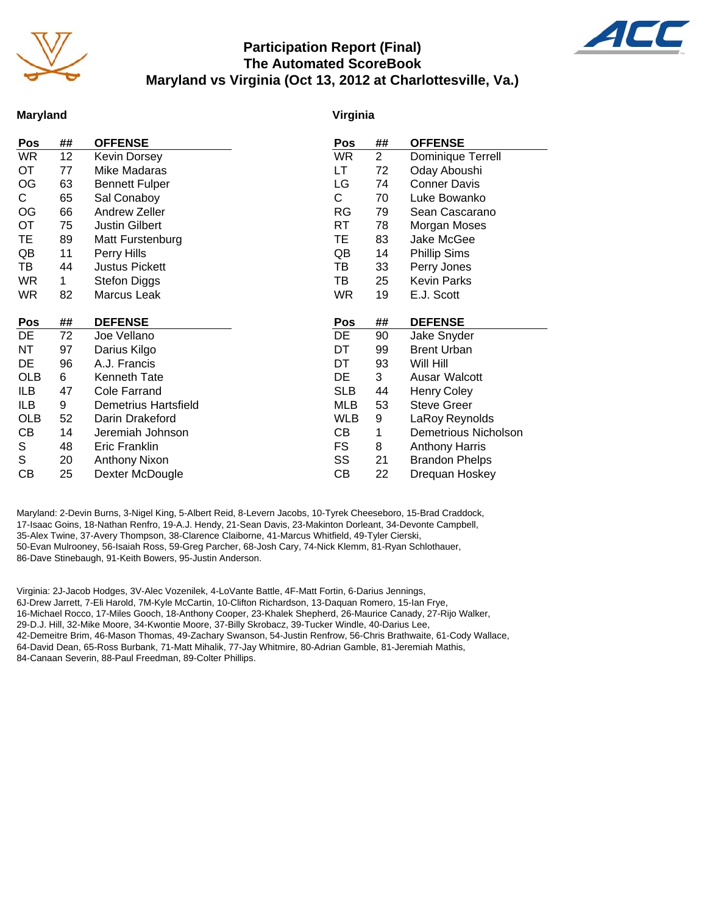

## **Participation Report (Final) The Automated ScoreBook Maryland vs Virginia (Oct 13, 2012 at Charlottesville, Va.)**



### **Maryland**

### **Virginia**

| Pos        | ##          | <b>OFFENSE</b>        | Pos        | ##             | <b>OFFENSE</b>        |
|------------|-------------|-----------------------|------------|----------------|-----------------------|
| WR         | 12          | <b>Kevin Dorsey</b>   | <b>WR</b>  | $\overline{2}$ | Dominique Terrell     |
| OT         | 77          | Mike Madaras          | LT         | 72             | Oday Aboushi          |
| OG         | 63          | <b>Bennett Fulper</b> | LG         | 74             | <b>Conner Davis</b>   |
| С          | 65          | Sal Conaboy           | C          | 70             | Luke Bowanko          |
| OG         | 66          | Andrew Zeller         | <b>RG</b>  | 79             | Sean Cascarano        |
| ОT         | 75          | <b>Justin Gilbert</b> | RT.        | 78             | Morgan Moses          |
| TE.        | 89          | Matt Furstenburg      | TE         | 83             | Jake McGee            |
| QB         | 11          | Perry Hills           | QB         | 14             | <b>Phillip Sims</b>   |
| TB         | 44          | <b>Justus Pickett</b> | ТB         | 33             | Perry Jones           |
| WR.        | $\mathbf 1$ | <b>Stefon Diggs</b>   | ТB         | 25             | <b>Kevin Parks</b>    |
| WR         | 82          | Marcus Leak           | <b>WR</b>  | 19             | E.J. Scott            |
|            |             |                       |            |                |                       |
|            |             |                       |            |                |                       |
| Pos        | ##          | <b>DEFENSE</b>        | Pos        | ##             | <b>DEFENSE</b>        |
| DE         | 72          | Joe Vellano           | DE         | 90             | Jake Snyder           |
| NΤ         | 97          | Darius Kilgo          | DT         | 99             | <b>Brent Urban</b>    |
| DE         | 96          | A.J. Francis          | DT         | 93             | Will Hill             |
| <b>OLB</b> | 6           | Kenneth Tate          | DE         | 3              | Ausar Walcott         |
| ILB        | 47          | <b>Cole Farrand</b>   | <b>SLB</b> | 44             | <b>Henry Coley</b>    |
| ILB        | 9           | Demetrius Hartsfield  | MLB        | 53             | <b>Steve Greer</b>    |
| <b>OLB</b> | 52          | Darin Drakeford       | <b>WLB</b> | 9              | LaRoy Reynolds        |
| CВ         | 14          | Jeremiah Johnson      | CВ         | 1              | Demetrious Nicholson  |
| S          | 48          | Eric Franklin         | FS         | 8              | <b>Anthony Harris</b> |
| S          | 20          | Anthony Nixon         | SS         | 21             | <b>Brandon Phelps</b> |
| CВ         | 25          | Dexter McDougle       | CВ         | 22             | Drequan Hoskey        |

Maryland: 2-Devin Burns, 3-Nigel King, 5-Albert Reid, 8-Levern Jacobs, 10-Tyrek Cheeseboro, 15-Brad Craddock, 17-Isaac Goins, 18-Nathan Renfro, 19-A.J. Hendy, 21-Sean Davis, 23-Makinton Dorleant, 34-Devonte Campbell, 35-Alex Twine, 37-Avery Thompson, 38-Clarence Claiborne, 41-Marcus Whitfield, 49-Tyler Cierski, 50-Evan Mulrooney, 56-Isaiah Ross, 59-Greg Parcher, 68-Josh Cary, 74-Nick Klemm, 81-Ryan Schlothauer, 86-Dave Stinebaugh, 91-Keith Bowers, 95-Justin Anderson.

Virginia: 2J-Jacob Hodges, 3V-Alec Vozenilek, 4-LoVante Battle, 4F-Matt Fortin, 6-Darius Jennings, 6J-Drew Jarrett, 7-Eli Harold, 7M-Kyle McCartin, 10-Clifton Richardson, 13-Daquan Romero, 15-Ian Frye, 16-Michael Rocco, 17-Miles Gooch, 18-Anthony Cooper, 23-Khalek Shepherd, 26-Maurice Canady, 27-Rijo Walker, 29-D.J. Hill, 32-Mike Moore, 34-Kwontie Moore, 37-Billy Skrobacz, 39-Tucker Windle, 40-Darius Lee, 42-Demeitre Brim, 46-Mason Thomas, 49-Zachary Swanson, 54-Justin Renfrow, 56-Chris Brathwaite, 61-Cody Wallace, 64-David Dean, 65-Ross Burbank, 71-Matt Mihalik, 77-Jay Whitmire, 80-Adrian Gamble, 81-Jeremiah Mathis, 84-Canaan Severin, 88-Paul Freedman, 89-Colter Phillips.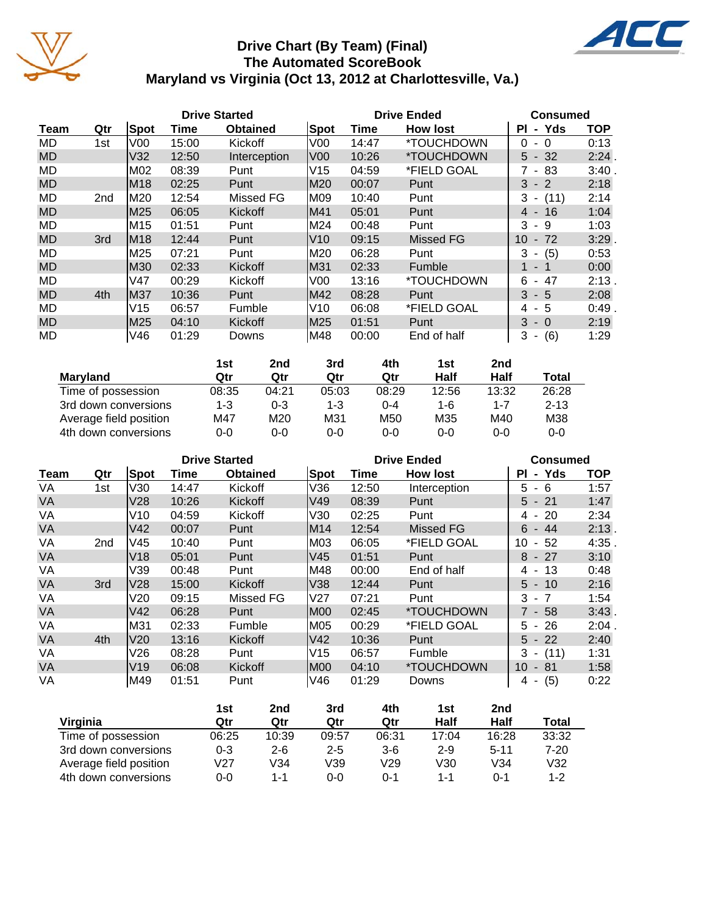

# **Drive Chart (By Team) (Final) The Automated ScoreBook Maryland vs Virginia (Oct 13, 2012 at Charlottesville, Va.)**



|           | <b>Drive Started</b> |                 |       |                 |                 | <b>Drive Ended</b> | Consumed                 |                                      |            |
|-----------|----------------------|-----------------|-------|-----------------|-----------------|--------------------|--------------------------|--------------------------------------|------------|
| Team      | Qtr                  | Spot            | Time  | <b>Obtained</b> | <b>Spot</b>     | Time               | <b>How lost</b>          | Yds<br>ΡI<br>$\sim$                  | <b>TOP</b> |
| MD        | 1st                  | V00             | 15:00 | Kickoff         | V00             | 14:47              | *TOUCHDOWN               | 0<br>0<br>$\overline{\phantom{a}}$   | 0:13       |
| <b>MD</b> |                      | V <sub>32</sub> | 12:50 | Interception    | V <sub>00</sub> | 10:26              | *TOUCHDOWN               | $5 - 32$                             | 2:24.      |
| MD        |                      | M02             | 08:39 | Punt            | V15             | 04:59              | *FIELD GOAL              | 83<br>$\sim$                         | 3:40       |
| <b>MD</b> |                      | M18             | 02:25 | Punt            | M20             | 00:07              | Punt                     | 3<br>$-2$                            | 2:18       |
| MD        | 2 <sub>nd</sub>      | M20             | 12:54 | Missed FG       | M09             | 10:40              | Punt                     | 3<br>(11)<br>$\blacksquare$          | 2:14       |
| <b>MD</b> |                      | M25             | 06:05 | Kickoff         | M41             | 05:01              | Punt                     | 4 -<br>16                            | 1:04       |
| <b>MD</b> |                      | M <sub>15</sub> | 01:51 | Punt            | M24             | 00:48              | Punt                     | 3<br>9<br>$\blacksquare$             | 1:03       |
| <b>MD</b> | 3rd                  | <b>M18</b>      | 12:44 | Punt            | V10             | 09:15              | Missed FG                | 10<br>72<br>$\overline{\phantom{a}}$ | $3:29$ .   |
| MD        |                      | M25             | 07:21 | Punt            | M20             | 06:28              | Punt                     | 3<br>(5)<br>$\overline{\phantom{a}}$ | 0:53       |
| <b>MD</b> |                      | M30             | 02:33 | Kickoff         | M31             | 02:33              | Fumble                   | $1 -$<br>$\overline{1}$              | 0:00       |
| MD        |                      | V47             | 00:29 | Kickoff         | V00             | 13:16              | <i><b>*TOUCHDOWN</b></i> | 47<br>6<br>$\blacksquare$            | $2:13$ .   |
| <b>MD</b> | 4th                  | M37             | 10:36 | Punt            | M42             | 08:28              | Punt                     | 3<br>$-5$                            | 2:08       |
| MD        |                      | V15             | 06:57 | Fumble          | V10             | 06:08              | *FIELD GOAL              | - 5<br>4                             | 0:49       |
| <b>MD</b> |                      | M25             | 04:10 | Kickoff         | M25             | 01:51              | Punt                     | 3<br>$-0$                            | 2:19       |
| MD        |                      | V46             | 01:29 | Downs           | M48             | 00:00              | End of half              | 3<br>(6)<br>$\blacksquare$           | 1:29       |

|                        | 1st     | 2nd     | 3rd     | 4th     | 1st     | 2nd     |          |
|------------------------|---------|---------|---------|---------|---------|---------|----------|
| <b>Marvland</b>        | Qtr     | Qtr     | Qtr     | Qtr     | Half    | Half    | Total    |
| Time of possession     | 08:35   | 04:21   | 05:03   | 08:29   | 12:56   | 13:32   | 26:28    |
| 3rd down conversions   | $1 - 3$ | $0 - 3$ | $1 - 3$ | 0-4     | 1-6     | $1 - 7$ | $2 - 13$ |
| Average field position | M47     | M20     | M31     | M50     | M35     | M40     | M38      |
| 4th down conversions   | 0-0     | $0 - 0$ | 0-0     | $0 - 0$ | $0 - 0$ | $0 - 0$ | $0 - 0$  |

|           |                 |                 | <b>Drive Started</b> |                 |      |       | <b>Drive Ended</b>       | <b>Consumed</b>            |            |
|-----------|-----------------|-----------------|----------------------|-----------------|------|-------|--------------------------|----------------------------|------------|
| Team      | Qtr             | Spot            | Time                 | <b>Obtained</b> | Spot | Time  | <b>How lost</b>          | - Yds<br>ΡI                | <b>TOP</b> |
| VA        | 1st             | V30             | 14:47                | Kickoff         | V36  | 12:50 | Interception             | 5<br>6                     | 1:57       |
| <b>VA</b> |                 | V28             | 10:26                | Kickoff         | V49  | 08:39 | Punt                     | $5 - 21$                   | 1:47       |
| VA        |                 | V10             | 04:59                | Kickoff         | V30  | 02:25 | Punt                     | $4 - 20$                   | 2:34       |
| <b>VA</b> |                 | V42             | 00:07                | Punt            | M14  | 12:54 | <b>Missed FG</b>         | 6<br>- 44                  | 2:13       |
| VA        | 2 <sub>nd</sub> | V45             | 10:40                | Punt            | M03  | 06:05 | *FIELD GOAL              | 10<br>-52<br>$\sim$        | 4:35       |
| <b>VA</b> |                 | V18             | 05:01                | Punt            | lV45 | 01:51 | Punt                     | $8 - 27$                   | 3:10       |
| VA        |                 | V39             | 00:48                | Punt            | M48  | 00:00 | End of half              | 13<br>4 -                  | 0:48       |
| VA        | 3rd             | V28             | 15:00                | Kickoff         | V38  | 12:44 | Punt                     | $5 - 10$                   | 2:16       |
| VA        |                 | V20             | 09:15                | Missed FG       | IV27 | 07:21 | Punt                     | $3 - 7$                    | 1:54       |
| <b>VA</b> |                 | V42             | 06:28                | Punt            | M00  | 02:45 | <i><b>*TOUCHDOWN</b></i> | $7 - 58$                   | 3:43       |
| VA        |                 | M31             | 02:33                | Fumble          | M05  | 00:29 | *FIELD GOAL              | 5 -<br>-26                 | 2:04.      |
| VA        | 4th             | V <sub>20</sub> | 13:16                | Kickoff         | V42  | 10:36 | Punt                     | $5 - 22$                   | 2:40       |
| VA        |                 | V26             | 08:28                | Punt            | V15  | 06:57 | Fumble                   | $3 - (11)$                 | 1:31       |
| <b>VA</b> |                 | V19             | 06:08                | Kickoff         | IM00 | 04:10 | *TOUCHDOWN               | 10<br>- 81                 | 1:58       |
| VA        |                 | M49             | 01:51                | Punt            | V46  | 01:29 | Downs                    | (5)<br>4<br>$\blacksquare$ | 0:22       |

|                        | 1st     | 2nd     | 3rd     | 4th     | 1st     | 2nd      |       |
|------------------------|---------|---------|---------|---------|---------|----------|-------|
| Virginia               | Qtr     | Qtr     | Qtr     | Qtr     | Half    | Half     | Total |
| Time of possession     | 06:25   | 10:39   | 09:57   | 06:31   | 17:04   | 16:28    | 33:32 |
| 3rd down conversions   | $0 - 3$ | $2 - 6$ | $2 - 5$ | $3-6$   | $2 - 9$ | $5 - 11$ | 7-20  |
| Average field position | V27     | V34     | V39     | V29     | V30     | V34      | V32   |
| 4th down conversions   | $0 - 0$ | $1 - 1$ | $0 - 0$ | $0 - 1$ | $1 - 1$ | ი-1      | 1-2   |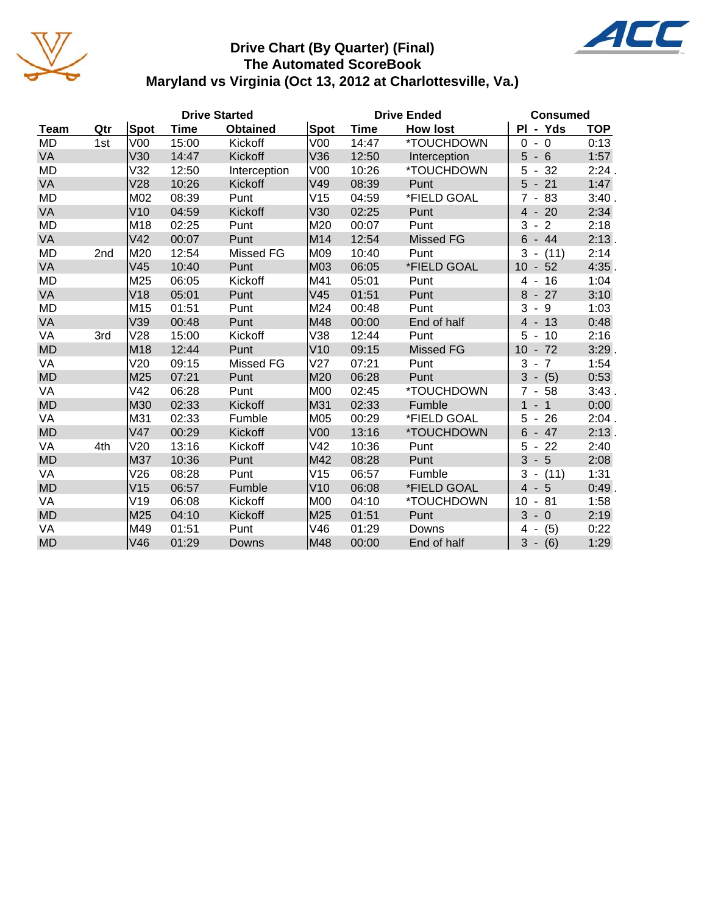

# **Drive Chart (By Quarter) (Final) The Automated ScoreBook Maryland vs Virginia (Oct 13, 2012 at Charlottesville, Va.)**



| <b>Drive Started</b> |     |                 |       |                  |                 | <b>Drive Ended</b> | <b>Consumed</b>  |                                                            |            |
|----------------------|-----|-----------------|-------|------------------|-----------------|--------------------|------------------|------------------------------------------------------------|------------|
| <b>Team</b>          | Qtr | Spot            | Time  | <b>Obtained</b>  | <b>Spot</b>     | <b>Time</b>        | <b>How lost</b>  | PI - Yds                                                   | <b>TOP</b> |
| MD                   | 1st | V <sub>00</sub> | 15:00 | Kickoff          | V <sub>00</sub> | 14:47              | *TOUCHDOWN       | $\mathbf 0$<br>$\Omega$<br>$\overline{\phantom{a}}$        | 0:13       |
| VA                   |     | V30             | 14:47 | Kickoff          | V36             | 12:50              | Interception     | 5<br>6<br>$\blacksquare$                                   | 1:57       |
| <b>MD</b>            |     | V32             | 12:50 | Interception     | V00             | 10:26              | *TOUCHDOWN       | 32<br>5<br>$\blacksquare$                                  | 2:24.      |
| VA                   |     | V28             | 10:26 | Kickoff          | V49             | 08:39              | Punt             | 5<br>21<br>$\overline{\phantom{a}}$                        | 1:47       |
| MD                   |     | M02             | 08:39 | Punt             | V15             | 04:59              | *FIELD GOAL      | $7 - 83$                                                   | 3:40.      |
| VA                   |     | V10             | 04:59 | Kickoff          | V30             | 02:25              | Punt             | $4 - 20$                                                   | 2:34       |
| MD                   |     | M18             | 02:25 | Punt             | M20             | 00:07              | Punt             | 3<br>$\overline{2}$<br>$\blacksquare$                      | 2:18       |
| VA                   |     | V <sub>42</sub> | 00:07 | Punt             | M14             | 12:54              | <b>Missed FG</b> | $6 - 44$                                                   | 2:13.      |
| <b>MD</b>            | 2nd | M20             | 12:54 | <b>Missed FG</b> | M09             | 10:40              | Punt             | 3<br>(11)<br>$\sim$                                        | 2:14       |
| VA                   |     | V45             | 10:40 | Punt             | M03             | 06:05              | *FIELD GOAL      | 10 <sup>1</sup><br>52<br>$\blacksquare$                    | 4:35       |
| MD                   |     | M25             | 06:05 | Kickoff          | M41             | 05:01              | Punt             | 16<br>4<br>$\blacksquare$                                  | 1:04       |
| VA                   |     | V <sub>18</sub> | 05:01 | Punt             | V45             | 01:51              | Punt             | $-27$<br>8                                                 | 3:10       |
| MD                   |     | M15             | 01:51 | Punt             | M24             | 00:48              | Punt             | 3<br>9<br>$\blacksquare$                                   | 1:03       |
| VA                   |     | V39             | 00:48 | Punt             | M48             | 00:00              | End of half      | $\overline{4}$<br>$-13$                                    | 0:48       |
| VA                   | 3rd | V28             | 15:00 | Kickoff          | V38             | 12:44              | Punt             | 5<br>10<br>$\overline{\phantom{a}}$                        | 2:16       |
| <b>MD</b>            |     | M <sub>18</sub> | 12:44 | Punt             | V10             | 09:15              | <b>Missed FG</b> | 10 <sup>°</sup><br>$-72$                                   | $3:29$ .   |
| VA                   |     | V20             | 09:15 | Missed FG        | V27             | 07:21              | Punt             | 3<br>$\overline{7}$<br>$\blacksquare$                      | 1:54       |
| <b>MD</b>            |     | M25             | 07:21 | Punt             | M20             | 06:28              | Punt             | 3<br>(5)<br>$\overline{\phantom{a}}$                       | 0:53       |
| VA                   |     | V42             | 06:28 | Punt             | <b>M00</b>      | 02:45              | *TOUCHDOWN       | $\overline{7}$<br>58<br>$\blacksquare$                     | 3:43.      |
| <b>MD</b>            |     | M30             | 02:33 | Kickoff          | M31             | 02:33              | Fumble           | $\mathbf{1}$<br>$\overline{1}$<br>$\overline{\phantom{a}}$ | 0:00       |
| VA                   |     | M31             | 02:33 | Fumble           | M05             | 00:29              | *FIELD GOAL      | 5<br>26<br>$\overline{\phantom{a}}$                        | 2:04.      |
| <b>MD</b>            |     | V47             | 00:29 | Kickoff          | V <sub>00</sub> | 13:16              | *TOUCHDOWN       | 6<br>$-47$                                                 | $2:13$ .   |
| VA                   | 4th | V20             | 13:16 | Kickoff          | V42             | 10:36              | Punt             | 5<br>$-22$                                                 | 2:40       |
| <b>MD</b>            |     | M37             | 10:36 | Punt             | M42             | 08:28              | Punt             | 3<br>$-5$                                                  | 2:08       |
| VA                   |     | V26             | 08:28 | Punt             | V15             | 06:57              | Fumble           | 3<br>(11)<br>$\overline{\phantom{a}}$                      | 1:31       |
| <b>MD</b>            |     | V15             | 06:57 | Fumble           | V10             | 06:08              | *FIELD GOAL      | $\overline{4}$<br>5<br>$\overline{\phantom{a}}$            | 0:49.      |
| VA                   |     | V19             | 06:08 | Kickoff          | <b>M00</b>      | 04:10              | *TOUCHDOWN       | 10<br>81<br>$\blacksquare$                                 | 1:58       |
| <b>MD</b>            |     | M25             | 04:10 | Kickoff          | M25             | 01:51              | Punt             | 3<br>$-0$                                                  | 2:19       |
| VA                   |     | M49             | 01:51 | Punt             | V46             | 01:29              | Downs            | (5)<br>4<br>$\blacksquare$                                 | 0:22       |
| <b>MD</b>            |     | V46             | 01:29 | <b>Downs</b>     | M48             | 00:00              | End of half      | $3 -$<br>(6)                                               | 1:29       |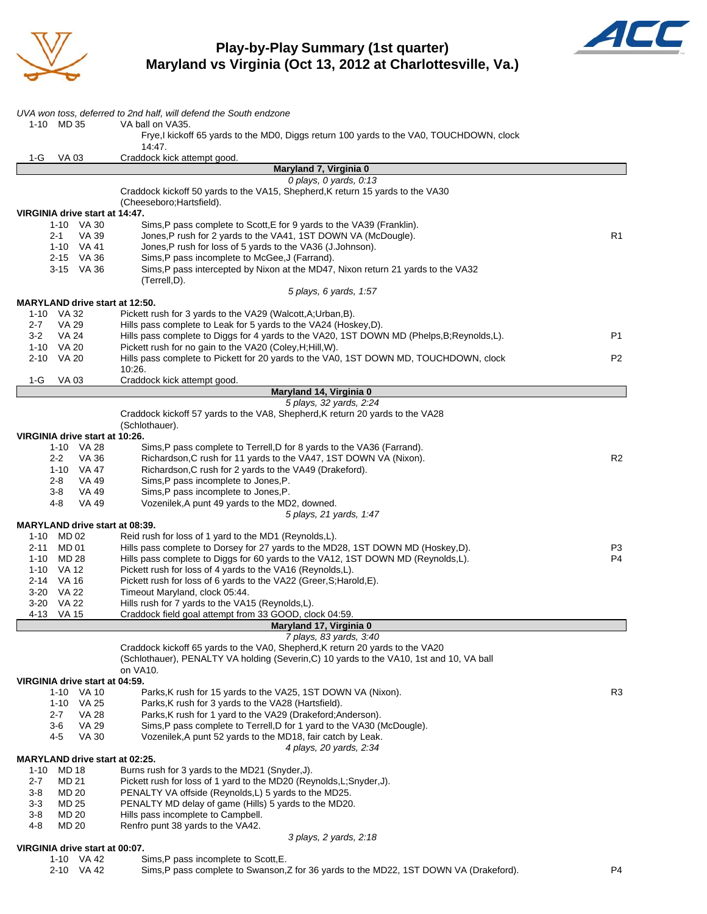

## **Play-by-Play Summary (1st quarter) Maryland vs Virginia (Oct 13, 2012 at Charlottesville, Va.)**



| 1-10 MD 35                                   | UVA won toss, deferred to 2nd half, will defend the South endzone<br>VA ball on VA35.                                              |                |
|----------------------------------------------|------------------------------------------------------------------------------------------------------------------------------------|----------------|
|                                              | Frye,I kickoff 65 yards to the MD0, Diggs return 100 yards to the VA0, TOUCHDOWN, clock                                            |                |
|                                              | 14:47.                                                                                                                             |                |
| 1-G<br><b>VA03</b>                           | Craddock kick attempt good.<br>Maryland 7, Virginia 0                                                                              |                |
|                                              | 0 plays, $0$ yards, $0:13$                                                                                                         |                |
|                                              | Craddock kickoff 50 yards to the VA15, Shepherd, K return 15 yards to the VA30                                                     |                |
|                                              | (Cheeseboro; Hartsfield).                                                                                                          |                |
| VIRGINIA drive start at 14:47.<br>1-10 VA 30 | Sims, P pass complete to Scott, E for 9 yards to the VA39 (Franklin).                                                              |                |
| $2 - 1$<br>VA 39                             | Jones, P rush for 2 yards to the VA41, 1ST DOWN VA (McDougle).                                                                     | R <sub>1</sub> |
| 1-10 VA 41                                   | Jones, P rush for loss of 5 yards to the VA36 (J.Johnson).                                                                         |                |
| 2-15 VA 36<br>3-15 VA 36                     | Sims, P pass incomplete to McGee, J (Farrand).<br>Sims, P pass intercepted by Nixon at the MD47, Nixon return 21 yards to the VA32 |                |
|                                              | (Terrell,D).                                                                                                                       |                |
|                                              | 5 plays, 6 yards, 1:57                                                                                                             |                |
| <b>MARYLAND drive start at 12:50.</b>        |                                                                                                                                    |                |
| 1-10 VA 32<br>$2 - 7$<br>VA 29               | Pickett rush for 3 yards to the VA29 (Walcott, A; Urban, B).<br>Hills pass complete to Leak for 5 yards to the VA24 (Hoskey, D).   |                |
| $3-2$<br>VA 24                               | Hills pass complete to Diggs for 4 yards to the VA20, 1ST DOWN MD (Phelps, B; Reynolds, L).                                        | P1             |
| 1-10 VA 20                                   | Pickett rush for no gain to the VA20 (Coley, H; Hill, W).                                                                          |                |
| 2-10 VA 20                                   | Hills pass complete to Pickett for 20 yards to the VA0, 1ST DOWN MD, TOUCHDOWN, clock                                              | P <sub>2</sub> |
| 1-G<br>VA 03                                 | 10:26.<br>Craddock kick attempt good.                                                                                              |                |
|                                              | Maryland 14, Virginia 0                                                                                                            |                |
|                                              | 5 plays, 32 yards, 2:24                                                                                                            |                |
|                                              | Craddock kickoff 57 yards to the VA8, Shepherd, K return 20 yards to the VA28<br>(Schlothauer).                                    |                |
| VIRGINIA drive start at 10:26.               |                                                                                                                                    |                |
| 1-10 VA 28                                   | Sims, P pass complete to Terrell, D for 8 yards to the VA36 (Farrand).                                                             |                |
| VA 36<br>$2 - 2$                             | Richardson, C rush for 11 yards to the VA47, 1ST DOWN VA (Nixon).                                                                  | R <sub>2</sub> |
| 1-10 VA 47<br>VA 49<br>2-8                   | Richardson, C rush for 2 yards to the VA49 (Drakeford).<br>Sims, P pass incomplete to Jones, P.                                    |                |
| 3-8<br>VA 49                                 | Sims, P pass incomplete to Jones, P.                                                                                               |                |
| 4-8<br>VA 49                                 | Vozenilek, A punt 49 yards to the MD2, downed.                                                                                     |                |
|                                              | 5 plays, 21 yards, 1:47                                                                                                            |                |
| MARYLAND drive start at 08:39.<br>1-10 MD 02 | Reid rush for loss of 1 yard to the MD1 (Reynolds,L).                                                                              |                |
| MD 01<br>2-11                                | Hills pass complete to Dorsey for 27 yards to the MD28, 1ST DOWN MD (Hoskey,D).                                                    | P3             |
| MD 28<br>1-10                                | Hills pass complete to Diggs for 60 yards to the VA12, 1ST DOWN MD (Reynolds,L).                                                   | P <sub>4</sub> |
| 1-10 VA 12                                   | Pickett rush for loss of 4 yards to the VA16 (Reynolds,L).                                                                         |                |
| 2-14 VA 16<br>3-20 VA 22                     | Pickett rush for loss of 6 yards to the VA22 (Greer, S; Harold, E).<br>Timeout Maryland, clock 05:44.                              |                |
| 3-20 VA 22                                   | Hills rush for 7 yards to the VA15 (Reynolds, L).                                                                                  |                |
| 4-13<br>VA 15                                | Craddock field goal attempt from 33 GOOD, clock 04:59.                                                                             |                |
|                                              | Maryland 17, Virginia 0<br>7 plays, 83 yards, 3:40                                                                                 |                |
|                                              | Craddock kickoff 65 yards to the VA0, Shepherd, K return 20 yards to the VA20                                                      |                |
|                                              | (Schlothauer), PENALTY VA holding (Severin, C) 10 yards to the VA10, 1st and 10, VA ball                                           |                |
|                                              | on VA10.                                                                                                                           |                |
| VIRGINIA drive start at 04:59.<br>1-10 VA 10 | Parks, K rush for 15 yards to the VA25, 1ST DOWN VA (Nixon).                                                                       | R <sub>3</sub> |
| 1-10 VA 25                                   | Parks, K rush for 3 yards to the VA28 (Hartsfield).                                                                                |                |
| <b>VA 28</b><br>$2 - 7$                      | Parks, K rush for 1 yard to the VA29 (Drakeford; Anderson).                                                                        |                |
| 3-6<br>VA 29                                 | Sims, P pass complete to Terrell, D for 1 yard to the VA30 (McDougle).                                                             |                |
| <b>VA 30</b><br>4-5                          | Vozenilek, A punt 52 yards to the MD18, fair catch by Leak.<br>4 plays, 20 yards, 2:34                                             |                |
| <b>MARYLAND drive start at 02:25.</b>        |                                                                                                                                    |                |
| <b>MD 18</b><br>$1 - 10$                     | Burns rush for 3 yards to the MD21 (Snyder, J).                                                                                    |                |
| 2-7<br>MD 21<br><b>MD 20</b>                 | Pickett rush for loss of 1 yard to the MD20 (Reynolds, L; Snyder, J).                                                              |                |
| 3-8<br>$3 - 3$<br>MD 25                      | PENALTY VA offside (Reynolds,L) 5 yards to the MD25.<br>PENALTY MD delay of game (Hills) 5 yards to the MD20.                      |                |
| <b>MD 20</b><br>3-8                          | Hills pass incomplete to Campbell.                                                                                                 |                |
| $4 - 8$<br><b>MD 20</b>                      | Renfro punt 38 yards to the VA42.                                                                                                  |                |
| VIRGINIA drive start at 00:07.               | 3 plays, 2 yards, 2:18                                                                                                             |                |
| 1-10 VA 42                                   | Sims, P pass incomplete to Scott, E.                                                                                               |                |

2-10 VA 42 Sims,P pass complete to Swanson,Z for 36 yards to the MD22, 1ST DOWN VA (Drakeford). P4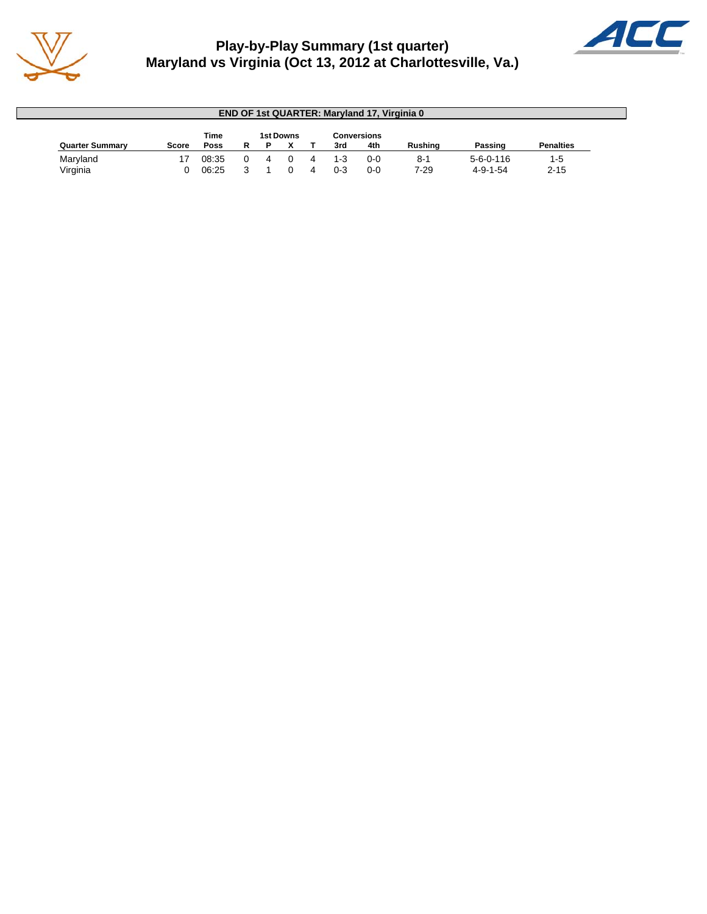

# **Play-by-Play Summary (1st quarter) Maryland vs Virginia (Oct 13, 2012 at Charlottesville, Va.)**



| <b>END OF 1st QUARTER: Maryland 17, Virginia 0</b> |       |       |  |  |                  |   |         |             |                |                  |                  |
|----------------------------------------------------|-------|-------|--|--|------------------|---|---------|-------------|----------------|------------------|------------------|
|                                                    |       | Time  |  |  | <b>1st Downs</b> |   |         | Conversions |                |                  |                  |
| <b>Quarter Summary</b>                             | Score | Poss  |  |  |                  |   | 3rd     | 4th         | <b>Rushing</b> | Passing          | <b>Penalties</b> |
| Maryland                                           |       | 08:35 |  |  |                  |   | $1 - 3$ | $0 - 0$     | $8-1$          | $5-6-0-116$      | 1-5              |
| Virginia                                           |       | 06:25 |  |  |                  | Δ | $0 - 3$ | $0 - 0$     | 7-29           | $4 - 9 - 1 - 54$ | $2 - 15$         |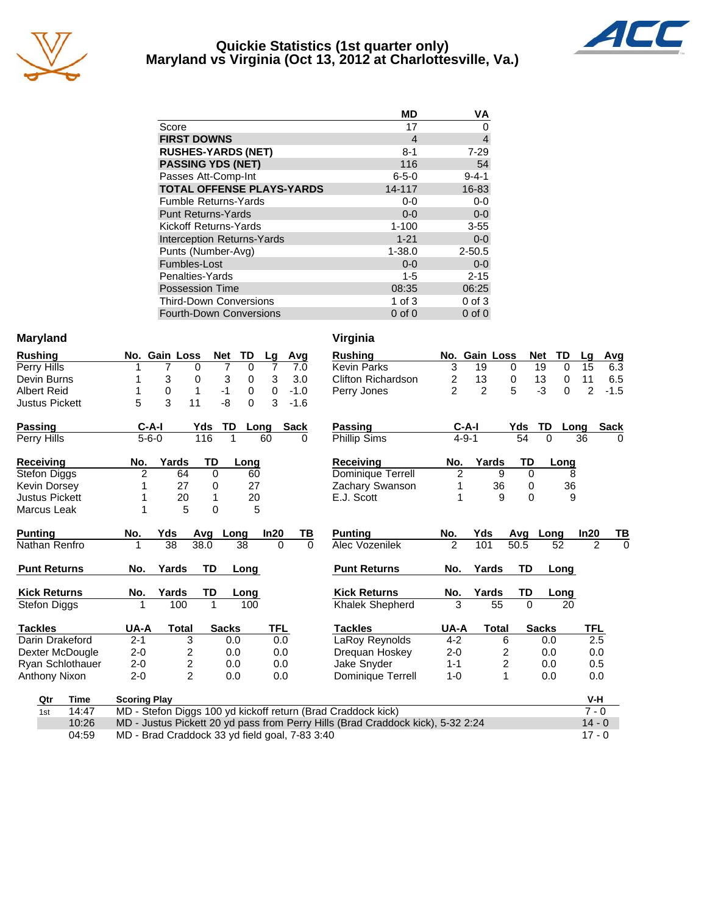

## **Quickie Statistics (1st quarter only) Maryland vs Virginia (Oct 13, 2012 at Charlottesville, Va.)**



|                                   | <b>MD</b>      | VA             |
|-----------------------------------|----------------|----------------|
| Score                             | 17             | 0              |
| <b>FIRST DOWNS</b>                | $\overline{4}$ | $\overline{4}$ |
| <b>RUSHES-YARDS (NET)</b>         | $8 - 1$        | $7 - 29$       |
| <b>PASSING YDS (NET)</b>          | 116            | 54             |
| Passes Att-Comp-Int               | $6 - 5 - 0$    | $9 - 4 - 1$    |
| <b>TOTAL OFFENSE PLAYS-YARDS</b>  | 14-117         | 16-83          |
| <b>Fumble Returns-Yards</b>       | $0-0$          | $0 - 0$        |
| <b>Punt Returns-Yards</b>         | $0 - 0$        | $0-0$          |
| Kickoff Returns-Yards             | $1 - 100$      | $3 - 55$       |
| <b>Interception Returns-Yards</b> | $1 - 21$       | $0 - 0$        |
| Punts (Number-Avg)                | $1 - 38.0$     | $2 - 50.5$     |
| Fumbles-Lost                      | $0 - 0$        | $0 - 0$        |
| Penalties-Yards                   | $1 - 5$        | $2 - 15$       |
| <b>Possession Time</b>            | 08:35          | 06:25          |
| <b>Third-Down Conversions</b>     | 1 of $3$       | $0$ of $3$     |
| <b>Fourth-Down Conversions</b>    | $0$ of $0$     | $0$ of $0$     |

## **Maryland**

| <b>Rushing</b>        |                     | No. Gain Loss    |           | TD<br><b>Net</b>  | Lg             | Avg         | <b>Rushing</b>                                               |                | No. Gain Loss |              | <b>Net</b>   | TD                | Lg             |
|-----------------------|---------------------|------------------|-----------|-------------------|----------------|-------------|--------------------------------------------------------------|----------------|---------------|--------------|--------------|-------------------|----------------|
| Perry Hills           |                     |                  | 0         | 7<br>$\mathbf{0}$ | $\overline{7}$ | 7.0         | <b>Kevin Parks</b>                                           | 3              | 19            | 0            | 19           | 0                 | 15             |
| Devin Burns           |                     | 3                | $\Omega$  | 3<br>0            | 3              | 3.0         | Clifton Richardson                                           | $\overline{c}$ | 13            | 0            | 13           | 0                 | 11             |
| <b>Albert Reid</b>    |                     | $\boldsymbol{0}$ | 1         | $-1$<br>0         | 0              | $-1.0$      | Perry Jones                                                  | $\overline{2}$ | 2             | 5            | $-3$         | 0                 | 2              |
| <b>Justus Pickett</b> | 5                   | 3                | 11        | $-8$<br>$\Omega$  | 3              | $-1.6$      |                                                              |                |               |              |              |                   |                |
| <b>Passing</b>        | $C-A-I$             |                  | Yds       | <b>TD</b>         | Long           | <b>Sack</b> | <b>Passing</b>                                               |                | $C-A-I$       |              | Yds          | <b>TD</b><br>Long |                |
| Perry Hills           | $5 - 6 - 0$         |                  | 116       |                   | 60             | $\Omega$    | <b>Phillip Sims</b>                                          |                | $4 - 9 - 1$   |              | 54           | $\Omega$          | 36             |
| <b>Receiving</b>      | No.                 | Yards            | TD        | Long              |                |             | <b>Receiving</b>                                             | No.            |               | Yards        | TD           | Long              |                |
| Stefon Diggs          | 2                   | 64               | $\Omega$  | 60                |                |             | Dominique Terrell                                            | $\overline{2}$ |               | 9            | $\Omega$     | 8                 |                |
| Kevin Dorsey          |                     | 27               | 0         | 27                |                |             | Zachary Swanson                                              | 1              |               | 36           | 0            | 36                |                |
| <b>Justus Pickett</b> |                     | 20               |           | 20                |                |             | E.J. Scott                                                   | 1              |               | 9            | 0            | 9                 |                |
| Marcus Leak           |                     | 5                | $\Omega$  | 5                 |                |             |                                                              |                |               |              |              |                   |                |
| <b>Punting</b>        | No.                 | Yds              | Avq       | Long              | In20           | ΤВ          | <b>Punting</b>                                               | No.            | Yds           |              | Avg          | Long              | ln20           |
| Nathan Renfro         |                     | 38               | 38.0      | 38                | $\Omega$       | $\Omega$    | Alec Vozenilek                                               | $\mathfrak{p}$ | 101           |              | 50.5         | 52                | $\overline{2}$ |
| <b>Punt Returns</b>   | No.                 | Yards            | <b>TD</b> | Long              |                |             | <b>Punt Returns</b>                                          | No.            | Yards         |              | TD           | Long              |                |
| <b>Kick Returns</b>   | No.                 | Yards            | <b>TD</b> | Long              |                |             | <b>Kick Returns</b>                                          | No.            |               | Yards        | <b>TD</b>    | Long              |                |
| Stefon Diggs          | 1                   | 100              | 1         | 100               |                |             | Khalek Shepherd                                              | 3              |               | 55           | $\Omega$     | 20                |                |
| <b>Tackles</b>        | UA-A                | <b>Total</b>     |           | <b>Sacks</b>      | <b>TFL</b>     |             | <b>Tackles</b>                                               | UA-A           |               | <b>Total</b> | <b>Sacks</b> |                   | <b>TFL</b>     |
| Darin Drakeford       | $2 - 1$             | 3                |           | 0.0               | 0.0            |             | LaRoy Reynolds                                               | $4 - 2$        |               | 6            |              | 0.0               | 2.5            |
| Dexter McDougle       | $2 - 0$             | 2                |           | 0.0               | 0.0            |             | Dreguan Hoskey                                               | $2 - 0$        |               | 2            |              | 0.0               | 0.0            |
| Ryan Schlothauer      | $2 - 0$             |                  |           | 0.0               | 0.0            |             | Jake Snyder                                                  | $1 - 1$        |               | 2            |              | 0.0               | 0.5            |
| Anthony Nixon         | $2 - 0$             | $\frac{2}{2}$    |           | 0.0               | 0.0            |             | Dominique Terrell                                            | $1 - 0$        |               | 1            |              | 0.0               | 0.0            |
| <b>Time</b><br>Qtr    | <b>Scoring Play</b> |                  |           |                   |                |             |                                                              |                |               |              |              |                   | $V-H$          |
| 14:47<br>1st          |                     |                  |           |                   |                |             | MD - Stefon Diggs 100 vd kickoff return (Brad Craddock kick) |                |               |              |              |                   | $7 - ($        |

| Virginia                  |                |                  |                |              |      |               |             |
|---------------------------|----------------|------------------|----------------|--------------|------|---------------|-------------|
| Rushing                   | No.            | <b>Gain Loss</b> |                | Net          | TD   | Lg            | Avg         |
| <b>Kevin Parks</b>        | 3              | 19               | 0              | 19           | 0    | 15            | 6.3         |
| <b>Clifton Richardson</b> | 2              | 13               | 0              | 13           | 0    | 11            | 6.5         |
| Perry Jones               | $\overline{2}$ | $\overline{2}$   | 5              | -3           | 0    | $\mathcal{P}$ | $-1.5$      |
|                           |                |                  |                |              |      |               |             |
| <b>Passing</b>            | C-A-I          |                  | Yds            | TD           | Long |               | <b>Sack</b> |
| <b>Phillip Sims</b>       | $4 - 9 - 1$    |                  | 54             | 0            |      | 36            | 0           |
| Receiving                 | No.            | Yards            | TD             |              | Long |               |             |
| Dominique Terrell         | $\overline{2}$ | 9                | 0              |              | 8    |               |             |
| Zachary Swanson           | 1              | 36               | 0              |              | 36   |               |             |
| E.J. Scott                | 1              | 9                | 0              |              | 9    |               |             |
|                           |                |                  |                |              |      |               |             |
| <b>Punting</b>            | No.            | Yds              | Avg            | Long         |      | In20          | ΤВ          |
| Alec Vozenilek            | $\mathfrak{p}$ | 101              | 50.5           |              | 52   | 2             | 0           |
| <b>Punt Returns</b>       | No.            | Yards            | TD             |              | Long |               |             |
| <b>Kick Returns</b>       | No.            | Yards            | TD             |              | Long |               |             |
| Khalek Shepherd           | 3              | 55               | 0              |              | 20   |               |             |
| <b>Tackles</b>            | UA-A           | <b>Total</b>     |                | <b>Sacks</b> |      | <b>TFL</b>    |             |
| LaRoy Reynolds            | $4-2$          |                  | 6              | 0.0          |      | 2.5           |             |
| Drequan Hoskey            | $2 - 0$        |                  | 2              | 0.0          |      | 0.0           |             |
| Jake Snyder               | $1 - 1$        |                  | $\overline{c}$ | 0.0          |      | 0.5           |             |
| Dominique Terrell         | $1 - 0$        |                  | 1              | 0.0          |      | 0.0           |             |

| Qtr | Time  | <b>Scoring Play</b>                                                             | V-H      |
|-----|-------|---------------------------------------------------------------------------------|----------|
| 1st | 14:47 | MD - Stefon Diggs 100 yd kickoff return (Brad Craddock kick)                    | 7 - 0    |
|     | 10:26 | MD - Justus Pickett 20 yd pass from Perry Hills (Brad Craddock kick), 5-32 2:24 | $14 - 0$ |
|     | 04:59 | MD - Brad Craddock 33 yd field goal, 7-83 3:40                                  | 17 - N   |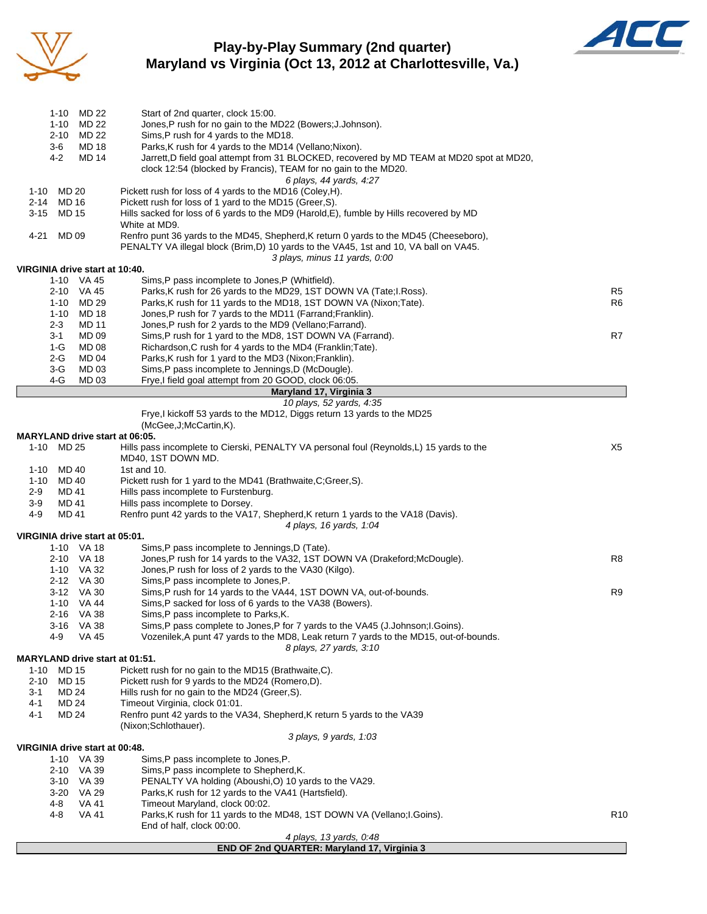

## **Play-by-Play Summary (2nd quarter) Maryland vs Virginia (Oct 13, 2012 at Charlottesville, Va.)**



| MD 22<br>1-10                                | Start of 2nd quarter, clock 15:00.                                                                                                                  |                 |
|----------------------------------------------|-----------------------------------------------------------------------------------------------------------------------------------------------------|-----------------|
| MD 22<br>1-10                                | Jones, P rush for no gain to the MD22 (Bowers; J.Johnson).                                                                                          |                 |
| $2 - 10$<br>MD 22<br>3-6<br>MD 18            | Sims, P rush for 4 yards to the MD18.<br>Parks, K rush for 4 yards to the MD14 (Vellano; Nixon).                                                    |                 |
| 4-2<br><b>MD 14</b>                          | Jarrett,D field goal attempt from 31 BLOCKED, recovered by MD TEAM at MD20 spot at MD20,                                                            |                 |
|                                              | clock 12:54 (blocked by Francis), TEAM for no gain to the MD20.                                                                                     |                 |
|                                              | 6 plays, 44 yards, 4.27                                                                                                                             |                 |
| MD 20<br>1-10                                | Pickett rush for loss of 4 yards to the MD16 (Coley, H).                                                                                            |                 |
| 2-14<br>MD 16<br><b>MD 15</b><br>3-15        | Pickett rush for loss of 1 yard to the MD15 (Greer, S).<br>Hills sacked for loss of 6 yards to the MD9 (Harold, E), fumble by Hills recovered by MD |                 |
|                                              | White at MD9.                                                                                                                                       |                 |
| MD 09<br>4-21                                | Renfro punt 36 yards to the MD45, Shepherd, K return 0 yards to the MD45 (Cheeseboro),                                                              |                 |
|                                              | PENALTY VA illegal block (Brim, D) 10 yards to the VA45, 1st and 10, VA ball on VA45.                                                               |                 |
|                                              | 3 plays, minus 11 yards, 0:00                                                                                                                       |                 |
| VIRGINIA drive start at 10:40.<br>1-10 VA 45 | Sims, P pass incomplete to Jones, P (Whitfield).                                                                                                    |                 |
| 2-10<br>VA 45                                | Parks, K rush for 26 yards to the MD29, 1ST DOWN VA (Tate; I. Ross).                                                                                | R <sub>5</sub>  |
| $1 - 10$<br>MD 29                            | Parks, K rush for 11 yards to the MD18, 1ST DOWN VA (Nixon; Tate).                                                                                  | R6              |
| $1 - 10$<br><b>MD 18</b>                     | Jones, P rush for 7 yards to the MD11 (Farrand; Franklin).                                                                                          |                 |
| $2 - 3$<br><b>MD 11</b>                      | Jones, P rush for 2 yards to the MD9 (Vellano; Farrand).                                                                                            |                 |
| MD 09<br>3-1<br>$1-G$<br><b>MD 08</b>        | Sims, P rush for 1 yard to the MD8, 1ST DOWN VA (Farrand).<br>Richardson, C rush for 4 yards to the MD4 (Franklin; Tate).                           | R7              |
| $2-G$<br>MD 04                               | Parks, K rush for 1 yard to the MD3 (Nixon; Franklin).                                                                                              |                 |
| $3-G$<br>MD 03                               | Sims, P pass incomplete to Jennings, D (McDougle).                                                                                                  |                 |
| 4-G<br>MD 03                                 | Frye,I field goal attempt from 20 GOOD, clock 06:05.                                                                                                |                 |
|                                              | Maryland 17, Virginia 3                                                                                                                             |                 |
|                                              | 10 plays, 52 yards, 4:35<br>Frye, I kickoff 53 yards to the MD12, Diggs return 13 yards to the MD25                                                 |                 |
|                                              | (McGee, J; McCartin, K).                                                                                                                            |                 |
| <b>MARYLAND drive start at 06:05.</b>        |                                                                                                                                                     |                 |
| 1-10 MD 25                                   | Hills pass incomplete to Cierski, PENALTY VA personal foul (Reynolds,L) 15 yards to the                                                             | X5              |
| MD 40<br>1-10                                | MD40, 1ST DOWN MD.<br>1st and 10.                                                                                                                   |                 |
| MD 40<br>1-10                                | Pickett rush for 1 yard to the MD41 (Brathwaite, C; Greer, S).                                                                                      |                 |
| MD 41<br>2-9                                 | Hills pass incomplete to Furstenburg.                                                                                                               |                 |
| MD 41<br>3-9                                 | Hills pass incomplete to Dorsey.                                                                                                                    |                 |
| 4-9<br>MD 41                                 | Renfro punt 42 yards to the VA17, Shepherd, K return 1 yards to the VA18 (Davis).<br>4 plays, 16 yards, 1:04                                        |                 |
| VIRGINIA drive start at 05:01.               |                                                                                                                                                     |                 |
| 1-10 VA 18                                   | Sims, P pass incomplete to Jennings, D (Tate).                                                                                                      |                 |
| 2-10 VA 18                                   | Jones, P rush for 14 yards to the VA32, 1ST DOWN VA (Drakeford; McDougle).                                                                          | R8              |
| 1-10 VA 32                                   | Jones, P rush for loss of 2 yards to the VA30 (Kilgo).                                                                                              |                 |
| 2-12 VA 30<br>3-12 VA 30                     | Sims,P pass incomplete to Jones,P.<br>Sims, P rush for 14 yards to the VA44, 1ST DOWN VA, out-of-bounds.                                            | R9              |
| 1-10 VA 44                                   | Sims, P sacked for loss of 6 yards to the VA38 (Bowers).                                                                                            |                 |
| 2-16 VA 38                                   | Sims, P pass incomplete to Parks, K.                                                                                                                |                 |
| 3-16 VA 38                                   | Sims,P pass complete to Jones,P for 7 yards to the VA45 (J.Johnson;I.Goins).                                                                        |                 |
| 4-9<br><b>VA 45</b>                          | Vozenilek, A punt 47 yards to the MD8, Leak return 7 yards to the MD15, out-of-bounds.                                                              |                 |
| <b>MARYLAND drive start at 01:51.</b>        | 8 plays, 27 yards, 3:10                                                                                                                             |                 |
| MD 15<br>1-10                                | Pickett rush for no gain to the MD15 (Brathwaite,C).                                                                                                |                 |
| MD 15<br>2-10                                | Pickett rush for 9 yards to the MD24 (Romero,D).                                                                                                    |                 |
| MD 24<br>3-1                                 | Hills rush for no gain to the MD24 (Greer, S).                                                                                                      |                 |
| 4-1<br>MD 24                                 | Timeout Virginia, clock 01:01.                                                                                                                      |                 |
| MD 24<br>4-1                                 | Renfro punt 42 yards to the VA34, Shepherd, K return 5 yards to the VA39<br>(Nixon:Schlothauer).                                                    |                 |
|                                              | 3 plays, 9 yards, 1:03                                                                                                                              |                 |
| VIRGINIA drive start at 00:48.               |                                                                                                                                                     |                 |
| 1-10 VA 39                                   | Sims, P pass incomplete to Jones, P.                                                                                                                |                 |
| 2-10 VA 39                                   | Sims, P pass incomplete to Shepherd, K.                                                                                                             |                 |
| 3-10 VA 39<br>3-20 VA 29                     | PENALTY VA holding (Aboushi,O) 10 yards to the VA29.<br>Parks, K rush for 12 yards to the VA41 (Hartsfield).                                        |                 |
| 4-8<br><b>VA 41</b>                          | Timeout Maryland, clock 00:02.                                                                                                                      |                 |
| 4-8<br>VA 41                                 | Parks, K rush for 11 yards to the MD48, 1ST DOWN VA (Vellano; I. Goins).                                                                            | R <sub>10</sub> |
|                                              | End of half, clock 00:00.                                                                                                                           |                 |
|                                              | 4 plays, 13 yards, 0:48                                                                                                                             |                 |
|                                              | END OF 2nd QUARTER: Maryland 17, Virginia 3                                                                                                         |                 |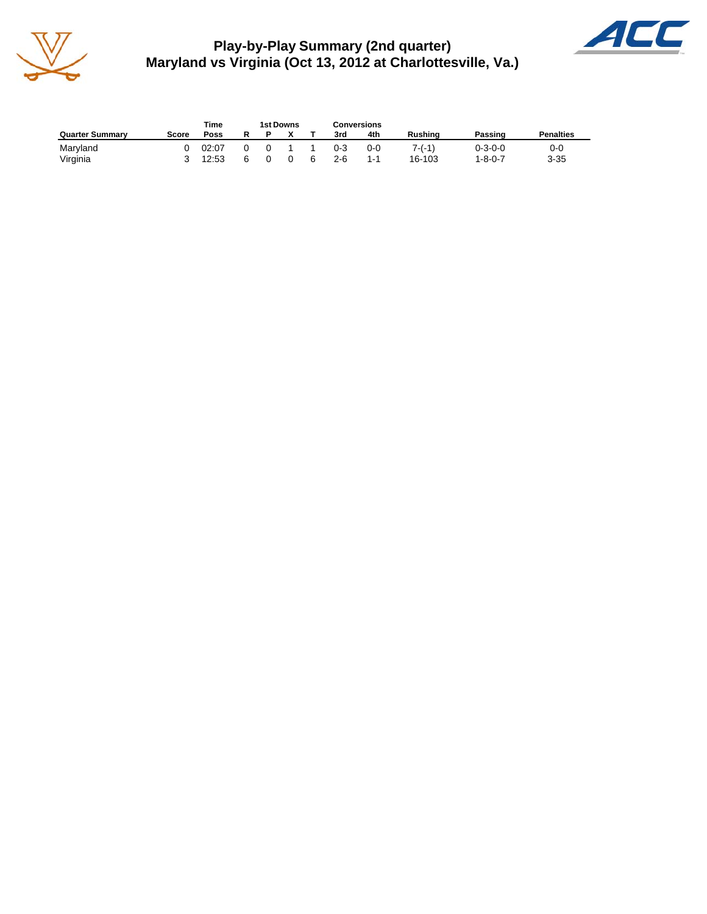

**Play-by-Play Summary (2nd quarter) Maryland vs Virginia (Oct 13, 2012 at Charlottesville, Va.)**



|                        |       | Time  |   | 1st Downs |   | <b>Conversions</b> |     |                |                 |                  |
|------------------------|-------|-------|---|-----------|---|--------------------|-----|----------------|-----------------|------------------|
| <b>Quarter Summary</b> | Score | Poss  | R |           |   | 3rd                | 4th | <b>Rushing</b> | Passing         | <b>Penalties</b> |
| Maryland               |       | 02:07 |   |           |   | $0 - 3$            | 0-0 | $7-(-1)$       | $0 - 3 - 0 - 0$ | 0-0              |
| Virginia               |       | 12:53 | ี |           | 6 | 2-6                | 1-1 | 16-103         | 1-8-0-7         | $3 - 35$         |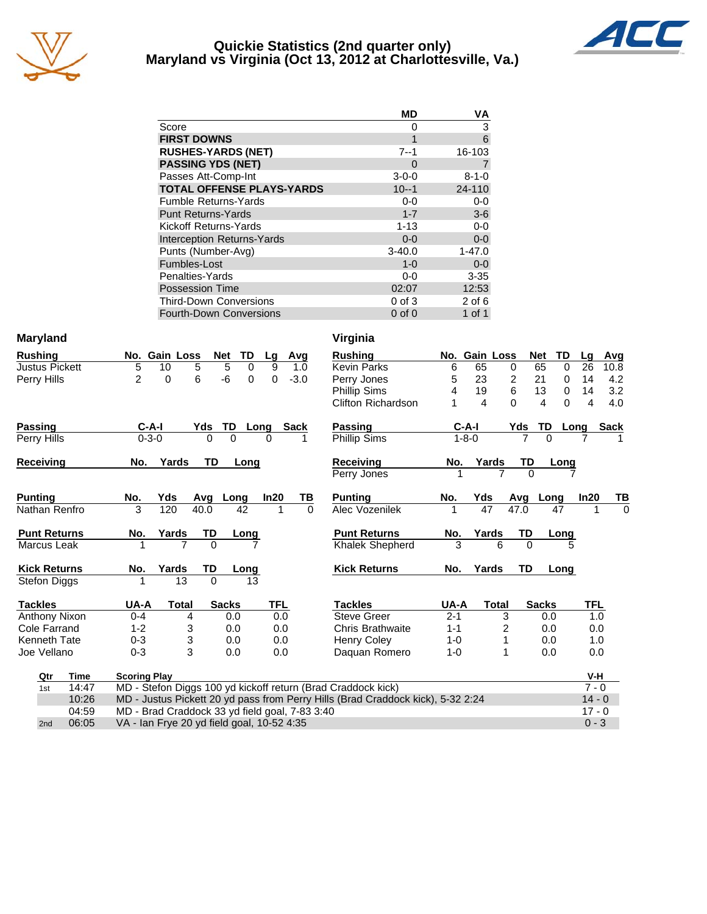

## **Quickie Statistics (2nd quarter only) Maryland vs Virginia (Oct 13, 2012 at Charlottesville, Va.)**



| <b>MD</b>   | VA          |
|-------------|-------------|
| 0           | 3           |
| 1           | 6           |
| 7--1        | 16-103      |
| 0           |             |
| $3 - 0 - 0$ | $8 - 1 - 0$ |
| $10 - -1$   | 24-110      |
| $0 - 0$     | $0-0$       |
| $1 - 7$     | $3-6$       |
| $1 - 13$    | $0-0$       |
| $0 - 0$     | $0 - 0$     |
| $3 - 40.0$  | $1 - 47.0$  |
| $1 - 0$     | $0 - 0$     |
| $0 - 0$     | $3 - 35$    |
| 02:07       | 12:53       |
| $0$ of $3$  | $2$ of $6$  |
| $0$ of $0$  | 1 of 1      |
|             |             |

| <b>Maryland</b>  |                       |                     |                                                |              |                   |            |             | Virginia                                                                        |         |                |                            |                                     |            |           |
|------------------|-----------------------|---------------------|------------------------------------------------|--------------|-------------------|------------|-------------|---------------------------------------------------------------------------------|---------|----------------|----------------------------|-------------------------------------|------------|-----------|
| <b>Rushing</b>   |                       |                     | No. Gain Loss                                  |              | <b>Net</b><br>TD  | Lg         | Avg         | <b>Rushing</b>                                                                  |         | No. Gain Loss  |                            | <b>Net</b><br>TD                    | Lg         | Avg       |
|                  | <b>Justus Pickett</b> | 5                   | 10                                             | 5            | 5<br>$\mathbf 0$  | 9          | 1.0         | <b>Kevin Parks</b>                                                              | 6       | 65             | 0                          | 65<br>$\Omega$                      | 26         | 10.8      |
| Perry Hills      |                       | $\overline{2}$      | 0                                              | 6            | -6<br>$\mathbf 0$ | 0          | $-3.0$      | Perry Jones                                                                     | 5       | 23             | 2                          | 21<br>$\mathbf 0$                   | 14         | 4.2       |
|                  |                       |                     |                                                |              |                   |            |             | <b>Phillip Sims</b>                                                             | 4       | 19             | 6                          | 13<br>0                             | 14         | 3.2       |
|                  |                       |                     |                                                |              |                   |            |             | <b>Clifton Richardson</b>                                                       |         | $\overline{4}$ | $\Omega$                   | $\overline{\mathbf{4}}$<br>$\Omega$ | 4          | 4.0       |
| <b>Passing</b>   |                       | $C-A-I$             |                                                | Yds          | TD                | Long       | <b>Sack</b> | Passing                                                                         |         | $C-A-I$        | Yds                        | TD                                  | Long       | Sack      |
| Perry Hills      |                       | $0 - 3 - 0$         |                                                | $\Omega$     | $\Omega$          | $\Omega$   |             | Phillip Sims                                                                    |         | $1 - 8 - 0$    |                            | $\Omega$                            |            |           |
| <b>Receiving</b> |                       | No.                 | Yards                                          | TD           | Long              |            |             | Receiving                                                                       | No.     | Yards          | TD                         | Long                                |            |           |
|                  |                       |                     |                                                |              |                   |            |             | Perry Jones                                                                     |         |                | $\overline{7}$<br>$\Omega$ |                                     |            |           |
| <b>Punting</b>   |                       | No.                 | Yds                                            | Avg          | Long              | In20       | TВ          | <b>Punting</b>                                                                  | No.     | Yds            |                            | Avg Long                            | In20       | <u>ТВ</u> |
|                  | Nathan Renfro         | 3                   | 120                                            | 40.0         | 42                | 1          | $\Omega$    | Alec Vozenilek                                                                  | 1       | 47             | $\overline{47.0}$          | 47                                  |            | $\Omega$  |
|                  | <b>Punt Returns</b>   | No.                 | Yards                                          | TD           | Long              |            |             | <b>Punt Returns</b>                                                             | No.     | Yards          | TD                         | <b>Long</b>                         |            |           |
|                  | Marcus Leak           |                     | $\overline{7}$                                 | $\mathbf{0}$ |                   |            |             | Khalek Shepherd                                                                 | 3       | 6              | $\Omega$                   |                                     | 5          |           |
|                  | <b>Kick Returns</b>   | No.                 | Yards                                          | TD           | Long              |            |             | <b>Kick Returns</b>                                                             | No.     | Yards          | TD                         | Long                                |            |           |
|                  | <b>Stefon Diggs</b>   |                     | 13                                             | $\Omega$     | 13                |            |             |                                                                                 |         |                |                            |                                     |            |           |
| <b>Tackles</b>   |                       | UA-A                | <b>Total</b>                                   |              | <b>Sacks</b>      | <b>TFL</b> |             | <b>Tackles</b>                                                                  | UA-A    | <b>Total</b>   |                            | <b>Sacks</b>                        | <b>TFL</b> |           |
|                  | Anthony Nixon         | $0 - 4$             | 4                                              |              | 0.0               | 0.0        |             | <b>Steve Greer</b>                                                              | $2 - 1$ |                | 3                          | 0.0                                 | 1.0        |           |
|                  | Cole Farrand          | $1 - 2$             | 3                                              |              | 0.0               | 0.0        |             | <b>Chris Brathwaite</b>                                                         | $1 - 1$ |                | 2                          | 0.0                                 | 0.0        |           |
|                  | Kenneth Tate          | $0 - 3$             | 3                                              |              | 0.0               | 0.0        |             | <b>Henry Coley</b>                                                              | $1 - 0$ |                |                            | 0.0                                 | 1.0        |           |
|                  | Joe Vellano           | $0 - 3$             | 3                                              |              | 0.0               | 0.0        |             | Daquan Romero                                                                   | $1 - 0$ |                | 1                          | 0.0                                 | 0.0        |           |
|                  | Qtr<br><b>Time</b>    | <b>Scoring Play</b> |                                                |              |                   |            |             |                                                                                 |         |                |                            |                                     | V-H        |           |
| 1st              | 14:47                 |                     |                                                |              |                   |            |             | MD - Stefon Diggs 100 yd kickoff return (Brad Craddock kick)                    |         |                |                            |                                     | $7 - 0$    |           |
|                  | 10:26                 |                     |                                                |              |                   |            |             | MD - Justus Pickett 20 yd pass from Perry Hills (Brad Craddock kick), 5-32 2:24 |         |                |                            |                                     | $14 - 0$   |           |
|                  | 04:59                 |                     | MD - Brad Craddock 33 yd field goal, 7-83 3:40 |              |                   |            |             |                                                                                 |         |                |                            |                                     | $17 - 0$   |           |
| 2nd              | 06:05                 |                     | VA - Ian Frye 20 yd field goal, 10-52 4:35     |              |                   |            |             |                                                                                 |         |                |                            |                                     | $0 - 3$    |           |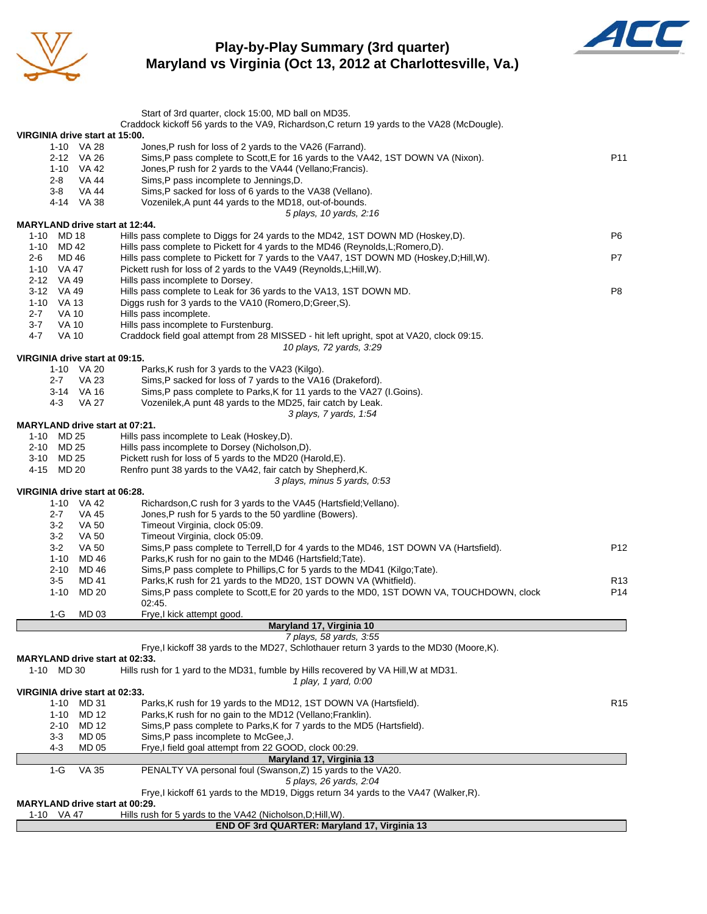

## **Play-by-Play Summary (3rd quarter) Maryland vs Virginia (Oct 13, 2012 at Charlottesville, Va.)**



|                                                | Start of 3rd quarter, clock 15:00, MD ball on MD35.<br>Craddock kickoff 56 yards to the VA9, Richardson, C return 19 yards to the VA28 (McDougle). |                 |
|------------------------------------------------|----------------------------------------------------------------------------------------------------------------------------------------------------|-----------------|
| VIRGINIA drive start at 15:00.                 |                                                                                                                                                    |                 |
| 1-10 VA 28                                     | Jones, P rush for loss of 2 yards to the VA26 (Farrand).                                                                                           |                 |
| 2-12 VA 26                                     | Sims, P pass complete to Scott, E for 16 yards to the VA42, 1ST DOWN VA (Nixon).                                                                   | P <sub>11</sub> |
| 1-10 VA 42                                     | Jones, P rush for 2 yards to the VA44 (Vellano; Francis).                                                                                          |                 |
| 2-8<br>VA 44                                   | Sims, P pass incomplete to Jennings, D.                                                                                                            |                 |
| $3-8$<br>VA 44                                 | Sims, P sacked for loss of 6 yards to the VA38 (Vellano).                                                                                          |                 |
| 4-14 VA 38                                     | Vozenilek, A punt 44 yards to the MD18, out-of-bounds.                                                                                             |                 |
| <b>MARYLAND drive start at 12:44.</b>          | 5 plays, 10 yards, 2:16                                                                                                                            |                 |
| 1-10 MD 18                                     | Hills pass complete to Diggs for 24 yards to the MD42, 1ST DOWN MD (Hoskey,D).                                                                     | P <sub>6</sub>  |
| 1-10 MD 42                                     | Hills pass complete to Pickett for 4 yards to the MD46 (Reynolds, L; Romero, D).                                                                   |                 |
| 2-6<br>MD 46                                   | Hills pass complete to Pickett for 7 yards to the VA47, 1ST DOWN MD (Hoskey, D; Hill, W).                                                          | P7              |
| 1-10 VA 47                                     | Pickett rush for loss of 2 yards to the VA49 (Reynolds, L; Hill, W).                                                                               |                 |
| 2-12 VA 49                                     | Hills pass incomplete to Dorsey.                                                                                                                   |                 |
| 3-12 VA 49                                     | Hills pass complete to Leak for 36 yards to the VA13, 1ST DOWN MD.                                                                                 | P8              |
| 1-10 VA 13                                     | Diggs rush for 3 yards to the VA10 (Romero, D; Greer, S).                                                                                          |                 |
| $2 - 7$<br><b>VA 10</b>                        | Hills pass incomplete.                                                                                                                             |                 |
| $3 - 7$<br><b>VA 10</b><br>4-7<br><b>VA 10</b> | Hills pass incomplete to Furstenburg.<br>Craddock field goal attempt from 28 MISSED - hit left upright, spot at VA20, clock 09:15.                 |                 |
|                                                | 10 plays, 72 yards, 3:29                                                                                                                           |                 |
| VIRGINIA drive start at 09:15.                 |                                                                                                                                                    |                 |
| 1-10 VA 20                                     | Parks, K rush for 3 yards to the VA23 (Kilgo).                                                                                                     |                 |
| VA 23<br>2-7                                   | Sims, P sacked for loss of 7 yards to the VA16 (Drakeford).                                                                                        |                 |
| 3-14 VA 16                                     | Sims, P pass complete to Parks, K for 11 yards to the VA27 (I. Goins).                                                                             |                 |
| <b>VA 27</b><br>4-3                            | Vozenilek, A punt 48 yards to the MD25, fair catch by Leak.                                                                                        |                 |
|                                                | 3 plays, 7 yards, 1:54                                                                                                                             |                 |
| MARYLAND drive start at 07:21.                 |                                                                                                                                                    |                 |
| 1-10 MD 25                                     | Hills pass incomplete to Leak (Hoskey,D).                                                                                                          |                 |
| 2-10 MD 25                                     | Hills pass incomplete to Dorsey (Nicholson, D).                                                                                                    |                 |
| 3-10 MD 25                                     | Pickett rush for loss of 5 yards to the MD20 (Harold,E).                                                                                           |                 |
| 4-15 MD 20                                     | Renfro punt 38 yards to the VA42, fair catch by Shepherd, K.<br>3 plays, minus 5 yards, 0:53                                                       |                 |
| VIRGINIA drive start at 06:28.                 |                                                                                                                                                    |                 |
| 1-10 VA 42                                     | Richardson, C rush for 3 yards to the VA45 (Hartsfield; Vellano).                                                                                  |                 |
| 2-7<br>VA 45                                   | Jones, P rush for 5 yards to the 50 yardline (Bowers).                                                                                             |                 |
| VA 50<br>3-2                                   | Timeout Virginia, clock 05:09.                                                                                                                     |                 |
| $3 - 2$<br>VA 50                               | Timeout Virginia, clock 05:09.                                                                                                                     |                 |
| $3 - 2$<br>VA 50                               | Sims, P pass complete to Terrell, D for 4 yards to the MD46, 1ST DOWN VA (Hartsfield).                                                             | P <sub>12</sub> |
| 1-10 MD 46                                     | Parks, K rush for no gain to the MD46 (Hartsfield; Tate).                                                                                          |                 |
| 2-10 MD 46                                     | Sims, P pass complete to Phillips, C for 5 yards to the MD41 (Kilgo; Tate).                                                                        |                 |
| $3-5$<br>MD 41                                 | Parks, K rush for 21 yards to the MD20, 1ST DOWN VA (Whitfield).                                                                                   | R <sub>13</sub> |
| 1-10 MD 20                                     | Sims, P pass complete to Scott, E for 20 yards to the MD0, 1ST DOWN VA, TOUCHDOWN, clock                                                           | P14             |
|                                                | 02:45.                                                                                                                                             |                 |
| 1-G MD 03                                      | Frye,I kick attempt good.                                                                                                                          |                 |
|                                                | Maryland 17, Virginia 10<br>7 plays, 58 yards, 3:55                                                                                                |                 |
|                                                | Frye, I kickoff 38 yards to the MD27, Schlothauer return 3 yards to the MD30 (Moore, K).                                                           |                 |
| <b>MARYLAND drive start at 02:33.</b>          |                                                                                                                                                    |                 |
| 1-10 MD 30                                     | Hills rush for 1 yard to the MD31, fumble by Hills recovered by VA Hill, W at MD31.                                                                |                 |
|                                                | 1 play, 1 yard, 0:00                                                                                                                               |                 |
| VIRGINIA drive start at 02:33.                 |                                                                                                                                                    |                 |
| MD 31<br>1-10                                  | Parks, K rush for 19 yards to the MD12, 1ST DOWN VA (Hartsfield).                                                                                  | R <sub>15</sub> |
| 1-10<br>MD 12                                  | Parks, K rush for no gain to the MD12 (Vellano; Franklin).                                                                                         |                 |
| MD 12<br>2-10                                  | Sims, P pass complete to Parks, K for 7 yards to the MD5 (Hartsfield).                                                                             |                 |
| MD 05<br>3-3                                   | Sims, P pass incomplete to McGee, J.                                                                                                               |                 |
| MD 05<br>4-3                                   | Frye,I field goal attempt from 22 GOOD, clock 00:29.                                                                                               |                 |
|                                                | Maryland 17, Virginia 13                                                                                                                           |                 |
| <b>VA 35</b><br>1-G                            | PENALTY VA personal foul (Swanson, Z) 15 yards to the VA20.<br>5 plays, 26 yards, 2:04                                                             |                 |
|                                                | Frye, I kickoff 61 yards to the MD19, Diggs return 34 yards to the VA47 (Walker, R).                                                               |                 |
| MARYLAND drive start at 00:29.                 |                                                                                                                                                    |                 |
| 1-10 VA 47                                     | Hills rush for 5 yards to the VA42 (Nicholson, D; Hill, W).                                                                                        |                 |
|                                                | END OF 3rd QUARTER: Maryland 17, Virginia 13                                                                                                       |                 |
|                                                |                                                                                                                                                    |                 |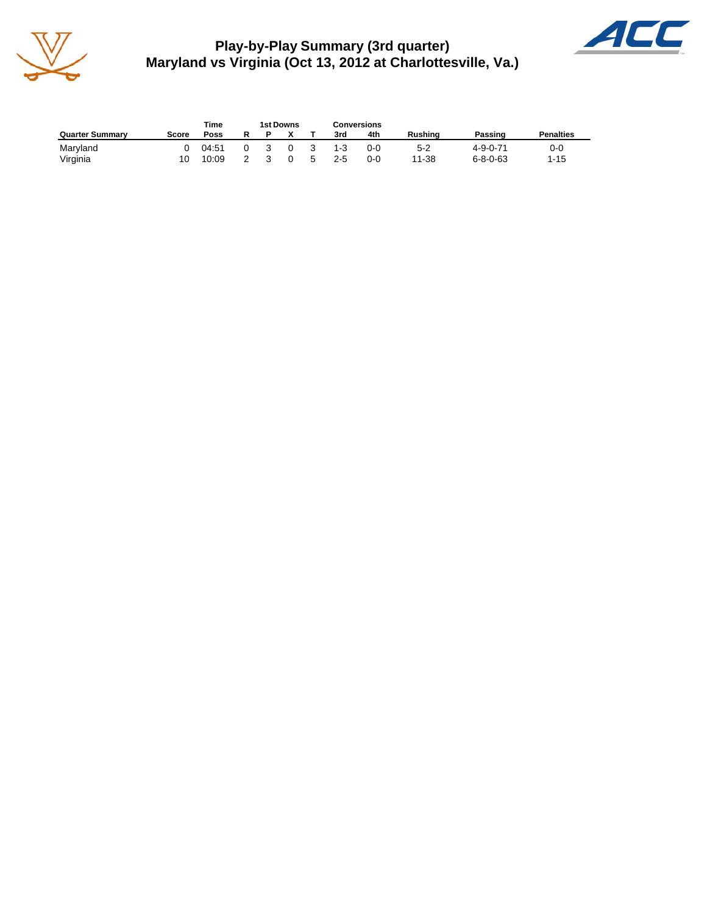

**Play-by-Play Summary (3rd quarter) Maryland vs Virginia (Oct 13, 2012 at Charlottesville, Va.)**



|                        |       | Time  |   |   | 1st Downs |    | <b>Conversions</b> |         |                |                  |                  |
|------------------------|-------|-------|---|---|-----------|----|--------------------|---------|----------------|------------------|------------------|
| <b>Quarter Summary</b> | Score | Poss  | R |   |           |    | 3rd                | 4th     | <b>Rushing</b> | Passing          | <b>Penalties</b> |
| Maryland               | ∩     | 04:51 |   | 3 | $\Omega$  | 3  | $1-3$              | $0 - 0$ | $5-2$          | $4 - 9 - 0 - 71$ | 0-0              |
| Virginia               |       | 10:09 |   |   |           | 5. | 25                 | $0 - 0$ | 11-38          | $6 - 8 - 0 - 63$ | $1 - 15$         |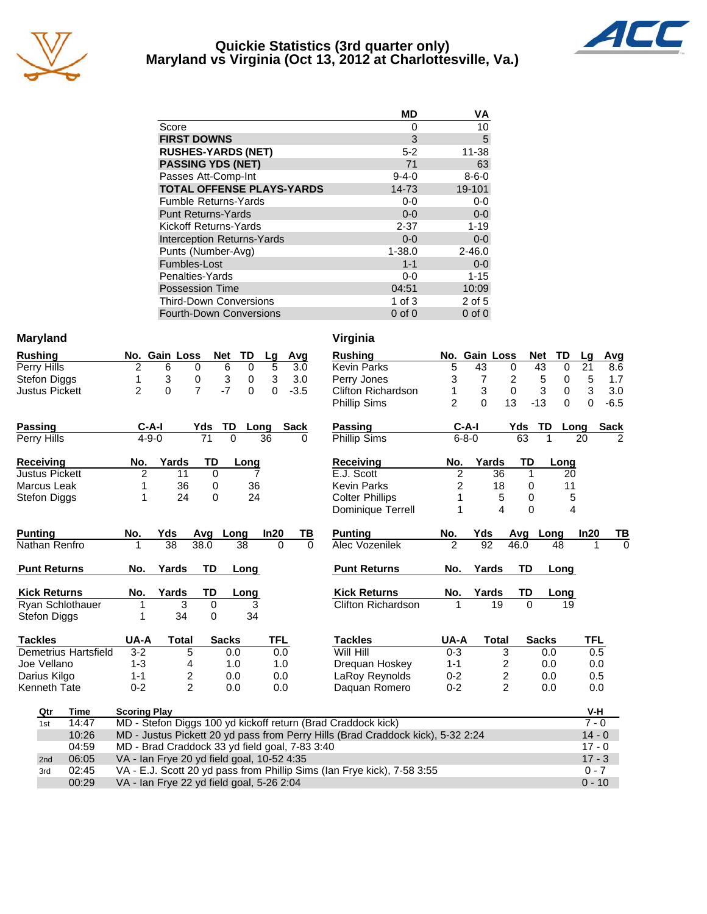

## **Quickie Statistics (3rd quarter only) Maryland vs Virginia (Oct 13, 2012 at Charlottesville, Va.)**



|                                   | <b>MD</b>   | ٧A          |
|-----------------------------------|-------------|-------------|
| Score                             | O           | 10          |
| <b>FIRST DOWNS</b>                | 3           | 5           |
| <b>RUSHES-YARDS (NET)</b>         | $5 - 2$     | 11-38       |
| <b>PASSING YDS (NET)</b>          | 71          | 63          |
| Passes Att-Comp-Int               | $9 - 4 - 0$ | $8 - 6 - 0$ |
| <b>TOTAL OFFENSE PLAYS-YARDS</b>  | 14-73       | 19-101      |
| <b>Fumble Returns-Yards</b>       | $0 - 0$     | $0-0$       |
| <b>Punt Returns-Yards</b>         | $0 - 0$     | $0-0$       |
| Kickoff Returns-Yards             | $2 - 37$    | $1 - 19$    |
| <b>Interception Returns-Yards</b> | $0 - 0$     | $0 - 0$     |
| Punts (Number-Avg)                | $1 - 38.0$  | $2 - 46.0$  |
| Fumbles-Lost                      | $1 - 1$     | $0 - 0$     |
| Penalties-Yards                   | $0-0$       | $1 - 15$    |
| <b>Possession Time</b>            | 04:51       | 10:09       |
| <b>Third-Down Conversions</b>     | 1 of $3$    | 2 of 5      |
| <b>Fourth-Down Conversions</b>    | $0$ of $0$  | $0$ of $0$  |

## **Maryland**

Kenneth Tate

| <b>Rushing</b>        |  | No. Gain Loss Net TD Lg Avg |      |          |    |          |
|-----------------------|--|-----------------------------|------|----------|----|----------|
| Perry Hills           |  |                             | 6    | $\Omega$ | 5. | -3.0     |
| Stefon Diggs          |  |                             | -3   | $\Omega$ | 3  | - 3.0    |
| <b>Justus Pickett</b> |  |                             | $-7$ | $\Omega$ |    | $0 -3.5$ |

| <b>Passing</b> | $C-A-I$      |     | Yds TD Long Sack |  |
|----------------|--------------|-----|------------------|--|
| Perry Hills    | $4 - 9 - 0$  |     | 36               |  |
| Receiving      | Yards<br>No. | TD. | Lona             |  |

| <b>Justus Pickett</b> |    |    |
|-----------------------|----|----|
| Marcus Leak           | 36 | 36 |
| Stefon Diggs          | クイ | 24 |

| <b>Punting</b>          | No.  | Yds   | Avq      | Lona  | In20 | ΤВ | <b>Punting</b>      | No.         | Yds   | Ava  | Lona         |
|-------------------------|------|-------|----------|-------|------|----|---------------------|-------------|-------|------|--------------|
| Nathan Renfro           |      | 38    | 38.0     | 38    | 0    | 0  | Alec Vozenilek      | 2           | 92    | 46.0 | 48           |
| <b>Punt Returns</b>     | No.  | Yards | TD       | Long  |      |    | <b>Punt Returns</b> | No.         | Yards | TD   | Long         |
| <b>Kick Returns</b>     | No.  | Yards | TD       | Long  |      |    | <b>Kick Returns</b> | No.         | Yards | TD   | Long         |
| <b>Ryan Schlothauer</b> |      | 3     | 0        | 3     |      |    | Clifton Richardson  |             | 19    |      | 19           |
| Stefon Diggs            |      | 34    | $\Omega$ | 34    |      |    |                     |             |       |      |              |
| <b>Tackles</b>          | UA-A | Total |          | Sacks | TFL  |    | <b>Tackles</b>      | <b>UA-A</b> | Total |      | <b>Sacks</b> |

Demetrius Hartsfield 3-2 5 0.0 0.0 Joe Vellano 1-3 4 1.0 1.0 Darius Kilgo 1-1 2 0.0 0.0<br>Kenneth Tate 0-2 2 0.0 0.0

| Virginia                  |                |                  |               |                |            |          |             |
|---------------------------|----------------|------------------|---------------|----------------|------------|----------|-------------|
| <b>Rushing</b>            | No.            | <b>Gain Loss</b> |               | <b>Net</b>     | TD         | Lg       | Avg         |
| <b>Kevin Parks</b>        | 5              | 43               | 0             | 43             | 0          | 21       | 8.6         |
| Perry Jones               | 3              | 7                | 2             | 5              | 0          | 5        | 1.7         |
| <b>Clifton Richardson</b> | 1              |                  | 3<br>$\Omega$ |                | 3<br>0     | 3        | 3.0         |
| <b>Phillip Sims</b>       | $\overline{2}$ | $\Omega$         | 13            | $-13$          | $\Omega$   | $\Omega$ | $-6.5$      |
| <b>Passing</b>            | C-A-I          |                  | Yds           | TD             | Long       |          | <b>Sack</b> |
| <b>Phillip Sims</b>       | $6 - 8 - 0$    |                  |               | 63             | 1          | 20       | 2           |
| <b>Receiving</b>          | No.            | Yards            |               | TD             | Long       |          |             |
| E.J. Scott                | $\frac{2}{2}$  |                  | 36            | 1              | 20         |          |             |
| <b>Kevin Parks</b>        |                |                  | 18            | 0              | 11         |          |             |
| <b>Colter Phillips</b>    | $\overline{1}$ |                  | 5             | 0              | 5          |          |             |
| Dominique Terrell         | 1              |                  | 4             | 0              | 4          |          |             |
|                           |                |                  |               |                |            |          |             |
| <b>Punting</b>            | No.            | Yds              | Avg           |                | Long       | In20     | ΤВ          |
| Alec Vozenilek            | $\overline{2}$ | 92               | 46.0          |                | 48         | 1        | 0           |
| <b>Punt Returns</b>       | No.            | Yards            |               | TD             | Long       |          |             |
|                           |                |                  |               |                |            |          |             |
| <b>Kick Returns</b>       | No.<br>1       | Yards<br>19      |               | TD<br>$\Omega$ | Long<br>19 |          |             |
| <b>Clifton Richardson</b> |                |                  |               |                |            |          |             |
| <b>Tackles</b>            | UA-A           | Total            |               | <b>Sacks</b>   |            | TFL      |             |
| Will Hill                 | $0 - 3$        |                  | 3             |                | 0.0        | 0.5      |             |
| Dreguan Hoskey            | $1 - 1$        |                  | 2             |                | 0.0        | 0.0      |             |
| LaRoy Reynolds            | $0 - 2$        |                  |               |                | 0.0        | 0.5      |             |
| Daquan Romero             | $0 - 2$        |                  | $\frac{2}{2}$ |                | 0.0        | 0.0      |             |

| Qtr             | Time  | <b>Scoring Play</b>                                                             | V-H      |
|-----------------|-------|---------------------------------------------------------------------------------|----------|
| 1st             | 14:47 | MD - Stefon Diggs 100 yd kickoff return (Brad Craddock kick)                    | $7 - 0$  |
|                 | 10:26 | MD - Justus Pickett 20 yd pass from Perry Hills (Brad Craddock kick), 5-32 2:24 | $14 - 0$ |
|                 | 04:59 | MD - Brad Craddock 33 yd field goal, 7-83 3:40                                  | $17 - 0$ |
| 2 <sub>nd</sub> | 06:05 | VA - Ian Frye 20 yd field goal, 10-52 4:35                                      | $17 - 3$ |
| 3rd             | 02:45 | VA - E.J. Scott 20 yd pass from Phillip Sims (Ian Frye kick), 7-58 3:55         | $0 - 7$  |
|                 | 00:29 | VA - Ian Frye 22 yd field goal, 5-26 2:04                                       | $0 - 10$ |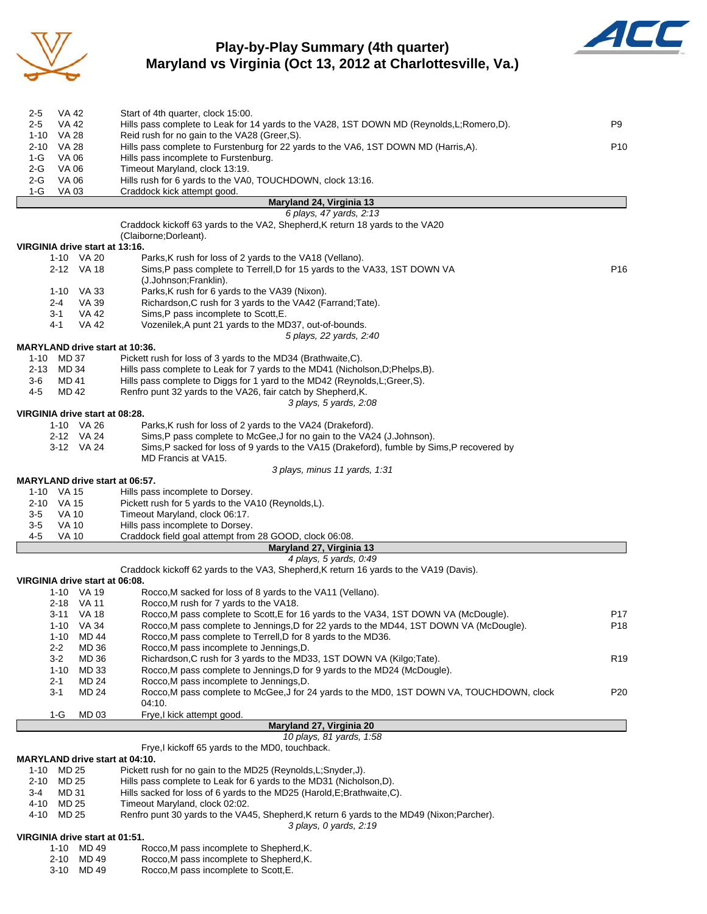

## **Play-by-Play Summary (4th quarter) Maryland vs Virginia (Oct 13, 2012 at Charlottesville, Va.)**



| 2-5<br>VA 42                          | Start of 4th quarter, clock 15:00.                                                             |                 |
|---------------------------------------|------------------------------------------------------------------------------------------------|-----------------|
| $2 - 5$<br>VA 42                      | Hills pass complete to Leak for 14 yards to the VA28, 1ST DOWN MD (Reynolds, L; Romero, D).    | P <sub>9</sub>  |
| 1-10 VA 28                            | Reid rush for no gain to the VA28 (Greer, S).                                                  |                 |
| VA 28<br>2-10                         | Hills pass complete to Furstenburg for 22 yards to the VA6, 1ST DOWN MD (Harris,A).            | P <sub>10</sub> |
| <b>VA 06</b><br>1-G                   | Hills pass incomplete to Furstenburg.                                                          |                 |
| VA 06<br>2-G                          | Timeout Maryland, clock 13:19.                                                                 |                 |
| $2-G$<br>VA 06                        | Hills rush for 6 yards to the VA0, TOUCHDOWN, clock 13:16.                                     |                 |
| 1-G<br>VA 03                          | Craddock kick attempt good.                                                                    |                 |
|                                       | Maryland 24, Virginia 13                                                                       |                 |
|                                       | 6 plays, 47 yards, 2:13                                                                        |                 |
|                                       | Craddock kickoff 63 yards to the VA2, Shepherd, K return 18 yards to the VA20                  |                 |
|                                       | (Claiborne;Dorleant).                                                                          |                 |
| VIRGINIA drive start at 13:16.        |                                                                                                |                 |
| 1-10 VA 20                            | Parks, K rush for loss of 2 yards to the VA18 (Vellano).                                       |                 |
| 2-12 VA 18                            | Sims, P pass complete to Terrell, D for 15 yards to the VA33, 1ST DOWN VA                      | P <sub>16</sub> |
|                                       | (J.Johnson;Franklin).                                                                          |                 |
| $1 - 10$<br>VA 33                     | Parks, K rush for 6 yards to the VA39 (Nixon).                                                 |                 |
| VA 39<br>2-4                          | Richardson, C rush for 3 yards to the VA42 (Farrand; Tate).                                    |                 |
| 3-1<br>VA 42<br><b>VA 42</b><br>4-1   | Sims, P pass incomplete to Scott, E.<br>Vozenilek, A punt 21 yards to the MD37, out-of-bounds. |                 |
|                                       |                                                                                                |                 |
|                                       | 5 plays, 22 yards, 2:40                                                                        |                 |
| MARYLAND drive start at 10:36.        |                                                                                                |                 |
| MD 37<br>1-10                         | Pickett rush for loss of 3 yards to the MD34 (Brathwaite, C).                                  |                 |
| 2-13<br>MD 34                         | Hills pass complete to Leak for 7 yards to the MD41 (Nicholson, D; Phelps, B).                 |                 |
| 3-6<br>MD 41                          | Hills pass complete to Diggs for 1 yard to the MD42 (Reynolds, L; Greer, S).                   |                 |
| 4-5<br>MD 42                          | Renfro punt 32 yards to the VA26, fair catch by Shepherd, K.                                   |                 |
|                                       | 3 plays, 5 yards, 2:08                                                                         |                 |
| VIRGINIA drive start at 08:28.        |                                                                                                |                 |
| 1-10 VA 26                            | Parks, K rush for loss of 2 yards to the VA24 (Drakeford).                                     |                 |
| 2-12 VA 24                            | Sims, P pass complete to McGee, J for no gain to the VA24 (J.Johnson).                         |                 |
| 3-12 VA 24                            | Sims, P sacked for loss of 9 yards to the VA15 (Drakeford), fumble by Sims, P recovered by     |                 |
|                                       | MD Francis at VA15.                                                                            |                 |
|                                       | 3 plays, minus 11 yards, 1:31                                                                  |                 |
| <b>MARYLAND drive start at 06:57.</b> |                                                                                                |                 |
| 1-10 VA 15                            | Hills pass incomplete to Dorsey.                                                               |                 |
| 2-10 VA 15                            | Pickett rush for 5 yards to the VA10 (Reynolds,L).                                             |                 |
| $3-5$<br><b>VA 10</b>                 | Timeout Maryland, clock 06:17.                                                                 |                 |
| <b>VA 10</b><br>3-5                   | Hills pass incomplete to Dorsey.                                                               |                 |
| 4-5<br><b>VA 10</b>                   | Craddock field goal attempt from 28 GOOD, clock 06:08.                                         |                 |
|                                       | Maryland 27, Virginia 13                                                                       |                 |
|                                       | 4 plays, 5 yards, 0:49                                                                         |                 |
|                                       | Craddock kickoff 62 yards to the VA3, Shepherd, K return 16 yards to the VA19 (Davis).         |                 |
| VIRGINIA drive start at 06:08.        |                                                                                                |                 |
| 1-10 VA 19                            | Rocco, M sacked for loss of 8 yards to the VA11 (Vellano).                                     |                 |
| 2-18 VA 11                            | Rocco, M rush for 7 yards to the VA18.                                                         |                 |
| 3-11 VA 18                            | Rocco,M pass complete to Scott,E for 16 yards to the VA34, 1ST DOWN VA (McDougle).             | P17             |
| VA 34<br>1-10                         | Rocco, M pass complete to Jennings, D for 22 yards to the MD44, 1ST DOWN VA (McDougle).        | P <sub>18</sub> |
| MD 44<br>$1 - 10$                     | Rocco, M pass complete to Terrell, D for 8 yards to the MD36.                                  |                 |
| $2 - 2$<br>MD 36                      | Rocco, M pass incomplete to Jennings, D.                                                       |                 |
| $3-2$<br>MD 36                        | Richardson, C rush for 3 yards to the MD33, 1ST DOWN VA (Kilgo; Tate).                         | R <sub>19</sub> |
| $1 - 10$<br>MD 33                     | Rocco, M pass complete to Jennings, D for 9 yards to the MD24 (McDougle).                      |                 |
| MD 24<br>$2 - 1$                      | Rocco, M pass incomplete to Jennings, D.                                                       |                 |
| $3 - 1$<br>MD 24                      | Rocco, M pass complete to McGee, J for 24 yards to the MD0, 1ST DOWN VA, TOUCHDOWN, clock      | P <sub>20</sub> |
|                                       | 04:10.                                                                                         |                 |
| MD 03<br>1-G                          | Frye,I kick attempt good.                                                                      |                 |
|                                       | Maryland 27, Virginia 20                                                                       |                 |
|                                       | 10 plays, 81 yards, 1:58                                                                       |                 |
|                                       | Frye, I kickoff 65 yards to the MD0, touchback.                                                |                 |
| <b>MARYLAND drive start at 04:10.</b> |                                                                                                |                 |
| MD 25<br>1-10                         | Pickett rush for no gain to the MD25 (Reynolds, L; Snyder, J).                                 |                 |
| 2-10<br>MD 25                         | Hills pass complete to Leak for 6 yards to the MD31 (Nicholson, D).                            |                 |
| MD 31<br>3-4                          | Hills sacked for loss of 6 yards to the MD25 (Harold, E; Brathwaite, C).                       |                 |
| 4-10<br>MD 25                         | Timeout Maryland, clock 02:02.                                                                 |                 |
| 4-10<br>MD 25                         | Renfro punt 30 yards to the VA45, Shepherd, K return 6 yards to the MD49 (Nixon; Parcher).     |                 |
|                                       | 3 plays, 0 yards, 2:19                                                                         |                 |
| VIRGINIA drive start at 01:51.        |                                                                                                |                 |
| 1-10 MD 49                            | Rocco, M pass incomplete to Shepherd, K.                                                       |                 |
| $2.40$ MD $40$                        | Dogga M nogg incomplete to Chapberd K                                                          |                 |

2-10 MD 49 Rocco,M pass incomplete to Shepherd,K.

3-10 MD 49 Rocco,M pass incomplete to Scott,E.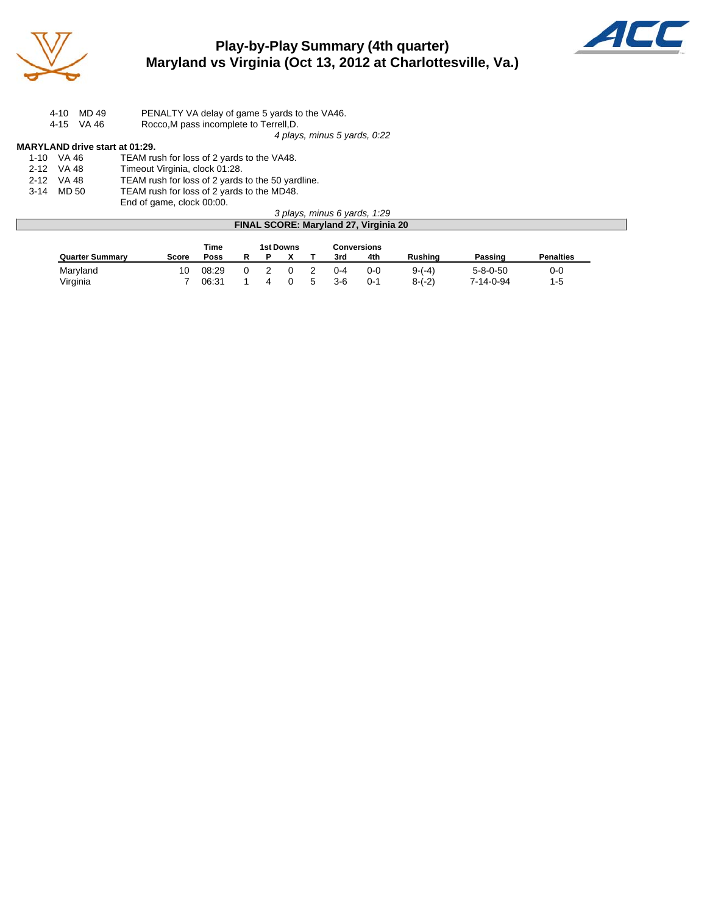

# **Play-by-Play Summary (4th quarter) Maryland vs Virginia (Oct 13, 2012 at Charlottesville, Va.)**



| MD 49<br>4-10 | PENALTY VA delay of game 5 yards to the VA46. |
|---------------|-----------------------------------------------|
| 4-15 VA 46    | Rocco, M pass incomplete to Terrell, D.       |
|               | 4 plays, minus 5 yards, 0:22                  |

**MARYLAND drive start at 01:29.**<br>1-10 VA 46 TEAM ru 1-10 VA 46 TEAM rush for loss of 2 yards to the VA48.<br>2-12 VA 48 Timeout Virginia, clock 01:28. 2-12 VA 48 Timeout Virginia, clock 01:28.<br>2-12 VA 48 TEAM rush for loss of 2 yards 2-12 VA 48 TEAM rush for loss of 2 yards to the 50 yardline.<br>3-14 MD 50 TEAM rush for loss of 2 yards to the MD48. TEAM rush for loss of 2 yards to the MD48. End of game, clock 00:00.

### *3 plays, minus 6 yards, 1:29* **FINAL SCORE: Maryland 27, Virginia 20**

|                        |              | Time  |  | 1st Downs |   |       | Conversions |                |                  |                  |
|------------------------|--------------|-------|--|-----------|---|-------|-------------|----------------|------------------|------------------|
| <b>Quarter Summary</b> | <b>Score</b> | Poss  |  |           |   | 3rd   | 4th         | <b>Rushing</b> | Passing          | <b>Penalties</b> |
| Maryland               | 10           | 08:29 |  |           |   | 0-4   | $0 - 0$     | $9-(-4)$       | $5 - 8 - 0 - 50$ | 0-0              |
| Virginia               |              | 06:31 |  |           | G | $3-6$ | $0 - 1$     | $8-(-2)$       | 7-14-0-94        | 1-5              |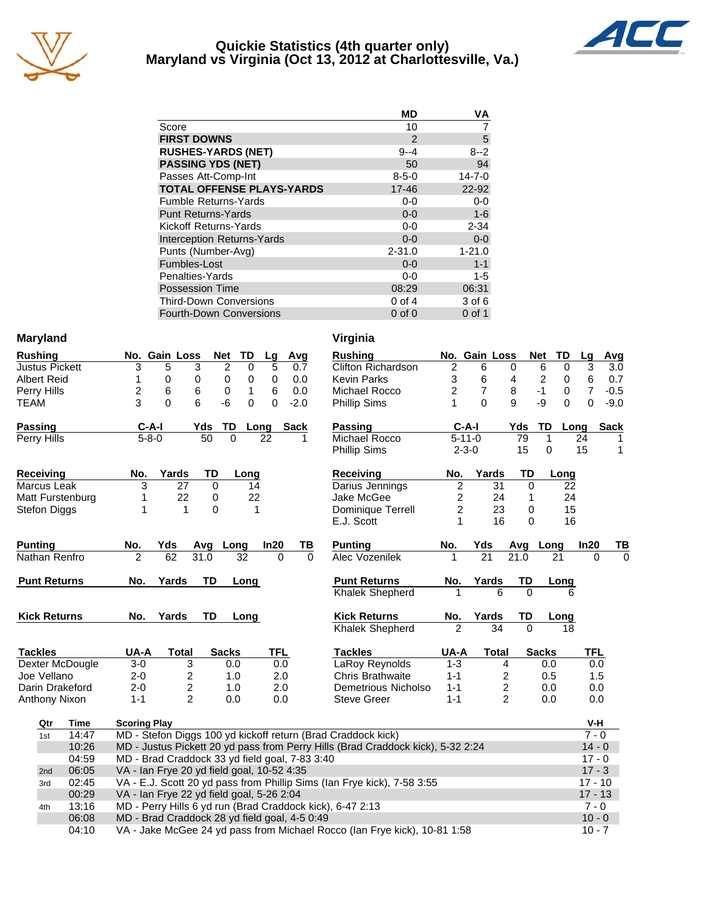

## **Quickie Statistics (4th quarter only) Maryland vs Virginia (Oct 13, 2012 at Charlottesville, Va.)**



| <b>MD</b>     | VA           |
|---------------|--------------|
| 10            |              |
| $\mathcal{P}$ | 5            |
| $9 - 4$       | $8 - 2$      |
| 50            | 94           |
| $8 - 5 - 0$   | $14 - 7 - 0$ |
| $17 - 46$     | 22-92        |
| $0-0$         | $0-0$        |
| $0 - 0$       | $1-6$        |
| $0-0$         | $2 - 34$     |
| $0 - 0$       | $0 - 0$      |
| $2 - 31.0$    | $1 - 21.0$   |
| $0 - 0$       | $1 - 1$      |
| $0 - 0$       | 1-5          |
| 08:29         | 06:31        |
| $0$ of 4      | 3 of 6       |
| $0$ of $0$    | $0$ of 1     |
|               |              |

## **Maryland Virginia**

| <b>Rushing</b>        | No. Gain Loss                                  |                 | <b>Net</b><br>TD                 | Lg          | Avg         | <b>Rushing</b>                                                                  |                | No. Gain Loss   |                | <b>Net</b>     | TD       | <u>Lg</u>      | $\frac{A}{A}$ |
|-----------------------|------------------------------------------------|-----------------|----------------------------------|-------------|-------------|---------------------------------------------------------------------------------|----------------|-----------------|----------------|----------------|----------|----------------|---------------|
| <b>Justus Pickett</b> | 3<br>5                                         | 3               | $\overline{2}$<br>$\overline{0}$ | 5           | 0.7         | Clifton Richardson                                                              | $\overline{2}$ | 6               | 0              | 6              | 0        | $\overline{3}$ |               |
| <b>Albert Reid</b>    | 0<br>1                                         | 0               | 0<br>0                           | $\mathbf 0$ | 0.0         | <b>Kevin Parks</b>                                                              | 3              | 6               | 4              | $\overline{2}$ | 0        | $\,6$          |               |
| Perry Hills           | $\overline{c}$<br>6                            | 6               | 0<br>1                           | 6           | 0.0         | Michael Rocco                                                                   | $\overline{2}$ | 7               | 8              | $-1$           | 0        | $\overline{7}$ | $-$ (         |
| <b>TEAM</b>           | 3<br>$\Omega$                                  | 6               | $-6$<br>0                        | $\mathbf 0$ | $-2.0$      | Phillip Sims                                                                    | 1              | $\Omega$        | 9              | -9             | $\Omega$ | $\mathbf 0$    | -9            |
| <b>Passing</b>        | $C-A-I$                                        | Yds             | TD                               | Long        | <b>Sack</b> | <b>Passing</b>                                                                  | $C-A-I$        |                 | Yds            | TD             | Long     |                | Sa            |
| Perry Hills           | $5 - 8 - 0$                                    | $\overline{50}$ | $\Omega$                         | 22          | 1           | Michael Rocco                                                                   | $5 - 11 - 0$   |                 | 79             | 1              |          | 24             |               |
|                       |                                                |                 |                                  |             |             | <b>Phillip Sims</b>                                                             | $2 - 3 - 0$    |                 | 15             | $\mathbf 0$    |          | 15             |               |
| <b>Receiving</b>      | No.                                            | Yards<br>TD     | Long                             |             |             | Receiving                                                                       | No.            | Yards           | TD             |                | Long     |                |               |
| Marcus Leak           | 3                                              | 27              | 0                                | 14          |             | Darius Jennings                                                                 | 2              | 31              | 0              |                | 22       |                |               |
| Matt Furstenburg      | 1                                              | 22              | 0                                | 22          |             | Jake McGee                                                                      | 2              | 24              | 1              |                | 24       |                |               |
| Stefon Diggs          | 1                                              | $\mathbf{1}$    | $\Omega$                         | 1           |             | Dominique Terrell                                                               | $\overline{c}$ | 23              | 0              |                | 15       |                |               |
|                       |                                                |                 |                                  |             |             | E.J. Scott                                                                      | 1              | 16              | $\Omega$       |                | 16       |                |               |
| <b>Punting</b>        | No.<br>Yds                                     | Avg             | Long                             | In20        | TВ          | <b>Punting</b>                                                                  | No.            | Yds             | Avg Long       |                |          | In20           |               |
| Nathan Renfro         | $\overline{2}$                                 | 62<br>31.0      | 32                               | $\Omega$    | $\Omega$    | Alec Vozenilek                                                                  | 1              | $\overline{21}$ | 21.0           | 21             |          | $\Omega$       |               |
| <b>Punt Returns</b>   | No.                                            | Yards<br>TD     | Long                             |             |             | <b>Punt Returns</b>                                                             | No.            | Yards           | TD             |                | Long     |                |               |
|                       |                                                |                 |                                  |             |             | <b>Khalek Shepherd</b>                                                          |                | 6               | $\Omega$       |                | 6        |                |               |
| <b>Kick Returns</b>   | No.                                            | Yards<br>TD     | Long                             |             |             | <b>Kick Returns</b>                                                             | No.            | Yards           | TD             |                | Long     |                |               |
|                       |                                                |                 |                                  |             |             | <b>Khalek Shepherd</b>                                                          | $\overline{2}$ | $\overline{34}$ | $\Omega$       |                | 18       |                |               |
| <b>Tackles</b>        | UA-A                                           | <b>Total</b>    | <b>Sacks</b>                     | <b>TFL</b>  |             | <b>Tackles</b>                                                                  | UA-A           | <b>Total</b>    |                | <b>Sacks</b>   |          | <b>TFL</b>     |               |
| Dexter McDougle       | $3-0$                                          | 3               | 0.0                              | 0.0         |             | LaRoy Reynolds                                                                  | $1 - 3$        |                 | $\overline{4}$ | 0.0            |          | 0.0            |               |
| Joe Vellano           | $2 - 0$                                        | 2               | 1.0                              | 2.0         |             | <b>Chris Brathwaite</b>                                                         | $1 - 1$        |                 | $\overline{c}$ | 0.5            |          | 1.5            |               |
| Darin Drakeford       | $2 - 0$                                        | 2               | 1.0                              | 2.0         |             | Demetrious Nicholso                                                             | $1 - 1$        |                 | $\overline{c}$ | 0.0            |          | 0.0            |               |
| Anthony Nixon         | $1 - 1$                                        | $\overline{2}$  | 0.0                              | 0.0         |             | <b>Steve Greer</b>                                                              | $1 - 1$        |                 | $\overline{2}$ | 0.0            |          | 0.0            |               |
| Qtr<br>Time           | <b>Scoring Play</b>                            |                 |                                  |             |             |                                                                                 |                |                 |                |                |          | V-H            |               |
| 14:47<br>1st          |                                                |                 |                                  |             |             | MD - Stefon Diggs 100 yd kickoff return (Brad Craddock kick)                    |                |                 |                |                |          | $7 - 0$        |               |
| 10:26                 |                                                |                 |                                  |             |             | MD - Justus Pickett 20 yd pass from Perry Hills (Brad Craddock kick), 5-32 2:24 |                |                 |                |                |          | $14 - 0$       |               |
| 04:59                 | MD - Brad Craddock 33 yd field goal, 7-83 3:40 |                 |                                  |             |             |                                                                                 |                |                 |                |                |          | $17 - 0$       |               |
| 06:05<br>2nd          | VA - Ian Frye 20 yd field goal, 10-52 4:35     |                 |                                  |             |             |                                                                                 |                |                 |                |                |          | $17 - 3$       |               |
| 02:45<br>3rd          |                                                |                 |                                  |             |             | VA - E.J. Scott 20 yd pass from Phillip Sims (Ian Frye kick), 7-58 3:55         |                |                 |                |                |          | $17 - 10$      |               |
| 00:29                 | VA - Ian Frye 22 yd field goal, 5-26 2:04      |                 |                                  |             |             |                                                                                 |                |                 |                |                |          | $17 - 13$      |               |
| 13:16<br>4th          |                                                |                 |                                  |             |             | MD - Perry Hills 6 yd run (Brad Craddock kick), 6-47 2:13                       |                |                 |                |                |          | $7 - 0$        |               |
| 06:08                 | MD - Brad Craddock 28 yd field goal, 4-5 0:49  |                 |                                  |             |             |                                                                                 |                |                 |                |                |          | $10 - 0$       |               |

04:10 VA - Jake McGee 24 yd pass from Michael Rocco (Ian Frye kick), 10-81 1:58 10 - 7

| Avg       | <b>Rushing</b>                              | No. Gain Loss  |              |                |          | <b>Net</b>     | TD   | Lg              | Avg    |     |
|-----------|---------------------------------------------|----------------|--------------|----------------|----------|----------------|------|-----------------|--------|-----|
| 0.7       | Clifton Richardson                          | 2              | 6            |                | 0        | 6              | 0    | 3               |        | 3.0 |
| 0.0       | <b>Kevin Parks</b>                          | 3              | 6            |                | 4        | $\overline{2}$ | 0    | 6               | 0.7    |     |
| 0.0       | Michael Rocco                               | $\overline{c}$ | 7            |                | 8        | $-1$           | 0    | 7               | $-0.5$ |     |
| $-2.0$    | Phillip Sims                                | 1              | 0            |                | 9        | -9             | 0    | 0               | $-9.0$ |     |
| ack       | Passing                                     |                | C-A-I        |                | Yds      | TD             | Long |                 | Sack   |     |
| 1         | Michael Rocco                               |                | $5 - 11 - 0$ |                | 79       | 1              |      | 24              |        | 1   |
|           | <b>Phillip Sims</b>                         |                | $2 - 3 - 0$  |                | 15       | 0              |      | 15              |        | 1   |
|           | Receiving                                   | No.            |              | Yards          | TD       |                | Long |                 |        |     |
|           | Darius Jennings                             | 2              |              | 31             | 0        |                | 22   |                 |        |     |
|           | Jake McGee                                  |                |              | 24             | 1        |                | 24   |                 |        |     |
|           | Dominique Terrell                           | $\frac{2}{2}$  |              | 23             | 0        |                | 15   |                 |        |     |
|           | E.J. Scott                                  | $\overline{1}$ |              | 16             | 0        |                | 16   |                 |        |     |
| ТВ        | Punting                                     | No.            | Yds          |                | Avg      | Long           |      | In20            |        | TВ  |
| $\Omega$  | Alec Vozenilek                              | 1              | 21           |                | 21.0     |                | 21   | $\Omega$        |        | 0   |
|           | <b>Punt Returns</b>                         | No.            | Yards        |                | TD       |                | Long |                 |        |     |
|           | Khalek Shepherd                             |                |              | 6              | 0        |                | 6    |                 |        |     |
|           | <b>Kick Returns</b>                         | No.            | Yards        |                | TD       |                | Long |                 |        |     |
|           | <b>Khalek Shepherd</b>                      | $\overline{2}$ |              | 34             | $\Omega$ |                | 18   |                 |        |     |
|           | <b>Tackles</b>                              | UA-A           |              | Total          |          | <b>Sacks</b>   |      | TFL             |        |     |
|           | LaRoy Reynolds                              | $1 - 3$        |              | 4              |          | 0.0            |      | 0.0             |        |     |
|           | <b>Chris Brathwaite</b>                     | $1 - 1$        |              | $\frac{2}{2}$  |          | 0.5            |      | 1.5             |        |     |
|           | Demetrious Nicholso                         | $1 - 1$        |              |                |          | 0.0            |      | 0.0             |        |     |
|           | <b>Steve Greer</b>                          | $1 - 1$        |              | $\overline{2}$ |          | 0.0            |      | 0.0             |        |     |
|           |                                             |                |              |                |          |                |      | V-H             |        |     |
|           | rn (Brad Craddock kick)                     |                |              |                |          |                |      | $7 - 0$         |        |     |
|           | Perry Hills (Brad Craddock kick), 5-32 2:24 |                |              |                |          |                |      | $14 - 0$        |        |     |
| 7-83 3:40 |                                             |                |              |                |          |                |      | $17 - 0$        |        |     |
| .25       |                                             |                |              |                |          |                |      | 17 <sub>2</sub> |        |     |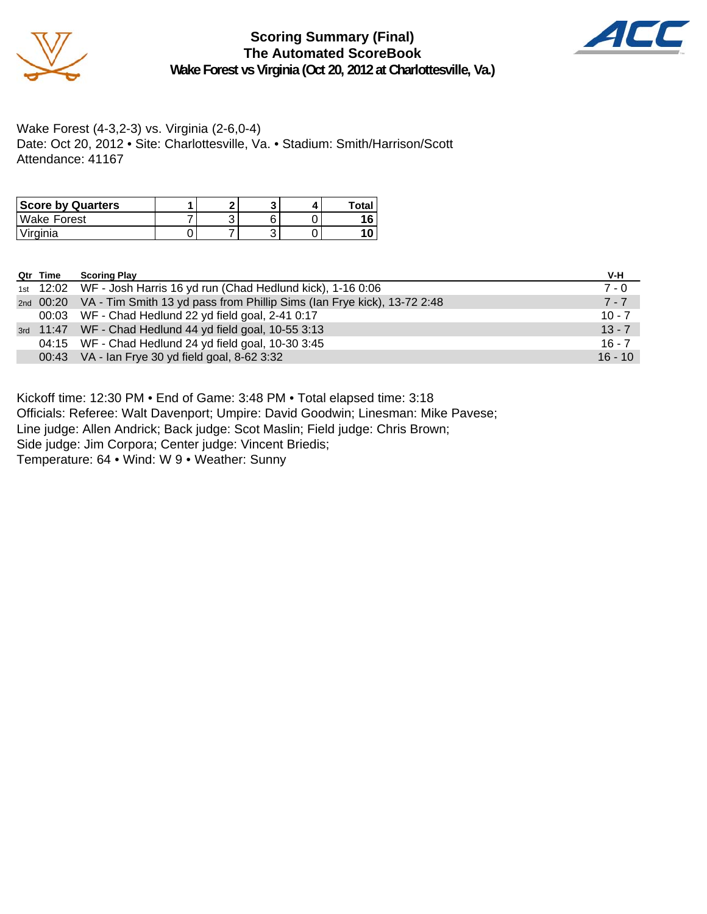

**Scoring Summary (Final) The Automated ScoreBook Wake Forest vs Virginia (Oct 20, 2012 at Charlottesville, Va.)**



Wake Forest (4-3,2-3) vs. Virginia (2-6,0-4) Date: Oct 20, 2012 • Site: Charlottesville, Va. • Stadium: Smith/Harrison/Scott Attendance: 41167

| <b>Score by Quarters</b> |  |  | Total |
|--------------------------|--|--|-------|
| Wake Forest              |  |  |       |
| Virginia                 |  |  |       |

| Qtr Time | <b>Scoring Play</b>                                                               | V-H       |
|----------|-----------------------------------------------------------------------------------|-----------|
|          | 1st 12:02 WF - Josh Harris 16 yd run (Chad Hedlund kick), 1-16 0:06               | $7 - 0$   |
|          | 2nd 00:20 VA - Tim Smith 13 yd pass from Phillip Sims (Ian Frye kick), 13-72 2:48 | $7 - 7$   |
|          | 00:03 WF - Chad Hedlund 22 yd field goal, 2-41 0:17                               | $10 - 7$  |
|          | 3rd 11:47 WF - Chad Hedlund 44 yd field goal, 10-55 3:13                          | $13 - 7$  |
|          | 04:15 WF - Chad Hedlund 24 yd field goal, 10-30 3:45                              | $16 - 7$  |
|          | 00:43 VA - Ian Frye 30 yd field goal, 8-62 3:32                                   | $16 - 10$ |

Kickoff time: 12:30 PM • End of Game: 3:48 PM • Total elapsed time: 3:18

Officials: Referee: Walt Davenport; Umpire: David Goodwin; Linesman: Mike Pavese;

Line judge: Allen Andrick; Back judge: Scot Maslin; Field judge: Chris Brown;

Side judge: Jim Corpora; Center judge: Vincent Briedis;

Temperature: 64 • Wind: W 9 • Weather: Sunny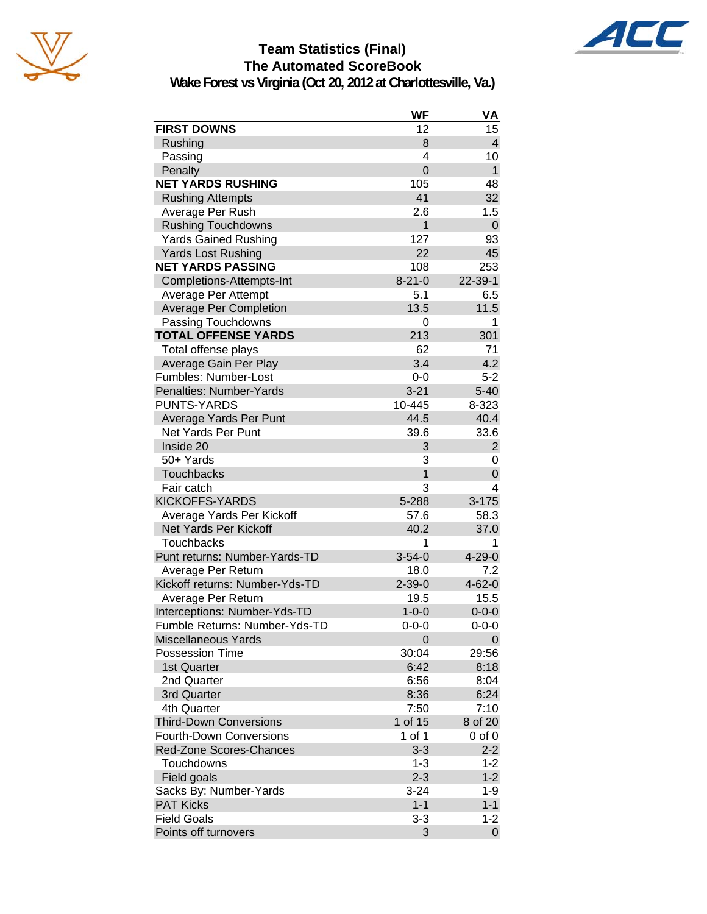



AC

**Wake Forest vs Virginia (Oct 20, 2012 at Charlottesville, Va.)**

|                                | WF             | VA             |
|--------------------------------|----------------|----------------|
| <b>FIRST DOWNS</b>             | 12             | 15             |
| Rushing                        | 8              | $\overline{4}$ |
| Passing                        | 4              | 10             |
| Penalty                        | $\overline{0}$ | $\mathbf{1}$   |
| <b>NET YARDS RUSHING</b>       | 105            | 48             |
| <b>Rushing Attempts</b>        | 41             | 32             |
| Average Per Rush               | 2.6            | 1.5            |
| <b>Rushing Touchdowns</b>      | $\mathbf{1}$   | $\mathbf 0$    |
| <b>Yards Gained Rushing</b>    | 127            | 93             |
| Yards Lost Rushing             | 22             | 45             |
| <b>NET YARDS PASSING</b>       | 108            | 253            |
| Completions-Attempts-Int       | $8 - 21 - 0$   | $22 - 39 - 1$  |
| Average Per Attempt            | 5.1            | 6.5            |
| <b>Average Per Completion</b>  | 13.5           | 11.5           |
| Passing Touchdowns             | 0              | 1              |
| <b>TOTAL OFFENSE YARDS</b>     | 213            | 301            |
| Total offense plays            | 62             | 71             |
| Average Gain Per Play          | 3.4            | 4.2            |
| Fumbles: Number-Lost           | $0 - 0$        | $5 - 2$        |
| Penalties: Number-Yards        | $3 - 21$       | $5 - 40$       |
| <b>PUNTS-YARDS</b>             | 10-445         | 8-323          |
| Average Yards Per Punt         | 44.5           | 40.4           |
| Net Yards Per Punt             | 39.6           | 33.6           |
| Inside 20                      | 3              | $\overline{2}$ |
| 50+ Yards                      | 3              | 0              |
| <b>Touchbacks</b>              | 1              | 0              |
| Fair catch                     | 3              | 4              |
| <b>KICKOFFS-YARDS</b>          | 5-288          | $3 - 175$      |
| Average Yards Per Kickoff      | 57.6           | 58.3           |
| Net Yards Per Kickoff          | 40.2           | 37.0           |
| <b>Touchbacks</b>              | 1              | 1              |
| Punt returns: Number-Yards-TD  | $3 - 54 - 0$   | $4 - 29 - 0$   |
| Average Per Return             | 18.0           | 7.2            |
| Kickoff returns: Number-Yds-TD | $2 - 39 - 0$   | $4 - 62 - 0$   |
| Average Per Return             | 19.5           | 15.5           |
| Interceptions: Number-Yds-TD   | $1 - 0 - 0$    | $0 - 0 - 0$    |
| Fumble Returns: Number-Yds-TD  | 0-0-0          | $0 - 0 - 0$    |
| <b>Miscellaneous Yards</b>     | 0              | 0              |
| <b>Possession Time</b>         | 30:04          | 29:56          |
| 1st Quarter                    | 6:42           | 8:18           |
| 2nd Quarter                    | 6:56           | 8:04           |
| 3rd Quarter                    | 8:36           | 6:24           |
| 4th Quarter                    | 7:50           | 7:10           |
| <b>Third-Down Conversions</b>  | 1 of 15        | 8 of 20        |
| <b>Fourth-Down Conversions</b> | 1 of 1         | $0$ of $0$     |
| Red-Zone Scores-Chances        | $3 - 3$        | $2 - 2$        |
| Touchdowns                     | $1 - 3$        | 1-2            |
| Field goals                    | $2 - 3$        | $1 - 2$        |
| Sacks By: Number-Yards         | $3 - 24$       | $1 - 9$        |
| <b>PAT Kicks</b>               | $1 - 1$        | $1 - 1$        |
| <b>Field Goals</b>             | $3 - 3$        | $1 - 2$        |
| Points off turnovers           | 3              | 0              |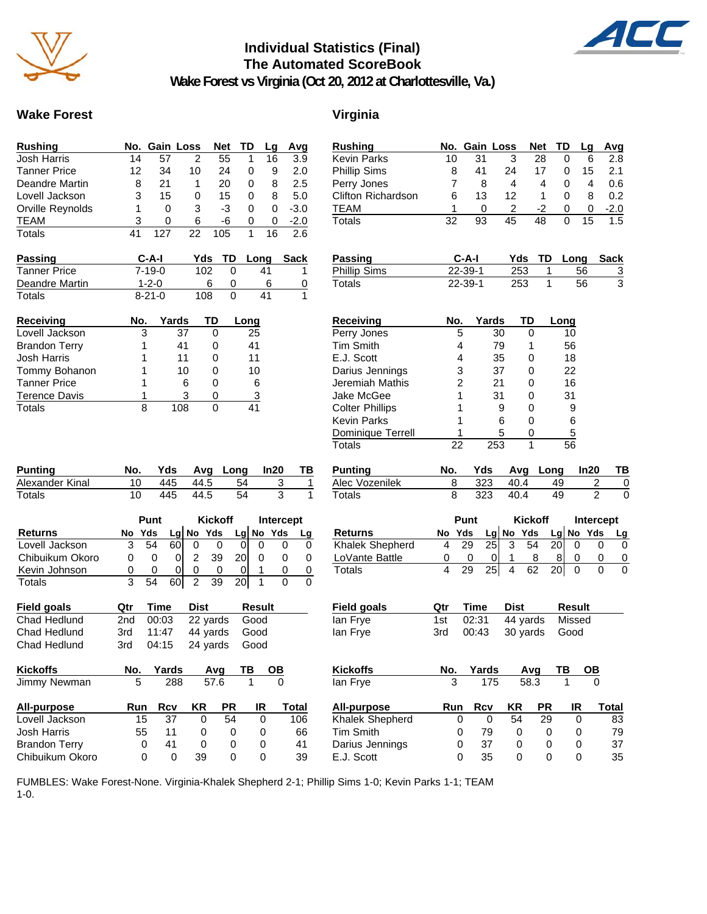

# **Individual Statistics (Final) The Automated ScoreBook**



**Wake Forest vs Virginia (Oct 20, 2012 at Charlottesville, Va.)**

## Wake Forest **Virginia**

| <b>Rushing</b>       |     | No. Gain Loss |       |             | <b>Net</b> | TD   | Lg   | Avg         |
|----------------------|-----|---------------|-------|-------------|------------|------|------|-------------|
| <b>Josh Harris</b>   | 14  | 57            | 2     |             | 55         | 1    | 16   | 3.9         |
| <b>Tanner Price</b>  | 12  | 34            | 10    |             | 24         | 0    | 9    | 2.0         |
| Deandre Martin       | 8   | 21            | 1     |             | 20         | 0    | 8    | 2.5         |
| Lovell Jackson       | 3   | 15            | 0     |             | 15         | 0    | 8    | 5.0         |
| Orville Reynolds     | 1   | 0             | 3     |             | -3         | 0    | 0    | $-3.0$      |
| <b>TEAM</b>          | 3   | 0             | 6     |             | -6         | 0    | 0    | $-2.0$      |
| Totals               | 41  | 127           | 22    |             | 105        | 1    | 16   | 2.6         |
| Passing              |     | C-A-I         |       | Yds         | TD         |      | Long | <b>Sack</b> |
| <b>Tanner Price</b>  |     | $7 - 19 - 0$  |       | 102<br>0    |            |      | 41   | 1           |
| Deandre Martin       |     | $1 - 2 - 0$   |       | 6           | 0          |      | 6    | 0           |
| Totals               |     | $8 - 21 - 0$  |       | 108         | 0          |      | 41   | 1           |
| <b>Receiving</b>     | No. |               | Yards | TD          |            | Long |      |             |
| Lovell Jackson       |     | 3             | 37    | 0           |            | 25   |      |             |
| <b>Brandon Terry</b> |     | 1             | 41    | 0           |            | 41   |      |             |
| <b>Josh Harris</b>   |     | 1             | 11    | 0           |            | 11   |      |             |
| Tommy Bohanon        |     | 1             | 10    | 0           |            | 10   |      |             |
| <b>Tanner Price</b>  |     | 1             | 6     | 0           |            | 6    |      |             |
| <b>Terence Davis</b> |     | 1             | 3     | 0           |            | 3    |      |             |
| Totals               |     | 8             | 108   | $\mathbf 0$ |            | 41   |      |             |
|                      |     |               |       |             |            |      |      |             |

| <b>Punting</b>  | No. |          | Yds Avg Long In20 | TB |
|-----------------|-----|----------|-------------------|----|
| Alexander Kinal |     | 445 44.5 | -54               |    |
| Totals          |     | 445 44.5 | 54                |    |

|                 | Punt |        |    |   | <b>Kickoff</b> |     | Intercept |             |    |
|-----------------|------|--------|----|---|----------------|-----|-----------|-------------|----|
| <b>Returns</b>  |      | No Yds |    |   | $Lg$ No Yds    |     |           | $Lg$ No Yds | Lg |
| Lovell Jackson  |      | 54     | 60 |   |                |     |           |             |    |
| Chibuikum Okoro |      |        |    | っ | 39             | 20I |           |             |    |
| Kevin Johnson   |      |        |    | 0 |                |     |           |             |    |
| Totals          |      |        |    |   | 39             |     |           |             |    |

| Field goals  | Otr. | Time      | Dist                | Result |
|--------------|------|-----------|---------------------|--------|
| Chad Hedlund |      | 2nd 00:03 | 22 yards Good       |        |
| Chad Hedlund | 3rd  | 11:47     | 44 yards Good       |        |
| Chad Hedlund | 3rd  |           | 04:15 24 yards Good |        |

| <b>Kickoffs</b>      | No. | Yards |    | Avq  | ТB | OΒ    |
|----------------------|-----|-------|----|------|----|-------|
| Jimmy Newman         | 5   | 288   |    | 57.6 |    |       |
| All-purpose          | Run | Rcv   | KR | РR   | IR | Total |
| Lovell Jackson       | 15  | 37    | Ω  | 54   | Ω  | 106   |
| <b>Josh Harris</b>   | 55  | 11    | Ω  | 0    | Ω  | 66    |
| <b>Brandon Terry</b> | 0   | 41    | Ω  | 0    | Ω  | 41    |
| Chibuikum Okoro      |     | 0     | 39 | 0    | O  | 39    |

| <b>Rushing</b>         | No. |               | Gain Loss               | <b>Net</b> | TD              | Lg            | Avg                    |   |
|------------------------|-----|---------------|-------------------------|------------|-----------------|---------------|------------------------|---|
| <b>Kevin Parks</b>     | 10  | 31            | 3                       | 28         | 0               | 6             | 2.8                    |   |
| <b>Phillip Sims</b>    | 8   | 41            | 24                      | 17         | 0               | 15            | 2.1                    |   |
| Perry Jones            | 7   | 8             | 4                       | 4          | 0               | 4             | 0.6                    |   |
| Clifton Richardson     | 6   | 13            | 12                      | 1          | 0               | 8             | 0.2                    |   |
| <b>TEAM</b>            | 1   | 0             | $\overline{\mathbf{c}}$ | -2         | 0               | 0             | $-2.0$                 |   |
| Totals                 | 32  | 93            | 45                      | 48         | 0               | 15            | 1.5                    |   |
| <b>Passing</b>         |     | $C-A-I$       |                         | Yds<br>TD  |                 | Long          | Sack                   |   |
| <b>Phillip Sims</b>    |     | $22 - 39 - 1$ |                         | 253        | 1               | 56            | $\overline{3}$         |   |
| <b>Totals</b>          |     | $22 - 39 - 1$ |                         | 253        | 1               | 56            | $\overline{3}$         |   |
| Receiving              | No. |               | Yards                   | TD         | Long            |               |                        |   |
| Perry Jones            |     | 5             | 30                      | 0          | 10              |               |                        |   |
| <b>Tim Smith</b>       |     | 4             | 79                      | 1          | 56              |               |                        |   |
| E.J. Scott             |     | 4             | 35                      | 0          | 18              |               |                        |   |
| Darius Jennings        |     | 3             | 37                      | 0          | 22              |               |                        |   |
| Jeremiah Mathis        |     | 2             | 21                      | 0          | 16              |               |                        |   |
| Jake McGee             |     | 1             | 31                      | 0          | 31              |               |                        |   |
| <b>Colter Phillips</b> |     | 1             | 9                       | 0          |                 | 9             |                        |   |
| <b>Kevin Parks</b>     |     | 1             | 6                       | 0          |                 | 6             |                        |   |
| Dominique Terrell      |     | 1             | 5                       | 0          |                 | 5             |                        |   |
| Totals                 | 22  |               | 253                     | 1          | 56              |               |                        |   |
| <b>Punting</b>         | No. | Yds           |                         | Avg        | Long            | ln20          | ΤВ                     |   |
| Alec Vozenilek         | 8   | 323           |                         | 40.4       | 49              |               | 2                      | 0 |
| Totals                 | 8   | 323           |                         | 40.4       | 49              |               | $\mathfrak{p}$         | 0 |
| <b>Returns</b>         | No  | Punt<br>Yds   | Lg No Yds               | Kickoff    | Lg              | No<br>Yds     | Intercept<br><u>Lg</u> |   |
| Khalek Shepherd        | 4   | 29            | 25<br>3                 | 54         | 20              | 0             | 0<br>0                 |   |
| LoVante Battle         | 0   | 0             | 0<br>1                  | 8          | 8               | 0             | 0<br>0                 |   |
| <b>Totals</b>          | 4   | 29            | 4<br>25                 | 62         | 20 <sub>l</sub> | 0             | 0<br>0                 |   |
| <b>Field goals</b>     | Qtr | Time          | <b>Dist</b>             |            |                 | <b>Result</b> |                        |   |
| lan Frye               | 1st | 02:31         |                         | 44 yards   |                 | Missed        |                        |   |
| lan Frye               | 3rd | 00:43         |                         | 30 yards   | Good            |               |                        |   |
| Kickoffs               | No. | Yards         |                         | Avg        | ТВ              |               |                        |   |
| lan Frye               | 3   |               | 175                     | 58.3       | 1               |               |                        |   |
| <b>All-purpose</b>     | Run | Rcv           | ΚR                      | PR         |                 | IR            | <b>Total</b>           |   |

Khalek Shepherd 0 0 54 29 0 83 Tim Smith  $\begin{array}{cccc} 0 & 79 & 0 & 0 & 0 & 79 \\ 0 & 37 & 0 & 0 & 0 & 37 \end{array}$ Darius Jennings 0 37 0 0 0 37<br>
E.J. Scott 0 35 0 0 0 35 E.J. Scott 0 35 0 0 0 35

FUMBLES: Wake Forest-None. Virginia-Khalek Shepherd 2-1; Phillip Sims 1-0; Kevin Parks 1-1; TEAM 1-0.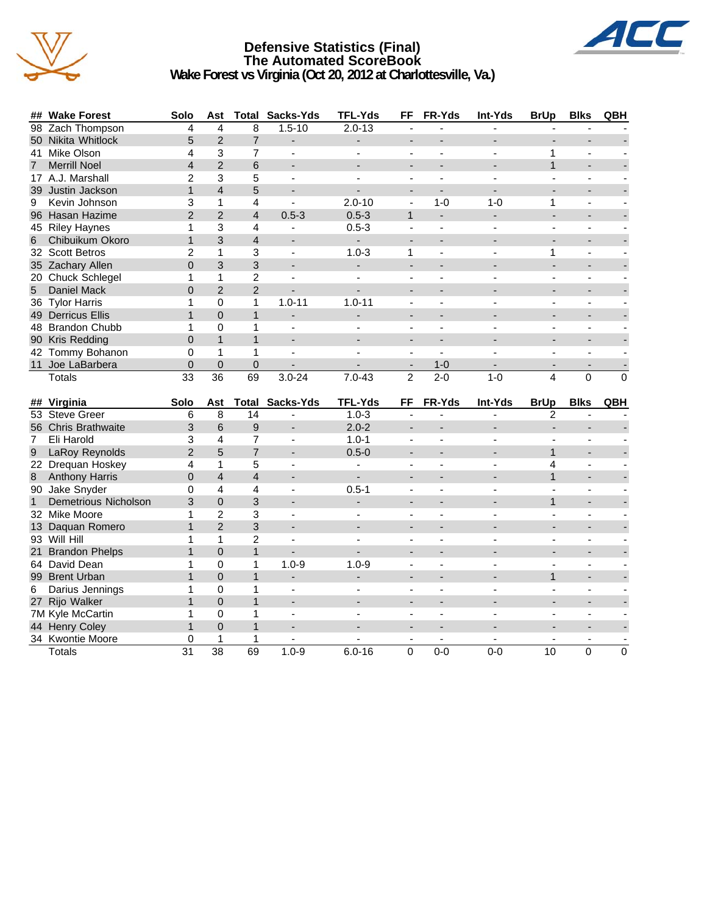

## **Defensive Statistics (Final) The Automated ScoreBook Wake Forest vs Virginia (Oct 20, 2012 at Charlottesville, Va.)**



|                | ## Wake Forest        | Solo                 | Ast                  |                | <b>Total Sacks-Yds</b>                | <b>TFL-Yds</b>           | FF                       | FR-Yds                   | Int-Yds           | <b>BrUp</b>              | <b>Blks</b>              | QBH      |
|----------------|-----------------------|----------------------|----------------------|----------------|---------------------------------------|--------------------------|--------------------------|--------------------------|-------------------|--------------------------|--------------------------|----------|
|                | 98 Zach Thompson      | 4                    | 4                    | 8              | $1.5 - 10$                            | $2.0 - 13$               |                          |                          |                   |                          |                          |          |
|                | 50 Nikita Whitlock    | 5                    | $\overline{2}$       | $\overline{7}$ |                                       |                          |                          |                          |                   |                          |                          |          |
|                | 41 Mike Olson         | 4                    | 3                    | 7              | $\blacksquare$                        | $\sim$                   | $\blacksquare$           | $\overline{a}$           | ÷                 | 1                        | $\blacksquare$           |          |
| $\overline{7}$ | <b>Merrill Noel</b>   | $\overline{4}$       | $\overline{2}$       | 6              |                                       |                          |                          |                          |                   | $\mathbf{1}$             |                          |          |
|                | 17 A.J. Marshall      | 2                    | 3                    | 5              | $\overline{\phantom{a}}$              |                          | $\blacksquare$           | ÷,                       |                   |                          | $\blacksquare$           |          |
|                | 39 Justin Jackson     | $\mathbf{1}$         | $\overline{4}$       | 5              |                                       |                          | $\overline{a}$           | $\overline{\phantom{a}}$ |                   |                          |                          |          |
| 9              | Kevin Johnson         | 3                    | 1                    | 4              | ä,                                    | $2.0 - 10$               | $\blacksquare$           | $1 - 0$                  | $1 - 0$           | 1                        | $\overline{a}$           |          |
|                | 96 Hasan Hazime       | $\overline{2}$       | $\overline{2}$       | $\overline{4}$ | $0.5 - 3$                             | $0.5 - 3$                | $\mathbf{1}$             | ÷.                       | L,                |                          |                          |          |
|                | 45 Riley Haynes       | 1                    | 3                    | 4              |                                       | $0.5 - 3$                | $\blacksquare$           |                          |                   |                          | $\overline{a}$           |          |
| 6              | Chibuikum Okoro       | 1                    | 3                    | $\overline{4}$ | $\overline{a}$                        | ÷.                       | $\overline{a}$           | L.                       |                   |                          |                          |          |
|                | 32 Scott Betros       | 2                    | 1                    | 3              | $\blacksquare$                        | $1.0 - 3$                | 1                        | $\blacksquare$           | ÷,                | 1                        | $\blacksquare$           |          |
|                | 35 Zachary Allen      | $\overline{0}$       | 3                    | 3              |                                       |                          |                          |                          |                   |                          |                          |          |
|                | 20 Chuck Schlegel     | 1                    | 1                    | 2              | ÷                                     | $\overline{\phantom{a}}$ | $\overline{\phantom{a}}$ | $\overline{\phantom{a}}$ |                   |                          | ÷,                       |          |
| 5              | Daniel Mack           | $\Omega$             | $\overline{2}$       | $\overline{2}$ |                                       |                          |                          |                          |                   |                          |                          |          |
|                | 36 Tylor Harris       | 1                    | $\mathbf 0$          | 1              | $1.0 - 11$                            | $1.0 - 11$               | $\overline{a}$           |                          |                   |                          |                          |          |
|                | 49 Derricus Ellis     | 1                    | $\Omega$             | 1              | ÷                                     | $\overline{\phantom{m}}$ |                          |                          |                   |                          |                          |          |
|                | 48 Brandon Chubb      | 1                    | $\mathbf 0$          | 1              | $\overline{\phantom{a}}$              | $\sim$                   | $\overline{a}$           | ÷                        | ÷                 | $\sim$                   | $\overline{a}$           |          |
|                | 90 Kris Redding       | $\overline{0}$       | $\mathbf{1}$         | $\mathbf{1}$   | $\overline{\phantom{a}}$              |                          | ۰                        | $\overline{\phantom{a}}$ |                   |                          |                          |          |
|                | 42 Tommy Bohanon      | 0                    | $\mathbf{1}$         | $\mathbf{1}$   | $\overline{\phantom{a}}$              |                          | $\blacksquare$           | $\mathbf{r}$             |                   | $\overline{\phantom{a}}$ | $\overline{a}$           |          |
|                | 11 Joe LaBarbera      | $\Omega$             | $\Omega$             | $\Omega$       |                                       |                          |                          | $1-0$                    |                   |                          |                          |          |
|                | Totals                | 33                   | $\overline{36}$      | 69             | $3.0 - 24$                            | $7.0 - 43$               | $\overline{2}$           | $2 - 0$                  | $1 - 0$           | $\overline{4}$           | $\overline{0}$           | $\Omega$ |
|                |                       |                      |                      |                |                                       |                          |                          |                          |                   |                          |                          |          |
|                |                       |                      |                      |                |                                       |                          |                          |                          |                   |                          |                          |          |
|                | ## Virginia           | Solo                 | Ast                  |                | <b>Total Sacks-Yds</b>                | <b>TFL-Yds</b>           | FF                       | FR-Yds                   | Int-Yds           | <b>BrUp</b>              | <b>Blks</b>              | QBH      |
|                | 53 Steve Greer        | 6                    | 8                    | 14             |                                       | $1.0 - 3$                |                          |                          |                   | 2                        |                          |          |
|                | 56 Chris Brathwaite   | 3                    | 6                    | 9              | ٠                                     | $2.0 - 2$                | $\overline{a}$           |                          |                   |                          |                          |          |
| 7              | Eli Harold            | 3                    | 4                    | $\overline{7}$ | ÷,                                    | $1.0 - 1$                | $\blacksquare$           | ä,                       | ÷,                |                          | $\blacksquare$           |          |
| 9              | LaRoy Reynolds        | $\overline{2}$       | 5                    | $\overline{7}$ |                                       | $0.5 - 0$                |                          |                          |                   | $\mathbf 1$              |                          |          |
|                | 22 Drequan Hoskey     | 4                    | 1                    | 5              | $\blacksquare$                        | $\blacksquare$           | $\blacksquare$           | ÷                        | L.                | 4                        | $\blacksquare$           |          |
| $\,8\,$        | <b>Anthony Harris</b> | $\mathbf 0$          | $\overline{4}$       | $\overline{4}$ |                                       |                          |                          |                          |                   | $\mathbf{1}$             |                          |          |
|                | 90 Jake Snyder        | 0                    | 4                    | $\overline{4}$ | ٠                                     | $0.5 - 1$                | $\blacksquare$           | ٠                        |                   |                          | $\blacksquare$           |          |
| $\mathbf{1}$   | Demetrious Nicholson  | 3                    | $\overline{0}$       | 3              |                                       |                          | $\blacksquare$           |                          |                   | $\ddot{\phantom{1}}$     |                          |          |
|                | 32 Mike Moore         | 1                    | $\overline{c}$       | 3              | ÷,                                    | $\overline{\phantom{a}}$ | $\blacksquare$           | $\overline{\phantom{a}}$ |                   |                          | $\overline{\phantom{a}}$ |          |
|                | 13 Daquan Romero      | $\mathbf{1}$         | $\overline{2}$       | 3              |                                       |                          |                          |                          |                   |                          |                          |          |
|                | 93 Will Hill          | 1                    | 1                    | $\overline{2}$ | ÷,                                    |                          | L,                       | $\overline{a}$           |                   |                          | $\overline{a}$           |          |
|                | 21 Brandon Phelps     | 1                    | $\Omega$             | $\mathbf{1}$   | L,                                    |                          | ۰                        | ÷                        |                   |                          |                          |          |
|                | 64 David Dean         | 1                    | $\Omega$             | 1              | $1.0 - 9$                             | $1.0 - 9$                | $\overline{\phantom{a}}$ | ä,                       | ÷,                | $\overline{a}$           | $\blacksquare$           |          |
|                | 99 Brent Urban        | $\mathbf{1}$         | $\Omega$             | $\mathbf{1}$   |                                       |                          |                          |                          |                   | $\mathbf{1}$             |                          |          |
| 6              | Darius Jennings       | 1                    | $\Omega$             | 1              | $\blacksquare$                        | ÷,                       | $\blacksquare$           | $\blacksquare$           |                   | $\sim$                   | $\blacksquare$           |          |
|                | 27 Rijo Walker        | $\mathbf{1}$         | $\Omega$             | $\mathbf{1}$   | $\overline{\phantom{a}}$              |                          |                          |                          |                   |                          |                          |          |
|                | 7M Kyle McCartin      | 1                    | $\mathbf 0$          | 1              | ä,                                    |                          | $\blacksquare$           |                          |                   |                          |                          |          |
|                | 44 Henry Coley        | 1                    | $\Omega$             | $\mathbf{1}$   |                                       |                          |                          |                          |                   |                          |                          |          |
|                | 34 Kwontie Moore      | 0<br>$\overline{31}$ | 1<br>$\overline{38}$ | 1<br>69        | $\overline{\phantom{a}}$<br>$1.0 - 9$ | $6.0 - 16$               | $\overline{\phantom{a}}$ | $\sim$<br>$0 - 0$        | $\sim$<br>$0 - 0$ | 10                       | $\overline{a}$           |          |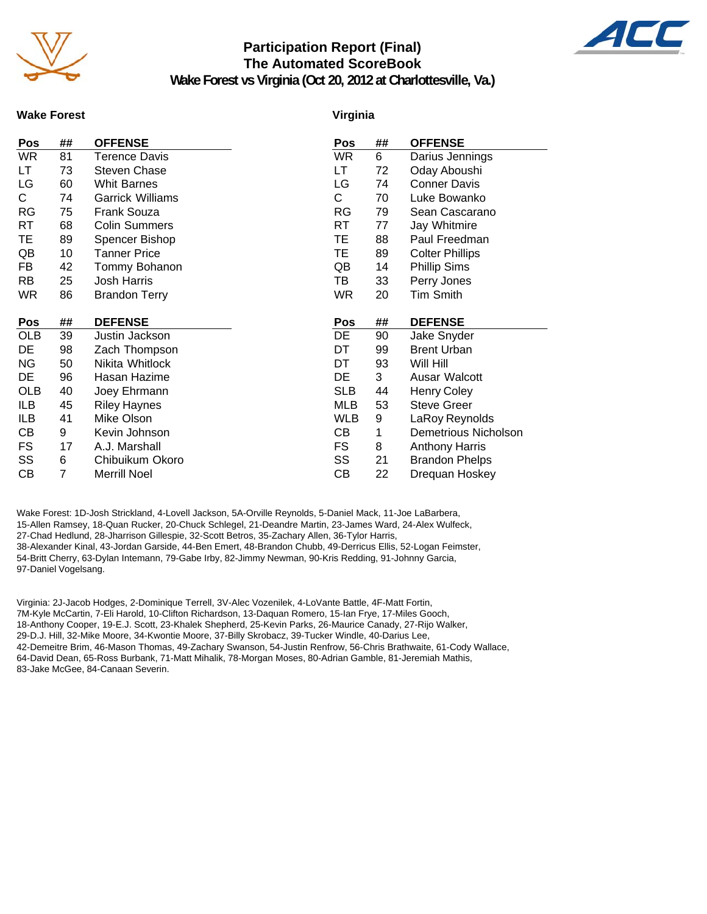

## **Participation Report (Final) The Automated ScoreBook**



**Wake Forest vs Virginia (Oct 20, 2012 at Charlottesville, Va.)**

### **Wake Forest**

### **Virginia**

| Pos        | ## | <b>OFFENSE</b>          | Pos        | ## | <b>OFFENSE</b>         |
|------------|----|-------------------------|------------|----|------------------------|
| <b>WR</b>  | 81 | Terence Davis           | WR         | 6  | Darius Jennings        |
| LT         | 73 | <b>Steven Chase</b>     | LT.        | 72 | Oday Aboushi           |
| LG         | 60 | <b>Whit Barnes</b>      | LG         | 74 | <b>Conner Davis</b>    |
| C.         | 74 | <b>Garrick Williams</b> | С          | 70 | Luke Bowanko           |
| RG         | 75 | <b>Frank Souza</b>      | RG         | 79 | Sean Cascarano         |
| RT         | 68 | <b>Colin Summers</b>    | RT         | 77 | Jay Whitmire           |
| ТE         | 89 | Spencer Bishop          | ТE         | 88 | Paul Freedman          |
| QB         | 10 | <b>Tanner Price</b>     | ТE         | 89 | <b>Colter Phillips</b> |
| FB         | 42 | Tommy Bohanon           | QB         | 14 | <b>Phillip Sims</b>    |
| <b>RB</b>  | 25 | <b>Josh Harris</b>      | ТB         | 33 | Perry Jones            |
| <b>WR</b>  | 86 | <b>Brandon Terry</b>    | WR         | 20 | <b>Tim Smith</b>       |
|            |    |                         |            |    |                        |
| Pos        | ## | <b>DEFENSE</b>          | Pos        | ## | <b>DEFENSE</b>         |
| OLB        | 39 | Justin Jackson          | DE         | 90 | Jake Snyder            |
| DE         | 98 | Zach Thompson           | DT         | 99 | <b>Brent Urban</b>     |
| ΝG         | 50 | Nikita Whitlock         | DT         | 93 | Will Hill              |
| DE         | 96 | Hasan Hazime            | DE         | 3  | Ausar Walcott          |
| <b>OLB</b> | 40 | Joey Ehrmann            | <b>SLB</b> | 44 | <b>Henry Coley</b>     |
| ILB        | 45 | <b>Riley Haynes</b>     | MLB        | 53 | <b>Steve Greer</b>     |
| ILB        |    |                         |            |    |                        |
|            | 41 | Mike Olson              | <b>WLB</b> | 9  | LaRoy Reynolds         |
| CВ         | 9  | Kevin Johnson           | CВ         | 1  | Demetrious Nicholson   |
| FS         | 17 | A.J. Marshall           | FS         | 8  | <b>Anthony Harris</b>  |
| SS         | 6  | Chibuikum Okoro         | SS         | 21 | <b>Brandon Phelps</b>  |

Wake Forest: 1D-Josh Strickland, 4-Lovell Jackson, 5A-Orville Reynolds, 5-Daniel Mack, 11-Joe LaBarbera, 15-Allen Ramsey, 18-Quan Rucker, 20-Chuck Schlegel, 21-Deandre Martin, 23-James Ward, 24-Alex Wulfeck, 27-Chad Hedlund, 28-Jharrison Gillespie, 32-Scott Betros, 35-Zachary Allen, 36-Tylor Harris, 38-Alexander Kinal, 43-Jordan Garside, 44-Ben Emert, 48-Brandon Chubb, 49-Derricus Ellis, 52-Logan Feimster, 54-Britt Cherry, 63-Dylan Intemann, 79-Gabe Irby, 82-Jimmy Newman, 90-Kris Redding, 91-Johnny Garcia, 97-Daniel Vogelsang.

Virginia: 2J-Jacob Hodges, 2-Dominique Terrell, 3V-Alec Vozenilek, 4-LoVante Battle, 4F-Matt Fortin, 7M-Kyle McCartin, 7-Eli Harold, 10-Clifton Richardson, 13-Daquan Romero, 15-Ian Frye, 17-Miles Gooch, 18-Anthony Cooper, 19-E.J. Scott, 23-Khalek Shepherd, 25-Kevin Parks, 26-Maurice Canady, 27-Rijo Walker, 29-D.J. Hill, 32-Mike Moore, 34-Kwontie Moore, 37-Billy Skrobacz, 39-Tucker Windle, 40-Darius Lee, 42-Demeitre Brim, 46-Mason Thomas, 49-Zachary Swanson, 54-Justin Renfrow, 56-Chris Brathwaite, 61-Cody Wallace, 64-David Dean, 65-Ross Burbank, 71-Matt Mihalik, 78-Morgan Moses, 80-Adrian Gamble, 81-Jeremiah Mathis, 83-Jake McGee, 84-Canaan Severin.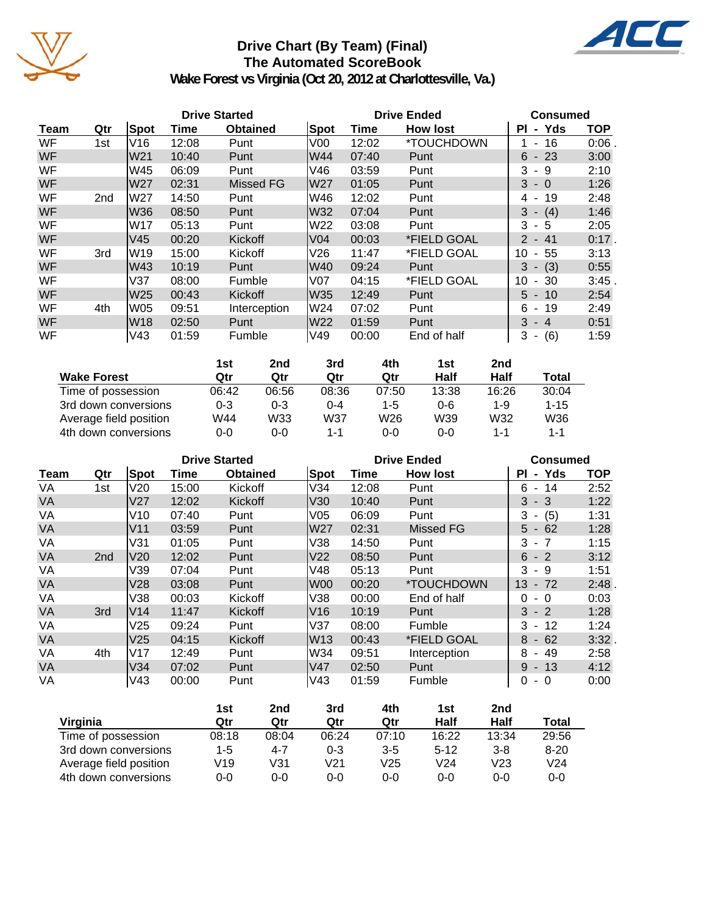

# **Drive Chart (By Team) (Final) The Automated ScoreBook**



**Wake Forest vs Virginia (Oct 20, 2012 at Charlottesville, Va.)**

|           |                 |                 |       | <b>Drive Started</b> |                 | <b>Drive Ended</b> | <b>Consumed</b> |                             |            |
|-----------|-----------------|-----------------|-------|----------------------|-----------------|--------------------|-----------------|-----------------------------|------------|
| Team      | Qtr             | Spot            | Time  | <b>Obtained</b>      | Spot            | Time               | <b>How lost</b> | - Yds<br><b>PI</b>          | <b>TOP</b> |
| WF        | 1st             | V16             | 12:08 | Punt                 | V <sub>00</sub> | 12:02              | *TOUCHDOWN      | $-16$                       | 0:06       |
| <b>WF</b> |                 | W <sub>21</sub> | 10:40 | Punt                 | W44             | 07:40              | Punt            | $6 - 23$                    | 3:00       |
| WF        |                 | W45             | 06:09 | Punt                 | V46             | 03:59              | Punt            | 3<br>- 9                    | 2:10       |
| <b>WF</b> |                 | W27             | 02:31 | Missed FG            | W27             | 01:05              | Punt            | $3 - 0$                     | 1:26       |
| WF        | 2 <sub>nd</sub> | lW27            | 14:50 | Punt                 | lW46            | 12:02              | Punt            | 4 - 19                      | 2:48       |
| <b>WF</b> |                 | W36             | 08:50 | Punt                 | lW32            | 07:04              | Punt            | $3 - (4)$                   | 1:46       |
| WF        |                 | lW17            | 05:13 | Punt                 | W22             | 03:08              | Punt            | 3<br>- 5                    | 2:05       |
| <b>WF</b> |                 | V45             | 00:20 | Kickoff              | V04             | 00:03              | *FIELD GOAL     | $-41$<br>$\mathcal{P}$      | $0:17$ .   |
| WF        | 3rd             | lW19            | 15:00 | Kickoff              | V26             | 11:47              | *FIELD GOAL     | 55<br>10<br>$\blacksquare$  | 3:13       |
| <b>WF</b> |                 | W43             | 10:19 | Punt                 | W40             | 09:24              | Punt            | $3 - (3)$                   | 0:55       |
| WF        |                 | V37             | 08:00 | Fumble               | lV07            | 04:15              | *FIELD GOAL     | -30<br>10<br>$\blacksquare$ | 3:45       |
| <b>WF</b> |                 | W25             | 00:43 | Kickoff              | W35             | 12:49              | Punt            | $5 - 10$                    | 2:54       |
| WF        | 4th             | lW05            | 09:51 | Interception         | lW24            | 07:02              | Punt            | $6 - 19$                    | 2:49       |
| <b>WF</b> |                 | lW18            | 02:50 | Punt                 | W22             | 01:59              | Punt            | $3 - 4$                     | 0:51       |
| WF        |                 | V43             | 01:59 | Fumble               | V49             | 00:00              | End of half     | (6)<br>3<br>۰.              | 1:59       |

|                        | 1st     | 2nd     | 3rd   | 4th     | 1st     | 2 <sub>nd</sub> |          |
|------------------------|---------|---------|-------|---------|---------|-----------------|----------|
| <b>Wake Forest</b>     | Qtr     | Qtr     | Qtr   | Qtr     | Half    | Half            | Total    |
| Time of possession     | 06:42   | 06:56   | 08:36 | 07:50   | 13:38   | 16:26           | 30:04    |
| 3rd down conversions   | $0 - 3$ | $0 - 3$ | 0-4   | $1 - 5$ | $0 - 6$ | 1-9             | $1 - 15$ |
| Average field position | W44     | W33     | W37   | W26     | W39     | W32             | W36      |
| 4th down conversions   | 0-0     | $0 - 0$ | 1-1   | 0-0     | $0 - 0$ | 1-1             | 1-1      |

|           |                 |                 | <b>Drive Started</b> |                 |                 | <b>Drive Ended</b> | <b>Consumed</b> |                            |            |
|-----------|-----------------|-----------------|----------------------|-----------------|-----------------|--------------------|-----------------|----------------------------|------------|
| Team      | Qtr             | Spot            | Time                 | <b>Obtained</b> | <b>Spot</b>     | Time               | <b>How lost</b> | ΡI<br>- Yds                | <b>TOP</b> |
| VA        | 1st             | V20             | 15:00                | Kickoff         | V34             | 12:08              | Punt            | 6<br>14<br>$\sim$          | 2:52       |
| VA        |                 | V <sub>27</sub> | 12:02                | Kickoff         | V30             | 10:40              | Punt            | $3 - 3$                    | 1:22       |
| VA        |                 | V10             | 07:40                | Punt            | V <sub>05</sub> | 06:09              | Punt            | 3<br>(5)<br>$\blacksquare$ | 1:31       |
| <b>VA</b> |                 | V <sub>11</sub> | 03:59                | Punt            | W27             | 02:31              | Missed FG       | $5 - 62$                   | 1:28       |
| VA        |                 | V31             | 01:05                | Punt            | V38             | 14:50              | Punt            | 3<br>$-7$                  | 1:15       |
| <b>VA</b> | 2 <sub>nd</sub> | V <sub>20</sub> | 12:02                | Punt            | V <sub>22</sub> | 08:50              | Punt            | $6 - 2$                    | 3:12       |
| VA        |                 | V39             | 07:04                | Punt            | V48             | 05:13              | Punt            | 3<br>- 9                   | 1:51       |
| VA        |                 | V28             | 03:08                | Punt            | lW00            | 00:20              | *TOUCHDOWN      | 13<br>$-72$                | 2:48       |
| VA        |                 | V38             | 00:03                | Kickoff         | V38             | 00:00              | End of half     | $\Omega$<br>- 0            | 0:03       |
| <b>VA</b> | 3rd             | V14             | 11:47                | Kickoff         | V16             | 10:19              | Punt            | $3 - 2$                    | 1:28       |
| VA        |                 | V <sub>25</sub> | 09:24                | Punt            | lV37            | 08:00              | Fumble          | $3 -$<br>-12               | 1:24       |
| <b>VA</b> |                 | V <sub>25</sub> | 04:15                | Kickoff         | W13             | 00:43              | *FIELD GOAL     | 8<br>$-62$                 | 3:32.      |
| VA        | 4th             | V17             | 12:49                | Punt            | W34             | 09:51              | Interception    | 8<br>-49<br>$\blacksquare$ | 2:58       |
| <b>VA</b> |                 | V34             | 07:02                | Punt            | V47             | 02:50              | Punt            | $9 - 13$                   | 4:12       |
| VA        |                 | V43             | 00:00                | Punt            | V43             | 01:59              | Fumble          | 0<br>$-0$                  | 0:00       |

|                        | 1st   | 2nd   | 3rd     | 4th     | 1st             | 2nd     |                 |
|------------------------|-------|-------|---------|---------|-----------------|---------|-----------------|
| Virginia               | Qtr   | Qtr   | Qtr     | Qtr     | Half            | Half    | Total           |
| Time of possession     | 08:18 | 08:04 | 06:24   | 07:10   | 16:22           | 13:34   | 29:56           |
| 3rd down conversions   | 1-5   | 4-7   | $0 - 3$ | $3 - 5$ | $5 - 12$        | $3 - 8$ | $8 - 20$        |
| Average field position | V19   | V31   | V21     | V25     | V <sub>24</sub> | V23     | V <sub>24</sub> |
| 4th down conversions   | 0-0   | 0-0   | 0-0     | $0 - 0$ | $0 - 0$         | $0 - 0$ | $0 - 0$         |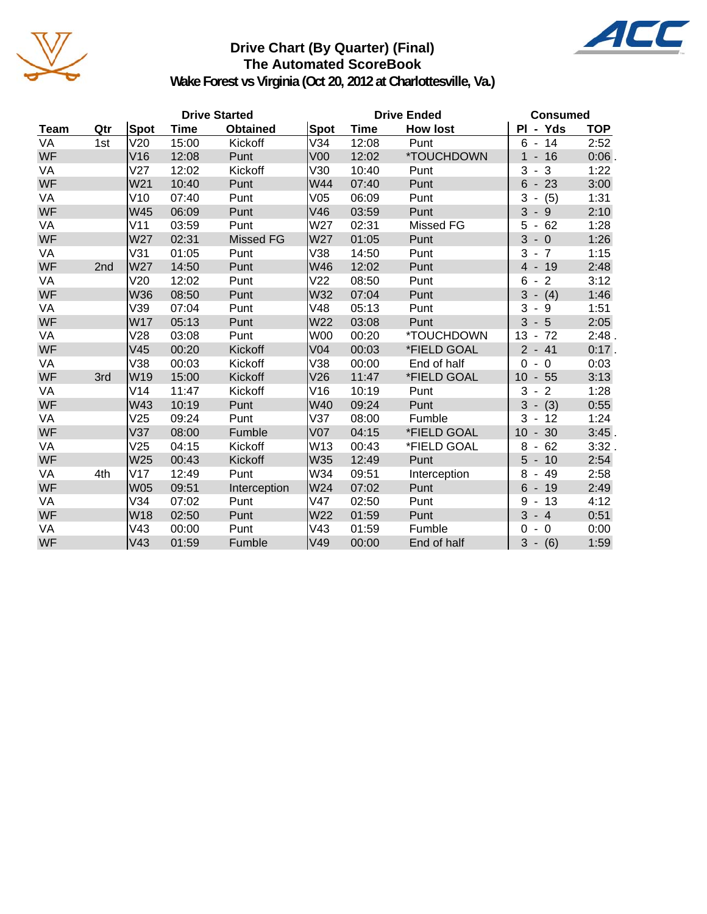

# **Drive Chart (By Quarter) (Final) The Automated ScoreBook**



**Wake Forest vs Virginia (Oct 20, 2012 at Charlottesville, Va.)**

|           | <b>Drive Started</b> |            |       |                  |                 | <b>Drive Ended</b> | <b>Consumed</b> |                                                        |            |
|-----------|----------------------|------------|-------|------------------|-----------------|--------------------|-----------------|--------------------------------------------------------|------------|
| Team      | Qtr                  | Spot       | Time  | <b>Obtained</b>  | Spot            | Time               | <b>How lost</b> | PI - Yds                                               | <b>TOP</b> |
| VA        | 1st                  | V20        | 15:00 | Kickoff          | V34             | 12:08              | Punt            | 6<br>14<br>$\sim$                                      | 2:52       |
| <b>WF</b> |                      | V16        | 12:08 | Punt             | V <sub>00</sub> | 12:02              | *TOUCHDOWN      | 1<br>$-16$                                             | 0:06       |
| VA        |                      | V27        | 12:02 | Kickoff          | V30             | 10:40              | Punt            | 3<br>3<br>$\overline{\phantom{a}}$                     | 1:22       |
| <b>WF</b> |                      | W21        | 10:40 | Punt             | W44             | 07:40              | Punt            | 6<br>23<br>$\overline{\phantom{a}}$                    | 3:00       |
| VA        |                      | V10        | 07:40 | Punt             | V05             | 06:09              | Punt            | 3<br>(5)<br>$\blacksquare$                             | 1:31       |
| <b>WF</b> |                      | W45        | 06:09 | Punt             | V46             | 03:59              | Punt            | 3<br>$-9$                                              | 2:10       |
| VA        |                      | V11        | 03:59 | Punt             | W27             | 02:31              | Missed FG       | 62<br>5<br>$\overline{\phantom{a}}$                    | 1:28       |
| <b>WF</b> |                      | W27        | 02:31 | <b>Missed FG</b> | W27             | 01:05              | Punt            | 3<br>$-0$                                              | 1:26       |
| VA        |                      | V31        | 01:05 | Punt             | V38             | 14:50              | Punt            | 3<br>$-7$                                              | 1:15       |
| <b>WF</b> | 2nd                  | W27        | 14:50 | Punt             | W46             | 12:02              | Punt            | $-19$<br>$\overline{4}$                                | 2:48       |
| VA        |                      | V20        | 12:02 | Punt             | V <sub>22</sub> | 08:50              | Punt            | $\overline{2}$<br>6<br>$\blacksquare$                  | 3:12       |
| <b>WF</b> |                      | W36        | 08:50 | Punt             | W32             | 07:04              | Punt            | 3<br>$-$ (4)                                           | 1:46       |
| VA        |                      | V39        | 07:04 | Punt             | V48             | 05:13              | Punt            | 3<br>- 9                                               | 1:51       |
| <b>WF</b> |                      | W17        | 05:13 | Punt             | W22             | 03:08              | Punt            | 3<br>$-5$                                              | 2:05       |
| VA        |                      | V28        | 03:08 | Punt             | W00             | 00:20              | *TOUCHDOWN      | 13<br>-72<br>$\blacksquare$                            | 2:48.      |
| <b>WF</b> |                      | V45        | 00:20 | Kickoff          | V <sub>04</sub> | 00:03              | *FIELD GOAL     | $2 - 41$                                               | $0:17$ .   |
| VA        |                      | V38        | 00:03 | Kickoff          | V38             | 00:00              | End of half     | $\overline{0}$<br>$\Omega$<br>$\overline{\phantom{a}}$ | 0:03       |
| <b>WF</b> | 3rd                  | W19        | 15:00 | Kickoff          | V26             | 11:47              | *FIELD GOAL     | $-55$<br>10                                            | 3:13       |
| VA        |                      | V14        | 11:47 | Kickoff          | V16             | 10:19              | Punt            | 3<br>$-2$                                              | 1:28       |
| <b>WF</b> |                      | W43        | 10:19 | Punt             | W40             | 09:24              | Punt            | 3<br>$-$ (3)                                           | 0:55       |
| VA        |                      | V25        | 09:24 | Punt             | V37             | 08:00              | Fumble          | 3<br>12<br>$\overline{\phantom{a}}$                    | 1:24       |
| <b>WF</b> |                      | V37        | 08:00 | Fumble           | V <sub>07</sub> | 04:15              | *FIELD GOAL     | $-30$<br>10                                            | 3:45       |
| VA        |                      | V25        | 04:15 | Kickoff          | W13             | 00:43              | *FIELD GOAL     | 62<br>8                                                | 3:32.      |
| WF        |                      | W25        | 00:43 | Kickoff          | W35             | 12:49              | Punt            | 5<br>10<br>$\overline{\phantom{a}}$                    | 2:54       |
| VA        | 4th                  | V17        | 12:49 | Punt             | W34             | 09:51              | Interception    | 8<br>49<br>$\blacksquare$                              | 2:58       |
| <b>WF</b> |                      | <b>W05</b> | 09:51 | Interception     | W24             | 07:02              | Punt            | 6<br>$-19$                                             | 2:49       |
| VA        |                      | V34        | 07:02 | Punt             | V47             | 02:50              | Punt            | 9<br>13<br>$\overline{\phantom{a}}$                    | 4:12       |
| WF        |                      | W18        | 02:50 | Punt             | W22             | 01:59              | Punt            | 3<br>$-4$                                              | 0:51       |
| VA        |                      | V43        | 00:00 | Punt             | V43             | 01:59              | Fumble          | $\mathbf 0$<br>0                                       | 0:00       |
| <b>WF</b> |                      | V43        | 01:59 | Fumble           | V49             | 00:00              | End of half     | 3<br>$- (6)$                                           | 1:59       |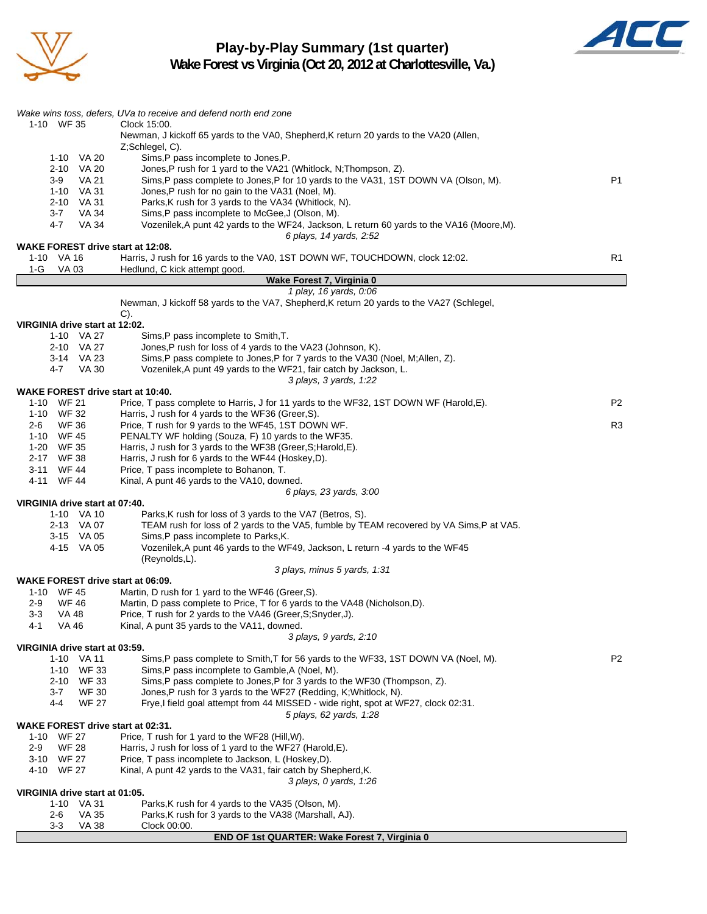

**Play-by-Play Summary (1st quarter)**



**Wake Forest vs Virginia (Oct 20, 2012 at Charlottesville, Va.)**

|                                          | Wake wins toss, defers, UVa to receive and defend north end zone                                                                             |                |
|------------------------------------------|----------------------------------------------------------------------------------------------------------------------------------------------|----------------|
| 1-10 WF 35                               | Clock 15:00.                                                                                                                                 |                |
|                                          | Newman, J kickoff 65 yards to the VA0, Shepherd, K return 20 yards to the VA20 (Allen,<br>Z;Schlegel, C).                                    |                |
| 1-10 VA 20                               | Sims, P pass incomplete to Jones, P.                                                                                                         |                |
| 2-10 VA 20                               | Jones, P rush for 1 yard to the VA21 (Whitlock, N; Thompson, Z).                                                                             |                |
| VA 21<br>$3-9$                           | Sims, P pass complete to Jones, P for 10 yards to the VA31, 1ST DOWN VA (Olson, M).                                                          | P <sub>1</sub> |
| 1-10 VA 31                               | Jones, P rush for no gain to the VA31 (Noel, M).                                                                                             |                |
| 2-10 VA 31<br><b>VA 34</b><br>3-7        | Parks, K rush for 3 yards to the VA34 (Whitlock, N).<br>Sims, P pass incomplete to McGee, J (Olson, M).                                      |                |
| 4-7<br>VA 34                             | Vozenilek, A punt 42 yards to the WF24, Jackson, L return 60 yards to the VA16 (Moore, M).                                                   |                |
|                                          | 6 plays, 14 yards, 2:52                                                                                                                      |                |
| <b>WAKE FOREST drive start at 12:08.</b> |                                                                                                                                              |                |
| 1-10 VA 16                               | Harris, J rush for 16 yards to the VA0, 1ST DOWN WF, TOUCHDOWN, clock 12:02.                                                                 | R1             |
| 1-G<br>VA 03                             | Hedlund, C kick attempt good.<br>Wake Forest 7, Virginia 0                                                                                   |                |
|                                          | 1 play, 16 yards, 0:06                                                                                                                       |                |
|                                          | Newman, J kickoff 58 yards to the VA7, Shepherd, K return 20 yards to the VA27 (Schlegel,                                                    |                |
|                                          | $C$ ).                                                                                                                                       |                |
| VIRGINIA drive start at 12:02.           |                                                                                                                                              |                |
| 1-10 VA 27<br>2-10 VA 27                 | Sims, P pass incomplete to Smith, T.<br>Jones, P rush for loss of 4 yards to the VA23 (Johnson, K).                                          |                |
| 3-14 VA 23                               | Sims, P pass complete to Jones, P for 7 yards to the VA30 (Noel, M; Allen, Z).                                                               |                |
| 4-7<br>VA 30                             | Vozenilek, A punt 49 yards to the WF21, fair catch by Jackson, L.                                                                            |                |
|                                          | 3 plays, 3 yards, 1:22                                                                                                                       |                |
| <b>WAKE FOREST drive start at 10:40.</b> |                                                                                                                                              |                |
| 1-10 WF 21<br>1-10 WF 32                 | Price, T pass complete to Harris, J for 11 yards to the WF32, 1ST DOWN WF (Harold, E).<br>Harris, J rush for 4 yards to the WF36 (Greer, S). | P2             |
| <b>WF 36</b><br>2-6                      | Price, T rush for 9 yards to the WF45, 1ST DOWN WF.                                                                                          | R3             |
| 1-10 WF 45                               | PENALTY WF holding (Souza, F) 10 yards to the WF35.                                                                                          |                |
| 1-20 WF 35                               | Harris, J rush for 3 yards to the WF38 (Greer, S; Harold, E).                                                                                |                |
| 2-17 WF 38                               | Harris, J rush for 6 yards to the WF44 (Hoskey,D).                                                                                           |                |
| 3-11 WF 44                               | Price, T pass incomplete to Bohanon, T.                                                                                                      |                |
| 4-11 WF 44                               | Kinal, A punt 46 yards to the VA10, downed.<br>6 plays, 23 yards, 3:00                                                                       |                |
| VIRGINIA drive start at 07:40.           |                                                                                                                                              |                |
| 1-10 VA 10                               | Parks, K rush for loss of 3 yards to the VA7 (Betros, S).                                                                                    |                |
| 2-13 VA 07                               | TEAM rush for loss of 2 yards to the VA5, fumble by TEAM recovered by VA Sims, P at VA5.                                                     |                |
| 3-15 VA 05                               | Sims, P pass incomplete to Parks, K.                                                                                                         |                |
| 4-15 VA 05                               | Vozenilek, A punt 46 yards to the WF49, Jackson, L return -4 yards to the WF45<br>(Reynolds,L).                                              |                |
|                                          | 3 plays, minus 5 yards, 1:31                                                                                                                 |                |
| <b>WAKE FOREST drive start at 06:09.</b> |                                                                                                                                              |                |
| 1-10 WF 45                               | Martin, D rush for 1 yard to the WF46 (Greer, S).                                                                                            |                |
| $2 - 9$<br><b>WF 46</b>                  | Martin, D pass complete to Price, T for 6 yards to the VA48 (Nicholson, D).                                                                  |                |
| 3-3<br>VA 48<br>4-1<br>VA 46             | Price, T rush for 2 yards to the VA46 (Greer, S; Snyder, J).<br>Kinal, A punt 35 yards to the VA11, downed.                                  |                |
|                                          | 3 plays, 9 yards, 2:10                                                                                                                       |                |
| VIRGINIA drive start at 03:59.           |                                                                                                                                              |                |
| 1-10 VA 11                               | Sims, P pass complete to Smith, T for 56 yards to the WF33, 1ST DOWN VA (Noel, M).                                                           | P <sub>2</sub> |
| 1-10 WF 33                               | Sims, P pass incomplete to Gamble, A (Noel, M).                                                                                              |                |
| 2-10 WF 33<br><b>WF 30</b><br>3-7        | Sims, P pass complete to Jones, P for 3 yards to the WF30 (Thompson, Z).<br>Jones, P rush for 3 yards to the WF27 (Redding, K; Whitlock, N). |                |
| <b>WF 27</b><br>4-4                      | Frye, I field goal attempt from 44 MISSED - wide right, spot at WF27, clock 02:31.                                                           |                |
|                                          | 5 plays, 62 yards, 1:28                                                                                                                      |                |
| <b>WAKE FOREST drive start at 02:31.</b> |                                                                                                                                              |                |
| 1-10 WF 27                               | Price, T rush for 1 yard to the WF28 (Hill, W).                                                                                              |                |
| $2-9$<br><b>WF 28</b>                    | Harris, J rush for loss of 1 yard to the WF27 (Harold, E).                                                                                   |                |
| 3-10 WF 27<br>4-10 WF 27                 | Price, T pass incomplete to Jackson, L (Hoskey, D).<br>Kinal, A punt 42 yards to the VA31, fair catch by Shepherd, K.                        |                |
|                                          | 3 plays, 0 yards, 1:26                                                                                                                       |                |
| VIRGINIA drive start at 01:05.           |                                                                                                                                              |                |
| 1-10 VA 31                               | Parks, K rush for 4 yards to the VA35 (Olson, M).                                                                                            |                |
| <b>VA 35</b><br>2-6                      | Parks, K rush for 3 yards to the VA38 (Marshall, AJ).                                                                                        |                |
| 3-3<br>VA 38                             | Clock 00:00.                                                                                                                                 |                |

## **END OF 1st QUARTER: Wake Forest 7, Virginia 0**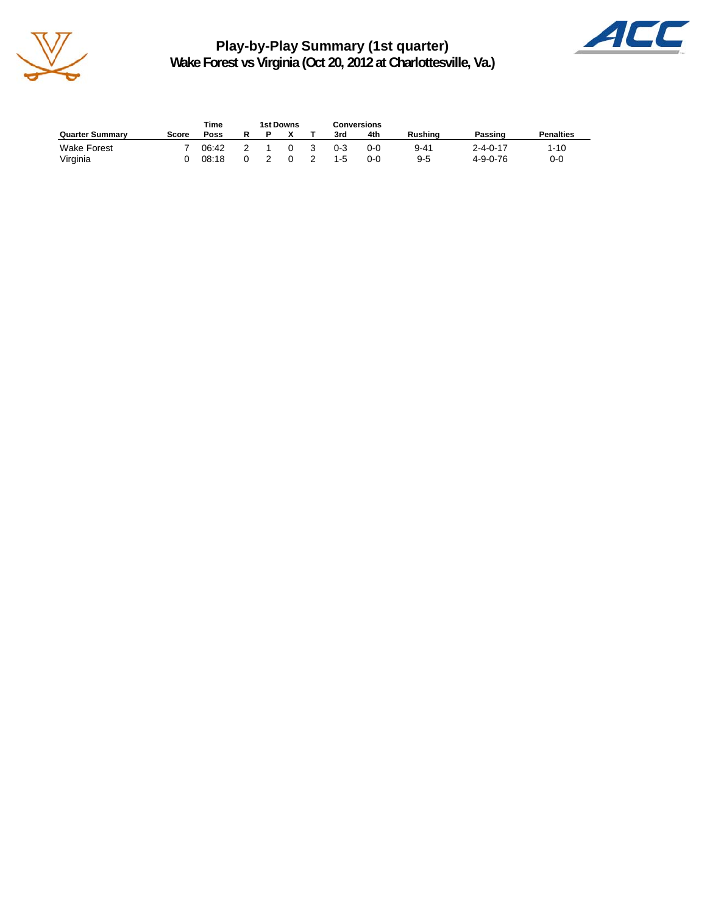

**Play-by-Play Summary (1st quarter) Wake Forest vs Virginia (Oct 20, 2012 at Charlottesville, Va.)**



| Time<br>1st Downs      |       |       |  |  |   |    | Conversions |       |                |                  |                  |
|------------------------|-------|-------|--|--|---|----|-------------|-------|----------------|------------------|------------------|
| <b>Quarter Summary</b> | Score | Poss  |  |  |   |    | 3rd         | 4th   | <b>Rushing</b> | Passing          | <b>Penalties</b> |
| <b>Wake Forest</b>     |       | 06:42 |  |  | U | -3 | $0 - 3$     | 0-0   | 9-41           | $2 - 4 - 0 - 17$ | 1-10             |
| Virginia               |       | 08:18 |  |  |   |    | $1 - 5$     | $O-O$ | $9 - 5$        | 4-9-0-76         | 0-0              |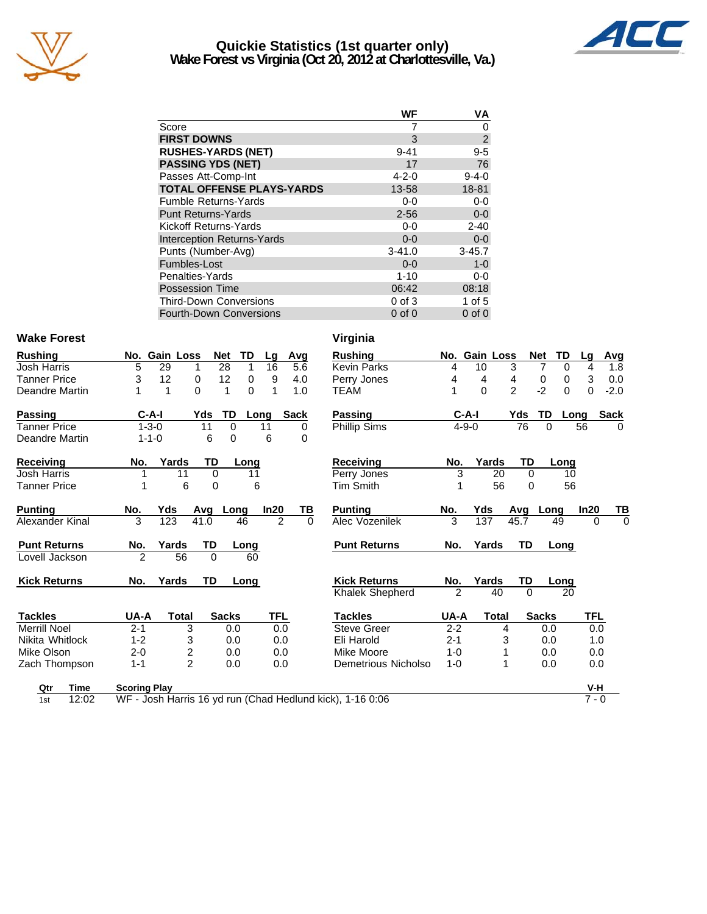

## **Quickie Statistics (1st quarter only) Wake Forest vs Virginia (Oct 20, 2012 at Charlottesville, Va.)**



| WF          | ٧A             |
|-------------|----------------|
|             | 0              |
| 3           | $\overline{2}$ |
| $9 - 41$    | $9 - 5$        |
| 17          | 76             |
| $4 - 2 - 0$ | $9 - 4 - 0$    |
| 13-58       | 18-81          |
| $0-0$       | $0-0$          |
| $2 - 56$    | $0-0$          |
| $0-0$       | $2 - 40$       |
| $0 - 0$     | $0 - 0$        |
| $3 - 41.0$  | $3 - 45.7$     |
| $0 - 0$     | $1-0$          |
| $1 - 10$    | 0-0            |
| 06:42       | 08:18          |
| $0$ of $3$  | 1 of $5$       |
| $0$ of $0$  | $0$ of $0$     |
|             |                |

### Wake Forest **Virginia**

| <b>Rushing</b>      |               | No. Gain Loss           | <b>Net</b>       | TD<br>Lg             | Avg         | <b>Rushing</b>      | No.            | Gain Loss    |                | <b>Net</b><br>TD              |
|---------------------|---------------|-------------------------|------------------|----------------------|-------------|---------------------|----------------|--------------|----------------|-------------------------------|
| <b>Josh Harris</b>  | 5             | 29<br>1                 | 28               | 1<br>16              | 5.6         | <b>Kevin Parks</b>  | 4              | 10           | 3              | $\overline{7}$<br>$\mathbf 0$ |
| <b>Tanner Price</b> | 3             | 12<br>0                 | 12               | 0<br>9               | 4.0         | Perry Jones         | 4              | 4            | $\overline{4}$ | 0<br>0                        |
| Deandre Martin      |               | $\Omega$<br>1           | 1                | $\Omega$             | 1.0         | TEAM                |                | $\Omega$     | $\overline{2}$ | $-2$<br>$\Omega$              |
| <b>Passing</b>      | $C-A-I$       |                         | Yds<br>TD        | Long                 | <b>Sack</b> | <b>Passing</b>      |                | $C-A-I$      | Yds            | TD<br>Lo                      |
| Tanner Price        | $1 - 3 - 0$   |                         | 11<br>$\Omega$   | 11                   | 0           | Phillip Sims        |                | $4 - 9 - 0$  | 76             | $\Omega$                      |
| Deandre Martin      | $1 - 1 - 0$   |                         | 6<br>$\mathbf 0$ | 6                    | 0           |                     |                |              |                |                               |
| Receiving           | No.           | Yards                   | TD               | Long                 |             | Receiving           | No.            | Yards        | TD             | Lonc                          |
| <b>Josh Harris</b>  |               | 11                      | 0                | 11                   |             | Perry Jones         | 3              | 20           | $\Omega$       | 1 <sup>1</sup>                |
| <b>Tanner Price</b> |               | 6                       | 0                | 6                    |             | <b>Tim Smith</b>    |                | 56           | 0              | 56                            |
| <b>Punting</b>      | No.           | Yds                     | Avg<br>Long      | In20                 | <u>ТВ</u>   | <b>Punting</b>      | No.            | Yds          | Avg            | Long                          |
| Alexander Kinal     | 3             | 123                     | 41.0             | $\overline{2}$<br>46 | $\Omega$    | Alec Vozenilek      | 3              | 137          | 45.7           | 49                            |
| <b>Punt Returns</b> | No.           | Yards                   | TD               | <b>Long</b>          |             | <b>Punt Returns</b> | No.            | Yards        | <b>TD</b>      | Long                          |
| Lovell Jackson      | $\mathcal{P}$ | 56                      | $\Omega$         | 60                   |             |                     |                |              |                |                               |
| <b>Kick Returns</b> | No.           | Yards                   | <b>TD</b>        | Long                 |             | <b>Kick Returns</b> | No.            | Yards        | TD             | Long                          |
|                     |               |                         |                  |                      |             | Khalek Shepherd     | $\mathfrak{p}$ | 40           | $\Omega$       | 20                            |
| <b>Tackles</b>      | UA-A          | Total                   | <b>Sacks</b>     | <b>TFL</b>           |             | <b>Tackles</b>      | UA-A           | <b>Total</b> |                | <b>Sacks</b>                  |
| <b>Merrill Noel</b> | $2 - 1$       | 3                       | 0.0              | 0.0                  |             | <b>Steve Greer</b>  | $2 - 2$        | 4            |                | 0.0                           |
| Nikita Whitlock     | $1 - 2$       | 3                       | 0.0              | 0.0                  |             | Eli Harold          | $2 - 1$        | 3            |                | 0.0                           |
| Mike Olson          | $2 - 0$       | $\overline{\mathbf{c}}$ | 0.0              | 0.0                  |             | Mike Moore          | 1-0            |              |                | 0.0                           |
| Zach Thompson       | $1 - 1$       | $\overline{2}$          | 0.0              | 0.0                  |             | Demetrious Nicholso | $1 - 0$        | 1            |                | 0.0                           |
|                     |               |                         |                  |                      |             |                     |                |              |                |                               |

| hing               |                     | No. Gain Loss  | Net            | TD       | Lg             | Avq         | <b>Rushing</b>        |                | No. Gain Loss |                | TD<br>Net        | La         | <u>Avg</u>  |
|--------------------|---------------------|----------------|----------------|----------|----------------|-------------|-----------------------|----------------|---------------|----------------|------------------|------------|-------------|
| Harris             | 5                   | 29             | 28             | 1        | 16             | 5.6         | <b>Kevin Parks</b>    | 4              | 10            | 3              | 0                | 4          | 1.8         |
| er Price           | 3                   | 12             | 12<br>0        | 0        | 9              | 4.0         | Perry Jones           | 4              | 4             | 4              | 0<br>0           | 3          | 0.0         |
| <b>ndre Martin</b> |                     | 1              | 0<br>1         | $\Omega$ | 1              | 1.0         | <b>TEAM</b>           | 1              | 0             | $\overline{2}$ | $-2$<br>$\Omega$ | $\Omega$   | $-2.0$      |
| sing               | $C-A-I$             |                | TD<br>Yds      | Long     |                | <b>Sack</b> | Passing               |                | $C-A-I$       | Yds            | TD<br>Long       |            | <b>Sack</b> |
| er Price           | $1 - 3 - 0$         |                | 11<br>$\Omega$ | 11       |                | 0           | Phillip Sims          |                | $4 - 9 - 0$   | 76             | $\Omega$         | 56         | $\Omega$    |
| <b>ndre Martin</b> | $1 - 1 - 0$         |                | 6<br>$\Omega$  |          | 6              | $\Omega$    |                       |                |               |                |                  |            |             |
| eiving             | No.                 | Yards          | TD             | Long     |                |             | Receiving             | No.            | Yards         | TD             | Long             |            |             |
| <b>Harris</b>      |                     | 11             | 0              | 11       |                |             | Perry Jones           | 3              | 20            | $\Omega$       | 10               |            |             |
| er Price           |                     | 6              | $\Omega$       | 6        |                |             | Tim Smith             |                | 56            | $\Omega$       | 56               |            |             |
| ing                | No.                 | Yds            | Avg<br>Long    |          | In20           | TВ          | <b>Punting</b>        | No.            | Yds           | Avg            | Long             | In20       | <u>TB</u>   |
| ander Kinal        | 3                   | 123            | 41.0           | 46       | $\overline{2}$ | $\Omega$    | <b>Alec Vozenilek</b> | 3              | 137           | 45.7           | 49               | 0          | $\Omega$    |
| t Returns          | No.                 | Yards          | TD             | Long     |                |             | <b>Punt Returns</b>   | No.            | Yards         | <b>TD</b>      | Long             |            |             |
| II Jackson         | 2                   | 56             | $\Omega$       | 60       |                |             |                       |                |               |                |                  |            |             |
| <b>Returns</b>     | No.                 | Yards          | TD             | Long     |                |             | <b>Kick Returns</b>   | No.            | Yards         | TD             | Long             |            |             |
|                    |                     |                |                |          |                |             | Khalek Shepherd       | $\overline{2}$ | 40            | $\Omega$       | 20               |            |             |
| des                | UA-A                | <b>Total</b>   | <b>Sacks</b>   |          | TFL            |             | <b>Tackles</b>        | UA-A           | Total         |                | <b>Sacks</b>     | <b>TFL</b> |             |
| ill Noel           | $2 - 1$             | 3              | 0.0            |          | 0.0            |             | <b>Steve Greer</b>    | $2 - 2$        |               | 4              | 0.0              | 0.0        |             |
| a Whitlock         | $1 - 2$             | 3              | 0.0            |          | 0.0            |             | Eli Harold            | $2 - 1$        |               | 3              | 0.0              | 1.0        |             |
| Olson              | $2 - 0$             | 2              | 0.0            |          | 0.0            |             | Mike Moore            | $1 - 0$        |               |                | 0.0              | 0.0        |             |
| n Thompson         | $1 - 1$             | $\mathfrak{p}$ | 0.0            |          | 0.0            |             | Demetrious Nicholso   | $1 - 0$        |               | 1              | 0.0              | 0.0        |             |
| Qtr<br>Time        | <b>Scoring Play</b> |                |                |          |                |             |                       |                |               |                |                  | $V-H$      |             |

$$
\frac{Q_{\text{t}}}{4\text{c}t} = \frac{101\text{e}}{12.02}
$$

1st 12:02 WF - Josh Harris 16 yd run (Chad Hedlund kick), 1-16 0:06 7 - 0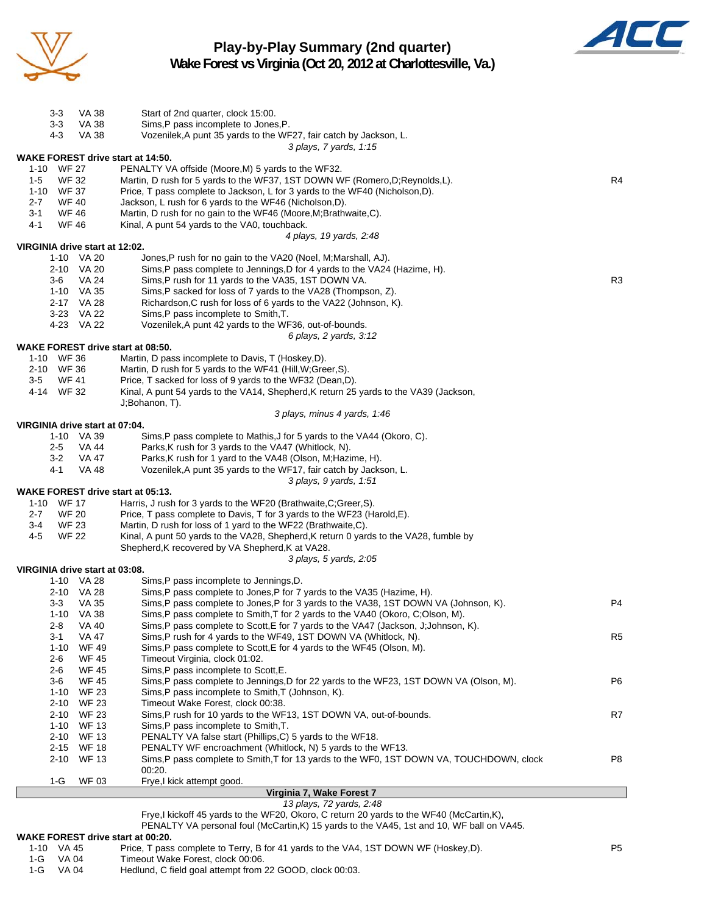

**Play-by-Play Summary (2nd quarter) Wake Forest vs Virginia (Oct 20, 2012 at Charlottesville, Va.)**



|         |              |                                | Virginia 7, Wake Forest 7                                                                                     |                |  |  |  |  |  |  |
|---------|--------------|--------------------------------|---------------------------------------------------------------------------------------------------------------|----------------|--|--|--|--|--|--|
|         | 1-G          | <b>WF 03</b>                   | Frye,I kick attempt good.                                                                                     |                |  |  |  |  |  |  |
|         |              |                                | 00:20.                                                                                                        |                |  |  |  |  |  |  |
|         | 2-10         | <b>WF 13</b>                   | Sims, P pass complete to Smith, T for 13 yards to the WF0, 1ST DOWN VA, TOUCHDOWN, clock                      | P8             |  |  |  |  |  |  |
|         | 2-15         | <b>WF 18</b>                   | PENALTY WF encroachment (Whitlock, N) 5 yards to the WF13.                                                    |                |  |  |  |  |  |  |
|         | 2-10         | WF 13                          | PENALTY VA false start (Phillips, C) 5 yards to the WF18.                                                     |                |  |  |  |  |  |  |
|         | 1-10         | <b>WF 13</b>                   | Sims, P pass incomplete to Smith, T.                                                                          |                |  |  |  |  |  |  |
|         | 2-10         | <b>WF 23</b>                   | Sims, P rush for 10 yards to the WF13, 1ST DOWN VA, out-of-bounds.                                            | R7             |  |  |  |  |  |  |
|         | 2-10         | WF 23                          | Timeout Wake Forest, clock 00:38.                                                                             |                |  |  |  |  |  |  |
|         | 1-10         | <b>WF 23</b>                   | Sims, P pass incomplete to Smith, T (Johnson, K).                                                             |                |  |  |  |  |  |  |
|         | 3-6          | <b>WF 45</b>                   | Sims, P pass complete to Jennings, D for 22 yards to the WF23, 1ST DOWN VA (Olson, M).                        | P6             |  |  |  |  |  |  |
|         | 2-6          | <b>WF 45</b>                   | Sims, P pass incomplete to Scott, E.                                                                          |                |  |  |  |  |  |  |
|         | 2-6          | <b>WF 45</b>                   | Sims, P pass complete to Scott, E for 4 yards to the WF45 (Olson, M).<br>Timeout Virginia, clock 01:02.       |                |  |  |  |  |  |  |
|         | 3-1<br>1-10  | <b>VA 47</b><br>WF 49          | Sims, P rush for 4 yards to the WF49, 1ST DOWN VA (Whitlock, N).                                              | R <sub>5</sub> |  |  |  |  |  |  |
|         | 2-8          | VA 40                          | Sims, P pass complete to Scott, E for 7 yards to the VA47 (Jackson, J; Johnson, K).                           |                |  |  |  |  |  |  |
|         |              | 1-10 VA 38                     | Sims, P pass complete to Smith, T for 2 yards to the VA40 (Okoro, C;Olson, M).                                |                |  |  |  |  |  |  |
|         | 3-3          | <b>VA 35</b>                   | Sims, P pass complete to Jones, P for 3 yards to the VA38, 1ST DOWN VA (Johnson, K).                          | P <sub>4</sub> |  |  |  |  |  |  |
|         |              | 2-10 VA 28                     | Sims,P pass complete to Jones,P for 7 yards to the VA35 (Hazime, H).                                          |                |  |  |  |  |  |  |
|         |              | 1-10 VA 28                     | Sims, P pass incomplete to Jennings, D.                                                                       |                |  |  |  |  |  |  |
|         |              | VIRGINIA drive start at 03:08. |                                                                                                               |                |  |  |  |  |  |  |
|         |              |                                | 3 plays, 5 yards, 2:05                                                                                        |                |  |  |  |  |  |  |
|         |              |                                | Shepherd, K recovered by VA Shepherd, K at VA28.                                                              |                |  |  |  |  |  |  |
| 4-5     | <b>WF 22</b> |                                | Kinal, A punt 50 yards to the VA28, Shepherd, K return 0 yards to the VA28, fumble by                         |                |  |  |  |  |  |  |
| 3-4     | <b>WF 23</b> |                                | Martin, D rush for loss of 1 yard to the WF22 (Brathwaite, C).                                                |                |  |  |  |  |  |  |
| $2 - 7$ | <b>WF 20</b> |                                | Price, T pass complete to Davis, T for 3 yards to the WF23 (Harold, E).                                       |                |  |  |  |  |  |  |
|         | 1-10 WF 17   |                                | <b>WAKE FOREST drive start at 05:13.</b><br>Harris, J rush for 3 yards to the WF20 (Brathwaite, C; Greer, S). |                |  |  |  |  |  |  |
|         |              |                                | 3 plays, 9 yards, 1:51                                                                                        |                |  |  |  |  |  |  |
|         | 4-1          | <b>VA 48</b>                   | Vozenilek, A punt 35 yards to the WF17, fair catch by Jackson, L.                                             |                |  |  |  |  |  |  |
|         | 3-2          | VA 47                          | Parks, K rush for 1 yard to the VA48 (Olson, M; Hazime, H).                                                   |                |  |  |  |  |  |  |
|         | 2-5          | VA 44                          | Parks, K rush for 3 yards to the VA47 (Whitlock, N).                                                          |                |  |  |  |  |  |  |
|         |              | 1-10 VA 39                     | Sims, P pass complete to Mathis, J for 5 yards to the VA44 (Okoro, C).                                        |                |  |  |  |  |  |  |
|         |              | VIRGINIA drive start at 07:04. |                                                                                                               |                |  |  |  |  |  |  |
|         |              |                                | 3 plays, minus 4 yards, 1:46                                                                                  |                |  |  |  |  |  |  |
|         |              |                                | J;Bohanon, T).                                                                                                |                |  |  |  |  |  |  |
|         | 4-14 WF 32   |                                | Kinal, A punt 54 yards to the VA14, Shepherd, K return 25 yards to the VA39 (Jackson,                         |                |  |  |  |  |  |  |
| 3-5     | WF 41        |                                | Price, T sacked for loss of 9 yards to the WF32 (Dean,D).                                                     |                |  |  |  |  |  |  |
|         | 2-10 WF 36   |                                | Martin, D rush for 5 yards to the WF41 (Hill, W; Greer, S).                                                   |                |  |  |  |  |  |  |
|         | 1-10 WF 36   |                                | Martin, D pass incomplete to Davis, T (Hoskey, D).                                                            |                |  |  |  |  |  |  |
|         |              |                                | <b>WAKE FOREST drive start at 08:50.</b>                                                                      |                |  |  |  |  |  |  |
|         |              |                                | 6 plays, 2 yards, 3:12                                                                                        |                |  |  |  |  |  |  |
|         |              | 4-23 VA 22                     | Vozenilek, A punt 42 yards to the WF36, out-of-bounds.                                                        |                |  |  |  |  |  |  |
|         |              | 3-23 VA 22                     | Sims, P pass incomplete to Smith, T.                                                                          |                |  |  |  |  |  |  |
|         |              | 2-17 VA 28                     | Richardson, C rush for loss of 6 yards to the VA22 (Johnson, K).                                              |                |  |  |  |  |  |  |
|         |              | 1-10 VA 35                     | Sims,P sacked for loss of 7 yards to the VA28 (Thompson, Z).                                                  |                |  |  |  |  |  |  |
|         | 3-6          | <b>VA 24</b>                   | Sims, P rush for 11 yards to the VA35, 1ST DOWN VA.                                                           | R <sub>3</sub> |  |  |  |  |  |  |
|         |              | 2-10 VA 20                     | Sims, P pass complete to Jennings, D for 4 yards to the VA24 (Hazime, H).                                     |                |  |  |  |  |  |  |
|         |              | 1-10 VA 20                     | Jones, P rush for no gain to the VA20 (Noel, M; Marshall, AJ).                                                |                |  |  |  |  |  |  |
|         |              | VIRGINIA drive start at 12:02. | 4 plays, 19 yards, 2:48                                                                                       |                |  |  |  |  |  |  |
| 4-1     | <b>WF 46</b> |                                | Kinal, A punt 54 yards to the VA0, touchback.                                                                 |                |  |  |  |  |  |  |
| 3-1     | <b>WF 46</b> |                                | Martin, D rush for no gain to the WF46 (Moore, M; Brathwaite, C).                                             |                |  |  |  |  |  |  |
| $2 - 7$ | WF 40        |                                | Jackson, L rush for 6 yards to the WF46 (Nicholson, D).                                                       |                |  |  |  |  |  |  |
|         | 1-10 WF 37   |                                | Price, T pass complete to Jackson, L for 3 yards to the WF40 (Nicholson, D).                                  |                |  |  |  |  |  |  |
| $1-5$   | <b>WF 32</b> |                                | Martin, D rush for 5 yards to the WF37, 1ST DOWN WF (Romero, D; Reynolds, L).                                 |                |  |  |  |  |  |  |
|         | 1-10 WF 27   |                                | PENALTY VA offside (Moore, M) 5 yards to the WF32.                                                            |                |  |  |  |  |  |  |
|         |              |                                | <b>WAKE FOREST drive start at 14:50.</b>                                                                      |                |  |  |  |  |  |  |
|         |              |                                | 3 plays, 7 yards, 1:15                                                                                        |                |  |  |  |  |  |  |
|         | 4-3          | <b>VA 38</b>                   | Vozenilek, A punt 35 yards to the WF27, fair catch by Jackson, L.                                             |                |  |  |  |  |  |  |
|         | $3 - 3$      | VA 38                          | Sims, P pass incomplete to Jones, P.                                                                          |                |  |  |  |  |  |  |
|         | 3-3          | VA 38                          | Start of 2nd quarter, clock 15:00.                                                                            |                |  |  |  |  |  |  |
|         |              |                                |                                                                                                               |                |  |  |  |  |  |  |

### *13 plays, 72 yards, 2:48*

Frye,I kickoff 45 yards to the WF20, Okoro, C return 20 yards to the WF40 (McCartin,K),

PENALTY VA personal foul (McCartin, K) 15 yards to the VA45, 1st and 10, WF ball on VA45.

### **WAKE FOREST drive start at 00:20.**

| 1-10 VA 45 | Price, T pass complete to Terry, B for 41 yards to the VA4, 1ST DOWN WF (Hoskey,D). | P <sub>5</sub> |
|------------|-------------------------------------------------------------------------------------|----------------|
|            |                                                                                     |                |

1-G VA 04 Timeout Wake Forest, clock 00:06.<br>1-G VA 04 Hedlund, C field goal attempt from 2 Hedlund, C field goal attempt from 22 GOOD, clock 00:03.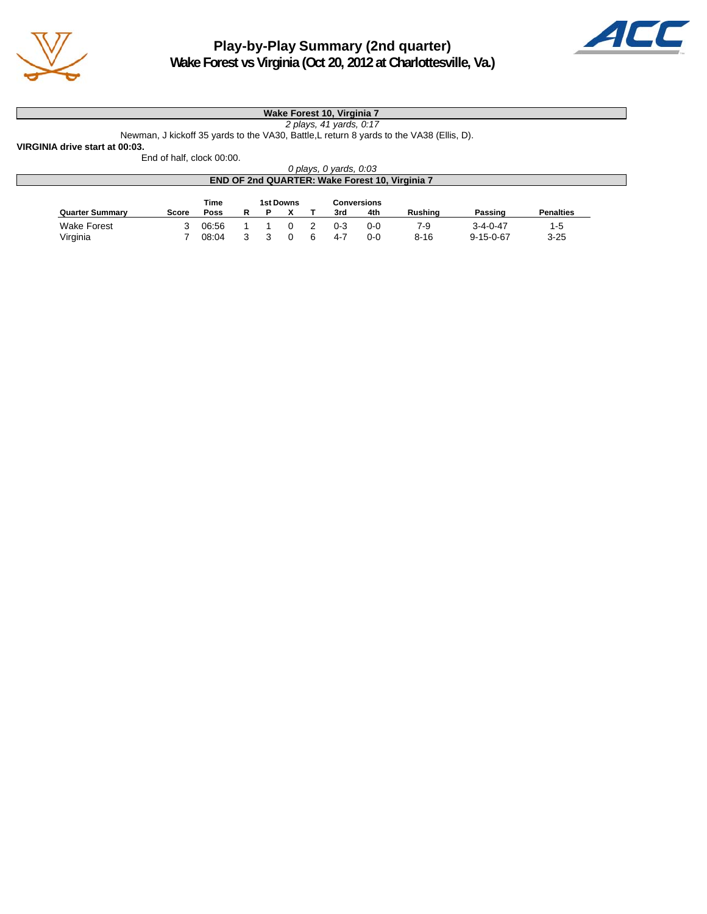



**Wake Forest vs Virginia (Oct 20, 2012 at Charlottesville, Va.)**

## **Wake Forest 10, Virginia 7**

*2 plays, 41 yards, 0:17*

Newman, J kickoff 35 yards to the VA30, Battle,L return 8 yards to the VA38 (Ellis, D). **VIRGINIA drive start at 00:03.**

End of half, clock 00:00.

| 0 plays, 0 yards, 0:03                                |       |       |   |  |  |   |         |       |          |                   |                  |  |
|-------------------------------------------------------|-------|-------|---|--|--|---|---------|-------|----------|-------------------|------------------|--|
| <b>END OF 2nd QUARTER: Wake Forest 10, Virginia 7</b> |       |       |   |  |  |   |         |       |          |                   |                  |  |
| Time<br>1st Downs<br><b>Conversions</b>               |       |       |   |  |  |   |         |       |          |                   |                  |  |
| <b>Quarter Summary</b>                                | Score | Poss  | R |  |  |   | 3rd     | 4th   | Rushina  | Passing           | <b>Penalties</b> |  |
| <b>Wake Forest</b>                                    |       | 06:56 |   |  |  |   | $0 - 3$ | $0-0$ | 7-9      | $3 - 4 - 0 - 47$  | 1-5              |  |
| Virginia                                              |       | 08:04 |   |  |  | ൳ | $4 - 7$ | 0-0   | $8 - 16$ | $9 - 15 - 0 - 67$ | $3 - 25$         |  |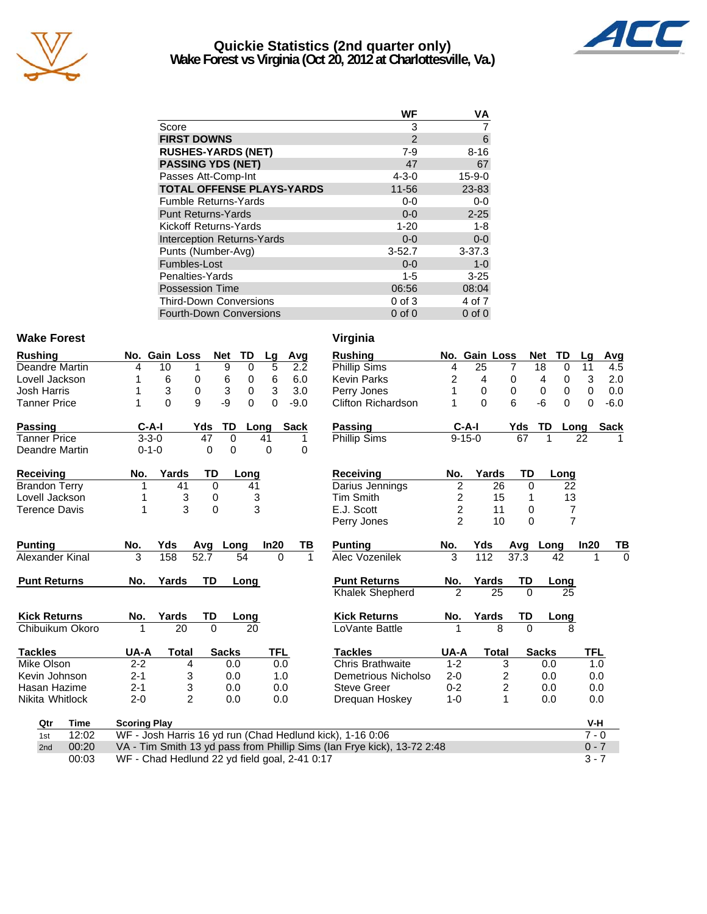

## **Quickie Statistics (2nd quarter only) Wake Forest vs Virginia (Oct 20, 2012 at Charlottesville, Va.)**



|                    | WF | VA |
|--------------------|----|----|
| Score              |    |    |
| <b>FIRST DOWNS</b> |    |    |

| FINƏT DUWNƏ                       | $\epsilon$  | U.           |
|-----------------------------------|-------------|--------------|
| <b>RUSHES-YARDS (NET)</b>         | $7 - 9$     | $8 - 16$     |
| <b>PASSING YDS (NET)</b>          | 47          | 67           |
| Passes Att-Comp-Int               | $4 - 3 - 0$ | $15 - 9 - 0$ |
| <b>TOTAL OFFENSE PLAYS-YARDS</b>  | 11-56       | 23-83        |
| Fumble Returns-Yards              | $0-0$       | $0-0$        |
| Punt Returns-Yards                | $0 - 0$     | $2 - 25$     |
| Kickoff Returns-Yards             | $1 - 20$    | 1-8          |
| <b>Interception Returns-Yards</b> | $0 - 0$     | $0-0$        |
| Punts (Number-Avg)                | $3 - 52.7$  | $3 - 37.3$   |
| Fumbles-Lost                      | $0 - 0$     | $1 - 0$      |
| Penalties-Yards                   | $1 - 5$     | $3 - 25$     |
| Possession Time                   | 06:56       | 08:04        |
| Third-Down Conversions            | $0$ of $3$  | 4 of 7       |
| Fourth-Down Conversions           | $0$ of $0$  | $0$ of $0$   |
|                                   |             |              |

## Wake Forest **Virginia**

| <b>Rushing</b>        | No. Gain Loss                                 |                  | <b>Net</b>       | TD            | Lg         | Avg          | <b>Rushing</b>                                                          |                | No. Gain Loss |                         | <b>Net</b>   | TD             | Lg         | <b>Avg</b>  |
|-----------------------|-----------------------------------------------|------------------|------------------|---------------|------------|--------------|-------------------------------------------------------------------------|----------------|---------------|-------------------------|--------------|----------------|------------|-------------|
| <b>Deandre Martin</b> | 4                                             | 10               | 9                | 0             | 5          | 2.2          | <b>Phillip Sims</b>                                                     | 4              | 25            | 7                       | 18           | 0              | 11         | 4.5         |
| Lovell Jackson        |                                               | 6<br>0           | 6                | 0             | 6          | 6.0          | <b>Kevin Parks</b>                                                      | 2              | 4             | 0                       | 4            | 0              | 3          | 2.0         |
| <b>Josh Harris</b>    |                                               | 3<br>$\mathbf 0$ | 3                | 0             | 3          | 3.0          | Perry Jones                                                             | 1              | $\Omega$      | 0                       | 0            | 0              | 0          | 0.0         |
| <b>Tanner Price</b>   | 1                                             | 9<br>$\Omega$    | -9               | $\Omega$      | $\Omega$   | $-9.0$       | <b>Clifton Richardson</b>                                               | 1              | $\Omega$      | 6                       | $-6$         | $\Omega$       | 0          | $-6.0$      |
| Passing               | $C-A-I$                                       | Yds              | <b>TD</b>        |               | Long       | <b>Sack</b>  | Passing                                                                 |                | $C-A-I$       | Yds                     | TD           | Long           |            | <b>Sack</b> |
| <b>Tanner Price</b>   | $3 - 3 - 0$                                   |                  | 47<br>$\Omega$   |               | 41         |              | Phillip Sims                                                            |                | $9 - 15 - 0$  |                         | 67<br>1      |                | 22         |             |
| Deandre Martin        | $0 - 1 - 0$                                   |                  | $\mathbf 0$<br>0 |               | 0          | 0            |                                                                         |                |               |                         |              |                |            |             |
| Receiving             | No.                                           | Yards            | TD               | Long          |            |              | <b>Receiving</b>                                                        | No.            | Yards         |                         | TD           | Long           |            |             |
| <b>Brandon Terry</b>  |                                               | 41               | $\Omega$         | 41            |            |              | Darius Jennings                                                         | $\overline{c}$ |               | 26                      | 0            | 22             |            |             |
| Lovell Jackson        |                                               | 3                | 0                | $\frac{3}{3}$ |            |              | <b>Tim Smith</b>                                                        | 2              |               | 15                      |              | 13             |            |             |
| <b>Terence Davis</b>  |                                               | 3                | 0                |               |            |              | E.J. Scott                                                              | $\overline{c}$ |               | 11                      | 0            | 7              |            |             |
|                       |                                               |                  |                  |               |            |              | Perry Jones                                                             | $\mathfrak{p}$ |               | 10                      | $\Omega$     | $\overline{7}$ |            |             |
| <b>Punting</b>        | No.                                           | Yds              | Avg Long         |               | In20       | TВ           | <b>Punting</b>                                                          | No.            | Yds           |                         | Avg Long     |                | In20       | ТВ          |
| Alexander Kinal       | 3                                             | 52.7<br>158      |                  | 54            | $\Omega$   | $\mathbf{1}$ | Alec Vozenilek                                                          | 3              | 112           | 37.3                    |              | 42             |            | $\Omega$    |
| <b>Punt Returns</b>   | No.                                           | Yards            | <b>TD</b>        | Long          |            |              | <b>Punt Returns</b>                                                     | No.            | <b>Yards</b>  |                         | TD           | Long           |            |             |
|                       |                                               |                  |                  |               |            |              | <b>Khalek Shepherd</b>                                                  | $\overline{2}$ |               | 25                      | $\Omega$     | 25             |            |             |
| <b>Kick Returns</b>   | No.                                           | Yards            | TD               | Long          |            |              | <b>Kick Returns</b>                                                     | No.            | Yards         |                         | TD           | Long           |            |             |
| Chibuikum Okoro       |                                               | $\overline{20}$  | $\Omega$         | 20            |            |              | LoVante Battle                                                          |                |               | 8                       | $\Omega$     | 8              |            |             |
| <b>Tackles</b>        | UA-A                                          | <b>Total</b>     | <b>Sacks</b>     |               | <b>TFL</b> |              | <b>Tackles</b>                                                          | UA-A           |               | <b>Total</b>            | <b>Sacks</b> |                | <b>TFL</b> |             |
| Mike Olson            | $2 - 2$                                       | 4                | 0.0              |               | 0.0        |              | <b>Chris Brathwaite</b>                                                 | $1 - 2$        |               | 3                       | 0.0          |                | 1.0        |             |
| Kevin Johnson         | $2 - 1$                                       | 3                | 0.0              |               | 1.0        |              | Demetrious Nicholso                                                     | $2 - 0$        |               | 2                       | 0.0          |                | 0.0        |             |
| Hasan Hazime          | $2 - 1$                                       | 3                | 0.0              |               | 0.0        |              | <b>Steve Greer</b>                                                      | $0 - 2$        |               | $\overline{\mathbf{c}}$ | 0.0          |                | 0.0        |             |
| Nikita Whitlock       | $2 - 0$                                       | $\overline{2}$   | 0.0              |               | 0.0        |              | Dreguan Hoskey                                                          | $1 - 0$        |               | 1                       | 0.0          |                | 0.0        |             |
| Qtr<br>Time           | <b>Scoring Play</b>                           |                  |                  |               |            |              |                                                                         |                |               |                         |              |                | V-H        |             |
| 12:02<br>1st          |                                               |                  |                  |               |            |              | WF - Josh Harris 16 yd run (Chad Hedlund kick), 1-16 0:06               |                |               |                         |              |                | $7 - 0$    |             |
| 00:20<br>2nd          |                                               |                  |                  |               |            |              | VA - Tim Smith 13 yd pass from Phillip Sims (Ian Frye kick), 13-72 2:48 |                |               |                         |              |                | $0 - 7$    |             |
| 00:03                 | WF - Chad Hedlund 22 yd field goal, 2-41 0:17 |                  |                  |               |            |              |                                                                         |                |               |                         |              |                | $3 - 7$    |             |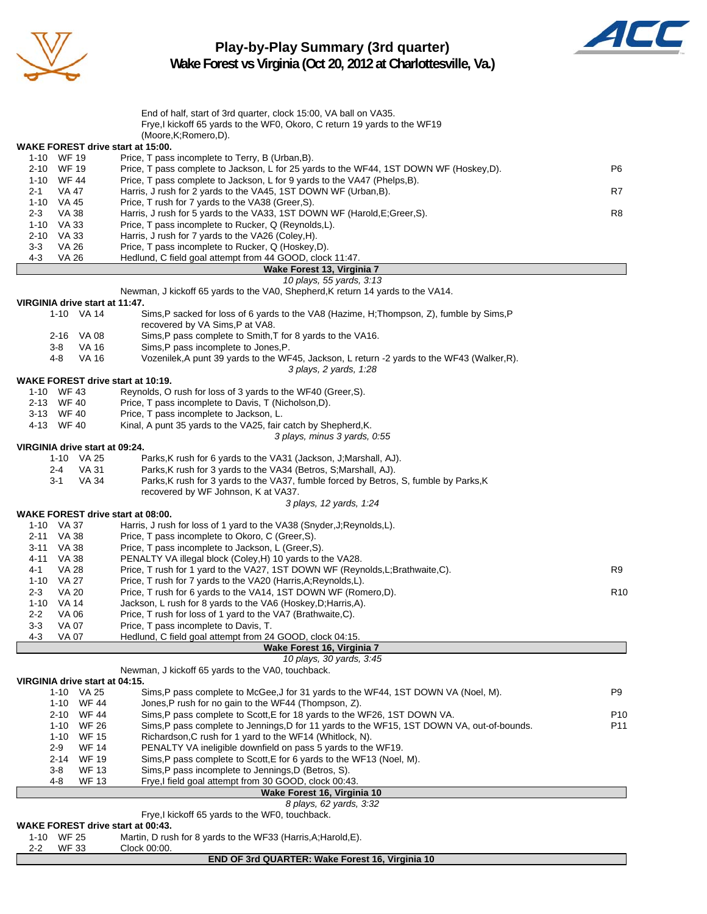

# **Play-by-Play Summary (3rd quarter)**



**Wake Forest vs Virginia (Oct 20, 2012 at Charlottesville, Va.)**

|                                              | End of half, start of 3rd quarter, clock 15:00, VA ball on VA35.                                                                           |                 |
|----------------------------------------------|--------------------------------------------------------------------------------------------------------------------------------------------|-----------------|
|                                              | Frye, I kickoff 65 yards to the WF0, Okoro, C return 19 yards to the WF19                                                                  |                 |
|                                              | (Moore, K; Romero, D).                                                                                                                     |                 |
| <b>WAKE FOREST drive start at 15:00.</b>     |                                                                                                                                            |                 |
| 1-10 WF 19<br>2-10 WF 19                     | Price, T pass incomplete to Terry, B (Urban, B).<br>Price, T pass complete to Jackson, L for 25 yards to the WF44, 1ST DOWN WF (Hoskey,D). | P6              |
| 1-10 WF 44                                   | Price, T pass complete to Jackson, L for 9 yards to the VA47 (Phelps, B).                                                                  |                 |
| 2-1<br>VA 47                                 | Harris, J rush for 2 yards to the VA45, 1ST DOWN WF (Urban, B).                                                                            | R7              |
| 1-10 VA 45                                   | Price, T rush for 7 yards to the VA38 (Greer, S).                                                                                          |                 |
| <b>VA 38</b><br>$2 - 3$                      | Harris, J rush for 5 yards to the VA33, 1ST DOWN WF (Harold, E; Greer, S).                                                                 | R8              |
| VA 33<br>1-10                                | Price, T pass incomplete to Rucker, Q (Reynolds, L).                                                                                       |                 |
| <b>VA 33</b><br>2-10                         | Harris, J rush for 7 yards to the VA26 (Coley, H).                                                                                         |                 |
| $3 - 3$<br><b>VA 26</b>                      | Price, T pass incomplete to Rucker, Q (Hoskey,D).                                                                                          |                 |
| 4-3<br><b>VA 26</b>                          | Hedlund, C field goal attempt from 44 GOOD, clock 11:47.                                                                                   |                 |
|                                              | Wake Forest 13, Virginia 7                                                                                                                 |                 |
|                                              | 10 plays, 55 yards, 3:13                                                                                                                   |                 |
|                                              | Newman, J kickoff 65 yards to the VA0, Shepherd, K return 14 yards to the VA14.                                                            |                 |
| VIRGINIA drive start at 11:47.<br>1-10 VA 14 | Sims, P sacked for loss of 6 yards to the VA8 (Hazime, H; Thompson, Z), fumble by Sims, P                                                  |                 |
|                                              | recovered by VA Sims, P at VA8.                                                                                                            |                 |
| 2-16 VA 08                                   | Sims, P pass complete to Smith, T for 8 yards to the VA16.                                                                                 |                 |
| VA 16<br>3-8                                 | Sims, P pass incomplete to Jones, P.                                                                                                       |                 |
| <b>VA 16</b><br>4-8                          | Vozenilek, A punt 39 yards to the WF45, Jackson, L return -2 yards to the WF43 (Walker, R).                                                |                 |
|                                              | 3 plays, 2 yards, 1:28                                                                                                                     |                 |
| WAKE FOREST drive start at 10:19.            |                                                                                                                                            |                 |
| 1-10 WF 43                                   | Reynolds, O rush for loss of 3 yards to the WF40 (Greer, S).                                                                               |                 |
| 2-13 WF 40                                   | Price, T pass incomplete to Davis, T (Nicholson, D).                                                                                       |                 |
| 3-13 WF 40                                   | Price, T pass incomplete to Jackson, L.                                                                                                    |                 |
| 4-13 WF 40                                   | Kinal, A punt 35 yards to the VA25, fair catch by Shepherd, K.                                                                             |                 |
|                                              | 3 plays, minus 3 yards, 0:55                                                                                                               |                 |
| VIRGINIA drive start at 09:24.               |                                                                                                                                            |                 |
| 1-10 VA 25<br><b>VA 31</b><br>2-4            | Parks, K rush for 6 yards to the VA31 (Jackson, J; Marshall, AJ).<br>Parks, K rush for 3 yards to the VA34 (Betros, S; Marshall, AJ).      |                 |
| $3 - 1$<br>VA 34                             | Parks, K rush for 3 yards to the VA37, fumble forced by Betros, S, fumble by Parks, K                                                      |                 |
|                                              | recovered by WF Johnson, K at VA37.                                                                                                        |                 |
|                                              | 3 plays, 12 yards, 1:24                                                                                                                    |                 |
| <b>WAKE FOREST drive start at 08:00.</b>     |                                                                                                                                            |                 |
| 1-10 VA 37                                   | Harris, J rush for loss of 1 yard to the VA38 (Snyder, J; Reynolds, L).                                                                    |                 |
| 2-11 VA 38                                   | Price, T pass incomplete to Okoro, C (Greer, S).                                                                                           |                 |
| <b>VA 38</b><br>3-11                         | Price, T pass incomplete to Jackson, L (Greer, S).                                                                                         |                 |
| 4-11 VA 38                                   | PENALTY VA illegal block (Coley, H) 10 yards to the VA28.                                                                                  |                 |
| 4-1<br>VA 28                                 | Price, T rush for 1 yard to the VA27, 1ST DOWN WF (Reynolds, L; Brathwaite, C).                                                            | R9              |
| 1-10 VA 27                                   | Price, T rush for 7 yards to the VA20 (Harris, A; Reynolds, L).                                                                            |                 |
| 2-3<br><b>VA 20</b>                          | Price, T rush for 6 yards to the VA14, 1ST DOWN WF (Romero,D).                                                                             | R <sub>10</sub> |
| $1 - 10$<br>VA 14                            | Jackson, L rush for 8 yards to the VA6 (Hoskey, D; Harris, A).                                                                             |                 |
| $2 - 2$<br>VA 06                             | Price, T rush for loss of 1 yard to the VA7 (Brathwaite, C).                                                                               |                 |
| $3 - 3$<br><b>VA 07</b>                      | Price, T pass incomplete to Davis, T.                                                                                                      |                 |
| $4 - 3$<br><b>VA 07</b>                      | Hedlund, C field goal attempt from 24 GOOD, clock 04:15.<br>Wake Forest 16, Virginia 7                                                     |                 |
|                                              | 10 plays, 30 yards, 3:45                                                                                                                   |                 |
|                                              | Newman, J kickoff 65 yards to the VA0, touchback.                                                                                          |                 |
| VIRGINIA drive start at 04:15.               |                                                                                                                                            |                 |
| 1-10 VA 25                                   | Sims, P pass complete to McGee, J for 31 yards to the WF44, 1ST DOWN VA (Noel, M).                                                         | P9              |
| 1-10 WF 44                                   | Jones, P rush for no gain to the WF44 (Thompson, Z).                                                                                       |                 |
| <b>WF 44</b><br>2-10                         | Sims, P pass complete to Scott, E for 18 yards to the WF26, 1ST DOWN VA.                                                                   | P <sub>10</sub> |
| <b>WF 26</b><br>$1 - 10$                     | Sims, P pass complete to Jennings, D for 11 yards to the WF15, 1ST DOWN VA, out-of-bounds.                                                 | P11             |
| $1 - 10$<br><b>WF 15</b>                     | Richardson, C rush for 1 yard to the WF14 (Whitlock, N).                                                                                   |                 |
| $2-9$<br><b>WF 14</b>                        | PENALTY VA ineligible downfield on pass 5 yards to the WF19.                                                                               |                 |
| 2-14<br><b>WF 19</b>                         | Sims, P pass complete to Scott, E for 6 yards to the WF13 (Noel, M).                                                                       |                 |
| <b>WF 13</b><br>3-8                          | Sims, P pass incomplete to Jennings, D (Betros, S).                                                                                        |                 |
| <b>WF 13</b><br>4-8                          | Frye,I field goal attempt from 30 GOOD, clock 00:43.                                                                                       |                 |
|                                              | Wake Forest 16, Virginia 10<br>8 plays, 62 yards, 3:32                                                                                     |                 |
|                                              | Frye, I kickoff 65 yards to the WF0, touchback.                                                                                            |                 |
| WAKE FOREST drive start at 00:43.            |                                                                                                                                            |                 |
| 1-10 WF 25                                   | Martin, D rush for 8 yards to the WF33 (Harris, A; Harold, E).                                                                             |                 |
| <b>WF 33</b><br>$2 - 2$                      | Clock 00:00.                                                                                                                               |                 |
|                                              | END OF 3rd QUARTER: Wake Forest 16, Virginia 10                                                                                            |                 |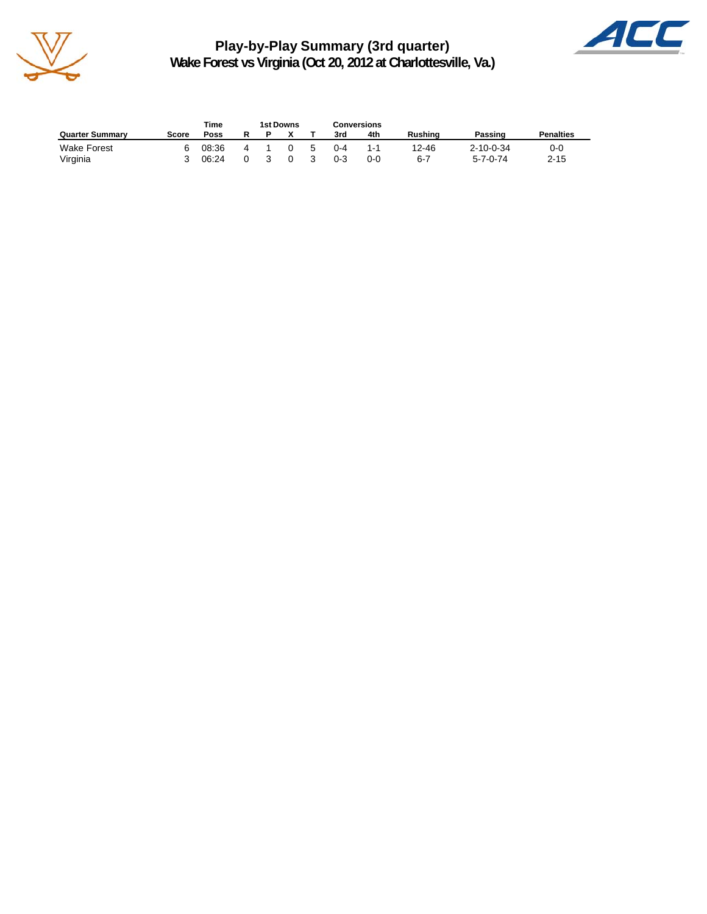

**Play-by-Play Summary (3rd quarter) Wake Forest vs Virginia (Oct 20, 2012 at Charlottesville, Va.)**



|                        |       | Time  | <b>1st Downs</b> |             | Conversions |     |                |                   |                  |
|------------------------|-------|-------|------------------|-------------|-------------|-----|----------------|-------------------|------------------|
| <b>Quarter Summary</b> | Score | Poss  |                  |             | 3rd         | 4th | <b>Rushing</b> | Passing           | <b>Penalties</b> |
| <b>Wake Forest</b>     | հ     | 08:36 |                  | $5^{\circ}$ | $0 - 4$     | 1.1 | 12-46          | $2 - 10 - 0 - 34$ | 0-0              |
| Virginia               |       | 06:24 |                  |             | $0 - 3$     | 0-0 | $6-7$          | 5-7-0-74          | $2 - 15$         |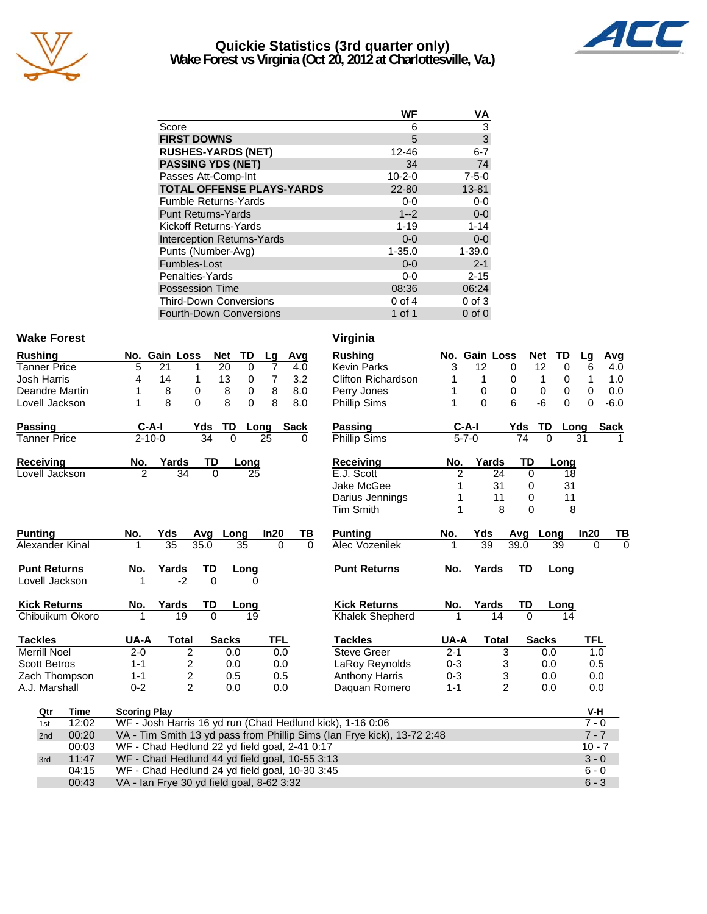

#### **Quickie Statistics (3rd quarter only) Wake Forest vs Virginia (Oct 20, 2012 at Charlottesville, Va.)**



|                                   | WF           | ٧Α                        |
|-----------------------------------|--------------|---------------------------|
| Score                             | 6            | 3                         |
| <b>FIRST DOWNS</b>                | 5            | $\ensuremath{\mathsf{3}}$ |
| <b>RUSHES-YARDS (NET)</b>         | 12-46        | $6 - 7$                   |
| <b>PASSING YDS (NET)</b>          | 34           | 74                        |
| Passes Att-Comp-Int               | $10 - 2 - 0$ | $7 - 5 - 0$               |
| <b>TOTAL OFFENSE PLAYS-YARDS</b>  | $22 - 80$    | 13-81                     |
| <b>Fumble Returns-Yards</b>       | $0-0$        | $0-0$                     |
| <b>Punt Returns-Yards</b>         | $1 - 2$      | $0-0$                     |
| Kickoff Returns-Yards             | $1 - 19$     | $1 - 14$                  |
| <b>Interception Returns-Yards</b> | $0 - 0$      | $0-0$                     |
| Punts (Number-Avg)                | $1 - 35.0$   | $1 - 39.0$                |
| Fumbles-Lost                      | $0 - 0$      | $2 - 1$                   |
| Penalties-Yards                   | $0 - 0$      | $2 - 15$                  |
| <b>Possession Time</b>            | 08:36        | 06:24                     |
| <b>Third-Down Conversions</b>     | $0$ of $4$   | $0$ of $3$                |
| <b>Fourth-Down Conversions</b>    | 1 of 1       | $0$ of $0$                |
|                                   |              |                           |

#### Wake Forest **Virginia**

| <b>Rushing</b>      |       |                                                | No. Gain Loss   |                         | <b>Net</b>     | <b>TD</b> | Lg             | Avg         |    | <b>Rushing</b>                                                          |         | No. Gain Loss |                | <b>Net</b>      | <b>TD</b>  | Lg         | Avg         |
|---------------------|-------|------------------------------------------------|-----------------|-------------------------|----------------|-----------|----------------|-------------|----|-------------------------------------------------------------------------|---------|---------------|----------------|-----------------|------------|------------|-------------|
| Tanner Price        |       | 5                                              | 21              |                         | 20             | 0         | 7              | 4.0         |    | <b>Kevin Parks</b>                                                      | 3       | 12            | 0              | $\overline{12}$ | 0          | 6          | 4.0         |
| <b>Josh Harris</b>  |       | 4                                              | 14              | 1                       | 13             | 0         | $\overline{7}$ | 3.2         |    | <b>Clifton Richardson</b>                                               | 1       | $\mathbf{1}$  | 0              | 1               | 0          | 1          | 1.0         |
| Deandre Martin      |       | 1                                              | 8               | 0                       | 8              | 0         | 8              | 8.0         |    | Perry Jones                                                             |         | $\pmb{0}$     | 0              | 0               | 0          | 0          | 0.0         |
| Lovell Jackson      |       | 1                                              | 8               | $\Omega$                | 8              | 0         | 8              | 8.0         |    | <b>Phillip Sims</b>                                                     |         | $\Omega$      | 6              | $-6$            | $\Omega$   | $\Omega$   | $-6.0$      |
| Passing             |       |                                                | $C-A-I$         | Yds                     | TD             |           | Long           | <b>Sack</b> |    | <b>Passing</b>                                                          |         | C-A-I         | Yds            |                 | TD<br>Long |            | <b>Sack</b> |
| <b>Tanner Price</b> |       |                                                | $2 - 10 - 0$    |                         | 34<br>$\Omega$ |           | 25             | 0           |    | Phillip Sims                                                            |         | $5 - 7 - 0$   |                | 74              | $\Omega$   | 31         |             |
| Receiving           |       | No.                                            | Yards           |                         | TD             | Long      |                |             |    | Receiving                                                               | No.     | Yards         |                | TD              | Long       |            |             |
| Lovell Jackson      |       | $\overline{2}$                                 |                 | 34                      | 0              | 25        |                |             |    | E.J. Scott                                                              | 2       |               | 24             | $\mathbf 0$     | 18         |            |             |
|                     |       |                                                |                 |                         |                |           |                |             |    | Jake McGee                                                              |         |               | 31             | 0               | 31         |            |             |
|                     |       |                                                |                 |                         |                |           |                |             |    | Darius Jennings                                                         |         |               | 11             | 0               | 11         |            |             |
|                     |       |                                                |                 |                         |                |           |                |             |    | <b>Tim Smith</b>                                                        |         |               | 8              | $\Omega$        | 8          |            |             |
| <b>Punting</b>      |       | No.                                            | Yds             |                         | Avg            | Long      | In20           |             | TВ | <b>Punting</b>                                                          | No.     | Yds           |                | Avg             | Long       | In20       | TВ          |
| Alexander Kinal     |       |                                                | $\overline{35}$ | 35.0                    |                | 35        |                | $\Omega$    | 0  | Alec Vozenilek                                                          |         | 39            | 39.0           |                 | 39         | 0          | $\Omega$    |
| <b>Punt Returns</b> |       | No.                                            | Yards           |                         | TD             | Long      |                |             |    | <b>Punt Returns</b>                                                     | No.     | Yards         |                | TD              | Long       |            |             |
| Lovell Jackson      |       |                                                |                 | $-2$                    | $\Omega$       | 0         |                |             |    |                                                                         |         |               |                |                 |            |            |             |
| <b>Kick Returns</b> |       | No.                                            | Yards           |                         | TD             | Long      |                |             |    | <b>Kick Returns</b>                                                     | No.     | Yards         |                | TD              | Long       |            |             |
| Chibuikum Okoro     |       |                                                |                 | 19                      | $\Omega$       | 19        |                |             |    | <b>Khalek Shepherd</b>                                                  | 1       |               | 14             | $\Omega$        | 14         |            |             |
| <b>Tackles</b>      |       | UA-A                                           |                 | <b>Total</b>            | <b>Sacks</b>   |           | <b>TFL</b>     |             |    | <b>Tackles</b>                                                          | UA-A    |               | <b>Total</b>   | <b>Sacks</b>    |            | <b>TFL</b> |             |
| <b>Merrill Noel</b> |       | $2 - 0$                                        |                 | 2                       | 0.0            |           |                | 0.0         |    | <b>Steve Greer</b>                                                      | $2 - 1$ |               | 3              |                 | 0.0        | 1.0        |             |
| <b>Scott Betros</b> |       | $1 - 1$                                        |                 | 2                       | 0.0            |           |                | 0.0         |    | LaRoy Reynolds                                                          | $0 - 3$ |               | 3              |                 | 0.0        | 0.5        |             |
| Zach Thompson       |       | $1 - 1$                                        |                 | $\overline{\mathbf{c}}$ | 0.5            |           |                | 0.5         |    | <b>Anthony Harris</b>                                                   | $0 - 3$ |               | 3              |                 | 0.0        | 0.0        |             |
| A.J. Marshall       |       | $0 - 2$                                        |                 | $\overline{2}$          | 0.0            |           |                | 0.0         |    | Daguan Romero                                                           | $1 - 1$ |               | $\overline{2}$ |                 | 0.0        | 0.0        |             |
| Qtr                 | Time  | <b>Scoring Play</b>                            |                 |                         |                |           |                |             |    |                                                                         |         |               |                |                 |            | V-H        |             |
| 1st                 | 12:02 |                                                |                 |                         |                |           |                |             |    | WF - Josh Harris 16 yd run (Chad Hedlund kick), 1-16 0:06               |         |               |                |                 |            | $7 - 0$    |             |
| 2nd                 | 00:20 |                                                |                 |                         |                |           |                |             |    | VA - Tim Smith 13 yd pass from Phillip Sims (Ian Frye kick), 13-72 2:48 |         |               |                |                 |            | $7 - 7$    |             |
|                     | 00:03 | WF - Chad Hedlund 22 yd field goal, 2-41 0:17  |                 |                         |                |           |                |             |    |                                                                         |         |               |                |                 |            | $10 - 7$   |             |
| 3rd                 | 11:47 | WF - Chad Hedlund 44 yd field goal, 10-55 3:13 |                 |                         |                |           |                |             |    |                                                                         |         |               |                |                 |            | $3 - 0$    |             |
|                     | 04:15 | WF - Chad Hedlund 24 yd field goal, 10-30 3:45 |                 |                         |                |           |                |             |    |                                                                         |         |               |                |                 |            | $6 - 0$    |             |
|                     | 00:43 | VA - Ian Frye 30 yd field goal, 8-62 3:32      |                 |                         |                |           |                |             |    |                                                                         |         |               |                |                 |            | $6 - 3$    |             |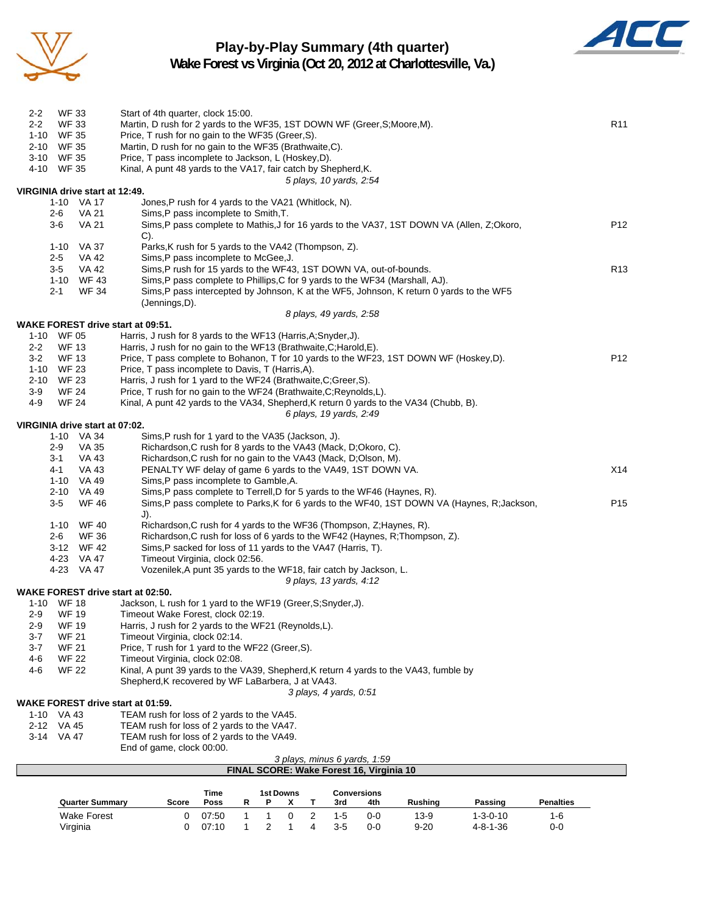

## **Play-by-Play Summary (4th quarter)**



**Wake Forest vs Virginia (Oct 20, 2012 at Charlottesville, Va.)**

| <b>WF 33</b><br>$2 - 2$<br>$2 - 2$<br><b>WF 33</b> | Start of 4th quarter, clock 15:00.<br>Martin, D rush for 2 yards to the WF35, 1ST DOWN WF (Greer, S; Moore, M).                                               | R <sub>11</sub> |
|----------------------------------------------------|---------------------------------------------------------------------------------------------------------------------------------------------------------------|-----------------|
| 1-10 WF 35<br>2-10 WF 35                           | Price, T rush for no gain to the WF35 (Greer, S).<br>Martin, D rush for no gain to the WF35 (Brathwaite, C).                                                  |                 |
| 3-10 WF 35                                         | Price, T pass incomplete to Jackson, L (Hoskey,D).                                                                                                            |                 |
| 4-10 WF 35                                         | Kinal, A punt 48 yards to the VA17, fair catch by Shepherd, K.                                                                                                |                 |
|                                                    | 5 plays, 10 yards, 2:54                                                                                                                                       |                 |
| VIRGINIA drive start at 12:49.                     |                                                                                                                                                               |                 |
| 1-10 VA 17<br>VA 21<br>2-6                         | Jones, P rush for 4 yards to the VA21 (Whitlock, N).<br>Sims, P pass incomplete to Smith, T.                                                                  |                 |
| $3-6$<br><b>VA 21</b>                              | Sims, P pass complete to Mathis, J for 16 yards to the VA37, 1ST DOWN VA (Allen, Z;Okoro,                                                                     | P <sub>12</sub> |
|                                                    | $C$ ).                                                                                                                                                        |                 |
| 1-10<br>VA 37                                      | Parks, K rush for 5 yards to the VA42 (Thompson, Z).                                                                                                          |                 |
| $2 - 5$<br>VA 42                                   | Sims, P pass incomplete to McGee, J.                                                                                                                          |                 |
| $3-5$<br>VA 42<br>1-10 WF 43                       | Sims, P rush for 15 yards to the WF43, 1ST DOWN VA, out-of-bounds.<br>Sims, P pass complete to Phillips, C for 9 yards to the WF34 (Marshall, AJ).            | R <sub>13</sub> |
| <b>WF 34</b><br>$2 - 1$                            | Sims, P pass intercepted by Johnson, K at the WF5, Johnson, K return 0 yards to the WF5                                                                       |                 |
|                                                    | (Jennings,D).                                                                                                                                                 |                 |
|                                                    | 8 plays, 49 yards, 2:58                                                                                                                                       |                 |
| WAKE FOREST drive start at 09:51.                  |                                                                                                                                                               |                 |
| 1-10 WF 05                                         | Harris, J rush for 8 yards to the WF13 (Harris, A; Snyder, J).                                                                                                |                 |
| $2 - 2$<br><b>WF 13</b><br><b>WF 13</b><br>$3-2$   | Harris, J rush for no gain to the WF13 (Brathwaite, C; Harold, E).<br>Price, T pass complete to Bohanon, T for 10 yards to the WF23, 1ST DOWN WF (Hoskey, D). | P <sub>12</sub> |
| 1-10 WF 23                                         | Price, T pass incomplete to Davis, T (Harris, A).                                                                                                             |                 |
| 2-10<br>WF 23                                      | Harris, J rush for 1 yard to the WF24 (Brathwaite, C; Greer, S).                                                                                              |                 |
| $3-9$<br><b>WF 24</b>                              | Price, T rush for no gain to the WF24 (Brathwaite, C; Reynolds, L).                                                                                           |                 |
| 4-9<br><b>WF 24</b>                                | Kinal, A punt 42 yards to the VA34, Shepherd, K return 0 yards to the VA34 (Chubb, B).                                                                        |                 |
|                                                    | 6 plays, 19 yards, 2:49                                                                                                                                       |                 |
| VIRGINIA drive start at 07:02.<br>1-10 VA 34       | Sims, P rush for 1 yard to the VA35 (Jackson, J).                                                                                                             |                 |
| $2-9$<br>VA 35                                     | Richardson, C rush for 8 yards to the VA43 (Mack, D;Okoro, C).                                                                                                |                 |
| $3 - 1$<br><b>VA 43</b>                            | Richardson, C rush for no gain to the VA43 (Mack, D;Olson, M).                                                                                                |                 |
| VA 43<br>4-1                                       | PENALTY WF delay of game 6 yards to the VA49, 1ST DOWN VA.                                                                                                    | X14             |
| 1-10 VA 49                                         | Sims, P pass incomplete to Gamble, A.                                                                                                                         |                 |
| 2-10 VA 49                                         | Sims, P pass complete to Terrell, D for 5 yards to the WF46 (Haynes, R).                                                                                      |                 |
| $3-5$<br><b>WF 46</b>                              | Sims, P pass complete to Parks, K for 6 yards to the WF40, 1ST DOWN VA (Haynes, R; Jackson,                                                                   | P <sub>15</sub> |
| 1-10 WF 40                                         | J).<br>Richardson, C rush for 4 yards to the WF36 (Thompson, Z; Haynes, R).                                                                                   |                 |
| $2 - 6$<br><b>WF 36</b>                            | Richardson, C rush for loss of 6 yards to the WF42 (Haynes, R; Thompson, Z).                                                                                  |                 |
| 3-12 WF 42                                         | Sims, P sacked for loss of 11 yards to the VA47 (Harris, T).                                                                                                  |                 |
| 4-23 VA 47                                         | Timeout Virginia, clock 02:56.                                                                                                                                |                 |
| 4-23 VA 47                                         | Vozenilek, A punt 35 yards to the WF18, fair catch by Jackson, L.                                                                                             |                 |
| <b>WAKE FOREST drive start at 02:50.</b>           | 9 plays, 13 yards, 4:12                                                                                                                                       |                 |
| 1-10 WF 18                                         | Jackson, L rush for 1 yard to the WF19 (Greer, S; Snyder, J).                                                                                                 |                 |
| <b>WF 19</b><br>$2-9$                              | Timeout Wake Forest, clock 02:19.                                                                                                                             |                 |
| <b>WF 19</b><br>$2-9$                              | Harris, J rush for 2 yards to the WF21 (Reynolds,L).                                                                                                          |                 |
| <b>WF 21</b><br>3-7                                | Timeout Virginia, clock 02:14.                                                                                                                                |                 |
| 3-7<br><b>WF 21</b>                                | Price, T rush for 1 yard to the WF22 (Greer, S).                                                                                                              |                 |
| <b>WF 22</b><br>4-6<br>4-6<br><b>WF 22</b>         | Timeout Virginia, clock 02:08.<br>Kinal, A punt 39 yards to the VA39, Shepherd, K return 4 yards to the VA43, fumble by                                       |                 |
|                                                    | Shepherd, K recovered by WF LaBarbera, J at VA43.                                                                                                             |                 |
|                                                    | 3 plays, 4 yards, 0:51                                                                                                                                        |                 |
| <b>WAKE FOREST drive start at 01:59.</b>           |                                                                                                                                                               |                 |
| 1-10 VA 43                                         | TEAM rush for loss of 2 yards to the VA45.                                                                                                                    |                 |
| 2-12 VA 45                                         | TEAM rush for loss of 2 yards to the VA47.                                                                                                                    |                 |
| 3-14 VA 47                                         | TEAM rush for loss of 2 yards to the VA49.<br>End of game, clock 00:00.                                                                                       |                 |
|                                                    | 3 plays, minus 6 yards, 1:59                                                                                                                                  |                 |
|                                                    | FINAL SCORE: Wake Forest 16, Virginia 10                                                                                                                      |                 |
|                                                    |                                                                                                                                                               |                 |

|                        |       | Time  | 1st Downs<br>Conversions |  |  |     |         |          |                  |                  |
|------------------------|-------|-------|--------------------------|--|--|-----|---------|----------|------------------|------------------|
| <b>Quarter Summary</b> | Score | Poss  |                          |  |  | 3rd | 4th     | Rushina  | Passing          | <b>Penalties</b> |
| <b>Wake Forest</b>     |       | 07:50 |                          |  |  | 1-5 | $0-0$   | 13-9     | $1 - 3 - 0 - 10$ | 1-6              |
| Virginia               |       | 07:10 |                          |  |  | 3-5 | $0 - 0$ | $9 - 20$ | $4 - 8 - 1 - 36$ | 0-0              |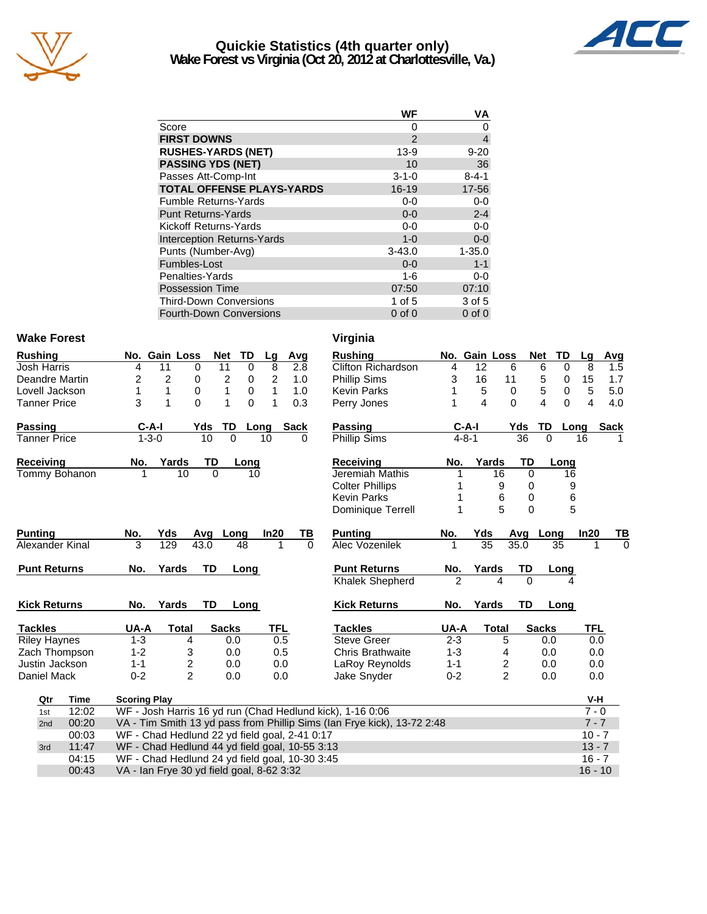

#### **Quickie Statistics (4th quarter only) Wake Forest vs Virginia (Oct 20, 2012 at Charlottesville, Va.)**



|                                   | WF             | ٧Α             |
|-----------------------------------|----------------|----------------|
| Score                             | 0              | 0              |
| <b>FIRST DOWNS</b>                | $\mathfrak{p}$ | $\overline{4}$ |
| <b>RUSHES-YARDS (NET)</b>         | $13-9$         | $9 - 20$       |
| <b>PASSING YDS (NET)</b>          | 10             | 36             |
| Passes Att-Comp-Int               | $3 - 1 - 0$    | $8 - 4 - 1$    |
| <b>TOTAL OFFENSE PLAYS-YARDS</b>  | 16-19          | 17-56          |
| <b>Fumble Returns-Yards</b>       | 0-0            | $0-0$          |
| <b>Punt Returns-Yards</b>         | $0 - 0$        | $2 - 4$        |
| Kickoff Returns-Yards             | $0 - 0$        | $0-0$          |
| <b>Interception Returns-Yards</b> | $1 - 0$        | $0-0$          |
| Punts (Number-Avg)                | $3 - 43.0$     | $1 - 35.0$     |
| Fumbles-Lost                      | $0 - 0$        | $1 - 1$        |
| Penalties-Yards                   | 1-6            | $0-0$          |
| <b>Possession Time</b>            | 07:50          | 07:10          |
| <b>Third-Down Conversions</b>     | 1 of $5$       | 3 of 5         |
| <b>Fourth-Down Conversions</b>    | $0$ of $0$     | $0$ of $0$     |

#### Wake Forest **Virginia**

| <b>Rushing</b>      | <b>TD</b><br>No. Gain Loss<br><b>Net</b>                                | Avg<br>Lg             | <b>Rushing</b>            |                | No. Gain Loss  |                | <b>Net</b><br>TD | Lg<br>Avg           |    |
|---------------------|-------------------------------------------------------------------------|-----------------------|---------------------------|----------------|----------------|----------------|------------------|---------------------|----|
| <b>Josh Harris</b>  | 11<br>11<br>$\mathbf 0$<br>0<br>4                                       | 8<br>2.8              | <b>Clifton Richardson</b> | 4              | 12             | 6              | 6<br>$\mathbf 0$ | 8<br>1.5            |    |
| Deandre Martin      | 2<br>2<br>2<br>0<br>0                                                   | $\overline{c}$<br>1.0 | <b>Phillip Sims</b>       | 3              | 16             | 11             | 5<br>0           | 15<br>1.7           |    |
| Lovell Jackson      | 1<br>1<br>0<br>0<br>1                                                   | $\mathbf{1}$<br>1.0   | <b>Kevin Parks</b>        |                | $\sqrt{5}$     | 0              | 5<br>$\pmb{0}$   | 5<br>5.0            |    |
| <b>Tanner Price</b> | 3<br>1<br>$\Omega$<br>1<br>$\Omega$                                     | $\mathbf{1}$<br>0.3   | Perry Jones               |                | 4              | $\Omega$       | 4<br>$\Omega$    | 4<br>4.0            |    |
| Passing             | $C-A-I$<br>TD<br>Yds<br>Long                                            | <b>Sack</b>           | <b>Passing</b>            |                | $C-A-I$        | Yds            | TD               | <b>Sack</b><br>Long |    |
| <b>Tanner Price</b> | $1 - 3 - 0$<br>10<br>0                                                  | 10<br>0               | Phillip Sims              |                | $4 - 8 - 1$    | 36             | $\Omega$         | 16                  |    |
| Receiving           | Yards<br><b>TD</b><br>No.<br>Long                                       |                       | <b>Receiving</b>          | No.            | Yards          | TD             | Long             |                     |    |
| Tommy Bohanon       | 10<br>$\Omega$<br>1<br>10                                               |                       | Jeremiah Mathis           |                | 16             | 0              | 16               |                     |    |
|                     |                                                                         |                       | <b>Colter Phillips</b>    |                | 9              | 0              | 9                |                     |    |
|                     |                                                                         |                       | <b>Kevin Parks</b>        |                | 6              | 0              | 6                |                     |    |
|                     |                                                                         |                       | Dominique Terrell         | 1              | 5              | $\Omega$       | 5                |                     |    |
| <b>Punting</b>      | No.<br>Yds<br>Avg<br>Long                                               | In20<br>TВ            | <b>Punting</b>            | No.            | Yds            | Avg            | Long             | In20                | ΤI |
| Alexander Kinal     | 3<br>129<br>48<br>43.0                                                  | $\Omega$<br>1         | Alec Vozenilek            | 1              | 35             | 35.0           | 35               |                     |    |
| <b>Punt Returns</b> | <b>TD</b><br>Yards<br>Long<br>No.                                       |                       | <b>Punt Returns</b>       | No.            | Yards          | TD             | Long             |                     |    |
|                     |                                                                         |                       | Khalek Shepherd           | $\overline{2}$ | $\overline{A}$ | $\Omega$       | 4                |                     |    |
| <b>Kick Returns</b> | Yards<br><b>TD</b><br>No.<br>Long                                       |                       | <b>Kick Returns</b>       | No.            | Yards          | TD             | Long             |                     |    |
| <b>Tackles</b>      | UA-A<br><b>Sacks</b><br><b>Total</b>                                    | <b>TFL</b>            | <b>Tackles</b>            | UA-A           | <b>Total</b>   |                | <b>Sacks</b>     | <b>TFL</b>          |    |
| <b>Riley Haynes</b> | $1 - 3$<br>4<br>0.0                                                     | 0.5                   | <b>Steve Greer</b>        | $2 - 3$        |                | 5              | 0.0              | 0.0                 |    |
| Zach Thompson       | $1 - 2$<br>3<br>0.0                                                     | 0.5                   | <b>Chris Brathwaite</b>   | $1 - 3$        |                | 4              | 0.0              | 0.0                 |    |
| Justin Jackson      | $\overline{\mathbf{c}}$<br>$1 - 1$<br>0.0                               | 0.0                   | <b>LaRoy Reynolds</b>     | $1 - 1$        |                | 2              | 0.0              | 0.0                 |    |
| Daniel Mack         | $\overline{2}$<br>$0 - 2$<br>0.0                                        | 0.0                   | Jake Snyder               | $0 - 2$        |                | $\overline{2}$ | 0.0              | 0.0                 |    |
| Time<br>Qtr         | <b>Scoring Play</b>                                                     |                       |                           |                |                |                |                  | V-H                 |    |
| 12:02<br>1st        | WF - Josh Harris 16 yd run (Chad Hedlund kick), 1-16 0:06               |                       |                           |                |                |                |                  | $7 - 0$             |    |
| 00:20<br>2nd        | VA - Tim Smith 13 yd pass from Phillip Sims (Ian Frye kick), 13-72 2:48 |                       |                           |                |                |                |                  | $7 - 7$             |    |
| 00:03               | WF - Chad Hedlund 22 yd field goal, 2-41 0:17                           |                       |                           |                |                |                |                  | $10 - 7$            |    |
| 11:47<br>3rd        | WF - Chad Hedlund 44 yd field goal, 10-55 3:13                          |                       |                           |                |                |                |                  | $13 - 7$            |    |
| 04:15               | WF - Chad Hedlund 24 yd field goal, 10-30 3:45                          |                       |                           |                |                |                |                  | $16 - 7$            |    |
| 00:43               | VA - Ian Frye 30 yd field goal, 8-62 3:32                               |                       |                           |                |                |                |                  | $16 - 10$           |    |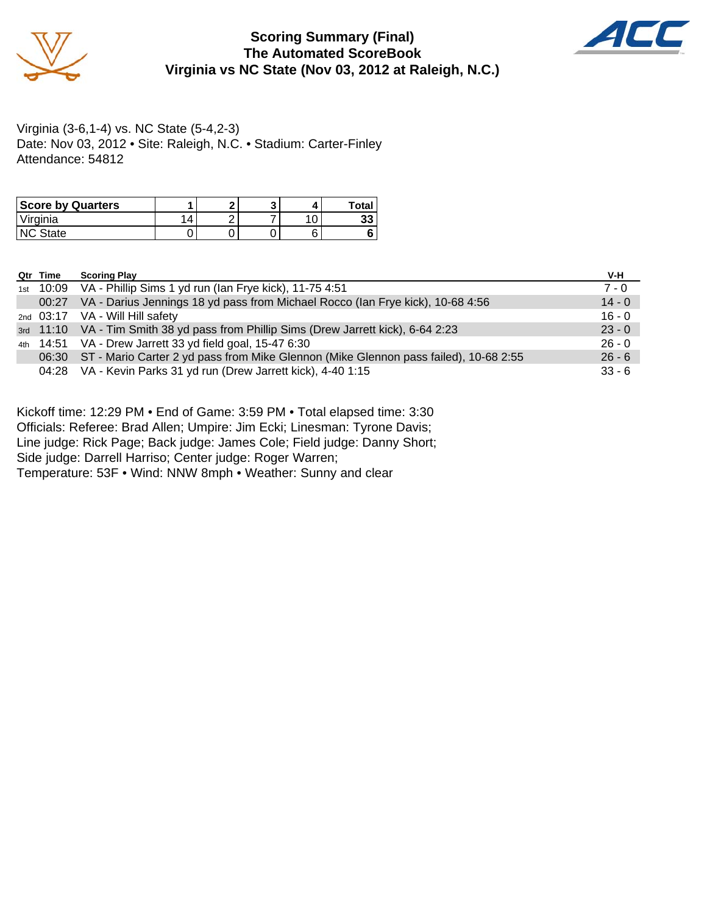

#### **Scoring Summary (Final) The Automated ScoreBook Virginia vs NC State (Nov 03, 2012 at Raleigh, N.C.)**



Virginia (3-6,1-4) vs. NC State (5-4,2-3) Date: Nov 03, 2012 • Site: Raleigh, N.C. • Stadium: Carter-Finley Attendance: 54812

| <b>Score by Quarters</b> |   | c |  | Total    |
|--------------------------|---|---|--|----------|
| 'Virginia                | 4 |   |  | 00<br>აა |
| NC State                 |   |   |  |          |

| Qtr Time | <b>Scoring Play</b>                                                                        | V-H      |
|----------|--------------------------------------------------------------------------------------------|----------|
|          | 1st 10:09 VA - Phillip Sims 1 yd run (Ian Frye kick), 11-75 4:51                           | $7 - 0$  |
|          | 00:27 VA - Darius Jennings 18 yd pass from Michael Rocco (Ian Frye kick), 10-68 4:56       | $14 - 0$ |
|          | 2nd 03:17 VA - Will Hill safety                                                            | $16 - 0$ |
|          | 3rd 11:10 VA - Tim Smith 38 yd pass from Phillip Sims (Drew Jarrett kick), 6-64 2:23       | $23 - 0$ |
|          | 4th 14:51 VA - Drew Jarrett 33 yd field goal, 15-47 6:30                                   | $26 - 0$ |
|          | 06:30 ST - Mario Carter 2 yd pass from Mike Glennon (Mike Glennon pass failed), 10-68 2:55 | $26 - 6$ |
|          | 04:28 VA - Kevin Parks 31 yd run (Drew Jarrett kick), 4-40 1:15                            | $33 - 6$ |

Kickoff time: 12:29 PM • End of Game: 3:59 PM • Total elapsed time: 3:30 Officials: Referee: Brad Allen; Umpire: Jim Ecki; Linesman: Tyrone Davis; Line judge: Rick Page; Back judge: James Cole; Field judge: Danny Short; Side judge: Darrell Harriso; Center judge: Roger Warren; Temperature: 53F • Wind: NNW 8mph • Weather: Sunny and clear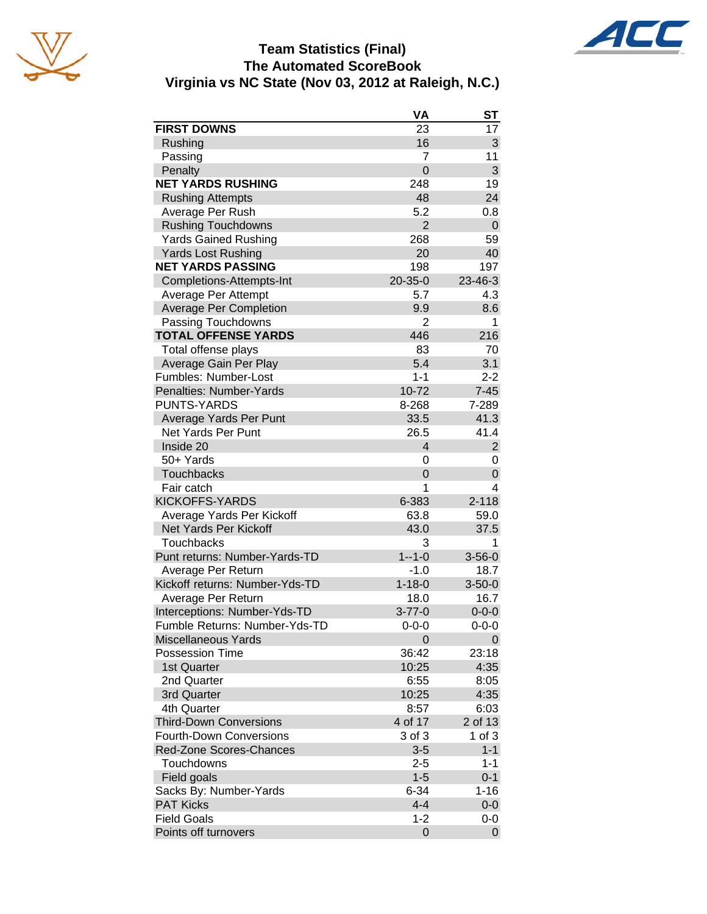





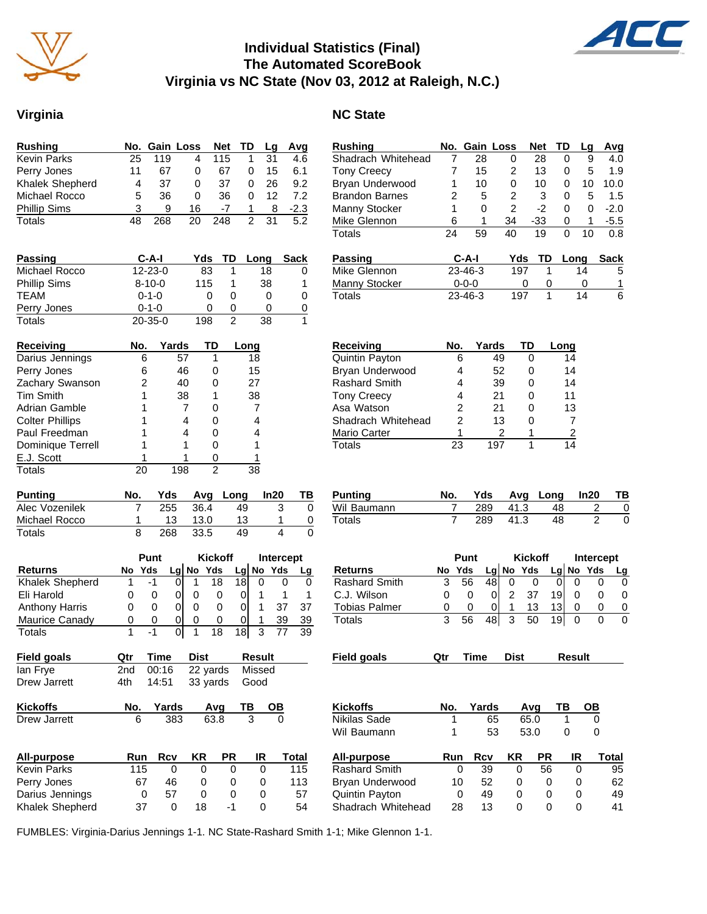

## **Individual Statistics (Final) The Automated ScoreBook Virginia vs NC State (Nov 03, 2012 at Raleigh, N.C.)**

#### **Virginia** NC State

| <b>Rushing</b>      |    |     | No. Gain Loss | Net TD |   | La  | Avg    |
|---------------------|----|-----|---------------|--------|---|-----|--------|
| <b>Kevin Parks</b>  | 25 | 119 |               | 115    |   | .31 | 4.6    |
| Perry Jones         | 11 | 67  | 0             | 67     | 0 | 15  | 6.1    |
| Khalek Shepherd     | 4  | 37  | 0             | 37     | 0 | 26  | 9.2    |
| Michael Rocco       | 5  | 36  | 0             | 36     | 0 | 12  | 7.2    |
| <b>Phillip Sims</b> |    | я   | 16            | -7     |   | 8   | $-2.3$ |
| Totals              |    | 268 | 20            | 248    |   | 31  | 5.2    |

| Passing             | C-A-I         | Yds: | TD. | Long | <b>Sack</b> |
|---------------------|---------------|------|-----|------|-------------|
| Michael Rocco       | $12 - 23 - 0$ | 83   |     | 18   | 0           |
| <b>Phillip Sims</b> | $8 - 10 - 0$  | 115  |     | 38   | 1           |
| <b>TFAM</b>         | $0 - 1 - 0$   |      |     |      | 0           |
| Perry Jones         | $0 - 1 - 0$   |      |     |      | 0           |
| Totals              | $20 - 35 - 0$ | 198  |     | 38   |             |

| Receiving              | No. | Yards | TŊ | Long |
|------------------------|-----|-------|----|------|
| Darius Jennings        | 6   | 57    |    | 18   |
| Perry Jones            | 6   | 46    |    | 15   |
| Zachary Swanson        | 2   | 40    |    | 27   |
| <b>Tim Smith</b>       |     | 38    |    | 38   |
| Adrian Gamble          |     |       |    |      |
| <b>Colter Phillips</b> |     |       |    |      |
| Paul Freedman          |     |       |    |      |
| Dominique Terrell      |     |       |    |      |
| E.J. Scott             |     |       |    |      |
| Totals                 |     | 198   | 2  | 38   |

| <b>Punting</b> | No. | Yds |      | Avg Long | In20 |  |
|----------------|-----|-----|------|----------|------|--|
| Alec Vozenilek |     | 255 | 36.4 | 49       |      |  |
| Michael Rocco  |     | 13  | 13.0 | 13       |      |  |
| Totals         |     | 268 | 33.5 | 49       |      |  |

|                       |    | Punt |    | <b>Kickoff</b> |    |   | Intercept   |    |
|-----------------------|----|------|----|----------------|----|---|-------------|----|
| <b>Returns</b>        | No | Yds  | Lg | No Yds         |    |   | $Lg$ No Yds |    |
| Khalek Shepherd       |    | -1   |    | 18             |    |   |             |    |
| Eli Harold            |    |      |    |                |    |   |             |    |
| <b>Anthony Harris</b> |    | 0    |    |                |    |   |             | 37 |
| Maurice Canady        | O  | 0    |    |                |    |   | 39          | 39 |
| Totals                |    |      |    | 18             | 18 | 3 |             | 39 |

| Field goals  | <b>Qtr Time Dist</b> |                           | Result |
|--------------|----------------------|---------------------------|--------|
| lan Frye     |                      | 2nd 00:16 22 yards Missed |        |
| Drew Jarrett |                      | 4th 14:51 33 yards Good   |        |

| <b>Kickoffs</b> | No. Yards | Avg TB | <b>OB</b> |
|-----------------|-----------|--------|-----------|
| Drew Jarrett    | 383       | 63.8   |           |

| All-purpose            | Run | Rcv | ΚR           | <b>PR</b> | IR | Total |
|------------------------|-----|-----|--------------|-----------|----|-------|
| <b>Kevin Parks</b>     | 115 |     |              |           |    | 115   |
| Perry Jones            | 67  | 46  | $\mathbf{I}$ |           |    | 113   |
| Darius Jennings        |     | 57  | $\mathbf{I}$ |           |    | 57    |
| <b>Khalek Shepherd</b> | 37  |     | 18           |           |    | 54    |

| <b>Rushing</b>        | No. | <b>Gain Loss</b> |    | <b>Net</b> | TD | Lq | Avg    |
|-----------------------|-----|------------------|----|------------|----|----|--------|
| Shadrach Whitehead    |     | 28               | 0  | 28         | 0  | 9  | 4.0    |
| <b>Tony Creecy</b>    |     | 15               | 2  | 13         | 0  | 5  | 1.9    |
| Bryan Underwood       |     | 10               | 0  | 10         | 0  | 10 | 10.0   |
| <b>Brandon Barnes</b> |     | 5                | 2  | 3          | 0  | 5  | 1.5    |
| Manny Stocker         |     | 0                | 2  | -2         | 0  | O  | $-2.0$ |
| Mike Glennon          | ิธ  | 1                | 34 | -33        | 0  | 1  | $-5.5$ |
| Totals                | 24  | 59               | 40 | 19         | 0  | 10 | 0.8    |
|                       |     |                  |    |            |    |    |        |

| <b>Passing</b> | C-A-I         | Yds | TD Long | Sack |
|----------------|---------------|-----|---------|------|
| Mike Glennon   | $23 - 46 - 3$ | 197 | 14      | 5    |
| Manny Stocker  | 0-0-0         |     |         |      |
| Totals         | $23 - 46 - 3$ | 197 | 14      | 6    |

| <b>Receiving</b>     | No. | Yards | TD | Long |
|----------------------|-----|-------|----|------|
| Quintin Payton       | 6   | 49    |    | 14   |
| Bryan Underwood      | 4   | 52    | 0  | 14   |
| <b>Rashard Smith</b> | 4   | 39    | 0  | 14   |
| <b>Tony Creecy</b>   | 4   | 21    | 0  | 11   |
| Asa Watson           | 2   | 21    | ი  | 13   |
| Shadrach Whitehead   | 2   | 13    | ი  |      |
| Mario Carter         | 1   |       |    | 2    |
| Totals               | 23  | 1 Q 7 |    |      |

| Punting     | No. |     |      | Yds Avg Long In20 | TB |
|-------------|-----|-----|------|-------------------|----|
| Wil Baumann |     | 289 | 41.3 | 48                |    |
| Totals      |     | 289 | 41.3 | 48                |    |

|                      |     | Punt |       |      | <b>Kickoff</b> |    |        | <b>Intercept</b> |       |
|----------------------|-----|------|-------|------|----------------|----|--------|------------------|-------|
| Returns              | No  | Yds  | Lgl   |      | No Yds         |    |        | Lg No Yds        | Lg    |
| <b>Rashard Smith</b> | 3   | 56   | 48    | 0    | 0              | 0  | 0      | 0                | 0     |
| C.J. Wilson          | 0   | 0    | 0     | 2    | 37             | 19 | 0      | 0                | 0     |
| <b>Tobias Palmer</b> | 0   | 0    | 0     | 1    | 13             | 13 | 0      | 0                | 0     |
| Totals               | 3   | 56   | 48    | 3    | 50             | 19 | 0      | 0                | 0     |
| Field goals          | Qtr |      | Time  | Dist |                |    | Result |                  |       |
|                      |     |      |       |      |                |    |        |                  |       |
| <b>Kickoffs</b>      | No. |      | Yards |      | Avq            | ΤВ |        | ОВ               |       |
| Nikilas Sade         |     | 1    | 65    |      | 65.0           |    | 1      | 0                |       |
| Wil Baumann          |     | 1    | 53    |      | 53.0           |    | 0      | 0                |       |
| All-purpose          |     | Run  | Rcv   | ΚR   |                | PR | IR     |                  | Total |
| <b>Rashard Smith</b> |     | 0    | 39    |      | 0              | 56 | 0      |                  | 95    |
| Bryan Underwood      |     | 10   | 52    |      | 0              | 0  | 0      |                  | 62    |
| Quintin Payton       |     | 0    | 49    |      | 0              | 0  | 0      |                  | 49    |

Quintin Payton 0 49 0 0 0 49

Shadrach Whitehead

FUMBLES: Virginia-Darius Jennings 1-1. NC State-Rashard Smith 1-1; Mike Glennon 1-1.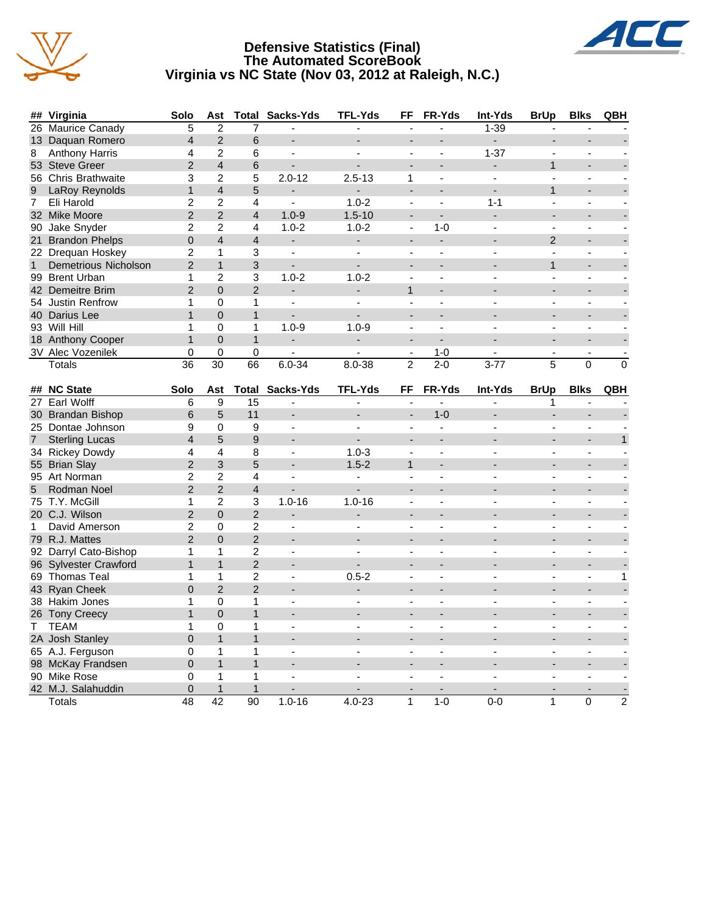

#### **Defensive Statistics (Final) The Automated ScoreBook Virginia vs NC State (Nov 03, 2012 at Raleigh, N.C.)**



90 Mike Rose 0 1 1 - - - - - - - - 42 M.J. Salahuddin 0 1 1 - - - - - - - - Totals 48 42 90 1.0-16 4.0-23 1 1-0 0-0 1 0 2

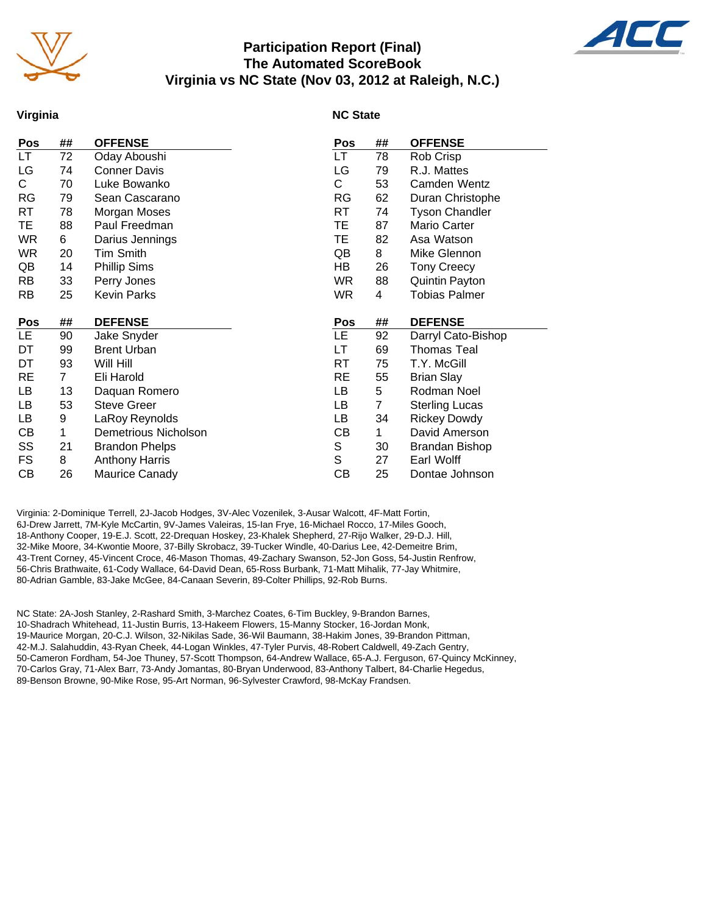

#### **Participation Report (Final) The Automated ScoreBook Virginia vs NC State (Nov 03, 2012 at Raleigh, N.C.)**



#### **Virginia**

#### **NC State**

| Pos       | ##             | <b>OFFENSE</b>              | Pos         | ## | <b>OFFENSE</b>        |
|-----------|----------------|-----------------------------|-------------|----|-----------------------|
| LT.       | 72             | Oday Aboushi                | LT          | 78 | Rob Crisp             |
| LG        | 74             | <b>Conner Davis</b>         | LG          | 79 | R.J. Mattes           |
| C.        | 70             | Luke Bowanko                | C           | 53 | Camden Wentz          |
| <b>RG</b> | 79             | Sean Cascarano              | <b>RG</b>   | 62 | Duran Christophe      |
| RT        | 78             | Morgan Moses                | RT          | 74 | <b>Tyson Chandler</b> |
| TE        | 88             | Paul Freedman               | TE          | 87 | Mario Carter          |
| <b>WR</b> | 6              | Darius Jennings             | TE          | 82 | Asa Watson            |
| WR        | 20             | <b>Tim Smith</b>            | QB          | 8  | Mike Glennon          |
| QB        | 14             | <b>Phillip Sims</b>         | HB          | 26 | <b>Tony Creecy</b>    |
| RB        | 33             | Perry Jones                 | <b>WR</b>   | 88 | Quintin Payton        |
| RB        | 25             | <b>Kevin Parks</b>          | <b>WR</b>   | 4  | <b>Tobias Palmer</b>  |
|           |                |                             |             |    |                       |
|           |                |                             |             |    |                       |
| Pos       | ##             | <b>DEFENSE</b>              | Pos         | ## | <b>DEFENSE</b>        |
| <b>LE</b> | 90             | Jake Snyder                 | LE          | 92 | Darryl Cato-Bishop    |
| DT        | 99             | <b>Brent Urban</b>          | LT          | 69 | <b>Thomas Teal</b>    |
| DT        | 93             | Will Hill                   | RT          | 75 | T.Y. McGill           |
| RE        | $\overline{7}$ | Eli Harold                  | <b>RE</b>   | 55 | <b>Brian Slay</b>     |
| LB        | 13             | Daquan Romero               | LB          | 5  | Rodman Noel           |
| LB        | 53             | <b>Steve Greer</b>          | LB          | 7  | <b>Sterling Lucas</b> |
| LВ        | 9              | LaRoy Reynolds              | LB          | 34 | <b>Rickey Dowdy</b>   |
| СB        | $\mathbf 1$    | <b>Demetrious Nicholson</b> | CВ          | 1  | David Amerson         |
| SS        | 21             | <b>Brandon Phelps</b>       | S           | 30 | <b>Brandan Bishop</b> |
| FS        | 8              | <b>Anthony Harris</b>       | $\mathbb S$ | 27 | Earl Wolff            |
| CВ        | 26             | Maurice Canady              | CB          | 25 | Dontae Johnson        |

Virginia: 2-Dominique Terrell, 2J-Jacob Hodges, 3V-Alec Vozenilek, 3-Ausar Walcott, 4F-Matt Fortin, 6J-Drew Jarrett, 7M-Kyle McCartin, 9V-James Valeiras, 15-Ian Frye, 16-Michael Rocco, 17-Miles Gooch, 18-Anthony Cooper, 19-E.J. Scott, 22-Drequan Hoskey, 23-Khalek Shepherd, 27-Rijo Walker, 29-D.J. Hill, 32-Mike Moore, 34-Kwontie Moore, 37-Billy Skrobacz, 39-Tucker Windle, 40-Darius Lee, 42-Demeitre Brim, 43-Trent Corney, 45-Vincent Croce, 46-Mason Thomas, 49-Zachary Swanson, 52-Jon Goss, 54-Justin Renfrow, 56-Chris Brathwaite, 61-Cody Wallace, 64-David Dean, 65-Ross Burbank, 71-Matt Mihalik, 77-Jay Whitmire, 80-Adrian Gamble, 83-Jake McGee, 84-Canaan Severin, 89-Colter Phillips, 92-Rob Burns.

NC State: 2A-Josh Stanley, 2-Rashard Smith, 3-Marchez Coates, 6-Tim Buckley, 9-Brandon Barnes, 10-Shadrach Whitehead, 11-Justin Burris, 13-Hakeem Flowers, 15-Manny Stocker, 16-Jordan Monk, 19-Maurice Morgan, 20-C.J. Wilson, 32-Nikilas Sade, 36-Wil Baumann, 38-Hakim Jones, 39-Brandon Pittman, 42-M.J. Salahuddin, 43-Ryan Cheek, 44-Logan Winkles, 47-Tyler Purvis, 48-Robert Caldwell, 49-Zach Gentry, 50-Cameron Fordham, 54-Joe Thuney, 57-Scott Thompson, 64-Andrew Wallace, 65-A.J. Ferguson, 67-Quincy McKinney, 70-Carlos Gray, 71-Alex Barr, 73-Andy Jomantas, 80-Bryan Underwood, 83-Anthony Talbert, 84-Charlie Hegedus, 89-Benson Browne, 90-Mike Rose, 95-Art Norman, 96-Sylvester Crawford, 98-McKay Frandsen.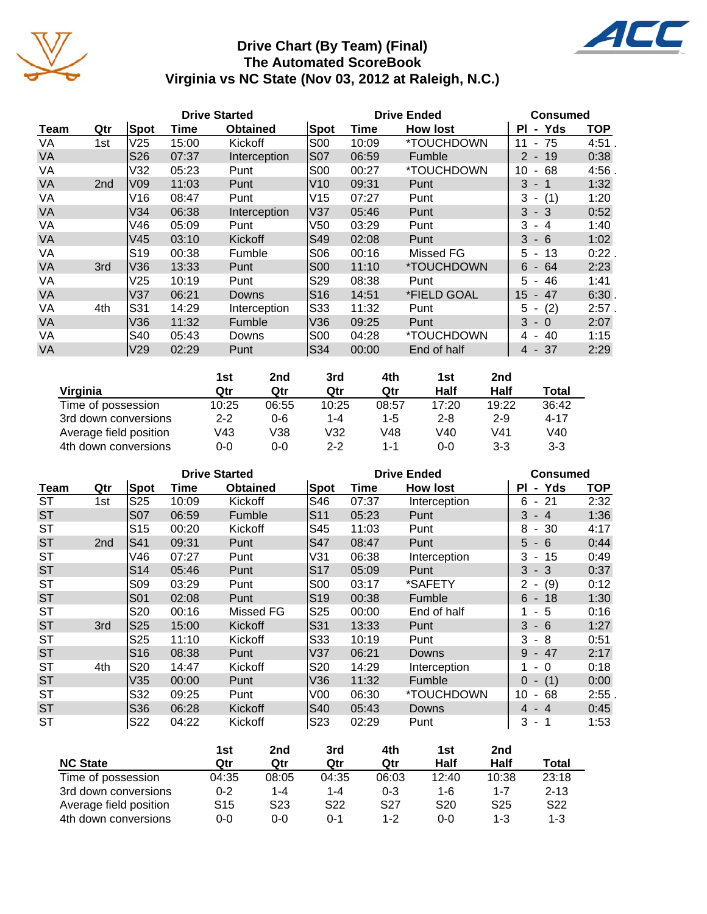

## **Drive Chart (By Team) (Final) The Automated ScoreBook Virginia vs NC State (Nov 03, 2012 at Raleigh, N.C.)**



|           |                 |                 |       | <b>Drive Started</b> |                 |       | <b>Drive Ended</b> | Consumed                             |            |
|-----------|-----------------|-----------------|-------|----------------------|-----------------|-------|--------------------|--------------------------------------|------------|
| Team      | Qtr             | Spot            | Time  | <b>Obtained</b>      | Spot            | Time  | <b>How lost</b>    | Yds<br>ΡI<br>$\sim$                  | <b>TOP</b> |
| VA        | 1st             | V <sub>25</sub> | 15:00 | Kickoff              | <b>S00</b>      | 10:09 | *TOUCHDOWN         | 75<br>11<br>$\blacksquare$           | 4:51       |
| VA        |                 | S <sub>26</sub> | 07:37 | Interception         | S07             | 06:59 | Fumble             | 19<br>2<br>$\blacksquare$            | 0:38       |
| VA        |                 | V32             | 05:23 | Punt                 | <b>S00</b>      | 00:27 | *TOUCHDOWN         | 10<br>68<br>$\blacksquare$           | 4:56       |
| <b>VA</b> | 2 <sub>nd</sub> | V09             | 11:03 | Punt                 | V10             | 09:31 | Punt               | 3<br>-1<br>$\blacksquare$            | 1:32       |
| VA        |                 | V16             | 08:47 | Punt                 | V15             | 07:27 | Punt               | 3<br>(1)<br>$\overline{\phantom{a}}$ | 1:20       |
| VA        |                 | V34             | 06:38 | Interception         | V37             | 05:46 | Punt               | 3<br>$-3$                            | 0:52       |
| VA        |                 | V46             | 05:09 | Punt                 | V50             | 03:29 | Punt               | 3<br>4<br>$\overline{\phantom{a}}$   | 1:40       |
| <b>VA</b> |                 | V45             | 03:10 | Kickoff              | $\mathsf{S}49$  | 02:08 | Punt               | 3<br>- 6                             | 1:02       |
| VA        |                 | S <sub>19</sub> | 00:38 | Fumble               | <b>S06</b>      | 00:16 | Missed FG          | 13<br>5<br>$\blacksquare$            | 0:22       |
| VA        | 3rd             | V36             | 13:33 | Punt                 | <b>S00</b>      | 11:10 | *TOUCHDOWN         | 6<br>64<br>$\overline{\phantom{a}}$  | 2:23       |
| VA        |                 | V25             | 10:19 | Punt                 | S <sub>29</sub> | 08:38 | Punt               | 46<br>5<br>$\blacksquare$            | 1:41       |
| <b>VA</b> |                 | V <sub>37</sub> | 06:21 | Downs                | S16             | 14:51 | *FIELD GOAL        | 15<br>$-47$                          | 6:30.      |
| VA        | 4th             | S31             | 14:29 | Interception         | S33             | 11:32 | Punt               | (2)<br>5<br>$\overline{\phantom{a}}$ | $2:57$ .   |
| <b>VA</b> |                 | V36             | 11:32 | Fumble               | V36             | 09:25 | Punt               | 3<br>- 0                             | 2:07       |
| VA        |                 | S40             | 05:43 | Downs                | <b>S00</b>      | 04:28 | *TOUCHDOWN         | 40<br>4<br>$\blacksquare$            | 1:15       |
| <b>VA</b> |                 | V <sub>29</sub> | 02:29 | Punt                 | $\mathsf{S}34$  | 00:00 | End of half        | 4 - 37                               | 2:29       |

|                        | 1st     | 2nd   | 3rd     | 4th     | 1st     | 2nd     |          |
|------------------------|---------|-------|---------|---------|---------|---------|----------|
| Virginia               | Qtr     | Qtr   | Qtr     | Qtr     | Half    | Half    | Total    |
| Time of possession     | 10:25   | 06:55 | 10:25   | 08:57   | 17:20   | 19:22   | 36:42    |
| 3rd down conversions   | $2 - 2$ | 0-6   | 1-4     | $1 - 5$ | $2 - 8$ | $2 - 9$ | $4 - 17$ |
| Average field position | V43     | V38   | V32     | V48     | V40     | V41     | V40      |
| 4th down conversions   | $0 - 0$ | 0-0   | $2 - 2$ | 1-1     | $0 - 0$ | $3 - 3$ | $3 - 3$  |

|           |                 |                 | <b>Drive Started</b> |                 |                 |       | <b>Drive Ended</b> | <b>Consumed</b>                      |            |
|-----------|-----------------|-----------------|----------------------|-----------------|-----------------|-------|--------------------|--------------------------------------|------------|
| Team      | Qtr             | Spot            | Time                 | <b>Obtained</b> | <b>Spot</b>     | Time  | <b>How lost</b>    | <b>PI</b><br>- Yds                   | <b>TOP</b> |
| <b>ST</b> | 1st             | S <sub>25</sub> | 10:09                | Kickoff         | S46             | 07:37 | Interception       | $-21$<br>6                           | 2:32       |
| <b>ST</b> |                 | <b>S07</b>      | 06:59                | Fumble          | S <sub>11</sub> | 05:23 | Punt               | $-4$<br>3                            | 1:36       |
| <b>ST</b> |                 | S <sub>15</sub> | 00:20                | Kickoff         | S45             | 11:03 | Punt               | 8<br>$-30$                           | 4:17       |
| <b>ST</b> | 2 <sub>nd</sub> | $\mathsf{S}41$  | 09:31                | Punt            | <b>S47</b>      | 08:47 | Punt               | $5\overline{)}$<br>- 6               | 0:44       |
| <b>ST</b> |                 | V46             | 07:27                | Punt            | V31             | 06:38 | Interception       | 3<br>15<br>$\sim$                    | 0:49       |
| <b>ST</b> |                 | S <sub>14</sub> | 05:46                | Punt            | S17             | 05:09 | Punt               | $3 - 3$                              | 0:37       |
| <b>ST</b> |                 | <b>S09</b>      | 03:29                | Punt            | S <sub>00</sub> | 03:17 | *SAFETY            | (9)<br>2<br>$\overline{\phantom{a}}$ | 0:12       |
| <b>ST</b> |                 | S01             | 02:08                | Punt            | S19             | 00:38 | Fumble             | $6 - 18$                             | 1:30       |
| <b>ST</b> |                 | S20             | 00:16                | Missed FG       | S <sub>25</sub> | 00:00 | End of half        | - 5                                  | 0:16       |
| <b>ST</b> | 3rd             | S <sub>25</sub> | 15:00                | <b>Kickoff</b>  | S31             | 13:33 | Punt               | 3<br>$-6$                            | 1:27       |
| <b>ST</b> |                 | S <sub>25</sub> | 11:10                | Kickoff         | S33             | 10:19 | Punt               | 3<br>- 8                             | 0:51       |
| <b>ST</b> |                 | S <sub>16</sub> | 08:38                | Punt            | V37             | 06:21 | <b>Downs</b>       | $-47$<br>9                           | 2:17       |
| ST        | 4th             | S20             | 14:47                | Kickoff         | S <sub>20</sub> | 14:29 | Interception       | $\Omega$                             | 0:18       |
| <b>ST</b> |                 | V35             | 00:00                | Punt            | V36             | 11:32 | Fumble             | (1)<br>$\Omega$                      | 0:00       |
| <b>ST</b> |                 | S32             | 09:25                | Punt            | V <sub>0</sub>  | 06:30 | *TOUCHDOWN         | 10<br>68<br>$\overline{\phantom{a}}$ | 2:55       |
| <b>ST</b> |                 | S36             | 06:28                | Kickoff         | $ S40\rangle$   | 05:43 | Downs              | $-4$<br>4                            | 0:45       |
| ST        |                 | S22             | 04:22                | Kickoff         | S <sub>23</sub> | 02:29 | Punt               | 3<br>- 1                             | 1:53       |

|                        | 1st     | 2nd             | 3rd             | 4th             | 1st             | 2nd             |                 |
|------------------------|---------|-----------------|-----------------|-----------------|-----------------|-----------------|-----------------|
| <b>NC State</b>        | Qtr     | Qtr             | Qtr             | Qtr             | Half            | Half            | Total           |
| Time of possession     | 04:35   | 08:05           | 04:35           | 06:03           | 12:40           | 10:38           | 23:18           |
| 3rd down conversions   | $0 - 2$ | 1-4             | $1 - 4$         | $0 - 3$         | $1 - 6$         | $1 - 7$         | $2 - 13$        |
| Average field position | S15     | S <sub>23</sub> | S <sub>22</sub> | S <sub>27</sub> | S <sub>20</sub> | S <sub>25</sub> | S <sub>22</sub> |
| 4th down conversions   | $0 - 0$ | 0-0             | 0-1             | $1 - 2$         | 0-0             | 1-3             | 1-3             |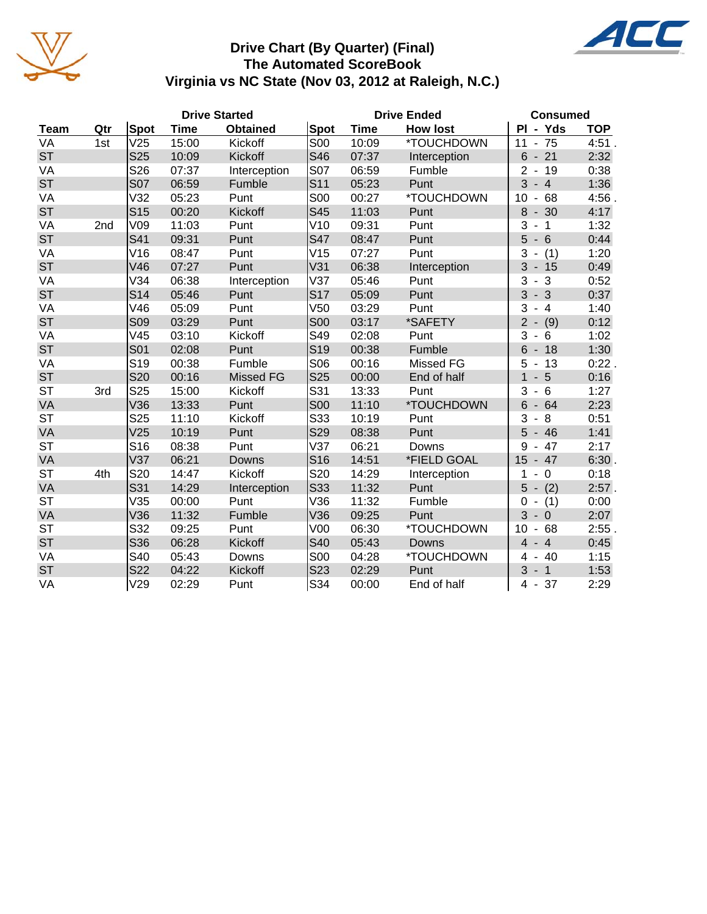

## **Drive Chart (By Quarter) (Final) The Automated ScoreBook Virginia vs NC State (Nov 03, 2012 at Raleigh, N.C.)**

|             |     |                 |       | <b>Drive Started</b> |                 |             | <b>Drive Ended</b> | <b>Consumed</b>                          |            |
|-------------|-----|-----------------|-------|----------------------|-----------------|-------------|--------------------|------------------------------------------|------------|
| <b>Team</b> | Qtr | Spot            | Time  | <b>Obtained</b>      | Spot            | <b>Time</b> | <b>How lost</b>    | PI - Yds                                 | <b>TOP</b> |
| VA          | 1st | V25             | 15:00 | Kickoff              | <b>S00</b>      | 10:09       | *TOUCHDOWN         | 75<br>11                                 | 4:51       |
| <b>ST</b>   |     | <b>S25</b>      | 10:09 | Kickoff              | S46             | 07:37       | Interception       | 6<br>$-21$                               | 2:32       |
| VA          |     | S26             | 07:37 | Interception         | <b>S07</b>      | 06:59       | Fumble             | $\overline{2}$<br>$-19$                  | 0:38       |
| <b>ST</b>   |     | <b>S07</b>      | 06:59 | Fumble               | S11             | 05:23       | Punt               | 3<br>$-4$                                | 1:36       |
| VA          |     | V32             | 05:23 | Punt                 | <b>S00</b>      | 00:27       | *TOUCHDOWN         | 10<br>68<br>$\blacksquare$               | 4:56       |
| <b>ST</b>   |     | S <sub>15</sub> | 00:20 | Kickoff              | S45             | 11:03       | Punt               | 8<br>$-30$                               | 4:17       |
| VA          | 2nd | V09             | 11:03 | Punt                 | V10             | 09:31       | Punt               | 3<br>$\mathbf 1$                         | 1:32       |
| <b>ST</b>   |     | S41             | 09:31 | Punt                 | <b>S47</b>      | 08:47       | Punt               | 5<br>$-6$                                | 0:44       |
| VA          |     | V16             | 08:47 | Punt                 | V15             | 07:27       | Punt               | 3<br>(1)<br>$\qquad \qquad \blacksquare$ | 1:20       |
| <b>ST</b>   |     | V46             | 07:27 | Punt                 | V31             | 06:38       | Interception       | 3<br>$-15$                               | 0:49       |
| VA          |     | V34             | 06:38 | Interception         | V37             | 05:46       | Punt               | 3<br>$\mathbf{3}$<br>$\blacksquare$      | 0:52       |
| <b>ST</b>   |     | S <sub>14</sub> | 05:46 | Punt                 | S17             | 05:09       | Punt               | 3<br>$-3$                                | 0:37       |
| VA          |     | V46             | 05:09 | Punt                 | V <sub>50</sub> | 03:29       | Punt               | $-4$<br>3                                | 1:40       |
| <b>ST</b>   |     | <b>S09</b>      | 03:29 | Punt                 | <b>S00</b>      | 03:17       | *SAFETY            | $2 - (9)$                                | 0:12       |
| VA          |     | V45             | 03:10 | Kickoff              | S49             | 02:08       | Punt               | 3<br>6<br>$\blacksquare$                 | 1:02       |
| <b>ST</b>   |     | S01             | 02:08 | Punt                 | S <sub>19</sub> | 00:38       | Fumble             | 6<br>$-18$                               | 1:30       |
| VA          |     | S <sub>19</sub> | 00:38 | Fumble               | S06             | 00:16       | <b>Missed FG</b>   | 13<br>5<br>$\blacksquare$                | $0:22$ .   |
| <b>ST</b>   |     | S20             | 00:16 | <b>Missed FG</b>     | <b>S25</b>      | 00:00       | End of half        | $-5$<br>$\mathbf{1}$                     | 0:16       |
| <b>ST</b>   | 3rd | S <sub>25</sub> | 15:00 | Kickoff              | S31             | 13:33       | Punt               | 3<br>$-6$                                | 1:27       |
| VA          |     | V36             | 13:33 | Punt                 | <b>S00</b>      | 11:10       | *TOUCHDOWN         | 6<br>$-64$                               | 2:23       |
| <b>ST</b>   |     | S25             | 11:10 | Kickoff              | S33             | 10:19       | Punt               | 8<br>3<br>$\blacksquare$                 | 0:51       |
| VA          |     | V25             | 10:19 | Punt                 | S29             | 08:38       | Punt               | 5<br>$-46$                               | 1:41       |
| <b>ST</b>   |     | S <sub>16</sub> | 08:38 | Punt                 | V <sub>37</sub> | 06:21       | Downs              | 47<br>9                                  | 2:17       |
| VA          |     | V <sub>37</sub> | 06:21 | Downs                | S <sub>16</sub> | 14:51       | *FIELD GOAL        | 15<br>47<br>$\overline{\phantom{a}}$     | 6:30       |
| <b>ST</b>   | 4th | S20             | 14:47 | Kickoff              | S20             | 14:29       | Interception       | $\overline{0}$<br>1                      | 0:18       |
| VA          |     | S31             | 14:29 | Interception         | S33             | 11:32       | Punt               | 5<br>(2)<br>$\overline{\phantom{a}}$     | $2:57$ .   |
| <b>ST</b>   |     | V35             | 00:00 | Punt                 | V36             | 11:32       | Fumble             | (1)<br>0<br>$\overline{\phantom{a}}$     | 0:00       |
| VA          |     | V36             | 11:32 | Fumble               | V36             | 09:25       | Punt               | 3<br>$-0$                                | 2:07       |
| <b>ST</b>   |     | S32             | 09:25 | Punt                 | V <sub>00</sub> | 06:30       | *TOUCHDOWN         | 10<br>68<br>$\blacksquare$               | 2:55       |
| <b>ST</b>   |     | S36             | 06:28 | Kickoff              | S40             | 05:43       | Downs              | 4<br>$-4$                                | 0:45       |
| VA          |     | S40             | 05:43 | Downs                | <b>S00</b>      | 04:28       | *TOUCHDOWN         | -40<br>4                                 | 1:15       |
| <b>ST</b>   |     | <b>S22</b>      | 04:22 | Kickoff              | S <sub>23</sub> | 02:29       | Punt               | 3<br>$\overline{1}$                      | 1:53       |
| VA          |     | V29             | 02:29 | Punt                 | S34             | 00:00       | End of half        | $4 - 37$                                 | 2:29       |

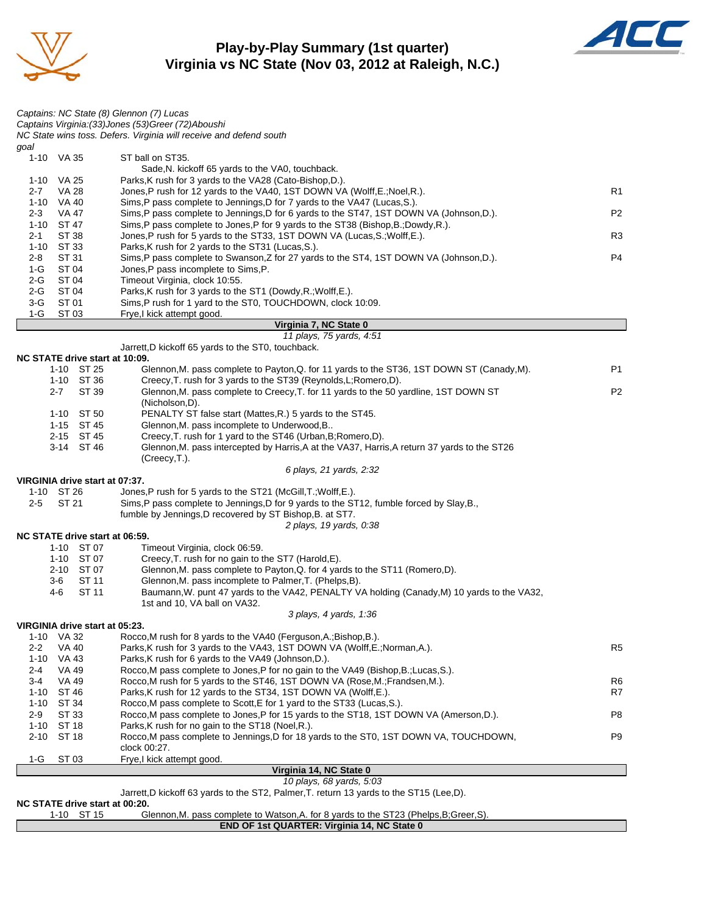

#### **Play-by-Play Summary (1st quarter) Virginia vs NC State (Nov 03, 2012 at Raleigh, N.C.)**



|            | NC STATE drive start at 00:20.               | Jarrett, D kickoff 63 yards to the ST2, Palmer, T. return 13 yards to the ST15 (Lee, D).                                                         |                |
|------------|----------------------------------------------|--------------------------------------------------------------------------------------------------------------------------------------------------|----------------|
|            |                                              | 10 plays, 68 yards, 5:03                                                                                                                         |                |
| 1-G        | ST 03                                        | Frye,I kick attempt good.<br>Virginia 14, NC State 0                                                                                             |                |
|            |                                              | clock 00:27.                                                                                                                                     |                |
| $2 - 10$   | ST 18                                        | Rocco, M pass complete to Jennings, D for 18 yards to the ST0, 1ST DOWN VA, TOUCHDOWN,                                                           | P <sub>9</sub> |
| $1 - 10$   | ST 18                                        | Parks, K rush for no gain to the ST18 (Noel, R.).                                                                                                |                |
| $2-9$      | ST 33                                        | Rocco, M pass complete to Jones, P for 15 yards to the ST18, 1ST DOWN VA (Amerson, D.).                                                          | P8             |
|            | 1-10 ST 34                                   | Rocco, M pass complete to Scott, E for 1 yard to the ST33 (Lucas, S.).                                                                           |                |
| $3-4$      | VA 49<br>1-10 ST 46                          | Rocco, M rush for 5 yards to the ST46, 1ST DOWN VA (Rose, M.; Frandsen, M.).<br>Parks, K rush for 12 yards to the ST34, 1ST DOWN VA (Wolff, E.). | R6<br>R7       |
| 2-4        | VA 49                                        | Rocco, M pass complete to Jones, P for no gain to the VA49 (Bishop, B.; Lucas, S.).                                                              |                |
| $1 - 10$   | VA 43                                        | Parks, K rush for 6 yards to the VA49 (Johnson, D.).                                                                                             |                |
| $2 - 2$    | <b>VA 40</b>                                 | Parks, K rush for 3 yards to the VA43, 1ST DOWN VA (Wolff, E.; Norman, A.).                                                                      | R <sub>5</sub> |
|            | 1-10 VA 32                                   | Rocco, M rush for 8 yards to the VA40 (Ferguson, A.; Bishop, B.).                                                                                |                |
|            | VIRGINIA drive start at 05:23.               |                                                                                                                                                  |                |
|            |                                              | 3 plays, 4 yards, 1:36                                                                                                                           |                |
|            |                                              | 1st and 10, VA ball on VA32.                                                                                                                     |                |
|            | 4-6<br>ST 11                                 | Baumann, W. punt 47 yards to the VA42, PENALTY VA holding (Canady, M) 10 yards to the VA32,                                                      |                |
|            | ST 11<br>3-6                                 | Glennon, M. pass incomplete to Palmer, T. (Phelps, B).                                                                                           |                |
|            | 2-10 ST 07                                   | Glennon, M. pass complete to Payton, Q. for 4 yards to the ST11 (Romero, D).                                                                     |                |
|            | 1-10 ST 07                                   | Creecy, T. rush for no gain to the ST7 (Harold, E).                                                                                              |                |
|            | 1-10 ST 07                                   | Timeout Virginia, clock 06:59.                                                                                                                   |                |
|            | NC STATE drive start at 06:59.               |                                                                                                                                                  |                |
|            |                                              | 2 plays, 19 yards, 0:38                                                                                                                          |                |
|            |                                              | fumble by Jennings, D recovered by ST Bishop, B. at ST7.                                                                                         |                |
| $2 - 5$    | ST 21                                        | Sims, P pass complete to Jennings, D for 9 yards to the ST12, fumble forced by Slay, B.,                                                         |                |
|            | VIRGINIA drive start at 07:37.<br>1-10 ST 26 | Jones, P rush for 5 yards to the ST21 (McGill, T.; Wolff, E.).                                                                                   |                |
|            |                                              | 6 plays, 21 yards, 2:32                                                                                                                          |                |
|            |                                              | (Creecy, T.).                                                                                                                                    |                |
|            | 3-14 ST 46                                   | Glennon, M. pass intercepted by Harris, A at the VA37, Harris, A return 37 yards to the ST26                                                     |                |
|            | 2-15 ST 45                                   | Creecy, T. rush for 1 yard to the ST46 (Urban, B; Romero, D).                                                                                    |                |
|            | 1-15 ST 45                                   | Glennon, M. pass incomplete to Underwood, B                                                                                                      |                |
|            | 1-10 ST 50                                   | PENALTY ST false start (Mattes, R.) 5 yards to the ST45.                                                                                         |                |
|            |                                              | (Nicholson, D).                                                                                                                                  |                |
|            | $2 - 7$<br>ST 39                             | Glennon, M. pass complete to Creecy, T. for 11 yards to the 50 yardline, 1ST DOWN ST                                                             | P <sub>2</sub> |
|            | 1-10 ST 36                                   | Creecy, T. rush for 3 yards to the ST39 (Reynolds, L; Romero, D).                                                                                |                |
|            | 1-10 ST 25                                   | Glennon, M. pass complete to Payton, Q. for 11 yards to the ST36, 1ST DOWN ST (Canady, M).                                                       | <b>P1</b>      |
|            | NC STATE drive start at 10:09.               |                                                                                                                                                  |                |
|            |                                              | Jarrett, D kickoff 65 yards to the ST0, touchback.                                                                                               |                |
|            |                                              | 11 plays, 75 yards, 4:51                                                                                                                         |                |
|            |                                              | Virginia 7, NC State 0                                                                                                                           |                |
| 3-G<br>1-G | ST 01<br>ST 03                               | Sims, P rush for 1 yard to the ST0, TOUCHDOWN, clock 10:09.<br>Frye,I kick attempt good.                                                         |                |
| $2-G$      | ST 04                                        | Parks, K rush for 3 yards to the ST1 (Dowdy, R.; Wolff, E.).                                                                                     |                |
| 2-G        | ST 04                                        | Timeout Virginia, clock 10:55.                                                                                                                   |                |
| 1-G        | ST 04                                        | Jones, P pass incomplete to Sims, P.                                                                                                             |                |
| $2 - 8$    | ST 31                                        | Sims, P pass complete to Swanson, Z for 27 yards to the ST4, 1ST DOWN VA (Johnson, D.).                                                          | P4             |
|            | 1-10 ST 33                                   | Parks, K rush for 2 yards to the ST31 (Lucas, S.).                                                                                               |                |
| $2 - 1$    | ST 38                                        | Jones, P rush for 5 yards to the ST33, 1ST DOWN VA (Lucas, S.; Wolff, E.).                                                                       | R3             |
|            | 1-10 ST 47                                   | Sims, P pass complete to Jones, P for 9 yards to the ST38 (Bishop, B.; Dowdy, R.).                                                               |                |
| $2 - 3$    | VA 47                                        | Sims, P pass complete to Jennings, D for 6 yards to the ST47, 1ST DOWN VA (Johnson, D.).                                                         | P <sub>2</sub> |
|            | 1-10 VA 40                                   | Sims,P pass complete to Jennings,D for 7 yards to the VA47 (Lucas,S.).                                                                           |                |
| $2 - 7$    | VA 28                                        | Jones, P rush for 12 yards to the VA40, 1ST DOWN VA (Wolff, E.; Noel, R.).                                                                       | R1             |
|            | 1-10 VA 25                                   | Parks, K rush for 3 yards to the VA28 (Cato-Bishop, D.).                                                                                         |                |
|            |                                              | Sade, N. kickoff 65 yards to the VA0, touchback.                                                                                                 |                |
|            | 1-10 VA 35                                   | ST ball on ST35.                                                                                                                                 |                |
| goal       |                                              |                                                                                                                                                  |                |
|            |                                              | NC State wins toss. Defers. Virginia will receive and defend south                                                                               |                |
|            |                                              | Captains: NC State (8) Glennon (7) Lucas<br>Captains Virginia: (33) Jones (53) Greer (72) Aboushi                                                |                |
|            |                                              |                                                                                                                                                  |                |

1-10 ST 15 Glennon,M. pass complete to Watson,A. for 8 yards to the ST23 (Phelps,B;Greer,S).

**END OF 1st QUARTER: Virginia 14, NC State 0**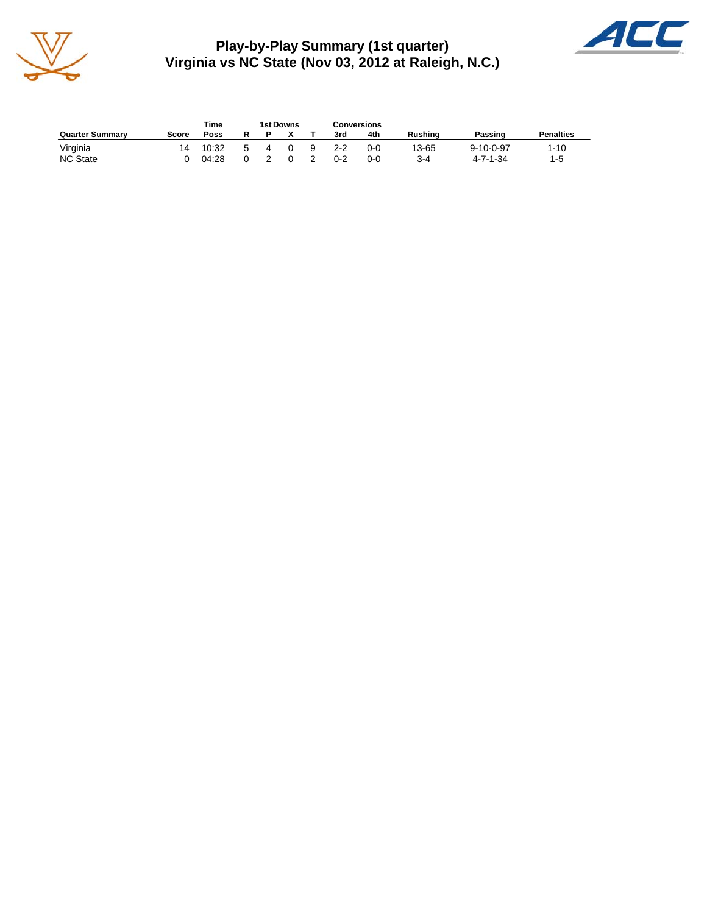

**Play-by-Play Summary (1st quarter) Virginia vs NC State (Nov 03, 2012 at Raleigh, N.C.)**



|                        |       | Time  |   | 1st Downs |   |    |         | <b>Conversions</b> |                |                               |                  |
|------------------------|-------|-------|---|-----------|---|----|---------|--------------------|----------------|-------------------------------|------------------|
| <b>Quarter Summary</b> | Score | Poss  | R |           |   |    | 3rd     | 4th                | <b>Rushing</b> | Passing                       | <b>Penalties</b> |
| Virginia               | 14    | 10:32 | 5 |           | 0 | -9 | $2 - 2$ | 0-0                | 13-65<br>$3-4$ | $9 - 10 - 0 - 97$<br>4-7-1-34 | $1 - 10$         |
| <b>NC State</b>        |       | 04:28 |   |           |   |    | $0 - 2$ | $0 - 0$            |                |                               | 1-5              |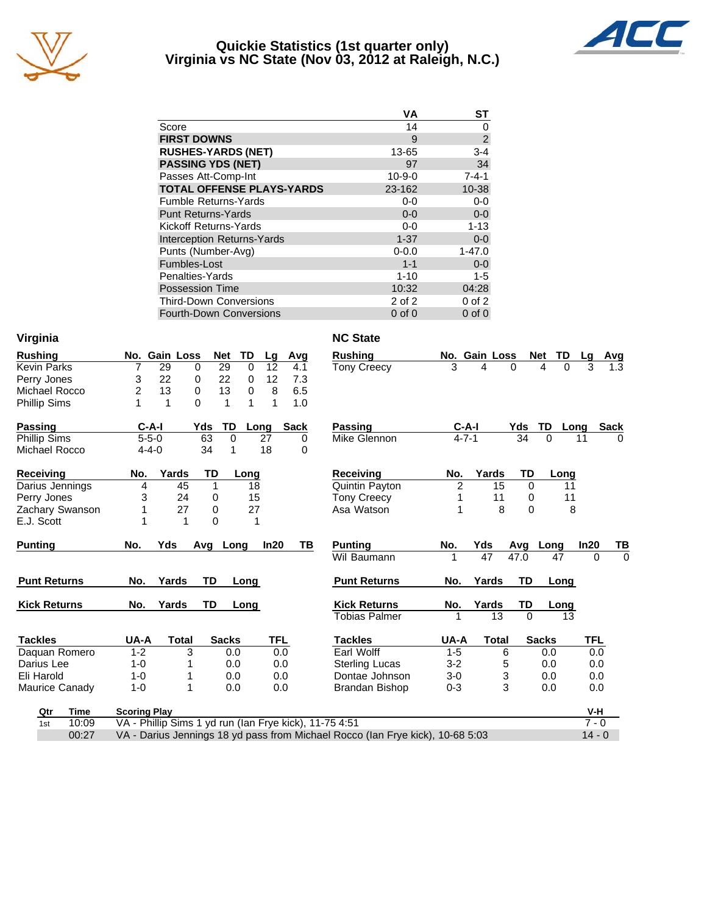

#### **Quickie Statistics (1st quarter only) Virginia vs NC State (Nov 03, 2012 at Raleigh, N.C.)**



|                                   | VA           | <b>ST</b>      |
|-----------------------------------|--------------|----------------|
| Score                             | 14           | 0              |
| <b>FIRST DOWNS</b>                | 9            | $\overline{2}$ |
| <b>RUSHES-YARDS (NET)</b>         | 13-65        | $3 - 4$        |
| <b>PASSING YDS (NET)</b>          | 97           | 34             |
| Passes Att-Comp-Int               | $10 - 9 - 0$ | $7 - 4 - 1$    |
| <b>TOTAL OFFENSE PLAYS-YARDS</b>  | 23-162       | $10 - 38$      |
| <b>Fumble Returns-Yards</b>       | $0-0$        | $0-0$          |
| <b>Punt Returns-Yards</b>         | $0 - 0$      | $0-0$          |
| Kickoff Returns-Yards             | $0-0$        | $1 - 13$       |
| <b>Interception Returns-Yards</b> | $1 - 37$     | $0-0$          |
| Punts (Number-Avg)                | $0 - 0.0$    | $1 - 47.0$     |
| Fumbles-Lost                      | $1 - 1$      | $0-0$          |
| Penalties-Yards                   | $1 - 10$     | $1 - 5$        |
| <b>Possession Time</b>            | 10:32        | 04:28          |
| <b>Third-Down Conversions</b>     | 2 of 2       | $0$ of $2$     |
| <b>Fourth-Down Conversions</b>    | $0$ of $0$   | $0$ of $0$     |

| Virginia            |             |                     |               |          |              |         |             | <b>NC State</b>                                                                |                |               |               |              |            |              |
|---------------------|-------------|---------------------|---------------|----------|--------------|---------|-------------|--------------------------------------------------------------------------------|----------------|---------------|---------------|--------------|------------|--------------|
| <b>Rushing</b>      |             |                     | No. Gain Loss |          | TD<br>Net    | Lg      | Avg         | <b>Rushing</b>                                                                 |                | No. Gain Loss |               | Net TD       | Lq         | Avg          |
| <b>Kevin Parks</b>  |             | 7                   | 29            | 0        | 29           | 0<br>12 | 4.1         | <b>Tony Creecy</b>                                                             | 3              | 4             | 0             | 4<br>0       | 3          | 1.3          |
| Perry Jones         |             | 3                   | 22            | 0        | 22           | 12<br>0 | 7.3         |                                                                                |                |               |               |              |            |              |
| Michael Rocco       |             | $\overline{c}$      | 13            | 0        | 13           | 0<br>8  | 6.5         |                                                                                |                |               |               |              |            |              |
| Phillip Sims        |             | 1                   | 1             | $\Omega$ | 1            | 1<br>1  | 1.0         |                                                                                |                |               |               |              |            |              |
| Passing             |             | $C-A-I$             |               | Yds      | TD           | Long    | <b>Sack</b> | <b>Passing</b>                                                                 | $C-A-I$        |               |               | Yds TD Long  |            | <b>Sack</b>  |
| Phillip Sims        |             | $5 - 5 - 0$         |               | 63       | $\Omega$     | 27      | 0           | Mike Glennon                                                                   | $4 - 7 - 1$    |               | 34            | $\Omega$     | 11         | <sup>0</sup> |
| Michael Rocco       |             | $4 - 4 - 0$         |               | 34       | 1            | 18      | 0           |                                                                                |                |               |               |              |            |              |
| Receiving           |             | No.                 | Yards         | TD       | Long         |         |             | <b>Receiving</b>                                                               | No.            | Yards         | TD            | Long         |            |              |
| Darius Jennings     |             | 4                   | 45            | 1        |              | 18      |             | Quintin Payton                                                                 | $\overline{2}$ | 15            | $\Omega$      |              | 11         |              |
| Perry Jones         |             | 3                   | 24            | 0        |              | 15      |             | <b>Tony Creecy</b>                                                             | 1              | 11            | 0             |              | 11         |              |
| Zachary Swanson     |             |                     | 27            | 0        |              | 27      |             | Asa Watson                                                                     | 1              |               | 8<br>$\Omega$ |              | 8          |              |
| E.J. Scott          |             |                     | 1             | $\Omega$ |              | 1       |             |                                                                                |                |               |               |              |            |              |
| <b>Punting</b>      |             | No.                 | Yds           | Avg Long |              | In20    | TВ          | <b>Punting</b>                                                                 | No.            | Yds           | Avg           | Long         | In20       | TB           |
|                     |             |                     |               |          |              |         |             | Wil Baumann                                                                    |                | 47            | 47.0          | 47           | $\Omega$   | $\Omega$     |
| <b>Punt Returns</b> |             | No.                 | Yards         | TD       | Long         |         |             | <b>Punt Returns</b>                                                            | No.            | Yards         | TD            | Long         |            |              |
| <b>Kick Returns</b> |             | No.                 | Yards         | TD       | Long         |         |             | <b>Kick Returns</b>                                                            | No.            | Yards         | TD            | Long         |            |              |
|                     |             |                     |               |          |              |         |             | <b>Tobias Palmer</b>                                                           |                | 13            | $\Omega$      |              | 13         |              |
| <b>Tackles</b>      |             | UA-A                | <b>Total</b>  |          | <b>Sacks</b> |         | TFL         | <b>Tackles</b>                                                                 | UA-A           | <b>Total</b>  |               | <b>Sacks</b> | <b>TFL</b> |              |
| Daquan Romero       |             | $1 - 2$             |               | 3        | 0.0          |         | 0.0         | Earl Wolff                                                                     | $1 - 5$        |               | 6             | 0.0          | 0.0        |              |
| Darius Lee          |             | $1 - 0$             |               |          | 0.0          |         | 0.0         | <b>Sterling Lucas</b>                                                          | $3 - 2$        |               | 5             | 0.0          | 0.0        |              |
| Eli Harold          |             | $1 - 0$             |               |          | 0.0          |         | 0.0         | Dontae Johnson                                                                 | $3-0$          |               | 3             | 0.0          | 0.0        |              |
| Maurice Canady      |             | $1 - 0$             | 1             |          | 0.0          |         | 0.0         | <b>Brandan Bishop</b>                                                          | $0 - 3$        |               | 3             | 0.0          | 0.0        |              |
| Qtr                 | <b>Time</b> | <b>Scoring Play</b> |               |          |              |         |             |                                                                                |                |               |               |              | V-H        |              |
| 1st                 | 10:09       |                     |               |          |              |         |             | VA - Phillip Sims 1 yd run (Ian Frye kick), 11-75 4:51                         |                |               |               |              | $7 - 0$    |              |
|                     | 00:27       |                     |               |          |              |         |             | VA - Darius Jennings 18 yd pass from Michael Rocco (Ian Frye kick), 10-68 5:03 |                |               |               |              | $14 - 0$   |              |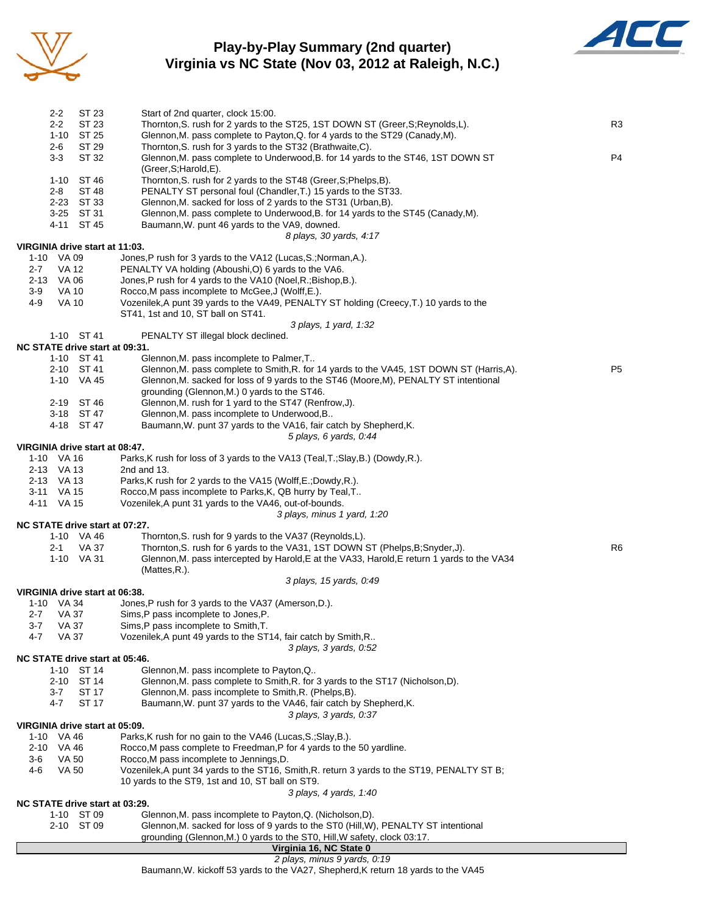

## **Play-by-Play Summary (2nd quarter) Virginia vs NC State (Nov 03, 2012 at Raleigh, N.C.)**



|         | $2 - 2$                  | ST 23                          | Start of 2nd quarter, clock 15:00.                                                                                                                 |                |
|---------|--------------------------|--------------------------------|----------------------------------------------------------------------------------------------------------------------------------------------------|----------------|
|         | $2 - 2$                  | ST 23                          | Thornton, S. rush for 2 yards to the ST25, 1ST DOWN ST (Greer, S; Reynolds, L).                                                                    | R <sub>3</sub> |
|         |                          | 1-10 ST 25                     | Glennon, M. pass complete to Payton, Q. for 4 yards to the ST29 (Canady, M).                                                                       |                |
|         | $2 - 6$<br>$3 - 3$       | ST 29<br>ST 32                 | Thornton, S. rush for 3 yards to the ST32 (Brathwaite, C).<br>Glennon, M. pass complete to Underwood, B. for 14 yards to the ST46, 1ST DOWN ST     | P <sub>4</sub> |
|         |                          |                                | (Greer, S; Harold, E).                                                                                                                             |                |
|         |                          | 1-10 ST 46                     | Thornton, S. rush for 2 yards to the ST48 (Greer, S; Phelps, B).                                                                                   |                |
|         | $2 - 8$                  | ST 48                          | PENALTY ST personal foul (Chandler, T.) 15 yards to the ST33.                                                                                      |                |
|         |                          | 2-23 ST 33<br>3-25 ST 31       | Glennon, M. sacked for loss of 2 yards to the ST31 (Urban, B).<br>Glennon, M. pass complete to Underwood, B. for 14 yards to the ST45 (Canady, M). |                |
|         |                          | 4-11 ST 45                     | Baumann, W. punt 46 yards to the VA9, downed.                                                                                                      |                |
|         |                          |                                | 8 plays, 30 yards, 4:17                                                                                                                            |                |
|         |                          | VIRGINIA drive start at 11:03. |                                                                                                                                                    |                |
|         | 1-10 VA 09               |                                | Jones, P rush for 3 yards to the VA12 (Lucas, S.; Norman, A.).                                                                                     |                |
| $2 - 7$ | VA 12<br>2-13 VA 06      |                                | PENALTY VA holding (Aboushi, O) 6 yards to the VA6.<br>Jones, P rush for 4 yards to the VA10 (Noel, R.; Bishop, B.).                               |                |
| 3-9     | <b>VA 10</b>             |                                | Rocco, M pass incomplete to McGee, J (Wolff, E.).                                                                                                  |                |
| 4-9     | <b>VA 10</b>             |                                | Vozenilek, A punt 39 yards to the VA49, PENALTY ST holding (Creecy, T.) 10 yards to the                                                            |                |
|         |                          |                                | ST41, 1st and 10, ST ball on ST41.                                                                                                                 |                |
|         |                          |                                | 3 plays, 1 yard, 1:32                                                                                                                              |                |
|         |                          | 1-10 ST 41                     | PENALTY ST illegal block declined.<br>NC STATE drive start at 09:31.                                                                               |                |
|         |                          | 1-10 ST 41                     | Glennon, M. pass incomplete to Palmer, T                                                                                                           |                |
|         |                          | 2-10 ST 41                     | Glennon, M. pass complete to Smith, R. for 14 yards to the VA45, 1ST DOWN ST (Harris, A).                                                          | P <sub>5</sub> |
|         |                          | 1-10 VA 45                     | Glennon, M. sacked for loss of 9 yards to the ST46 (Moore, M), PENALTY ST intentional                                                              |                |
|         |                          |                                | grounding (Glennon, M.) 0 yards to the ST46.                                                                                                       |                |
|         |                          | 2-19 ST 46<br>3-18 ST 47       | Glennon, M. rush for 1 yard to the ST47 (Renfrow, J).<br>Glennon, M. pass incomplete to Underwood, B                                               |                |
|         |                          | 4-18 ST 47                     | Baumann, W. punt 37 yards to the VA16, fair catch by Shepherd, K.                                                                                  |                |
|         |                          |                                | 5 plays, 6 yards, 0:44                                                                                                                             |                |
|         |                          | VIRGINIA drive start at 08:47. |                                                                                                                                                    |                |
|         | 1-10 VA 16<br>2-13 VA 13 |                                | Parks, K rush for loss of 3 yards to the VA13 (Teal, T.; Slay, B.) (Dowdy, R.).<br>2nd and $13$ .                                                  |                |
|         | 2-13 VA 13               |                                | Parks, K rush for 2 yards to the VA15 (Wolff, E.; Dowdy, R.).                                                                                      |                |
|         | 3-11 VA 15               |                                | Rocco, M pass incomplete to Parks, K, QB hurry by Teal, T                                                                                          |                |
|         | 4-11 VA 15               |                                | Vozenilek, A punt 31 yards to the VA46, out-of-bounds.                                                                                             |                |
|         |                          |                                | 3 plays, minus 1 yard, 1:20                                                                                                                        |                |
|         |                          | 1-10 VA 46                     | NC STATE drive start at 07:27.<br>Thornton, S. rush for 9 yards to the VA37 (Reynolds, L).                                                         |                |
|         | 2-1                      | <b>VA 37</b>                   | Thornton, S. rush for 6 yards to the VA31, 1ST DOWN ST (Phelps, B; Snyder, J).                                                                     | R <sub>6</sub> |
|         |                          | 1-10 VA 31                     | Glennon, M. pass intercepted by Harold, E at the VA33, Harold, E return 1 yards to the VA34                                                        |                |
|         |                          |                                | (Mattes, R.).                                                                                                                                      |                |
|         |                          |                                | 3 plays, 15 yards, 0:49                                                                                                                            |                |
|         | 1-10 VA 34               | VIRGINIA drive start at 06:38. | Jones, P rush for 3 yards to the VA37 (Amerson, D.).                                                                                               |                |
| 2-7     | <b>VA 37</b>             |                                | Sims, P pass incomplete to Jones, P.                                                                                                               |                |
| $3 - 7$ | VA 37                    |                                | Sims, P pass incomplete to Smith, T.                                                                                                               |                |
| 4-7     | VA 37                    |                                | Vozenilek, A punt 49 yards to the ST14, fair catch by Smith, R                                                                                     |                |
|         |                          |                                | 3 plays, 3 yards, 0:52<br>NC STATE drive start at 05:46.                                                                                           |                |
|         | $1 - 10$                 | ST 14                          | Glennon, M. pass incomplete to Payton, Q                                                                                                           |                |
|         |                          | 2-10 ST 14                     | Glennon, M. pass complete to Smith, R. for 3 yards to the ST17 (Nicholson, D).                                                                     |                |
|         | $3 - 7$                  | ST 17                          | Glennon, M. pass incomplete to Smith, R. (Phelps, B).                                                                                              |                |
|         | 4-7                      | ST 17                          | Baumann, W. punt 37 yards to the VA46, fair catch by Shepherd, K.                                                                                  |                |
|         |                          |                                | 3 plays, 3 yards, 0:37                                                                                                                             |                |
|         | 1-10 VA 46               | VIRGINIA drive start at 05:09. | Parks, K rush for no gain to the VA46 (Lucas, S.; Slay, B.).                                                                                       |                |
|         | 2-10 VA 46               |                                | Rocco, M pass complete to Freedman, P for 4 yards to the 50 yardline.                                                                              |                |
| 3-6     | VA 50                    |                                | Rocco, M pass incomplete to Jennings, D.                                                                                                           |                |
| 4-6     | <b>VA 50</b>             |                                | Vozenilek, A punt 34 yards to the ST16, Smith, R. return 3 yards to the ST19, PENALTY ST B;                                                        |                |
|         |                          |                                | 10 yards to the ST9, 1st and 10, ST ball on ST9.<br>3 plays, 4 yards, 1:40                                                                         |                |
|         |                          |                                | NC STATE drive start at 03:29.                                                                                                                     |                |
|         |                          | 1-10 ST 09                     | Glennon, M. pass incomplete to Payton, Q. (Nicholson, D).                                                                                          |                |
|         |                          | 2-10 ST 09                     | Glennon, M. sacked for loss of 9 yards to the ST0 (Hill, W), PENALTY ST intentional                                                                |                |
|         |                          |                                | grounding (Glennon, M.) 0 yards to the ST0, Hill, W safety, clock 03:17.                                                                           |                |
|         |                          |                                | Virginia 16, NC State 0                                                                                                                            |                |

#### *2 plays, minus 9 yards, 0:19*

Baumann,W. kickoff 53 yards to the VA27, Shepherd,K return 18 yards to the VA45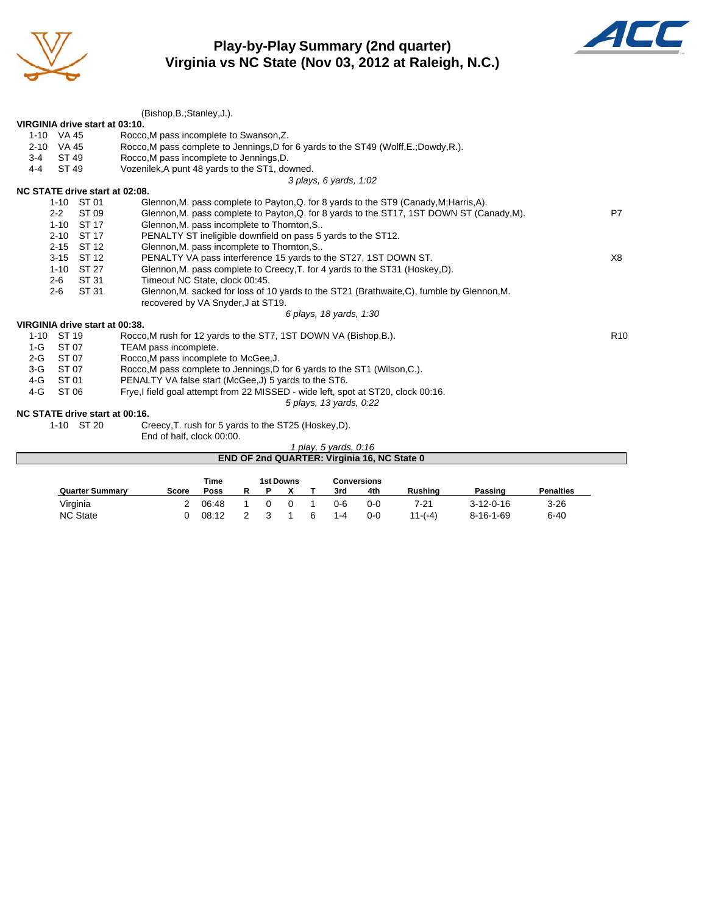

## **Play-by-Play Summary (2nd quarter) Virginia vs NC State (Nov 03, 2012 at Raleigh, N.C.)**



|                                | (Bishop, B.; Stanley, J.).                                                                 |                 |
|--------------------------------|--------------------------------------------------------------------------------------------|-----------------|
| VIRGINIA drive start at 03:10. |                                                                                            |                 |
| 1-10 VA 45                     | Rocco, M pass incomplete to Swanson, Z.                                                    |                 |
| $2 - 10$<br>VA 45              | Rocco, M pass complete to Jennings, D for 6 yards to the ST49 (Wolff, E.; Dowdy, R.).      |                 |
| ST 49<br>$3 - 4$               | Rocco, M pass incomplete to Jennings, D.                                                   |                 |
| ST 49<br>$4 - 4$               | Vozenilek, A punt 48 yards to the ST1, downed.                                             |                 |
|                                | 3 plays, 6 yards, 1:02                                                                     |                 |
| NC STATE drive start at 02:08. |                                                                                            |                 |
| 1-10 ST 01                     | Glennon, M. pass complete to Payton, Q. for 8 yards to the ST9 (Canady, M; Harris, A).     |                 |
| $2 - 2$<br>ST 09               | Glennon, M. pass complete to Payton, Q. for 8 yards to the ST17, 1ST DOWN ST (Canady, M).  | P7              |
| $1 - 10$<br>ST 17              | Glennon, M. pass incomplete to Thornton, S                                                 |                 |
| ST 17<br>$2 - 10$              | PENALTY ST ineligible downfield on pass 5 yards to the ST12.                               |                 |
| ST 12<br>$2 - 15$              | Glennon, M. pass incomplete to Thornton, S                                                 |                 |
| ST 12<br>$3 - 15$              | PENALTY VA pass interference 15 yards to the ST27, 1ST DOWN ST.                            | X8              |
| $1 - 10$<br>ST 27              | Glennon, M. pass complete to Creecy, T. for 4 yards to the ST31 (Hoskey, D).               |                 |
| ST 31<br>$2 - 6$               | Timeout NC State, clock 00:45.                                                             |                 |
| $2 - 6$<br>ST 31               | Glennon, M. sacked for loss of 10 yards to the ST21 (Brathwaite, C), fumble by Glennon, M. |                 |
|                                | recovered by VA Snyder, J at ST19.                                                         |                 |
|                                | 6 plays, 18 yards, 1:30                                                                    |                 |
| VIRGINIA drive start at 00:38. |                                                                                            |                 |
| 1-10 ST 19                     | Rocco, M rush for 12 yards to the ST7, 1ST DOWN VA (Bishop, B.).                           | R <sub>10</sub> |
| ST 07<br>$1-G$                 | TEAM pass incomplete.                                                                      |                 |
| ST 07<br>$2-G$                 | Rocco, M pass incomplete to McGee, J.                                                      |                 |
| $3-G$<br>ST 07                 | Rocco, M pass complete to Jennings, D for 6 yards to the ST1 (Wilson, C.).                 |                 |
| $4-G$<br>ST 01                 | PENALTY VA false start (McGee, J) 5 yards to the ST6.                                      |                 |
| $4-G$<br>ST 06                 | Frye,I field goal attempt from 22 MISSED - wide left, spot at ST20, clock 00:16.           |                 |
|                                | 5 plays, 13 yards, 0:22                                                                    |                 |
| NC STATE drive start at 00:16. |                                                                                            |                 |
| 1-10 ST 20                     | Creecy, T. rush for 5 yards to the ST25 (Hoskey, D).                                       |                 |
|                                | End of half, clock 00:00.                                                                  |                 |
|                                | 1 play, 5 yards, 0:16                                                                      |                 |
|                                | END OF 2nd QUARTER: Virginia 16, NC State 0                                                |                 |

|                        |       | Time  |   | 1st Downs |         | Conversions |                |                   |           |
|------------------------|-------|-------|---|-----------|---------|-------------|----------------|-------------------|-----------|
| <b>Quarter Summary</b> | Score | Poss  | R |           | 3rd     | 4th         | <b>Rushing</b> | Passing           | Penalties |
| Virginia               |       | 06:48 |   |           | $0 - 6$ | $O-O$       | 7-21           | $3 - 12 - 0 - 16$ | $3 - 26$  |
| <b>NC State</b>        |       | 08:12 |   |           | $1 - 4$ | $0 - 0$     | $11 - (-4)$    | $8 - 16 - 1 - 69$ | $6 - 40$  |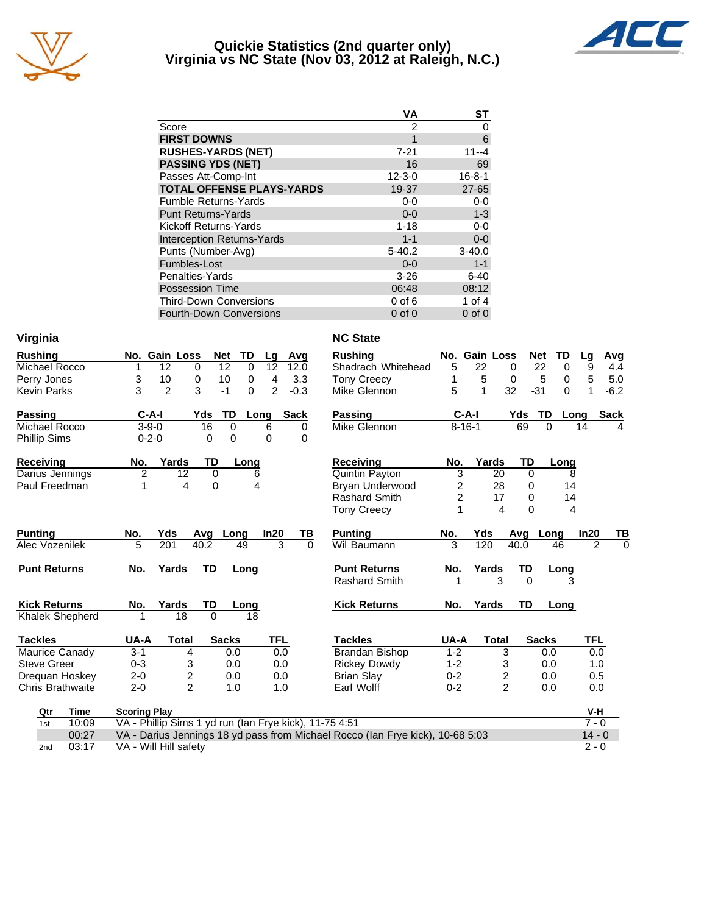

#### **Quickie Statistics (2nd quarter only) Virginia vs NC State (Nov 03, 2012 at Raleigh, N.C.)**



|                                   | <b>VA</b>    | <b>ST</b>    |
|-----------------------------------|--------------|--------------|
| Score                             | 2            | 0            |
| <b>FIRST DOWNS</b>                | 1            | 6            |
| <b>RUSHES-YARDS (NET)</b>         | $7 - 21$     | 11--4        |
| <b>PASSING YDS (NET)</b>          | 16           | 69           |
| Passes Att-Comp-Int               | $12 - 3 - 0$ | $16 - 8 - 1$ |
| <b>TOTAL OFFENSE PLAYS-YARDS</b>  | 19-37        | $27 - 65$    |
| <b>Fumble Returns-Yards</b>       | $0-0$        | $0 - 0$      |
| <b>Punt Returns-Yards</b>         | $0 - 0$      | $1 - 3$      |
| Kickoff Returns-Yards             | $1 - 18$     | $0 - 0$      |
| <b>Interception Returns-Yards</b> | $1 - 1$      | $0-0$        |
| Punts (Number-Avg)                | $5-40.2$     | $3 - 40.0$   |
| Fumbles-Lost                      | $0 - 0$      | $1 - 1$      |
| Penalties-Yards                   | $3 - 26$     | $6 - 40$     |
| <b>Possession Time</b>            | 06:48        | 08:12        |
| <b>Third-Down Conversions</b>     | $0$ of $6$   | 1 of 4       |
| <b>Fourth-Down Conversions</b>    | $0$ of $0$   | $0$ of $0$   |

| Virginia                               |                                                        |                         |                |                          | <b>NC State</b>                                                                |                |               |                |                  |                |             |
|----------------------------------------|--------------------------------------------------------|-------------------------|----------------|--------------------------|--------------------------------------------------------------------------------|----------------|---------------|----------------|------------------|----------------|-------------|
| <b>Rushing</b>                         | No. Gain Loss                                          | <b>Net</b>              | TD<br>Lg       | Avg                      | <b>Rushing</b>                                                                 |                | No. Gain Loss |                | TD<br><b>Net</b> | Lg             | Avg         |
| Michael Rocco                          | 12<br>1                                                | 12<br>$\Omega$          | 12<br>$\Omega$ | 12.0                     | Shadrach Whitehead                                                             | 5              | 22            | $\Omega$       | 22<br>$\Omega$   | 9              | 4.4         |
| Perry Jones                            | 3<br>10                                                | 0<br>10                 | 0              | 4<br>3.3                 | <b>Tony Creecy</b>                                                             | 1              | 5             | 0              | 5<br>0           | 5              | 5.0         |
| <b>Kevin Parks</b>                     | 3<br>2                                                 | 3<br>$-1$               | $\Omega$       | $\overline{2}$<br>$-0.3$ | Mike Glennon                                                                   | 5              | 1             | 32             | $-31$<br>0       | 1              | $-6.2$      |
| <b>Passing</b>                         | $C-A-I$                                                | TD<br>Yds               | Long           | <b>Sack</b>              | Passing                                                                        |                | $C-A-I$       | Yds            | TD               | Long           | <b>Sack</b> |
| Michael Rocco                          | $3 - 9 - 0$                                            | 16                      | 0<br>6         | 0                        | Mike Glennon                                                                   |                | $8 - 16 - 1$  | 69             | $\Omega$         | 14             |             |
| <b>Phillip Sims</b>                    | $0 - 2 - 0$                                            | $\Omega$                | 0<br>$\Omega$  | $\Omega$                 |                                                                                |                |               |                |                  |                |             |
| <b>Receiving</b>                       | Yards<br>No.                                           | TD                      | Long           |                          | <b>Receiving</b>                                                               | No.            | Yards         | TD             | Long             |                |             |
| Darius Jennings                        | $\overline{2}$<br>12                                   | $\Omega$                | 6              |                          | Quintin Payton                                                                 | 3              |               | 20<br>$\Omega$ | 8                |                |             |
| Paul Freedman                          | 1                                                      | 4<br>0                  | 4              |                          | Bryan Underwood                                                                | $\overline{c}$ |               | 28<br>0        | 14               |                |             |
|                                        |                                                        |                         |                |                          | <b>Rashard Smith</b>                                                           | $\overline{2}$ |               | 17<br>0        | 14               |                |             |
|                                        |                                                        |                         |                |                          | <b>Tony Creecy</b>                                                             | 1              |               | 4<br>$\Omega$  | 4                |                |             |
| <b>Punting</b>                         | No.<br>Yds                                             | Avg                     | In20<br>Long   | ΤВ                       | <b>Punting</b>                                                                 | No.            | Yds           |                | Avg Long         | In20           | TB          |
| Alec Vozenilek                         | 5<br>201                                               | 40.2                    | 49             | 3<br>$\Omega$            | Wil Baumann                                                                    | 3              | 120           | 40.0           | 46               | $\overline{2}$ | $\Omega$    |
| <b>Punt Returns</b>                    | No.<br>Yards                                           | <b>TD</b>               | Long           |                          | <b>Punt Returns</b>                                                            | No.            | Yards         | TD             | Long             |                |             |
|                                        |                                                        |                         |                |                          | Rashard Smith                                                                  |                |               | 3<br>$\Omega$  | 3                |                |             |
|                                        |                                                        |                         |                |                          |                                                                                |                |               |                |                  |                |             |
| <b>Kick Returns</b><br>Khalek Shepherd | Yards<br>No.<br>18<br>1                                | TD<br>$\Omega$          | Long<br>18     |                          | <b>Kick Returns</b>                                                            | No.            | Yards         | <b>TD</b>      | Long             |                |             |
|                                        |                                                        |                         |                |                          |                                                                                |                |               |                |                  |                |             |
| <b>Tackles</b>                         | UA-A<br><b>Total</b>                                   | <b>Sacks</b>            |                | <b>TFL</b>               | <b>Tackles</b>                                                                 | UA-A           | <b>Total</b>  |                | <b>Sacks</b>     | <b>TFL</b>     |             |
| Maurice Canady                         | $3 - 1$                                                | 4                       | 0.0            | 0.0                      | Brandan Bishop                                                                 | $1 - 2$        |               | 3              | 0.0              | 0.0            |             |
| <b>Steve Greer</b>                     | $0 - 3$                                                | 3                       | 0.0            | 0.0                      | <b>Rickey Dowdy</b>                                                            | $1 - 2$        |               | 3              | 0.0              | 1.0            |             |
| Dreguan Hoskey                         | $2 - 0$                                                | $\overline{\mathbf{c}}$ | 0.0            | 0.0                      | <b>Brian Slay</b>                                                              | $0 - 2$        |               | 2              | 0.0              | 0.5            |             |
| <b>Chris Brathwaite</b>                | $2 - 0$                                                | $\overline{2}$          | 1.0            | 1.0                      | Earl Wolff                                                                     | $0 - 2$        |               | $\overline{2}$ | 0.0              | 0.0            |             |
| Qtr<br>Time                            | <b>Scoring Play</b>                                    |                         |                |                          |                                                                                |                |               |                |                  | V-H            |             |
| 10:09<br>1st                           | VA - Phillip Sims 1 yd run (Ian Frye kick), 11-75 4:51 |                         |                |                          |                                                                                |                |               |                |                  | $7 - 0$        |             |
| 00:27                                  |                                                        |                         |                |                          | VA - Darius Jennings 18 yd pass from Michael Rocco (Ian Frye kick), 10-68 5:03 |                |               |                |                  | $14 - 0$       |             |
| 03:17<br>2 <sub>nd</sub>               | VA - Will Hill safety                                  |                         |                |                          |                                                                                |                |               |                |                  | $2 - 0$        |             |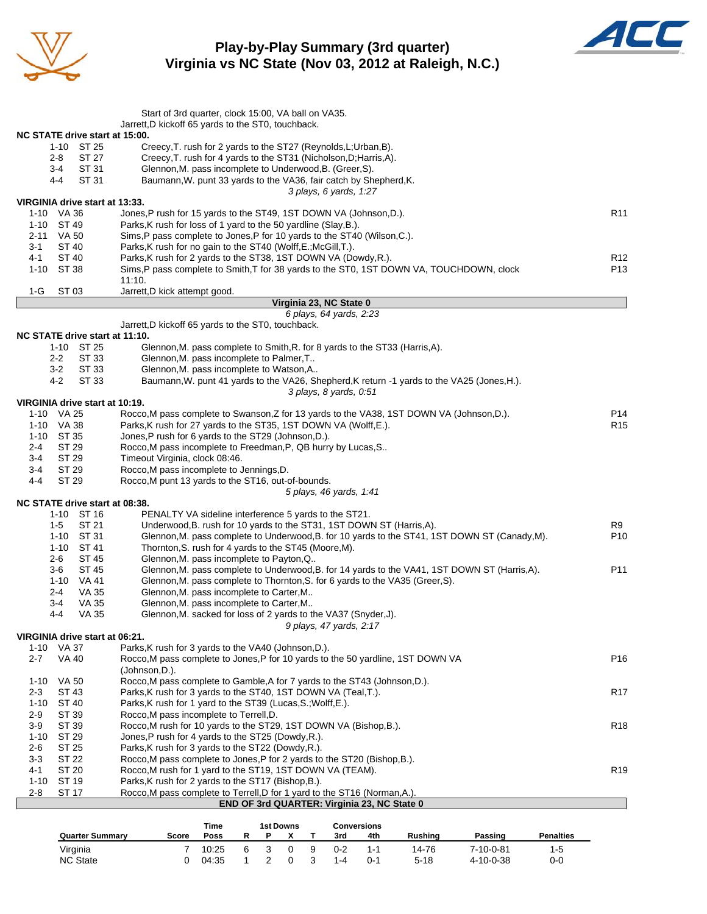

**Play-by-Play Summary (3rd quarter) Virginia vs NC State (Nov 03, 2012 at Raleigh, N.C.)**



|                                              | Start of 3rd quarter, clock 15:00, VA ball on VA35.                                                                                   |                 |
|----------------------------------------------|---------------------------------------------------------------------------------------------------------------------------------------|-----------------|
|                                              | Jarrett, D kickoff 65 yards to the ST0, touchback.                                                                                    |                 |
| NC STATE drive start at 15:00.<br>1-10 ST 25 | Creecy, T. rush for 2 yards to the ST27 (Reynolds, L; Urban, B).                                                                      |                 |
| 2-8<br>ST 27                                 | Creecy, T. rush for 4 yards to the ST31 (Nicholson, D; Harris, A).                                                                    |                 |
| ST 31<br>3-4                                 | Glennon, M. pass incomplete to Underwood, B. (Greer, S).                                                                              |                 |
| ST 31<br>4-4                                 | Baumann, W. punt 33 yards to the VA36, fair catch by Shepherd, K.                                                                     |                 |
|                                              | 3 plays, 6 yards, 1:27                                                                                                                |                 |
| VIRGINIA drive start at 13:33.               |                                                                                                                                       |                 |
| 1-10 VA 36<br>1-10 ST 49                     | Jones, P rush for 15 yards to the ST49, 1ST DOWN VA (Johnson, D.).<br>Parks, K rush for loss of 1 yard to the 50 yardline (Slay, B.). | R11             |
| 2-11<br>VA 50                                | Sims,P pass complete to Jones,P for 10 yards to the ST40 (Wilson,C.).                                                                 |                 |
| <b>ST 40</b><br>3-1                          | Parks, K rush for no gain to the ST40 (Wolff, E.; McGill, T.).                                                                        |                 |
| ST 40<br>4-1                                 | Parks, K rush for 2 yards to the ST38, 1ST DOWN VA (Dowdy, R.).                                                                       | R12             |
| 1-10 ST 38                                   | Sims, P pass complete to Smith, T for 38 yards to the ST0, 1ST DOWN VA, TOUCHDOWN, clock                                              | P13             |
|                                              | 11:10.                                                                                                                                |                 |
| $1-G$<br>ST 03                               | Jarrett, D kick attempt good.                                                                                                         |                 |
|                                              | Virginia 23, NC State 0<br>6 plays, 64 yards, 2:23                                                                                    |                 |
|                                              | Jarrett, D kickoff 65 yards to the ST0, touchback.                                                                                    |                 |
| NC STATE drive start at 11:10.               |                                                                                                                                       |                 |
| 1-10 ST 25                                   | Glennon, M. pass complete to Smith, R. for 8 yards to the ST33 (Harris, A).                                                           |                 |
| ST 33<br>2-2                                 | Glennon, M. pass incomplete to Palmer, T                                                                                              |                 |
| 3-2<br>ST 33                                 | Glennon, M. pass incomplete to Watson, A                                                                                              |                 |
| 4-2<br>ST 33                                 | Baumann, W. punt 41 yards to the VA26, Shepherd, K return -1 yards to the VA25 (Jones, H.).                                           |                 |
| VIRGINIA drive start at 10:19.               | 3 plays, 8 yards, 0:51                                                                                                                |                 |
| 1-10 VA 25                                   | Rocco, M pass complete to Swanson, Z for 13 yards to the VA38, 1ST DOWN VA (Johnson, D.).                                             | P14             |
| 1-10 VA 38                                   | Parks, K rush for 27 yards to the ST35, 1ST DOWN VA (Wolff, E.).                                                                      | R <sub>15</sub> |
| 1-10 ST 35                                   | Jones, P rush for 6 yards to the ST29 (Johnson, D.).                                                                                  |                 |
| ST 29<br>2-4                                 | Rocco, M pass incomplete to Freedman, P, QB hurry by Lucas, S                                                                         |                 |
| ST 29<br>3-4                                 | Timeout Virginia, clock 08:46.                                                                                                        |                 |
| ST 29<br>3-4                                 | Rocco, M pass incomplete to Jennings, D.                                                                                              |                 |
| ST 29<br>4-4                                 | Rocco, M punt 13 yards to the ST16, out-of-bounds.                                                                                    |                 |
|                                              | 5 plays, 46 yards, 1:41                                                                                                               |                 |
| NC STATE drive start at 08:38.<br>1-10 ST 16 | PENALTY VA sideline interference 5 yards to the ST21.                                                                                 |                 |
| $1-5$<br>ST 21                               | Underwood, B. rush for 10 yards to the ST31, 1ST DOWN ST (Harris, A).                                                                 | R9              |
| 1-10 ST 31                                   | Glennon, M. pass complete to Underwood, B. for 10 yards to the ST41, 1ST DOWN ST (Canady, M).                                         | P10             |
| 1-10 ST 41                                   | Thornton, S. rush for 4 yards to the ST45 (Moore, M).                                                                                 |                 |
| 2-6<br>ST 45                                 | Glennon, M. pass incomplete to Payton, Q                                                                                              |                 |
| 3-6<br>ST 45                                 | Glennon, M. pass complete to Underwood, B. for 14 yards to the VA41, 1ST DOWN ST (Harris, A).                                         | P11             |
| 1-10 VA 41                                   | Glennon, M. pass complete to Thornton, S. for 6 yards to the VA35 (Greer, S).                                                         |                 |
| <b>VA 35</b><br>2-4                          | Glennon, M. pass incomplete to Carter, M                                                                                              |                 |
| $3-4$<br>VA 35<br>4-4<br><b>VA 35</b>        | Glennon, M. pass incomplete to Carter, M<br>Glennon, M. sacked for loss of 2 yards to the VA37 (Snyder, J).                           |                 |
|                                              | 9 plays, 47 yards, 2:17                                                                                                               |                 |
| VIRGINIA drive start at 06:21.               |                                                                                                                                       |                 |
| 1-10 VA 37                                   | Parks, K rush for 3 yards to the VA40 (Johnson, D.).                                                                                  |                 |
| $2 - 7$<br><b>VA 40</b>                      | Rocco, M pass complete to Jones, P for 10 yards to the 50 yardline, 1ST DOWN VA                                                       | P16             |
|                                              | (Johnson, D.).                                                                                                                        |                 |
| 1-10 VA 50                                   | Rocco, M pass complete to Gamble, A for 7 yards to the ST43 (Johnson, D.).                                                            |                 |
| $2 - 3$<br>ST 43                             | Parks, K rush for 3 yards to the ST40, 1ST DOWN VA (Teal, T.).<br>Parks, K rush for 1 yard to the ST39 (Lucas, S.; Wolff, E.).        | R <sub>17</sub> |
| 1-10 ST 40<br>2-9<br>ST 39                   | Rocco, M pass incomplete to Terrell, D.                                                                                               |                 |
| $3-9$<br>ST 39                               | Rocco, M rush for 10 yards to the ST29, 1ST DOWN VA (Bishop, B.).                                                                     | R <sub>18</sub> |
| ST 29<br>1-10                                | Jones, P rush for 4 yards to the ST25 (Dowdy, R.).                                                                                    |                 |
| ST 25<br>2-6                                 | Parks, K rush for 3 yards to the ST22 (Dowdy, R.).                                                                                    |                 |
| $3-3$<br>ST 22                               | Rocco, M pass complete to Jones, P for 2 yards to the ST20 (Bishop, B.).                                                              |                 |
| 4-1<br>ST 20                                 | Rocco, M rush for 1 yard to the ST19, 1ST DOWN VA (TEAM).                                                                             | R <sub>19</sub> |
| 1-10<br>ST 19                                | Parks, K rush for 2 yards to the ST17 (Bishop, B.).                                                                                   |                 |
| <b>ST 17</b><br>2-8                          | Rocco, M pass complete to Terrell, D for 1 yard to the ST16 (Norman, A.).<br>END OF 3rd QUARTER: Virginia 23, NC State 0              |                 |
|                                              |                                                                                                                                       |                 |

|                        |       | <b>Time</b> |    | 1st Downs |   |         | <b>Conversions</b> |                |                   |                  |
|------------------------|-------|-------------|----|-----------|---|---------|--------------------|----------------|-------------------|------------------|
| <b>Quarter Summary</b> | Score | Poss        |    |           |   | 3rd     | 4th                | <b>Rushing</b> | Passing           | <b>Penalties</b> |
| Virginia               |       | 10:25       | ิค |           | я | $0 - 2$ | 1-1                | 14-76          | 7-10-0-81         | 1-5              |
| <b>NC State</b>        |       | 04:35       |    |           |   | $1 - 4$ | $0 - 1$            | $5 - 18$       | $4 - 10 - 0 - 38$ | 0-0              |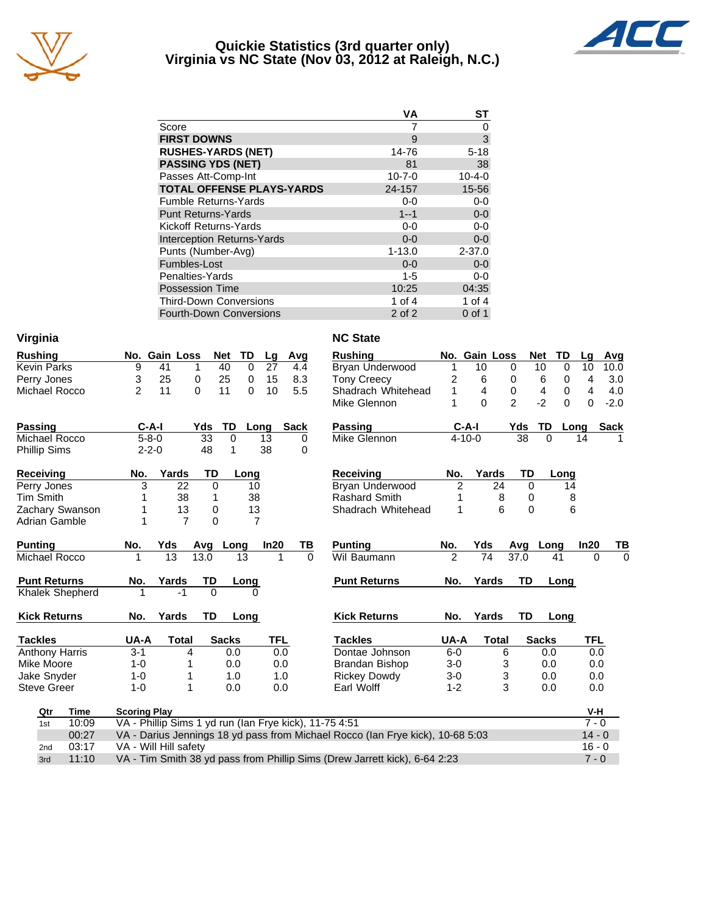

#### **Quickie Statistics (3rd quarter only) Virginia vs NC State (Nov 03, 2012 at Raleigh, N.C.)**



|                                   | VA           | ST           |
|-----------------------------------|--------------|--------------|
| Score                             |              | 0            |
| <b>FIRST DOWNS</b>                | 9            | 3            |
| <b>RUSHES-YARDS (NET)</b>         | 14-76        | $5 - 18$     |
| <b>PASSING YDS (NET)</b>          | 81           | 38           |
| Passes Att-Comp-Int               | $10 - 7 - 0$ | $10 - 4 - 0$ |
| <b>TOTAL OFFENSE PLAYS-YARDS</b>  | 24-157       | 15-56        |
| <b>Fumble Returns-Yards</b>       | $0-0$        | $0-0$        |
| <b>Punt Returns-Yards</b>         | $1 - 1$      | $0-0$        |
| Kickoff Returns-Yards             | $0-0$        | $0 - 0$      |
| <b>Interception Returns-Yards</b> | $0 - 0$      | $0 - 0$      |
| Punts (Number-Avg)                | $1 - 13.0$   | $2 - 37.0$   |
| Fumbles-Lost                      | $0 - 0$      | $0-0$        |
| Penalties-Yards                   | $1 - 5$      | $0-0$        |
| <b>Possession Time</b>            | 10:25        | 04:35        |
| <b>Third-Down Conversions</b>     | 1 of 4       | 1 of $4$     |
| Fourth-Down Conversions           | 2 of 2       | $0$ of 1     |

| Virginia              |             |                                                        |                |                 |              |                |     |             | <b>NC State</b>                                                                |                |               |                |              |                  |          |             |
|-----------------------|-------------|--------------------------------------------------------|----------------|-----------------|--------------|----------------|-----|-------------|--------------------------------------------------------------------------------|----------------|---------------|----------------|--------------|------------------|----------|-------------|
| <b>Rushing</b>        |             |                                                        | No. Gain Loss  |                 | TD<br>Net    | Lg             |     | Avg         | <b>Rushing</b>                                                                 |                | No. Gain Loss |                | <b>Net</b>   | TD               | Lg       | Avg         |
| <b>Kevin Parks</b>    |             | 9                                                      | 41             | 1               | 40           | 0<br>27        |     | 4.4         | Bryan Underwood                                                                | 1              | 10            | 0              | 10           | 0                | 10       | 10.0        |
| Perry Jones           |             | 3                                                      | 25             | 0               | 25           | 0<br>15        |     | 8.3         | <b>Tony Creecy</b>                                                             | $\overline{c}$ | 6             | 0              |              | 6<br>0           | 4        | 3.0         |
| Michael Rocco         |             | 2                                                      | 11             | $\Omega$        | 11           | $\Omega$<br>10 |     | 5.5         | Shadrach Whitehead                                                             | 1              | 4             | 0              |              | 4<br>0           | 4        | 4.0         |
|                       |             |                                                        |                |                 |              |                |     |             | Mike Glennon                                                                   |                | $\Omega$      | $\overline{2}$ |              | $-2$<br>$\Omega$ | $\Omega$ | $-2.0$      |
| <b>Passing</b>        |             | C-A-I                                                  |                | Yds             | TD           | Long           |     | <b>Sack</b> | <b>Passing</b>                                                                 |                | $C-A-I$       | Yds            |              | TD               | Long     | <b>Sack</b> |
| <b>Michael Rocco</b>  |             | $5 - 8 - 0$                                            |                | $\overline{33}$ | 0            | 13             |     | $\Omega$    | Mike Glennon                                                                   |                | $4 - 10 - 0$  |                | 38           | $\Omega$         | 14       |             |
| <b>Phillip Sims</b>   |             | $2 - 2 - 0$                                            |                | 48              | 1            | 38             |     | 0           |                                                                                |                |               |                |              |                  |          |             |
| Receiving             |             | No.                                                    | Yards          | TD              | Long         |                |     |             | <b>Receiving</b>                                                               | No.            | Yards         |                | TD           | Long             |          |             |
| Perry Jones           |             | 3                                                      | 22             | 0               |              | 10             |     |             | Bryan Underwood                                                                | $\overline{c}$ |               | 24             | $\Omega$     |                  | 14       |             |
| <b>Tim Smith</b>      |             |                                                        | 38             | 1               |              | 38             |     |             | <b>Rashard Smith</b>                                                           |                |               | 8              | 0            |                  | 8        |             |
| Zachary Swanson       |             |                                                        | 13             | 0               |              | 13             |     |             | Shadrach Whitehead                                                             | 1              |               | 6              | $\mathbf{0}$ |                  | 6        |             |
| <b>Adrian Gamble</b>  |             | 1                                                      | $\overline{7}$ | 0               |              | $\overline{7}$ |     |             |                                                                                |                |               |                |              |                  |          |             |
| <b>Punting</b>        |             | No.                                                    | Yds            | Avg             | Long         | In20           |     | ΤВ          | <b>Punting</b>                                                                 | No.            | Yds           | Avg            |              | Long             | In20     | <u>TB</u>   |
| Michael Rocco         |             | 1                                                      | 13             | 13.0            | 13           |                | 1   | $\Omega$    | Wil Baumann                                                                    | $\mathcal{P}$  | 74            | 37.0           |              | 41               | $\Omega$ | $\Omega$    |
| <b>Punt Returns</b>   |             | No.                                                    | Yards          | TD              | Long         |                |     |             | <b>Punt Returns</b>                                                            | No.            | Yards         |                | TD           | Long             |          |             |
| Khalek Shepherd       |             |                                                        | $-1$           | $\Omega$        |              |                |     |             |                                                                                |                |               |                |              |                  |          |             |
| <b>Kick Returns</b>   |             | No.                                                    | Yards          | TD              | Long         |                |     |             | <b>Kick Returns</b>                                                            | No.            | Yards         |                | <b>TD</b>    | Long             |          |             |
| <b>Tackles</b>        |             | UA-A                                                   | <b>Total</b>   |                 | <b>Sacks</b> |                | TFL |             | <b>Tackles</b>                                                                 | UA-A           | <b>Total</b>  |                | <b>Sacks</b> |                  | TFL      |             |
| <b>Anthony Harris</b> |             | $3 - 1$                                                |                | 4               | 0.0          |                | 0.0 |             | Dontae Johnson                                                                 | $6-0$          |               | 6              |              | 0.0              | 0.0      |             |
| Mike Moore            |             | $1 - 0$                                                | 1              |                 | 0.0          |                | 0.0 |             | <b>Brandan Bishop</b>                                                          | $3-0$          |               | 3              |              | 0.0              | 0.0      |             |
| Jake Snyder           |             | $1 - 0$                                                | 1              |                 | 1.0          |                | 1.0 |             | <b>Rickey Dowdy</b>                                                            | $3-0$          |               | 3              |              | 0.0              | 0.0      |             |
| <b>Steve Greer</b>    |             | $1 - 0$                                                | 1              |                 | 0.0          |                | 0.0 |             | Earl Wolff                                                                     | $1 - 2$        |               | 3              |              | 0.0              | 0.0      |             |
| Qtr                   | <b>Time</b> | <b>Scoring Play</b>                                    |                |                 |              |                |     |             |                                                                                |                |               |                |              |                  | V-H      |             |
| 1st                   | 10:09       | VA - Phillip Sims 1 yd run (Ian Frye kick), 11-75 4:51 |                |                 |              |                |     |             |                                                                                |                |               |                |              |                  | $7 - 0$  |             |
|                       | 00:27       |                                                        |                |                 |              |                |     |             | VA - Darius Jennings 18 yd pass from Michael Rocco (Ian Frye kick), 10-68 5:03 |                |               |                |              |                  | $14 - 0$ |             |
| 2nd                   | 03:17       | VA - Will Hill safety                                  |                |                 |              |                |     |             |                                                                                |                |               |                |              |                  | $16 - 0$ |             |
| 3rd                   | 11:10       |                                                        |                |                 |              |                |     |             | VA - Tim Smith 38 yd pass from Phillip Sims (Drew Jarrett kick), 6-64 2:23     |                |               |                |              |                  | $7 - 0$  |             |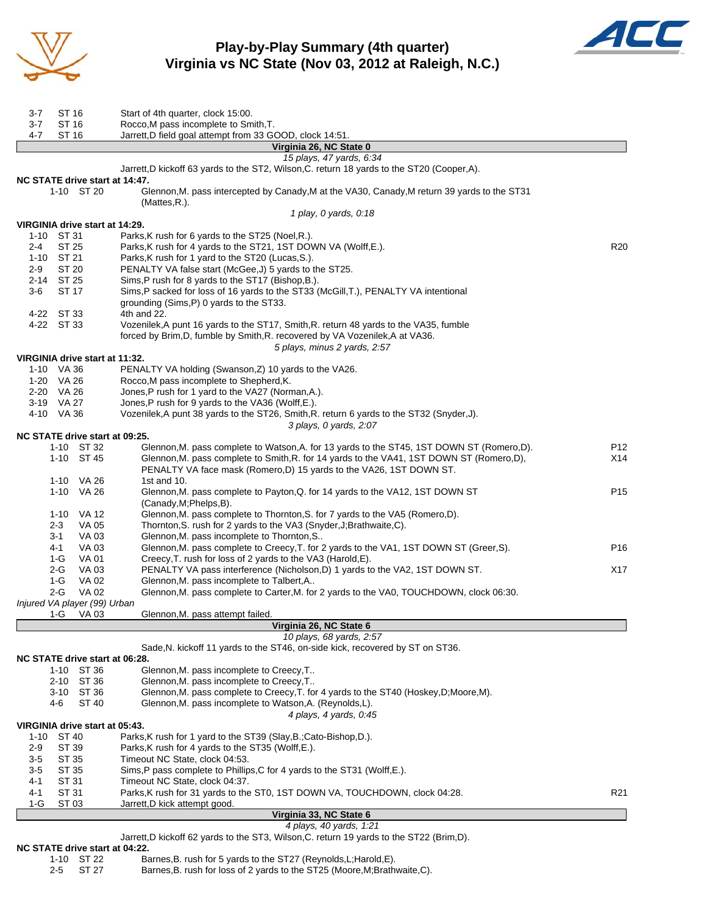

## **Play-by-Play Summary (4th quarter) Virginia vs NC State (Nov 03, 2012 at Raleigh, N.C.)**



| 3-7      | ST 16               |                              | Start of 4th quarter, clock 15:00.                                                                                                                                                      |                 |
|----------|---------------------|------------------------------|-----------------------------------------------------------------------------------------------------------------------------------------------------------------------------------------|-----------------|
| $3 - 7$  | ST 16               |                              | Rocco, M pass incomplete to Smith, T.                                                                                                                                                   |                 |
| 4-7      | ST 16               |                              | Jarrett, D field goal attempt from 33 GOOD, clock 14:51.                                                                                                                                |                 |
|          |                     |                              | Virginia 26, NC State 0                                                                                                                                                                 |                 |
|          |                     |                              | 15 plays, 47 yards, 6:34                                                                                                                                                                |                 |
|          |                     |                              | Jarrett, D kickoff 63 yards to the ST2, Wilson, C. return 18 yards to the ST20 (Cooper, A).                                                                                             |                 |
|          |                     | 1-10 ST 20                   | NC STATE drive start at 14:47.<br>Glennon, M. pass intercepted by Canady, M at the VA30, Canady, M return 39 yards to the ST31                                                          |                 |
|          |                     |                              | (Mattes,R.).                                                                                                                                                                            |                 |
|          |                     |                              | 1 play, 0 yards, 0:18                                                                                                                                                                   |                 |
|          |                     |                              | VIRGINIA drive start at 14:29.                                                                                                                                                          |                 |
|          | 1-10 ST 31          |                              | Parks, K rush for 6 yards to the ST25 (Noel, R.).                                                                                                                                       |                 |
| $2 - 4$  | ST 25               |                              | Parks, K rush for 4 yards to the ST21, 1ST DOWN VA (Wolff, E.).                                                                                                                         | R <sub>20</sub> |
| $2 - 9$  | 1-10 ST 21<br>ST 20 |                              | Parks, K rush for 1 yard to the ST20 (Lucas, S.).                                                                                                                                       |                 |
|          | 2-14 ST 25          |                              | PENALTY VA false start (McGee, J) 5 yards to the ST25.<br>Sims, P rush for 8 yards to the ST17 (Bishop, B.).                                                                            |                 |
| 3-6      | ST 17               |                              | Sims, P sacked for loss of 16 yards to the ST33 (McGill, T.), PENALTY VA intentional                                                                                                    |                 |
|          |                     |                              | grounding (Sims, P) 0 yards to the ST33.                                                                                                                                                |                 |
|          | 4-22 ST 33          |                              | 4th and 22.                                                                                                                                                                             |                 |
|          | 4-22 ST 33          |                              | Vozenilek, A punt 16 yards to the ST17, Smith, R. return 48 yards to the VA35, fumble                                                                                                   |                 |
|          |                     |                              | forced by Brim, D, fumble by Smith, R. recovered by VA Vozenilek, A at VA36.                                                                                                            |                 |
|          |                     |                              | 5 plays, minus 2 yards, 2:57                                                                                                                                                            |                 |
|          | 1-10 VA 36          |                              | VIRGINIA drive start at 11:32.<br>PENALTY VA holding (Swanson, Z) 10 yards to the VA26.                                                                                                 |                 |
|          | 1-20 VA 26          |                              | Rocco, M pass incomplete to Shepherd, K.                                                                                                                                                |                 |
|          | 2-20 VA 26          |                              | Jones, P rush for 1 yard to the VA27 (Norman, A.).                                                                                                                                      |                 |
|          | 3-19 VA 27          |                              | Jones, P rush for 9 yards to the VA36 (Wolff, E.).                                                                                                                                      |                 |
|          | 4-10 VA 36          |                              | Vozenilek, A punt 38 yards to the ST26, Smith, R. return 6 yards to the ST32 (Snyder, J).                                                                                               |                 |
|          |                     |                              | 3 plays, 0 yards, 2:07                                                                                                                                                                  |                 |
|          |                     |                              | NC STATE drive start at 09:25.                                                                                                                                                          |                 |
|          |                     | 1-10 ST 32<br>1-10 ST 45     | Glennon, M. pass complete to Watson, A. for 13 yards to the ST45, 1ST DOWN ST (Romero, D).<br>Glennon, M. pass complete to Smith, R. for 14 yards to the VA41, 1ST DOWN ST (Romero, D), | P12<br>X14      |
|          |                     |                              | PENALTY VA face mask (Romero,D) 15 yards to the VA26, 1ST DOWN ST.                                                                                                                      |                 |
|          |                     | 1-10 VA 26                   | 1st and 10.                                                                                                                                                                             |                 |
|          |                     | 1-10 VA 26                   | Glennon, M. pass complete to Payton, Q. for 14 yards to the VA12, 1ST DOWN ST                                                                                                           | P <sub>15</sub> |
|          |                     |                              | (Canady, M; Phelps, B).                                                                                                                                                                 |                 |
|          | $1 - 10$            | VA 12                        | Glennon, M. pass complete to Thornton, S. for 7 yards to the VA5 (Romero, D).                                                                                                           |                 |
|          | 2-3<br>$3 - 1$      | VA 05<br>VA 03               | Thornton, S. rush for 2 yards to the VA3 (Snyder, J; Brathwaite, C).                                                                                                                    |                 |
|          | 4-1                 | VA 03                        | Glennon, M. pass incomplete to Thornton, S<br>Glennon, M. pass complete to Creecy, T. for 2 yards to the VA1, 1ST DOWN ST (Greer, S).                                                   | P <sub>16</sub> |
|          | $1-G$               | VA 01                        | Creecy, T. rush for loss of 2 yards to the VA3 (Harold, E).                                                                                                                             |                 |
|          | $2-G$               | VA 03                        | PENALTY VA pass interference (Nicholson, D) 1 yards to the VA2, 1ST DOWN ST.                                                                                                            | X17             |
|          | $1-G$               | <b>VA 02</b>                 | Glennon, M. pass incomplete to Talbert, A                                                                                                                                               |                 |
|          | $2-G$               | VA 02                        | Glennon, M. pass complete to Carter, M. for 2 yards to the VA0, TOUCHDOWN, clock 06:30.                                                                                                 |                 |
|          |                     | Injured VA player (99) Urban |                                                                                                                                                                                         |                 |
|          | 1-G                 | VA 03                        | Glennon, M. pass attempt failed.                                                                                                                                                        |                 |
|          |                     |                              | Virginia 26, NC State 6<br>10 plays, 68 yards, 2:57                                                                                                                                     |                 |
|          |                     |                              | Sade, N. kickoff 11 yards to the ST46, on-side kick, recovered by ST on ST36.                                                                                                           |                 |
|          |                     |                              | NC STATE drive start at 06:28.                                                                                                                                                          |                 |
|          |                     | 1-10 ST 36                   | Glennon, M. pass incomplete to Creecy, T                                                                                                                                                |                 |
|          | 2-10                | ST 36                        | Glennon, M. pass incomplete to Creecy, T                                                                                                                                                |                 |
|          |                     | 3-10 ST 36                   | Glennon, M. pass complete to Creecy, T. for 4 yards to the ST40 (Hoskey, D; Moore, M).                                                                                                  |                 |
|          | 4-6                 | <b>ST 40</b>                 | Glennon, M. pass incomplete to Watson, A. (Reynolds, L).                                                                                                                                |                 |
|          |                     |                              | 4 plays, 4 yards, 0.45<br>VIRGINIA drive start at 05:43.                                                                                                                                |                 |
| $1 - 10$ | ST 40               |                              | Parks, K rush for 1 yard to the ST39 (Slay, B.; Cato-Bishop, D.).                                                                                                                       |                 |
| $2 - 9$  | ST 39               |                              | Parks, K rush for 4 yards to the ST35 (Wolff, E.).                                                                                                                                      |                 |
| $3-5$    | ST 35               |                              | Timeout NC State, clock 04:53.                                                                                                                                                          |                 |
| $3-5$    | ST 35               |                              | Sims, P pass complete to Phillips, C for 4 yards to the ST31 (Wolff, E.).                                                                                                               |                 |
| 4-1      | ST 31               |                              | Timeout NC State, clock 04:37.                                                                                                                                                          |                 |
| 4-1      | ST 31               |                              | Parks, K rush for 31 yards to the ST0, 1ST DOWN VA, TOUCHDOWN, clock 04:28.                                                                                                             | R <sub>21</sub> |
| $1-G$    | ST 03               |                              | Jarrett, D kick attempt good.<br>Virginia 33, NC State 6                                                                                                                                |                 |
|          |                     |                              | 4 plays, 40 yards, 1:21                                                                                                                                                                 |                 |
|          |                     |                              | $I$ greatt D kickoff 62 vards to the ST3 Wilson C, return 19 vards to the ST22 (Brim D)                                                                                                 |                 |

Jarrett,D kickoff 62 yards to the ST3, Wilson,C. return 19 yards to the ST22 (Brim,D).

#### **NC STATE drive start at 04:22.**

- 1-10 ST 22 Barnes,B. rush for 5 yards to the ST27 (Reynolds,L;Harold,E).
- 2-5 ST 27 Barnes,B. rush for loss of 2 yards to the ST25 (Moore,M;Brathwaite,C).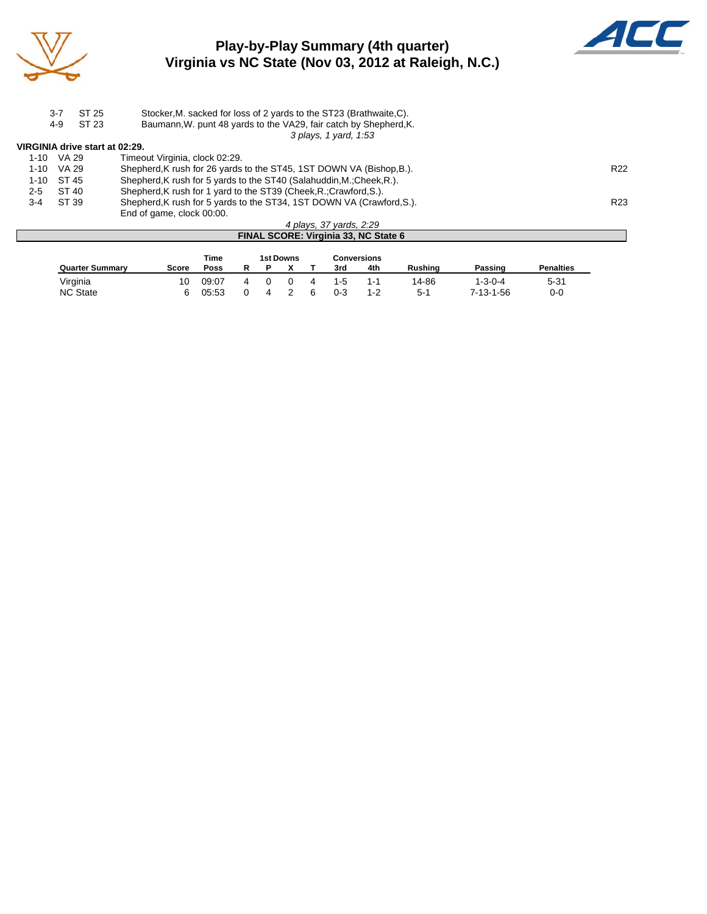

## **Play-by-Play Summary (4th quarter) Virginia vs NC State (Nov 03, 2012 at Raleigh, N.C.)**



|                                | $3 - 7$ | ST 25<br>ST 23 | Stocker, M. sacked for loss of 2 yards to the ST23 (Brathwaite, C).   |                 |
|--------------------------------|---------|----------------|-----------------------------------------------------------------------|-----------------|
|                                | 4-9     |                | Baumann, W. punt 48 yards to the VA29, fair catch by Shepherd, K.     |                 |
|                                |         |                | 3 plays, 1 yard, 1:53                                                 |                 |
| VIRGINIA drive start at 02:29. |         |                |                                                                       |                 |
| 1-10                           | VA 29   |                | Timeout Virginia, clock 02:29.                                        |                 |
| 1-10                           | VA 29   |                | Shepherd, K rush for 26 yards to the ST45, 1ST DOWN VA (Bishop, B.).  | R <sub>22</sub> |
| 1-10 ST 45                     |         |                | Shepherd, K rush for 5 yards to the ST40 (Salahuddin, M.; Cheek, R.). |                 |
| $2 - 5$                        | ST 40   |                | Shepherd, K rush for 1 yard to the ST39 (Cheek, R.; Crawford, S.).    |                 |
| $3 - 4$                        | ST 39   |                | Shepherd, K rush for 5 yards to the ST34, 1ST DOWN VA (Crawford, S.). | R <sub>23</sub> |
|                                |         |                | End of game, clock 00:00.                                             |                 |
|                                |         |                | 4 plays, 37 yards, 2:29                                               |                 |
|                                |         |                | FINAL SCORE: Virginia 33, NC State 6                                  |                 |

|                        |       | Time  |  | 1st Downs |         | <b>Conversions</b> |         |           |                  |
|------------------------|-------|-------|--|-----------|---------|--------------------|---------|-----------|------------------|
| <b>Quarter Summary</b> | Score | Poss  |  |           | 3rd     | 4th                | Rushina | Passing   | <b>Penalties</b> |
| Virginia               | 10    | 09:07 |  |           | $1 - 5$ | 1-1                | 14-86   | 1-3-0-4   | $5 - 31$         |
| <b>NC State</b>        |       | 05:53 |  |           | 0-3     | $1 - 2$            | $5 - 1$ | 7-13-1-56 | 0-0              |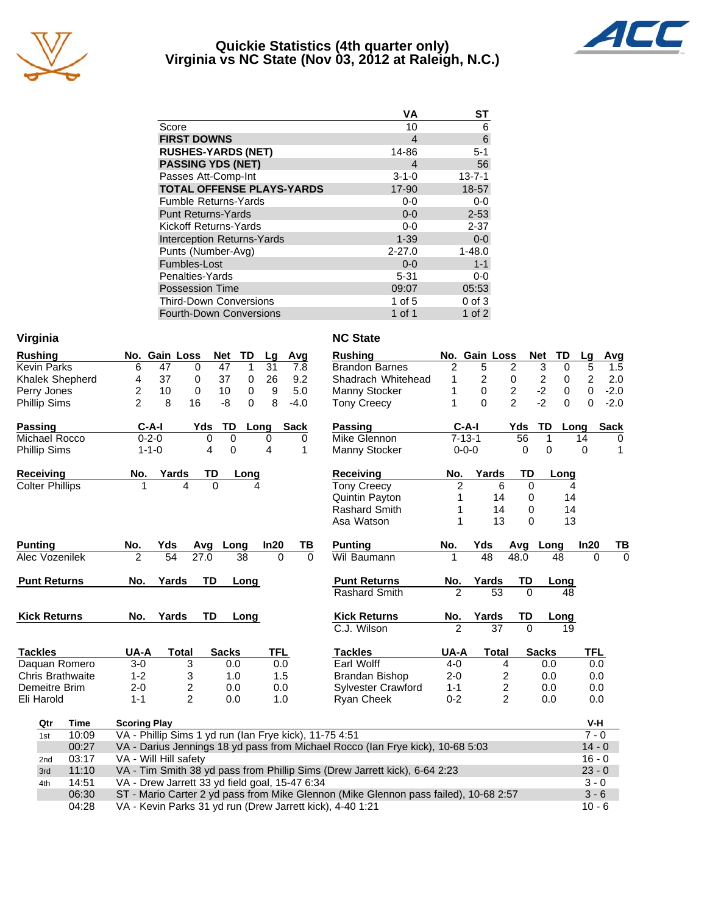

#### **Quickie Statistics (4th quarter only) Virginia vs NC State (Nov 03, 2012 at Raleigh, N.C.)**



| VА          | ST           |
|-------------|--------------|
| 10          | 6            |
| 4           | 6            |
| 14-86       | $5 - 1$      |
| 4           | 56           |
| $3 - 1 - 0$ | $13 - 7 - 1$ |
| 17-90       | 18-57        |
| $0 - 0$     | $0-0$        |
| $0 - 0$     | $2 - 53$     |
| $0-0$       | $2 - 37$     |
| $1 - 39$    | $0-0$        |
| $2 - 27.0$  | $1 - 48.0$   |
| $0 - 0$     | $1 - 1$      |
| $5 - 31$    | $0-0$        |
| 09:07       | 05:53        |
| 1 of 5      | $0$ of $3$   |
| 1 of 1      | 1 of $2$     |
|             |              |

| Virginia                |             |                     |                                                        |              |      |            |             | <b>NC State</b>                                                                      |                |                 |                |                              |                |             |
|-------------------------|-------------|---------------------|--------------------------------------------------------|--------------|------|------------|-------------|--------------------------------------------------------------------------------------|----------------|-----------------|----------------|------------------------------|----------------|-------------|
| <b>Rushing</b>          |             |                     | No. Gain Loss                                          | Net          | TD   | Lg         | Avg         | <b>Rushing</b>                                                                       |                | No. Gain Loss   |                | <b>Net</b><br>TD             | Lg             | Avg         |
| <b>Kevin Parks</b>      |             | 6                   | 47                                                     | 47<br>0      | 1    | 31         | 7.8         | <b>Brandon Barnes</b>                                                                | 2              | 5               | 2              | 3<br>0                       | 5              | 1.5         |
| Khalek Shepherd         |             | 4                   | 37                                                     | 0<br>37      | 0    | 26         | 9.2         | Shadrach Whitehead                                                                   | 1              | $\overline{c}$  | 0              | $\overline{\mathbf{c}}$<br>0 | $\overline{c}$ | 2.0         |
| Perry Jones             |             | 2                   | 10                                                     | 0<br>10      | 0    | 9          | 5.0         | Manny Stocker                                                                        | 1              | $\mathbf 0$     | $\overline{c}$ | $-2$<br>$\mathbf 0$          | $\Omega$       | $-2.0$      |
| <b>Phillip Sims</b>     |             | $\overline{c}$      | 16<br>8                                                | -8           | 0    | 8          | $-4.0$      | <b>Tony Creecy</b>                                                                   | 1              | $\Omega$        | $\mathfrak{p}$ | $-2$<br>$\Omega$             | $\Omega$       | $-2.0$      |
| Passing                 |             | $C-A-I$             |                                                        | Yds<br>TD    | Long |            | <b>Sack</b> | Passing                                                                              | $C-A-I$        |                 | Yds            | TD                           | Long           | <b>Sack</b> |
| Michael Rocco           |             | $0 - 2 - 0$         |                                                        | $\mathbf 0$  | 0    | 0          | 0           | Mike Glennon                                                                         | $7 - 13 - 1$   |                 | 56             | 1                            | 14             | 0           |
| Phillip Sims            |             | $1 - 1 - 0$         |                                                        | 4            | 0    | 4          | 1           | Manny Stocker                                                                        | $0 - 0 - 0$    |                 | 0              | 0                            | 0              | 1           |
| <b>Receiving</b>        |             | No.                 | Yards                                                  | TD           | Long |            |             | <b>Receiving</b>                                                                     | No.            | Yards           | <b>TD</b>      | Long                         |                |             |
| <b>Colter Phillips</b>  |             | 1                   | 4                                                      | 0            |      |            |             | <b>Tony Creecy</b>                                                                   | $\overline{2}$ |                 | 6<br>$\Omega$  |                              | 4              |             |
|                         |             |                     |                                                        |              |      |            |             | Quintin Payton                                                                       | 1              | 14              | 0              |                              | 14             |             |
|                         |             |                     |                                                        |              |      |            |             | <b>Rashard Smith</b>                                                                 | 1              | 14              | 0              |                              | 14             |             |
|                         |             |                     |                                                        |              |      |            |             | Asa Watson                                                                           | 1              | 13              | $\Omega$       |                              | 13             |             |
| <b>Punting</b>          |             | No.                 | Yds                                                    | Avg          | Long | In20       | TВ          | <b>Punting</b>                                                                       | No.            | Yds             |                | Avg Long                     | In20           | TB          |
| Alec Vozenilek          |             | 2                   | 54                                                     | 27.0         | 38   | $\Omega$   | $\Omega$    | Wil Baumann                                                                          | 1              | $\overline{48}$ | 48.0           | 48                           | $\Omega$       | $\Omega$    |
| <b>Punt Returns</b>     |             | No.                 | Yards                                                  | <b>TD</b>    | Long |            |             | <b>Punt Returns</b>                                                                  | No.            | Yards           | TD             | Long                         |                |             |
|                         |             |                     |                                                        |              |      |            |             | Rashard Smith                                                                        | $\mathfrak{p}$ | 53              | $\Omega$       | 48                           |                |             |
| <b>Kick Returns</b>     |             | No.                 | Yards                                                  | TD           | Long |            |             | <b>Kick Returns</b>                                                                  | No.            | Yards           | TD             | Long                         |                |             |
|                         |             |                     |                                                        |              |      |            |             | C.J. Wilson                                                                          |                | $\overline{37}$ | $\Omega$       |                              | 19             |             |
| <b>Tackles</b>          |             | UA-A                | <b>Total</b>                                           | <b>Sacks</b> |      | <b>TFL</b> |             | <b>Tackles</b>                                                                       | UA-A           | <b>Total</b>    |                | <b>Sacks</b>                 | TFL            |             |
| Daquan Romero           |             | $3-0$               | 3                                                      |              | 0.0  | 0.0        |             | Earl Wolff                                                                           | $4 - 0$        |                 | 4              | 0.0                          | 0.0            |             |
| <b>Chris Brathwaite</b> |             | $1 - 2$             | 3                                                      |              | 1.0  | 1.5        |             | Brandan Bishop                                                                       | $2 - 0$        |                 | 2              | 0.0                          | 0.0            |             |
| Demeitre Brim           |             | $2 - 0$             | $\overline{c}$                                         |              | 0.0  | 0.0        |             | <b>Sylvester Crawford</b>                                                            | $1 - 1$        |                 | $\overline{c}$ | 0.0                          | 0.0            |             |
| Eli Harold              |             | $1 - 1$             | $\mathfrak{p}$                                         |              | 0.0  | 1.0        |             | Ryan Cheek                                                                           | $0 - 2$        |                 | $\overline{2}$ | 0.0                          | 0.0            |             |
| Qtr                     | <b>Time</b> | <b>Scoring Play</b> |                                                        |              |      |            |             |                                                                                      |                |                 |                |                              | V-H            |             |
| 1st                     | 10:09       |                     | VA - Phillip Sims 1 yd run (Ian Frye kick), 11-75 4:51 |              |      |            |             |                                                                                      |                |                 |                |                              | $7 - 0$        |             |
|                         | 00:27       |                     |                                                        |              |      |            |             | VA - Darius Jennings 18 yd pass from Michael Rocco (Ian Frye kick), 10-68 5:03       |                |                 |                |                              | $14 - 0$       |             |
| 2nd                     | 03:17       |                     | VA - Will Hill safety                                  |              |      |            |             |                                                                                      |                |                 |                |                              | $16 - 0$       |             |
| 3rd                     | 11:10       |                     |                                                        |              |      |            |             | VA - Tim Smith 38 yd pass from Phillip Sims (Drew Jarrett kick), 6-64 2:23           |                |                 |                |                              | $23 - 0$       |             |
| 4th                     | 14:51       |                     | VA - Drew Jarrett 33 yd field goal, 15-47 6:34         |              |      |            |             |                                                                                      |                |                 |                |                              | $3 - 0$        |             |
|                         | 06:30       |                     |                                                        |              |      |            |             | ST - Mario Carter 2 yd pass from Mike Glennon (Mike Glennon pass failed), 10-68 2:57 |                |                 |                |                              | $3 - 6$        |             |
|                         | 04:28       |                     |                                                        |              |      |            |             | VA - Kevin Parks 31 yd run (Drew Jarrett kick), 4-40 1:21                            |                |                 |                |                              | $10 - 6$       |             |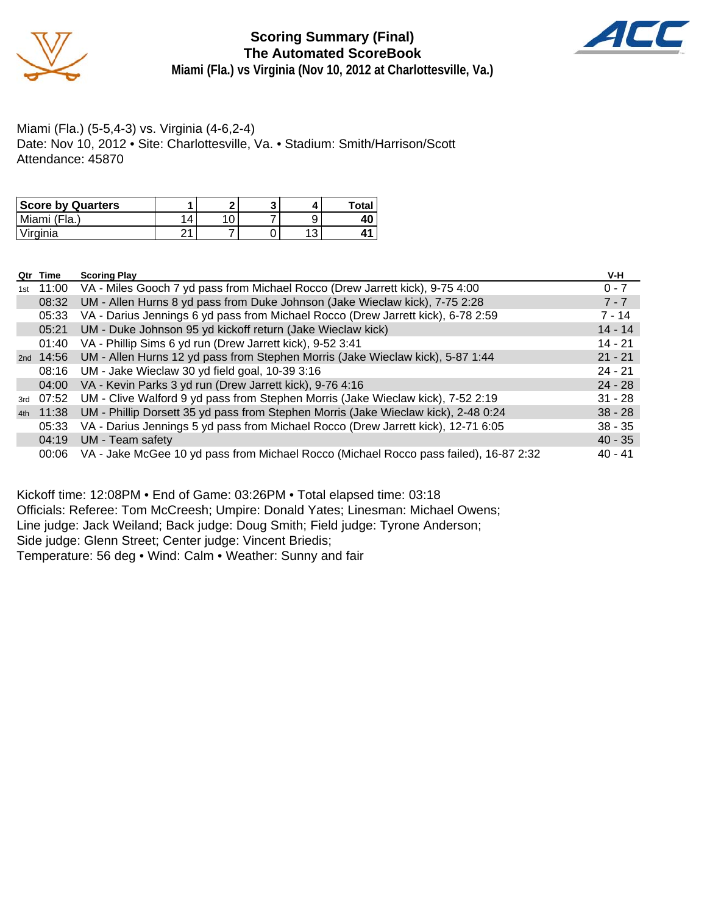

**Scoring Summary (Final) The Automated ScoreBook Miami (Fla.) vs Virginia (Nov 10, 2012 at Charlottesville, Va.)**



Miami (Fla.) (5-5,4-3) vs. Virginia (4-6,2-4) Date: Nov 10, 2012 • Site: Charlottesville, Va. • Stadium: Smith/Harrison/Scott Attendance: 45870

| <b>Score by Quarters</b> |     |  |   | <b>Total</b> |
|--------------------------|-----|--|---|--------------|
| Miami (Fla.)             | 4   |  |   |              |
| Virginia                 | ີາາ |  | u |              |

|     | Qtr Time    | <b>Scoring Play</b>                                                                   | V-H       |
|-----|-------------|---------------------------------------------------------------------------------------|-----------|
| 1st | 11:00       | VA - Miles Gooch 7 yd pass from Michael Rocco (Drew Jarrett kick), 9-75 4:00          | $0 - 7$   |
|     | 08:32       | UM - Allen Hurns 8 yd pass from Duke Johnson (Jake Wieclaw kick), 7-75 2:28           | $7 - 7$   |
|     | 05:33       | VA - Darius Jennings 6 yd pass from Michael Rocco (Drew Jarrett kick), 6-78 2:59      | 7 - 14    |
|     | 05:21       | UM - Duke Johnson 95 yd kickoff return (Jake Wieclaw kick)                            | $14 - 14$ |
|     | 01:40       | VA - Phillip Sims 6 yd run (Drew Jarrett kick), 9-52 3:41                             | $14 - 21$ |
|     | 2nd $14:56$ | UM - Allen Hurns 12 yd pass from Stephen Morris (Jake Wieclaw kick), 5-87 1:44        | $21 - 21$ |
|     | 08:16       | UM - Jake Wieclaw 30 yd field goal, 10-39 3:16                                        | $24 - 21$ |
|     | 04:00       | VA - Kevin Parks 3 yd run (Drew Jarrett kick), 9-76 4:16                              | $24 - 28$ |
| 3rd | 07:52       | UM - Clive Walford 9 yd pass from Stephen Morris (Jake Wieclaw kick), 7-52 2:19       | $31 - 28$ |
| 4th | 11:38       | UM - Phillip Dorsett 35 yd pass from Stephen Morris (Jake Wieclaw kick), 2-48 0:24    | $38 - 28$ |
|     | 05:33       | VA - Darius Jennings 5 yd pass from Michael Rocco (Drew Jarrett kick), 12-71 6:05     | $38 - 35$ |
|     | 04:19       | UM - Team safety                                                                      | $40 - 35$ |
|     | 00:06       | VA - Jake McGee 10 yd pass from Michael Rocco (Michael Rocco pass failed), 16-87 2:32 | $40 - 41$ |

Kickoff time: 12:08PM • End of Game: 03:26PM • Total elapsed time: 03:18 Officials: Referee: Tom McCreesh; Umpire: Donald Yates; Linesman: Michael Owens; Line judge: Jack Weiland; Back judge: Doug Smith; Field judge: Tyrone Anderson; Side judge: Glenn Street; Center judge: Vincent Briedis; Temperature: 56 deg • Wind: Calm • Weather: Sunny and fair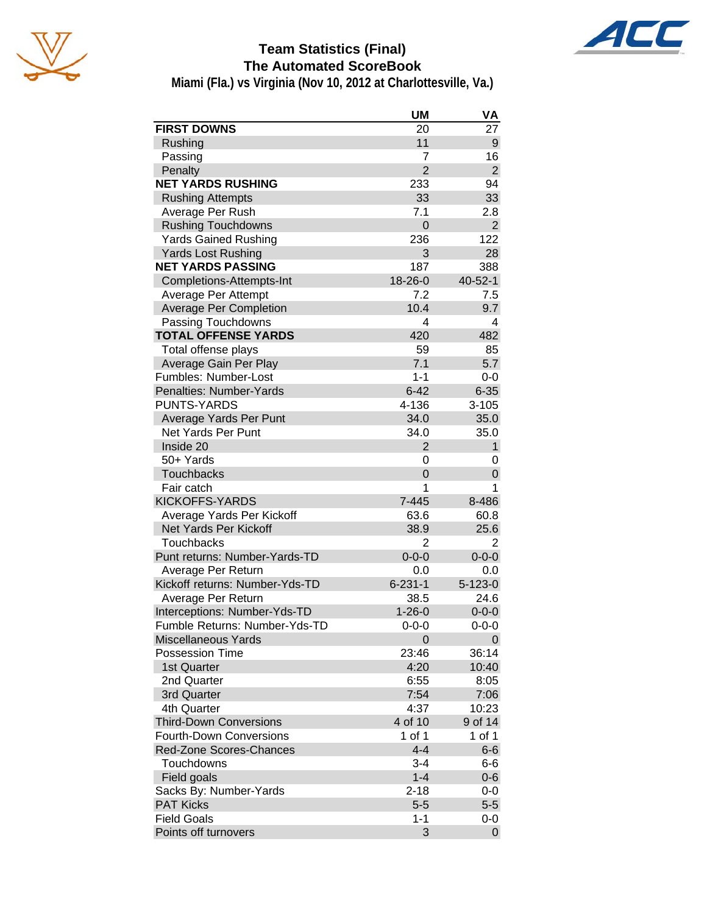



## **Team Statistics (Final) The Automated ScoreBook**

**Miami (Fla.) vs Virginia (Nov 10, 2012 at Charlottesville, Va.)**

|                                | <b>UM</b>      | VA             |
|--------------------------------|----------------|----------------|
| <b>FIRST DOWNS</b>             | 20             | 27             |
| Rushing                        | 11             | 9              |
| Passing                        | 7              | 16             |
| Penalty                        | $\overline{2}$ | $\overline{2}$ |
| <b>NET YARDS RUSHING</b>       | 233            | 94             |
| <b>Rushing Attempts</b>        | 33             | 33             |
| Average Per Rush               | 7.1            | 2.8            |
| <b>Rushing Touchdowns</b>      | $\overline{0}$ | $\overline{2}$ |
| <b>Yards Gained Rushing</b>    | 236            | 122            |
| <b>Yards Lost Rushing</b>      | 3              | 28             |
| <b>NET YARDS PASSING</b>       | 187            | 388            |
| Completions-Attempts-Int       | 18-26-0        | $40 - 52 - 1$  |
| Average Per Attempt            | 7.2            | 7.5            |
| <b>Average Per Completion</b>  | 10.4           | 9.7            |
| Passing Touchdowns             | 4              | 4              |
| <b>TOTAL OFFENSE YARDS</b>     | 420            | 482            |
| Total offense plays            | 59             | 85             |
| Average Gain Per Play          | 7.1            | 5.7            |
| Fumbles: Number-Lost           | $1 - 1$        | 0-0            |
| Penalties: Number-Yards        | $6 - 42$       | $6 - 35$       |
| <b>PUNTS-YARDS</b>             | 4-136          | $3 - 105$      |
| Average Yards Per Punt         | 34.0           | 35.0           |
| <b>Net Yards Per Punt</b>      | 34.0           | 35.0           |
| Inside 20                      | $\overline{2}$ | $\mathbf{1}$   |
| 50+ Yards                      | 0              | 0              |
| <b>Touchbacks</b>              | $\Omega$       | 0              |
| Fair catch                     | 1              | 1              |
| <b>KICKOFFS-YARDS</b>          | 7-445          | 8-486          |
| Average Yards Per Kickoff      | 63.6           | 60.8           |
| <b>Net Yards Per Kickoff</b>   | 38.9           | 25.6           |
| <b>Touchbacks</b>              | $\overline{2}$ | 2              |
| Punt returns: Number-Yards-TD  | $0 - 0 - 0$    | $0 - 0 - 0$    |
| Average Per Return             | 0.0            | 0.0            |
| Kickoff returns: Number-Yds-TD | $6 - 231 - 1$  | $5 - 123 - 0$  |
| Average Per Return             | 38.5           | 24.6           |
| Interceptions: Number-Yds-TD   | $1 - 26 - 0$   | $0 - 0 - 0$    |
| Fumble Returns: Number-Yds-TD  | $0 - 0 - 0$    | $0 - 0 - 0$    |
| <b>Miscellaneous Yards</b>     | 0              | 0              |
| <b>Possession Time</b>         | 23:46          | 36:14          |
| 1st Quarter                    | 4:20           | 10:40          |
| 2nd Quarter                    | 6:55           | 8:05           |
| 3rd Quarter                    | 7:54           | 7:06           |
| 4th Quarter                    | 4:37           | 10:23          |
| <b>Third-Down Conversions</b>  | 4 of 10        | 9 of 14        |
| <b>Fourth-Down Conversions</b> | 1 of 1         | 1 of 1         |
| Red-Zone Scores-Chances        | $4 - 4$        | $6-6$          |
| Touchdowns                     | 3-4            | 6-6            |
| Field goals                    | $1 - 4$        | $0 - 6$        |
| Sacks By: Number-Yards         | $2 - 18$       | 0-0            |
| <b>PAT Kicks</b>               | $5-5$          | $5-5$          |
| <b>Field Goals</b>             | $1 - 1$        | 0-0            |
| Points off turnovers           | 3              | 0              |
|                                |                |                |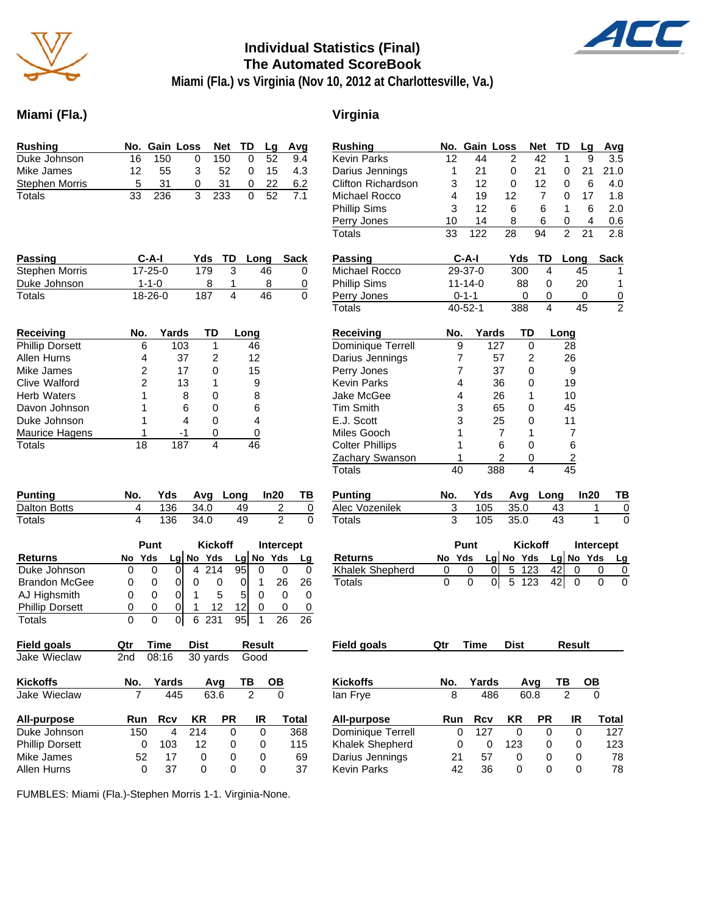

#### **Individual Statistics (Final) The Automated ScoreBook**



**Miami (Fla.) vs Virginia (Nov 10, 2012 at Charlottesville, Va.)**

### **Miami (Fla.) Virginia**

| <b>Rushing</b>         | No. Gain Loss<br>TD<br>Net<br>Avg<br>Lg                                    | <b>Rushing</b>         |               | No. Gain Loss                 |                       | TD<br>Net            | Avg<br>Lq                                 |
|------------------------|----------------------------------------------------------------------------|------------------------|---------------|-------------------------------|-----------------------|----------------------|-------------------------------------------|
| Duke Johnson           | 150<br>150<br>0<br>52<br>16<br>0<br>9.4                                    | <b>Kevin Parks</b>     | 12            | 44                            | 2                     | 42<br>1              | 9<br>3.5                                  |
| Mike James             | 12<br>55<br>3<br>52<br>0<br>15<br>4.3                                      | Darius Jennings        | 1             | 21                            | 0                     | 21<br>0              | 21<br>21.0                                |
| <b>Stephen Morris</b>  | 5<br>31<br>31<br>22<br>6.2<br>0<br>0                                       | Clifton Richardson     | 3             | 12                            | 0                     | 12<br>0              | 6<br>4.0                                  |
| Totals                 | 3<br>52<br>33<br>236<br>233<br>$\Omega$<br>7.1                             | Michael Rocco          | 4             | 19                            | 12                    | $\overline{7}$<br>0  | 17<br>1.8                                 |
|                        |                                                                            | <b>Phillip Sims</b>    | 3             | 12                            | 6                     | 6<br>1               | 6<br>2.0                                  |
|                        |                                                                            | Perry Jones            | 10            | 14                            | 8                     | 6<br>0               | 4<br>0.6                                  |
|                        |                                                                            | <b>Totals</b>          | 33            | 122                           | 28                    | 94<br>$\overline{c}$ | 2.8<br>21                                 |
| <b>Passing</b>         | C-A-I<br>TD<br>Long<br>Sack<br>Yds                                         | <b>Passing</b>         | $C-A-I$       |                               | Yds                   | TD                   | <b>Sack</b><br>Long                       |
| Stephen Morris         | $17 - 25 - 0$<br>179<br>3<br>46<br>0                                       | Michael Rocco          | 29-37-0       |                               | 300                   | 4                    | 45<br>1                                   |
| Duke Johnson           | 8<br>$1 - 1 - 0$<br>1<br>8<br>0                                            | <b>Phillip Sims</b>    | $11 - 14 - 0$ |                               | 88                    | 0                    | 20<br>1                                   |
| Totals                 | 4<br>0<br>187<br>46<br>18-26-0                                             | Perry Jones            | $0 - 1 - 1$   |                               | 0                     | 0                    | 0<br>$\frac{0}{2}$                        |
|                        |                                                                            | <b>Totals</b>          | $40 - 52 - 1$ |                               | 388                   | 4                    | 45                                        |
| <b>Receiving</b>       | Yards<br>No.<br>TD<br>Long                                                 | Receiving              | No.           | Yards                         | TD                    | Long                 |                                           |
| <b>Phillip Dorsett</b> | 1<br>6<br>103<br>46                                                        | Dominique Terrell      | 9             | 127                           | 0                     | 28                   |                                           |
| <b>Allen Hurns</b>     | 4<br>37<br>2<br>12                                                         | Darius Jennings        | 7             | 57                            | $\overline{c}$        | 26                   |                                           |
| Mike James             | 2<br>17<br>0<br>15                                                         | Perry Jones            | 7             | 37                            | 0                     |                      | 9                                         |
| <b>Clive Walford</b>   | 2<br>9<br>13<br>1                                                          | <b>Kevin Parks</b>     | 4             | 36                            | 0                     | 19                   |                                           |
| <b>Herb Waters</b>     | 1<br>8<br>0<br>8                                                           | Jake McGee             | 4             | 26                            | 1                     | 10                   |                                           |
| Davon Johnson          | 1<br>6<br>$\mathbf 0$<br>6                                                 | <b>Tim Smith</b>       | 3             | 65                            | 0                     | 45                   |                                           |
| Duke Johnson           | 4<br>1<br>4<br>0                                                           | E.J. Scott             | 3             | 25                            | $\mathbf 0$           | 11                   |                                           |
| Maurice Hagens         | 1<br>$-1$<br>0<br>$\pmb{0}$                                                | Miles Gooch            | 1             | 7                             | 1                     |                      | 7                                         |
| <b>Totals</b>          | 18<br>187<br>4<br>46                                                       | <b>Colter Phillips</b> | 1             | 6                             | $\mathbf 0$           |                      | 6                                         |
|                        |                                                                            | Zachary Swanson        | 1             | 2                             | 0                     |                      | $\overline{2}$                            |
|                        |                                                                            | <b>Totals</b>          | 40            | 388                           | $\overline{4}$        | $\overline{45}$      |                                           |
| <b>Punting</b>         | In20<br>No.<br>Yds<br>Avg Long<br>ΤВ                                       | <b>Punting</b>         | No.           | Yds                           | Avg                   | Long                 | In20<br>TB                                |
| Dalton Botts           | 34.0<br>$\overline{\mathbf{c}}$<br>4<br>136<br>49<br>$\overline{0}$        | Alec Vozenilek         | 3             | 105                           | 35.0                  | 43                   | 0<br>1                                    |
| <b>Totals</b>          | $\overline{2}$<br>4<br>136<br>34.0<br>49<br>$\Omega$                       | <b>Totals</b>          | 3             | 105                           | 35.0                  | 43                   | $\mathbf{1}$<br>$\Omega$                  |
|                        | Punt<br><b>Kickoff</b><br>Intercept                                        |                        | Punt          |                               | <b>Kickoff</b>        |                      | Intercept                                 |
| <b>Returns</b>         | $Lg$ No Yds<br>No Yds<br>Yds<br>No<br>Lg<br>Lg                             | <b>Returns</b>         | No Yds        |                               | Lg No Yds             |                      | Lg No Yds<br>Lg                           |
| Duke Johnson           | 0 <br>214<br>95<br>0<br>0<br>4<br>0<br>0<br>0                              | Khalek Shepherd        | 0             | $\pmb{0}$<br>0                | $\overline{5}$<br>123 | 42                   | $\pmb{0}$<br>0<br>0                       |
| <b>Brandon McGee</b>   | 26<br> 0 <br>0<br>0<br>0<br>26<br>0<br>0<br>1                              | <b>Totals</b>          | 0             | $\overline{0}$<br>$\mathbf 0$ | 5<br>123              | 42                   | $\mathsf 0$<br>$\mathbf 0$<br>$\mathbf 0$ |
| AJ Highsmith           | 5<br>$\Omega$<br>5<br>0<br>0<br>1<br>0<br>0<br>0                           |                        |               |                               |                       |                      |                                           |
| <b>Phillip Dorsett</b> | 12<br>0<br>0<br>$\overline{0}$<br>12<br>1<br>0<br>0<br>0                   |                        |               |                               |                       |                      |                                           |
| Totals                 | 0<br>95<br>0<br>$\overline{0}$<br>6<br>231<br>26<br>26<br>1                |                        |               |                               |                       |                      |                                           |
| <b>Field goals</b>     | <b>Time</b><br><b>Dist</b><br>Qtr<br>Result                                | <b>Field goals</b>     | Qtr           | Time                          | <b>Dist</b>           |                      | <b>Result</b>                             |
| Jake Wieclaw           | 2nd<br>08:16<br>30 yards<br>Good                                           |                        |               |                               |                       |                      |                                           |
| <b>Kickoffs</b>        | Yards<br>TB<br>No.<br>Avg<br><u>OB</u>                                     | <b>Kickoffs</b>        | No.           | Yards                         | Avg                   | TВ                   | <u>OB</u>                                 |
| Jake Wieclaw           | 445<br>63.6<br>$\overline{2}$<br>$\Omega$<br>7                             | lan Frye               | 8             | 486                           | 60.8                  | $\overline{2}$       | 0                                         |
| <b>All-purpose</b>     | <b>PR</b><br><b>Total</b><br>Run<br><b>Rcv</b><br>KR<br>IR                 | All-purpose            | Run           | Rcv                           | <b>KR</b>             | <b>PR</b>            | IR<br>Total                               |
| Duke Johnson           | 214<br>150<br>$\mathbf 0$<br>$\mathbf 0$<br>368<br>4                       | Dominique Terrell      | 0             | 127                           | 0                     | $\mathbf 0$          | $\mathbf 0$<br>127                        |
| <b>Phillip Dorsett</b> | $\pmb{0}$<br>103<br>12<br>$\pmb{0}$<br>0<br>115                            | Khalek Shepherd        | 0             | $\pmb{0}$                     | 123                   | 0                    | 123<br>0                                  |
| Mike James             | 52<br>17<br>0<br>0<br>0<br>69                                              | Darius Jennings        | 21            | 57                            | 0                     | 0                    | $\mathbf 0$<br>78                         |
| Allen Hurns            | 37<br>$\pmb{0}$<br>$\mathsf{O}\xspace$<br>$\mathbf 0$<br>$\mathbf 0$<br>37 | <b>Kevin Parks</b>     | 42            | 36                            | $\mathbf 0$           | 0                    | 78<br>$\mathbf 0$                         |

| Field goals        | Qtr | Time  | Dist |           | <b>Result</b> |       |
|--------------------|-----|-------|------|-----------|---------------|-------|
| <b>Kickoffs</b>    | No. | Yards |      | Avq       | ΤВ            | OВ    |
| lan Frye           | 8   | 486   |      | 60.8      | 2             | 0     |
| All-purpose        | Run | Rcv   | ΚR   | <b>PR</b> | ΙR            | Total |
| Dominique Terrell  | 0   | 127   | 0    | 0         | 0             | 127   |
| Khalek Shepherd    | 0   | 0     | 123  | 0         | 0             | 123   |
| Darius Jennings    | 21  | 57    | 0    | 0         | 0             | 78    |
| <b>Kevin Parks</b> | 42  | 36    | 0    | 0         | 0             | 78    |

FUMBLES: Miami (Fla.)-Stephen Morris 1-1. Virginia-None.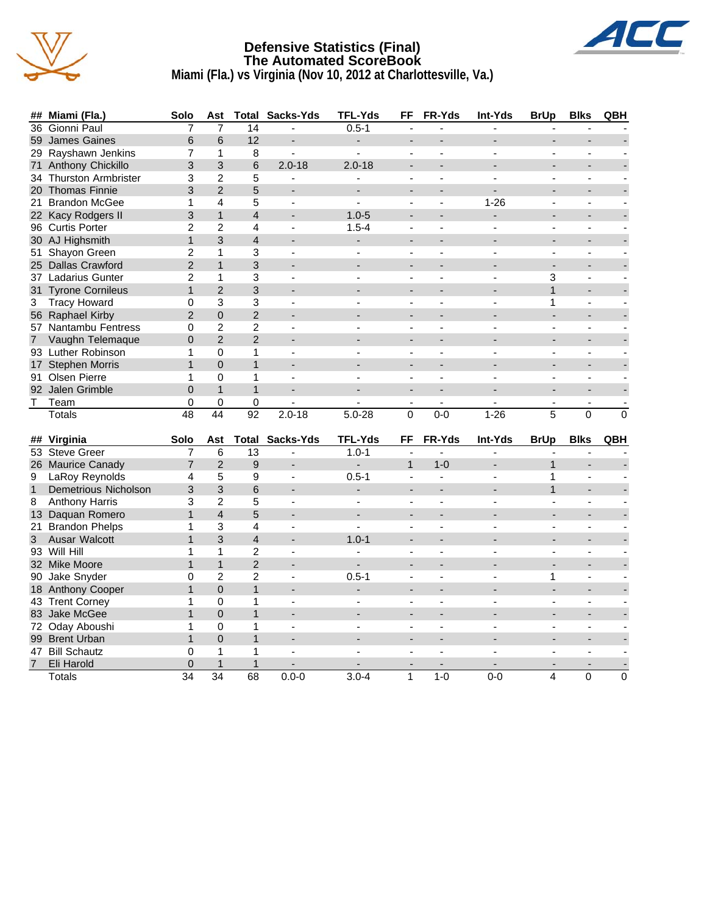

#### **Defensive Statistics (Final) The Automated ScoreBook Miami (Fla.) vs Virginia (Nov 10, 2012 at Charlottesville, Va.)**



| ##             | Miami (Fla.)                | Solo           | Ast                             | Total                    | Sacks-Yds                | <b>TFL-Yds</b>           | FF                       | FR-Yds                   | Int-Yds                  | <b>BrUp</b>              | <b>Blks</b>              | QBH            |
|----------------|-----------------------------|----------------|---------------------------------|--------------------------|--------------------------|--------------------------|--------------------------|--------------------------|--------------------------|--------------------------|--------------------------|----------------|
| 36             | Gionni Paul                 | 7              | $\overline{7}$                  | 14                       | ä,                       | $0.5 - 1$                |                          |                          |                          |                          |                          |                |
|                | 59 James Gaines             | 6              | 6                               | 12                       | $\overline{a}$           | $\overline{\phantom{a}}$ | $\overline{a}$           | ۰                        |                          | ÷.                       |                          |                |
|                | 29 Rayshawn Jenkins         | $\overline{7}$ | $\mathbf{1}$                    | 8                        | $\blacksquare$           | $\mathbf{r}$             | $\overline{a}$           | $\overline{a}$           | ÷,                       | $\overline{a}$           | $\sim$                   |                |
| 71             | Anthony Chickillo           | 3              | 3                               | 6                        | $2.0 - 18$               | $2.0 - 18$               |                          |                          |                          |                          |                          |                |
| 34             | <b>Thurston Armbrister</b>  | 3              | $\overline{2}$                  | 5                        | ÷,                       |                          | $\blacksquare$           | L.                       |                          |                          |                          |                |
|                | 20 Thomas Finnie            | 3              | $\overline{2}$                  | 5                        | $\overline{a}$           | ÷.                       | $\blacksquare$           | ۰                        |                          | $\overline{a}$           | ۰                        |                |
| 21             | <b>Brandon McGee</b>        | 1              | $\overline{4}$                  | 5                        | $\sim$                   | $\mathbf{r}$             | $\overline{a}$           | $\overline{a}$           | $1 - 26$                 | ÷,                       | $\overline{a}$           |                |
|                | 22 Kacy Rodgers II          | 3              | $\mathbf{1}$                    | $\overline{\mathcal{L}}$ | ÷                        | $1.0 - 5$                |                          |                          |                          |                          |                          |                |
|                | 96 Curtis Porter            | 2              | $\overline{2}$                  | 4                        | $\sim$                   | $1.5 - 4$                | $\blacksquare$           | $\overline{a}$           |                          | ÷,                       | $\blacksquare$           |                |
|                | 30 AJ Highsmith             | $\mathbf{1}$   | 3                               | $\overline{4}$           | ÷                        |                          | $\blacksquare$           | $\overline{\phantom{a}}$ | $\overline{\phantom{a}}$ |                          | $\overline{a}$           |                |
| 51             | Shayon Green                | 2              | $\mathbf{1}$                    | 3                        | $\blacksquare$           | $\blacksquare$           | $\overline{a}$           | $\overline{a}$           | $\overline{a}$           | $\overline{a}$           | ä,                       |                |
|                | 25 Dallas Crawford          | $\overline{2}$ | $\mathbf{1}$                    | 3                        |                          |                          |                          |                          |                          | $\overline{a}$           | L.                       |                |
|                | 37 Ladarius Gunter          | $\overline{2}$ | $\mathbf{1}$                    | 3                        | $\mathbf{r}$             |                          | $\blacksquare$           | L.                       |                          | 3                        | ÷,                       |                |
|                | 31 Tyrone Cornileus         | $\mathbf{1}$   | $\overline{2}$                  | 3                        |                          |                          | $\overline{\phantom{a}}$ |                          |                          | $\mathbf{1}$             | $\overline{a}$           |                |
| 3              | <b>Tracy Howard</b>         | 0              | 3                               | 3                        | $\sim$                   | $\overline{a}$           | $\sim$                   | $\overline{\phantom{a}}$ | $\overline{a}$           | 1                        | $\sim$                   |                |
|                | 56 Raphael Kirby            | $\overline{2}$ | $\pmb{0}$                       | $\overline{2}$           |                          |                          |                          |                          |                          |                          |                          |                |
|                | 57 Nantambu Fentress        | $\mathbf 0$    | $\overline{2}$                  | $\overline{c}$           |                          |                          |                          |                          |                          |                          | $\overline{a}$           |                |
| $\overline{7}$ | Vaughn Telemaque            | $\mathbf 0$    | $\overline{2}$                  | $\overline{2}$           | ÷                        |                          |                          |                          |                          |                          | $\overline{a}$           |                |
|                | 93 Luther Robinson          | 1              | $\mathbf 0$                     | 1                        | $\sim$                   | $\blacksquare$           | $\mathbf{r}$             | $\overline{\phantom{a}}$ | $\sim$                   | $\blacksquare$           | $\sim$                   |                |
|                | 17 Stephen Morris           | $\mathbf{1}$   | $\overline{0}$                  | $\mathbf{1}$             |                          |                          |                          |                          |                          |                          |                          |                |
| 91             | Olsen Pierre                | $\mathbf{1}$   | $\mathbf 0$                     | 1                        | $\mathbf{r}$             |                          |                          |                          |                          |                          |                          |                |
|                | 92 Jalen Grimble            | $\overline{0}$ | $\mathbf{1}$                    | $\mathbf{1}$             | ÷,                       |                          | $\overline{\phantom{a}}$ | ÷,                       |                          | $\overline{\phantom{a}}$ | $\overline{\phantom{0}}$ |                |
| Τ              | Team                        | 0              | 0                               | 0                        |                          |                          | $\overline{a}$           | $\mathbf{r}$             |                          | $\overline{a}$           | $\sim$                   |                |
|                | <b>Totals</b>               | 48             | $\overline{44}$                 | $\overline{92}$          | $2.0 - 18$               | $5.0 - 28$               | 0                        | $0 - 0$                  | $1 - 26$                 | 5                        | $\Omega$                 | $\overline{0}$ |
|                |                             |                |                                 |                          |                          |                          |                          |                          |                          |                          |                          |                |
|                | ## Virginia                 | Solo           | Ast                             |                          | <b>Total Sacks-Yds</b>   | <b>TFL-Yds</b>           | <b>FF</b>                | FR-Yds                   | <b>Int-Yds</b>           | <b>BrUp</b>              | <b>Blks</b>              | QBH            |
|                | 53 Steve Greer              | 7              | 6                               | $\overline{13}$          | ÷,                       | $1.0 - 1$                | ÷,                       | $\overline{\phantom{a}}$ | $\overline{a}$           |                          | $\overline{a}$           |                |
|                | 26 Maurice Canady           | $\overline{7}$ | $\overline{2}$                  | $\mathsf g$              |                          |                          | $\mathbf{1}$             | $1 - 0$                  |                          | $\mathbf{1}$             |                          |                |
| 9              | LaRoy Reynolds              | 4              | 5                               | 9                        | $\blacksquare$           | $0.5 - 1$                |                          |                          |                          | 1                        |                          |                |
| $\mathbf{1}$   | <b>Demetrious Nicholson</b> | 3              | 3                               | 6                        |                          | ÷.                       |                          |                          |                          | $\mathbf{1}$             |                          |                |
| 8              | <b>Anthony Harris</b>       | 3              | $\overline{c}$                  | 5                        | $\sim$                   | $\blacksquare$           | $\sim$                   | $\overline{\phantom{a}}$ | $\overline{a}$           | ÷,                       | $\sim$                   |                |
|                | 13 Daquan Romero            | $\mathbf{1}$   | $\overline{4}$                  | 5                        |                          |                          |                          |                          |                          |                          |                          |                |
|                | 21 Brandon Phelps           | 1              | 3                               | 4                        | $\overline{a}$           |                          | $\overline{a}$           |                          |                          |                          | $\blacksquare$           |                |
| 3              | Ausar Walcott               | $\mathbf{1}$   | 3                               | $\overline{4}$           | $\overline{\phantom{a}}$ | $1.0 - 1$                |                          |                          |                          |                          | $\overline{a}$           |                |
|                | 93 Will Hill                | 1              | $\mathbf{1}$                    | $\overline{c}$           | $\blacksquare$           | ÷,                       | $\blacksquare$           | $\overline{a}$           | ÷.                       | $\overline{a}$           | ÷,                       |                |
|                | 32 Mike Moore               | $\mathbf{1}$   | $\mathbf{1}$                    | $\overline{2}$           |                          |                          |                          |                          |                          |                          |                          |                |
|                | 90 Jake Snyder              | $\Omega$       | $\overline{2}$                  | $\overline{2}$           | $\blacksquare$           | $0.5 - 1$                | $\sim$                   |                          |                          | 1                        | $\sim$                   |                |
|                | 18 Anthony Cooper           | $\mathbf{1}$   | $\Omega$                        | $\mathbf{1}$             |                          |                          |                          |                          |                          |                          |                          |                |
|                | 43 Trent Corney             | 1              | $\mathbf 0$                     | 1                        | $\blacksquare$           |                          | ÷                        | ÷                        | ٠                        | ٠                        | ä,                       |                |
|                | 83 Jake McGee               | $\mathbf{1}$   | $\overline{0}$                  | $\mathbf{1}$             | ÷                        |                          |                          |                          |                          |                          |                          |                |
|                | 72 Oday Aboushi             | 1              | $\Omega$                        | 1                        | $\overline{a}$           |                          | $\overline{a}$           |                          |                          | ÷,                       | $\blacksquare$           |                |
|                | 99 Brent Urban              | $\mathbf{1}$   | $\Omega$                        | $\mathbf{1}$             |                          |                          |                          |                          |                          |                          |                          |                |
|                |                             |                |                                 |                          |                          |                          |                          |                          |                          |                          |                          |                |
|                | 47 Bill Schautz             | $\mathbf 0$    | $\mathbf{1}$                    | 1                        | $\overline{a}$           |                          | $\overline{a}$           | $\blacksquare$           | $\overline{a}$           | $\overline{a}$           | $\overline{a}$           |                |
| $\overline{7}$ | Eli Harold                  | $\pmb{0}$      | $\mathbf{1}$<br>$\overline{34}$ | $\mathbf{1}$<br>68       | $0.0 - 0$                | $3.0 - 4$                |                          | $1-0$                    |                          |                          |                          |                |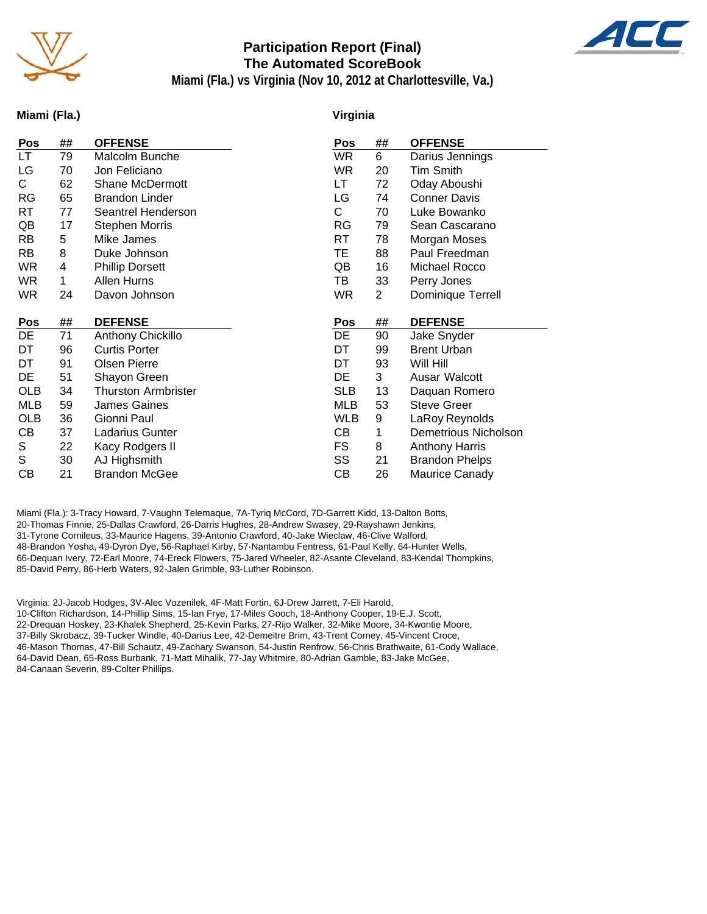

#### **Participation Report (Final) The Automated ScoreBook**



**Miami (Fla.) vs Virginia (Nov 10, 2012 at Charlottesville, Va.)**

#### **Miami (Fla.)**

#### **Virginia**

| Pos        | ## | <b>OFFENSE</b>             | Pos        | ##             | <b>OFFENSE</b>        |
|------------|----|----------------------------|------------|----------------|-----------------------|
| LT.        | 79 | Malcolm Bunche             | <b>WR</b>  | 6              | Darius Jennings       |
| LG         | 70 | Jon Feliciano              | WR.        | 20             | <b>Tim Smith</b>      |
| C.         | 62 | <b>Shane McDermott</b>     | LT         | 72             | Oday Aboushi          |
| <b>RG</b>  | 65 | <b>Brandon Linder</b>      | LG         | 74             | <b>Conner Davis</b>   |
| RT         | 77 | Seantrel Henderson         | C          | 70             | Luke Bowanko          |
| QB         | 17 | <b>Stephen Morris</b>      | RG         | 79             | Sean Cascarano        |
| <b>RB</b>  | 5  | Mike James                 | RT         | 78             | Morgan Moses          |
| RB.        | 8  | Duke Johnson               | TE         | 88             | Paul Freedman         |
| <b>WR</b>  | 4  | <b>Phillip Dorsett</b>     | QB         | 16             | Michael Rocco         |
| WR.        | 1  | Allen Hurns                | TB         | 33             | Perry Jones           |
| <b>WR</b>  | 24 | Davon Johnson              | <b>WR</b>  | $\overline{2}$ | Dominique Terrell     |
|            |    |                            |            |                |                       |
|            |    |                            |            |                |                       |
| Pos        | ## | <b>DEFENSE</b>             | Pos        | ##             | <b>DEFENSE</b>        |
| DE         | 71 | Anthony Chickillo          | DE         | 90             | Jake Snyder           |
| DT         | 96 | <b>Curtis Porter</b>       | DT         | 99             | <b>Brent Urban</b>    |
| DT         | 91 | <b>Olsen Pierre</b>        | DT         | 93             | Will Hill             |
| DE         | 51 | Shayon Green               | DE         | 3              | Ausar Walcott         |
| <b>OLB</b> | 34 | <b>Thurston Armbrister</b> | <b>SLB</b> | 13             | Daquan Romero         |
| <b>MLB</b> | 59 | James Gaines               | <b>MLB</b> | 53             | <b>Steve Greer</b>    |
| <b>OLB</b> | 36 | Gionni Paul                | <b>WLB</b> | 9              | LaRoy Reynolds        |
| CВ         | 37 | Ladarius Gunter            | CВ         | 1              | Demetrious Nicholson  |
| S          | 22 | Kacy Rodgers II            | <b>FS</b>  | 8              | <b>Anthony Harris</b> |
| S          | 30 | AJ Highsmith               | SS         | 21             | <b>Brandon Phelps</b> |

Miami (Fla.): 3-Tracy Howard, 7-Vaughn Telemaque, 7A-Tyriq McCord, 7D-Garrett Kidd, 13-Dalton Botts, 20-Thomas Finnie, 25-Dallas Crawford, 26-Darris Hughes, 28-Andrew Swasey, 29-Rayshawn Jenkins, 31-Tyrone Cornileus, 33-Maurice Hagens, 39-Antonio Crawford, 40-Jake Wieclaw, 46-Clive Walford, 48-Brandon Yosha, 49-Dyron Dye, 56-Raphael Kirby, 57-Nantambu Fentress, 61-Paul Kelly, 64-Hunter Wells, 66-Dequan Ivery, 72-Earl Moore, 74-Ereck Flowers, 75-Jared Wheeler, 82-Asante Cleveland, 83-Kendal Thompkins, 85-David Perry, 86-Herb Waters, 92-Jalen Grimble, 93-Luther Robinson.

Virginia: 2J-Jacob Hodges, 3V-Alec Vozenilek, 4F-Matt Fortin, 6J-Drew Jarrett, 7-Eli Harold, 10-Clifton Richardson, 14-Phillip Sims, 15-Ian Frye, 17-Miles Gooch, 18-Anthony Cooper, 19-E.J. Scott, 22-Drequan Hoskey, 23-Khalek Shepherd, 25-Kevin Parks, 27-Rijo Walker, 32-Mike Moore, 34-Kwontie Moore, 37-Billy Skrobacz, 39-Tucker Windle, 40-Darius Lee, 42-Demeitre Brim, 43-Trent Corney, 45-Vincent Croce, 46-Mason Thomas, 47-Bill Schautz, 49-Zachary Swanson, 54-Justin Renfrow, 56-Chris Brathwaite, 61-Cody Wallace, 64-David Dean, 65-Ross Burbank, 71-Matt Mihalik, 77-Jay Whitmire, 80-Adrian Gamble, 83-Jake McGee, 84-Canaan Severin, 89-Colter Phillips.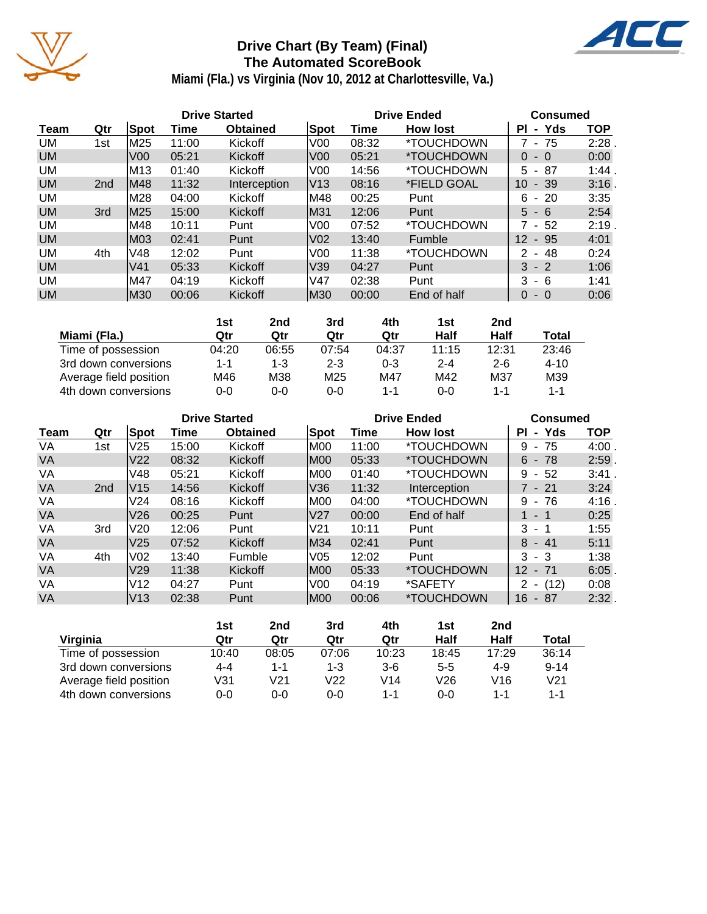

## **Drive Chart (By Team) (Final) The Automated ScoreBook**



**Miami (Fla.) vs Virginia (Nov 10, 2012 at Charlottesville, Va.)**

| <b>Drive Started</b> |                 |                 |       | <b>Drive Ended</b> | <b>Consumed</b> |       |                          |                           |            |
|----------------------|-----------------|-----------------|-------|--------------------|-----------------|-------|--------------------------|---------------------------|------------|
| Team                 | Qtr             | <b>Spot</b>     | Time  | <b>Obtained</b>    | Spot            | Time  | <b>How lost</b>          | - Yds<br><b>PI</b>        | <b>TOP</b> |
| UM                   | 1st             | M25             | 11:00 | Kickoff            | V <sub>0</sub>  | 08:32 | <i><b>*TOUCHDOWN</b></i> | - 75                      | 2:28       |
| <b>UM</b>            |                 | V <sub>00</sub> | 05:21 | Kickoff            | V <sub>00</sub> | 05:21 | <i><b>*TOUCHDOWN</b></i> | $0 - 0$                   | 0:00       |
| UM                   |                 | M13             | 01:40 | Kickoff            | V <sub>00</sub> | 14:56 | *TOUCHDOWN               | -87<br>5 -                | 1:44.      |
| <b>UM</b>            | 2 <sub>nd</sub> | lM48            | 11:32 | Interception       | IV13            | 08:16 | *FIELD GOAL              | 10<br>$-39$               | 3:16       |
| UM                   |                 | M28             | 04:00 | Kickoff            | IM48            | 00:25 | Punt                     | - 20<br>6.                | 3:35       |
| <b>UM</b>            | 3rd             | IM25            | 15:00 | Kickoff            | M31             | 12:06 | Punt                     | $5 - 6$                   | 2:54       |
| UM                   |                 | M48             | 10:11 | Punt               | V <sub>00</sub> | 07:52 | <i><b>*TOUCHDOWN</b></i> | 7 - 52                    | 2:19       |
| <b>UM</b>            |                 | M03             | 02:41 | Punt               | V02             | 13:40 | Fumble                   | $12 \overline{ }$<br>- 95 | 4:01       |
| UM                   | 4th             | V48             | 12:02 | Punt               | V <sub>0</sub>  | 11:38 | <i><b>*TOUCHDOWN</b></i> | - 48<br>2                 | 0:24       |
| <b>UM</b>            |                 | V <sub>41</sub> | 05:33 | Kickoff            | V39             | 04:27 | Punt                     | $3 - 2$                   | 1:06       |
| UM                   |                 | M47             | 04:19 | Kickoff            | V47             | 02:38 | Punt                     | $3 - 6$                   | 1:41       |
| <b>UM</b>            |                 | M30             | 00:06 | Kickoff            | IM30            | 00:00 | End of half              | $\Omega$<br>$-0$          | 0:06       |

|                        | 1st   | 2nd   | 3rd             | 4th     | 1st     | 2 <sub>nd</sub> |          |
|------------------------|-------|-------|-----------------|---------|---------|-----------------|----------|
| Miami (Fla.)           | Qtr   | Qtr   | Qtr             | Qtr     | Half    | Half            | Total    |
| Time of possession     | 04:20 | 06:55 | 07:54           | 04:37   | 11:15   | 12:31           | 23:46    |
| 3rd down conversions   | 1-1   | 1-3   | $2 - 3$         | $0 - 3$ | $2 - 4$ | $2 - 6$         | $4 - 10$ |
| Average field position | M46   | M38   | M <sub>25</sub> | M47     | M42     | M37             | M39      |
| 4th down conversions   | 0-0   | 0-0   | $0 - 0$         | $1 - 1$ | $0 - 0$ | $1 - 1$         | $1 - 1$  |

| <b>Drive Started</b> |                 |                 |       |                 | <b>Drive Ended</b> | <b>Consumed</b> |                          |                            |            |
|----------------------|-----------------|-----------------|-------|-----------------|--------------------|-----------------|--------------------------|----------------------------|------------|
| Team                 | Qtr             | Spot            | Time  | <b>Obtained</b> | Spot               | Time            | <b>How lost</b>          | - Yds<br>PI.               | <b>TOP</b> |
| VA                   | 1st             | V <sub>25</sub> | 15:00 | Kickoff         | M00                | 11:00           | *TOUCHDOWN               | 9<br>- 75                  | 4:00       |
| <b>VA</b>            |                 | V <sub>22</sub> | 08:32 | Kickoff         | M00                | 05:33           | <i><b>*TOUCHDOWN</b></i> | $6 - 78$                   | $2:59$ .   |
| VA                   |                 | V48             | 05:21 | Kickoff         | IM00               | 01:40           | *TOUCHDOWN               | 9<br>-52<br>$\sim$         | $3:41$ .   |
| <b>VA</b>            | 2 <sub>nd</sub> | IV15            | 14:56 | Kickoff         | V36                | 11:32           | Interception             | $7 - 21$                   | 3:24       |
| VA                   |                 | V24             | 08:16 | Kickoff         | M00                | 04:00           | <i><b>*TOUCHDOWN</b></i> | 9<br>- 76                  | 4:16       |
| <b>VA</b>            |                 | V26             | 00:25 | Punt            | V27                | 00:00           | End of half              | 1 - 1                      | 0:25       |
| VA                   | 3rd             | V20             | 12:06 | Punt            | V <sub>21</sub>    | 10:11           | Punt                     | 3<br>- 1                   | 1:55       |
| <b>VA</b>            |                 | V <sub>25</sub> | 07:52 | Kickoff         | M34                | 02:41           | Punt                     | 8<br>$-41$                 | 5:11       |
| VA                   | 4th             | V02             | 13:40 | Fumble          | V05                | 12:02           | Punt                     | 3<br>- 3                   | 1:38       |
| VA                   |                 | V <sub>29</sub> | 11:38 | Kickoff         | M00                | 05:33           | <i><b>*TOUCHDOWN</b></i> | 12 <sup>°</sup><br>$-71$   | $6:05$ .   |
| VA                   |                 | V <sub>12</sub> | 04:27 | Punt            | V <sub>0</sub>     | 04:19           | *SAFETY                  | (12)                       | 0:08       |
| VA                   |                 | V13             | 02:38 | Punt            | IM00               | 00:06           | *TOUCHDOWN               | 16<br>87<br>$\blacksquare$ | 2:32.      |

|                        | 1st     | 2nd   | 3rd     | 4th   | 1st     | 2nd   |          |
|------------------------|---------|-------|---------|-------|---------|-------|----------|
| Virginia               | Qtr     | Qtr   | Qtr     | Qtr   | Half    | Half  | Total    |
| Time of possession     | 10:40   | 08:05 | 07:06   | 10:23 | 18:45   | 17:29 | 36:14    |
| 3rd down conversions   | 4-4     | 1-1   | $1 - 3$ | $3-6$ | $5 - 5$ | 4-9   | $9 - 14$ |
| Average field position | V31     | V21   | V22     | V14   | V26     | V16   | V21      |
| 4th down conversions   | $0 - 0$ | 0-0   | 0-0     | 1-1   | $0 - 0$ | 1-1   | $1 - 1$  |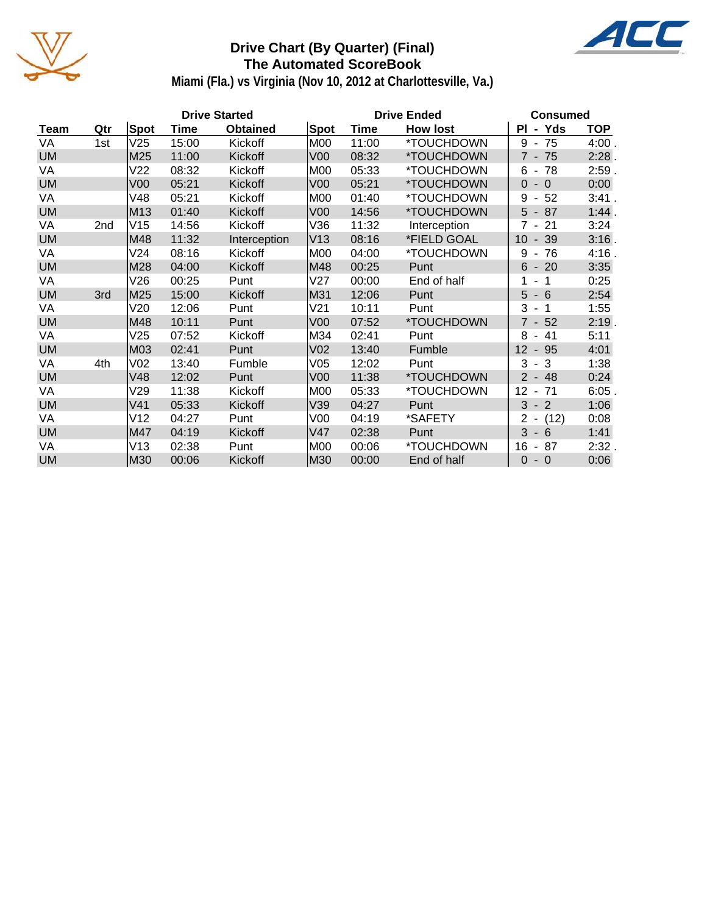

## **Drive Chart (By Quarter) (Final) The Automated ScoreBook**



**Miami (Fla.) vs Virginia (Nov 10, 2012 at Charlottesville, Va.)**

|           |     |                 |       | <b>Drive Started</b> |                 | <b>Drive Ended</b> | <b>Consumed</b> |                                                    |            |
|-----------|-----|-----------------|-------|----------------------|-----------------|--------------------|-----------------|----------------------------------------------------|------------|
| Team      | Qtr | Spot            | Time  | <b>Obtained</b>      | <b>Spot</b>     | <b>Time</b>        | <b>How lost</b> | - Yds<br>PI                                        | <b>TOP</b> |
| VA        | 1st | V25             | 15:00 | Kickoff              | M <sub>0</sub>  | 11:00              | *TOUCHDOWN      | $9 - 75$                                           | 4:00.      |
| <b>UM</b> |     | M25             | 11:00 | Kickoff              | V <sub>00</sub> | 08:32              | *TOUCHDOWN      | $7 - 75$                                           | 2:28.      |
| VA        |     | V <sub>22</sub> | 08:32 | Kickoff              | <b>M00</b>      | 05:33              | *TOUCHDOWN      | 78<br>6<br>$\sim$                                  | 2:59.      |
| <b>UM</b> |     | V <sub>00</sub> | 05:21 | Kickoff              | V <sub>00</sub> | 05:21              | *TOUCHDOWN      | $0 - 0$                                            | 0:00       |
| VA        |     | V48             | 05:21 | Kickoff              | M <sub>0</sub>  | 01:40              | *TOUCHDOWN      | 52<br>9<br>$\blacksquare$                          | 3:41.      |
| <b>UM</b> |     | M13             | 01:40 | Kickoff              | V <sub>00</sub> | 14:56              | *TOUCHDOWN      | $5 - 87$                                           | 1:44.      |
| VA        | 2nd | V15             | 14:56 | Kickoff              | V36             | 11:32              | Interception    | $7 - 21$                                           | 3:24       |
| <b>UM</b> |     | M48             | 11:32 | Interception         | V <sub>13</sub> | 08:16              | *FIELD GOAL     | $-39$<br>10                                        | 3:16.      |
| VA        |     | V24             | 08:16 | Kickoff              | M <sub>0</sub>  | 04:00              | *TOUCHDOWN      | 9<br>-76<br>$\sim$                                 | 4:16.      |
| <b>UM</b> |     | M28             | 04:00 | Kickoff              | M48             | 00:25              | Punt            | $6 - 20$                                           | 3:35       |
| VA        |     | V26             | 00:25 | Punt                 | V27             | 00:00              | End of half     | $-1$<br>1                                          | 0:25       |
| <b>UM</b> | 3rd | M25             | 15:00 | Kickoff              | M31             | 12:06              | Punt            | $5 - 6$                                            | 2:54       |
| VA        |     | V20             | 12:06 | Punt                 | V21             | 10:11              | Punt            | $3 - 1$                                            | 1:55       |
| <b>UM</b> |     | M48             | 10:11 | Punt                 | V <sub>00</sub> | 07:52              | *TOUCHDOWN      | $7 - 52$                                           | $2:19$ .   |
| VA        |     | V25             | 07:52 | Kickoff              | M34             | 02:41              | Punt            | $-41$<br>8                                         | 5:11       |
| <b>UM</b> |     | M03             | 02:41 | Punt                 | V <sub>02</sub> | 13:40              | Fumble          | $12 - 95$                                          | 4:01       |
| VA        | 4th | V <sub>02</sub> | 13:40 | Fumble               | V05             | 12:02              | Punt            | 3<br>$-3$                                          | 1:38       |
| <b>UM</b> |     | V48             | 12:02 | Punt                 | V <sub>00</sub> | 11:38              | *TOUCHDOWN      | $2 - 48$                                           | 0:24       |
| VA        |     | V29             | 11:38 | Kickoff              | M <sub>0</sub>  | 05:33              | *TOUCHDOWN      | 12<br>$-71$                                        | 6:05.      |
| <b>UM</b> |     | V <sub>41</sub> | 05:33 | Kickoff              | V39             | 04:27              | Punt            | $3 - 2$                                            | 1:06       |
| VA        |     | V12             | 04:27 | Punt                 | V <sub>00</sub> | 04:19              | *SAFETY         | $\overline{2}$<br>(12)<br>$\overline{\phantom{a}}$ | 0:08       |
| <b>UM</b> |     | M47             | 04:19 | Kickoff              | V47             | 02:38              | Punt            | $3 - 6$                                            | 1:41       |
| VA        |     | V13             | 02:38 | Punt                 | M00             | 00:06              | *TOUCHDOWN      | 87<br>16<br>$\blacksquare$                         | 2:32.      |
| <b>UM</b> |     | M30             | 00:06 | Kickoff              | M30             | 00:00              | End of half     | $\Omega$<br>$-0$                                   | 0:06       |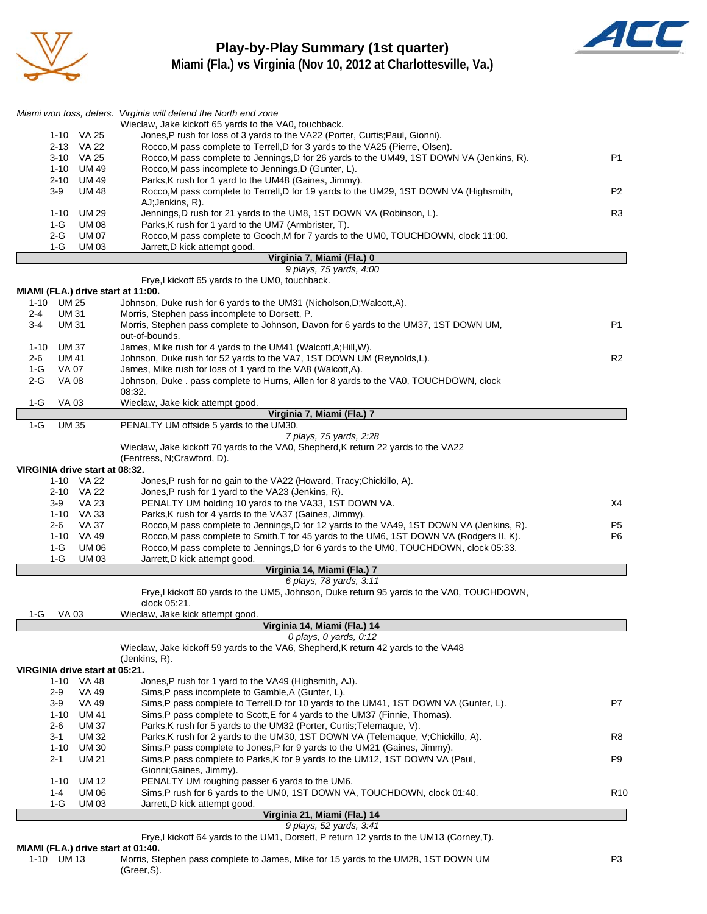

### **Play-by-Play Summary (1st quarter) Miami (Fla.) vs Virginia (Nov 10, 2012 at Charlottesville, Va.)**



|                                              | Miami won toss, defers. Virginia will defend the North end zone<br>Wieclaw, Jake kickoff 65 yards to the VA0, touchback.                                      |                                  |
|----------------------------------------------|---------------------------------------------------------------------------------------------------------------------------------------------------------------|----------------------------------|
| 1-10 VA 25                                   | Jones, P rush for loss of 3 yards to the VA22 (Porter, Curtis; Paul, Gionni).                                                                                 |                                  |
| 2-13 VA 22                                   | Rocco, M pass complete to Terrell, D for 3 yards to the VA25 (Pierre, Olsen).                                                                                 |                                  |
| VA 25<br>$3 - 10$                            | Rocco, M pass complete to Jennings, D for 26 yards to the UM49, 1ST DOWN VA (Jenkins, R).                                                                     | P <sub>1</sub>                   |
| 1-10 UM 49                                   | Rocco, M pass incomplete to Jennings, D (Gunter, L).                                                                                                          |                                  |
| 2-10 UM 49<br>$3-9$<br><b>UM 48</b>          | Parks, K rush for 1 yard to the UM48 (Gaines, Jimmy).<br>Rocco, M pass complete to Terrell, D for 19 yards to the UM29, 1ST DOWN VA (Highsmith,               | P2                               |
|                                              | AJ;Jenkins, R).                                                                                                                                               |                                  |
| UM 29<br>$1 - 10$                            | Jennings, D rush for 21 yards to the UM8, 1ST DOWN VA (Robinson, L).                                                                                          | R <sub>3</sub>                   |
| $1-G$<br><b>UM 08</b>                        | Parks, K rush for 1 yard to the UM7 (Armbrister, T).                                                                                                          |                                  |
| 2-G<br><b>UM 07</b>                          | Rocco, M pass complete to Gooch, M for 7 yards to the UM0, TOUCHDOWN, clock 11:00.                                                                            |                                  |
| $1-G$<br><b>UM03</b>                         | Jarrett, D kick attempt good.<br>Virginia 7, Miami (Fla.) 0                                                                                                   |                                  |
|                                              | 9 plays, 75 yards, 4:00                                                                                                                                       |                                  |
|                                              | Frye, I kickoff 65 yards to the UM0, touchback.                                                                                                               |                                  |
| MIAMI (FLA.) drive start at 11:00.           |                                                                                                                                                               |                                  |
| 1-10 UM 25                                   | Johnson, Duke rush for 6 yards to the UM31 (Nicholson, D; Walcott, A).                                                                                        |                                  |
| <b>UM31</b><br>$2 - 4$<br><b>UM31</b><br>3-4 | Morris, Stephen pass incomplete to Dorsett, P.<br>Morris, Stephen pass complete to Johnson, Davon for 6 yards to the UM37, 1ST DOWN UM,                       | P1                               |
|                                              | out-of-bounds.                                                                                                                                                |                                  |
| 1-10<br>UM 37                                | James, Mike rush for 4 yards to the UM41 (Walcott, A; Hill, W).                                                                                               |                                  |
| <b>UM 41</b><br>2-6                          | Johnson, Duke rush for 52 yards to the VA7, 1ST DOWN UM (Reynolds,L).                                                                                         | R <sub>2</sub>                   |
| 1-G<br>VA 07                                 | James, Mike rush for loss of 1 yard to the VA8 (Walcott,A).                                                                                                   |                                  |
| $2-G$<br><b>VA 08</b>                        | Johnson, Duke . pass complete to Hurns, Allen for 8 yards to the VA0, TOUCHDOWN, clock<br>08:32.                                                              |                                  |
| <b>VA03</b><br>1-G                           | Wieclaw, Jake kick attempt good.                                                                                                                              |                                  |
|                                              | Virginia 7, Miami (Fla.) 7                                                                                                                                    |                                  |
| $1-G$<br><b>UM 35</b>                        | PENALTY UM offside 5 yards to the UM30.                                                                                                                       |                                  |
|                                              | 7 plays, 75 yards, 2:28                                                                                                                                       |                                  |
|                                              | Wieclaw, Jake kickoff 70 yards to the VA0, Shepherd, K return 22 yards to the VA22<br>(Fentress, N;Crawford, D).                                              |                                  |
| VIRGINIA drive start at 08:32.               |                                                                                                                                                               |                                  |
| 1-10 VA 22                                   | Jones, P rush for no gain to the VA22 (Howard, Tracy; Chickillo, A).                                                                                          |                                  |
| 2-10 VA 22                                   | Jones, P rush for 1 yard to the VA23 (Jenkins, R).                                                                                                            |                                  |
| <b>VA 23</b><br>3-9                          | PENALTY UM holding 10 yards to the VA33, 1ST DOWN VA.                                                                                                         | X4                               |
| 1-10 VA 33                                   | Parks, K rush for 4 yards to the VA37 (Gaines, Jimmy).<br>Rocco, M pass complete to Jennings, D for 12 yards to the VA49, 1ST DOWN VA (Jenkins, R).           |                                  |
| 2-6<br>VA 37<br>$1 - 10$<br>VA 49            | Rocco, M pass complete to Smith, T for 45 yards to the UM6, 1ST DOWN VA (Rodgers II, K).                                                                      | P <sub>5</sub><br>P <sub>6</sub> |
| $1-G$<br><b>UM 06</b>                        | Rocco, M pass complete to Jennings, D for 6 yards to the UM0, TOUCHDOWN, clock 05:33.                                                                         |                                  |
| $1-G$<br><b>UM03</b>                         | Jarrett, D kick attempt good.                                                                                                                                 |                                  |
|                                              | Virginia 14, Miami (Fla.) 7                                                                                                                                   |                                  |
|                                              | 6 plays, 78 yards, 3:11                                                                                                                                       |                                  |
|                                              | Frye, I kickoff 60 yards to the UM5, Johnson, Duke return 95 yards to the VA0, TOUCHDOWN,<br>clock 05:21.                                                     |                                  |
| VA 03<br>1-G                                 | Wieclaw, Jake kick attempt good.                                                                                                                              |                                  |
|                                              | Virginia 14, Miami (Fla.) 14                                                                                                                                  |                                  |
|                                              | 0 plays, $0$ yards, $0:12$                                                                                                                                    |                                  |
|                                              | Wieclaw, Jake kickoff 59 yards to the VA6, Shepherd, K return 42 yards to the VA48                                                                            |                                  |
| VIRGINIA drive start at 05:21.               | (Jenkins, R).                                                                                                                                                 |                                  |
| VA 48<br>$1 - 10$                            | Jones, P rush for 1 yard to the VA49 (Highsmith, AJ).                                                                                                         |                                  |
| 2-9<br>VA 49                                 | Sims, P pass incomplete to Gamble, A (Gunter, L).                                                                                                             |                                  |
| <b>VA 49</b><br>3-9                          | Sims, P pass complete to Terrell, D for 10 yards to the UM41, 1ST DOWN VA (Gunter, L).                                                                        | P7                               |
| $1 - 10$<br><b>UM 41</b>                     | Sims, P pass complete to Scott, E for 4 yards to the UM37 (Finnie, Thomas).                                                                                   |                                  |
| $2 - 6$<br><b>UM37</b>                       | Parks, K rush for 5 yards to the UM32 (Porter, Curtis; Telemaque, V).                                                                                         |                                  |
| 3-1<br>UM 32<br><b>UM30</b><br>$1 - 10$      | Parks, K rush for 2 yards to the UM30, 1ST DOWN VA (Telemaque, V;Chickillo, A).<br>Sims, P pass complete to Jones, P for 9 yards to the UM21 (Gaines, Jimmy). | R8                               |
| <b>UM 21</b><br>2-1                          | Sims, P pass complete to Parks, K for 9 yards to the UM12, 1ST DOWN VA (Paul,                                                                                 | P9                               |
|                                              | Gionni; Gaines, Jimmy).                                                                                                                                       |                                  |
| $1 - 10$<br>UM 12                            | PENALTY UM roughing passer 6 yards to the UM6.                                                                                                                |                                  |
| 1-4<br>UM 06                                 | Sims, P rush for 6 yards to the UM0, 1ST DOWN VA, TOUCHDOWN, clock 01:40.                                                                                     | R <sub>10</sub>                  |
| 1-G<br>UM 03                                 | Jarrett, D kick attempt good.                                                                                                                                 |                                  |
|                                              | Virginia 21, Miami (Fla.) 14<br>9 plays, 52 yards, 3:41                                                                                                       |                                  |
|                                              | Frye, I kickoff 64 yards to the UM1, Dorsett, P return 12 yards to the UM13 (Corney, T).                                                                      |                                  |

**MIAMI (FLA.) drive start at 01:40.**

| 1-10 UM 13 | Morris, Stephen pass complete to James, Mike for 15 yards to the UM28, 1ST DOWN UM | P3 |
|------------|------------------------------------------------------------------------------------|----|
|            | (Greer.S).                                                                         |    |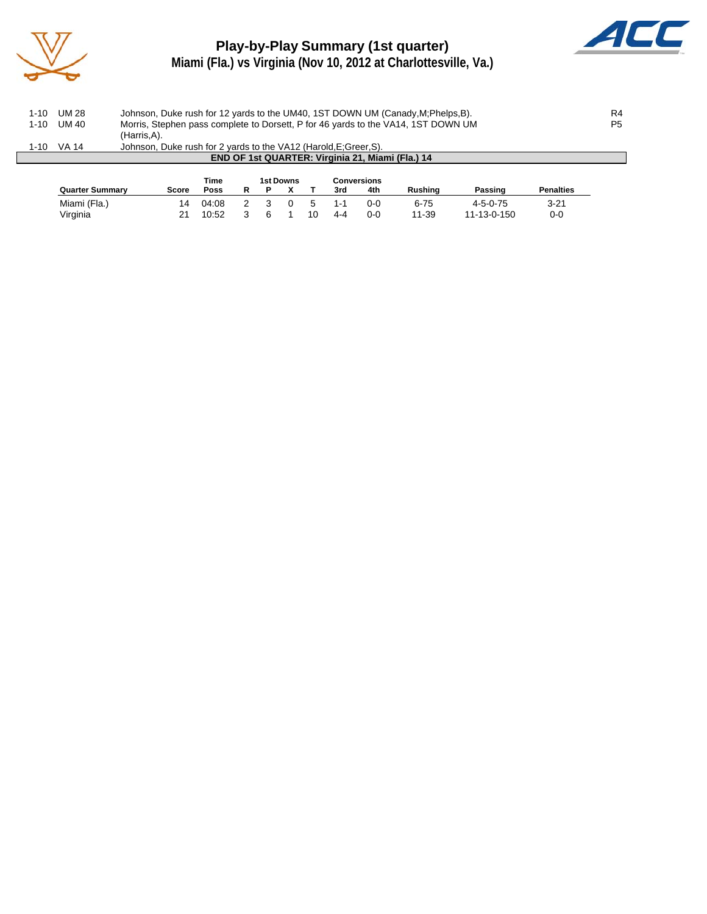

## **Play-by-Play Summary (1st quarter) Miami (Fla.) vs Virginia (Nov 10, 2012 at Charlottesville, Va.)**



|          | <b>Quarter Summary</b> |             | Score                                                                            | <b>Time</b><br><b>Poss</b> |  |  | 1st Downs |  | <b>Conversions</b><br>3rd | 4th | <b>Rushing</b>                                                                    | Passing | <b>Penalties</b> |                |
|----------|------------------------|-------------|----------------------------------------------------------------------------------|----------------------------|--|--|-----------|--|---------------------------|-----|-----------------------------------------------------------------------------------|---------|------------------|----------------|
|          |                        |             |                                                                                  |                            |  |  |           |  |                           |     | END OF 1st QUARTER: Virginia 21, Miami (Fla.) 14                                  |         |                  |                |
| 1-10     | VA 14                  |             | Johnson, Duke rush for 2 yards to the VA12 (Harold, E; Greer, S).                |                            |  |  |           |  |                           |     |                                                                                   |         |                  |                |
|          |                        | (Harris.A). |                                                                                  |                            |  |  |           |  |                           |     |                                                                                   |         |                  |                |
| $1 - 10$ | UM 40                  |             |                                                                                  |                            |  |  |           |  |                           |     | Morris, Stephen pass complete to Dorsett, P for 46 yards to the VA14, 1ST DOWN UM |         |                  | P <sub>5</sub> |
| 1-10     | UM 28                  |             | Johnson, Duke rush for 12 yards to the UM40, 1ST DOWN UM (Canady, M; Phelps, B). |                            |  |  |           |  |                           |     |                                                                                   |         |                  |                |
|          |                        |             |                                                                                  |                            |  |  |           |  |                           |     |                                                                                   |         |                  |                |

Miami (Fla.) 14 04:08 2 3 0 5 1-1 0-0 6-75 4-5-0-75 3-21 Virginia 21 10:52 3 6 1 10 4-4 0-0 11-39 11-13-0-150 0-0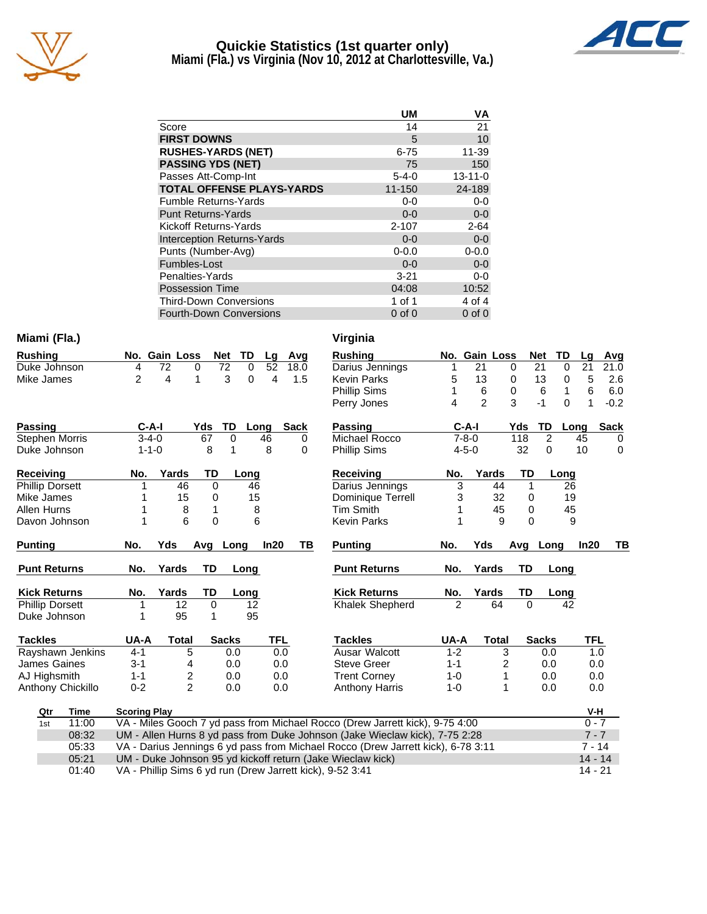

#### **Quickie Statistics (1st quarter only) Miami (Fla.) vs Virginia (Nov 10, 2012 at Charlottesville, Va.)**



|                                   | UM          | ٧Α            |
|-----------------------------------|-------------|---------------|
| Score                             | 14          | 21            |
| <b>FIRST DOWNS</b>                | 5           | 10            |
| <b>RUSHES-YARDS (NET)</b>         | $6 - 75$    | 11-39         |
| <b>PASSING YDS (NET)</b>          | 75          | 150           |
| Passes Att-Comp-Int               | $5 - 4 - 0$ | $13 - 11 - 0$ |
| <b>TOTAL OFFENSE PLAYS-YARDS</b>  | $11 - 150$  | 24-189        |
| <b>Fumble Returns-Yards</b>       | $0-0$       | $0-0$         |
| <b>Punt Returns-Yards</b>         | $0 - 0$     | $0-0$         |
| Kickoff Returns-Yards             | $2 - 107$   | $2 - 64$      |
| <b>Interception Returns-Yards</b> | $0 - 0$     | $0-0$         |
| Punts (Number-Avg)                | $0 - 0.0$   | $0 - 0.0$     |
| Fumbles-Lost                      | $0 - 0$     | $0-0$         |
| Penalties-Yards                   | $3 - 21$    | $0-0$         |
| <b>Possession Time</b>            | 04:08       | 10:52         |
| <b>Third-Down Conversions</b>     | 1 of 1      | 4 of 4        |
| <b>Fourth-Down Conversions</b>    | $0$ of $0$  | $0$ of $0$    |

#### **Miami (Fla.)**

| <b>Rushing</b>         | No. | <b>Gain Loss</b> |       |          | <b>Net</b> | TD   | Lg   | Avg  | Rushing             | No. | <b>Gain Loss</b> |       |     | <b>Net</b> | TD       | Lg   | Avg         |
|------------------------|-----|------------------|-------|----------|------------|------|------|------|---------------------|-----|------------------|-------|-----|------------|----------|------|-------------|
| Duke Johnson           | 4   | 72               | 0     |          | 72         | 0    | 52   | 18.0 | Darius Jennings     |     | 21               |       | 0   | 21         | 0        | 21   | 21.0        |
| Mike James             | 2   | 4                |       |          | 3          | 0    | 4    | 1.5  | Kevin Parks         | 5   | 13               |       | 0   | 13         | 0        | 5    | 2.6         |
|                        |     |                  |       |          |            |      |      |      | <b>Phillip Sims</b> |     | 6                |       | 0   | 6          |          | 6    | 6.0         |
|                        |     |                  |       |          |            |      |      |      | Perry Jones         | 4   | 2                |       | 3   | $-1$       | $\Omega$ |      | $-0.2$      |
| Passing                |     | C-A-I            |       | Yds      | TD         | Long |      | Sack | Passing             |     | C-A-I            |       | Yds | TD         | Long     |      | <b>Sack</b> |
| <b>Stephen Morris</b>  |     | $3 - 4 - 0$      |       | 67       | 0          |      | 46   | 0    | Michael Rocco       |     | 7-8-0            |       | 118 | 2          |          | 45   | $\Omega$    |
| Duke Johnson           |     | $1 - 1 - 0$      |       | 8        | 1          |      | 8    | 0    | <b>Phillip Sims</b> |     | $4 - 5 - 0$      |       | 32  | 0          |          | 10   | $\Omega$    |
| <b>Receiving</b>       | No. |                  | Yards | TD       |            | Long |      |      | Receiving           | No. |                  | Yards | TD  |            | Long     |      |             |
| <b>Phillip Dorsett</b> |     |                  | 46    | 0        |            | 46   |      |      | Darius Jennings     | 3   |                  | 44    |     |            | 26       |      |             |
| Mike James             |     |                  | 15    | 0        |            | 15   |      |      | Dominique Terrell   | 3   |                  | 32    | 0   |            | 19       |      |             |
| Allen Hurns            |     |                  | 8     |          |            | 8    |      |      | Tim Smith           |     |                  | 45    | 0   |            | 45       |      |             |
| Davon Johnson          |     |                  | 6     | 0        |            | 6    |      |      | Kevin Parks         |     |                  | 9     | 0   |            | 9        |      |             |
| <b>Punting</b>         | No. | Yds              |       | Avg Long |            |      | In20 | ΤВ   | <b>Punting</b>      | No. | Yds              |       | Avg | Long       |          | In20 | ΤВ          |
| <b>Punt Returns</b>    | No. |                  | Yards | TD       |            | Long |      |      | <b>Punt Returns</b> | No. | Yards            |       | TD  |            | Long     |      |             |

| Kick Returns           | No.  | Yards | TD           | Long   |               |
|------------------------|------|-------|--------------|--------|---------------|
| <b>Phillip Dorsett</b> |      | 12    | O            | 12     |               |
| Duke Johnson           |      | 95    |              | 95     |               |
| Tackles                | UA-A | Total | <b>Sacks</b> |        |               |
| -                      | . .  |       |              | $\sim$ | $\sim$ $\sim$ |

| Virginia            |     |               |       |     |            |      |    |             |
|---------------------|-----|---------------|-------|-----|------------|------|----|-------------|
| <b>Rushing</b>      |     | No. Gain Loss |       |     | <b>Net</b> | TD   | Lg | Avg         |
| Darius Jennings     | 1   | 21            |       | 0   | 21         | 0    | 21 | 21.0        |
| <b>Kevin Parks</b>  | 5   | 13            |       | 0   | 13         | 0    | 5  | 2.6         |
| <b>Phillip Sims</b> | 1   | 6             |       | 0   | 6          | 1    | 6  | 6.0         |
| Perry Jones         | 4   | 2             |       | 3   | -1         | 0    | 1  | $-0.2$      |
| Passing             |     | C-A-I         |       | Yds | TD         | Long |    | <b>Sack</b> |
| Michael Rocco       |     | $7 - 8 - 0$   |       | 118 | 2          |      | 45 | 0           |
| <b>Phillip Sims</b> |     | $4 - 5 - 0$   |       | 32  | 0          |      | 10 | ŋ           |
| Receiving           | No. |               | Yards |     | TD         | Long |    |             |
| Darius Jennings     | 3   |               | 44    |     | 1          | 26   |    |             |
| Dominique Terrell   | 3   |               | 32    |     | 0          | 19   |    |             |
| <b>Tim Smith</b>    | 1   |               | 45    |     | 0          | 45   |    |             |
| <b>Kevin Parks</b>  |     |               | 9     |     | ი          | 9    |    |             |

| <b>Punting</b>      | No. | Yds   |      | Avg Long | In20 |
|---------------------|-----|-------|------|----------|------|
| <b>Punt Returns</b> | No. | Yards | - TD |          |      |
|                     |     |       |      | Long     |      |
| <b>Kick Returns</b> | No. | Yards | TD.  | Long     |      |
| Khalek Shepherd     | 2   | 64    | O    |          |      |
|                     |     |       |      |          |      |

| <b>Tackles</b>                                                                            |                  | UA-A                | Total | <b>Sacks</b> | <b>TFL</b> | Tackles                                                                      | UA-A    | Total    | <b>Sacks</b> | <b>TFL</b> |
|-------------------------------------------------------------------------------------------|------------------|---------------------|-------|--------------|------------|------------------------------------------------------------------------------|---------|----------|--------------|------------|
|                                                                                           | Rayshawn Jenkins | $4 - 1$             | 5     | 0.0          | 0.0        | Ausar Walcott                                                                | $1 - 2$ |          | 0.0          | 1.0        |
| James Gaines                                                                              |                  | $3 - 1$             | 4     | 0.0          | 0.0        | <b>Steve Greer</b>                                                           | $1 - 1$ | 2        | 0.0          | 0.0        |
| AJ Highsmith                                                                              |                  | $1 - 1$             |       | 0.0          | 0.0        | <b>Trent Corney</b>                                                          | 1-0     |          | 0.0          | 0.0        |
| Anthony Chickillo                                                                         |                  | $0 - 2$             | 2     | 0.0          | 0.0        | <b>Anthony Harris</b>                                                        | 1-0     |          | 0.0          | 0.0        |
| Qtr                                                                                       | Time             | <b>Scoring Play</b> |       |              |            |                                                                              |         |          |              | V-H        |
| 1st                                                                                       | 11:00            |                     |       |              |            | VA - Miles Gooch 7 yd pass from Michael Rocco (Drew Jarrett kick), 9-75 4:00 |         |          |              | $0 - 7$    |
| UM - Allen Hurns 8 yd pass from Duke Johnson (Jake Wieclaw kick), 7-75 2:28<br>08:32      |                  |                     |       |              |            |                                                                              |         |          | $7 - 7$      |            |
| VA - Darius Jennings 6 yd pass from Michael Rocco (Drew Jarrett kick), 6-78 3:11<br>05:33 |                  |                     |       |              |            |                                                                              |         | $7 - 14$ |              |            |
| UM - Duke Johnson 95 yd kickoff return (Jake Wieclaw kick)<br>05:21                       |                  |                     |       |              |            |                                                                              |         |          | $14 - 14$    |            |
| $\sim$ $\sim$<br>$\cdots$<br><b>PUBLIC CONTRACTOR</b>                                     |                  |                     |       |              |            |                                                                              |         |          | $\cdots$     |            |

01:40 VA - Phillip Sims 6 yd run (Drew Jarrett kick), 9-52 3:41 14 - 21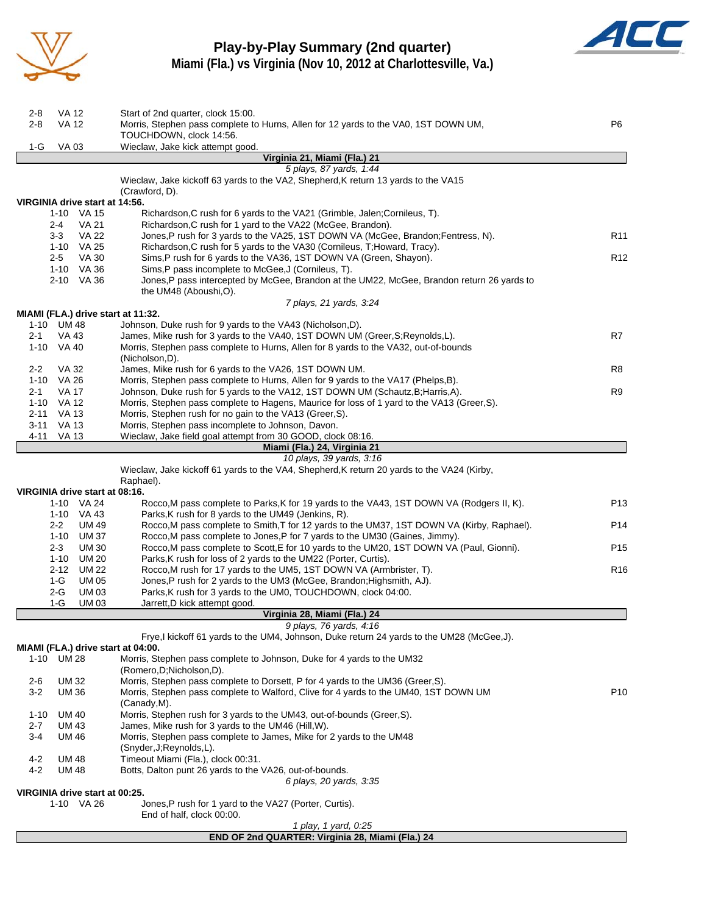

## **Play-by-Play Summary (2nd quarter)**



**Miami (Fla.) vs Virginia (Nov 10, 2012 at Charlottesville, Va.)**

| 2-8<br>$2 - 8$ | <b>VA 12</b><br><b>VA 12</b>                 | Start of 2nd quarter, clock 15:00.<br>Morris, Stephen pass complete to Hurns, Allen for 12 yards to the VA0, 1ST DOWN UM,                                              | P6              |
|----------------|----------------------------------------------|------------------------------------------------------------------------------------------------------------------------------------------------------------------------|-----------------|
|                |                                              | TOUCHDOWN, clock 14:56.                                                                                                                                                |                 |
| 1-G            | VA 03                                        | Wieclaw, Jake kick attempt good.                                                                                                                                       |                 |
|                |                                              | Virginia 21, Miami (Fla.) 21                                                                                                                                           |                 |
|                |                                              | 5 plays, 87 yards, 1:44<br>Wieclaw, Jake kickoff 63 yards to the VA2, Shepherd, K return 13 yards to the VA15<br>(Crawford, D).                                        |                 |
|                | VIRGINIA drive start at 14:56.               | Richardson, C rush for 6 yards to the VA21 (Grimble, Jalen; Cornileus, T).                                                                                             |                 |
|                | 1-10 VA 15<br>2-4<br>VA 21                   | Richardson, C rush for 1 yard to the VA22 (McGee, Brandon).                                                                                                            |                 |
|                | <b>VA 22</b><br>$3-3$                        | Jones,P rush for 3 yards to the VA25, 1ST DOWN VA (McGee, Brandon;Fentress, N).                                                                                        | R <sub>11</sub> |
|                | 1-10 VA 25                                   | Richardson, C rush for 5 yards to the VA30 (Cornileus, T; Howard, Tracy).                                                                                              |                 |
|                | $2 - 5$<br>VA 30                             | Sims, P rush for 6 yards to the VA36, 1ST DOWN VA (Green, Shayon).                                                                                                     | R <sub>12</sub> |
|                | 1-10 VA 36                                   | Sims, P pass incomplete to McGee, J (Cornileus, T).                                                                                                                    |                 |
|                | 2-10 VA 36                                   | Jones, P pass intercepted by McGee, Brandon at the UM22, McGee, Brandon return 26 yards to                                                                             |                 |
|                |                                              | the UM48 (Aboushi, O).<br>7 plays, 21 yards, 3:24                                                                                                                      |                 |
|                | MIAMI (FLA.) drive start at 11:32.           |                                                                                                                                                                        |                 |
|                | 1-10 UM 48                                   | Johnson, Duke rush for 9 yards to the VA43 (Nicholson,D).                                                                                                              |                 |
| $2 - 1$        | VA 43                                        | James, Mike rush for 3 yards to the VA40, 1ST DOWN UM (Greer, S; Reynolds, L).                                                                                         | R7              |
|                | 1-10 VA 40                                   | Morris, Stephen pass complete to Hurns, Allen for 8 yards to the VA32, out-of-bounds                                                                                   |                 |
|                |                                              | (Nicholson.D).                                                                                                                                                         |                 |
| $2 - 2$        | VA 32                                        | James, Mike rush for 6 yards to the VA26, 1ST DOWN UM.                                                                                                                 | R8              |
|                | 1-10 VA 26<br><b>VA 17</b>                   | Morris, Stephen pass complete to Hurns, Allen for 9 yards to the VA17 (Phelps, B).<br>Johnson, Duke rush for 5 yards to the VA12, 1ST DOWN UM (Schautz, B; Harris, A). | R9              |
| $2 - 1$        | 1-10 VA 12                                   | Morris, Stephen pass complete to Hagens, Maurice for loss of 1 yard to the VA13 (Greer, S).                                                                            |                 |
|                | 2-11 VA 13                                   | Morris, Stephen rush for no gain to the VA13 (Greer, S).                                                                                                               |                 |
|                | 3-11 VA 13                                   | Morris, Stephen pass incomplete to Johnson, Davon.                                                                                                                     |                 |
| 4-11           | VA 13                                        | Wieclaw, Jake field goal attempt from 30 GOOD, clock 08:16.                                                                                                            |                 |
|                |                                              | Miami (Fla.) 24, Virginia 21                                                                                                                                           |                 |
|                |                                              | 10 plays, 39 yards, 3:16                                                                                                                                               |                 |
|                |                                              | Wieclaw, Jake kickoff 61 yards to the VA4, Shepherd, K return 20 yards to the VA24 (Kirby,                                                                             |                 |
|                | VIRGINIA drive start at 08:16.               | Raphael).                                                                                                                                                              |                 |
|                | 1-10 VA 24                                   | Rocco, M pass complete to Parks, K for 19 yards to the VA43, 1ST DOWN VA (Rodgers II, K).                                                                              | P13             |
|                | 1-10 VA 43                                   | Parks, K rush for 8 yards to the UM49 (Jenkins, R).                                                                                                                    |                 |
|                | $2 - 2$<br><b>UM 49</b>                      | Rocco, M pass complete to Smith, T for 12 yards to the UM37, 1ST DOWN VA (Kirby, Raphael).                                                                             | P14             |
|                | 1-10 UM 37                                   | Rocco, M pass complete to Jones, P for 7 yards to the UM30 (Gaines, Jimmy).                                                                                            |                 |
|                | $2 - 3$<br><b>UM30</b>                       | Rocco, M pass complete to Scott, E for 10 yards to the UM20, 1ST DOWN VA (Paul, Gionni).                                                                               | P <sub>15</sub> |
|                | 1-10 UM 20                                   | Parks, K rush for loss of 2 yards to the UM22 (Porter, Curtis).                                                                                                        |                 |
|                | 2-12 UM 22                                   | Rocco, M rush for 17 yards to the UM5, 1ST DOWN VA (Armbrister, T).                                                                                                    | R <sub>16</sub> |
|                | 1-G<br><b>UM 05</b><br>$2-G$<br><b>UM03</b>  | Jones, P rush for 2 yards to the UM3 (McGee, Brandon; Highsmith, AJ).<br>Parks, K rush for 3 yards to the UM0, TOUCHDOWN, clock 04:00.                                 |                 |
|                | $1-G$<br><b>UM03</b>                         | Jarrett, D kick attempt good.                                                                                                                                          |                 |
|                |                                              | Virginia 28, Miami (Fla.) 24                                                                                                                                           |                 |
|                |                                              | 9 plays, 76 yards, 4:16                                                                                                                                                |                 |
|                |                                              | Frye,I kickoff 61 yards to the UM4, Johnson, Duke return 24 yards to the UM28 (McGee,J).                                                                               |                 |
|                | MIAMI (FLA.) drive start at 04:00.           |                                                                                                                                                                        |                 |
|                | 1-10 UM 28                                   | Morris, Stephen pass complete to Johnson, Duke for 4 yards to the UM32<br>(Romero, D; Nicholson, D).                                                                   |                 |
| 2-6            | UM 32                                        | Morris, Stephen pass complete to Dorsett, P for 4 yards to the UM36 (Greer, S).                                                                                        |                 |
| $3-2$          | UM 36                                        | Morris, Stephen pass complete to Walford, Clive for 4 yards to the UM40, 1ST DOWN UM<br>(Canady,M).                                                                    | P <sub>10</sub> |
| $1 - 10$       | <b>UM 40</b>                                 | Morris, Stephen rush for 3 yards to the UM43, out-of-bounds (Greer, S).                                                                                                |                 |
| $2 - 7$        | <b>UM 43</b>                                 | James, Mike rush for 3 yards to the UM46 (Hill, W).                                                                                                                    |                 |
| 3-4            | UM 46                                        | Morris, Stephen pass complete to James, Mike for 2 yards to the UM48<br>(Snyder, J; Reynolds, L).                                                                      |                 |
| $4 - 2$        | UM 48                                        | Timeout Miami (Fla.), clock 00:31.                                                                                                                                     |                 |
| $4 - 2$        | <b>UM48</b>                                  | Botts, Dalton punt 26 yards to the VA26, out-of-bounds.                                                                                                                |                 |
|                |                                              | 6 plays, 20 yards, 3:35                                                                                                                                                |                 |
|                | VIRGINIA drive start at 00:25.<br>1-10 VA 26 |                                                                                                                                                                        |                 |
|                |                                              | Jones, P rush for 1 yard to the VA27 (Porter, Curtis).<br>End of half, clock 00:00.                                                                                    |                 |
|                |                                              | 1 play, 1 yard, 0:25                                                                                                                                                   |                 |
|                |                                              | END OF 2nd QUARTER: Virginia 28, Miami (Fla.) 24                                                                                                                       |                 |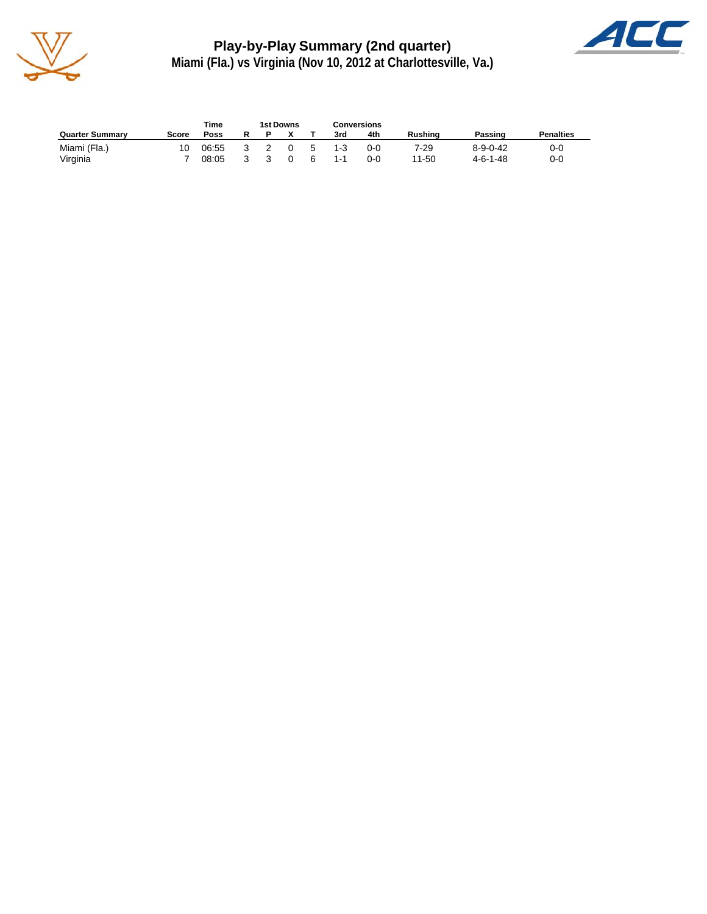

**Play-by-Play Summary (2nd quarter) Miami (Fla.) vs Virginia (Nov 10, 2012 at Charlottesville, Va.)**



|                        |       | Time  | 1st Downs |    |         | Conversions |                |                  |                  |
|------------------------|-------|-------|-----------|----|---------|-------------|----------------|------------------|------------------|
| <b>Quarter Summary</b> | Score | Poss  |           |    | 3rd     | 4th         | <b>Rushing</b> | Passing          | <b>Penalties</b> |
| Miami (Fla.)           | 10    | 06:55 |           | -5 | $1 - 3$ | $O-O$       | 7-29           | $8 - 9 - 0 - 42$ | 0-0              |
| Virginia               |       | 08:05 |           | -6 | $1 - 1$ | 0-0         | 11-50          | 4-6-1-48         | 0-0              |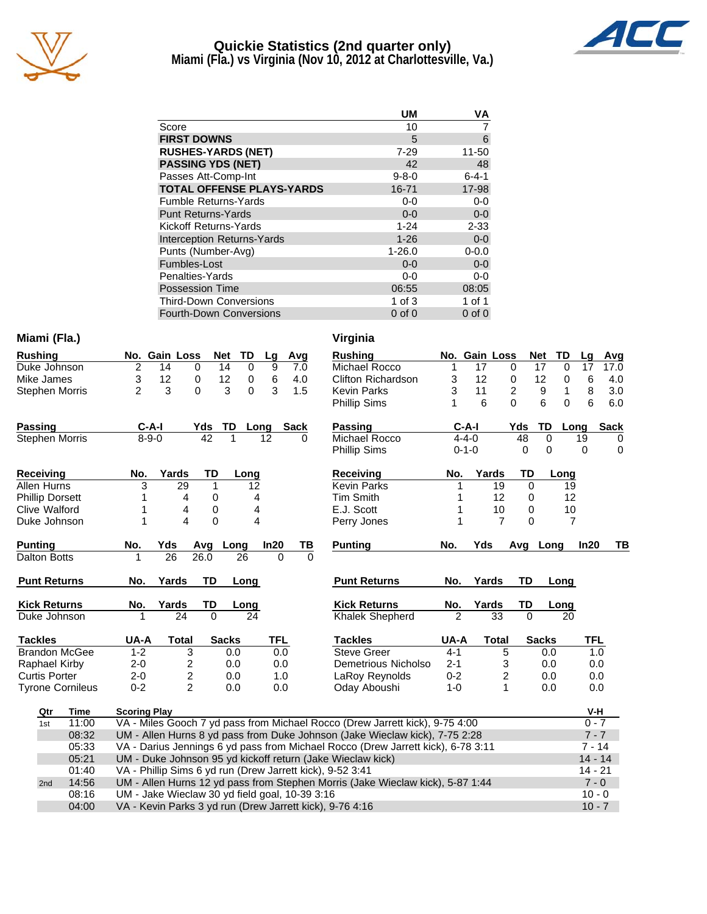

# **Quickie Statistics (2nd quarter only)**



**Miami (Fla.) vs Virginia (Nov 10, 2012 at Charlottesville, Va.)**

| <b>UM</b>   | VA          |
|-------------|-------------|
| 10          |             |
| 5           | 6           |
| $7 - 29$    | 11-50       |
| 42          | 48          |
| $9 - 8 - 0$ | $6 - 4 - 1$ |
| 16-71       | 17-98       |
| $0 - 0$     | $0 - 0$     |
| $0 - 0$     | $0-0$       |
| $1 - 24$    | $2 - 33$    |
| $1 - 26$    | $0 - 0$     |
| $1 - 26.0$  | $0 - 0.0$   |
| $0 - 0$     | $0-0$       |
| $0-0$       | $0-0$       |
| 06:55       | 08:05       |
| 1 of $3$    | 1 of 1      |
| $0$ of $0$  | $0$ of $0$  |
|             |             |

08:16 UM - Jake Wieclaw 30 yd field goal, 10-39 3:16<br>04:00 VA - Kevin Parks 3 yd run (Drew Jarrett kick), 9-76 4:16

VA - Kevin Parks 3 yd run (Drew Jarrett kick), 9-76 4:16

| Miami (Fla.) | Virginia |
|--------------|----------|
|              |          |

| <b>Rushing</b>          |                                                                                         | No. Gain Loss  | Net            | <b>TD</b>     | Lg       | Avg         |          | <b>Rushing</b>            |                | No. Gain Loss |                | <b>Net</b> | TD             | Lg         |  |
|-------------------------|-----------------------------------------------------------------------------------------|----------------|----------------|---------------|----------|-------------|----------|---------------------------|----------------|---------------|----------------|------------|----------------|------------|--|
| Duke Johnson            | $\overline{2}$                                                                          | 14             | 14<br>$\Omega$ | $\Omega$      | 9        | 7.0         |          | Michael Rocco             | 1              | 17            | 0              | 17         | $\Omega$       | 17         |  |
| Mike James              | 3                                                                                       | 12             | 12<br>0        | 0             | 6        | 4.0         |          | <b>Clifton Richardson</b> | 3              | 12            | 0              | 12         | 0              | 6          |  |
| <b>Stephen Morris</b>   | $\overline{2}$                                                                          | 3              | $\Omega$       | 3<br>$\Omega$ | 3        | 1.5         |          | <b>Kevin Parks</b>        | 3              | 11            | $\overline{2}$ |            | 9<br>1         | 8          |  |
|                         |                                                                                         |                |                |               |          |             |          | <b>Phillip Sims</b>       |                | 6             | $\Omega$       |            | 6<br>0         | 6          |  |
| <b>Passing</b>          | $C-A-I$                                                                                 |                | Yds            | <b>TD</b>     | Long     | <b>Sack</b> |          | <b>Passing</b>            |                | $C-A-I$       |                | Yds        | TD             | S<br>Long  |  |
| <b>Stephen Morris</b>   | $8 - 9 - 0$                                                                             |                | 42             |               | 12       | 0           |          | Michael Rocco             |                | $4 - 4 - 0$   |                | 48         | $\Omega$       | 19         |  |
|                         |                                                                                         |                |                |               |          |             |          | <b>Phillip Sims</b>       |                | $0 - 1 - 0$   |                | 0          | 0              | 0          |  |
| <b>Receiving</b>        | No.                                                                                     | Yards          | TD             | Long          |          |             |          | <b>Receiving</b>          | No.            | Yards         |                | TD         | Long           |            |  |
| Allen Hurns             | 3                                                                                       | 29             | 1              | 12            |          |             |          | <b>Kevin Parks</b>        |                |               | 19             | $\Omega$   | 19             |            |  |
| <b>Phillip Dorsett</b>  |                                                                                         | 4              | 0              | 4             |          |             |          | <b>Tim Smith</b>          |                |               | 12             | 0          | 12             |            |  |
| Clive Walford           |                                                                                         | 4              | 0              | 4             |          |             |          | E.J. Scott                |                |               | 10             | $\Omega$   | 10             |            |  |
| Duke Johnson            |                                                                                         | 4              | $\Omega$       | 4             |          |             |          | Perry Jones               |                |               | $\overline{7}$ | $\Omega$   | $\overline{7}$ |            |  |
| <b>Punting</b>          | No.                                                                                     | Yds            | Avg Long       |               | In20     |             | TВ       | <b>Punting</b>            | No.            | Yds           |                |            | Avg Long       | In20       |  |
| <b>Dalton Botts</b>     |                                                                                         | 26             | 26.0           | 26            | $\Omega$ |             | $\Omega$ |                           |                |               |                |            |                |            |  |
| <b>Punt Returns</b>     | No.                                                                                     | Yards          | <b>TD</b>      | Long          |          |             |          | <b>Punt Returns</b>       | No.            | Yards         |                | <b>TD</b>  | Long           |            |  |
| <b>Kick Returns</b>     | No.                                                                                     | Yards          | TD             | Long          |          |             |          | <b>Kick Returns</b>       | No.            | Yards         |                | TD         | Long           |            |  |
| Duke Johnson            | 1                                                                                       | 24             | $\Omega$       | 24            |          |             |          | Khalek Shepherd           | $\overline{2}$ |               | 33             | $\Omega$   | 20             |            |  |
| <b>Tackles</b>          | UA-A                                                                                    | <b>Total</b>   | <b>Sacks</b>   |               | TFL      |             |          | <b>Tackles</b>            | UA-A           |               | <b>Total</b>   |            | <b>Sacks</b>   | <b>TFL</b> |  |
| <b>Brandon McGee</b>    | $1 - 2$                                                                                 | 3              |                | 0.0           | 0.0      |             |          | <b>Steve Greer</b>        | $4 - 1$        |               | 5              |            | 0.0            | 1.0        |  |
| Raphael Kirby           | $2 - 0$                                                                                 | 2              |                | 0.0           | 0.0      |             |          | Demetrious Nicholso       | $2 - 1$        |               | 3              |            | 0.0            | 0.0        |  |
| <b>Curtis Porter</b>    | $2 - 0$                                                                                 | 2              |                | 0.0           | 1.0      |             |          | LaRoy Reynolds            | $0 - 2$        |               | 2              |            | 0.0            | 0.0        |  |
| <b>Tyrone Cornileus</b> | $0 - 2$                                                                                 | $\overline{2}$ |                | 0.0           | 0.0      |             |          | Oday Aboushi              | $1 - 0$        |               | 1              |            | 0.0            | 0.0        |  |
| Time<br>Qtr             | <b>Scoring Play</b>                                                                     |                |                |               |          |             |          |                           |                |               |                |            |                | V-H        |  |
| 11:00<br>1st            | VA - Miles Gooch 7 yd pass from Michael Rocco (Drew Jarrett kick), 9-75 4:00<br>$0 - 7$ |                |                |               |          |             |          |                           |                |               |                |            |                |            |  |
|                         |                                                                                         |                |                |               |          |             |          |                           |                |               |                |            |                |            |  |

| ni (Fla.)    |       |                                                                                           |       |                |           |              |             |            |      |          | Virginia                  |                |               |              |            |                   |            |             |  |
|--------------|-------|-------------------------------------------------------------------------------------------|-------|----------------|-----------|--------------|-------------|------------|------|----------|---------------------------|----------------|---------------|--------------|------------|-------------------|------------|-------------|--|
| hing         |       | No. Gain Loss                                                                             |       |                |           | <b>Net</b>   | TD          | Lg         | Avg  |          | <b>Rushing</b>            |                | No. Gain Loss |              | <b>Net</b> | TD                | Lg         | Avg         |  |
| Johnson      |       | 2                                                                                         | 14    | 0              |           | 14           | $\mathbf 0$ | 9          | 7.0  |          | Michael Rocco             | 1              | 17            |              | 0          | 17<br>$\mathbf 0$ | 17         | 17.0        |  |
| James        |       | 3                                                                                         | 12    | 0              |           | 12           | 0           | 6          | 4.0  |          | <b>Clifton Richardson</b> | 3              | 12            |              | 0          | 12<br>0           | 6          | 4.0         |  |
| hen Morris   |       | $\overline{c}$                                                                            | 3     | $\Omega$       |           | 3            | $\Omega$    | 3          | 1.5  |          | <b>Kevin Parks</b>        | 3              | 11            |              | 2          | 9<br>1            | 8          | 3.0         |  |
|              |       |                                                                                           |       |                |           |              |             |            |      |          | Phillip Sims              | 1              | 6             |              | $\Omega$   | 6<br>$\Omega$     | 6          | 6.0         |  |
| ina          |       | $C-A-I$                                                                                   |       |                | Yds       | TD Long      |             |            | Sack |          | <b>Passing</b>            |                | $C-A-I$       |              | Yds        | TD                | Long       | <b>Sack</b> |  |
| hen Morris   |       | $8 - 9 - 0$                                                                               |       |                | 42        | 1            | 12          |            | O    |          | Michael Rocco             |                | $4 - 4 - 0$   |              | 48         | $\mathbf 0$       | 19         | 0           |  |
|              |       |                                                                                           |       |                |           |              |             |            |      |          | <b>Phillip Sims</b>       |                | $0 - 1 - 0$   |              | 0          | $\mathbf 0$       | $\Omega$   | $\mathbf 0$ |  |
| eiving       |       | No.                                                                                       | Yards |                | TD        |              | Long        |            |      |          | <b>Receiving</b>          | No.            |               | Yards        | TD         | Long              |            |             |  |
| Hurns        |       | 3                                                                                         |       | 29             | 1         |              | 12          |            |      |          | <b>Kevin Parks</b>        |                |               | 19           | $\Omega$   |                   | 19         |             |  |
| p Dorsett    |       |                                                                                           |       | 4              | 0         |              | 4           |            |      |          | <b>Tim Smith</b>          |                |               | 12           | 0          |                   | 12         |             |  |
| Walford      |       |                                                                                           |       | 4              | 0         |              | 4           |            |      |          | E.J. Scott                |                |               | 10           | 0          |                   | 10         |             |  |
| : Johnson    |       | 1                                                                                         |       | 4              | $\Omega$  |              | 4           |            |      |          | Perry Jones               | 1              |               | 7            | 0          |                   | 7          |             |  |
| ing          |       | No.                                                                                       | Yds   |                | Avg       | Long         |             | In20       | ΤВ   |          | <b>Punting</b>            | No.            | Yds           |              |            | Avg Long          | In20       | TВ          |  |
| n Botts      |       |                                                                                           | 26    |                | 26.0      | 26           |             | $\Omega$   |      | $\Omega$ |                           |                |               |              |            |                   |            |             |  |
| t Returns    |       | No.                                                                                       | Yards |                | <b>TD</b> | Long         |             |            |      |          | <b>Punt Returns</b>       | No.            | Yards         |              | TD         | Long              |            |             |  |
| ี Returns    |       | No.                                                                                       | Yards |                | TD        |              | Long        |            |      |          | <b>Kick Returns</b>       | No.            | Yards         |              | TD         | Long              |            |             |  |
| e Johnson    |       | 1                                                                                         |       | 24             | $\Omega$  |              | 24          |            |      |          | <b>Khalek Shepherd</b>    | $\overline{2}$ |               | 33           | $\Omega$   | 20                |            |             |  |
| des          |       | UA-A                                                                                      |       | Total          |           | <b>Sacks</b> |             | <b>TFL</b> |      |          | <b>Tackles</b>            | UA-A           |               | <b>Total</b> |            | <b>Sacks</b>      | <b>TFL</b> |             |  |
| don McGee    |       | $1 - 2$                                                                                   |       | 3              |           | 0.0          |             | 0.0        |      |          | <b>Steve Greer</b>        | $4 - 1$        |               | 5            |            | 0.0               |            | 1.0         |  |
| hael Kirby   |       | $2 - 0$                                                                                   |       | 2              |           | 0.0          |             | 0.0        |      |          | Demetrious Nicholso       | $2 - 1$        |               | 3            |            | 0.0               |            | 0.0         |  |
| is Porter    |       | $2 - 0$                                                                                   |       | 2              |           | 0.0          |             | 1.0        |      |          | <b>LaRoy Reynolds</b>     | $0 - 2$        |               | 2            |            | 0.0               |            | 0.0         |  |
| ne Cornileus |       | $0 - 2$                                                                                   |       | $\overline{2}$ |           | 0.0          |             | 0.0        |      |          | Oday Aboushi              | $1 - 0$        |               | 1            |            | 0.0               |            | 0.0         |  |
| Qtr          | Time  | <b>Scoring Play</b>                                                                       |       |                |           |              |             |            |      |          |                           |                |               |              |            |                   |            | V-H         |  |
| 1st          | 11:00 | VA - Miles Gooch 7 yd pass from Michael Rocco (Drew Jarrett kick), 9-75 4:00              |       |                |           |              |             |            |      |          |                           |                |               |              |            | $0 - 7$           |            |             |  |
|              | 08:32 | UM - Allen Hurns 8 yd pass from Duke Johnson (Jake Wieclaw kick), 7-75 2:28               |       |                |           |              |             |            |      |          |                           |                |               | $7 - 7$      |            |                   |            |             |  |
|              | 05:33 | VA - Darius Jennings 6 yd pass from Michael Rocco (Drew Jarrett kick), 6-78 3:11          |       |                |           |              |             |            |      |          |                           |                | $7 - 14$      |              |            |                   |            |             |  |
|              | 05:21 | UM - Duke Johnson 95 yd kickoff return (Jake Wieclaw kick)                                |       |                |           |              |             |            |      |          |                           | $14 - 14$      |               |              |            |                   |            |             |  |
|              | 01:40 | VA - Phillip Sims 6 yd run (Drew Jarrett kick), 9-52 3:41<br>14 - 21                      |       |                |           |              |             |            |      |          |                           |                |               |              |            |                   |            |             |  |
| 2nd          | 14:56 | UM - Allen Hurns 12 yd pass from Stephen Morris (Jake Wieclaw kick), 5-87 1:44<br>$7 - 0$ |       |                |           |              |             |            |      |          |                           |                |               |              |            |                   |            |             |  |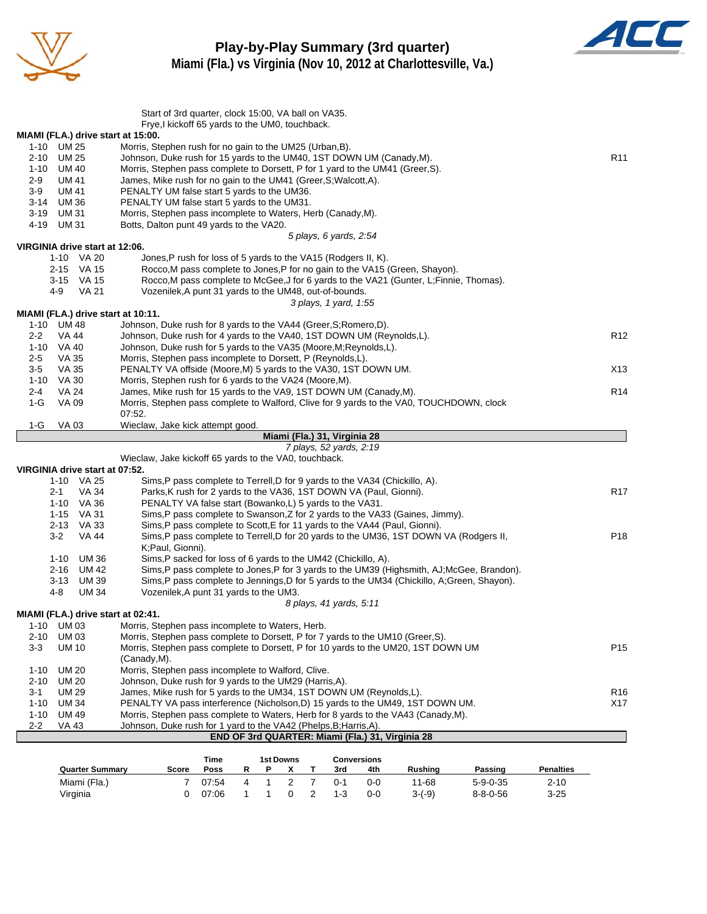



**Miami (Fla.) vs Virginia (Nov 10, 2012 at Charlottesville, Va.)**

|                      |                                                  |                                                                                                                                                                      | Start of 3rd quarter, clock 15:00, VA ball on VA35.<br>Frye, kickoff 65 yards to the UM0, touchback. |        |        |                     |                     |                              |                    |                                                                                         |                                                                                             |                      |                 |
|----------------------|--------------------------------------------------|----------------------------------------------------------------------------------------------------------------------------------------------------------------------|------------------------------------------------------------------------------------------------------|--------|--------|---------------------|---------------------|------------------------------|--------------------|-----------------------------------------------------------------------------------------|---------------------------------------------------------------------------------------------|----------------------|-----------------|
|                      | MIAMI (FLA.) drive start at 15:00.               |                                                                                                                                                                      |                                                                                                      |        |        |                     |                     |                              |                    |                                                                                         |                                                                                             |                      |                 |
|                      | 1-10 UM 25                                       | Morris, Stephen rush for no gain to the UM25 (Urban, B).                                                                                                             |                                                                                                      |        |        |                     |                     |                              |                    |                                                                                         |                                                                                             |                      |                 |
| 2-10                 | <b>UM 25</b>                                     | Johnson, Duke rush for 15 yards to the UM40, 1ST DOWN UM (Canady, M).                                                                                                |                                                                                                      |        |        |                     |                     |                              |                    |                                                                                         |                                                                                             |                      | R <sub>11</sub> |
| 1-10                 | UM 40                                            | Morris, Stephen pass complete to Dorsett, P for 1 yard to the UM41 (Greer, S).                                                                                       |                                                                                                      |        |        |                     |                     |                              |                    |                                                                                         |                                                                                             |                      |                 |
| 2-9                  | UM 41                                            | James, Mike rush for no gain to the UM41 (Greer, S; Walcott, A).                                                                                                     |                                                                                                      |        |        |                     |                     |                              |                    |                                                                                         |                                                                                             |                      |                 |
| $3-9$                | <b>UM 41</b>                                     | PENALTY UM false start 5 yards to the UM36.                                                                                                                          |                                                                                                      |        |        |                     |                     |                              |                    |                                                                                         |                                                                                             |                      |                 |
| $3 - 14$             | <b>UM36</b>                                      | PENALTY UM false start 5 yards to the UM31.                                                                                                                          |                                                                                                      |        |        |                     |                     |                              |                    |                                                                                         |                                                                                             |                      |                 |
| 3-19                 | <b>UM31</b>                                      | Morris, Stephen pass incomplete to Waters, Herb (Canady, M).                                                                                                         |                                                                                                      |        |        |                     |                     |                              |                    |                                                                                         |                                                                                             |                      |                 |
| 4-19                 | <b>UM31</b>                                      | Botts, Dalton punt 49 yards to the VA20.                                                                                                                             |                                                                                                      |        |        |                     |                     |                              |                    |                                                                                         |                                                                                             |                      |                 |
|                      |                                                  |                                                                                                                                                                      |                                                                                                      |        |        |                     |                     | 5 plays, 6 yards, 2:54       |                    |                                                                                         |                                                                                             |                      |                 |
|                      | VIRGINIA drive start at 12:06.                   |                                                                                                                                                                      |                                                                                                      |        |        |                     |                     |                              |                    |                                                                                         |                                                                                             |                      |                 |
|                      | 1-10 VA 20                                       |                                                                                                                                                                      | Jones, P rush for loss of 5 yards to the VA15 (Rodgers II, K).                                       |        |        |                     |                     |                              |                    |                                                                                         |                                                                                             |                      |                 |
|                      | 2-15 VA 15                                       |                                                                                                                                                                      |                                                                                                      |        |        |                     |                     |                              |                    | Rocco, M pass complete to Jones, P for no gain to the VA15 (Green, Shayon).             |                                                                                             |                      |                 |
|                      | 3-15 VA 15                                       |                                                                                                                                                                      |                                                                                                      |        |        |                     |                     |                              |                    | Rocco, M pass complete to McGee, J for 6 yards to the VA21 (Gunter, L; Finnie, Thomas). |                                                                                             |                      |                 |
|                      | 4-9<br>VA 21                                     |                                                                                                                                                                      | Vozenilek, A punt 31 yards to the UM48, out-of-bounds.                                               |        |        |                     |                     |                              |                    |                                                                                         |                                                                                             |                      |                 |
|                      |                                                  |                                                                                                                                                                      |                                                                                                      |        |        |                     |                     | 3 plays, 1 yard, 1:55        |                    |                                                                                         |                                                                                             |                      |                 |
|                      | MIAMI (FLA.) drive start at 10:11.<br>1-10 UM 48 | Johnson, Duke rush for 8 yards to the VA44 (Greer, S; Romero, D).                                                                                                    |                                                                                                      |        |        |                     |                     |                              |                    |                                                                                         |                                                                                             |                      |                 |
| 2-2                  | VA 44                                            | Johnson, Duke rush for 4 yards to the VA40, 1ST DOWN UM (Reynolds, L).                                                                                               |                                                                                                      |        |        |                     |                     |                              |                    |                                                                                         |                                                                                             |                      | R <sub>12</sub> |
|                      | 1-10 VA 40                                       | Johnson, Duke rush for 5 yards to the VA35 (Moore, M; Reynolds, L).                                                                                                  |                                                                                                      |        |        |                     |                     |                              |                    |                                                                                         |                                                                                             |                      |                 |
| $2 - 5$              | VA 35                                            | Morris, Stephen pass incomplete to Dorsett, P (Reynolds, L).                                                                                                         |                                                                                                      |        |        |                     |                     |                              |                    |                                                                                         |                                                                                             |                      |                 |
| 3-5                  | <b>VA 35</b>                                     | PENALTY VA offside (Moore, M) 5 yards to the VA30, 1ST DOWN UM.                                                                                                      |                                                                                                      |        |        |                     |                     |                              |                    |                                                                                         |                                                                                             |                      | X13             |
| $1 - 10$             | VA 30                                            |                                                                                                                                                                      |                                                                                                      |        |        |                     |                     |                              |                    |                                                                                         |                                                                                             |                      |                 |
| $2 - 4$              | <b>VA 24</b>                                     | Morris, Stephen rush for 6 yards to the VA24 (Moore, M).<br>James, Mike rush for 15 yards to the VA9, 1ST DOWN UM (Canady, M).                                       |                                                                                                      |        |        |                     |                     |                              |                    |                                                                                         |                                                                                             |                      | R <sub>14</sub> |
| $1-G$                | VA 09                                            | Morris, Stephen pass complete to Walford, Clive for 9 yards to the VA0, TOUCHDOWN, clock                                                                             |                                                                                                      |        |        |                     |                     |                              |                    |                                                                                         |                                                                                             |                      |                 |
|                      |                                                  | 07:52.                                                                                                                                                               |                                                                                                      |        |        |                     |                     |                              |                    |                                                                                         |                                                                                             |                      |                 |
| $1-G$                | <b>VA03</b>                                      | Wieclaw, Jake kick attempt good.                                                                                                                                     |                                                                                                      |        |        |                     |                     |                              |                    |                                                                                         |                                                                                             |                      |                 |
|                      |                                                  |                                                                                                                                                                      |                                                                                                      |        |        |                     |                     | Miami (Fla.) 31, Virginia 28 |                    |                                                                                         |                                                                                             |                      |                 |
|                      |                                                  |                                                                                                                                                                      |                                                                                                      |        |        |                     |                     | 7 plays, 52 yards, 2:19      |                    |                                                                                         |                                                                                             |                      |                 |
|                      |                                                  | Wieclaw, Jake kickoff 65 yards to the VA0, touchback.                                                                                                                |                                                                                                      |        |        |                     |                     |                              |                    |                                                                                         |                                                                                             |                      |                 |
|                      | VIRGINIA drive start at 07:52.                   |                                                                                                                                                                      |                                                                                                      |        |        |                     |                     |                              |                    |                                                                                         |                                                                                             |                      |                 |
|                      | 1-10 VA 25                                       |                                                                                                                                                                      | Sims, P pass complete to Terrell, D for 9 yards to the VA34 (Chickillo, A).                          |        |        |                     |                     |                              |                    |                                                                                         |                                                                                             |                      |                 |
|                      | $2 - 1$<br>VA 34                                 |                                                                                                                                                                      | Parks, K rush for 2 yards to the VA36, 1ST DOWN VA (Paul, Gionni).                                   |        |        |                     |                     |                              |                    |                                                                                         |                                                                                             |                      | R <sub>17</sub> |
|                      | 1-10 VA 36                                       |                                                                                                                                                                      | PENALTY VA false start (Bowanko,L) 5 yards to the VA31.                                              |        |        |                     |                     |                              |                    |                                                                                         |                                                                                             |                      |                 |
|                      | 1-15 VA 31                                       |                                                                                                                                                                      |                                                                                                      |        |        |                     |                     |                              |                    | Sims, P pass complete to Swanson, Z for 2 yards to the VA33 (Gaines, Jimmy).            |                                                                                             |                      |                 |
|                      | 2-13 VA 33                                       |                                                                                                                                                                      |                                                                                                      |        |        |                     |                     |                              |                    | Sims,P pass complete to Scott,E for 11 yards to the VA44 (Paul, Gionni).                |                                                                                             |                      |                 |
|                      | $3-2$<br>VA 44                                   |                                                                                                                                                                      |                                                                                                      |        |        |                     |                     |                              |                    | Sims, P pass complete to Terrell, D for 20 yards to the UM36, 1ST DOWN VA (Rodgers II,  |                                                                                             |                      | P <sub>18</sub> |
|                      |                                                  | K;Paul, Gionni).                                                                                                                                                     |                                                                                                      |        |        |                     |                     |                              |                    |                                                                                         |                                                                                             |                      |                 |
|                      | 1-10 UM 36                                       |                                                                                                                                                                      | Sims, P sacked for loss of 6 yards to the UM42 (Chickillo, A).                                       |        |        |                     |                     |                              |                    |                                                                                         |                                                                                             |                      |                 |
|                      | 2-16 UM 42                                       |                                                                                                                                                                      |                                                                                                      |        |        |                     |                     |                              |                    |                                                                                         | Sims, P pass complete to Jones, P for 3 yards to the UM39 (Highsmith, AJ; McGee, Brandon).  |                      |                 |
|                      | $3 - 13$<br>UM 39                                |                                                                                                                                                                      |                                                                                                      |        |        |                     |                     |                              |                    |                                                                                         | Sims, P pass complete to Jennings, D for 5 yards to the UM34 (Chickillo, A; Green, Shayon). |                      |                 |
|                      | 4-8<br><b>UM 34</b>                              |                                                                                                                                                                      | Vozenilek, A punt 31 yards to the UM3.                                                               |        |        |                     |                     |                              |                    |                                                                                         |                                                                                             |                      |                 |
|                      |                                                  |                                                                                                                                                                      |                                                                                                      |        |        |                     |                     | 8 plays, 41 yards, 5:11      |                    |                                                                                         |                                                                                             |                      |                 |
|                      | MIAMI (FLA.) drive start at 02:41.               | Morris, Stephen pass incomplete to Waters, Herb.                                                                                                                     |                                                                                                      |        |        |                     |                     |                              |                    |                                                                                         |                                                                                             |                      |                 |
| 1-10                 | UM 03                                            |                                                                                                                                                                      |                                                                                                      |        |        |                     |                     |                              |                    |                                                                                         |                                                                                             |                      |                 |
| 2-10<br>$3 - 3$      | <b>UM03</b>                                      | Morris, Stephen pass complete to Dorsett, P for 7 yards to the UM10 (Greer, S).<br>Morris, Stephen pass complete to Dorsett, P for 10 yards to the UM20, 1ST DOWN UM |                                                                                                      |        |        |                     |                     |                              |                    |                                                                                         |                                                                                             |                      | P <sub>15</sub> |
|                      | UM 10                                            | (Canady, M).                                                                                                                                                         |                                                                                                      |        |        |                     |                     |                              |                    |                                                                                         |                                                                                             |                      |                 |
|                      | <b>UM 20</b>                                     | Morris, Stephen pass incomplete to Walford, Clive.                                                                                                                   |                                                                                                      |        |        |                     |                     |                              |                    |                                                                                         |                                                                                             |                      |                 |
| $1 - 10$<br>$2 - 10$ | <b>UM 20</b>                                     | Johnson, Duke rush for 9 yards to the UM29 (Harris,A).                                                                                                               |                                                                                                      |        |        |                     |                     |                              |                    |                                                                                         |                                                                                             |                      |                 |
| 3-1                  | <b>UM 29</b>                                     | James, Mike rush for 5 yards to the UM34, 1ST DOWN UM (Reynolds, L).                                                                                                 |                                                                                                      |        |        |                     |                     |                              |                    |                                                                                         |                                                                                             |                      | R <sub>16</sub> |
| $1 - 10$             | <b>UM34</b>                                      | PENALTY VA pass interference (Nicholson,D) 15 yards to the UM49, 1ST DOWN UM.                                                                                        |                                                                                                      |        |        |                     |                     |                              |                    |                                                                                         |                                                                                             |                      | X17             |
| $1 - 10$             | <b>UM 49</b>                                     | Morris, Stephen pass complete to Waters, Herb for 8 yards to the VA43 (Canady, M).                                                                                   |                                                                                                      |        |        |                     |                     |                              |                    |                                                                                         |                                                                                             |                      |                 |
| $2 - 2$              | <b>VA 43</b>                                     | Johnson, Duke rush for 1 yard to the VA42 (Phelps, B; Harris, A).                                                                                                    |                                                                                                      |        |        |                     |                     |                              |                    |                                                                                         |                                                                                             |                      |                 |
|                      |                                                  |                                                                                                                                                                      |                                                                                                      |        |        |                     |                     |                              |                    | END OF 3rd QUARTER: Miami (Fla.) 31, Virginia 28                                        |                                                                                             |                      |                 |
|                      |                                                  |                                                                                                                                                                      |                                                                                                      |        |        |                     |                     |                              |                    |                                                                                         |                                                                                             |                      |                 |
|                      |                                                  |                                                                                                                                                                      | Time                                                                                                 |        |        | <b>1st Downs</b>    |                     |                              | <b>Conversions</b> |                                                                                         |                                                                                             |                      |                 |
|                      | <b>Quarter Summary</b>                           | Score                                                                                                                                                                | Poss                                                                                                 | R      | Р      | x                   | т                   | 3rd                          | 4th                | Rushing                                                                                 | Passing                                                                                     | <b>Penalties</b>     |                 |
|                      |                                                  |                                                                                                                                                                      |                                                                                                      |        |        |                     |                     |                              |                    |                                                                                         |                                                                                             |                      |                 |
|                      | Miami (Fla.)<br>Virginia                         |                                                                                                                                                                      | 7<br>07:54<br>0<br>07:06                                                                             | 4<br>1 | 1<br>1 | $\overline{2}$<br>0 | 7<br>$\overline{c}$ | $0 - 1$<br>$1 - 3$           | $0-0$<br>$0-0$     | 11-68<br>$3-(-9)$                                                                       | $5 - 9 - 0 - 35$<br>$8 - 8 - 0 - 56$                                                        | $2 - 10$<br>$3 - 25$ |                 |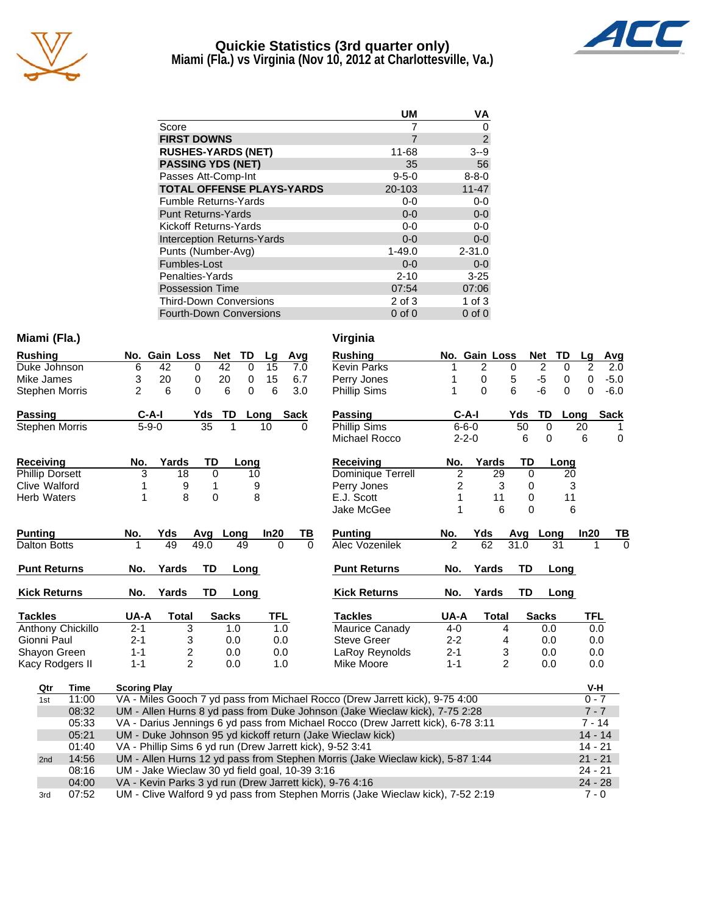

# **Quickie Statistics (3rd quarter only)**



**Miami (Fla.) vs Virginia (Nov 10, 2012 at Charlottesville, Va.)**

|                                   | <b>UM</b>   | VA             |
|-----------------------------------|-------------|----------------|
| Score                             | 7           | 0              |
| <b>FIRST DOWNS</b>                | 7           | $\overline{2}$ |
| <b>RUSHES-YARDS (NET)</b>         | 11-68       | $3 - 9$        |
| <b>PASSING YDS (NET)</b>          | 35          | 56             |
| Passes Att-Comp-Int               | $9 - 5 - 0$ | $8 - 8 - 0$    |
| <b>TOTAL OFFENSE PLAYS-YARDS</b>  | 20-103      | $11 - 47$      |
| <b>Fumble Returns-Yards</b>       | $0-0$       | $0-0$          |
| <b>Punt Returns-Yards</b>         | $0 - 0$     | $0-0$          |
| Kickoff Returns-Yards             | $0-0$       | $0-0$          |
| <b>Interception Returns-Yards</b> | $0 - 0$     | $0 - 0$        |
| Punts (Number-Avg)                | $1 - 49.0$  | $2 - 31.0$     |
| Fumbles-Lost                      | $0 - 0$     | $0 - 0$        |
| Penalties-Yards                   | $2 - 10$    | $3 - 25$       |
| Possession Time                   | 07:54       | 07:06          |
| <b>Third-Down Conversions</b>     | 2 of 3      | $1$ of $3$     |
| <b>Fourth-Down Conversions</b>    | $0$ of $0$  | $0$ of $0$     |

### **Miami (Fla.) Virginia**

| <b>Rushing</b>        |         | No. Gain Loss |     | Net TD |   | Lq   | Avq  |
|-----------------------|---------|---------------|-----|--------|---|------|------|
| Duke Johnson          | 6       | 42            | 0   | 42     | 0 | 15   | 7.0  |
| Mike James            | 3       | 20            | 0   | 20     | 0 | 15   | 6.7  |
| <b>Stephen Morris</b> | 2       | 6             | 0   | 6      | 0 | 6    | 3.0  |
| Passing               | $C-A-I$ |               | Yds | TD     |   | Long | Sack |
| <b>Stephen Morris</b> |         | $5-9-0$       | 35  |        |   | 10   |      |

| <b>Receiving</b>       | No. | Yards | TD. | Lona |
|------------------------|-----|-------|-----|------|
| <b>Phillip Dorsett</b> |     | 18    |     | 10   |
| Clive Walford          |     |       |     |      |
| <b>Herb Waters</b>     |     |       |     |      |

| <b>Punting</b>      | No.     | Yds   | Avq  | Long         | In20       | ΤВ | <b>Punting</b>      | No.     | Yds   | Ava  | Long         |  |
|---------------------|---------|-------|------|--------------|------------|----|---------------------|---------|-------|------|--------------|--|
| Dalton Botts        |         | 49    | 49.0 | 49           | 0          | 0  | Alec Vozenilek      | 2       | 62    | 31.0 | 31           |  |
| <b>Punt Returns</b> | No.     | Yards | TD   | Long         |            |    | <b>Punt Returns</b> | No.     | Yards | TD   | Long         |  |
| <b>Kick Returns</b> | No.     | Yards | TD   | Long         |            |    | <b>Kick Returns</b> | No.     | Yards | TD   | Long         |  |
| <b>Tackles</b>      | UA-A    | Total |      | <b>Sacks</b> | <b>TFL</b> |    | <b>Tackles</b>      | UA-A    | Total |      | <b>Sacks</b> |  |
| Anthony Chickillo   | $2 - 1$ | 3     |      | 1.0          | 1.0        |    | Maurice Canady      | $4-0$   |       | 4    | 0.0          |  |
| Gionni Paul         | $2 - 1$ | 3     |      | 0.0          | 0.0        |    | Steve Greer         | $2 - 2$ |       | 4    | 0.0          |  |
| Shayon Green        | 1-1     | 2     |      | 0.0          | 0.0        |    | LaRoy Reynolds      | $2 - 1$ |       | 3    | 0.0          |  |
| Kacy Rodgers II     | 1-1     | 2     |      | 0.0          | 1.0        |    | Mike Moore          | $1 - 1$ |       | 2    | 0.0          |  |

| <b>Rushing</b>      | No.            | <b>Gain Loss</b> |                |                   | <b>Net</b>     | TD          | Lg   | Avg         |
|---------------------|----------------|------------------|----------------|-------------------|----------------|-------------|------|-------------|
| <b>Kevin Parks</b>  | 1              | 2                |                | 0                 | $\overline{2}$ | 0           | 2    | 2.0         |
| Perry Jones         | 1              | 0                |                | 5                 | -5             | 0           | 0    | $-5.0$      |
| <b>Phillip Sims</b> | 1              | 0                |                | 6                 | -6             | 0           | 0    | $-6.0$      |
| Passing             |                | C-A-I            |                | Yds               | TD             | Long        |      | <b>Sack</b> |
| Phillip Sims        |                | $6 - 6 - 0$      |                | 50                | 0              |             | 20   | 1           |
| Michael Rocco       |                | $2 - 2 - 0$      |                | 6                 | 0              |             | 6    | 0           |
| Receiving           | No.            |                  | Yards          | TD                |                | Long        |      |             |
| Dominique Terrell   | 2              |                  | 29             | 0                 |                | 20          |      |             |
| Perry Jones         | 2              |                  | 3              | 0                 |                | 3           |      |             |
| E.J. Scott          | 1              |                  | 11             | 0                 |                | 11          |      |             |
| Jake McGee          | 1              |                  | 6              | 0                 |                | 6           |      |             |
| <b>Punting</b>      | <u>No.</u>     | Yds              |                | Avg               | Long           |             | In20 | тв          |
| Alec Vozenilek      | $\overline{2}$ | 62               |                | $\overline{3}1.0$ |                | 31          | 1    | 0           |
| <b>Punt Returns</b> | No.            | Yards            |                | TD                |                | Long        |      |             |
| <b>Kick Returns</b> | No.            | Yards            |                | TD                |                | <b>Long</b> |      |             |
| <b>Tackles</b>      | UA-A           |                  | <b>Total</b>   |                   | <b>Sacks</b>   |             | TFL  |             |
| Maurice Canady      | 4-0            |                  | 4              |                   | 0.0            |             | 0.0  |             |
| <b>Steve Greer</b>  | $2 - 2$        |                  | 4              |                   |                | 0.0         |      | 0.0         |
| LaRoy Reynolds      | $2 - 1$        |                  | 3              |                   |                | 0.0         |      | 0.0         |
| Mike Moore          | $1 - 1$        |                  | $\overline{2}$ |                   | 0.0            |             | 0.0  |             |
|                     |                |                  |                |                   |                |             | V-H  |             |

| Qtr | Time  | <b>Scoring Play</b>                                                              | V-H       |
|-----|-------|----------------------------------------------------------------------------------|-----------|
| 1st | 11:00 | VA - Miles Gooch 7 yd pass from Michael Rocco (Drew Jarrett kick), 9-75 4:00     | $0 - 7$   |
|     | 08:32 | UM - Allen Hurns 8 yd pass from Duke Johnson (Jake Wieclaw kick), 7-75 2:28      | $7 - 7$   |
|     | 05:33 | VA - Darius Jennings 6 yd pass from Michael Rocco (Drew Jarrett kick), 6-78 3:11 | $7 - 14$  |
|     | 05:21 | UM - Duke Johnson 95 yd kickoff return (Jake Wieclaw kick)                       | $14 - 14$ |
|     | 01:40 | VA - Phillip Sims 6 yd run (Drew Jarrett kick), 9-52 3:41                        | $14 - 21$ |
| 2nd | 14:56 | UM - Allen Hurns 12 yd pass from Stephen Morris (Jake Wieclaw kick), 5-87 1:44   | $21 - 21$ |
|     | 08:16 | UM - Jake Wieclaw 30 yd field goal, 10-39 3:16                                   | $24 - 21$ |
|     | 04:00 | VA - Kevin Parks 3 yd run (Drew Jarrett kick), 9-76 4:16                         | $24 - 28$ |
| 3rd | 07:52 | UM - Clive Walford 9 yd pass from Stephen Morris (Jake Wieclaw kick), 7-52 2:19  | $7 - 0$   |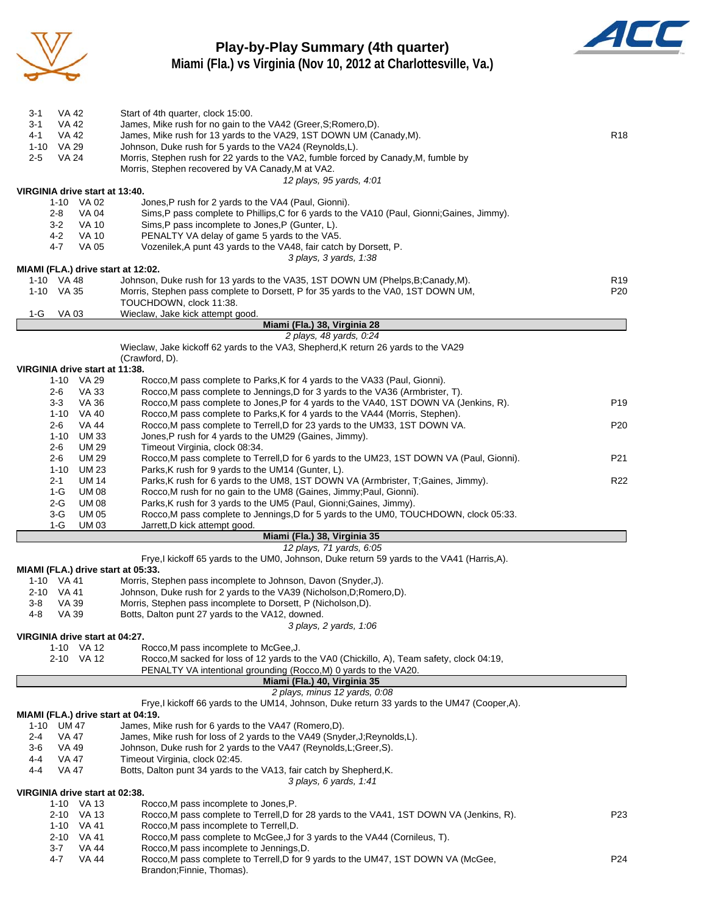

### **Play-by-Play Summary (4th quarter) Miami (Fla.) vs Virginia (Nov 10, 2012 at Charlottesville, Va.)**



3-1 VA 42 Start of 4th quarter, clock 15:00. 3-1 VA 42 James, Mike rush for no gain to the VA42 (Greer,S;Romero,D).

| 4-1<br>VA 42                       | James, Mike rush for 13 yards to the VA29, 1ST DOWN UM (Canady, M).                          | R <sub>18</sub> |
|------------------------------------|----------------------------------------------------------------------------------------------|-----------------|
| VA 29<br>1-10                      | Johnson, Duke rush for 5 yards to the VA24 (Reynolds,L).                                     |                 |
| <b>VA 24</b><br>2-5                | Morris, Stephen rush for 22 yards to the VA2, fumble forced by Canady, M, fumble by          |                 |
|                                    | Morris, Stephen recovered by VA Canady, M at VA2.                                            |                 |
|                                    | 12 plays, 95 yards, 4:01                                                                     |                 |
| VIRGINIA drive start at 13:40.     |                                                                                              |                 |
| 1-10 VA 02                         | Jones, P rush for 2 yards to the VA4 (Paul, Gionni).                                         |                 |
| 2-8<br><b>VA 04</b>                | Sims,P pass complete to Phillips,C for 6 yards to the VA10 (Paul, Gionni;Gaines, Jimmy).     |                 |
| $3-2$<br><b>VA 10</b>              | Sims, P pass incomplete to Jones, P (Gunter, L).                                             |                 |
| <b>VA 10</b><br>4-2                | PENALTY VA delay of game 5 yards to the VA5.                                                 |                 |
| 4-7<br><b>VA 05</b>                | Vozenilek, A punt 43 yards to the VA48, fair catch by Dorsett, P.                            |                 |
| MIAMI (FLA.) drive start at 12:02. | 3 plays, 3 yards, 1:38                                                                       |                 |
| 1-10 VA 48                         | Johnson, Duke rush for 13 yards to the VA35, 1ST DOWN UM (Phelps, B;Canady, M).              | R <sub>19</sub> |
| 1-10 VA 35                         | Morris, Stephen pass complete to Dorsett, P for 35 yards to the VA0, 1ST DOWN UM,            | P20             |
|                                    | TOUCHDOWN, clock 11:38.                                                                      |                 |
| 1-G<br>VA 03                       | Wieclaw, Jake kick attempt good.                                                             |                 |
|                                    | Miami (Fla.) 38, Virginia 28                                                                 |                 |
|                                    | 2 plays, 48 yards, 0:24                                                                      |                 |
|                                    | Wieclaw, Jake kickoff 62 yards to the VA3, Shepherd, K return 26 yards to the VA29           |                 |
|                                    | (Crawford, D).                                                                               |                 |
| VIRGINIA drive start at 11:38.     |                                                                                              |                 |
| 1-10 VA 29                         | Rocco, M pass complete to Parks, K for 4 yards to the VA33 (Paul, Gionni).                   |                 |
| <b>VA 33</b><br>2-6                | Rocco, M pass complete to Jennings, D for 3 yards to the VA36 (Armbrister, T).               |                 |
| <b>VA 36</b><br>3-3                | Rocco, M pass complete to Jones, P for 4 yards to the VA40, 1ST DOWN VA (Jenkins, R).        | P <sub>19</sub> |
| 1-10<br>VA 40                      | Rocco, M pass complete to Parks, K for 4 yards to the VA44 (Morris, Stephen).                |                 |
| <b>VA 44</b><br>2-6                | Rocco, M pass complete to Terrell, D for 23 yards to the UM33, 1ST DOWN VA.                  | P20             |
| UM 33<br>$1 - 10$                  | Jones, P rush for 4 yards to the UM29 (Gaines, Jimmy).                                       |                 |
| 2-6<br>UM 29                       | Timeout Virginia, clock 08:34.                                                               |                 |
| <b>UM 29</b><br>2-6                | Rocco, M pass complete to Terrell, D for 6 yards to the UM23, 1ST DOWN VA (Paul, Gionni).    | P21             |
| $1 - 10$<br>UM 23                  | Parks, K rush for 9 yards to the UM14 (Gunter, L).                                           |                 |
| <b>UM 14</b><br>2-1                | Parks, K rush for 6 yards to the UM8, 1ST DOWN VA (Armbrister, T;Gaines, Jimmy).             | R <sub>22</sub> |
| <b>UM08</b><br>1-G                 | Rocco, M rush for no gain to the UM8 (Gaines, Jimmy; Paul, Gionni).                          |                 |
| 2-G<br><b>UM 08</b>                | Parks, K rush for 3 yards to the UM5 (Paul, Gionni; Gaines, Jimmy).                          |                 |
| 3-G<br>UM 05                       | Rocco, M pass complete to Jennings, D for 5 yards to the UM0, TOUCHDOWN, clock 05:33.        |                 |
| $1-G$<br>UM 03                     | Jarrett, D kick attempt good.                                                                |                 |
|                                    | Miami (Fla.) 38, Virginia 35<br>12 plays, 71 yards, 6:05                                     |                 |
|                                    | Frye,I kickoff 65 yards to the UM0, Johnson, Duke return 59 yards to the VA41 (Harris,A).    |                 |
| MIAMI (FLA.) drive start at 05:33. |                                                                                              |                 |
| 1-10 VA 41                         | Morris, Stephen pass incomplete to Johnson, Davon (Snyder, J).                               |                 |
| 2-10 VA 41                         | Johnson, Duke rush for 2 yards to the VA39 (Nicholson, D; Romero, D).                        |                 |
| VA 39<br>3-8                       | Morris, Stephen pass incomplete to Dorsett, P (Nicholson, D).                                |                 |
| 4-8<br><b>VA 39</b>                | Botts, Dalton punt 27 yards to the VA12, downed.                                             |                 |
|                                    | 3 plays, 2 yards, 1:06                                                                       |                 |
| VIRGINIA drive start at 04:27.     |                                                                                              |                 |
| 1-10 VA 12                         | Rocco, M pass incomplete to McGee, J.                                                        |                 |
| 2-10 VA 12                         | Rocco, M sacked for loss of 12 yards to the VA0 (Chickillo, A), Team safety, clock 04:19,    |                 |
|                                    | PENALTY VA intentional grounding (Rocco, M) 0 yards to the VA20.                             |                 |
|                                    | Miami (Fla.) 40, Virginia 35                                                                 |                 |
|                                    | 2 plays, minus 12 yards, 0:08                                                                |                 |
|                                    | Frye, I kickoff 66 yards to the UM14, Johnson, Duke return 33 yards to the UM47 (Cooper, A). |                 |
| MIAMI (FLA.) drive start at 04:19. |                                                                                              |                 |
| 1-10<br>UM 47                      | James, Mike rush for 6 yards to the VA47 (Romero,D).                                         |                 |
| 2-4<br>VA 47                       | James, Mike rush for loss of 2 yards to the VA49 (Snyder, J; Reynolds, L).                   |                 |
| 3-6<br>VA 49                       | Johnson, Duke rush for 2 yards to the VA47 (Reynolds, L; Greer, S).                          |                 |
| <b>VA 47</b><br>4-4                | Timeout Virginia, clock 02:45.                                                               |                 |
| 4-4<br>VA 47                       | Botts, Dalton punt 34 yards to the VA13, fair catch by Shepherd, K.                          |                 |
|                                    | 3 plays, 6 yards, 1:41                                                                       |                 |
| VIRGINIA drive start at 02:38.     |                                                                                              |                 |
| 1-10 VA 13                         | Rocco, M pass incomplete to Jones, P.                                                        |                 |
| 2-10 VA 13                         | Rocco, M pass complete to Terrell, D for 28 yards to the VA41, 1ST DOWN VA (Jenkins, R).     | P23             |
| VA 41<br>$1 - 10$                  | Rocco, M pass incomplete to Terrell, D.                                                      |                 |
| 2-10<br>VA 41                      | Rocco, M pass complete to McGee, J for 3 yards to the VA44 (Cornileus, T).                   |                 |
| 3-7<br>VA 44                       | Rocco, M pass incomplete to Jennings, D.                                                     | P <sub>24</sub> |
| <b>VA 44</b><br>4-7                | Rocco, M pass complete to Terrell, D for 9 yards to the UM47, 1ST DOWN VA (McGee,            |                 |

Brandon;Finnie, Thomas).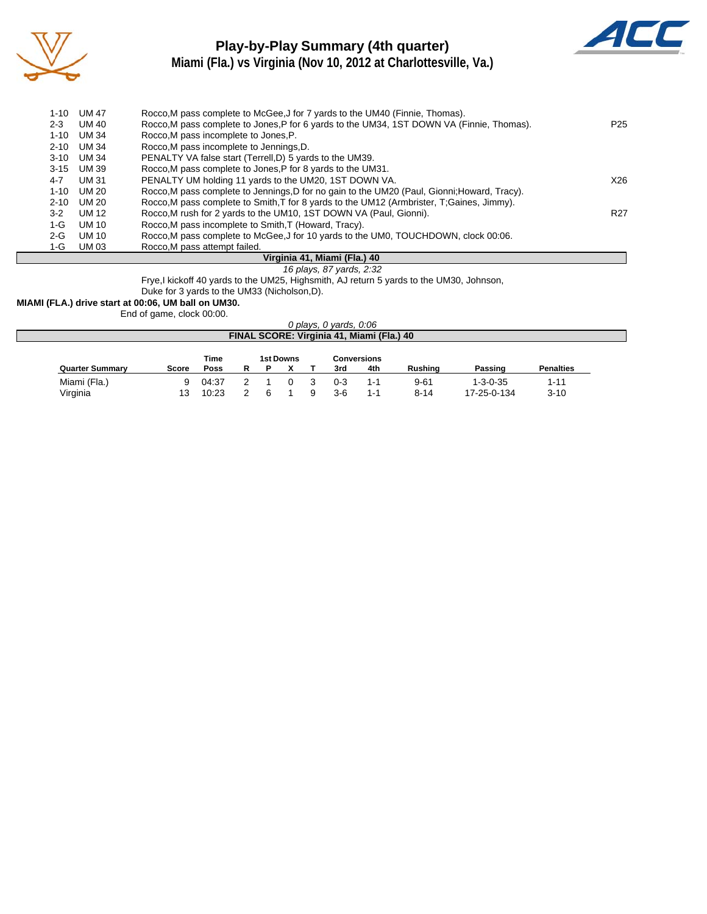

 $\overline{\phantom{a}}$ 

### **Play-by-Play Summary (4th quarter) Miami (Fla.) vs Virginia (Nov 10, 2012 at Charlottesville, Va.)**



| $1 - 10$ | UM 47      | Rocco, M pass complete to McGee, J for 7 yards to the UM40 (Finnie, Thomas).                 |                 |
|----------|------------|----------------------------------------------------------------------------------------------|-----------------|
| $2 - 3$  | UM 40      | Rocco, M pass complete to Jones, P for 6 yards to the UM34, 1ST DOWN VA (Finnie, Thomas).    | P25             |
| $1 - 10$ | UM 34      | Rocco, M pass incomplete to Jones, P.                                                        |                 |
| $2 - 10$ | UM 34      | Rocco, M pass incomplete to Jennings, D.                                                     |                 |
| $3 - 10$ | UM 34      | PENALTY VA false start (Terrell, D) 5 yards to the UM39.                                     |                 |
|          | 3-15 UM 39 | Rocco. M pass complete to Jones, P for 8 yards to the UM31.                                  |                 |
| 4-7      | UM 31      | PENALTY UM holding 11 yards to the UM20, 1ST DOWN VA.                                        | X26             |
| $1 - 10$ | UM 20      | Rocco, M pass complete to Jennings, D for no gain to the UM20 (Paul, Gionni; Howard, Tracy). |                 |
| $2 - 10$ | UM 20      | Rocco, M pass complete to Smith, T for 8 yards to the UM12 (Armbrister, T; Gaines, Jimmy).   |                 |
| $3-2$    | UM 12      | Rocco, M rush for 2 yards to the UM10, 1ST DOWN VA (Paul, Gionni).                           | R <sub>27</sub> |
| $1-G$    | UM 10      | Rocco, M pass incomplete to Smith, T (Howard, Tracy).                                        |                 |
| $2-G$    | UM 10      | Rocco, M pass complete to McGee, J for 10 yards to the UM0, TOUCHDOWN, clock 00:06.          |                 |
| 1-G      | UM 03      | Rocco, M pass attempt failed.                                                                |                 |

#### **Virginia 41, Miami (Fla.) 40**

#### *16 plays, 87 yards, 2:32*

Frye,I kickoff 40 yards to the UM25, Highsmith, AJ return 5 yards to the UM30, Johnson,

Duke for 3 yards to the UM33 (Nicholson,D).

**MIAMI (FLA.) drive start at 00:06, UM ball on UM30.**

End of game, clock 00:00.

|                                           |              |             |   |  |                  |  | 0 plays, 0 yards, 0:06 |             |          |                  |                  |
|-------------------------------------------|--------------|-------------|---|--|------------------|--|------------------------|-------------|----------|------------------|------------------|
| FINAL SCORE: Virginia 41, Miami (Fla.) 40 |              |             |   |  |                  |  |                        |             |          |                  |                  |
|                                           |              | Time        |   |  | <b>1st Downs</b> |  |                        | Conversions |          |                  |                  |
| <b>Quarter Summary</b>                    | <b>Score</b> | <b>Poss</b> | R |  |                  |  | 3rd                    | 4th         | Rushing  | Passing          | <b>Penalties</b> |
| Miami (Fla.)                              | 9            | 04:37       |   |  |                  |  | $0 - 3$                | 1-1         | $9 - 61$ | $1 - 3 - 0 - 35$ | $1 - 11$         |
| Virginia                                  | 13           | 10:23       |   |  |                  |  | $3-6$                  | $1 - 1$     | $8 - 14$ | 17-25-0-134      | $3 - 10$         |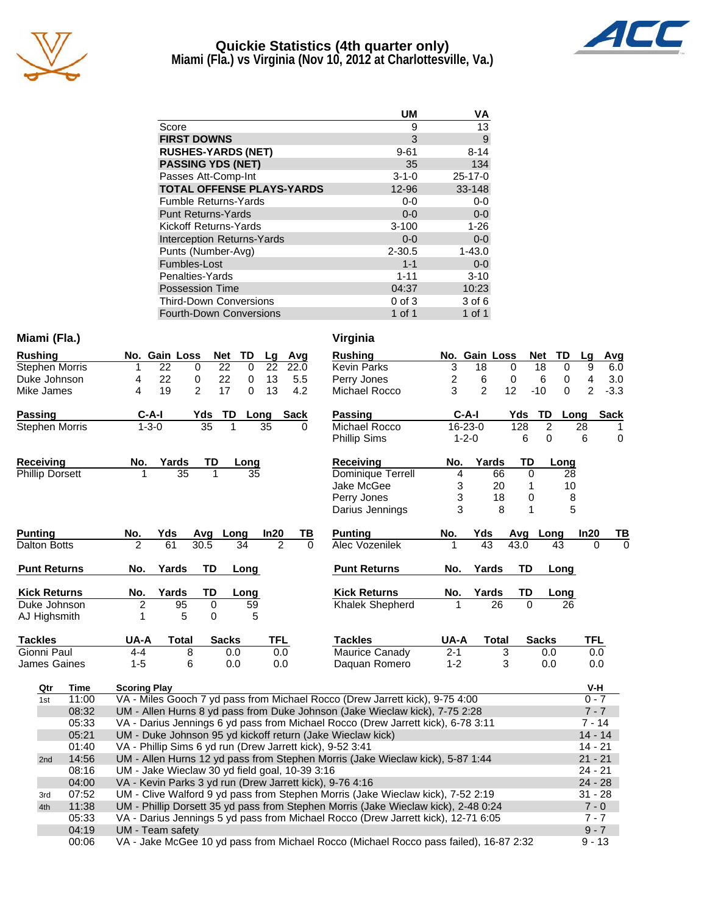

# **Quickie Statistics (4th quarter only)**



**Miami (Fla.) vs Virginia (Nov 10, 2012 at Charlottesville, Va.)**

|                                   | <b>UM</b>   | VA            |
|-----------------------------------|-------------|---------------|
| Score                             | 9           | 13            |
| <b>FIRST DOWNS</b>                | 3           | $9\,$         |
| <b>RUSHES-YARDS (NET)</b>         | $9 - 61$    | $8 - 14$      |
| <b>PASSING YDS (NET)</b>          | 35          | 134           |
| Passes Att-Comp-Int               | $3 - 1 - 0$ | $25 - 17 - 0$ |
| <b>TOTAL OFFENSE PLAYS-YARDS</b>  | 12-96       | 33-148        |
| <b>Fumble Returns-Yards</b>       | $0-0$       | $0-0$         |
| <b>Punt Returns-Yards</b>         | $0 - 0$     | $0-0$         |
| Kickoff Returns-Yards             | $3 - 100$   | $1 - 26$      |
| <b>Interception Returns-Yards</b> | $0 - 0$     | $0-0$         |
| Punts (Number-Avg)                | $2 - 30.5$  | $1 - 43.0$    |
| Fumbles-Lost                      | $1 - 1$     | $0-0$         |
| Penalties-Yards                   | $1 - 11$    | $3 - 10$      |
| <b>Possession Time</b>            | 04:37       | 10:23         |
| <b>Third-Down Conversions</b>     | $0$ of $3$  | 3 of 6        |
| <b>Fourth-Down Conversions</b>    | 1 of 1      | $1$ of $1$    |

#### **Miami (Fla.) Virginia**

| <b>Rushing</b>         |             |                     | No. Gain Loss |                | <b>Net</b>   | <b>TD</b>   | Lg         | Avg         | <b>Rushing</b>                                                                   |         | No. Gain Loss  |              |           | <b>Net</b><br>TD |                |
|------------------------|-------------|---------------------|---------------|----------------|--------------|-------------|------------|-------------|----------------------------------------------------------------------------------|---------|----------------|--------------|-----------|------------------|----------------|
| <b>Stephen Morris</b>  |             |                     | 22            | $\mathbf 0$    | 22           | $\mathbf 0$ | 22         | 22.0        | <b>Kevin Parks</b>                                                               | 3       | 18             |              | $\Omega$  | 18               | $\mathbf 0$    |
| Duke Johnson           |             | 4                   | 22            | 0              | 22           | $\mathbf 0$ | 13         | 5.5         | Perry Jones                                                                      | 2       | 6              |              | 0         | 6                | 0              |
| Mike James             |             | 4                   | 19            | $\overline{2}$ | 17           | $\Omega$    | 13         | 4.2         | Michael Rocco                                                                    | 3       | $\overline{2}$ | 12           |           | $-10$            | $\Omega$       |
| <b>Passing</b>         |             |                     | $C-A-I$       | Yds            | TD           | Long        |            | <b>Sack</b> | <b>Passing</b>                                                                   |         | $C-A-I$        |              | Yds       | TD               | Lo             |
| <b>Stephen Morris</b>  |             |                     | $1 - 3 - 0$   | 35             |              |             | 35         | 0           | Michael Rocco                                                                    |         | 16-23-0        |              | 128       | $\overline{2}$   |                |
|                        |             |                     |               |                |              |             |            |             | <b>Phillip Sims</b>                                                              |         | $1 - 2 - 0$    |              | 6         | $\Omega$         |                |
| <b>Receiving</b>       |             | No.                 | Yards         | TD             |              | Long        |            |             | <b>Receiving</b>                                                                 | No.     |                | Yards        | TD        | Long             |                |
| <b>Phillip Dorsett</b> |             |                     | 35            | 1              |              | 35          |            |             | Dominique Terrell                                                                | 4       |                | 66           | 0         |                  | 28             |
|                        |             |                     |               |                |              |             |            |             | Jake McGee                                                                       |         | 3              | 20           | 1         |                  | 1 <sub>0</sub> |
|                        |             |                     |               |                |              |             |            |             | Perry Jones                                                                      |         | 3              | 18           | 0         |                  | ξ              |
|                        |             |                     |               |                |              |             |            |             | Darius Jennings                                                                  |         | 3              | 8            | 1         |                  | ŗ              |
| <b>Punting</b>         |             | No.                 | Yds           | Avq            | Long         |             | In20       | TВ          | <b>Punting</b>                                                                   | No.     | Yds            |              | Avg       | Long             |                |
| <b>Dalton Botts</b>    |             | 2                   | 61            | 30.5           |              | 34          | 2          | $\Omega$    | Alec Vozenilek                                                                   |         | 43             |              | 43.0      | 43               |                |
| <b>Punt Returns</b>    |             | No.                 | Yards         | TD             |              | Long        |            |             | <b>Punt Returns</b>                                                              | No.     |                | Yards        | TD        | Long             |                |
| <b>Kick Returns</b>    |             | No.                 | Yards         | TD             |              | Long        |            |             | <b>Kick Returns</b>                                                              | No.     |                | Yards        | <b>TD</b> | Long             |                |
| Duke Johnson           |             | $\overline{2}$      | 95            | 0              |              | 59          |            |             | <b>Khalek Shepherd</b>                                                           |         |                | 26           | $\Omega$  |                  | 26             |
| AJ Highsmith           |             |                     | 5             | $\Omega$       |              | 5           |            |             |                                                                                  |         |                |              |           |                  |                |
| <b>Tackles</b>         |             | UA-A                | Total         |                | <b>Sacks</b> |             | <b>TFL</b> |             | <b>Tackles</b>                                                                   | UA-A    |                | <b>Total</b> |           | <b>Sacks</b>     |                |
| Gionni Paul            |             | 4-4                 |               | 8              | 0.0          |             | 0.0        |             | Maurice Canady                                                                   | $2 - 1$ |                | 3            |           | 0.0              |                |
| <b>James Gaines</b>    |             | $1 - 5$             |               | 6              | 0.0          |             | 0.0        |             | Daguan Romero                                                                    | $1 - 2$ |                | 3            |           | 0.0              |                |
| Qtr                    | <b>Time</b> | <b>Scoring Play</b> |               |                |              |             |            |             |                                                                                  |         |                |              |           |                  |                |
| 1st                    | 11:00       |                     |               |                |              |             |            |             | VA - Miles Gooch 7 yd pass from Michael Rocco (Drew Jarrett kick), 9-75 4:00     |         |                |              |           |                  |                |
|                        | 08:32       |                     |               |                |              |             |            |             | UM - Allen Hurns 8 yd pass from Duke Johnson (Jake Wieclaw kick), 7-75 2:28      |         |                |              |           |                  |                |
|                        | 05:33       |                     |               |                |              |             |            |             | VA - Darius Jennings 6 yd pass from Michael Rocco (Drew Jarrett kick), 6-78 3:11 |         |                |              |           |                  |                |
|                        | 05:21       |                     |               |                |              |             |            |             | UM - Duke Johnson 95 yd kickoff return (Jake Wieclaw kick)                       |         |                |              |           |                  |                |

### **Rushing No. Gain Loss Net TD Lg Avg** Kevin Parks 3 18 0 18 0 9 6.0 Perry Jones 2 6 0 6 0 4 3.0 el Rocco 3 2 12 -10 0 2 -3.3 **Passing C-A-I Yds TD Long Sack** el Rocco 16-23-0 128 2 28 1<br>Sims 1-2-0 6 0 6 0 Phillip Sims 1-2-0 6 0 6 0 **Receiving No. Yards TD Long** Dominique Terrell 4 66 0 28 ا 1 10 AcGee 3 20 1 10<br>العداد 3 18 0 8 end Jones 3 18 0 8<br>- Jennings 3 8 1 5 Jennings 3 8 1 **Puncify Conserver Spanned Rouge Incomparison No. Yds Avg Long In20 TB**<br>The Most Conserver Assemble Assemble Assemble Assemble Assemble Assemble Assemble Assemble Assemble Assemble A<br>The Most Conserver Assemble Assemble As Alex 1 43 43.0 43 0 **Kick Returns No. Yards TD Long** k Shepherd **Tackles UA-A Total Sacks TFL** e Canady 2-1 3 0.0 0.0 an Romero 1-2 3 0.0 0.0 -I.

| Qtr | Time  | <b>Scoring Play</b>                                                                   | V-H       |
|-----|-------|---------------------------------------------------------------------------------------|-----------|
| 1st | 11:00 | VA - Miles Gooch 7 yd pass from Michael Rocco (Drew Jarrett kick), 9-75 4:00          | $0 - 7$   |
|     | 08:32 | UM - Allen Hurns 8 yd pass from Duke Johnson (Jake Wieclaw kick), 7-75 2:28           | $7 - 7$   |
|     | 05:33 | VA - Darius Jennings 6 yd pass from Michael Rocco (Drew Jarrett kick), 6-78 3:11      | $7 - 14$  |
|     | 05:21 | UM - Duke Johnson 95 yd kickoff return (Jake Wieclaw kick)                            | $14 - 14$ |
|     | 01:40 | VA - Phillip Sims 6 yd run (Drew Jarrett kick), 9-52 3:41                             | $14 - 21$ |
| 2nd | 14:56 | UM - Allen Hurns 12 yd pass from Stephen Morris (Jake Wieclaw kick), 5-87 1:44        | $21 - 21$ |
|     | 08:16 | UM - Jake Wieclaw 30 yd field goal, 10-39 3:16                                        | $24 - 21$ |
|     | 04:00 | VA - Kevin Parks 3 yd run (Drew Jarrett kick), 9-76 4:16                              | $24 - 28$ |
| 3rd | 07:52 | UM - Clive Walford 9 yd pass from Stephen Morris (Jake Wieclaw kick), 7-52 2:19       | $31 - 28$ |
| 4th | 11:38 | UM - Phillip Dorsett 35 yd pass from Stephen Morris (Jake Wieclaw kick), 2-48 0:24    | $7 - 0$   |
|     | 05:33 | VA - Darius Jennings 5 yd pass from Michael Rocco (Drew Jarrett kick), 12-71 6:05     | $7 - 7$   |
|     | 04:19 | UM - Team safety                                                                      | $9 - 7$   |
|     | 00:06 | VA - Jake McGee 10 yd pass from Michael Rocco (Michael Rocco pass failed), 16-87 2:32 | $9 - 13$  |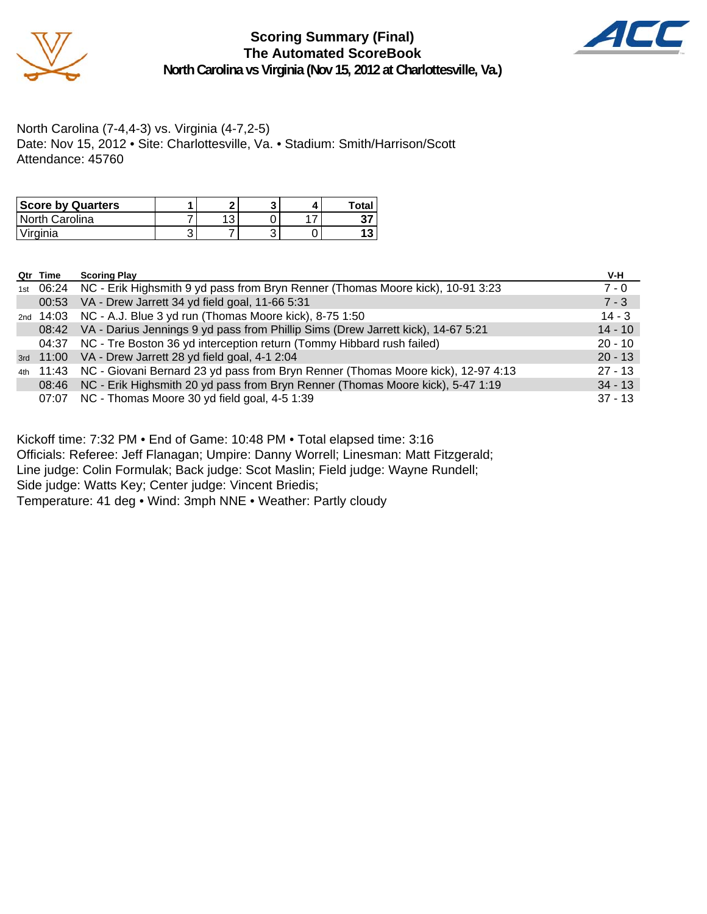



North Carolina (7-4,4-3) vs. Virginia (4-7,2-5) Date: Nov 15, 2012 • Site: Charlottesville, Va. • Stadium: Smith/Harrison/Scott Attendance: 45760

| <b>Score by Quarters</b> |         |  | Total |
|--------------------------|---------|--|-------|
| North Carolina           | ົດ<br>ں |  | v.    |
| 'Virginia                |         |  |       |

| Qtr Time | <b>Scoring Play</b>                                                                        | V-H       |
|----------|--------------------------------------------------------------------------------------------|-----------|
|          | 1st 06:24 NC - Erik Highsmith 9 yd pass from Bryn Renner (Thomas Moore kick), 10-91 3:23   | $7 - 0$   |
| 00:53    | VA - Drew Jarrett 34 yd field goal, 11-66 5:31                                             | $7 - 3$   |
|          | 2nd 14:03 NC - A.J. Blue 3 yd run (Thomas Moore kick), 8-75 1:50                           | $14 - 3$  |
| 08:42    | VA - Darius Jennings 9 yd pass from Phillip Sims (Drew Jarrett kick), 14-67 5:21           | $14 - 10$ |
| 04:37    | NC - Tre Boston 36 yd interception return (Tommy Hibbard rush failed)                      | $20 - 10$ |
|          | 3rd 11:00 VA - Drew Jarrett 28 yd field goal, 4-1 2:04                                     | $20 - 13$ |
|          | 4th 11:43 NC - Giovani Bernard 23 yd pass from Bryn Renner (Thomas Moore kick), 12-97 4:13 | $27 - 13$ |
| 08:46    | NC - Erik Highsmith 20 yd pass from Bryn Renner (Thomas Moore kick), 5-47 1:19             | $34 - 13$ |
|          | 07:07 NC - Thomas Moore 30 yd field goal, 4-5 1:39                                         | $37 - 13$ |

Kickoff time: 7:32 PM • End of Game: 10:48 PM • Total elapsed time: 3:16

Officials: Referee: Jeff Flanagan; Umpire: Danny Worrell; Linesman: Matt Fitzgerald;

Line judge: Colin Formulak; Back judge: Scot Maslin; Field judge: Wayne Rundell;

Side judge: Watts Key; Center judge: Vincent Briedis;

Temperature: 41 deg • Wind: 3mph NNE • Weather: Partly cloudy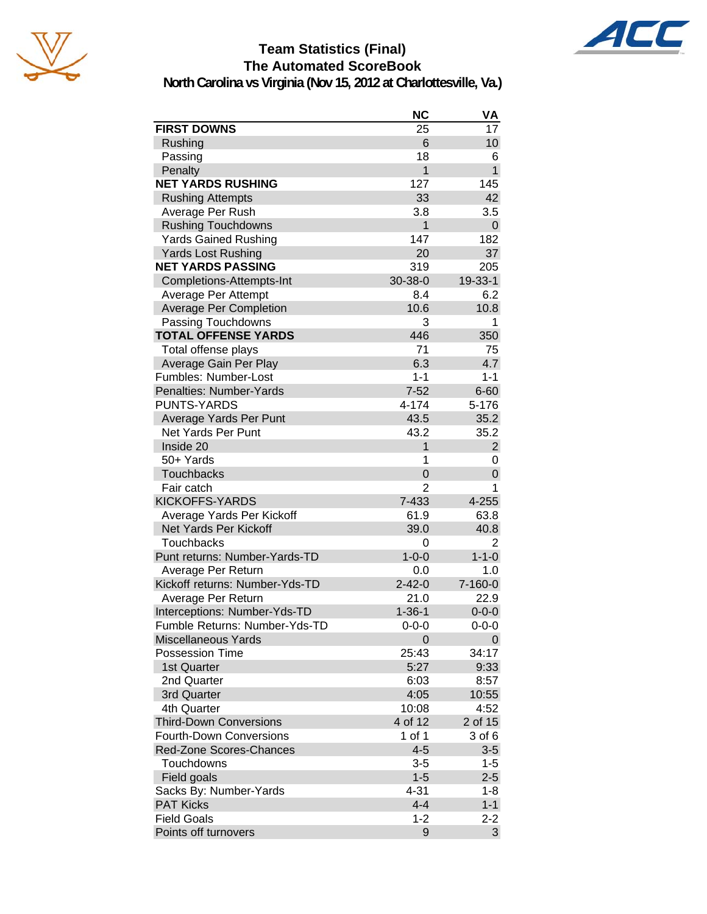



AC

|                                            | <b>NC</b>           | VA                 |
|--------------------------------------------|---------------------|--------------------|
| <b>FIRST DOWNS</b>                         | 25                  | 17                 |
| Rushing                                    | 6                   | 10                 |
| Passing                                    | 18                  | 6                  |
| Penalty                                    | 1                   | $\mathbf{1}$       |
| <b>NET YARDS RUSHING</b>                   | 127                 | 145                |
| <b>Rushing Attempts</b>                    | 33                  | 42                 |
| Average Per Rush                           | 3.8                 | 3.5                |
| <b>Rushing Touchdowns</b>                  | 1                   | 0                  |
| <b>Yards Gained Rushing</b>                | 147                 | 182                |
| <b>Yards Lost Rushing</b>                  | 20                  | 37                 |
| <b>NET YARDS PASSING</b>                   | 319                 | 205                |
| Completions-Attempts-Int                   | 30-38-0             | 19-33-1            |
| Average Per Attempt                        | 8.4                 | 6.2                |
| <b>Average Per Completion</b>              | 10.6                | 10.8               |
| Passing Touchdowns                         | 3                   | 1                  |
| <b>TOTAL OFFENSE YARDS</b>                 | 446                 | 350                |
| Total offense plays                        | 71                  | 75                 |
| Average Gain Per Play                      | 6.3                 | 4.7                |
| Fumbles: Number-Lost                       | $1 - 1$             | $1 - 1$            |
| Penalties: Number-Yards                    | $7 - 52$            | $6 - 60$           |
| <b>PUNTS-YARDS</b>                         | 4-174               | 5-176              |
| Average Yards Per Punt                     | 43.5                | 35.2               |
| Net Yards Per Punt                         | 43.2                | 35.2               |
| Inside 20                                  | 1                   | $\overline{2}$     |
| 50+ Yards                                  | 1                   | 0                  |
| <b>Touchbacks</b>                          | 0                   | $\overline{0}$     |
| Fair catch                                 | 2                   | 1                  |
| <b>KICKOFFS-YARDS</b>                      | 7-433               | 4-255              |
| Average Yards Per Kickoff                  | 61.9                | 63.8               |
| Net Yards Per Kickoff                      | 39.0                | 40.8               |
| <b>Touchbacks</b>                          | 0                   | 2                  |
| Punt returns: Number-Yards-TD              | $1 - 0 - 0$         | $1 - 1 - 0$        |
| Average Per Return                         | 0.0                 | 1.0                |
| Kickoff returns: Number-Yds-TD             | $2 - 42 - 0$        | $7 - 160 - 0$      |
| Average Per Return                         | 21.0                | 22.9               |
| Interceptions: Number-Yds-TD               | $1 - 36 - 1$        | $0 - 0 - 0$        |
| Fumble Returns: Number-Yds-TD              | $0 - 0 - 0$         | $0 - 0 - 0$        |
| <b>Miscellaneous Yards</b>                 | 0                   | 0                  |
| Possession Time                            | 25:43               | 34:17              |
| 1st Quarter                                | 5:27                | 9:33               |
| 2nd Quarter                                | 6:03                | 8:57               |
| 3rd Quarter                                | 4:05                | 10:55              |
| 4th Quarter                                | 10:08               | 4:52               |
| <b>Third-Down Conversions</b>              | 4 of 12             | 2 of 15            |
| <b>Fourth-Down Conversions</b>             | 1 of 1              | 3 of 6             |
| Red-Zone Scores-Chances                    | $4 - 5$             | $3-5$              |
| Touchdowns                                 | $3-5$               | $1 - 5$            |
| Field goals                                | $1 - 5$<br>$4 - 31$ | $2 - 5$<br>$1 - 8$ |
| Sacks By: Number-Yards<br><b>PAT Kicks</b> | $4 - 4$             | $1 - 1$            |
| <b>Field Goals</b>                         | $1 - 2$             | $2 - 2$            |
| Points off turnovers                       |                     |                    |
|                                            | 9                   | 3                  |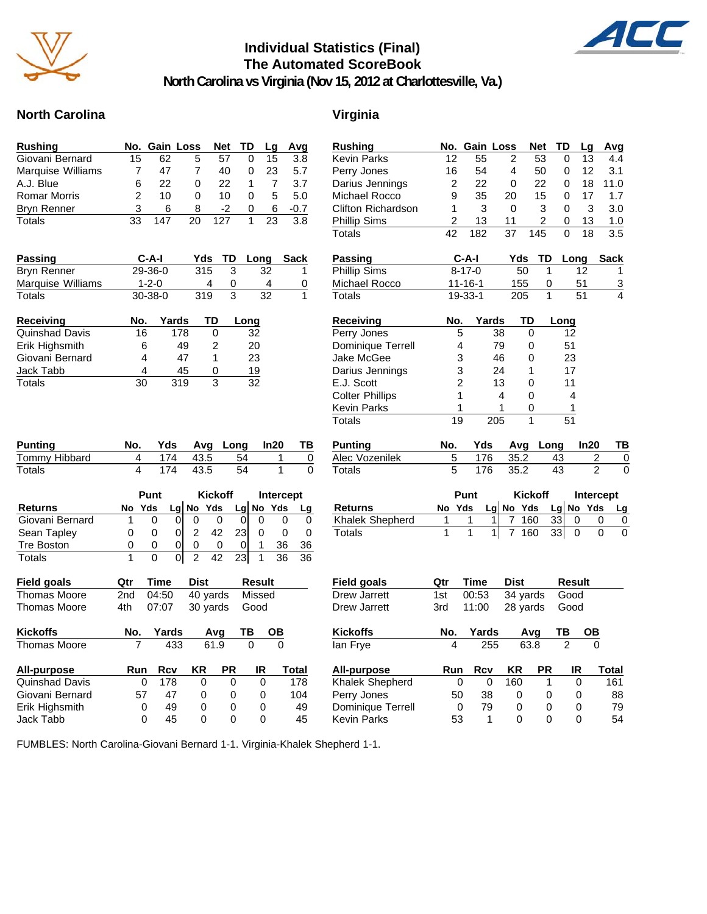

### **Individual Statistics (Final) The Automated ScoreBook**



**North Carolina vs Virginia (Nov 15, 2012 at Charlottesville, Va.)**

### **North Carolina Virginia**

| <b>Rushing</b>              |                         | No. Gain Loss |                                  | Net            | <b>TD</b>   | Lg              | Avg                           | <b>Rushing</b>                          |                 | No. Gain Loss     |                                  | Net              | <b>TD</b>      | Lg              | Avg                  |
|-----------------------------|-------------------------|---------------|----------------------------------|----------------|-------------|-----------------|-------------------------------|-----------------------------------------|-----------------|-------------------|----------------------------------|------------------|----------------|-----------------|----------------------|
| Giovani Bernard             | $\overline{15}$         | 62            | 5                                | 57             | 0           | $\overline{15}$ | 3.8                           | <b>Kevin Parks</b>                      | 12              | 55                | $\overline{2}$                   | 53               | 0              | 13              | 4.4                  |
| Marquise Williams           | 7                       | 47            | 7                                | 40             | 0           | 23              | 5.7                           | Perry Jones                             | 16              | 54                | 4                                | 50               | 0              | 12              | 3.1                  |
| A.J. Blue                   | 6                       | 22            | 0                                | 22             | 1           | $\overline{7}$  | 3.7                           | Darius Jennings                         | $\overline{2}$  | 22                | $\Omega$                         | 22               | 0              | 18              | 11.0                 |
| <b>Romar Morris</b>         | 2                       | 10            | $\mathbf 0$                      | 10             | $\mathbf 0$ | 5               | 5.0                           | Michael Rocco                           | 9               | 35                | 20                               | 15               | 0              | 17              | 1.7                  |
| <b>Bryn Renner</b>          | 3                       | 6             | 8                                | -2             | 0           | 6               | $-0.7$                        | Clifton Richardson                      | 1               | 3                 | $\Omega$                         | 3                | 0              | 3               | 3.0                  |
| Totals                      | 33                      | 147           | $\overline{20}$                  | 127            | 1           | 23              | 3.8                           | <b>Phillip Sims</b>                     | $\overline{2}$  | 13                | 11                               | $\overline{c}$   | 0              | 13              | 1.0                  |
|                             |                         |               |                                  |                |             |                 |                               | <b>Totals</b>                           | $\overline{42}$ | 182               | $\overline{37}$                  | 145              | 0              | $\overline{18}$ | $\overline{3.5}$     |
| Passing                     |                         | C-A-I         | Yds                              | TD             | Long        |                 | <b>Sack</b>                   | <b>Passing</b>                          |                 | $C-A-I$           | Yds                              | <b>TD</b>        |                | Long            | <b>Sack</b>          |
| <b>Bryn Renner</b>          |                         | 29-36-0       | 315                              | 3              |             | 32              | $\mathbf{1}$                  | <b>Phillip Sims</b>                     |                 | $8 - 17 - 0$      |                                  | 50               | $\mathbf{1}$   | 12              | 1                    |
| Marquise Williams           |                         | $1 - 2 - 0$   |                                  | 4<br>0         |             | 4               | 0                             | Michael Rocco                           |                 | $11 - 16 - 1$     | 155                              |                  | 0              | 51              | $\overline{3}$       |
| Totals                      |                         | $30 - 38 - 0$ | 319                              | $\overline{3}$ |             | $\overline{32}$ | $\mathbf{1}$                  | <b>Totals</b>                           |                 | $19 - 33 - 1$     | $\overline{205}$                 |                  | $\overline{1}$ | $\overline{51}$ | $\overline{4}$       |
| <b>Receiving</b>            | No.                     | Yards         |                                  | TD             | Long        |                 |                               | <b>Receiving</b>                        | No.             |                   | Yards                            | TD               | Long           |                 |                      |
| Quinshad Davis              | 16                      |               | 178                              | $\mathbf 0$    | 32          |                 |                               | Perry Jones                             | 5               |                   | $\overline{38}$                  | 0                | 12             |                 |                      |
| Erik Highsmith              | 6                       |               | 49                               | 2              | 20          |                 |                               | Dominique Terrell                       | 4               |                   | 79                               | 0                | 51             |                 |                      |
| Giovani Bernard             | 4                       |               | 47                               | $\mathbf{1}$   | 23          |                 |                               | Jake McGee                              | 3               |                   | 46                               | 0                | 23             |                 |                      |
| Jack Tabb                   | 4                       |               | 45                               | 0              | 19          |                 |                               | Darius Jennings                         | 3               |                   | 24                               | $\mathbf{1}$     | 17             |                 |                      |
| Totals                      | 30                      |               | $\overline{319}$                 | 3              | 32          |                 |                               | E.J. Scott                              | $\overline{2}$  |                   | 13                               | 0                | 11             |                 |                      |
|                             |                         |               |                                  |                |             |                 |                               | <b>Colter Phillips</b>                  | $\mathbf{1}$    |                   | $\overline{\mathbf{4}}$          | 0                | 4              |                 |                      |
|                             |                         |               |                                  |                |             |                 |                               | <b>Kevin Parks</b>                      | 1               |                   | 1                                | 0                | $\mathbf{1}$   |                 |                      |
|                             |                         |               |                                  |                |             |                 |                               | <b>Totals</b>                           | 19              |                   | $\overline{205}$                 | $\overline{1}$   | 51             |                 |                      |
|                             |                         |               |                                  |                |             |                 |                               |                                         |                 |                   |                                  |                  |                |                 |                      |
| <b>Punting</b>              | No.                     | Yds           |                                  | Avg Long       |             | In20            | <u>ТВ</u>                     | <b>Punting</b>                          | No.             | Yds               |                                  | Avg Long         |                | In20            | <u>ТВ</u>            |
| Tommy Hibbard               | 4                       | 174           | 43.5                             |                | 54          | 1               | 0                             | Alec Vozenilek                          | 5               | 176               | 35.2                             |                  | 43             |                 | 2<br>0               |
| Totals                      | $\overline{\mathbf{4}}$ | 174           | 43.5                             |                | 54          | $\mathbf{1}$    | $\overline{\mathfrak{o}}$     | <b>Totals</b>                           | 5               | 176               | 35.2                             |                  | 43             | $\overline{2}$  | $\mathbf 0$          |
|                             |                         | Punt          |                                  | <b>Kickoff</b> |             |                 | Intercept                     |                                         |                 | Punt              |                                  | <b>Kickoff</b>   |                |                 | Intercept            |
| <b>Returns</b>              | No Yds                  |               | Lg $No$ Yds                      |                | Lg $No$ Yds |                 | Lg                            | <b>Returns</b>                          | No Yds          |                   | Lg No Yds                        |                  | Lg No Yds      |                 | Lg                   |
| Giovani Bernard             | $\mathbf{1}$            | 0             | $\overline{0}$<br>$\mathbf 0$    | $\mathbf 0$    | $\mathbf 0$ | $\mathbf 0$     | 0<br>$\mathbf 0$              | Khalek Shepherd                         | 1               | 1                 | 1<br>$\overline{7}$              | $\overline{160}$ | 33             | 0               | 0<br>0               |
| Sean Tapley                 | 0                       | 0             | 0 <br>$\overline{2}$             | 42             | 23          | $\Omega$        | $\overline{0}$<br>$\mathbf 0$ | <b>Totals</b>                           | $\mathbf{1}$    | 1                 | $\overline{1}$<br>$\overline{7}$ | 160              | 33             | $\mathbf 0$     | $\Omega$<br>$\Omega$ |
| <b>Tre Boston</b>           | 0                       | 0             | $\overline{0}$<br>0              | 0              | $\mathbf 0$ | $\mathbf{1}$    | 36<br>36                      |                                         |                 |                   |                                  |                  |                |                 |                      |
| <b>Totals</b>               | $\mathbf{1}$            | $\Omega$      | $\overline{0}$<br>$\overline{2}$ | 42             | 23          | $\mathbf{1}$    | 36<br>36                      |                                         |                 |                   |                                  |                  |                |                 |                      |
| Field goals                 | Qtr                     | Time          | <b>Dist</b>                      |                | Result      |                 |                               | Field goals                             | Qtr             | Time              | Dist                             |                  | Result         |                 |                      |
| <b>Thomas Moore</b>         | 2nd                     | 04:50         |                                  | 40 yards       | Missed      |                 |                               | Drew Jarrett                            | 1st             | 00:53             |                                  | $34$ yards       | Good           |                 |                      |
| <b>Thomas Moore</b>         | 4th                     | 07:07         |                                  | 30 yards       | Good        |                 |                               | Drew Jarrett                            | 3rd             | 11:00             |                                  | 28 yards         | Good           |                 |                      |
| <b>Kickoffs</b>             | No.                     | Yards         |                                  | Avg            | ТВ          | OВ              |                               | <b>Kickoffs</b>                         | No.             | Yards             |                                  | Avg              | TB             | $\overline{OB}$ |                      |
| <b>Thomas Moore</b>         | 7                       | 433           |                                  | 61.9           | $\mathbf 0$ | $\Omega$        |                               | lan Frye                                | 4               |                   | 255                              | 63.8             | $\overline{2}$ | $\Omega$        |                      |
| All-purpose                 | Run                     | <b>Rcv</b>    | KR                               | <b>PR</b>      |             | IR              | <b>Total</b>                  | All-purpose                             | Run             | <b>Rcv</b>        | ΚR                               | PR               |                | IR              | <b>Total</b>         |
| <b>Quinshad Davis</b>       | $\mathbf 0$             | 178           | $\mathbf{0}$                     | $\mathbf 0$    |             | $\Omega$        | 178                           | Khalek Shepherd                         | 0               |                   | 160<br>$\Omega$                  |                  | $\mathbf{1}$   | $\Omega$        | 161                  |
| Giovani Bernard             | 57                      | 47            | 0                                | $\mathbf 0$    |             | 0               | 104                           | Perry Jones                             | 50              | 38                | 0                                |                  | 0              | $\mathbf 0$     | 88                   |
| Erik Highsmith<br>Jack Tabb | 0<br>$\Omega$           | 49<br>45      | 0<br>$\Omega$                    | 0<br>0         |             | 0<br>$\Omega$   | 49<br>45                      | Dominique Terrell<br><b>Kevin Parks</b> | 0<br>53         | 79<br>$\mathbf 1$ | 0<br>$\Omega$                    |                  | 0<br>0         | 0<br>0          | 79<br>54             |

FUMBLES: North Carolina-Giovani Bernard 1-1. Virginia-Khalek Shepherd 1-1.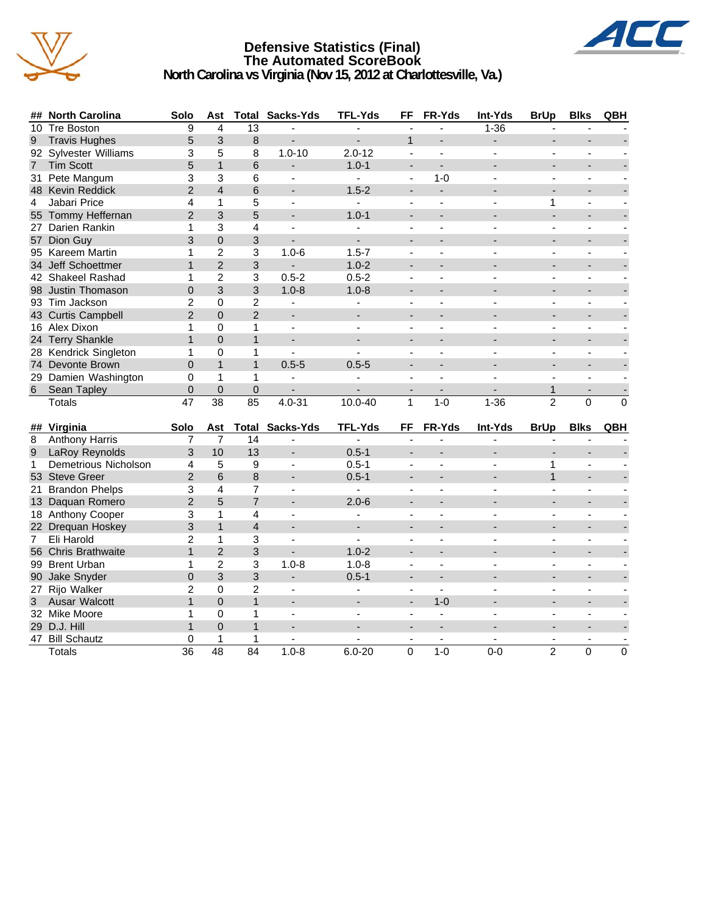

### **Defensive Statistics (Final) The Automated ScoreBook North Carolina vs Virginia (Nov 15, 2012 at Charlottesville, Va.)**



| ##               | <b>North Carolina</b> | Solo            | Ast             |                 | <b>Total Sacks-Yds</b>   | <b>TFL-Yds</b>           | FF                       | FR-Yds                   | Int-Yds                  | <b>BrUp</b>    | <b>Blks</b>              | QBH            |
|------------------|-----------------------|-----------------|-----------------|-----------------|--------------------------|--------------------------|--------------------------|--------------------------|--------------------------|----------------|--------------------------|----------------|
| 10               | <b>Tre Boston</b>     | 9               | 4               | $\overline{13}$ |                          |                          | $\overline{\phantom{a}}$ | L.                       | $1 - 36$                 | $\blacksquare$ |                          |                |
| 9                | <b>Travis Hughes</b>  | 5               | 3               | 8               |                          |                          | $\mathbf{1}$             |                          |                          |                |                          |                |
|                  | 92 Sylvester Williams | 3               | 5               | 8               | $1.0 - 10$               | $2.0 - 12$               | $\blacksquare$           | $\mathbf{r}$             | $\overline{a}$           | $\blacksquare$ | $\blacksquare$           |                |
| $\overline{7}$   | <b>Tim Scott</b>      | 5               | $\mathbf{1}$    | 6               | $\overline{\phantom{0}}$ | $1.0 - 1$                | $\overline{\phantom{a}}$ | $\overline{a}$           |                          |                | $\overline{\phantom{0}}$ |                |
| 31               | Pete Mangum           | 3               | 3               | 6               | $\blacksquare$           | $\mathbf{r}$             | $\blacksquare$           | $1 - 0$                  | $\overline{a}$           | $\blacksquare$ | $\blacksquare$           |                |
|                  | 48 Kevin Reddick      | 2               | $\overline{4}$  | 6               |                          | $1.5 - 2$                | $\overline{a}$           | $\blacksquare$           |                          |                |                          |                |
| 4                | Jabari Price          | 4               | $\mathbf{1}$    | 5               | $\blacksquare$           | $\blacksquare$           | $\blacksquare$           |                          |                          | 1              | ÷,                       |                |
|                  | 55 Tommy Heffernan    | $\overline{2}$  | 3               | 5               |                          | $1.0 - 1$                | $\overline{\phantom{a}}$ |                          |                          |                |                          |                |
|                  | 27 Darien Rankin      | $\mathbf{1}$    | 3               | 4               | ÷.                       |                          | $\blacksquare$           |                          |                          |                | ÷.                       |                |
|                  | 57 Dion Guy           | 3               | $\mathbf 0$     | 3               |                          |                          | $\blacksquare$           |                          |                          | $\overline{a}$ | $\overline{a}$           |                |
|                  | 95 Kareem Martin      | 1               | $\overline{c}$  | 3               | $1.0 - 6$                | $1.5 - 7$                | $\overline{\phantom{a}}$ | $\blacksquare$           |                          | $\blacksquare$ | ä,                       |                |
|                  | 34 Jeff Schoettmer    | $\mathbf{1}$    | $\overline{2}$  | 3               |                          | $1.0 - 2$                |                          |                          |                          |                |                          |                |
|                  | 42 Shakeel Rashad     | 1               | $\overline{2}$  | 3               | $0.5 - 2$                | $0.5 - 2$                | $\blacksquare$           | $\blacksquare$           | $\overline{a}$           | $\blacksquare$ | $\blacksquare$           |                |
|                  | 98 Justin Thomason    | $\mathbf 0$     | 3               | 3               | $1.0 - 8$                | $1.0 - 8$                | $\overline{a}$           |                          |                          | $\sim$         | $\overline{\phantom{a}}$ |                |
|                  | 93 Tim Jackson        | $\overline{c}$  | 0               | $\overline{2}$  | $\overline{\phantom{a}}$ | $\mathbf{r}$             | $\blacksquare$           | $\overline{a}$           |                          | $\blacksquare$ | $\blacksquare$           |                |
|                  | 43 Curtis Campbell    | $\overline{2}$  | $\mathbf 0$     | $\overline{2}$  | $\overline{\phantom{a}}$ |                          | $\overline{a}$           |                          |                          |                |                          |                |
|                  | 16 Alex Dixon         | $\mathbf{1}$    | $\mathbf 0$     | $\mathbf{1}$    | ÷,                       |                          | $\blacksquare$           |                          |                          |                |                          |                |
|                  | 24 Terry Shankle      | $\mathbf{1}$    | $\overline{0}$  | $\mathbf{1}$    | $\overline{a}$           |                          | $\overline{a}$           |                          |                          |                |                          |                |
|                  | 28 Kendrick Singleton | 1               | 0               | 1               | $\blacksquare$           | $\overline{a}$           | $\blacksquare$           | $\overline{a}$           |                          | $\blacksquare$ | ä,                       |                |
|                  | 74 Devonte Brown      | $\Omega$        | $\mathbf{1}$    | $\mathbf{1}$    | $0.5 - 5$                | $0.5 - 5$                | ÷,                       |                          |                          | $\blacksquare$ | L,                       |                |
|                  | 29 Damien Washington  | 0               | $\mathbf{1}$    | 1               |                          |                          | ÷,                       |                          |                          | $\blacksquare$ |                          |                |
| $\,6\,$          | Sean Tapley           | $\overline{0}$  | $\overline{0}$  | $\overline{0}$  |                          |                          |                          |                          |                          | $\mathbf{1}$   |                          |                |
|                  | <b>Totals</b>         | 47              | $\overline{38}$ | 85              | $4.0 - 31$               | $10.0 - 40$              | $\mathbf{1}$             | $1-0$                    | $1 - 36$                 | $\overline{2}$ | $\overline{0}$           | $\mathbf 0$    |
|                  |                       |                 |                 |                 |                          |                          |                          |                          |                          |                |                          |                |
|                  | ## Virginia           | Solo            | Ast             |                 | <b>Total Sacks-Yds</b>   | TFL-Yds                  | FF                       | FR-Yds                   | Int-Yds                  | <b>BrUp</b>    | <b>Blks</b>              | QBH            |
| 8                | <b>Anthony Harris</b> | 7               | 7               | 14              |                          |                          |                          |                          |                          |                |                          |                |
| $\boldsymbol{9}$ | LaRoy Reynolds        | 3               | 10              | 13              |                          | $0.5 - 1$                |                          |                          |                          |                |                          |                |
| $\mathbf{1}$     | Demetrious Nicholson  | 4               | 5               | 9               | $\blacksquare$           | $0.5 - 1$                | $\blacksquare$           | $\blacksquare$           | $\overline{a}$           | 1              | $\blacksquare$           |                |
|                  | 53 Steve Greer        | $\overline{2}$  | 6               | 8               | ۰                        | $0.5 - 1$                | $\overline{a}$           | ٠                        |                          | $\mathbf{1}$   | $\overline{\phantom{a}}$ |                |
| 21               | <b>Brandon Phelps</b> | 3               | $\overline{4}$  | 7               | $\blacksquare$           | $\blacksquare$           | $\sim$                   | $\overline{a}$           | $\overline{a}$           | $\sim$         | $\blacksquare$           |                |
|                  | 13 Daquan Romero      | $\overline{2}$  | 5               | $\overline{7}$  |                          | $2.0 - 6$                | $\overline{\phantom{a}}$ |                          |                          |                |                          |                |
|                  | 18 Anthony Cooper     | 3               | $\mathbf{1}$    | 4               | $\overline{\phantom{a}}$ | $\blacksquare$           | $\blacksquare$           | $\overline{\phantom{a}}$ |                          | $\blacksquare$ | ä,                       |                |
|                  | 22 Drequan Hoskey     | 3               | $\mathbf{1}$    | $\overline{4}$  | $\overline{\phantom{a}}$ | ÷.                       | ÷                        |                          |                          |                | $\overline{a}$           |                |
| $\overline{7}$   | Eli Harold            | $\overline{2}$  | $\mathbf{1}$    | 3               | $\overline{a}$           |                          | $\blacksquare$           |                          |                          |                | ÷.                       |                |
|                  | 56 Chris Brathwaite   | $\mathbf{1}$    | $\overline{2}$  | 3               |                          | $1.0 - 2$                | $\overline{a}$           |                          |                          |                |                          |                |
|                  | 99 Brent Urban        | 1               | $\overline{2}$  | 3               | $1.0 - 8$                | $1.0 - 8$                | $\blacksquare$           | $\blacksquare$           |                          | $\blacksquare$ | ä,                       |                |
|                  | 90 Jake Snyder        | $\overline{0}$  | 3               | 3               | $\overline{\phantom{0}}$ | $0.5 - 1$                | $\overline{\phantom{a}}$ |                          |                          |                |                          |                |
| 27               | Rijo Walker           | $\overline{2}$  | 0               | $\overline{2}$  | $\blacksquare$           | $\blacksquare$           | $\blacksquare$           | $\blacksquare$           | $\overline{a}$           | $\blacksquare$ | $\blacksquare$           |                |
| 3                | <b>Ausar Walcott</b>  | $\mathbf{1}$    | $\overline{0}$  | $\mathbf{1}$    | $\overline{\phantom{a}}$ |                          | $\overline{\phantom{a}}$ | $1 - 0$                  |                          | $\sim$         | $\overline{a}$           |                |
|                  | 32 Mike Moore         | 1               | $\mathsf 0$     | 1               | $\sim$                   | $\overline{\phantom{a}}$ | $\sim$                   | $\mathbf{r}$             | $\overline{\phantom{a}}$ | $\sim$         | $\blacksquare$           |                |
|                  | 29 D.J. Hill          | $\mathbf{1}$    | $\overline{0}$  | $\mathbf{1}$    |                          |                          |                          |                          |                          |                |                          |                |
|                  | 47 Bill Schautz       | $\mathbf 0$     | 1               | 1               |                          |                          |                          |                          |                          | $\blacksquare$ |                          |                |
|                  | <b>Totals</b>         | $\overline{36}$ | 48              | 84              | $1.0 - 8$                | $6.0 - 20$               | $\Omega$                 | $1-0$                    | $0-0$                    | $\mathfrak{p}$ | $\Omega$                 | $\overline{0}$ |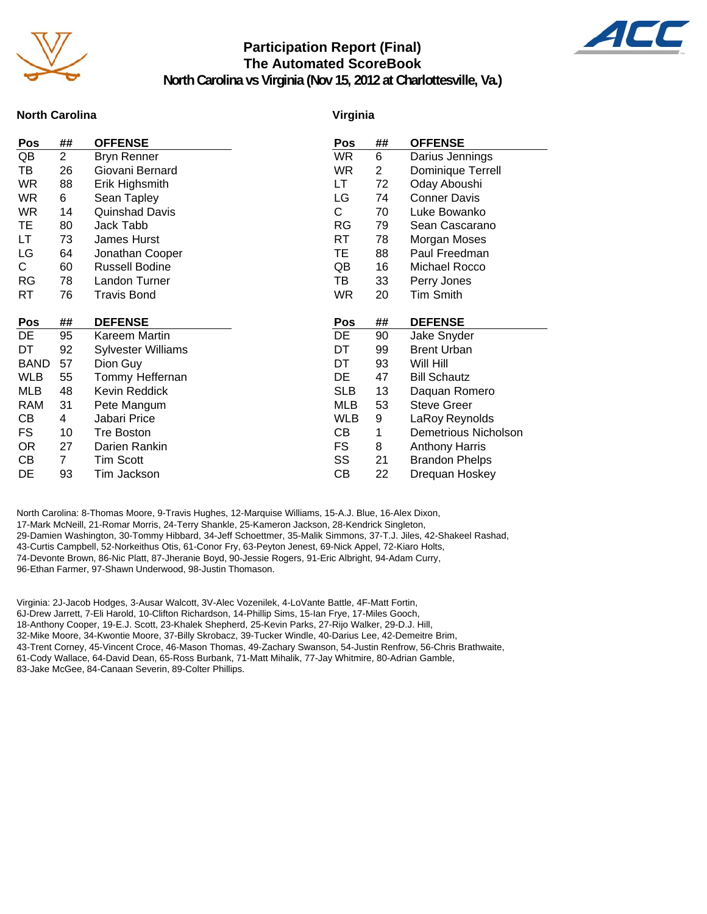

### **Participation Report (Final) The Automated ScoreBook**



**North Carolina vs Virginia (Nov 15, 2012 at Charlottesville, Va.)**

#### **North Carolina**

#### **Virginia**

| Pos         | ##             | <b>OFFENSE</b>            | Pos        | ##             | <b>OFFENSE</b>        |
|-------------|----------------|---------------------------|------------|----------------|-----------------------|
| QB          | $\overline{2}$ | <b>Bryn Renner</b>        | <b>WR</b>  | 6              | Darius Jennings       |
| TB          | 26             | Giovani Bernard           | <b>WR</b>  | $\overline{2}$ | Dominique Terrell     |
| <b>WR</b>   | 88             | Erik Highsmith            | LT         | 72             | Oday Aboushi          |
| <b>WR</b>   | 6              | Sean Tapley               | LG         | 74             | <b>Conner Davis</b>   |
| <b>WR</b>   | 14             | <b>Quinshad Davis</b>     | C          | 70             | Luke Bowanko          |
| TE          | 80             | Jack Tabb                 | RG         | 79             | Sean Cascarano        |
| LT          | 73             | James Hurst               | RT         | 78             | Morgan Moses          |
| LG          | 64             | Jonathan Cooper           | TE         | 88             | Paul Freedman         |
| С           | 60             | <b>Russell Bodine</b>     | QB         | 16             | Michael Rocco         |
| <b>RG</b>   | 78             | Landon Turner             | TВ         | 33             | Perry Jones           |
| RT          | 76             | <b>Travis Bond</b>        | <b>WR</b>  | 20             | <b>Tim Smith</b>      |
|             |                |                           |            |                |                       |
| <b>Pos</b>  | ##             | <b>DEFENSE</b>            | Pos        | ##             | <b>DEFENSE</b>        |
| DE          | 95             | Kareem Martin             | DE         | 90             | Jake Snyder           |
| DT          | 92             | <b>Sylvester Williams</b> | DT         | 99             | <b>Brent Urban</b>    |
| <b>BAND</b> | 57             | Dion Guy                  | DT         | 93             | Will Hill             |
| <b>WLB</b>  | 55             | Tommy Heffernan           | DE         | 47             | <b>Bill Schautz</b>   |
| MLB         | 48             | Kevin Reddick             | <b>SLB</b> | 13             | Daquan Romero         |
| <b>RAM</b>  | 31             | Pete Mangum               | MLB        | 53             | <b>Steve Greer</b>    |
| CВ          | 4              | Jabari Price              | WLB        | 9              | LaRoy Reynolds        |
| FS          | 10             | <b>Tre Boston</b>         | CВ         | 1              | Demetrious Nicholson  |
| OR.         | 27             | Darien Rankin             | FS         | 8              | <b>Anthony Harris</b> |
| CВ          | 7 <sup>1</sup> | <b>Tim Scott</b>          | SS         | 21             | <b>Brandon Phelps</b> |
| DE          | 93             | Tim Jackson               | СB         | 22             | Drequan Hoskey        |

North Carolina: 8-Thomas Moore, 9-Travis Hughes, 12-Marquise Williams, 15-A.J. Blue, 16-Alex Dixon, 17-Mark McNeill, 21-Romar Morris, 24-Terry Shankle, 25-Kameron Jackson, 28-Kendrick Singleton, 29-Damien Washington, 30-Tommy Hibbard, 34-Jeff Schoettmer, 35-Malik Simmons, 37-T.J. Jiles, 42-Shakeel Rashad, 43-Curtis Campbell, 52-Norkeithus Otis, 61-Conor Fry, 63-Peyton Jenest, 69-Nick Appel, 72-Kiaro Holts, 74-Devonte Brown, 86-Nic Platt, 87-Jheranie Boyd, 90-Jessie Rogers, 91-Eric Albright, 94-Adam Curry, 96-Ethan Farmer, 97-Shawn Underwood, 98-Justin Thomason.

Virginia: 2J-Jacob Hodges, 3-Ausar Walcott, 3V-Alec Vozenilek, 4-LoVante Battle, 4F-Matt Fortin, 6J-Drew Jarrett, 7-Eli Harold, 10-Clifton Richardson, 14-Phillip Sims, 15-Ian Frye, 17-Miles Gooch, 18-Anthony Cooper, 19-E.J. Scott, 23-Khalek Shepherd, 25-Kevin Parks, 27-Rijo Walker, 29-D.J. Hill, 32-Mike Moore, 34-Kwontie Moore, 37-Billy Skrobacz, 39-Tucker Windle, 40-Darius Lee, 42-Demeitre Brim, 43-Trent Corney, 45-Vincent Croce, 46-Mason Thomas, 49-Zachary Swanson, 54-Justin Renfrow, 56-Chris Brathwaite, 61-Cody Wallace, 64-David Dean, 65-Ross Burbank, 71-Matt Mihalik, 77-Jay Whitmire, 80-Adrian Gamble, 83-Jake McGee, 84-Canaan Severin, 89-Colter Phillips.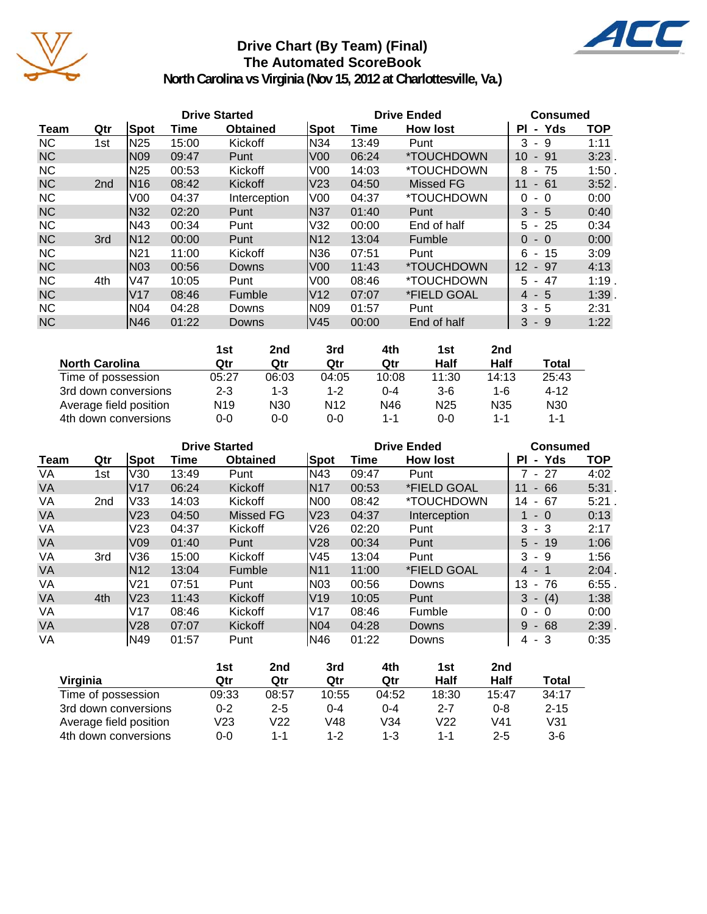

### **Drive Chart (By Team) (Final) The Automated ScoreBook**



|           | <b>Drive Started</b> |                 |       |                 |                  |       | <b>Drive Ended</b>       |                         |            |  |  |
|-----------|----------------------|-----------------|-------|-----------------|------------------|-------|--------------------------|-------------------------|------------|--|--|
| Team      | Qtr                  | Spot            | Time  | <b>Obtained</b> | Spot             | Time  | <b>How lost</b>          | - Yds<br>ΡI             | <b>TOP</b> |  |  |
| <b>NC</b> | 1st                  | N25             | 15:00 | Kickoff         | N34              | 13:49 | Punt                     | 3<br>-9                 | 1:11       |  |  |
| <b>NC</b> |                      | N <sub>09</sub> | 09:47 | Punt            | V <sub>00</sub>  | 06:24 | *TOUCHDOWN               | 10 <sup>°</sup><br>- 91 | 3:23       |  |  |
| <b>NC</b> |                      | N25             | 00:53 | Kickoff         | V <sub>0</sub>   | 14:03 | *TOUCHDOWN               | 8<br>- 75               | 1:50       |  |  |
| <b>NC</b> | 2 <sub>nd</sub>      | N16             | 08:42 | Kickoff         | V <sub>23</sub>  | 04:50 | Missed FG                | 11<br>$-61$             | 3:52.      |  |  |
| <b>NC</b> |                      | V <sub>0</sub>  | 04:37 | Interception    | V00              | 04:37 | <i><b>*TOUCHDOWN</b></i> | $\Omega$<br>$-0$        | 0:00       |  |  |
| <b>NC</b> |                      | N32             | 02:20 | Punt            | N37              | 01:40 | Punt                     | $3 - 5$                 | 0:40       |  |  |
| <b>NC</b> |                      | N43             | 00:34 | Punt            | V32              | 00:00 | End of half              | $-25$<br>5.             | 0:34       |  |  |
| <b>NC</b> | 3rd                  | N <sub>12</sub> | 00:00 | Punt            | N <sub>12</sub>  | 13:04 | <b>Fumble</b>            | $\Omega$<br>$-0$        | 0:00       |  |  |
| <b>NC</b> |                      | <b>N21</b>      | 11:00 | Kickoff         | N36              | 07:51 | Punt                     | 6<br>- 15               | 3:09       |  |  |
| <b>NC</b> |                      | N <sub>03</sub> | 00:56 | Downs           | IV00             | 11:43 | <i><b>*TOUCHDOWN</b></i> | $12 - 97$               | 4:13       |  |  |
| <b>NC</b> | 4th                  | lV47            | 10:05 | Punt            | V <sub>0</sub> 0 | 08:46 | <i><b>*TOUCHDOWN</b></i> | 47<br>5.                | 1:19       |  |  |
| <b>NC</b> |                      | V <sub>17</sub> | 08:46 | <b>Fumble</b>   | V12              | 07:07 | *FIELD GOAL              | $4 - 5$                 | 1:39       |  |  |
| <b>NC</b> |                      | N04             | 04:28 | Downs           | N09              | 01:57 | Punt                     | 3<br>- 5                | 2:31       |  |  |
| <b>NC</b> |                      | N46             | 01:22 | Downs           | V45              | 00:00 | End of half              | 3<br>- 9                | 1:22       |  |  |

|                        | 1st             | 2nd     | 3rd             | 4th     | 1st             | 2 <sub>nd</sub> |                 |
|------------------------|-----------------|---------|-----------------|---------|-----------------|-----------------|-----------------|
| <b>North Carolina</b>  | Qtr             | Qtr     | Qtr             | Qtr     | Half            | Half            | Total           |
| Time of possession     | 05:27           | 06:03   | 04:05           | 10:08   | 11:30           | 14:13           | 25:43           |
| 3rd down conversions   | $2 - 3$         | $1 - 3$ | $1 - 2$         | $0 - 4$ | $3-6$           | $1 - 6$         | $4 - 12$        |
| Average field position | N <sub>19</sub> | N30     | N <sub>12</sub> | N46     | N <sub>25</sub> | N35             | N <sub>30</sub> |
| 4th down conversions   | 0-0             | $0 - 0$ | 0-0             | 1-1     | 0-0             | $1 - 1$         | $1 - 1$         |

|           |                 |                 |       | <b>Drive Started</b> |             | <b>Drive Ended</b> | <b>Consumed</b>          |                            |            |
|-----------|-----------------|-----------------|-------|----------------------|-------------|--------------------|--------------------------|----------------------------|------------|
| Team      | Qtr             | Spot            | Time  | <b>Obtained</b>      | <b>Spot</b> | Time               | <b>How lost</b>          | - Yds<br>ΡI                | <b>TOP</b> |
| VA        | 1st             | V30             | 13:49 | Punt                 | IN43        | 09:47              | Punt                     | $7 - 27$                   | 4:02       |
| <b>VA</b> |                 | V17             | 06:24 | Kickoff              | <b>N17</b>  | 00:53              | *FIELD GOAL              | 66<br>11<br>$\sim$         | 5:31.      |
| VA        | 2 <sub>nd</sub> | V33             | 14:03 | Kickoff              | N00         | 08:42              | <i><b>*TOUCHDOWN</b></i> | 67<br>14<br>$\blacksquare$ | 5:21       |
| <b>VA</b> |                 | V <sub>23</sub> | 04:50 | Missed FG            | lV23        | 04:37              | Interception             | $-0$                       | 0:13       |
| VA        |                 | V23             | 04:37 | Kickoff              | V26         | 02:20              | Punt                     | 3<br>- 3                   | 2:17       |
| <b>VA</b> |                 | V <sub>09</sub> | 01:40 | Punt                 | V28         | 00:34              | Punt                     | $5 - 19$                   | 1:06       |
| VA        | 3rd             | V36             | 15:00 | Kickoff              | V45         | 13:04              | Punt                     | 3<br>-9                    | 1:56       |
| <b>VA</b> |                 | <b>N12</b>      | 13:04 | Fumble               | <b>N11</b>  | 11:00              | *FIELD GOAL              | $4 - 1$                    | 2:04       |
| VA        |                 | V21             | 07:51 | Punt                 | N03         | 00:56              | Downs                    | 13<br>$-76$                | 6:55       |
| <b>VA</b> | 4th             | V <sub>23</sub> | 11:43 | Kickoff              | IV19        | 10:05              | Punt                     | (4)<br>3<br>÷              | 1:38       |
| VA        |                 | V17             | 08:46 | Kickoff              | IV17        | 08:46              | Fumble                   | $\Omega$<br>$-0$           | 0:00       |
| <b>VA</b> |                 | V28             | 07:07 | Kickoff              | N04         | 04:28              | Downs                    | 9<br>$-68$                 | 2:39       |
| VA        |                 | N49             | 01:57 | Punt                 | IN46        | 01:22              | Downs                    | 4 - 3                      | 0:35       |

|                        | 1st     | 2nd             | 3rd     | 4th     | 1st     | 2nd     |          |
|------------------------|---------|-----------------|---------|---------|---------|---------|----------|
| Virginia               | Qtr     | Qtr             | Qtr     | Qtr     | Half    | Half    | Total    |
| Time of possession     | 09:33   | 08:57           | 10:55   | 04:52   | 18:30   | 15:47   | 34:17    |
| 3rd down conversions   | $0 - 2$ | $2 - 5$         | $0 - 4$ | $0 - 4$ | $2 - 7$ | $0 - 8$ | $2 - 15$ |
| Average field position | V23     | V <sub>22</sub> | V48     | V34     | V22     | V41     | V31      |
| 4th down conversions   | 0-0     | $1 - 1$         | 1-2     | $1 - 3$ | 1-1     | $2 - 5$ | 3-6      |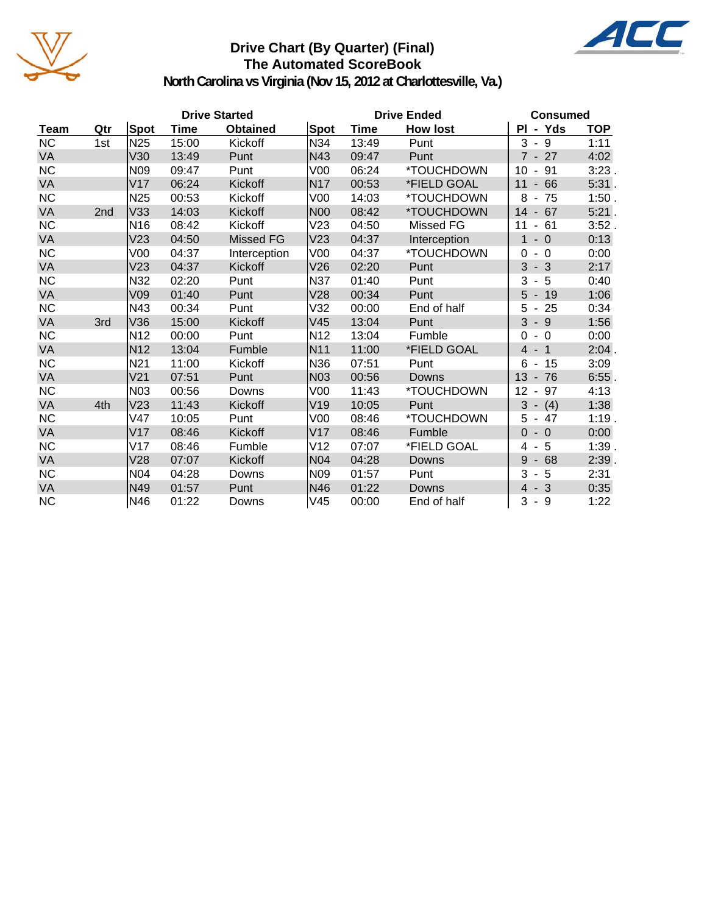

### **Drive Chart (By Quarter) (Final) The Automated ScoreBook**



|           |     |                 |             | <b>Drive Started</b> |                 | <b>Drive Ended</b> | <b>Consumed</b> |                                     |            |
|-----------|-----|-----------------|-------------|----------------------|-----------------|--------------------|-----------------|-------------------------------------|------------|
| Team      | Qtr | <b>Spot</b>     | <b>Time</b> | <b>Obtained</b>      | Spot            | Time               | <b>How lost</b> | PI - Yds                            | <b>TOP</b> |
| <b>NC</b> | 1st | N <sub>25</sub> | 15:00       | Kickoff              | N34             | 13:49              | Punt            | $-9$<br>3                           | 1:11       |
| VA        |     | V30             | 13:49       | Punt                 | N43             | 09:47              | Punt            | $7 - 27$                            | 4:02       |
| <b>NC</b> |     | N <sub>09</sub> | 09:47       | Punt                 | V <sub>00</sub> | 06:24              | *TOUCHDOWN      | 91<br>10<br>$\blacksquare$          | 3:23.      |
| VA        |     | V17             | 06:24       | Kickoff              | <b>N17</b>      | 00:53              | *FIELD GOAL     | 11<br>$-66$                         | $5:31$ .   |
| <b>NC</b> |     | N <sub>25</sub> | 00:53       | Kickoff              | V <sub>00</sub> | 14:03              | *TOUCHDOWN      | 8<br>75<br>$\blacksquare$           | 1:50.      |
| VA        | 2nd | V33             | 14:03       | Kickoff              | <b>N00</b>      | 08:42              | *TOUCHDOWN      | 14<br>$-67$                         | $5:21$ .   |
| NC        |     | N <sub>16</sub> | 08:42       | Kickoff              | V23             | 04:50              | Missed FG       | 11<br>$-61$                         | 3:52.      |
| <b>VA</b> |     | V <sub>23</sub> | 04:50       | Missed FG            | V23             | 04:37              | Interception    | $\mathbf{1}$<br>$-0$                | 0:13       |
| NC        |     | V <sub>00</sub> | 04:37       | Interception         | V <sub>00</sub> | 04:37              | *TOUCHDOWN      | $-0$<br>0                           | 0:00       |
| VA        |     | V <sub>23</sub> | 04:37       | Kickoff              | V26             | 02:20              | Punt            | 3<br>$-3$                           | 2:17       |
| <b>NC</b> |     | N32             | 02:20       | Punt                 | N37             | 01:40              | Punt            | 3<br>$-5$                           | 0:40       |
| <b>VA</b> |     | V09             | 01:40       | Punt                 | V28             | 00:34              | Punt            | 5<br>$-19$                          | 1:06       |
| <b>NC</b> |     | N43             | 00:34       | Punt                 | V32             | 00:00              | End of half     | $-25$<br>5                          | 0:34       |
| VA        | 3rd | V36             | 15:00       | Kickoff              | V45             | 13:04              | Punt            | $3 - 9$                             | 1:56       |
| <b>NC</b> |     | N <sub>12</sub> | 00:00       | Punt                 | N <sub>12</sub> | 13:04              | Fumble          | $\Omega$<br>$-0$                    | 0:00       |
| VA        |     | N <sub>12</sub> | 13:04       | Fumble               | N <sub>11</sub> | 11:00              | *FIELD GOAL     | $-1$<br>4                           | 2:04.      |
| <b>NC</b> |     | N <sub>21</sub> | 11:00       | Kickoff              | N36             | 07:51              | Punt            | 6<br>15<br>$\blacksquare$           | 3:09       |
| VA        |     | V <sub>21</sub> | 07:51       | Punt                 | N03             | 00:56              | Downs           | 13<br>$-76$                         | $6:55$ .   |
| <b>NC</b> |     | N03             | 00:56       | Downs                | V <sub>00</sub> | 11:43              | *TOUCHDOWN      | 97<br>12<br>$\blacksquare$          | 4:13       |
| VA        | 4th | V <sub>23</sub> | 11:43       | Kickoff              | V19             | 10:05              | Punt            | $3 - (4)$                           | 1:38       |
| NC        |     | V47             | 10:05       | Punt                 | V <sub>00</sub> | 08:46              | *TOUCHDOWN      | $5 - 47$                            | 1:19.      |
| <b>VA</b> |     | V17             | 08:46       | Kickoff              | V17             | 08:46              | Fumble          | $\Omega$<br>$-0$                    | 0:00       |
| <b>NC</b> |     | V17             | 08:46       | Fumble               | V <sub>12</sub> | 07:07              | *FIELD GOAL     | -5<br>4<br>$\blacksquare$           | 1:39.      |
| VA        |     | V28             | 07:07       | Kickoff              | N <sub>04</sub> | 04:28              | Downs           | 9<br>68<br>$\overline{\phantom{a}}$ | 2:39.      |
| <b>NC</b> |     | N <sub>04</sub> | 04:28       | Downs                | N <sub>09</sub> | 01:57              | Punt            | 3<br>-5<br>$\blacksquare$           | 2:31       |
| VA        |     | N49             | 01:57       | Punt                 | N46             | 01:22              | Downs           | $-3$<br>$\overline{4}$              | 0:35       |
| <b>NC</b> |     | N46             | 01:22       | Downs                | V45             | 00:00              | End of half     | 3<br>- 9                            | 1:22       |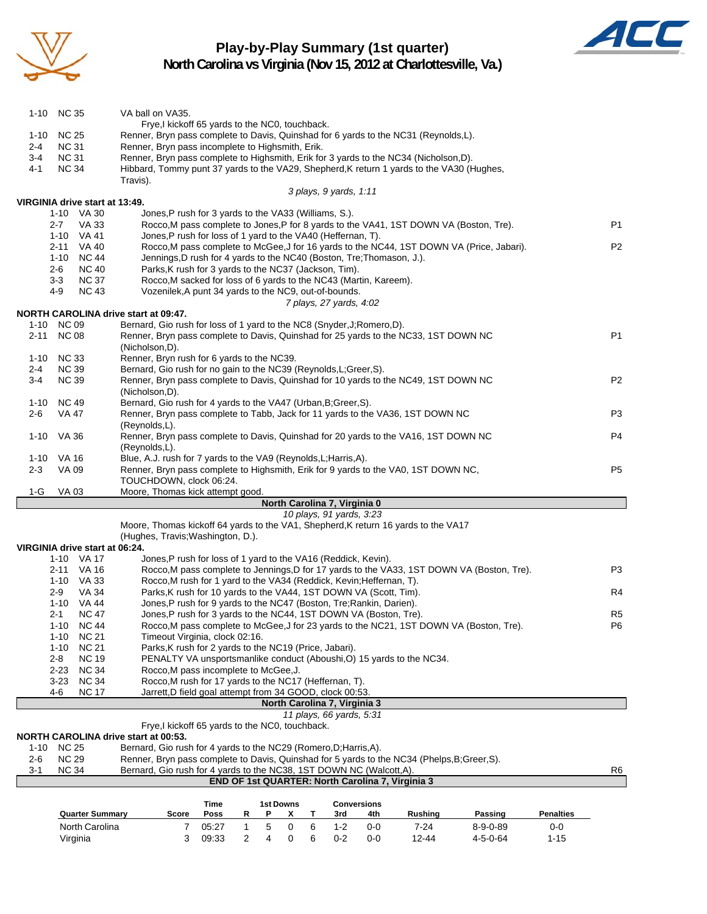

### **Play-by-Play Summary (1st quarter)**



|                |                              | North Carolina<br>Virginia                   | 7<br>3                                                                                                                                                                            | 05:27<br>09:33 | $\mathbf{1}$<br>$\overline{c}$ | 5<br>4 | 0<br>0                | 6<br>6 | $1 - 2$<br>$0 - 2$                                       | 0-0<br>$0-0$              | $7 - 24$<br>12-44                                                                      | $8 - 9 - 0 - 89$<br>$4 - 5 - 0 - 64$                                                       | 0-0<br>$1 - 15$  |                |
|----------------|------------------------------|----------------------------------------------|-----------------------------------------------------------------------------------------------------------------------------------------------------------------------------------|----------------|--------------------------------|--------|-----------------------|--------|----------------------------------------------------------|---------------------------|----------------------------------------------------------------------------------------|--------------------------------------------------------------------------------------------|------------------|----------------|
|                |                              | <b>Quarter Summary</b>                       | Score                                                                                                                                                                             | Time<br>Poss   | R                              | Ρ      | <b>1st Downs</b><br>x | т      | 3rd                                                      | <b>Conversions</b><br>4th | Rushing                                                                                | Passing                                                                                    | <b>Penalties</b> |                |
|                |                              |                                              |                                                                                                                                                                                   |                |                                |        |                       |        |                                                          |                           | END OF 1st QUARTER: North Carolina 7, Virginia 3                                       |                                                                                            |                  |                |
| $2 - 6$<br>3-1 | <b>NC 29</b><br><b>NC 34</b> |                                              | Renner, Bryn pass complete to Davis, Quinshad for 5 yards to the NC34 (Phelps, B; Greer, S).<br>Bernard, Gio rush for 4 yards to the NC38, 1ST DOWN NC (Walcott, A).              |                |                                |        |                       |        |                                                          |                           |                                                                                        |                                                                                            |                  | R <sub>6</sub> |
| $1 - 10$       | <b>NC 25</b>                 |                                              | NORTH CAROLINA drive start at 00:53.<br>Bernard, Gio rush for 4 yards to the NC29 (Romero, D; Harris, A).                                                                         |                |                                |        |                       |        |                                                          |                           |                                                                                        |                                                                                            |                  |                |
|                |                              |                                              | Frye, I kickoff 65 yards to the NC0, touchback.                                                                                                                                   |                |                                |        |                       |        |                                                          |                           |                                                                                        |                                                                                            |                  |                |
|                |                              |                                              |                                                                                                                                                                                   |                |                                |        |                       |        | North Carolina 7, Virginia 3<br>11 plays, 66 yards, 5:31 |                           |                                                                                        |                                                                                            |                  |                |
|                | 4-6                          | <b>NC 17</b>                                 | Jarrett, D field goal attempt from 34 GOOD, clock 00:53.                                                                                                                          |                |                                |        |                       |        |                                                          |                           |                                                                                        |                                                                                            |                  |                |
|                | $3-23$                       | <b>NC 34</b>                                 | Rocco, M rush for 17 yards to the NC17 (Heffernan, T).                                                                                                                            |                |                                |        |                       |        |                                                          |                           |                                                                                        |                                                                                            |                  |                |
|                | $2 - 8$<br>$2 - 23$          | <b>NC 19</b><br><b>NC 34</b>                 | Rocco, M pass incomplete to McGee, J.                                                                                                                                             |                |                                |        |                       |        |                                                          |                           | PENALTY VA unsportsmanlike conduct (Aboushi, O) 15 yards to the NC34.                  |                                                                                            |                  |                |
|                | $1 - 10$                     | <b>NC 21</b>                                 | Parks, K rush for 2 yards to the NC19 (Price, Jabari).                                                                                                                            |                |                                |        |                       |        |                                                          |                           |                                                                                        |                                                                                            |                  |                |
|                | $1 - 10$                     | <b>NC 21</b>                                 | Timeout Virginia, clock 02:16.                                                                                                                                                    |                |                                |        |                       |        |                                                          |                           |                                                                                        |                                                                                            |                  |                |
|                | $1 - 10$                     | NC 44                                        |                                                                                                                                                                                   |                |                                |        |                       |        |                                                          |                           |                                                                                        | Rocco, M pass complete to McGee, J for 23 yards to the NC21, 1ST DOWN VA (Boston, Tre).    |                  | P6             |
|                | 2-1                          | 1-10 VA 44<br><b>NC 47</b>                   | Jones, P rush for 9 yards to the NC47 (Boston, Tre; Rankin, Darien).<br>Jones, P rush for 3 yards to the NC44, 1ST DOWN VA (Boston, Tre).                                         |                |                                |        |                       |        |                                                          |                           |                                                                                        |                                                                                            |                  | R <sub>5</sub> |
|                | $2-9$                        | VA 34                                        | Parks, K rush for 10 yards to the VA44, 1ST DOWN VA (Scott, Tim).                                                                                                                 |                |                                |        |                       |        |                                                          |                           |                                                                                        |                                                                                            |                  | R4             |
|                |                              | 1-10 VA 33                                   | Rocco, M rush for 1 yard to the VA34 (Reddick, Kevin; Heffernan, T).                                                                                                              |                |                                |        |                       |        |                                                          |                           |                                                                                        |                                                                                            |                  |                |
|                |                              | 2-11 VA 16                                   |                                                                                                                                                                                   |                |                                |        |                       |        |                                                          |                           |                                                                                        | Rocco, M pass complete to Jennings, D for 17 yards to the VA33, 1ST DOWN VA (Boston, Tre). |                  | P3             |
|                |                              | VIRGINIA drive start at 06:24.<br>1-10 VA 17 | Jones, P rush for loss of 1 yard to the VA16 (Reddick, Kevin).                                                                                                                    |                |                                |        |                       |        |                                                          |                           |                                                                                        |                                                                                            |                  |                |
|                |                              |                                              | (Hughes, Travis; Washington, D.).                                                                                                                                                 |                |                                |        |                       |        |                                                          |                           |                                                                                        |                                                                                            |                  |                |
|                |                              |                                              | Moore, Thomas kickoff 64 yards to the VA1, Shepherd, K return 16 yards to the VA17                                                                                                |                |                                |        |                       |        | 10 plays, 91 yards, 3:23                                 |                           |                                                                                        |                                                                                            |                  |                |
|                |                              |                                              |                                                                                                                                                                                   |                |                                |        |                       |        | North Carolina 7, Virginia 0                             |                           |                                                                                        |                                                                                            |                  |                |
| 1-G            | <b>VA03</b>                  |                                              | Moore, Thomas kick attempt good.                                                                                                                                                  |                |                                |        |                       |        |                                                          |                           |                                                                                        |                                                                                            |                  |                |
| $2 - 3$        | VA 09                        |                                              | Renner, Bryn pass complete to Highsmith, Erik for 9 yards to the VA0, 1ST DOWN NC,<br>TOUCHDOWN, clock 06:24.                                                                     |                |                                |        |                       |        |                                                          |                           |                                                                                        |                                                                                            |                  | P <sub>5</sub> |
| 1-10           | VA 16                        |                                              | Blue, A.J. rush for 7 yards to the VA9 (Reynolds, L; Harris, A).                                                                                                                  |                |                                |        |                       |        |                                                          |                           |                                                                                        |                                                                                            |                  |                |
|                |                              |                                              | (Reynolds,L).                                                                                                                                                                     |                |                                |        |                       |        |                                                          |                           |                                                                                        |                                                                                            |                  |                |
| $1 - 10$       | VA 36                        |                                              | (Reynolds,L).<br>Renner, Bryn pass complete to Davis, Quinshad for 20 yards to the VA16, 1ST DOWN NC                                                                              |                |                                |        |                       |        |                                                          |                           |                                                                                        | P <sub>4</sub>                                                                             |                  |                |
| $2 - 6$        | VA 47                        |                                              | Renner, Bryn pass complete to Tabb, Jack for 11 yards to the VA36, 1ST DOWN NC                                                                                                    |                |                                |        |                       |        |                                                          |                           | P3                                                                                     |                                                                                            |                  |                |
| 1-10           | NC 49                        |                                              | (Nicholson,D).<br>Bernard, Gio rush for 4 yards to the VA47 (Urban, B; Greer, S).                                                                                                 |                |                                |        |                       |        |                                                          |                           |                                                                                        |                                                                                            |                  |                |
| $3-4$          | <b>NC 39</b>                 |                                              | Renner, Bryn pass complete to Davis, Quinshad for 10 yards to the NC49, 1ST DOWN NC                                                                                               |                |                                |        |                       |        |                                                          |                           |                                                                                        | P <sub>2</sub>                                                                             |                  |                |
| $2 - 4$        | <b>NC 39</b>                 |                                              | Bernard, Gio rush for no gain to the NC39 (Reynolds, L; Greer, S).                                                                                                                |                |                                |        |                       |        |                                                          |                           |                                                                                        |                                                                                            |                  |                |
| 1-10           | <b>NC 33</b>                 |                                              | (Nicholson,D).<br>Renner, Bryn rush for 6 yards to the NC39.                                                                                                                      |                |                                |        |                       |        |                                                          |                           |                                                                                        |                                                                                            |                  |                |
|                | 2-11 NC 08                   |                                              | Renner, Bryn pass complete to Davis, Quinshad for 25 yards to the NC33, 1ST DOWN NC                                                                                               |                |                                |        |                       |        |                                                          |                           |                                                                                        |                                                                                            |                  | P <sub>1</sub> |
|                | 1-10 NC 09                   |                                              | Bernard, Gio rush for loss of 1 yard to the NC8 (Snyder, J; Romero, D).                                                                                                           |                |                                |        |                       |        |                                                          |                           |                                                                                        |                                                                                            |                  |                |
|                |                              |                                              | NORTH CAROLINA drive start at 09:47.                                                                                                                                              |                |                                |        |                       |        | 7 plays, 27 yards, 4:02                                  |                           |                                                                                        |                                                                                            |                  |                |
|                | 4-9                          | <b>NC 43</b>                                 | Vozenilek, A punt 34 yards to the NC9, out-of-bounds.                                                                                                                             |                |                                |        |                       |        |                                                          |                           |                                                                                        |                                                                                            |                  |                |
|                | $3 - 3$                      | <b>NC 37</b>                                 | Rocco, M sacked for loss of 6 yards to the NC43 (Martin, Kareem).                                                                                                                 |                |                                |        |                       |        |                                                          |                           |                                                                                        |                                                                                            |                  |                |
|                | 2-6                          | <b>NC 40</b>                                 | Parks, K rush for 3 yards to the NC37 (Jackson, Tim).                                                                                                                             |                |                                |        |                       |        |                                                          |                           |                                                                                        |                                                                                            |                  |                |
|                |                              | 2-11 VA 40<br>1-10 NC 44                     | Jennings, D rush for 4 yards to the NC40 (Boston, Tre; Thomason, J.).                                                                                                             |                |                                |        |                       |        |                                                          |                           |                                                                                        | Rocco, M pass complete to McGee, J for 16 yards to the NC44, 1ST DOWN VA (Price, Jabari).  |                  | P <sub>2</sub> |
|                |                              | 1-10 VA 41                                   | Jones, P rush for loss of 1 yard to the VA40 (Heffernan, T).                                                                                                                      |                |                                |        |                       |        |                                                          |                           |                                                                                        |                                                                                            |                  |                |
|                | 2-7                          | VA 33                                        |                                                                                                                                                                                   |                |                                |        |                       |        |                                                          |                           | Rocco, M pass complete to Jones, P for 8 yards to the VA41, 1ST DOWN VA (Boston, Tre). |                                                                                            |                  | P1             |
|                |                              | VIRGINIA drive start at 13:49.<br>1-10 VA 30 | Jones, P rush for 3 yards to the VA33 (Williams, S.).                                                                                                                             |                |                                |        |                       |        |                                                          |                           |                                                                                        |                                                                                            |                  |                |
|                |                              |                                              |                                                                                                                                                                                   |                |                                |        |                       |        | 3 plays, 9 yards, 1:11                                   |                           |                                                                                        |                                                                                            |                  |                |
| 4-1            | <b>NC 34</b>                 |                                              | Travis).                                                                                                                                                                          |                |                                |        |                       |        |                                                          |                           |                                                                                        |                                                                                            |                  |                |
| $3-4$          | <b>NC 31</b>                 |                                              | Renner, Bryn pass complete to Highsmith, Erik for 3 yards to the NC34 (Nicholson,D).<br>Hibbard, Tommy punt 37 yards to the VA29, Shepherd, K return 1 yards to the VA30 (Hughes, |                |                                |        |                       |        |                                                          |                           |                                                                                        |                                                                                            |                  |                |
| 2-4            | <b>NC 31</b>                 |                                              | Renner, Bryn pass incomplete to Highsmith, Erik.                                                                                                                                  |                |                                |        |                       |        |                                                          |                           |                                                                                        |                                                                                            |                  |                |
| $1 - 10$       | <b>NC 25</b>                 |                                              | Frye,I kickoff 65 yards to the NC0, touchback.<br>Renner, Bryn pass complete to Davis, Quinshad for 6 yards to the NC31 (Reynolds,L).                                             |                |                                |        |                       |        |                                                          |                           |                                                                                        |                                                                                            |                  |                |
|                | 1-10 NC 35                   |                                              | VA ball on VA35.                                                                                                                                                                  |                |                                |        |                       |        |                                                          |                           |                                                                                        |                                                                                            |                  |                |
|                |                              |                                              |                                                                                                                                                                                   |                |                                |        |                       |        |                                                          |                           |                                                                                        |                                                                                            |                  |                |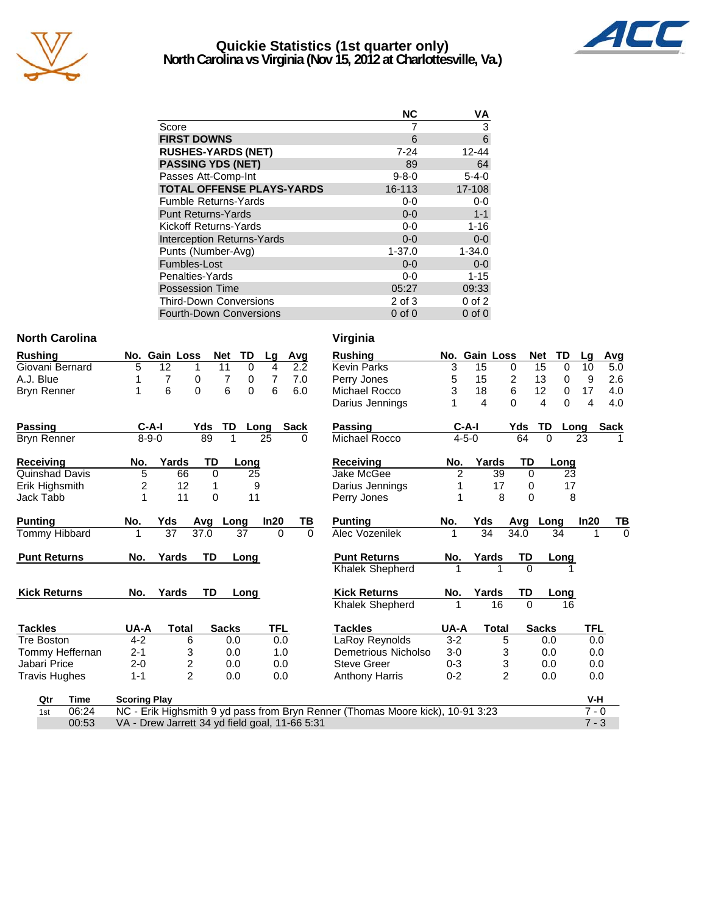

### **Quickie Statistics (1st quarter only) North Carolina vs Virginia (Nov 15, 2012 at Charlottesville, Va.)**



|                                   | <b>NC</b>   | VA          |
|-----------------------------------|-------------|-------------|
| Score                             |             | 3           |
| <b>FIRST DOWNS</b>                | 6           | 6           |
| <b>RUSHES-YARDS (NET)</b>         | $7 - 24$    | $12 - 44$   |
| <b>PASSING YDS (NET)</b>          | 89          | 64          |
| Passes Att-Comp-Int               | $9 - 8 - 0$ | $5 - 4 - 0$ |
| <b>TOTAL OFFENSE PLAYS-YARDS</b>  | 16-113      | 17-108      |
| <b>Fumble Returns-Yards</b>       | $0-0$       | $0-0$       |
| <b>Punt Returns-Yards</b>         | $0 - 0$     | $1 - 1$     |
| Kickoff Returns-Yards             | $0-0$       | $1 - 16$    |
| <b>Interception Returns-Yards</b> | $0 - 0$     | $0 - 0$     |
| Punts (Number-Avg)                | $1 - 37.0$  | $1 - 34.0$  |
| Fumbles-Lost                      | $0 - 0$     | $0 - 0$     |
| Penalties-Yards                   | $0 - 0$     | $1 - 15$    |
| <b>Possession Time</b>            | 05:27       | 09:33       |
| <b>Third-Down Conversions</b>     | 2 of 3      | $0$ of $2$  |
| <b>Fourth-Down Conversions</b>    | $0$ of $0$  | $0$ of $0$  |

00:53 VA - Drew Jarrett 34 yd field goal, 11-66 5:31 7 - 3

#### **North Carolina**

| <b>Rushing</b>  |   | No. Gain Loss |     | Net TD |      | Lq | Avq  |
|-----------------|---|---------------|-----|--------|------|----|------|
| Giovani Bernard | 5 | 12            |     | 11     | Ω    | 4  | 2.2  |
| A.J. Blue       |   |               | O   |        | 0    |    | 7.0  |
| Bryn Renner     |   | 6             | O   | 6      | 0    | 6  | 6.0  |
| <b>Passing</b>  |   | C-A-I         | Yds | - TD   | Long |    | Sack |
| Bryn Renner     |   | $8 - 9 - 0$   | 89  |        |      | 25 | 0    |

| Receiving             | No. | Yards | TD | Lona |
|-----------------------|-----|-------|----|------|
| <b>Quinshad Davis</b> | 5   | 66    |    | 25   |
| Erik Highsmith        | າ   | 12    |    | 9    |
| Jack Tabb             |     | 11    |    | 11   |

| <b>Punting</b>      | No. | Yds |      | Avg Long      | In20 | ΤВ |
|---------------------|-----|-----|------|---------------|------|----|
| Tommy Hibbard       |     | 37. | 37.0 | -37           |      |    |
| <b>Punt Returns</b> | No. |     |      | Yards TD Long |      |    |

| <b>Kick Returns</b> | No. Yards TD Long |  |
|---------------------|-------------------|--|
|                     |                   |  |

| Tackles         | UA-A    | Total | <b>Sacks</b> | TFL |
|-----------------|---------|-------|--------------|-----|
| Tre Boston      | 4-2     | 6     | 0.0          | 0.0 |
| Tommy Heffernan | $2 - 1$ | 3     | 0.0          | 1.0 |
| Jabari Price    | $2 - 0$ | 2     | 0.0          | 0.0 |
| Travis Hughes   | $1 - 1$ | 2     | 0.0          | 0.0 |

| North Carolina       |                     |                |              |             |            |             | Virginia                                                                       |                |               |                |                |             |         |             |
|----------------------|---------------------|----------------|--------------|-------------|------------|-------------|--------------------------------------------------------------------------------|----------------|---------------|----------------|----------------|-------------|---------|-------------|
| Rushing              |                     | No. Gain Loss  | <b>Net</b>   | TD          | Lg         | Avg         | <b>Rushing</b>                                                                 |                | No. Gain Loss |                | <b>Net</b>     | TD          | Lg      | Avg         |
| Giovani Bernard      | 5                   | 12<br>1        | 11           | $\mathbf 0$ | 4          | 2.2         | <b>Kevin Parks</b>                                                             | 3              | 15            | 0              | 15             | 0           | 10      | 5.0         |
| A.J. Blue            | 1                   | 7<br>0         | 7            | $\mathbf 0$ | 7          | 7.0         | Perry Jones                                                                    | 5              | 15            | $\overline{c}$ | 13             | 0           | 9       | 2.6         |
| Bryn Renner          | 1                   | 6<br>$\Omega$  | 6            | $\Omega$    | 6          | 6.0         | Michael Rocco                                                                  | 3              | 18            | 6              | 12             | 0           | 17      | 4.0         |
|                      |                     |                |              |             |            |             | Darius Jennings                                                                |                | 4             | $\Omega$       | $\overline{4}$ | $\Omega$    | 4       | 4.0         |
| Passing              | $C-A-I$             |                | TD<br>Yds    | Long        |            | <b>Sack</b> | <b>Passing</b>                                                                 |                | $C-A-I$       | Yds            | TD             | Long        |         | <b>Sack</b> |
| Bryn Renner          | $8 - 9 - 0$         |                | 89           |             | 25         | 0           | Michael Rocco                                                                  |                | $4 - 5 - 0$   | 64             | $\Omega$       |             | 23      |             |
| Receiving            | No.                 | Yards          | TD           | Long        |            |             | <b>Receiving</b>                                                               | No.            | Yards         |                | TD             | Long        |         |             |
| Quinshad Davis       | 5                   | 66             | 0            | 25          |            |             | Jake McGee                                                                     | $\overline{2}$ |               | 39             | $\Omega$       | 23          |         |             |
| Erik Highsmith       | 2                   | 12             | 1            | 9           |            |             | Darius Jennings                                                                |                |               | 17             | 0              | 17          |         |             |
| Jack Tabb            | 1                   | 11             | 0            | 11          |            |             | Perry Jones                                                                    |                |               | 8              | $\Omega$       | 8           |         |             |
| Punting              | No.                 | Yds            | Avg<br>Long  |             | In20       | TВ          | <b>Punting</b>                                                                 | No.            | Yds           | Avg            | Long           |             | ln20    | TВ          |
| Tommy Hibbard        | 1                   | 37<br>37.0     |              | 37          | $\Omega$   | $\Omega$    | Alec Vozenilek                                                                 | 1              | 34            | 34.0           |                | 34          |         | $\Omega$    |
| <b>Punt Returns</b>  | No.                 | Yards          | TD           | Long        |            |             | <b>Punt Returns</b>                                                            | No.            | Yards         |                | TD             | Long        |         |             |
|                      |                     |                |              |             |            |             | Khalek Shepherd                                                                |                |               |                | $\Omega$       |             |         |             |
| Kick Returns         | No.                 | Yards          | TD           | Long        |            |             | <b>Kick Returns</b>                                                            | No.            | Yards         |                | TD             | <b>Long</b> |         |             |
|                      |                     |                |              |             |            |             | <b>Khalek Shepherd</b>                                                         |                |               | 16             | $\Omega$       | 16          |         |             |
| <b>Tackles</b>       | UA-A                | <b>Total</b>   | <b>Sacks</b> |             | <b>TFL</b> |             | <b>Tackles</b>                                                                 | UA-A           |               | <b>Total</b>   | <b>Sacks</b>   |             | TFL     |             |
| Tre Boston           | $4 - 2$             | 6              | 0.0          |             | 0.0        |             | LaRoy Reynolds                                                                 | $3 - 2$        |               | 5              | 0.0            |             | 0.0     |             |
| Tommy Heffernan      | $2 - 1$             | 3              | 0.0          |             | 1.0        |             | Demetrious Nicholso                                                            | $3-0$          |               | 3              | 0.0            |             | 0.0     |             |
| Jabari Price         | $2 - 0$             | 2              | 0.0          |             | 0.0        |             | <b>Steve Greer</b>                                                             | $0 - 3$        |               | 3              | 0.0            |             | 0.0     |             |
| <b>Travis Hughes</b> | $1 - 1$             | $\mathfrak{p}$ | 0.0          |             | 0.0        |             | <b>Anthony Harris</b>                                                          | $0 - 2$        |               | $\overline{2}$ | 0.0            |             | 0.0     |             |
| Time<br>Qtr          | <b>Scoring Play</b> |                |              |             |            |             |                                                                                |                |               |                |                |             | V-H     |             |
| 06:24<br>1st         |                     |                |              |             |            |             | NC - Erik Highsmith 9 yd pass from Bryn Renner (Thomas Moore kick), 10-91 3:23 |                |               |                |                |             | $7 - 0$ |             |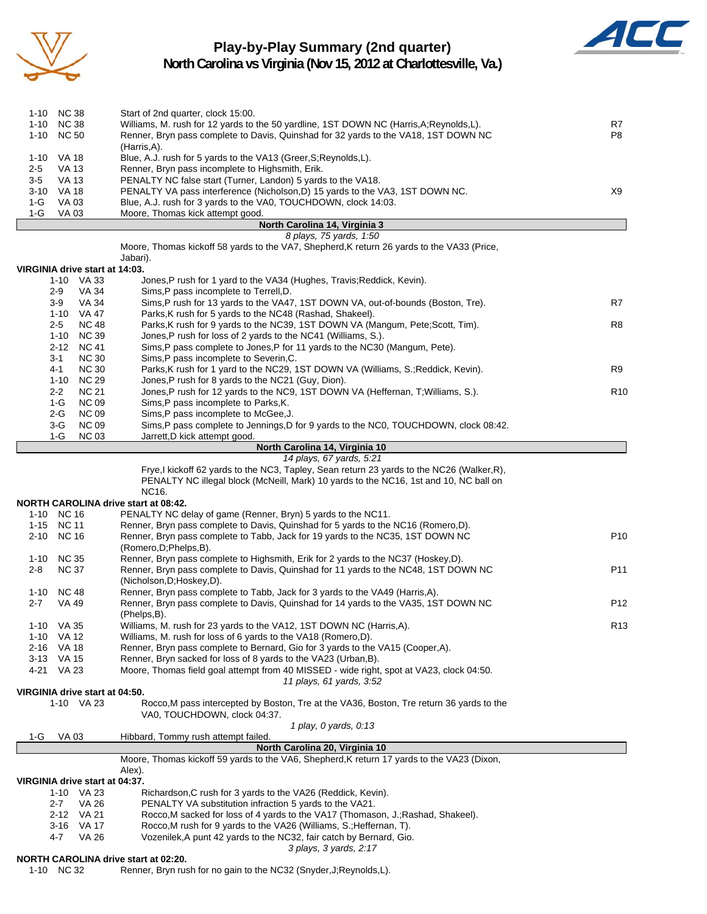

## **Play-by-Play Summary (2nd quarter)**



**North Carolina vs Virginia (Nov 15, 2012 at Charlottesville, Va.)**

|                  | 1-10 NC 38<br>1-10 NC 38                | Start of 2nd quarter, clock 15:00.<br>Williams, M. rush for 12 yards to the 50 yardline, 1ST DOWN NC (Harris, A; Reynolds, L).                              | R7              |
|------------------|-----------------------------------------|-------------------------------------------------------------------------------------------------------------------------------------------------------------|-----------------|
|                  | 1-10 NC 50                              | Renner, Bryn pass complete to Davis, Quinshad for 32 yards to the VA18, 1ST DOWN NC                                                                         | P8              |
|                  |                                         | (Harris,A).                                                                                                                                                 |                 |
|                  | 1-10 VA 18                              | Blue, A.J. rush for 5 yards to the VA13 (Greer, S; Reynolds, L).                                                                                            |                 |
| $2 - 5$<br>$3-5$ | <b>VA 13</b><br><b>VA 13</b>            | Renner, Bryn pass incomplete to Highsmith, Erik.<br>PENALTY NC false start (Turner, Landon) 5 yards to the VA18.                                            |                 |
|                  | 3-10 VA 18                              | PENALTY VA pass interference (Nicholson, D) 15 yards to the VA3, 1ST DOWN NC.                                                                               | X9              |
| 1-G              | VA 03                                   | Blue, A.J. rush for 3 yards to the VA0, TOUCHDOWN, clock 14:03.                                                                                             |                 |
| 1-G              | <b>VA03</b>                             | Moore, Thomas kick attempt good.                                                                                                                            |                 |
|                  |                                         | North Carolina 14, Virginia 3                                                                                                                               |                 |
|                  |                                         | 8 plays, 75 yards, 1:50<br>Moore, Thomas kickoff 58 yards to the VA7, Shepherd, K return 26 yards to the VA33 (Price,                                       |                 |
|                  |                                         | Jabari).                                                                                                                                                    |                 |
|                  | VIRGINIA drive start at 14:03.          |                                                                                                                                                             |                 |
|                  | 1-10 VA 33                              | Jones, P rush for 1 yard to the VA34 (Hughes, Travis; Reddick, Kevin).                                                                                      |                 |
|                  | VA 34<br>2-9                            | Sims, P pass incomplete to Terrell, D.                                                                                                                      |                 |
|                  | $3-9$<br><b>VA 34</b>                   | Sims, P rush for 13 yards to the VA47, 1ST DOWN VA, out-of-bounds (Boston, Tre).                                                                            | R7              |
|                  | 1-10 VA 47<br>$2 - 5$<br><b>NC 48</b>   | Parks, K rush for 5 yards to the NC48 (Rashad, Shakeel).<br>Parks, K rush for 9 yards to the NC39, 1ST DOWN VA (Mangum, Pete; Scott, Tim).                  | R8              |
|                  | $1 - 10$<br><b>NC 39</b>                | Jones, P rush for loss of 2 yards to the NC41 (Williams, S.).                                                                                               |                 |
|                  | 2-12<br><b>NC 41</b>                    | Sims, P pass complete to Jones, P for 11 yards to the NC30 (Mangum, Pete).                                                                                  |                 |
|                  | $3 - 1$<br><b>NC 30</b>                 | Sims, P pass incomplete to Severin, C.                                                                                                                      |                 |
|                  | 4-1<br><b>NC 30</b>                     | Parks, K rush for 1 yard to the NC29, 1ST DOWN VA (Williams, S.; Reddick, Kevin).                                                                           | R9              |
|                  | <b>NC 29</b><br>$1 - 10$                | Jones, P rush for 8 yards to the NC21 (Guy, Dion).                                                                                                          |                 |
|                  | $2 - 2$<br><b>NC 21</b><br><b>NC 09</b> | Jones, P rush for 12 yards to the NC9, 1ST DOWN VA (Heffernan, T; Williams, S.).<br>Sims, P pass incomplete to Parks, K.                                    | R <sub>10</sub> |
|                  | $1-G$<br><b>NC 09</b><br>2-G            | Sims, P pass incomplete to McGee, J.                                                                                                                        |                 |
|                  | $3-G$<br><b>NC 09</b>                   | Sims, P pass complete to Jennings, D for 9 yards to the NC0, TOUCHDOWN, clock 08:42.                                                                        |                 |
|                  | $1-G$<br><b>NC 03</b>                   | Jarrett, D kick attempt good.                                                                                                                               |                 |
|                  |                                         | North Carolina 14, Virginia 10                                                                                                                              |                 |
|                  |                                         | 14 plays, 67 yards, 5:21                                                                                                                                    |                 |
|                  |                                         | Frye,I kickoff 62 yards to the NC3, Tapley, Sean return 23 yards to the NC26 (Walker, R),                                                                   |                 |
|                  |                                         |                                                                                                                                                             |                 |
|                  |                                         | PENALTY NC illegal block (McNeill, Mark) 10 yards to the NC16, 1st and 10, NC ball on                                                                       |                 |
|                  |                                         | NC16.<br>NORTH CAROLINA drive start at 08:42.                                                                                                               |                 |
|                  | 1-10 NC 16                              | PENALTY NC delay of game (Renner, Bryn) 5 yards to the NC11.                                                                                                |                 |
|                  | 1-15 NC 11                              | Renner, Bryn pass complete to Davis, Quinshad for 5 yards to the NC16 (Romero,D).                                                                           |                 |
|                  | 2-10 NC 16                              | Renner, Bryn pass complete to Tabb, Jack for 19 yards to the NC35, 1ST DOWN NC                                                                              | P <sub>10</sub> |
|                  |                                         | (Romero, D; Phelps, B).                                                                                                                                     |                 |
| 2-8              | 1-10 NC 35                              | Renner, Bryn pass complete to Highsmith, Erik for 2 yards to the NC37 (Hoskey,D).                                                                           | P <sub>11</sub> |
|                  | <b>NC 37</b>                            | Renner, Bryn pass complete to Davis, Quinshad for 11 yards to the NC48, 1ST DOWN NC<br>(Nicholson, D; Hoskey, D).                                           |                 |
|                  | 1-10 NC 48                              | Renner, Bryn pass complete to Tabb, Jack for 3 yards to the VA49 (Harris,A).                                                                                |                 |
| $2 - 7$          | VA 49                                   | Renner, Bryn pass complete to Davis, Quinshad for 14 yards to the VA35, 1ST DOWN NC                                                                         | P <sub>12</sub> |
|                  |                                         | (Phelps,B).                                                                                                                                                 |                 |
|                  | 1-10 VA 35                              | Williams, M. rush for 23 yards to the VA12, 1ST DOWN NC (Harris,A).                                                                                         | R <sub>13</sub> |
|                  | 1-10 VA 12                              | Williams, M. rush for loss of 6 yards to the VA18 (Romero,D).                                                                                               |                 |
| 2-16             | VA 18<br>3-13 VA 15                     | Renner, Bryn pass complete to Bernard, Gio for 3 yards to the VA15 (Cooper, A).                                                                             |                 |
|                  | 4-21 VA 23                              | Renner, Bryn sacked for loss of 8 yards to the VA23 (Urban, B).<br>Moore, Thomas field goal attempt from 40 MISSED - wide right, spot at VA23, clock 04:50. |                 |
|                  |                                         | 11 plays, 61 yards, 3:52                                                                                                                                    |                 |
|                  | VIRGINIA drive start at 04:50.          |                                                                                                                                                             |                 |
|                  | 1-10 VA 23                              | Rocco, M pass intercepted by Boston, Tre at the VA36, Boston, Tre return 36 yards to the<br>VA0, TOUCHDOWN, clock 04:37.                                    |                 |
|                  |                                         | 1 play, 0 yards, 0:13                                                                                                                                       |                 |
| 1-G              | VA 03                                   | Hibbard, Tommy rush attempt failed.                                                                                                                         |                 |
|                  |                                         | North Carolina 20, Virginia 10<br>Moore, Thomas kickoff 59 yards to the VA6, Shepherd, K return 17 yards to the VA23 (Dixon,                                |                 |
|                  |                                         | Alex).                                                                                                                                                      |                 |
|                  | VIRGINIA drive start at 04:37.          |                                                                                                                                                             |                 |
|                  | 1-10 VA 23                              | Richardson, C rush for 3 yards to the VA26 (Reddick, Kevin).                                                                                                |                 |
|                  | 2-7<br>VA 26<br>2-12 VA 21              | PENALTY VA substitution infraction 5 yards to the VA21.<br>Rocco, M sacked for loss of 4 yards to the VA17 (Thomason, J.; Rashad, Shakeel).                 |                 |

4-7 VA 26 Vozenilek,A punt 42 yards to the NC32, fair catch by Bernard, Gio.

*3 plays, 3 yards, 2:17*

#### **NORTH CAROLINA drive start at 02:20.**

1-10 NC 32 Renner, Bryn rush for no gain to the NC32 (Snyder,J;Reynolds,L).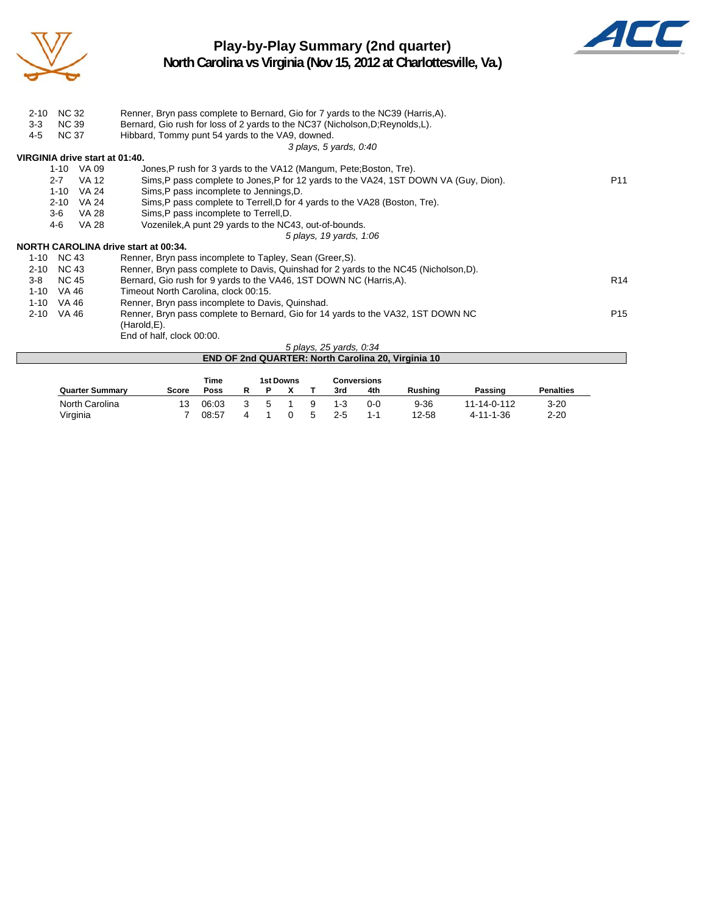

### **Play-by-Play Summary (2nd quarter) North Carolina vs Virginia (Nov 15, 2012 at Charlottesville, Va.)**



| $2 - 10$ | <b>NC 32</b><br><b>NC 39</b> |              | Renner, Bryn pass complete to Bernard, Gio for 7 yards to the NC39 (Harris, A).       |                 |
|----------|------------------------------|--------------|---------------------------------------------------------------------------------------|-----------------|
| $3-3$    |                              |              | Bernard, Gio rush for loss of 2 yards to the NC37 (Nicholson, D; Reynolds, L).        |                 |
| $4 - 5$  | <b>NC 37</b>                 |              | Hibbard, Tommy punt 54 yards to the VA9, downed.                                      |                 |
|          |                              |              | 3 plays, 5 yards, 0:40                                                                |                 |
|          |                              |              | VIRGINIA drive start at 01:40.                                                        |                 |
|          |                              | 1-10 VA 09   | Jones, P rush for 3 yards to the VA12 (Mangum, Pete; Boston, Tre).                    |                 |
|          | $2 - 7$                      | VA 12        | Sims, P pass complete to Jones, P for 12 yards to the VA24, 1ST DOWN VA (Guy, Dion).  | P <sub>11</sub> |
|          | $1 - 10$                     | <b>VA 24</b> | Sims, P pass incomplete to Jennings, D.                                               |                 |
|          | $2 - 10$                     | VA 24        | Sims, P pass complete to Terrell, D for 4 yards to the VA28 (Boston, Tre).            |                 |
|          | $3-6$                        | <b>VA 28</b> | Sims, P pass incomplete to Terrell, D.                                                |                 |
|          | 4-6                          | <b>VA 28</b> | Vozenilek, A punt 29 yards to the NC43, out-of-bounds.                                |                 |
|          |                              |              | 5 plays, 19 yards, 1:06                                                               |                 |
|          |                              |              | NORTH CAROLINA drive start at 00:34.                                                  |                 |
| 1-10     | NC 43                        |              | Renner, Bryn pass incomplete to Tapley, Sean (Greer, S).                              |                 |
| $2 - 10$ | NC 43                        |              | Renner, Bryn pass complete to Davis, Quinshad for 2 yards to the NC45 (Nicholson, D). |                 |
| $3 - 8$  | NC 45                        |              | Bernard, Gio rush for 9 yards to the VA46, 1ST DOWN NC (Harris, A).                   | R <sub>14</sub> |
| $1 - 10$ | VA 46                        |              | Timeout North Carolina, clock 00:15.                                                  |                 |
| $1 - 10$ | VA 46                        |              | Renner, Bryn pass incomplete to Davis, Quinshad.                                      |                 |
| $2 - 10$ | VA 46                        |              | Renner, Bryn pass complete to Bernard, Gio for 14 yards to the VA32, 1ST DOWN NC      | P <sub>15</sub> |
|          |                              |              | (Harold,E).                                                                           |                 |
|          |                              |              | End of half, clock 00:00.                                                             |                 |
|          |                              |              | 5 plays, 25 yards, 0:34                                                               |                 |
|          |                              |              | END OF 2nd QUARTER: North Carolina 20, Virginia 10                                    |                 |

|                        |       | Time  |   | 1st Downs |   |         | Conversions |                |             |                  |
|------------------------|-------|-------|---|-----------|---|---------|-------------|----------------|-------------|------------------|
| <b>Quarter Summary</b> | Score | Poss  |   |           |   | 3rd     | 4th         | <b>Rushing</b> | Passing     | <b>Penalties</b> |
| North Carolina         | 13    | 06:03 | 5 |           | q | $1 - 3$ | $0 - 0$     | $9 - 36$       | 11-14-0-112 | $3 - 20$         |
| Virginia               |       | 08:57 |   |           |   | $2-5$   | 1-1         | 12-58          | 4-11-1-36   | $2 - 20$         |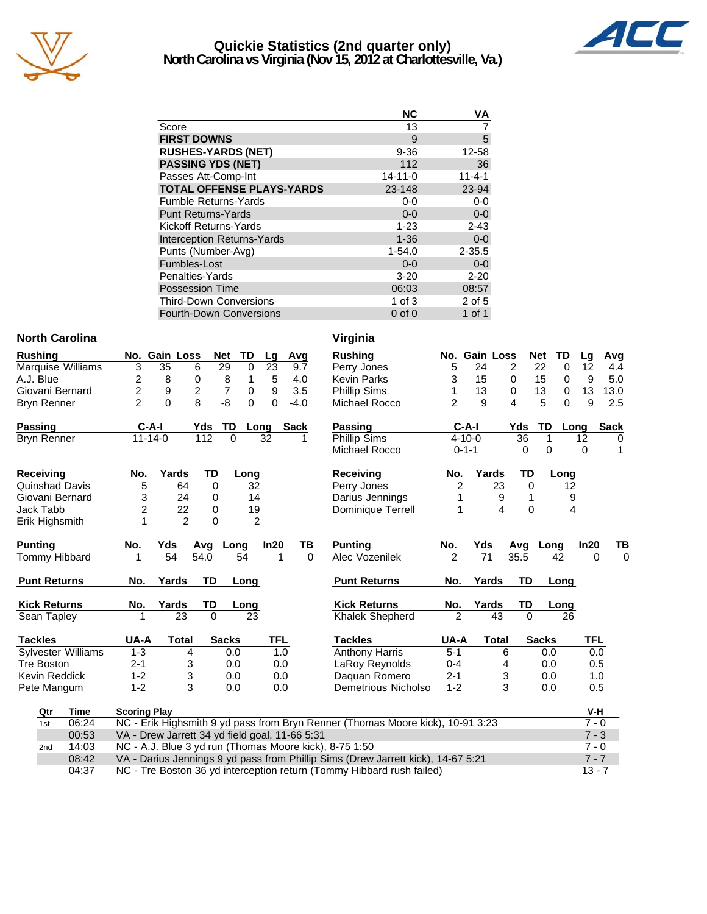

### **Quickie Statistics (2nd quarter only) North Carolina vs Virginia (Nov 15, 2012 at Charlottesville, Va.)**



|                                   | ΝC            | ٧A           |
|-----------------------------------|---------------|--------------|
| Score                             | 13            |              |
| <b>FIRST DOWNS</b>                | 9             | 5            |
| <b>RUSHES-YARDS (NET)</b>         | $9 - 36$      | 12-58        |
| <b>PASSING YDS (NET)</b>          | 112           | 36           |
| Passes Att-Comp-Int               | $14 - 11 - 0$ | $11 - 4 - 1$ |
| <b>TOTAL OFFENSE PLAYS-YARDS</b>  | 23-148        | 23-94        |
| <b>Fumble Returns-Yards</b>       | $0 - 0$       | $0-0$        |
| <b>Punt Returns-Yards</b>         | $0 - 0$       | $0-0$        |
| Kickoff Returns-Yards             | $1 - 23$      | $2 - 43$     |
| <b>Interception Returns-Yards</b> | $1 - 36$      | $0-0$        |
| Punts (Number-Avg)                | $1 - 54.0$    | $2 - 35.5$   |
| Fumbles-Lost                      | $0 - 0$       | $0 - 0$      |
| Penalties-Yards                   | $3 - 20$      | $2 - 20$     |
| <b>Possession Time</b>            | 06:03         | 08:57        |
| <b>Third-Down Conversions</b>     | $1$ of $3$    | 2 of 5       |
| <b>Fourth-Down Conversions</b>    | $0$ of $0$    | 1 of 1       |

#### **North Carolina Virginia**

| Rushing                   |             |                                                                                   | No. Gain Loss    |                | <b>Net</b>     | TD             | Lg         | Avg         |          | <b>Rushing</b>                                                                   |                         | No. Gain Loss |              |                | <b>Net</b><br>TD | Lg         | Avg         |
|---------------------------|-------------|-----------------------------------------------------------------------------------|------------------|----------------|----------------|----------------|------------|-------------|----------|----------------------------------------------------------------------------------|-------------------------|---------------|--------------|----------------|------------------|------------|-------------|
| Marquise Williams         |             | $\overline{3}$                                                                    | 35               | 6              | 29             | 0              | 23         | 9.7         |          | Perry Jones                                                                      | 5                       | 24            |              | $\overline{2}$ | 0<br>22          | 12         | 4.4         |
| A.J. Blue                 |             | 2                                                                                 | 8                | 0              | $\, 8$         | 1              | $\sqrt{5}$ | 4.0         |          | <b>Kevin Parks</b>                                                               | 3                       | 15            |              | 0              | 15<br>0          | 9          | 5.0         |
| Giovani Bernard           |             | $\overline{c}$                                                                    | $\boldsymbol{9}$ | $\overline{c}$ | $\overline{7}$ | $\mathbf 0$    | 9          | 3.5         |          | <b>Phillip Sims</b>                                                              |                         | 13            |              | $\mathbf 0$    | 13<br>0          | 13         | 13.0        |
| <b>Bryn Renner</b>        |             | $\overline{2}$                                                                    | $\overline{0}$   | 8              | $-8$           | $\Omega$       | $\Omega$   | $-4.0$      |          | Michael Rocco                                                                    | $\overline{2}$          | 9             |              | 4              | 5<br>$\Omega$    | 9          | 2.5         |
| Passing                   |             | $C-A-I$                                                                           |                  | Yds            | TD             | Long           |            | <b>Sack</b> |          | Passing                                                                          |                         | $C-A-I$       |              | Yds            | TD               | Long       | <b>Sack</b> |
| Bryn Renner               |             | $11 - 14 - 0$                                                                     |                  | 112            | $\Omega$       |                | 32         |             | 1        | <b>Phillip Sims</b>                                                              | 36<br>$4 - 10 - 0$<br>1 |               |              |                | 12               | 0          |             |
|                           |             |                                                                                   |                  |                |                |                |            |             |          | Michael Rocco                                                                    |                         | $0 - 1 - 1$   |              | 0              | $\Omega$         | 0          | 1           |
| Receiving                 |             | No.                                                                               | Yards            |                | TD             | Long           |            |             |          | Receiving                                                                        | No.                     |               | Yards        | TD             | Long             |            |             |
| Quinshad Davis            |             | $\overline{5}$                                                                    | 64               |                | 0              | 32             |            |             |          | Perry Jones                                                                      | $\overline{2}$          |               | 23           | 0              |                  | 12         |             |
| Giovani Bernard           |             | 3                                                                                 | 24               |                | 0              | 14             |            |             |          | Darius Jennings                                                                  |                         |               | 9            | 1              |                  | 9          |             |
| Jack Tabb                 |             | $\overline{c}$                                                                    | 22               |                | 0              | 19             |            |             |          | Dominique Terrell                                                                | 1                       |               | 4            | $\mathbf 0$    |                  | 4          |             |
| Erik Highsmith            |             |                                                                                   |                  | $\overline{2}$ | 0              | $\overline{2}$ |            |             |          |                                                                                  |                         |               |              |                |                  |            |             |
| Punting                   |             | No.                                                                               | Yds              | Avg            | Long           |                | In20       |             | TВ       | <b>Punting</b>                                                                   | No.                     | Yds           |              | Avg            | Long             | In20       | TВ          |
| Tommy Hibbard             |             | 1                                                                                 | 54               | 54.0           |                | 54             | 1          |             | $\Omega$ | Alec Vozenilek                                                                   | $\overline{2}$          | 71            |              | 35.5           | 42               | $\Omega$   | $\Omega$    |
| <b>Punt Returns</b>       |             | No.                                                                               | Yards            |                | TD             | Long           |            |             |          | <b>Punt Returns</b>                                                              | No.                     | Yards         |              | TD             | Long             |            |             |
| <b>Kick Returns</b>       |             | No.                                                                               | Yards            |                | TD             | Long           |            |             |          | <b>Kick Returns</b>                                                              | No.                     | Yards         |              | TD             | Long             |            |             |
| Sean Tapley               |             | 1                                                                                 | 23               |                | $\Omega$       | 23             |            |             |          | <b>Khalek Shepherd</b>                                                           | $\overline{2}$          |               | 43           | $\Omega$       | 26               |            |             |
| <b>Tackles</b>            |             | UA-A                                                                              | <b>Total</b>     |                | <b>Sacks</b>   |                | TFL        |             |          | <b>Tackles</b>                                                                   | UA-A                    |               | <b>Total</b> |                | <b>Sacks</b>     | <b>TFL</b> |             |
| <b>Sylvester Williams</b> |             | $1 - 3$                                                                           |                  | 4              | 0.0            |                | 1.0        |             |          | <b>Anthony Harris</b>                                                            | $5 - 1$                 |               | 6            |                | 0.0              |            | 0.0         |
| Tre Boston                |             | $2 - 1$                                                                           |                  | 3              | 0.0            |                | 0.0        |             |          | LaRoy Reynolds                                                                   | $0 - 4$                 |               | 4            |                | 0.0              | 0.5        |             |
| Kevin Reddick             |             | $1 - 2$                                                                           |                  | 3              | 0.0            |                | 0.0        |             |          | Daquan Romero                                                                    | $2 - 1$                 |               | 3            |                | 0.0              |            | 1.0         |
| Pete Mangum               |             | $1 - 2$                                                                           |                  | 3              | 0.0            |                | 0.0        |             |          | Demetrious Nicholso                                                              | $1 - 2$                 |               | 3            |                | 0.0              | 0.5        |             |
| Qtr                       | <b>Time</b> | <b>Scoring Play</b>                                                               |                  |                |                |                |            |             |          |                                                                                  |                         |               |              |                |                  | V-H        |             |
| 1st                       | 06:24       |                                                                                   |                  |                |                |                |            |             |          | NC - Erik Highsmith 9 yd pass from Bryn Renner (Thomas Moore kick), 10-91 3:23   |                         |               |              |                |                  | $7 - 0$    |             |
|                           | 00:53       | VA - Drew Jarrett 34 yd field goal, 11-66 5:31                                    |                  |                |                |                |            |             |          |                                                                                  |                         |               |              |                |                  | $7 - 3$    |             |
| 2nd                       | 14:03       |                                                                                   |                  |                |                |                |            |             |          | NC - A.J. Blue 3 yd run (Thomas Moore kick), 8-75 1:50                           |                         |               |              |                |                  | $7 - 0$    |             |
|                           | 08:42       |                                                                                   |                  |                |                |                |            |             |          | VA - Darius Jennings 9 yd pass from Phillip Sims (Drew Jarrett kick), 14-67 5:21 |                         |               |              |                |                  | $7 - 7$    |             |
|                           | 04:37       | NC - Tre Boston 36 yd interception return (Tommy Hibbard rush failed)<br>$13 - 7$ |                  |                |                |                |            |             |          |                                                                                  |                         |               |              |                |                  |            |             |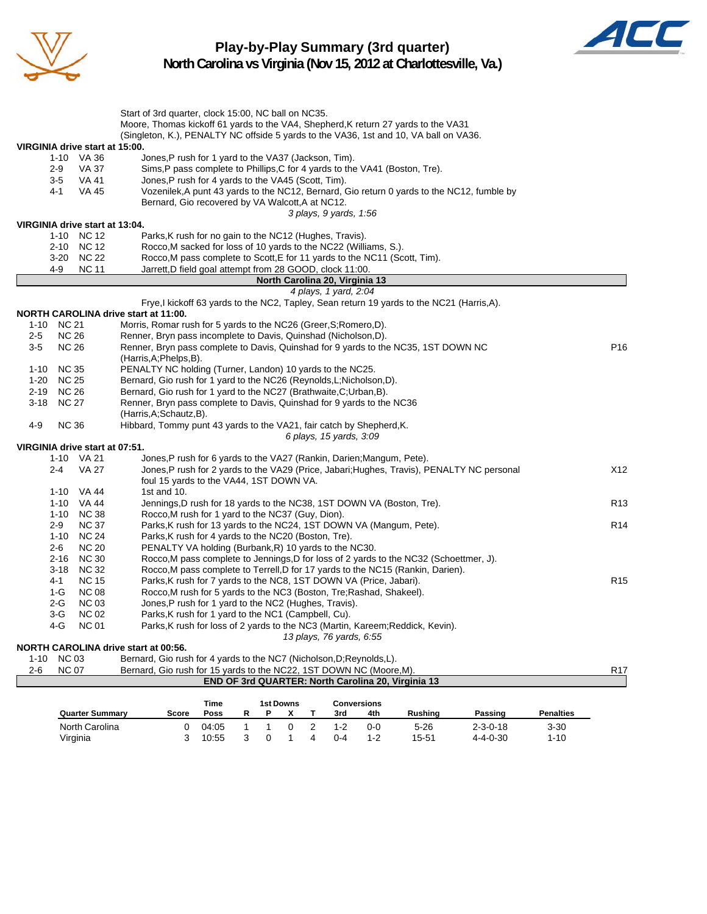

**Play-by-Play Summary (3rd quarter) North Carolina vs Virginia (Nov 15, 2012 at Charlottesville, Va.)**



| Start of 3rd quarter, clock 15:00, NC ball on NC35.<br>Moore, Thomas kickoff 61 yards to the VA4, Shepherd, K return 27 yards to the VA31<br>(Singleton, K.), PENALTY NC offside 5 yards to the VA36, 1st and 10, VA ball on VA36.<br>VIRGINIA drive start at 15:00.<br>1-10 VA 36<br>Jones, P rush for 1 yard to the VA37 (Jackson, Tim).<br>$2 - 9$<br>VA 37<br>Sims, P pass complete to Phillips, C for 4 yards to the VA41 (Boston, Tre).<br><b>VA 41</b><br>$3-5$<br>Jones, P rush for 4 yards to the VA45 (Scott, Tim).<br><b>VA 45</b><br>Vozenilek, A punt 43 yards to the NC12, Bernard, Gio return 0 yards to the NC12, fumble by<br>4-1<br>Bernard, Gio recovered by VA Walcott, A at NC12.<br>3 plays, 9 yards, 1:56<br>VIRGINIA drive start at 13:04.<br>1-10 NC 12<br>Parks, K rush for no gain to the NC12 (Hughes, Travis).<br>2-10 NC 12<br>Rocco, M sacked for loss of 10 yards to the NC22 (Williams, S.).<br>3-20 NC 22<br>Rocco, M pass complete to Scott, E for 11 yards to the NC11 (Scott, Tim).<br>4-9<br><b>NC 11</b><br>Jarrett, D field goal attempt from 28 GOOD, clock 11:00.<br>North Carolina 20, Virginia 13<br>4 plays, 1 yard, 2:04<br>Frye, I kickoff 63 yards to the NC2, Tapley, Sean return 19 yards to the NC21 (Harris, A).<br><b>NORTH CAROLINA drive start at 11:00.</b><br>1-10 NC 21<br>Morris, Romar rush for 5 yards to the NC26 (Greer, S; Romero, D).<br>$2 - 5$<br><b>NC 26</b><br>Renner, Bryn pass incomplete to Davis, Quinshad (Nicholson, D).<br><b>NC 26</b><br>P <sub>16</sub><br>$3-5$<br>Renner, Bryn pass complete to Davis, Quinshad for 9 yards to the NC35, 1ST DOWN NC<br>(Harris, A; Phelps, B).<br>1-10 NC 35<br>PENALTY NC holding (Turner, Landon) 10 yards to the NC25.<br><b>NC 25</b><br>Bernard, Gio rush for 1 yard to the NC26 (Reynolds, L; Nicholson, D).<br>$1 - 20$<br>2-19 NC 26<br>Bernard, Gio rush for 1 yard to the NC27 (Brathwaite, C; Urban, B).<br>3-18 NC 27<br>Renner, Bryn pass complete to Davis, Quinshad for 9 yards to the NC36<br>(Harris, A; Schautz, B).<br>$4 - 9$<br><b>NC 36</b><br>Hibbard, Tommy punt 43 yards to the VA21, fair catch by Shepherd, K.<br>6 plays, 15 yards, 3:09<br>VIRGINIA drive start at 07:51.<br>1-10 VA 21<br>Jones, P rush for 6 yards to the VA27 (Rankin, Darien; Mangum, Pete).<br><b>VA 27</b><br>Jones, P rush for 2 yards to the VA29 (Price, Jabari; Hughes, Travis), PENALTY NC personal<br>X12<br>$2 - 4$<br>foul 15 yards to the VA44, 1ST DOWN VA.<br>1-10 VA 44<br>1st and 10.<br>1-10 VA 44<br>Jennings, D rush for 18 yards to the NC38, 1ST DOWN VA (Boston, Tre).<br>R <sub>13</sub><br>1-10 NC 38<br>Rocco, M rush for 1 yard to the NC37 (Guy, Dion).<br><b>NC 37</b><br>Parks, K rush for 13 yards to the NC24, 1ST DOWN VA (Mangum, Pete).<br>R <sub>14</sub><br>$2-9$<br>1-10 NC 24<br>Parks, K rush for 4 yards to the NC20 (Boston, Tre).<br><b>NC 20</b><br>$2 - 6$<br>PENALTY VA holding (Burbank, R) 10 yards to the NC30.<br>$2 - 16$<br><b>NC 30</b><br>Rocco, M pass complete to Jennings, D for loss of 2 yards to the NC32 (Schoettmer, J).<br>3-18 NC 32<br>Rocco, M pass complete to Terrell, D for 17 yards to the NC15 (Rankin, Darien).<br>$4 - 1$<br><b>NC 15</b><br>Parks, K rush for 7 yards to the NC8, 1ST DOWN VA (Price, Jabari).<br>R <sub>15</sub><br><b>NC 08</b><br>1-G<br>Rocco, M rush for 5 yards to the NC3 (Boston, Tre; Rashad, Shakeel).<br><b>NC 03</b><br>Jones, P rush for 1 yard to the NC2 (Hughes, Travis).<br>2-G<br><b>NC 02</b><br>3-G<br>Parks, K rush for 1 yard to the NC1 (Campbell, Cu).<br>4-G<br><b>NC 01</b><br>Parks, K rush for loss of 2 yards to the NC3 (Martin, Kareem; Reddick, Kevin).<br>13 plays, 76 yards, 6:55<br>NORTH CAROLINA drive start at 00:56.<br>1-10 NC 03<br>Bernard, Gio rush for 4 yards to the NC7 (Nicholson, D; Reynolds, L).<br><b>NC 07</b> |         |  |                                                                     |                 |
|--------------------------------------------------------------------------------------------------------------------------------------------------------------------------------------------------------------------------------------------------------------------------------------------------------------------------------------------------------------------------------------------------------------------------------------------------------------------------------------------------------------------------------------------------------------------------------------------------------------------------------------------------------------------------------------------------------------------------------------------------------------------------------------------------------------------------------------------------------------------------------------------------------------------------------------------------------------------------------------------------------------------------------------------------------------------------------------------------------------------------------------------------------------------------------------------------------------------------------------------------------------------------------------------------------------------------------------------------------------------------------------------------------------------------------------------------------------------------------------------------------------------------------------------------------------------------------------------------------------------------------------------------------------------------------------------------------------------------------------------------------------------------------------------------------------------------------------------------------------------------------------------------------------------------------------------------------------------------------------------------------------------------------------------------------------------------------------------------------------------------------------------------------------------------------------------------------------------------------------------------------------------------------------------------------------------------------------------------------------------------------------------------------------------------------------------------------------------------------------------------------------------------------------------------------------------------------------------------------------------------------------------------------------------------------------------------------------------------------------------------------------------------------------------------------------------------------------------------------------------------------------------------------------------------------------------------------------------------------------------------------------------------------------------------------------------------------------------------------------------------------------------------------------------------------------------------------------------------------------------------------------------------------------------------------------------------------------------------------------------------------------------------------------------------------------------------------------------------------------------------------------------------------------------------------------------------------------------------------------------------------------------------------------------------------------------------------------------------------------------------------------------------------------------------------------------------------------------------------------------------------|---------|--|---------------------------------------------------------------------|-----------------|
|                                                                                                                                                                                                                                                                                                                                                                                                                                                                                                                                                                                                                                                                                                                                                                                                                                                                                                                                                                                                                                                                                                                                                                                                                                                                                                                                                                                                                                                                                                                                                                                                                                                                                                                                                                                                                                                                                                                                                                                                                                                                                                                                                                                                                                                                                                                                                                                                                                                                                                                                                                                                                                                                                                                                                                                                                                                                                                                                                                                                                                                                                                                                                                                                                                                                                                                                                                                                                                                                                                                                                                                                                                                                                                                                                                                                                                                                                |         |  |                                                                     |                 |
|                                                                                                                                                                                                                                                                                                                                                                                                                                                                                                                                                                                                                                                                                                                                                                                                                                                                                                                                                                                                                                                                                                                                                                                                                                                                                                                                                                                                                                                                                                                                                                                                                                                                                                                                                                                                                                                                                                                                                                                                                                                                                                                                                                                                                                                                                                                                                                                                                                                                                                                                                                                                                                                                                                                                                                                                                                                                                                                                                                                                                                                                                                                                                                                                                                                                                                                                                                                                                                                                                                                                                                                                                                                                                                                                                                                                                                                                                |         |  |                                                                     |                 |
|                                                                                                                                                                                                                                                                                                                                                                                                                                                                                                                                                                                                                                                                                                                                                                                                                                                                                                                                                                                                                                                                                                                                                                                                                                                                                                                                                                                                                                                                                                                                                                                                                                                                                                                                                                                                                                                                                                                                                                                                                                                                                                                                                                                                                                                                                                                                                                                                                                                                                                                                                                                                                                                                                                                                                                                                                                                                                                                                                                                                                                                                                                                                                                                                                                                                                                                                                                                                                                                                                                                                                                                                                                                                                                                                                                                                                                                                                |         |  |                                                                     |                 |
|                                                                                                                                                                                                                                                                                                                                                                                                                                                                                                                                                                                                                                                                                                                                                                                                                                                                                                                                                                                                                                                                                                                                                                                                                                                                                                                                                                                                                                                                                                                                                                                                                                                                                                                                                                                                                                                                                                                                                                                                                                                                                                                                                                                                                                                                                                                                                                                                                                                                                                                                                                                                                                                                                                                                                                                                                                                                                                                                                                                                                                                                                                                                                                                                                                                                                                                                                                                                                                                                                                                                                                                                                                                                                                                                                                                                                                                                                |         |  |                                                                     |                 |
|                                                                                                                                                                                                                                                                                                                                                                                                                                                                                                                                                                                                                                                                                                                                                                                                                                                                                                                                                                                                                                                                                                                                                                                                                                                                                                                                                                                                                                                                                                                                                                                                                                                                                                                                                                                                                                                                                                                                                                                                                                                                                                                                                                                                                                                                                                                                                                                                                                                                                                                                                                                                                                                                                                                                                                                                                                                                                                                                                                                                                                                                                                                                                                                                                                                                                                                                                                                                                                                                                                                                                                                                                                                                                                                                                                                                                                                                                |         |  |                                                                     |                 |
|                                                                                                                                                                                                                                                                                                                                                                                                                                                                                                                                                                                                                                                                                                                                                                                                                                                                                                                                                                                                                                                                                                                                                                                                                                                                                                                                                                                                                                                                                                                                                                                                                                                                                                                                                                                                                                                                                                                                                                                                                                                                                                                                                                                                                                                                                                                                                                                                                                                                                                                                                                                                                                                                                                                                                                                                                                                                                                                                                                                                                                                                                                                                                                                                                                                                                                                                                                                                                                                                                                                                                                                                                                                                                                                                                                                                                                                                                |         |  |                                                                     |                 |
|                                                                                                                                                                                                                                                                                                                                                                                                                                                                                                                                                                                                                                                                                                                                                                                                                                                                                                                                                                                                                                                                                                                                                                                                                                                                                                                                                                                                                                                                                                                                                                                                                                                                                                                                                                                                                                                                                                                                                                                                                                                                                                                                                                                                                                                                                                                                                                                                                                                                                                                                                                                                                                                                                                                                                                                                                                                                                                                                                                                                                                                                                                                                                                                                                                                                                                                                                                                                                                                                                                                                                                                                                                                                                                                                                                                                                                                                                |         |  |                                                                     |                 |
|                                                                                                                                                                                                                                                                                                                                                                                                                                                                                                                                                                                                                                                                                                                                                                                                                                                                                                                                                                                                                                                                                                                                                                                                                                                                                                                                                                                                                                                                                                                                                                                                                                                                                                                                                                                                                                                                                                                                                                                                                                                                                                                                                                                                                                                                                                                                                                                                                                                                                                                                                                                                                                                                                                                                                                                                                                                                                                                                                                                                                                                                                                                                                                                                                                                                                                                                                                                                                                                                                                                                                                                                                                                                                                                                                                                                                                                                                |         |  |                                                                     |                 |
|                                                                                                                                                                                                                                                                                                                                                                                                                                                                                                                                                                                                                                                                                                                                                                                                                                                                                                                                                                                                                                                                                                                                                                                                                                                                                                                                                                                                                                                                                                                                                                                                                                                                                                                                                                                                                                                                                                                                                                                                                                                                                                                                                                                                                                                                                                                                                                                                                                                                                                                                                                                                                                                                                                                                                                                                                                                                                                                                                                                                                                                                                                                                                                                                                                                                                                                                                                                                                                                                                                                                                                                                                                                                                                                                                                                                                                                                                |         |  |                                                                     |                 |
|                                                                                                                                                                                                                                                                                                                                                                                                                                                                                                                                                                                                                                                                                                                                                                                                                                                                                                                                                                                                                                                                                                                                                                                                                                                                                                                                                                                                                                                                                                                                                                                                                                                                                                                                                                                                                                                                                                                                                                                                                                                                                                                                                                                                                                                                                                                                                                                                                                                                                                                                                                                                                                                                                                                                                                                                                                                                                                                                                                                                                                                                                                                                                                                                                                                                                                                                                                                                                                                                                                                                                                                                                                                                                                                                                                                                                                                                                |         |  |                                                                     |                 |
|                                                                                                                                                                                                                                                                                                                                                                                                                                                                                                                                                                                                                                                                                                                                                                                                                                                                                                                                                                                                                                                                                                                                                                                                                                                                                                                                                                                                                                                                                                                                                                                                                                                                                                                                                                                                                                                                                                                                                                                                                                                                                                                                                                                                                                                                                                                                                                                                                                                                                                                                                                                                                                                                                                                                                                                                                                                                                                                                                                                                                                                                                                                                                                                                                                                                                                                                                                                                                                                                                                                                                                                                                                                                                                                                                                                                                                                                                |         |  |                                                                     |                 |
|                                                                                                                                                                                                                                                                                                                                                                                                                                                                                                                                                                                                                                                                                                                                                                                                                                                                                                                                                                                                                                                                                                                                                                                                                                                                                                                                                                                                                                                                                                                                                                                                                                                                                                                                                                                                                                                                                                                                                                                                                                                                                                                                                                                                                                                                                                                                                                                                                                                                                                                                                                                                                                                                                                                                                                                                                                                                                                                                                                                                                                                                                                                                                                                                                                                                                                                                                                                                                                                                                                                                                                                                                                                                                                                                                                                                                                                                                |         |  |                                                                     |                 |
|                                                                                                                                                                                                                                                                                                                                                                                                                                                                                                                                                                                                                                                                                                                                                                                                                                                                                                                                                                                                                                                                                                                                                                                                                                                                                                                                                                                                                                                                                                                                                                                                                                                                                                                                                                                                                                                                                                                                                                                                                                                                                                                                                                                                                                                                                                                                                                                                                                                                                                                                                                                                                                                                                                                                                                                                                                                                                                                                                                                                                                                                                                                                                                                                                                                                                                                                                                                                                                                                                                                                                                                                                                                                                                                                                                                                                                                                                |         |  |                                                                     |                 |
|                                                                                                                                                                                                                                                                                                                                                                                                                                                                                                                                                                                                                                                                                                                                                                                                                                                                                                                                                                                                                                                                                                                                                                                                                                                                                                                                                                                                                                                                                                                                                                                                                                                                                                                                                                                                                                                                                                                                                                                                                                                                                                                                                                                                                                                                                                                                                                                                                                                                                                                                                                                                                                                                                                                                                                                                                                                                                                                                                                                                                                                                                                                                                                                                                                                                                                                                                                                                                                                                                                                                                                                                                                                                                                                                                                                                                                                                                |         |  |                                                                     |                 |
|                                                                                                                                                                                                                                                                                                                                                                                                                                                                                                                                                                                                                                                                                                                                                                                                                                                                                                                                                                                                                                                                                                                                                                                                                                                                                                                                                                                                                                                                                                                                                                                                                                                                                                                                                                                                                                                                                                                                                                                                                                                                                                                                                                                                                                                                                                                                                                                                                                                                                                                                                                                                                                                                                                                                                                                                                                                                                                                                                                                                                                                                                                                                                                                                                                                                                                                                                                                                                                                                                                                                                                                                                                                                                                                                                                                                                                                                                |         |  |                                                                     |                 |
|                                                                                                                                                                                                                                                                                                                                                                                                                                                                                                                                                                                                                                                                                                                                                                                                                                                                                                                                                                                                                                                                                                                                                                                                                                                                                                                                                                                                                                                                                                                                                                                                                                                                                                                                                                                                                                                                                                                                                                                                                                                                                                                                                                                                                                                                                                                                                                                                                                                                                                                                                                                                                                                                                                                                                                                                                                                                                                                                                                                                                                                                                                                                                                                                                                                                                                                                                                                                                                                                                                                                                                                                                                                                                                                                                                                                                                                                                |         |  |                                                                     |                 |
|                                                                                                                                                                                                                                                                                                                                                                                                                                                                                                                                                                                                                                                                                                                                                                                                                                                                                                                                                                                                                                                                                                                                                                                                                                                                                                                                                                                                                                                                                                                                                                                                                                                                                                                                                                                                                                                                                                                                                                                                                                                                                                                                                                                                                                                                                                                                                                                                                                                                                                                                                                                                                                                                                                                                                                                                                                                                                                                                                                                                                                                                                                                                                                                                                                                                                                                                                                                                                                                                                                                                                                                                                                                                                                                                                                                                                                                                                |         |  |                                                                     |                 |
|                                                                                                                                                                                                                                                                                                                                                                                                                                                                                                                                                                                                                                                                                                                                                                                                                                                                                                                                                                                                                                                                                                                                                                                                                                                                                                                                                                                                                                                                                                                                                                                                                                                                                                                                                                                                                                                                                                                                                                                                                                                                                                                                                                                                                                                                                                                                                                                                                                                                                                                                                                                                                                                                                                                                                                                                                                                                                                                                                                                                                                                                                                                                                                                                                                                                                                                                                                                                                                                                                                                                                                                                                                                                                                                                                                                                                                                                                |         |  |                                                                     |                 |
|                                                                                                                                                                                                                                                                                                                                                                                                                                                                                                                                                                                                                                                                                                                                                                                                                                                                                                                                                                                                                                                                                                                                                                                                                                                                                                                                                                                                                                                                                                                                                                                                                                                                                                                                                                                                                                                                                                                                                                                                                                                                                                                                                                                                                                                                                                                                                                                                                                                                                                                                                                                                                                                                                                                                                                                                                                                                                                                                                                                                                                                                                                                                                                                                                                                                                                                                                                                                                                                                                                                                                                                                                                                                                                                                                                                                                                                                                |         |  |                                                                     |                 |
|                                                                                                                                                                                                                                                                                                                                                                                                                                                                                                                                                                                                                                                                                                                                                                                                                                                                                                                                                                                                                                                                                                                                                                                                                                                                                                                                                                                                                                                                                                                                                                                                                                                                                                                                                                                                                                                                                                                                                                                                                                                                                                                                                                                                                                                                                                                                                                                                                                                                                                                                                                                                                                                                                                                                                                                                                                                                                                                                                                                                                                                                                                                                                                                                                                                                                                                                                                                                                                                                                                                                                                                                                                                                                                                                                                                                                                                                                |         |  |                                                                     |                 |
|                                                                                                                                                                                                                                                                                                                                                                                                                                                                                                                                                                                                                                                                                                                                                                                                                                                                                                                                                                                                                                                                                                                                                                                                                                                                                                                                                                                                                                                                                                                                                                                                                                                                                                                                                                                                                                                                                                                                                                                                                                                                                                                                                                                                                                                                                                                                                                                                                                                                                                                                                                                                                                                                                                                                                                                                                                                                                                                                                                                                                                                                                                                                                                                                                                                                                                                                                                                                                                                                                                                                                                                                                                                                                                                                                                                                                                                                                |         |  |                                                                     |                 |
|                                                                                                                                                                                                                                                                                                                                                                                                                                                                                                                                                                                                                                                                                                                                                                                                                                                                                                                                                                                                                                                                                                                                                                                                                                                                                                                                                                                                                                                                                                                                                                                                                                                                                                                                                                                                                                                                                                                                                                                                                                                                                                                                                                                                                                                                                                                                                                                                                                                                                                                                                                                                                                                                                                                                                                                                                                                                                                                                                                                                                                                                                                                                                                                                                                                                                                                                                                                                                                                                                                                                                                                                                                                                                                                                                                                                                                                                                |         |  |                                                                     |                 |
|                                                                                                                                                                                                                                                                                                                                                                                                                                                                                                                                                                                                                                                                                                                                                                                                                                                                                                                                                                                                                                                                                                                                                                                                                                                                                                                                                                                                                                                                                                                                                                                                                                                                                                                                                                                                                                                                                                                                                                                                                                                                                                                                                                                                                                                                                                                                                                                                                                                                                                                                                                                                                                                                                                                                                                                                                                                                                                                                                                                                                                                                                                                                                                                                                                                                                                                                                                                                                                                                                                                                                                                                                                                                                                                                                                                                                                                                                |         |  |                                                                     |                 |
|                                                                                                                                                                                                                                                                                                                                                                                                                                                                                                                                                                                                                                                                                                                                                                                                                                                                                                                                                                                                                                                                                                                                                                                                                                                                                                                                                                                                                                                                                                                                                                                                                                                                                                                                                                                                                                                                                                                                                                                                                                                                                                                                                                                                                                                                                                                                                                                                                                                                                                                                                                                                                                                                                                                                                                                                                                                                                                                                                                                                                                                                                                                                                                                                                                                                                                                                                                                                                                                                                                                                                                                                                                                                                                                                                                                                                                                                                |         |  |                                                                     |                 |
|                                                                                                                                                                                                                                                                                                                                                                                                                                                                                                                                                                                                                                                                                                                                                                                                                                                                                                                                                                                                                                                                                                                                                                                                                                                                                                                                                                                                                                                                                                                                                                                                                                                                                                                                                                                                                                                                                                                                                                                                                                                                                                                                                                                                                                                                                                                                                                                                                                                                                                                                                                                                                                                                                                                                                                                                                                                                                                                                                                                                                                                                                                                                                                                                                                                                                                                                                                                                                                                                                                                                                                                                                                                                                                                                                                                                                                                                                |         |  |                                                                     |                 |
|                                                                                                                                                                                                                                                                                                                                                                                                                                                                                                                                                                                                                                                                                                                                                                                                                                                                                                                                                                                                                                                                                                                                                                                                                                                                                                                                                                                                                                                                                                                                                                                                                                                                                                                                                                                                                                                                                                                                                                                                                                                                                                                                                                                                                                                                                                                                                                                                                                                                                                                                                                                                                                                                                                                                                                                                                                                                                                                                                                                                                                                                                                                                                                                                                                                                                                                                                                                                                                                                                                                                                                                                                                                                                                                                                                                                                                                                                |         |  |                                                                     |                 |
|                                                                                                                                                                                                                                                                                                                                                                                                                                                                                                                                                                                                                                                                                                                                                                                                                                                                                                                                                                                                                                                                                                                                                                                                                                                                                                                                                                                                                                                                                                                                                                                                                                                                                                                                                                                                                                                                                                                                                                                                                                                                                                                                                                                                                                                                                                                                                                                                                                                                                                                                                                                                                                                                                                                                                                                                                                                                                                                                                                                                                                                                                                                                                                                                                                                                                                                                                                                                                                                                                                                                                                                                                                                                                                                                                                                                                                                                                |         |  |                                                                     |                 |
|                                                                                                                                                                                                                                                                                                                                                                                                                                                                                                                                                                                                                                                                                                                                                                                                                                                                                                                                                                                                                                                                                                                                                                                                                                                                                                                                                                                                                                                                                                                                                                                                                                                                                                                                                                                                                                                                                                                                                                                                                                                                                                                                                                                                                                                                                                                                                                                                                                                                                                                                                                                                                                                                                                                                                                                                                                                                                                                                                                                                                                                                                                                                                                                                                                                                                                                                                                                                                                                                                                                                                                                                                                                                                                                                                                                                                                                                                |         |  |                                                                     |                 |
|                                                                                                                                                                                                                                                                                                                                                                                                                                                                                                                                                                                                                                                                                                                                                                                                                                                                                                                                                                                                                                                                                                                                                                                                                                                                                                                                                                                                                                                                                                                                                                                                                                                                                                                                                                                                                                                                                                                                                                                                                                                                                                                                                                                                                                                                                                                                                                                                                                                                                                                                                                                                                                                                                                                                                                                                                                                                                                                                                                                                                                                                                                                                                                                                                                                                                                                                                                                                                                                                                                                                                                                                                                                                                                                                                                                                                                                                                |         |  |                                                                     |                 |
|                                                                                                                                                                                                                                                                                                                                                                                                                                                                                                                                                                                                                                                                                                                                                                                                                                                                                                                                                                                                                                                                                                                                                                                                                                                                                                                                                                                                                                                                                                                                                                                                                                                                                                                                                                                                                                                                                                                                                                                                                                                                                                                                                                                                                                                                                                                                                                                                                                                                                                                                                                                                                                                                                                                                                                                                                                                                                                                                                                                                                                                                                                                                                                                                                                                                                                                                                                                                                                                                                                                                                                                                                                                                                                                                                                                                                                                                                |         |  |                                                                     |                 |
|                                                                                                                                                                                                                                                                                                                                                                                                                                                                                                                                                                                                                                                                                                                                                                                                                                                                                                                                                                                                                                                                                                                                                                                                                                                                                                                                                                                                                                                                                                                                                                                                                                                                                                                                                                                                                                                                                                                                                                                                                                                                                                                                                                                                                                                                                                                                                                                                                                                                                                                                                                                                                                                                                                                                                                                                                                                                                                                                                                                                                                                                                                                                                                                                                                                                                                                                                                                                                                                                                                                                                                                                                                                                                                                                                                                                                                                                                |         |  |                                                                     |                 |
|                                                                                                                                                                                                                                                                                                                                                                                                                                                                                                                                                                                                                                                                                                                                                                                                                                                                                                                                                                                                                                                                                                                                                                                                                                                                                                                                                                                                                                                                                                                                                                                                                                                                                                                                                                                                                                                                                                                                                                                                                                                                                                                                                                                                                                                                                                                                                                                                                                                                                                                                                                                                                                                                                                                                                                                                                                                                                                                                                                                                                                                                                                                                                                                                                                                                                                                                                                                                                                                                                                                                                                                                                                                                                                                                                                                                                                                                                |         |  |                                                                     |                 |
|                                                                                                                                                                                                                                                                                                                                                                                                                                                                                                                                                                                                                                                                                                                                                                                                                                                                                                                                                                                                                                                                                                                                                                                                                                                                                                                                                                                                                                                                                                                                                                                                                                                                                                                                                                                                                                                                                                                                                                                                                                                                                                                                                                                                                                                                                                                                                                                                                                                                                                                                                                                                                                                                                                                                                                                                                                                                                                                                                                                                                                                                                                                                                                                                                                                                                                                                                                                                                                                                                                                                                                                                                                                                                                                                                                                                                                                                                |         |  |                                                                     |                 |
|                                                                                                                                                                                                                                                                                                                                                                                                                                                                                                                                                                                                                                                                                                                                                                                                                                                                                                                                                                                                                                                                                                                                                                                                                                                                                                                                                                                                                                                                                                                                                                                                                                                                                                                                                                                                                                                                                                                                                                                                                                                                                                                                                                                                                                                                                                                                                                                                                                                                                                                                                                                                                                                                                                                                                                                                                                                                                                                                                                                                                                                                                                                                                                                                                                                                                                                                                                                                                                                                                                                                                                                                                                                                                                                                                                                                                                                                                |         |  |                                                                     |                 |
|                                                                                                                                                                                                                                                                                                                                                                                                                                                                                                                                                                                                                                                                                                                                                                                                                                                                                                                                                                                                                                                                                                                                                                                                                                                                                                                                                                                                                                                                                                                                                                                                                                                                                                                                                                                                                                                                                                                                                                                                                                                                                                                                                                                                                                                                                                                                                                                                                                                                                                                                                                                                                                                                                                                                                                                                                                                                                                                                                                                                                                                                                                                                                                                                                                                                                                                                                                                                                                                                                                                                                                                                                                                                                                                                                                                                                                                                                |         |  |                                                                     |                 |
|                                                                                                                                                                                                                                                                                                                                                                                                                                                                                                                                                                                                                                                                                                                                                                                                                                                                                                                                                                                                                                                                                                                                                                                                                                                                                                                                                                                                                                                                                                                                                                                                                                                                                                                                                                                                                                                                                                                                                                                                                                                                                                                                                                                                                                                                                                                                                                                                                                                                                                                                                                                                                                                                                                                                                                                                                                                                                                                                                                                                                                                                                                                                                                                                                                                                                                                                                                                                                                                                                                                                                                                                                                                                                                                                                                                                                                                                                |         |  |                                                                     |                 |
|                                                                                                                                                                                                                                                                                                                                                                                                                                                                                                                                                                                                                                                                                                                                                                                                                                                                                                                                                                                                                                                                                                                                                                                                                                                                                                                                                                                                                                                                                                                                                                                                                                                                                                                                                                                                                                                                                                                                                                                                                                                                                                                                                                                                                                                                                                                                                                                                                                                                                                                                                                                                                                                                                                                                                                                                                                                                                                                                                                                                                                                                                                                                                                                                                                                                                                                                                                                                                                                                                                                                                                                                                                                                                                                                                                                                                                                                                |         |  |                                                                     |                 |
|                                                                                                                                                                                                                                                                                                                                                                                                                                                                                                                                                                                                                                                                                                                                                                                                                                                                                                                                                                                                                                                                                                                                                                                                                                                                                                                                                                                                                                                                                                                                                                                                                                                                                                                                                                                                                                                                                                                                                                                                                                                                                                                                                                                                                                                                                                                                                                                                                                                                                                                                                                                                                                                                                                                                                                                                                                                                                                                                                                                                                                                                                                                                                                                                                                                                                                                                                                                                                                                                                                                                                                                                                                                                                                                                                                                                                                                                                |         |  |                                                                     |                 |
|                                                                                                                                                                                                                                                                                                                                                                                                                                                                                                                                                                                                                                                                                                                                                                                                                                                                                                                                                                                                                                                                                                                                                                                                                                                                                                                                                                                                                                                                                                                                                                                                                                                                                                                                                                                                                                                                                                                                                                                                                                                                                                                                                                                                                                                                                                                                                                                                                                                                                                                                                                                                                                                                                                                                                                                                                                                                                                                                                                                                                                                                                                                                                                                                                                                                                                                                                                                                                                                                                                                                                                                                                                                                                                                                                                                                                                                                                |         |  |                                                                     |                 |
|                                                                                                                                                                                                                                                                                                                                                                                                                                                                                                                                                                                                                                                                                                                                                                                                                                                                                                                                                                                                                                                                                                                                                                                                                                                                                                                                                                                                                                                                                                                                                                                                                                                                                                                                                                                                                                                                                                                                                                                                                                                                                                                                                                                                                                                                                                                                                                                                                                                                                                                                                                                                                                                                                                                                                                                                                                                                                                                                                                                                                                                                                                                                                                                                                                                                                                                                                                                                                                                                                                                                                                                                                                                                                                                                                                                                                                                                                |         |  |                                                                     |                 |
|                                                                                                                                                                                                                                                                                                                                                                                                                                                                                                                                                                                                                                                                                                                                                                                                                                                                                                                                                                                                                                                                                                                                                                                                                                                                                                                                                                                                                                                                                                                                                                                                                                                                                                                                                                                                                                                                                                                                                                                                                                                                                                                                                                                                                                                                                                                                                                                                                                                                                                                                                                                                                                                                                                                                                                                                                                                                                                                                                                                                                                                                                                                                                                                                                                                                                                                                                                                                                                                                                                                                                                                                                                                                                                                                                                                                                                                                                |         |  |                                                                     |                 |
|                                                                                                                                                                                                                                                                                                                                                                                                                                                                                                                                                                                                                                                                                                                                                                                                                                                                                                                                                                                                                                                                                                                                                                                                                                                                                                                                                                                                                                                                                                                                                                                                                                                                                                                                                                                                                                                                                                                                                                                                                                                                                                                                                                                                                                                                                                                                                                                                                                                                                                                                                                                                                                                                                                                                                                                                                                                                                                                                                                                                                                                                                                                                                                                                                                                                                                                                                                                                                                                                                                                                                                                                                                                                                                                                                                                                                                                                                |         |  |                                                                     |                 |
|                                                                                                                                                                                                                                                                                                                                                                                                                                                                                                                                                                                                                                                                                                                                                                                                                                                                                                                                                                                                                                                                                                                                                                                                                                                                                                                                                                                                                                                                                                                                                                                                                                                                                                                                                                                                                                                                                                                                                                                                                                                                                                                                                                                                                                                                                                                                                                                                                                                                                                                                                                                                                                                                                                                                                                                                                                                                                                                                                                                                                                                                                                                                                                                                                                                                                                                                                                                                                                                                                                                                                                                                                                                                                                                                                                                                                                                                                |         |  |                                                                     |                 |
|                                                                                                                                                                                                                                                                                                                                                                                                                                                                                                                                                                                                                                                                                                                                                                                                                                                                                                                                                                                                                                                                                                                                                                                                                                                                                                                                                                                                                                                                                                                                                                                                                                                                                                                                                                                                                                                                                                                                                                                                                                                                                                                                                                                                                                                                                                                                                                                                                                                                                                                                                                                                                                                                                                                                                                                                                                                                                                                                                                                                                                                                                                                                                                                                                                                                                                                                                                                                                                                                                                                                                                                                                                                                                                                                                                                                                                                                                |         |  |                                                                     |                 |
|                                                                                                                                                                                                                                                                                                                                                                                                                                                                                                                                                                                                                                                                                                                                                                                                                                                                                                                                                                                                                                                                                                                                                                                                                                                                                                                                                                                                                                                                                                                                                                                                                                                                                                                                                                                                                                                                                                                                                                                                                                                                                                                                                                                                                                                                                                                                                                                                                                                                                                                                                                                                                                                                                                                                                                                                                                                                                                                                                                                                                                                                                                                                                                                                                                                                                                                                                                                                                                                                                                                                                                                                                                                                                                                                                                                                                                                                                |         |  |                                                                     |                 |
|                                                                                                                                                                                                                                                                                                                                                                                                                                                                                                                                                                                                                                                                                                                                                                                                                                                                                                                                                                                                                                                                                                                                                                                                                                                                                                                                                                                                                                                                                                                                                                                                                                                                                                                                                                                                                                                                                                                                                                                                                                                                                                                                                                                                                                                                                                                                                                                                                                                                                                                                                                                                                                                                                                                                                                                                                                                                                                                                                                                                                                                                                                                                                                                                                                                                                                                                                                                                                                                                                                                                                                                                                                                                                                                                                                                                                                                                                |         |  |                                                                     |                 |
|                                                                                                                                                                                                                                                                                                                                                                                                                                                                                                                                                                                                                                                                                                                                                                                                                                                                                                                                                                                                                                                                                                                                                                                                                                                                                                                                                                                                                                                                                                                                                                                                                                                                                                                                                                                                                                                                                                                                                                                                                                                                                                                                                                                                                                                                                                                                                                                                                                                                                                                                                                                                                                                                                                                                                                                                                                                                                                                                                                                                                                                                                                                                                                                                                                                                                                                                                                                                                                                                                                                                                                                                                                                                                                                                                                                                                                                                                |         |  |                                                                     |                 |
|                                                                                                                                                                                                                                                                                                                                                                                                                                                                                                                                                                                                                                                                                                                                                                                                                                                                                                                                                                                                                                                                                                                                                                                                                                                                                                                                                                                                                                                                                                                                                                                                                                                                                                                                                                                                                                                                                                                                                                                                                                                                                                                                                                                                                                                                                                                                                                                                                                                                                                                                                                                                                                                                                                                                                                                                                                                                                                                                                                                                                                                                                                                                                                                                                                                                                                                                                                                                                                                                                                                                                                                                                                                                                                                                                                                                                                                                                | $2 - 6$ |  | Bernard, Gio rush for 15 yards to the NC22, 1ST DOWN NC (Moore, M). | R <sub>17</sub> |
| <b>END OF 3rd QUARTER: North Carolina 20, Virginia 13</b>                                                                                                                                                                                                                                                                                                                                                                                                                                                                                                                                                                                                                                                                                                                                                                                                                                                                                                                                                                                                                                                                                                                                                                                                                                                                                                                                                                                                                                                                                                                                                                                                                                                                                                                                                                                                                                                                                                                                                                                                                                                                                                                                                                                                                                                                                                                                                                                                                                                                                                                                                                                                                                                                                                                                                                                                                                                                                                                                                                                                                                                                                                                                                                                                                                                                                                                                                                                                                                                                                                                                                                                                                                                                                                                                                                                                                      |         |  |                                                                     |                 |

|                        | Time  |       | 1st Downs |  | <b>Conversions</b> |         |                |                  |                  |
|------------------------|-------|-------|-----------|--|--------------------|---------|----------------|------------------|------------------|
| <b>Quarter Summary</b> | Score | Poss  |           |  | 3rd                | 4th     | <b>Rushing</b> | Passing          | <b>Penalties</b> |
| North Carolina         |       | 04:05 |           |  | $1 - 2$            | 0-0     | 5-26           | $2 - 3 - 0 - 18$ | $3 - 30$         |
| Virginia               |       | 10:55 | 2         |  | በ-4                | $1 - 2$ | 15-51          | $4 - 4 - 0 - 30$ | $1 - 10$         |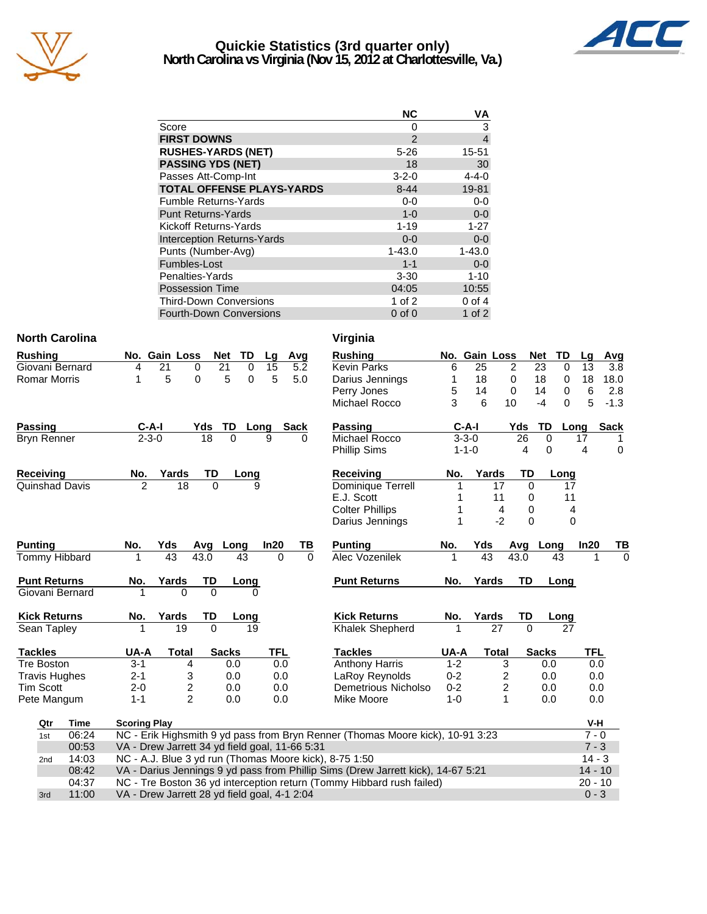

### **Quickie Statistics (3rd quarter only) North Carolina vs Virginia (Nov 15, 2012 at Charlottesville, Va.)**



|                                   | <b>NC</b>   | VA             |
|-----------------------------------|-------------|----------------|
| Score                             | 0           | 3              |
| <b>FIRST DOWNS</b>                | 2           | $\overline{4}$ |
| <b>RUSHES-YARDS (NET)</b>         | $5 - 26$    | 15-51          |
| <b>PASSING YDS (NET)</b>          | 18          | 30             |
| Passes Att-Comp-Int               | $3 - 2 - 0$ | $4 - 4 - 0$    |
| <b>TOTAL OFFENSE PLAYS-YARDS</b>  | $8 - 44$    | 19-81          |
| <b>Fumble Returns-Yards</b>       | $0 - 0$     | $0-0$          |
| <b>Punt Returns-Yards</b>         | $1 - 0$     | $0-0$          |
| Kickoff Returns-Yards             | $1 - 19$    | $1 - 27$       |
| <b>Interception Returns-Yards</b> | $0 - 0$     | $0 - 0$        |
| Punts (Number-Avg)                | $1 - 43.0$  | $1 - 43.0$     |
| Fumbles-Lost                      | $1 - 1$     | $0 - 0$        |
| Penalties-Yards                   | $3 - 30$    | $1 - 10$       |
| <b>Possession Time</b>            | 04:05       | 10:55          |
| <b>Third-Down Conversions</b>     | 1 of $2$    | $0$ of 4       |
| <b>Fourth-Down Conversions</b>    | $0$ of $0$  | 1 of $2$       |

04:37 NC - Tre Boston 36 yd interception return (Tommy Hibbard rush failed) 20 - 10 3rd 11:00 VA - Drew Jarrett 28 yd field goal, 4-1 2:04 0 - 3

### **North Carolina** Virginia

| <b>Rushing</b>       |             |                     | No. Gain Loss                                                                                 |          | <b>Net</b>   | <b>TD</b>   | Lg         | Avg         | <b>Rushing</b>                                                                 |         | No. Gain Loss   |                | <b>Net</b>   | <b>TD</b>   | Lg       | A   |
|----------------------|-------------|---------------------|-----------------------------------------------------------------------------------------------|----------|--------------|-------------|------------|-------------|--------------------------------------------------------------------------------|---------|-----------------|----------------|--------------|-------------|----------|-----|
| Giovani Bernard      |             | 4                   | 21                                                                                            | 0        | 21           | 0           | 15         | 5.2         | <b>Kevin Parks</b>                                                             | 6       | 25              | $\overline{2}$ | 23           | 0           | 13       |     |
| <b>Romar Morris</b>  |             | 1                   | 5                                                                                             | 0        | 5            | $\mathbf 0$ | 5          | 5.0         | Darius Jennings                                                                | 1       | 18              | $\mathbf 0$    | 18           | 0           | 18       | 18  |
|                      |             |                     |                                                                                               |          |              |             |            |             | Perry Jones                                                                    | 5       | 14              | 0              | 14           | 0           | 6        |     |
|                      |             |                     |                                                                                               |          |              |             |            |             | Michael Rocco                                                                  | 3       | 6               | 10             | $-4$         | $\Omega$    | 5        | Ŀ,  |
| Passing              |             |                     | $C-A-I$                                                                                       | Yds      | TD           | Long        |            | <b>Sack</b> | <b>Passing</b>                                                                 |         | $C-A-I$         |                | Yds          | TD<br>Long  |          | Sa  |
| <b>Bryn Renner</b>   |             |                     | $2 - 3 - 0$                                                                                   | 18       | $\mathbf{0}$ | 9           |            | 0           | Michael Rocco                                                                  |         | $3 - 3 - 0$     |                | 26           | 0           | 17       |     |
|                      |             |                     |                                                                                               |          |              |             |            |             | <b>Phillip Sims</b>                                                            |         | $1 - 1 - 0$     |                | 4            | 0           | 4        |     |
| <b>Receiving</b>     |             | No.                 | Yards                                                                                         | TD       |              | Long        |            |             | <b>Receiving</b>                                                               | No.     | Yards           |                | TD           | Long        |          |     |
| Quinshad Davis       |             | $\overline{2}$      | $\overline{18}$                                                                               | $\Omega$ |              | 9           |            |             | Dominique Terrell                                                              |         |                 | 17             | $\Omega$     | 17          |          |     |
|                      |             |                     |                                                                                               |          |              |             |            |             | E.J. Scott                                                                     |         |                 | 11             | 0            | 11          |          |     |
|                      |             |                     |                                                                                               |          |              |             |            |             | <b>Colter Phillips</b>                                                         | 1       |                 | 4              | $\Omega$     | 4           |          |     |
|                      |             |                     |                                                                                               |          |              |             |            |             | Darius Jennings                                                                | 1       |                 | $-2$           | $\Omega$     | $\Omega$    |          |     |
| <b>Punting</b>       |             | No.                 | Yds                                                                                           | Avg      | Long         |             | In20       | TВ          | <b>Punting</b>                                                                 | No.     | Yds             |                | Avg          | Long        | In20     |     |
| <b>Tommy Hibbard</b> |             | 1                   | 43                                                                                            | 43.0     | 43           |             | $\Omega$   | $\Omega$    | <b>Alec Vozenilek</b>                                                          | 1       | $\overline{43}$ |                | 43.0         | 43          |          |     |
| <b>Punt Returns</b>  |             | No.                 | Yards                                                                                         | TD       |              | Long        |            |             | <b>Punt Returns</b>                                                            | No.     | Yards           |                | <b>TD</b>    | Long        |          |     |
| Giovani Bernard      |             |                     | $\Omega$                                                                                      | $\Omega$ |              | U           |            |             |                                                                                |         |                 |                |              |             |          |     |
| <b>Kick Returns</b>  |             | No.                 | Yards                                                                                         | TD       |              | Long        |            |             | <b>Kick Returns</b>                                                            | No.     | Yards           |                | TD           | <b>Long</b> |          |     |
| Sean Tapley          |             |                     | 19                                                                                            | $\Omega$ |              | 19          |            |             | <b>Khalek Shepherd</b>                                                         |         |                 | 27             | $\Omega$     | 27          |          |     |
| <b>Tackles</b>       |             | UA-A                | <b>Total</b>                                                                                  |          | <b>Sacks</b> |             | <b>TFL</b> |             | <b>Tackles</b>                                                                 | UA-A    |                 | <b>Total</b>   | <b>Sacks</b> |             | TFL      |     |
| <b>Tre Boston</b>    |             | $3 - 1$             | 4                                                                                             |          | 0.0          |             | 0.0        |             | <b>Anthony Harris</b>                                                          | $1 - 2$ |                 | 3              |              | 0.0         |          | 0.0 |
| <b>Travis Hughes</b> |             | $2 - 1$             | 3                                                                                             |          | 0.0          |             | 0.0        |             | LaRoy Reynolds                                                                 | $0 - 2$ |                 | 2              |              | 0.0         |          | 0.0 |
| Tim Scott            |             | $2 - 0$             | 2                                                                                             |          | 0.0          |             | 0.0        |             | Demetrious Nicholso                                                            | $0 - 2$ |                 | $\overline{c}$ |              | 0.0         |          | 0.0 |
| Pete Mangum          |             | $1 - 1$             | $\overline{2}$                                                                                |          | 0.0          |             | 0.0        |             | Mike Moore                                                                     | $1 - 0$ |                 | 1              |              | 0.0         |          | 0.0 |
| Qtr                  | <b>Time</b> | <b>Scoring Play</b> |                                                                                               |          |              |             |            |             |                                                                                |         |                 |                |              |             | V-H      |     |
| 1st                  | 06:24       |                     |                                                                                               |          |              |             |            |             | NC - Erik Highsmith 9 yd pass from Bryn Renner (Thomas Moore kick), 10-91 3:23 |         |                 |                |              |             | $7 - 0$  |     |
|                      | 00:53       |                     | VA - Drew Jarrett 34 yd field goal, 11-66 5:31                                                |          |              |             |            |             |                                                                                |         |                 |                |              |             | $7 - 3$  |     |
| 2 <sub>nd</sub>      | 14:03       |                     |                                                                                               |          |              |             |            |             | NC - A.J. Blue 3 yd run (Thomas Moore kick), 8-75 1:50                         |         |                 |                |              |             | $14 - 3$ |     |
|                      | 08:42       |                     | VA - Darius Jennings 9 yd pass from Phillip Sims (Drew Jarrett kick), 14-67 5:21<br>$14 - 10$ |          |              |             |            |             |                                                                                |         |                 |                |              |             |          |     |

|               | v 11 yılıla                                                                                                    |         |             |                |                |              |              |                |        |  |  |  |
|---------------|----------------------------------------------------------------------------------------------------------------|---------|-------------|----------------|----------------|--------------|--------------|----------------|--------|--|--|--|
|               | <b>Rushing</b>                                                                                                 | No.     | Gain Loss   |                |                | <b>Net</b>   | TD           | Lg             | Avg    |  |  |  |
| ]<br>2<br>)   | <b>Kevin Parks</b>                                                                                             | 6       | 25          |                | $\overline{c}$ | 23           | $\Omega$     | 13             | 3.8    |  |  |  |
|               | Darius Jennings                                                                                                | 1       | 18          |                | 0              | 18           | 0            | 18             | 18.0   |  |  |  |
|               | Perry Jones                                                                                                    | 5       | 14          |                | 0              | 14           | 0            | 6              | 2.8    |  |  |  |
|               | Michael Rocco                                                                                                  | 3       | 6           |                | 10             | $-4$         | 0            | 5              | $-1.3$ |  |  |  |
|               | <b>Passing</b>                                                                                                 |         | $C-A-I$     |                | Yds            | TD           | Long         |                | Sack   |  |  |  |
|               | Michael Rocco                                                                                                  |         | $3 - 3 - 0$ |                | 26             | 0            |              | 17             | 1      |  |  |  |
|               | Phillip Sims                                                                                                   |         | $1 - 1 - 0$ |                | 4              | 0            |              | 4              | 0      |  |  |  |
|               | <b>Receiving</b>                                                                                               | No.     |             | Yards          | TD             |              | Long         |                |        |  |  |  |
|               | Dominique Terrell                                                                                              | 1       |             | 17             | 0              |              | 17           |                |        |  |  |  |
|               | E.J. Scott                                                                                                     | 1       |             | 11             | 0              |              | 11           |                |        |  |  |  |
|               | <b>Colter Phillips</b>                                                                                         | 1       |             | 4              | 0              |              | 4            |                |        |  |  |  |
|               | Darius Jennings                                                                                                | 1       |             | $-2$           | 0              |              | $\mathbf{0}$ |                |        |  |  |  |
| $\frac{B}{0}$ | <b>Punting</b>                                                                                                 | No.     | Yds         |                | Avg            | Long         |              | In20           | TВ     |  |  |  |
|               | Alec Vozenilek                                                                                                 | 1       | 43          |                | 43.0           |              | 43           | 1              | 0      |  |  |  |
|               | <b>Punt Returns</b>                                                                                            | No.     |             | Yards          | TD             |              | Long         |                |        |  |  |  |
|               | <b>Kick Returns</b>                                                                                            | No.     |             | Yards          | TD             |              | Long         |                |        |  |  |  |
|               | <b>Khalek Shepherd</b>                                                                                         | 1       |             | 27             | $\Omega$       |              | 27           |                |        |  |  |  |
|               | <b>Tackles</b>                                                                                                 | UA-A    |             | <b>Total</b>   |                | <b>Sacks</b> |              | <b>TFL</b>     |        |  |  |  |
|               | <b>Anthony Harris</b>                                                                                          | $1 - 2$ |             | 3              |                | 0.0          |              | 0.0            |        |  |  |  |
|               | LaRoy Reynolds                                                                                                 | $0 - 2$ |             | $\frac{2}{2}$  |                | 0.0          |              | 0.0            |        |  |  |  |
|               | Demetrious Nicholso                                                                                            | $0 - 2$ |             |                |                | 0.0          |              | 0.0            |        |  |  |  |
|               | Mike Moore                                                                                                     | $1 - 0$ |             | $\overline{1}$ |                | 0.0          |              | 0.0            |        |  |  |  |
|               |                                                                                                                |         |             |                |                |              |              | V-H            |        |  |  |  |
|               | Renner (Thomas Moore kick), 10-91 3:23<br>$7 - 0$                                                              |         |             |                |                |              |              |                |        |  |  |  |
| 5:31          |                                                                                                                |         |             |                |                |              |              | $7 - 3$        |        |  |  |  |
|               | $\mathcal{L} = \mathbf{1} \cdot \mathbf{A}$ . Only $\mathcal{L} = \mathcal{L} \cdot \mathcal{L} = \mathcal{L}$ |         |             |                |                |              |              | $\overline{A}$ |        |  |  |  |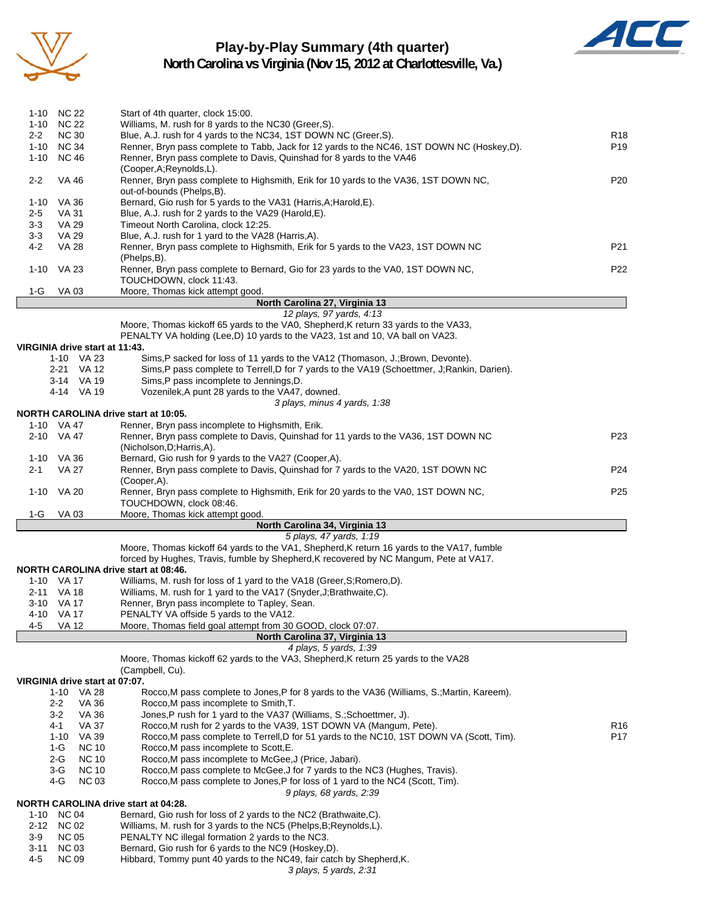

### **Play-by-Play Summary (4th quarter)**



|          | 1-10 NC 22                     | Start of 4th quarter, clock 15:00.                                                                                                                                   |                 |
|----------|--------------------------------|----------------------------------------------------------------------------------------------------------------------------------------------------------------------|-----------------|
|          | 1-10 NC 22                     | Williams, M. rush for 8 yards to the NC30 (Greer, S).                                                                                                                |                 |
| $2 - 2$  | <b>NC 30</b>                   | Blue, A.J. rush for 4 yards to the NC34, 1ST DOWN NC (Greer, S).                                                                                                     | R <sub>18</sub> |
|          | 1-10 NC 34                     | Renner, Bryn pass complete to Tabb, Jack for 12 yards to the NC46, 1ST DOWN NC (Hoskey,D).                                                                           | P <sub>19</sub> |
| 1-10     | <b>NC 46</b>                   | Renner, Bryn pass complete to Davis, Quinshad for 8 yards to the VA46                                                                                                |                 |
|          |                                | (Cooper, A; Reynolds, L).                                                                                                                                            |                 |
| $2 - 2$  | <b>VA 46</b>                   | Renner, Bryn pass complete to Highsmith, Erik for 10 yards to the VA36, 1ST DOWN NC,<br>out-of-bounds (Phelps,B).                                                    | P <sub>20</sub> |
| 1-10     | VA 36                          | Bernard, Gio rush for 5 yards to the VA31 (Harris, A; Harold, E).                                                                                                    |                 |
| 2-5      | VA 31                          | Blue, A.J. rush for 2 yards to the VA29 (Harold, E).                                                                                                                 |                 |
| $3 - 3$  | VA 29                          | Timeout North Carolina, clock 12:25.                                                                                                                                 |                 |
| 3-3      | VA 29                          | Blue, A.J. rush for 1 yard to the VA28 (Harris, A).                                                                                                                  |                 |
| 4-2      | <b>VA 28</b>                   | Renner, Bryn pass complete to Highsmith, Erik for 5 yards to the VA23, 1ST DOWN NC<br>(Phelps,B).                                                                    | P21             |
| 1-10     | VA 23                          | Renner, Bryn pass complete to Bernard, Gio for 23 yards to the VA0, 1ST DOWN NC,<br>TOUCHDOWN, clock 11:43.                                                          | P <sub>22</sub> |
| 1-G      | VA 03                          | Moore, Thomas kick attempt good.                                                                                                                                     |                 |
|          |                                | North Carolina 27, Virginia 13                                                                                                                                       |                 |
|          |                                | 12 plays, 97 yards, 4:13                                                                                                                                             |                 |
|          |                                | Moore, Thomas kickoff 65 yards to the VA0, Shepherd, K return 33 yards to the VA33,<br>PENALTY VA holding (Lee,D) 10 yards to the VA23, 1st and 10, VA ball on VA23. |                 |
|          | VIRGINIA drive start at 11:43. |                                                                                                                                                                      |                 |
|          | 1-10 VA 23                     | Sims, P sacked for loss of 11 yards to the VA12 (Thomason, J.; Brown, Devonte).                                                                                      |                 |
|          | 2-21 VA 12                     | Sims, P pass complete to Terrell, D for 7 yards to the VA19 (Schoettmer, J; Rankin, Darien).                                                                         |                 |
|          | 3-14 VA 19                     | Sims, P pass incomplete to Jennings, D.                                                                                                                              |                 |
|          | 4-14 VA 19                     | Vozenilek, A punt 28 yards to the VA47, downed.                                                                                                                      |                 |
|          |                                | 3 plays, minus 4 yards, 1:38                                                                                                                                         |                 |
|          |                                | NORTH CAROLINA drive start at 10:05.                                                                                                                                 |                 |
|          | 1-10 VA 47                     | Renner, Bryn pass incomplete to Highsmith, Erik.                                                                                                                     |                 |
|          | 2-10 VA 47                     | Renner, Bryn pass complete to Davis, Quinshad for 11 yards to the VA36, 1ST DOWN NC<br>(Nicholson, D; Harris, A).                                                    | P <sub>23</sub> |
|          | 1-10 VA 36                     | Bernard, Gio rush for 9 yards to the VA27 (Cooper, A).                                                                                                               |                 |
| 2-1      | VA 27                          | Renner, Bryn pass complete to Davis, Quinshad for 7 yards to the VA20, 1ST DOWN NC                                                                                   | P <sub>24</sub> |
|          |                                | (Cooper, A).                                                                                                                                                         |                 |
| 1-10     | VA 20                          | Renner, Bryn pass complete to Highsmith, Erik for 20 yards to the VA0, 1ST DOWN NC,<br>TOUCHDOWN, clock 08:46.                                                       | P <sub>25</sub> |
| 1-G      | <b>VA03</b>                    | Moore, Thomas kick attempt good                                                                                                                                      |                 |
|          |                                | North Carolina 34, Virginia 13<br>5 plays, 47 yards, 1:19                                                                                                            |                 |
|          |                                | Moore, Thomas kickoff 64 yards to the VA1, Shepherd, K return 16 yards to the VA17, fumble                                                                           |                 |
|          |                                | forced by Hughes, Travis, fumble by Shepherd, K recovered by NC Mangum, Pete at VA17.                                                                                |                 |
|          |                                | <b>NORTH CAROLINA drive start at 08:46.</b>                                                                                                                          |                 |
|          | 1-10 VA 17                     | Williams, M. rush for loss of 1 yard to the VA18 (Greer, S; Romero, D).                                                                                              |                 |
|          | 2-11 VA 18                     | Williams, M. rush for 1 yard to the VA17 (Snyder, J; Brathwaite, C).                                                                                                 |                 |
|          | 3-10 VA 17                     | Renner, Bryn pass incomplete to Tapley, Sean.                                                                                                                        |                 |
|          | 4-10 VA 17                     | PENALTY VA offside 5 yards to the VA12.                                                                                                                              |                 |
| 4-5      | VA 12                          | Moore, Thomas field goal attempt from 30 GOOD, clock 07:07.                                                                                                          |                 |
|          |                                | North Carolina 37, Virginia 13                                                                                                                                       |                 |
|          |                                | 4 plays, 5 yards, 1:39<br>Moore, Thomas kickoff 62 yards to the VA3, Shepherd, K return 25 yards to the VA28                                                         |                 |
|          |                                | (Campbell, Cu).                                                                                                                                                      |                 |
|          | VIRGINIA drive start at 07:07. |                                                                                                                                                                      |                 |
|          | 1-10 VA 28                     | Rocco, M pass complete to Jones, P for 8 yards to the VA36 (Williams, S.; Martin, Kareem).                                                                           |                 |
|          | <b>VA 36</b><br>$2 - 2$        | Rocco, M pass incomplete to Smith, T.                                                                                                                                |                 |
|          | $3 - 2$<br>VA 36               | Jones, P rush for 1 yard to the VA37 (Williams, S.; Schoettmer, J).                                                                                                  |                 |
|          | 4-1<br><b>VA 37</b>            | Rocco.M rush for 2 yards to the VA39, 1ST DOWN VA (Mangum, Pete).                                                                                                    | R <sub>16</sub> |
|          | VA 39<br>1-10                  | Rocco, M pass complete to Terrell, D for 51 yards to the NC10, 1ST DOWN VA (Scott, Tim).                                                                             | P17             |
|          | $1-G$<br><b>NC 10</b>          | Rocco, M pass incomplete to Scott, E.                                                                                                                                |                 |
|          | 2-G<br><b>NC 10</b>            | Rocco, M pass incomplete to McGee, J (Price, Jabari).                                                                                                                |                 |
|          | <b>NC 10</b><br>3-G            | Rocco, M pass complete to McGee, J for 7 yards to the NC3 (Hughes, Travis).                                                                                          |                 |
|          | 4-G<br><b>NC 03</b>            | Rocco, M pass complete to Jones, P for loss of 1 yard to the NC4 (Scott, Tim).                                                                                       |                 |
|          |                                | 9 plays, 68 yards, 2:39                                                                                                                                              |                 |
| 1-10     | <b>NC 04</b>                   | NORTH CAROLINA drive start at 04:28.<br>Bernard, Gio rush for loss of 2 yards to the NC2 (Brathwaite, C).                                                            |                 |
|          | 2-12 NC 02                     | Williams, M. rush for 3 yards to the NC5 (Phelps, B; Reynolds, L).                                                                                                   |                 |
| 3-9      | <b>NC 05</b>                   | PENALTY NC illegal formation 2 yards to the NC3.                                                                                                                     |                 |
| $3 - 11$ | <b>NC 03</b>                   | Bernard, Gio rush for 6 yards to the NC9 (Hoskey, D).                                                                                                                |                 |
| 4-5      | <b>NC 09</b>                   | Hibbard, Tommy punt 40 yards to the NC49, fair catch by Shepherd, K.                                                                                                 |                 |
|          |                                | 3 plays, 5 yards, 2:31                                                                                                                                               |                 |
|          |                                |                                                                                                                                                                      |                 |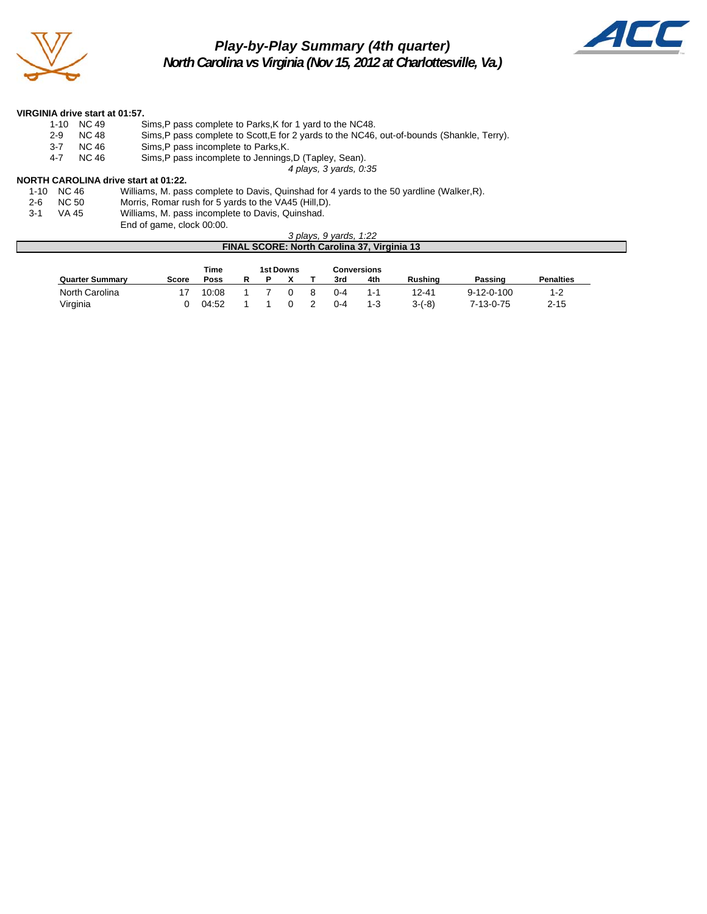

### *Play-by-Play Summary (4th quarter) North Carolina vs Virginia (Nov 15, 2012 at Charlottesville, Va.)*



#### **VIRGINIA drive start at 01:57.**

|       | 1-10 NC 49 | Sims, P pass complete to Parks, K for 1 yard to the NC48.                                  |
|-------|------------|--------------------------------------------------------------------------------------------|
| 2-9   | NC 48      | Sims, P pass complete to Scott, E for 2 yards to the NC46, out-of-bounds (Shankle, Terry). |
| $3-7$ | NC 46      | Sims, P pass incomplete to Parks, K.                                                       |
| 4-7   | NC 46      | Sims, P pass incomplete to Jennings, D (Tapley, Sean).                                     |

*4 plays, 3 yards, 0:35*

#### **NORTH CAROLINA drive start at 01:22.**

|      | 1-10 NC 46 | Williams, M. pass complete to Davis, Quinshad for 4 yards to the 50 yardline (Walker, R). |
|------|------------|-------------------------------------------------------------------------------------------|
| 2-6  | NC 50      | Morris, Romar rush for 5 yards to the VA45 (Hill, D).                                     |
| -3-1 | VA 45      | Williams, M. pass incomplete to Davis, Quinshad.                                          |
|      |            | End of game, clock 00:00.                                                                 |

#### *3 plays, 9 yards, 1:22* **FINAL SCORE: North Carolina 37, Virginia 13**

|                        | Time  |       | 1st Downs |  |   | <b>Conversions</b> |         |                |                    |                  |
|------------------------|-------|-------|-----------|--|---|--------------------|---------|----------------|--------------------|------------------|
| <b>Quarter Summary</b> | Score | Poss  |           |  |   | 3rd                | 4th     | <b>Rushing</b> | Passing            | <b>Penalties</b> |
| North Carolina         |       | 10:08 |           |  | 8 | $0 - 4$            | 1-1     | 12-41          | $9 - 12 - 0 - 100$ | 1-2              |
| Virginia               |       | 04:52 |           |  |   | $0 - 4$            | $1 - 3$ | $3-(-8)$       | 7-13-0-75          | $2 - 15$         |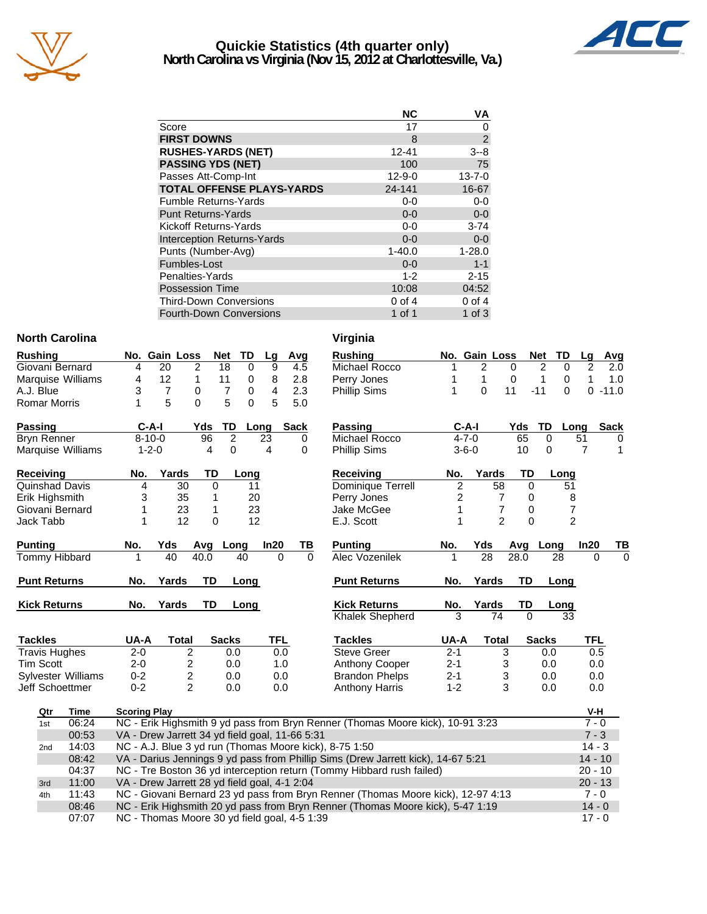

### **Quickie Statistics (4th quarter only) North Carolina vs Virginia (Nov 15, 2012 at Charlottesville, Va.)**



|                                   | <b>NC</b>    | ٧A             |
|-----------------------------------|--------------|----------------|
| Score                             | 17           | 0              |
| <b>FIRST DOWNS</b>                | 8            | $\overline{2}$ |
| <b>RUSHES-YARDS (NET)</b>         | 12-41        | $3 - 8$        |
| <b>PASSING YDS (NET)</b>          | 100          | 75             |
| Passes Att-Comp-Int               | $12 - 9 - 0$ | $13 - 7 - 0$   |
| <b>TOTAL OFFENSE PLAYS-YARDS</b>  | 24-141       | 16-67          |
| <b>Fumble Returns-Yards</b>       | $0-0$        | $0-0$          |
| <b>Punt Returns-Yards</b>         | $0 - 0$      | $0-0$          |
| Kickoff Returns-Yards             | $0-0$        | $3 - 74$       |
| <b>Interception Returns-Yards</b> | $0 - 0$      | $0 - 0$        |
| Punts (Number-Avg)                | $1 - 40.0$   | $1 - 28.0$     |
| Fumbles-Lost                      | $0 - 0$      | $1 - 1$        |
| Penalties-Yards                   | $1 - 2$      | $2 - 15$       |
| <b>Possession Time</b>            | 10:08        | 04:52          |
| <b>Third-Down Conversions</b>     | $0$ of 4     | $0$ of $4$     |
| <b>Fourth-Down Conversions</b>    | 1 of 1       | 1 of $3$       |

#### **North Carolina Virginia**

| Rushing              |                                                                                               | No. Gain Loss  |                         | <b>Net</b>     | <b>TD</b>   | Lg             | Avg  |          | <b>Rushing</b>                                                                   |                        | No. Gain Loss   |                                | <b>Net</b><br>TD  | Lg             | Avg              |
|----------------------|-----------------------------------------------------------------------------------------------|----------------|-------------------------|----------------|-------------|----------------|------|----------|----------------------------------------------------------------------------------|------------------------|-----------------|--------------------------------|-------------------|----------------|------------------|
| Giovani Bernard      | 4                                                                                             | 20             | 2                       | 18             | $\mathbf 0$ | 9              | 4.5  |          | Michael Rocco                                                                    |                        | $\overline{2}$  | $\Omega$                       | 2<br>$\Omega$     | $\overline{2}$ | $\overline{2.0}$ |
| Marquise Williams    | 4                                                                                             | 12             | 1                       | 11             | 0           | 8              | 2.8  |          | Perry Jones                                                                      |                        | 1               | 0                              | 1<br>0            | 1              | 1.0              |
| A.J. Blue            | 3                                                                                             | $\overline{7}$ | 0                       | $\overline{7}$ | 0           | $\overline{4}$ | 2.3  |          | <b>Phillip Sims</b>                                                              | 1                      | $\Omega$        | 11                             | $-11$<br>$\Omega$ |                | $0 - 11.0$       |
| <b>Romar Morris</b>  | 1                                                                                             | 5              | $\Omega$                | 5              | $\Omega$    | 5              | 5.0  |          |                                                                                  |                        |                 |                                |                   |                |                  |
| Passing              |                                                                                               | $C-A-I$        | Yds                     | TD             |             | Long           | Sack |          | Passing                                                                          |                        | $C-A-I$         | Yds                            | TD                | Long           | <b>Sack</b>      |
| <b>Bryn Renner</b>   |                                                                                               | $8 - 10 - 0$   | 96                      | $\overline{2}$ |             | 23             | 0    |          | Michael Rocco                                                                    |                        | $4 - 7 - 0$     | 65                             | $\Omega$          | 51             | 0                |
| Marquise Williams    |                                                                                               | $1 - 2 - 0$    |                         | 4<br>0         |             | 4              | 0    |          | <b>Phillip Sims</b>                                                              | $3 - 6 - 0$<br>10<br>0 |                 |                                |                   | $\overline{7}$ | 1                |
| Receiving            | No.                                                                                           | Yards          |                         | TD             | Long        |                |      |          | <b>Receiving</b>                                                                 | No.                    | Yards           | TD                             | Long              |                |                  |
| Quinshad Davis       | 4                                                                                             |                | 30                      | $\mathbf 0$    | 11          |                |      |          | Dominique Terrell                                                                | $\overline{c}$         | 58              | 0                              | 51                |                |                  |
| Erik Highsmith       | 3                                                                                             |                | 35                      | 1              | 20          |                |      |          | Perry Jones                                                                      | $\overline{c}$         |                 | 7<br>$\mathbf 0$               |                   | 8              |                  |
| Giovani Bernard      | 1                                                                                             |                | 23                      | 1              | 23          |                |      |          | Jake McGee                                                                       | 1                      |                 | 7<br>0                         |                   | 7              |                  |
| Jack Tabb            | 1                                                                                             |                | 12                      | 0              | 12          |                |      |          | E.J. Scott                                                                       | 1                      |                 | $\overline{2}$<br>$\mathbf{0}$ |                   | $\overline{2}$ |                  |
| <b>Punting</b>       | No.                                                                                           | Yds            |                         | Avg Long       |             | In20           | TВ   |          | <b>Punting</b>                                                                   | No.                    | Yds             | Avg                            | Long              | In20           | TВ               |
| Tommy Hibbard        | 1                                                                                             | 40             | 40.0                    |                | 40          | $\Omega$       |      | $\Omega$ | <b>Alec Vozenilek</b>                                                            | 1                      | $\overline{28}$ | 28.0                           | 28                | $\Omega$       | $\Omega$         |
| <b>Punt Returns</b>  | No.                                                                                           | Yards          |                         | TD             | Long        |                |      |          | <b>Punt Returns</b>                                                              | No.                    | Yards           | TD                             | Long              |                |                  |
| <b>Kick Returns</b>  | No.                                                                                           | Yards          |                         | <b>TD</b>      | Long        |                |      |          | <b>Kick Returns</b>                                                              | No.                    | Yards           | TD                             | Long              |                |                  |
|                      |                                                                                               |                |                         |                |             |                |      |          | Khalek Shepherd                                                                  | 3                      | 74              | $\Omega$                       | 33                |                |                  |
| <b>Tackles</b>       | UA-A                                                                                          |                | <b>Total</b>            | <b>Sacks</b>   |             | <b>TFL</b>     |      |          | <b>Tackles</b>                                                                   | UA-A                   | <b>Total</b>    |                                | <b>Sacks</b>      | <b>TFL</b>     |                  |
| <b>Travis Hughes</b> | $2 - 0$                                                                                       |                | 2                       | 0.0            |             | 0.0            |      |          | <b>Steve Greer</b>                                                               | $2 - 1$                |                 | 3                              | 0.0               | 0.5            |                  |
| <b>Tim Scott</b>     | $2 - 0$                                                                                       |                | $\overline{c}$          | 0.0            |             |                | 1.0  |          | Anthony Cooper                                                                   | $2 - 1$                |                 | 3                              | 0.0               | 0.0            |                  |
| Sylvester Williams   | $0 - 2$                                                                                       |                | $\overline{\mathbf{c}}$ | 0.0            |             |                | 0.0  |          | <b>Brandon Phelps</b>                                                            | $2 - 1$                |                 | 3                              | 0.0               | 0.0            |                  |
| Jeff Schoettmer      | $0 - 2$                                                                                       |                | $\overline{2}$          | 0.0            |             |                | 0.0  |          | <b>Anthony Harris</b>                                                            | $1 - 2$                |                 | 3                              | 0.0               | 0.0            |                  |
| Qtr<br><b>Time</b>   | <b>Scoring Play</b>                                                                           |                |                         |                |             |                |      |          |                                                                                  |                        |                 |                                |                   | V-H            |                  |
| 06:24<br>1st         |                                                                                               |                |                         |                |             |                |      |          | NC - Erik Highsmith 9 yd pass from Bryn Renner (Thomas Moore kick), 10-91 3:23   |                        |                 |                                |                   | $7 - 0$        |                  |
| 00:53                | VA - Drew Jarrett 34 yd field goal, 11-66 5:31                                                |                |                         |                |             |                |      |          |                                                                                  |                        |                 |                                |                   | $7 - 3$        |                  |
| 14:03<br>2nd         |                                                                                               |                |                         |                |             |                |      |          | NC - A.J. Blue 3 yd run (Thomas Moore kick), 8-75 1:50                           |                        |                 |                                |                   | $14 - 3$       |                  |
| 08:42                | VA - Darius Jennings 9 yd pass from Phillip Sims (Drew Jarrett kick), 14-67 5:21<br>$14 - 10$ |                |                         |                |             |                |      |          |                                                                                  |                        |                 |                                |                   |                |                  |
| 04:37                |                                                                                               |                |                         |                |             |                |      |          | NC - Tre Boston 36 yd interception return (Tommy Hibbard rush failed)            |                        |                 |                                |                   | $20 - 10$      |                  |
| 11:00<br>3rd         | VA - Drew Jarrett 28 yd field goal, 4-1 2:04                                                  |                |                         |                |             |                |      |          |                                                                                  |                        |                 |                                |                   | $20 - 13$      |                  |
| 11:43<br>4th         |                                                                                               |                |                         |                |             |                |      |          | NC - Giovani Bernard 23 yd pass from Bryn Renner (Thomas Moore kick), 12-97 4:13 |                        |                 |                                |                   | $7 - 0$        |                  |
| 08:46                |                                                                                               |                |                         |                |             |                |      |          | NC - Erik Highsmith 20 yd pass from Bryn Renner (Thomas Moore kick), 5-47 1:19   |                        |                 |                                |                   | $14 - 0$       |                  |
| 07:07                | NC - Thomas Moore 30 yd field goal, 4-5 1:39                                                  |                |                         |                |             |                |      |          |                                                                                  |                        |                 |                                |                   | $17 - 0$       |                  |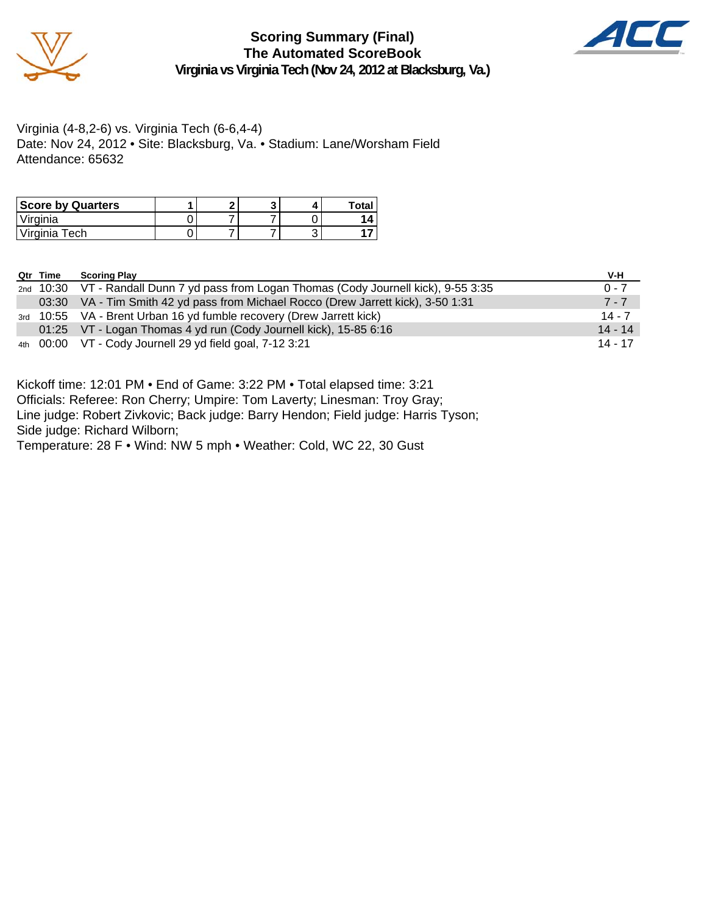



Virginia (4-8,2-6) vs. Virginia Tech (6-6,4-4) Date: Nov 24, 2012 • Site: Blacksburg, Va. • Stadium: Lane/Worsham Field Attendance: 65632

| <b>Score by Quarters</b> |  |  | <b>Total</b> |
|--------------------------|--|--|--------------|
| Virginia                 |  |  |              |
| Virginia Tech            |  |  |              |

| Qtr Time | <b>Scoring Play</b>                                                                     | V-H       |
|----------|-----------------------------------------------------------------------------------------|-----------|
|          | 2nd 10:30 VT - Randall Dunn 7 yd pass from Logan Thomas (Cody Journell kick), 9-55 3:35 | $0 - 7$   |
|          | 03:30 VA - Tim Smith 42 yd pass from Michael Rocco (Drew Jarrett kick), 3-50 1:31       | $7 - 7$   |
|          | 3rd 10:55 VA - Brent Urban 16 yd fumble recovery (Drew Jarrett kick)                    | $14 - 7$  |
|          | 01:25 VT - Logan Thomas 4 yd run (Cody Journell kick), 15-85 6:16                       | $14 - 14$ |
|          | 4th 00:00 VT - Cody Journell 29 yd field goal, 7-12 3:21                                | 14 - 17   |

Kickoff time: 12:01 PM • End of Game: 3:22 PM • Total elapsed time: 3:21 Officials: Referee: Ron Cherry; Umpire: Tom Laverty; Linesman: Troy Gray; Line judge: Robert Zivkovic; Back judge: Barry Hendon; Field judge: Harris Tyson; Side judge: Richard Wilborn;

Temperature: 28 F • Wind: NW 5 mph • Weather: Cold, WC 22, 30 Gust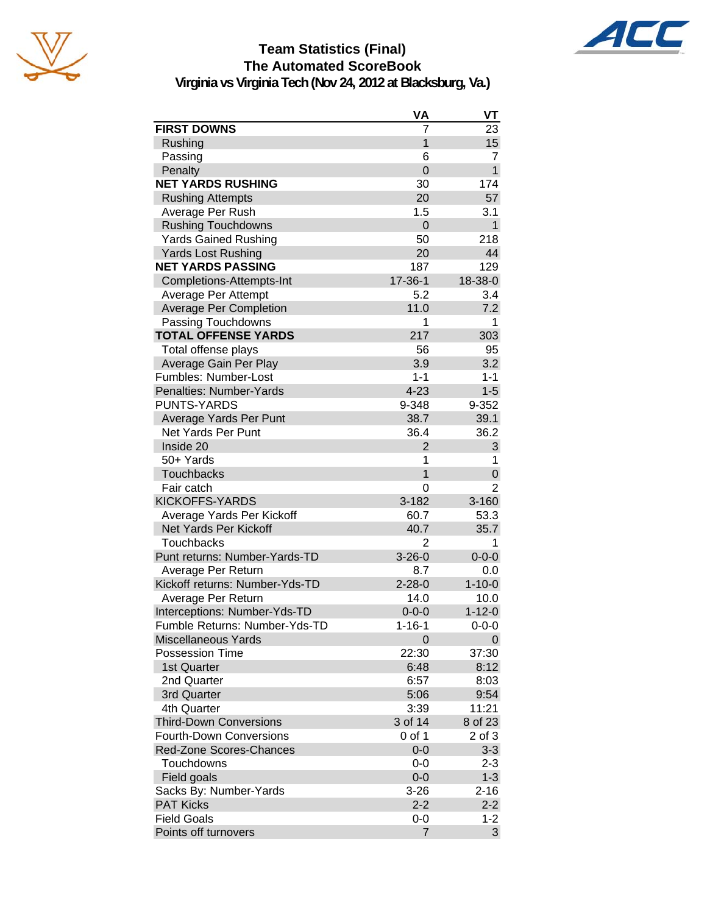



## **Team Statistics (Final) The Automated ScoreBook**

**Virginia vs Virginia Tech (Nov 24, 2012 at Blacksburg, Va.)**

|                                | VA             | VT           |
|--------------------------------|----------------|--------------|
| <b>FIRST DOWNS</b>             | 7              | 23           |
| Rushing                        | $\overline{1}$ | 15           |
| Passing                        | 6              | 7            |
| Penalty                        | $\overline{0}$ | $\mathbf{1}$ |
| <b>NET YARDS RUSHING</b>       | 30             | 174          |
| <b>Rushing Attempts</b>        | 20             | 57           |
| Average Per Rush               | 1.5            | 3.1          |
| <b>Rushing Touchdowns</b>      | $\overline{0}$ | $\mathbf{1}$ |
| <b>Yards Gained Rushing</b>    | 50             | 218          |
| <b>Yards Lost Rushing</b>      | 20             | 44           |
| <b>NET YARDS PASSING</b>       | 187            | 129          |
| Completions-Attempts-Int       | 17-36-1        | 18-38-0      |
| Average Per Attempt            | 5.2            | 3.4          |
| <b>Average Per Completion</b>  | 11.0           | 7.2          |
| Passing Touchdowns             | 1              | 1            |
| <b>TOTAL OFFENSE YARDS</b>     | 217            | 303          |
| Total offense plays            | 56             | 95           |
| Average Gain Per Play          | 3.9            | 3.2          |
| Fumbles: Number-Lost           | $1 - 1$        | $1 - 1$      |
| Penalties: Number-Yards        | $4 - 23$       | $1 - 5$      |
| <b>PUNTS-YARDS</b>             | 9-348          | 9-352        |
| Average Yards Per Punt         | 38.7           | 39.1         |
| <b>Net Yards Per Punt</b>      | 36.4           | 36.2         |
| Inside 20                      | $\overline{2}$ | 3            |
| 50+ Yards                      | 1              | 1            |
| <b>Touchbacks</b>              | 1              | 0            |
| Fair catch                     | 0              | 2            |
| <b>KICKOFFS-YARDS</b>          | $3 - 182$      | $3 - 160$    |
| Average Yards Per Kickoff      | 60.7           | 53.3         |
| <b>Net Yards Per Kickoff</b>   | 40.7           | 35.7         |
| <b>Touchbacks</b>              | 2              | 1            |
| Punt returns: Number-Yards-TD  | $3 - 26 - 0$   | $0 - 0 - 0$  |
| Average Per Return             | 8.7            | 0.0          |
| Kickoff returns: Number-Yds-TD | $2 - 28 - 0$   | $1 - 10 - 0$ |
| Average Per Return             | 14.0           | 10.0         |
| Interceptions: Number-Yds-TD   | $0 - 0 - 0$    | $1 - 12 - 0$ |
| Fumble Returns: Number-Yds-TD  | $1 - 16 - 1$   | $0 - 0 - 0$  |
| <b>Miscellaneous Yards</b>     | 0              | 0            |
| <b>Possession Time</b>         | 22:30          | 37:30        |
| 1st Quarter                    | 6:48           | 8:12         |
| 2nd Quarter                    | 6:57           | 8:03         |
| 3rd Quarter                    | 5:06           | 9:54         |
| 4th Quarter                    | 3:39           | 11:21        |
| <b>Third-Down Conversions</b>  | 3 of 14        | 8 of 23      |
| <b>Fourth-Down Conversions</b> | 0 of 1         | 2 of 3       |
| <b>Red-Zone Scores-Chances</b> | $0 - 0$        | $3-3$        |
| Touchdowns                     | $0-0$          | $2 - 3$      |
| Field goals                    | $0 - 0$        | $1 - 3$      |
| Sacks By: Number-Yards         | $3 - 26$       | $2 - 16$     |
| <b>PAT Kicks</b>               | $2 - 2$        | $2 - 2$      |
| <b>Field Goals</b>             | 0-0            | $1 - 2$      |
| Points off turnovers           | 7              | 3            |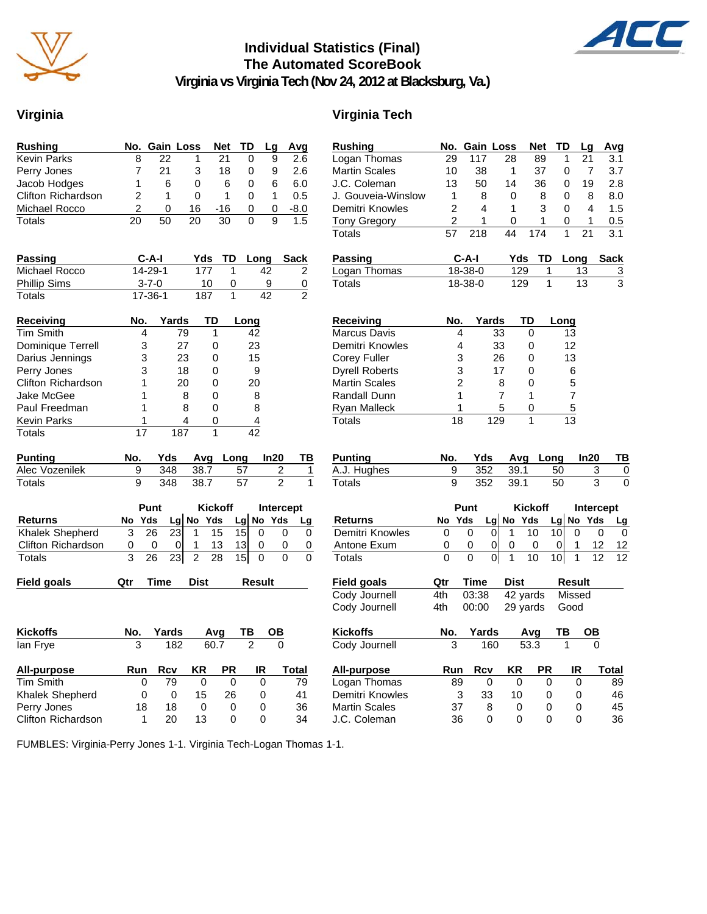

### **Individual Statistics (Final) The Automated ScoreBook**



**Virginia vs Virginia Tech (Nov 24, 2012 at Blacksburg, Va.)**

### **Virginia Virginia Tech**

| Rushing                   |                 | No. Gain Loss   |                      | Net             | TD              | Lg                        | Avg                     | <b>Rushing</b>        |                | No. Gain Loss  |                                | <b>Net</b>        | TD              | L)              |
|---------------------------|-----------------|-----------------|----------------------|-----------------|-----------------|---------------------------|-------------------------|-----------------------|----------------|----------------|--------------------------------|-------------------|-----------------|-----------------|
| <b>Kevin Parks</b>        | 8               | 22              | 1                    | 21              | 0               | 9                         | $\overline{2.6}$        | Logan Thomas          | 29             | 117            | 28                             | 89                | 1               | $\overline{2}$  |
| Perry Jones               | 7               | 21              | 3                    | 18              | 0               | 9                         | 2.6                     | <b>Martin Scales</b>  | 10             | 38             | $\mathbf{1}$                   | 37                | $\mathbf 0$     |                 |
| Jacob Hodges              | 1               | 6               | 0                    | 6               | 0               | 6                         | 6.0                     | J.C. Coleman          | 13             | 50             | 14                             | 36                | 0               | 1               |
| <b>Clifton Richardson</b> | $\overline{2}$  | 1               | 0                    | 1               | 0               | 1                         | 0.5                     | J. Gouveia-Winslow    | 1              | 8              | 0                              | 8                 | 0               |                 |
| Michael Rocco             | $\overline{2}$  | $\Omega$        | 16                   | $-16$           | 0               | 0                         | $-8.0$                  | Demitri Knowles       | $\overline{2}$ | 4              | 1                              | 3                 | $\Omega$        |                 |
| <b>Totals</b>             | $\overline{20}$ | 50              | $\overline{20}$      | $\overline{30}$ | 0               | $\overline{9}$            | 1.5                     | <b>Tony Gregory</b>   | 2              | 1              | 0                              | 1                 | 0               |                 |
|                           |                 |                 |                      |                 |                 |                           |                         | <b>Totals</b>         | 57             | 218            | 44                             | 174               | 1               | $\overline{2}$  |
| <b>Passing</b>            |                 | $C-A-I$         | Yds                  | TD              |                 | Long                      | <b>Sack</b>             | <b>Passing</b>        |                | $C-A-I$        | Yds                            | TD                |                 | Long            |
| Michael Rocco             |                 | 14-29-1         | 177                  | 1               |                 | 42                        | 2                       | Logan Thomas          |                | 18-38-0        | 129                            |                   | 1               | 13              |
| <b>Phillip Sims</b>       |                 | $3 - 7 - 0$     | 10                   | 0               |                 | 9                         | 0                       | Totals                |                | 18-38-0        | 129                            |                   | $\mathbf{1}$    | $\overline{13}$ |
| <b>Totals</b>             |                 | $17 - 36 - 1$   | 187                  | $\overline{1}$  |                 | $\overline{42}$           | $\overline{2}$          |                       |                |                |                                |                   |                 |                 |
| Receiving                 | No.             |                 | Yards                | TD              | Long            |                           |                         | Receiving             | No.            |                | Yards                          | TD                | Long            |                 |
| <b>Tim Smith</b>          |                 | 4               | 79                   | 1               | 42              |                           |                         | <b>Marcus Davis</b>   |                | 4              | 33                             | 0                 | 13              |                 |
| Dominique Terrell         |                 | 3               | 27                   | 0               | 23              |                           |                         | Demitri Knowles       |                | 4              | 33                             | 0                 | 12              |                 |
| Darius Jennings           |                 | 3               | 23                   | 0               | 15              |                           |                         | Corey Fuller          |                | 3              | 26                             | 0                 | 13              |                 |
| Perry Jones               |                 | 3               | 18                   | 0               | 9               |                           |                         | <b>Dyrell Roberts</b> |                | 3              | 17                             | 0                 |                 | 6               |
| Clifton Richardson        |                 | 1               | 20                   | 0               | 20              |                           |                         | <b>Martin Scales</b>  |                | $\overline{2}$ | 8                              | $\Omega$          |                 | 5               |
| Jake McGee                |                 | 1               | 8                    | $\mathbf 0$     |                 | 8                         |                         | Randall Dunn          |                | 1              | $\overline{7}$                 | 1                 |                 | $\overline{7}$  |
| Paul Freedman             |                 | 1               | 8                    | 0               | 8               |                           |                         | <b>Ryan Malleck</b>   |                | 1              | 5                              | 0                 |                 | 5               |
| Kevin Parks               |                 | 1               | 4                    | 0               |                 | 4                         |                         | Totals                | 18             |                | 129                            | 1                 | $\overline{13}$ |                 |
| <b>Totals</b>             | $\overline{17}$ |                 | 187                  | $\mathbf{1}$    | $\overline{42}$ |                           |                         |                       |                |                |                                |                   |                 |                 |
| <b>Punting</b>            | No.             | Yds             | Avg                  |                 | Long            | In20                      | TB                      | <b>Punting</b>        | No.            | Yds            | Avg                            |                   | Long            | In:             |
| Alec Vozenilek            | 9               | 348             | 38.7                 |                 | 57              | 2                         | 1                       | A.J. Hughes           | 9              | 352            | 39.1                           |                   | 50              |                 |
| Totals                    | 9               | 348             | 38.7                 |                 | 57              | $\overline{2}$            | $\mathbf{1}$            | <b>Totals</b>         | 9              | 352            | 39.1                           |                   | 50              |                 |
|                           |                 | Punt            |                      | <b>Kickoff</b>  |                 |                           | <b>Intercept</b>        |                       |                | Punt           |                                | <b>Kickoff</b>    |                 | Int             |
| <b>Returns</b>            | No Yds          |                 | No Yds<br>Lg         |                 |                 | $Lg$ No Yds               | Lg                      | <b>Returns</b>        | No Yds         |                | Lg No Yds                      |                   | $Lg$ No         |                 |
| Khalek Shepherd           | 3               | $\overline{26}$ | 23<br>$\mathbf 1$    | 15              | 15              | $\Omega$                  | 0<br>0                  | Demitri Knowles       | 0              | $\Omega$       | $\mathbf 0$<br>$\mathbf{1}$    | 10                | 10              | $\Omega$        |
| <b>Clifton Richardson</b> | 0               | 0               | 0<br>1               | 13              | 13              | 0                         | 0<br>$\,0\,$            | Antone Exum           | 0              | 0              | 0<br>0                         | 0                 | 0               | 1               |
| Totals                    | 3               | 26              | 23<br>$\overline{2}$ | 28              | 15              | $\mathbf 0$               | $\Omega$<br>$\mathbf 0$ | Totals                | $\Omega$       | 0              | $\overline{0}$<br>$\mathbf{1}$ | 10                | 10 <sup>1</sup> | 1               |
| Field goals               | Qtr             | Time            | <b>Dist</b>          |                 |                 | Result                    |                         | Field goals           | Qtr            | Time           | <b>Dist</b>                    |                   |                 | Result          |
|                           |                 |                 |                      |                 |                 |                           |                         | Cody Journell         | 4th            | 03:38          |                                | 42 yards          |                 | <b>Missec</b>   |
|                           |                 |                 |                      |                 |                 |                           |                         | Cody Journell         | 4th            | 00:00          |                                | 29 yards          | Good            |                 |
| <b>Kickoffs</b>           | No.             | Yards           |                      | Avg             | TB              | $\underline{\mathsf{OB}}$ |                         | <b>Kickoffs</b>       | No.            | Yards          |                                | Avg               | ТВ              | C               |
| lan Frye                  | 3               |                 | 182                  | 60.7            | $\overline{2}$  | $\mathbf 0$               |                         | Cody Journell         | 3              |                | 160                            | $\overline{53.3}$ | 1               |                 |
| All-purpose               | Run             | <b>Rcv</b>      | ΚR                   | <b>PR</b>       |                 | IR                        | <b>Total</b>            | <b>All-purpose</b>    | Run            | Rcv            | KR                             | <b>PR</b>         |                 | IR              |
| <b>Tim Smith</b>          |                 | 79<br>0         | 0                    | 0               |                 | 0                         | 79                      | Logan Thomas          | 89             | 0              | 0                              |                   | 0               | 0               |
| Khalek Shepherd           |                 | 0               | $\mathbf 0$<br>15    | 26              |                 | 0                         | 41                      | Demitri Knowles       |                | 3<br>33        | 10                             |                   | 0               | 0               |
| Perry Jones               | 18              | 18              | 0                    | 0               |                 | $\Omega$                  | 36                      | <b>Martin Scales</b>  | 37             | 8              | 0                              |                   | $\Omega$        | 0               |
| Clifton Richardson        |                 | 1<br>20         | 13                   | $\Omega$        |                 | $\Omega$                  | 34                      | J.C. Coleman          | 36             | $\Omega$       | $\Omega$                       |                   | $\Omega$        | 0               |

| 117<br>28<br>21<br>Logan Thomas<br>29<br>89<br>1<br>3.1<br><b>Martin Scales</b><br>38<br>37<br>7<br>3.7<br>10<br>1<br>0<br>2.8<br>J.C. Coleman<br>13<br>50<br>36<br>19<br>14<br>0<br>J. Gouveia-Winslow<br>1<br>8<br>0<br>8<br>0<br>8<br>8.0<br>$\overline{2}$<br>Demitri Knowles<br>4<br>1<br>3<br>1.5<br>0<br>4<br>2<br>1<br>1<br>0<br>0<br>1<br>0.5<br><b>Tony Gregory</b><br>$\overline{21}$<br>57<br>218<br>174<br>1<br>Totals<br>44<br>3.1<br>C-A-I<br>Yds<br>Passing<br>TD<br>Long<br><b>Sack</b><br>18-38-0<br>129<br>Logan Thomas<br>1<br>13<br>$\overline{3}$<br>3<br>18-38-0<br>129<br>1<br>13<br>Totals<br>No.<br>Yards<br>Receiving<br>TD<br>Long<br>Marcus Davis<br>33<br>4<br>0<br>13<br>Demitri Knowles<br>4<br>33<br>12<br>0<br>3<br><b>Corey Fuller</b><br>26<br>0<br>13<br><b>Dyrell Roberts</b><br>3<br>17<br>0<br>6<br>2<br><b>Martin Scales</b><br>8<br>5<br>0<br>1<br>7<br>7<br>Randall Dunn<br>1<br>1<br>Ryan Malleck<br>5<br>0<br>$\overline{5}$<br>Totals<br>18<br>129<br>1<br>13<br><b>Punting</b><br>No.<br>Yds<br>Avg<br>Long<br>ln20<br>ΤВ<br>352<br>A.J. Hughes<br>9<br>39.1<br>3<br>$\overline{0}$<br>50<br>3<br>9<br>352<br>39.1<br>50<br>0<br>Totals<br><b>Kickoff</b><br>Intercept<br>Punt<br>Lg No<br>Yds<br>Lg No Yds<br>Yds<br>Returns<br>No<br><u>Lg</u><br>Demitri Knowles<br>10<br>10<br>1<br>0<br>0<br>0<br>0<br>0<br>0<br>Antone Exum<br>0<br>0<br>0<br>1<br>0<br>0<br>0<br>12<br>12<br>1<br>1<br>Totals<br>0<br>0<br>01<br>10<br>10<br>12<br>12<br><b>Time</b><br><b>Dist</b><br>Result<br><b>Field goals</b><br>Qtr<br>Cody Journell<br>03:38<br>42 yards<br>4th<br>Missed<br>Cody Journell<br>4th<br>00:00<br>29 yards<br>Good<br>Kickoffs<br>No.<br>ТВ<br>Yards<br>Avg<br>ОВ<br>Cody Journell<br>160<br>53.3<br>1<br>3<br>O<br>ΚR<br>PR<br>IR<br><b>All-purpose</b><br>Run<br>Rcv<br>Total<br>Logan Thomas<br>89<br>0<br>89<br>0<br>0<br>0<br>Demitri Knowles<br>3<br>33<br>10<br>0<br>46<br>0<br><b>Martin Scales</b><br>37<br>8<br>0<br>0<br>45<br>0<br>J.C. Coleman<br>36<br>0<br>0<br>36<br>0<br>0 | <b>Rushing</b> | No. | Gain Loss |  | <b>Net</b> | TD | Lg | Avg |
|-------------------------------------------------------------------------------------------------------------------------------------------------------------------------------------------------------------------------------------------------------------------------------------------------------------------------------------------------------------------------------------------------------------------------------------------------------------------------------------------------------------------------------------------------------------------------------------------------------------------------------------------------------------------------------------------------------------------------------------------------------------------------------------------------------------------------------------------------------------------------------------------------------------------------------------------------------------------------------------------------------------------------------------------------------------------------------------------------------------------------------------------------------------------------------------------------------------------------------------------------------------------------------------------------------------------------------------------------------------------------------------------------------------------------------------------------------------------------------------------------------------------------------------------------------------------------------------------------------------------------------------------------------------------------------------------------------------------------------------------------------------------------------------------------------------------------------------------------------------------------------------------------------------------------------------------------------------------------------------------------------------------------------------------------------|----------------|-----|-----------|--|------------|----|----|-----|
|                                                                                                                                                                                                                                                                                                                                                                                                                                                                                                                                                                                                                                                                                                                                                                                                                                                                                                                                                                                                                                                                                                                                                                                                                                                                                                                                                                                                                                                                                                                                                                                                                                                                                                                                                                                                                                                                                                                                                                                                                                                       |                |     |           |  |            |    |    |     |
|                                                                                                                                                                                                                                                                                                                                                                                                                                                                                                                                                                                                                                                                                                                                                                                                                                                                                                                                                                                                                                                                                                                                                                                                                                                                                                                                                                                                                                                                                                                                                                                                                                                                                                                                                                                                                                                                                                                                                                                                                                                       |                |     |           |  |            |    |    |     |
|                                                                                                                                                                                                                                                                                                                                                                                                                                                                                                                                                                                                                                                                                                                                                                                                                                                                                                                                                                                                                                                                                                                                                                                                                                                                                                                                                                                                                                                                                                                                                                                                                                                                                                                                                                                                                                                                                                                                                                                                                                                       |                |     |           |  |            |    |    |     |
|                                                                                                                                                                                                                                                                                                                                                                                                                                                                                                                                                                                                                                                                                                                                                                                                                                                                                                                                                                                                                                                                                                                                                                                                                                                                                                                                                                                                                                                                                                                                                                                                                                                                                                                                                                                                                                                                                                                                                                                                                                                       |                |     |           |  |            |    |    |     |
|                                                                                                                                                                                                                                                                                                                                                                                                                                                                                                                                                                                                                                                                                                                                                                                                                                                                                                                                                                                                                                                                                                                                                                                                                                                                                                                                                                                                                                                                                                                                                                                                                                                                                                                                                                                                                                                                                                                                                                                                                                                       |                |     |           |  |            |    |    |     |
|                                                                                                                                                                                                                                                                                                                                                                                                                                                                                                                                                                                                                                                                                                                                                                                                                                                                                                                                                                                                                                                                                                                                                                                                                                                                                                                                                                                                                                                                                                                                                                                                                                                                                                                                                                                                                                                                                                                                                                                                                                                       |                |     |           |  |            |    |    |     |
|                                                                                                                                                                                                                                                                                                                                                                                                                                                                                                                                                                                                                                                                                                                                                                                                                                                                                                                                                                                                                                                                                                                                                                                                                                                                                                                                                                                                                                                                                                                                                                                                                                                                                                                                                                                                                                                                                                                                                                                                                                                       |                |     |           |  |            |    |    |     |
|                                                                                                                                                                                                                                                                                                                                                                                                                                                                                                                                                                                                                                                                                                                                                                                                                                                                                                                                                                                                                                                                                                                                                                                                                                                                                                                                                                                                                                                                                                                                                                                                                                                                                                                                                                                                                                                                                                                                                                                                                                                       |                |     |           |  |            |    |    |     |
|                                                                                                                                                                                                                                                                                                                                                                                                                                                                                                                                                                                                                                                                                                                                                                                                                                                                                                                                                                                                                                                                                                                                                                                                                                                                                                                                                                                                                                                                                                                                                                                                                                                                                                                                                                                                                                                                                                                                                                                                                                                       |                |     |           |  |            |    |    |     |
|                                                                                                                                                                                                                                                                                                                                                                                                                                                                                                                                                                                                                                                                                                                                                                                                                                                                                                                                                                                                                                                                                                                                                                                                                                                                                                                                                                                                                                                                                                                                                                                                                                                                                                                                                                                                                                                                                                                                                                                                                                                       |                |     |           |  |            |    |    |     |
|                                                                                                                                                                                                                                                                                                                                                                                                                                                                                                                                                                                                                                                                                                                                                                                                                                                                                                                                                                                                                                                                                                                                                                                                                                                                                                                                                                                                                                                                                                                                                                                                                                                                                                                                                                                                                                                                                                                                                                                                                                                       |                |     |           |  |            |    |    |     |
|                                                                                                                                                                                                                                                                                                                                                                                                                                                                                                                                                                                                                                                                                                                                                                                                                                                                                                                                                                                                                                                                                                                                                                                                                                                                                                                                                                                                                                                                                                                                                                                                                                                                                                                                                                                                                                                                                                                                                                                                                                                       |                |     |           |  |            |    |    |     |
|                                                                                                                                                                                                                                                                                                                                                                                                                                                                                                                                                                                                                                                                                                                                                                                                                                                                                                                                                                                                                                                                                                                                                                                                                                                                                                                                                                                                                                                                                                                                                                                                                                                                                                                                                                                                                                                                                                                                                                                                                                                       |                |     |           |  |            |    |    |     |
|                                                                                                                                                                                                                                                                                                                                                                                                                                                                                                                                                                                                                                                                                                                                                                                                                                                                                                                                                                                                                                                                                                                                                                                                                                                                                                                                                                                                                                                                                                                                                                                                                                                                                                                                                                                                                                                                                                                                                                                                                                                       |                |     |           |  |            |    |    |     |
|                                                                                                                                                                                                                                                                                                                                                                                                                                                                                                                                                                                                                                                                                                                                                                                                                                                                                                                                                                                                                                                                                                                                                                                                                                                                                                                                                                                                                                                                                                                                                                                                                                                                                                                                                                                                                                                                                                                                                                                                                                                       |                |     |           |  |            |    |    |     |
|                                                                                                                                                                                                                                                                                                                                                                                                                                                                                                                                                                                                                                                                                                                                                                                                                                                                                                                                                                                                                                                                                                                                                                                                                                                                                                                                                                                                                                                                                                                                                                                                                                                                                                                                                                                                                                                                                                                                                                                                                                                       |                |     |           |  |            |    |    |     |
|                                                                                                                                                                                                                                                                                                                                                                                                                                                                                                                                                                                                                                                                                                                                                                                                                                                                                                                                                                                                                                                                                                                                                                                                                                                                                                                                                                                                                                                                                                                                                                                                                                                                                                                                                                                                                                                                                                                                                                                                                                                       |                |     |           |  |            |    |    |     |
|                                                                                                                                                                                                                                                                                                                                                                                                                                                                                                                                                                                                                                                                                                                                                                                                                                                                                                                                                                                                                                                                                                                                                                                                                                                                                                                                                                                                                                                                                                                                                                                                                                                                                                                                                                                                                                                                                                                                                                                                                                                       |                |     |           |  |            |    |    |     |
|                                                                                                                                                                                                                                                                                                                                                                                                                                                                                                                                                                                                                                                                                                                                                                                                                                                                                                                                                                                                                                                                                                                                                                                                                                                                                                                                                                                                                                                                                                                                                                                                                                                                                                                                                                                                                                                                                                                                                                                                                                                       |                |     |           |  |            |    |    |     |
|                                                                                                                                                                                                                                                                                                                                                                                                                                                                                                                                                                                                                                                                                                                                                                                                                                                                                                                                                                                                                                                                                                                                                                                                                                                                                                                                                                                                                                                                                                                                                                                                                                                                                                                                                                                                                                                                                                                                                                                                                                                       |                |     |           |  |            |    |    |     |
|                                                                                                                                                                                                                                                                                                                                                                                                                                                                                                                                                                                                                                                                                                                                                                                                                                                                                                                                                                                                                                                                                                                                                                                                                                                                                                                                                                                                                                                                                                                                                                                                                                                                                                                                                                                                                                                                                                                                                                                                                                                       |                |     |           |  |            |    |    |     |
|                                                                                                                                                                                                                                                                                                                                                                                                                                                                                                                                                                                                                                                                                                                                                                                                                                                                                                                                                                                                                                                                                                                                                                                                                                                                                                                                                                                                                                                                                                                                                                                                                                                                                                                                                                                                                                                                                                                                                                                                                                                       |                |     |           |  |            |    |    |     |
|                                                                                                                                                                                                                                                                                                                                                                                                                                                                                                                                                                                                                                                                                                                                                                                                                                                                                                                                                                                                                                                                                                                                                                                                                                                                                                                                                                                                                                                                                                                                                                                                                                                                                                                                                                                                                                                                                                                                                                                                                                                       |                |     |           |  |            |    |    |     |
|                                                                                                                                                                                                                                                                                                                                                                                                                                                                                                                                                                                                                                                                                                                                                                                                                                                                                                                                                                                                                                                                                                                                                                                                                                                                                                                                                                                                                                                                                                                                                                                                                                                                                                                                                                                                                                                                                                                                                                                                                                                       |                |     |           |  |            |    |    |     |
|                                                                                                                                                                                                                                                                                                                                                                                                                                                                                                                                                                                                                                                                                                                                                                                                                                                                                                                                                                                                                                                                                                                                                                                                                                                                                                                                                                                                                                                                                                                                                                                                                                                                                                                                                                                                                                                                                                                                                                                                                                                       |                |     |           |  |            |    |    |     |
|                                                                                                                                                                                                                                                                                                                                                                                                                                                                                                                                                                                                                                                                                                                                                                                                                                                                                                                                                                                                                                                                                                                                                                                                                                                                                                                                                                                                                                                                                                                                                                                                                                                                                                                                                                                                                                                                                                                                                                                                                                                       |                |     |           |  |            |    |    |     |
|                                                                                                                                                                                                                                                                                                                                                                                                                                                                                                                                                                                                                                                                                                                                                                                                                                                                                                                                                                                                                                                                                                                                                                                                                                                                                                                                                                                                                                                                                                                                                                                                                                                                                                                                                                                                                                                                                                                                                                                                                                                       |                |     |           |  |            |    |    |     |
|                                                                                                                                                                                                                                                                                                                                                                                                                                                                                                                                                                                                                                                                                                                                                                                                                                                                                                                                                                                                                                                                                                                                                                                                                                                                                                                                                                                                                                                                                                                                                                                                                                                                                                                                                                                                                                                                                                                                                                                                                                                       |                |     |           |  |            |    |    |     |
|                                                                                                                                                                                                                                                                                                                                                                                                                                                                                                                                                                                                                                                                                                                                                                                                                                                                                                                                                                                                                                                                                                                                                                                                                                                                                                                                                                                                                                                                                                                                                                                                                                                                                                                                                                                                                                                                                                                                                                                                                                                       |                |     |           |  |            |    |    |     |
|                                                                                                                                                                                                                                                                                                                                                                                                                                                                                                                                                                                                                                                                                                                                                                                                                                                                                                                                                                                                                                                                                                                                                                                                                                                                                                                                                                                                                                                                                                                                                                                                                                                                                                                                                                                                                                                                                                                                                                                                                                                       |                |     |           |  |            |    |    |     |
|                                                                                                                                                                                                                                                                                                                                                                                                                                                                                                                                                                                                                                                                                                                                                                                                                                                                                                                                                                                                                                                                                                                                                                                                                                                                                                                                                                                                                                                                                                                                                                                                                                                                                                                                                                                                                                                                                                                                                                                                                                                       |                |     |           |  |            |    |    |     |
|                                                                                                                                                                                                                                                                                                                                                                                                                                                                                                                                                                                                                                                                                                                                                                                                                                                                                                                                                                                                                                                                                                                                                                                                                                                                                                                                                                                                                                                                                                                                                                                                                                                                                                                                                                                                                                                                                                                                                                                                                                                       |                |     |           |  |            |    |    |     |
|                                                                                                                                                                                                                                                                                                                                                                                                                                                                                                                                                                                                                                                                                                                                                                                                                                                                                                                                                                                                                                                                                                                                                                                                                                                                                                                                                                                                                                                                                                                                                                                                                                                                                                                                                                                                                                                                                                                                                                                                                                                       |                |     |           |  |            |    |    |     |
|                                                                                                                                                                                                                                                                                                                                                                                                                                                                                                                                                                                                                                                                                                                                                                                                                                                                                                                                                                                                                                                                                                                                                                                                                                                                                                                                                                                                                                                                                                                                                                                                                                                                                                                                                                                                                                                                                                                                                                                                                                                       |                |     |           |  |            |    |    |     |
|                                                                                                                                                                                                                                                                                                                                                                                                                                                                                                                                                                                                                                                                                                                                                                                                                                                                                                                                                                                                                                                                                                                                                                                                                                                                                                                                                                                                                                                                                                                                                                                                                                                                                                                                                                                                                                                                                                                                                                                                                                                       |                |     |           |  |            |    |    |     |
|                                                                                                                                                                                                                                                                                                                                                                                                                                                                                                                                                                                                                                                                                                                                                                                                                                                                                                                                                                                                                                                                                                                                                                                                                                                                                                                                                                                                                                                                                                                                                                                                                                                                                                                                                                                                                                                                                                                                                                                                                                                       |                |     |           |  |            |    |    |     |
|                                                                                                                                                                                                                                                                                                                                                                                                                                                                                                                                                                                                                                                                                                                                                                                                                                                                                                                                                                                                                                                                                                                                                                                                                                                                                                                                                                                                                                                                                                                                                                                                                                                                                                                                                                                                                                                                                                                                                                                                                                                       |                |     |           |  |            |    |    |     |
|                                                                                                                                                                                                                                                                                                                                                                                                                                                                                                                                                                                                                                                                                                                                                                                                                                                                                                                                                                                                                                                                                                                                                                                                                                                                                                                                                                                                                                                                                                                                                                                                                                                                                                                                                                                                                                                                                                                                                                                                                                                       |                |     |           |  |            |    |    |     |

FUMBLES: Virginia-Perry Jones 1-1. Virginia Tech-Logan Thomas 1-1.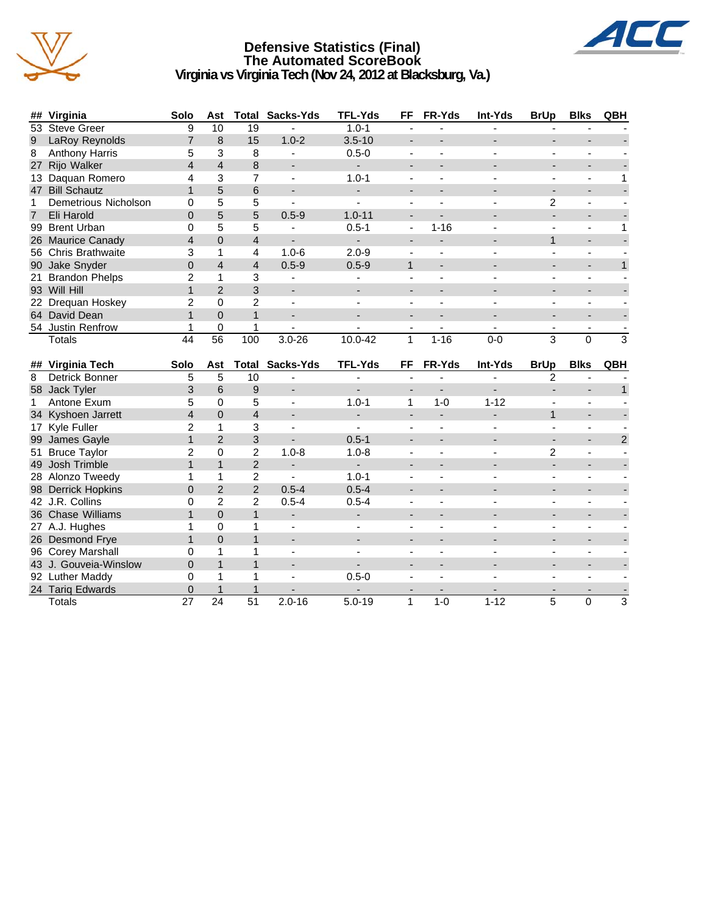

### **Defensive Statistics (Final) The Automated ScoreBook Virginia vs Virginia Tech (Nov 24, 2012 at Blacksburg, Va.)**



|    | ## Virginia          | Solo           | Ast             | Total          | Sacks-Yds                | <b>TFL-Yds</b> | <b>FF</b>      | FR-Yds   | Int-Yds  | <b>BrUp</b>    | <b>Blks</b> | QBH            |
|----|----------------------|----------------|-----------------|----------------|--------------------------|----------------|----------------|----------|----------|----------------|-------------|----------------|
|    | 53 Steve Greer       | 9              | 10              | 19             |                          | $1.0 - 1$      |                |          |          |                |             |                |
| 9  | LaRoy Reynolds       |                | 8               | 15             | $1.0 - 2$                | $3.5 - 10$     |                |          |          |                |             |                |
| 8  | Anthony Harris       | 5              | 3               | 8              |                          | $0.5 - 0$      |                |          |          |                |             |                |
| 27 | Rijo Walker          | 4              | $\overline{4}$  | 8              | $\overline{\phantom{a}}$ |                |                |          |          |                |             |                |
| 13 | Daquan Romero        | 4              | 3               | 7              |                          | $1.0 - 1$      |                |          |          |                |             |                |
|    | 47 Bill Schautz      | $\mathbf 1$    | 5               | 6              | $\overline{\phantom{a}}$ |                |                |          |          |                |             |                |
|    | Demetrious Nicholson | $\Omega$       | 5               | 5              |                          |                |                |          |          | $\overline{2}$ |             |                |
| 7  | Eli Harold           | 0              | 5               | 5              | $0.5 - 9$                | $1.0 - 11$     |                |          |          |                |             |                |
| 99 | <b>Brent Urban</b>   | 0              | 5               | 5              |                          | $0.5 - 1$      | $\blacksquare$ | $1 - 16$ |          |                |             |                |
|    | 26 Maurice Canady    | 4              | $\Omega$        | $\overline{4}$ |                          |                |                |          |          |                |             |                |
|    | 56 Chris Brathwaite  | 3              |                 | 4              | $1.0 - 6$                | $2.0 - 9$      |                |          |          |                |             |                |
|    | 90 Jake Snyder       | $\Omega$       | 4               | $\overline{4}$ | $0.5 - 9$                | $0.5 - 9$      | 1              |          |          |                |             |                |
|    | 21 Brandon Phelps    | $\overline{2}$ | 1               | 3              |                          |                |                |          |          |                |             |                |
|    | 93 Will Hill         |                | $\mathcal{P}$   | 3              | $\overline{\phantom{a}}$ |                |                |          |          |                |             |                |
|    | 22 Drequan Hoskey    | $\overline{c}$ | 0               | 2              |                          |                |                |          |          |                |             |                |
|    | 64 David Dean        |                | $\Omega$        | $\mathbf{1}$   | $\overline{\phantom{a}}$ |                |                |          |          |                |             |                |
|    | 54 Justin Renfrow    |                | 0               |                |                          |                |                |          |          |                |             |                |
|    | <b>Totals</b>        | 44             | $\overline{56}$ | 100            | $3.0 - 26$               | 10.0-42        | 1              | $1 - 16$ | $0 - 0$  | $\overline{3}$ | $\mathbf 0$ | 3              |
|    |                      |                |                 |                |                          |                |                |          |          |                |             |                |
|    | ## Virginia Tech     | Solo           | Ast             |                | <b>Total Sacks-Yds</b>   | <b>TFL-Yds</b> | FF             | FR-Yds   | Int-Yds  | <b>BrUp</b>    | <b>Blks</b> | QBH            |
| 8  | Detrick Bonner       | 5              | 5               | 10             |                          |                |                |          |          | 2              |             |                |
|    | 58 Jack Tyler        | 3              | 6               | 9              |                          |                |                |          |          |                |             |                |
|    | Antone Exum          | 5              | 0               | 5              |                          | $1.0 - 1$      | 1              | $1 - 0$  | $1 - 12$ |                |             |                |
|    | 34 Kyshoen Jarrett   | 4              | $\overline{0}$  | 4              |                          |                |                |          |          |                |             |                |
|    | 17 Kyle Fuller       | $\overline{2}$ |                 | 3              |                          |                |                |          |          |                |             |                |
|    | 99 James Gayle       |                | $\mathfrak{p}$  | 3              | $\overline{\phantom{a}}$ | $0.5 - 1$      |                |          |          | ٠              | ٠           | $\overline{2}$ |
|    | 51 Bruce Taylor      | 2              | 0               | $\overline{c}$ | $1.0 - 8$                | $1.0 - 8$      |                |          |          | 2              |             |                |
|    | 49 Josh Trimble      | 1              |                 | $\overline{2}$ |                          |                |                |          |          |                |             |                |

49 Josh Trimble 1 1 2 - - - - - - - - 28 Alonzo Tweedy 1 1 2 - 1.0-1 - - - - - - - -<br>98 Derrick Hopkins 0 2 2 0.5-4 0.5-4 - - - - - - - - -98 Derrick Hopkins 0 2 2 0.5-4 0.5-4 - - - - - - 42 J.R. Collins 0 2 2 0.5-4 0.5-4 - - - - - - 36 Chase Williams 1 0 1 - - - - - - - -

27 A.J. Hughes 1 0 1 - - - - - - - - 26 Desmond Frye 1 0 1 - - - - - - - - 96 Corey Marshall 0 1 1 - - - - - - - - 43 J. Gouveia-Winslow 0 1 1 - - - - - - - - 92 Luther Maddy 0 1 1 - 0.5-0 - - - - - - 24 Tariq Edwards 0 1 1 - - - - - - - - Totals 27 24 51 2.0-16 5.0-19 1 1-0 1-12 5 0 3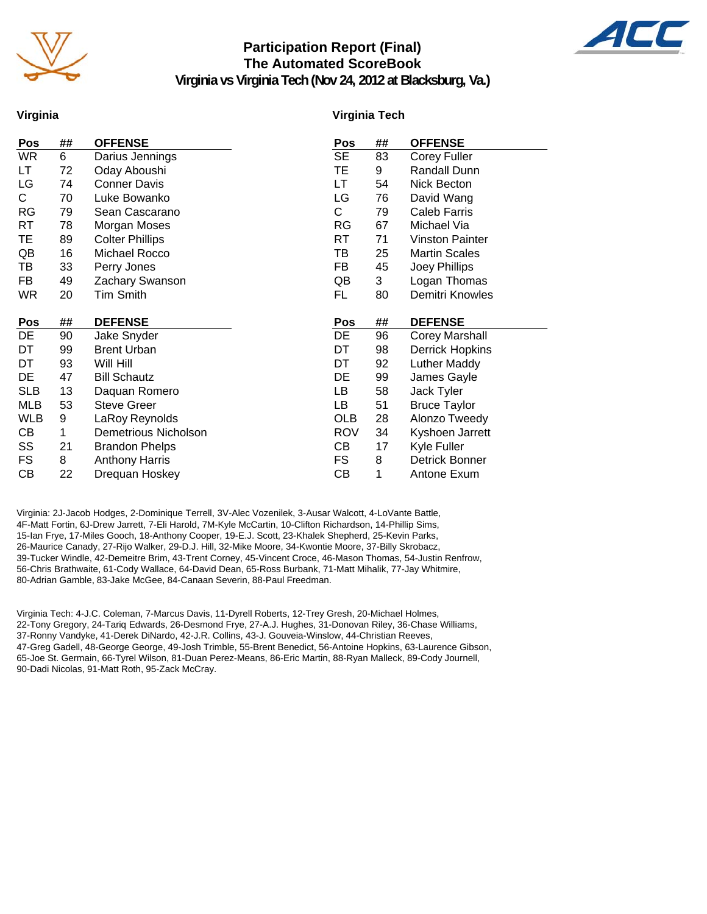

### **Participation Report (Final) The Automated ScoreBook**



**Virginia vs Virginia Tech (Nov 24, 2012 at Blacksburg, Va.)**

#### **Virginia**

#### **Virginia Tech**

| Pos        | ## | <b>OFFENSE</b>                          | Pos        | ## | <b>OFFENSE</b>                |
|------------|----|-----------------------------------------|------------|----|-------------------------------|
| <b>WR</b>  | 6  | Darius Jennings                         | <b>SE</b>  | 83 | Corey Fuller                  |
| LT         | 72 | Oday Aboushi                            | TE         | 9  | Randall Dunn                  |
| LG         | 74 | <b>Conner Davis</b>                     | LT         | 54 | Nick Becton                   |
| C.         | 70 | Luke Bowanko                            | LG         | 76 | David Wang                    |
| <b>RG</b>  | 79 | Sean Cascarano                          | C.         | 79 | Caleb Farris                  |
| RT         | 78 | Morgan Moses                            | RG         | 67 | Michael Via                   |
| TE         | 89 | <b>Colter Phillips</b>                  | RT         | 71 | <b>Vinston Painter</b>        |
| QB         | 16 | Michael Rocco                           | TВ         | 25 | <b>Martin Scales</b>          |
| ТB         | 33 | Perry Jones                             | FB         | 45 | Joey Phillips                 |
| FB         | 49 | Zachary Swanson                         | QB         | 3  | Logan Thomas                  |
| <b>WR</b>  | 20 | Tim Smith                               | FL         | 80 | Demitri Knowles               |
|            |    |                                         |            |    |                               |
| Pos        | ## | <b>DEFENSE</b>                          | Pos        | ## | <b>DEFENSE</b>                |
|            |    |                                         |            |    |                               |
| DE         | 90 | Jake Snyder                             | DE         | 96 | <b>Corey Marshall</b>         |
| DT         | 99 | <b>Brent Urban</b>                      | DT         | 98 | <b>Derrick Hopkins</b>        |
| DT         | 93 | Will Hill                               | DT         | 92 | Luther Maddy                  |
| DE         | 47 | <b>Bill Schautz</b>                     | DE         | 99 | James Gayle                   |
| <b>SLB</b> | 13 | Daquan Romero                           | LB         | 58 | Jack Tyler                    |
| MLB        | 53 | <b>Steve Greer</b>                      | LB         | 51 | <b>Bruce Taylor</b>           |
| <b>WLB</b> | 9  | LaRoy Reynolds                          | <b>OLB</b> | 28 | Alonzo Tweedy                 |
| CВ         | 1  | Demetrious Nicholson                    | <b>ROV</b> | 34 | Kyshoen Jarrett               |
| SS         | 21 | <b>Brandon Phelps</b>                   | CВ         | 17 |                               |
| FS         | 8  |                                         | FS.        | 8  | Kyle Fuller<br>Detrick Bonner |
| СB         | 22 | <b>Anthony Harris</b><br>Drequan Hoskey | CВ         | 1  | Antone Exum                   |

Virginia: 2J-Jacob Hodges, 2-Dominique Terrell, 3V-Alec Vozenilek, 3-Ausar Walcott, 4-LoVante Battle, 4F-Matt Fortin, 6J-Drew Jarrett, 7-Eli Harold, 7M-Kyle McCartin, 10-Clifton Richardson, 14-Phillip Sims, 15-Ian Frye, 17-Miles Gooch, 18-Anthony Cooper, 19-E.J. Scott, 23-Khalek Shepherd, 25-Kevin Parks, 26-Maurice Canady, 27-Rijo Walker, 29-D.J. Hill, 32-Mike Moore, 34-Kwontie Moore, 37-Billy Skrobacz, 39-Tucker Windle, 42-Demeitre Brim, 43-Trent Corney, 45-Vincent Croce, 46-Mason Thomas, 54-Justin Renfrow, 56-Chris Brathwaite, 61-Cody Wallace, 64-David Dean, 65-Ross Burbank, 71-Matt Mihalik, 77-Jay Whitmire, 80-Adrian Gamble, 83-Jake McGee, 84-Canaan Severin, 88-Paul Freedman.

Virginia Tech: 4-J.C. Coleman, 7-Marcus Davis, 11-Dyrell Roberts, 12-Trey Gresh, 20-Michael Holmes, 22-Tony Gregory, 24-Tariq Edwards, 26-Desmond Frye, 27-A.J. Hughes, 31-Donovan Riley, 36-Chase Williams, 37-Ronny Vandyke, 41-Derek DiNardo, 42-J.R. Collins, 43-J. Gouveia-Winslow, 44-Christian Reeves, 47-Greg Gadell, 48-George George, 49-Josh Trimble, 55-Brent Benedict, 56-Antoine Hopkins, 63-Laurence Gibson, 65-Joe St. Germain, 66-Tyrel Wilson, 81-Duan Perez-Means, 86-Eric Martin, 88-Ryan Malleck, 89-Cody Journell, 90-Dadi Nicolas, 91-Matt Roth, 95-Zack McCray.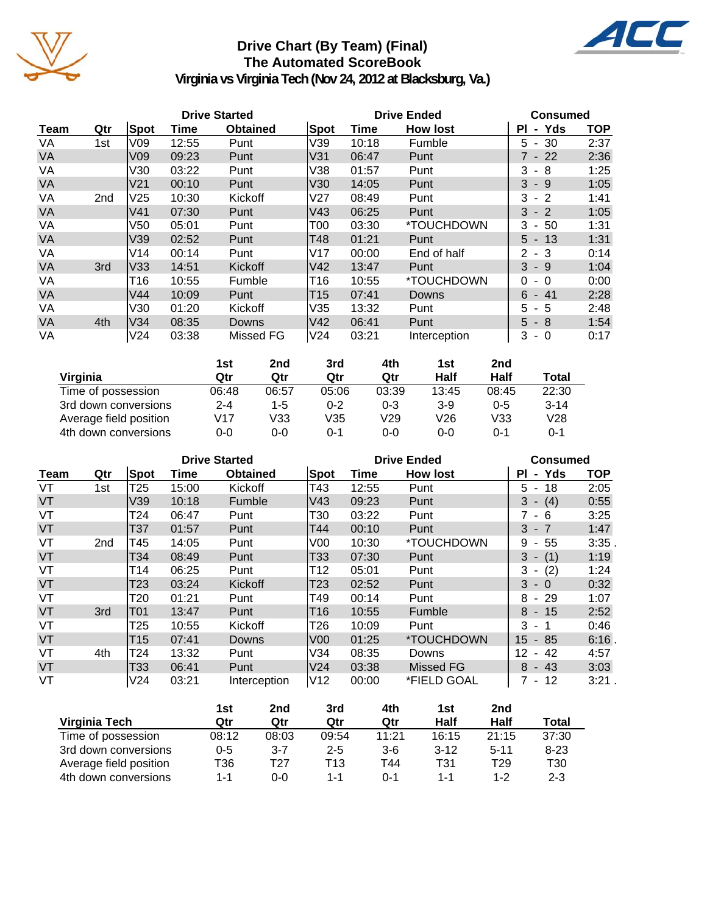

### **Drive Chart (By Team) (Final) The Automated ScoreBook**



**Virginia vs Virginia Tech (Nov 24, 2012 at Blacksburg, Va.)**

|           |     |                 |       | <b>Drive Started</b> |                 |       | <b>Drive Ended</b> | <b>Consumed</b>            |      |
|-----------|-----|-----------------|-------|----------------------|-----------------|-------|--------------------|----------------------------|------|
| Team      | Qtr | Spot            | Time  | <b>Obtained</b>      | Spot            | Time  | <b>How lost</b>    | - Yds<br><b>PI</b>         | TOP  |
| VA        | 1st | V09             | 12:55 | Punt                 | V39             | 10:18 | Fumble             | 30<br>5.<br>$\blacksquare$ | 2:37 |
| VA        |     | V <sub>09</sub> | 09:23 | Punt                 | V31             | 06:47 | Punt               | 7 - 22                     | 2:36 |
| VA        |     | V30             | 03:22 | Punt                 | V38             | 01:57 | Punt               | 3<br>- 8                   | 1:25 |
| <b>VA</b> |     | V21             | 00:10 | Punt                 | lV30            | 14:05 | Punt               | 3<br>- 9                   | 1:05 |
| VA        | 2nd | V <sub>25</sub> | 10:30 | Kickoff              | lV27            | 08:49 | Punt               | 3<br>$-2$                  | 1:41 |
| <b>VA</b> |     | V41             | 07:30 | Punt                 | V43             | 06:25 | Punt               | 3<br>$-2$                  | 1:05 |
| VA        |     | V <sub>50</sub> | 05:01 | Punt                 | T <sub>00</sub> | 03:30 | *TOUCHDOWN         | 3<br>50<br>$\blacksquare$  | 1:31 |
| <b>VA</b> |     | V39             | 02:52 | Punt                 | T48             | 01:21 | Punt               | 13<br>5<br>$\blacksquare$  | 1:31 |
| VA        |     | V14             | 00:14 | Punt                 | IV17            | 00:00 | End of half        | 2<br>- 3                   | 0:14 |
| <b>VA</b> | 3rd | V33             | 14:51 | Kickoff              | V42             | 13:47 | Punt               | 3<br>- 9                   | 1:04 |
| VA        |     | T16             | 10:55 | Fumble               | T16             | 10:55 | *TOUCHDOWN         | 0<br>$-0$                  | 0:00 |
| VA        |     | V44             | 10:09 | Punt                 | T <sub>15</sub> | 07:41 | Downs              | 6<br>$-41$                 | 2:28 |
| VA        |     | V30             | 01:20 | Kickoff              | V35             | 13:32 | Punt               | 5.<br>$-5$                 | 2:48 |
| <b>VA</b> | 4th | V34             | 08:35 | Downs                | IV42            | 06:41 | Punt               | $5 - 8$                    | 1:54 |
| VA        |     | V24             | 03:38 | Missed FG            | V24             | 03:21 | Interception       | 3<br>$-0$                  | 0:17 |

|                        | 1st   | 2nd   | 3rd     | 4th     | 1st   | 2nd     |          |
|------------------------|-------|-------|---------|---------|-------|---------|----------|
| Virginia               | Qtr   | Qtr   | Qtr     | Qtr     | Half  | Half    | Total    |
| Time of possession     | 06:48 | 06:57 | 05:06   | 03:39   | 13:45 | 08:45   | 22:30    |
| 3rd down conversions   | 2-4   | $1-5$ | $0 - 2$ | $0 - 3$ | $3-9$ | $0 - 5$ | $3 - 14$ |
| Average field position | V17   | V33   | V35     | V29     | V26   | V33     | V28      |
| 4th down conversions   | 0-0   | 0-0   | ი-1     | 0-0     | ი-ი   | 0-1     | 0-1      |

|           |                 |            | <b>Drive Started</b> |                 |                 |       | <b>Drive Ended</b> | <b>Consumed</b>                      |            |  |
|-----------|-----------------|------------|----------------------|-----------------|-----------------|-------|--------------------|--------------------------------------|------------|--|
| Team      | Qtr             | Spot       | Time                 | <b>Obtained</b> | Spot            | Time  | <b>How lost</b>    | - Yds<br>ΡI                          | <b>TOP</b> |  |
| VT        | 1st             | T25        | 15:00                | Kickoff         | T43             | 12:55 | Punt               | 5<br>18<br>$\overline{\phantom{a}}$  | 2:05       |  |
| VT        |                 | V39        | 10:18                | Fumble          | V43             | 09:23 | Punt               | $3 - (4)$                            | 0:55       |  |
| VT        |                 | T24        | 06:47                | Punt            | T30             | 03:22 | Punt               | 7 - 6                                | 3:25       |  |
| <b>VT</b> |                 | <b>T37</b> | 01:57                | Punt            | T44             | 00:10 | Punt               | $3 - 7$                              | 1:47       |  |
| VT        | 2 <sub>nd</sub> | T45        | 14:05                | Punt            | V <sub>0</sub>  | 10:30 | *TOUCHDOWN         | 9<br>55<br>$\blacksquare$            | 3:35       |  |
| VT        |                 | T34        | 08:49                | Punt            | T33             | 07:30 | Punt               | 3<br>(1)<br>$\overline{\phantom{a}}$ | 1:19       |  |
| VT        |                 | T14        | 06:25                | Punt            | T12             | 05:01 | Punt               | (2)<br>3<br>$\sim$                   | 1:24       |  |
| VT        |                 | T23        | 03:24                | Kickoff         | T23             | 02:52 | Punt               | $3 - 0$                              | 0:32       |  |
| VT        |                 | T20        | 01:21                | Punt            | T49             | 00:14 | Punt               | 8<br>- 29                            | 1:07       |  |
| VT        | 3rd             | <b>T01</b> | 13:47                | Punt            | T16             | 10:55 | Fumble             | $8 - 15$                             | 2:52       |  |
| VT        |                 | T25        | 10:55                | Kickoff         | T <sub>26</sub> | 10:09 | Punt               | 3<br>$-1$                            | 0:46       |  |
| VT        |                 | T15        | 07:41                | Downs           | V <sub>00</sub> | 01:25 | *TOUCHDOWN         | 85<br>15<br>$\sim$                   | 6:16       |  |
| VT        | 4th             | T24        | 13:32                | Punt            | V34             | 08:35 | Downs              | 12<br>42<br>$\blacksquare$           | 4:57       |  |
| <b>VT</b> |                 | T33        | 06:41                | Punt            | V24             | 03:38 | <b>Missed FG</b>   | $8 - 43$                             | 3:03       |  |
| VT        |                 | V24        | 03:21                | Interception    | V12             | 00:00 | *FIELD GOAL        | 7 - 12                               | 3:21.      |  |

|                        | 1st     | 2nd     | 3rd     | 4th     | 1st      | 2nd      |                 |
|------------------------|---------|---------|---------|---------|----------|----------|-----------------|
| Virginia Tech          | Qtr     | Qtr     | Qtr     | Qtr     | Half     | Half     | Total           |
| Time of possession     | 08:12   | 08:03   | 09:54   | 11:21   | 16:15    | 21:15    | 37:30           |
| 3rd down conversions   | $0 - 5$ | $3 - 7$ | $2 - 5$ | $3-6$   | $3 - 12$ | $5 - 11$ | $8 - 23$        |
| Average field position | T36     | T27     | T13     | T44     | T31      | T29      | T <sub>30</sub> |
| 4th down conversions   | 1-1     | 0-0     | 1-1     | $0 - 1$ | 1-1      | $1 - 2$  | $2 - 3$         |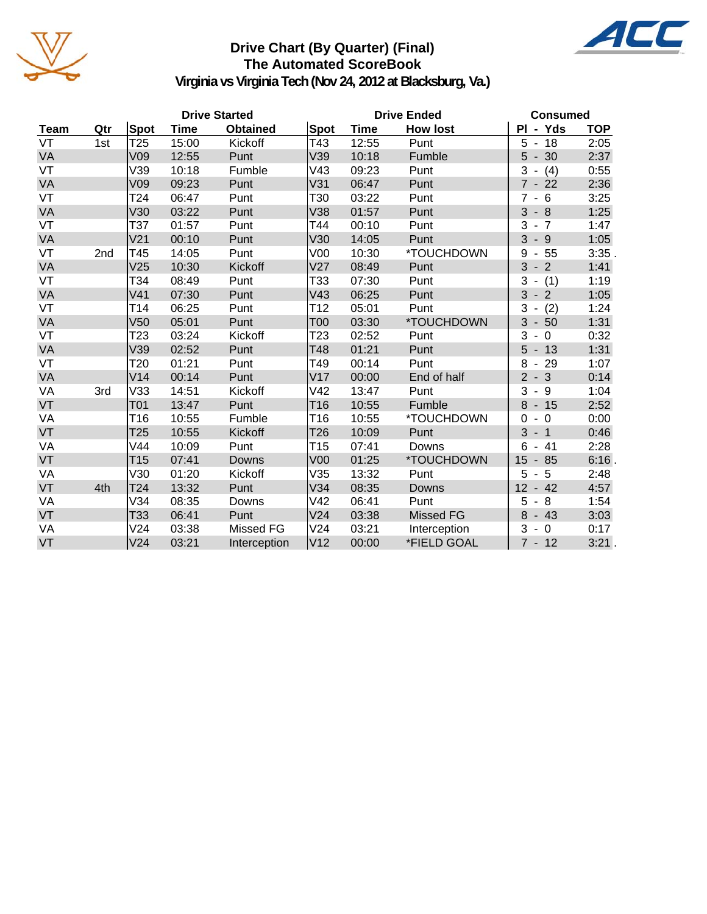

### **Drive Chart (By Quarter) (Final) The Automated ScoreBook**



**Virginia vs Virginia Tech (Nov 24, 2012 at Blacksburg, Va.)**

|      | <b>Drive Started</b> |                 |       |                 |                 | <b>Drive Ended</b> | <b>Consumed</b>  |                                       |            |
|------|----------------------|-----------------|-------|-----------------|-----------------|--------------------|------------------|---------------------------------------|------------|
| Team | Qtr                  | Spot            | Time  | <b>Obtained</b> | Spot            | Time               | <b>How lost</b>  | PI - Yds                              | <b>TOP</b> |
| VT   | 1st                  | T <sub>25</sub> | 15:00 | Kickoff         | T43             | 12:55              | Punt             | 5<br>$-18$                            | 2:05       |
| VA   |                      | V09             | 12:55 | Punt            | V39             | 10:18              | Fumble           | $5 - 30$                              | 2:37       |
| VT   |                      | V39             | 10:18 | Fumble          | V43             | 09:23              | Punt             | 3<br>(4)                              | 0:55       |
| VA   |                      | V09             | 09:23 | Punt            | V31             | 06:47              | Punt             | $7 - 22$                              | 2:36       |
| VT   |                      | T24             | 06:47 | Punt            | T30             | 03:22              | Punt             | $\overline{7}$<br>$-6$                | 3:25       |
| VA   |                      | V30             | 03:22 | Punt            | V38             | 01:57              | Punt             | 3<br>$-8$                             | 1:25       |
| VT   |                      | T37             | 01:57 | Punt            | T44             | 00:10              | Punt             | 3<br>$-7$                             | 1:47       |
| VA   |                      | V <sub>21</sub> | 00:10 | Punt            | V30             | 14:05              | Punt             | $3 - 9$                               | 1:05       |
| VT   | 2nd                  | T45             | 14:05 | Punt            | V00             | 10:30              | *TOUCHDOWN       | 9<br>$-55$                            | 3:35.      |
| VA   |                      | V <sub>25</sub> | 10:30 | Kickoff         | V <sub>27</sub> | 08:49              | Punt             | $-2$<br>3                             | 1:41       |
| VT   |                      | T34             | 08:49 | Punt            | T33             | 07:30              | Punt             | (1)<br>3<br>$\blacksquare$            | 1:19       |
| VA   |                      | V <sub>41</sub> | 07:30 | Punt            | V43             | 06:25              | Punt             | $3 - 2$                               | 1:05       |
| VT   |                      | T <sub>14</sub> | 06:25 | Punt            | T12             | 05:01              | Punt             | 3<br>(2)<br>$\overline{\phantom{a}}$  | 1:24       |
| VA   |                      | V <sub>50</sub> | 05:01 | Punt            | T00             | 03:30              | *TOUCHDOWN       | 3<br>$-50$                            | 1:31       |
| VT   |                      | T23             | 03:24 | Kickoff         | T23             | 02:52              | Punt             | 3<br>$\overline{0}$<br>$\blacksquare$ | 0:32       |
| VA   |                      | V39             | 02:52 | Punt            | T48             | 01:21              | Punt             | $5 - 13$                              | 1:31       |
| VT   |                      | T <sub>20</sub> | 01:21 | Punt            | T49             | 00:14              | Punt             | 8<br>$-29$                            | 1:07       |
| VA   |                      | V14             | 00:14 | Punt            | V17             | 00:00              | End of half      | $2 - 3$                               | 0:14       |
| VA   | 3rd                  | V33             | 14:51 | Kickoff         | V42             | 13:47              | Punt             | $3 - 9$                               | 1:04       |
| VT   |                      | <b>T01</b>      | 13:47 | Punt            | T <sub>16</sub> | 10:55              | Fumble           | 8<br>$-15$                            | 2:52       |
| VA   |                      | T16             | 10:55 | Fumble          | T16             | 10:55              | *TOUCHDOWN       | $-0$<br>$\Omega$                      | 0:00       |
| VT   |                      | T25             | 10:55 | Kickoff         | T <sub>26</sub> | 10:09              | Punt             | $3 - 1$                               | 0:46       |
| VA   |                      | V44             | 10:09 | Punt            | T <sub>15</sub> | 07:41              | Downs            | 6<br>$-41$                            | 2:28       |
| VT   |                      | T <sub>15</sub> | 07:41 | Downs           | V <sub>00</sub> | 01:25              | *TOUCHDOWN       | 15<br>$-85$                           | 6:16.      |
| VA   |                      | V30             | 01:20 | Kickoff         | V35             | 13:32              | Punt             | $5 - 5$                               | 2:48       |
| VT   | 4th                  | T <sub>24</sub> | 13:32 | Punt            | V34             | 08:35              | Downs            | $12 - 42$                             | 4:57       |
| VA   |                      | V34             | 08:35 | Downs           | V42             | 06:41              | Punt             | 8<br>5<br>$\blacksquare$              | 1:54       |
| VT   |                      | T33             | 06:41 | Punt            | V24             | 03:38              | <b>Missed FG</b> | 8<br>$-43$                            | 3:03       |
| VA   |                      | V24             | 03:38 | Missed FG       | V24             | 03:21              | Interception     | 3<br>$-0$                             | 0:17       |
| VT   |                      | V <sub>24</sub> | 03:21 | Interception    | V <sub>12</sub> | 00:00              | *FIELD GOAL      | $7 - 12$                              | 3:21.      |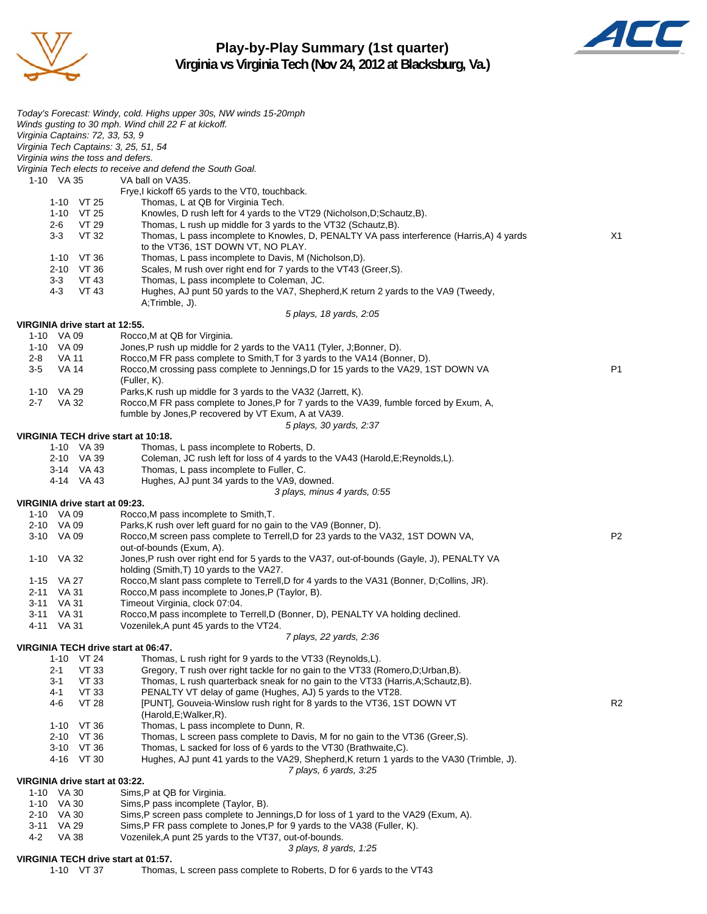

**Play-by-Play Summary (1st quarter) Virginia vs Virginia Tech (Nov 24, 2012 at Blacksburg, Va.)**



|                                                                             | Today's Forecast: Windy, cold. Highs upper 30s, NW winds 15-20mph                                                                                                  |                |
|-----------------------------------------------------------------------------|--------------------------------------------------------------------------------------------------------------------------------------------------------------------|----------------|
|                                                                             | Winds gusting to 30 mph. Wind chill 22 F at kickoff.                                                                                                               |                |
| Virginia Captains: 72, 33, 53, 9                                            |                                                                                                                                                                    |                |
| Virginia Tech Captains: 3, 25, 51, 54<br>Virginia wins the toss and defers. |                                                                                                                                                                    |                |
|                                                                             | Virginia Tech elects to receive and defend the South Goal.                                                                                                         |                |
| 1-10 VA 35                                                                  | VA ball on VA35.                                                                                                                                                   |                |
|                                                                             | Frye, I kickoff 65 yards to the VT0, touchback.                                                                                                                    |                |
| $1-10$ VT 25                                                                | Thomas, L at QB for Virginia Tech.                                                                                                                                 |                |
| 1-10 VT 25                                                                  | Knowles, D rush left for 4 yards to the VT29 (Nicholson, D; Schautz, B).                                                                                           |                |
| VT 29<br>2-6                                                                | Thomas, L rush up middle for 3 yards to the VT32 (Schautz, B).                                                                                                     |                |
| $3 - 3$<br>VT 32                                                            | Thomas, L pass incomplete to Knowles, D, PENALTY VA pass interference (Harris, A) 4 yards<br>to the VT36, 1ST DOWN VT, NO PLAY.                                    | X1             |
| 1-10 VT 36                                                                  | Thomas, L pass incomplete to Davis, M (Nicholson, D).                                                                                                              |                |
| 2-10 VT 36                                                                  | Scales, M rush over right end for 7 yards to the VT43 (Greer, S).                                                                                                  |                |
| $3-3$<br>VT 43                                                              | Thomas, L pass incomplete to Coleman, JC.                                                                                                                          |                |
| VT 43<br>4-3                                                                | Hughes, AJ punt 50 yards to the VA7, Shepherd, K return 2 yards to the VA9 (Tweedy,                                                                                |                |
|                                                                             | A;Trimble, J).                                                                                                                                                     |                |
|                                                                             | 5 plays, 18 yards, 2:05                                                                                                                                            |                |
| VIRGINIA drive start at 12:55.<br>1-10 VA 09                                | Rocco, M at QB for Virginia.                                                                                                                                       |                |
| 1-10 VA 09                                                                  | Jones, P rush up middle for 2 yards to the VA11 (Tyler, J;Bonner, D).                                                                                              |                |
| 2-8<br>VA 11                                                                | Rocco, M FR pass complete to Smith, T for 3 yards to the VA14 (Bonner, D).                                                                                         |                |
| <b>VA 14</b><br>$3-5$                                                       | Rocco, M crossing pass complete to Jennings, D for 15 yards to the VA29, 1ST DOWN VA                                                                               | P <sub>1</sub> |
|                                                                             | (Fuller, K).                                                                                                                                                       |                |
| 1-10 VA 29                                                                  | Parks, K rush up middle for 3 yards to the VA32 (Jarrett, K).                                                                                                      |                |
| $2 - 7$<br>VA 32                                                            | Rocco, M FR pass complete to Jones, P for 7 yards to the VA39, fumble forced by Exum, A,                                                                           |                |
|                                                                             | fumble by Jones, P recovered by VT Exum, A at VA39.                                                                                                                |                |
| VIRGINIA TECH drive start at 10:18.                                         | 5 plays, 30 yards, 2:37                                                                                                                                            |                |
| 1-10 VA 39                                                                  | Thomas, L pass incomplete to Roberts, D.                                                                                                                           |                |
| 2-10 VA 39                                                                  | Coleman, JC rush left for loss of 4 yards to the VA43 (Harold, E; Reynolds, L).                                                                                    |                |
| 3-14 VA 43                                                                  | Thomas, L pass incomplete to Fuller, C.                                                                                                                            |                |
| 4-14 VA 43                                                                  | Hughes, AJ punt 34 yards to the VA9, downed.                                                                                                                       |                |
|                                                                             | 3 plays, minus 4 yards, 0:55                                                                                                                                       |                |
| VIRGINIA drive start at 09:23.                                              |                                                                                                                                                                    |                |
| 1-10 VA 09<br>2-10 VA 09                                                    | Rocco, M pass incomplete to Smith, T.<br>Parks, K rush over left guard for no gain to the VA9 (Bonner, D).                                                         |                |
| 3-10 VA 09                                                                  | Rocco, M screen pass complete to Terrell, D for 23 yards to the VA32, 1ST DOWN VA,                                                                                 | P <sub>2</sub> |
|                                                                             | out-of-bounds (Exum, A).                                                                                                                                           |                |
| 1-10 VA 32                                                                  | Jones,P rush over right end for 5 yards to the VA37, out-of-bounds (Gayle, J), PENALTY VA                                                                          |                |
|                                                                             | holding (Smith, T) 10 yards to the VA27.                                                                                                                           |                |
| 1-15 VA 27                                                                  | Rocco, M slant pass complete to Terrell, D for 4 yards to the VA31 (Bonner, D;Collins, JR).                                                                        |                |
| 2-11 VA 31                                                                  | Rocco, M pass incomplete to Jones, P (Taylor, B).                                                                                                                  |                |
| 3-11<br>VA 31<br>3-11 VA 31                                                 | Timeout Virginia, clock 07:04.<br>Rocco, M pass incomplete to Terrell, D (Bonner, D), PENALTY VA holding declined.                                                 |                |
| 4-11 VA 31                                                                  | Vozenilek, A punt 45 yards to the VT24.                                                                                                                            |                |
|                                                                             | 7 plays, 22 yards, 2:36                                                                                                                                            |                |
| VIRGINIA TECH drive start at 06:47.                                         |                                                                                                                                                                    |                |
| 1-10 VT 24                                                                  | Thomas, L rush right for 9 yards to the VT33 (Reynolds, L).                                                                                                        |                |
| VT 33<br>$2 - 1$                                                            | Gregory, T rush over right tackle for no gain to the VT33 (Romero, D; Urban, B).                                                                                   |                |
| $3 - 1$<br><b>VT 33</b>                                                     | Thomas, L rush quarterback sneak for no gain to the VT33 (Harris, A; Schautz, B).                                                                                  |                |
| 4-1<br><b>VT 33</b>                                                         | PENALTY VT delay of game (Hughes, AJ) 5 yards to the VT28.                                                                                                         |                |
| $4-6$<br><b>VT 28</b>                                                       | [PUNT], Gouveia-Winslow rush right for 8 yards to the VT36, 1ST DOWN VT                                                                                            | R <sub>2</sub> |
| $1 - 10$<br>VT 36                                                           | (Harold, E; Walker, R).<br>Thomas, L pass incomplete to Dunn, R.                                                                                                   |                |
| 2-10 VT 36                                                                  | Thomas, L screen pass complete to Davis, M for no gain to the VT36 (Greer, S).                                                                                     |                |
| 3-10 VT 36                                                                  | Thomas, L sacked for loss of 6 yards to the VT30 (Brathwaite, C).                                                                                                  |                |
| 4-16 VT 30                                                                  | Hughes, AJ punt 41 yards to the VA29, Shepherd, K return 1 yards to the VA30 (Trimble, J).                                                                         |                |
|                                                                             | 7 plays, 6 yards, 3:25                                                                                                                                             |                |
| VIRGINIA drive start at 03:22.                                              |                                                                                                                                                                    |                |
| 1-10 VA 30                                                                  | Sims, P at QB for Virginia.                                                                                                                                        |                |
| 1-10 VA 30                                                                  | Sims, P pass incomplete (Taylor, B).                                                                                                                               |                |
| 2-10 VA 30<br>$3 - 11$<br>VA 29                                             | Sims, P screen pass complete to Jennings, D for loss of 1 yard to the VA29 (Exum, A).<br>Sims, P FR pass complete to Jones, P for 9 yards to the VA38 (Fuller, K). |                |
| $4 - 2$<br><b>VA 38</b>                                                     | Vozenilek, A punt 25 yards to the VT37, out-of-bounds.                                                                                                             |                |
|                                                                             | 3 plays, 8 yards, 1:25                                                                                                                                             |                |

#### **VIRGINIA TECH drive start at 01:57.**

1-10 VT 37 Thomas, L screen pass complete to Roberts, D for 6 yards to the VT43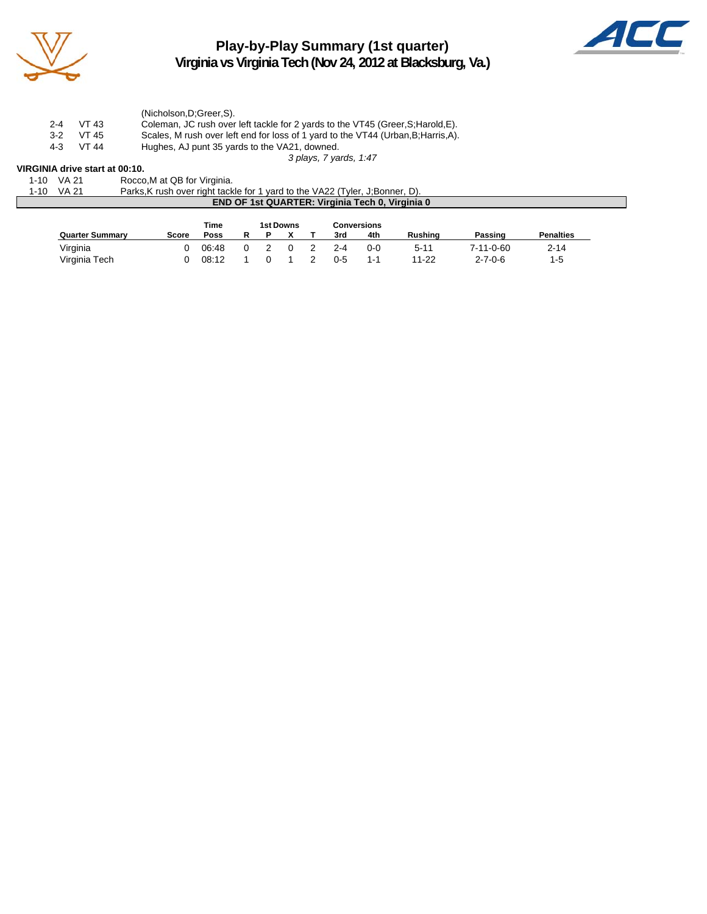

**Play-by-Play Summary (1st quarter) Virginia vs Virginia Tech (Nov 24, 2012 at Blacksburg, Va.)**



(Nicholson,D;Greer,S). 2-4 VT 43 Coleman, JC rush over left tackle for 2 yards to the VT45 (Greer, S; Harold, E).<br>3-2 VT 45 Scales, M rush over left end for loss of 1 yard to the VT44 (Urban, B; Harris, A). 3-2 VT 45 Scales, M rush over left end for loss of 1 yard to the VT44 (Urban, B; Harris, A).<br>4-3 VT 44 Hughes, AJ punt 35 yards to the VA21, downed. Hughes, AJ punt 35 yards to the VA21, downed. *3 plays, 7 yards, 1:47*

## **VIRGINIA drive start at 00:10.**<br>1-10 VA 21 Rocco

Rocco, M at QB for Virginia.

| 1-10 VA 21 | Parks, K rush over right tackle for 1 yard to the VA22 (Tyler, J; Bonner, D). |  |
|------------|-------------------------------------------------------------------------------|--|
|            | <b>END OF 1st QUARTER: Virginia Tech 0, Virginia 0</b>                        |  |

|                        |       | Time  | 1st Downs<br>Conversions |  |  |         |         |                |                 |                  |
|------------------------|-------|-------|--------------------------|--|--|---------|---------|----------------|-----------------|------------------|
| <b>Quarter Summary</b> | Score | Poss  |                          |  |  | 3rd     | 4th     | <b>Rushing</b> | Passing         | <b>Penalties</b> |
| Virginia               |       | 06:48 |                          |  |  | 2-4     | $0 - 0$ | $5 - 11$       | 7-11-0-60       | $2 - 14$         |
| Virginia Tech          |       | 08:12 |                          |  |  | $0 - 5$ | $1 - 1$ | 11-22          | $2 - 7 - 0 - 6$ | $1-5$            |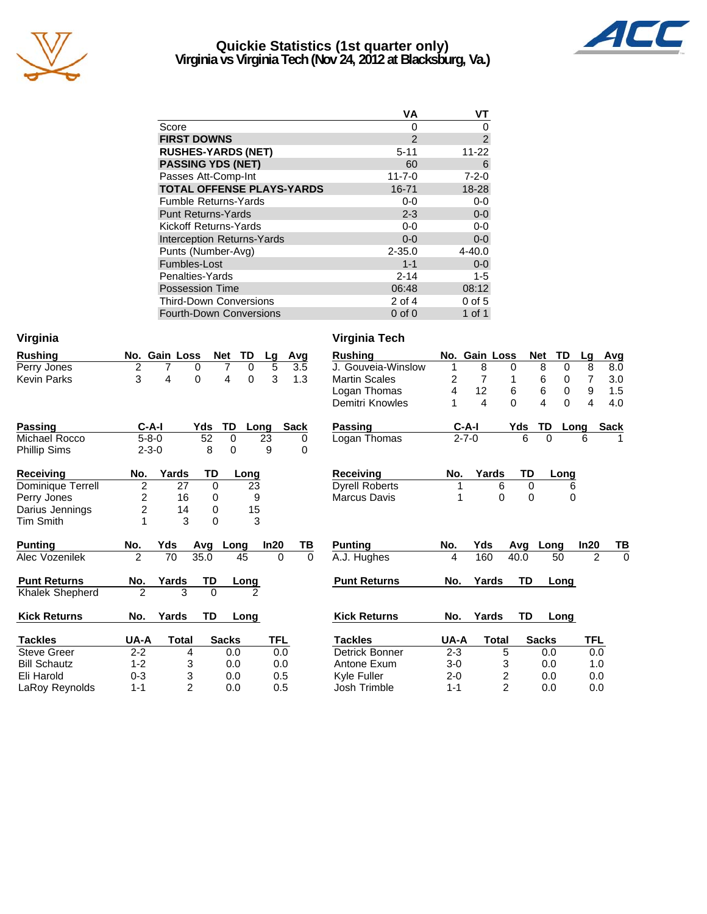

### **Quickie Statistics (1st quarter only) Virginia vs Virginia Tech (Nov 24, 2012 at Blacksburg, Va.)**



|                                   | VА            | ۷T             |
|-----------------------------------|---------------|----------------|
| Score                             | 0             | O              |
| <b>FIRST DOWNS</b>                | $\mathcal{P}$ | $\overline{2}$ |
| <b>RUSHES-YARDS (NET)</b>         | $5 - 11$      | $11 - 22$      |
| <b>PASSING YDS (NET)</b>          | 60            | 6              |
| Passes Att-Comp-Int               | $11 - 7 - 0$  | $7 - 2 - 0$    |
| <b>TOTAL OFFENSE PLAYS-YARDS</b>  | 16-71         | 18-28          |
| <b>Fumble Returns-Yards</b>       | $0 - 0$       | $0-0$          |
| <b>Punt Returns-Yards</b>         | $2 - 3$       | $0-0$          |
| Kickoff Returns-Yards             | $0-0$         | $0-0$          |
| <b>Interception Returns-Yards</b> | $0 - 0$       | $0-0$          |
| Punts (Number-Avg)                | $2 - 35.0$    | $4 - 40.0$     |
| Fumbles-Lost                      | $1 - 1$       | $0 - 0$        |
| Penalties-Yards                   | $2 - 14$      | $1 - 5$        |
| <b>Possession Time</b>            | 06:48         | 08:12          |
| <b>Third-Down Conversions</b>     | $2$ of 4      | $0$ of $5$     |
| <b>Fourth-Down Conversions</b>    | $0$ of $0$    | 1 of 1         |

| Virginia              |                         |                |          |                  |                |             |           | Virginia Tech         |         |                         |              |           |                                     |                         |                            |
|-----------------------|-------------------------|----------------|----------|------------------|----------------|-------------|-----------|-----------------------|---------|-------------------------|--------------|-----------|-------------------------------------|-------------------------|----------------------------|
| <b>Rushing</b>        |                         | No. Gain Loss  |          | TD<br><b>Net</b> | Lg             | Avg         |           | <b>Rushing</b>        |         | No. Gain Loss           |              |           | <b>Net</b><br>TD                    | Lg                      | <u>Avg</u>                 |
| Perry Jones           | $\overline{2}$          |                | 0        | 7<br>0           | 5              |             | 3.5       | J. Gouveia-Winslow    | 1       | 8                       | 0            |           | 8<br>0                              | 8                       | 8.0                        |
| <b>Kevin Parks</b>    | 3                       | 4              | 0        | 4<br>$\Omega$    | 3              |             | 1.3       | <b>Martin Scales</b>  | 2       | 7                       |              |           | 6<br>0                              | 7                       | 3.0                        |
|                       |                         |                |          |                  |                |             |           | Logan Thomas          | 4       | 12                      | 6            |           | 6<br>0                              | 9                       | 1.5                        |
|                       |                         |                |          |                  |                |             |           | Demitri Knowles       | 1       | $\overline{\mathbf{4}}$ | $\Omega$     |           | $\overline{\mathbf{4}}$<br>$\Omega$ | $\overline{\mathbf{4}}$ | 4.0                        |
| <b>Passing</b>        | $C-A-I$                 |                | Yds      | TD               | Long           | <b>Sack</b> |           | <b>Passing</b>        |         | $C-A-I$                 |              | Yds       | TD                                  | Long                    | <b>Sack</b>                |
| Michael Rocco         | $5 - 8 - 0$             |                | 52       | $\Omega$         | 23             |             | 0         | Logan Thomas          |         | $2 - 7 - 0$             |              | 6         | 0                                   | 6                       |                            |
| Phillip Sims          | $2 - 3 - 0$             |                | 8        | $\Omega$         | 9              |             | $\Omega$  |                       |         |                         |              |           |                                     |                         |                            |
| <b>Receiving</b>      | No.                     | Yards          | TD       | Long             |                |             |           | <b>Receiving</b>      | No.     |                         | Yards        | <b>TD</b> | Long                                |                         |                            |
| Dominique Terrell     | $\overline{2}$          | 27             | $\Omega$ |                  | 23             |             |           | <b>Dyrell Roberts</b> | 1       |                         | 6            | $\Omega$  |                                     | 6                       |                            |
| Perry Jones           | $\overline{\mathbf{c}}$ | 16             | 0        |                  | 9              |             |           | Marcus Davis          | 1       |                         | 0            | 0         |                                     | 0                       |                            |
| Darius Jennings       | $\overline{c}$          | 14             | 0        |                  | 15             |             |           |                       |         |                         |              |           |                                     |                         |                            |
| <b>Tim Smith</b>      |                         | 3              | 0        |                  | 3              |             |           |                       |         |                         |              |           |                                     |                         |                            |
| <b>Punting</b>        | No.                     | Yds            | Avg      | Long             | In20           |             | <u>ТВ</u> | <b>Punting</b>        | No.     | <b>Yds</b>              |              | Avg       | Long                                | In20                    | TB                         |
| <b>Alec Vozenilek</b> | $\mathfrak{p}$          | 70             | 35.0     | 45               |                | $\Omega$    | $\Omega$  | A.J. Hughes           | 4       | 160                     |              | 40.0      | 50                                  |                         | $\Omega$<br>$\overline{2}$ |
| <b>Punt Returns</b>   | No.                     | Yards          | TD       | Long             |                |             |           | <b>Punt Returns</b>   | No.     | Yards                   |              | TD        | Long                                |                         |                            |
| Khalek Shepherd       | 2                       | 3              | $\Omega$ |                  | $\mathfrak{p}$ |             |           |                       |         |                         |              |           |                                     |                         |                            |
| <b>Kick Returns</b>   | No.                     | Yards          | TD       | Long             |                |             |           | <b>Kick Returns</b>   | No.     | Yards                   |              | TD        | Long                                |                         |                            |
| <b>Tackles</b>        | UA-A                    | <b>Total</b>   |          | <b>Sacks</b>     | <b>TFL</b>     |             |           | <b>Tackles</b>        | UA-A    |                         | <b>Total</b> |           | <b>Sacks</b>                        | <b>TFL</b>              |                            |
| <b>Steve Greer</b>    | $2 - 2$                 | 4              |          | 0.0              |                | 0.0         |           | Detrick Bonner        | $2 - 3$ |                         | 5            |           | 0.0                                 |                         | 0.0                        |
| <b>Bill Schautz</b>   | $1 - 2$                 | 3              |          | 0.0              |                | 0.0         |           | Antone Exum           | $3 - 0$ |                         | 3            |           | 0.0                                 |                         | 1.0                        |
| Eli Harold            | $0 - 3$                 | 3              |          | 0.0              |                | 0.5         |           | Kyle Fuller           | $2 - 0$ |                         | 2            |           | 0.0                                 |                         | 0.0                        |
| LaRoy Reynolds        | $1 - 1$                 | $\overline{2}$ |          | 0.0              |                | 0.5         |           | Josh Trimble          | $1 - 1$ |                         | 2            |           | 0.0                                 |                         | 0.0                        |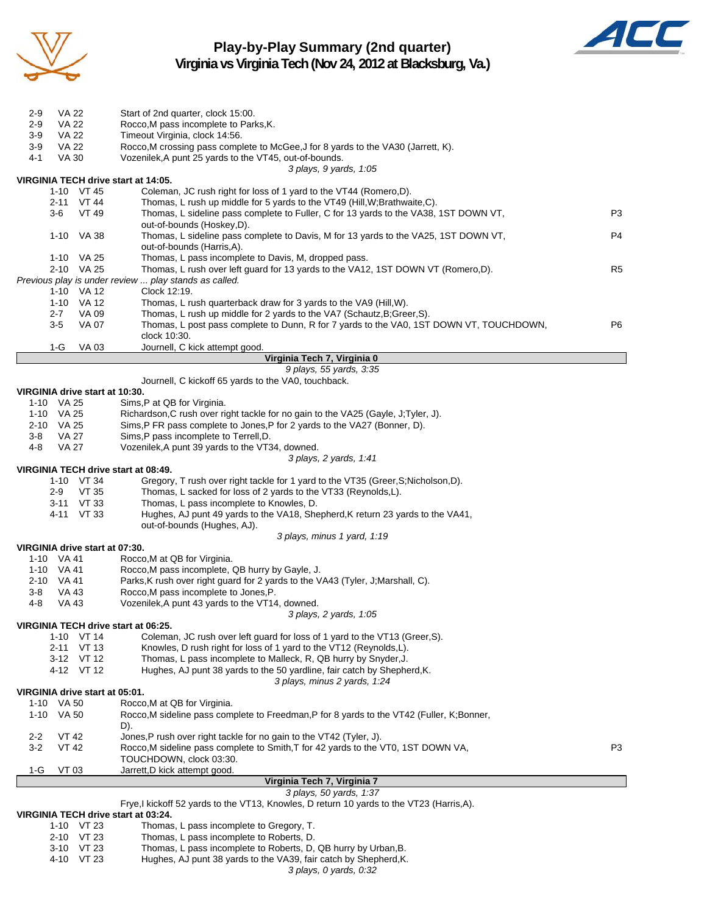

### **Play-by-Play Summary (2nd quarter) Virginia vs Virginia Tech (Nov 24, 2012 at Blacksburg, Va.)**



| VA 22<br>2-9                        | Start of 2nd quarter, clock 15:00.                                                                                                                 |                |
|-------------------------------------|----------------------------------------------------------------------------------------------------------------------------------------------------|----------------|
| VA 22<br>2-9                        | Rocco, M pass incomplete to Parks, K.                                                                                                              |                |
| $3-9$<br>VA 22                      | Timeout Virginia, clock 14:56.                                                                                                                     |                |
| $3-9$<br>VA 22                      | Rocco, M crossing pass complete to McGee, J for 8 yards to the VA30 (Jarrett, K).<br>Vozenilek, A punt 25 yards to the VT45, out-of-bounds.        |                |
| <b>VA 30</b><br>4-1                 | 3 plays, 9 yards, 1:05                                                                                                                             |                |
| VIRGINIA TECH drive start at 14:05. |                                                                                                                                                    |                |
| 1-10 VT 45                          | Coleman, JC rush right for loss of 1 yard to the VT44 (Romero,D).                                                                                  |                |
| 2-11 VT 44                          | Thomas, L rush up middle for 5 yards to the VT49 (Hill, W; Brathwaite, C).                                                                         |                |
| VT 49<br>3-6                        | Thomas, L sideline pass complete to Fuller, C for 13 yards to the VA38, 1ST DOWN VT,                                                               | P3             |
|                                     | out-of-bounds (Hoskey,D).                                                                                                                          |                |
| 1-10 VA 38                          | Thomas, L sideline pass complete to Davis, M for 13 yards to the VA25, 1ST DOWN VT,                                                                | P4             |
|                                     | out-of-bounds (Harris,A).                                                                                                                          |                |
| 1-10 VA 25<br>2-10 VA 25            | Thomas, L pass incomplete to Davis, M, dropped pass.<br>Thomas, L rush over left guard for 13 yards to the VA12, 1ST DOWN VT (Romero,D).           | R <sub>5</sub> |
|                                     | Previous play is under review  play stands as called.                                                                                              |                |
| 1-10 VA 12                          | Clock 12:19.                                                                                                                                       |                |
| 1-10 VA 12                          | Thomas, L rush quarterback draw for 3 yards to the VA9 (Hill, W).                                                                                  |                |
| VA 09<br>2-7                        | Thomas, L rush up middle for 2 yards to the VA7 (Schautz, B; Greer, S).                                                                            |                |
| <b>VA 07</b><br>3-5                 | Thomas, L post pass complete to Dunn, R for 7 yards to the VA0, 1ST DOWN VT, TOUCHDOWN,                                                            | P <sub>6</sub> |
|                                     | clock 10:30.                                                                                                                                       |                |
| $1-G$<br><b>VA03</b>                | Journell, C kick attempt good.                                                                                                                     |                |
|                                     | Virginia Tech 7, Virginia 0<br>9 plays, 55 yards, 3:35                                                                                             |                |
|                                     | Journell, C kickoff 65 yards to the VA0, touchback.                                                                                                |                |
| VIRGINIA drive start at 10:30.      |                                                                                                                                                    |                |
| 1-10 VA 25                          | Sims, P at QB for Virginia.                                                                                                                        |                |
| 1-10 VA 25                          | Richardson, C rush over right tackle for no gain to the VA25 (Gayle, J; Tyler, J).                                                                 |                |
| 2-10 VA 25                          | Sims, P FR pass complete to Jones, P for 2 yards to the VA27 (Bonner, D).                                                                          |                |
| VA 27<br>3-8                        | Sims,P pass incomplete to Terrell,D.                                                                                                               |                |
| VA 27<br>4-8                        | Vozenilek, A punt 39 yards to the VT34, downed.<br>3 plays, 2 yards, 1:41                                                                          |                |
| VIRGINIA TECH drive start at 08:49. |                                                                                                                                                    |                |
| 1-10 VT 34                          | Gregory, T rush over right tackle for 1 yard to the VT35 (Greer, S; Nicholson, D).                                                                 |                |
| 2-9<br>VT 35                        | Thomas, L sacked for loss of 2 yards to the VT33 (Reynolds, L).                                                                                    |                |
| 3-11 VT 33                          | Thomas, L pass incomplete to Knowles, D.                                                                                                           |                |
| 4-11 VT 33                          | Hughes, AJ punt 49 yards to the VA18, Shepherd, K return 23 yards to the VA41,                                                                     |                |
|                                     | out-of-bounds (Hughes, AJ).                                                                                                                        |                |
| VIRGINIA drive start at 07:30.      | 3 plays, minus 1 yard, 1:19                                                                                                                        |                |
| 1-10 VA 41                          | Rocco, M at QB for Virginia.                                                                                                                       |                |
| 1-10 VA 41                          | Rocco, M pass incomplete, QB hurry by Gayle, J.                                                                                                    |                |
| 2-10 VA 41                          | Parks, K rush over right guard for 2 yards to the VA43 (Tyler, J; Marshall, C).                                                                    |                |
| <b>VA 43</b><br>3-8                 | Rocco, M pass incomplete to Jones, P.                                                                                                              |                |
| <b>VA 43</b><br>4-8                 | Vozenilek, A punt 43 yards to the VT14, downed.                                                                                                    |                |
|                                     | 3 plays, 2 yards, 1:05                                                                                                                             |                |
| VIRGINIA TECH drive start at 06:25. |                                                                                                                                                    |                |
| VT 14<br>1-10<br>2-11 VT 13         | Coleman, JC rush over left quard for loss of 1 yard to the VT13 (Greer, S).<br>Knowles, D rush right for loss of 1 yard to the VT12 (Reynolds, L). |                |
| 3-12 VT 12                          | Thomas, L pass incomplete to Malleck, R, QB hurry by Snyder, J.                                                                                    |                |
| 4-12 VT 12                          | Hughes, AJ punt 38 yards to the 50 yardline, fair catch by Shepherd, K.                                                                            |                |
|                                     | 3 plays, minus 2 yards, 1:24                                                                                                                       |                |
| VIRGINIA drive start at 05:01.      |                                                                                                                                                    |                |
| 1-10 VA 50                          | Rocco, M at QB for Virginia.                                                                                                                       |                |
| 1-10 VA 50                          | Rocco, M sideline pass complete to Freedman, P for 8 yards to the VT42 (Fuller, K; Bonner,                                                         |                |
| $2 - 2$<br>VT 42                    | D).<br>Jones, P rush over right tackle for no gain to the VT42 (Tyler, J).                                                                         |                |
| $3-2$<br><b>VT 42</b>               | Rocco, M sideline pass complete to Smith, T for 42 yards to the VT0, 1ST DOWN VA,                                                                  | P3             |
|                                     | TOUCHDOWN, clock 03:30.                                                                                                                            |                |
| 1-G<br>VT 03                        | Jarrett, D kick attempt good.                                                                                                                      |                |
|                                     | Virginia Tech 7, Virginia 7                                                                                                                        |                |
|                                     | 3 plays, 50 yards, 1:37                                                                                                                            |                |
| VIRGINIA TECH drive start at 03:24. | Frye, I kickoff 52 yards to the VT13, Knowles, D return 10 yards to the VT23 (Harris, A).                                                          |                |
| $1-10$ VT 23                        | Thomas, L pass incomplete to Gregory, T.                                                                                                           |                |
| 2-10 VT 23                          | Thomas, L pass incomplete to Roberts, D.                                                                                                           |                |
| 3-10 VT 23                          | Thomas, L pass incomplete to Roberts, D, QB hurry by Urban, B.                                                                                     |                |

*3 plays, 0 yards, 0:32*

4-10 VT 23 Hughes, AJ punt 38 yards to the VA39, fair catch by Shepherd,K.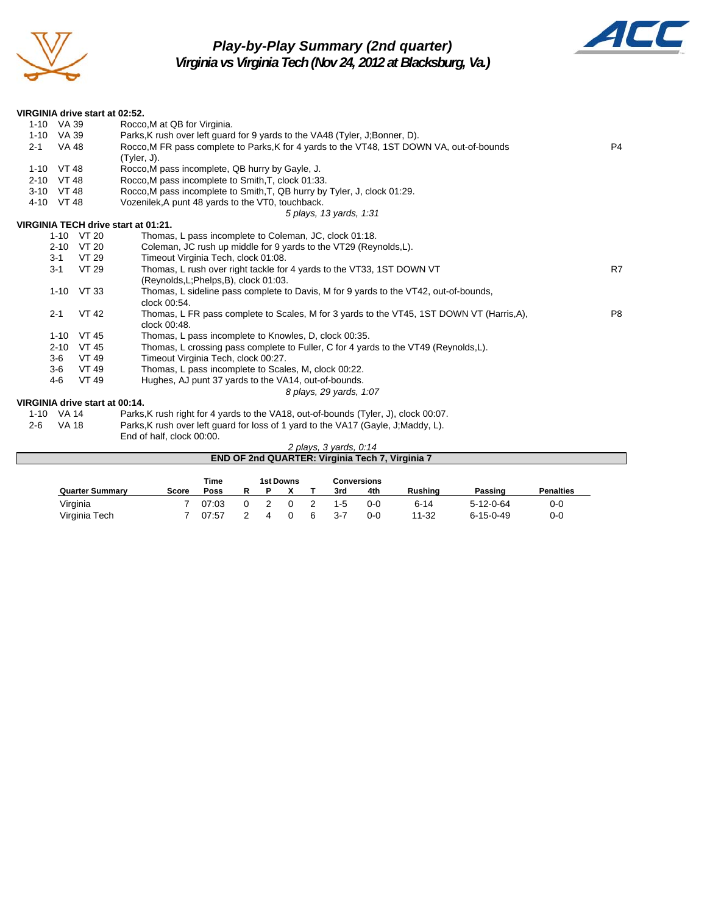

# *Play-by-Play Summary (2nd quarter)*



*Virginia vs Virginia Tech (Nov 24, 2012 at Blacksburg, Va.)*

| VIRGINIA drive start at 02:52. |                                                                                                           |                |
|--------------------------------|-----------------------------------------------------------------------------------------------------------|----------------|
| 1-10 VA 39                     | Rocco, M at QB for Virginia.                                                                              |                |
| 1-10 VA 39                     | Parks, K rush over left guard for 9 yards to the VA48 (Tyler, J;Bonner, D).                               |                |
| VA 48<br>$2 - 1$               | Rocco, M FR pass complete to Parks, K for 4 yards to the VT48, 1ST DOWN VA, out-of-bounds                 | P <sub>4</sub> |
|                                | $(Tyler, J)$ .                                                                                            |                |
| 1-10 VT 48                     | Rocco, M pass incomplete, QB hurry by Gayle, J.                                                           |                |
| 2-10 VT 48                     | Rocco, M pass incomplete to Smith, T, clock 01:33.                                                        |                |
| 3-10 VT 48                     | Rocco, M pass incomplete to Smith, T, QB hurry by Tyler, J, clock 01:29.                                  |                |
| 4-10 VT 48                     | Vozenilek, A punt 48 yards to the VT0, touchback.                                                         |                |
|                                | 5 plays, 13 yards, 1:31                                                                                   |                |
|                                | VIRGINIA TECH drive start at 01:21.                                                                       |                |
| 1-10 VT 20                     | Thomas, L pass incomplete to Coleman, JC, clock 01:18.                                                    |                |
| 2-10 VT 20                     | Coleman, JC rush up middle for 9 yards to the VT29 (Reynolds, L).                                         |                |
| $3 - 1$                        | VT 29<br>Timeout Virginia Tech, clock 01:08.                                                              |                |
| $3 - 1$                        | VT 29<br>Thomas, L rush over right tackle for 4 yards to the VT33, 1ST DOWN VT                            | R7             |
|                                | (Reynolds, L; Phelps, B), clock 01:03.                                                                    |                |
| 1-10 VT 33                     | Thomas, L sideline pass complete to Davis, M for 9 yards to the VT42, out-of-bounds,                      |                |
|                                | clock 00:54.                                                                                              |                |
| $2 - 1$                        | <b>VT 42</b><br>Thomas, L FR pass complete to Scales, M for 3 yards to the VT45, 1ST DOWN VT (Harris, A), | P <sub>8</sub> |
|                                | clock 00:48.                                                                                              |                |
| 1-10 VT 45                     | Thomas, L pass incomplete to Knowles, D, clock 00:35.                                                     |                |
| 2-10 VT 45                     | Thomas, L crossing pass complete to Fuller, C for 4 yards to the VT49 (Reynolds, L).                      |                |
| $3-6$                          | Timeout Virginia Tech, clock 00:27.<br>VT 49                                                              |                |
| $3-6$                          | Thomas, L pass incomplete to Scales, M, clock 00:22.<br>VT 49                                             |                |
| $4-6$                          | Hughes, AJ punt 37 yards to the VA14, out-of-bounds.<br>VT 49                                             |                |
|                                | 8 plays, 29 yards, 1:07                                                                                   |                |
| VIRGINIA drive start at 00:14. |                                                                                                           |                |
| 1-10 VA 14                     | Parks, K rush right for 4 yards to the VA18, out-of-bounds (Tyler, J), clock 00:07.                       |                |
| <b>VA 18</b><br>$2 - 6$        | Parks, K rush over left guard for loss of 1 yard to the VA17 (Gayle, J; Maddy, L).                        |                |
|                                | End of half, clock 00:00.                                                                                 |                |
|                                | 2 plays, $3$ yards, $0:14$                                                                                |                |
|                                | END OF 2nd QUARTER: Virginia Tech 7, Virginia 7                                                           |                |
|                                |                                                                                                           |                |
|                                | <b>1st Downs</b><br><b>Time</b><br><b>Conversions</b>                                                     |                |

**Quarter Summary Score Poss R P X T 3rd 4th Rushing Passing Penalties** Virginia 7 07:03 0 2 0 2 1-5 0-0 6-14 5-12-0-64 0-0 Virginia Tech 7 07:57 2 4 0 6 3-7 0-0 11-32 6-15-0-49 0-0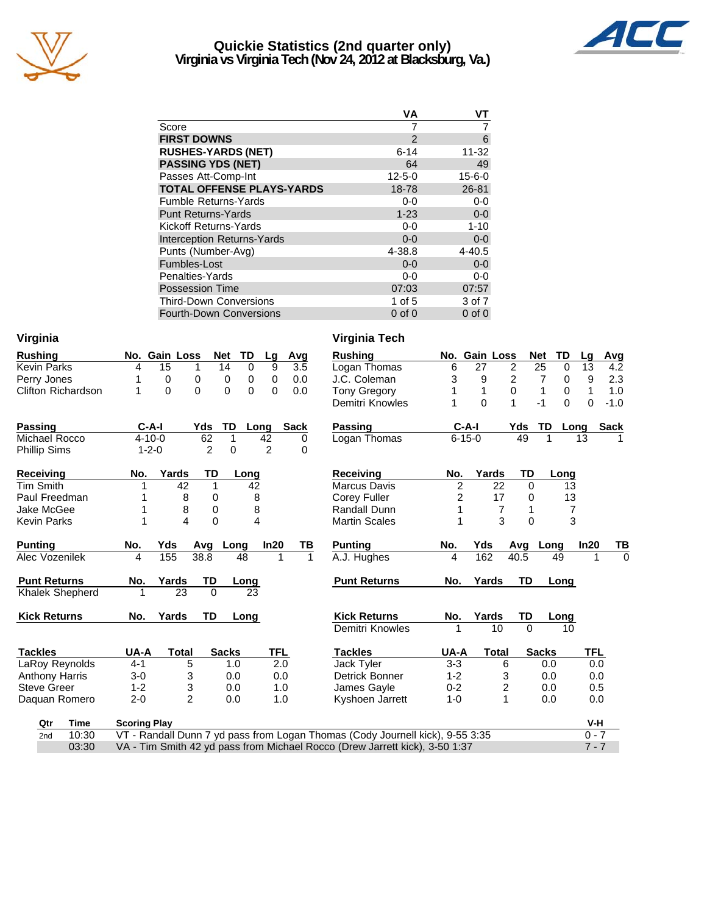

### **Quickie Statistics (2nd quarter only) Virginia vs Virginia Tech (Nov 24, 2012 at Blacksburg, Va.)**



|                                   | VА            | ۷T           |
|-----------------------------------|---------------|--------------|
| Score                             |               |              |
| <b>FIRST DOWNS</b>                | $\mathcal{P}$ | 6            |
| <b>RUSHES-YARDS (NET)</b>         | $6 - 14$      | 11-32        |
| <b>PASSING YDS (NET)</b>          | 64            | 49           |
| Passes Att-Comp-Int               | $12 - 5 - 0$  | $15 - 6 - 0$ |
| <b>TOTAL OFFENSE PLAYS-YARDS</b>  | 18-78         | 26-81        |
| <b>Fumble Returns-Yards</b>       | 0-0           | $0-0$        |
| <b>Punt Returns-Yards</b>         | $1 - 23$      | $0-0$        |
| Kickoff Returns-Yards             | 0-0           | $1 - 10$     |
| <b>Interception Returns-Yards</b> | $0 - 0$       | $0-0$        |
| Punts (Number-Avg)                | 4-38.8        | $4 - 40.5$   |
| Fumbles-Lost                      | $0 - 0$       | $0-0$        |
| Penalties-Yards                   | 0-0           | $0 - 0$      |
| <b>Possession Time</b>            | 07:03         | 07:57        |
| <b>Third-Down Conversions</b>     | 1 of $5$      | 3 of 7       |
| <b>Fourth-Down Conversions</b>    | $0$ of $0$    | $0$ of $0$   |

| Virginia                  |                     |                |                |                              |                |                  | Virginia Tech                                                                 |                |                |                |                     |                |             |
|---------------------------|---------------------|----------------|----------------|------------------------------|----------------|------------------|-------------------------------------------------------------------------------|----------------|----------------|----------------|---------------------|----------------|-------------|
| <b>Rushing</b>            |                     | No. Gain Loss  |                | TD<br>Net                    | Lg             | Avg              | <b>Rushing</b>                                                                |                | No. Gain Loss  |                | TD<br><b>Net</b>    | Lg             | Avg         |
| <b>Kevin Parks</b>        | 4                   | 15             | 1              | 14<br>$\Omega$               | 9              | $\overline{3.5}$ | Logan Thomas                                                                  | 6              | 27             | $\overline{2}$ | 25<br>$\Omega$      | 13             | 4.2         |
| Perry Jones               |                     | 0              | 0              | 0<br>0                       | 0              | 0.0              | J.C. Coleman                                                                  | 3              | 9              | 2              | $\overline{7}$<br>0 | 9              | 2.3         |
| <b>Clifton Richardson</b> | 1                   | $\Omega$       | 0              | $\mathbf{0}$<br>$\mathbf{0}$ | 0              | 0.0              | <b>Tony Gregory</b>                                                           |                | 1              | $\mathbf 0$    | 1<br>0              | 1              | 1.0         |
|                           |                     |                |                |                              |                |                  | Demitri Knowles                                                               |                | $\Omega$       | 1              | $\Omega$<br>$-1$    | $\Omega$       | $-1.0$      |
| <b>Passing</b>            | $C-A-I$             |                | Yds            | TD                           | Long           | <b>Sack</b>      | <b>Passing</b>                                                                | $C-A-I$        |                | Yds            | TD                  | Long           | <b>Sack</b> |
| Michael Rocco             | $4 - 10 - 0$        |                | 62             | 1                            | 42             | 0                | Logan Thomas                                                                  | $6 - 15 - 0$   |                | 49             |                     | 13             |             |
| <b>Phillip Sims</b>       | $1 - 2 - 0$         |                | $\overline{2}$ | $\Omega$                     | $\overline{2}$ | $\Omega$         |                                                                               |                |                |                |                     |                |             |
| Receiving                 | No.                 | Yards          | TD             | Long                         |                |                  | <b>Receiving</b>                                                              | No.            | Yards          | TD             | Long                |                |             |
| <b>Tim Smith</b>          |                     | 42             | 1              | 42                           |                |                  | <b>Marcus Davis</b>                                                           | $\overline{c}$ | 22             | $\Omega$       | 13                  |                |             |
| Paul Freedman             | 1                   | 8              | 0              |                              | 8              |                  | Corey Fuller                                                                  | 2              | 17             | 0              | 13                  |                |             |
| Jake McGee                | 1                   | 8              | 0              |                              | 8              |                  | Randall Dunn                                                                  | 1              | $\overline{7}$ | 1              |                     | $\overline{7}$ |             |
| <b>Kevin Parks</b>        | 1                   | 4              | $\mathbf 0$    |                              | 4              |                  | <b>Martin Scales</b>                                                          | 1              | 3              | 0              |                     | 3              |             |
| <b>Punting</b>            | No.                 | Yds            | Avg            | Long                         | In20           | ΤВ               | <b>Punting</b>                                                                | No.            | Yds            |                | Avg Long            | In20           | TВ          |
| Alec Vozenilek            | 4                   | 155            | 38.8           | 48                           | 1              | $\mathbf{1}$     | A.J. Hughes                                                                   | 4              | 162            | 40.5           | 49                  |                | $\mathbf 0$ |
| <b>Punt Returns</b>       | No.                 | Yards          | TD             | Long                         |                |                  | <b>Punt Returns</b>                                                           | No.            | Yards          | <b>TD</b>      | Long                |                |             |
| Khalek Shepherd           | 1                   | 23             | $\Omega$       | 23                           |                |                  |                                                                               |                |                |                |                     |                |             |
| <b>Kick Returns</b>       | No.                 | Yards          | TD             | Long                         |                |                  | <b>Kick Returns</b>                                                           | No.            | Yards          | TD             | Long                |                |             |
|                           |                     |                |                |                              |                |                  | Demitri Knowles                                                               |                | 10             | $\Omega$       | 10                  |                |             |
| <b>Tackles</b>            | UA-A                | <b>Total</b>   |                | <b>Sacks</b>                 | TFL            |                  | <b>Tackles</b>                                                                | UA-A           | <b>Total</b>   |                | <b>Sacks</b>        | TFL            |             |
| LaRoy Reynolds            | $4 - 1$             | 5              |                | 1.0                          | 2.0            |                  | Jack Tyler                                                                    | $3 - 3$        | 6              |                | 0.0                 | 0.0            |             |
| <b>Anthony Harris</b>     | $3-0$               | 3              |                | 0.0                          | 0.0            |                  | Detrick Bonner                                                                | $1 - 2$        | 3              |                | 0.0                 | 0.0            |             |
| <b>Steve Greer</b>        | $1 - 2$             | 3              |                | 0.0                          | 1.0            |                  | James Gayle                                                                   | $0 - 2$        | 2              |                | 0.0                 | 0.5            |             |
| Daquan Romero             | $2 - 0$             | $\overline{2}$ |                | 0.0                          | 1.0            |                  | Kyshoen Jarrett                                                               | $1 - 0$        | $\mathbf{1}$   |                | 0.0                 | 0.0            |             |
| <b>Time</b><br>Qtr        | <b>Scoring Play</b> |                |                |                              |                |                  |                                                                               |                |                |                |                     | V-H            |             |
| 10:30<br>2nd              |                     |                |                |                              |                |                  | VT - Randall Dunn 7 yd pass from Logan Thomas (Cody Journell kick), 9-55 3:35 |                |                |                |                     | $0 - 7$        |             |
| 03:30                     |                     |                |                |                              |                |                  | VA - Tim Smith 42 yd pass from Michael Rocco (Drew Jarrett kick), 3-50 1:37   |                |                |                |                     | $7 - 7$        |             |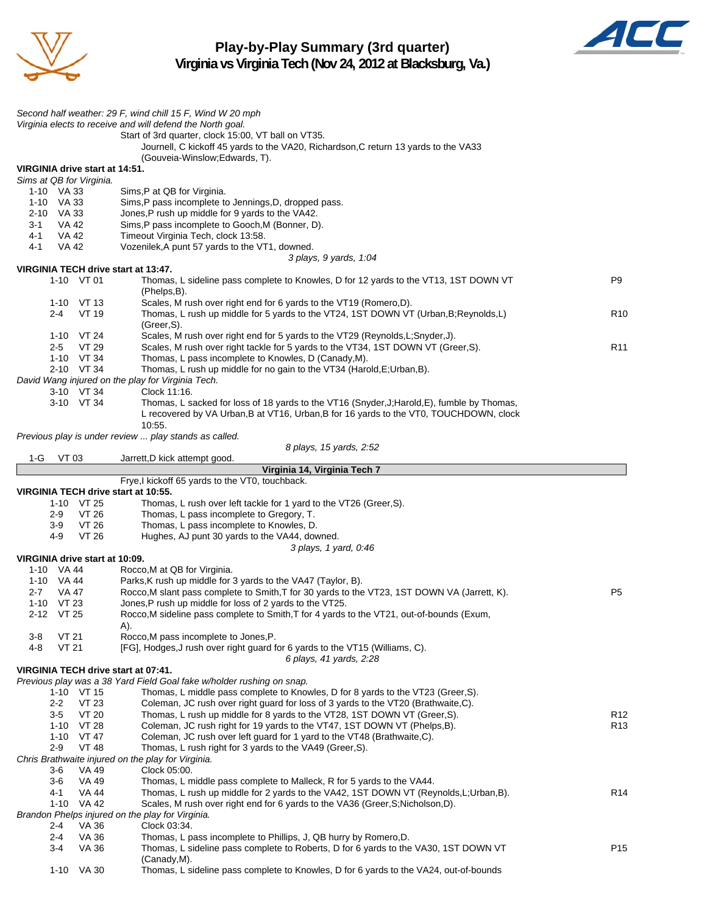

**Play-by-Play Summary (3rd quarter) Virginia vs Virginia Tech (Nov 24, 2012 at Blacksburg, Va.)**



*Second half weather: 29 F, wind chill 15 F, Wind W 20 mph Virginia elects to receive and will defend the North goal.* Start of 3rd quarter, clock 15:00, VT ball on VT35. Journell, C kickoff 45 yards to the VA20, Richardson,C return 13 yards to the VA33 (Gouveia-Winslow;Edwards, T). **VIRGINIA drive start at 14:51.** *Sims at QB for Virginia.* 1-10 VA 33 Sims,P at QB for Virginia. 1-10 VA 33 Sims,P pass incomplete to Jennings,D, dropped pass. 2-10 VA 33 Jones,P rush up middle for 9 yards to the VA42. 3-1 VA 42 Sims,P pass incomplete to Gooch,M (Bonner, D). 4-1 VA 42 Timeout Virginia Tech, clock 13:58. 4-1 VA 42 Vozenilek,A punt 57 yards to the VT1, downed. *3 plays, 9 yards, 1:04* **VIRGINIA TECH drive start at 13:47.** 1-10 VT 01 Thomas, L sideline pass complete to Knowles, D for 12 yards to the VT13, 1ST DOWN VT P9 (Phelps,B). 1-10 VT 13 Scales, M rush over right end for 6 yards to the VT19 (Romero,D). 2-4 VT 19 Thomas, L rush up middle for 5 yards to the VT24, 1ST DOWN VT (Urban, B; Reynolds, L) R10 (Greer,S). 1-10 VT 24 Scales, M rush over right end for 5 yards to the VT29 (Reynolds,L;Snyder,J). 2-5 VT 29 Scales, M rush over right tackle for 5 yards to the VT34, 1ST DOWN VT (Greer,S).<br>1-10 VT 34 Thomas, L pass incomplete to Knowles, D (Canady,M). 1-10 VT 34 Thomas, L pass incomplete to Knowles, D (Canady, M).<br>2-10 VT 34 Thomas, L rush up middle for no gain to the VT34 (Hard Thomas, L rush up middle for no gain to the VT34 (Harold, E; Urban, B). *David Wang injured on the play for Virginia Tech.* 3-10 VT 34 Clock 11:16. 3-10 VT 34 Thomas, L sacked for loss of 18 yards to the VT16 (Snyder,J;Harold,E), fumble by Thomas, L recovered by VA Urban,B at VT16, Urban,B for 16 yards to the VT0, TOUCHDOWN, clock 10:55. *Previous play is under review ... play stands as called. 8 plays, 15 yards, 2:52* 1-G VT 03 Jarrett,D kick attempt good. **Virginia 14, Virginia Tech 7** Frye,I kickoff 65 yards to the VT0, touchback. **VIRGINIA TECH drive start at 10:55.** 1-10 VT 25 Thomas, L rush over left tackle for 1 yard to the VT26 (Greer,S). 2-9 VT 26 Thomas, L pass incomplete to Gregory, T. 3-9 VT 26 Thomas, L pass incomplete to Knowles, D. 4-9 VT 26 Hughes, AJ punt 30 yards to the VA44, downed. *3 plays, 1 yard, 0:46* **VIRGINIA drive start at 10:09.** 1-10 VA 44 Rocco,M at QB for Virginia. 1-10 VA 44 Parks,K rush up middle for 3 yards to the VA47 (Taylor, B). 2-7 VA 47 Rocco,M slant pass complete to Smith, T for 30 yards to the VT23, 1ST DOWN VA (Jarrett, K). 1-10 VT 23 Jones,P rush up middle for loss of 2 yards to the VT25. 2-12 VT 25 Rocco,M sideline pass complete to Smith,T for 4 yards to the VT21, out-of-bounds (Exum, A). 3-8 VT 21 Rocco,M pass incomplete to Jones,P. 4-8 VT 21 [FG], Hodges,J rush over right guard for 6 yards to the VT15 (Williams, C). *6 plays, 41 yards, 2:28* **VIRGINIA TECH drive start at 07:41.** *Previous play was a 38 Yard Field Goal fake w/holder rushing on snap.* 1-10 VT 15 Thomas, L middle pass complete to Knowles, D for 8 yards to the VT23 (Greer,S). 2-2 VT 23 Coleman, JC rush over right guard for loss of 3 yards to the VT20 (Brathwaite,C). 3-5 VT 20 Thomas, L rush up middle for 8 yards to the VT28, 1ST DOWN VT (Greer, S). R12 1-10 VT 28 Coleman, JC rush right for 19 yards to the VT47, 1ST DOWN VT (Phelps, B). R13 1-10 VT 47 Coleman, JC rush over left guard for 1 yard to the VT48 (Brathwaite,C). 2-9 VT 48 Thomas, L rush right for 3 yards to the VA49 (Greer,S). *Chris Brathwaite injured on the play for Virginia.* 3-6 VA 49 Clock 05:00. 3-6 VA 49 Thomas, L middle pass complete to Malleck, R for 5 yards to the VA44. 4-1 VA 44 Thomas, L rush up middle for 2 yards to the VA42, 1ST DOWN VT (Reynolds,L;Urban,B). R14 1-10 VA 42 Scales, M rush over right end for 6 yards to the VA36 (Greer,S;Nicholson,D). *Brandon Phelps injured on the play for Virginia.* 2-4 VA 36 Clock 03:34. 2-4 VA 36 Thomas, L pass incomplete to Phillips, J, QB hurry by Romero,D. 3-4 VA 36 Thomas, L sideline pass complete to Roberts, D for 6 yards to the VA30, 1ST DOWN VT P15 (Canady,M). 1-10 VA 30 Thomas, L sideline pass complete to Knowles, D for 6 yards to the VA24, out-of-bounds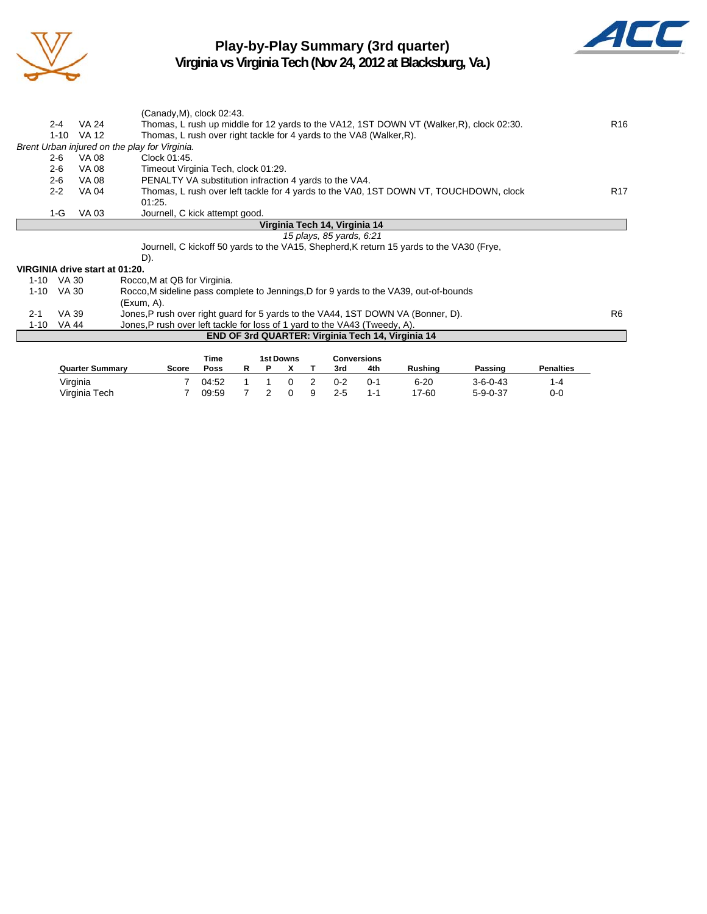

## **Play-by-Play Summary (3rd quarter)**



**Virginia vs Virginia Tech (Nov 24, 2012 at Blacksburg, Va.)**

|                                |            | (Canady, M), clock 02:43.                                                                |                 |
|--------------------------------|------------|------------------------------------------------------------------------------------------|-----------------|
| $2 - 4$                        | VA 24      | Thomas, L rush up middle for 12 yards to the VA12, 1ST DOWN VT (Walker, R), clock 02:30. | R <sub>16</sub> |
|                                | 1-10 VA 12 | Thomas, L rush over right tackle for 4 yards to the VA8 (Walker, R).                     |                 |
|                                |            | Brent Urban injured on the play for Virginia.                                            |                 |
| $2 - 6$                        | VA 08      | Clock 01:45.                                                                             |                 |
| $2 - 6$                        | VA 08      | Timeout Virginia Tech, clock 01:29.                                                      |                 |
| $2 - 6$                        | VA 08      | PENALTY VA substitution infraction 4 yards to the VA4.                                   |                 |
| $2 - 2$                        | VA 04      | Thomas, L rush over left tackle for 4 yards to the VA0, 1ST DOWN VT, TOUCHDOWN, clock    | R <sub>17</sub> |
|                                |            | 01:25.                                                                                   |                 |
| 1-G                            | VA 03      | Journell, C kick attempt good.                                                           |                 |
|                                |            | Virginia Tech 14, Virginia 14                                                            |                 |
|                                |            | 15 plays, 85 yards, 6:21                                                                 |                 |
|                                |            | Journell, C kickoff 50 yards to the VA15, Shepherd, K return 15 yards to the VA30 (Frye, |                 |
|                                |            | D).                                                                                      |                 |
| VIRGINIA drive start at 01:20. |            |                                                                                          |                 |
| 1-10 VA 30                     |            | Rocco, M at QB for Virginia.                                                             |                 |
| $1 - 10$                       | VA 30      | Rocco, M sideline pass complete to Jennings, D for 9 yards to the VA39, out-of-bounds    |                 |
|                                |            | $(Exum, A)$ .                                                                            |                 |
| $2 - 1$                        | VA 39      | Jones, P rush over right guard for 5 yards to the VA44, 1ST DOWN VA (Bonner, D).         | R6              |
| $1 - 10$                       | VA 44      | Jones, P rush over left tackle for loss of 1 yard to the VA43 (Tweedy, A).               |                 |
|                                |            | <b>END OF 3rd QUARTER: Virginia Tech 14, Virginia 14</b>                                 |                 |
|                                |            |                                                                                          |                 |
|                                |            | <b>1st Downs</b><br><b>Time</b><br><b>Conversions</b>                                    |                 |

|                        |       | пше   |  | ISL DUWIIS |                |         | <b>CUIVERSIONS</b> |          |                  |                  |
|------------------------|-------|-------|--|------------|----------------|---------|--------------------|----------|------------------|------------------|
| <b>Quarter Summary</b> | Score | Poss  |  |            |                | 3rd     | 4th                | Rushina  | Passing          | <b>Penalties</b> |
| Virginia               |       | 04:52 |  | $\Omega$   | $\overline{2}$ | $0 - 2$ | በ-1                | $6 - 20$ | $3 - 6 - 0 - 43$ | 1-4              |
| Virginia Tech          |       | 09:59 |  | $\Omega$   | - 9            | $2 - 5$ | 1-1                | 17-60    | $5 - 9 - 0 - 37$ | 0-0              |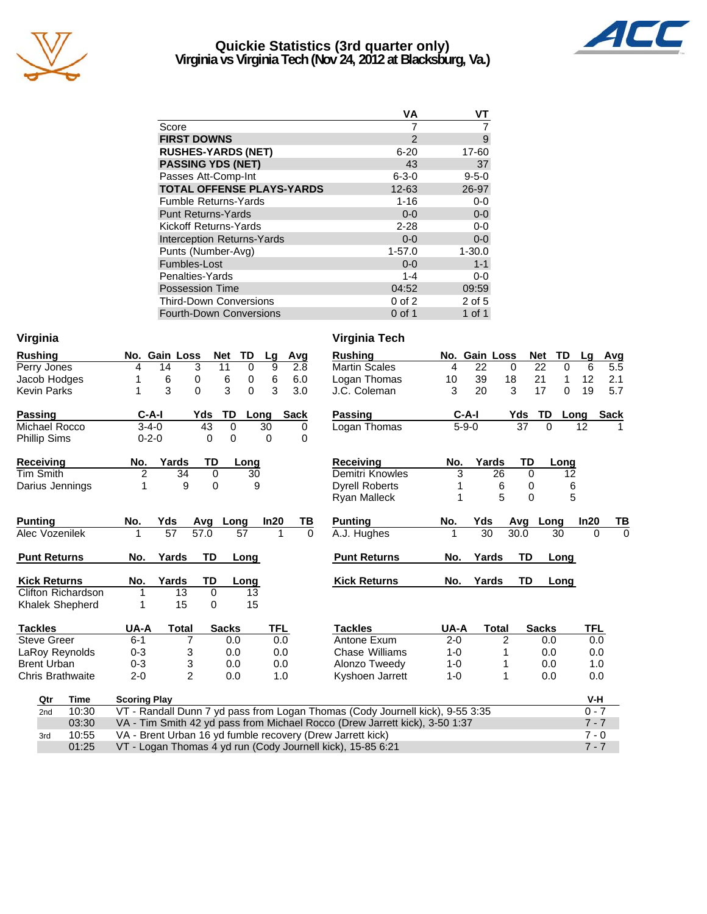

## **Quickie Statistics (3rd quarter only) Virginia vs Virginia Tech (Nov 24, 2012 at Blacksburg, Va.)**



| ٧A            | VТ          |
|---------------|-------------|
|               |             |
| $\mathcal{P}$ | 9           |
| $6 - 20$      | 17-60       |
| 43            | 37          |
| $6 - 3 - 0$   | $9 - 5 - 0$ |
| 12-63         | 26-97       |
| $1 - 16$      | $0-0$       |
| $0 - 0$       | $0-0$       |
| $2 - 28$      | $0-0$       |
| $0 - 0$       | $0-0$       |
| $1 - 57.0$    | $1 - 30.0$  |
| $0 - 0$       | $1 - 1$     |
| 1-4           | $0-0$       |
| 04:52         | 09:59       |
| $0$ of $2$    | 2 of 5      |
| $0$ of 1      | 1 of 1      |
|               |             |

| Virginia                  |                                                                               | Virginia Tech              |                |                             |                            |
|---------------------------|-------------------------------------------------------------------------------|----------------------------|----------------|-----------------------------|----------------------------|
| <b>Rushing</b>            | <b>Gain Loss</b><br>TD<br><b>Net</b><br>Avg<br>No.<br>Lg                      | <b>Rushing</b>             | No. Gain Loss  | <b>Net</b><br>TD            | Avg<br>Lg                  |
| Perry Jones               | 9<br>3<br>11<br>$\mathbf 0$<br>2.8<br>4<br>14                                 | <b>Martin Scales</b><br>4  | 22<br>$\Omega$ | 22<br>$\Omega$              | 6<br>5.5                   |
| Jacob Hodges              | 6<br>6<br>6<br>0<br>0<br>6.0<br>1                                             | Logan Thomas<br>10         | 39<br>18       | 21<br>1                     | 12<br>2.1                  |
| <b>Kevin Parks</b>        | 3<br>$\Omega$<br>3<br>0<br>3<br>3.0<br>1                                      | 3<br>J.C. Coleman          | 20<br>3        | 17<br>$\Omega$              | 19<br>5.7                  |
| <b>Passing</b>            | $C-A-I$<br>TD<br><b>Sack</b><br>Yds<br>Long                                   | <b>Passing</b>             | $C-A-I$<br>Yds | TD                          | <b>Sack</b><br>Long        |
| Michael Rocco             | $\overline{43}$<br>$\mathbf 0$<br>$3 - 4 - 0$<br>30<br>0                      | Logan Thomas               | $5 - 9 - 0$    | $\overline{37}$<br>$\Omega$ | 12                         |
| <b>Phillip Sims</b>       | $0 - 2 - 0$<br>$\Omega$<br>$\Omega$<br>$\Omega$<br>$\Omega$                   |                            |                |                             |                            |
| Receiving                 | Yards<br>TD<br>No.<br>Long                                                    | <b>Receiving</b><br>No.    | Yards          | <b>TD</b><br>Long           |                            |
| <b>Tim Smith</b>          | 2<br>$\mathbf 0$<br>34<br>30                                                  | Demitri Knowles<br>3       | 26             | $\mathbf 0$<br>12           |                            |
| Darius Jennings           | 1<br>9<br>9<br>0                                                              | <b>Dyrell Roberts</b>      | 6              | 0                           | 6                          |
|                           |                                                                               | <b>Ryan Malleck</b>        | 5              | 0                           | 5                          |
| <b>Punting</b>            | Yds<br>In20<br>ΤВ<br>No.<br>Long<br>Avg                                       | <b>Punting</b><br>No.      | Yds<br>Avg     | Long                        | In20<br>TВ                 |
| Alec Vozenilek            | 57<br>$\overline{57.0}$<br>57<br>1<br>$\Omega$                                | A.J. Hughes<br>1           | 30<br>30.0     | $\overline{30}$             | $\mathbf 0$<br>$\mathbf 0$ |
| <b>Punt Returns</b>       | TD<br>No.<br>Yards<br>Long                                                    | <b>Punt Returns</b><br>No. | Yards          | <b>TD</b><br>Long           |                            |
| <b>Kick Returns</b>       | Yards<br>TD<br>No.<br>Long                                                    | <b>Kick Returns</b><br>No. | Yards          | <b>TD</b><br>Long           |                            |
| <b>Clifton Richardson</b> | 13<br>0<br>13<br>1                                                            |                            |                |                             |                            |
| Khalek Shepherd           | 15<br>15<br>0<br>1                                                            |                            |                |                             |                            |
| <b>Tackles</b>            | UA-A<br><b>TFL</b><br><b>Total</b><br><b>Sacks</b>                            | UA-A<br><b>Tackles</b>     | <b>Total</b>   | <b>Sacks</b>                | <b>TFL</b>                 |
| <b>Steve Greer</b>        | $\overline{7}$<br>0.0<br>$6 - 1$<br>0.0                                       | Antone Exum<br>$2 - 0$     | 2              | 0.0                         | 0.0                        |
| LaRoy Reynolds            | $0 - 3$<br>3<br>0.0<br>0.0                                                    | Chase Williams<br>$1 - 0$  | 1              | 0.0                         | 0.0                        |
| <b>Brent Urban</b>        | 3<br>$0 - 3$<br>0.0<br>0.0                                                    | Alonzo Tweedy<br>$1 - 0$   | 1              | 0.0                         | 1.0                        |
| <b>Chris Brathwaite</b>   | $\overline{2}$<br>$2 - 0$<br>0.0<br>1.0                                       | Kyshoen Jarrett<br>$1 - 0$ | 1              | 0.0                         | 0.0                        |
| Qtr<br>Time               | <b>Scoring Play</b>                                                           |                            |                |                             | V-H                        |
| 10:30<br>2nd              | VT - Randall Dunn 7 yd pass from Logan Thomas (Cody Journell kick), 9-55 3:35 |                            |                |                             | $0 - 7$                    |
| 03:30                     | VA - Tim Smith 42 yd pass from Michael Rocco (Drew Jarrett kick), 3-50 1:37   |                            |                |                             | $7 - 7$                    |
| 10:55<br>3rd              | VA - Brent Urban 16 yd fumble recovery (Drew Jarrett kick)                    |                            |                |                             | $7 - 0$                    |
| 01:25                     | VT - Logan Thomas 4 yd run (Cody Journell kick), 15-85 6:21                   |                            |                |                             | $7 - 7$                    |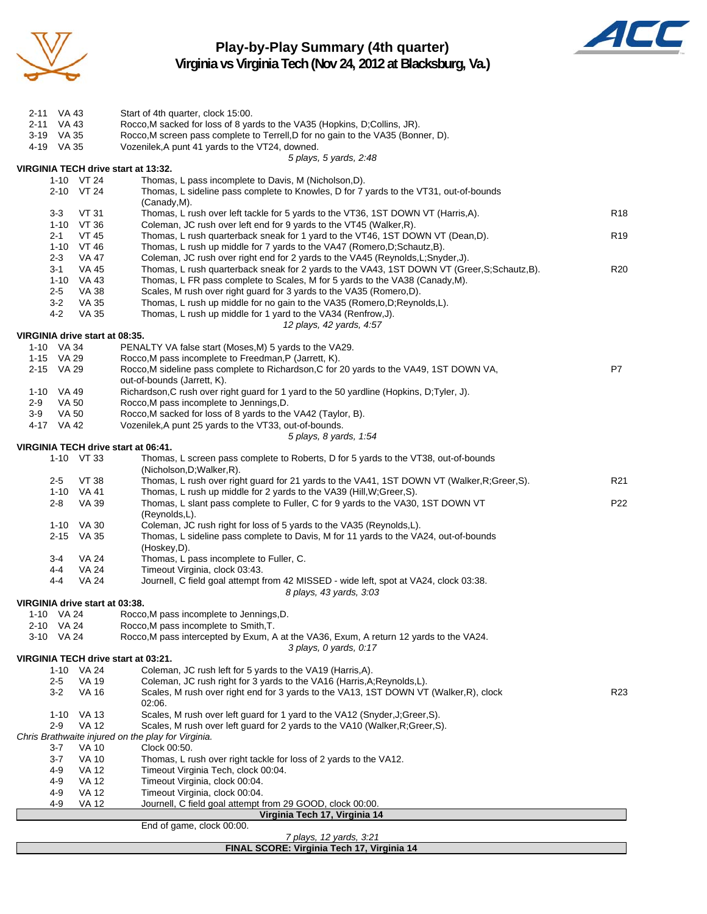

## **Play-by-Play Summary (4th quarter) Virginia vs Virginia Tech (Nov 24, 2012 at Blacksburg, Va.)**



| 2-11 VA 43                     |         |                                | Start of 4th quarter, clock 15:00.                                                                                                                            |                 |
|--------------------------------|---------|--------------------------------|---------------------------------------------------------------------------------------------------------------------------------------------------------------|-----------------|
| 2-11 VA 43<br>3-19 VA 35       |         |                                | Rocco, M sacked for loss of 8 yards to the VA35 (Hopkins, D;Collins, JR).<br>Rocco, M screen pass complete to Terrell, D for no gain to the VA35 (Bonner, D). |                 |
| 4-19 VA 35                     |         |                                | Vozenilek, A punt 41 yards to the VT24, downed.                                                                                                               |                 |
|                                |         |                                | 5 plays, 5 yards, 2:48                                                                                                                                        |                 |
|                                |         |                                | VIRGINIA TECH drive start at 13:32.                                                                                                                           |                 |
|                                |         | 1-10 VT 24                     | Thomas, L pass incomplete to Davis, M (Nicholson, D).                                                                                                         |                 |
|                                |         | 2-10 VT 24                     | Thomas, L sideline pass complete to Knowles, D for 7 yards to the VT31, out-of-bounds                                                                         |                 |
|                                | $3 - 3$ | <b>VT 31</b>                   | (Canady, M).<br>Thomas, L rush over left tackle for 5 yards to the VT36, 1ST DOWN VT (Harris,A).                                                              | R <sub>18</sub> |
|                                |         | 1-10 VT 36                     | Coleman, JC rush over left end for 9 yards to the VT45 (Walker, R).                                                                                           |                 |
|                                | $2 - 1$ | <b>VT 45</b>                   | Thomas, L rush quarterback sneak for 1 yard to the VT46, 1ST DOWN VT (Dean,D).                                                                                | R <sub>19</sub> |
|                                |         | 1-10 VT 46                     | Thomas, L rush up middle for 7 yards to the VA47 (Romero, D; Schautz, B).                                                                                     |                 |
|                                | 2-3     | VA 47                          | Coleman, JC rush over right end for 2 yards to the VA45 (Reynolds, L; Snyder, J).                                                                             |                 |
|                                | $3 - 1$ | VA 45                          | Thomas, L rush quarterback sneak for 2 yards to the VA43, 1ST DOWN VT (Greer, S; Schautz, B).                                                                 | R <sub>20</sub> |
|                                | $2 - 5$ | 1-10 VA 43<br>VA 38            | Thomas, L FR pass complete to Scales, M for 5 yards to the VA38 (Canady, M).<br>Scales, M rush over right guard for 3 yards to the VA35 (Romero,D).           |                 |
|                                | $3-2$   | VA 35                          | Thomas, L rush up middle for no gain to the VA35 (Romero, D; Reynolds, L).                                                                                    |                 |
|                                | 4-2     | VA 35                          | Thomas, L rush up middle for 1 yard to the VA34 (Renfrow, J).                                                                                                 |                 |
|                                |         |                                | 12 plays, 42 yards, 4:57                                                                                                                                      |                 |
| VIRGINIA drive start at 08:35. |         |                                |                                                                                                                                                               |                 |
| 1-10 VA 34                     |         |                                | PENALTY VA false start (Moses, M) 5 yards to the VA29.                                                                                                        |                 |
| 1-15 VA 29<br>2-15 VA 29       |         |                                | Rocco.M pass incomplete to Freedman, P (Jarrett, K).<br>Rocco, M sideline pass complete to Richardson, C for 20 yards to the VA49, 1ST DOWN VA,               | P7              |
|                                |         |                                | out-of-bounds (Jarrett, K).                                                                                                                                   |                 |
| 1-10 VA 49                     |         |                                | Richardson, C rush over right guard for 1 yard to the 50 yardline (Hopkins, D;Tyler, J).                                                                      |                 |
| $2-9$                          | VA 50   |                                | Rocco, M pass incomplete to Jennings, D.                                                                                                                      |                 |
| $3-9$                          | VA 50   |                                | Rocco, M sacked for loss of 8 yards to the VA42 (Taylor, B).                                                                                                  |                 |
| 4-17 VA 42                     |         |                                | Vozenilek, A punt 25 yards to the VT33, out-of-bounds.                                                                                                        |                 |
|                                |         |                                | 5 plays, 8 yards, 1:54<br>VIRGINIA TECH drive start at 06:41.                                                                                                 |                 |
|                                |         | 1-10 VT 33                     | Thomas, L screen pass complete to Roberts, D for 5 yards to the VT38, out-of-bounds                                                                           |                 |
|                                |         |                                | (Nicholson, D; Walker, R).                                                                                                                                    |                 |
|                                | $2 - 5$ | VT 38                          | Thomas, L rush over right guard for 21 yards to the VA41, 1ST DOWN VT (Walker, R; Greer, S).                                                                  | R <sub>21</sub> |
|                                |         | 1-10 VA 41                     | Thomas, L rush up middle for 2 yards to the VA39 (Hill, W; Greer, S).                                                                                         |                 |
|                                | $2 - 8$ | VA 39                          | Thomas, L slant pass complete to Fuller, C for 9 yards to the VA30, 1ST DOWN VT                                                                               | P22             |
|                                | 1-10    | VA 30                          | (Reynolds,L).<br>Coleman, JC rush right for loss of 5 yards to the VA35 (Reynolds,L).                                                                         |                 |
|                                |         | 2-15 VA 35                     | Thomas, L sideline pass complete to Davis, M for 11 yards to the VA24, out-of-bounds                                                                          |                 |
|                                |         |                                | (Hoskey,D).                                                                                                                                                   |                 |
|                                | 3-4     | VA 24                          | Thomas, L pass incomplete to Fuller, C.                                                                                                                       |                 |
|                                | 4-4     | <b>VA 24</b>                   | Timeout Virginia, clock 03:43.                                                                                                                                |                 |
|                                | 4-4     | <b>VA 24</b>                   | Journell, C field goal attempt from 42 MISSED - wide left, spot at VA24, clock 03:38.                                                                         |                 |
|                                |         | VIRGINIA drive start at 03:38. | 8 plays, 43 yards, 3:03                                                                                                                                       |                 |
|                                |         | 1-10 VA 24                     | Rocco, M pass incomplete to Jennings, D.                                                                                                                      |                 |
| 2-10 VA 24                     |         |                                | Rocco, M pass incomplete to Smith, T.                                                                                                                         |                 |
| 3-10 VA 24                     |         |                                | Rocco, M pass intercepted by Exum, A at the VA36, Exum, A return 12 yards to the VA24.                                                                        |                 |
|                                |         |                                | 3 plays, 0 yards, 0:17<br>VIRGINIA TECH drive start at 03:21.                                                                                                 |                 |
|                                |         | 1-10 VA 24                     | Coleman, JC rush left for 5 yards to the VA19 (Harris, A).                                                                                                    |                 |
|                                | $2 - 5$ | VA 19                          | Coleman, JC rush right for 3 yards to the VA16 (Harris, A; Reynolds, L).                                                                                      |                 |
|                                | 3-2     | VA 16                          | Scales, M rush over right end for 3 yards to the VA13, 1ST DOWN VT (Walker, R), clock                                                                         | R23             |
|                                |         |                                | 02:06.                                                                                                                                                        |                 |
|                                |         | 1-10 VA 13                     | Scales, M rush over left guard for 1 yard to the VA12 (Snyder, J; Greer, S).                                                                                  |                 |
|                                | $2-9$   | <b>VA 12</b>                   | Scales, M rush over left guard for 2 yards to the VA10 (Walker, R; Greer, S).<br>Chris Brathwaite injured on the play for Virginia.                           |                 |
|                                | 3-7     | VA 10                          | Clock 00:50.                                                                                                                                                  |                 |
|                                | 3-7     | VA 10                          | Thomas, L rush over right tackle for loss of 2 yards to the VA12.                                                                                             |                 |
|                                | 4-9     | <b>VA 12</b>                   | Timeout Virginia Tech, clock 00:04.                                                                                                                           |                 |
|                                | 4-9     | <b>VA 12</b>                   | Timeout Virginia, clock 00:04.                                                                                                                                |                 |
|                                | 4-9     | VA 12<br><b>VA 12</b>          | Timeout Virginia, clock 00:04.                                                                                                                                |                 |
|                                | 4-9     |                                | Journell, C field goal attempt from 29 GOOD, clock 00:00.<br>Virginia Tech 17, Virginia 14                                                                    |                 |
|                                |         |                                | End of game, clock 00:00.                                                                                                                                     |                 |
|                                |         |                                | 7 plays, 12 yards, 3:21                                                                                                                                       |                 |

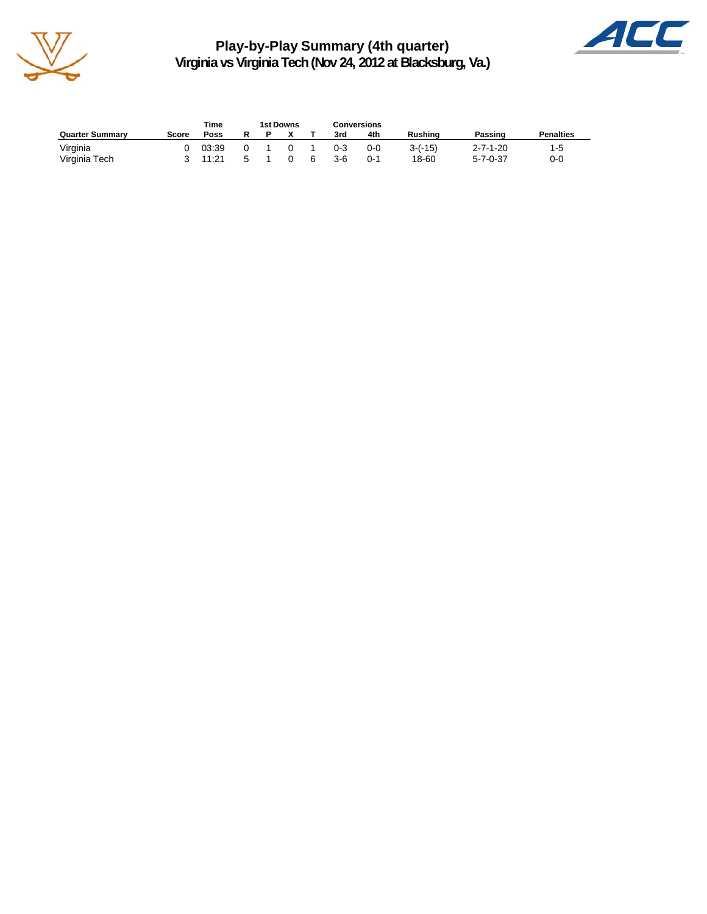

**Play-by-Play Summary (4th quarter) Virginia vs Virginia Tech (Nov 24, 2012 at Blacksburg, Va.)**



|                        |       | Time  | <b>1st Downs</b> |  | <b>Conversions</b> |         |                |                  |                  |
|------------------------|-------|-------|------------------|--|--------------------|---------|----------------|------------------|------------------|
| <b>Quarter Summary</b> | Score | Poss  |                  |  | 3rd                | 4th     | <b>Rushing</b> | Passing          | <b>Penalties</b> |
| Virginia               |       | 03:39 |                  |  | $0 - 3$            | $0 - 0$ | $3-(-15)$      | $2 - 7 - 1 - 20$ | $1-5$            |
| Virginia Tech          |       | 11:21 |                  |  | 3-6                | 0-1     | 18-60          | $5 - 7 - 0 - 37$ | 0-0              |